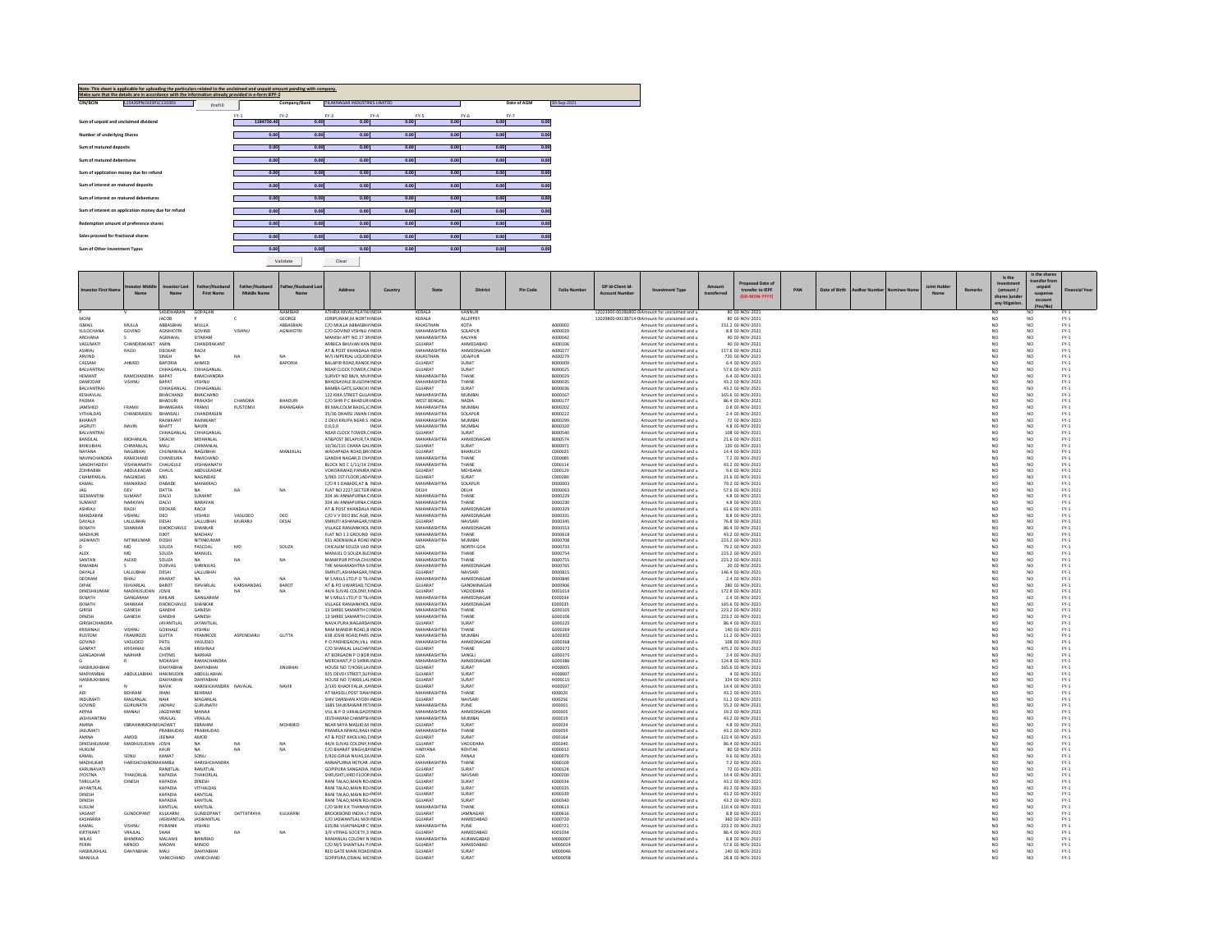| Note: This sheet is applicable for uploading the particulars related to the unclaimed and unpaid amount pending with company.<br>Make sure that the details are in accordance with the information already provided in e-form IEPF-2 |         |            |              |                               |        |        |        |             |             |  |  |  |  |  |
|--------------------------------------------------------------------------------------------------------------------------------------------------------------------------------------------------------------------------------------|---------|------------|--------------|-------------------------------|--------|--------|--------|-------------|-------------|--|--|--|--|--|
| CIN/BCIN<br>L15420PN1933PLC133303                                                                                                                                                                                                    | Prefill |            | Company/Bank | TILAKNAGAR INDUSTRIES LIMITED |        |        |        | Date of AGM | 30-Sep-2021 |  |  |  |  |  |
|                                                                                                                                                                                                                                      |         | $FY-1$     | $FY-2$       | $FY-3$                        | $FY-4$ | $FY-5$ | $FY-6$ | $FY-7$      |             |  |  |  |  |  |
| Sum of unpaid and unclaimed dividend                                                                                                                                                                                                 |         | 1184730.40 | 0.00         | 0.00                          | 0.00   | 0.00   | 0.00   | 0.00        |             |  |  |  |  |  |
|                                                                                                                                                                                                                                      |         |            |              |                               |        |        |        |             |             |  |  |  |  |  |
| Number of underlying Shares                                                                                                                                                                                                          |         | 0.00       | 0.00         | 0.00                          | 0.00   | 0.00   | 0.00   | 0.00        |             |  |  |  |  |  |
| Sum of matured deposits                                                                                                                                                                                                              |         | 0.00       | 0.00         | 0.00                          | 0.00   | 0.00   | 0.00   | 0.00        |             |  |  |  |  |  |
| Sum of matured debentures                                                                                                                                                                                                            |         | 0.00       | 0.00         | 0.00                          | 0.00   | 0.00   | 0.00   | 0.00        |             |  |  |  |  |  |
|                                                                                                                                                                                                                                      |         |            |              |                               |        |        |        |             |             |  |  |  |  |  |
| Sum of application money due for refund                                                                                                                                                                                              |         | 0.00       | 0.00         | 0.00                          | 0.00   | 0.00   | 0.00   | 0.00        |             |  |  |  |  |  |
| Sum of interest on matured deposits                                                                                                                                                                                                  |         | 0.00       | 0.00         | 0.00                          | 0.00   | 0.00   | 0.00   | 0.00        |             |  |  |  |  |  |
|                                                                                                                                                                                                                                      |         |            |              |                               |        |        |        |             |             |  |  |  |  |  |
| Sum of interest on matured debentures                                                                                                                                                                                                |         | 0.00       | 0.00         | 0.00                          | 0.00   | 0.00   | 0.00   | 0.00        |             |  |  |  |  |  |
| Sum of interest on application money due for refund                                                                                                                                                                                  |         | 0.00       | 0.00         | 0.00                          | 0.00   | 0.00   | 0.00   | 0.00        |             |  |  |  |  |  |
|                                                                                                                                                                                                                                      |         |            |              |                               |        |        |        |             |             |  |  |  |  |  |
| Redemption amount of preference shares                                                                                                                                                                                               |         | 0.00       | 0.00         | 0.00                          | 0.00   | 0.00   | 0.00   | 0.00        |             |  |  |  |  |  |
| Sales proceed for fractional shares                                                                                                                                                                                                  |         | 0.00       | 0.00         | 0.00                          | 0.00   | 0.00   | 0.00   | 0.00        |             |  |  |  |  |  |
|                                                                                                                                                                                                                                      |         |            |              |                               |        |        |        |             |             |  |  |  |  |  |
| Sum of Other Investment Types                                                                                                                                                                                                        |         | 0.00       | 0.00         | 0.00                          | 0.00   | 0.00   | 0.00   | 0.00        |             |  |  |  |  |  |
|                                                                                                                                                                                                                                      |         |            | Validate     | Clear                         |        |        |        |             |             |  |  |  |  |  |

MANJULA VANECHAND VANECHAND COPIPURA, OSWAL MCINDIA GUJARAT SURAT SURAT M000058 MANJULA Amount for unclaimed

**Investor First Name Investor Middle NameInvestor Last NameFather/HusbandFirst NameFather/HusbandMiddle Name Father/HusbandName Last** and Last address | Country | State | District | PinCode | Follo Number | DP Id-Client Id- | DP Id-Client | A<br>e | Address | Country | State | District | PinCode | Follo Number | Account Number | Investment Type | transferr Proposed Date of<br>d transfer to FP PAN Date of Birth Aadhar Number Nominee Name Name Remarks<br>(DD-MON-YYYY) PAN Date of Birth Aadhar Number Nominee Name Name **Is theInvestment(amount / shares )under any litigation. Is the shares transfer fromunpaid suspense account(Yes/No) Year**P V SASIDHARAN GOPALAN NAMBIAR ATHIRA NIVAS,PILATHAINDIA KERALA KANNUR 12023900‐00286800‐00Amount for unclaimed and <sup>u</sup> 80 02‐NOV‐2021 NO NO FY‐1 MONI JACOB P C GEORGE JORIPURAM,M.NORTHINDIA KERALA ALLEPPEY 12021-2020-002020128714-0Amount forunclaimediandia 1901-202020-02021<br>SMALL MULLA ABBASBHAINDIA ABBASBHAINDIA RAJASTHAN KOTA A000002 Amoonit Amount for unclaimedi d and u 80 02‐NOV‐2021 No Sexual District of the Sexual District of the Sexual District of the Sexual District of the Sexual District of the Sexual District of the Sexual District of the Sexual District of the Sexual Distr ISMAIL MULLA ABBASBHAI MULLA ABBASBHAI C/OSULOCHANA GOVIND AGNIHOTRI GOVIND VISHNU AGNIHOTRI C/OO GOVIND VISHNU AINDIA MAHARASHTRA SOLAPUR ADOO29 Amount for unclaimed and u 8.8 02‐NOV‐2021 NO NO FY‐1 ARCHANA S AGRAWAL SITARAM MANISHC/O GOVIND VISHNU / INDIA<br>MANISH APT NO 17 38 INDIA 0.17 3RINDIA MAHARASHTRA KALYAN ADAOOO42 Amount for unclaimed and u 40.02‐NOV‐2021 Amount for unclaimed and unclaimed and unclaimed and unclaimed and unclaimed and unclaimed and unclaimed and unclaimed and unclaimed and un VASUMATI CHANDRAKANT AMIN CHANDRAKANT<br>ASHRAJ RAOJI DEOKAR RAOJI AMBICA BHUVAN KAN INDIA N KAN INDIA GUJARAT AHMEDABAD A000106 AMOUNT Amount for unclaimed and u 40 02‐NOV‐2021 Amount for unclaimed and u ASHRAJ RAOJI DEOKAR RAOJI ATAT & POST KHANDALA INDIA  $R$  POST KHANDALA INDIA MAHARASHTRA AHMEDNAGAR A000277 Amount for unclaimed and u 117.6 02‐NOV‐2021 NO NO FY‐1 ARVIND SINGH NA NA NA M/SAristothethology.com/history/international/windown.com/history/international/windown.com/history/international<br>|BALAPIRADALRANDIA GUARAT SURAT BOODO9 AMOUNT FOR UNCLOSED Amount for unclaimed and u<br>|MEARLOCKTOWER,CINDA, GUA d and u 720 02‐NOV‐2021 NO FY‐1 NO FY‐1 NO FY‐1 NO FY‐1 NO FY‐1 NO FY‐1 NO FY‐1 NO FY‐1 NO FY‐1 NO ROSH NO FY‐1 CASSAM AHMED BAPORIA AHMED BAPORIA BALAPIRBALVANTRAI CHHAGANLAL CHHAGANLAL NEARRROAD,RANDE INDIA GUJARAT SURAT B000009 BOOD Amount for unclaimed and u 6.4 02‐NOV‐2021 Amount for unclaimed and u R.CLOCK TOWER,C INDIA GUJARAT SURAT BUROOZS BOOD Amount for unclaimed and u 57.6 02‐NOV‐2021 NO NO FY‐1 HEMANT RAMCHANDRA BAPAT RAMCHANDRA SURVEYDAMODAR VISHNU BAPAT VISHNU BHADSAVALESURVEY NO 88/4, MUNINDIA<br>RHADSAVALE RUILDIN INDIA  $0.88/4$ , MUJI INDIA MAHARASHTRA THANE B000029 BOO0029 Amount for unclaimed and u 6.4 02‐NOV‐2021 NO NO RY‐1 BUILDINGINDIA MAHARASHTRA THANE B000035 Amount for unclaimed and <sup>u</sup> 43.2 02‐NOV‐2021 NO NO FY‐1 BALVANTRAI CHHAGANLAL CHHAGANLAL BAMBAKESHAVLAL BHAICHAND BHAICHAND 122A GATE,GANCHI INDIA GUJARAT SURAT B000036 BOOD Amount for unclaimed and u 43.2 02‐NOV‐2021 Amount for unclaimed and u 122 KIKA STREET GULA INDIA<br>C/O SHRI P C BHADURI INDIA  $S$ TREET GULAINDIA MAHARASHTRA MUMBAI B000167 Amount for unclaimed and u 165.6 02‐NOV‐2021 NO NO FY‐1 PADMA BHADURI PRAKASH CHANDRA BHADURI C/OS<br>JAMSHED FRAMJI BHAMGARA FRAMJI RUSTOMJI BHAMGARA 89 MA<br>VITHALDAS CHANDRASEN BHANSALI CHANDRASEN O SHRI P C BHADURI INDIA WEST BENGAL NADIA BOOD BOO177 Amount for unclaimed and u 86.4 02‐NOV‐2021 NO NO NO FY‐1 89 MALCOLM BAUGJC INDIA BAUG,JOINDIA MAHARASHTRA MUMBAI B000202 Amount for unclaimed and <sup>u</sup> 0.8 <sup>02</sup>‐NOV‐<sup>2021</sup> NO NO FY‐<sup>1</sup> 35/36 DHARSI JIWAN CINDI N(INDIA MAHARASHTRA SOLAPUR B000222 Amount for unclaimed and u 2.4 02‐NOV‐2021 NO NO FY‐1 BHARATI RAJNIKANT RAJNIKANT 2**DEVI KRUPA,NEAR S INDIA**  S INDIA MAHARASHTRA MUMBAI B000299 Amount for unclaimed and <sup>u</sup> 72 02‐NOV‐2021 NO NO FY‐1 JAGRUTI NAVIN BHATT NAVIN 0,0,0,0 INDIA MAHARASHTRA MUMBAI B000320 Amount for unclaimedd and u 4.8 02‐NOV‐2021 NO FY‐1 NO FY‐1 NO FY‐1 NO FY‐1 NO FY‐1 NO FY‐1 NO FY‐1 NO FY‐1 NO FY‐1 NO ROSH NO FY‐1 BALVANTRAI CHHAGANLAL CHHAGANLAL NEARBANSILAL MOHANLAL SIKACHI MOHANLAL AT&POSTRCLOCK TOWER,CINDIA GUJARAT SURAT SURAT B000540 Amount for unclaimed and u 108 02‐NOV‐2021 NO NO FY‐1 AT& POST BELAPUR, TA INDIA INDIA MAHARASHTRA AHMEDNAGAR B000574 Amount for unclaimed and <sup>u</sup> 21.6 02‐NOV‐2021 NO NO FY‐1 BHIKUBHAI CHIMANLAL MALI CHIMANLAL 11, 10/36/115(<br>NAYANA NAGJIBHAI CHUNAWALA NAGJIBHAI MANEKLAL WADAPADA 10/36/115 CHARA GALINDIA<br>WADAPADA ROAD,BRI INDIA A GALINDIA GUJARAT SURAT BOOO971 BOOO971 Amount for unclaimed and u 120 02‐NOV‐2021 NO NO FY‐1 ROAD,BROINDIA GUJARAT BHARUCH C000025 Amount for unclaimed and <sup>u</sup> 14.4 02‐NOV‐2021 NO NO FY‐1 NAVINCHANDRA RAMCHAND CHANDURA RAMCHAND<br>SANDHYADEVI VISHWANATH CHAUGULE VISHWANATH GANDHI NAGAR,D CHAINDIA CHAINDIA MAHARASHTRA THANE C000085 Amount for unclaimed and <sup>u</sup> 7.2 02‐NOV‐2021 NO NO FY‐1 SANDHYADEVI VISHWANATH CHAUGULE VISHWANATH<br>ZOHRABIBI ABDULKADAR CHAUS ABDULKADAR **BLOCK NO C 1/11/14 2 INDI** O C 1/11/14 2 INDIA MAHARASHTRA THANE COOL COOL COOL AMOUNT Amount for unclaimed and u 43.2 02‐NOV‐2021 NO NO FY‐1 .<br>2 ABDULKADAR CHAUS ABDULKADAR CHAUS CHAUS (SHADIS) S,995.15T FLOOR,ADA MUSIC NADIRI D<br>2 ABDULKAD DABADE MANIIKRAO CHAUS (ZOR SDABADE,AT & INDI INDIA GUJARAT MEHSANA C000129 Amount for unclaimed and <sup>u</sup> 9.6 02‐NOV‐2021 NO NO FY‐1 CHAMPAKLAL NAGINDAS MEL NAGINDAS 5/965KAMAL MANIKRAO DABADE MANIKRAO C/O1999 - 1999 - 1999 - 1999 - 1999 - 1999 - 1999 - 1999 - 1999 - 1999 - 1999 - 1999 - 1999 - 1999 - 1999 - 1999 -<br>1999 - 1999 - 1999 - 1999 - 1999 - 1999 - 1999 - 1999 - 1999 - 1999 - 1999 - 1999 - 1999 - 1999 - 1999 - 1999<br> and <sup>u</sup> 21.6 02‐NOV‐2021 NO NO FY‐1 C/O R S DABADE AT & INDIA INDIA MAHARASHTRA SOLAPUR D000003 Amount for unclaimed and <sup>u</sup> 79.2 02‐NOV‐2021 NO NO FY‐1 JAG DEV DATTA NA NA NA FLATFLAT NO 2227.SECTOR INDIA 0.2227,SECTOR INDIA DELHI DELHI DELHI D000063 DOODG Amount for unclaimed and u 57.6 02‐NOV‐2021 NO NO FY‐1 SEEMANTINI SUMANT DALVI SUMANT 204204 JAI ANNAPURNA CINDIA CINDIA MAHARASHTRA THANE D000229 Amount for unclaimed and <sup>u</sup> 4.8 02‐NOV‐2021 NO NO FY‐1 SUMANT NARAYAN DALVI NARAYAN 204204 JAI ANNAPURNA CINDIA CINDIA MAHARASHTRA THANE D000230 Amount for unclaimed and <sup>u</sup> 4.8 02‐NOV‐2021 NO NO FY‐1 ASHRAJI RAOJI DEOKAR RAOJI ATAT & POST KHANDALA INDIA<br>C/O V V DEO BSC AGR, INDIA<br>SMRUTI ASHANAGAR, INDIA  $R$  POST KHANDALA INDIA MAHARASHTRA AHMEDNAGAR D000329 D000329 Amount for unclaimed and u 61.6 02‐NOV‐2021 NO NO FY‐1 ASUUGU I IMAGU DEO VASHU VASUDEO DEO<br>DAYALII I LALLUBHAI DESAI LALLUBHAI MURARII DESAI<br>DAYALII I SHANKAR DHOKCHAVLE SHANKAR V V DEO BSC AGR, INDIA MAHARASHTRA AHMEDNAGAR D000331 Amount for unclaimed and <sup>u</sup> 8.8 02‐NOV‐2021 NO NO FY‐1 DAYALJI LALLUBHAI DESAI LALLUBHAI MURARJI DESAI SMRUTI ASHANAGAR,NINDIA GUJARAT NAVSARI D000345 Amount for unclaimed RANJANKHOL INDIA MAHARASHTRA AHMEDNAGAR D000553 Amount for unclaimed and <sup>u</sup> 76.8 02‐NOV‐2021 NO NO FY‐1 EKNATH SHANKAR DHOKCHAVLE SHANKAR VILLAGE and <sup>u</sup> 86.4 02‐NOV‐2021 NO NO FY‐1 MADHURI DIXIT MADHAV FLATJASWANTI NITINKUMAR DOSHI NITINKUMAR 551FLAT NO 1 2 GROUND INDIA 012 GROUND INDIA MAHARASHTRA THANE 1999 ADDOO618 Amount for unclaimed and u 43.2 02‐NOV‐2021 NO NO FY‐1 ADENWALA ROAD INDIA MAHARASHTRA MUMBAI D000708 Amount for unclaimed and <sup>u</sup> 223.2 02‐NOV‐2021 NO NO FY‐1 D MD SOUZA PASCOAL MD SOUZA CHICALIMM SOUZA VAD INDIA GOA NORTH GOA DOOD733 Amount for unclaimed and 79.2 02‐NOV‐2021 NO NO FY‐1 ALEX MD SOUZA MANUEL MANUELCHICALIM SOUZA VAD INDIA<br>MANUEL D SOUZA BLC INDIA<br>MANIKPUR PITHA, CHU INDIA D SOUZA BLEINDIA MAHARASHTRA THANE DOOD PY‐3 Amount for unclaimed and u 223.2 02‐NOV‐2021 NO NO FY‐3 SANTAN ALEXD SOUZA NA NA NA MANIKPURR PITHA,CHUINDIA MAHARASHTRA THANE D000755 DODD755 Amount for unclaimed and u 223.2 02‐NOV‐2021 NO NO FY‐1 RAMABAI S DURVAS SHRINIVAS THETHE MAHARASHTRA SI INDIA<br>SMRUTI,ASHANAGAR,I INDIA A SIINDIA MAHARASHTRA AHMEDNAGAR DOOD765 Amount for unclaimed and u 20 02‐NOV‐2021 NO NO FY‐1 DAYALJI LALLUBHAI DESAI LALLUBHAI SALLUBHAI SMRUTI,ASHANAGAR,IINDIA GUJARAT NAVSARI NAVSARI D000815 Amount for unclaimed An uncertained and use and uncertained and use and uncertained and use of the Uncertained and use and uncertained and use of the Uncertained and use of the Uncertained and use of the Uncertained and use of the Uncertained DEORAM BHAU KHARAT NA NA NA NA M<br>DIPAK ISHVARLAL RAROT ISHVARLAL KARSHANDAS RAROT AT N S MILLS LTD,P O TIL INDIA MAHARASHTRA AHMEDNAGAR D000840 D000840 Amount for unclaimed and u 2.4 02‐NOV‐2021 M S MILLS LTD, P O TIL INDIA<br>AT & PO UWARSAD, TC INDIA<br>44/A SUVAS COLONY. NINDIA  $\&$  PO UWARSAD,TC INDIA GUJARAT GANDHINAGAR D000906 Amount for unclaimed and u 280 02‐NOV‐2021 NO NO FY‐1 DINESHKUMAR MADHUSUDAN JOSHI NA NA NA NA NA 44/A<br>EKNATH GANGARAM KHILARI GANGARAM A SUVAS COLONY,NINDIA GUJARAT VADODARA DO01014 Amount for unclaimed and u 172.8 02‐NOV‐2021 NO NO FY‐1 N S MILLS LTD,P O TIL INDIA MAHARASHTRA AHMEDNAGAR E000034 E000034 Amount for unclaimed and u 2.4 02‐NOV‐2021 EKNATH SHANKAR DHOKCHAVLE SHANKAR<br>GIRISH GANESH GANDHI GANESH RANJANKHOL INDIA MAHARASHTRA AHMEDNAGAR E000035 Amount for unclaimed and <sup>u</sup> 165.6 02‐NOV‐2021 NO NO FY‐1 GIRISH GANESH GANDHI GANESH 13VILLAGE RANJANKHOL INDIA<br>13 SHREE SAMARTH CI INDIA H.CIINDIA MAHARASHTRA THANE GOODIOS GOODIOS Amount for unclaimed and u 223.2 02‐NOV‐2021 NO NO FY‐1 DINESH GANESH GANDHI GANESH 1313 SHREE SAMARTH CLINDIA<br>NAVA PURA NAGARDA INDIA H.CIINDIA MAHARASHTRA THANE GOOD GOOD106 Amount for unclaimed and u 223.2 02‐NOV‐2021 NO NO FY‐1 GIRISHCHANDRA JAYANTILAL JAYANTILAL NAVAKRISHNAJI VISHNU GOKHALE VISHNU RAMA PURA,NAGARDAINDIA GUJARAT SURAT GOOD225 GOOD225 Amount for unclaimed and u 86.4 02‐NOV‐2021 NO NO FY‐1 M MANDIR ROAD,B INDIA MAHARASHTRA THANE GOOD GOOD GOOD Amount for unclaimed and u 140 02‐NOV‐2021 NO NO FY‐1 RUSTOM FRAMROZE GUTTA FRAMROZE ASPENDIARJI GUTTA 638MAHARASHTRA MUMBAI ROAD, 2000302<br>MAHARASHTRA MUMBAI MOMENT G000302<br>MAHARASHTRA AHMEDNAGAR G000368 G000368 Amount for unclaimed and u d and u 11.2 02‐NOV‐2021 NO FY‐1 NO FY‐1 NO FY‐1 NO FY‐1 NO FY‐1 NO FY‐1 NO FY‐1 NO FY‐1 NO FY‐1 NO FY‐1 NO FY‐1 NO FY‐1 NO FY‐1 NO FY‐1 NO FY‐1 NO FY‐1 NO FY‐1 NO FY‐1 NO FY‐1 NO FY‐1 NO FY‐1 NO FY‐1 NO FY‐1 NO FY‐1 NO FY FRAMROZE GUTTA FRAMROZE<br>
VASUDEO PATIL VASUDEO<br>
KRISHNAJI ALSHI KRISHNAJI<br>
NARHAR CHITNIS NARHAR P.O. PADHEGAON VILL INDIA O PADHEGAON,VILL INDIA MAHARASHTRA AHMEDNAGAR G000368 GM Amount for unclaimed and u 108 02‐NOV‐2021 NO NO FY‐1 GANPAT KRISHNAJI ALSHI KRISHNAJI C/OGANGADHAR NARHAR CHITNIS NARHAR ATO SHANLAL LALCHAI INDIA GUJARAT THANE GOOD372 Amount for unclaimed and u 475.2 02‐NOV‐2021 NO NO FY‐1 BORGAON P O BOR INDIA MAHARASHTRA SANGLI G000375 Amount for unclaimed and <sup>u</sup> 2.4 02‐NOV‐2021 NO NO FY‐1 G R MOKASHI RAMACHANDRA MERCHANT,PHASMUKHBHAI DAHYABHAI DAHYABHAI JINUBHAI HOUSEMERCHANT,P O SHRIR INDIA OSHRIRINDIA MAHARASHTRA AHMEDNAGAR GOOD386 Good Amount for unclaimed and u 124.8 02‐NOV‐2021 NO NO NO FY‐1 HOUSE NO 7/4069.LAI INDIA 0.7/4O69,LALINDIA GUJARAT SURAT H000005 H000005 Amount for unclaimed and u 165.6 02‐NOV‐2021 NO NO FY‐1 MARYAMBAI ABDULLABHAI HAKIMUDIN ABDULLABHAI 925nouce work of the maximum of the maximum of the maximum of the maximum of the maximum of the maximum of the maximum<br>DEVDI STREET,SURINDIA GUJARAT SURAT HOT H00000015 Amount for unclaimed and unclaimed and the maximum of th d and u 402‐NOV‐2021 And under the control of the control of the control of the control of the control of the control of the control of the control of the control of the control of the control of the control of the control .<br>DAHYABHAI DAHYABHAI NO KHADI FALIA.,KAINDIA GUJARAT SURAT H000597 Amount for unclaimed 7/4069,LAL INDIA GUJARAT SURAT H000115 Amount for unclaimed and <sup>u</sup> <sup>324</sup> <sup>02</sup>‐NOV‐<sup>2021</sup> NO NO FY‐<sup>1</sup> N NAVIK HARISHCHANDRA NAVALAL NAVIK<br>BEHRAM IRANI BEHRAM<br>MAGANLAL NAIK MAGANLAL and <sup>u</sup> 14.4 02‐NOV‐2021 NO NO FY‐1 ADI BEHRAM IRANI BEHRAM ATIN<br>INDIIMATI MAGANIAI NAIK MAGANIAI AT MASOLI,POST DAH INDIA MAHARASHTRA THANE 1000020 1999 - 200020<br>AT MASOLI,POST DAHINDIA MAHARASHTRA THANE 1000020 1999 - 2000226 Amount for unclaimed and u<br>SHIV DARSHAN AYODI NDIA GUJARAT NAVSARI 1000256 1000256 Amount fo and <sup>u</sup> 43.2 02‐NOV‐2021 NO NO FY‐1 SHIV DARSHAN AYODI-INDIA N AYODHINDIA GUJARAT NAVSARI I 1000256 I Amount for unclaimed and u 51.2 02‐NOV‐2021 NO NO RY‐1 GOVIND GURUNATH JADHAV GURUNATH<br>APPAJI MANAJI JAGDHANE MANAJI 1685 SHUKRAWAR PETINDIA PETINDIA MAHARASHTRA PUNE J000001 Amount for unclaimed and <sup>u</sup> 55.2 02‐NOV‐2021 NO NO FY‐1 ADHAV GURUNATH 1685 SHUKRAWAR PEI INDIA<br>AGDHANE MANAJI VILL & POUKKALGADI INDI<br>VILL & POUKKALGADI INDIA<br>AILADWET EBRAHIM MANAJID, MOHMED ISETHARAM (KHAMPS INDIA)<br>MOHMED NEAR MIYA MASJID, MINDI VILL & P O UKKALGAOI INDIA P O UKKALGAONINDIA MAHARASHTRA AHMEDNAGAR J000005 Amount for unclaimed and <sup>u</sup> 19.2 02‐NOV‐2021 NO NO FY‐1 JASHVANTRAI VRAJLAL VRAJLAL VRAJLAL<br>AMINA EBRAHIMMOHMIJADWET EBRAHIM M CHAMPSHINDIA MAHARASHTRA MUMBAI J000019 J000019 Amount for unclaimed and u 43.2 02‐NOV‐2021 NO NO RY‐1 AMINA EBRAHIMMOHMEJADWET EBRAHIM MOHMED NEAR MIYA MASJID,MIN INDIA GUJARAT SURAT SURAT J000024 Amount for unclaimed and u 4.8 02‐NOV‐2021 Amount for unclaimed and unclaimed and u PRABHUDAS PRABHU<br>JEENAH AMOD JEENAH AMOD<br>MADHUSUDAN JOSHI NA A NIWAS,RAGHINDIA MAHARASHTRA THANE J000059 Amount for unclaimed and u 43.2 02‐NOV‐2021 NO NO FY‐1 AMINA AMOD JEENAH AMOD ATDINESHKUMAR MADHUSUDAN JOSHI NA NA NA 44/AAT & POST KHOLVAD, LINDIA<br>44/A SUVAS COLONY, NINDIA & POST KHOLVAD, EINDIA GUJARAT SURAT SURAT J000164 Amount for unclaimed and u 122.4 02‐NOV‐2021 NO NO FY‐1 A SUVAS COLONY,NINDIA GUJARAT VADODARA JOOS40 Amount for unclaimed and u 86.4 02‐NOV‐2021 NO NO FY‐1 HUKUM KAUR NA NA NA C/OOBHARAT SINGH,BAINDIA HARYANA ROHTAK K000012 Komount for unclaimed and u 80 02‐NOV‐2021 NO NO FY‐1 KAMAL SONU KAMAT SONU E/426.<br>E/426 GIRIJA NIVAS, SA INDIA<br>ANNAPURNA HETKAR . INDIA A NIVAS,SAINDIA GOA PANAJI K000079 KOOODP Amount for unclaimed and u 9.6 02‐NOV‐2021 NO NO FY‐1 MADHUKAR HARISHCHANDRAKAMBLI HARISHCHANDRA ANNAPURNAKARUNAVATI RANJITLAL RANJITLAL GOPIPURAA HETKAR ، INDIA MAHARASHTRA THANE KOOD109 Amount for unclaimed and u 7.2 02‐NOV‐2021 NO NO FY‐1 A SANGADIA, INDIA GUJARAT SURAT NOODI24 K000124 Amount for unclaimed and u 72 02‐NOV‐2021 NO NO FY‐1 .<br>JYOSTNA THAKORLAL KAPADIA THAKORLAL SHALOL SHRUSHTI,IIIRD FLOOR INDIA<br>TARULATA DINESH KAPADIA DINESH SHALOL SHALOL RANI TALAO,MAIN RO\INDI DFLOORINDIA GUJARAT NAVSARI K000200 K000200 Amount for unclaimed and u 14.4 02‐NOV‐2021 NO NO FY‐1 TARULATA DINESH KAPADIA DINESH RANIBANI TALAO,MAIN ROJINDIA N ROAINDIA GUJARAT SURAT KO00334 Amount for unclaimed and u 43.2 02⋅NOV⋅2021 NO NO FY・1 JAYANTILAL KAPADIA VITHALDAS RANI**RANI TALAO MAIN ROJINDIA** N ROAINDIA GUJARAT SURAT KO00335 KO00335 Amount for unclaimed and u 43.2 02⋅NOV⋅2021 Amount for unclaimed and u DINESH KAPADIA KANTILAL RANIRANI TALAO,MAIN ROJINDIA N ROAINDIA GUJARAT SURAT KO00339 KO00339 Amount for unclaimed and u 43.2 02‐NOV‐2021 NO NO FY‐1 DINESH KAPADIA KANTILAL RANIRANI TALAO, MAIN ROJINDIA<br>C/O SHRI K K THANAW INDIA ROAINDIA GUJARAT SURAT K000340 K000340 Amount for unclaimed and u 43.2 02‐NOV‐2021 Amount for unclaimed and u KUSUM KANTILAL KANTILAL C/OOSHRIK K THANAWINDIA MAHARASHTRA THANE KOOO613 Amount for unclaimed and u 110.4 02‐NOV‐2021 NO NO FY‐1 KUSIM<br>VASANT GUNDOPANT KULKARNI KANTIALI KULKARNI GOOSBON INDIALI RUBANI KULKARNI DATTATRAYA KULKARNI BROOKBONDINDIA<br>KASMIRIA<br>KAMAL VISHRIU PURANIK VISHRU I DINDIA LT INDIA GUJARAT JAMNAGAR K000616 K000616 Amount for unclaimed and u 8.8 02‐NOV‐2021 NO NO NO FY‐1 KASHMIRA JASWANTLAL JASWANTLAL C/OKAMAL VISHNU PURANIK VISHNU 635/86OJASWANTLAL MOHINDIA GUJARAT AHMEDABAD K000720 K000720 Amount for unclaimed and 360 02‐NOV‐2021 NO NO FY‐1 635/86 VIJAYNAGAR C INDIA C INDIA MAHARASHTRA PUNE K000721 Amount for unclaimed and <sup>u</sup> 223.2 02‐NOV‐2021 NO NO FY‐1 KIRTIKANT VRAJLAL SHAH NA NA NA 3/93/9 VITRAG SOCIETY,3 INDM  $S$ SOCIETY,3 INDIA GUJARAT AHMEDABAD KO01034 Amount for unclaimed and u 86.4 02‐NOV‐2021 NO NO FY‐1 WILAS BHIMRAO MALAWE BHIMRAO RAMANLAL COLONY NNINDIA MAHARASHTRA AURANGABAD M000007 Amount for unclaimed and u 8.8 02‐NOV‐2021 NO NO FY‐1 PERIN MINOO MADAN MINOO C/OOM/S SHANTILAL PIINDIA GUJARAT AHMEDABAD M000024 Moont for unclaimed and u 57.6 02‐NOV‐2021 NO NO FY‐1 HASMUKHLAL DAHYABHAI MALI DAHYABHAI NAMURIAL DAHYABHAI NAMURIAL DAHYABHAI DAHYABHAI DAHYABHAI DAHYABHAI DAHYABHAI **RED GATE MAIN ROAD INDIA**<br>GOPIPURA, OSWAL MC INDIA N ROADINDIA GUJARAT SURAT NOODO46 MOODO46 Amount for unclaimed and u 140 02‐NOV‐2021 NO NO FY‐1 and until the median of the median of the median of the median of the median of the median of the median of the<br>Annount for uncluimed and using the 28.8 02⋅NOV-2021 Annount of the median of the median of the median of th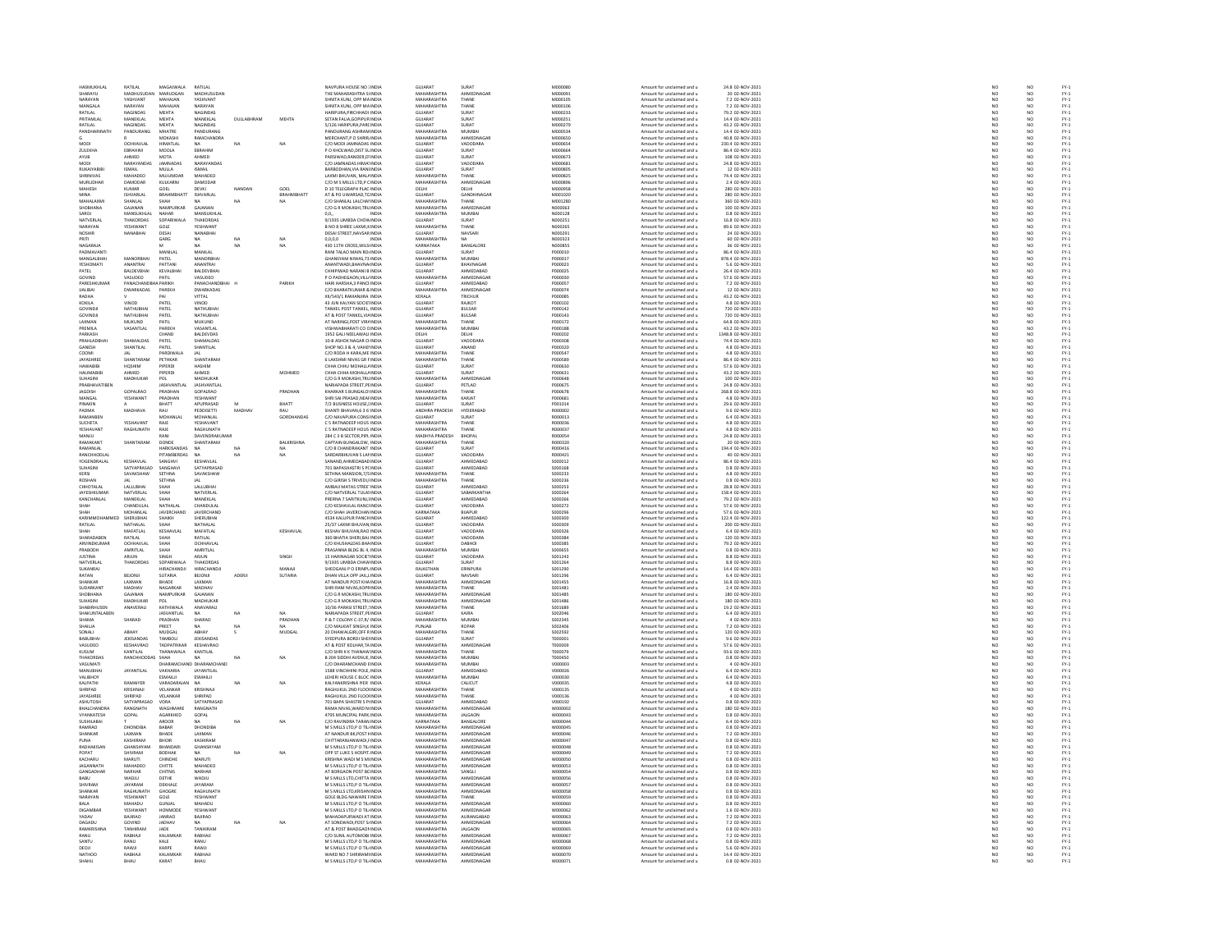| HASMUKHLAL                | RATILAL                  | MAGAJWALA                  | RATILAL                         |                             | NAVPURA HOUSE NO : INDIA                                  | GUJARAT                    | SURAT                    | M000080                   | Amount for unclaimed and u                               | 24.8 02-NOV-2021                    | NO <sub>1</sub>  | NO                                                                  |
|---------------------------|--------------------------|----------------------------|---------------------------------|-----------------------------|-----------------------------------------------------------|----------------------------|--------------------------|---------------------------|----------------------------------------------------------|-------------------------------------|------------------|---------------------------------------------------------------------|
|                           | MADHUSL                  | MARUDGAN<br>MAHAJAN        | MADHUSUD<br>YASHVANT            |                             | HE MAHARASHTRA SI INDU<br>SHNITA KUNJ, OPP MA INDIA       | MAHARASHTRA<br>MAHARASHTRA | AHMEDNAG                 | (e00000)                  | Amount for unclaimed and u                               | 20 02-NOV-2021                      | $\frac{N}{N}$    | NO<br>NO                                                            |
| NARAYAN<br>MANGALA        | YASHVANT<br>NARAYAN      | MAHAIAN                    | NARAYAN                         |                             | SHNITA KUNI, OPP MAINDIA                                  | MAHARASHTRA                | THANE<br>THANE           | M000109<br>MODDIDE        | Amount for unclaimed and u<br>Amount for unclaimed and u | 7.2.02-NOV-2021                     |                  | NO                                                                  |
|                           |                          |                            |                                 |                             |                                                           |                            |                          |                           |                                                          |                                     | NO               |                                                                     |
| RATILAL                   | NAGINDAS                 | MEHTA                      | NAGINDAS                        |                             | HARIPURA, PIRCHHADI INDIA                                 | GUJARAT                    | SURAT                    | M000233                   | Amount for unclaimed and u                               | 79.2 02-NOV-2021                    | NO               | NO                                                                  |
| PRITAMLAL                 | MANEKLAL                 | MEHTA                      | MANEKLAL                        | DULLABHRAM<br>MEHTA         | SETAN FALIA GOPIPUR INDIA                                 | GUJARAT                    | SURAT                    | M000251                   | Amount for unclaimed and u                               | 14.4 02-NOV-2021                    | NO               | NO                                                                  |
| RATILAL                   |                          | MEHTA                      | <b>NAGINDA</b>                  |                             | 5/126 HARIPURA, PARCINDU                                  | GUJARAT                    | SURAT                    | M000279                   | Amount for unclaimed and u                               | 43.2 02-NOV-2021                    |                  | NO                                                                  |
| PANDHARINATH              | PANDURANG                | MHATRE                     | PANDURANG                       |                             | PANDURANG ASHRAM INDIA                                    | MAHARASHTRA                | MUMBA                    | M000534                   | Amount for unclaimed and u                               | 14.4 02-NOV-2021                    | NO <sub>1</sub>  | NO <sub>1</sub>                                                     |
|                           |                          | MOKASH                     | <b>RAMCHANDR</b>                |                             | MERCHANT,P O SHRIR INDIA                                  | MAHARASHTRA                | <b>AHMEDNAGA</b>         | M000650                   | Amount for unclaimed and u                               | 40.8 02-NOV-2021                    |                  | NO                                                                  |
| MODI                      | OCHHAVLAL                | HIMATLAL                   | NA <sup>1</sup><br><b>NA</b>    | <b>NA</b>                   | C/O MODI JAMNADAS INDIA                                   | GUJARAT                    | VADODARA                 | M000654                   | Amount for unclaimed and u                               | 230.4 02-NOV-2021                   | NO<br>NO         | NO<br>NO                                                            |
| <b>2LILEKHA</b>           | FRRAHIM                  | MODI A                     | FRRAHIM                         |                             | P.O. KHOLWAD DIST SL INDIA                                | GUIARAT                    | SURAT                    | MODOGGA                   | Amount for unclaimed and u                               | 86.4.02-NOV-2021                    |                  |                                                                     |
| AYUB                      | AHMED                    | MOTA                       | AHMED                           |                             | PARSIWAD, RANDER, D'INDIA                                 | <b>GUJARAT</b>             | SURAT                    | M000673                   | Amount for unclaimed and u                               | 108 02-NOV-2021                     | NO               | NO                                                                  |
| <b>MODI</b>               | NARAYANDA!               | JAMNADAS                   | NARAYANDAS                      |                             | C/O JAMNADAS HIMA' INDIA                                  | GUJARAT                    | VADODARA                 | M000681                   | Amount for unclaimed and u                               | 24.8 02-NOV-2021                    | NO               | NO <sub>1</sub>                                                     |
| RUKAIYABIB                |                          | MULLA                      | ISMAIL                          |                             | BARBODHAN, VIA RANI INDIA                                 | GUJARAT                    | SURAT                    | M000809                   | Amount for unclaimed and u                               | 12 02-NOV-2021                      |                  | NO                                                                  |
| SHRINIVAS                 | MAHADEO                  | <b>MUJUMDAR</b>            | MAHADEO                         |                             | LAXMI BHUVAN, MAL4 INDIA                                  | MAHARASHTRA                | THANE                    | M000825                   | Amount for unclaimed and u                               | 74.4 02-NOV-2021                    | NO <sub>1</sub>  | NO <sub>1</sub>                                                     |
| <b>MURLIDHAI</b>          | DAMODA                   | <b>CULKARNI</b>            | DAMODAL                         |                             | C/O M S MILLS LTD,P C INDIA                               | <b>MAHARASHTRA</b>         | AHMEDNAGA                | M00089                    | Amount for unclaimed and                                 | 2.4 02-NOV-202                      | NC               | $\frac{10}{10}$                                                     |
| MAHESH                    | KUMAR                    | GOEL                       | DEVKI<br>NANDAN                 | GOEL                        | D 10 TELEGRAPH PLAC INDIA                                 | DELHI                      | DELHI                    | M000958                   | Amount for unclaimed and u                               | 280 02-NOV-2021                     | NO               |                                                                     |
|                           | <b>SHVARIAI</b>          | RRAHMRHATT                 | ISHVARLAI                       | RRAHMRHATT                  | AT & PO UWARSAD, TC INDIA                                 | GUIARAT                    | GANDHINAGAI              | MOD1020                   | Amount for unclaimed and                                 | 280 02-NOV-2021<br>360 02-NOV-2021  |                  |                                                                     |
| MAHALAXM                  | SHANLAL                  |                            | NA                              |                             | C/O SHANLAL LALCHAI INDIA                                 | MAHARASHTRA                | THANE                    | M001280                   | Amount for unclaimed and u                               |                                     | NC<br>NC         | NO<br>NO                                                            |
| SHOBHANA                  | GAJANAN                  | NAMPURKAR                  | GAJANAN                         |                             | C/O G R MOKASHI.TRU INDIA                                 | MAHARASHTRA                | AHMEDNAGA                | N000063                   | Amount for unclaimed and u                               | 100 02-NOV-2021                     | NO               | NO <sub>1</sub>                                                     |
|                           | MANSUKHL                 | NAHAR                      | MANSUKHLA                       |                             |                                                           | MAHARASHTRA                | MUMBA                    | V000128                   | Amount for unclaimed and u                               | 0.8 02-NOV-2021                     |                  | NO                                                                  |
| NATVERLAI                 | THAKORDAS                | SOPARIWALA                 | THAKORDAS                       |                             | 9/1935 LIMBDA CHOWINDIA                                   | GUJARAT                    | SURAT                    | N000251                   | Amount for unclaimed and u                               | 16.8 02-NOV-2021                    | NO <sub>1</sub>  | NO <sub>1</sub>                                                     |
| <b>NARAYAN</b>            | YESHWANT                 | GOL                        | YESHWANT                        |                             | B NO 8 SHREE LAXMI, KINDIA                                | MAHARASHTRA                | THANE                    | N000269                   | Amount for unclaimed and u                               | 89.6 02-NOV-2021                    | NC               |                                                                     |
| NOSHIR                    | NANABHAI                 | DESAI                      | NANABHAI                        |                             | DESAI STREET, NAVSAR INDIA                                | GUJARAT                    | NAVSARI                  | N000291                   | Amount for unclaimed and u                               | 24 02-NOV-2021                      | NO               | $\begin{array}{c} 10 \\ 0 \\ 0 \\ 0 \end{array}$                    |
| PRITI                     |                          | GARG                       | NA<br>NA                        | NA                          | 0.0.0.0                                                   | MAHARASHTRA                | NA                       | NOORRE                    | Amount for unclaimed and                                 | 60 02-NOV-2021                      | NO               |                                                                     |
| NAGARAJA                  |                          |                            | <b>NA</b><br>NA                 | NA                          | 430 11TH CROSS, WILS INDIA                                | KARNATAKA                  | BANGALORE                | N000855                   | Amount for unclaimed and u                               | 36 02-NOV-2021                      | NO               | NO<br>NO                                                            |
| ΡΑΠΜΑΥΔΝΤΙ                |                          | MANILAI                    | MANILAI                         |                             | <b>RANI TALAO MAIN ROJINDIA</b>                           | GUIARAT                    | TARIE                    | PODOD10                   | Amount for unclaimed and                                 | 86.4.02-NOV-2021                    |                  |                                                                     |
|                           | MANORRHA                 | PATE                       | MANORBH                         |                             | GHANSYAM NIWAS, 73 INDIA                                  | AHARASHTRA                 | MUMBAI                   | 00001                     | Amount for unclaimed and u                               | 878.4 02-NOV-2021                   | NC<br>NC         | NO<br>NO                                                            |
| YESHOMATI                 | ANANTRAL                 | PATTANI                    | ANANTRAI                        |                             | ANANTWADI.BHAVNA INDIA                                    | GUJARAT                    | BHAVNAGAR                | P000023                   | Amount for unclaimed and u                               | 5.6 02-NOV-2021                     | NO <sub>1</sub>  | NO <sub>1</sub>                                                     |
| PATEL                     | BALDEVBHA                | KEVALBHA                   | BALDEVBHA                       |                             | HHIPIWAD NARANI B INDIA                                   | GUJARAT                    | <b>AUMERABAR</b>         | P000025                   | Amount for unclaimed and                                 | 26.4 02-NOV-2021                    | NO               |                                                                     |
| GOVIND                    | VASUDEO                  | PATIL                      | VASUDEO                         |                             | P O PADHEGAON, VILL/ INDIA                                | MAHARASHTRA                | AHMEDNAGAI               | P000030                   | Amount for unclaimed and u                               | 57.6 02-NOV-2021                    | NO               | NO<br>NO                                                            |
| PARESHKLIMAL              | PANACHAN                 | PARIKH                     | PANACHANDRHAI                   | PARIKH                      | HARI HARSHA 3 PANCHNDIA                                   | GUIARAT                    | AHMEDARAD                | PODOOS7                   | Amount for unclaimed and                                 | 7.2 02-NOV-2021                     | NO               |                                                                     |
| <b>IJALIBAI</b>           | <b>DWARKADAS</b>         | PAREKH                     | DWARKADAS                       |                             | C/O BHARATKUMAR & INDIA                                   | MAHARASHTRA                | AHMEDNAGAI               | P000074                   | Amount for unclaimed and u                               | 12 02-NOV-2021                      | NO               | NO<br>NO                                                            |
| RADHA                     |                          |                            | <b>VITTAI</b>                   |                             | XII/543/1 RAMANIIRA INDIA                                 | KERALA                     | TRICHLIR                 | <b>PODODSS</b>            | Amount for unclaimed and u                               | 43.2 02-NOV-2021                    |                  | NO                                                                  |
| KOKILA                    | VINOD                    | PATEI                      | VINOD                           |                             | 43 JUN KALYAN SOCIETINDIA                                 | GUJARAT                    | RAJKOT                   | P000102                   | Amount for unclaimed and u                               | 4.8 02-NOV-2021                     | NO<br>NO         |                                                                     |
| <b>GOVINDJ</b>            | NATHUBHAI                | PATEL                      | NATHUBHA                        |                             | TANKEL POST TANKEL, INDIA                                 | GUJARAT                    | <b>BULSAR</b>            | P000142                   | Amount for unclaimed and u                               | 720 02-NOV-2021                     | NO               | $\frac{10}{10}$                                                     |
| GOVINDJ                   | NATHUBHAI                | PATE                       | NATHUBHAI                       |                             | AT & POST TANKEL, VIA INDIA                               | GUJARAT                    | BULSAR                   | P000143                   | Amount for unclaimed and                                 | 720 02-NOV-2021                     | NO               |                                                                     |
| LAXMAN                    | MUKUND                   | PATIL                      | MUKUND                          |                             | AT NARINGI, POST VIR/ INDIA                               | MAHARASHTRA                | THANE                    | P000172                   | Amount for unclaimed and u                               | 64.8 02-NOV-2021                    | NO               | NO<br>NO                                                            |
| <b>PREMILA</b>            | VASANTLAL                | PAREKH                     | VASANTI AI                      |                             | VISHWARHARATI CO CINDIA                                   | MAHARASHTRA                | MUMRAL                   | P000188                   | Amount for unclaimed and u                               | 43.2 02-NOV-2021                    | NO               |                                                                     |
| PARKASH                   |                          | CHAND                      | BALDEVDAS                       |                             | 1952 GALI NEELAWALI INDIA                                 | DELHI                      | DELHI                    | P000202                   | Amount for unclaimed and u                               | 1348.8 02-NOV-2021                  | NO               | NO<br>NO                                                            |
| PRAHI ADRHA               | SHAMALDAS                | PATEL                      | SHAMALDAS                       |                             | 10-B ASHOK NAGAR CLINDIA                                  | GUIARAT                    | VADODARA                 | PODOROS                   | Amount for unclaimed and                                 | 74.4.02-NOV-2021                    | NO               | NO <sub>1</sub>                                                     |
| GANESH                    | SHANTILAL                | PATEL                      | SHANTILAL                       |                             | SHOP NO.3 & 4, VAHEI INDIA                                | GUJARAT                    | ANAND                    | P000320                   | Amount for unclaimed and u                               | 4.8 02-NOV-2021                     | $\overline{NQ}$  | $\frac{1}{N}$                                                       |
| COOMI                     |                          | PARDIWALA                  |                                 |                             | C/O RODA H KARA.ME INDIA                                  | MAHARASHTRA                | THANE                    | P000547                   | Amount for unclaimed and u                               | 4.8 02-NOV-2021                     |                  |                                                                     |
| <b>IAVASHREE</b>          | SHANTARAM                | PETHKAR                    | SHANTARAM                       |                             | 6 LAKSHMI NIVAS GR F INDIA                                | MAHARASHTRA                | THANE                    | P000589                   | Amount for unclaimed and                                 | 86.4 02-NOV-2021                    | NO<br>NO         | $\begin{array}{c} \tt NO \\ \tt NO \\ \tt NO \\ \tt NO \end{array}$ |
| <b>HAWABIB</b>            | <b>HQSHIM</b>            | PIPERDI                    | HASHIM                          |                             | CHHA CHHU MOHALL/ INDIA                                   | GUJARAT                    | SURAT                    | P000630                   | Amount for unclaimed and u                               | 57.6 02-NOV-2021                    | NO               |                                                                     |
| HAI IMARIRI               | <b>AHMED</b>             | PIPERDI                    | <b>AHMED</b>                    | MOHMED                      | CHHA CHHA MOHALLAINDIA                                    | GUIARAT                    | SURAT                    | P000631                   | Amount for unclaimed and u                               | 43.2 02-NOV-2021                    | NO               |                                                                     |
|                           |                          |                            |                                 |                             |                                                           |                            |                          |                           |                                                          |                                     | $\overline{NQ}$  | $\frac{NO}{NO}$                                                     |
| SUHASINI<br>PRARHAVATIREN | MADHUKAF                 | POL<br><b>IASHVANTI AI</b> | MADHUKAR<br><b>JASHVANTI AI</b> |                             | C/O G R MOKASHI,TRU INDIA<br>NARIAPADA STREET PEINDIA     | MAHARASHTRA<br>GUIARAT     | AHMEDNAGAI<br>PETI AD    | P000648<br>P000675        | Amount for unclaimed and u                               | 100 02-NOV-2021<br>24.8.02-NOV-2021 |                  |                                                                     |
|                           |                          |                            |                                 |                             |                                                           |                            |                          |                           | Amount for unclaimed and u                               |                                     | NO               | NO                                                                  |
| <b>JAGDISH</b>            | GOPALRAD                 | PRADHAM                    | GOPALRAO                        | PRADHAN                     | KHARKAR S BUNGALO! INDIA                                  | MAHARASHTR                 | THANE                    | P000678                   | Amount for unclaimed and u                               | 268.8 02-NOV-2021                   | NO               | NO                                                                  |
| MANGAL                    | YESHWANT                 | PRADHAN                    | YESHWANT                        |                             | SHRI SAI PRASAD.NEAFINDIA                                 | MAHARASHTRA                | KARJAT                   | P000681                   | Amount for unclaimed and u                               | 4.8 02-NOV-2021                     | NO               | NO <sub>1</sub>                                                     |
| <b>HNAKIN</b>             |                          |                            | APUPRASA                        | BHATT                       | 7/2 BUSINESS HOUSE, I INDIA                               | GUJARAT                    | SURAT                    | P001014                   | Amount for unclaimed and u                               | 29.6 02-NOV-2021                    |                  | NO                                                                  |
| PADMA<br>RAMANREI         | MADHAVA                  | RAU<br><b>MOHANLA</b>      | <b>PEDDISETTI</b><br>MOHANI AI  | MADHAV<br>RAU<br>GORDHANDAS | SHANTI BHAVAN.6 3 6 INDIA<br>C/O NAVAPLIRA CONSUNDIA      | ANDHRA PRADESH<br>GUIARAT  | HYDERABAD<br>SURAT       | R000002<br>ROOD013        | Amount for unclaimed and u                               | 9.6 02-NOV-2021<br>6.4 02-NOV-2021  | NO<br>NO         | $\frac{NO}{NO}$                                                     |
|                           |                          |                            |                                 |                             |                                                           | MAHARASHTRA                |                          |                           | Amount for unclaimed and                                 |                                     |                  |                                                                     |
| SUCHETA                   | YESHAVANT                | RAJE                       | <b>YESHAVAN</b>                 |                             | C 5 RATNADEEP HOUS INDIA                                  |                            | THANE                    | R000036                   | Amount for unclaimed and u                               | 4.8 02-NOV-2021                     | NO               | NO                                                                  |
| <b>YESHAVANT</b>          | RAGHUNATH                | RAIF                       | <b>RAGHLINATH</b>               |                             | C.S.RATNADEEP HOUS INDIA                                  | MAHARASHTRA                | THANE                    | <b>R000037</b>            | Amount for unclaimed and u                               | 4.8.02-NOV-2021                     | NO               | NO                                                                  |
| MANJU                     |                          | RAN                        | DAVENDRAKUMA                    |                             | 284 C 3 B SECTOR, PIPL INDIA                              | MADHYA PRADES              | BHOPAL                   | R000054                   | Amount for unclaimed and u                               | 24.8 02-NOV-2021                    | NO               | NO                                                                  |
| RAMAKANT                  | SHANTARAM                | DONDE                      | SHANTARAM                       | BALKRISHNA                  | CAPTAIN BUNGALOW. INDIA                                   | MAHARASHTRA                | THANE                    | R000320                   | Amount for unclaimed and u                               | 20 02-NOV-2021                      | NO<br>NO         | NO <sub>1</sub>                                                     |
| <b>RAMANLAI</b>           |                          |                            | <b>NA</b>                       |                             | C/O B CHANDRAKANT INDIA                                   | GUJARAT                    | SURAT                    | R000416                   | Amount for unclaimed and u                               | 194.4 02-NOV-2021                   |                  | NO                                                                  |
| RANCHHODLAI               |                          | PITAMBERDAS                | <b>NA</b><br>NA                 | NA                          | SARDARBHUVAN S LAI INDIA                                  | GUJARAT                    | VADODARA                 | R000421                   | Amount for unclaimed and u                               | 40 02-NOV-2021                      | NO <sub>1</sub>  | NO <sub>1</sub>                                                     |
| YOGENDRALAL               | KESHAVLAL<br>SATYAPRASAD |                            | KESHAVLAL<br>SATYAPRASAD        |                             | ANAND AHMEDARAD INDU                                      | GUIARAT<br>GUIARAT         | <b>AHMEDARA</b>          | \$000012                  | Amount for unclaimed and u                               | 86.4 02-NOV-2021<br>0.8 02-NOV-2021 | $N$ O<br>$N$ O   | $\frac{1}{N}$                                                       |
| SUHASINI                  |                          | SANGHAVI                   |                                 |                             | 701 BAPASHASTRI S PC INDIA                                |                            | AHMEDABAD                | S000168                   | Amount for unclaimed and u                               |                                     |                  |                                                                     |
| KERSI                     | SAVAKSHAW                | SETHNA                     | SAVAKSHAW                       |                             | SETHNA MANSION.7/SINDIA                                   | MAHARASHTRA                | THANE                    | S000233                   | Amount for unclaimed and u                               | 4.8 02-NOV-2021                     | NO<br>NO         | NO                                                                  |
| ROSHAM                    |                          | <b>SETHNA</b>              |                                 |                             | C/O GIRISH S TRIVEDI, INDU                                | MAHARASHTRA                | THANE                    | \$000236                  | Amount for unclaimed and u                               | 0.8 02-NOV-2021                     |                  | NO                                                                  |
| CHHOTALAL                 | LALLUBHAI                | SHAH                       | LALLUBHA                        |                             | AMBAJI MATAS STREE' INDIA                                 | GUJARAT                    | AHMEDABAD                | S000253                   | Amount for unclaimed and u                               | 28.8 02-NOV-2021                    | NO               | NO <sub>1</sub>                                                     |
| <b>JAYESHKUMA</b>         | NATVERLAL                | SHAH                       | NATVERLA                        |                             | C/O NATVERLAL TULASINDM                                   | GUJARAT                    | SABARKANTH               | \$000264                  | Amount for unclaimed and u                               | 158.4 02-NOV-2021                   |                  | NO                                                                  |
| KANCHANLAL                | MANEKLAL                 | SHAH                       | MANEKLAL                        |                             | PRERNA 7 SARITKUNJ.I INDIA                                | GUJARAT                    | AHMEDABAD                | S000266                   | Amount for unclaimed and u                               | 79.2 02-NOV-2021                    | NO <sub>1</sub>  | NO <sub>1</sub>                                                     |
|                           | CHANDULA                 | .<br>NATHALAI              | CHANDULA                        |                             | C/O KESHAVLAL RANCHNDI                                    | GUIARAT                    | VADODARA                 | S000272                   | Amount for unclaimed and                                 | 57.6 02-NOV-2021                    | NO               | NO                                                                  |
| SHAH                      | MOHANLAL                 | JAVERCHAND                 | JAVERCHAND                      |                             | C/O SHAH JAVERCHAN INDIA                                  | KARNATAKA                  | BIJAPUR                  | S000296                   | Amount for unclaimed and u                               | 57.6 02-NOV-2021                    | NO<br>NO         | $\frac{NO}{NO}$                                                     |
| KARIMMOHAM                | SHERUBHAI                | SHAIKH                     | SHERUBHAI                       |                             | 4534 KALUPUR PANCH INDIA                                  | GUJARAT                    | AHMEDABAD                | \$000300                  | Amount for unclaimed and u                               | 122.4 02-NOV-2021                   |                  |                                                                     |
| RATILAL                   | NATHALA                  | <b>БНАН</b>                |                                 |                             | 25/37 LAXMI BHUVAN INDIA                                  | GUJARAT                    | VADODARA                 | \$000309                  | Amount for unclaimed and u                               | 200 02-NOV-2021                     |                  | NO                                                                  |
| <b>SHAH</b>               | <b>MAFATLAL</b>          | KESHAVLAL                  | MAFATLAL                        | KESHAVLAL                   | KESHAV BHUVAN.RAO INDIA                                   | GUJARAT                    | VADODARA                 | S000326                   | Amount for unclaimed and u                               | 6.4 02-NOV-2021                     | NO <sub>1</sub>  | NO <sub>1</sub>                                                     |
| .<br>SHARADABEN           | RATILAL                  |                            | RATILAL                         |                             | 360 BHATIA SHERI, BAJ INDIA                               | GUJARAT                    | VADODARA                 | \$000384                  | Amount for unclaimed and u                               | 120 02-NOV-2021                     |                  | NO                                                                  |
| ARVINDKUMAR               | OCHHAVLAI                | SHAH                       | OCHHAVLAI                       |                             | C/O KHUSHALDAS BHA INDIA                                  | GUJARAT                    | DABHOI                   | S000385                   | Amount for unclaimed and u                               | 79.2 02-NOV-2021                    | NO <sub>1</sub>  | NO <sub>1</sub>                                                     |
| <b>CARODI</b>             | AMRITLAL                 | SHAH                       | AMRITLAL                        |                             | RASANNA BLDG BL 4, INDIA                                  | MAUARACUTO                 | <b>MUMBAI</b>            | S000655                   | Amount for unclaimed and                                 | 0.8 02-NOV-2021                     | NO               | NO                                                                  |
| <b>JUSTINA</b>            | ARJUN                    | SINGH                      | ARJUN                           | SINGH                       | 15 HARINAGAR SOCIETINDIA                                  | GUJARAT                    | VADODARA                 | S001243                   | Amount for unclaimed and u                               | 8.8 02-NOV-2021                     | NO               | NO                                                                  |
| NATVERLAI                 | THAKORDA:                | SOPARIWALA                 | THAKORDAS                       |                             | 9/1935 LIMBDA CHAW INDIA                                  | GUIARAT                    | TARIE                    | \$001264                  | Amount for unclaimed and                                 | 8.8 02-NOV-2021                     | NO <sub>1</sub>  | NO                                                                  |
| SUKANRAJ                  |                          | HIRACHANDJI                | <b>HIRACHANDJ</b>               | MANAJ                       | SHEOGANJ P O ERINPL INDIA                                 | RAJASTHAN                  | ERINPURA                 | S001290                   | Amount for unclaimed and u                               | 14.4 02-NOV-2021                    | NO               | NO                                                                  |
| RATAN                     | BEJONJI                  | SUTARIA                    | BEJONJI<br>ADERJI               | SUTARIA                     | DHAN VILLA OPP JAIL INDIA                                 | GUJARAT                    | NAVSARI                  | S001296                   | Amount for unclaimed and u                               | 6.4 02-NOV-2021                     | NO               | NO.                                                                 |
| <b>HANKAR</b>             | LAXMAN                   | HADE                       | LAXMAN                          |                             | AT NANDUR POST KHA INDU                                   | MAHARASHTRA                | <b>AHMEDNAGA</b>         | S001455                   | Amount for unclaimed and u                               | 16.8 02-NOV-2021                    |                  | NO                                                                  |
| SUDARKANT                 | MADHAV                   | NAGARKAR                   | MADHAV                          |                             | SHRI RAM NIVAS, KOPF INDIA                                | MAHARASHTRA                | THANE                    | S001481                   | Amount for unclaimed and u                               | 2.4 02-NOV-2021                     | NO               | NO                                                                  |
| HOBHANA                   | GAIANAN                  | NAMPURKA                   | GAIANAN                         |                             | C/O G R MOKASHI,TRU INDIA                                 | MAHARASHTRA                | AHMEDNAGA                | S001485                   | Amount for unclaimed and                                 | 180 02-NOV-2021                     | NO               | NO                                                                  |
| SUHASINI                  | MADHUKAF                 | POL                        | MADHUKAR                        |                             | C/O G R MOKASHI, TRU INDIA                                | MAHARASHTRA                | AHMEDNAGAR               | S001486                   | Amount for unclaimed and u                               | 180 02-NOV-2021                     | NO               | NO                                                                  |
| <b>SHARIRHI ISEN</b>      | ANAVERALI                | KATHIWALA                  | ANAVARALI                       |                             | 10/36 PARASI STREET, INDIA                                | MAHARASHTRA                | THANE                    | \$001689                  | Amount for unclaimed and                                 | 19.2 02-NOV-2021                    | NO               |                                                                     |
| SHAKUNTALABEN             |                          | <b>JASVANTLAL</b>          | NA<br><b>NA</b>                 | NA                          | NARIAPADA STREET, PEINDIA                                 | GUJARAT                    | KAIRA                    | S002046                   | Amount for unclaimed and u                               | 6.4 02-NOV-2021                     | $\overline{NQ}$  | NO<br>NO                                                            |
| CLIABAN                   | SHARAD                   | PRADHAN                    | SHARAD                          | PRADHAN                     | P & T COLONY C-37 R/ INDIA                                | MAHARASHTRA                | MUMRAL                   | songgas                   |                                                          | 4.02-NOV-2021                       |                  |                                                                     |
|                           |                          | REET                       | NA                              |                             |                                                           | PUNJAB                     | ROPAR                    | S002406                   | Amount for unclaimed and under                           | 7.2 02-NOV-2021                     | NO<br>NO         | NO<br>NO                                                            |
| SONALI                    | ABHAY                    | MUDGAL                     | ABHAY                           | MUDGAL                      | 20 DHAWALGIRI, OFF RINDIA                                 | MAHARASHTRA                | THANE                    | S002592                   | Amount for unclaimed and u                               | 120 02-NOV-2021                     | NO               | NO                                                                  |
| RARIIRHA                  | JEKISANDAS               | TAMROLI                    | JEKISANDAS                      |                             | SYEDPURA BORDI SHEI INDIA                                 | GUJARAT                    | SURAT                    | T000001                   | Amount for unclaimed and                                 | 9.6 02-NOV-2021                     | NO               |                                                                     |
| VASUDEO                   | <b>KESHAVRAO</b>         | <b>TADPATRIKAR</b>         | KESHAVRAO                       |                             | AT & POST KOLHAR, TA INDIA                                | MAHARASHTRA                | AHMEDNAGA                | T000009                   | Amount for unclaimed and u                               | 57.6 02-NOV-2021                    | NO               | NO<br>NO                                                            |
| KLISLIM                   | KANTILAI                 | THANAWAI A                 | KANTILAL                        |                             | C/O SHRI K K THANAW INDIA                                 | MAHARASHTRA                | THANE                    | TOOOOZ9                   | Amount for unclaimed and                                 | 93.6 02-NOV-2021                    |                  |                                                                     |
| THAKORDA:                 | RANCHHODD.               | SHAH                       | NA<br><b>NA</b>                 | NA                          | B 204 SIDDHI AVENUE, INDIA                                | MAHARASHTRA                | MUMBAI                   | T000450                   | Amount for unclaimed and u                               | 0.8 02-NOV-2021                     | NO<br>NO         | NO<br>NO                                                            |
| VASI IMATI                |                          |                            | DHARAMCHAND DHARAMCHAND         |                             | C/O DHARAMCHAND FINDIA                                    | MAHARASHTRA                | MUMBAL                   | vnooona                   | Amount for unclaimed and u                               | 4.02-NOV-2021                       | NO               | NO                                                                  |
| MANUBHA                   | <b>JAYANTILAL</b>        | VAKHARIA                   | JAYANTILAI                      |                             | 1588 VINCHHINI POLE, INDIA                                | GUJARAT                    | AHMEDABAD                | v000026                   | Amount for unclaimed and u                               | 6.4 02-NOV-2021                     |                  |                                                                     |
| VALIBHOY                  |                          | ESMAILII                   | ESMAILII                        |                             | LEHERI HOUSE C BLOC INDIA                                 | MAHARASHTRA                | MUMBAI                   | V000030                   | Amount for unclaimed and u                               | 6.4 02-NOV-2021                     | NO               | $\frac{1}{N}$                                                       |
| <b>KAI PATHI</b>          | RAMANER                  | VARADARAIAN                | NΔ<br>NA                        | NA                          | KALYANKRISHNA IYER INDIA                                  | KERALA                     | CALICUT                  | vnoonas                   | Amount for unclaimed and                                 | 4.8 02-NOV-2021                     | NO               |                                                                     |
| SHRIPAD                   | KRISHNAJI                | VELANKAR                   | KRISHNAJI                       |                             | RAGHUKUL 2ND FLOO INDIA                                   | MAHARASHTRA                | THANE                    | V000135                   | Amount for unclaimed and u                               | 4 02-NOV-2021                       | NO               | NO<br>NO                                                            |
| <b>IAVASHREE</b>          | SHRIPAD                  | <b>VELANKAR</b>            | SHRIPAD                         |                             | <b>RAGHLIKLIL 2ND FLOOLINDIA</b>                          | MAHARASHTRA                | THANE                    | $v$ nnnn 36               | Amount for unclaimed and u                               | 4 02-NOV-2021                       | NO               | NO <sub>1</sub>                                                     |
| <b>ASHUTOSH</b>           | SATYAPRASAD              | VORA                       | SATYAPRASAD                     |                             | 701 BAPA SHASTRI S P INDIA                                | GUJARAT                    | AHMEDABAD                | V000192                   | Amount for unclaimed and u                               | 0.8 02-NOV-2021                     | $\overline{NQ}$  | $\frac{1}{N}$                                                       |
| <b>RHALCHANDRA</b>        | RANGNATH                 | <b>WAGHMARE</b>            | RANGNATH                        |                             | RAMA NIVAS WARD N INDIA                                   | MAHARASHTRA                | AHMEDNAGAR               | wonnoo                    | Amount for unclaimed and u                               | 180.02-NOV-2021                     |                  | NO                                                                  |
| VYANKATESH                | GOPAL                    | AGARKHED                   | GOPAL                           |                             |                                                           | MAHARASHTRA                | <b>JALGAON</b>           | W00004                    | Amount for unclaimed and u                               | 0.8 02-NOV-2021                     | NO<br>NO         | NO                                                                  |
| SUSHILABAI                |                          | AROOR                      | NA<br>NA                        | NA                          | 4795 MUNCIPAL PARK INDIA<br>C/O RAVINDRA TARAN INDIA      | KARNATAKA                  | BANGALORE                | W000044                   | Amount for unclaimed and u                               | 6.4 02-NOV-2021                     | NO <sub>1</sub>  | NO <sub>1</sub>                                                     |
|                           |                          | BABA                       | DHONDIB/                        |                             | M S MILLS LTD,P O TIL INDIA                               | <b>AHARASHTR</b>           | <b>HMEDNAGA</b>          |                           |                                                          |                                     |                  |                                                                     |
| SHANKAR                   | LAXMAN                   | BHADE                      | LAXMAN                          |                             | AT NANDUR BK, POST HINDIA                                 | MAHARASHTRA                | AHMEDNAGAR               | W000045<br>W000046        | Amount for unclaimed and u<br>Amount for unclaimed and u | 0.8 02-NOV-2021<br>7.2 02-NOV-2021  | NQ               | NO<br>NO                                                            |
| PUNA                      | KASHIRAM                 | RHOIR                      | KASHIRAM                        |                             | CHITTARANIANWADI FINDIA                                   | MAHARASHTRA                | AHMEDNAGAR               | wonnos                    | Amount for unclaimed and u                               | 0.8.02-NOV-2021                     | NO <sub>1</sub>  | NO <sub>1</sub>                                                     |
| RADHAKISAN                | <b>GHANSHYAN</b>         | BHANDAR                    | GHANSHYAM                       |                             | M S MILLS LTD, P O TIL INDIA                              | MAHARASHTRA                | AHMEDNAGAI               | W000048                   | Amount for unclaimed and u                               | 0.8 02-NOV-2021                     | $\overline{NQ}$  | $\overline{NQ}$                                                     |
| POPAT                     | SHIVRAM                  | <b>BODHAK</b>              | NA<br><b>NA</b>                 | NA                          | OPP ST LUKE S HOSPIT. INDIA                               | MAHARASHTRA                | AHMEDNAGAR               | W000049                   | Amount for unclaimed and u                               | 7.2 02-NOV-2021                     | NO               | NO                                                                  |
| KACHARU                   | MARUTI                   | CHINDHE                    | MARUTI                          |                             | KRISHNA WADI M S M INDIA                                  | <b>MAHARASHTRA</b>         | <b>HMEDNAGA</b>          | woooosc                   | Amount for unclaimed and u                               | 0.8 02-NOV-2021                     |                  | NO                                                                  |
| <b>JAGANNATH</b>          | MAHADEO                  | CHITTE                     | MAHADEO                         |                             | M S MILLS LTD.P O TIL INDIA                               | MAHARASHTRA                | AHMEDNAGAR               | W000053                   | Amount for unclaimed and u                               | 0.8 02-NOV-2021                     | NO <sub>1</sub>  | NO <sub>1</sub>                                                     |
| GANGADHA                  | NARHAR                   | <b>CHITNE</b>              | NARHAR                          |                             | AT BORGAON POST BC INDU                                   | <b>MAHARASHTRA</b>         | SANGLI                   | W000054                   | Amount for unclaimed and u                               | 0.8 02-NOV-2021                     | NO               | NO                                                                  |
|                           |                          |                            |                                 |                             |                                                           |                            |                          |                           |                                                          |                                     |                  |                                                                     |
| BABU<br><b>SHIVRAN</b>    | WADJU<br><b>IAVARAM</b>  | DETHE<br><b>DEKHALE</b>    | WADJU<br><b>IAYARAM</b>         |                             | M S MILLS LTD.CHITTA INDIA<br>M S MILLS LTD.P O TIL INDIA | MAHARASHTRA<br>MAHARASHTRA | AHMEDNAGAI<br>AHMEDNAGAR | W000056<br>wooppst        | Amount for unclaimed and u<br>Amount for unclaimed and   | 0.8 02-NOV-2021<br>0.8.02-NOV-2021  | NO <sub>NO</sub> | NO<br>NO                                                            |
| <b>HANKAR</b>             | RAGHUNATH                | GHOGRE                     | RAGHUNATH                       |                             | M S MILLS LTD, KRISHN INDIA                               | MAHARASHTRA                | AHMEDNAGA                |                           |                                                          | 0.8 02-NOV-2021                     | NO               | NO                                                                  |
| NARAYAN                   | YESHWANT                 | GOLE                       | YESHWANT                        |                             | GOLE BLDG NAWARE FINDIA                                   | MAHARASHTRA                | THANE                    | <b>W000058</b><br>W000059 | Amount for unclaimed and u<br>Amount for unclaimed and u | 0.8 02-NOV-2021                     | NO               | NO <sub>1</sub>                                                     |
|                           |                          |                            |                                 |                             |                                                           |                            |                          |                           |                                                          |                                     | NO               |                                                                     |
| BALA                      | MAHADU                   | GUNJAI                     | MAHADU                          |                             | M S MILLS LTD,P O TIL INDU                                | MAHARASHTR                 | AHMEDNAGA                | <b>N000060</b>            | Amount for unclaimed and u                               | 0.8 02-NOV-2021                     |                  | NO                                                                  |
| DIGAMBAF                  | YESHWANT                 | <b>HONMODE</b>             | YESHWANT                        |                             | M S MILLS LTD.P O TIL INDIA                               | MAHARASHTRA                | AHMEDNAGAR               | W000062                   | Amount for unclaimed and u                               | 1.6 02-NOV-2021                     | NO.              | NO <sub>1</sub>                                                     |
| <b>ADAV</b>               | BAJIRAO                  | <b>ANRAC</b>               | BAJIRAO                         |                             | MAHADAPURWADI AT INDIA                                    | <b>MAHARASHTR</b>          | AURANGABAD               | W00006                    | Amount for unclaimed and u                               | 7.2 02-NOV-2021                     |                  |                                                                     |
| DAGADU                    | GOVIND                   | JADHAV                     | NA<br>NA.                       |                             | AT SONEWADI.POST S/ INDIA                                 | MAHARASHTRA                | AHMEDNAGAR               | W000064                   | Amount for unclaimed and u                               | 7.2 02-NOV-2021                     | NO <sub></sub>   | NO                                                                  |
| <b>DAMAY DISLINE</b>      | TANHIRAN                 | .<br>KALAMKAR              | <b>TANHIPAM</b>                 |                             | AT & POST BHADGAON INDIA                                  | MAUARACUTRA                | JALGAON<br>AHMEDNA       | V000065                   | Amount for unclaimed and u<br>Amount for unclaimed and u | 0.8 02-NOV-2021<br>7.2 02-NOV-2021  |                  | NO<br>NO                                                            |
| RANU                      |                          |                            | RABHAJI                         |                             | C/O SUNIL AUTOMOBI INDIA                                  | <b>MAHARASHTRA</b>         |                          | W00006                    |                                                          |                                     |                  |                                                                     |
|                           | RABHAJI                  |                            |                                 |                             |                                                           |                            |                          |                           |                                                          |                                     |                  |                                                                     |
| SANTU                     | RANU                     | KALE                       | RANU                            |                             | M S MILLS LTD.P O TIL INDIA                               | MAHARASHTRA                | AHMEDNAGAR               | W000068                   | Amount for unclaimed and u                               | 0.8 02-NOV-2021                     | NO <sub></sub>   | NO                                                                  |
|                           | RAWJI                    | KARPE                      | RAWJI                           |                             | M S MILLS LTD, P O TIL INDIA                              | MAHARASHTR                 | <b>HMEDNAGA</b>          | W000069                   | Amount for unclaimed and u                               | 5.6 02-NOV-2021                     |                  |                                                                     |
| NATHOO                    | RABHAJI<br>BHAU          | KALAMKAR<br>CARAT          | RABHAJI                         |                             | WARD NO 7 SHRIRAMI INDIA<br>M S MILLS LTD.P O TIL INDIA   | MAHARASHTRA                | AHMEDNAGAR               | W000070                   | Amount for unclaimed and u                               | 14.4 02-NOV-2021<br>0.8 02-NOV-202  |                  |                                                                     |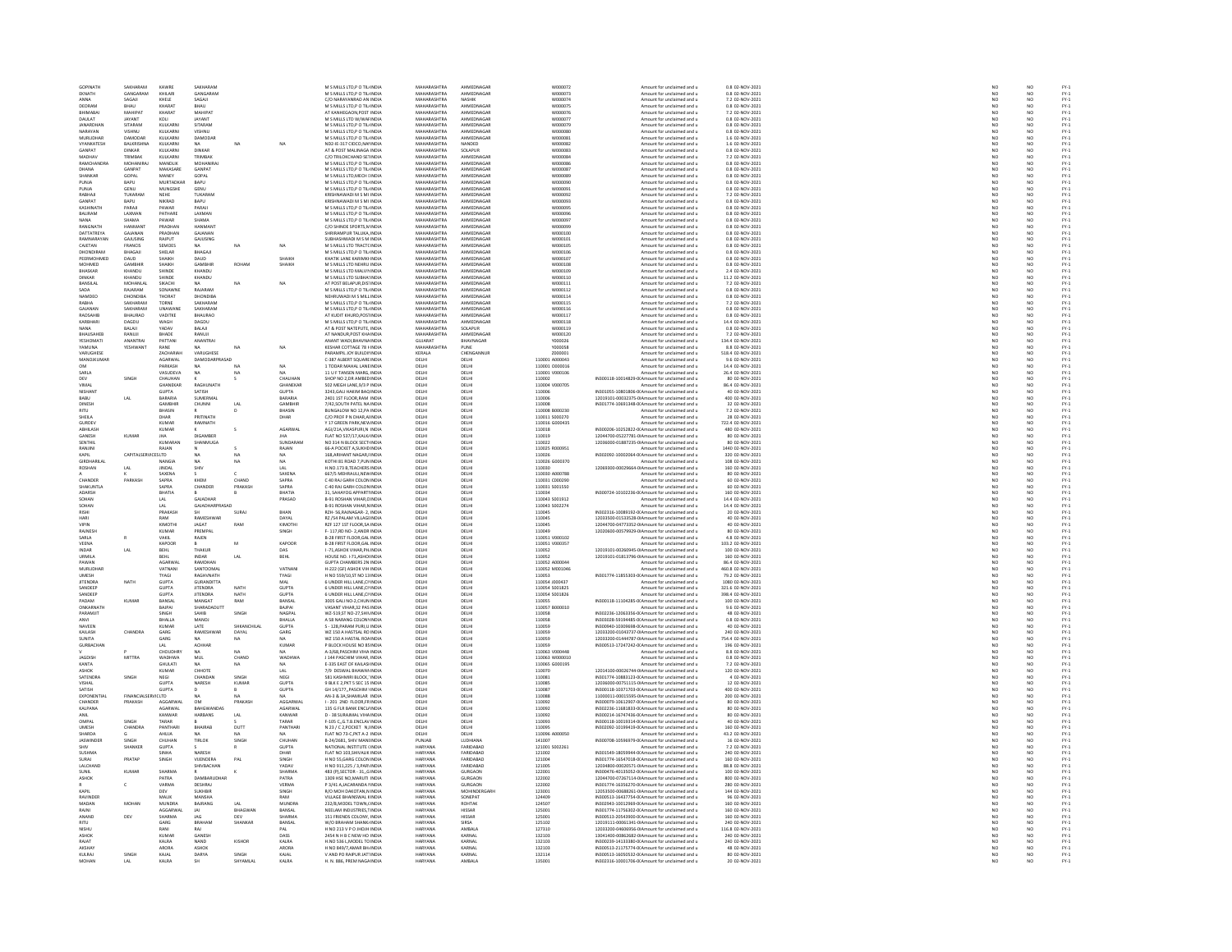GOPINATH SAKHARAM KAWRE SAKHARAM MEKNATH GANGARAM KHILARI GANGARAM MANNA SAGAJI KHELE SAGAJI C/ODEORAM BHAU KHARAT BHAU MBHIMABAI MAHIPAT KHARAT MAHIPAT ATDAULAT JAYANT KOLI JAYANT MJANARDHAN SITARAM KULKARNI SITARAM MNARAYAN VISHNU KULKARNI VISHNU MMURLIDHAR DAMODAR KULKARNI DAMODAR MVYANKATESH BALKRISHNA KULKARNI NA NA NA ND2‐IE‐317GANPAT DINKAR KULKARNI DINKAR ATMADHAV TRIMBAK KULKARNI TRIMBAK C/ORAMCHANDRA MOHANIRAJ MANDLIK MOHANIRAJ MDHANA GANPAT MAKASARE GANPAT MSHANKAR GOPAL MANEY GOPAL MPUNJA BAPU MURTADKAR BAPU MPUNJA GENU MUNGSHE GENU MRABHAJI TUKARAM NEHE TUKARAM KRISHNAWADIGANPAT BAPU NIKRAD BAPU KRISHNAWADIKASHINATH PARAJI PAWAR PARAJI MBALIRAM LAXMAN PATHARE LAXMAN MNANA SHAMA PAWAR SHAMA MRANGNATH HANMANT PRADHAN HANMANT C/ODATTATREYA GAJANAN PRADHAN GAJANAN SHRIRAMPURRAMNARAYAN GAJUSING RAJPUT GAJUSING SUBHASHWADICAJETAN FRANCIS SEMOES NA NA NA MDHONDIRAM BHAGAJI SHELAR BHAGAJI MPEERMOHMED DAUD SHAIKH DAUD SHAIKH KHATIKMOHMED GAMBHIR SHAIKH GAMBHIR ROHAM SHAIKH MBHASKAR KHANDU SHINDE KHANDU MDINKAR KHANDU SHINDE KHANDU MBANSILAL MOHANLAL SIKACHI NA NA NA ATSADA RAJARAM SONAWNE RAJARAM MNAMDEO DHONDIBA THORAT DHONDIBA NEHRUWADIRABHA SAKHARAM TORNE SAKHARAM MGAJANAN SAKHARAM UNAWANE SAKHARAM MRAOSAHIB BHAURAO VADITKE BHAURAO ATKARBHARI DAGDU WAGH DAGDU MNANA BALAJI YADAV BALAJI ATBHAUSAHEB RANUJI BHADE RANUJI ATYESHOMATI ANANTRAI PATTANI ANANTRAI ANANTYAMUNA YESHWANT RANE NA NA NA KESHARVARUGHESE ZACHARIAH VARUGHESE PARAMPILMANOJKUMAR AGARWAL DAMODARPRASAD C‐387OM PARKASH NA NA NA 1SARLA VASUDEVA NA NA NA 11DEV SINGH CHAUHAN K S CHAUHAN SHOPVIMAL GHANEKAR RAGHUNATH GHANEKAR 502NISHANT GUPTA SATISH GUPTA 3243,GALI HAKIMBABU LAL BARARIA SUMERMAL BARARIA 2401DINESH GAMBHIR CHUNNI LAL GAMBHIR 7/42,SOUTHRITU BHASIN R D BHASIN BUNGALOWSHEILA DHAR PRITINATH DHAR C/OGURDEV KUMAR RAMNATH YABHILASH KUMAR K S AGARWAL AGI/21A,VIKASPURI,NGANESH KUMAR JHA DIGAMBER JHA FLATSENTHIL KUMARAN SHANMUGA SUNDARAM NORANJINI RAJAN N S RAJAN 66‐AKAPIL CAPITALSERVICESLTD NA NA NA 168,ARIHANTGIRDHARILAL NANGIA NA NA NA KOTHIROSHAN LAL JINDAL SHIV LAL H.NO.173A K SAXENA S C SAXENA 667/5CHANDER PARKASH SAPRA KHEM CHAND SAPRA CSHAKUNTLA SAPRA CHANDER PRAKASH SAPRA C‐40ADARSH BHATIA B B BHATIA 31, SAHAYOGSOHAN LAL GAJADHAR PRASAD B‐91SOHAN LAL GAJADHARPRASAD B‐91RISHI PRAKASH SH SURAJ BHAN RZH‐ 56,RAJNAGAR‐ 2, INDIA DELHI DELHI 110045 IN302316‐10089192‐00Amount for unclaimed NAME AND MOST MANUFACTION CONDENSITY RANGEL EXAMPLEMENT DEVELOP AND MANUFACTION CONDENSITY IN A SERVE AND A SERVE AND A SERVE AND A SERVE AND A SERVE AND A SERVE AND A SERVE AND A SERVE AND A SERVE AND A SERVE AND A SERVE MADAN MOHAN MUNDRA BAJRANG LAL MUNDRA 232/8,MODEL TOWN,CINDIA HARYANA ROHTAK 124507 IN302943-10012969-00Amount for unclaimed RAIN DEV AGGRAVAL JAG BIHAWAN BANGA NEMERANA ISI NEMERANA DEV AGARAMA DEV BURANA DEN MELANTER DEN MELANTER DEN DE SAMANA SHAWARA BANGAL WORDER DE SAMANA SHAWARA BANGA<br>KASIM MENJI DEN MANGA GANAHA SHAWARA BANGA 24 ANG 24 A

| M S MILLS LTD,P O TIL INDIA<br>M S MILLS LTD,P O TIL INDIA<br>C/O NARAYANRAO AN INDIA<br>M S MILLS LTD,P O TIL INDIA                                                                                                                                   |                                |                          | wonnoza                                            | ount for un                                                                                                                         |
|--------------------------------------------------------------------------------------------------------------------------------------------------------------------------------------------------------------------------------------------------------|--------------------------------|--------------------------|----------------------------------------------------|-------------------------------------------------------------------------------------------------------------------------------------|
|                                                                                                                                                                                                                                                        | MAHARASHTRA                    | AHMEDNAGAR               | W000073                                            | Amount for unclaimed                                                                                                                |
|                                                                                                                                                                                                                                                        | MAHARASHTRA                    | NASHIK                   | W000074                                            | Amount for unclaimed                                                                                                                |
|                                                                                                                                                                                                                                                        | MAHARASHTRA                    | AHMEDNAGAR               | w000075                                            | Amount for unclaimed                                                                                                                |
| WI SWILLE LIQUE ON THE MAIL AND MILLS LTD W/WAI INDIA<br>M S MILLS LTD W/WAI INDIA<br>M S MILLS LTD,P O TIL INDIA<br>M S MILLS LTD,P O TIL INDIA<br>M S MILLS LTD,P O TIL INDIA                                                                        | MAHARASHTRA                    | AHMEDNAGAR               | W000076                                            | Amount for unclaimed                                                                                                                |
|                                                                                                                                                                                                                                                        | MAHARASHTRA                    | <b>AHMEDNAGAR</b>        | W000077                                            | Amount for unclaimed                                                                                                                |
|                                                                                                                                                                                                                                                        | MAHARASHTRA                    | AHMEDNAGAR               | W000079                                            | Amount for unclaimed                                                                                                                |
|                                                                                                                                                                                                                                                        | MAHARASHTRA                    | AHMEDNAGAR               | <b>wooooso</b>                                     | Amount for unclaimed                                                                                                                |
|                                                                                                                                                                                                                                                        | MAHARASHTRA                    | AHMEDNAGAR               | W000081                                            | Amount for unclaimed                                                                                                                |
| W 3 WILLS LIUP, O THE HUMBIA<br>ND2-IE-317 CIDEO,NAI INDIA<br>AT & POST MALINAGA INDIA<br>C/O TRILOKCHAND SE1 INDIA<br>M S MILLS LTD,P O TIL INDIA<br>M S MILLS LTD,P O TIL INDIA                                                                      | MAHARASHTRA<br>MAHARASHTRA     | NANDED<br>SOLAPUR        | W000082<br>W000083                                 | Amount for unclaimed<br>Amount for unclaimed                                                                                        |
|                                                                                                                                                                                                                                                        |                                |                          |                                                    |                                                                                                                                     |
|                                                                                                                                                                                                                                                        | MAHARASHTRA                    | AHMEDNAGAR               | W000084                                            | Amount for unclaimed                                                                                                                |
|                                                                                                                                                                                                                                                        | <b>MAHARASHTRA</b>             | AHMEDNAGAR               | woonger                                            | Amount for unclaimed                                                                                                                |
|                                                                                                                                                                                                                                                        | MAHARASHTRA                    | AHMEDNAGAR               | W000087                                            | Amount for unclaimed                                                                                                                |
|                                                                                                                                                                                                                                                        | MAHARASHTRA                    | AHMEDNAGAR               | W000089                                            | Amount for unclaimed<br>Amount for unclaimed                                                                                        |
|                                                                                                                                                                                                                                                        | MAHARASHTRA                    | AHMEDNAGAR               | W000090                                            |                                                                                                                                     |
|                                                                                                                                                                                                                                                        | <b>MAHARASHTRA</b>             | AHMEDNAGAR               | wooppat                                            |                                                                                                                                     |
| W 3 MILLS LTD, MECH I INDIA<br>M 5 MILLS LTD, MECH I INDIA<br>M 5 MILLS LTD, P O TIL INDIA<br>KRISHNAWADI M 5 MI INDIA<br>KRISHNAWADI M 5 MI INDIA                                                                                                     | <b>MAHARASHTRA</b>             | AHMEDNAGAR               | W000092                                            | Amount for unclaimed<br>Amount for unclaimed                                                                                        |
|                                                                                                                                                                                                                                                        | MAHARASHTRA                    | AHMEDNAGAR               | W000093                                            | Amount for unclaimed                                                                                                                |
|                                                                                                                                                                                                                                                        | MAHARASHTRA                    | AHMEDNAGAR               | woooo95                                            | Amount for unclaimed                                                                                                                |
|                                                                                                                                                                                                                                                        | MAHARASHTRA                    | AHMEDNAGAR               | W000096                                            | Amount for unclaimed                                                                                                                |
| KNISHNAWADI NI S NII INDIA<br>M S MILLS LTD,P O TIL INDIA<br>M S MILLS LTD,P O TIL INDIA<br>C/O SHINDE SPORTS,N INDIA<br>C/O SHINDE SPORTS,N INDIA                                                                                                     | <b>MAHARASHTRA</b>             | AHMEDNAGAR               | wooppaz                                            |                                                                                                                                     |
|                                                                                                                                                                                                                                                        | <b>MAHARASHTRA</b>             | AHMEDNAGAR               | w000099                                            | Amount for unclaimed<br>Amount for unclaimed                                                                                        |
| SHRIRAMPUR TALUKA INDIA                                                                                                                                                                                                                                | MAHARASHTRA                    | AHMEDNAGAR               | W000100                                            | Amount for unclaimed                                                                                                                |
| SHRIRAMPUR TALUKA, INDIA<br>SUBHASHWADI M S M INDIA<br>M S MILLS LTD TRACT( INDIA<br>M S MILLS LTD,P O TILI INDIA<br>KHATIK LANE KARIMKH INDIA                                                                                                         | MAHARASHTRA                    | AHMEDNAGAR               | W000101                                            | Amount for unclaimed                                                                                                                |
|                                                                                                                                                                                                                                                        | MAHARASHTRA                    | AHMEDNAGAR               | W000105                                            | Amount for unclaimed                                                                                                                |
|                                                                                                                                                                                                                                                        |                                |                          |                                                    |                                                                                                                                     |
|                                                                                                                                                                                                                                                        | MAHARASHTRA<br>MAHARASHTRA     | AHMEDNAGAR<br>AHMEDNAGAR | W000106<br>W000107                                 | Amount for unclaimed<br>Amount for unclaimed                                                                                        |
| KHATIK LANE KARIMKH INDIA<br>M S MILLS LTD NEARU INDIA<br>M S MILLS LTD MALVN INDIA<br>M S MILLS LTD SUBHA! INDIA<br>AT POST BELAPUR,DIS INDIA<br>M S MILLS LTD,P O TIL INDIA<br>M S MILLS LTD,P O TIL INDIA<br>AT MILLS LTD,P O TIL INDIA<br>AT MILLY | MAHARASHTRA                    | AHMEDNAGAR               | wono108                                            | Amount for unclaimed                                                                                                                |
|                                                                                                                                                                                                                                                        | MAHARASHTRA                    | AHMEDNAGAR               | W000109                                            | Amount for unclaimed                                                                                                                |
|                                                                                                                                                                                                                                                        | MAHARASHTRA                    | AHMEDNAGAR               | W000110                                            | Amount for unclaimed                                                                                                                |
|                                                                                                                                                                                                                                                        | <b>MAHARASHTRA</b>             | AHMEDNAGAR               | W000111                                            |                                                                                                                                     |
|                                                                                                                                                                                                                                                        | MAHARASHTRA                    | AHMEDNAGAR               | W000112                                            | Amount for unclaimed<br>Amount for unclaimed                                                                                        |
|                                                                                                                                                                                                                                                        | <b>MAHARASHTRA</b>             |                          | W000114                                            |                                                                                                                                     |
|                                                                                                                                                                                                                                                        |                                | AHMEDNAGAR               |                                                    | Amount for unclaimed                                                                                                                |
|                                                                                                                                                                                                                                                        | MAHARASHTRA<br>MAHARASHTRA     | AHMEDNAGAR<br>AHMEDNAGAR | W000115<br>W000116                                 | Amount for unclaimed<br>Amount for unclaimed                                                                                        |
|                                                                                                                                                                                                                                                        | MAHARASHTRA                    | AHMEDNAGAR               | W000117                                            |                                                                                                                                     |
| AT KUDIT KHURD,POSTINDIA<br>M S MILLS LTD,P O TIL INDIA                                                                                                                                                                                                |                                |                          |                                                    | Amount for unclaimed                                                                                                                |
|                                                                                                                                                                                                                                                        | MAHARASHTRA                    | AHMEDNAGAR               | W000118                                            | Amount for unclaimed                                                                                                                |
| AT & POST NATEPUTE, INDIA<br>AT & POST NATEPUTE, INDIA<br>AT NANDUR,POST KHA INDIA                                                                                                                                                                     | <b>MAHARASHTRA</b>             | SOLAPUR                  | W000119                                            | Amount for unclaimed                                                                                                                |
|                                                                                                                                                                                                                                                        | MAHARASHTRA                    | AHMEDNAGAR               | W000120                                            | Amount for unclaimed                                                                                                                |
|                                                                                                                                                                                                                                                        | GUJARAT                        | BHAVNAGAR                | vonnos                                             | Amount for unclaimed<br>Amount for unclaimed                                                                                        |
|                                                                                                                                                                                                                                                        | MAHARASHTRA                    | PUNE                     | Y000058                                            |                                                                                                                                     |
| PARAMPIL JOY BUILDII INDIA<br>C-387 ALBERT SQUARE INDIA                                                                                                                                                                                                | KERALA                         | <br>CHENGANNUR<br>DELHI  | znoppot                                            | Amount for unclaimed<br>Amount for unclaimed                                                                                        |
|                                                                                                                                                                                                                                                        | DELHI                          |                          | 110001 A000043                                     |                                                                                                                                     |
| 1 TODAR MAHAL LANE INDIA                                                                                                                                                                                                                               | DELHI                          | DELHI                    | 110001 0000016                                     | Amount for unclaimed                                                                                                                |
| 11 U F TANSEN MARG, INDIA<br>SHOP NO 2,DR AMBED INDIA                                                                                                                                                                                                  | DELHI                          | DELHI                    | 110001 V000106                                     | Amount for unclaimed                                                                                                                |
|                                                                                                                                                                                                                                                        | DELHI                          | DELHI                    | 110002                                             | IN300118-10014829-0(Amount for unclaimed                                                                                            |
|                                                                                                                                                                                                                                                        | DELHI<br>DELHI                 | DELHI<br>DELHI           | 110004 V000705                                     | Amount for unclaimed<br>M301055-10801806-00 Amount for unclaimed                                                                    |
|                                                                                                                                                                                                                                                        |                                |                          | 110006                                             |                                                                                                                                     |
| 2401 1ST FLOOR,RAM INDIA<br>7/42,SOUTH PATEL NA INDIA                                                                                                                                                                                                  | <b>DELHI</b>                   | <b>DELHI</b>             | 110006                                             | 12019101-00032375-0IAmount for unclaimed                                                                                            |
|                                                                                                                                                                                                                                                        | DELHI                          | DELH                     | 110008                                             | IN301774-10691348-0(Amount for unclaimed                                                                                            |
|                                                                                                                                                                                                                                                        | DELHI                          | DELHI                    | 110008 8000230                                     | Amount for unclaimed                                                                                                                |
|                                                                                                                                                                                                                                                        |                                | DELH                     |                                                    |                                                                                                                                     |
|                                                                                                                                                                                                                                                        | DELHI<br>DELHI                 | DELHI                    | 110000 0000250<br>110011 5000270<br>110016 G000435 | Amount for unclaimed<br>Amount for unclaimed                                                                                        |
| 7142<br>BUNGALOW NO 12,PA INDIA<br>C/O PROF P N DHAR,AI INDIA<br>Y 17 GREEN PARK,NEW INDIA<br>HAT NO 537/17,KALKJ INDIA<br>FLAT NO 537/17,KALKJ INDIA                                                                                                  | <b>DELHI</b>                   | <b>DELHI</b>             | 110018                                             | IN300206-10252822-0(Amount for unclaimed                                                                                            |
|                                                                                                                                                                                                                                                        | DELHI                          | DELH                     | 110019                                             | 12044700-05227781-0IAmount for unclaimed                                                                                            |
| NO 314 N BLOCK SECTI INDIA<br>66-A POCKET A,SUKHD INDIA                                                                                                                                                                                                | DELHI                          | DELHI                    | 110022                                             | 12036000-01887235-0IAmount for unclaimed                                                                                            |
|                                                                                                                                                                                                                                                        | DELHI                          | DELH                     | 110025 R000951                                     | Amount for unclaimed                                                                                                                |
| 168,ARIHANT NAGAR,I INDIA<br>KOTHI 81 ROAD 7,PUN INDIA<br>KOTHI 81 ROAD 7,PUN INDIA<br>H.NO.173 B,TEACHERS INDIA<br>667/S MEHRAULI,NEW INDIA                                                                                                           | DELHI                          | DELHI                    | 110026                                             | IN302092-10002064-0(Amount for unclaimed                                                                                            |
|                                                                                                                                                                                                                                                        | DELHI<br>DELHI                 | DELHI<br>DELHI           | 110026 G000370<br>110030                           | Amount for uncluding<br>Amount for unclaimed<br>12069300-00029664-01Amount for unclaimed                                            |
|                                                                                                                                                                                                                                                        |                                |                          |                                                    |                                                                                                                                     |
|                                                                                                                                                                                                                                                        | DELHI                          | DELHI                    | 110030 A000788                                     | Amount for unclaimed                                                                                                                |
| C-40 RAJ GARH COLÓN INDIA<br>C-40 RAJ GARH COLÓN INDIA<br>C-40 RAJ GARH COLÓN INDIA                                                                                                                                                                    | DELHI                          | DELH                     | 110031 C000290                                     | Amount for unclaimed                                                                                                                |
|                                                                                                                                                                                                                                                        | DELHI                          |                          |                                                    |                                                                                                                                     |
|                                                                                                                                                                                                                                                        |                                |                          |                                                    |                                                                                                                                     |
|                                                                                                                                                                                                                                                        |                                | DELHI                    | 110031 S001550                                     | Amount for unclaimed                                                                                                                |
|                                                                                                                                                                                                                                                        | DELHI                          | DELH                     | 110034                                             | N300724-10102236-0(Amount for unclaimed                                                                                             |
|                                                                                                                                                                                                                                                        | DELHI                          | DELHI                    | 110043 S001912                                     | Amount for unclaimed                                                                                                                |
|                                                                                                                                                                                                                                                        | DELHI                          | DELHI                    | 110043 S002274                                     | Amount for unclaimed                                                                                                                |
|                                                                                                                                                                                                                                                        | DELHI                          | DELHI                    | 110045                                             | IN302316-10089192-0(Amount for unclaimed                                                                                            |
|                                                                                                                                                                                                                                                        | DELHI                          | DELHI                    | 110045                                             | 12033500-01533528-0IAmount for unclaimed                                                                                            |
|                                                                                                                                                                                                                                                        | DELHI                          | DELH                     | 110045                                             | 12044700-04773352-0IAmount for unclaimed                                                                                            |
| C-40 RAJ GARH COLON INDIA<br>31, SAHAYOG APPARTI INDIA<br>B-91 ROSHAN VIHAR,C INDIA<br>R2H- 56,RAJNAGAR- 2, INDIA<br>R2H- 56,RAJNAGAR- 2, INDIA<br>R2 /54 PALAM VILLAGI INDIA<br>C- 117 BD NO- 2 ANDB INDIA                                            | DELHI                          | DELHI                    | 110049                                             | 12020600-00579929-0IAmount for unclaimed                                                                                            |
|                                                                                                                                                                                                                                                        | DELHI                          | DELHI                    | 110051 V000102                                     | Amount for unclaimed                                                                                                                |
| F-117,RD NO-2,ANDR INDIA<br>B-28 FIRST FLOOR,GAL INDIA<br>B-28 FIRST FLOOR,GAL INDIA                                                                                                                                                                   | DELHI                          | DELHI                    | 110051 V000357                                     | Amount for unclaimed                                                                                                                |
|                                                                                                                                                                                                                                                        | DELHI                          | DELHI                    | 110052                                             |                                                                                                                                     |
|                                                                                                                                                                                                                                                        | DELHI                          | DELHI                    | 110052                                             | 12019101-00260945-01Amount for unclaimed<br>12019101-01813796-01Amount for unclaimed                                                |
| <b>GUPTA CHAMBERS 2N INDIA</b>                                                                                                                                                                                                                         | DELHI                          | <b>DELHI</b>             | 110052 A000044                                     |                                                                                                                                     |
|                                                                                                                                                                                                                                                        | DELHI                          | DELHI                    | 110052 M001046                                     |                                                                                                                                     |
| OUF TA CHAWBERS ZN INDIA<br>H-222 (GF) ASHOK VIH INDIA<br>H NO 559/10,ST NO 13 INDIA                                                                                                                                                                   | DELHI                          | DELHI                    | 110053                                             | Amount for unclaimed<br>Amount for unclaimed<br>Amount for unclaimed<br>IN301774-11855303-00 Amount for unclaimed                   |
|                                                                                                                                                                                                                                                        | DELHI                          | DELHI                    |                                                    |                                                                                                                                     |
|                                                                                                                                                                                                                                                        | DELHI                          | DELHI                    | 110054 J000437<br>110054 S001825                   | Amount for unclaimed<br>Amount for unclaimed                                                                                        |
|                                                                                                                                                                                                                                                        |                                | DELHI                    | 110054 S001826                                     |                                                                                                                                     |
|                                                                                                                                                                                                                                                        |                                | DELHI                    | 110055                                             |                                                                                                                                     |
|                                                                                                                                                                                                                                                        | DELHI<br>DELHI<br>DELHI        | DELHI                    | 110057 8000010                                     | Amount for unclaimed<br>Amount for unclaimed<br>IN300118-11104285-0(Amount for unclaimed<br>Amount for unclaimed                    |
|                                                                                                                                                                                                                                                        | DELHI                          | DELH                     | 110058                                             |                                                                                                                                     |
| VASANT VIHAR, 32 PAS INDIA<br>WZ-519, ST NO-27, SHN INDIA                                                                                                                                                                                              | DELHI                          | DELHI                    | 110058                                             | IN302236-12063356-0( Amount for unclaimed<br>IN303028-59194485-0(Amount for unclaimed                                               |
|                                                                                                                                                                                                                                                        |                                |                          | 110059                                             |                                                                                                                                     |
|                                                                                                                                                                                                                                                        | DELHI<br>DELHI                 | DELHI<br>DELHI           | 110059                                             | IN300940-10309698-00 Amount for unclaimed<br>12033200-01043737-01 Amount for unclaimed                                              |
| A 58 NARANG COLONI INDIA<br>S - 128,PARAM PURI,U INDIA<br>WZ 150 A HASTSAL RO INDIA                                                                                                                                                                    | DELHI                          | DELHI                    | 110059                                             | 12033200-01444787-0IAmount for unclaimed                                                                                            |
|                                                                                                                                                                                                                                                        | DELHI                          | DELH                     | 110059                                             |                                                                                                                                     |
| WZ 150 A HASTAL ROA INDIA<br>P BLOCK HOUSE NO 85 INDIA<br>A-3/68.PASCHIM VIHA INDIA                                                                                                                                                                    | DELHI                          | DELHI                    | 110063 V000448                                     | IN300513-17247242-0(Amount for unclaimed<br>Amount for unclaimed                                                                    |
|                                                                                                                                                                                                                                                        |                                | DELHI                    |                                                    |                                                                                                                                     |
|                                                                                                                                                                                                                                                        | DELHI<br>DELHI                 | DELHI                    | 110063 W000010<br>110065 G000195                   | Amount for unclaimed<br>Amount for unclaimed                                                                                        |
| 144 PASCHIM VIHAR, INDIA<br>E-335 EAST OF KAILASI INDIA                                                                                                                                                                                                |                                |                          | 110070                                             |                                                                                                                                     |
|                                                                                                                                                                                                                                                        |                                |                          |                                                    |                                                                                                                                     |
|                                                                                                                                                                                                                                                        | DELHI<br>DELHI<br>DELHI        | DELHI<br>DELHI<br>DELHI  | 110081<br>110085                                   | 2014100-00026744-01Amount for unclaimed<br>M301774-10883123-0(Amount for unclaimed<br>12036000-00751115-0(Amount for unclaimed      |
|                                                                                                                                                                                                                                                        |                                | DELH                     | 110087                                             |                                                                                                                                     |
| E-335 EAST OF KAILASI INDIA<br>7/9 DESWAL BHAWAN INDIA<br>581 KASHMIRI BLOCK," INDIA<br>9 BLK E 2,PKT 5 SEC 15 INDIA<br>GH 14/177,,PASCHIM I INDIA                                                                                                     | DELHI<br>DELHI                 | DELHI                    | 110088                                             | IN300118-10371703-0(Amount for unclaimed<br>11000011-00015595-0(Amount for unclaimed                                                |
|                                                                                                                                                                                                                                                        |                                |                          |                                                    |                                                                                                                                     |
| .<br>AN-3 & 3A,SHAMILAR INDIA<br>I - 201 2ND FLOOR,FRINDIA                                                                                                                                                                                             | DELHI                          | DELH                     | 110092                                             | IN300079-10612907-01 Amount for unclaimed                                                                                           |
| 135 G FLR BANK ENCL/ INDIA                                                                                                                                                                                                                             | DELHI                          | DELHI                    | 110092<br>110092                                   | IN302236-11681833-0(Amount for unclaimed                                                                                            |
|                                                                                                                                                                                                                                                        |                                | DELHI                    |                                                    |                                                                                                                                     |
|                                                                                                                                                                                                                                                        | DELHI<br>DELHI<br><b>DELHI</b> | DELHI<br><b>DELHI</b>    | 110093                                             | IN300214-16747436-00Amount for unclaimed<br>IN300214-16747436-00Amount for unclaimed                                                |
|                                                                                                                                                                                                                                                        |                                |                          |                                                    |                                                                                                                                     |
|                                                                                                                                                                                                                                                        | <br>DELHI                      | DELHI                    | 110095<br>110096 A000050                           |                                                                                                                                     |
| 135 G PLA BAINAL VIHA INDIA<br>D - 38 SURAIMAL VIHA INDIA<br>F-105 C <sub>M</sub> G.T.B.ENCLAV INDIA<br>N 23 / C 2, POCKET - NJ INDIA<br>ELAT NO 73-C, PKT A-2 INDIA<br>B-24/2681, SHIV MANI INDIA                                                     | PUNJAB                         | LUDHIANA                 | 141007                                             | IN302092-10199419-0<br>M302092-10199419-0<br>Amount for unclaimed<br>IN300708-10596979-0<br>CAmount for unclaimed                   |
|                                                                                                                                                                                                                                                        | HARYANA                        | FARIDABAD                | 121001 S002261                                     |                                                                                                                                     |
|                                                                                                                                                                                                                                                        | HARYANA                        | FARIDABAD                | 121002                                             | Amount for unclaimed<br>Amount for unclaimed<br>IN301549-18059944-0(Amount for unclaimed                                            |
|                                                                                                                                                                                                                                                        | HARYANA                        | FARIDARAD                | 121004                                             |                                                                                                                                     |
|                                                                                                                                                                                                                                                        | HARYANA                        | FARIDABAD                | 121005                                             | IN301774-16547018-00 Amount for unclaimed<br>12034800-00020571-01 Amount for unclaimed                                              |
|                                                                                                                                                                                                                                                        | HARYANA                        | GURGAON                  | 122001                                             | IN300476-40135052-0(Amount for unclaimed                                                                                            |
|                                                                                                                                                                                                                                                        |                                |                          | 122002                                             |                                                                                                                                     |
|                                                                                                                                                                                                                                                        | HARYANA<br>HARYANA             | GURGAON<br>GURGAON       | 122002                                             | IN300476/40153032/004/infound for unclaimed<br>12044700-07267114-01Amount for unclaimed<br>IN301774-16356270-00Amount for unclaimed |
|                                                                                                                                                                                                                                                        | HARYANA                        | MOHINDERGARH             | 123001                                             |                                                                                                                                     |
| n vo 911,223 / 3,7748111004<br>483 (P),SECTOR - 31,,G INDIA<br>1309 HSE NO,MARUTI INDIA<br>P 3/41 A,JACARANDA I INDIA<br>R/O MOH DAKOTAN,N INDIA<br>VILLAGE BHAINSWAL 1 INDIA                                                                          | HARYANA                        | SONEPAT                  | 124409                                             | 12053500-00688261-01Amount for unclaimed<br>IN300513-16437754-0(Amount for unclaimed                                                |
|                                                                                                                                                                                                                                                        | HARYANA                        | ROHTAK                   | 124507                                             |                                                                                                                                     |
|                                                                                                                                                                                                                                                        | HARYANA                        | <b>HISSAR</b>            | 125001                                             | IN302943-10012969-0(Amount for unclaimed<br>IN302943-10012969-0(Amount for unclaimed                                                |
|                                                                                                                                                                                                                                                        | HARYANA                        | <b>HISSAR</b>            | 125001                                             | IN300513-20543900-0(Amount for unclaimed                                                                                            |
| 151 FRIENDS COLONY, INDIA<br>W/O BRAHAM SHANKI INDIA                                                                                                                                                                                                   | HARYANA                        | SIRSA                    | 125102                                             | 12019111-00061341-0IAmount for unclaimed                                                                                            |
| H NO 213 V P O JHOJH INDIA                                                                                                                                                                                                                             | HARYANA                        | AMBALA                   | 127310                                             | 12033200-04606956-0IAmount for unclaimed                                                                                            |
|                                                                                                                                                                                                                                                        | HARYANA                        | KARNAI                   | 132103                                             |                                                                                                                                     |
| 2454 N H B C NEW HO INDIA<br>2454 N H B C NEW HO INDIA<br>H.NO 536 L,MODEL TO INDIA                                                                                                                                                                    | HARYANA                        | KARNAL                   | 132103                                             | 13041400-00862682-01Amount for unclaimed<br>IN300239-14133380-0(Amount for unclaimed                                                |
|                                                                                                                                                                                                                                                        | HARYANA                        | KARNAL                   | 132103                                             | IN300513-21175774-0(Amount for unclaimed                                                                                            |
|                                                                                                                                                                                                                                                        | HARYANA                        | KARNAL                   | 132114                                             |                                                                                                                                     |
| H NO 849/7,AMAR BHI INDIA<br>V AND PO RAIPUR JAT INDIA<br>H. N. 886, PREM NAGA INDIA                                                                                                                                                                   | HARYANA                        | AMBALA                   | 135001                                             | IN300513-16050532-0(Amount for unclaimed<br>IN302316-10001706-0(Amount for unclaimed                                                |

| M S MILLS LTD,P O TIL INDIA                                                               | MAHARASHTRA                       | AHMEDNAGAR                      | W000072                          | Amount for unclaimed and u                                                                                 | 0.8 02-NOV-2021                      |
|-------------------------------------------------------------------------------------------|-----------------------------------|---------------------------------|----------------------------------|------------------------------------------------------------------------------------------------------------|--------------------------------------|
| M S MILLS LTD,P O TIL INDIA<br>C/O NARAYANRAO AN INDIA                                    | MAHARASHTRA<br>MAHARASHTRA        | AHMEDNAGAR<br>NASHIK            | W000073<br>wooogza               | Amount for unclaimed and u                                                                                 | 0.8 02-NOV-2021<br>7.2 02-NOV-2021   |
| M S MILLS LTD,P O TIL INDIA                                                               | <b>MAHARASHTRA</b>                | AHMEDNAGAR                      | W000075                          | Amount for unclaimed and u<br>Amount for unclaimed and u                                                   | 0.8 02-NOV-2021                      |
|                                                                                           | MAHARASHTRA                       | AHMEDNAGAR                      | W000076                          | Amount for unclaimed and u                                                                                 | 7.2 02-NOV-2021                      |
| AT KANHEGAON,POST INDIA<br>M S MILLS LTD W/WAI INDIA                                      | MAHARASHTRA                       | AHMEDNAGAR                      | W000077                          | Amount for unclaimed and u                                                                                 | 0.8 02-NOV-2021                      |
| M S MILLS LTD, P O TIL INDIA                                                              | MAHARASHTRA                       | AHMEDNAGAR                      | W000079                          | Amount for unclaimed and u                                                                                 | 0.8 02-NOV-2021                      |
| M S MILLS LTD,P O TIL INDIA<br>M S MILLS LTD,P O TIL INDIA<br>M S MILLS LTD,P O TIL INDIA | <b>MAHARASHTRA</b>                | AHMEDNAGAR                      | wooooso                          | Amount for unclaimed and u                                                                                 | 0.8 02-NOV-2021                      |
|                                                                                           | MAHARASHTRA<br><b>MAHARACHTRA</b> | AHMEDNAGAR                      | W000081<br>woonnes               | Amount for unclaimed and u                                                                                 | 1.6 02-NOV-2021                      |
| ND2-IE-317 CIDCO, NATINDIA<br>AT & POST MALINAGA INDIA                                    | MAHARASHTRA                       | NANDED<br>SOLAPUR               | W000083                          | Amount for unclaimed and u<br>Amount for unclaimed and u                                                   | 1.6 02-NOV-2021<br>0.8 02-NOV-2021   |
| C/O TRILOKCHAND SETINDIA                                                                  | MAHARASHTRA                       | AHMEDNAGAR                      | W000084                          | Amount for unclaimed and u                                                                                 | 7.2 02-NOV-2021                      |
| M S MILLS LTD,P O TIL INDIA<br>M S MILLS LTD,P O TIL INDIA<br>M S MILLS LTD,P O TIL INDIA | <b>MAHARASHTRA</b>                | AHMEDNAGAR                      | <b>woooose</b>                   | Amount for unclaimed and u                                                                                 | 0.8 02-NOV-2021                      |
| M S MILLS LTD, MECH I INDIA                                                               | MAHARASHTRA<br>MAHARASHTRA        | AHMEDNAGAR<br><b>AUMERNAGAR</b> | W000087<br><b>W000089</b>        | Amount for unclaimed and u<br>Amount for unclaimed and u                                                   | 0.8 02-NOV-2021<br>0.8 02-NOV-2021   |
| M S MILLS LTD, PO TIL INDIA                                                               | MAHARASHTRA                       | AHMEDNAGAR                      | W000090                          | Amount for unclaimed and u                                                                                 | 0.8 02-NOV-2021                      |
| M S MILLS LTD,P O TIL INDIA                                                               | MAHARASHTRA                       | AHMEDNAGAR                      | wonnos1                          | Amount for unclaimed and u                                                                                 | 0.8 02-NOV-2021                      |
| KRISHNAWADI M S MI INDIA                                                                  | MAHARASHTRA                       | AHMEDNAGAR                      | W000092                          | Amount for unclaimed and u                                                                                 | 7.2 02-NOV-2021                      |
| KRISHNAWADI M S MI INDIA                                                                  | MAHARASHTRA<br><br>MAHARASHTRA    | AHMEDNAGAR<br><b>AUMERNAGAR</b> | W000093<br>wonnogs               | Amount for unclaimed and u                                                                                 | 0.8 02-NOV-2021                      |
| M S MILLS LTD,P O TIL INDIA<br>M S MILLS LTD, PO TIL INDIA                                | MAHARASHTRA                       | AHMEDNAGAR                      | W000096                          | Amount for unclaimed and u<br>Amount for unclaimed and u                                                   | 0.8 02-NOV-2021<br>0.8 02-NOV-2021   |
|                                                                                           | MAHARASHTRA                       | AHMEDNAGAR                      | wononez                          | Amount for unclaimed and u                                                                                 | 0.8 02-NOV-2021                      |
| M S MILLS LTD, P O TIL INDIA<br>C/O SHINDE SPORTS,N INDIA                                 | MAHARASHTRA                       | AHMEDNAGAR                      | W000099                          | Amount for unclaimed and u                                                                                 | 0.8 02-NOV-2021                      |
| SHRIRAMPUR TALUKA INDIA                                                                   | MAHARASHTRA                       | AHMEDNAGAR                      | woopton                          | Amount for unclaimed and u                                                                                 | 0.8.02-NOV-2021                      |
| SUBHASHWADI M S M INDIA                                                                   | <b>MAHARASHTRA</b>                | <b>AHMEDNAGAR</b>               | W000101                          | Amount for unclaimed and u                                                                                 | 0.8 02-NOV-2021                      |
| M S MILLS LTD TRACT( INDIA<br>M S MILLS LTD,P O TIL INDIA<br>KHATIK LANE KARIMKH INDIA    | MAHARASHTRA                       | AHMEDNAGAR                      | W000105                          | Amount for unclaimed and u                                                                                 | 0.8 02-NOV-2021                      |
|                                                                                           | MAHARASHTRA                       | AHMEDNAGAR                      | W000106                          | Amount for unclaimed and u                                                                                 | 0.8 02-NOV-2021                      |
|                                                                                           | MAHARASHTRA<br>MAHARASHTRA        | AHMEDNAGAR<br>AHMEDNAGAR        | W000107<br>wooptos               | Amount for unclaimed and u<br>Amount for unclaimed and u                                                   | 0.8 02-NOV-2021<br>0.8.02-NOV-2021   |
|                                                                                           | <b>MAHARASHTRA</b>                | <b>AHMEDNAGAR</b>               | W000109                          | Amount for unclaimed and u                                                                                 | 2.4 02-NOV-2021                      |
| M S MILLS LTD SUBHA! INDIA                                                                | MAHARASHTRA                       | AHMEDNAGAR                      | W000110                          | Amount for unclaimed and u                                                                                 | 11.2 02-NOV-2021                     |
| AT POST BELAPUR, DIS' INDIA                                                               | <b>MAHARASHTRA</b>                | AHMEDNAGAR                      | W000111                          | Amount for unclaimed and u                                                                                 | 7.2 02-NOV-2021                      |
| M S MILLS LTD,P O TIL INDIA<br>NEHRUWADI M S MILL INDIA                                   | MAHARASHTRA                       | AHMEDNAGAR                      | W000112                          | Amount for unclaimed and u                                                                                 | 0.8 02-NOV-2021                      |
|                                                                                           | <b>MAHARASHTRA</b>                | AHMEDNAGAR                      | W000114                          | Amount for unclaimed and u                                                                                 | 0.8 02-NOV-2021                      |
| M S MILLS LTD,P O TIL INDIA<br>M S MILLS LTD,P O TIL INDIA                                | MAHARASHTRA                       | AHMEDNAGAR                      | W000115                          | Amount for unclaimed and u                                                                                 | 7.2 02-NOV-2021                      |
|                                                                                           | MAHARASHTRA<br><b>MAHARASHTRA</b> | AHMEDNAGAR<br>AHMEDNAGAR        | W000116<br>W000117               | Amount for unclaimed and u<br>Amount for unclaimed and u                                                   | 0.8 02-NOV-2021<br>0.8 02-NOV-2021   |
| AT KUDIT KHURD,POSTINDIA<br>M S MILLS LTD,P O TIL INDIA                                   | MAHARASHTRA                       | AHMEDNAGAR                      | W000118                          | Amount for unclaimed and u                                                                                 | 14.4 02-NOV-2021                     |
| AT & POST NATEPUTE, INDIA                                                                 | <b>MAHARASHTRA</b>                | SOLAPUR                         | W000119                          | Amount for unclaimed and u                                                                                 | 0.8 02-NOV-2021                      |
| AT NANDUR, POST KHA INDIA                                                                 | MAHARASHTRA                       | AHMEDNAGAR                      | W000120                          | Amount for unclaimed and u                                                                                 | 7.2 02-NOV-2021                      |
| ANANT WADI,BHAVNA INDIA                                                                   | GUJARAT                           | BHAVNAGAR                       | Y000026                          | Amount for unclaimed and u                                                                                 | 134.4 02-NOV-2021                    |
| KESHAR COTTAGE 78 HINDIA                                                                  | MAHARASHTRA                       | PUNE                            | Y000058                          | Amount for unclaimed and u                                                                                 | 8.8 02-NOV-2021                      |
| PARAMPH JOY RUILDILINDIA                                                                  | KERALA                            | CHENGANNUE                      | zooppo                           | Amount for unclaimed and u                                                                                 | 518.4 02-NOV-2021                    |
| C-387 ALBERT SQUARE INDIA                                                                 | DELHI                             | DELHI                           | 110001 A000043                   | Amount for unclaimed and u                                                                                 | 9.6 02-NOV-2021                      |
| 1 TODAR MAHAL LANE INDIA                                                                  | DELHI<br>DELHI                    | DELHI<br>DELHI                  | 110001 0000016<br>110001 V000106 | Amount for unclaimed and u<br>Amount for unclaimed and u                                                   | 14.4 02-NOV-2021<br>26.4 02-NOV-2021 |
| 11 U F TANSEN MARG, INDIA<br>SHOP NO 2,DR AMBED INDIA                                     | DELHI                             | DELHI                           | 110002                           | IN300118-10014829-0(Amount for unclaimed and u                                                             | 80 02-NOV-2021                       |
| 502 MEGH LANE, 9/3 P INDIA                                                                | DELHI                             | <b>DELHI</b>                    | 110004 V000705                   | Amount for unclaimed and u                                                                                 | 86.4 02-NOV-2021                     |
| 3243, GALI HAKIM BACINDIA                                                                 | DELHI                             | DELHI                           | 110006                           | IN301055-10801806-0(Amount for unclaimed and u                                                             | 40 02-NOV-2021                       |
| 2401 1ST FLOOR,RAM INDIA<br>7/42,SOUTH PATEL NA INDIA                                     | <b>DELHI</b>                      | <b>DELHI</b>                    | 110006                           | 12019101-00032375-0LAmount for unclaimed and u                                                             | 400.02-NOV-2021                      |
|                                                                                           | DELHI                             | DELH                            | 110008                           | IN301774-10691348-0(Amount for unclaimed and u                                                             | 32 02-NOV-2021                       |
| BUNGALOW NO 12.PA INDIA                                                                   | DELHI                             | DELHI<br><b>DELH</b>            | 110008 8000230                   | Amount for unclaimed and u                                                                                 | 7.2 02-NOV-2021                      |
| C/O PROF P N DHAR, A INDIA                                                                | DELH<br>DELHI                     | DELHI                           | 110011 S000270                   | Amount for unclaimed and u                                                                                 | 28 02-NOV-2021<br>722.4 02-NOV-2021  |
| Y 17 GREEN PARK, NEV INDIA<br>AGI/21A VIKASPURI N INDIA                                   | <b>DELHI</b>                      | <b>DELHI</b>                    | 110016 G000435<br>110018         | Amount for unclaimed and u<br>IN300206-10252822-0(Amount for unclaimed and u                               | 480.02-NOV-2021                      |
| FLAT NO 537/17, KALKI INDIA                                                               | DELHI                             | DELH                            | 110019                           | 12044700-05227781-0IAmount for unclaimed and u                                                             | 80 02-NOV-2021                       |
|                                                                                           | DELHI                             | DELHI                           | 110022                           | 12036000-01887235-0(Amount for unclaimed and u                                                             | 80 02-NOV-2021                       |
| NO 314 N BLOCK SECTI INDIA<br>66-A POCKET A,SUKHD INDIA                                   | DELHI                             | DELH                            | 110025 R000951                   | Amount for unclaimed and u                                                                                 | 1440 02-NOV-2021                     |
|                                                                                           | DELHI                             | DELHI                           | 110026                           | IN302092-10002064-0(Amount for unclaimed and u                                                             | 320 02-NOV-2021                      |
| 168,ARIHANT NAGAR,I INDIA<br>KOTHI 81 ROAD 7,PUN INDIA<br>H.NO.173 B,TEACHERS INDIA       | DELHI<br>DELHI                    | DELHI<br>DELHI                  | 110026 G000370                   | Amount for unclaimed and u<br>Amount for unclaimed and u<br>12069300-00029664-0IAmount for unclaimed and u | 108 02-NOV-2021<br>160 02-NOV-2021   |
|                                                                                           |                                   |                                 | 110030                           |                                                                                                            |                                      |
| 667/S MEHRAULI.NEW INDIA                                                                  | DELHI                             | DELHI                           | 110030 A000788                   | Amount for unclaimed and u                                                                                 | 80 02-NOV-2021                       |
| C 40 RAJ GARH COLON INDIA                                                                 | DELH                              | DELHI                           | 110031 C000290                   | Amount for unclaimed and u                                                                                 | 60 02-NOV-2021                       |
| C-40 RAJ GARH COLON INDIA                                                                 | DELHI                             | DELHI                           | 110031 S001550                   | Amount for unclaimed and u                                                                                 | 60 02-NOV-2021                       |
| 31, SAHAYOG APPARTI INDIA                                                                 | DELH                              | DELH                            | 110034                           | N300724-10102236-0(Amount for unclaimed and u                                                              | 160 02-NOV-2021                      |
| B-91 ROSHAN VIHAR,C INDIA<br>B-91 ROSHAN VIHAR,N INDIA                                    | DELHI<br>DELHI                    | DELHI<br>DELHI                  | 110043 S001912<br>110043 S002274 | Amount for unclaimed and u                                                                                 | 14.4 02-NOV-2021<br>14.4 02-NOV-2021 |
| RZH-56,RAJNAGAR-2, INDIA                                                                  | DELHI                             | DELHI                           | 110045                           | Amount for unclaimed and u<br>IN302316-10089192-0(Amount for unclaimed and u                               | 20 02-NOV-2021                       |
| RZ /S4 PALAM VILLAGI INDIA                                                                | DELHI                             | DELHI                           | 110045                           | 12033500-01533528-0(Amount for unclaimed and u                                                             | 40 02-NOV-2021                       |
| RZF 127 1ST FLOOR, SA INDIA                                                               | DELH                              | DELH                            | 110045                           | 12044700-04773352-0IAmount for unclaimed and u                                                             | 40 02-NOV-2021                       |
| F-117.RD NO-2.ANDR INDIA                                                                  | DELHI                             | DELHI                           | 110049                           | 12020600-00579929-0IAmount for unclaimed and u                                                             | 80 02-NOV-2021                       |
| B-28 FIRST FLOOR, GAL INDIA                                                               | DELHI                             | DELHI                           | 110051 V000102                   | Amount for unclaimed and u                                                                                 | 4.8 02-NOV-2021                      |
| <b>B-28 FIRST FLOOR, GAL INDIA</b>                                                        | DELHI                             | DELHI                           | 110051 V000357                   | Amount for unclaimed and u                                                                                 | 103.2 02-NOV-2021                    |
| -71,ASHOK VIHAR,PH INDIA                                                                  | DELHI                             | <b>DELHI</b>                    | 110052                           | 12019101-00260945-0IAmount for unclaimed and u                                                             | 100 02-NOV-2021                      |
| HOUSE NO. I-71, ASHOLINDIA                                                                | DELH                              | DELHI                           | 110052                           | 12019101-01813796-0IAmount for unclaimed and u                                                             | 160 02-NOV-2021                      |
| GUPTA CHAMBERS 2N INDIA                                                                   | <b>DELHI</b>                      | <b>DELHI</b>                    | 110052-4000044                   | Amount for unclaimed and u                                                                                 | 86.4.02-NOV-2021                     |
| H-222 (GF) ASHOK VIH INDIA                                                                | DELHI                             | DELHI<br>DELHI                  | 110052 M001046                   | Amount for unclaimed and u<br>IN301774-11855303-0(Amount for unclaimed and u                               | 460.8 02-NOV-2021                    |
| H NO 559/10, ST NO 13 INDIA<br>6 UNDER HILL LANE, CI'INDIA                                | DELHI<br>DELHI                    | <b>DELHI</b>                    | 110053<br>110054-000437          | Amount for unclaimed and u                                                                                 | 79.2 02-NOV-2021<br>1080 02-NOV-2021 |
| 6 UNDER HILL LANE, CI' INDIA                                                              | DELH                              | DELHI                           | 110054 S001825                   | Amount for unclaimed and u                                                                                 | 321.6 02-NOV-2021                    |
| 6 UNDER HILL LANE.CI' INDIA                                                               | <b>DELHI</b>                      | <b>DELHI</b>                    | 110054 S001826                   | Amount for unclaimed and u                                                                                 | 398.4.02-NOV-2021                    |
| 3005 GALI NO-2,CHUN INDIA                                                                 | DELH                              | DELHI                           | 110055                           | IN300118-11104285-0(Amount for unclaimed and u                                                             | 100 02-NOV-2021                      |
| VASANT VIHAR 32 PAS INDIA                                                                 | DELHI                             | DELHI                           | 110057 8000010                   | Amount for unclaimed and u                                                                                 | 9.6 02-NOV-2021                      |
| WZ-519,ST NO-27,SHI\INDIA                                                                 | DELHI                             | DELH                            | 110058                           | IN302236-12063356-0(Amount for unclaimed and u                                                             | 48 02-NOV-2021                       |
| A 58 NARANG COLONY INDIA                                                                  | DELHI<br><b>DELHI</b>             | DELHI<br><b>DELHI</b>           | 110058<br>110059                 | IN303028-59194485-0(Amount for unclaimed and u<br>IN300940-10309698-0(Amount for unclaimed and u           | 0.8 02-NOV-2021<br>40.02-NOV-2021    |
| S - 128, PARAMO COLONYMORA<br>S - 128, PARAM PURI, U INDIA<br>WZ 150 A HASTSAL RO INDIA   | DELHI                             | DELHI                           | 110059                           | 12033200-01043737-0IAmount for unclaimed and u                                                             | 240 02-NOV-2021                      |
| WZ 150 A HASTAL ROA INDIA                                                                 | DELHI                             | DELHI                           | 110059                           | 12033200-01444787-0(Amount for unclaimed and u                                                             | 754.4 02-NOV-2021                    |
| P BLOCK HOUSE NO 85 INDIA                                                                 | DELHI                             | DELH                            | 110059                           | IN300513-17247242-0(Amount for unclaimed and u                                                             | 196 02-NOV-2021                      |
| A-3/68. PASCHIM VIHA INDIA                                                                | DELHI                             | DELHI                           | 110063 V000448                   | Amount for unclaimed and u                                                                                 | 8.8 02-NOV-2021                      |
| J 144 PASCHIM VIHAR, INDIA                                                                | DELH                              | DELH                            | 110063 W000010                   | Amount for unclaimed and u                                                                                 | 0.8 02-NOV-2021                      |
| E-335 EAST OF KAILASI INDIA                                                               | DELHI                             | DELHI                           | 110065 G000195                   | Amount for unclaimed and u                                                                                 | 7.2 02-NOV-2021                      |
| 7/9 DESWAL BHAWAN INDIA<br>581 KASHMIRI BLOCK, INDIA                                      | DELHI<br>DELHI                    | DELHI                           | 11007n                           | 12014100-00026744-0IAmount for unclaimed and u<br>IN301774-10883123-0IAmount for unclaimed and u           | 120 02-NOV-2021<br>4 02-NOV-2021     |
|                                                                                           |                                   | DELH                            | 110081                           |                                                                                                            |                                      |
| 9 BLK E 2.PKT 5 SEC 15 INDIA                                                              | DELHI                             | DELHI                           | 110085                           | 12036000-00751115-0(Amount for unclaimed and u                                                             | 12 02-NOV-2021                       |
| GH 14/177, PASCHIM \ INDIA                                                                | DELH                              | DELH                            | 110087                           | N300118-10371703-0(Amount for unclaimed and u                                                              | 400 02-NOV-2021                      |
| AN-3 & 3A, SHAMILAR INDIA                                                                 | DELHI                             | DELHI                           | 110088<br>110092                 | 11000011-00015595-0IAmount for unclaimed and u<br>IN300079-10612907-0(Amount for unclaimed and u           | 200 02-NOV-2021<br>80 02-NOV-2021    |
| -201 2ND FLOOR, FRINDIA                                                                   | DELHI                             | DELHI                           | 110092                           |                                                                                                            |                                      |
| 135 G FLR BANK ENCL/ INDIA                                                                | DELHI<br>DELHI                    | DELHI<br><b>DELHI</b>           | 110092                           | IN302236-11681833-0(Amount for unclaimed and u<br>IN300214-16747436-0(Amount for unclaimed and u           | 80 02-NOV-2021<br>80 02-NOV-2021     |
| D - 38 SURAJMAL VIHA INDIA<br>F-105 C,,G.T.B.ENCLAV INDIA                                 | DELHI                             | DELHI                           | 110093                           | IN300118-10019314-0(Amount for unclaimed and u                                                             | 40 02-NOV-2021                       |
|                                                                                           | <b>DELHI</b>                      | <b>DELHI</b>                    | 110095                           | IN302092-10199419-0(Amount for unclaimed and u                                                             | 160.02-NOV-2021                      |
| N 23 / C 2, POCKET N, INDIA<br>FLAT NO 73-C, PKT A-2 INDIA                                | DELHI                             | DELH                            | 110096 A000050                   | Amount for unclaimed and u                                                                                 | 43.2 02-NOV-2021                     |
| B-24/2681, SHIV MANI INDIA                                                                | PUNJAB                            | LUDHIANA                        | 141007                           | IN300708-10596979-0(Amount for unclaimed and u                                                             | 16 02-NOV-2021                       |
| NATIONAL INSTITUTE (INDIA                                                                 | HARYANA                           | FARIDARAD                       | 121001 S002261                   | Amount for unclaimed and u<br>M301549-18059944-0(Amount for unclaimed and u                                | 7.2 02-NOV-2021                      |
| FLAT NO 103, SHIVALIK INDIA                                                               | HARYANA                           | FARIDABAD                       | 121002                           |                                                                                                            | 240 02-NOV-2021                      |
| H NO 55 GARG COLON INDIA                                                                  | HARYANA                           | FARIDARAD                       | 121004                           | IN301774-16547018-00 Amount for unclaimed and u                                                            | 160.02-NOV-2021                      |
| H NO 911,225 / 3,PAR\ INDIA                                                               | HARYANA                           | FARIDABAD                       | 121005                           | 12034800-00020571-0IAmount for unclaimed and u                                                             | 88.8 02-NOV-2021                     |
| 483 (P),SECTOR - 31,,G INDIA<br>1309 HSE NO,MARUTI INDIA                                  | HARYANA                           | GURGAON                         | 122001                           | IN300476-40135052-0(Amount for unclaimed and u                                                             | 100 02-NOV-2021                      |
|                                                                                           | HARYANA                           | GURGAON                         | 122002                           | 12044700-07267114-0IAmount for unclaimed and u<br>IN301774-16356270-0IAmount for unclaimed and u           | 800 02-NOV-2021                      |
| P3/41 AJACARANDA HNDIA<br>R/O MOH DAKOTAN.N INDIA                                         | HARYANA<br>HARYANA                | GURGAON<br>MOHINDERGARH         | 122002<br>123001                 | 12053500-00688261-0LAmount for unclaimed and u                                                             | 280 02-NOV-2021<br>144 02-NOV-2021   |
| VILLAGE BHAINSWAL I INDIA                                                                 | HARYANA                           | SONEPAT                         | 124409                           | IN300513-16437754-0(Amount for unclaimed and u                                                             | 96 02-NOV-2021                       |
|                                                                                           | HARYANA                           | ROHTAK                          | 124507                           | IN302943-10012969-0(Amount for unclaimed and u                                                             | 160 02-NOV-2021                      |
| 232/8,MODEL TOWN, INDIA<br>NEELAM INDUSTRIES, 1 INDIA                                     | HARYANA                           | HISSAF                          | 125001                           | IN301774-11756302-0(Amount for unclaimed and u                                                             | 160 02-NOV-2021                      |
|                                                                                           | HARYANA                           | <b>HISSAR</b>                   | 125001                           | IN300513-20543900-0(Amount for unclaimed and u                                                             | 160 02-NOV-2021                      |
| 151 FRIENDS COLONY, INDIA<br>W/O BRAHAM SHANKI INDIA                                      | HARYANA                           | <b>SIRSA</b>                    | 125102                           | 12019111-00061341-0IAmount for unclaimed and u                                                             | 240 02-NOV-2021                      |
| H NO 213 V P O JHOJH INDIA                                                                | HARYANA                           | AMBALA                          | 127310                           | 12033200-04606956-0IAmount for unclaimed and u                                                             | 116.8 02-NOV-2021                    |
| 2454 N H B C NEW HO INDIA                                                                 |                                   | KARNAL                          |                                  | 13041400-00862682-0IAmount for unclaimed and u                                                             | 240 02-NOV-2021                      |
|                                                                                           | HARYANA                           |                                 | 132103                           |                                                                                                            |                                      |
| H.NO 536 L.MODEL TO INDIA                                                                 | HARYANA                           | KARNA                           | 132103                           | IN300239-14133380-0LAmount for unclaimed and u                                                             | 240 02-NOV-2021                      |
| H NO 849/7 AMAR BH INDIA                                                                  | HARYANA                           | KARNAL                          | 132103                           | IN300513-21175774-0(Amount for unclaimed and u                                                             | 48 02-NOV-2021                       |
| V AND PO RAIPUR JAT INDIA<br>H. N. 886, PREM NAGA INDIA                                   | HARYANA<br><b>HARYANA</b>         | KARNAI<br>AMBALA                | 132114<br>135001                 | IN300513-16050532-0(Amount for unclaimed and u<br>IN302316-10001706-0(Amount for unclaimed and u           | 80 02-NOV-2021<br>20 02-NOV-2021     |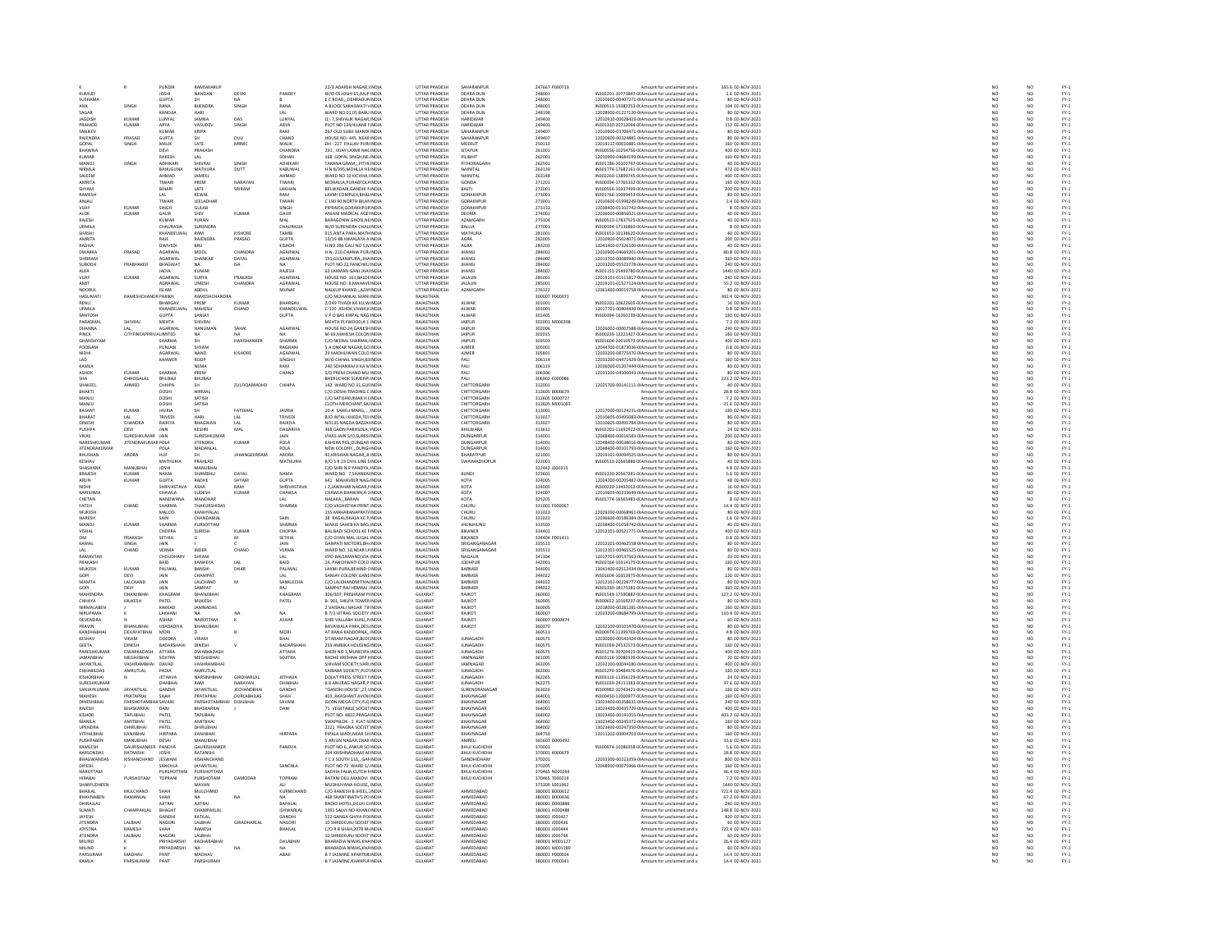|                               |                             | <b>PUNDIR</b>               | RAMSWARUP                        |                               |                                   | 22/3 ADARSH NAGAR.I INDIA                                                                  | UTTAR PRADESH                                | SAHARANPUR                          | 247667 P000719                   | Amount for unclaimed and u                                                                         | 165.6 02-NOV-2021                                      | NO <sub>1</sub>          | NO                    |                              |
|-------------------------------|-----------------------------|-----------------------------|----------------------------------|-------------------------------|-----------------------------------|--------------------------------------------------------------------------------------------|----------------------------------------------|-------------------------------------|----------------------------------|----------------------------------------------------------------------------------------------------|--------------------------------------------------------|--------------------------|-----------------------|------------------------------|
| KUMUD                         |                             | JOSHI<br>GUPTA              | <b>VANDAN</b>                    | DEVK                          | PANDEY                            | W/O CS JOSHI 65, RAJP INDL<br>E C ROAD, DEHRADUN INDU                                      | UTTAR PRADESH<br>UTTAR PRADESH               | <b>DEHRA DUN</b>                    |                                  | IN302201-10773847-0(Amount for unclaimed and u                                                     | 1.6 02-NOV-2021<br>80 02-NOV-2021                      | $\frac{N}{N}$            | NO                    | FY-3<br>FY-3                 |
| SUSHAMA<br>ANIL               | SINGH                       | RANA                        | <b>BUENDRA</b>                   | SINGH                         | RANA                              | A BLOCK SARASWATI \ INDIA                                                                  | UTTAR PRADESH                                | DEHRA DUN<br>DEHRA DUN              | 248001<br>248001                 | 12020600-00407271-0IAmount for unclaimed and u<br>IN300513-19382253-0(Amount for unclaimed and u   | 104 02-NOV-2021                                        | NO <sub>1</sub>          | NO <sub></sub>        |                              |
| SAGAR                         |                             | KANOJIA                     | HARI                             |                               | LAL                               | WARD NO 01,05 BABU INDIA                                                                   | UTTAR PRADESH                                | DEHRA DUN                           | 248198                           | 12028900-01227120-0IAmount for unclaimed and u                                                     | 80 02-NOV-2021                                         |                          |                       | FY-3<br>FY-3                 |
| <b>IAGNISH</b><br>PRAMO       | KUMAR<br>KUMAR              | LUNYAL<br>ARYA              | JAMNA<br>VASUDEY                 | DAS                           | LUNYAL<br>ARYA                    | Q - 7.SHIVALIK NAGAR INDIA<br>PLOT NO 124/4,LANE FINDL                                     | UTTAR PRADESH<br>UTTAR PRADES                | <b>HARIDWAR</b><br>HARIDWAR         | 249403<br>249403                 | 12010910-00028423-0(Amount for unclaimed and u<br>IN301330-20712094-0(Amount for unclaimed and u   | 0.8 02-NOV-2021<br>152 02-NOV-2021                     | NO <sub>1</sub><br>NO    | NO <sub></sub>        | FY-1<br>FY-1<br>FY-1         |
| SANJEEV                       |                             | KUMAF                       | KRIPA                            | SINGE                         | RAM                               | 267-OLD SUBJI MANDI INDIA                                                                  | UTTAR PRADESH                                | SAHARANPUF                          | 249407                           | 12010900-03706471-0IAmount for unclaimed and u                                                     | 80 02-NOV-2021                                         | NO                       | NO<br>NO              |                              |
| RAJENDRA                      | PRASAD                      | GUPTA                       |                                  | DULI                          | CHAND                             | HOUSE NO.-445 NEARINDIA                                                                    | UTTAR PRADESH                                | <b>SAHARANPUR</b>                   | 249407                           | 12020600-00324881-0IAmount for unclaimed and (                                                     | 80 02-NOV-2021                                         | NO                       | NO                    |                              |
| GOPAL<br><b>BHAWNA</b>        | SINGH                       | MALIK<br>DEVI               | LATE<br>PRAKASH                  | MRMC                          | MALIK<br>CHANDRA                  | DH - 227 PALLAV PUR INDIA<br>291 . VIJAY LAXMI NACINDIA                                    | <b>UTTAR PRADESH</b><br>UTTAR PRADESH        | MEERUT<br><b>SITAPUR</b>            | 250110<br>261001                 | 12019112-00010881-0IAmount for unclaimed and u<br>IN300556-10254756-0(Amount for unclaimed and u   | 160 02-NOV-2021<br>400 02-NOV-2021                     | NO<br>NO                 | NO<br>NO <sub></sub>  | PY-1<br>PY-1<br>PY-1<br>PY-1 |
| KUMAR                         |                             | RAKESH                      |                                  |                               | SOHAN                             | 168 GOPAL SINGH, NE. IND                                                                   | <b>UTTAR PRADES</b>                          | PILIBHIT                            | 262001                           | 12010900-04684199-0IAmount for unclaimed and u                                                     | 160 02-NOV-2021                                        | NO                       | NO                    |                              |
| MANOJ                         | SINGH                       | ADHIKARI                    | SHIVRAJ                          | <b>SINGH</b>                  | <b>ADHIKAR</b>                    | TAKANA GRAMPITH(INDIA                                                                      | UTTAR PRADESH                                | PITHORAGARH                         | 262501                           | IN301186-20102797-0(Amount for unclaimed and u                                                     | 40 02-NOV-2021                                         | NO <sub>1</sub>          | NO <sub></sub>        |                              |
| NIRMLA                        |                             | <b>BAHUGUN</b>              | MATHURA                          | DUTT                          | KABUWA                            | H N 8/395, MOHLLA HE INDIA                                                                 | <b>UTTAR PRADESH</b>                         | NAINITAL                            | 263139                           | IN301774-17682161-0(Amount for unclaimed and u                                                     | 472 02-NOV-2021                                        | $\overline{\mathsf{NC}}$ | NO                    |                              |
| SALEEM<br><b>AMRITA</b>       |                             | AHMAD<br>TIWARI             | JAMEEL<br>PREM                   | NARAYAN                       | AHMAD<br>TIWARI                   | WARD NO 10 KICHHA, INDIA<br>MOHALLA PURARTOLAINDIA                                         | UTTAR PRADESH<br><b>UTTAR PRADES</b>         | NAINITAL<br>GONDA                   | 263148<br>271201                 | IN302269-13899745-0(Amount for unclaimed and u<br>IN300394-17765332-0(Amount for unclaimed and u   | 400 02-NOV-2021<br>160 02-NOV-2021                     | NO<br>NO                 | NO<br>NO              |                              |
| SHYAM                         |                             | BIHARI                      | LATE                             | SRIRAM                        | LAKHAN                            | BELWADARI, GANDHI N INDIA                                                                  | UTTAR PRADESH                                | BASTI                               | 272001                           | IN300556-10337499-0(Amount for unclaimed and u                                                     | 200 02-NOV-2021                                        | NO                       | NO                    | FY-3<br>FY-3                 |
| RAMESH                        |                             | LAL<br>TIWARI               | KEWAL<br>LEELADH                 |                               | RAM<br><br>IIWARI                 | AXMI COMPLEX BHALINDIA<br>C 190 90, NORTH BILAN INDI                                       | <b>UTTAR PRADESH</b><br><b>ITTAR PRADESH</b> | <b>GORAKHPLIP</b><br>GORAKHPU       | 273001                           | IN301766-10099453-0(Amount for unclaimed and u<br>2010600-01998249-0IAmount for unclaimed and u    | 80.02-NOV-2021<br>2.4 02-NOV-2021                      | NC<br>NC                 | NO<br>NO              |                              |
| VUAY                          | KUMAR                       | SINGH                       | <b>GULAB</b>                     |                               | SINGH                             | PIPRAICH, GORAKHPUF INDIA                                                                  | UTTAR PRADESH                                | GORAKHPUR                           | 273152                           | 12038400-01102742-0IAmount for unclaimed and u                                                     | 8 02-NOV-2021                                          | NO                       | NO                    |                              |
| <b>ALOK</b>                   | KUMAR                       | GAUR                        | SHIV                             | KUMAF                         | GAUR                              | ANIANI MADICAL AGE INDU                                                                    | <b>UTTAR PRADES</b>                          | DEORIA                              | 274001                           | 12036000-00856021-0IAmount for unclaimed and                                                       | 40 02-NOV-2021                                         | NO                       | NO                    | FY-1<br>FY-1<br>FY-1<br>FY-1 |
| RAJESH<br>LIRMILA             |                             | KUMAR<br>CHALIRASH          | PURAN<br>SURFNDRA                |                               | MAL<br>CHALIRASIA                 | BARAGONW GHOSI, NEINDIA<br>W/O SURFNDRA CHALLINDIA                                         | UTTAR PRADESH<br><b>ITTAR PRADESH</b>        | AZAMGARH<br>RAILIA                  | 275304<br>277001                 | IN300513-17837525-0(Amount for unclaimed and u<br>IN300394-17136860-00 Amount for unclaimed and u  | 40 02-NOV-2021<br>8.02-NOV-2021                        | NO<br>NO                 | NO<br>NO <sub>1</sub> |                              |
| SHASH                         |                             | KHANDELWAI                  | RAM                              | KISHORE                       | TAMBI                             | 915.ANTA PARA MATH INDIA                                                                   | UTTAR PRADESH                                | MATHURA                             | 281001                           | IN301653-10138620-0(Amount for unclaimed and u                                                     | 40 02-NOV-2021                                         | $\overline{NC}$          | $\overline{NQ}$       | FY-)<br>FY-)                 |
| AMRITA                        |                             | RAJE                        | RAJENDRA                         | PRASAD                        | <b>GUPTA</b>                      | 13/19 BB HIMALAYA A INDIA                                                                  | UTTAR PRADESH                                | AGRA                                | 282005                           | 12010900-05024071-0 Amount for unclaimed and u                                                     | 200 02-NOV-2021                                        | NO <sub>1</sub>          | NO <sub></sub>        | FY-3<br>FY-3                 |
| RADHA<br><b>DWARKA</b>        | PRASAD                      | DWIVEDI<br>AGARWAI          | BRU<br>MOOL                      | <b>CHANDRA</b>                | KISHOR<br>AGARWAI                 | H.NO 286 GALI NO 5,N INDI<br>H.N.-210.CHANIA PUR INDIA                                     | UTTAR PRADESH<br>UTTAR PRADESH               | AGRA<br><b>JHANSI</b>               | 283203<br>284002                 | 13041400-07326100-0IAmount for unclaimed and u<br>12010900-04669201-0(Amount for unclaimed and u   | 40 02-NOV-2021<br>80.8 02-NOV-2021                     | NO                       | NO                    |                              |
| SHRIRAM                       |                             | AGARWAI                     | <b>SHANKAP</b>                   | DAYAL                         | AGARWAL                           | 191 GUSANIPURA IHAINDIA                                                                    | <b>UTTAR PRADES</b>                          | <b>IHANS</b>                        | 284002                           | 12013700-00089940-0(Amount for unclaimed and                                                       | 160.02-NOV-2021                                        | NO<br>NO<br>NO           | NO<br>NO              | FY-1<br>FY-1<br>FY-1         |
| SUBODI-                       | PRABHAKER                   | <b>BHAGWAT</b>              | NA.                              | NA                            |                                   | PLOT NO 22, PANCHKU INDIA                                                                  | UTTAR PRADESH                                | <b>JHANSI</b>                       | 284002                           | 12033200-05523778-0IAmount for unclaimed and u                                                     | 240 02-NOV-2021                                        |                          | $\overline{NQ}$       |                              |
| ALKA                          |                             | <b>IADIA</b>                | KUMAR                            |                               | RAIFSH                            | 62 LAXMAN GAN LIHAUNDIA                                                                    | <b>LITTAR PRADESH</b>                        | <b>IHANS</b>                        | 284002                           | IN301151-25493780-00 Amount for unclaimed and u                                                    | 1440.02-NOV-2021                                       | NO                       | NO                    | FY-3<br>FY-3                 |
| VUA)<br>AMIT                  | KUMAR                       | AGARWA<br>AGRAWAL           | SURYA<br>UMESH                   | PRAKASH<br>CHANDRA            | AGARWAL<br>AGRAWAL                | HOUSE NO. 161, BALDE INDU<br>HOUSE NO. 8. MAHAVE INDIA                                     | UTTAR PRADESH<br>UTTAR PRADESH               | JALAUN<br><b>JALAUN</b>             | 285001<br>285001                 | 12019101-01511817-0IAmount for unclaimed and u<br>12019101-01527124-0 Amount for unclaimed and u   | 240 02-NOV-2021<br>55.2 02-NOV-2021                    | NO<br>NO <sub>1</sub>    | NO<br>NO <sub></sub>  |                              |
| NOORU                         |                             | ISLAM                       | uda                              |                               | MUNAF                             | NALKUP KHAND, AZALINDU                                                                     | UTTAR PRADESH                                | AZAMGARH                            | 276122                           | 12061400-00019758-0IAmount for unclaimed and u                                                     | 80 02-NOV-2021                                         | $\overline{\mathsf{NC}}$ | NO                    | FY-1<br>FY-1<br>FY-1<br>FY-1 |
| HASUMAT                       | <b>RAMESHCHANDR PARIKH</b>  |                             | RAMESHCHANDRA                    | <b>KUBAAS</b>                 | <b>BUARCAL</b>                    | C/O MOHANLAL MANI INDIA                                                                    | RAJASTHAN<br>RAIASTHAN                       |                                     | 300007 P000071                   | Amount for unclaimed and u                                                                         | 302.4 02-NOV-2021                                      | NO <sub>1</sub>          | NO <sub></sub>        |                              |
| URMILA                        |                             | BHARGAV<br>KHANDELWA        | PREM<br>MAHESH                   | CHAND                         | KHANDELWAL                        | 2/249 TIVADI KA KU, WINDIA                                                                 | RAJASTHAN                                    | ALWAR<br>ALWAR                      | 301001<br>301001                 | IN302201-10622605-00 Amount for unclaimed and u<br>12017701-00804439-01 Amount for unclaimed and u | 16 02-NOV-2021<br>0.8 02-NOV-2021                      | $\frac{N}{N}$            | $\frac{N}{N}$         |                              |
| SANTOSH                       |                             | <b>GUPTA</b>                | SANJAY                           |                               | <b>GUPTA</b>                      | V P O BAS KIRPAL NAG INDIA                                                                 | RAJASTHAN                                    | ALWAR                               | 301405                           | IN300394-16260139-0(Amount for unclaimed and u                                                     | 160 02-NOV-2021                                        | NO <sub>1</sub>          | NO <sub></sub>        |                              |
| PARASMA                       | <b>SHIVRA</b>               | MEHTA                       | <b>HIVRA</b>                     |                               |                                   | MEHTA PLYWOOD, A 1 INDM                                                                    | RAJASTHAN                                    | JAIPUR                              | 302001 M000398                   | Amount for unclaimed and u                                                                         | 7.2 02-NOV-2021                                        | NO                       | NO                    | FY-3<br>FY-3                 |
| DHANNA<br>PINCK               | <b>CITYFINCA</b>            | AGARWAI<br>ALIMITED         | <b>HANUMAN</b>                   | SAHAI                         | AGARWAL                           | HOUSE NO.24.GANESH INDIA<br>M-69,MAHESH COLON INDI                                         | RAJASTHAN<br>RAIASTHAN                       | JAIPUR<br>JAIPUR                    | 302006<br>302015                 | 12026002-00007588-0(Amount for unclaimed and u<br>IN300239-12221427-0(Amount for unclaimed and u   | 240 02-NOV-2021<br>160 02-NOV-2021                     | NO <sub>1</sub><br>NO    | NO <sub></sub><br>NO  |                              |
| GHANSHYAN                     |                             | SHARMA                      | <b>SH</b>                        | HARISHANKER                   | SHARMA                            | C/O NEERAJ SHARMA, INDIA                                                                   | RAJASTHAN                                    | <b>JAIPUR</b>                       | 303503                           | IN301604-20010572-0(Amount for unclaimed and u                                                     | 400 02-NOV-2021                                        | NO                       | NO                    | FY-1<br>FY-1<br>FY-1         |
| POONAM                        |                             | PUNJABI                     | SHYAN                            |                               | RAGHANI                           | 5 A ONKAR NAGAR GO INDIA                                                                   | RAIASTHAN                                    | <b>AIMER</b>                        | 305001                           | 12044700-01873036-0IAmount for unclaimed and u                                                     | 0.8 02-NOV-2021                                        | NO                       | NO                    |                              |
| NIDHI<br>LAD                  |                             | AGARWAI<br>KANWER           | NAND<br>ROOP                     | KISHORE                       | AGARWAI<br>SINGHJI                | 29 MADHUWAN COLO INDIA<br>W/O CHHAIL SINGH.83 INDIA                                        | RAJASTHAN<br>RAJASTHAN                       | AIMER<br>PALI                       | 305801<br>306114                 | 12033200-08775470-0IAmount for unclaimed and u<br>12033200-04471429-0 Amount for unclaimed and u   | 80 02-NOV-2021<br>160 02-NOV-2021                      | NC<br>NC                 | NO<br>NO <sub></sub>  | FY-1<br>FY-1<br>FY-1<br>FY-1 |
| KAMLA                         |                             |                             | <b>VEMA</b>                      |                               | RAM                               | 240 SOHANRAJ JI KA N INDI                                                                  | RAIASTHA                                     | PALI                                | 306119                           | 12036000-01207444-0IAmount for unclaimed and u                                                     | 80 02-NOV-2021                                         | NO                       | NO                    |                              |
| ASHOK                         | KUMAR                       | SHARMA                      | PREM                             |                               | CHAND                             | S/O PREM CHAND MU INDIA                                                                    | RAJASTHAN<br>RAJASTHAN                       | PALI                                | 306306                           | 12033200-04500043-0IAmount for unclaimed and u                                                     | 80 02-NOV-2021                                         | NO                       | NO                    |                              |
| <b>SHA</b><br>SHAKEEL         | CHHOGALA<br>AHMED           | BHUBAJI<br>CHHIPA           | BHUBAJ                           | ZULFIQARMOHD                  | CHHIPA                            | BHERUCHOK SUMERPLINDU<br>142 WARD NO.31, GUI INDIA                                         | RAJASTHAN                                    | PALI<br>CHITTORGARI                 | 306902 C00008<br>312001          | Amount for unclaimed and<br>12025700-00141111-0IAmount for unclaimed and u                         | 223.2 02-NOV-2021<br>40 02-NOV-2021                    | NO<br>NO                 | NO<br>NO              | FY-3<br>FY-3                 |
| RHAKTI                        |                             | DOSHI                       | <b>NIRMAI</b>                    |                               |                                   | C/O DOSHI TRADING C INDIA                                                                  | RAIASTHAN                                    | CHITTORGARH                         | 312605 8000679                   | Amount for unclaimed and u                                                                         | 28.8 02-NOV-2021                                       | NO                       | NO <sub>1</sub>       |                              |
| MANJU                         |                             | DOSHI                       | SATISH                           |                               |                                   | C/O SATISHKUMAR H LINDIA                                                                   | RAJASTHAN                                    | CHITTORGARI                         | 312605 DO0072                    | Amount for unclaimed and u                                                                         | 7.2 02-NOV-2021                                        | NO                       | NO                    | FY-3<br>FY-3                 |
| MANILL<br>BASAN               | KUMAR                       | DOSHI<br>JAVRIA             | SATISH                           | FATEMA                        | JAVRIA                            | CLOTH MERCHANT SAUNDIA<br>10-A SAHELI MARG,.,., INDIA                                      | RAIASTHAN<br>RAJASTHAN                       | CHITTORGARH<br>CHITTORGAR           | 312605 M001093<br>313001         | Amount for unclaimed and u<br>12017000-00124231-0IAmount for unclaimed and u                       | 21 6 02-NOV-2021<br>160 02-NOV-2021                    | NO<br>NO                 | NO                    |                              |
| BHARAT                        | LAL                         | TRIVEDI                     | HARI                             |                               | TRIVEDI                           | R/O INTALI KHEDA,TEI INDIA                                                                 | RAJASTHAN                                    | CHITTORGARI                         | 313027                           | 12010605-00495083-0IAmount for unclaimed and u                                                     | 80 02-NOV-2021                                         | NO                       | NO<br>NO              | FY-1<br>FY-1<br>FY-1         |
| <b>DINESH</b>                 | CHANDRA                     | RAIKIVA                     | BHAGWAN                          | LAL                           | RAIKIVA                           | NO135 NAGDA BAZZALINDIA                                                                    | RAIASTHAN                                    | CHITTORGARI                         | 313027                           | 12010605-00495784-0(Amount for unclaimed and u                                                     | 80 02-NOV-2021                                         | NO                       | NO <sub>1</sub>       | FY-3<br>FY-3                 |
| PUSHPA<br>VIKAS               | DEVI<br>SLIRESHKLIMAR       | JAIN<br><b>JAIN</b>         | KESHRI<br><b>SURFSHKUMAR</b>     | MAL                           | DAGARIYA<br><b>JAIN</b>           | 368 GAON PARASOLA, INDIA<br>VIKAS JAIN S/O SURESUNDIA                                      | RAJASTHAN<br>RAIASTHAN                       | BHILWARA<br><b>DUNGARPUR</b>        | 313611<br>314001                 | IN302201-11692922-0(Amount for unclaimed and u<br>12048400-00016583-0(Amount for unclaimed and u   | 24 02-NOV-2021<br>200.02-NOV-2021                      | NO<br>NO                 | NO<br>N <sub>0</sub>  |                              |
| NARESHKUMAF                   | JITENDRAKUMAR POLA          |                             | <b>JITENDRA</b>                  | KUMAF                         | POLA                              | KAHERA POL, DUNGAR INDIA                                                                   | RAJASTHAM                                    | DUNGARPUR                           | 314001                           | 12048400-00038016-0IAmount for unclaimed and u                                                     | 80 02-NOV-2021                                         | $\overline{NC}$          | NO                    | FY-)<br>FY-)                 |
| <b>JITENDRAKUMAF</b>          |                             | POLA                        | MADANLAL                         |                               | POLA                              | NEW COLONYDUNG/INDIA                                                                       | RAJASTHAN                                    | <b>DUNGARPUR</b>                    | 314001                           | 12048400-00101793-0 Amount for unclaimed and u                                                     | 160 02-NOV-2021                                        | NO <sub>1</sub>          | NO <sub></sub>        | FY-3<br>FY-3                 |
| BHUSHAN<br>KESHAV             | ARORA                       | HUI<br>MATHURIA             | PRAHLAD                          |                               | ARORA<br>MATHURIA                 | 42, KRISHAN NAGAR, B INDU<br>R/O S R 23 CIVIL LINE S INDIA                                 | RAJASTHAM<br>RAJASTHAN                       | BHARATPUR<br>SWAIMADHOPUR           | 321001<br>322001                 | 12019101-00094525-0IAmount for unclaimed and u<br>IN300513-20565886-0(Amount for unclaimed and u   | 80 02-NOV-2021<br>40 02-NOV-2021                       | NO                       | NO                    |                              |
| SHASHANK                      | MANURHA                     | <b>IOSHI</b>                | <b>MANURHA</b>                   |                               |                                   | C/O SHRIN P PANDYA INDIA                                                                   | RAIASTHAN                                    |                                     | 322442 J000315                   | Amount for unclaimed and                                                                           | 4.8.02-NOV-2021                                        | NO<br>NO                 | NO<br>NO              | FY-1<br>FY-1<br>FY-1         |
| <b>BRAJESH</b>                | <b>KUMAR</b>                | <b>NAMA</b>                 | SHAMBHU                          | DAYAL                         | NAMA                              | WARD NO. 7.SHANKA INDIA                                                                    | RAJASTHAN                                    | <b>BUNDI</b>                        | 323601                           | IN301330-20567281-0(Amount for unclaimed and u                                                     | 5.6 02-NOV-2021                                        | $\overline{NC}$          | NO                    |                              |
| ARUN<br>NIDHI                 | KUMAR                       | <b>GUPTA</b><br>SHRIVASTAV. | RADHE<br><b>ASHA</b>             | SHYAM<br>RAM                  | <b>GUPTA</b><br><b>SHRIVASTAV</b> | 641 MAHAVEER NAG INDIA<br>J 2, JAWAHAR NAGAR, I INDI                                       | RAJASTHAN<br>RAJASTHA                        | KOTA<br>KOTA                        | 324005<br>324005                 | 12024700-00205487-0IAmount for unclaimed and u<br>IN300239-13492053-0(Amount for unclaimed and u   | 48 02-NOV-2021<br>16 02-NOV-2021                       | NO<br>NO                 | NO <sub></sub><br>NO  | FY-3<br>FY-3                 |
| KARISHMA                      |                             | CHAWLA                      | SUDESH                           | KUMAR                         | CHAWLA                            | CHAWLA BHAWAN, A-1 INDIA                                                                   | RAJASTHAN                                    | KOTA                                | 324007                           | 12010605-00233649-0IAmount for unclaimed and u                                                     | 80 02-NOV-2021                                         | NO <sub>1</sub>          | NO <sub></sub>        |                              |
| CHETAN                        |                             |                             | MANOHAR                          |                               |                                   | NALAKA,,, BARAN                                                                            | RAJASTHAN                                    | KOTA                                |                                  | IN301774-16565481-0(Amount for unclaimed and u                                                     | 8 02-NOV-2021                                          | $_{NC}$                  | NO                    | FY-1<br>FY-1<br>FY-1<br>FY-1 |
| FATEH<br><b>MUKESH</b>        | CHAND                       | SHARMA<br>MALOO             | THAKURSHIDAS<br>KANHIYALAI       |                               | SHARMA                            | C/O VASHISTHA PRINT INDIA<br><b>155 MAHARANAPRATI INDI</b>                                 | RAJASTHAN<br><b>PAIASTUAN</b>                | CHURU                               | 331001 F000067<br>331023         | Amount for unclaimed and u                                                                         | 14.4 02-NOV-2021                                       | NO <sub>1</sub>          | NO                    |                              |
| NARESH                        |                             | SAIN                        | CHANDAMAL                        |                               | SAIN                              | 38 RAGAUSHALA KE P. IND                                                                    | RAJASTHA                                     | CHURU<br>CHURU                      | 331023                           | 12029200-00068961-01Amount for unclaimed and u<br>12036600-00186384-01Amount for unclaimed and u   | 80 02-NOV-2021<br>1.6 02-NOV-2021                      | NC<br>NC                 | NO<br>NO              |                              |
| MANOJ                         | KUMAR                       | SHARMA                      | PURSOTTAM                        |                               | SHARMA                            | MAAJE SAHEB KA BAG INDIA                                                                   | RAJASTHAN                                    | JHUNJHUNU                           | 333503                           | 12038400-01058742-0 Amount for unclaimed and u                                                     | 40 02-NOV-2021                                         | NO <sub>1</sub>          | NO <sub></sub>        |                              |
| VISHAI<br><b>OM</b>           | PRAKASH                     | CHOPRA<br>SETHIA            | <b>SURESH</b>                    | KUMA<br>M                     | CHOPRA<br>SETHIA                  | BAL BADI SCHOOL KE FINDU<br>C/O GYAN MAL JUGAL INDIA                                       | RAJASTHAN<br>RAJASTHAN                       | BIKANER<br><b>BIKANER</b>           | 334404 P001411                   | 12012101-00521771-0IAmount for unclaimed and u<br>Amount for unclaimed and u                       | 400 02-NOV-2021<br>0.8 02-NOV-2021                     | NO <sub>1</sub>          | NO<br>NO              |                              |
| KAMAL                         | <b>INGH</b>                 | JAIN                        |                                  |                               | JAIN                              | GANPATI MOTORS RH. INDU                                                                    | <b>PAIASTUAN</b>                             | <b>SRIGANGANAGAI</b>                | 335513                           | 12012101-00462558-0IAmount for unclaimed and u                                                     | 80 02-NOV-2021                                         | NO                       | NO                    | FY-1<br>FY-1<br>FY-1<br>FY-1 |
| LAL                           | CHAND                       | VERMA                       | INDER                            | CHAND                         | VERMA                             | WARD NO. 16, NEAR L/ INDIA                                                                 | RAJASTHAN                                    | SRIGANGANAGAF                       | 335513                           | 12012101-00465525-0IAmount for unclaimed and u                                                     | 80 02-NOV-2021                                         | NO                       | NO                    |                              |
| RAMAVTAR<br>PRAKASH           |                             | CHOUDHAR<br>BAID            | SHYAM<br>KANHEYA                 | LAL                           | BAID                              | VPO-BALSAMAND.VIA-INDIA<br>14, PANCHWATI COLO INDIA                                        | RAIASTHAN<br>RAJASTHAN                       | <b>NAGALIR</b><br><b>JODHPUR</b>    | 341304<br>342001                 | 12017701-00537563-0IAmount for unclaimed and u<br>IN302164-10314175-0(Amount for unclaimed and u   | 20 02-NOV-2021<br>160 02-NOV-2021                      | NO<br>NO                 | NO<br>NO              | FY-3<br>FY-3                 |
| <b>MUKESH</b>                 | KUMAR                       | PALIWAL                     | RANSHI                           | DHAR                          | PALIWAL                           | LAXMLPURA REHIND CINDIA                                                                    | RAIASTHAN                                    | RARMER                              | 344001                           | 13041400-02512434-0(Amount for unclaimed and u                                                     | 80.02-NOV-2021                                         |                          |                       |                              |
|                               |                             |                             | <b>HAMPA</b>                     |                               |                                   | SANJAY COLONY GANLIND                                                                      | PAIASTUAR                                    | RARMER                              | 344022                           | N301604-10353975-0(Amount for unclaimed and u                                                      | 120 02-NOV-2021                                        | NC<br>NC                 | NO<br>NO              | FY-1<br>FY-1<br>FY-1         |
| MAMTA<br>GOPL                 | LALCHAND<br>DEVI            | JAIN<br>JAIN                | LALCHAND<br>SAMPAT               | M                             | SANKLECHA                         | C/O LALCHANDMITHA INDIA<br>SAMPAT RAJ HEMRAJ . INDIA                                       | RAJASTHAN<br>RAIASTHAN                       | BARMER<br>RARMER                    | 344022<br>344022                 | 12012101-00226777-0IAmount for unclaimed and u<br>IN301330-18175381-0(Amount for unclaimed and u   | 80 02-NOV-2021<br>360 02-NOV-2021                      | NO<br>NO                 | NO                    |                              |
| MAHENDRA                      | DHANJIBHA                   | KHAGRAN                     | DHANJIBHA                        |                               | KHAGRAM                           | 306/307, PRISHRAM PHNDIA                                                                   | GUJARAT                                      | <b>RAJKOT</b>                       | 360002                           | IN301549-17590882-0(Amount for unclaimed and u                                                     | 127.2 02-NOV-2021                                      | NO                       | NO<br>NO              | FY-3<br>FY-3                 |
| CHHAYA                        | MUKESH                      | PATEL                       | MUKESH                           |                               | PATEL                             | <b>B-901 SHILPA TOWER INDIA</b>                                                            | GUIARAT                                      | <b>RAIKOT</b>                       | 360005                           | IN300652-10169237-0(Amount for unclaimed and u                                                     | 80.02-NOV-2021                                         | NO                       | N <sub>0</sub>        | FY-)<br>FY-)                 |
| <b>NIRMALABER</b><br>NIRUPAMA |                             | KAKKAD<br>LAKHANI           | <b>JAMNADAS</b><br><b>MA</b>     | NA                            | NA                                | 2 VAISHALI NAGAR TIFINDI<br><b>B 7/3 VITRAG SOCIETY INDIA</b>                              | <b>GUIARA</b><br><b>GUJARA</b>               | RAJKOT<br>RAJKOT                    | 360005<br>360007                 | 12018000-00281281-0IAmount for unclaimed and u<br>12033200-08684799-0IAmount for unclaimed and u   | 160 02-NOV-2021<br>110.4 02-NOV-2021                   | NO<br>NO <sub>1</sub>    | NO<br>NO <sub></sub>  |                              |
| DEVENDRA                      |                             |                             | <b>AROTTAM</b>                   |                               | ASHAP                             | RI VALLABH KUNJ, NINDU                                                                     | GUJARA                                       | RAJKOT                              | 360007 D000874                   | Amount for unclaimed and u                                                                         | 60 02-NOV-2021                                         |                          |                       | FY-3<br>FY-3<br>FY-3         |
| PRAVIN                        | BHANUBHA                    | USADADIYA                   | BHANUBHAI                        |                               |                                   | BAVAWALA PARA, DES INDIA                                                                   | GUJARA'                                      | RAJKOT                              | 360370                           | 12032100-00101470-0IAmount for unclaimed and u                                                     | 80 02-NOV-2021                                         | NO                       | $\frac{N}{N}$         |                              |
| KANDHARHAI<br>KESHAV          | DEVAYATRHAL<br>VIRAM        | MORI<br>ODEDRA              | VIRAM                            |                               | MORI<br>BHAI                      | AT RANA KANDORNA INDIA<br>SITARAM NAGAR, BLOCINDIA                                         | GUIARAT<br>GUJARA'                           | <b>JUNAGADI</b>                     | 360511<br>360575                 | IN300974-11399769-0(Amount for unclaimed and u<br>12030000-00542424-0IAmount for unclaimed and u   | 4.8 02-NOV-2021<br>80 02-NOV-2021                      | NO<br>NO                 | NO <sub>1</sub><br>NO | FY-)<br>FY-)                 |
| <b>GEETA</b>                  | <b>DINESH</b>               | RADARSHAH                   | DINESH                           |                               | RADARSHAHL                        | 259 AMRIKA HOLISING INDIA                                                                  | GUIARAT                                      | <b>ILINAGADH</b>                    | 360575                           | IN301039-24532573-00 Amount for unclaimed and u                                                    | 160.02-NOV-2021                                        | NO                       | NO                    |                              |
| PARESHKUMAI                   | DWARKADASH                  | ATTARA                      | DWARKADASH                       |                               | ATTARA                            | SHERI NO 3, MUNICIPA INDIA                                                                 | GUJARA'                                      | <b>JUNAGADE</b>                     | 360575                           | IN301276-30709925-0(Amount for unclaimed and u                                                     | 400 02-NOV-2021                                        | NO                       | NO                    | FY-3<br>FY-3                 |
| JAMANBHA<br><b>JAYANTILA</b>  | MEGHJIBHAI                  | SOJITRA<br>DAVAD            | MEGHJIBHAI<br>VASHRAMI           |                               | SOJITRA                           | RADHE KRISHNA OPP I INDIA<br>SHIVAM SOCIETY, VARLIND                                       | GUJARAT<br>GUJARA'                           | JAMNAGAR<br><b>JAMNAGAF</b>         | 361005<br>361005                 | IN303116-10080339-0(Amount for unclaimed and u<br>12032100-00044180-0IAmount for unclaimed and u   | 20 02-NOV-2021<br>400 02-NOV-2021                      | NO <sub>1</sub><br>NO    | NO <sub></sub><br>NO  | FY-3<br>FY-3                 |
| CHHABILDAS                    | AMRUTLAL                    | PADIA                       | AMRUTLAL                         |                               |                                   | SAIBABA SOCIETY.PLO' INDIA                                                                 | <b>GUJARA1</b>                               | <b>JUNAGADH</b>                     | 362001                           | IN301276-30484976-0(Amount for unclaimed and u                                                     | 160 02-NOV-2021                                        |                          |                       |                              |
| KISHORRHA                     |                             | <b>IFTHAVA</b>              | <b>NARSINHRHAI</b>               | <b>GIRDHARLAI</b>             | <b>IFTHAVA</b>                    | DOLAT PRESS STREET LINDIA                                                                  | <b>GUIARAT</b>                               | <b>ILINAGADH</b>                    | 362265                           | IN303116-11356129-00 Amount for unclaimed and u                                                    | 24.02-NOV-2021                                         | NO<br>NO                 | NO<br>NO              | FY-1<br>FY-1<br>FY-1         |
| SURESHKUMA<br>SANJAYKUMAR     | <b>JAYANTILAL</b>           | GANDHI                      | RAM<br><b>JAYANTILAL</b>         | NARAYAN<br><b>JECHANDBHAI</b> | DHABHAI<br>GANDHI                 | <b>B 8 ANURAG NAGAR, P INDIA</b><br>"GANDHI HOUSE".27. INDIA                               | GUJARA'<br>GUJARAT                           | <b>JUNAGADH</b><br>SURENDRANAGAR    | 362275<br>363020                 | IN301039-24111383-0(Amount for unclaimed and u<br>IN300982-10743421-0(Amount for unclaimed and u   | 37.6 02-NOV-2021<br>160 02-NOV-2021                    | NO<br>NO                 | NO<br>NO <sub></sub>  |                              |
| MAHESH                        | <b>RATAPRA</b>              | SHAI                        | PRATAPRA                         | DURLABHDAS                    | SHAH                              | 403, AKASHANT AVENUNI                                                                      | GUJARA'                                      | <b>HAVNAGAR</b>                     | 364001                           | IN300450-11000977-0(Amount for unclaimed and u                                                     | 160 02-NOV-2021                                        | NO                       | NO                    |                              |
| DINESHBHA                     | PARSHOTAMB                  | <b>A SAVANI</b>             | PARSHOTAMBHAI DIJALBHAI          |                               | SAVANI                            | <b>ISCON MEGA CITY.PLO INDIA</b>                                                           | <b>GUJARA</b>                                | BHAVNAGAR                           | 364001                           | 13023400-00358631-0(Amount for unclaimed and u                                                     | 240 02-NOV-2021                                        | NO <sub>1</sub>          | NO <sub></sub>        |                              |
| RAJESH<br>KISHOR              | <b>HASKARRA</b><br>TAPUBHAI | PATEL                       | <b>HASKARRAI</b><br>TAPUBHAI     |                               |                                   | 71 VEGETABLE SOCIETINDU<br>PLOT NO-4822, PRAGA INDIA                                       | GUJARA'<br><b>GUJARA1</b>                    | HAVNAGAR<br>BHAVNAGAR               | 364001<br>364002                 | 13023400-00435729-0IAmount for unclaimed and u<br>13023400-00191055-0IAmount for unclaimed and u   | 400 02-NOV-2021<br>403.2 02-NOV-2021                   | $_{NC}$<br>NO            | NO<br>NO              |                              |
| MANILA                        | <b>AMITRHAL</b>             | PATEL                       | AMITBHAI                         |                               |                                   | WAPNI OK - 2 FLAT NINDIA                                                                   | GUIARAT                                      | <b>RHAVNAGAR</b>                    | 364002                           | 13023400-00245372-0IAmount for unclaimed and u                                                     | 160 02-NOV-2021                                        | NO                       | NO                    |                              |
| UPENDRA                       | DHIRUBHA                    | PATEL                       | DHIRUBHA                         |                               |                                   | 2221 PRAGNA SOCIET INDIA                                                                   | GUJARA'                                      | BHAVNAGAE                           | 364002                           | 13023400-00247350-0IAmount for unclaimed and u                                                     | 80 02-NOV-2021                                         | NO                       | NO                    |                              |
| VITHALBHA<br>USHPABEN         | KANJIBHAI<br>MANUBHA        | <b>HIRPARA</b><br>DESAI     | KANJIBHAI<br>ANUBHA              |                               | <b>HIRPARA</b>                    | PIPALA WADI.NEAR SHINDIA<br>5 ARJUN NAGAR, CHAK INDU                                       | <b>GUJARA</b><br>GUJARA'                     | BHAVNAGAR                           | 364750<br>365601 D00049          | 12011202-00004703-0IAmount for unclaimed and u<br>Amount for unclaimed and u                       | 160 02-NOV-2021<br>33.6 02-NOV-2021                    | NO <sub>1</sub>          | NO <sub></sub><br>NO  |                              |
| KAMLESH                       | GAURISHANKER PANDYA         |                             | GAURISHANKER                     |                               | PANDYA                            | PLOT NO-6, ANKUR SO INDIA                                                                  | <b>GUJARA1</b>                               | <b>ВНUJ KUCHCHI-</b>                | 370001                           | IN300974-10286358-0(Amount for unclaimed and u                                                     | 5.6 02-NOV-2021                                        | NO                       | NO                    |                              |
| KARSONDAS                     | RATANSHI                    | <b>JOSHI</b>                | RATANSHI                         |                               |                                   | 204 KRISHNADHAM AFINDIA                                                                    | GUIARAT                                      | ВНИЈ КИСНСНЕ                        | 370001 K000679                   | Amount for unclaimed and u                                                                         | 28.8 02-NOV-2021                                       | NO                       | NO                    |                              |
| BHAGWANDAS<br><b>DIPESH</b>   | KISHANCHAND                 | JESWANI<br>SANCHLA          | KISHANCHAND<br><b>JAYANTILAI</b> |                               | SANCHLA                           | T C X SOUTH 116, GAM INDIA<br>PLOT NO 72 WARD 1/ INDIA                                     | <b>GUJARA1</b><br>GUIARAT                    | GANDHIDHAM<br><b>ВНИЈ КИСНСНІ-</b>  | 370201<br>370205                 | 12033300-00223359-0IAmount for unclaimed and u<br>12048900-00075966-0 Amount for unclaimed and u   | 800 02-NOV-2021<br>160 02-NOV-2021                     | NO<br>NO                 | NO<br>NO <sub>1</sub> |                              |
| NAROTTAM                      |                             | PURSHOTTAM                  | PURSHOTTAN                       |                               |                                   | <b>SACHIA FALIA, CUTCH I INDIA</b>                                                         | GUJARA'                                      | ВНИЈ КИСНСНІ-                       | 370465 N000269                   | Amount for unclaimed and u                                                                         | 46.4 02-NOV-2021                                       | $\overline{NC}$          | $\overline{NQ}$       | FY-3<br>FY-3                 |
| HIRARAI                       | PURSHOTAM                   | TOPRANI                     | PURSHOTAM                        | DAMODAE                       | TOPRANI                           | RATANI DELI MANDVI INDIA                                                                   | GUIARAT                                      | <b>BHLILKLICHCHE</b>                | 370465 T000219                   | Amount for unclaimed and u                                                                         | 7.2.02-NOV-2021                                        |                          |                       |                              |
| SHARFUDHEEI                   |                             |                             | MAYAN                            |                               |                                   | MUDHINANA HOUSE INDU                                                                       | GUJARA'                                      |                                     | 373309 S001962                   | Amount for unclaimed and                                                                           | 1440 02-NOV-2021                                       | NC<br>NC                 | NO<br>NO              | FY-1<br>FY-1<br>FY-1         |
| BHAILAL<br>RHAVNARFI          | MULCHAND<br>RAMANLAL        | SHAH<br>SHAH                | MULCHAND                         | $_{\text{N2}}$                | KURMCHAND                         | C/O RAMESH B JHEEL, INDIA<br>468 SHANTINATH'S POINDIA                                      | <b>GUJARA1</b><br>GUIARAT                    | AHMEDABAD<br>AHMEDARAD              | 380001 B000612<br>380001 8000636 | Amount for unclaimed and u<br>Amount for unclaimed and u                                           | 722.4 02-NOV-2021<br>67.2 02-NOV-2021                  | NO<br>NO                 | NO<br>NO <sub>1</sub> |                              |
| DHIRAJLAL                     |                             | <b>AJITRA</b>               | AJITRAI                          |                               | BAPALAL                           | RADIO HOTEL.DELHI CHNDIA                                                                   | GUJARA'                                      | AHMEDABAD                           | 380001 D000888                   | Amount for unclaimed and u                                                                         | 240 02-NOV-2021                                        | NO                       | NO                    | FY-3<br>FY-3                 |
| SHMATI                        | CHAMPAKI AL                 | <b>BHAGAT</b>               | CHAMPAKLAL                       |                               | ISHWARI AI                        | 1391 SALVI-NO-KHANCINDIA                                                                   | GUIARAT                                      | AHMEDARAD                           | 380001 H000485                   | Amount for unclaimed and u                                                                         | 148.8.02-NOV-2021                                      | NO                       | N <sub>0</sub>        | FY-)<br>FY-)                 |
| JAYESH<br><b>JITENDRA</b>     | LALBHA                      | GANDH<br>NAGORI             | KATILAL<br>LALBHAI               | GIRADHARLAL                   | GANDHI<br>NAGORI                  | 522 GANGA GHIYA POI INDI<br>10 SHREEKUNJ SOCIET INDIA                                      | GUJARA'<br><b>GUJARA</b>                     | AHMEDABAD<br>AHMEDABAD              | 380001 J000427<br>380001 J000436 | Amount for unclaimed and u<br>Amount for unclaimed and u                                           | 420 02-NOV-2021<br>60 02-NOV-2021                      | NO<br>NO <sub>1</sub>    | NO<br>NO <sub></sub>  |                              |
|                               | <b>AMESH</b>                |                             | RAMESH                           |                               | BHAILAL                           | C/O R B SHAH, 2078 M INDU                                                                  | GUJARA                                       | <b>HMEDABAD</b>                     |                                  | mount for unclaimed and u                                                                          | 722.4 02-NOV-2021                                      |                          |                       | FY-3<br>FY-3<br>FY-3         |
| <b>JITENDRA</b>               |                             | NAGOR                       | LALBHA                           |                               |                                   | 10 SHREEKUNJ SOCEIT INDIA                                                                  | GUJARA'                                      | AHMEDABAD                           | 380001 J000748                   | Amount for unclaimed and u                                                                         | 60 02-NOV-2021                                         |                          |                       |                              |
|                               | LALBHA                      |                             |                                  |                               |                                   |                                                                                            |                                              |                                     |                                  |                                                                                                    |                                                        |                          |                       |                              |
| MILIND                        |                             | PRIVADARSH                  | KACHARARHAI                      |                               | DALARHA                           | <b>RHARADIA NIWAS KHAINDIA</b>                                                             | GUIARAT                                      | AHMEDARAD                           | 380001 M001127                   | Amount for unclaimed and u                                                                         | 26.4.02-NOV-2021                                       | NO                       | $\overline{M}$        |                              |
| MILIND<br>PARSURAM<br>KAMLA   | MADHAV<br>PARSHURAN         | PRIYADARSH<br>PANT<br>PANT  | NA<br>MADHAV<br>PARSHURAM        |                               | ABAJI                             | BHARADIA NIWAS, KHA INDIA<br><b>B 7 JASMINE APARTMEINDIA</b><br>B 7 JASMINE, KHANPUF INDIA | GUJARA'<br>GUJARAT<br>GUJARA'                | AHMEDABAD<br>AHMEDABAD<br>AHMEDABAD | 380001 M001189<br>380001 P000034 | Amount for unclaimed and u<br>Amount for unclaimed and u<br>Amount for unclaimed and u             | 60 02-NOV-2021<br>14.4 02-NOV-2021<br>14.4 02-NOV-2021 | NO<br>NO <sub>1</sub>    | NO                    | FY-)<br>FY-)<br>FY-3<br>FY-3 |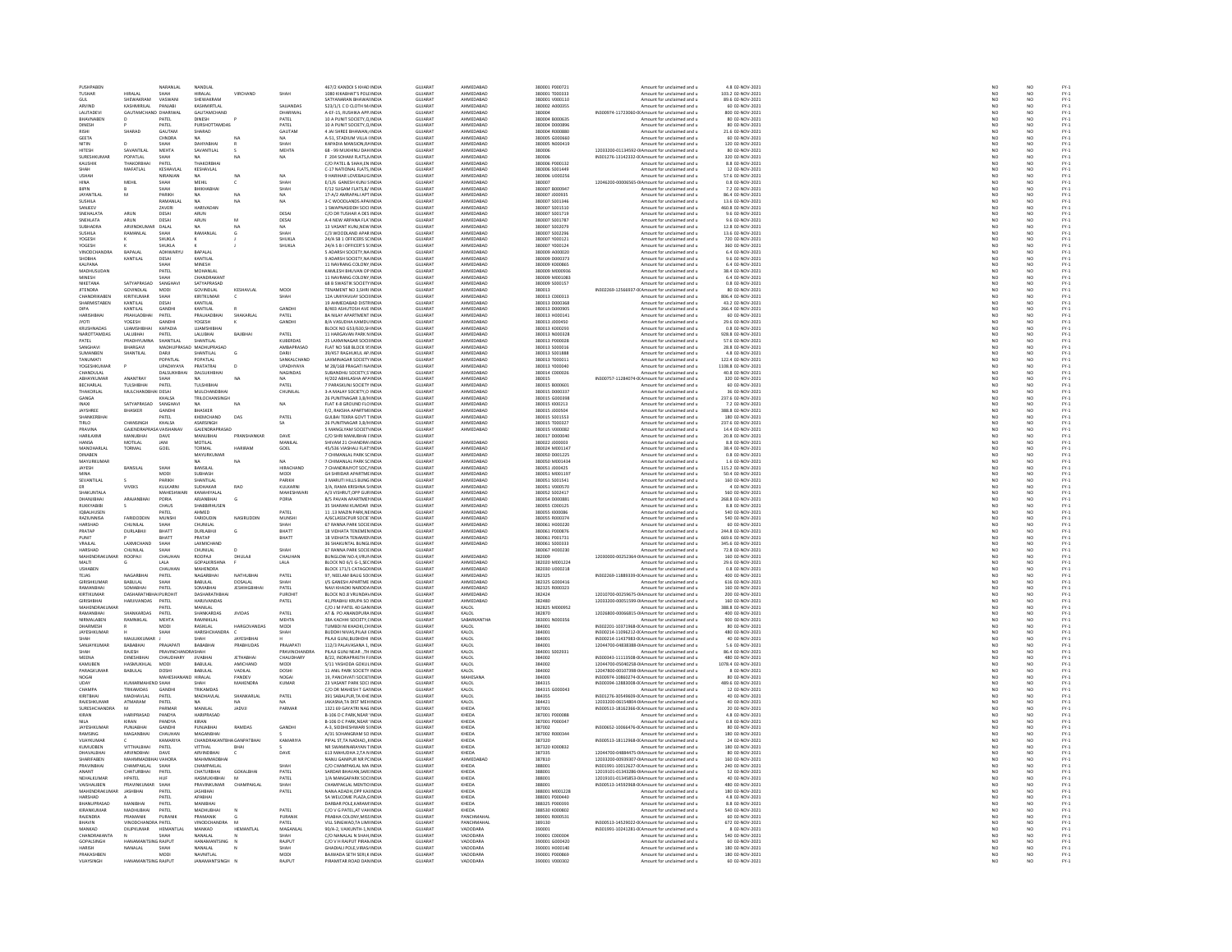| PUSHPABEN<br><b>TUSHAR</b>          |                                     | NARANLAL                      | NANDLAL                             |                               |                                  | 467/2 KANDOI S KHAD INDIA                                   | <b>GUJARAT</b>                   | AHMEDABAD              | 380001 P000721                    | Amount for unclaimed and u                                                                        | 4.8 02-NOV-2021                        | NO                                                                  | NO                                                                  |                                                |
|-------------------------------------|-------------------------------------|-------------------------------|-------------------------------------|-------------------------------|----------------------------------|-------------------------------------------------------------|----------------------------------|------------------------|-----------------------------------|---------------------------------------------------------------------------------------------------|----------------------------------------|---------------------------------------------------------------------|---------------------------------------------------------------------|------------------------------------------------|
|                                     | HIRALAI                             | <b>CLIAM</b>                  | HIRAI AI                            | VIRCHAND                      | <b>SHAH</b>                      | 1080 KIKARHAT'S POLEINDIA                                   | GUIARAT                          | AHMEDARAD              | 380001 T000333                    | Amount for unclaimed and u<br>Amount for unclaimed and u                                          | 103.2.02-NOV-2021                      | NC<br>NC                                                            | NO                                                                  | FY-1<br>FY-1<br>FY-1<br>FY-1                   |
|                                     | SHEWAKRAM                           | VASWAN                        | <b>SHEWAKRAN</b>                    |                               |                                  |                                                             | <b>SLUARA</b>                    | HMEDABA                |                                   |                                                                                                   | 89.6 02-NOV-2021                       |                                                                     |                                                                     |                                                |
| ARVIND<br><b>JALITADEV</b>          | KASHMIRILAL<br><b>GALITAMOHA</b>    | PANJABI<br>HARIWAL            | KASHMIRTLAL<br>GAUTAMCHAND          |                               | SAJJANDAS                        | 523/1/1 C D CLOTH M/INDIA                                   | <b>GUJARAT</b><br><b>GUIARAT</b> | AHMEDABAD<br>AHMEDARAD | 380002 A000355<br>asonna          | Amount for unclaimed and u                                                                        | 60 02-NOV-2021<br>800 02-NOV-2021      | NO                                                                  | NO<br>NO                                                            |                                                |
|                                     |                                     |                               |                                     |                               | DHARIWAI                         | 4-EF-15, RUSHIKA APP INDIA                                  |                                  |                        | 380004 B000635                    | IN300974-11723060-0(Amount for unclaimed and                                                      |                                        | NO                                                                  | NO                                                                  |                                                |
| BHAVNABEN<br><b>DINESH</b>          |                                     | PATEL<br>PATEL                | DINESH<br>PURSHOTTAMDAS             |                               | PATEL<br>PATFI                   | 10 A PUNIT SOCIETY, O INDIA<br>10 A PUNIT SOCIETY O INDIA   | <b>GUJARAT</b><br>GUIARAT        | AHMEDABAD<br>AHMEDARAD | 380004 DODRAG                     | Amount for unclaimed and u<br>Amount for unclaimed and u                                          | 80 02-NOV-2021<br>80.02-NOV-2021       | NO<br>NO <sub>1</sub>                                               | NO <sub>1</sub>                                                     |                                                |
| RISHI                               | SHARAD                              | GAUTAM                        | SHARAD                              |                               | GAUTAM                           | 4 JAI SHREE BHAWAN, INDU                                    | GUJARA'                          | AHMEDABAD              | 380004 R000880                    | Amount for unclaimed and u                                                                        | 21.6 02-NOV-2021                       | $\overline{NQ}$                                                     | NO                                                                  | FY-)<br>FY-)                                   |
| <b>GEETA</b>                        |                                     | CHNDRA                        | <b>NA</b>                           |                               | NA.                              | A-51, STADIUM VILLA (INDIA                                  | <b>GUJARAT</b>                   | AHMEDABAD              | 380005 G000660                    | Amount for unclaimed and u                                                                        | 60 02-NOV-2021                         | NO <sub>1</sub>                                                     | NO <sub>1</sub>                                                     |                                                |
| VITIN                               |                                     |                               |                                     |                               |                                  | KAPADIA MANSION, RA INDU                                    | GUJARA                           | AHMEDABAD              | 380005 N000419                    | Amount for unclaimed and u                                                                        | 120 02-NOV-2021                        | NO                                                                  |                                                                     | FY-1<br>FY-1<br>FY-1                           |
| HITESH                              | SAVANTILAL                          | MEHTA                         | SAVANTILAL                          |                               | MEHTA                            | 68 - 99 MUKHINU DAHINDIA                                    | <b>GUJARAT</b>                   | AHMEDABAD              | 380006                            | 12033200-01134592-0IAmount for unclaimed and u                                                    | 80 02-NOV-2021                         | NO                                                                  | NO<br>NO                                                            |                                                |
| <b>SLIRESHKLIMAR</b>                | POPATI AL                           | SHAH                          |                                     |                               | NA                               | <b>F-204 SOHAM FLATS NINDIA</b>                             | GUIARAT                          | AHMEDARAD              | 380006                            | N301276-13142332-0(Amount for unclaimed and u                                                     | 320.02-NOV-2021                        | NO<br>NO                                                            | NO<br>NO                                                            | FY-)<br>FY-)                                   |
| KAUSHIK                             |                                     | PATE                          | THAKORB                             |                               |                                  | C/O PATEL & SHAH, EN INDU                                   | GUJARA'                          | AHMEDABAD              | 380006 P000132                    | Amount for unclaimed and u                                                                        | 8.8 02-NOV-2021                        |                                                                     |                                                                     |                                                |
| SHAH                                | MAFATLAL                            | KESHAVLAI                     | KESHAVLAL                           |                               |                                  | C-17 NATIONAL FLATS. INDIA                                  | <b>GUJARAT</b>                   | AHMEDABAD              | 380006 S001449                    | Amount for unclaimed and u                                                                        | 12 02-NOV-2021                         | NO                                                                  | NO <sub>1</sub>                                                     | FY-3<br>FY-3                                   |
|                                     |                                     | NIRANJAN                      | NA                                  |                               | NA                               | HARIHAR LOVEBAUG INDU                                       | GUJARA'                          | AHMEDABAD              | 380006 U000256                    | Amount for unclaimed and u                                                                        | 57.6 02-NOV-2021                       | NO                                                                  | NO                                                                  |                                                |
| <b>HINA</b>                         | MEHIL                               | SHAH<br>SHAH                  | <b>MEHIL</b><br>ВНІКНАВН            |                               | SHAH                             | E/1/6 GANESH KUNJ S INDIA<br>F/12 SUGAM FLATS, B/ INDU      | <b>GUJARAT</b><br>GUJARA'        | AHMEDABAD<br>AHMEDABAD | 380007<br>380007 B000947          | 12046200-00006565-0IAmount for unclaimed and u<br>Amount for unclaimed and u                      | 0.8 02-NOV-2021<br>7.2 02-NOV-202      | NO<br>NO                                                            | NO <sub>1</sub><br>NO                                               |                                                |
| <b>JAYANTILAL</b>                   | M                                   | PARIKH                        | <b>NA</b>                           |                               |                                  | 17-A/2 AMRAPALI APT INDIA                                   | <b>GUJARAT</b>                   | AHMEDABAD              | 380007 J000935                    | Amount for unclaimed and u                                                                        | 86.4 02-NOV-2021                       |                                                                     |                                                                     |                                                |
| SLISHILA                            |                                     | RAMANI AI                     | NA                                  |                               | NA<br>NA                         | 3-C WOODLANDS APA INDIA                                     | GUIARAT                          | AHMEDARAD              | 380007 S001346                    | Amount for unclaimed and u                                                                        | 13.6.02-NOV-2021                       | NO<br>NO                                                            | $\frac{NO}{NO}$                                                     | FY - :<br>FY - :<br>FY - :<br>FY - :<br>FY - : |
| SANJEEV                             |                                     | ZAVERI                        | HARIVADA                            |                               |                                  | 1 SWAPNASIDDH SOCI INDU                                     | GUJARA'                          | AHMEDABAD              | 380007 S001510                    | Amount for unclaimed and u                                                                        | 460.8 02-NOV-2021                      | NO                                                                  | NO                                                                  |                                                |
| SNEHALATA                           | ARUN                                | DESAI                         | ARUN                                |                               | DESAI                            | C/O DR TUSHAR A DES INDIA                                   | <b>GUJARAT</b>                   | AHMEDABAD              | 380007 S001719                    | Amount for unclaimed and u                                                                        | 9.6 02-NOV-2021                        | NO                                                                  | NO <sub>1</sub>                                                     |                                                |
| <b>SNEHLATA</b>                     | ARUN                                | DESA                          | ARUN                                |                               | DESAI                            | A-4 NEW ARPANA FLA' INDI                                    | GUJARA'                          | AHMEDABAD              | 380007 S00178                     | Amount for unclaimed and u                                                                        | 9.6 02-NOV-2021                        | NO                                                                  | NO                                                                  | FY-1<br>FY-1<br>FY-1<br>FY-1                   |
| <b>SUBHADRA</b>                     | ARVINDKUMA                          | DALAL                         | <b>NA</b>                           | NA                            | NA.                              | 13 VASANT KUNJ.NEW INDIA                                    | <b>GUJARAT</b>                   | AHMEDABAD              | 380007 S002079                    | Amount for unclaimed and u                                                                        | 12.8 02-NOV-2021                       | NO <sub>1</sub>                                                     | NO <sub>1</sub>                                                     |                                                |
| SUSHILA                             | <b>PAMANIA</b>                      | SHAH                          | <b>PAMANIA</b>                      |                               | SHAH                             | C/3 WOODLAND APAR INDU                                      | CHARAT                           | <b>AUMERARAP</b>       | 380007 S002296                    | Amount for unclaimed and                                                                          | 13.6 02-NOV-2021                       | NO                                                                  | NO                                                                  |                                                |
| YOGESH                              |                                     | SHUKLA                        |                                     |                               | SHUKLA                           | 24/A SB 1 OFFICERS SC INDIA                                 | <b>GUJARAT</b>                   | AHMEDABAD<br>AHMEDARAD | 380007 Y000121                    | Amount for unclaimed and u                                                                        | 720 02-NOV-2021                        | NO                                                                  | NO                                                                  |                                                |
| <b>YOGESH</b>                       | BAPALAI                             | SHEIKEA                       |                                     |                               | SHUKLA                           | 24/A S B I OFFICER'S S( INDIA                               | GUIARAT                          |                        | 380007 Y000124                    | Amount for unclaimed and u                                                                        | 360 02-NOV-2021<br>6.4 02-NOV-2021     | NO                                                                  | $\begin{array}{c} N\odot \\ N\odot \\ N\odot \\ N\odot \end{array}$ |                                                |
| VINODCHA<br><b>SHOBHA</b>           | KANTILAL                            | ADHWARYU<br>DESAI             | BAPALAI<br>KANTILAL                 |                               |                                  | 5 ADARSH SOCIETY, NA INDU<br>9 ADARSH SOCIETY.NA INDIA      | GUJARA'<br><b>GUJARAT</b>        | AHMEDABAD<br>AHMEDABAD | 380009 A000020<br>380009 D000373  | Amount for unclaimed and u<br>Amount for unclaimed and u                                          | 9.6 02-NOV-2021                        | NO<br>NO <sub>1</sub>                                               |                                                                     |                                                |
| KALPANA                             |                                     |                               | MINESH                              |                               |                                  | 11 NAVRANG COLONY, INDU                                     | GUJARAT                          | AHMEDABAD              | 380009 K000865                    | Amount for unclaimed and                                                                          | 6.4 02-NOV-2021                        | NO                                                                  | NO                                                                  | FY-1<br>FY-1<br>FY-1<br>FY-1                   |
| MADHUSUDAN                          |                                     | PATEL                         | MOHANLAL                            |                               |                                  | KAMLESH BHUVAN OP INDIA                                     | <b>GUJARAT</b>                   | AHMEDABAD              | 380009 M000936                    | Amount for unclaimed and u                                                                        | 38.4 02-NOV-2021                       | NO                                                                  | NO                                                                  |                                                |
| <b>MINESH</b>                       |                                     |                               | CHANDRAKANT                         |                               |                                  | 11 NAVRANG COLONY INDIA                                     | <b>GUIARAT</b>                   | AHMEDARAD              | <b>180009 MOD1083</b>             | Amount for unclaimed and u                                                                        | 6.4.02-NOV-2021                        | NO<br>NO                                                            | NO<br>NO                                                            | FY-3<br>FY-3                                   |
| NIKETANA                            | SATYAPRASAD                         | SANGHAV                       | SATYAPRASAD                         |                               |                                  | 68 B SWASTIK SOCIETY INDIA                                  | GUJARA'                          | AHMEDABAD              | 380009 S000157                    | Amount for unclaimed and u                                                                        | 0.8 02-NOV-2021                        |                                                                     |                                                                     |                                                |
| <b>IITENDRA</b>                     | GOVINDLAL                           | MODI                          | GOVINDI AL                          | KESHAVLAL                     | MODI                             | TENAMENT NO 3 SHRI INDIA                                    | GUIARAT                          | AHMEDARAD              | 380013                            | IN302269-12566937-00 Amount for unclaimed and u                                                   | 80.02-NOV-2021                         | NO <sub>1</sub>                                                     | NO <sub>1</sub>                                                     | FY-)<br>FY-)                                   |
| <b>CHANDRIKABEN</b>                 | KIRITKUMAR                          | SHAH                          | KIRITKUMAR                          |                               | SHAH                             | 12A UMIYAVUAY SOCII INDI                                    | GUJARA'                          | AHMEDABAD              | 380013 C000313                    | Amount for unclaimed and u                                                                        | 806.4 02-NOV-2021                      | $\overline{N}$                                                      | $\frac{1}{NQ}$                                                      |                                                |
| SHARMISTABEN<br><b>DIPA</b>         | KANTILAL<br>KANTILAI                | DESAI<br>GANDH                | KANTILAL<br>KANTILAI                |                               | GANDHI                           | 19 AHMEDABAD DISTRINDIA<br><b>B/403 ASHLITOSH AVE INDIA</b> | <b>GUJARAT</b><br>GUIARAT        | AHMEDABAD<br>AHMEDARAD | 380013 D000368<br>asona a nonnens | Amount for unclaimed and u<br>Amount for unclaimed and u                                          | 43.2 02-NOV-2021<br>266.4 02-NOV-2021  | NO<br>NO                                                            | NO<br>NO                                                            |                                                |
| HARISHBHAI                          | PRAHLADBHAI                         | PATEL                         | PRALHADBHAI                         | SHAKARLAL                     | PATEL                            | <b>8A NILAY APARTMENT INDIA</b>                             | <b>GUJARAT</b>                   | AHMEDABAD              | 380013 H000141                    | Amount for unclaimed and u                                                                        | 60 02-NOV-2021                         | NO                                                                  | $\overline{NQ}$                                                     | FY-3<br>FY-3<br>FY-3                           |
| <b>IVOTI</b>                        | <b>YOGESH</b>                       | <b>GANDHI</b>                 | <b>YOGESH</b>                       |                               | GANDHI                           | <b>8/4 VASHDHA KAMDI INDIA</b>                              | GUIARAT                          | AHMEDARAD              | 380013 1000450                    | Amount for unclaimed and u                                                                        | 29.6.02-NOV-2021                       | NO <sub>1</sub>                                                     | NO <sub>1</sub>                                                     |                                                |
| <b>KRUSHNADAS</b>                   | <b>UJAMSHIBHAI</b>                  | KAPADIA                       | UJAMSHIBHA                          |                               |                                  | BLOCK NO G53/630, SH INDIA                                  | GUJARA'                          | AHMEDABAD              | 380013 K000293                    | Amount for unclaimed and u                                                                        | 0.8 02-NOV-2021                        | $\overline{N}$                                                      | $\frac{1}{NQ}$                                                      | FY-)<br>FY-)                                   |
| NAROTTAMDAS                         | LALUBHAI                            | PATEL                         | LALUBHAI                            | BAJIBHA                       | PATEL                            | 11 HARGAVAN PARK NINDIA                                     | <b>GUJARAT</b>                   | AHMEDABAD              | 380013 N000328                    | Amount for unclaimed and u                                                                        | 928.8 02-NOV-2021                      | NO <sub>1</sub>                                                     | NO <sub>1</sub>                                                     |                                                |
| PATEL                               | PRADHYUN                            | <b>HANTILA</b>                | SHANTILAI                           |                               | KUBERDAS                         | 25 LAXMINAGAR SOCII INDI                                    | GUJARA'                          | AHMEDABAD              | 380013 P000028                    | Amount for unclaimed and u                                                                        | 57.6 02-NOV-2021                       | NO                                                                  | NO                                                                  | FY-1<br>FY-1<br>FY-1<br>FY-1                   |
| SANGHAVI                            | BHARGAVI                            |                               | MADHUPRASAD MADHUPRASAD             |                               | AMBAPRASAD                       | FLAT NO 568 BLOCK 95 INDIA                                  | <b>GUJARAT</b>                   | AHMEDABAD              | 380013 S000016                    | Amount for unclaimed and u                                                                        | 28.8 02-NOV-2021                       | NO <sub>1</sub>                                                     | NO <sub>1</sub>                                                     |                                                |
| CURANDEN                            | SHANTILAL                           | DARI                          | SHANTILAI                           |                               | <b>DARIE</b>                     | 39/457 RAGHUKUL AP. INDIA<br>LAXMINAGAR SOCIETY INDIA       | GUIARA <sup>1</sup>              | <b>UMEDARAD</b>        | 380013 S001888<br>380013 T000011  | Amount for unclaimed and u                                                                        | 4.8 02-NOV-2021<br>122.4 02-NOV-2021   | $\frac{N}{N}$                                                       | $\begin{array}{c} 10 \\ \text{NQ} \\ \text{NQ} \end{array}$         |                                                |
| <b>TANUMAT</b>                      |                                     | POPATLAL                      | POPATLAL                            |                               | SANKALCHAND                      |                                                             | GUJARA'                          | AHMEDABAD              |                                   | Amount for unclaimed and u                                                                        |                                        |                                                                     |                                                                     |                                                |
| YOGESHKUMAF<br><b>CHANDULAL</b>     |                                     | UPADHYAYA<br>DALSUKHB         | PRATATRAL<br>DALSUKHBHA             | D                             | <b>UPADHYAYA</b><br>NAGINDAS     | M 28/168 PRAGATI NA INDIA<br>SUBANDHU SOCIETY,S INDI        | <b>GUJARAT</b><br>GUJARA'        | AHMEDABAD<br>AHMEDABA  | 380013 Y000040<br>380014 C000026  | Amount for unclaimed and u<br>Amount for unclaimed and u                                          | 1108.8 02-NOV-2021<br>40.8 02-NOV-2021 | NO<br>NO                                                            | NO <sub>1</sub><br>NO                                               | 52<br>52<br>52<br>52                           |
| ABHAYKUMAR                          | ANANTRAY                            | SHAH                          | <b>NA</b>                           | NA                            | <b>NA</b>                        | H/202 ABHILASHA APAINDIA                                    | <b>GUJARAT</b>                   | AHMEDABAD              | 380015                            | IN300757-11284074-0(Amount for unclaimed and u                                                    | 320 02-NOV-2021                        | NO <sub>1</sub>                                                     | NO <sub>1</sub>                                                     |                                                |
| BECHARLAL                           | TULSHIBHA                           | PATE                          | TULSHIBHA                           |                               | PATEL                            | PARASKUNJ SOCIETY INDU                                      | GUJARA'                          | HMEDABAD               | 380015 B000601                    | Amount for unclaimed and u                                                                        | 60 02-NOV-202                          | NO                                                                  | NO                                                                  |                                                |
| THAKORLAL                           | MULCHANDBHAI DESAI                  |                               | MULCHANDBHAI                        |                               | CHUNILAL                         | 3-A MALAY SOCIETY, O INDIA                                  | <b>GUJARAT</b>                   | AHMEDABAD              | 380015 DO00337                    | Amount for unclaimed and u                                                                        | 36 02-NOV-2021                         | NO                                                                  | NO                                                                  |                                                |
| GANGA                               |                                     | KHAI SA                       | TRILOCHANSINGH                      |                               |                                  | 26 PUNITNAGAR 3 R/HINDIA                                    | GUIARAT                          | AHMEDARAD              | asonis connaer                    | Amount for unclaimed and u                                                                        | 237.6 02-NOV-2021                      | NO                                                                  |                                                                     |                                                |
| INAXI                               | SATYAPRASAD                         | SANGHAV                       | NA                                  |                               | NA                               | FLAT K-8 GROUND FLO INDIA                                   | <b>GUJARAT</b>                   | AHMEDABAD              | 380015 1000213                    | Amount for unclaimed and u                                                                        | 7.2 02-NOV-2021                        | NO                                                                  | NO<br>NO                                                            |                                                |
| <b>IAVSHRFF</b>                     | BHASKER                             | <b>GANDHI</b>                 | RHASKER                             |                               |                                  | F/2 RAKSHA APARTMENDIA                                      | GUIARAT                          | AHMEDARAD              | 380015 1000504                    | Amount for unclaimed and u                                                                        | 388.8.02-NOV-2021                      | NO<br>NO                                                            | NO<br>NO                                                            | FY-1<br>FY-1<br>FY-1                           |
|                                     |                                     | PATEL                         | HEMCHAND                            | DAS                           | PATEL                            | .<br>JULBAI TEKRA GOVT T INDI                               | <b>SUIARA</b>                    | HMFDARAD               | 80015 \$001553                    | Amount for unclaimed and                                                                          | 80 02-NOV-2021                         |                                                                     |                                                                     |                                                |
| TIRLO<br>PRAVINA                    | CHANSINGH<br>GAIFNDRAPRASA VAISHANA | KHALSA                        | ASARSINGH<br>GAIFNDRAPRASAL         |                               | <b>SA</b>                        | 26 PUNITNAGAR 3,B/H INDIA<br><b>MANGIYAM SOCIETI INDIA</b>  | <b>GUJARAT</b><br>GUIARAT        | AHMEDABAD<br>AHMEDARAD | 380015 T000327<br>\$80015 V000082 | Amount for unclaimed and u                                                                        | 237.6 02-NOV-2021<br>14.4 02-NOV-2021  | NO                                                                  | NO                                                                  |                                                |
|                                     |                                     |                               |                                     | PRANSHANKAR                   | DAVE                             |                                                             |                                  |                        |                                   | Amount for unclaimed and u                                                                        | 20.8 02-NOV-2021                       | NO                                                                  | NO<br>NO                                                            | FY-3<br>FY-3                                   |
| HARILAXMI<br>HANSA                  | MANUBHAI<br>MOTILAL                 | DAVE<br><b>IANI</b>           | MANUBHAI<br>MOTILAI                 |                               | MANILAI                          | C/O SHRI MANUBHAI FINDIA<br>.<br>HIVAM 21 CHANDRA\ INDIA    | <b>GUJARAT</b><br>GUIARAT        | AHMEDARAD              | 380017 D000040<br>connou conner   | Amount for unclaimed and u<br>Amount for unclaimed and u                                          | 8.8.02-NOV-2021                        | NO<br>NO <sub>1</sub>                                               | NO <sub>1</sub>                                                     |                                                |
| MANOHARLA                           | TORMAL                              | GOEL                          | TORMAL                              | <b>HARIRAM</b>                | GOEL                             | 45/536 VIASHALI FLAT INDIA                                  | GUJARA'                          | AHMEDABAD              | 380024 M001147                    | Amount for unclaimed and u                                                                        | 38.4 02-NOV-2021                       | $\overline{N}$                                                      | $\overline{NQ}$                                                     | FY-)<br>FY-)                                   |
| DINABEN                             |                                     |                               | MAYURKUMAR                          |                               |                                  | 7 CHIMANLAL PARK SC INDIA                                   | <b>GUJARAT</b>                   | AHMEDABAD              | 380050 D001225                    | Amount for unclaimed and u                                                                        | 0.8 02-NOV-2021                        | NO                                                                  | NO <sub>1</sub>                                                     |                                                |
| MAYURKUMA                           |                                     |                               |                                     | NA                            |                                  | 7 CHIMANLAL PARK SC INDU                                    |                                  | AHMEDABA               | 380050 M00143                     | Amount for unclaimed and u                                                                        | 1.6 02-NOV-2021                        | NQ                                                                  | $\frac{10}{10}$                                                     | FY-1<br>FY-1<br>FY-1                           |
| JAYESH                              | BANSILAL                            | SHAH                          | BANSILAL                            |                               | HIRACHAND                        | 7 CHANDRAJYOT SOC, I INDIA                                  | GUJARA'                          | AHMEDABAD              | 380051 J000425                    | Amount for unclaimed and u                                                                        | 115.2 02-NOV-2021                      |                                                                     |                                                                     |                                                |
| MINA                                |                                     | MODI                          | SURHASH                             |                               | MODI                             | G4 SHRIDAR APARTME INDIA                                    | GUIARAT                          | AHMEDARAD              | 380051 M001197                    | Amount for unclaimed and u                                                                        | 50.4.02-NOV-2021                       | NO <sub>1</sub>                                                     | NO <sub>1</sub>                                                     | FY-)<br>FY-)                                   |
| SEVANTILAL                          |                                     | PARIKH                        | SHANTILAL                           |                               | PARIKH                           | 3 MARUTI HILLS BUNG INDIA                                   | GUJARA'                          | AHMEDABAD              | 380051 S001541                    | Amount for unclaimed and u                                                                        | 160 02-NOV-2021                        | NO                                                                  | $\overline{NQ}$                                                     |                                                |
|                                     | VIVEKS                              | KULKARNI                      | SUDHAKAR                            | <b>RAO</b>                    | KULKARNI                         | 3/A. RAMA KRISHNA S INDIA                                   | <b>GUJARAT</b>                   | AHMEDABAD              | 380051 V000570                    | Amount for unclaimed and u                                                                        | 4 02-NOV-2021                          | NO<br>NO                                                            | NO <sub>1</sub>                                                     | FY-3<br>FY-3                                   |
| SHAKUNTAL                           |                                     | <b>MAHESH</b>                 | KANAHIYALA                          |                               | MAHESHWAR                        | A/3 VISHRUT, OPP GURINDU                                    | GUJARA'                          | AHMEDABAD              | 380052 S002417                    | Amount for unclaimed and u                                                                        | 560 02-NOV-2021                        |                                                                     | NO                                                                  |                                                |
| DHANJIBHAI<br><b>NUKKYABIB</b>      | ARAJANBHAI                          | PORIA                         | ARJANBHAI                           | G                             | PORIA                            | <b>B/S PAVAN APARTMEN INDIA</b>                             | <b>GUJARAT</b>                   | AHMEDABAD<br>HMEDABAD  | 380054 D000881                    | Amount for unclaimed and u                                                                        | 268.8 02-NOV-2021                      | NO                                                                  | NO <sub>1</sub>                                                     |                                                |
|                                     |                                     |                               |                                     |                               |                                  |                                                             |                                  |                        |                                   |                                                                                                   |                                        |                                                                     |                                                                     |                                                |
|                                     |                                     |                               | SHABBIRHUSE                         |                               |                                  | 35 SHARANI KUMDAR INDU                                      | GUJARA'                          |                        | 380055 C000125                    | Amount for unclaimed and u                                                                        | 8.8 02-NOV-202                         | NC                                                                  | NO                                                                  |                                                |
| IQBALHUSEN                          |                                     | PATEL                         | <b>AHMED</b>                        |                               | PATEL                            | 11.13 MAZIN PARK, NEINDIA                                   | <b>GUJARAT</b>                   | AHMEDABAD              | 380055 1000086                    | Amount for unclaimed and u                                                                        | 540 02-NOV-2021                        |                                                                     |                                                                     |                                                |
| RAZIUNNISA                          | FARIDODDIN                          | MUNSHI                        | FARIDUDIN                           | NASIRUDDIN                    | MUNSHI                           | A/6CLASSICPUR SOCIE INDIA                                   | <b>GUJARAT</b>                   | AHMEDABAD              | 380055 R000374                    | Amount for unclaimed and u                                                                        | 540 02-NOV-2021                        | NO<br>NO                                                            | NO<br>NO                                                            |                                                |
| HARSHA<br>PRATAP                    | CHUNILAL<br><b>DURLABHJI</b>        | SHAH<br>BHATT                 | CHUNILAL<br><b>DURLABHJI</b>        | $\epsilon$                    | <b>SHAH</b><br>BHATT             | 67 RANNA PARK SOCIE INDI<br><b>18 VIDHATA TENEMEN INDIA</b> | GUJARA'<br><b>GUJARAT</b>        | AHMEDABAD<br>AHMEDABAD | 380061 H000220<br>380061 P000876  | Amount for unclaimed and u<br>Amount for unclaimed and u                                          | 60 02-NOV-2021<br>244.8 02-NOV-2021    | NO<br>NO <sub>1</sub>                                               | NQ<br>NO <sub>1</sub>                                               | FY-1<br>FY-1<br>FY-1<br>FY-1                   |
|                                     |                                     | <b>ВНАТ</b>                   | PRATAP                              |                               | ВНАТТ                            | 18 VIDHATA TENAMEN INDU                                     | GUJARA'                          | HMEDABAD               | 380061 P001731                    | Amount for unclaimed and u                                                                        | 69.6 02-NOV-202                        |                                                                     |                                                                     |                                                |
| VRAJLAL                             | LAXMICHAND                          | SHAH                          | LAXMICHAND                          |                               |                                  | 36 SHAKUNTAL BUNGLINDIA                                     | <b>GUJARAT</b>                   | AHMEDABAD              | 380061 S000333                    | Amount for unclaimed and u                                                                        | 345.6 02-NOV-2021                      | NC<br>NO                                                            | NO<br>NO                                                            |                                                |
| HARSHAP                             | CHUNILAL                            | SHAH                          | CHUNILAL                            |                               | SHAH                             | 67 RANNA PARK SOCIE INDU                                    | GUJARAT                          |                        | 380067 H000230                    | Amount for unclaimed and u                                                                        | 72.8 02-NOV-2021                       | NO                                                                  |                                                                     |                                                |
| MAHENDRAKUMA                        | ROOPAJI                             | CHAUHAN                       | ROOPAJI                             | DHULAJI                       | CHAUHAN                          | BUNGLOW NO.4, VRUN INDIA                                    | <b>GUJARAT</b>                   | AHMEDABAD              | 382009                            | 12030000-00252364-0IAmount for unclaimed and u                                                    | 160 02-NOV-2021                        | NO                                                                  | NO<br>NO                                                            |                                                |
| MALTI.                              |                                     | LALA.                         | GOPALKRISHNA                        |                               | LALA                             | BLOCK NO 6/1 G-1.SEC INDIA                                  | GUIARAT                          | AHMEDARAD              | 382020 M001224                    | Amount for unclaimed and u                                                                        | 29.6.02-NOV-2021                       | NO <sub>1</sub>                                                     | NO <sub>1</sub>                                                     |                                                |
| USHABEN                             |                                     | CHAUHAN                       | MAHENDRA                            |                               |                                  | BLOCK 171/1 CATAGOI INDIA                                   | GUJARA'                          | AHMEDABAD              | 382030 U000218                    | Amount for unclaimed and u                                                                        | 0.8 02-NOV-2021                        | NO                                                                  | $\frac{1}{NQ}$                                                      |                                                |
| <b>TEJAS</b>                        | NAGARBHAI                           | PATEL                         | NAGARBHAI                           | NATHUBHAI                     | PATEL                            | 97. NEELAM BAUG SOUNDIA                                     | <b>GUJARAT</b>                   | AHMEDABAD              | 382325                            | IN302269-11889339-0(Amount for unclaimed and u                                                    | 400 02-NOV-2021                        | NO <sub>1</sub>                                                     | NO <sub>1</sub>                                                     |                                                |
| <b>SIRISHKUMAR</b>                  | BABULAL                             |                               | BABULAL                             | DOSALAL<br><b>JESHIHGBHHA</b> | SHAH                             | VS GANESH APARTME INDU                                      | GUJARAT                          | AHMEDABAD              | 382325 G000416                    | Amount for unclaimed and                                                                          | 616 02-NOV-2021                        | NC                                                                  |                                                                     |                                                |
| RAMANBHAI<br>KIRTIKI IMAR           | SOMABHAI<br>DASHARATHR              | PATEL<br>PUROHIT              | SOMABHAI<br>DASHARATHRHA            |                               | PATEL<br>PUROHO                  | NAVI KHADKI NARODA INDIA<br>BLOCK NO & VRUNDAVINDIA         | <b>GUJARAT</b><br>GUIARAT        | AHMEDABAD<br>AHMEDARAD | 382325 R000323<br>382424          | Amount for unclaimed and u<br>12010700-00259675-0LAmount for unclaimed and u                      | 160 02-NOV-2021<br>200.02-NOV-2021     | NO<br>NO <sub>1</sub>                                               | NO<br>NO<br>NO <sub>1</sub>                                         | 기 구 구 구 구 구 구 구 구 구<br>- 이 스 스 스 스 스 스         |
| <b>GIRISHBHA</b>                    | HARJIVANDAS                         | PATEL                         | <b>HARJIVANDAS</b>                  |                               | PATEL                            | 41, PRABHU KRUPA SO INDIA                                   | <b>GUJARAT</b>                   | AHMEDABAD              | 382480                            | 12033200-00051599-0IAmount for unclaimed and u                                                    | 160 02-NOV-2021                        | NO                                                                  |                                                                     |                                                |
| MAHENDRAKLIMAR                      |                                     | PATEL                         | MANILAI                             |                               |                                  | C/O LM PATEL 40 GAN INDIA                                   | GUIARAT                          | KALOL                  | 382825 MODDAS2                    | Amount for unclaimed and                                                                          | 388.8.02-NOV-2021                      | NO                                                                  | NQ<br>NQ                                                            | FY-)<br>FY-)                                   |
|                                     |                                     | PATE                          | <b>SHANKARDA</b>                    | <b>JIVIDAS</b>                | PATEL                            | AT & PO ANANDPURA INDI                                      | GUJARA'                          | KALOL                  | 382870                            | 12026800-00066815-0IAmount for unclaimed and u                                                    | 400 02-NOV-2021                        | NO                                                                  | NO                                                                  | FY-3<br>FY-3                                   |
| NIRMALABEN                          | RAMNIKLAL                           | MEHTA                         | RAMNIKLAL                           |                               | MEHTA                            | 38A KACHHI SOCIETY.C INDIA                                  | <b>GUJARAT</b>                   | SABARKANTHA            | 383001 N000356                    | Amount for unclaimed and u                                                                        | 900 02-NOV-2021                        |                                                                     |                                                                     |                                                |
| <b>DHARMESH</b>                     |                                     | MODI                          | RASIKI AI                           | HARGOVANDA                    | MODI                             | TUMBDI NI KHADKI CHINDIA                                    | <b>GUIARAT</b>                   | KALOL                  | 184001                            | IN302201-10371968-0(Amount for unclaimed and u                                                    | 80.02-NOV-2021                         |                                                                     | NO<br>NO                                                            |                                                |
| JAYESHKUMAR<br>SHAH                 | MALILIKKUMAR                        | SHAH                          | <b>HARISHCHANDRA</b><br><b>HAHZ</b> | <b>IAYESHRHA</b>              | SHAH                             | BUDDHI NIVAS, PILAJI (INDIA<br>PILATI GLINI RUDHDHI INDIA   | GUJARA'<br>GUIARAT               | KALOL<br>KALOL         | 384001<br>384001                  | IN300214-11096212-0(Amount for unclaimed and u<br>IN300214-11437983-00 Amount for unclaimed and u | 480 02-NOV-2021<br>40.02-NOV-2021      | $\begin{array}{c} \tt NO \\ \tt NO \\ \tt NO \\ \tt NO \end{array}$ | $\overline{NQ}$<br>NQ                                               | FY-1<br>FY-1<br>FY-1                           |
|                                     |                                     |                               |                                     |                               |                                  |                                                             |                                  |                        |                                   |                                                                                                   |                                        | NO                                                                  |                                                                     |                                                |
| SANJAYKUMAF<br>SHAH                 | BABABHAI<br>RAJESH                  | PRAJAPAT<br>PRAVINCHANDRASHAH | BABABHA                             | PRABHUDAS                     | PRAJAPAT<br><b>PRAVINCHANDRA</b> | 112/3 PALAVASANA 1, INDU<br>PILAJI GUNJ NEAR TH INDIA       | GUJARA'<br><b>GUJARAT</b>        | KALOL<br>KALOL         | 384001<br>384001 S002931          | 12044700-04838388-0IAmount for unclaimed and u<br>Amount for unclaimed and u                      | 5.6 02-NOV-2021<br>86.4 02-NOV-2021    | NO<br>NO                                                            | NO<br>NO <sub>1</sub>                                               | FY-3<br>FY-3                                   |
| MEENA                               |                                     |                               |                                     | <b>JETHABHA</b>               | CHAUDHAR <sup>®</sup>            | B/22, INDRAPRASTH FLINDL                                    | GUJARA'                          | KALOL                  |                                   | IN300343-11113508-0(Amount for unclaimed and u                                                    | 480 02-NOV-202                         |                                                                     | NO                                                                  |                                                |
| KAMUBEN                             | <b>HASMUKHLAL</b>                   | <b>MODI</b>                   | BABULAL                             | AMICHAND                      | MODI                             | S/11 YASHODA GOKUL INDIA                                    | <b>GUJARAT</b>                   | KALOL                  | 384002                            | 12044700-05040258-0IAmount for unclaimed and u                                                    | 1078.4 02-NOV-2021                     | NO <sub>1</sub>                                                     | NO <sub>1</sub>                                                     |                                                |
| <b>PARAGKI IMAI</b>                 | <b>BABULAL</b>                      |                               |                                     | VADILAL                       |                                  |                                                             | GUJARAT                          |                        |                                   |                                                                                                   |                                        |                                                                     |                                                                     |                                                |
| NOGAI                               |                                     | MAHES                         | <b>BABULAI</b><br>HIRALAL           | PANDEV                        | DOSHI<br>NOGAI                   | 11 ANIL PARK SOCIETY INDIA<br>19, PANCHVATI SOCIETINDIA     | GUJARA'                          | KALOL<br>MAHESANA      | 384002<br>384003                  | 12047800-00107398-01Amount for unclaimed and u<br>IN300974-10860274-01Amount for unclaimed and u  | 8 02-NOV-2021<br>80 02-NOV-2021        | NC<br>NC                                                            | NO<br>NO                                                            | FY-1<br>FY-1<br>FY-1<br>FY-1                   |
| UDAY                                | KUMARMAH                            | <b>VD SHAH</b>                | SHAH                                | MAHENDRA                      | KUMAR                            | 23 VASANT PARK SOCI INDIA                                   | <b>GUJARAT</b>                   | KALOL                  | 384315                            | IN300394-12883008-0(Amount for unclaimed and u                                                    | 489.6 02-NOV-2021                      | NO <sub>1</sub>                                                     | NO <sub>1</sub>                                                     |                                                |
| <b>CHAMPA</b>                       | <b>TRIKAMDAS</b>                    |                               | TRIKAMDA                            |                               |                                  | C/O DR MAHESH T GAI INDI                                    | GUJARA'                          | KALOL                  | 384315 G000043                    | Amount for unclaimed and u                                                                        | 12 02-NOV-2021                         | NO                                                                  | NO                                                                  |                                                |
| KIRITBHAI                           | MADHAVLAL                           | PATEL                         | MADHAVLAL                           | SHANKARLAL                    | PATEL                            | 391 SABALPUR.TA KHE INDIA                                   | <b>GUJARAT</b><br><b>GUIARAT</b> | KALOL                  | 384355                            | IN301276-30549609-0(Amount for unclaimed and u                                                    | 40 02-NOV-2021                         | NO                                                                  | NO <sub>1</sub>                                                     |                                                |
| RAJESHKUMAR<br><b>SURESHCHANDRA</b> | ATMARAM<br>M                        | PATE<br>PARMAR                | MANILAL                             | JADVJI                        | PARMAR                           | <b>AKASNA,TA DIST MEHINDI</b><br>1321 69 GAYATRI NAG INDIA  | <b>GUJARAT</b>                   | KALOL<br>KHEDA         | 384421<br>387001                  | 12033200-06154804-0IAmount for unclaimed and<br>IN300513-18162366-0(Amount for unclaimed and u    | 40 02-NOV-2021<br>20 02-NOV-2021       | NO<br>NO                                                            |                                                                     | FY-1<br>FY-1<br>FY-1<br>FY-1                   |
| KIRAN                               | HARIPRASAD                          | PANDYA                        | HARIPRASAD                          |                               |                                  | B-106 D C PARK NEAR INDIA                                   | GUIARAT                          | KHEDA                  | 387001 P00008F                    | Amount for unclaimed and u                                                                        | 4.8.02-NOV-2021                        | NO                                                                  | $\frac{10}{10}$                                                     |                                                |
| NILA.                               | KIRAN                               | PANDYA                        | KIRAN                               |                               |                                  | <b>B-106 D C PARK, NEAR INDIA</b>                           | <b>GUJARAT</b>                   | KHEDA                  | 387001 P000347                    | Amount for unclaimed and u                                                                        | 0.8 02-NOV-2021                        | NO                                                                  | NO<br>NO                                                            | FY-3<br>FY-3                                   |
| <b>IAYESHKUMAR</b>                  | PUNJARHAI                           | <b>GANDHI</b>                 | PUNJARHAI                           | RAMDAS                        | GANDHI                           | 4-3 SIDDHESHWARI SUNDIA                                     | GUIARAT                          | KHEDA                  | 387002                            | IN300652-10066476-00 Amount for unclaimed and u                                                   | 80.02-NOV-2021                         |                                                                     |                                                                     |                                                |
| PAMEING                             |                                     | CHAILHAI                      | MAGANDU                             |                               |                                  | A/31 SOHANGRAM SO INDI                                      | <b>GUIARAT</b>                   | KHEDA                  | 387002 R000344                    |                                                                                                   | 180 02-NOV-2021                        | NO<br>NO                                                            | NO<br>NO                                                            |                                                |
| VIJAYKUMAF                          |                                     | KAMARIYA                      | CHANDRAKANTBHA GANPATBHA            |                               | KAMARIYA                         | PIPAL ST, TA NADIAD, & INDIA                                | <b>GUJARAT</b>                   | KHEDA                  | 387320                            | IN300513-18112968-0(Amount for unclaimed and u                                                    | 24 02-NOV-2021                         | NO                                                                  | NO                                                                  | FY-3<br>FY-3<br>FY-3                           |
| KUMUDREN                            | <b>VITTHAIRHAI</b>                  | PATE                          | <b>VITTHAL</b>                      |                               |                                  | NR SWAMINARAYAN TINDIA                                      | <b>GUIARAT</b>                   | KHEDA                  | 387320 K000832                    | Amount for unclaimed and u                                                                        | 180 02-NOV-2021                        | NO                                                                  |                                                                     |                                                |
| DHAVALBHA<br>SHARIFAREN             | ARVINDBHAI<br>MAHMMADRHALVAHORA     | DAVE                          | ARVINDBHAI<br>MAHMMADRHA            |                               | DAVE                             | 613 MAHUDHA 2, TA N INDIA<br>NANI I GANIPLIR NR PC INDIA    | <b>GUJARAT</b><br>GUIARAT        | KHEDA<br>AHMEDARAD     | 387335<br>387810                  | 12044700-04884475-0IAmount for unclaimed and u                                                    | 80 02-NOV-2021<br>160.02-NOV-2021      | NO                                                                  | NO<br>NO<br>$\mathbf{M}$                                            | FY-3<br>FY-3                                   |
|                                     |                                     |                               |                                     |                               |                                  |                                                             |                                  |                        |                                   | 12033200-00939307-0IAmount for unclaimed and u                                                    |                                        | NO <sub>1</sub>                                                     |                                                                     |                                                |
| <b>RAVINBHAI</b><br>ANANT           | CHAMPAKLAL<br>CHATURBHAI            | SHAH<br>PATEL                 | CHAMPAKLAL<br>CHATURBHAI            | GOKALBHAI                     | PATEL                            | C/O CHAMPAKLAL MA INDU<br>SARDAR BHAVAN SARI INDIA          | GUJARA'<br><b>GUJARAT</b>        | KHEDA<br>KHEDA         | 388001<br>388001                  | IN301991-10012627-0(Amount for unclaimed and u<br>12019101-01343286-0IAmount for unclaimed and u  | 240 02-NOV-2021<br>52 02-NOV-2021      | NO<br>NO <sub>1</sub>                                               | NO<br>NO <sub>1</sub>                                               | FY-)<br>FY-)                                   |
| <b>NEHALKUMAR</b>                   | <b>IPATEL</b>                       |                               |                                     |                               |                                  | 1/A MANGAPARK SOC INDI                                      | GUJARA'                          |                        |                                   |                                                                                                   | 0 02-NOV-202                           |                                                                     |                                                                     |                                                |
| VAISHALIBEN                         | PRAVINKUMAR                         | SHAH                          | ASMUKHB<br>PRAVINKUMAR              | CHAMPAKLAL                    | PATEL<br>SHAH                    | CHAMPAKLAL MENTIC INDU                                      | <b>GUJARAT</b>                   | KHEDA<br>KHEDA         | 388001                            | 12019101-01345853-0IAmount for unclaimed and u<br>IN300513-14592968-0(Amount for unclaimed and u  | 480 02-NOV-2021                        | NO                                                                  | $\frac{10}{10}$                                                     | FY-1<br>FY-1<br>FY-1                           |
| <b>MAHENDRAKLIMAR</b>               | <b>IASHRHAI</b>                     | PATEL                         | <b>IASHRHAI</b>                     |                               | PATEL                            | NANA ADADH OPP KALINDIA                                     | GUIARAT                          | KHEDA                  | 388001 M001228                    | Amount for unclaimed and u                                                                        | 180.02-NOV-2021                        | NO <sub>1</sub>                                                     | NO <sub>1</sub>                                                     |                                                |
| HARSHAD                             |                                     | PATE                          | APABHAI                             |                               |                                  | SA WELCOME PLAZA, CINDIA                                    | GUJARA'                          | KHEDA                  | 388001 P000440                    | Amount for unclaimed and u                                                                        | 4.8 02-NOV-2021                        | NO                                                                  | NQ                                                                  | FY-)<br>FY-)                                   |
| BHANUPRASAD                         | MANIBHAI                            | PATEL                         | MANIBHAI                            |                               |                                  | DARBAR POLE.KARAM: INDIA                                    | <b>GUJARAT</b>                   | KHEDA                  | 388325 P000393                    | Amount for unclaimed and u                                                                        | 8.8 02-NOV-2021                        | NO <sub>1</sub>                                                     | NO <sub>1</sub>                                                     |                                                |
| CIRANKUMAR                          |                                     | PATE                          | MADHUBHAI                           |                               | PATEL                            | C/O V G PATEL, AT VAH INDU                                  | GUJARA'                          | KHEDA                  | 388530 K00080                     | Amount for unclaimed and u                                                                        | 540 02-NOV-2021                        |                                                                     | NO                                                                  | FY-3<br>FY-3                                   |
| <b>RAJENDRA</b>                     | PRAMANIK                            | PURANIK                       | PRAMANIK                            |                               | PURANIK                          | PRABHA COLONY.MISS INDIA                                    | <b>GUJARAT</b>                   | PANCHMAHAL             | 389001 R000531                    | Amount for unclaimed and u                                                                        | 60 02-NOV-2021                         | NO <sub>1</sub>                                                     | NO <sub>1</sub>                                                     |                                                |
|                                     | <b>INODCHANDRA PATEL</b>            |                               | <b>INODCHANDRA</b>                  |                               | PATEL                            | VILL SINGWAD,TA LIM INDU                                    | GUJARAT                          | PANCHMAHA              | 389130                            | IN300513-14529022-0(Amount for unclaimed and u                                                    | 672 02-NOV-2021                        | NO                                                                  | NO                                                                  |                                                |
| MANKAD<br>CHANDRAKANTA              | DILIPKUMAR                          | HEMANTLAL<br>SHAH             | MANKAD<br>NANALAL                   | HEMANTLAI                     | MAGANLAL<br>SHAH                 | 90/A-2, VAIKUNTH-1, NINDIA<br>C/O NANALAL N SHAH INDIA      | <b>GUJARAT</b><br><b>GUJARAT</b> | VADODARA<br>VADODARA   | 390001<br>390001 C000304          | IN301991-10241281-0(Amount for unclaimed and u<br>Amount for unclaimed and u                      | 8 02-NOV-2021<br>540 02-NOV-2021       | NO<br>NO <sub>1</sub>                                               | NO<br>NO                                                            |                                                |
| GOPALSINGH                          |                                     | MANTSING RAJPUT               | <b>ANAMANTSING</b>                  |                               | RAJPUT                           | C/O V H RAJPUT PIRAN INDU                                   | GUJARA'                          | VADODARA               | 390001 G000420                    | Amount for unclaimed and u                                                                        | 60 02-NOV-2021                         |                                                                     |                                                                     |                                                |
| <b>HARISH</b>                       | NANALAL                             | SHAH                          | NANALAL                             |                               | SHAH                             | <b>GHADIALI POLE.VIRAS/ INDIA</b>                           | GUIARAT                          | VADODARA               | 390001 H000140                    | Amount for unclaimed and u                                                                        | 180 02-NOV-2021                        | NO <sub>1</sub>                                                     | NO                                                                  |                                                |
| <b>RAKASHBEN</b><br>VUAYSINGH       | HANAMANTSING RAIPUT                 | MODI                          | NAVNITLAL<br>JANAMANTSINGH M        |                               | MODI<br>RAJPUT                   | BAJWADA SETH SERI.K INDIA<br>PIRAMITAR ROAD DAN INDIA       | GUJARAT<br><b>GUJARAT</b>        | ADODARA<br>VADODARA    | 390001 P000869<br>390001 V000302  | Amount for unclaimed and<br>Amount for unclaimed and u                                            | 180 02-NOV-202<br>60 02-NOV-2021       |                                                                     | NO                                                                  | PY-1<br>PY-1<br>PY-1<br>PY-1<br>PY-1           |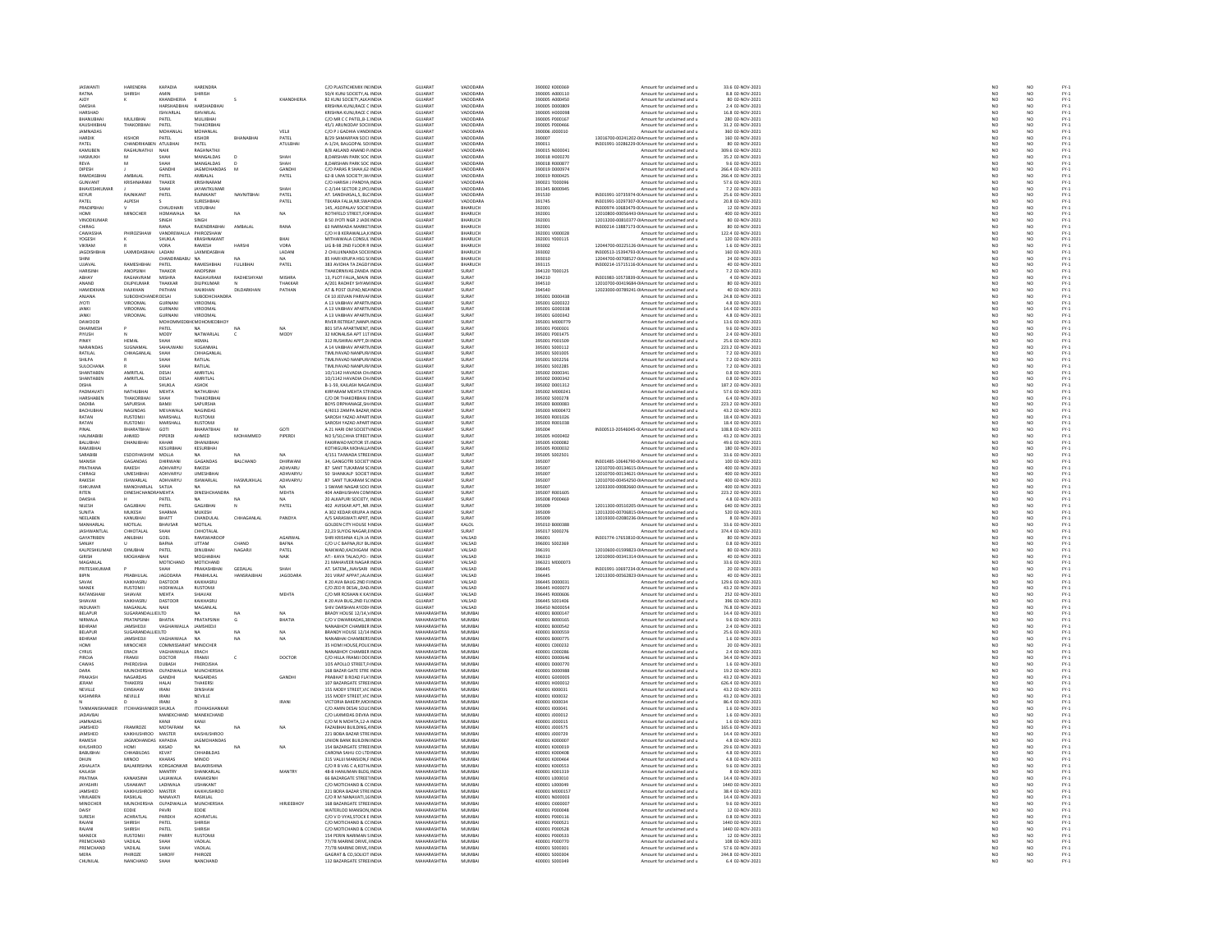| <b>IASWANT</b>                     | HARENDRA                       | KAPADIA                           | HARFNDRA                       |              |                 | C/O PLASTICHEMIX INFINDIA                              | GUIARAT                          | VADODARA                     | 390002 KODD365                   | Amount for unclaimed and u                                                                       | 33.6.02-NOV-2021                                       |
|------------------------------------|--------------------------------|-----------------------------------|--------------------------------|--------------|-----------------|--------------------------------------------------------|----------------------------------|------------------------------|----------------------------------|--------------------------------------------------------------------------------------------------|--------------------------------------------------------|
| RATNA                              | SHIRISH                        | AMIN                              | SHIRISH                        |              |                 | 50/4 KUNJ SOCIETY, AL INDIA                            | GUJARA'                          | VADODARA                     | 390005 A000110                   | Amount for unclaimed and u                                                                       | 8.8 02-NOV-2021                                        |
| <b>AIOY</b>                        |                                | KHANDHERIA                        |                                |              | KHANDHERIA      | 82 KUNJ SOCIETY ALKA INDIA                             | <b>GUJARAT</b>                   | VADODARA                     | 390005 A000450                   | Amount for unclaimed and u                                                                       | 80 02-NOV-2021                                         |
| DAKSHA                             |                                | <b>UAPCUADOUA</b>                 | <b>UADCUADQUAL</b>             |              |                 | KRISHNA KUNJ.RACE C INDIA                              | GUIARAT                          | VADODARA                     | 390005 D000805                   | Amount for unclaimed and u                                                                       | 2.4 02-NOV-2021                                        |
| HARSHAD                            |                                | <b>ISHVARLAL</b>                  | <b>ISHVARLAL</b>               |              |                 | KRISHNA KUNJ, RACE C INDIA                             | <b>GUJARAT</b>                   | VADODARA                     | 390005 H000098                   | Amount for unclaimed and u                                                                       | 16.8 02-NOV-2021                                       |
| RHANIJRHA                          | MUI IIRHAI                     | PATEL                             | MULIERHAL                      |              |                 | C/O MR C C PATEL, B-1 INDIA                            | GUIARAT                          | VADODARA                     | 390005 P000167                   | Amount for unclaimed and u                                                                       | 280 02-NOV-2021                                        |
| KAUSHIKBHA                         | THAKORBHAI                     | PATEL                             | THAKORBHA                      |              |                 | 45/1 ARUNODAY SOCI INDIA                               | GUJARA'                          | VADODARA                     | 390005 P00046                    | Amount for unclaimed and u                                                                       | 31.2 02-NOV-2021                                       |
| <b>IAMNADAS</b>                    |                                | MOHANI AI                         | MOHANLAL                       |              | VEL II          | C/O P I GADHIA VANDI INDIA                             | GUIARAT                          | VADODARA                     | 390006 J000010                   | Amount for unclaimed and u                                                                       | 360.02-NOV-2021                                        |
| <b>HARDIK</b>                      | KISHOR                         | PATEL                             | KISHOR                         | BHANABHA     | PATEL           | B/29 SAMARPAN SOCI INDIA                               | GUJARA'                          | VADODARA                     | 390007                           | 13016700-00241202-0IAmount for unclaimed and u                                                   | 160 02-NOV-2021                                        |
| PATEL                              | CHANDRIKABEN ATULBHAI          |                                   | PATEL                          |              | ATULBHAI        | A-1/24, BALGOPAL SOUNDIA                               | <b>GUJARAT</b>                   | VADODARA                     | 390011                           | IN301991-10286229-0(Amount for unclaimed and u                                                   | 80 02-NOV-2021                                         |
| KAMUBEN                            | RAGHUNATHJI                    | $\ensuremath{\mathsf{NA}}\xspace$ | <b><i><u>PAGUNATUL</u></i></b> |              |                 | <b>B/8 AKLAND ANAND P. INDI</b>                        | GUJARA'                          | VADODARA                     | 390015 N000041                   | Amount for unclaimed and u                                                                       | 309.6 02-NOV-2021                                      |
| HASMUKH                            |                                | SHAH                              | MANGALDAS                      |              | SHAH            | 8, DARSHAN PARK SOC INDIA                              | <b>GUJARAT</b>                   | VADODARA                     | 390018 H000270                   | Amount for unclaimed and u                                                                       | 35.2 02-NOV-2021                                       |
| REVA                               | <b>M</b>                       | .<br>Чан                          | MANGALDAS                      |              | SHAH            | 8 DARSHAN PARK SOC INDIA                               | GUIARAT                          | VADODARA                     | 390018 8000877                   | Amount for unclaimed and u                                                                       | 9.6 02-NOV-2021                                        |
| DIPESH                             |                                | GANDH                             | JAGMOHANDAS                    | M            | GANDHI          | C/O PARAS R SHAH, 62 INDIA                             | GUJARA'                          | VADODARA                     | 390019 D00097                    | Amount for unclaimed and u                                                                       | 266.4 02-NOV-2021                                      |
| RAMDASRHAI                         | <b>AMRAIAI</b>                 | PATEL                             | AMRAIAI                        |              | PATEL           | 62-B UMA SOCIETY WHNDIA                                | GUIARAT                          | VADODARA                     | 390019 8000425                   | Amount for unclaimed and u                                                                       | FC0C-VOIA-C0 & ARC                                     |
| GUNVANT                            | KRISHNARAM                     | THAKE                             | KRISHNARAM                     |              |                 | C/O HARISH J PANDYA INDU                               | GUJARA'                          | VADODARA                     | 390021 T00009                    | Amount for unclaimed and u                                                                       | 57.6 02-NOV-2021                                       |
| BHAVESHKUMAR                       |                                | SHAH                              | JAYANTKUMAR                    |              | SHAH            | C-2/144 SECTOR 2.IPCI INDIA                            | <b>GUJARAT</b>                   | VADODARA                     | 391345 B000945                   | Amount for unclaimed and u                                                                       | 7.2 02-NOV-2021                                        |
| KEYUR                              |                                | PATEL                             | RAJNIKANT                      | NAVNITBHA    | PATEL           | AT. SANDHASAL, S, BLC INDL                             | GUJARA'                          | VADODARA                     | 391530                           | IN301991-10735974-0(Amount for unclaimed and u                                                   | 25.6 02-NOV-2021                                       |
| PATEL                              | ALPESH                         |                                   | SURESHBHAI                     |              | PATEL           | TEKARA FALIA, NR. SWA INDIA                            | GUJARA'                          | VADODARA                     | 391745                           | IN301991-10297307-0(Amount for unclaimed and u                                                   | 20.8 02-NOV-2021                                       |
| PRADIPRHAI                         |                                | CHALIDHAR                         | VEDUBHAI                       |              |                 | 145. ASOPALAV SOCIE' INDIA                             | GUIARAT                          | <b>BHARIICH</b>              | 392001                           | IN300974-10683479-0(Amount for unclaimed and u                                                   | 12 02-NOV-2021                                         |
| HOMI                               | MINOCHER                       | <b>HOMAWALA</b>                   | NA                             | NA           | NA              | ROTHFELD STREET, FOI INDIA                             | GUJARA'                          | BHARUCH                      | 392001                           | 12010800-00056443-0IAmount for unclaimed and u                                                   | 400 02-NOV-2021                                        |
| VINODKLIMAS                        |                                | SINGH                             | SINGH                          |              |                 | B 50 IYOTI NGR 2 JADE INDIA                            | GUIARAT                          | RHARLICH                     | 392001                           | 12013200-00810377-0LAmount for unclaimed and u                                                   | 80.02-NOV-2021                                         |
| CHIRAG                             |                                | RANA                              | RAJENDRABHA                    | AMBALAL      | RANA            | 63 NARMADA MARKETINDIA                                 | GUJARA'                          | BHARUCH                      | 392001                           | IN300214-13887173-0(Amount for unclaimed and u                                                   | 80 02-NOV-2021                                         |
| CAWASSHA                           | PHIROZSHAW                     | VANDREWALLA PHIROZSHAW            |                                |              |                 | C/O H B KERAWALLA K INDIA                              | <b>GUJARAT</b>                   | BHARUCH                      | 392001 V000028                   | Amount for unclaimed and u                                                                       | 122.4 02-NOV-2021                                      |
| YOGESH                             |                                | SHUKLA                            | KRASHNAKAN                     |              |                 | <b>MITHAIWALA CONSUL INDI</b>                          | GUJARA'                          | BHARUCH                      | 392001 Y000119                   | Amount for unclaimed and u                                                                       | 120 02-NOV-2021                                        |
| VIKRAM                             |                                | VORA                              | RAMESH                         | HARSHI       | VORA            | LIG B-98 2ND FLOOR R INDIA                             | <b>GUJARAT</b>                   | BHARUCH                      | 393002                           | 12044700-00225126-0(Amount for unclaimed and u                                                   | 1.6 02-NOV-2021                                        |
| <b>JAGDISHBH</b>                   | <b>LAXMIDA</b>                 |                                   | LAXMIDASBHA                    |              | LADAN           | 2 CHILUKNANDA SOCIEINDIA                               | GUJARAT<br>GUJARAT               | HARUCH                       | 393002                           |                                                                                                  |                                                        |
| Shini                              |                                | CHANDRABABU                       | <b>NA</b>                      |              |                 | 85 HARI KRUPA HSG S(INDM                               |                                  | BHARUCH                      | 393010                           | IN300513-15394793-0(Amount for unclaimed and u<br>12044700-00708527-0(Amount for unclaimed and u | 160 02-NOV-2021<br>24 02-NOV-2021                      |
| <b>INVALL</b>                      | RAMESHRHAL                     | PATEL                             | RAMESHRHAI                     | FULURHAL     | PATEL           | 383 AVIDHA TA ZAGDI INDIA                              | GUIARAT                          | RHARLICH                     | 393115                           | IN300214-15715116-0(Amount for unclaimed and u                                                   | 40.02-NOV-2021                                         |
| HARISINH                           | ANOPSINH                       | THAKOR                            | ANOPSINH                       |              |                 | THAKORNIVAS ZANDA INDI                                 | GUJARA'                          | SURAT                        | 394120 T000125                   | Amount for unclaimed and u                                                                       | 7.2 02-NOV-2021                                        |
| ABHAY                              | RAGHAVRAM                      | <b>MISHRA</b>                     | RAGHAVRAM                      | RADHESHYAM   | MISHRA          | 13. PLOT FALIA., MAIN INDIA                            | <b>GUJARAT</b>                   | SURAT                        | 394210                           | IN301983-10573839-0(Amount for unclaimed and u                                                   | 4 02-NOV-2021                                          |
| ANAND                              | DILIPKUMAR                     | THAKKA                            | DILIPKUMAR                     |              | <b>THAKKAF</b>  | 4/201 RADHEY SHYAM INDL                                | GUJARA'                          | <b>SURAT</b>                 | 394510                           | 12010700-00419684-0IAmount for unclaimed and u                                                   | 80 02-NOV-2021                                         |
| <b>HAMIDKHAN</b>                   | HAJIKHAN                       | PATHAN                            | <b>HAJIKHAN</b>                | DILDARKHAN   | PATHAN          | AT & POST OLPAD NEA INDIA                              | <b>GUJARAT</b>                   | SURAT                        | 394540                           | 12023000-00789241-0 Amount for unclaimed and u                                                   | 40 02-NOV-2021                                         |
| ANJANA                             | SUBODHCH                       | DESAL                             | SUBODHCHANDR                   |              |                 | C4 10 JEEVAN PARIVAFINDI                               | GUJARA'                          | <b>SURAT</b>                 | 395001 D000438                   | Amount for unclaimed and u                                                                       | 24.8 02-NOV-2021                                       |
| <b>JYOTI</b>                       | VIROOMAL<br>VIROOMAL           | GURNAN<br>GURNAN                  | <b>VIROOMAL</b><br>VIROOMAL    |              |                 | A 13 VAIBHAV APARTNINDIA<br>A 13 VAIBHAV APARTMINDIA   | <b>GUJARAT</b><br><b>GUJARAT</b> | <b>SURAT</b><br><b>SURAT</b> | 395001 G000322<br>395001 G000338 | Amount for unclaimed and u<br>Amount for unclaimed and u                                         | 4.8 02-NOV-2021<br>14.4 02-NOV-2021                    |
| JANKI                              |                                |                                   | VIROOMAL                       |              |                 |                                                        | GUJARA'                          | <b>SURAT</b>                 | 395001 G000342                   |                                                                                                  | 4.8 02-NOV-2021                                        |
| DAWOODI                            | VIROOMAL                       |                                   | <b>МОНОММЕDBH(MOHOMEDBHO)</b>  |              |                 | A 13 VAIBHAV APARTMINDL<br>RIVER RETREAT, NANPLINDIA   | <b>GUJARAT</b>                   | SURAT                        | 395001 M000779                   | Amount for unclaimed and u<br>Amount for unclaimed and u                                         | 13.6 02-NOV-2021                                       |
| DHARMESH                           |                                | PATEL                             |                                |              |                 | <b>801 SITA APARTMENT, INDI</b>                        | GUJARA'                          | <b>SURAT</b>                 | 395001 P00030                    | Amount for unclaimed and u                                                                       | 9.6 02-NOV-2021                                        |
| PIYUSH                             |                                | MODY                              | NATWARLAL                      | $\epsilon$   | MODY            | 32 MONALISA APT 11T INDIA                              | <b>GUJARAT</b>                   | <b>SURAT</b>                 | 395001 P001475                   | Amount for unclaimed and u                                                                       | 2.4 02-NOV-2021                                        |
|                                    | <b>HEMAI</b>                   |                                   |                                |              |                 | <b>312 RUSHIRAJ APPT, DI INDI</b>                      | .<br>GUIARAT                     | <b>SURAT</b>                 | 395001 P00150                    | Amount for unclaimed and u                                                                       | 25.6 02-NOV-2021                                       |
| NARAINDAS                          | SUGNAMAL                       | SAHAJWANI                         | SUGANMAL                       |              |                 | A 14 VAIBHAV APARTNINDIA                               | <b>GUJARAT</b>                   | SURAT                        | 395001 S000112                   | Amount for unclaimed and u                                                                       | 223.2 02-NOV-2021                                      |
| RATILAL                            | CHHAGANLA                      | SHAF                              | CHHAGANLA                      |              |                 | <b>TIMI IYAVAD NANPURJINDI</b>                         | GUIARAT                          | SURAT                        | 395001 S001005                   | Amount for unclaimed and u                                                                       |                                                        |
| SHILPA                             |                                |                                   | RATILAL                        |              |                 | <b>TIMLIYAVAD NANPURJINDI</b>                          | GUJARAT                          | SURAT                        | 395001 S002256                   | Amount for unclaimed and u                                                                       | 7.2 02-NOV-2021<br>7.2 02-NOV-2021                     |
| <b>SULOCHANA</b>                   |                                | SHAH                              | RATILAL                        |              |                 | TIMUYAVAD NANPURJ INDIA                                | <b>GUJARAT</b>                   | SURAT                        | 395001 S002285                   | Amount for unclaimed and u                                                                       | 7.2 02-NOV-2021                                        |
| SHANTABEN                          | AMRITI AI                      | DESAI                             | AMRITLAL                       |              |                 | 0/1142 HAVADIA CH INDI                                 | GUJARA'                          | <b>SURAT</b>                 | 395002 D00034                    | Amount for unclaimed and u                                                                       | 0.8 02-NOV-2021                                        |
| SHANTABEN                          | AMRITLAL                       | DESAI                             | AMRITLAL                       |              |                 | 10/1142 HAVADIA CH INDIA                               | <b>GUJARAT</b>                   | SURAT                        | 395002 D000342                   | Amount for unclaimed and u                                                                       | 0.8 02-NOV-2021                                        |
|                                    |                                |                                   | ASHOK                          |              |                 | B-1-59, KAILASH NAGA INDI                              | <b>GUJARAT</b>                   | <b>SURAT</b>                 | 395002 DO01312                   | Amount for unclaimed and u                                                                       | 187.2 02-NOV-2021                                      |
| PADMAVAT                           | NATHUBHA                       | SHUKLA<br>MEHTA                   | NATHUBHA                       |              |                 | KIRPARAM MEHTA STFINDIA                                | <b>GUJARAT</b>                   | <b>SURAT</b>                 | 395002 M00024:                   | Amount for unclaimed and u                                                                       | 57.6 02-NOV-2021                                       |
| HARSHABEN                          | THAKORRHA                      | SHAH                              | THAKORRHAL                     |              |                 | C/O DR THAKORBHAI EINDIA                               | GUIARAT                          | SURAT                        | 395002 S000278                   | Amount for unclaimed and u                                                                       | 6.4 02-NOV-2021                                        |
| DADIBA                             | SAPURSHA                       | BAMJI                             | SAPURSHA                       |              |                 | BOYS ORPHANAGE.SH/ INDIA                               | <b>GUJARAT</b>                   | <b>SURAT</b>                 | 395003 B000083                   | Amount for unclaimed and u                                                                       | 223.2 02-NOV-2021                                      |
| RACHURHAL                          | NAGINDAS                       | MFVAWALA                          | <b>NAGINDAS</b>                |              |                 | 4/4013 ZAMPA RAZAR INDIA                               | GUIARAT                          | SURAT                        | 395003 MODD473                   | Amount for unclaimed and u                                                                       | 43.2.02-NOV-2021                                       |
| RATAN                              | <b>USTOM</b>                   | MARSHALL                          | RUSTOM                         |              |                 |                                                        | SUJARAT                          | SURAT                        | 395003 R001                      | Amount for unclaimed and u                                                                       | 18.4 02-NOV-2021                                       |
| RATAN                              | <b>RUSTOMJI</b>                | MARSHALL                          | RUSTOMJI                       |              |                 | SAROSH YAZAD APART INDIA                               | <b>GUJARAT</b>                   | <b>SURAT</b>                 | 395003 R001038                   | Amount for unclaimed and u                                                                       | 18.4 02-NOV-2021                                       |
| DINAI                              | BHARATBHA                      | GOTI                              | RHARATBHAI                     | $\mathbf{M}$ | GOTI            | A 21 HARI OM SOCIETY INDIA                             | GUJARAT                          | <b>SURAT</b>                 | 395004                           | IN300513-20546045-0(Amount for unclaimed and u                                                   | 108.8 02-NOV-2021                                      |
| <b>HALIMABIBI</b>                  | AHMED                          | PIPERDI                           | AHMED                          | MOHAMMED     | PIPERDI         | NO 5/50, CHHA STREET INDIA                             | GUJARAT                          | SURAT                        | 395005 H000402                   | Amount for unclaimed and u                                                                       | 43.2 02-NOV-2021                                       |
| RAILIRHAL                          | DHANIIRHA                      | KAHAR                             | DHANIIRHA                      |              |                 | <b>FAKIRWAD MOTOR ST. INDIA</b>                        | GUIARAT                          | SURAT                        | 395005 KODOOR2                   | Amount for unclaimed and u                                                                       | 49.6 02-NOV-2021                                       |
| RAMJIBHA                           |                                | KESURBHA                          | KESURBHAI                      |              |                 | KOTHIGURA MOHALLA INDIA                                | <b>GUJARAT</b>                   | <b>SURAT</b>                 | 395005 R00003                    | Amount for unclaimed and u                                                                       | 180 02-NOV-2021                                        |
| SARARIRI                           | <b>ESOOFHASHIM</b>             | MOLLA                             |                                |              | NA.             | 4/151 TAIWADA STREEINDIA                               | GUIARAT                          | SURAT                        | 395005 S002501                   | Amount for unclaimed and u                                                                       | 33.6.02-NOV-2021                                       |
| MANISH                             | GAGANDAS                       | DHIRWANI                          | GAGANDAS                       | BALCHAND     | DHIRWAN         | 34, GANGOTRI SOCIET INDIA                              | GUJARAT                          | <b>SURAT</b>                 | 395007                           | IN301485-10646790-0(Amount for unclaimed and u                                                   | 100 02-NOV-2021                                        |
| PRATHANA                           | RAKESH                         | ADHVARYU                          | RAKESH                         |              | ADHVARU         | 87 SANT TUKARAM SCINDIA                                | <b>GUJARAT</b>                   | <b>SURAT</b>                 | 395007                           | 12010700-00134615-0IAmount for unclaimed and u                                                   | 400 02-NOV-2021                                        |
| CHIRAGI                            | <b>UMESHBHA</b>                | ADHVARYL                          | <b>UMESHBHA</b>                |              | <b>ADHVARYL</b> | 50 SHANKALP SOCIET INDI                                | GUJARAT                          | <b>SURAT</b>                 | 395007                           | 12010700-00134621-0IAmount for unclaimed and u                                                   | 400 02-NOV-2021                                        |
|                                    |                                |                                   |                                |              |                 |                                                        |                                  |                              |                                  |                                                                                                  |                                                        |
| RAKESH<br><b>ISHKLIMAR</b>         | <b>ISHWARLAL</b><br>MANOHARLAL | ADHVARYU<br>SATILA                | <b>ISHWARLAL</b>               | HASMUKHLAL   | ADHVARYU<br>NA  | 87 SANT TUKARAM SC INDIA<br>1 SWAMI NAGAR SOCI INDIA   | <b>GUJARAT</b><br>GUIARAT        | <b>SURAT</b><br>SURAT        | 395007<br>395007                 | 12010700-00454250-0IAmount for unclaimed and u<br>12033300-00082660-0IAmount for unclaimed and u | 400 02-NOV-2021<br>400.02-NOV-2021                     |
|                                    |                                |                                   |                                | NA           |                 |                                                        |                                  |                              |                                  |                                                                                                  |                                                        |
| RITEN                              | DINESHCHANDRAMEHTA             |                                   | DINESHCHANDRA                  | NA           | MEHTA           | 404 AABHUSHAN COM INDIA<br>20 ALKAPURI SOCIETY INDIA   | GUJARAT<br>GUIARAT               | <b>SURAT</b><br>SURAT        | 395007 R001605<br>395008 P000469 | Amount for unclaimed and u<br>Amount for unclaimed and u                                         | 223.2 02-NOV-2021<br>4.8.02-NOV-2021                   |
|                                    |                                | PATFI                             | NA                             | N            | NA.<br>PATEL    | 402 AVISKAR APT., NR. INDI                             |                                  | <b>SURAT</b>                 |                                  |                                                                                                  |                                                        |
| DAKSHA                             |                                |                                   | GAGJIBHA                       |              |                 |                                                        |                                  |                              | 395009                           | 12011300-00510205-0IAmount for unclaimed and u                                                   | 640 02-NOV-2021<br>520 02-NOV-2021                     |
| NILESH                             |                                | PATEL                             |                                |              |                 |                                                        | GUJARAT                          |                              |                                  |                                                                                                  |                                                        |
| SUNITA                             | MUKESH                         | SHARMA                            | MUKESH                         |              |                 | A 302 KEDAR KRUPA A INDIA                              | <b>GUJARAT</b>                   | SURAT                        | 395009                           | 12013200-00706815-0(Amount for unclaimed and u                                                   |                                                        |
| NEEL AREN                          | KANLIRHA                       | <b>RHATT</b>                      | CHANDULAL                      | CHHAGANLA    | PANDYA          | <b>A/S SARASWATI APRT INDIA</b>                        | GUIARAT                          | SURAT                        | 395009                           | 13019300-02080236-0IAmount for unclaimed and u                                                   | 8 02-NOV-2021                                          |
| MANHARLAL                          | MOTILAL                        | BHAVSAR                           | MOTILAL                        |              |                 | <b>GOLDEN CITY HOUSE I INDIA</b>                       | GUJARAT                          | KALOL                        | 395010 B00038                    | Amount for unclaimed and u                                                                       | 33.6 02-NOV-2021                                       |
| <b>IASHWANTI AI</b>                | CHHOTAL AL                     | SHAH                              | CHHOTALAI                      |              |                 | 22.23 SUYOG NAGAR EINDIA                               | GUIARAT                          | SURAT                        | 395017 S000276                   | Amount for unclaimed and u                                                                       | 374.4 02-NOV-2021                                      |
| GAYATRIBEN                         | ANILBHAI                       | GOEL                              | RAMSWAROOR                     |              | AGARWAL         | SHRI KRISHNA 41/A JA INDIA                             | GUJARAT                          | VALSAD                       | 396001                           | IN301774-17653810-0(Amount for unclaimed and u                                                   | 80 02-NOV-2021                                         |
| SANIAY                             |                                | RAFNA                             | <b>LITTAM</b>                  | CHAND        | RAFNA           | C/O LLC RAFNA RLY RL INDIA                             | GUIARAT                          | VALSAD                       | 396001 5002369                   | Amount for unclaimed and u                                                                       | 0.8.02-NOV-2021                                        |
| KALPESHKUMA                        | DINUBHA                        | PATEL                             | DINUBHAI                       | NAGARJI      | PATEL           | NAIKWAD, KACHIGAM INDIA                                | GUJARA'                          | VALSAD                       | 396191                           | 12010600-01599823-0IAmount for unclaimed and u                                                   | 80 02-NOV-2021                                         |
| <b>GIRISH</b>                      | MOGHABHA                       | NAIK                              | MOGHABHAI                      |              | NAIK            | AT:- KAYA TALAO.PD:- INDIA                             | <b>GUJARAT</b>                   | VALSAD                       | 396310                           | 12010900-00341314-0IAmount for unclaimed and u                                                   | 40 02-NOV-2021                                         |
| MAGANLA                            |                                | MOTICHA                           | MOTICHAND                      |              |                 | 21 MAHAVEER NAGAR INDI                                 | GUJARA'                          | VALSAD                       | 396321 M00007                    | Amount for unclaimed and u                                                                       | 33.6 02-NOV-2021                                       |
| PRITESHKUMAR                       |                                | <b>ЧАН</b>                        | PRAKASHBHAI                    | GEDALAL      | <b>SHAH</b>     | AT. SATEMNAVSARI INDIA                                 | <b>GUJARAT</b>                   | VALSAD                       | 396445                           | IN301991-10697234-0(Amount for unclaimed and u                                                   | 20 02-NOV-2021                                         |
| RIPIN                              | PRABHULAL                      | <b>IAGODARA</b>                   | PRARHIJIAI                     | HANSRAIRHA   | <b>IAGODARA</b> | 201 VIRAT APPAT IAI A INDIA                            | GUIARAT                          | VALSAD                       | 296445                           | 12013300-00562823-0IAmount for unclaimed and u                                                   | 40 02-NOV-2021                                         |
| SAVAK                              | KAIKHASRU                      | DASTOOR                           | KAIKHASRU                      |              |                 | K 20 AVA BAUG 2ND FINDM                                | GUJARA'                          | VALSAD                       | 396445 D000031                   | Amount for unclaimed and u                                                                       | 129.6 02-NOV-2021                                      |
| MANEK                              | <b>RUSTOMJI</b>                | HODIWALLA                         | <b>RUSTOMJI</b>                |              |                 | C/O ZED R DESAI  DAD INDIA                             | <b>GUJARAT</b>                   | VALSAD                       | 396445 H000073                   | Amount for unclaimed and u                                                                       | 43.2 02-NOV-2021                                       |
| <b>RATANSHA</b>                    | <b>SHIAVAX</b>                 | MEHTA                             | SHIAVAX                        |              | MEHTA           | C/O MR ROSHAN K KA' INDI                               | GUJARA'                          | VALSAD                       | 396445 R000606                   | Amount for unclaimed and u                                                                       | 252 02-NOV-2021                                        |
| SHIAVAX                            | KAIKHASRU                      | DASTOOR                           | KAIKHASRU                      |              |                 | K 20 AVA BUG 2ND FL( INDIA                             | GUJARAT                          | VALSAD                       | 396445 S001406                   | Amount for unclaimed and u                                                                       | 396 02-NOV-2021                                        |
| <b>INDUMAT</b>                     | <b>AGANLAL</b>                 |                                   | MAGANLAL                       |              |                 | HIV DARSHAN AYODI- INDI                                | GUJARAT                          | VALSAD                       | 396450 N00005                    | Amount for unclaimed and u                                                                       | 76.8 02-NOV-2021                                       |
| BELAPUR                            | SUGARANDALLIE(LTD              |                                   | NA <sub>1</sub>                | NA           | NA <sup>1</sup> | BRADY HOUSE 12/14.V INDIA                              | MAHARASHTRA                      | MUMBAI                       | 400001 B000147                   | Amount for unclaimed and u                                                                       | 14.4 02-NOV-2021                                       |
| <b>NIDAEALA</b>                    | PRATAPSINH                     |                                   | <b>DRATADCINILE</b>            | G            | BHATIA          | C/O V DWARKADAS,38 INDL                                | <b>MANARASUTRA</b>               |                              |                                  | Amount for unclaimed and u                                                                       |                                                        |
| BEHRAM                             | JAMSHEDJI                      | BHATIA<br>VAGHAIWALLA             | JAMSHEDJI                      |              |                 | <b>JANABHOY CHAMBER INDI</b>                           | MAHARASHTRA                      | MUMBAI<br>MUMBAI             | 400001 B000165                   | Amount for unclaimed and u                                                                       |                                                        |
| BELAPUR                            | SUGARANDALLIE(LTD              |                                   | <b>NA</b>                      | NA           | NA              | BRANDY HOUSE 12/14 INDIA                               | MAHARASHTRA                      | MUMBAI                       | 400001 B000559                   | Amount for unclaimed and u                                                                       | 9.6 02-NOV-2021<br>2.4 02-NOV-2021<br>25.6 02-NOV-2021 |
| BEHRAM                             | <b>JAMSHEDJ</b>                |                                   |                                | NA           |                 | <b>JANABHAI CHAMBERS INDI</b>                          | <b>MAHARASHTRA</b>               | MUMBA                        | 400001 B00077                    | Amount for unclaimed and u                                                                       | 1.6 02-NOV-2021                                        |
| HOMI                               | MINOCHER                       | COMMISSARIAT MINOCHER             |                                |              |                 | 35 HOMI HOUSE POLICINDIA                               | MAHARASHTRA                      | MUMBAI                       | 400001 C000232                   | Amount for unclaimed and u                                                                       | 20 02-NOV-2021                                         |
| CYRUS                              |                                | <b>AGHAIWALLA</b>                 | ERACH                          |              |                 |                                                        | <b>MAHARASHTRA</b>               | MUMBA                        | 400001 C00028                    | Amount for unclaimed and u                                                                       | 2.4 02-NOV-2021                                        |
| PIROJA                             | FRAMJI                         | DOCTOR                            | FRAMJI                         | c            | DOCTOR          | C/O HILLA FRAMJI DO( INDIA                             | MAHARASHTRA                      | MUMBAI                       | 400001 D000646                   | Amount for unclaimed and u                                                                       | 34.4 02-NOV-2021                                       |
| CAWAS                              | HEROJSHA                       | DUBASH                            | PHEROJSHA                      |              |                 | LOS APOLLO STREET, F INDL                              | <b>MAHARASHTRA</b>               | MUMBAI                       | 400001 D000770                   | Amount for unclaimed and u                                                                       |                                                        |
| DARA                               | MUNCHERSHA                     | OLPADWALLA                        | MUNCHERSHA                     |              |                 | 168 BAZAR GATE STRE INDIA                              | MAHARASHTRA                      | MUMBAI                       | 400001 D000988                   | Amount for unclaimed and u                                                                       | 1.6 02-NOV-2021<br>19.2 02-NOV-2021                    |
| PRAKASH                            | NAGARDAS                       | GANDHI                            | NAGARDAS                       |              | GANDHI          | PRABHAT B ROAD FLA' INDIA                              | MAHARASHTRA                      | MUMBAI                       | 400001 G000005                   | Amount for unclaimed and u                                                                       | 43.2 02-NOV-2021                                       |
| JERAM                              | THAKERSI                       | HALAI                             | THAKERSI                       |              |                 | 107 BAZARGATE STREEINDI                                | <b>MAHARASHTRA</b>               | MUMBA                        | 400001 H00001                    | Amount for unclaimed and u                                                                       | 626.4 02-NOV-2021                                      |
| NEVILLE                            | DINSHAW                        | <b>IRANI</b>                      | DINSHAW                        |              |                 | 155 MODY STREET.VIC INDIA                              | MAHARASHTRA                      | MUMBAI                       | 400001 1000031                   | Amount for unclaimed and u                                                                       | 43.2 02-NOV-2021                                       |
| KASHMIRA                           | <b>EVILLE</b>                  | <b>IRAN</b>                       | NEVILLE                        |              |                 | 155 MODY STREET, VIC INDI                              | <b>MAHARASHTRA</b>               | MUMBAL                       | 400001 1000032                   | Amount for unclaimed and u                                                                       | 13.2 02-NOV-202:                                       |
|                                    |                                | <b>IRANI</b>                      |                                |              | <b>IRANI</b>    | VICTORIA BAKERY, MOI INDIA                             | MAHARASHTRA                      | MUMBAI                       | 400001 1000034                   | Amount for unclaimed and u                                                                       | 86.4 02-NOV-2021                                       |
| TANASANICUANICO                    | <b>ITCHHASHA</b>               | <b>KER SHUKLA</b>                 | <b>ITCHHASHANKAI</b>           |              |                 |                                                        | <b>MAUARACUTRA</b>               | MUMBAL                       | 400001 1000041                   |                                                                                                  |                                                        |
|                                    |                                |                                   |                                |              |                 | C/O AMIN DESAI SOLIC INDI                              |                                  |                              |                                  | Amount for unclaimed and u                                                                       | 1.6 02-NOV-2021                                        |
| <b>JADAVBAI</b><br><b>IAMMADAS</b> |                                | MANEKCHAND<br>KANIE               | MANEKCHAND<br>KANIE            |              |                 | C/O LAXMIDAS DEVKA INDIA<br>C/O M N MOHTA.12-A INDIA   | MAHARASHTRA<br>MAHARASHTRA       | MUMBAI<br>MUMRAL             | 400001 J000012<br>400001 J000019 | Amount for unclaimed and u                                                                       | 1.6 02-NOV-2021                                        |
|                                    |                                |                                   |                                |              |                 |                                                        |                                  |                              |                                  | Amount for unclaimed and u                                                                       | 1.6 02-NOV-2021                                        |
| JAMSHED<br>JAMSHED                 | FRAMROZE<br>KAIKHUSHROO MASTER | MOTAFRAM                          | NA<br>KAISHUSHROO              | NA           | NA              | FAZAIBHAI BUILDING,4 INDIA<br>221 BOBA BAZAR STREINDIA | MAHARASHTRA<br>MAHARASHTRA       | MUMBAI<br>MUMBAI             | 400001 J000575<br>400001 J000729 | Amount for unclaimed and u<br>Amount for unclaimed and u                                         | 165.6 02-NOV-2021<br>14.4 02-NOV-2021                  |
|                                    |                                |                                   |                                |              |                 |                                                        | <b>MAHARASHTRA</b>               |                              |                                  |                                                                                                  |                                                        |
| RAMESH                             | JAGMOHANDAS KAPADIA            |                                   | JAGMOHANDAS                    |              |                 |                                                        |                                  | MUMBAI                       | 400001 K00000                    | Amount for unclaimed and u                                                                       | 4.8 02-NOV-2021                                        |
| <b>KHUSHROC</b>                    | HOMI                           | KASAD                             | NA                             | NA           | NA              | 154 BAZARGATE STREE INDIA                              | MAHARASHTRA                      | MUMBAI                       | 400001 K000019                   | Amount for unclaimed and u                                                                       | 29.6 02-NOV-2021                                       |
| BABUBHAI                           | CHHABILDAS                     | KEVAT                             | <b>CHHABILDAS</b>              |              |                 | CARONA SAHU CO LTD INDI                                | MAHARASHTRA                      | MUMRAL                       | 400001 K00040I                   | Amount for unclaimed and u                                                                       | 4.8 02-NOV-2021                                        |
| DHUN                               | <b>MINOO</b>                   | KHARAS                            | <b>MINOO</b>                   |              |                 | 315 VALUI MANSION,F INDIA                              | MAHARASHTRA                      | MUMBAI                       | 400001 K00046                    | Amount for unclaimed and u                                                                       | 4.8 02-NOV-2021                                        |
| ASHALATA                           | <b>RALAKRISHNA</b>             | KORGAONKAR                        | <b>BALAKRISHNA</b>             |              |                 | C/O R B VAS C A.KOTH INDIA                             | MAHARASHTRA                      | MUMRAL                       | 400001 KODOSS3                   | Amount for unclaimed and u                                                                       | 9.6 02-NOV-2021                                        |
| KAILASH                            |                                | MANTRY                            | SHANKARLAL                     |              | <b>MANTRY</b>   | 48-B HANUMAN BLDG INDIA                                | MAHARASHTRA                      | MUMBAI                       | 400001 K001319                   | Amount for unclaimed and u                                                                       | 8 02-NOV-2021                                          |
| PRATIMA                            | KANAKSINH                      | <b>LAUAWALA</b>                   | KANAKSINH                      |              |                 | 66 BAZARGATE STREETINDIA                               | MAHARASHTRA                      | MUMBAL                       | 400001 1000010                   | Amount for unclaimed and u                                                                       | 14.4.02-NOV-2021                                       |
| <b>IAVASHR</b>                     | <b>JSHAKANT</b>                | <b>LADIWAL</b>                    | <b>ISHAKANT</b>                |              |                 | O MOTICHAND & CC INDI                                  | MAHARASHTRA                      | MUMRAL                       | 100001 100001                    |                                                                                                  | 440 02-NOV-2023                                        |
| JAMSHED                            | KAIKHUSHROO MASTER             |                                   | KAIKHUSHROO                    |              |                 | 221 BORA BAZAR STREINDIA                               | MAHARASHTRA                      | MUMBAI                       | 400001 M000157                   | Amount for unclaimed and u                                                                       | 38.4 02-NOV-2021                                       |
| VIMI AREN                          | <b>RASIKI AI</b>               | NANAVATI                          | RASIKI AL                      |              |                 | C/O R M NANAVATI.16 INDIA                              | MAHARASHTRA                      | MUMRAL                       | 400001_N000003                   | Amount for unclaimed and u                                                                       | 14.4 02-NOV-2021                                       |
| MINOCHER                           | MUNCHERSHA                     | OLPADWALLA                        | MUNCHERSHA                     |              | HIRJEEBHOY      | 168 BAZARGATE STREE INDIA                              | MAHARASHTRA                      | MUMBAI                       | 400001 0000007                   | Amount for unclaimed and u                                                                       | 9.6 02-NOV-2021                                        |
| <b>DAISY</b>                       | <b>EDDIE</b>                   | PAVRI                             | EDDIE                          |              |                 | WATERLOO MANSION INDIA                                 | MAHARASHTRA                      | MUMRAL                       | 400001 P000048                   | Amount for unclaimed and u                                                                       | 12 02-NOV-2021                                         |
| SURESH                             | <b>ACHRATLAL</b>               | PAREKH                            | ACHRATLAL                      |              |                 | C/O V D VYAS, STOCK E INDIA                            | MAHARASHTRA                      | MUMBA                        | 400001 P000116                   | Amount for unclaimed and u                                                                       | 0.8 02-NOV-2021                                        |
| RAIANI                             | SHIRISH                        | PATFI                             | SHIRISH                        |              |                 | C/O MOTICHAND & CC INDIA                               | MAHARASHTRA                      | MUMBAL                       | 400001 P000521                   | Amount for unclaimed and u                                                                       | 1440 02-NOV-2021                                       |
| RAJANI                             | SHIRISH                        | PATE                              | SHIRISH                        |              |                 | C/O MOTICHAND & CC INDI                                | MAHARASHTRA                      | MUMBAI                       | 400001 P00052                    | Amount for unclaimed and u                                                                       | 1440 02-NOV-2021                                       |
| MANECK                             | <b>RUSTOMJI</b>                | PARRY                             | <b>RUSTOMJ</b>                 |              |                 | 154 PERIN NARIMAN SINDIA                               | MAHARASHTRA                      | MUMBAI                       | 400001 P000533                   | Amount for unclaimed and u                                                                       | 12 02-NOV-2021                                         |
| PREMCHAND                          | VADILAL                        | SHAH                              | VADILAL                        |              |                 | 77/78 MARINE DRIVE HNDIA                               | MAHARASHTRA                      | MUMRAL                       | 400001 P000770                   | Amount for unclaimed and u                                                                       | 108 02-NOV-2021                                        |
| PREMCHAND                          | VADILAL                        | SHAH                              | VADILAL                        |              |                 | 77/78 MARINE DRIVE, INDIA                              | MAHARASHTRA                      | MUMBAI                       | 400001 S000301                   | Amount for unclaimed and u                                                                       | 57.6 02-NOV-2021                                       |
| MERA<br>CHUNILA                    | PHIROZE<br>NANCHAND            | SHROEL<br>чан?                    | PHIROZE<br><b>NANCHAN</b>      |              |                 | GAGRAT & CO SOLICIT INDIA<br>132 BAZARGATE STREEINDIA  | MAHARASHTRA<br>MAHARASHTRA       | MUMRAL<br>MUMRAI             | 400001 S000304<br>400001 500034  | Amount for unclaimed and u<br>Amount for unclaimed and u.                                        | 244.8 02-NOV-2021<br>6.4.02-NOV-2021                   |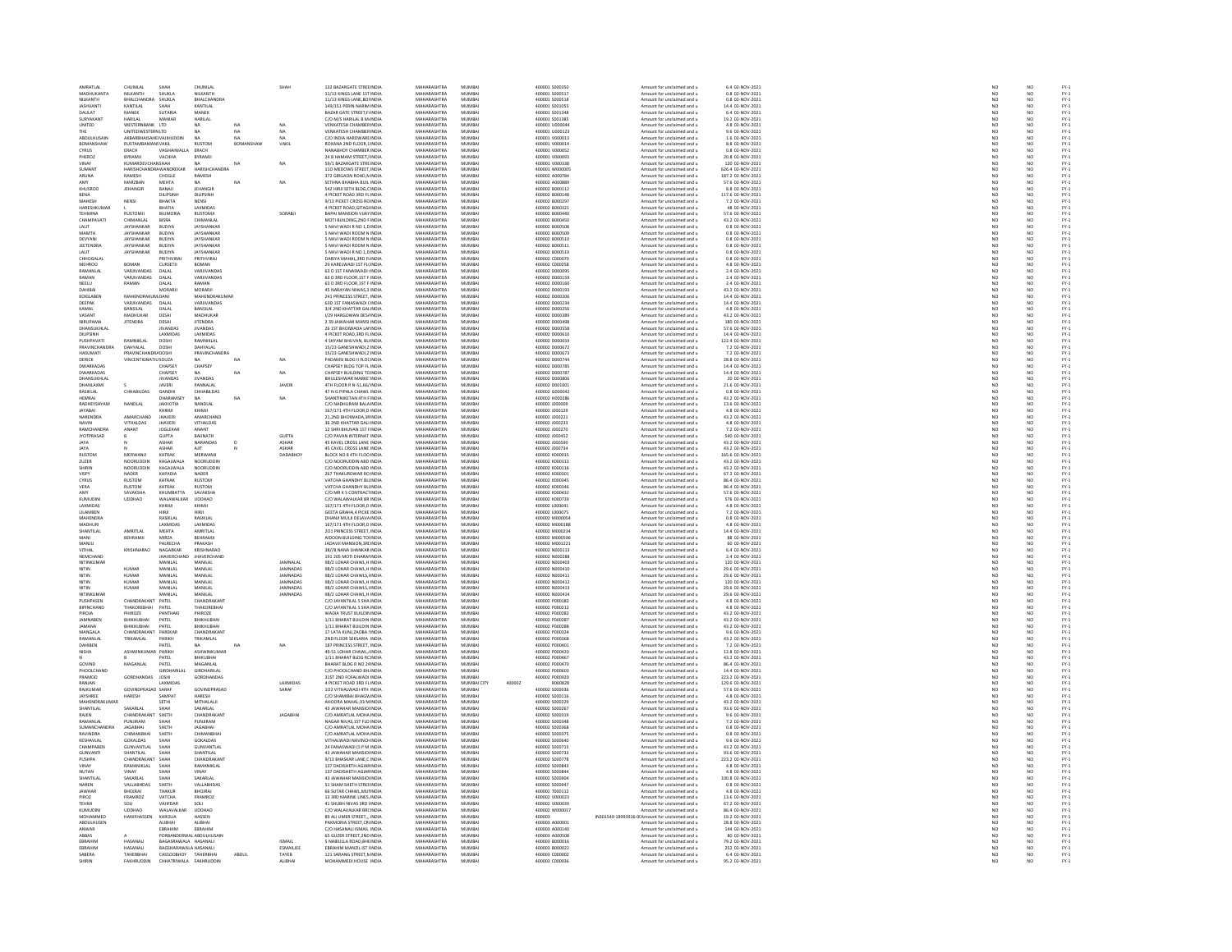| AMRATLAL                         | CHUNILAL                                         | SHAH                                           | CHUNILAL                         |            | SHAH               | 132 BAZARGATE STREE INDIA                                      | MAHARASHTRA                       | MUMBA                   |        | 400001 S000350                      | Amount for unclaimed and u                               | 6.4 02-NOV-2021                       | NO                                                                  | NO                                                                  |                                      |
|----------------------------------|--------------------------------------------------|------------------------------------------------|----------------------------------|------------|--------------------|----------------------------------------------------------------|-----------------------------------|-------------------------|--------|-------------------------------------|----------------------------------------------------------|---------------------------------------|---------------------------------------------------------------------|---------------------------------------------------------------------|--------------------------------------|
| MADHLIKANTA<br>VILKANTI          | NI KANTH<br><b>BHALCHA</b>                       | SHEIKLA<br>SHUKLA                              | NII KANTH<br>BHALCHANDRA         |            |                    | 11/13 KINGS LANE 1ST INDIA<br>11/13 KINGS LANE, BOI IND        | MAHARASHTRA<br>MAHARASHTR         | MUMRAL<br>MUMBA         |        | 400001 5000517<br>100001 S00051     | Amount for unclaimed and u<br>Amount for unclaimed and u | 0.8.02-NOV-2021<br>0.8 02-NOV-2021    | NC<br>NC                                                            | NO                                                                  | FY-1<br>FY-1<br>FY-1<br>FY-1         |
| <b>JASHVANTI</b>                 | KANTILAL                                         | SHAH                                           | KANTILAL                         |            |                    | 149/151 PERIN NARIM INDIA                                      | MAHARASHTRA                       | MUMBAI                  |        | 400001 S001055                      | Amount for unclaimed and u                               | 14.4 02-NOV-2021                      | NO <sub>1</sub>                                                     | NO <sub>1</sub>                                                     |                                      |
| DALL AT                          | MANER                                            | <b>SUTABIA</b>                                 | MANEK                            |            |                    | <b>BAZAR GATE STREET, FINDU</b>                                | <b>MAUARASUTRA</b>                | <b>MILAGAL</b>          |        | 400001 S00134                       | Amount for unclaimed and u                               | 6.4 02-NOV-2023                       | NO                                                                  | NO                                                                  |                                      |
| SURYAKANT                        | HARILAL<br>WESTERNRANK ITD                       | MANIAR                                         | HARILAL                          | NA         | NA                 | C/O M/S HARILAL B M. INDIA<br>VENKATESH CHAMBER INDIA          | MAHARASHTRA<br>MAHARASHTRA        | MUMBAI<br>MUMRAL        |        | 400001 S001385<br>400001 11000044   | Amount for unclaimed and u                               | 19.2 02-NOV-2021<br>4.8.02-NOV-2021   | NO                                                                  | NO <sub>1</sub><br>NO <sub>1</sub>                                  |                                      |
| UNITED<br>THE                    | UNITEDWESTERNLTD                                 |                                                | <b>NA</b>                        | NA         | NA                 | VENKATESH CHAMBER INDIA                                        | MAHARASHTRA                       | MUMBA                   |        | 400001 U000123                      | Amount for unclaimed and u<br>Amount for unclaimed and u | 9.6 02-NOV-2021                       | NO<br>NO                                                            | NO                                                                  | FY-3<br>FY-3                         |
| <b>ARDUI HUSAIN</b>              | <b>AKRARRHAISAHFIVAIIHIIDDIN</b>                 |                                                | NA                               | MA.        | <b>NA</b>          | C/O INDIA HARDWARE INDIA                                       | MAHARASHTRA                       | MUMRAL                  |        | 400001 V000013                      | Amount for unclaimed and u                               | 1.6.02-NOV-2021                       | NO <sub>1</sub>                                                     | $\mathbf{M}$                                                        |                                      |
| BOMANSHAV                        | RUSTAMBAI                                        | IANSVAKIL                                      | <b>RUSTOM</b>                    | <b>BOM</b> | VAKIL              | ROXANA 2ND FLOOR,1 INDIA                                       | <b>MAHARASHTRA</b>                | MUMBA                   |        | 400001 V000014                      | Amount for unclaimed and u                               | 8.8 02-NOV-2021                       | NO                                                                  | NO                                                                  |                                      |
| CYRUS<br>PHEROZ                  | ERACH<br>RYRAMIL                                 | VAGHAIWALLA<br>VACHHA                          | ERACH<br><b>BYRAMJ</b>           |            |                    | NANABHOY CHAMBER INDIA<br>24 B HAMAM STREET. I INDU            | MAHARASHTRA<br>MAHARASHTRA        | MUMBAI<br><b>MUMRAL</b> |        | 400001 V000052<br>400001 V000093    | Amount for unclaimed and u<br>Amount for unclaimed and u | 0.8 02-NOV-2021<br>20.8 02-NOV-2021   | NO<br>NO                                                            | NO                                                                  | FY-1<br>FY-1<br>FY-1<br>FY-1         |
| VINAY                            | KUMARDEVCHANSHAH                                 |                                                | NA.                              | NA         | NA                 | 59/1 BAZARGATE STREINDIA                                       | MAHARASHTRA                       | MUMBA                   |        | 400001 V000338                      | Amount for unclaimed and u                               | 120 02-NOV-2021                       | NO                                                                  | NO<br>NO                                                            |                                      |
| SHMANT                           | HARISHCHANDRAWANDREKAE                           |                                                | HARISHCHANDRA                    |            |                    | 110 MEDOWS STREET INDIA                                        | MAHARASHTRA                       | MUMRAL                  |        | 400001 W000005                      | Amount for unclaimed and u                               | 626.4.02-NOV-2021                     | NO <sub>1</sub>                                                     | NO <sub>1</sub>                                                     | FY-)<br>FY-)                         |
| ARUNA<br>AMY                     | RAMESH<br>MAR7RAN                                | CHOGLE<br><b>MEHTA</b>                         | RAMESH<br>MA.                    | NA         | NA                 | 372 GIRGAON ROAD.N INDIA<br>SETHNA RHARHA RUIL INDIA           | MAHARASHTRA<br>MAHARASHTRA        | MUMBA<br>MUMBAL         |        | 400002 A000784<br>400002.4000889    | Amount for unclaimed and u<br>Amount for unclaimed and u | 187.2 02-NOV-2021<br>57.6.02-NOV-2021 | NO<br>NO                                                            | NQ<br>NQ                                                            |                                      |
| KHUSROO                          | JEHANGIR                                         | BANAJI                                         | JEHANGI                          |            |                    | 542 HIRJI SETH BLDG,C INDU                                     | MAHARASHTRA                       | MUMBA                   |        | 400002 B000112                      | Amount for unclaimed and u                               | 8.8 02-NOV-2021                       | NO                                                                  | NQ                                                                  | FY-3<br>FY-3                         |
| BENA                             |                                                  | <b>DILIPSINE</b>                               | DILIPSINH                        |            |                    | 4 PICKET ROAD 3RD FL INDIA                                     | MAHARASHTRA                       | MUMBAI                  |        | 400002 B000148                      | Amount for unclaimed and u                               | 117.6 02-NOV-2021                     | $\frac{NO}{NO}$                                                     |                                                                     |                                      |
| <b>MAHESH</b>                    | NENSI                                            | <b>HAKTA</b><br><b>BHATIA</b>                  | <b>NENSI</b><br>LAXMIDAS         |            |                    | 9/13 PICKET CROSS RO INDU                                      | MAHARASHTRA<br>MAHARASHTRA        | MUMRAL<br>MUMBAI        |        | PEODOR EDDING<br>400002 B000321     | Amount for unclaimed and u                               | 7.2 02-NOV-2023<br>48 02-NOV-2021     | NO                                                                  | $\begin{array}{c} \tt NO \\ \tt NO \\ \tt NO \\ \tt NO \end{array}$ | FY-1<br>FY-1<br>FY-1                 |
| HARESHKUMAR<br>TEHMINA           | <b>RUSTOMI</b>                                   | BILIMORIA                                      | <b>RUSTOMI</b>                   |            | SORARIL            | 4 PICKET ROAD, GITAGI INDIA<br><b>BAPALMANSION VIIAY INDIA</b> | MAHARASHTRA                       | MUMRAL                  |        | 400002 B000440                      | Amount for unclaimed and u<br>Amount for unclaimed and u | 57.6.02-NOV-2021                      | NO <sub>1</sub>                                                     | $\mathbf{M}$                                                        |                                      |
| CHAMPAVAT                        | CHIMANLA                                         | <b>BISRA</b>                                   | CHIMANLA                         |            |                    | MOTI BUILDING, 2ND F INDU                                      | MAHARASHTRA                       | MUMBAI                  |        | 400002 B000450                      | Amount for unclaimed and u                               | 43.2 02-NOV-2021                      | $\overline{NQ}$                                                     | NO                                                                  | FY-)<br>FY-)                         |
| LALIT                            | JAYSHANKAR                                       | <b>BUDIYA</b>                                  | JAYSHANKAR                       |            |                    | 5 NAVI WADI R NO 1.0 INDIA                                     | MAHARASHTRA                       | MUMBAI                  |        | 400002 B000508                      | Amount for unclaimed and u                               | 0.8 02-NOV-2021                       | NO                                                                  | NO <sub>1</sub>                                                     |                                      |
| MAMTA<br>DEVYANI                 | JAYSHANKAR                                       | BUDIYA<br><b>BUDIYA</b>                        | <b>JAYSHANKA</b><br>JAYSHANKAR   |            |                    | 5 NAVI WADI ROOM N INDU<br>5 NAVI WADI ROOM N INDIA            | MAHARASHTRA<br>MAHARASHTRA        | MUMBA<br>MUMBAI         |        | 400002 B00050<br>400002 8000510     | Amount for unclaimed and u<br>Amount for unclaimed and u | 0.8 02-NOV-2021<br>0.8 02-NOV-2021    | NO<br>NO <sub>1</sub>                                               | NO<br>NO <sub>1</sub>                                               |                                      |
| <b>JEETENDR</b>                  | <b>JAYSHANKAR</b>                                | BUDIYA                                         | <b>AYSHANKA</b>                  |            |                    | 5 NAVI WADI ROOM N INDI                                        | MAHARASHTRA                       | MUMBA                   |        | 400002 B00051                       | Amount for unclaimed and u                               | 0.8 02-NOV-2021                       | $_{NC}$                                                             | NO                                                                  |                                      |
| LALIT                            | JAYSHANKAR                                       | <b>BUDIYA</b>                                  | JAYSHANKAR                       |            |                    | 5 NAVI WADI R NO 1,D INDIA                                     | MAHARASHTRA                       | MUMBAI                  |        | 400002 B000519                      | Amount for unclaimed and u                               | 0.8 02-NOV-2021                       | NO<br>NO                                                            | $\frac{NO}{NO}$                                                     |                                      |
| CHHOGALAL<br><b>MEHROO</b>       | BOMAN                                            | PRITHVIRA<br>CURSETJI                          | PRITHVIRAL<br>BOMAN              |            |                    | DARIYA MAHAL 3RD FUNDIA<br>29 KARELWADI 1ST FL(INDM            | MAHARASHTRA<br>MAHARASHTRA        | MUMBAL<br>MUMBA         |        | 400002 C000070<br>400002 C000258    | Amount for unclaimed and u<br>Amount for unclaimed and u | 0.8.02-NOV-2021<br>4.8 02-NOV-2021    | NO                                                                  | NO                                                                  | FY-1<br>FY-1<br>FY-1<br>FY-1<br>FY-1 |
| RAMANLAL                         | VARIIVANDAS                                      | DALAL                                          | VARJIVANDAS                      |            |                    | 63 D 1ST FANASWADI INDIA                                       | MAHARASHTRA                       | MUMBAI                  |        | 400002 D000095                      | Amount for unclaimed and u                               | 2.4 02-NOV-2021                       | NO <sub>1</sub>                                                     | NO <sub>1</sub>                                                     |                                      |
| RAMAN                            | VARJIVANDAS                                      | DALA                                           | VARJIVANDA:                      |            |                    | 63 D 3RD FLOOR, 1ST F INDL                                     | <b>MAHARASHTRA</b>                | MUMBA                   |        | 400002 D000159                      | Amount for unclaimed and u                               | 2.4 02-NOV-2021                       | NO                                                                  | NO                                                                  |                                      |
| NEELU                            | RAMAN                                            | DALAL                                          | RAMAN                            |            |                    | 63 D 3RD FLOOR 1ST F INDIA                                     | MAHARASHTRA<br><b>MAHARASHTRA</b> | MUMBAI                  |        | 400002 D000160                      | Amount for unclaimed and u                               | 2.4 02-NOV-2021                       | NO <sub>1</sub>                                                     | NO <sub>1</sub>                                                     |                                      |
| <b>DAUIRAL</b><br>KOKILABEN      | MAHENDRAKUM/DANI                                 | MORARJ                                         | MORARI<br>MAHENDRAKUMAR          |            |                    | 45 NARAYAN NIWAS, 3 INDU<br>241 PRINCESS STREET, INDIA         | MAHARASHTRA                       | MUMRAL<br>MUMBAI        |        | 400002 D000193<br>400002 D000206    | Amount for unclaimed and u<br>Amount for unclaimed and u | 43.2 02-NOV-2021<br>14.4 02-NOV-2021  | $_{NC}$<br>NO                                                       | NO<br>NO                                                            |                                      |
| DEEPAK                           | VARJIVANDAS                                      | DALAI                                          | VARIIVANDAS                      |            |                    | 63D 1ST FANASWADI (INDM                                        | MAHARASHTRA                       | MUMRAL                  |        | snonna nonnass                      |                                                          | 14.4.02-NOV-2021                      |                                                                     |                                                                     |                                      |
|                                  | BANSILAL                                         | DALA                                           | BANSILAL                         |            |                    | 3/4 2ND KHATTAR GALINDU                                        | <b>MAHARASHTRA</b>                | MUMBA                   |        | 400002 D000256                      | Amount for unclaimed and u<br>Amount for unclaimed and u | 4.8 02-NOV-2021                       | NC<br>NC                                                            | NO<br>NO                                                            | PY-1<br>PY-1<br>PY-1<br>PY-1         |
| VASANT<br><b>IRUPAM</b>          | MADHUKAR<br><b>JITENDRA</b>                      | DESAI<br>DESAI                                 | MADHUKAR<br><b>JITENDRA</b>      |            |                    | 1/29 HARGOWAN DES/ INDIA<br>2 39 JAWAHAR MANSI INDI            | MAHARASHTRA<br><b>MAHARASHTRA</b> | MUMBAI<br>MUMBA         |        | 400002 D000389<br>400002 D000498    | Amount for unclaimed and u<br>Amount for unclaimed and u | 43.2 02-NOV-2021<br>80 02-NOV-2023    | NO <sub>1</sub><br>NC                                               | NO <sub>1</sub><br>NO                                               |                                      |
| DHANSUKHLAL                      |                                                  | <b>JIVANDAS</b>                                | <b>JIVANDAS</b>                  |            |                    | 26 1ST BHOIWADA LAI INDIA                                      | MAHARASHTRA                       | MUMBAI                  |        | 400002 D000558                      | Amount for unclaimed and u                               | 57.6 02-NOV-2021                      | NO                                                                  | NO                                                                  | FY-1<br>FY-1<br>FY-1<br>FY-1         |
| <b>DILIPSINH</b>                 |                                                  | <b>AXMIDAS</b>                                 | <b>LAXMIDAS</b>                  |            |                    | 4 PICKET ROAD, 3RD FL INDU                                     | MAHARASHTRA                       | MUMRAL                  |        | 0120002.0000610                     | Amount for unclaimed and u                               | 14.4 02-NOV-2021                      | NO                                                                  | NO                                                                  |                                      |
| PUSHPAVATI                       | RAMNIKLAL                                        | DOSHI                                          | RAMNIKLAL                        |            |                    | 4 SHYAM BHUVAN, BL INDIA                                       | MAHARASHTRA                       | MUMBA                   |        | 400002 D000659                      | Amount for unclaimed and u                               | 122.4 02-NOV-2021                     | NO                                                                  | NO                                                                  |                                      |
| PRAVINCHANDRA<br>HASUMATI        | DAHYALAL                                         | DOSHI                                          | <b>DAHYALAL</b>                  |            |                    | 15/23 GANESHWADLZ INDIA<br>15/23 GANESHWADI, ZINDIA            | MAHARASHTRA<br>MAHARASHTRA        | MUMRAL<br>MUMBA         |        | Cranno population<br>400002 D000673 | Amount for unclaimed and u                               | 7.2 02-NOV-2021<br>7.2 02-NOV-2021    | NO<br>NO                                                            | NO<br>NO                                                            |                                      |
| DERICK                           | <b>PRAVINCHANDRADOSH</b><br>VINCENTIGNATIU SOUZA |                                                | PRAVINCHANDRA                    | NA         | <b>NA</b>          | PADAMSI BLDG II FLOCINDIA                                      | MAHARASHTRA                       | MUMBAI                  |        | 400002 D000744                      | Amount for unclaimed and u<br>Amount for unclaimed and u | 28.8 02-NOV-2021                      | NO <sub>1</sub>                                                     | NO <sub>1</sub>                                                     |                                      |
| <b>WARKADAS</b>                  |                                                  | CHAPSEY                                        | CHAPSEY                          |            |                    | CHAPSEY BLDG TOP FL INDU                                       | <b>MAHARASHTRA</b>                | MUMBA                   |        | snoon? noon78*                      | Amount for unclaimed and u                               | 14.4 02-NOV-2021                      | NO                                                                  | NO                                                                  | PY-1<br>PY-1<br>PY-1<br>PY-1         |
| DWARKADAS<br>.<br>Naansu ikhi a  |                                                  | CHAPSEY<br>IVANDA <sup>4</sup>                 | <b>NA</b><br><b>IIVANDAS</b>     | NA         | NA                 | CHAPSEY BUILDING TO INDIA<br>HULESHWAR MARKE INDU              | MAHARASHTRA<br>MAHARASHTRA        | MUMBAI<br>MUMRAL        |        | 400002 D000787<br>sonno nonnano     | Amount for unclaimed and u                               | 14.4 02-NOV-2021<br>20 02-NOV-2021    | NO<br>$\sim$                                                        | NO                                                                  |                                      |
| DHANLAXMI                        |                                                  | <b>JAVERI</b>                                  | PANNALAI                         |            | <b>JAVER</b>       | 4TH FLOOR R N-51,66/ INDIA                                     | MAHARASHTRA                       | MUMBAI                  |        | 400002 D001001                      | Amount for unclaimed and u<br>Amount for unclaimed and u | 21.6 02-NOV-2021                      | NO                                                                  | NO<br>NO                                                            |                                      |
| RASIKI AL                        | CHHARILDAS                                       | GANDHI                                         | CHHARILDAS                       |            |                    | 47 N G PIPALA CHAWLINDIA                                       | MAHARASHTRA                       | MUMRAL                  |        | conno connot                        | Amount for unclaimed and u                               | 0.8.02-NOV-2021                       | NO <sub>1</sub>                                                     | NO <sub>1</sub>                                                     |                                      |
| HEMRAJ                           |                                                  | DHARAMSE                                       | NA                               | NA         | NA                 | SHANTINIKETAN 4TH F INDIA                                      | MAHARASHTRA                       | MUMBA                   |        | 400002 H00028                       | Amount for unclaimed and u                               | 43.2 02-NOV-2021                      | $\overline{N}$                                                      | NQ                                                                  | FY-)<br>FY-)                         |
| RADHEYSHYAM<br><b>AYABA</b>      | NANDLAL                                          | JAKHOTIA                                       | NANDLAL                          |            |                    | C/O NADHURAM BALA INDIA                                        | MAHARASHTRA                       | MUMBAI<br>MUMBA         |        | 400002 J000009                      | Amount for unclaimed and u                               | 13.6 02-NOV-2021<br>4.8 02-NOV-2021   | NO <sub>1</sub><br>NO                                               | NO <sub>1</sub>                                                     | FY-3<br>FY-3<br>FY-3                 |
| NARENDRA                         | AMARCHAND                                        | KHIMJI<br><b>JHAVERI</b>                       | KHIMJI<br>AMARCHAND              |            |                    | 167/171 4TH FLOOR,D INDIA<br>21.2ND BHOIWADA.38 INDIA          | <b>MAHARASHTRA</b><br>MAHARASHTRA | MUMBAI                  |        | 400002 J000129<br>400002 J000221    | Amount for unclaimed and u<br>Amount for unclaimed and u | 43.2 02-NOV-2021                      | NO                                                                  | NO<br>NO                                                            |                                      |
| NAVIN                            | <b>VITHAI DAS</b>                                | <b>IHAVERI</b>                                 | VITHALDAS                        |            |                    | 36 2ND KHATTAR GALLINDIA                                       | MAHARASHTRA                       | MUMRAL                  |        | cronno sono                         | Amount for unclaimed and u                               | 4.8.02-NOV-2021                       | NO<br>NO                                                            | NO<br>NO                                                            | FY-3<br>FY-3                         |
| RAMCHANDR<br><b>IVOTPRASAD</b>   | ANANT                                            | <b>JOGLEKAP</b><br><b>GUPTA</b>                | ANANT<br>RAIINATH                |            | <b>GUPTA</b>       | 12 SHRI BHUVAN 1ST FINDIA<br>C/O PAVAN INTERNAT INDIA          | MAHARASHTRA<br>MAHARASHTRA        | MUMBA<br>MUMBAL         |        | 400002 J000270<br>czanna snonasz    | Amount for unclaimed and u<br>Amount for unclaimed and u | 7.2 02-NOV-2021<br>540.02-NOV-2021    |                                                                     | NQ                                                                  |                                      |
| JAYA                             |                                                  | ASHAF                                          | NARANDAS                         |            | ASHAR              | 45 KAVEL CROSS LANE INDIA                                      | MAHARASHTRA                       | MUMBA                   |        | 400002 J000590                      | Amount for unclaimed and u                               | 43.2 02-NOV-2021                      | NO <sub>1</sub><br>NO                                               | NO                                                                  | FY-3<br>FY-3                         |
| JAYA                             |                                                  | <b>ASHAR</b>                                   | AJIT                             |            | <b>ASHAR</b>       | 45 CAVEL CROSS LANE INDIA                                      | MAHARASHTRA                       | MUMBAI                  |        | 400002 J000734                      | Amount for unclaimed and u                               | 43.2 02-NOV-2021                      | NO                                                                  | NO <sub>1</sub>                                                     |                                      |
| <b>RUSTON</b>                    | MERWAN                                           | KATRA                                          | MERWANJI                         |            | DADABHO            | BLOCK NO 8 4TH FLOO INDU                                       | <b>MAHARASHTRA</b>                | MUMBA                   |        | 400002 K00001                       | Amount for unclaimed and u                               | 165.6 02-NOV-2021                     | NO                                                                  | NO                                                                  | FY-3<br>FY-3                         |
| ZUZER<br>SHIRIM                  | <b>NOORUDDIN</b><br>NOORLIDDI?                   | <b>KAGALWALA</b><br>KAGAI WALA                 | NOORUDDIN<br><b>NOORLIDDIN</b>   |            |                    | C/O NOORUDDIN ABD INDIA<br>C/O NOORLIDDIN ARD INDIA            | MAHARASHTRA<br>MAHARASHTRA        | MUMBAI<br>MUMRAL        |        | 400002 K000113<br>400002 K000116    | Amount for unclaimed and u<br>Amount for unclaimed and u | 43.2 02-NOV-2021<br>43.2.02-NOV-2021  | NO<br>NO                                                            | NO<br>NO                                                            |                                      |
| VISPY                            | NADER                                            | KAPADIA                                        | <b>NADER</b>                     |            |                    | 267 THAKURDWAR ROINDL                                          | MAHARASHTRA                       | MUMBA                   |        | 400002 K000301                      | Amount for unclaimed and u                               | 67.2 02-NOV-2021                      | $\overline{N}$                                                      | NQ                                                                  | FY-1<br>FY-1<br>FY-1                 |
| CYRUS                            | <b>RUSTOM</b>                                    | KATRAK                                         | <b>RUSTOM</b>                    |            |                    | VATCHA GHANDHY BU INDIA                                        | MAHARASHTRA                       | MUMBAI                  |        | 400002 K000345                      | Amount for unclaimed and u                               | 86.4 02-NOV-2021                      | NO                                                                  | NO <sub>1</sub>                                                     | FY-3<br>FY-3                         |
| VERA                             | <b>RUSTON</b>                                    | KATRAK                                         | <b>RUSTOM</b>                    |            |                    | VATCHA GHANDHY BLINDL                                          | MAHARASHTRA                       | MUMBA                   |        | 400002 K00034                       | Amount for unclaimed and u                               | 86.4 02-NOV-2021                      | NO                                                                  | NQ                                                                  |                                      |
| AMY<br>KUMUDIN                   | SAVAKSHA<br><b>UDDHAO</b>                        | KHUMBATTA<br>WALAWALKA                         | SAVAKSHA<br>UDDHAC               |            |                    | C/O MR K S CONTRACTINDIA<br>C/O WALAWALKAR BR INDI             | MAHARASHTRA<br><b>MAHARASHTRA</b> | MUMBAI<br>MUMBA         |        | 400002 K000432<br>400002 K00073     | Amount for unclaimed and u<br>Amount for unclaimed and u | 57.6 02-NOV-2021<br>576 02-NOV-202:   | NO <sub>1</sub><br>$\overline{\mathsf{NC}}$                         | NO <sub>1</sub><br>NO                                               | FY-1<br>FY-1<br>FY-1<br>FY-1         |
| LAXMIDAS                         |                                                  | KHIMJI                                         | KHIMJI                           |            |                    | 167/171 4TH FLOOR D INDIA                                      | MAHARASHTRA                       | MUMBAI                  |        | 400002 L000041                      | Amount for unclaimed and u                               | 4.8 02-NOV-2021                       | NO <sub>1</sub>                                                     | NO <sub>1</sub>                                                     |                                      |
| LILAMBEN                         |                                                  | iirji                                          | HIRJI<br>RASIKLAL                |            |                    | GEETA GRAHA,4 PICKE INDI                                       | MAUARASUTRA                       | MUMBAI<br>MUMBAI        |        | 100002100007                        | Amount for unclaimed and u                               | 7.2 02-NOV-2021<br>0.8 02-NOV-2021    | NC<br>NC                                                            | NO<br>NO                                                            |                                      |
| <b>MAHENDR</b><br><b>MADHURI</b> |                                                  | RASIKLAL<br>LAXMIDAS                           | LAXMIDAS                         |            |                    | DHANJI MULJI DELAVA INDU<br>167/171 4TH FLOOR.D INDIA          | MAHARASHTRA<br>MAHARASHTRA        | MUMBAI                  |        | 400002 M000054<br>400002 M000188    | Amount for unclaimed and u<br>Amount for unclaimed and u | 4.8 02-NOV-2021                       | NO                                                                  | NO <sub>1</sub>                                                     |                                      |
| <b>SHANTILAI</b>                 | AMRITLAL                                         | MEHTA                                          | AMRITLAL                         |            |                    | 201 PRINCESS STREET, INDU                                      | <b>MAHARASHTRA</b>                | MUMBA                   |        | 400002 M000234                      | Amount for unclaimed and u                               | 14.4 02-NOV-2021                      | NO                                                                  | NO                                                                  |                                      |
| MANI                             | BEHRAMJI                                         | MIRZA                                          | BEHRAMJI                         |            |                    | AIDOON BUILDING TO INDIA                                       | MAHARASHTRA                       | MUMBAI                  |        | 400002 M000596                      | Amount for unclaimed and u                               | 88 02-NOV-2021                        | NO <sub>1</sub>                                                     | NO <sub>1</sub>                                                     |                                      |
| MANJU                            |                                                  | ALRECHA                                        | PRAKASH                          |            |                    | JADAVJI MANSION, 3RI INDI                                      | <b>MAHARASHTRA</b>                | MUMBA                   |        | 400002 M001221                      | Amount for unclaimed and u                               | 60 02-NOV-202:                        | $_{NC}$                                                             | NO                                                                  | 52<br>52<br>52<br>52                 |
| VITHAL<br><b>NEMCHAND</b>        | KRISHNARAO                                       | NAGARKAR<br><b>IHAVERCHA</b>                   | KRISHNARAO<br><b>IHAVERCHAND</b> |            |                    | 38//B NANA SHANKAR INDIA<br>191 205 MOTI DHARAI INDIA          | MAHARASHTRA<br>MAHARASHTRA        | MUMBAI<br>MUMRAL        |        | 400002 N000113<br>400002.NO0028F    | Amount for unclaimed and u<br>Amount for unclaimed and u | 6.4 02-NOV-2021<br>2.4 02-NOV-2021    | NO<br>NO                                                            | NO<br>NO                                                            |                                      |
| NITINKUMAF                       |                                                  | MANILAL                                        | MANILAL                          |            | JAMNALAL           | 98/2 LOHAR CHAWL, HINDIA                                       | MAHARASHTRA                       | MUMBAI                  |        | 400002 N000403                      | Amount for unclaimed and u                               | 120 02-NOV-2021                       | NO                                                                  | NO                                                                  |                                      |
| NITIN                            | KUMAR                                            | MANILAI                                        | MANILAI                          |            | <b>IAMNADAS</b>    | 98/2 LOHAR CHAWL H INDIA                                       | MAHARASHTRA                       | MUMRAL                  |        | 400002.N000410                      | Amount for unclaimed and u<br>Amount for unclaimed and u | 29.6.02-NOV-2021                      | NC<br>NC                                                            | NO<br>NO                                                            |                                      |
| NITIN                            | <br>CUMAF<br><b>KUMAR</b>                        | MANILAL<br>MANILAL                             | <b>AANILA</b><br>MANILAL         |            | AMNADA<br>JAMNADAS | 98/2 LOHAR CHAWLS, IND<br>98/2 LOHAR CHAWL H INDIA             | MAHARASHTR<br>MAHARASHTRA         | MUMBA<br>MUMBAI         |        | 100002 N00041<br>400002 N000412     | Amount for unclaimed and u                               | 29.6 02-NOV-2021<br>120 02-NOV-2021   | NO <sub>1</sub>                                                     | NO <sub>1</sub>                                                     | FY-1<br>FY-1<br>FY-1<br>FY-1         |
| NITIN                            | KUMAR                                            | MANILAL                                        | MANILAL                          |            | AMNADA:            | 98/2 LOHAR CHAWLS, IINDU                                       | MAHARASHTRA                       | MUMBA                   |        | 400002 N000413                      | Amount for unclaimed and u                               | 29.6 02-NOV-2021                      | NO                                                                  | NO                                                                  |                                      |
| NITINKUMAF                       |                                                  | MANILAL                                        | MANILAL                          |            | JAMNADAS           | 98/2 LOHAR CHAWL, H INDIA                                      | MAHARASHTRA                       | MUMBAI                  |        | 400002 N000414                      | Amount for unclaimed and u                               | 29.6 02-NOV-2021                      | NO                                                                  | NO                                                                  |                                      |
| PUSHPASEN                        | CHANDRAKANT                                      | PATEL                                          | CHANDRAKANT                      |            |                    | C/O JAYANTILAL S SHA INDU                                      | MAHARASHTRA                       | MUMRAL                  |        | 400002 P000182                      | Amount for unclaimed and u                               | 4.8.02-NOV-2021                       | NO                                                                  | NO <sub>1</sub><br>$\overline{NQ}$                                  | FY-3<br>FY-3                         |
| BIPINCHAND<br>PIROIA             | THAKOREBHAI<br>PHIROZE                           | PATEL<br>PANTHAK                               | THAKOREBHAI<br>PHIROZE           |            |                    | C/O JAYANTILAL S SHA INDIA<br>WADIA TRUST BUILDIN INDIA        | MAHARASHTRA<br>MAHARASHTRA        | MUMBA<br>MUMRAL         |        | 400002 P000212<br>400002 P000282    | Amount for unclaimed and u<br>Amount for unclaimed and u | 4.8 02-NOV-2021<br>43.2.02-NOV-2021   | NO<br>NO <sub>1</sub>                                               | NO <sub>1</sub>                                                     |                                      |
| JAMNABEN                         | ВНІКНИВНА                                        | PATEL                                          | BHIKHUBHA                        |            |                    | 1/11 BHARAT BUILDIN INDU                                       | <b>MAHARASHTRA</b>                | MUMBAI                  |        | 400002 P000287                      | Amount for unclaimed and u                               | 43.2 02-NOV-2021                      | NO                                                                  | $\frac{10}{10}$                                                     |                                      |
| JAMANA                           | BHIKHUBHAI                                       | PATEL                                          | BHIKHUBHAI                       |            |                    | 1/11 BHARAT BUILDIN INDIA                                      | MAHARASHTRA                       | MUMBAI                  |        | 400002 P000288                      | Amount for unclaimed and u                               | 43.2 02-NOV-2021                      | NO                                                                  |                                                                     | FY-1<br>FY-1<br>FY-1<br>FY-1         |
| MANGALA<br>RAMANLAL              | CHANDRAKANT<br>TRIKAMLAL                         | PAREKAR<br>PARIKH                              | CHANDRAKANT<br>TRIKAMLAL         |            |                    | 17 LATA KUNJ,ZAOBA : INDU<br>2ND FLOOR SEKSARIA INDIA          | MAHARASHTRA<br>MAHARASHTRA        | MUMRAL<br>MUMBA         |        | 400002 P000324<br>400002 P000368    | Amount for unclaimed and u<br>Amount for unclaimed and u | 9.6 02-NOV-2021<br>43.2 02-NOV-2021   | NO<br>NO                                                            | NO<br>NO                                                            |                                      |
| <b>DAHIREN</b>                   |                                                  | PATEL                                          | <b>MA</b>                        | NA         | NA                 | 187 PRINCESS STREET, INDIA                                     | MAHARASHTRA                       | MUMRAL                  |        | 400002 P000401                      | Amount for unclaimed and u                               | 7.2.02-NOV-2021                       | NO                                                                  | NO <sub>1</sub>                                                     |                                      |
| NISHA                            | ASHWINKUMAR PARIKH                               |                                                | ASHWINKUMAR                      |            |                    | 49-51 LOHAR CHAWL, INDIA                                       | MAHARASHTRA                       | MUMBA                   |        | 400002 P000420                      | Amount for unclaimed and u                               | 12.8 02-NOV-2021                      | $\overline{N}$                                                      | $\overline{NQ}$                                                     | FY-3<br>FY-3                         |
| GOVIND                           | MAGANLAI                                         | PATEL<br>PATEL                                 | <b>RHIKLIRHAL</b><br>MAGANLAL    |            |                    | 1/11 BHARAT BLDG BC INDIA                                      | MAHARASHTRA<br>MAHARASHTRA        | MUMBAL<br>MUMBA         |        | 400002 P000467<br>400002 P000470    | Amount for unclaimed and u                               | 43.2.02-NOV-2021<br>86.4 02-NOV-2021  | NO<br>NO                                                            | NQ                                                                  | FY-3<br>FY-3                         |
| PHOOLCHAND                       |                                                  | GIRDHARILAI                                    | GIRDHARILAL                      |            |                    | BHARAT BLDG R NO 24 INDU<br>C/O PHOOLCHAND BH INDIA            | MAHARASHTRA                       | MUMBAI                  |        | 400002 P000603                      | Amount for unclaimed and u<br>Amount for unclaimed and u | 14.4 02-NOV-2021                      |                                                                     | NO                                                                  |                                      |
| PRAMOD                           | <b>GORDHANDAS</b>                                | <b>IOSHI</b>                                   | GORDHANDAY                       |            |                    | 31ST 2ND FOFALWARLINDU                                         | MAHARASHTRA                       | MUMRAL                  |        | 400002 P000920                      | Amount for unclaimed and u                               | 223 2 02-NOV-2021                     | $\begin{array}{c} \tt NO \\ \tt NO \\ \tt NO \\ \tt NO \end{array}$ | NO<br>NO                                                            | FY-3<br>FY-3<br>FY-3                 |
| RANJAN<br><b>RAIKUMAR</b>        | GOVINDPRASAD SARAF                               | LAXMIDAS                                       | GOVINDPRASAD                     |            | LAXMIDAS<br>SARAF  | 4 PICKET ROAD 3RD FLINDIA<br>102 VITHAI WADI 4TH INDIA         | MAHARASHTRA<br>MAHARASHTRA        | MUMBAI CITY<br>MUMRAL   | 400002 | R000828<br>400002.500036            | Amount for unclaimed and u<br>Amount for unclaimed and u | 129.6 02-NOV-2021<br>57.6.02-NOV-2021 | NO <sub>1</sub>                                                     | NO<br>NO <sub>1</sub>                                               |                                      |
| JAYSHREE                         | HARESH                                           | SAMPAT                                         | HARESH                           |            |                    | C/O SHAMIBAI BHAGWINDI                                         | MAHARASHTRA                       | MUMBA                   |        | 400002 S00011                       | Amount for unclaimed and u                               | 4.8 02-NOV-2021                       | $\overline{N}$                                                      | NQ                                                                  | FY-)<br>FY-)                         |
| MAHENDRAKUMAR                    |                                                  | SETHI                                          | MITHALALII                       |            |                    | AHOORA MAHAL.93 M INDIA                                        | MAHARASHTRA                       | MUMBAI                  |        | 400002 S000229                      | Amount for unclaimed and u                               | 43.2 02-NOV-2021                      | NO <sub>1</sub>                                                     | NO <sub>1</sub>                                                     | FY-3<br>FY-3                         |
| HANTILAL                         | SAKARLAL                                         |                                                | SAKARLAL                         |            |                    | 43 JAWAHAR MANSIO INDU                                         | MAHARASHTRA                       | MUMBA                   |        | 400002 S00026                       | Amount for unclaimed and u                               | 93.6 02-NOV-2021                      | NO                                                                  | NO                                                                  |                                      |
| RAJEN<br>A IMAMAS                | CHANDRAKANT<br><b>UNJIRAM</b>                    | SHETH                                          | CHANDRAKANT<br>UNJIRAM           |            | <b>JAGABHAI</b>    | C/O AMRATLAL MOHA INDIA<br>NAGAR NIVAS, 1ST FLO INDI           | MAHARASHTRA<br><b>MAHARASHTRA</b> | MUMBAI<br><b>MUMBAI</b> |        | 400002 S000319<br>400002 S00034     | Amount for unclaimed and u<br>Amount for unclaimed and u | 9.6 02-NOV-2021<br>7.2 02-NOV-2023    | $\frac{NO}{NO}$                                                     | NO <sub>1</sub><br>NO                                               |                                      |
| SUMANCHANDRA                     | <b>JAGABHAI</b>                                  | SHETH                                          | <b>JAGABHAI</b>                  |            |                    | C/O AMRATLAL MOHA INDIA                                        | MAHARASHTRA                       | MUMBAI                  |        | 400002 S000368                      | Amount for unclaimed and u                               | 0.8 02-NOV-2021                       |                                                                     |                                                                     |                                      |
| RAVINDRA                         | CHIMANRHAL                                       | SHETH                                          | CHIMANRHA                        |            |                    | C/O AMRATI AL MOHA INDIA                                       | MAHARASHTRA                       | MUMBAL                  |        | sonno sonnazs                       | Amount for unclaimed and u                               | 0.8.02-NOV-2021                       | NO<br>NO                                                            | $\frac{NO}{NO}$                                                     | FY-1<br>FY-1<br>FY-1<br>FY-1         |
| KESHAVLAL<br>CHAMPABEN           | GOKALDAS<br><b>GUNVANTLAL</b>                    | SHAH                                           | GOKALDAS<br>GUNVANTLAI           |            |                    | VITHALWADI NAVINCH INDU<br>24 FANASWADI (S P M INDIA           | MAHARASHTRA<br>MAHARASHTRA        | MUMBA<br>MUMBAI         |        | 400002 S00064<br>400002 S000715     | Amount for unclaimed and u<br>Amount for unclaimed and u | 9.6 02-NOV-2021<br>43.2 02-NOV-2021   | NO<br>NO                                                            | NO<br>NO <sub>1</sub>                                               |                                      |
| GUNVANT                          | SHANTILAL                                        |                                                | SHANTILAL                        |            |                    | 43 JAWAHAR MANSIO INDI                                         | <b>MAHARASHTRA</b>                | MUMBA                   |        | 400002 S00073                       | Amount for unclaimed and u                               | 93.6 02-NOV-202:                      | NO                                                                  | NO                                                                  | FY-1<br>FY-1<br>FY-1<br>FY-1         |
| PUSHPA                           | CHANDRAKANT                                      | SHAH                                           | CHANDRAKAN'                      |            |                    | 9/13 BHASKAR LANE.C INDIA                                      | MAHARASHTRA                       | MUMBAI                  |        | 400002 S000778                      | Amount for unclaimed and u                               | 223.2 02-NOV-2021                     | NO <sub>1</sub>                                                     | NO <sub>1</sub>                                                     |                                      |
| <b>INAY</b>                      | RAMANIKLAL                                       | SHAH                                           | RAMANIKLAL                       |            |                    | 137 DADISHETH AGIAR INDU                                       | <b>MAHARASHTRA</b>                | MUMBA                   |        | 400002 S00084                       | Amount for unclaimed and u                               | 4.8 02-NOV-2021                       | NO                                                                  | $\frac{1}{N}$                                                       |                                      |
| NUTAN<br><b>SHANTILAI</b>        | VINAY<br>SAKARLAL                                | SHAH                                           | VINAY<br>SAKARLAL                |            |                    | 137 DADISHETH AGIAR INDIA<br>43 IAWAHAR MANSIOLINDIA           | MAHARASHTRA<br>MAHARASHTRA        | MUMBAI<br>MUMRAL        |        | 400002 S000844<br>sonna sonnan      | Amount for unclaimed and u                               | 4.8 02-NOV-2021<br>100.8 02-NOV-2021  | NO                                                                  |                                                                     |                                      |
| NAREN                            | VALLABHDAS                                       | SHETH                                          | VALLABHDAS                       |            |                    | 51 SHAM SHETH STREE INDIA                                      | <b>MAHARASHTRA</b>                | MUMBA                   |        | 400002 S00094                       | Amount for unclaimed and u<br>Amount for unclaimed and u | 0.8 02-NOV-2021                       | NC<br>NC                                                            | NO<br>NO                                                            | FY-1<br>FY-1                         |
| JAWHAR                           | <b>BHOJRAJ</b>                                   | THAKUR                                         | BHOJRAJ                          |            |                    | 66 SUTAR CHAWL MULINDIA                                        | MAHARASHTRA                       | MUMBAI                  |        | 400002 T000112                      | Amount for unclaimed and u                               | 4.8 02-NOV-2021                       | NO <sub>1</sub>                                                     | NO <sub>1</sub>                                                     |                                      |
| PIROZ                            | FRAMROZ                                          | VATCHA                                         | FRAMROZ                          |            |                    | 13 3RD MARINE LINES, INDU                                      | <b>MAHARASHTRA</b>                | MUMBA                   |        | 400002 V00002                       | Amount for unclaimed and u                               | 13.6 02-NOV-202:                      | NÓ                                                                  | NO                                                                  | FY-1<br>FY-1<br>FY-1<br>FY-1         |
| TEHMI<br>KUMUDIN                 | SOLL<br>UDDHAO                                   | VAJIFDAR<br>WALAVALKAR                         | SOLI<br>UDDHAO                   |            |                    | 41 SHUBH NIVAS 3RD I INDIA<br>C/O WALAVALKAR BR( INDI          | MAHARASHTRA<br><b>MAUARACUTRA</b> | MUMBAI<br>MUMBA         |        | 400002 V000039<br>400002 W00001     | Amount for unclaimed and u<br>Amount for unclaimed and u | 67.2 02-NOV-2021<br>86.4 02-NOV-2021  | NO<br>NO                                                            | NO<br>NO                                                            |                                      |
| MOHAMMED                         | HANIFHASSEN                                      | KAROLIA                                        | HASSEN                           |            |                    | 89 ALI UMER STREET,,, INDIA                                    | MAHARASHTRA                       | MUMBA                   |        | 400003                              | IN301549-18993916-0(Amount for unclaimed and u           | 19.2 02-NOV-2021                      | NO                                                                  | NO                                                                  |                                      |
| <b>ARDUI HUSEN</b>               |                                                  | <b>ALIBHAL</b>                                 | ALIBHAL                          |            |                    | PAKMORIA STREET CRUNDIA                                        | MAHARASHTRA                       | MUMRAL                  |        | connos annono                       | Amount for unclaimed and u                               | 28.8.02-NOV-2021                      | NO                                                                  | $\mathbf{M}$                                                        | FY-3<br>FY-3                         |
| ANWAR<br>ABBAS                   |                                                  | EBRAHIM<br>ORBANDERWAL ABDULHUSAIN             | EBRAHIM                          |            |                    | C/O HASANALI ISMAIL INDIA<br>65 GUZER STREET, 2ND INDIA        | MAHARASHTRA<br>MAHARASHTRA        | MUMBA<br>MUMBAI         |        | 400003 A000140<br>400003 A000508    | Amount for unclaimed and u<br>Amount for unclaimed and u | 144 02-NOV-2021<br>80 02-NOV-2021     | NO<br>NO                                                            | NO<br>NO                                                            |                                      |
| FRRAHIM                          | HASANALI                                         | RAGASRAWAIA HASANALI                           |                                  |            | <b>ICAAAII</b>     | 5 NABIULLA ROAD, BHEINDL                                       | <b>MAHARASHTRA</b>                | MUMRAL                  |        | 400003 B000016                      | Amount for unclaimed and u                               | 79.2 02-NOV-202:                      |                                                                     |                                                                     | FY-1<br>FY-1<br>FY-1                 |
|                                  |                                                  |                                                | BAGSHARAWALA HASANALI            |            | ESMAILJEE          | EBRAHIM MANZIL IST I INDIA                                     | MAHARASHTRA                       | MUMBAI                  |        | 400003 B000022                      | Amount for unclaimed and u                               | 252 02-NOV-2021                       | NO                                                                  | NO                                                                  |                                      |
| EBRAHIM                          | <b>HASANALI</b>                                  |                                                |                                  |            |                    |                                                                |                                   |                         |        |                                     |                                                          |                                       |                                                                     |                                                                     |                                      |
| SABERA<br>SHIRIN                 | TAHFRRHAI<br><b>FAKHRUDDIN</b>                   | CASSOORHOY TAHERRHAL<br>CHHATRIWALA FAKHRUDDIN |                                  | ABDUL      | TAYEB<br>ALIBHA    | 121 SARANG STREET.N INDIA<br>MOHAMMEDI HOUSE INDIA             | MAHARASHTRA<br>MAHARASHTRA        | MUMBAL<br>MUMBAI        |        | 400003 C000002<br>400003 C000036    | Amount for unclaimed and u<br>Amount for unclaimed and u | 6.4 02-NOV-2021<br>95.2 02-NOV-2021   | NO <sub>1</sub>                                                     | NO                                                                  | FY-3<br>FY-3                         |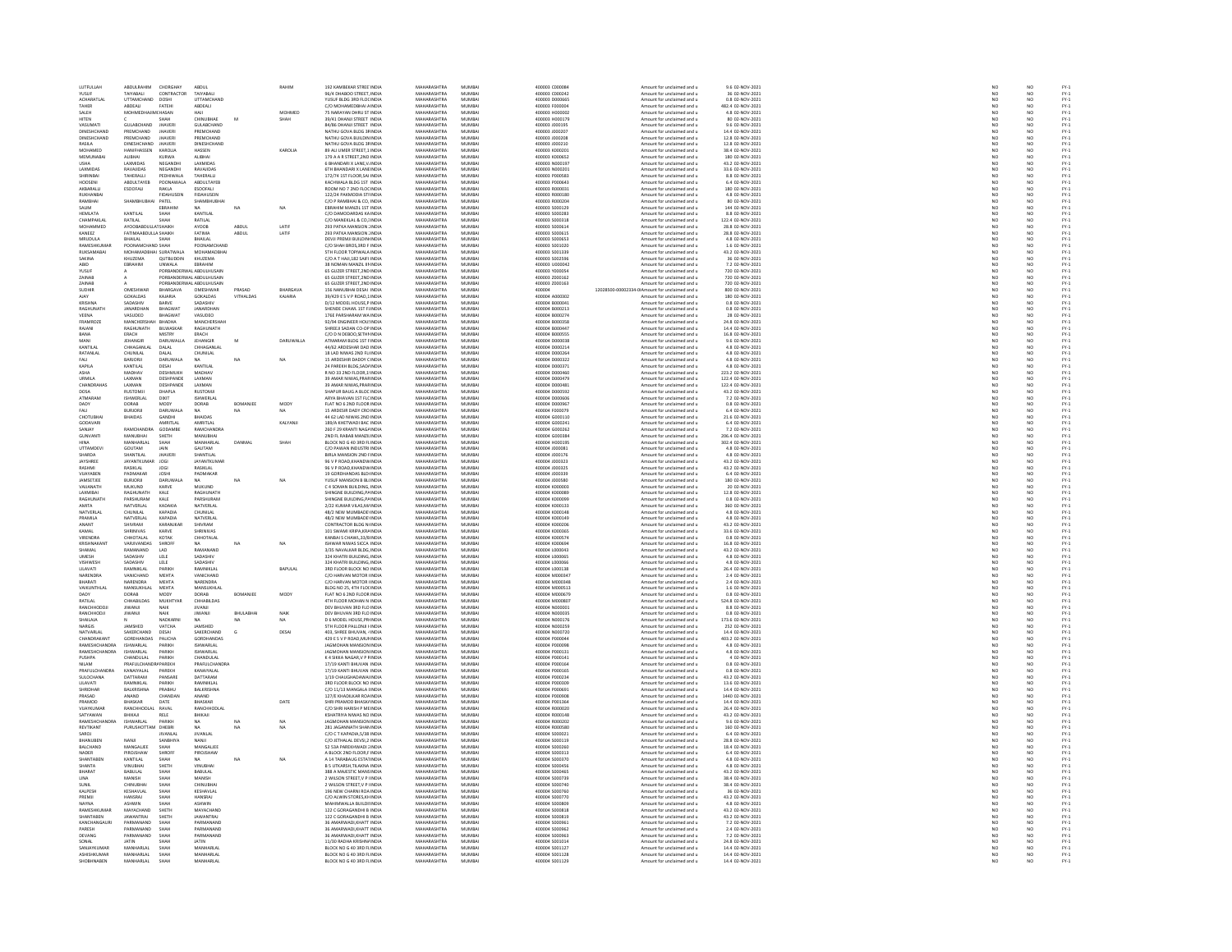| LUTFULLAH                    | ABDULRAHIM CHORGHAY    |                                                       | ABDUL                          |           | RAHIM             | 192 KAMBEKAR STREE INDIA                               | MAHARASHTRA                | MUMBAI           | 400003 C000084                   | Amount for unclaimed and u                               | 9.6 02-NOV-2021                      |
|------------------------------|------------------------|-------------------------------------------------------|--------------------------------|-----------|-------------------|--------------------------------------------------------|----------------------------|------------------|----------------------------------|----------------------------------------------------------|--------------------------------------|
|                              | <b>AIYABALI</b>        | CONTRACTOR                                            |                                |           |                   |                                                        | MAHARASHTRA<br>MAHARASHTRA | MUMBA            | 00003 C00024                     | Amount for unclaimed and u                               |                                      |
| YUSUF<br>ACHARATLAL          | UTTAMCHAND DOSHI       |                                                       | TAIYABALI<br>UTTAMCHAND        |           |                   | YUSUF BLDG 3RD FLOCINDIA                               |                            | MUMBA            | 400003 D000665                   | Amount for unclaimed and u                               | 36 02-NOV-2021<br>0.8 02-NOV-2021    |
| <b>TAHER</b>                 | <b>ARDEAU</b>          | EATEH                                                 | ABDEAU                         |           |                   | C/O MOHAMEDRHALA INDIA                                 | MAHARASHTRA                | MUMBAL           | 400003 E000004                   | Amount for unclaimed and u                               | 482 4 02-NOV-2021                    |
|                              |                        |                                                       |                                |           | MOHMED            | 75 NARAYAN DHRU ST INDIA                               | MAHARASHTRA                | MUMBA            |                                  | Amount for unclaimed and u                               | 4.8 02-NOV-2021                      |
| SALEH                        | <b>MOHMEDH</b>         | <b>ACHASAN</b>                                        | HAJI                           |           |                   |                                                        |                            |                  | 400003 H000002                   |                                                          |                                      |
| <b>HITEN</b>                 |                        | SHAH                                                  | CHINUBHAE                      | M         | SHAH              | 39/41 DHANJI STREET INDIA                              | MAHARASHTRA                | MUMBAI           | 400003 H000179                   | Amount for unclaimed and u                               | 80 02-NOV-2021                       |
| VASUMAT                      | GULABCHAND             | JHAVER                                                | GULABCHAND                     |           |                   | 84/86 DHANJI STREET INDU                               | MAHARASHTRA                | <b>MUMBA</b>     | 400003 J00019                    | Amount for unclaimed and u                               | 9.6 02-NOV-2023                      |
| DINESHCHAND                  | PREMCHAND              | <b>JHAVER</b>                                         | PREMCHAND                      |           |                   | NATHU GOVA BLDG 3F INDIA                               | MAHARASHTRA                | MUMBAI           | 400003 J000207                   | Amount for unclaimed and u                               | 14.4 02-NOV-2021                     |
| DINESHCHAND                  | PREMCHAND              | <b>JHAVER</b>                                         | PREMCHAND                      |           |                   | NATHU GOVA BUILDIN INDU                                | MAHARASHTRA                | MUMRAL           | 400003 J00020                    | Amount for unclaimed and u                               | 12.8 02-NOV-2021                     |
| RASILA                       | DINESHCHAND            | <b>JHAVERI</b>                                        | DINESHCHAND                    |           |                   | NATHU GOVA BLDG 3FINDIA                                | MAHARASHTRA                | MUMBAI           | 400003 J000210                   | Amount for unclaimed and u                               | 12.8 02-NOV-2021                     |
| MOHAMED                      | HANIFHASSEN            | KAROLIA                                               | HASSEN                         |           | KAROLIA           | 89 ALLUMER STREET 1 INDIA                              | MAHARASHTRA                | MUMBAL           | donna konnzo                     | Amount for unclaimed and u                               | 38.4.02-NOV-2021                     |
| MEMUNABAI                    | ALIBHAI                | KURWA                                                 | <b>ALIBHAI</b>                 |           |                   | 179 A A R STREET, 2ND INDU                             | MAHARASHTRA                | MUMBA            | 400003 K000652                   | Amount for unclaimed and u                               | 180 02-NOV-202:                      |
| <b>USHA</b>                  | LAXMIDAS               | NEGANDHI                                              | LAXMIDAS                       |           |                   | 6 BHANDARI X LANE.V. INDIA                             | MAHARASHTRA                | MUMBAI           | 400003 N000197                   | Amount for unclaimed and u                               | 43.2 02-NOV-2021                     |
| LAXMIDA!                     | RAVAJIDA               | NEGANDHI                                              | RAVAJIDA:                      |           |                   | 6TH BHANDARI X LANE INDU                               | <b>MAHARASHTRA</b>         | MUMBA            | 00003 N00020                     | Amount for unclaimed and u                               | 33.6 02-NOV-202:                     |
| SHIRINBAI                    | TAHERALLI              | PEDHIWALA                                             | TAHERALLI                      |           |                   | 172/74 1ST FLOOR SAI INDIA                             | MAHARASHTRA                | MUMBAI           | 400003 P000583                   | Amount for unclaimed and u                               | 8.8 02-NOV-2021                      |
| HOOSEN                       | ABDULTAYEE             | POONAWAL                                              | ABDULTAYEB                     |           |                   | KACHWALA BLDG 1ST INDU                                 | MAHARASHTRA                | MUMBA            | 400003 P000643                   | Amount for unclaimed and u                               | 6.4 02-NOV-202:                      |
|                              |                        |                                                       |                                |           |                   |                                                        |                            |                  |                                  |                                                          |                                      |
| AKBARALLI<br><b>RUKHANRA</b> | ESOOFALI               | RAKLA<br><b>FIDAHUSEIN</b>                            | ESOOFALI<br><b>FIDAHLISEIN</b> |           |                   | ROOM NO 7 2ND FLOCINDIA                                | MAHARASHTRA<br>MAHARASHTRA | MUMBAI<br>MUMRAL | 400003 R000031<br>MOODS ROOM     | Amount for unclaimed and u                               | 180 02-NOV-2021                      |
|                              |                        |                                                       |                                |           |                   | 122/24 PAKMODIA STI INDIA<br>C/O P RAMBHAI & CO, INDIA |                            |                  |                                  | Amount for unclaimed and u<br>Amount for unclaimed and u | 4.8 02-NOV-2021<br>80 02-NOV-2021    |
| RAMBHAI                      | SHAMBHUBHAI PATEL      |                                                       | <b>SHAMBHUBHA</b>              |           |                   |                                                        | MAHARASHTRA                | MUMBA            | 00003 R00020                     |                                                          |                                      |
| SALIM                        |                        | EBRAHIM                                               | <b>NA</b>                      | NA        | NA                | EBRAHIM MANZIL 1ST INDIA                               | MAHARASHTRA                | MUMBAI           | 400003 S000129                   | Amount for unclaimed and u                               | 144 02-NOV-2021                      |
| HEMLATA                      | KANTILAI               | SHAH                                                  | KANTILAI                       |           |                   | C/O DAMODARDAS KA INDU                                 | <b>MAHARASHTRA</b>         | MUMBA            | 400003 S00028                    | Amount for unclaimed and u                               | 8.8 02-NOV-2023                      |
| CHAMPAKLAL                   | RATILAL                | SHAH                                                  | RATILAL                        |           |                   | C/O MANEKLAL & CO.: INDIA                              | MAHARASHTRA                | MUMBAI           | 400003 S000318                   | Amount for unclaimed and u                               | 122.4 02-NOV-2021                    |
| MOHAMMED                     | AYOORARDUU LATSHAIKH   |                                                       | AYOOB                          | ABDUL     | LATIF             | 293 PATKA MANSION : INDIA                              | <b>MAHARASHTRA</b>         | <b>MUMBAL</b>    | unnna snnnsu                     | Amount for unclaimed and u                               | 28.8 02-NOV-2021                     |
| KANEEZ                       | FATIMAABDULLA SHAIKH   |                                                       | FATIMA                         | ABDUL     | LATIF             | 293 PATKA MANSION : INDIA                              | MAHARASHTRA                | MUMBAI           | 400003 S000615                   | Amount for unclaimed and u                               | 28.8 02-NOV-2021                     |
| MRUDULA                      | HAILAL                 | SHAH                                                  | BHAILAL                        |           |                   | DEVJI PREMJI BUILDIN INDIA                             | MAHARASHTRA                | MUMRAL           | sannos sonos                     | Amount for unclaimed and u                               | 4.8 02-NOV-2023                      |
| RAMESHKUMAF                  | POONAMCH               | <b>ND SHAF</b>                                        | POONAMCHAND                    |           |                   | C/O SHAH BROS, 3RD F INDIA                             | MAHARASHTRA                | MUMBA            | 400003 S001020                   | Amount for unclaimed and u                               | 1.6 02-NOV-2021                      |
| <b>RUKSAMARAL</b>            | MOHAMADBHAI SURATWALA  |                                                       | MOHAMADRHAL                    |           |                   | STH FLOOR TOPINALA INDIA                               | MAHARASHTRA                | MUMRAL           | annona sonaase                   | Amount for unclaimed and u                               | 43.2 02-NOV-2021                     |
|                              | HUZEMA                 | QUTBUDDIN                                             | KHUZEMA                        |           |                   | C/O A T HAJI,182 SAIFI INDU                            | <b>MAHARASHTRA</b>         | MUMBA            | 400003 S00259                    | mount for unclaimed and u                                | 6 02-NOV-2021                        |
| <b>ABID</b>                  | EBRAHIM                | <b>UNWALA</b>                                         | EBRAHIM                        |           |                   | 38 NOMAN MANZIL III INDIA                              | MAHARASHTRA                | MUMBAI           | 400003 U000042                   | Amount for unclaimed and u                               | 7.2 02-NOV-2021                      |
| YUSUF                        |                        | PORBANDERWAL ABDULHUSAIN                              |                                |           |                   | 65 GUZER STREET, 2ND INDU                              | <b>MAUARACUTRA</b>         | MUMBA            | 400003 Y000054                   | Amount for unclaimed and u                               | 720 02-NOV-2021                      |
|                              |                        |                                                       |                                |           |                   |                                                        |                            |                  |                                  |                                                          |                                      |
| ZAINAB<br><b>ZAINAR</b>      |                        | PORBANDERWAL ABDULHUSAIN<br>PORRANDERWAL ARDUI HUSAIN |                                |           |                   | 65 GUZER STREET, 2ND INDIA                             | MAHARASHTRA<br>MAHARASHTRA | MUMBAI<br>MUMRAL | 400003 Z000162                   | Amount for unclaimed and u<br>Amount for unclaimed and u | 720 02-NOV-2021<br>720 02-NOV-2021   |
|                              |                        |                                                       |                                |           |                   | 65 GUZER STREET, 2ND INDIA                             |                            |                  | 400003 Z000163                   |                                                          |                                      |
| SUDHIR                       | OMESHWAR               | BHARGAVA                                              | OMESHWAR                       | PRASAD    | BHARGAVA          | 156 NANUBHAI DESAI INDIA                               | MAHARASHTRA                | MUMBAI           | 400004                           | 12028500-00002334-0IAmount for unclaimed and u           | 800 02-NOV-2021                      |
| <b>AIAV</b>                  | GOKALDAS               | KAIARIA                                               | GOKALDAS                       | VITHAIDAS | KAIARIA           | 39/429 F S V P ROAD 1 INDIA                            | MAHARASHTRA                | MUMRAL           | 400004 A000302                   | Amount for unclaimed and u                               | 180.02-NOV-2021                      |
| KRISHNA                      | SADASHIV               | BARVE                                                 | SADASHIV                       |           |                   | D/12 MODEL HOUSE,P INDU                                | <b>MAHARASHTRA</b>         | MUMBA            | 400004 B00004                    | Amount for unclaimed and u                               | 0.8 02-NOV-2021                      |
| <b>RAGHUNATH</b>             | JANARDHAN              | <b>BHAGWAT</b>                                        | JANARDHAN                      |           |                   | SHENDE CHAWL 1ST FLINDIA                               | MAHARASHTRA                | MUMBAI           | 400004 B000213                   | Amount for unclaimed and u                               | 0.8 02-NOV-2021                      |
| VEENA                        | VASUDEO                | RHAGWAT                                               | VASUDEO                        |           |                   | 176E PARSHARAM WA INDIA                                | MAHARASHTRA                | MUMRAL           | 400004 B000274                   | Amount for unclaimed and u                               | 28 02-NOV-2021                       |
| FRAMROZE                     | MANCHERSHAH BHADHA     |                                                       | MANCHERSHAH                    |           |                   | 92/94 ENGINEER HOU: INDIA                              | MAHARASHTRA                | MUMBAI           | 400004 B000358                   | Amount for unclaimed and u                               | 24.8 02-NOV-2021                     |
| RAIANI                       | RAGHUNATH              | BILWASKAR                                             | <b>RAGHLINATH</b>              |           |                   | SHREEJI SADAN CO-OP INDIA                              | MAHARASHTRA                | MUMRAL           | 400004 B000447                   | Amount for unclaimed and u                               | 14.4 02-NOV-2021                     |
| BANA                         | ERACH                  | MISTRY                                                | ERACH                          |           |                   | C/O D N DEBOO, SETHI INDIA                             | MAHARASHTRA                | MUMBA            | 400004 B000555                   | Amount for unclaimed and u                               | 16.8 02-NOV-2021                     |
| MANI                         | <b>IFHANGIR</b>        | <b>DARIJWALLA</b>                                     | <b>IFHANGIR</b>                | M         | <b>DARLIWALLA</b> | ATMARAM BLDG 1ST FINDIA                                | MAHARASHTRA                | MUMRAL           | 400004 DODDO38                   | Amount for unclaimed and u                               | 9.6.02-NOV-2021                      |
| KANTILAI                     | CHHAGANLAL             |                                                       | CHHAGANLAL                     |           |                   | 44/62 ARDESHAR DAD INDIA                               |                            | MUMBA            | 400004 D000214                   |                                                          | 4.8 02-NOV-2021                      |
| RATANLAI                     | CHUNILAL               | DALAL<br>DALAL                                        | CHUNILAL                       |           |                   | 18 LAD NIWAS 2ND FL INDIA                              | MAHARASHTRA<br>MAHARASHTRA | MUMBAI           | 400004 D000264                   | Amount for unclaimed and u<br>Amount for unclaimed and u | 4.8 02-NOV-2021                      |
| <b>FALL</b>                  | RARIORI                | DARUWALA                                              |                                | NA        |                   | <b>15 ARDESHIR DADDY CINDIA</b>                        | <b>MAHARASHTRA</b>         | MUMRAL           | sonnos nonnazz                   |                                                          |                                      |
|                              |                        |                                                       |                                |           | NA                |                                                        |                            |                  |                                  | Amount for unclaimed and u                               | 4.8 02-NOV-2021                      |
| KAPILA                       | KANTILAL               | DESAI                                                 | KANTILAI                       |           |                   | 24 PAREKH BLDG, SADJ INDIA                             | MAHARASHTRA                | MUMBA            | 400004 D000371                   | Amount for unclaimed and u                               | 4.8 02-NOV-2021                      |
| ASHA                         | MADHAV                 | <b>DESHMUKE</b>                                       | MADHAV                         |           |                   | R NO 33 2ND FLOOR.1 INDIA                              | MAHARASHTRA                | MUMRAL           | 400004 DODD460                   | Amount for unclaimed and u                               | 223.2 02-NOV-2021                    |
| URMILA                       | LAXMAN                 | DESHPANDE                                             | LAXMAN                         |           |                   | 39 AMAR NIWAS, PRAFINDIA                               | MAHARASHTRA                | MUMBA            | 400004 D000479                   | Amount for unclaimed and u                               | 122.4 02-NOV-2021                    |
| CHANDRAHAS                   | <b>LAXMAN</b>          | DESHPANDE                                             | <b>LAXMAN</b>                  |           |                   | 39 AMAR NIWAS PRARINDIA                                | MAHARASHTRA                | MUMBAL           | 400004 DOD0481                   | Amount for unclaimed and u                               | 122.4.02-NOV-2021                    |
| DOSA                         | <b>RUSTOMJ</b>         | DHAPLA                                                | <b>RUSTOMJ</b>                 |           |                   | SHAPUR BAUG A BLOC INDIA                               | MAHARASHTRA                | MUMBA            | 400004 D000592                   | Amount for unclaimed and u                               | 43.2 02-NOV-2021                     |
| ATMARAM                      | ISHWERLAI              | DIXIT                                                 | ISHWERLAL                      |           |                   | ARYA BHAVAN 1ST FLC INDIA                              | MAHARASHTRA                | MUMBAI           | 400004 D000606                   | Amount for unclaimed and u                               | 7.2 02-NOV-2021                      |
| DADY                         | DORAB                  | MODY                                                  | DORAB                          | BOMANJE   | MOD)              | FLAT NO 6 2ND FLOOR INDIA                              | MAHARASHTRA                | MUMBA            | 100004 D00096                    | Amount for unclaimed and u                               | 0.8 02-NOV-2021                      |
| FALL                         | <b>BURJORJI</b>        | DARUWALA                                              | <b>NA</b>                      | NA        | NA                | 15 ARDESIR DADY CRO INDIA                              | MAHARASHTRA                | MUMBAI           | 400004 F000079                   | Amount for unclaimed and u                               | 6.4 02-NOV-2021                      |
| CHOTLIBHAI                   | RHAINAS                | <b>GANDHI</b>                                         | RHAIDAS                        |           |                   | 44 62 LAD NIWAS 2ND INDIA                              | MAHARASHTRA                | MUMRAL           | 400004 G000110                   | Amount for unclaimed and u                               | 21.6 02-NOV-2021                     |
| GODAVARI                     |                        | AMRITLAL                                              | AMRITLAL                       |           | KALYANJ           |                                                        | MAHARASHTRA                | MUMBA            | 400004 G00024                    |                                                          | 6.4 02-NOV-2021                      |
| SANIAY                       | RAMCHANDRA GODAMRE     |                                                       | RAMCHANDRA                     |           |                   | 189/A KHETWADI BAC INDIA<br>260 F 29 KRANTI NAGAINDIA  | MAHARASHTRA                | MUMBAL           | 400004 GOOD262                   | Amount for unclaimed and u<br>Amount for unclaimed and u | 7.2.02-NOV-2021                      |
|                              |                        |                                                       |                                |           |                   |                                                        |                            |                  |                                  |                                                          |                                      |
| <b>GUNVANTI</b>              | MANUBHAI               | SHETH                                                 | MANUBHA                        |           |                   | 2ND FL RABAB MANZILINDIA                               | MAHARASHTRA                | MUMBA            | 400004 G000384                   | Amount for unclaimed and u                               | 206.4 02-NOV-2021                    |
| HINA                         | MANHARLAL              | SHAH                                                  | MANHARLAL                      | DANMAL    | SHAH              | BLOCK NO G 40 3RD FLINDIA                              | MAHARASHTRA                | MUMBAI           | 400004 H000195                   | Amount for unclaimed and u                               | 302.4 02-NOV-2021                    |
| UTTAMDEV                     | GOUTAM                 | JAIN                                                  | GAUTAM                         |           |                   | C/O PAWAN INDUSTRI INDU                                | MAHARASHTRA                | MUMBA            | 400004 J00008                    | Amount for unclaimed and u                               | 4.8 02-NOV-2023                      |
| SHARDA                       | SHANTILAL              | <b>JHAVER</b>                                         | SHANTILAL                      |           |                   | BIRLA MANSION 2ND FINDIA                               | MAHARASHTRA                | MUMBAI           | 400004 J000176                   | Amount for unclaimed and u                               | 4.8 02-NOV-2021                      |
| JAYSHREE                     | AYANTKUMAR             |                                                       | <b>JAYANTKUMAI</b>             |           |                   |                                                        |                            | <b>MUMRAL</b>    |                                  | Amount for unclaimed and u                               |                                      |
| RASHMI                       | RASIKLAL               | <b>JOGI</b>                                           | RASIKLAL                       |           |                   | 96 V P ROAD, KHANDWINDIA<br>96 V P ROAD, KHANDWINDIA   | MAHARASHTRA<br>MAHARASHTRA | MUMBA            | 400004 J000323<br>400004 J000325 | Amount for unclaimed and u                               | 43.2 02-NOV-2021<br>43.2 02-NOV-2021 |
| VUAYABEN                     | PADMAKAR               | <b>JOSHI</b>                                          | PADMAKAR                       |           |                   | 19 GORDHANDAS BLD INDIA                                | MAHARASHTRA                | MUMBAI           | 400004 J000339                   | Amount for unclaimed and u                               | 6.4 02-NOV-2021                      |
| JAMSETJEE                    | <b>BURJORJI</b>        | DARUWALA                                              |                                |           | NA                | YUSUF MANSION B BLI INDU                               | MAHARASHTRA                | MUMBA            | 400004 J00058                    | Amount for unclaimed and u                               | 180 02-NOV-202:                      |
| VAUANATH                     | MUKUND                 | KARVE                                                 | MUKUND                         |           |                   | C 4 SOMAN BUILDING, INDIA                              | MAHARASHTRA                | MUMBAI           | 400004 K000003                   | Amount for unclaimed and u                               | 20 02-NOV-2021                       |
| LAXMIBAL                     | MAGHUNATH              |                                                       | RAGHUNATH                      |           |                   | SHINGNE BUILDING, PAINDU                               | <b>MAHARASHTRA</b>         | MUMBA            | 00004 K000089                    | Amount for unclaimed and u                               | 12.8 02-NOV-2021                     |
| <b>RAGHUNATH</b>             | PARSHURAM              | KALE<br>KALE                                          | PARSHURAM                      |           |                   | SHINGNE BUILDING.PAINDIA                               | MAHARASHTRA                | MUMBAI           | 400004 K000099                   | Amount for unclaimed and u                               | 0.8 02-NOV-2021                      |
| <b>AMITA</b>                 |                        |                                                       |                                |           |                   |                                                        | <b>MAUARASUTRA</b>         | 1411140-01       |                                  |                                                          |                                      |
|                              | NATVERLAL              | KADAKIA                                               | NATVERLAL                      |           |                   | 2/22 KUMAR VILAS, M/ INDI                              |                            |                  | snoona konora:                   | Amount for unclaimed and u                               | 360 02-NOV-202:                      |
| NATVERLAL                    | CHUNILAL               | KAPADIA                                               | CHUNILAL                       |           |                   | 48/2 NEW MUMBADE INDIA                                 | MAHARASHTRA                | MUMBAI           | 400004 K000148                   | Amount for unclaimed and u                               | 4.8 02-NOV-2021                      |
| PRAMILA                      | NATVERLAL              | KAPADIA                                               | NATVERLAL                      |           |                   | 48/2 NEW MUMBADE INDIA                                 | MAHARASHTRA                | MUMBAI           | 400004 K000149                   | Amount for unclaimed and u                               | 4.8 02-NOV-2021                      |
| ANANT                        | SHIVRAN                | KARANJKA                                              | SHIVRAM                        |           |                   | CONTRACTOR BLDG NI INDU                                | MAHARASHTRA                | MUMBA            | 400004 K00020                    | Amount for unclaimed and u                               | 43.2 02-NOV-2021                     |
| KAMAL                        | SHRINIVAS              | KARVE                                                 | SHRINIVAS                      |           |                   | 101 SWAMI KRIPA KRA INDIA                              | MAHARASHTRA                | MUMBAI           | 400004 K000365                   | Amount for unclaimed and u                               | 33.6 02-NOV-2021                     |
| <b>VIRENDRA</b>              | CHHOTALAL              | <b>KOTA</b>                                           | CHHOTALAI                      |           |                   | KANBAI S CHAWL, 33/8 INDU                              | <b>MAHARASHTRA</b>         | MUMBA            | 400004 K000574                   | Amount for unclaimed and u                               | 0.8 02-NOV-2023                      |
| <b>KRISHNAKAN</b>            | VARJIVANDAS            | SHROFF                                                | NA.                            | NA        | NA                | ISHWAR NIWAS SICCA INDIA                               | MAHARASHTRA                | MUMBAI           | 400004 K000694                   | Amount for unclaimed and u                               | 16.8 02-NOV-2021                     |
| SHAMAL                       | RAMANAND               | LAD                                                   | RAMANAND                       |           |                   | 3/35 NAVALKAR BLDG, INDU                               | MAHARASHTRA                | MUMBA            | 400004 L00004                    | Amount for unclaimed and u                               | 43.2 02-NOV-2021                     |
| <b>UMESH</b>                 | SADASHIV               | LELE                                                  | SADASHIV                       |           |                   | 324 KHATRI BUILDING, INDIA                             | MAHARASHTRA                | MUMBAI           | 400004 L000065                   | Amount for unclaimed and u                               | 4.8 02-NOV-2021                      |
| <b>VISHWESH</b>              | SADASHIV               | LELE                                                  | SADASHIV                       |           |                   | 324 KHATRI BLIII DING INDIA                            | MAHARASHTRA                | MUMRAL           | 400004 LODDON                    | Amount for unclaimed and u                               | 4.8 02-NOV-2021                      |
|                              |                        |                                                       |                                |           |                   |                                                        |                            |                  |                                  |                                                          |                                      |
| LILAVATI<br>NARENDRA         | RAMNIKLAL<br>VANICHAND | PARIKH<br>MEHTA                                       | RAMNIKLAL<br>VANICHAND         |           | BAPULAL           | 3RD FLOOR BLOCK NO INDIA<br>C/O HARVAN MOTOR INDIA     | MAHARASHTRA<br>MAHARASHTRA | MUMBA<br>MUMBAI  | 400004 L000138<br>400004 M000347 | Amount for unclaimed and u<br>Amount for unclaimed and u | 26.4 02-NOV-2021<br>2.4 02-NOV-2021  |
|                              | <b>JARENDRA</b>        |                                                       | NARENDRA                       |           |                   |                                                        | <b>MAHARASHTRA</b>         | MUMBA            |                                  |                                                          |                                      |
| BHARATI                      |                        | MEHTA                                                 |                                |           |                   | C/O HARVAN MOTOR INDU                                  |                            |                  | 400004 M00034                    | Amount for unclaimed and u                               | 2.4 02-NOV-2021                      |
| VAIKUNTHLAL                  | MANSUKHLAL             | MEHTA                                                 | MANSUKHLAL                     |           |                   | BLDG NO 25, 4TH FLOCINDIA                              | MAHARASHTRA                | MUMBAI           | 400004 M000513                   | Amount for unclaimed and u                               | 1.6 02-NOV-2021                      |
| nany                         | DORAB                  | MODY                                                  | DORAB                          | BOMANJEE  | MODY              | FLAT NO 6 2ND FLOOR INDIA                              | MAHARASHTRA                | MUMRAL           | sonna Monneze                    | Amount for unclaimed and u                               | 0.8 02-NOV-2021                      |
| RATILAL                      | CHHABILDAS             | MUKHTYAR                                              | CHHABILDAS                     |           |                   | 4TH FLOOR MOHAN N INDIA                                | MAHARASHTRA                | MUMBAI           | 400004 M000807                   | Amount for unclaimed and u                               | 524.8 02-NOV-2021                    |
| RANCHHODDI                   | <b>IIWANII</b>         | NAIK                                                  | <b>IIVANII</b>                 |           |                   | DEV BHUVAN 3RD FLO INDIA                               | MAHARASHTRA                | MUMRAL           | 400004 N000001                   | Amount for unclaimed and u                               | 8.8 02-NOV-2021                      |
| RANCHHODJI                   | ILVANIL                | NAIK                                                  | <b>IIWANJI</b>                 | BHULABHAI | NAIK              | DEV BHUVAN 3RD FLO INDIA                               | MAHARASHTRA                | MUMBA            | 400004 N000035                   | Amount for unclaimed and u                               | 0.8 02-NOV-2021                      |
| SHAILAIA                     |                        | NADKARNI                                              | <b>NA</b>                      | $N\Delta$ | NA.               | D 6 MODEL HOUSE PRUNDIA                                | MAHARASHTRA                | MUMRAL           | 400004 N000176                   | Amount for unclaimed and u                               | 173 6 02-NOV-2021                    |
| NARGIS                       | <br>IAMSUED            | VATCHA                                                | <b>IAMASUED</b>                |           |                   | STH FLOOR PALLONJI I INDI                              | MAHARASHTRA                | MUMRA            | 100004 NO0025                    | Amount for unclaimed and u                               | 252 02-NOV-2021                      |
| NATVARLAL                    | SAKERCHAND             | DESAI                                                 | SAKERCHAND                     | G         | DESAI             | 403, SHREE BHUVAN, 4 INDIA                             | MAHARASHTRA                | MUMBAI           | 400004 N000720                   | Amount for unclaimed and u                               | 14.4 02-NOV-2021                     |
| CHANDRAKANT                  | <b>GORDHANDAS</b>      | PALICHA                                               | GORDHANDAS                     |           |                   | 429 E S V P ROAD MUI INDIA                             | <b>MAHARASHTRA</b>         | MUMRAL           | 400004 P00004                    | Amount for unclaimed and u                               | 103.2 02-NOV-2021                    |
| RAMESHCHANDRA                | ISHWARLAL              | PARIKH                                                | <b>ISHWARLAL</b>               |           |                   | JAGMOHAN MANSION INDIA                                 | MAHARASHTRA                | MUMBAI           | 400004 P000091                   | Amount for unclaimed and u                               | 4.8 02-NOV-2021                      |
| <b>RAMESHCHANDRA</b>         | ISHWARLAL              | PARIKH                                                | KHWARI AI                      |           |                   | <b>IAGMOHAN MANSION INDIA</b>                          | MAHARASHTRA                | MUMRAL           | 400004 P000131                   | Amount for unclaimed and u                               | 4.8 02-NOV-2021                      |
| PUSHPA                       | CHANDULAL              | PARIKH                                                | CHANDULAL                      |           |                   | K 4 SIKKA NAGAR, V P FINDM                             | MAHARASHTRA                | MUMBA            | 400004 P00014:                   | Amount for unclaimed and u                               | 4 02-NOV-2021                        |
| NII AM                       | PRAFIII CHAN           | <b>APAREKH</b>                                        | PRAFIII CHANDRA                |           |                   | 17/19 KANTI RHI IVAN INDIA                             | MAHARASHTRA                | MUMBAL           | 400004 P000164                   | Amount for unclaimed and u                               | 0.8.02-NOV-2021                      |
|                              |                        |                                                       |                                |           |                   |                                                        |                            |                  |                                  |                                                          |                                      |
| PRAFULCHANDRA                | KANAIYALAI             | PAREKH                                                | KANAIYALAL                     |           |                   | 17/19 KANTI BHUVAN INDIA                               | MAHARASHTRA                | MUMBA            | 400004 P000165                   | Amount for unclaimed and u                               | 0.8 02-NOV-2021                      |
| SULOCHANA                    | DATTARAM               | PANSARE                                               | DATTARAM                       |           |                   | 1/19 CHAUGHADAWAI INDIA                                | MAHARASHTRA                | MUMBAI           | 400004 P000234                   | Amount for unclaimed and u                               | 43.2 02-NOV-2021                     |
| IT AVATI                     | <b>RAMNIKIAI</b>       | PARIKH                                                | RAMNIKI AL                     |           |                   | 3RD FLOOR BLOCK NO INDIA                               | MAHARASHTRA                | MUMRAL           | 400004 P000305                   | Amount for unclaimed and u                               | 13.6 02-NOV-2021                     |
| SHRIDHAR                     | BALKRISHNA             | PRABHU                                                | BALKRISHNA                     |           |                   | C/O 11/13 MANGALA HNDIA                                | MAHARASHTRA                | MUMBA            | 400004 P00069:                   | Amount for unclaimed and u                               | 14.4 02-NOV-2021                     |
| PRASAD                       | ANAND                  | CHANDAN                                               | ANAND                          |           |                   | 127/F KHADILKAR ROAINDIA                               | MAHARASHTRA                | MUMRAL           | 400004 PO00908                   | Amount for unclaimed and u                               | 1440 02-NOV-2021                     |
| PRAMOD                       | BHASKAR                | DATE                                                  | BHASKAR                        |           | DATE              | SHRI PRAMOD BHASK/ INDIA                               | MAHARASHTRA                | MUMBA            | 400004 P00136                    | Amount for unclaimed and u                               | 14.4 02-NOV-2021                     |
| VIIAVKUMAR                   | RANCHHODLAL RAVAL      |                                                       | RANCHHODLAL                    |           |                   | C/O SHRI HARISH P MEINDIA                              | MAHARASHTRA                | MUMBAL           | 400004 B000020                   | Amount for unclaimed and u                               | 26.4.02-NOV-2021                     |
| SATYAWAN                     | BHIKAJI                | RELE                                                  | BHIKAJI                        |           |                   | <b>KSHATRIYA NIWAS NO INDIA</b>                        | MAHARASHTRA                | MUMBA            | 400004 R00014                    | Amount for unclaimed and u                               | 43.2 02-NOV-2021                     |
| RAMESHCHANDRA                | <b>ISHWARLAL</b>       | PARIKH                                                | NA                             |           |                   | <b>JAGMOHAN MANSION INDIA</b>                          | MAHARASHTRA                | MUMBAI           | 400004 R000202                   | Amount for unclaimed and u                               | 9.6 02-NOV-2021                      |
|                              | PURUSHOTTAM            |                                                       |                                |           | NA                |                                                        |                            | MUMBA            | 00004 R00058                     |                                                          |                                      |
| REVTIKANT<br>SAROJ           |                        | DHEBR                                                 | <b>JIVANLAL</b>                |           |                   |                                                        | MAHARASHTRA<br>MAHARASHTRA | MUMBA            |                                  | Amount for unclaimed and u                               | 160 02-NOV-2021                      |
| RHANIJREN                    | NANH                   | <b>JIVANLAL</b>                                       | NANIL                          |           |                   | C/O C T KAPADIA, 5/38 INDIA                            | MAHARASHTRA                | MUMRAL           | 400004 S00002<br>400004 S000119  | Amount for unclaimed and u                               | 6.4 02-NOV-2021<br>28.8.02-NOV-2021  |
|                              |                        | SANRHIVA                                              |                                |           |                   | C/O IFTHALAL DEVSL2 INDIA                              |                            |                  |                                  | Amount for unclaimed and u                               |                                      |
| BALCHAND                     | MANGALJEE              | SHAH                                                  | MANGALIEI                      |           |                   | 52 53A PAREKHWADI 1 INDIA                              | MAHARASHTRA                | MUMBA            | 400004 S00026                    | Amount for unclaimed and u                               | 18.4 02-NOV-2021                     |
| NADER                        | PIROJSHAW              | SHROFF                                                | PIROJSHAW                      |           |                   | A BLOCK 2ND FLOOR.F INDIA                              | MAHARASHTRA                | MUMBAI           | 400004 S000313                   | Amount for unclaimed and u                               | 6.4 02-NOV-2021                      |
| SHANTABEN                    | KANTILAL               |                                                       |                                | NA        | NA                | A 14 TARABAUG ESTATINDU                                | MAHARASHTRA                | MUMBA            | 400004 S000370                   | Amount for unclaimed and u                               | 4.8 02-NOV-2021                      |
| SHANTA                       | VINUBHAI               | SHETH                                                 | VINUBHAI                       |           |                   | <b>B 5 UTKARSH.TILAKNA INDIA</b>                       | MAHARASHTRA                | MUMBAI           | 400004 S000456                   | Amount for unclaimed and u                               | 4.8 02-NOV-2021                      |
| BHARAT                       | BABULAL                | SHAH                                                  | BABULAL                        |           |                   | 388 A MAJESTIC MANS INDI                               | <b>MAHARASHTRA</b>         | MUMBA            | 400004 S00046                    | Amount for unclaimed and u                               | 43.2 02-NOV-202:                     |
| <b>LINA</b>                  | MANISH                 | SHAF                                                  | MANISH                         |           |                   | 2 WILSON STREET.V P INDIA                              | MAHARASHTRA                | MUMBAI           | 400004 S000739                   | Amount for unclaimed and u                               | 38.4 02-NOV-2021                     |
| <b>CLIMB</b>                 | CHINLIRHA              | <b>SHAF</b>                                           | CHINI IRHA                     |           |                   | 2 WILSON STREET V P INDIA                              | MAHARASHTRA                | MUMRAL           | 400004 S000740                   | Amount for unclaimed and u                               | 38.4.02-NOV-2021                     |
| KALPESH                      | KESHAVLAL              | <b>SHAH</b>                                           | KESHAVLAL                      |           |                   | 196 NEW CHARNI ROA INDIA                               | MAHARASHTRA                | MUMBA            | 400004 S000760                   | Amount for unclaimed and u                               | 36 02-NOV-2021                       |
| PREMJI                       | HANSRAJ                | SHAH                                                  | HANSRAJ                        |           |                   | C/O ALWIN STORES.KH INDIA                              | MAHARASHTRA                | MUMBAI           | 400004 S000770                   | Amount for unclaimed and u                               | 43.2 02-NOV-2021                     |
|                              |                        |                                                       |                                |           |                   |                                                        |                            |                  |                                  |                                                          |                                      |
| NAYNA                        | SHWIN                  | SHAF                                                  | ASHWIN                         |           |                   | .<br>AAHIMWALLA BUILDII INDIA                          | MAHARASHTRA                | MUMBA            | 100004 S00080                    | Amount for unclaimed and u                               | 4.8 02-NOV-2023                      |
| RAMESHKUMAR                  | MAYACHAND              | SHETH                                                 | MAYACHAND                      |           |                   | 122 C GORAGANDHI B INDIA                               | MAHARASHTRA                | MUMBAI           | 400004 S000818                   | Amount for unclaimed and u                               | 43.2 02-NOV-2021                     |
| SHANTABEN                    | <b>JAWANTRAJ</b>       | SHETH                                                 | <b>IAWANTRAJ</b>               |           |                   | 122 C GORAGANDHI B INDU                                | <b>MAHARASHTRA</b>         | MUMBA            | 400004 S000819                   | Amount for unclaimed and u                               | 43.2 02-NOV-2021                     |
| KANCHANGAURI                 | PARMANAND              | SHAH                                                  | PARMANAND                      |           |                   | 36 AMARWADI.KHATT INDIA                                | MAHARASHTRA                | MUMBAI           | 400004 S000961                   | Amount for unclaimed and u                               | 7.2 02-NOV-2021                      |
| PARESH<br>DEVANG             | <b>DARAMAND</b>        | SHAI<br>SHAI                                          | DARAANANE                      |           |                   | 6 AMARWADI.KHATT INDU                                  | <b>MAUADACUTRA</b>         | <b>MUMBA</b>     | 400004 S00096                    |                                                          | 2.4 02-NOV-2021<br>7.2 02-NOV-2021   |
|                              | PARMANAND              |                                                       | PARMANAND                      |           |                   | 36 AMARWADI, KHATT INDU                                | MAHARASHTRA                | MUMBA            | 400004 S00096                    | Amount for unclaimed and u<br>Amount for unclaimed and u |                                      |
| SONAL                        | <b>HITAL</b>           | <b>SHAF</b>                                           | <b>ATIN</b>                    |           |                   | 11/30 RADHA KRISHN/ INDIA                              | MAHARASHTRA                | MUMBAI           | 400004 S001014                   | Amount for unclaimed and u                               | 24.8 02-NOV-2021                     |
| SANJAYKUMAR                  | MANHARLAL              |                                                       | <b>MANHARLA</b>                |           |                   | BLOCK NO G 40 3RD FLINDM                               | MAHARASHTRA                | MUMBA            | 400004 S00112                    | Amount for unclaimed and u                               | 14.4 02-NOV-2021                     |
| ASHISHKUMAR                  | MANHARLAL              | SHAH                                                  | MANHARLAL                      |           |                   | BLOCK NO G 40 3RD FLINDIA                              | MAHARASHTRA                | MUMBAI           | 400004 S001128                   | Amount for unclaimed and u                               | 14.4 02-NOV-2021                     |
|                              |                        |                                                       |                                |           |                   | BLOCK NO G 40 3RD FLINDM                               | <b>MAHARASHTRA</b>         | MUMBA            |                                  | Amount for unclaimed and u                               | 14.4 02-NOV-2023                     |
|                              |                        |                                                       |                                |           |                   |                                                        |                            |                  |                                  |                                                          |                                      |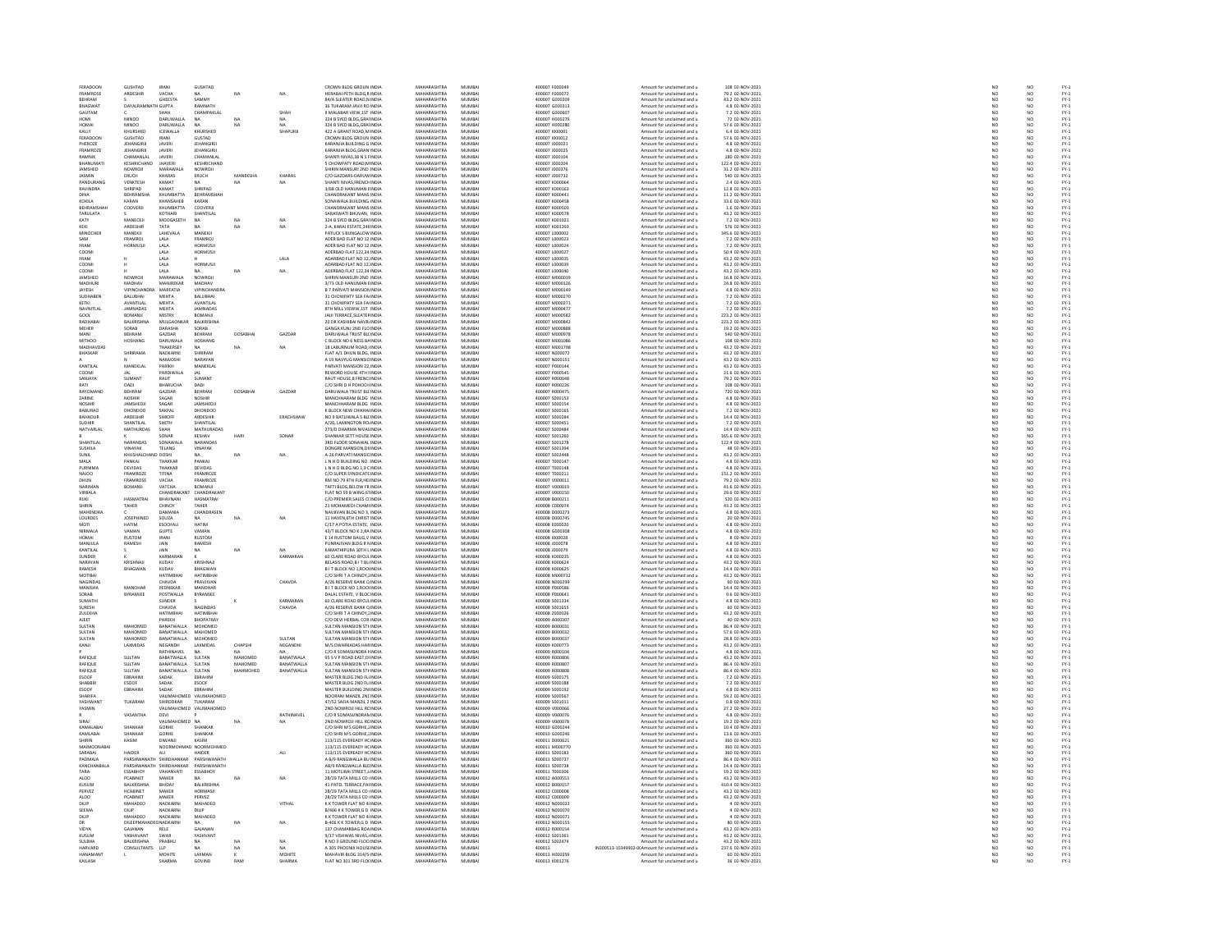| FERADOON<br>FRAMROSE             | <b>GUSHTAD</b><br>ARDESHIR            | IRANI<br>VACHA                  | <b>GUSHTAD</b>                 |                | NA                | CROWN BLDG GROUN INDIA<br><b>HERARAI PETH RI DG R INDIA</b> | MAHARASHTRA<br>MAHARASHTRA | MUMBA<br>MUMRAL  | 400007 F000049<br>400007 E000072 | Amount for unclaimed and u                                                   | 108 02-NOV-2021                       | NO                    | NO<br>NO                                      |                                      |
|----------------------------------|---------------------------------------|---------------------------------|--------------------------------|----------------|-------------------|-------------------------------------------------------------|----------------------------|------------------|----------------------------------|------------------------------------------------------------------------------|---------------------------------------|-----------------------|-----------------------------------------------|--------------------------------------|
| EHRAM                            |                                       | <b>GHEESTA</b>                  | SAMMY                          |                |                   | 84/A SLEATER ROAD,N INDI                                    | MAHARASHTR                 | MUMBA            | 400007 G00020                    | Amount for unclaimed and u<br>Amount for unclaimed and u                     | 79.2 02-NOV-2021<br>43.2 02-NOV-2021  | NC<br>NC              |                                               |                                      |
| <b>BHAGWAT</b>                   | <b>DAYALRAM</b>                       | TH GUPTA                        | RAMNATH                        |                |                   | 36 TUKARAM JAVJI RO INDIA                                   | MAHARASHTRA                | MUMBA            | 400007 G000313                   | Amount for unclaimed and u                                                   | 4.8 02-NOV-2021                       | NO <sub>1</sub>       | NO                                            | FY-1<br>FY-1<br>FY-1<br>FY-1         |
| GAUTAM                           |                                       |                                 | <b>CHAMPAKLAL</b>              |                | SHAH              | MALABAR VIEW, 1ST INDIA                                     | MAHARASHTRA                | <b>MIIMRA</b>    | 400007 G00060                    | Amount for unclaimed and u                                                   | 7.2 02-NOV-202                        |                       |                                               |                                      |
| HOMI                             | <b>MINOO</b>                          | DARUWALLA                       | <b>NA</b>                      | NA             | NA.               | 324 B SYED BLDG, GRAI INDIA                                 | MAHARASHTRA                | MUMBA            | 400007 H000279                   | Amount for unclaimed and u                                                   | 72 02-NOV-2021                        | NO                    | NO                                            |                                      |
| <b>IOMAI</b>                     | MINOO                                 | <b>DARIJWALLA</b>               | NA                             |                |                   | 324 B SYED BLDG.GRAINDIA                                    | MAHARASHTRA                | MUMRAL           | 400007 H000280                   | Amount for unclaimed and u                                                   | 57.6 02-NOV-2021                      | NO                    | NO <sub>1</sub>                               | FY-3<br>FY-3                         |
| KALLY                            | KHURSHED                              | ICEWALLA                        | KHURSHED                       |                | SHAPURJI          | 422 A GRANT ROAD, M INDIA                                   | MAHARASHTRA                | MUMBA            | 400007 1000001                   | Amount for unclaimed and u                                                   | 6.4 02-NOV-2021                       | NO                    | NO                                            |                                      |
| FERADOOM                         | GUSHTAD                               | <b>IRANI</b>                    | GUSTAD                         |                |                   | CROWN BLDG GROUN INDIA                                      | MAHARASHTRA                | MUMRAL           | 400007 (000012                   | Amount for unclaimed and u                                                   | 57.6 02-NOV-2021                      | NO<br>NO              | NO <sub>1</sub>                               |                                      |
| PHEROZE                          | JEHANGIRJI                            | <b>JAVERI</b>                   | <b>JEHANGIRJI</b>              |                |                   | KARANJIA BUILDING G INDIA                                   | MAHARASHTRA                | MUMBA            | 400007 J000021                   | Amount for unclaimed and u                                                   | 4.8 02-NOV-2021                       |                       | $\overline{NQ}$                               |                                      |
| FRAMROZE<br>RAMNIK               | <b>JEHANGIRJI</b><br>CHAMANI AL       | <b>JAVERI</b>                   | JEHANGIRJI<br><b>CHAMANI A</b> |                |                   | KARANJIA BLDG.GRAN INDIA                                    | MAHARASHTRA<br>MAUARASUTRA | MUMBA<br>MUMRAL  | 400007 J000025                   | Amount for unclaimed and u                                                   | 4.8 02-NOV-2021                       | NO                    | NO                                            | PY-1<br>PY-1<br>PY-1<br>PY-1         |
|                                  |                                       | JAVERI                          |                                |                |                   | SHANTI NIVAS, 38 N S FINDIA                                 |                            |                  | 400007 J000104                   | Amount for unclaimed and                                                     | 180 02-NOV-2021                       | NO                    | NO                                            |                                      |
| BHANUMATI<br><b>JAMSHED</b>      | KESHRICHAND<br>NOWROJI                | <b>JHAVERI</b><br>MARAWALA      | KESHRICHAND<br>NOWROLL         |                |                   | 5 CHOWPATY ROAD, MINDIA<br>SHIRIN MANSURI 2ND INDIA         | MAHARASHTRA<br>MAHARASHTRA | MUMBA<br>MUMRAL  | 400007 J000204<br>400007 J000376 | Amount for unclaimed and u<br>Amount for unclaimed and                       | 122.4 02-NOV-2021<br>31.2 02-NOV-2021 | NO<br>NO              | NO                                            |                                      |
| <b>JASMIN</b>                    | ERUCH                                 | KHARAS                          | ERUCH                          | MANEKSHA       | KHARAS            | C/O GAZDARS-DARUW INDIA                                     | MAHARASHTRA                | MUMBA            | 400007 J000732                   | Amount for unclaimed and u                                                   | 540 02-NOV-2021                       | NO                    | NO<br>NO                                      |                                      |
| PANDURANG                        | VENKTESH                              | KAMAT                           | <b>NA</b>                      | NA             | NA                | <b>HANTI NIVAS FRENCH INDIA</b>                             | MAHARASHTRA                | MUMRAL           | 400007 K00006                    | Amount for unclaimed and u                                                   | 2.4.02-NOV-2021                       | N <sub>0</sub>        | N <sub>0</sub>                                |                                      |
| <b>RAVINDRA</b>                  | SHRIPAD                               | KAMAT                           | SHRIPAD                        |                |                   | 3/68 OLD HANUMAN EINDIA                                     | MAHARASHTRA                | MUMBA            | 400007 K00016                    | Amount for unclaimed and u                                                   | 12.8 02-NOV-2021                      | NO                    | $\overline{NQ}$                               | FY-)<br>FY-)                         |
| <b>DINA</b>                      | REHRAMSHA                             | KHIIMRATTA                      | REHRAMSHAH                     |                |                   | <b>CHANDRAKANT MANS INDIA</b>                               | MAHARASHTRA                | MUMRAI           | 400007 K000441                   | Amount for unclaimed and u                                                   | 11.2.02-NOV-2021                      |                       |                                               |                                      |
| KOKILA                           | KARAN                                 | KHANSAHEB                       | KARAM                          |                |                   | SONAWALA BUILDING INDI                                      | MAHARASHTRA                | MUMBA            | 400007 K00045                    | mount for unclaimed and                                                      | 33.6 02-NOV-2021                      | NO<br>NO              | NO<br>NO<br>NO                                |                                      |
| BEHRAMSHAH                       | COOVERJI                              | KHUMBATTA                       | COOVERJI                       |                |                   | CHANDRAKANT MANS INDIA                                      | MAHARASHTRA                | MUMBA            | 400007 K000503                   | Amount for unclaimed and u                                                   | 1.6 02-NOV-2021                       | NO                    |                                               |                                      |
| <b>TARULATA</b>                  |                                       | KOTHARI                         | SHANTILAL                      |                |                   | ARASWATI RHI IVAN INDIA                                     | MAHARASHTRA                | MUMRAL           | 400007 KO0057                    | Amount for unclaimed and u                                                   | 43.2 02-NOV-2021                      | NO                    | NO <sub>1</sub>                               | FY-1<br>FY-1<br>FY-1<br>FY-1         |
| KATY                             | MANECKJI                              | MOOGASETH                       | NA                             | NA             |                   | 324 B SYED BLDG, GRAINDIA                                   | MAHARASHTRA                | MUMBA            | 400007 K001021                   | Amount for unclaimed and u                                                   | 7.2 02-NOV-2021                       | NO                    | $\overline{NQ}$                               |                                      |
| KEKI                             | ARDESHIR                              | TATA                            |                                | NA             | NA                | 2-A. KARAI ESTATE.248 INDIA                                 | MAHARASHTRA                | MUMRAL           | 400007 K001393                   | Amount for unclaimed and u                                                   | 576 02-NOV-2021                       | NO <sub>1</sub>       | NO <sub>1</sub>                               | FY-3<br>FY-3<br>FY-3<br>FY-3         |
| MINOCHER                         | MANEKJI                               | LAHEVALA                        | MANEKJI                        |                |                   | PATUCK S BUNGALOW INDIA                                     | MAHARASHTRA                | MUMBA            | 400007 L000002                   | Amount for unclaimed and u                                                   | 345.6 02-NOV-2021                     | NO                    | $\overline{NQ}$                               |                                      |
| <b>MA2</b>                       | <b>FRAMROL</b>                        | LALA.                           | <b>FRAMRO1</b>                 |                |                   | ADER BAD FLAT NO 12 INDIA                                   | <b>MAHARASHTRA</b>         | MUMRAI           | 400007 1000023                   | Amount for unclaimed and u                                                   | 7.2.02-NOV-2021                       | NO                    | NO                                            |                                      |
|                                  | <b>HORMUSI</b>                        | LALA                            | HORMUSJ                        |                |                   | ADER BAD FLAT NO 12 INDIA                                   | MAHARASHTRA                | MUMBA            | 400007 L000024                   | Amount for unclaimed and u                                                   | 7.2 02-NOV-2021                       | NO                    | NO                                            |                                      |
| COOMI<br>FRAM                    |                                       | LALA<br>LALA                    | <b>HORMUSJI</b>                |                | LALA              | ADERBAD FLAT 122.34 INDIA<br>ADARBAD FLAT NO 12: INDIA      | MAHARASHTRA<br>MAHARASHTRA | MUMBA<br>MUMRAL  | 400007 L000027<br>400007 100003  | Amount for unclaimed and u<br>Amount for unclaimed and u                     | 50.4 02-NOV-2021<br>43.2 02-NOV-2021  | NO<br>NO              | NO<br>NO                                      | FY :<br>FY :<br>FY :<br>FY :<br>FY : |
| COOMI                            |                                       | LALA                            | HORMUSJI                       |                |                   | ADARBAD FLAT NO 12 INDIA                                    | MAHARASHTRA                | MUMBA            | 400007 L000039                   | Amount for unclaimed and u                                                   | 43.2 02-NOV-2021                      | NO                    | $\overline{NQ}$                               |                                      |
| COOME                            |                                       | I ALA                           |                                |                | NA                | ADERRAD FLAT 122 34 INDIA                                   | MAHARASHTRA                | MUMRAL           | 400007   000040                  | Amount for unclaimed and u                                                   | 43.2.02-NOV-2021                      | N <sub>0</sub>        | N <sub>0</sub>                                |                                      |
| JAMSHED                          | NOWROJI                               | MARAWALA                        | NOWROJ                         |                |                   | SHIRIN MANSURI 2ND INDIA                                    | MAHARASHTRA                | MUMBA            | 400007 M00001                    | Amount for unclaimed and u                                                   | 16.8 02-NOV-2021                      | NO                    | $\overline{NQ}$                               |                                      |
| <b>MADHURI</b>                   | MADHAV                                | MANJREKAR                       | MADHAV                         |                |                   | 3/73 OLD HANUMAN EINDIA                                     | MAHARASHTRA                | MUMBA            | 400007 M000126                   | Amount for unclaimed and u                                                   | 24.8 02-NOV-2021                      | NO <sub>1</sub>       | NO <sub></sub>                                |                                      |
| JAYESH                           | VIPINCHAN                             | MARFATIA                        | <b>VIPINCHANDRA</b>            |                |                   | B 7 PARVATI MANSION INDIA                                   | MAHARASHTRA                | MUMBA            | 400007 M000149                   | Amount for unclaimed and u                                                   | 4.8 02-NOV-2021                       |                       |                                               | FY-1<br>FY-1<br>FY-1<br>FY-1<br>FY-1 |
| SUDHABEN                         | <b>BALUBHAI</b>                       | MEHTA                           | <b>BALUBHAI</b>                |                |                   | 31 CHOWPATY SEA FAINDIA                                     | MAHARASHTRA                | MUMBA            | 400007 M000270                   | Amount for unclaimed and u                                                   | 7.2 02-NOV-2021                       | NO <sub></sub>        | NO <sub></sub>                                |                                      |
|                                  | AVANTILAL                             | MEHTA                           | AVANTILAI                      |                |                   | 31 CHOWPATY SEA FA INDL                                     | MAHARASHTRA<br>MAHARASHTRA | MUMBAI<br>MUMBAI | 400007 M00027                    | Amount for unclaimed and u                                                   | 7.2 02-NOV-2021                       | NO<br>NO              | $\begin{array}{c} 10 \\ 10 \\ 10 \end{array}$ |                                      |
| NAVNITLAL                        | <b>JAMNADAS</b>                       | MEHTA                           | JAMNADAS                       |                |                   | 8TH MILL VIEWW.1ST INDIA                                    |                            |                  | 400007 M00047                    | Amount for unclaimed and u                                                   | 7.2 02-NOV-2021                       |                       |                                               |                                      |
| GOOL                             | ROMANII                               | MISTRY                          | ROMANIE                        |                |                   | <b>IAILTERRACE SLEATERINDIA</b>                             | MAHARASHTRA                | MUMRAL           | 400007 MODOSS                    | Amount for unclaimed and u                                                   | 223.2 02-NOV-2021                     | NO <sub>1</sub>       | N <sub>0</sub>                                | FY-)<br>FY-)                         |
| RADHABAI                         | <b>BALKRISHNA</b>                     | MULGAONKAR                      | BALKRISHNA                     |                |                   | 20 DR KASHIBAI NAVR INDIA                                   | MAHARASHTRA                | MUMBA            | 400007 M000842                   | Amount for unclaimed and u                                                   | 223.2 02-NOV-2021                     | NO                    | $\overline{NQ}$                               |                                      |
| MEHER                            | SORAB                                 | DARASHA                         | SORAB                          |                |                   | GANGA KUNJ 2ND FLO INDIA                                    | MAHARASHTRA                | MUMBA            | 400007 M000888                   | Amount for unclaimed and u                                                   | 19.2 02-NOV-2021                      | NO <sub>1</sub>       | NO <sub></sub>                                |                                      |
| MANI<br>MITHOD                   | BEHRAM<br>HOSHANG                     | GAZDAR<br>DARUWALA              | BEHRAN<br>HOSHANG              | <b>DOSABHA</b> | GAZDAR            | DARUWALA TRUST BLI INDIA<br>C BLOCK NO 6 NESS BA INDIA      | MAHARASHTRA<br>MAHARASHTRA | MUMBA<br>MUMBA   | 400007 M000978<br>400007 M001086 | Amount for unclaimed and u<br>Amount for unclaimed and u                     | 540 02-NOV-2021<br>108 02-NOV-2021    | NO<br>NO <sub>1</sub> | NO<br>NO                                      |                                      |
| MADHAVDA!                        |                                       | THAKERSEY                       |                                | NA             | NA                | 18 LABURNUM ROAD, INDIA                                     | <b>MAHARASHTRA</b>         | MUMBA            | 400007 M00179                    | Amount for unclaimed and u                                                   | 43.2 02-NOV-2021                      |                       |                                               |                                      |
| <b>BHASKAR</b>                   | SHRIRAMA                              | NADKARNI                        | SHRIRAM                        |                |                   | FLAT A/1 DHUN BLDG. INDIA                                   | MAHARASHTRA                | MUMBA            | 400007 N000072                   | Amount for unclaimed and u                                                   | 43.2 02-NOV-2021                      | NO <sub>1</sub>       |                                               |                                      |
|                                  |                                       | NAMIOSH                         | NARAYAN                        |                |                   | A 19 NAVYUG MANSIC INDIA                                    | MAHARASHTRA                | MUMRAL           | 400007 N000151                   | Amount for unclaimed and u                                                   | 43.2 02-NOV-2021                      | $\overline{M}$        | NO<br>NO                                      |                                      |
| KANTILAL                         | MANEKLA                               | PARIKH                          | MANEKLAI                       |                |                   | PARVATI MANSION 22 INDIA                                    | MAHARASHTRA                | MUMBA            | 400007 P000144                   | Amount for unclaimed and u                                                   | 43.2 02-NOV-2021                      | NO                    | $\overline{NQ}$                               |                                      |
| COOMI                            |                                       | PARDIWALA                       | <b>JAL</b>                     |                |                   | REWORD HOUSE 4TH FINDIA                                     | MAHARASHTRA                | MUMBA            | 400007 P000545                   | Amount for unclaimed and u                                                   | 21.6 02-NOV-2021                      | NO <sub>1</sub>       | NO                                            |                                      |
| SANJAYA                          | SUMANT                                | RAUT                            | <b>SUMAN</b>                   |                |                   | RAUT HOUSE, 8 FRENC INDIA                                   | MAHARASHTRA                | MUMBA            | 400007 R00004                    | Amount for unclaimed and u                                                   | 79.2 02-NOV-2021                      |                       | NO                                            |                                      |
| RATI                             | DADI                                  | <b>BHARUCHA</b>                 | DADI                           |                |                   | C/O SHRI D H POHOCH INDIA                                   | MAHARASHTRA                | MUMBA            | 400007 R000226                   | Amount for unclaimed and u                                                   | 108 02-NOV-2021                       | NO <sub>1</sub>       | NO <sub></sub>                                |                                      |
| RAYOMAND                         | BEHRAM                                | GAZDAR                          | BEHRAN                         | DOSABHA        | GAZDAR            | .<br>DARUWALA TRUST BLI INDIA                               | MAHARASHTRA                | MUMBA            | 400007 R00047                    | Amount for unclaimed and u                                                   | 720 02-NOV-202                        |                       | NO                                            |                                      |
| ZARINE                           | <b>NOSHIR</b>                         | SAGAR                           | NOSHIR                         |                |                   | MANCHHARAM BLDG INDIA                                       | MAHARASHTRA                | MUMBAI           | 400007 S000153                   | Amount for unclaimed and u                                                   | 4.8 02-NOV-2021                       | NO <sub>1</sub>       | NO <sub>1</sub>                               |                                      |
| NOSHI                            | <b>JAMSHED</b>                        | SAGAR                           | <b>JAMSHEDJ</b>                |                |                   | MANCHHARAM BLDG INDIA                                       | MAHARASHTRA                | MUMBA            | 400007 S00015                    | Amount for unclaimed and u                                                   | 4.8 02-NOV-2021                       |                       | NO                                            |                                      |
| <b>BABURAO</b><br><b>BAHADUR</b> | DHONDOO<br>ARDESHIR                   | SAKPAL<br>SHROFI                | DHONDOO<br>ARDESHIR            |                | ERACHSHAW         | K BLOCK NEW CHIKHA INDIA<br>NO 9 BATLIWALA S BLI INDIA      | MAHARASHTRA<br>MAHARASHTRA | MUMBA<br>MUMBA   | 400007 S000165<br>400007 S000284 | Amount for unclaimed and u<br>Amount for unclaimed and u                     | 7.2 02-NOV-2021<br>14.4 02-NOV-2021   | NO<br>NO <sub>1</sub> | NO<br>NO                                      |                                      |
|                                  | SHANTILA                              | SHETH                           | SHANTILA                       |                |                   | A/20, LAMINGTON RO. INDIA                                   | MAHARASHTRA                | MUMBA            | 400007 S00045                    | Amount for unclaimed and u                                                   | 7.2 02-NOV-2021                       |                       | NO                                            |                                      |
| NATVARLAL                        | MATHURDAS                             | SHAH                            | <b>MATHURADAS</b>              |                |                   | 273/D DHARMA NIVAS INDIA                                    | MAHARASHTRA                | MUMBAI           | 400007 S000484                   | Amount for unclaimed and u                                                   | 14.4 02-NOV-2021                      | NO <sub>1</sub>       | NO                                            |                                      |
|                                  |                                       | SONAR                           | KESHAV                         |                | SONAF             | <b>SHANKAR SETT HOUSE INDIA</b>                             | MAHARASHTRA                | MUMBA            | 400007 S00126                    | Amount for unclaimed and u                                                   | 165.6 02-NOV-2021                     |                       |                                               |                                      |
| SHANTILAL                        | NARANDAS                              | SONAWALA                        | NARANDAS                       |                |                   | 3RD FLOOR SONAWAL INDIA                                     | MAHARASHTRA                | MUMBAI           | 400007 S001278                   | Amount for unclaimed and u                                                   | 122.4 02-NOV-2021                     | NO <sub>1</sub>       | NO                                            |                                      |
| SUSHILA                          | VINAYAK                               | TELANG                          | VINAYAK                        |                |                   | DONGRE MANSION, DI INDIA                                    | MAUARASUTRA                | MUMRAL           | 400007 S00139                    | Amount for unclaimed and                                                     | 48 02-NOV-2021                        | NO                    | NO<br>NO                                      |                                      |
| <b>SUNIL</b>                     | KHUSHALCH                             | <b>ID DOSHI</b>                 | <b>NA</b>                      | NA             | NA                | A-26 PARVATI MANSIC INDIA                                   | MAHARASHTRA                | MUMBA            | 400007 S002448                   | Amount for unclaimed and u                                                   | 43.2 02-NOV-2021                      | NO                    |                                               |                                      |
| MAI A                            | PANKAL                                | THAKKAP                         | PANKAT                         |                |                   | L N H O BUILDING NO : INDIA<br>L N H O BLDG NO 1,9 C INDIA  | MAHARASHTRA                | MUMRAL           | 400007 T000147                   | Amount for unclaimed and u<br>Amount for unclaimed and u                     | 4.8 02-NOV-2021<br>4.8 02-NOV-2021    | NO<br>NO              | NO<br>NO                                      |                                      |
|                                  | DEVIDAS                               | <b>ТНАККА</b> Р                 | DEVIDAS                        |                |                   |                                                             | MAHARASHTRA                |                  |                                  |                                                                              |                                       |                       |                                               |                                      |
| NAJOO<br>DHUN                    | FRAMROZE<br>FRAMROS                   | TITINA<br>VACHA                 | FRAMROZE<br>FRAMROZE           |                |                   | C/O SUPER SYNDICATE INDIA<br>M NO 79 4TH FLR, HE INDL       | MAHARASHTRA<br>MAHARASHTRA | MUMBAI<br>MUMBA  | 400007 T000211<br>400007 V00001  | Amount for unclaimed and u<br>Amount for unclaimed and                       | 151.2 02-NOV-2021<br>79.2 02-NOV-202  | NO <sub>1</sub>       | NO <sub></sub>                                |                                      |
| NARIMAN                          | BOMANJI                               | VATCHA                          | BOMANJI                        |                |                   | TAFTI BLDG.BELOW FRINDIA                                    | MAHARASHTRA                | MUMBA            | 400007 V000019                   | Amount for unclaimed and u                                                   | 41.6 02-NOV-2021                      | NO <sub>1</sub>       | NO<br>NO <sub></sub>                          |                                      |
| VIRBALA                          |                                       | CHANDRAKAM                      | CHANDRAKAN                     |                |                   | FLAT NO 59 B WING 61 INDIA                                  | MAHARASHTRA                | MUMBA            | 400007 V000150                   | mount for unclaimed and                                                      | 29.6 02-NOV-2021                      |                       | NO                                            |                                      |
| RUKI                             | HASMATRAI                             | BHAVNANI                        | <b>HASMATRAI</b>               |                |                   | C/O PREMIER SALES CUNDIA                                    | MAHARASHTRA                | MUMBAI           | 400008 B000211                   | Amount for unclaimed and u                                                   | 520 02-NOV-2021                       | NO                    | NO                                            |                                      |
| <b>HIRIN</b>                     | TAHER                                 | CHINOY                          | TAHER                          |                |                   | 21 MOHAMEDI CHAMI INDIA                                     | MAHARASHTRA                | MUMRAL           | 400008 C00007                    | Amount for unclaimed and                                                     | 43.2 02-NOV-2021                      | NO                    |                                               |                                      |
| MAHENDRA                         |                                       | DAMANIA                         | CHANDRASEN                     |                |                   | NAVJIVAN BLDG NO 3, INDIA                                   | MAHARASHTRA                | MUMBA            | 400008 D000273                   | Amount for unclaimed and u                                                   | 4.8 02-NOV-2021                       | NO                    | NO<br>NO<br>NO                                |                                      |
| <b>LOURDES</b>                   | <b>JOSEPHINED</b>                     | SOUZA                           | <b>NA</b>                      | NA             | NA                | 11 HAVEN 6TH CHRIST INDIA                                   | MAHARASHTRA                | MUMBA            | 400008 D000745                   | Amount for unclaimed and u                                                   | 20 02-NOV-2021                        | NO <sub>1</sub>       |                                               |                                      |
|                                  | HATIM                                 | ESODFAL                         | HATIM                          |                |                   | C/17 A POTIA ESTATE, INDIA                                  | <b>MAHARASHTRA</b>         | MUMBA            | 400008 E00002                    | Amount for unclaimed and u                                                   | 4.8 02-NOV-2021                       |                       | NO                                            |                                      |
| NIRMALA                          | VAMAN                                 | <b>GUPTE</b>                    | VAMAN                          |                |                   | 43/T BLOCK NO K 2, RA INDIA                                 | MAHARASHTRA                | MUMBAI           | 400008 G000308                   | Amount for unclaimed and u                                                   | 4.8 02-NOV-2021                       | NO                    | NO                                            |                                      |
| <b>UCLAAL</b>                    | <b>RUSTOM</b>                         | IRANI                           | RUSTOM                         |                |                   | E 14 RUSTOM BAUG, V INDIA                                   | MAUARACUTRA                | MUMBA            | 400008 1000028                   | Amount for unclaimed and                                                     | 8 02-NOV-2021                         |                       | NO<br>NO                                      |                                      |
| MANJULA<br>KANTILAI              | RAMESH                                | JAIN<br><b>IAIN</b>             | RAMESH                         |                |                   | PUNRAJIVAN BLDG R N INDIA<br>KAMATHIPURA 10TH L INDIA       | MAHARASHTRA<br>MAHARASHTRA | MUMBA<br>MUMRAL  | 400008 J000078<br>400008 1000075 | Amount for unclaimed and u                                                   | 4.8 02-NOV-2021<br>4.8 02-NOV-2021    | NO<br>NO              | NO <sub>1</sub>                               |                                      |
|                                  |                                       |                                 | <b>NA</b>                      | NA             |                   |                                                             | MAHARASHTRA                |                  |                                  | Amount for unclaimed and u                                                   |                                       |                       | $\overline{NQ}$                               |                                      |
| SUNDER<br>NARAYAN                | KRISHNAI                              | KARMARAN<br>KLIDAV              | KRISHNAIL                      |                | KARMARAN          | 60 CLARE ROAD BYCULINDIA<br><b>RELASS ROAD RIT RUINDIA</b>  | MAHARASHTRA                | MUMBA<br>MUMRAL  | 400008 K000235<br>400008 K000624 | Amount for unclaimed and u<br>Amount for unclaimed and u                     | 4.8 02-NOV-2021<br>43.2 02-NOV-2021   | NO<br>N <sub>0</sub>  | N <sub>0</sub>                                |                                      |
| RAMESH                           | <b>BHAGWAI</b>                        | KUDAV                           | BHAGWAN                        |                |                   | B I T BLOCK NO 1, ROO INDIA                                 | MAHARASHTRA                | MUMBA            | 400008 K00062                    | Amount for unclaimed and u                                                   | 14.4 02-NOV-2021                      | NO                    |                                               |                                      |
| MOTIBAI                          |                                       | HATIMBHAI                       | HATIMBHAI                      |                |                   | C/O SHRIT A CHINOY, INDIA                                   | MAHARASHTRA                | MUMBA            | 400008 M000732                   | Amount for unclaimed and u                                                   | 43.2 02-NOV-2021                      | NO                    | $\begin{array}{c} 10 \\ 10 \\ 10 \end{array}$ |                                      |
| MAGINDAS                         |                                       | CHAVDA                          | PRAVJIVAN                      |                | CHAVDA            | A/26 RESERVE BANK Q INDIA                                   | MAUARASUTRA                | <b>MUAGA</b>     | 400008 N000299                   | Amount for unclaimed and                                                     | 60 02-NOV-2021                        | NO                    | NO                                            | 것 것 것 것 것 것 것 것<br>- 2               |
| MANISHA                          | MANOHAI                               | PEDNEKAR                        | MANOHAR                        |                |                   | B I T BLOCK NO 1, ROO INDIA                                 | MAHARASHTRA                | MUMBA            | 400008 P000586                   | Amount for unclaimed and u                                                   | 14.4 02-NOV-2021                      | NO                    | NO                                            |                                      |
| SORAR                            | BYRAMJE                               | POSTWALLA                       | BYRAMJEE                       |                |                   | DALAL ESTATE, V BLOC INDIA                                  | MAHARASHTRA                | MUMRAL           | 400008 P00064                    | Amount for unclaimed and u                                                   | 9.6 02-NOV-2021                       | NO                    |                                               |                                      |
| <b>SUMATH</b>                    |                                       | SUNDER                          |                                |                | KARMARAN          | 60 CLARE ROAD BYCULINDIA                                    | MAHARASHTRA                | MUMBA            | 400008 S00133                    | Amount for unclaimed and u                                                   | 4.8 02-NOV-2021                       | NO                    | NO<br>NO                                      |                                      |
| SURFSH                           |                                       | CHAVDA                          | <b>NAGINDAS</b>                |                | CHAVDA            | 4/26 RESERVE RANK O INDIA                                   | MAHARASHTRA                | MUMRAL           | 400008 S001655                   | Amount for unclaimed and u                                                   | 60.02-NOV-2021                        | N <sub>0</sub>        | N <sub>0</sub>                                |                                      |
| ZULEKHA                          |                                       | HATIMBHAI                       | HATIMBHAI                      |                |                   | C/O SHRIT A CHINOY, INDIA                                   | MAHARASHTRA                | MUMBA            | 400008 2000026                   | Amount for unclaimed and u                                                   | 43.2 02-NOV-2021                      | NO                    | $\overline{NQ}$                               |                                      |
| <b>AJEET</b>                     | <b>MAHOMED</b>                        | PAREKH                          | BHOPATRAY                      |                |                   | C/O DEVI HERBAL COR INDIA                                   | MAHARASHTRA<br>MAHARASHTRA | MUMBA            | 400009 A000307                   | Amount for unclaimed and u                                                   | 40 02-NOV-2021                        | NO<br>NO              |                                               |                                      |
| SULTAN                           |                                       | BANATWALLA                      | MOHOMED                        |                |                   | <b>SULTAN MANSION STHINDIA</b>                              |                            | MUMBA            | 400009 800003                    | Amount for unclaimed and                                                     | 86.4 02-NOV-2021                      |                       | NO<br>NO<br>NO                                |                                      |
| SULTAN<br><b>SULTAN</b>          | MAHOMED<br><b>MAHOMED</b>             | <b>BANATWALLA</b><br>BANATWALLA | MAHOMED<br>MOHOMED             |                | SULTAN            | SULTAN MANSION STI-INDIA<br>-<br>SULTAN MANSION STHINDIA    | MAHARASHTRA<br>MAHARASHTRA | MUMBA<br>MUMRAL  | 400009 B000032<br>400009 B000033 | Amount for unclaimed and u<br>Amount for unclaimed and u                     | 57.6 02-NOV-2021<br>28.8 02-NOV-2021  | NO<br>NO <sub>1</sub> | NO <sub>1</sub>                               |                                      |
| KANJI                            | LAXMIDAS                              | NEGANDH                         | LAXMIDAS                       | CHAPSHI        | NEGANDHI          | M/S DWARKADAS HAR INDIA                                     | MAHARASHTRA                | MUMBA            | 400009 K000773                   | Amount for unclaimed and u                                                   | 43.2 02-NOV-2021                      | NO                    | $\overline{NQ}$                               | FY-1<br>FY-1<br>FY-1<br>FY-1         |
|                                  |                                       | RATHINAVEL                      |                                | NA.            | <b>NA</b>         | C/O R SOMASHNDRA FINDIA                                     | MAHARASHTRA                | MUMRAL           | 400009 B000104                   | Amount for unclaimed and u                                                   | 4.8.02-NOV-2021                       | N <sub>0</sub>        | N <sub>0</sub>                                |                                      |
| RAFIQU                           | SULTAN                                | BABATWALLA                      | SULTAN                         | MAHOMEI        | BANATWALA         | 95 S V P ROAD EAST, DI INDIA                                | MAHARASHTRA                | MUMBA            | 400009 R00080                    | Amount for unclaimed and u                                                   | 43.2 02-NOV-2021                      | NO                    | $\overline{NQ}$                               |                                      |
| RAFIQUE                          | SULTAN                                | BANATWALLA                      | SULTAN                         | MAHOMED        | <b>BANATWALLA</b> | SULTAN MANSION STHINDIA                                     | MAHARASHTRA                | MUMBA            | 400009 R000807                   | Amount for unclaimed and u                                                   | 86.4 02-NOV-2021                      | NO <sub>1</sub>       | NO                                            | FY-1<br>FY-1<br>FY-1<br>FY-1         |
| RAFIQUE                          | SULTAN                                | BANATWALLA                      | SULTAN                         | MAHMOHED       | BANATWALLA        | <b>SULTAN MANSION STHINDIA</b>                              | MAHARASHTRA                |                  | 400009 R00080                    | Amount for unclaimed and u                                                   | 86.4 02-NOV-2021                      |                       |                                               |                                      |
| ESOOF                            | EBRAHIM                               | SADAK                           | EBRAHIM                        |                |                   | MASTER BLDG 2ND FLI INDIA                                   | MAHARASHTRA                | MUMBA            | 400009 S000175                   | Amount for unclaimed and u                                                   | 7.2 02-NOV-2021                       | NO<br>NO              | NO<br>NO                                      |                                      |
| <b>HARRIR</b>                    | ESOOF                                 | SADAK                           | ESODE                          |                |                   | MASTER BLDG 2ND FLUNDIA                                     | MAHARASHTRA                | MUMRAL           | 400009 S00018                    | Amount for unclaimed and u                                                   | 7.2 02-NOV-2021                       | NO <sub>1</sub>       | NO <sub>1</sub>                               |                                      |
| ESOOF                            | EBRAHIM                               | SADAK                           | EBRAHIM                        |                |                   | MASTER BUILDING 2N INDIA                                    | MAHARASHTRA                | MUMBA            | 400009 S000192                   | Amount for unclaimed and u                                                   | 4.8 02-NOV-2021                       | NO                    | $\overline{NQ}$                               | FY-3<br>FY-3<br>FY-3<br>FY-3         |
| SHARIFA                          |                                       |                                 | VALIMAHOMED VALIMAHOMED        |                |                   | NOORANI MANZIL 2NI INDIA                                    | MAHARASHTRA                | MUMRAL           | 400009 S000567                   | Amount for unclaimed and u                                                   | 59.2.02-NOV-2021                      | N <sub>0</sub>        | N <sub>0</sub>                                |                                      |
| YASHWAN                          | TUKARAN                               | SHIRODKAR                       | TUKARAM                        |                |                   | 47/52 SAFIA MANZIL 2 INDIA                                  | MAHARASHTRA                | MUMBA            | 400009 S001011                   | Amount for unclaimed and u                                                   | 0.8 02-NOV-2021                       |                       | NO                                            |                                      |
| YASMIN                           | VASANTH                               |                                 | VALIMAHOMED VALIMAHOMED        |                | RATHINAVEI        | 2ND NOWROJI HILL RC INDIA<br>C/O R SOMASUNDRAN INDIA        | MAHARASHTRA<br>MAHARASHTRA | MUMBA<br>MUMBA   | 400009 V000066<br>400009 V00007  | Amount for unclaimed and u<br>Amount for unclaimed and u                     | 27.2 02-NOV-2021<br>4.8 02-NOV-2021   | NO <sub>1</sub>       | NO <sub></sub>                                | FY-1<br>FY-1<br>FY-1<br>FY-1         |
| SIRAJ                            |                                       | DEVI<br>VALIMAHOMED NA          |                                | NA             | NA                | 2ND NOWROJI HILL RC INDIA                                   | MAHARASHTRA                | MUMBA            | 400009 V000078                   | Amount for unclaimed and u                                                   | 19.2 02-NOV-2021                      | NO <sub>1</sub>       | NO                                            |                                      |
| KAMALABAI                        | SHANKAR                               |                                 |                                |                |                   | C/O SHRI M S GORHE, INDI                                    |                            |                  | 00010 G00024                     | Amount for unclaimed and u                                                   | 0.4 02-NOV-2021                       |                       |                                               |                                      |
| KAMLABAI                         | SHANKAR                               | GORHE                           | SHANKAR<br>SHANKAR             |                |                   | C/O SHRI M S GORHE. INDIA                                   | MAHARASHTRA<br>MAHARASHTRA | MUMBAI<br>MUMBAI | 400010 G000246                   | Amount for unclaimed and u                                                   | 13.6 02-NOV-2021                      | NO<br>NO              |                                               |                                      |
| SHIRIN                           | KASIM                                 | <b>DIWANII</b>                  | KASIM                          |                |                   | 113/115 EVEREADY HOINDIA                                    | MAHARASHTRA                | MUMRAI           | 400011.0000621                   | Amount for unclaimed and u                                                   | 360.02-NOV-2021                       | NO                    | NO                                            |                                      |
| MAIMOONABA                       |                                       | NOORMOHMAD NOORMOHMED           |                                |                |                   | 113/115 EVEREADY HC INDIA                                   | MAHARASHTRA                | MUMBA            | 400011 M00077                    | Amount for unclaimed and u                                                   | 360 02-NOV-2021                       | NO                    | $\overline{NQ}$                               |                                      |
| SARABAI                          | HAIDER                                | ALI                             | HAIDER                         |                | ALI               | 113/115 EVEREADY HC INDIA                                   | MAHARASHTRA                | MUMBA            | 400011 S000183                   | Amount for unclaimed and u                                                   | 360 02-NOV-2021                       | NO <sub>1</sub>       | NO                                            |                                      |
| PADMAJA                          | PARSHWAN                              | SHIRDHANKAR                     | PARSHWANATH                    |                |                   | A B/9 RANGWALLA BU INDIA                                    | MAHARASHTRA                | MUMBA            | 400011 S00073                    | Amount for unclaimed and u                                                   | 86.4 02-NOV-2021                      |                       |                                               |                                      |
| KANCHANBALA                      | PARSHWANATH SHIRDHANKAR               |                                 | PARSHWANATH                    |                |                   | AB/9 RANGWALLA BLC INDIA                                    | MAHARASHTRA                | MUMBAI           | 400011 S000738                   | Amount for unclaimed and u                                                   | 14.4 02-NOV-2021                      | NO <sub>1</sub>       | NO <sub></sub>                                |                                      |
| <b>TARA</b>                      | <b>ESSABHOT</b>                       | VAHANVATI                       | ESSABHOY                       |                |                   | 11 MOTUBAI STREET, I INDIA                                  | MAHARASHTRA                | MUMBA            | 400011 T00030                    | Amount for unclaimed and u                                                   | 19.2 02-NOV-202                       |                       | NO                                            | PY-1<br>PY-17<br>PY-17<br>PY-17      |
| ALO <sub>O</sub>                 | <b>PCABINET</b><br><b>RAI KRISHNA</b> | MAKER<br>RHIDAY                 | <b>NA</b><br><b>RAIKRISHNA</b> |                | NA                | 28/29 TATA MILLS CO INDIA<br>41 PATEL TERRACE PALINDIA      | MAHARASHTRA<br>MAHARASHTRA | MUMBA<br>MUMRAI  | 400012 A000553<br>400012.8000157 | Amount for unclaimed and u<br>Amount for unclaimed and u                     | 43.2 02-NOV-2021<br>410 4 02-NOV-2021 | NO <sub></sub><br>NO  | NO<br>NO                                      |                                      |
| KLISLIM<br>PERVEZ                | <b>HCABINET</b>                       | MAKER                           | HORMASJI                       |                |                   | 28/29 TATA MILLS CO INDIA                                   | MAHARASHTRA                | MUMBA            | 400012 C000008                   |                                                                              | 43.2 02-NOV-2021                      |                       |                                               |                                      |
| ALOO                             | <b>PCABINET</b>                       | MAKER                           | PERVEZ                         |                |                   | 28/29 TATA MILLS CO INDIA                                   | MAHARASHTRA                | MUMBAI           | 400012 C000009                   | Amount for unclaimed and u<br>Amount for unclaimed and u                     | 43.2 02-NOV-2021                      | NO <sub>1</sub>       | NO <sub></sub>                                |                                      |
| DILIF                            | MAHADEC                               | NADKARI                         | MAHADEO                        |                | VITHA             | K K TOWER FLAT NO 4 INDM                                    | MAHARASHTRA                | MUMBA            | 400012 N00002                    | Amount for unclaimed and u                                                   | 4 02-NOV-2021                         |                       |                                               |                                      |
| SEEMA                            | DILIP                                 | <b>NADKARN</b>                  | <b>DILIP</b>                   |                |                   | B/406 K K TOWER G D INDIA                                   | MAHARASHTRA                | MUMBA            | 400012 N000070                   | Amount for unclaimed and u                                                   | 4 02-NOV-2021                         | NO <sub>1</sub>       | NO <sub></sub>                                |                                      |
| DILIP                            | MAHADEO                               | NADKARN                         | MAHADEO                        |                |                   | K K TOWER FLAT NO 4 INDM                                    | MAHARASHTRA                | MUMBA            | 00012 N00007                     |                                                                              | 4 02-NOV-202                          |                       |                                               |                                      |
| DR                               | DILEEPMAHADEONADKARN                  |                                 | NA.                            | NA             | NA                | B-406 K K TOWER, G D INDIA                                  | MAHARASHTRA                | MUMBAI           | 400012 N000155                   | Amount for unclaimed and u                                                   | 80 02-NOV-2021                        | NO                    | NO                                            |                                      |
| <b>VIDYA</b>                     | GAJANAN                               | RELE<br>SWAR                    | CAIANAN                        |                |                   | <b>137 CHAMARBAG ROAINDIA</b>                               | <b>MAUARASUTRA</b>         | MUMBA            | 400012 R000154<br>400012 S001361 | Amount for unclaimed and u<br>Amount for unclaimed and u                     | 43.2 02-NOV-2021<br>43.2 02-NOV-2021  |                       |                                               | PY-1<br>PY-1<br>PY-1<br>PY-1         |
| <b>KUSUM</b>                     | <b>YASHAVANT</b>                      |                                 | <b>YASHVAN</b>                 |                |                   | INDIA LONDON VISHWAS NIVAS                                  | MAHARASHTRA                | MUMBA            |                                  |                                                                              |                                       |                       |                                               |                                      |
| SULBHA                           | <b>BALKRISHNA</b>                     | PRABHU                          | <b>NA</b>                      | <b>NA</b>      | NA                | R NO 3 GROUND FLOO INDIA                                    | MAHARASHTRA                | MUMBA<br>MUMBA   | 400012 S002474                   | Amount for unclaimed and u                                                   | 43.2 02-NOV-2021                      | NO <sub>1</sub>       | NO <sub></sub>                                | FY-3<br>FY-3                         |
| HARVARD<br>HANAMANT              | CONSULTANTS                           | LLP<br>MOHITE                   | LAXMAN                         |                | MOHITE            | A 305 PHOENIX HOUSEINDIA<br>MAHAVIR BLDG 314/5 INDIA        | MAHARASHTRA<br>MAHARASHTRA | MUMBAI           | 400013<br>400013 H000259         | IN300513-10349902-0(Amount for unclaimed and u<br>Amount for unclaimed and u | 237.6 02-NOV-2021<br>60 02-NOV-2021   | NO <sub>1</sub>       | NO                                            | $\mathbf{Y}$                         |
|                                  |                                       |                                 |                                |                |                   | FLAT NO 301 3RD FLOUNDM                                     | MAHARASHTRA                | MUMBA            | 400013 K001276                   | Amount for unclaimed and u                                                   | 36 02-NOV-202                         |                       |                                               |                                      |
|                                  |                                       |                                 |                                |                |                   |                                                             |                            |                  |                                  |                                                                              |                                       |                       |                                               |                                      |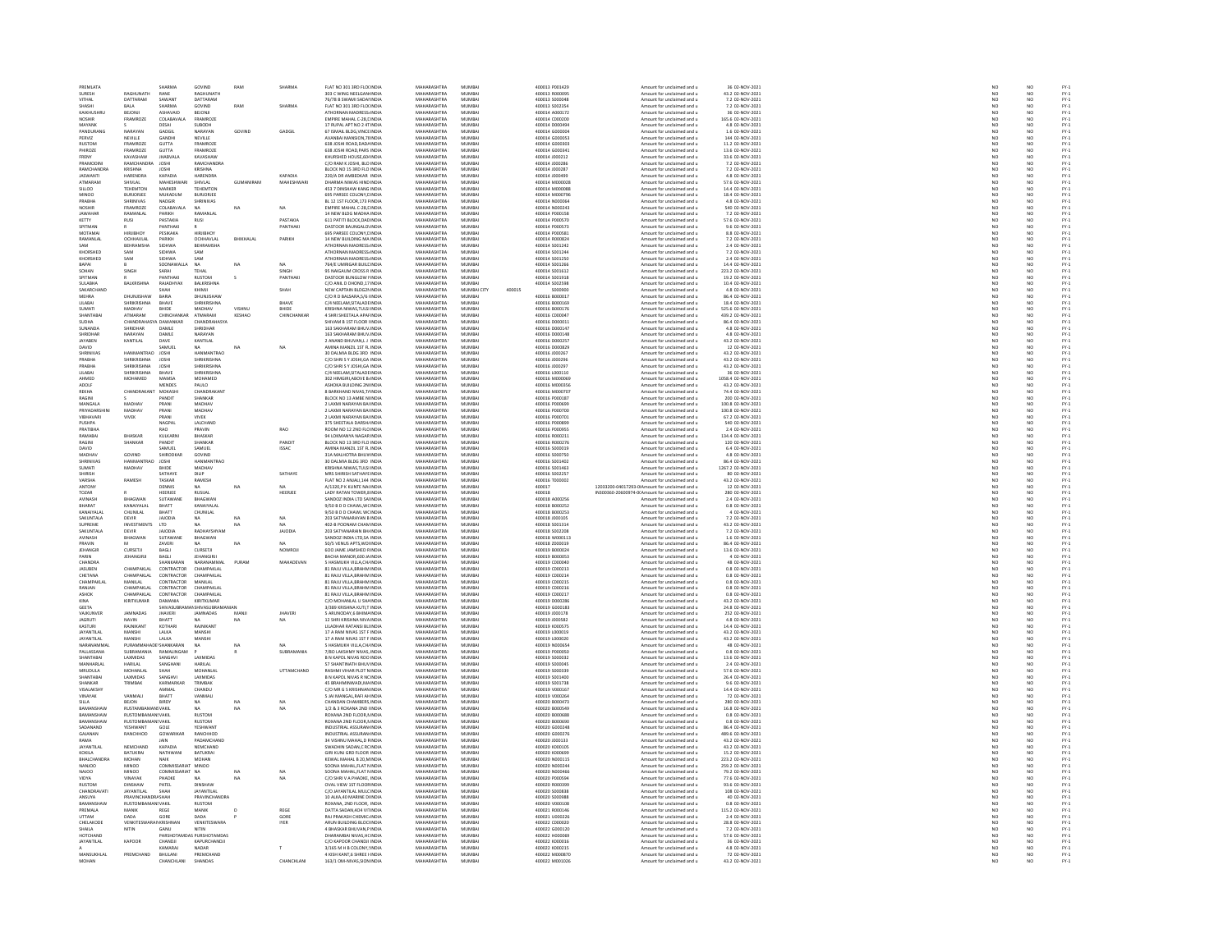| PREMLATA                  |                                  | SHARMA                       | GOVIND                             | RAM           | <b>SHARMA</b>       | FLAT NO 301 3RD FLOUNDIA                                 | MAHARASHTRA                       | MUMBAI           |        | 400013 P001429                   | Amount for unclaimed and u                                                   | 36 02-NOV-2021                        | NO <sub>1</sub>                                          | NO <sub></sub>        |  |
|---------------------------|----------------------------------|------------------------------|------------------------------------|---------------|---------------------|----------------------------------------------------------|-----------------------------------|------------------|--------|----------------------------------|------------------------------------------------------------------------------|---------------------------------------|----------------------------------------------------------|-----------------------|--|
| SURESH                    | <b>ACHIMATL</b>                  | RANE                         | RAGHUNATH<br>DATTARAM              |               |                     | 303 C WING NEELGAN INDI                                  | MAHARASHTRA<br>MAHARASHTRA        | MUMBA            |        | 100013 R00009                    | Amount for unclaimed and u                                                   | 43.2 02-NOV-2021                      | $\frac{1}{N}$                                            |                       |  |
| VITHAL                    | DATTARAM                         | SAWANT                       |                                    |               |                     | 76/78 B SWAMI SADAI INDIA                                |                                   | MUMBAI           |        | 400013 S000048                   | Amount for unclaimed and u                                                   |                                       |                                                          |                       |  |
| SHASHI                    | RAIA                             | SHARMA                       | GOVIND                             | RAM           | SHARMA              | FLAT NO 301 3RD FLOUNDIA                                 | MAHARASHTRA                       | MUMRAL           |        | 400013.5002354                   | Amount for unclaimed and u                                                   | 7.2.02-NOV-2021                       | NO <sub>1</sub>                                          | NO                    |  |
| KAIKHUSHRL                | BEJONJ                           | ASHAVAID                     | BEJONJI                            |               |                     | ATHORNAN MADRESS INDI                                    | MAHARASHTRA                       | MUMBAI           |        | 400014 A000172                   | Amount for unclaimed and u                                                   | 36 02-NOV-2021                        |                                                          |                       |  |
| <b>NOSHIR</b>             | FRAMROZE                         | COLABAVALA                   | FRAMROZE                           |               |                     | EMPIRE MAHAL C-28.L INDIA                                | MAHARASHTRA                       | MUMBAI           |        | 400014 C000200                   | Amount for unclaimed and u                                                   | 165.6 02-NOV-2021                     | NO <sub>1</sub>                                          | NO <sub></sub>        |  |
| MAYANK                    |                                  | DESAI                        | SUBODH                             |               |                     | 17 RUPAL APT NO 2 4T INDI                                | <b>MAHARASHTRA</b>                | MUMBA            |        | 100014 D00049                    | Amount for unclaimed and u                                                   | 4.8 02-NOV-202                        | NO                                                       | NO                    |  |
| PANDURANG                 | NARAYAN                          | GADGIL                       | NARAYAN                            | GOVIND        | GADGIL              | 67 ISMAIL BLDG.VINCE INDIA                               | MAHARASHTRA                       | MUMBAI           |        | 400014 G000004                   | Amount for unclaimed and u                                                   | 1.6 02-NOV-2021                       | NO <sub>1</sub>                                          | NO <sub></sub>        |  |
| PERVIZ                    | NEVILLE                          | GANDH                        | NEVILLE                            |               |                     | VANBAI MANSION, 78 INDL                                  | MAHARASHTRA                       | MUMBAL           |        | 400014 G00005                    | Amount for unclaimed and u                                                   | 144 02-NOV-2021                       |                                                          | NO                    |  |
| <b>RUSTOM</b><br>PHIROZE  | FRAMROZE<br><b>FRAMROZE</b>      | <b>GUTTA</b><br><b>GUTTA</b> | <b>FRAMROZE</b><br><b>FRAMROZE</b> |               |                     | 638 JOSHI ROAD DADA INDIA<br>638 IOSHI BOAD PARS INDIA   | MAHARASHTRA<br>MAHARASHTRA        | MUMBAI<br>MUMRAL |        | 400014 G000303<br>400014 GOOD341 | Amount for unclaimed and u<br>Amount for unclaimed and u                     | 11.2 02-NOV-2021<br>13.6.02-NOV-2021  | NO<br>NO                                                 | NO<br>NO              |  |
| FRENY                     | KAVASHAW                         | <b>JHABVALA</b>              | KAVASHAW                           |               |                     | KHURSHED HOUSE, 604 INDI                                 | MAHARASHTRA                       | MUMBAI           |        | 400014 J000212                   | Amount for unclaimed and u                                                   | 33.6 02-NOV-2021                      | NO                                                       | NO                    |  |
| PRAMODIN                  | RAMCHANDRA                       | <b>JOSHI</b>                 | RAMCHANDRA                         |               |                     | C/O RAM K JOSHI, BLO INDIA                               | MAHARASHTRA                       | MUMBAI           |        | 400014 J000286                   | Amount for unclaimed and u                                                   | 7.2 02-NOV-2021                       | NO                                                       | NO <sub></sub>        |  |
| RAMCHANDRA                | KRISHNA                          | <b>JOSHI</b>                 | KRISHNA                            |               |                     | BLOCK NO 15 3RD FLO INDI                                 | <b>MAHARASHTRA</b>                | MUMBA            |        | 100014 J00028                    | Amount for unclaimed and u                                                   | 7.2 02-NOV-2021                       |                                                          | NO                    |  |
| JASWANTI                  | HARENDRA                         | KAPADIA                      | HARENDRA                           |               | KAPADIA             | 220/A DR AMBEDKAR INDIA                                  | MAHARASHTRA                       | MUMBAI           |        | 400014 J000499                   | Amount for unclaimed and u                                                   | 4.8 02-NOV-2021                       | NO <sub>1</sub>                                          | NO <sub></sub>        |  |
| ATMARAN                   | <b>SHIVLAL</b>                   | <b>MAHESHWA</b>              | SHIVLAL                            | GUMANIRAM     | MAHESHWAR           | DHARMA NIWAS HIND INDI                                   | MAHARASHTRA                       | MUMBAI           |        | 400014 M00002                    | Amount for unclaimed and u                                                   | 57.6 02-NOV-202                       | NO                                                       | NO                    |  |
| <b>SILLOO</b>             | TEHEMTON                         | MARKER                       | TEHEMTON                           |               |                     | 453 7 DINSHAW KANG INDIA                                 | MAHARASHTRA                       | MUMBAI           |        | 400014 M000088                   | Amount for unclaimed and u                                                   | 14.4 02-NOV-2021                      | NO <sub>1</sub>                                          | NO <sub></sub>        |  |
| MINOO                     | <b>BURJORJEE</b>                 | MUKADUN                      | <b>BURIORIES</b>                   |               |                     | <b>95 PARSEE COLONY.C INDIA</b>                          | MAUARASUTRA                       | 5.4115.40.01     |        | CEODAL MODER                     | Amount for unclaimed and u<br>Amount for unclaimed and u                     | 18.4 02-NOV-2021<br>4.8 02-NOV-2021   | NO<br>NO                                                 | NO<br>NO              |  |
| PRABHA                    | <b>SHRINIVAS</b>                 | NADGIR                       | <b>HRINIVAS</b>                    |               |                     | BL 12 1ST FLOOR, 173 FINDL                               | MAHARASHTRA                       | MUMBAL           |        | 100014 N00006                    |                                                                              |                                       |                                                          |                       |  |
| <b>NOSHIR</b>             | FRAMROZE                         | COLABAVALA                   | <b>NA</b>                          | NA            | NA                  | EMPIRE MAHAL C-28.L INDIA                                | MAHARASHTRA                       | MUMBAI           |        | 400014 N000243                   | Amount for unclaimed and u                                                   | 540 02-NOV-2021                       | NO <sub>1</sub>                                          | NO <sub></sub>        |  |
| <b>JAWAHAI</b>            |                                  | PARIKH                       |                                    |               |                     | 14 NEW BLDG MADHA INDI                                   | <b>MAHARASHTRA</b>                | MUMBA            |        | 00014 P00015                     | Amount for unclaimed and u                                                   | 7.2 02-NOV-202                        | NO                                                       | NO                    |  |
| KETTY                     | <b>RUSI</b>                      | PASTAKIA                     | RUSI                               |               | PASTAKIA            | 611 PATITI BLOCK DAD INDIA                               | MAHARASHTRA                       | MUMBAI           |        | 400014 P000570                   | Amount for unclaimed and u                                                   | 57.6 02-NOV-2021                      | NO <sub>1</sub>                                          | NO <sub></sub>        |  |
| SPITMAN                   |                                  | <b>PANTHAK</b>               |                                    |               | PANTHAK             | ASTOOR BAUNGALO INDI                                     | <b>MAHARASHTRA</b>                | MUMBAL           |        | 400014 P00057                    | Amount for unclaimed and u                                                   | 9.6 02-NOV-2021                       | $_{NC}$                                                  | NO                    |  |
| MOTAMAI<br>RAMANLAL       | HIRJIBHOY                        | PESIKAKA<br>PARIKH           | <b>HIRJIBHOY</b>                   |               | PARIKH              | 695 PARSEE COLONY, LINDIA<br>14 NEW BUILDING MA INDI     | MAHARASHTRA<br><b>MAHARACHTRA</b> | MUMBAI<br>MUMBAL |        | 400014 P000581<br>400014 R000824 | Amount for unclaimed and u                                                   | 8.8 02-NOV-2021                       | NO                                                       | NO                    |  |
| SAM                       | OCHHAVLAI<br><b>BEHRAMSHA</b>    | SIDHWA                       | OCHHAVLAI<br>BEHRAMSHA             |               |                     | ATHORNAN MADRESS INDIA                                   | MAHARASHTRA                       | MUMBAI           |        | 400014 S001242                   | Amount for unclaimed and u<br>Amount for unclaimed and u                     | 7.2 02-NOV-2021<br>2.4 02-NOV-2021    | NO<br>NO                                                 | NO<br>NO              |  |
| KHORSHED                  | MAP                              | SIDHWA                       | <b>SAM</b>                         |               |                     | ATHORNAN MADRESS INDIA                                   | MAHARASHTRA                       | MUMRAL           |        | 100014 5001244                   |                                                                              |                                       |                                                          |                       |  |
| KHORSHED                  | SAM                              | <b>SIDHWA</b>                |                                    |               |                     |                                                          | <b>MAHARASHTRA</b>                |                  |        | 100014 S001250                   | Amount for unclaimed and u<br>Amount for unclaimed and u                     | 7.2 02-NOV-2021<br>2.4 02-NOV-2021    | NO<br>NO                                                 | NO<br>NO              |  |
| BAPAI                     |                                  | SOONAWALLA                   | NA                                 | NA            | NA.                 | 764/E UMRIGAR BUILD INDIA                                | MAHARASHTRA                       | MUMBAI           |        | 400014 S001266                   | Amount for unclaimed and u                                                   | 14.4 02-NOV-2021                      | NO <sub>1</sub>                                          | NO <sub></sub>        |  |
| SOHAN                     | <b>SING</b>                      | SARAI                        |                                    |               | SINGH               | 95 NAIGAUM CROSS R INDL                                  | MAHARASHTRA                       | MUMBAL           |        | 400014 S001612                   | Amount for unclaimed and u                                                   | 223.2 02-NOV-202                      | NO                                                       | NO                    |  |
| SPITMAN                   |                                  | PANTHAK                      | <b>RUSTOM</b>                      | $\epsilon$    | PANTHAKI            | DASTOOR BUNGLOW I INDIA                                  | MAHARASHTRA                       | MUMBAI           |        | 400014 S001918                   | Amount for unclaimed and u                                                   | 19.2 02-NOV-2021                      | NO                                                       | NO                    |  |
| SULABHA                   | <b>BALKRISHI</b>                 | RAJADHYAX                    | BALKRISHNA                         |               |                     | C/O ANIL D DHOND, 17 INDIA                               | MAHARASHTRA                       | MUMRAL           |        | 400014 S002598                   | Amount for unclaimed and u                                                   | 10.4 02-NOV-2021                      | NO                                                       |                       |  |
| SAKARCHAND                |                                  | SHAH                         | KHIMJI                             |               | SHAH                | NEW CAPTAIN BLDG2NINDIA                                  | MAHARASHTRA                       | MUMBAI CITY      | 400015 | \$000900                         | Amount for unclaimed and u                                                   | 4.8 02-NOV-2021                       | NO                                                       | NO<br>NO              |  |
| <b>MEHRA</b>              | <b>DHI INIISHAW</b>              | RARIA                        | DHUNISHAW                          |               |                     | C/O R D BALSARA.5/6 I INDIA                              | MAHARASHTRA                       | MUMRAL           |        | 400016 8000017                   | Amount for unclaimed and u                                                   | 86.4 02-NOV-2021                      |                                                          |                       |  |
| LILABAI                   | <b>SHRIKRISHNA</b>               | BHAVE                        | SHRIKRISHNA                        |               | BHAVE               | C/4 NEELAM, SITALADE INDIA                               | MAHARASHTRA                       | MUMBAI           |        | 400016 B00016                    | Amount for unclaimed and u                                                   | 18.4 02-NOV-202                       | $\begin{array}{c}\nN & 0 \\ N & 0 \\ N & 0\n\end{array}$ | NO<br>NO<br>NO        |  |
| SUMATI                    | MADHAV<br>ATMARAM                | BHIDE<br>CHINCHAI            | MADHAV                             | <b>VISHNI</b> | BHIDE               | KRISHNA NIWAS.TULSI INDIA                                | MAHARASHTRA<br><b>MAHARASHTRA</b> | MUMBAI           |        | 400016 8000176                   | Amount for unclaimed and u                                                   | 525.6 02-NOV-2021                     |                                                          |                       |  |
| SHANTABA                  |                                  |                              | ATMARAM                            | KESHAO        |                     | 4 SHRI SHEETALA APAFINDIA                                |                                   | MUMBAI           |        | 400016 C00004                    | Amount for unclaimed and u                                                   | 439.2 02-NOV-2021                     | $_{NC}$                                                  | NO<br>NO              |  |
| SUDHA<br>SUNANDA          | CHANDRAHASYA DAWANKAR<br>HRIDHAR | DAM F                        | CHANDRAHASYA<br>SHRIDHAR           |               |                     | SHIVAM B 1ST FLOOR I INDIA<br>163 SAKHARAM BHUV INDIA    | MAHARASHTRA<br>MAHARASHTRA        | MUMBAI<br>MUMBAL |        | 400016 D000011<br>400016.0000143 | Amount for unclaimed and u<br>Amount for unclaimed and u                     | 86.4 02-NOV-2021<br>4.8 02-NOV-2021   | NO<br>NO                                                 |                       |  |
| SHRIDHAR                  | NARAYAN                          | DAMLE                        | NARAYAN                            |               |                     | 163 SAKHARAM BHUV INDIA                                  | MAHARASHTRA                       | MUMBAI           |        | 400016 D000148                   | Amount for unclaimed and u                                                   | 4.8 02-NOV-2021                       | NO                                                       | NO<br>NO              |  |
| <b>IAVAREN</b>            | KANTILAL                         | <b>DAVE</b>                  | KANTILAL                           |               |                     | 2 ANAND BHUVAN.LJ INDIA                                  | MAHARASHTRA                       | MUMRAL           |        | 400016.0000253                   | Amount for unclaimed and u                                                   | 43.2 02-NOV-2021                      |                                                          | NO <sub>1</sub>       |  |
| DAVID                     |                                  | SAMUEL                       |                                    | NA            | <b>NA</b>           | AMINA MANZIL 1ST FL INDIA                                | MAHARASHTRA                       | MUMBAI           |        | 400016 D000829                   | Amount for unclaimed and u                                                   | 12 02-NOV-2021                        | NO<br>NO                                                 | $\overline{NQ}$       |  |
| <b>SHRINIVAS</b>          | HANMANTRAO                       | <b>IOSHI</b>                 | HANMANTRAO                         |               |                     | 30 DALMIA BLDG 3RD INDIA                                 | MAHARASHTRA                       | MUMRAL           |        | 400016 1000267                   | Amount for unclaimed and u                                                   | 43.2.02-NOV-2021                      |                                                          |                       |  |
| AH<br>PRABHA              | HRIKRISHNA                       |                              | SHRIKRISHNA                        |               |                     | C/O SHRI S Y JOSHI, GA INDI                              | MAHARASHTRA                       | MUMBA            |        | 400016 J00029                    | Amount for unclaimed and u                                                   | 13.2 02-NOV-2021                      | NO<br>NO                                                 | NO<br>NO              |  |
| PRABHA                    | SHRIKRISHNA                      | <b>JOSHI</b>                 | SHRIKRISHNA                        |               |                     | C/O SHRI S Y JOSHI, GA INDIA                             | MAHARASHTRA                       | MUMBAI           |        | 400016 J000297                   | Amount for unclaimed and u                                                   | 43.2 02-NOV-2021                      | NO                                                       | NO                    |  |
| LILABAI                   | HRIKRISHNA                       | RHAVE                        | SHRIKRISHNA                        |               |                     | C/4 NEELAM SITALADE INDIA                                | MAHARASHTRA                       | MUMRAL           |        | 400016 L000110                   | Amount for unclaimed and u                                                   | 36 02-NOV-2021                        | NO                                                       | NO<br>NO              |  |
| AHMED                     | MOHAMED                          | <b>MAMSA</b>                 | MOHAMED                            |               |                     | 302 HIMGIRI, ABOVE B. INDIA                              | MAHARASHTRA                       | MUMBAI           |        | 400016 M000069                   | Amount for unclaimed and u                                                   | 1058.4 02-NOV-2021                    | NO                                                       |                       |  |
| ADOLF                     |                                  | MENDES                       | PALILO                             |               |                     | ASHOKA BUILDING 2N INDIA                                 | MAHARASHTRA                       | MUMRAL           |        | <b>MODIA MODIAS</b>              | Amount for unclaimed and u                                                   | 43.2 02-NOV-2021                      | NO<br>NO                                                 | NO <sub>1</sub>       |  |
| REKHA                     | <b>CHANDRA</b>                   | MOKASH                       | CHANDRAKAN'                        |               |                     | 8 BARKHAND NIVAS, T/ INDIA                               | MAHARASHTRA                       | MUMBAI           |        | 400016 M000707                   | Amount for unclaimed and u                                                   | 74.4 02-NOV-2021                      |                                                          | $\overline{NQ}$       |  |
| RAGINI                    |                                  | PANDIT                       | SHANKAR                            |               |                     | BLOCK NO 13 AMBE N INDIA                                 | MAHARASHTRA                       | MUMRAL           |        | 400016 P000183                   | Amount for unclaimed and u                                                   | 200.02-NOV-2021                       | NO <sub></sub>                                           | NO <sub></sub>        |  |
| MANGALA                   | MADHAV                           | PRANI                        | MADHA\                             |               |                     | 2 LAXMI NARAYAN BAI INDIA                                | MAHARASHTRA                       | MUMBAI           |        | 400016 P000699                   | Amount for unclaimed and u                                                   | 100.8 02-NOV-2021                     | $\overline{NQ}$                                          | $\overline{NQ}$       |  |
| PRIYADARSHIN<br>VIBHAVARI | MADHAV<br>VIVEK                  | PRANI<br>PRANI               | MADHAV<br><b>VIVEK</b>             |               |                     | 2 LAXMI NARAYAN BALINDIA<br>2 LAXMI NARAYAN BAHNDI       | MAHARASHTRA<br>MAHARASHTRA        | MUMBAI<br>MUMBAL |        | 400016 P000700<br>400016 P00070  | Amount for unclaimed and u<br>Amount for unclaimed and u                     | 100.8 02-NOV-2021<br>67.2 02-NOV-202  | NO<br>NO                                                 |                       |  |
| PUSHPA                    |                                  | NAGPAI                       | LALCHAND                           |               |                     | 375 SHEETALA DARSH/ INDIA                                | MAHARASHTRA                       | MUMBAI           |        | 400016 P000899                   | Amount for unclaimed and u                                                   | 540 02-NOV-2021                       | NO                                                       | NO<br>NO<br>NO        |  |
| PRATIBLE                  |                                  | RAO                          | PRAVIN                             |               | <b>RAO</b>          | ROOM NO 12 2ND FLO INDIA                                 | MAHARASHTRA                       | MUMRAL           |        | 400016 P000955                   | Amount for unclaimed and u                                                   | 2.4 02-NOV-2021                       | NO                                                       | NO <sub>1</sub>       |  |
| RAMABAI                   | BHASKAR                          | KULKARN                      | BHASKAR                            |               |                     | 94 LOKMANYA NAGAR INDIA                                  | MAHARASHTRA                       | MUMBAI           |        | 400016 R000211                   | Amount for unclaimed and u                                                   | 134.4 02-NOV-2021                     | $\overline{NQ}$                                          | $\overline{NQ}$       |  |
| RAGINI                    | SHANKAR                          | PANDIT                       | SHANKAR                            |               | PANDIT              | BLOCK NO 13 3RD FLO INDIA                                | MAHARASHTRA                       | MUMRAL           |        | 400016 8000276                   | Amount for unclaimed and u                                                   | 120.02-NOV-2021                       | NO                                                       | NO                    |  |
| DAVID                     |                                  | SAMUE                        | SAMUEL                             |               | ISSAC               | AMINA MANZIL 1ST FL INDI                                 | MAHARASHTRA                       | MUMBAI           |        | 400016 S000019                   | Amount for unclaimed and u                                                   | 6.4 02-NOV-202                        | NO                                                       | NO                    |  |
| MADHAV                    | GOVIND                           | SHIRODKAR                    | GOVIND                             |               |                     | 31A MALHOTRA BHUV INDIA                                  | MAHARASHTRA                       | MUMBAI           |        | 400016 S000750                   | Amount for unclaimed and u                                                   | 4.8 02-NOV-2021                       | NO <sub>1</sub>                                          | NO <sub></sub>        |  |
|                           |                                  | <b>JOSHI</b>                 | HANMANTRAO                         |               |                     | 30 DALMIA BLDG 3RD INDIA                                 | <b>MAHARASHTRA</b>                |                  |        | 400016 S00140                    | Amount for unclaimed and u                                                   | 6.4 02-NOV-2021                       | $\frac{1}{N}$                                            | $\frac{N}{N}$         |  |
| SUMATI                    | MADHAV                           | BHIDE                        | MADHAV                             |               |                     | KRISHNA NIWAS, TULSI INDIA                               | MAHARASHTRA                       | MUMBAI           |        | 400016 S001463                   | Amount for unclaimed and u                                                   | 1267.2 02-NOV-2021                    |                                                          |                       |  |
| <b>SHIRISH</b>            |                                  | SATHAVE                      | <b>DILIP</b>                       |               | SATHAVE             | MRS SHIRISH SATHAYE INDIA                                | MAHARASHTRA                       | MUMRAL           |        | 100016.5002257                   | Amount for unclaimed and u                                                   | 80.02-NOV-2021                        | NO<br>NO                                                 | NO <sub>1</sub>       |  |
| VARSHA                    | RAMESH                           | TASKAR                       | RAMESH                             |               |                     | FLAT NO 2 ANJALI, 144 INDIA                              | MAHARASHTRA                       | MUMBAI           |        | 400016 T000002                   | Amount for unclaimed and u                                                   | 43.2 02-NOV-2021                      |                                                          | $\overline{NQ}$       |  |
| ANTONY<br>TOZAR           |                                  | <b>DENNIS</b><br>HEERJEE     | NΔ<br>RUSIJAL                      | NA            | HEERJEE             | A/1320 P K KUNTE NAUNDIA<br>LADY RATAN TOWER,8 INDM      | MAHARASHTRA<br>MAHARASHTRA        | MUMRAL<br>MUMBAI |        | 400017<br>400018                 | 12033200-04017293-0LAmount for unclaimed and u                               | 12.02-NOV-2021                        | NO<br>NO                                                 | NO<br>NO              |  |
| AVINASH                   | <b>BHAGWAN</b>                   | SUTAWANI                     | BHAGWAN                            |               |                     | SANDOZ INDIA LTD SAI INDIA                               | MAHARASHTRA                       | MUMBAI           |        | 400018 A000256                   | IN300360-20600974-0LAmount for unclaimed and u<br>Amount for unclaimed and u | 280 02-NOV-2021<br>2.4 02-NOV-2021    | NO <sub>1</sub>                                          | NO <sub></sub>        |  |
| BHARAT                    | CANAIYALA                        | BHATT                        | KANAIYALAI                         |               |                     | 9/50 B D D CHAWL, WC INDL                                | <b>MAHARASHTRA</b>                | MUMBA            |        | 400018 B00025                    | Amount for unclaimed and u                                                   | 0.8 02-NOV-2021                       | NO                                                       | NO                    |  |
| KANAIYALA                 | CHUNILAL                         | BHATT                        | CHUNILAL                           |               |                     | 9/50 B D D CHAWL WC INDIA                                | MAHARASHTRA                       | MUMBAI           |        | 400018 B000253                   | Amount for unclaimed and u                                                   | 4 02-NOV-2021                         |                                                          |                       |  |
| SAKUNTALA                 | DEVIR                            | <b>JAJODIA</b>               | $\mathbf{M}$                       | NA            | NA                  | 203 SATYANARAYAN R INDIA                                 | MAHARASHTRA                       | MUMRAL           |        | 100018-000105                    | Amount for unclaimed and u                                                   | 7.2 02-NOV-2021                       | NO<br>NO<br>NO                                           | NO<br>NO              |  |
| SUPREME                   | <b>INVESTMENTS</b>               | <b>LTD</b>                   |                                    | NA            | NA                  | 402-B POONAM CHAM INDIA                                  | MAHARASHTRA                       | MUMBAL           |        | 400018 5001314                   | Amount for unclaimed and u                                                   | 43.2 02-NOV-2021                      |                                                          | $\overline{NQ}$       |  |
| SAKUNTALA                 | <b>DEVIR</b>                     | <b>JAJODIA</b>               | RADHAYSHYAM                        |               | <b>JAJODIA</b>      | 203 SATYANARAIN BH/ INDIA                                | MAHARASHTRA                       | MUMBAI           |        | 400018 S002208                   | Amount for unclaimed and u                                                   | 7.2 02-NOV-2021                       | NO <sub>1</sub>                                          | NO <sub></sub>        |  |
| AVINASH                   | <b>BHAGWAM</b>                   | SUTAWANI                     | BHAGWAN                            |               |                     | SANDOZ INDIA LTD, SA INDI                                | MAHARASHTRA                       | MUMBAI           |        | 400018 W00011                    | Amount for unclaimed and u                                                   | 1.6 02-NOV-2021                       | NO                                                       | NO                    |  |
| PRAVIN                    |                                  | ZAVERI                       | <b>NA</b>                          | NA            | NA <sup>1</sup>     | 50/5 VENUS APTS.WOLINDIA                                 | MAHARASHTRA                       | MUMBAI           |        | 400018 2000019                   | Amount for unclaimed and u                                                   | 86.4 02-NOV-2021                      | NO <sub>1</sub>                                          | NO <sub></sub>        |  |
| JEHANGIP                  | CURSETJI                         | BAGL                         | CURSETJI                           |               | NOWROJ              | 600 JAME JAMSHED RINDL                                   | <b>MAHARASHTRA</b>                | MUMBA            |        | 400019 B000024                   | Amount for unclaimed and u                                                   | 13.6 02-NOV-2021                      |                                                          | NO                    |  |
| PARIN                     | <b>JEHANGIRJI</b>                | BAGLI                        | <b>JEHANGIRJI</b>                  |               |                     | BACHA MANOR 600 JA INDIA                                 | MAHARASHTRA                       | MUMBAI           |        | 400019 B000053                   | Amount for unclaimed and u                                                   | 4 02-NOV-2021                         | NO <sub>1</sub>                                          | NO <sub></sub>        |  |
| <b>CHANDRA</b>            |                                  |                              | NARANAMMA                          |               | MAHADEVAN           | 5 HASMUKH VILLA, CHJ INDI                                | MAHARASHTRA                       | MUMBAL           |        | 400019 C00004                    | Amount for unclaimed and u                                                   | 48 02-NOV-202                         | NO                                                       | NO                    |  |
| JASUBEN<br>CHETANA        | CHAMPAKLAI                       | CONTRACTOR<br>CONTRACTOR     | CHAMPAKLAL<br>CHAMPAKLAL           |               |                     | 81 RAJU VILLA, BRAHM INDIA<br>81 RAJU VILLA BRAHM INDIA  | MAHARASHTRA<br>MAHARASHTRA        | MUMBAI<br>MUMBAI |        | 400019 C000213<br>400019 C000214 | Amount for unclaimed and u<br>Amount for unclaimed and u                     | 0.8 02-NOV-2021<br>0.8 02-NOV-2021    | NO<br>NO                                                 | NO<br>NO              |  |
| CHAMPAKLAI                | CHAMPAKLAL<br>MANILAL            | CONTRACTOR                   | MANILAL                            |               |                     | 81 RAJU VILLA, BRAHM INDIA                               | MAHARASHTRA                       | MUMBAI           |        | 400019 C000219                   |                                                                              | 0.8 02-NOV-2021                       | NO                                                       | NO                    |  |
| RANJAN                    | CHAMPAKLAL                       | CONTRACTOR                   | CHAMPAKLAL                         |               |                     | 81 RAJU VILLA BRAHM INDIA                                | MAHARASHTRA                       | MUMBAI           |        | 400019 C000216                   | Amount for unclaimed and u<br>Amount for unclaimed and u                     | 0.8 02-NOV-2021                       | NO <sub>1</sub>                                          | NO <sub></sub>        |  |
| ASHOK                     | <b>CHAMPAKLA</b>                 | CONTRACTOR                   | CHAMPAKLA                          |               |                     | 81 RAJU VILLA, BRAHM INDI                                | MAHARASHTRA                       | MUMBAI           |        | 400019 C00021                    | Amount for unclaimed and u                                                   | 0.8 02-NOV-202                        | NO                                                       | NO                    |  |
| KINA                      | KIRITKUMAR                       | DAMANIA                      | KIRITKUMAR                         |               |                     | C/O MOHANLAL U SHA INDIA                                 | MAHARASHTRA                       | MUMBAI           |        | 400019 D000286                   | Amount for unclaimed and u                                                   | 43.2 02-NOV-2021                      | NO <sub>1</sub>                                          | NO <sub></sub>        |  |
| GEETA                     |                                  | SHIVASUBR                    | SHIVASUBRAM                        |               |                     | .<br>3/389 KRISHNA KUTI,T INDIA                          | <b>MAHARASHTRA</b>                | MUMBAL           |        | 400019 G000183                   | Amount for unclaimed and u                                                   | 24.8 02-NOV-2021                      | $_{NC}$                                                  |                       |  |
| VAJKUNVER                 | JAMNADAS                         | <b>JHAVERI</b>               | <b>JAMNADAS</b>                    | MANJI         | <b>JHAVERI</b>      | 5 ARUNODAY, 6 BHIMA INDIA                                | MAHARASHTRA                       | MUMBAI           |        | 400019 J000178                   | Amount for unclaimed and u                                                   | 252 02-NOV-2021                       | NO                                                       | $\frac{N}{N}$         |  |
| <b>IAGRUTI</b>            | NAVIN<br>RAJNIKANT               | <b>BHATT</b>                 |                                    | NA            | NA                  | 12 SHRI KRISHNA NIVA INDIA<br>LILADHAR RATANSI BLI INDIA | MAHARASHTRA                       | MUMRAL           |        | 400019 J000582                   | Amount for unclaimed and u<br>Amount for unclaimed and u                     | 4.8 02-NOV-2021<br>14.4 02-NOV-2021   | NO<br>NO                                                 | NO<br>NO              |  |
| KASTURI                   |                                  | KOTHAR                       | RAJNIKANT                          |               |                     |                                                          | <b>MAHARASHTRA</b>                | MUMBAL           |        | 400019 K000575                   |                                                                              |                                       |                                                          |                       |  |
| JAYANTILAL                | MANSHI                           | LALKA                        | MANSHI                             |               |                     | 17 A RAM NIVAS 1ST F INDIA                               | MAHARASHTRA                       | MUMBAI           |        | 400019 L000019                   | Amount for unclaimed and u                                                   | 43.2 02-NOV-2021                      | NO <sub>1</sub>                                          | NO <sub></sub>        |  |
| <b>JAYANTILAL</b>         | MANSHI                           | LALKA                        |                                    |               |                     | 17 A RAM NIVAS 1ST F INDL                                | <b>MAHARASHTRA</b>                | MUMBAL           |        | 400019 L000020                   | Amount for unclaimed and u                                                   | 43.2 02-NOV-2021                      |                                                          | NO                    |  |
| NARANAMMA                 | PURAMMAH<br>URRAMAN              | <b>ADE\SHANKARAN</b>         | <b>NA</b>                          | NA            |                     | 5 HASMUKH VILLA.CHJ INDIA                                | MAHARASHTRA<br>MAHARASHTRA        | MUMBAI           |        | 400019 N000654                   | Amount for unclaimed and u                                                   | 48 02-NOV-2021                        | NO <sub>1</sub>                                          | NO                    |  |
| PALLASSANA                |                                  | RAMALINGAN                   |                                    |               | SUBRAMANIA          | 7/80 LAKSHMY NIVAS, INDI                                 |                                   | MUMBAI           |        | 400019 P000050                   | Amount for unclaimed and u                                                   | 0.8 02-NOV-2021                       | NO                                                       | NO<br>NO              |  |
| SHANTABAI<br>MANHARI AI   | LAXMIDAS<br>HARILAL              | SANGHVI<br>SANGHANI          | LAXMIDAS<br>HARILAL                |               |                     | B N KAPOL NIVAS ROO INDIA<br>57 SHANTINATH BHUV INDIA    | MAHARASHTRA<br>MAHARASHTRA        | MUMBAI<br>MUMRAL |        | 400019 S000032<br>400019 S000049 | Amount for unclaimed and u<br>Amount for unclaimed and u                     | 13.6 02-NOV-2021<br>2.4 02-NOV-2021   | NO<br>NO                                                 |                       |  |
| MRUDULA                   | MOHANLAL                         | SHAH                         | MOHANLAL                           |               | UTTAMCHAND          | RASHMI VIHAR PLOT N INDIA                                | MAHARASHTRA                       | MUMBAI           |        | 400019 S000339                   | Amount for unclaimed and u                                                   | 57.6 02-NOV-2021                      | NO                                                       | NO<br>NO              |  |
| SHANTABAL                 | LAXMIDAS                         | SANGHVI                      | LAXMIDAS                           |               |                     | B N KAPOL NIVAS R NC INDIA                               | MAHARASHTRA                       | MUMBAI           |        | 400019 S001400                   | Amount for unclaimed and u                                                   | 26.4 02-NOV-2021                      | NO <sub>1</sub>                                          | NO <sub></sub>        |  |
| SHANKAR                   | <b>TRIMBAI</b>                   | KARMARKAF                    | TRIMBAR                            |               |                     | 45 BRAHMINWADI, MAINDI                                   | MAHARASHTRA                       | MUMBAI           |        | 400019 S00173                    | Amount for unclaimed and u                                                   | 9.6 02-NOV-202                        | $\overline{\mathsf{NC}}$                                 | NO                    |  |
| VISALAKSHY                |                                  | AMMAL                        | CHANDU                             |               |                     | C/O MR G S KRISHNAN INDIA                                | MAHARASHTRA                       | MUMBAI           |        | 400019 V000167                   | Amount for unclaimed and u                                                   | 14.4 02-NOV-2021                      | NO <sub>1</sub>                                          | NO                    |  |
| VINAYAK                   | VANMAL                           | BHATT                        | VANMAL                             |               |                     | 5 JAI MANGAL, RAFI AH INDIA                              | MAHARASHTRA                       | MUMBAL           |        | 400019 V000264                   | Amount for unclaimed and u                                                   | 72 02-NOV-2021                        | NO                                                       | NO                    |  |
| SILLA                     | BEJON                            | BIRDY                        | NA                                 | NA            | NA                  | CHANDAN CHAMBERS INDIA                                   | MAHARASHTRA                       | MUMBAI           |        | 400020 B000473                   | Amount for unclaimed and u                                                   | 280 02-NOV-2021                       | NO                                                       | NO                    |  |
| RAMANSHAV                 | RUSTAMBAM                        | NSVAKIL                      |                                    | NA            | NA                  | 1/2 & 3 ROXANA 2ND INDIA                                 | MAHARASHTRA                       | MUMRAL           |        | sonnan Roopsa                    | Amount for unclaimed and u                                                   | 16.8 02-NOV-2021                      | NO                                                       | NO<br>NO              |  |
| BAMANSHAW                 | RUSTOMBAMANSVAKIL                |                              | <b>RUSTOM</b>                      |               |                     | ROXANA 2ND FLOOR, NINDIA                                 | MAHARASHTRA                       | MUMBAI           |        | 400020 B000688                   | Amount for unclaimed and u                                                   | 0.8 02-NOV-2021                       | NO                                                       |                       |  |
| RAMANSHAW                 | <b>RUSTOMRAMANSVAKIL</b>         |                              | <b>RUSTOM</b>                      |               |                     | ROXANA 2ND FLOOR NINDH                                   | MAHARASHTRA                       | MUMRAL           |        | 400020 B000690                   | Amount for unclaimed and u                                                   | 0.8 02-NOV-2021                       | NO                                                       | NO <sub>1</sub>       |  |
| SADANAND<br>GAJANAN       | <b>FESHWAN</b><br>RANCHHOD       | GOLE<br>GOWARIKAR            | <b>YESHWANT</b><br>RANCHHOD        |               |                     | INDUSTRIAL ASSURAN INDIA<br>INDUSTRIAL ASSURAN INDIA     | MAHARASHTRA<br>MAHARASHTRA        | MUMBAI<br>MUMBAI |        | 400020 G000248<br>400020 G000276 | Amount for unclaimed and u<br>Amount for unclaimed and u                     | 86.4 02-NOV-2021<br>489.6 02-NOV-2021 | $\overline{NQ}$<br>NO <sub>1</sub>                       | $\overline{NQ}$<br>NO |  |
| <b>DAMA</b>               |                                  |                              | PADAMCHAND                         |               |                     | 34 VISHNU MAHAL, D FINDL                                 | MAHARASHTRA                       | MUMBAI           |        | 400020 J000133                   | Amount for unclaimed and u                                                   | 43.2 02-NOV-202                       | NO                                                       |                       |  |
| <b>JAYANTILAL</b>         | NEMCHAND                         | KAPADIA                      | NEMCHAND                           |               |                     | SWADHIN SADAN,C RC INDIA                                 | MAHARASHTRA                       | MUMBAI           |        | 400020 K00010!                   | Amount for unclaimed and u                                                   | 43.2 02-NOV-2021                      | NO                                                       | NO<br>NO              |  |
| KOKILA                    | RATUKRAL                         | NATHWANI                     | RATUKRAL                           |               |                     | GIRI KUNJ GRD FLOOR INDIA                                | MAHARASHTRA                       | MUMRAL           |        | sonnan konnege                   | Amount for unclaimed and u                                                   | 15.2 02-NOV-2021                      | NO                                                       |                       |  |
| <b>BHALCHANDRA</b>        | <b>MOHAN</b>                     | <b>NAIK</b>                  | MOHAN                              |               |                     | KEWAL MAHAL B 20,M INDIA                                 | MAHARASHTRA                       | MUMBAI           |        | 400020 N000115                   | Amount for unclaimed and u                                                   | 223.2 02-NOV-2021                     | NO                                                       | NO<br>NO              |  |
| NANIOO                    | MINOO                            | COMMISSARIAT MINOO           |                                    |               |                     | SOONA MAHAL FLAT NINDIA                                  | MAHARASHTRA                       | MUMRAL           |        | sonnan Nonnas                    | Amount for unclaimed and u                                                   | 259.2.02-NOV-2021                     | NO                                                       | NO <sub>1</sub>       |  |
| <b>NAJOO</b>              | MINOO                            | COMMISSARIAT NA              |                                    |               |                     | SOONA MAHAL, FLAT N INDIA                                | MAHARASHTRA                       | MUMBAI           |        | 400020 N00046                    | Amount for unclaimed and u                                                   | 79.2 02-NOV-2021                      | $\overline{NQ}$                                          | $\overline{NQ}$       |  |
| <b>VIDYA</b>              | VINAYAK                          | PHADKE                       | NA                                 | NA            | <b>NA</b>           | C/O SHRIV A PHADKE INDIA                                 | MAHARASHTRA                       | MUMBAL           |        | 400020 P000594                   | Amount for unclaimed and u                                                   | 77 6 02-NOV-2021                      |                                                          |                       |  |
| <b>RUSTOM</b>             | <b>MAJCLIAM</b>                  | PATEL                        | DINSHAW                            |               |                     | <b>OVAL VIEW 1ST FLOOF INDIA</b>                         | MAHARASHTRA                       | MUMBAL           |        | econog nconos                    | Amount for unclaimed and u                                                   | 3.6 02-NOV-202                        | NO<br>NO                                                 | NO<br>NO<br>NO        |  |
| CHANDRAVATI               | <b>JAYANTILAL</b>                | SHAH                         | <b>JAYANTILAL</b>                  |               |                     | C/O JAYANTILAL MULC INDIA                                | MAHARASHTRA                       | MUMBAI           |        | 400020 S000838                   | Amount for unclaimed and u                                                   | 108 02-NOV-2021                       | NO                                                       |                       |  |
| ANSLIVA                   | <b>PRAVINCHAI</b>                | <b>DRASHAH</b>               | PRAVINCHANDRA                      |               |                     | 10 ALKA 40 MARINE DI INDIA                               | MAHARASHTRA                       | MUMRAL           |        | snonzo snonges                   | Amount for unclaimed and u                                                   | 40 02-NOV-2021                        | NO                                                       | NO<br>NO              |  |
| BAMANSHAV<br>PREMALA      | <b>RUSTOMB</b><br>MANIK          | <b>ANSVAKIL</b>              | <b>RUSTOM</b><br>MANIK             |               | REGE                | ROXANA, 2ND FLOOR, INDIA<br>DATTA SADAN 404 VITINDIA     | MAHARASHTRA<br>MAHARASHTRA        | MUMBAI<br>MUMRAL |        | 400020 V000108<br>400021 8000146 | Amount for unclaimed and u                                                   | 0.8 02-NOV-2021                       | NO                                                       | N <sub>0</sub>        |  |
|                           |                                  | REGE                         |                                    |               |                     |                                                          |                                   |                  |        |                                  | Amount for unclaimed and u                                                   | 115.2 02-NOV-2021                     | NO                                                       | NO                    |  |
| <b>UTTAM</b><br>CHELAKODE | DADA<br>VENKITESWARAIYKRISHNAM   | GORE                         | DADA<br>VENKITESWARA               |               | GORE<br><b>IYER</b> | RAJ PRAKASH CHEMIC INDIA<br>ARUN BUILDING BLOC INDIA     | MAHARASHTRA<br>MAHARASHTRA        | MUMBAI<br>MUMBAI |        | 400021 U000226<br>400022 C000020 | Amount for unclaimed and u<br>Amount for unclaimed and u                     | 2.4 02-NOV-2021<br>28.8 02-NOV-2021   | NO <sub></sub>                                           | NO <sub></sub>        |  |
| <b>SHAILA</b>             | NITIN                            |                              |                                    |               |                     | 4 BHASKAR BHUVAN,P INDL                                  | <b>MAHARASHTRA</b>                | MUMBA            |        | 400022 G00012                    | Amount for unclaimed and u                                                   | 7.2 02-NOV-2021                       |                                                          |                       |  |
| HOTCHAND                  |                                  | PARSHOTAL                    | VITIN<br>AS PURSHOTAMDAS           |               |                     | DHARAMBAI NIVAS.HC INDIA                                 | MAHARASHTRA                       | MUMBAI           |        | 400022 H000069                   | Amount for unclaimed and u                                                   | 57.6 02-NOV-2021                      | NO                                                       | NO<br>NO              |  |
| JAYANTILAL                | KAPOOR                           | CHANDL                       | KAPURCHANDJI                       |               |                     | C/O KAPOOR CHANDJI INDIA                                 | MAHARASHTRA                       | MUMRAL           |        | 400022 K000016                   | Amount for unclaimed and u                                                   | 36 02-NOV-2021                        | N <sub>0</sub>                                           | $\overline{M}$        |  |
|                           |                                  |                              |                                    |               |                     |                                                          |                                   |                  |        |                                  |                                                                              |                                       |                                                          |                       |  |
|                           |                                  | KAMARAJ                      | NADAR                              |               |                     | 3/165 M H B COLONY.: INDIA                               | MAHARASHTRA                       | MUMBAI           |        | 400022 K000215                   | Amount for unclaimed and u                                                   | 4.8 02-NOV-2021                       | NO <sub></sub>                                           |                       |  |
| MANSUKHLAL                | PREMCHAND                        | RHITANI                      | PREMCHAND                          |               |                     | 4 KISH KANT 6 SHREE HNDIA                                | MAHARASHTRA                       | MUMRAL           |        | 400022 MODORZO                   | Amount for unclaimed and u                                                   | 72 02-NOV-2021                        | N <sub>0</sub>                                           | NO                    |  |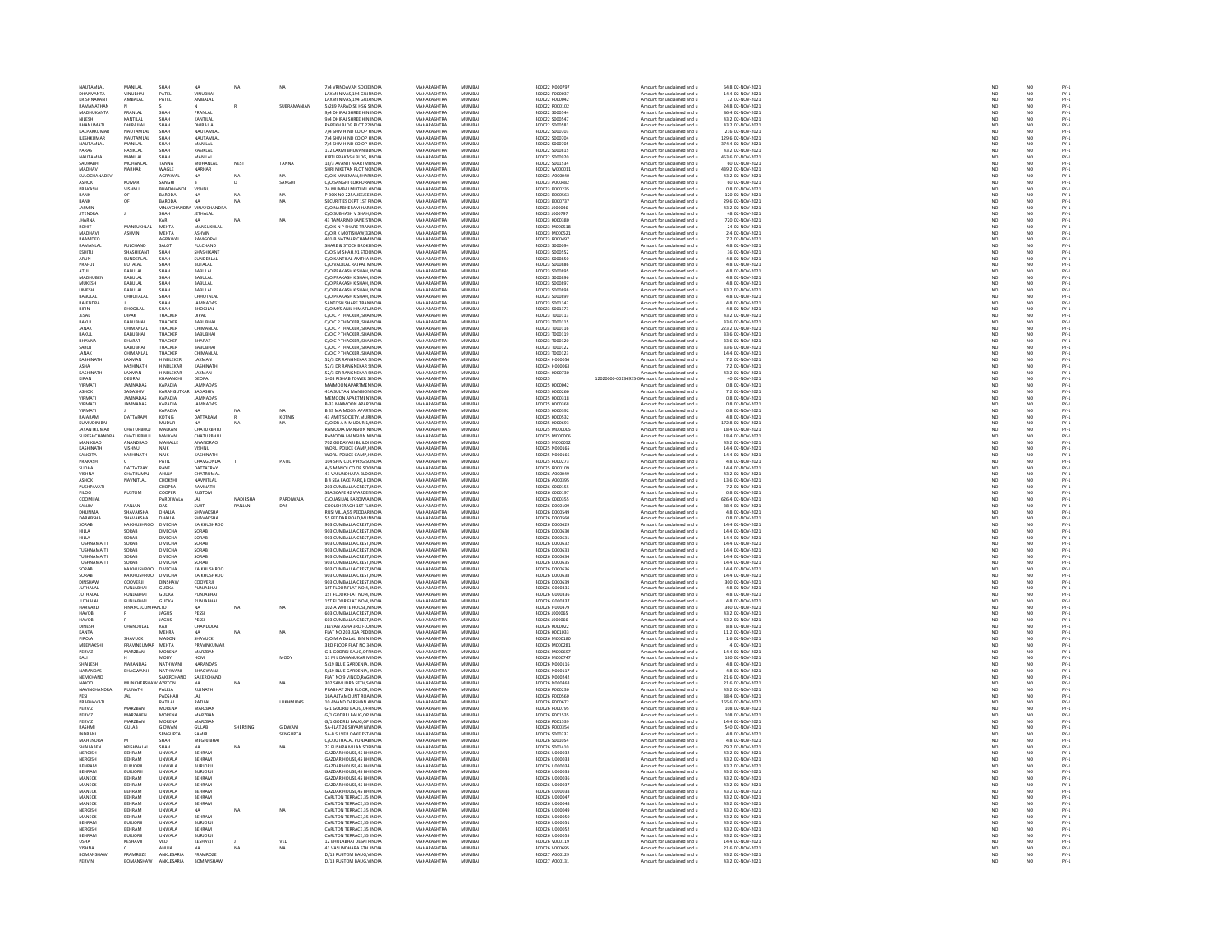| NAUTAMLAL                  | MANILAL                    | SHAH                             | NA                        | NA           | NA               | 7/4 VRINDAVAN SOCIE INDIA                                       | MAHARASHTRA                       | MUMBA                 | 400022 N000797                   | Amount for unclaimed and u                               | 64.8 02-NOV-2021                      | NO <sub>1</sub>          | NO <sub></sub>       |                                                |
|----------------------------|----------------------------|----------------------------------|---------------------------|--------------|------------------|-----------------------------------------------------------------|-----------------------------------|-----------------------|----------------------------------|----------------------------------------------------------|---------------------------------------|--------------------------|----------------------|------------------------------------------------|
| <b>DHANVANTA</b>           |                            | PATE                             |                           |              |                  | LAXMI NIVAS, 194 GUJI IND                                       | <b>MAHARASHTRA</b>                | <b>MUMBA</b>          | 100022 P000037                   | Amount for unclaimed and u                               | 14.4 02-NOV-2021<br>72 02-NOV-2021    | $\frac{1}{N}$            | NO<br>NO             |                                                |
| KRISHNAKAN                 | AMBALAL                    | PATEL                            | AMBALAL                   |              |                  | LAXMI NIVAS.194 GUJ INDIA                                       | MAHARASHTRA                       | MUMBA                 | 400022 P000042                   | Amount for unclaimed and u                               |                                       |                          |                      | FY-3<br>FY-3                                   |
| RAMANATHAM                 |                            |                                  |                           |              | SURRAMANIAN      | 5/289 PARADISE HSG SINDIA                                       | MAHARASHTRA                       | MUMRAI                | 400022.8000102                   | Amount for unclaimed and u                               | 24 8 02-NOV-2021                      | NO                       | NO                   |                                                |
| MADHUKANTA                 | PRANLAI                    | SHAH                             | PRANLAL                   |              |                  | 9/4 DHIRAJ SHREE HIN INDIA                                      | MAHARASHTRA                       | MUMBA                 | 400022 S000544                   | Amount for unclaimed and u                               | 86.4 02-NOV-2021                      | NO                       |                      | FY-3<br>FY-3                                   |
| NILESH                     | KANTILAL                   | SHAH                             | KANTILAL                  |              |                  | 9/4 DHIRAJ SHREE HIN INDIA                                      | MAHARASHTRA                       | MUMBA                 | 400022 S000547                   | Amount for unclaimed and u                               | 43.2 02-NOV-2021                      | NO                       | NO <sub></sub>       | 국 국 국 국 국 국 국 국 국 국 국 국 국<br>조건 조건 조건 조건 조건 조건 |
|                            | DHIRAJLAL                  | SHAH                             | DHIRAJLA                  |              |                  | PAREKH BLDG PLOT 22 INDL                                        | <b>MAHARASHTRA</b>                | MUMBA                 | 400022 S00058                    | Amount for unclaimed and u                               | 43.2 02-NOV-2021                      | NO                       | NO                   |                                                |
| KALPAKKUMAR                | NAUTAMLAL                  | SHAH                             | NAUTAMLAL                 |              |                  | 7/4 SHIV HIND CO OP HNDIA                                       | MAHARASHTRA<br><b>MAHARASHTRA</b> | MUMBA                 | 400022 S000703                   | Amount for unclaimed and u                               | 216 02-NOV-2021                       | NO <sub></sub>           | NO <sub></sub>       |                                                |
| <b>ILESHKUMAF</b>          | NAUTAMLAI                  | .<br>Shah                        | NAUTAMLAL                 |              |                  | 7/4 SHIV HIND CO OP HINDH                                       |                                   | MUMBA                 | 400022 S00070                    | Amount for unclaimed and u                               | 129.6 02-NOV-2021                     | $\overline{\mathbf{M}}$  | NO                   |                                                |
| NAUTAMLAL<br>PARAS         | MANILAL<br>RASIKI AL       | SHAH<br>SHAH                     | MANILAL<br>RASIKI AL      |              |                  | 7/4 SHIV HIND CO OP I INDIA<br>172 LAXMI BHI IVAN BUNDIA        | MAHARASHTRA<br>MAHARASHTRA        | MUMBA<br>MUMRAL       | 400022 S000705<br>400022.5000815 | Amount for unclaimed and u<br>Amount for unclaimed and u | 374.4 02-NOV-2021<br>43.2.02-NOV-2021 | NO<br>NO                 | NO<br>NO             |                                                |
| NAUTAMLA                   | MANILAI                    | SHAH                             | MANILAL                   |              |                  | KIRTI PRAKASH BLDG, I INDIA                                     | <b>MAHARASHTRA</b>                | MUMBA                 | 400022 S000920                   | Amount for unclaimed and u                               | 453.6 02-NOV-2021                     | NO                       | NO                   |                                                |
| SAURABH                    | MOHANLAI                   | TANNA                            | MOHANLAL                  | <b>NEST</b>  | TANNA            | 18/3 AVANTI APARTM INDIA                                        | MAHARASHTRA                       | MUMBA                 | 400022 S001534                   | Amount for unclaimed and u                               | 60 02-NOV-2021                        | NO <sub>1</sub>          | NO <sub></sub>       |                                                |
| MADHAV                     |                            | WAGLE                            | NARHAE                    |              |                  | .<br>IRI NIKETAN PLOT N(INDL                                    | <b>MAHARASHTRA</b>                | MUMBA                 | 400022 W00001:                   | Amount for unclaimed and u                               | 439.2 02-NOV-2021                     |                          | NO                   |                                                |
| SULOCHANADEVI              |                            | AGRAWAL                          | <b>NA</b>                 | NA           |                  | C/O K M NEMAN SHARINDIA                                         | MAHARASHTRA                       | MUMBA                 | 400023 A000040                   | Amount for unclaimed and u                               | 43.2 02-NOV-2021                      | NO                       | NO <sub></sub>       |                                                |
|                            | KUMAR                      | SANGH                            |                           |              | SANGH            | C/O SANGHI CORPORA INDI                                         | <b>MAHARASHTRA</b>                | MUMBA                 | 400023 A00048                    | Amount for unclaimed and u                               | 60 02-NOV-2021                        | NO                       | NO                   |                                                |
| PRAKASH                    | VISHNU                     | BHATKHANDE                       | VISHNU                    |              |                  | 24 MUMBAI MUTUAL INDIA                                          | MAHARASHTRA                       | MUMBA                 | 400023 B000239                   | Amount for unclaimed and u                               | 0.8 02-NOV-2021                       | NO                       | NO                   |                                                |
| RANK                       |                            | BARODA                           |                           |              |                  |                                                                 | MAHARASHTRA                       | MUMRAL                |                                  | Amount for unclaimed and u                               | 120 02-NOV-2021<br>29.6 02-NOV-2021   |                          |                      |                                                |
| BANK                       |                            | BARODA                           |                           | NA           | NA<br>NA         | P BOX NO 225A JEEJEE INDIA<br>SECURITIES DEPT 1ST FINDIA        | MAHARASHTRA                       | MUMBA                 | 400023 B000563<br>400023 B000737 | Amount for unclaimed and u                               |                                       | NO<br>NO                 | NO<br>NO             |                                                |
| <b>JASMIN</b>              |                            |                                  | VINAYCHANDRA VINAYCHANDRA |              |                  | C/O NARBHERAM HAR INDIA                                         | MAHARASHTRA                       | MUMBA                 | 400023 J000046                   | Amount for unclaimed and u                               | 43.2 02-NOV-2021                      | NO                       | NO <sub></sub>       |                                                |
| <b>JITENDR</b>             |                            |                                  | <b>JETHALAL</b>           |              |                  | C/O SUBHASH V SHAH IND                                          | <b>MAHARASHTRA</b>                | MUMBA                 | 400023 J00079                    | Amount for unclaimed and u                               | 48 02-NOV-2021                        | $\overline{\mathsf{NC}}$ | NO                   | PY-1<br>PY-1<br>PY-1<br>PY-1                   |
| <b>JHARNA</b>              |                            | KAR                              | <b>NA</b>                 | NA           | NA               | 43 TAMARIND LANE.51 INDIA                                       | MAHARASHTRA                       | MUMBA                 | 400023 K000380                   | Amount for unclaimed and u                               | 720 02-NOV-2021                       | NO <sub>1</sub>          | NO                   |                                                |
| ROHIT                      | MANSUKHI                   | MEHT/                            | MANSUKHLAL                |              |                  | C/O K N P SHARE TRANINDU                                        | <b>MAHARASHTRA</b>                | MUMBA                 | 400023 M000518                   | Amount for unclaimed and u                               | 24 02-NOV-2021                        | $_{NC}$                  | NO                   |                                                |
| MADHAVI                    | ASHVIN                     | MEHTA                            | ASHVIN                    |              |                  | C/O R K MOTISHAW, 3. INDIA                                      | MAHARASHTRA                       | MUMBA                 | 400023 M000521                   | Amount for unclaimed and u                               | 2.4 02-NOV-2021                       | NO                       | NO                   |                                                |
| RAAMDEO                    |                            | AGRAWAL                          | RAMGOPA                   |              |                  | 401-B NATWAR CHAM INDU                                          | MAHARASHTRA                       | MUMRAL                | 400023 R000497                   | Amount for unclaimed and u                               | 7.2 02-NOV-2021                       | NO                       | NO<br>NO             |                                                |
| RAMANLAI                   | <b>FULCHAND</b>            | SALOT                            | <b>FULCHAND</b>           |              |                  | SHARE & STOCK BROKHNDIA                                         | MAHARASHTRA                       | MUMBA                 | 400023 S000094                   | Amount for unclaimed and u                               | 4.8 02-NOV-2021                       | NO                       |                      |                                                |
| KSHITIL                    | SHASHIKANT                 | SHAH                             | SHASHIKANT                |              |                  | C/O S M SHAH 91 STOUNDIA                                        | MAHARASHTRA                       | MUMRAL                | 400023 S000552                   | Amount for unclaimed and u                               | 36 02-NOV-2021                        | NO<br>NO                 | NO<br>NO             |                                                |
| ARUN                       | UNDERLAL                   |                                  | <b>UNDERLAL</b>           |              |                  | O KANTILAL AMTHA IND                                            | <b>MAHARASHTRA</b>                | MUMBA                 | 400023 S000850                   | Amount for unclaimed and u                               | 4.8 02-NOV-2021                       |                          |                      |                                                |
| PRAFUL                     | <b>BUTALAL</b>             | SHAH                             | <b>BUTALAL</b>            |              |                  | C/O VADILAL RAJPAL N INDIA                                      | MAHARASHTRA<br><b>MAUARASUTRA</b> | MUMBA<br><b>MUAGA</b> | 400023 S000886                   | Amount for unclaimed and u                               | 4.8 02-NOV-2021                       | NO <sub>1</sub>          | NO                   |                                                |
| <b>ATUL</b>                | <b>A 1110</b>              | SHAH                             | BABULAL                   |              |                  | C/O PRAKASH K SHAH, INDU                                        |                                   |                       | 400023 S000895                   | Amount for unclaimed and u                               | 4.8 02-NOV-2021                       | NO                       | NO                   |                                                |
| <b>MADHUBEN</b>            | <b>BABULAL</b>             | SHAH                             | BABULAL<br>RABULAL        |              |                  | C/O PRAKASH K SHAH, INDIA<br>.<br>C/O PRAKASH K SHAH, INDIA     | MAHARASHTRA<br>MAHARASHTRA        | MUMBA<br>MUMRAL       | 400023 S000896<br>400023 S000897 | Amount for unclaimed and u                               | 4.8 02-NOV-2021                       | NO                       | NO                   |                                                |
| MUKESH                     | BABULAL                    | SHAH                             |                           |              |                  |                                                                 |                                   |                       |                                  | Amount for unclaimed and u                               | 4.8 02-NOV-2021                       | NO                       | NO<br>NO             | PY-1<br>PY-1<br>PY-1<br>PY-1                   |
| <b>UMESH</b><br>RABI II AI | <b>BABULAL</b><br>CHHOTALA | SHAH<br>.<br>Чидн                | BABULAL<br>CHHOTAL AL     |              |                  | C/O PRAKASH K SHAH, INDIA<br>C/O PRAKASH K SHAH INDIA           | MAHARASHTRA<br>MAHARASHTRA        | MUMBA<br>MUMRAL       | 400023 S000898<br>400023 S000899 | Amount for unclaimed and u<br>Amount for unclaimed and u | 43.2 02-NOV-2021<br>4.8.02-NOV-2021   | NO<br>NO                 | N <sub>0</sub>       |                                                |
| RAJENDRA                   |                            | SHAH                             | <b>JAMNADAS</b>           |              |                  | SANTOSH SHARE TRAN INDU                                         | <b>MAHARASHTRA</b>                | MUMBA                 | 400023 S001142                   |                                                          | 4.8 02-NOV-2021                       | $\overline{NQ}$          |                      |                                                |
| RIPIN                      | <b>BHOGILAL</b>            | SHAH                             | <b>BHOGILAL</b>           |              |                  | C/O M/S ANIL HIMATL INDIA                                       | MAHARASHTRA                       | MUMBA                 | 400023 S001173                   | Amount for unclaimed and u<br>Amount for unclaimed and u | 4.8 02-NOV-2021                       | NO                       | $\frac{N}{N}$        |                                                |
| JESAI                      | DIPAK                      | THACKEI                          | DIPAK                     |              |                  | C/O C P THACKER, SHA INDU                                       | MAHARASHTRA                       | MUMBA                 | 400023 T000113                   | Amount for unclaimed and u                               | 43.2 02-NOV-2021                      | NO                       |                      | FY-1<br>FY-1<br>FY-1<br>FY-1                   |
| <b>BAKUL</b>               | <b>BABUBHAI</b>            | THACKER                          | BABUBHAI                  |              |                  | C/O C P THACKER, SHA INDIA                                      | MAHARASHTRA                       | MUMBA                 | 400023 T000115                   | Amount for unclaimed and u                               | 33.6 02-NOV-2021                      | NO                       | NO<br>NO             |                                                |
| <b>JANAK</b>               | CHIMANI AL                 | THACKER                          | CHIMANI AI                |              |                  | C/O C P THACKER SHAINDIA                                        | MAHARASHTRA                       | MUMRAL                | 400023-T000116                   | Amount for unclaimed and u                               | 223.2 02-NOV-2021                     | NO                       | NO <sub>1</sub>      |                                                |
| <b>BAKUL</b>               | <b>BABUBHAI</b>            | THACKER                          | BABUBHAI                  |              |                  | C/O C P THACKER, SHA INDIA                                      | MAHARASHTRA                       | MUMBA                 | 400023 T000119                   | Amount for unclaimed and u                               | 33.6 02-NOV-2021                      | NO                       | NO                   | FY-1<br>FY-1<br>FY-1<br>FY-1                   |
| RHAVNA                     | RHARAT                     | THACKER                          | RHARAT                    |              |                  | C/O C P THACKER SHAINDIA                                        | MAHARASHTRA                       | MUMRAL                | 400023-T000120                   | Amount for unclaimed and u                               | 33.6.02-NOV-2021                      | NO                       | N <sub>0</sub>       |                                                |
| SAROJ                      | BABUBHA                    | THACKER                          | BABUBHA                   |              |                  | C/O C P THACKER, SHA INDIA                                      | MAHARASHTRA                       | MUMBA                 | 400023 T000122                   | Amount for unclaimed and u                               | 33.6 02-NOV-2021                      | $\overline{NQ}$          | $\overline{NQ}$      |                                                |
| JANAK                      | CHIMANLA                   | THACKER                          | CHIMANLAL                 |              |                  | C/O C P THACKER, SHA INDIA                                      | MAHARASHTRA                       | MUMBA                 | 400023 T000123                   | Amount for unclaimed and u                               | 14.4 02-NOV-2021                      |                          |                      |                                                |
| KASHINATH                  | <b>LAXMAN</b>              | HINDLEKER                        | <b>LAXMAN</b>             |              |                  | 52/3 DR RANGNEKAR ! INDI                                        | MAHARASHTRA                       | MUMRAL                | 400024 HODDOS                    | Amount for unclaimed and u                               | 7.2 02-NOV-2021                       | NO<br>NO                 | NO<br>NO             | FY-1<br>FY-1<br>FY-1<br>FY-1                   |
| ASHA                       | KASHINATI                  | HINDLEKAR                        | KASHINATH                 |              |                  | 52/3 DR RANGNEKAR 5 INDIA                                       | MAHARASHTRA                       | MUMBA                 | 400024 H000063                   | Amount for unclaimed and u                               | 7.2 02-NOV-2021                       | NO                       | NO                   |                                                |
| KASHINATI                  | <b>LAXMAN</b>              | HINDI FKAR                       | <b>LAXMAN</b>             |              |                  | 52/3 DR RANGNEKAR SINDIA                                        | MAHARASHTRA                       | MUMRAL                | 400024 K000730                   | Amount for unclaimed and u                               | 43.2 02-NOV-2021                      | NO                       | NO <sub>1</sub>      |                                                |
| KIRAN                      | DEORAL                     | KHAJANCHI                        | DEORAL                    |              |                  | 1403 RISHAB TOWER SINDM                                         | MAHARASHTRA                       | MUMBAI                | 400025                           | 12020000-00134925-0IAmount for unclaimed and u           | 40 02-NOV-2021                        | $\overline{NQ}$          | $\overline{NQ}$      |                                                |
| VIRMATI                    | <b>IAMNADAS</b>            | KAPADIA                          | <b>IAMNADAS</b>           |              |                  | ΜΑΙΜΟΟΝ ΑΡΑΒΤΜΕΝ ΙΝΟΙΑ                                          | MAHARASHTRA                       | MUMRAL                | 400025 K000042                   | Amount for unclaimed and u                               | 0.8.02-NOV-2021                       | NO                       | NO                   |                                                |
| ASHOK                      | SADASHIV                   | KARANGUT                         | SADASHIV                  |              |                  | 41A SULTAN MANSION INDIA                                        | MAHARASHTRA                       | MUMBA                 | 400025 K000260                   | Amount for unclaimed and u                               | 7.2 02-NOV-2021                       | NO                       | NO                   |                                                |
| VIRMATI                    | JAMNADAS                   | KAPADIA                          | JAMNADAS                  |              |                  | MEMOON APARTMEN INDIA                                           | MAHARASHTRA                       | MUMBA                 | 400025 K000318                   | Amount for unclaimed and u                               | 0.8 02-NOV-2021                       | NO <sub>1</sub>          | NO.                  | FY-1<br>FY-1<br>FY-1<br>FY-1                   |
| VIRMATI                    |                            | KAPADIA                          | JAMNADAS                  |              |                  | B-33 MAIMOON APAR INDU                                          | MAHARASHTRA                       | MUMBA                 | 400025 K000361                   | Amount for unclaimed and u                               | 0.8 02-NOV-2021                       | NO                       | NO                   |                                                |
| VIRMATI<br>RAIARAM         | DATTARAM                   | KAPADIA<br>KOTNIS                | DATTARAM                  | $\mathsf{R}$ | KOTNIS           | <b>B 33 MAIMOON APAR' INDIA</b><br>43 AMIT SOCIETY MURINDIA     | MAHARASHTRA<br>MAHARASHTRA        | MUMBA<br>MUMRAL       | 400025 K000392<br>400025 KOODS32 | Amount for unclaimed and u<br>Amount for unclaimed and u | 0.8 02-NOV-2021<br>4.8 02-NOV-2021    | NO<br>NO                 | NO<br>NO             | FY-1<br>FY-1<br>FY-1                           |
| KUMUDINIBA                 |                            | MUDUR                            |                           | <b>NA</b>    | NA               | C/O DR A N MUDUR, 1, INDU                                       | <b>MAHARASHTRA</b>                | MUMBA                 | 400025 K000693                   |                                                          | 172.8 02-NOV-2021                     | NO                       | NO                   |                                                |
| <b>JAYANTKUMAR</b>         | <b>CHATURRHUI</b>          | MAI KAN                          | CHATURRHUI                |              |                  | RAMODIA MANSION NINDIA                                          | MAHARASHTRA                       | MUMRAI                | 400025 MODDOS                    | Amount for unclaimed and u<br>Amount for unclaimed and u | 18.4.02-NOV-2021                      | NO <sub>1</sub>          | NO                   |                                                |
| SURESHCHANDR               | CHATURBHUJ                 | MALKAN                           | CHATURBHUJ                |              |                  | RAMODIA MANSION N INDIA                                         | MAHARASHTRA                       | MUMBA                 | 400025 M00000                    | Amount for unclaimed and u                               | 18.4 02-NOV-2021                      | NO                       | NO                   | FY-3<br>FY-3                                   |
| MANIKRAO                   | ANANDRAD                   | MAHALLE                          | ANANDRAO                  |              |                  | 702 GODAVARI BUILDI INDIA                                       | MAHARASHTRA                       | MUMBA                 | 400025 M000052                   | Amount for unclaimed and u                               | 43.2 02-NOV-2021                      | NO                       | NO <sub></sub>       |                                                |
| KASHINATI                  | VISHNU                     |                                  | <b>ASHNU</b>              |              |                  | WORLI POLICE CAMP, HND                                          | <b>MAHARASHTRA</b>                | MUMBA                 | 400025 N00016                    | Amount for unclaimed and u                               | 14.4 02-NOV-2021                      | NO                       | NO                   | FY-1<br>FY-1<br>FY-1<br>FY-1                   |
| SANGITA                    | KASHINATH                  | NAIK                             | KASHINATH                 |              |                  | WORLI POLICE CAMP.HNDIA                                         | MAHARASHTRA                       | MUMBA                 | 400025 N000166                   | Amount for unclaimed and u                               | 14.4 02-NOV-2021                      | NO <sub>1</sub>          | NO <sub></sub>       |                                                |
| RAKASH                     |                            |                                  | HAVGONDA                  |              | PATI             | 104 SHIV COOP HSG SCINDIA<br>A/S MANOJ CO OP SOLINDIA           | MAHARASHTRA<br>MAHARASHTRA        | MUMBA                 | 400025 P000273                   | Amount for unclaimed and u                               | 4.8 02-NOV-2021<br>14.4 02-NOV-2021   | NO<br>NO                 | $\frac{N}{N}$        |                                                |
| SUDHA                      | DATTATRAY                  | PATIL<br>RANE                    | DATTATRAY                 |              |                  |                                                                 |                                   | MUMBA                 |                                  | Amount for unclaimed and u                               |                                       |                          |                      |                                                |
| VISHNA                     | CHATRUMAL                  | AHUJA                            | CHATRUMAL                 |              |                  | 41 VASUNDHARA BLD(INDIA                                         | MAHARASHTRA                       | MUMBA                 | 400026 A000049                   | Amount for unclaimed and u                               | 43.2 02-NOV-2021                      | NO                       | NO <sub></sub>       |                                                |
| ASHOK                      | NAVNITLAL                  | <b>CHOKSE</b>                    | NAVNITLAL                 |              |                  | <b>B 4 SEA FACE PARK, B C INDU</b>                              | <b>MAHARASHTRA</b>                | MUMBA                 | 400026 A00039                    | Amount for unclaimed and u                               | 13.6 02-NOV-2021                      | NO                       | NO                   |                                                |
| PUSHPAVATI                 |                            | CHOPRA                           | RAMNATH                   |              |                  | 203 CUMBALLA CREST INDIA                                        | MAHARASHTRA                       | MUMBA                 | 400026 C000155                   | Amount for unclaimed and u                               | 7.2 02-NOV-2021                       | NO <sub>1</sub>          | NO <sub></sub>       |                                                |
| PILOO                      | <b>RUSTON</b>              | COOPER                           | <b>RUSTOM</b>             |              |                  | <b>SEA SCAPE 42 WARDEI INDI</b>                                 | <b>MAHARASHTRA</b>                | MUMBA                 | 400026 C00019                    | Amount for unclaimed and u                               | 0.8 02-NOV-2021                       |                          | NO                   |                                                |
| COOMUAL                    |                            | PARDIWALA                        | JAL                       | NADIRSHA     | PARDIWALA        | C/O JASI JAL PARDIWA INDIA                                      | MAHARASHTRA                       | MUMBA                 | 400026 C000355                   | Amount for unclaimed and u                               | 626.4 02-NOV-2021                     | NO <sub>1</sub>          | NO                   |                                                |
| SANJIV                     | PANJAN                     | DAS                              | SHIT                      | RANJAN       | DAS              | COOLSHERAGH 1ST FL INDIA                                        | <b>MAUARASUTRA</b>                | MUMRAL                | 400026 D00010                    | Amount for unclaimed and u                               | 38.4 02-NOV-2021                      | NO                       | NO                   |                                                |
| DHUNMAI                    | SHAVAKSHA                  | DHALLA                           | SHAVAKSHA                 |              |                  | RUSI VILLA, 55 PEDDAR INDIA                                     | MAHARASHTRA                       | MUMBA                 | 400026 D000549                   | Amount for unclaimed and u                               | 4.8 02-NOV-2021                       | NO<br>NO                 | NO<br>NO             |                                                |
| <b>DARABSHA</b>            | SHAVAKSHA                  | DHALLA                           | SHAVAKSHA                 |              |                  | 55 PEDDAR ROAD MULINDIA                                         | MAHARASHTRA                       | MUMBA                 | 400026 D000560                   | Amount for unclaimed and u                               | 0.8 02-NOV-2021                       |                          |                      |                                                |
| SORAB<br><b>HILLA</b>      | KAIKHUSH<br>SORAB          | <b>DIVECHA</b><br><b>DIVECHA</b> | KAIKHUSHROC<br>SORAB      |              |                  | 903 CUMBALLA CREST, INDU<br>903 CUMBALLA CREST INDIA            | MAHARASHTRA<br>MAHARASHTRA        | MUMBA<br>MUMBA        | 400026 D000629<br>400026 D000630 | Amount for unclaimed and u<br>Amount for unclaimed and u | 14.4 02-NOV-2021<br>14.4 02-NOV-2021  | NO<br>NO <sub>1</sub>    | NO<br>NO <sub></sub> |                                                |
|                            | SORAB                      | <b>DIVECHA</b>                   | SORAB                     |              |                  | 903 CUMBALLA CREST IND                                          | <b>MAHARASHTRA</b>                | MUMBA                 | 400026 D00063                    | Amount for unclaimed and u                               | 14.4 02-NOV-2021                      | $_{NC}$                  |                      |                                                |
| TUSHNAMAIT                 | SORAB                      | <b>DIVECHA</b>                   | SORAB                     |              |                  | 903 CUMBALLA CREST INDIA                                        | MAHARASHTRA                       | MUMBA                 | 400026 D000632                   | Amount for unclaimed and u                               | 14.4 02-NOV-2021                      | NO <sub>1</sub>          | NO<br>NO             |                                                |
| TUSHNAMAIT                 | SORAB                      | <b>DIVECHA</b>                   | SORAB                     |              |                  | 903 CUMBALLA CREST INDU                                         | <b>MAHARASHTRA</b>                | MUMBA                 | 400026 D000633                   | Amount for unclaimed and u                               | 14.4 02-NOV-2021                      | NO                       |                      |                                                |
| TUSHNAMAITI                | SORAB                      | DIVECHA                          | SORAB                     |              |                  | 903 CUMBALLA CREST, INDIA                                       | MAHARASHTRA                       | MUMBA                 | 400026 D000634                   | Amount for unclaimed and u                               | 14.4 02-NOV-2021                      | NO                       | NO<br>NO             |                                                |
| <b>TUSHNAMAIT</b>          | SORAR                      | <b>DIVECHA</b>                   | SORAR                     |              |                  | 903 CUMBALLA CREST INDIA                                        | MAHARASHTRA                       | MUMRAL                | sannos ponnes                    | Amount for unclaimed and u                               | 14.4 02-NOV-2021                      | NO                       | NO <sub>1</sub>      |                                                |
| SORAB                      | KAIKHUSHROC                | DIVECHA                          | KAIKHUSHROC               |              |                  | 903 CUMBALLA CREST INDIA                                        | MAHARASHTRA                       | MUMBA                 | 400026 D000636                   | Amount for unclaimed and u                               | 14.4 02-NOV-2021                      | NO                       |                      |                                                |
| SORAB                      | KAIKHUSHROO DIVECHA        |                                  | KAIKHUSHROO               |              |                  | 903 CUMBALLA CREST INDIA                                        | MAHARASHTRA                       | MUMBA                 | 400026 D000638                   | Amount for unclaimed and u                               | 14.4 02-NOV-2021                      | NO <sub>1</sub>          | NO<br>NO             |                                                |
| <b>DINSHAV</b>             | COOVERJI                   | <b>DINSHAW</b>                   | COOVERJI                  |              |                  | 903 CUMBALLA CREST INDI                                         | <b>MAHARASHTRA</b>                | MUMBA                 | 400026 D00063                    | Amount for unclaimed and u                               | 300 02-NOV-2021                       | $_{NC}$                  | NO                   |                                                |
| <b>JUTHALAL</b>            | PUNJABHAI                  | <b>GUDKA</b>                     | PUNJABHAI                 |              |                  | 1ST FLOOR FLAT NO 4, INDIA                                      | MAHARASHTRA                       | MUMBA                 | 400026 G000335                   | Amount for unclaimed and u                               | 4.8 02-NOV-2021                       | NO                       | NO                   |                                                |
| <b>JUTHALAL</b>            | PUNJABHAI                  | <b>GUDKA</b>                     | PUNJABHA                  |              |                  | 1ST FLOOR FLAT NO 4, INDIA                                      | MAHARASHTRA                       | MUMBA                 | 400026 G00033                    | Amount for unclaimed and u                               | 4.8 02-NOV-2021                       | NO                       | NO                   | 기 구 구 구 구 구 구 구 구<br>- 스 스 스 스 스 스 스           |
| <b>JUTHALAL</b>            | PUNJABHAI                  | <b>GUDKA</b>                     | PUNJABHAI                 |              |                  | 1ST FLOOR FLAT NO 4, INDIA                                      | MAHARASHTRA                       | MUMBA                 | 400026 G000337                   | Amount for unclaimed and u                               | 4.8 02-NOV-2021                       | NO                       | NO                   |                                                |
| HARVARD                    | FINANCECOMPANLTD           |                                  |                           |              | NA               | 102-A WHITE HOUSE. NINDIA                                       | MAHARASHTRA                       | MUMRAL                | 400026 HODGA?                    | Amount for unclaimed and u                               | 360 02-NOV-2021                       | NO                       | NO <sub>1</sub>      |                                                |
| <b>HAVOBI</b>              |                            | JAGUS                            | PESSI                     |              |                  | 603 CUMBALLA CREST INDIA                                        | MAHARASHTRA                       | MUMBA                 | 400026 J000065                   | Amount for unclaimed and u                               | 43.2 02-NOV-2021                      | NO                       | $\overline{NQ}$      |                                                |
| HAVORI                     | CHANDULA                   | <b>IAGUS</b>                     | PFSSI                     |              |                  | 603 CUMBALLA CREST INDIA                                        | MAHARASHTRA<br>MAHARASHTRA        | MUMRAL<br>MUMBA       | 400026 1000066<br>100026 K00002  | Amount for unclaimed and u                               | 43.2.02-NOV-2021                      | NO<br>NO                 | NO<br>NO             | FY-1<br>FY-1<br>FY-1<br>FY-1                   |
| KANTA                      |                            | KAJI<br><b>MEHRA</b>             | CHANDULAI                 | NA           | NA               | FLAT NO 203,42A PEDI INDIA                                      | MAHARASHTRA                       | MUMBA                 | 400026 K001033                   | Amount for unclaimed and u                               | 8.8 02-NOV-2021<br>11.2 02-NOV-2021   | NO                       | NO                   |                                                |
| PIROIA                     | SHAVUCK                    | MADON                            | NA<br>SHAVLICK            |              |                  | C/O M A DALAL, BIN N INDIA                                      | MAHARASHTRA                       | MUMRAL                | 400026 M000180                   | Amount for unclaimed and u                               | 1.6 02-NOV-2021                       | NO                       |                      |                                                |
| MEENAKSH                   | PRAVINKUMAR MEHTA          |                                  | PRAVINKUMAR               |              |                  | 3RD FLOOR FLAT NO 3 INDIA                                       | MAHARASHTRA                       | MUMBA                 | 400026 M000281                   | Amount for unclaimed and u                               | 4 02-NOV-2021                         | NO                       | NO<br>NO             |                                                |
| PERVIZ                     | MARZBAN                    | MORENA                           | MARZRAN                   |              |                  | G-1 GODREJ BAUG.OFI INDIA                                       | MAHARASHTRA                       | MUMRAL                | 400026 MODDER                    | Amount for unclaimed and u                               | 14.4 02-NOV-2021                      |                          |                      |                                                |
| KALI                       |                            | MODY                             | HOMI                      |              | MODY             | 11 M L DAHANUKAR N INDIA                                        | MAHARASHTRA                       | MUMBA                 | 400026 M00074                    | Amount for unclaimed and u                               | 180 02-NOV-2021                       | NO<br>NO                 | NO<br>NO             | FY-3<br>FY-3                                   |
| <b>SHAILESH</b>            | NARANDAS                   | NATHWANI                         | NARANDAS                  |              |                  | 5/19 BLUE GARDENIA INDIA                                        | MAHARASHTRA                       | MUMRAI                | 400026 N000116                   | Amount for unclaimed and u                               | 4.8.02-NOV-2021                       | NO <sub>1</sub>          | NO                   |                                                |
| NARANDA:                   | BHAGWANJI                  | NATHWANI                         | BHAGWANJI                 |              |                  | 5/19 BLUE GARDENIA, INDU                                        | MAHARASHTRA                       | MUMBAI                | 400026 N00011                    | Amount for unclaimed and u                               | 4.8 02-NOV-2021                       | NO                       |                      |                                                |
| NEMCHAND                   |                            | SAKERCHAND                       | SAKERCHAND                |              |                  | FLAT NO 9 VINOD, RAG INDIA                                      | MAHARASHTRA                       | MUMBA                 | 400026 N000242                   | Amount for unclaimed and u                               | 21.6 02-NOV-2021                      | NO                       | NO<br>NO             |                                                |
| NAIOO                      | MUNCHERSHAW AYRTON         |                                  |                           | NA           | NA               | 302 SAMUDRA SETH S. INDU                                        | MAHARASHTRA                       | MUMRAL                | 400026 NO0046                    | Amount for unclaimed and u                               | 21.6 02-NOV-2021                      | NO                       | NO<br>NO             | FY-1<br>FY-1<br>FY-1<br>FY-1                   |
| NAVINCHANDRA               | RUJNATH                    | PALEJA                           | RUJNATH                   |              |                  | PRABHAT 2ND FLOOR, INDIA                                        | MAHARASHTRA                       | MUMBA                 | 400026 P000230                   | Amount for unclaimed and u                               | 43.2 02-NOV-2021                      | NO                       |                      |                                                |
| <b>PFSI</b>                |                            | PADSHAH                          | <b>IAI</b>                |              |                  | 164 ALTAMOUNT ROA INDIA                                         | MAHARASHTRA                       | MUMRAL                | 400026 POODS60                   | Amount for unclaimed and u                               | 38.4.02-NOV-2021                      | NO                       | NO <sub>1</sub>      |                                                |
| PRABHAVAT                  |                            | RATILAL                          | RATILAL                   |              | <b>LUKHMIDAS</b> | 10 ANAND DARSHAN AINDIA                                         | MAHARASHTRA                       | MUMBA                 | 400026 P000672                   | Amount for unclaimed and u                               | 165.6 02-NOV-2021                     | NO                       | NO                   | FY-)<br>FY-)                                   |
| PERVIZ                     | MAR7RAN                    | MORENA                           | MARZRAN                   |              |                  | G-1 GODREJ BAUG OFUNDIA                                         | MAHARASHTRA                       | MUMRAL                | 400026 P000795                   | Amount for unclaimed and u                               | 108.02-NOV-2021                       | NO <sub>1</sub>          | NO                   | FY-3<br>FY-3                                   |
| PERVIZ                     | <b>MARZABEN</b>            | MORENA                           | MARZBAN                   |              |                  | G/1 GODREJ BAUG, OP INDU                                        | MAHARASHTRA                       | MUMBA                 | 400026 P00153                    | Amount for unclaimed and u                               | 108 02-NOV-2021                       | NO                       | NO                   |                                                |
| PERVIZ                     | MARZBAN                    | MORENA                           | MARZBAN                   |              |                  | G/1 GODREJ BAUG.OP INDIA                                        | MAHARASHTRA                       | MUMBA                 | 400026 P001539                   | Amount for unclaimed and u                               | 14.4 02-NOV-2021                      | NO <sub>1</sub>          | NO <sub></sub>       |                                                |
|                            | GULAB                      | <b>SENGUPTA</b>                  | GULAB                     | SHERSING     |                  | A-FLAT 26 SHYAM NIND                                            | MAHARASHTRA<br>MAHARASHTRA        | MUMBA                 | 100026 R00035                    | Amount for unclaimed and u                               | 540 02-NOV-2021                       | $\frac{1}{N}$            | NO<br>NO             | FY-3<br>FY-3<br>FY-3                           |
| INDRANI<br>MAHENDRA        | M                          | SHAH                             | SAMIR<br><b>MEGHIRHAI</b> |              | SENGUPTA         | <b>5A-B SILVER OAKE EST. INDIA</b><br>C/O ILITHALAL PUNJAFINDIA | MAHARASHTRA                       | MUMBA<br>MUMRAL       | 400026 S000232<br>400026.5001054 | Amount for unclaimed and u<br>Amount for unclaimed and u | 4.8 02-NOV-2021<br>4.8 02-NOV-2021    | NO                       | N <sub>0</sub>       |                                                |
|                            |                            |                                  |                           |              | NA               | 22 PUSHPA MILAN SOFINDM                                         | <b>MAHARASHTRA</b>                | MUMBAI                | 400026 S001410                   |                                                          | 79.2 02-NOV-2021                      | $\overline{NQ}$          | $\overline{NQ}$      | FY-)<br>FY-)                                   |
| SHAILABEN<br>NERGISH       | KRISHNALA<br>BEHRAM        | SHAH<br>UNWALA                   | NA<br>BEHRAM              | NA           |                  | GAZDAR HOUSE.45 BH INDIA                                        | MAHARASHTRA                       | MUMBA                 | 400026 U000032                   | Amount for unclaimed and u<br>Amount for unclaimed and u | 43.2 02-NOV-2021                      | NO <sub>1</sub>          | NO <sub></sub>       |                                                |
| NERGISH                    | BEHRAN                     | UNWALA                           | BEHRAM                    |              |                  | GAZDAR HOUSE, 45 BH INDIA                                       | MAHARASHTRA                       | MUMBA                 | 400026 U00003                    | Amount for unclaimed and u                               | 43.2 02-NOV-2021                      | NO                       | NO                   |                                                |
| BEHRAM                     | <b>BURJORJI</b>            | UNWALA                           | <b>BURJORJI</b>           |              |                  | GAZDAR HOUSE.45 BH INDIA                                        | MAHARASHTRA                       | MUMBA                 | 400026 U000034                   | Amount for unclaimed and u                               | 43.2 02-NOV-2021                      | NO <sub>1</sub>          | NO <sub></sub>       |                                                |
| BEHRAN                     |                            | UNWALA                           | <b>BURJORJ</b>            |              |                  | GAZDAR HOUSE, 45 BH IND                                         | <b>MAHARASHTRA</b>                | MUMBA                 | 400026 U00003                    | Amount for unclaimed and u                               | 43.2 02-NOV-2021                      | NO                       | NO                   |                                                |
|                            |                            |                                  | BEHRAM                    |              |                  | GAZDAR HOUSE.45 BH INDIA                                        | MAHARASHTRA                       | MUMBA                 | 400026 U000036                   | Amount for unclaimed and u                               | 43.2 02-NOV-2021                      |                          |                      |                                                |
|                            | <b>BURJORJ</b>             |                                  |                           |              |                  |                                                                 |                                   | MUMRAL                | 400026 U000033                   | Amount for unclaimed and u                               | 43.2 02-NOV-2021                      | NO <sub>NO</sub>         | NO<br>NO             |                                                |
| MANECK<br>MANECK           | BEHRAM<br>REHRAN           | UNWALA<br><b>INWALA</b>          | REHRAM                    |              |                  | GAZDAR HOUSE 45 BH INDIA                                        | MAHARASHTRA                       |                       |                                  |                                                          |                                       |                          |                      |                                                |
| MANECK                     | BEHRAN                     | UNWALA                           | BEHRAM                    |              |                  | GAZDAR HOUSE, 45 BH INDIA                                       | MAHARASHTRA                       | MUMBA                 | 400026 U00003                    | Amount for unclaimed and u                               |                                       | NO                       |                      |                                                |
| MANECK                     | BEHRAM                     | UNWALA                           | BEHRAM                    |              |                  | CARLTON TERRACE.35 INDIA                                        | MAHARASHTRA                       | MUMBA                 | 400026 U000047                   | Amount for unclaimed and u                               | 43.2 02-NOV-2021<br>43.2 02-NOV-2021  | NO <sub>1</sub>          | NO<br>NO <sub></sub> | FY-1<br>FY-1<br>FY-1<br>FY-1<br>FY-1           |
| MANECK                     | <b>BEHRAM</b>              | UNWALA                           | BEHRAM                    |              |                  | CARLTON TERRACE, 35 INDL                                        | <b>MAHARASHTRA</b>                | MUMBA                 | 400026 U00004                    | Amount for unclaimed and u                               | 43.2 02-NOV-2021                      | NO                       |                      |                                                |
| NERGISH                    | BEHRAM                     | UNWALA                           | <b>NA</b>                 | NA           | NA               | CARLTON TERRACE.35 INDIA                                        | MAHARASHTRA                       | MUMBA                 | 400026 U000049                   | Amount for unclaimed and u                               | 43.2 02-NOV-2021                      | NO <sub></sub>           | NO<br>NO <sub></sub> |                                                |
| MANECH                     | BEHRAN                     | <b>JNWALA</b>                    | BEHRAM                    |              |                  | CARLTON TERRACE, 35 INDL                                        | <b>MAHARASHTRA</b>                | MUMBA                 | 400026 U00005                    | Amount for unclaimed and u                               | 43.2 02-NOV-2021                      |                          |                      |                                                |
| BEHRAM                     | <b>BURJORJI</b>            | UNWALA                           | <b>BURJORJI</b>           |              |                  | CARLTON TERRACE.35 INDIA                                        | MAHARASHTRA                       | MUMBA                 | 400026 U000051                   | Amount for unclaimed and u                               | 43.2 02-NOV-2021                      | NO <sub></sub>           | NO                   | FY-1<br>FY-1<br>FY-1<br>FY-1                   |
| NERGISH                    | BEHRAN                     |                                  |                           |              |                  | CARLTON TERRACE, 35 INDM                                        | <b>MAUARACUTRA</b>                | MUMBA                 | 400026 U000052                   | Amount for unclaimed and                                 |                                       |                          |                      |                                                |
| BEHRAN                     | <b>BURJORJI</b>            | .<br>UNWALA                      | BEHRAM<br>BURJORJI        |              |                  | CARLTON TERRACE, 35 INDIA                                       | MAHARASHTRA                       | MUMBA                 | 400026 U00005                    | Amount for unclaimed and u                               | 43.2 02-NOV-2021<br>43.2 02-NOV-2021  | NO<br>NO                 |                      | FY-1<br>FY-1                                   |
| <b>USHA</b>                | KESHAVJI                   | VED                              | KESHAVJI                  |              | VED              | 12 BHULABHAI DESAI FINDIA                                       | MAHARASHTRA                       | MUMBA                 | 400026 V000119                   | Amount for unclaimed and u                               | 14.4 02-NOV-2021                      | NO <sub></sub>           | NO                   |                                                |
| VISHNA<br>BOMANSHAW        | FRAMROZE                   | ANKLESARIA                       | FRAMROZE                  | NA           |                  | 41 VASUNDHARA STH INDIA<br>D/13 RUSTOM BAUG \ INDIA             | <b>MAHARASHTRA</b><br>MAHARASHTRA | MUMBA<br>MUMBA        | 400026 V000695<br>400027 A000129 | Amount for unclaimed and u<br>Amount for unclaimed and u | 21.6 02-NOV-2021<br>43.2 02-NOV-2021  | NO <sub>1</sub>          | NO                   | FY-3<br>FY-3<br>FY-3                           |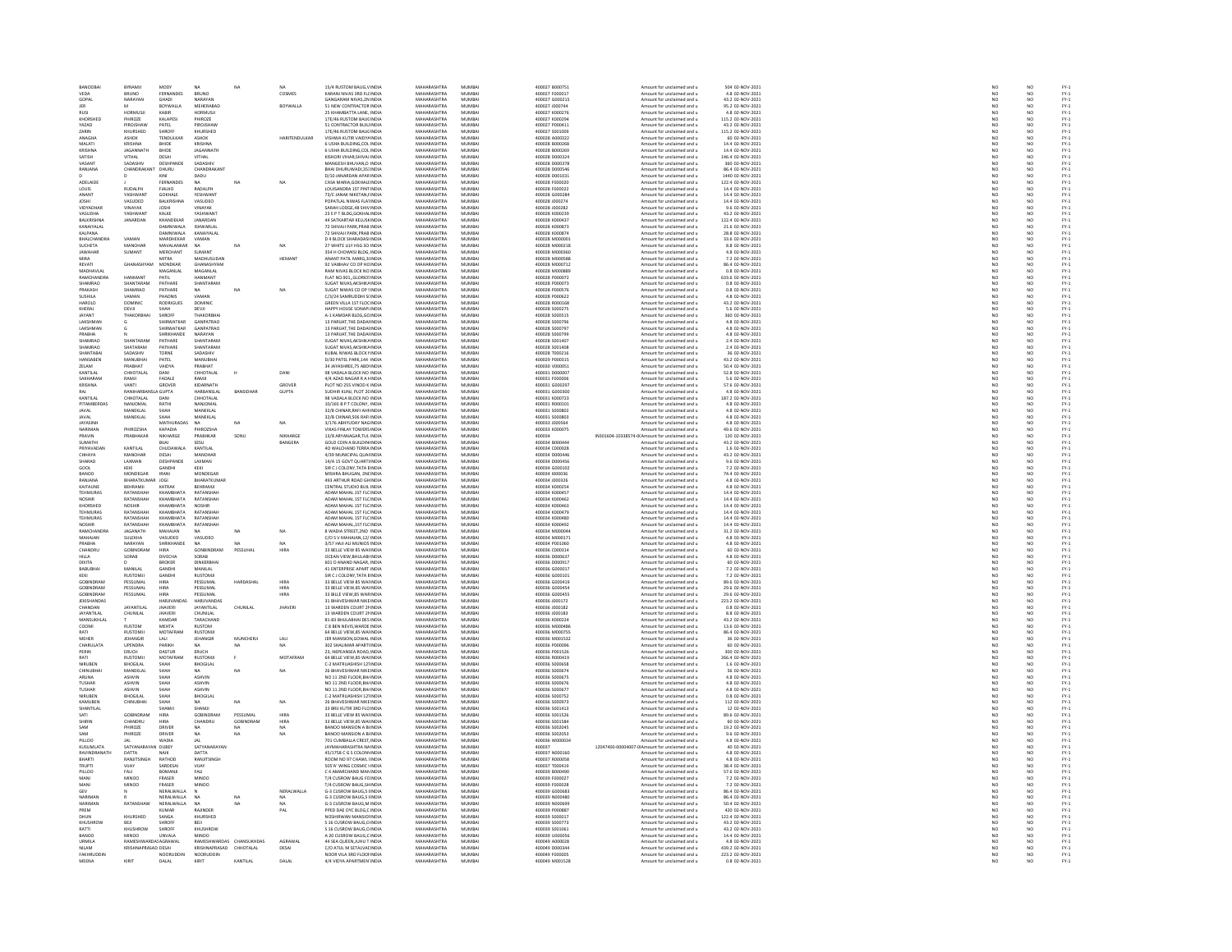| BANOOBAL                         | BYRAMJI                       | MODY                          | <b>NA</b>                               | NA        | NA              | 15/4 RUSTOM BAUG.V INDIA                                  | MAHARASHTRA                       | MUMBAI           | 400027 8000751                   | Amount for unclaimed and u                                                   | 504 02-NOV-2021                       | NO <sub>1</sub>                | NO <sub></sub>       |                                                                        |
|----------------------------------|-------------------------------|-------------------------------|-----------------------------------------|-----------|-----------------|-----------------------------------------------------------|-----------------------------------|------------------|----------------------------------|------------------------------------------------------------------------------|---------------------------------------|--------------------------------|----------------------|------------------------------------------------------------------------|
|                                  | BRUNO<br>NARAYAN              | FERNANDES                     | BRUNO                                   |           | COSMES          | CARANI NIVAS 3RD FLCINDI                                  | <b>MAHARASHTRA</b>                | WUMBA            | 400027 F00001                    | Amount for unclaimed and u                                                   | 4.8 02-NOV-2021<br>43.2 02-NOV-2021   | $\frac{1}{N}$                  |                      | FY-3<br>FY-3                                                           |
| GOPAL                            |                               | GHADI                         | NARAYAN                                 |           |                 | GANGARAM NIVAS, 2N INDU                                   | MAHARASHTRA                       | MUMBA            | 400027 G000219                   | Amount for unclaimed and u                                                   |                                       |                                |                      |                                                                        |
| <b>IFR</b>                       |                               | BOYWALLA                      | MEHERARAD                               |           | <b>BOYWALLA</b> | 51 NEW CONTRACTOR INDIA                                   | MAHARASHTRA                       | MUMRAL           | 400027 1000744                   | Amount for unclaimed and u                                                   | 95.2.02-NOV-2021                      | NO                             | NO                   | FY-3<br>FY-3                                                           |
| <b>RUS</b>                       | <b>HORMUSI</b>                | KABIR                         | <b>HORMUSJ</b>                          |           |                 | 25 KHAMBATTA LANE, INDU                                   | <b>MAHARASHTRA</b>                | MUMBA            | 400027 K000276                   | Amount for unclaimed and u                                                   | 4.8 02-NOV-2023                       |                                |                      |                                                                        |
| KHORSHED                         | PHIROZE                       | KALAPESI                      | PHIROZE                                 |           |                 | 17E/46 RUSTOM BAUC INDIA                                  | MAHARASHTRA                       | MUMBAI           | 400027 K000294                   | Amount for unclaimed and u                                                   | 115.2 02-NOV-2021                     | NO <sub></sub>                 | NO <sub></sub>       | PY-1<br>PY-1<br>PY-1<br>PY-1                                           |
| YAZAD                            | PIROJSHA                      | PATEL                         |                                         |           |                 | 51 CONTRACTOR BUILINDL                                    | <b>MAHARASHTR</b>                 | MUMBA            | 400027 P000411                   | Amount for unclaimed and u                                                   | 43.2 02-NOV-2023                      | NO                             | NO                   |                                                                        |
| ZARIN<br><b>ANAGH</b>            | KHURSHED<br>ASHOK             | SHROFF<br>TENDULKA            | KHURSHED<br>ASHOK                       |           | HARITENDULKAR   | 17E/46 RUSTOM BAUC INDIA<br>VISHWA KUTIR VAIDYA INDU      | MAHARASHTRA<br><b>MAHARASHTRA</b> | MUMBAI<br>MUMBAI | 400027 S001009<br>400028 A000322 | Amount for unclaimed and u<br>Amount for unclaimed and u                     | 115.2 02-NOV-2021<br>60 02-NOV-202:   | NO <sub></sub>                 | NO <sub></sub>       |                                                                        |
| MALATI                           | <b>KRISHNA</b>                | RHIDE                         | KRISHNA                                 |           |                 | 6 USHA BUILDING, COL INDIA                                | MAHARASHTRA                       | MUMBAI           | 400028 B000268                   | Amount for unclaimed and u                                                   | 14.4 02-NOV-2021                      |                                | NO                   |                                                                        |
| KRISHNA                          | <b>IAGANNATH</b>              | <b>BHIDE</b>                  | <b>IAGANNATH</b>                        |           |                 | 6 USHA BUILDING COLINDIA                                  | MAHARASHTRA                       | MUMRAL           | 400028 B000265                   | Amount for unclaimed and u                                                   | 14.4.02-NOV-2021                      | NO<br>NO                       | NO<br>NO             |                                                                        |
| <b>SATISH</b>                    | VITHAL                        | DESAI                         | VITHAL                                  |           |                 | KISHORI VIHAR, SHIVAJ INDI                                | <b>MAHARASHTRA</b>                | MUMBA            | 400028 D00032                    | Amount for unclaimed and u                                                   | 146.4 02-NOV-202:                     | NO                             | NO                   |                                                                        |
| VASANT                           | SADASHIV                      | DESHPANDE                     | SADASHIV                                |           |                 | MANGESH BHUVAN.D INDIA                                    | MAHARASHTRA                       | MUMBAI           | 400028 D000378                   | Amount for unclaimed and u                                                   | 360 02-NOV-2021                       | NO <sub>1</sub>                | NO <sub></sub>       |                                                                        |
| RANJANA                          | CHANDRAK                      | DHURU                         | CHANDRAKANT                             |           |                 | BHAI DHURUWADI,353 INDL                                   | <b>MAHARASHTRA</b>                | MUMBA            | 400028 D00054                    | Amount for unclaimed and u                                                   | 86.4 02-NOV-2021                      |                                | NO                   | PY-1<br>PY-1<br>PY-1<br>PY-1                                           |
|                                  |                               | KINI                          | DADU                                    |           |                 | D/10 JANARDAN APAR INDIA                                  | MAHARASHTRA                       | MUMBAI           | 400028 D001031                   | Amount for unclaimed and u                                                   | 1440 02-NOV-2021                      | NO <sub>1</sub>                | NO <sub></sub>       |                                                                        |
| ADELAIDE                         |                               | FERNANDES                     |                                         |           | NA              | CASA MARIA, GOKHALE INDI                                  | MAHARASHTRA                       | MUMBA            | 400028 F00002                    | Amount for unclaimed and u                                                   | 122.4 02-NOV-202:                     | $_{NC}$                        | NO                   |                                                                        |
| LOUIS                            | RUDALPH                       | FIALHO                        | RADALPH                                 |           |                 | LOUISANDRA 1ST PINT INDIA                                 | MAHARASHTRA                       | MUMBAI           | 400028 F000022                   | Amount for unclaimed and u                                                   | 14.4 02-NOV-2021                      | NO                             | NO                   |                                                                        |
| ANANT                            | VASHWANT                      | <b>GOKHALE</b>                | <b>YESHMANT</b>                         |           |                 | 73/C JANAK NIKETAN, INDIA<br>POPATLAL NIWAS FLAI INDIA    | MAHARASHTRA                       | MUMRAL           | 400028 GOODS                     | Amount for unclaimed and u                                                   | 14.4 02-NOV-2021<br>14.4 02-NOV-2021  | NO<br>NO                       | NO<br>NO             |                                                                        |
| <b>JOSHI</b>                     | VASUDEO                       | <b>BALKRISHN</b>              | VASUDEO                                 |           |                 |                                                           | MAHARASHTRA                       | MUMBA            | 400028 J00027                    | Amount for unclaimed and u                                                   |                                       |                                |                      |                                                                        |
| VIDYADHAF                        | VINAYAK                       | <b>JOSHI</b>                  | VINAYAK                                 |           |                 | SARAH LODGE 48 SHIV INDIA                                 | MAHARASHTRA                       | MUMBAI           | 400028 J000282                   | Amount for unclaimed and u                                                   | 9.6 02-NOV-2021                       | NO <sub>1</sub>                | NO <sub></sub>       | 52<br>52<br>52<br>52                                                   |
| VASUDHA                          | <b>ASHWANT</b>                | KALKE                         | YASHWAN                                 |           |                 | 23 E P T BLDG, GOKHALIND                                  | <b>MAHARASHTRA</b>                | MUMBA            | 400028 K00023                    | Amount for unclaimed and u                                                   | 43.2 02-NOV-202:                      | $\overline{\mathsf{NC}}$       | NO                   |                                                                        |
| <b>BALKRISHNA</b><br>KANAIYALAL  | JANARDAN                      | KHANDEKAR<br>DAMNIWALA        | JANARDAN<br><b>ISHWARI AI</b>           |           |                 | 44 SATKARTAR KELUS# INDIA                                 | MAHARASHTRA<br><b>MAHARASHTRA</b> | MUMBAI<br>MUMRAL | 400028 K000437<br>400028 K000873 | Amount for unclaimed and u                                                   | 122.4 02-NOV-2021<br>21.6 02-NOV-2021 | NO <sub>1</sub><br>NO          | NO                   |                                                                        |
| KALPANA                          |                               | <b>DAMNIWALA</b>              | KANAIYALAL                              |           |                 | 2 SHIVAJI PARK, PRAB INDU<br>72 SHIVAJI PARK, PRAB INDIA  | MAHARASHTRA                       | MUMBAI           | 400028 K000874                   | Amount for unclaimed and u<br>Amount for unclaimed and u                     | 28.8 02-NOV-2021                      | NO                             | NO<br>NO             |                                                                        |
| HAI CHANDRA                      | VAMAN                         | MARDHEKAR                     | VAMAN                                   |           |                 | D 4 BLOCK SHARADASHNDM                                    | MAHARASHTRA                       | MUMRAL           | 400028 MODDO                     | Amount for unclaimed and u                                                   | 33.6 02-NOV-2021                      | NO                             |                      |                                                                        |
| SUCHETA                          | MANOHAR                       | MAVALANKAR                    | <b>NA</b>                               | NA        | NA              | 27 WHITE LILY HSG SO INDU                                 | MAHARASHTRA                       | MUMBAI           | 400028 M000218                   | Amount for unclaimed and u                                                   | 8.8 02-NOV-2021                       | NO                             | NO<br>NO             |                                                                        |
| <b>IAWAHAR</b>                   | SUMANT                        | MERCHANT                      | <b>SUMANT</b>                           |           |                 |                                                           | MAHARASHTRA                       | MUMRAL           | 400028 MODDRE                    |                                                                              | 4.8 02-NOV-2021                       |                                |                      |                                                                        |
|                                  |                               |                               | <b>MADHUSUDAI</b>                       |           | <b>HEMAN</b>    | 354 H CHOWKSI BLDG, INDIA<br>ANANT PATIL MARG, 31 INDIA   | MAHARASHTRA                       | MUMBA            | 00028 M00058                     | Amount for unclaimed and u<br>Amount for unclaimed and u                     | 7.2 02-NOV-2021                       | NO<br>NO                       | NO<br>NO             | FY-1<br>FY-1<br>FY-1<br>FY-1                                           |
| REVATI                           | GHANASHYAM                    | <b>MONDKAR</b>                | GHANASHYAM                              |           |                 | 92 VAIBHAV CO OP HC INDIA                                 | MAHARASHTRA                       | MUMBAI           | 400028 M000712                   | Amount for unclaimed and u                                                   | 86.4 02-NOV-2021                      | NO <sub>1</sub>                | NO                   |                                                                        |
| MADHAVLAI                        |                               | MAGANLAI                      | MAGANIAL                                |           |                 | AM NIVAS BLOCK NO INDU                                    | <b>MAUARACUTRA</b>                | MUMBAI           | 400028 M00088                    | Amount for unclaimed and u                                                   | 0.8 02-NOV-2021                       | NO                             | NO<br>NO             |                                                                        |
| <b>RAMCHANDRA</b>                | <b>HANMAN</b>                 | PATIL                         | HANMANT                                 |           |                 | FLAT NO.901, GLORIO! INDIA                                | MAHARASHTRA                       | MUMBAI           | 400028 P000072                   | Amount for unclaimed and u                                                   | 633.6 02-NOV-2021                     | NO                             |                      |                                                                        |
| SHAMRAO                          | SHANTARAM                     | PATHARE                       | SHANTARAM                               |           |                 | SUGAT NIVAS AKSHIKA INDIA                                 | MAHARASHTRA                       | MUMRAL           | 400028 P000073                   | Amount for unclaimed and u                                                   | 0.8 02-NOV-2021                       | NO                             | NO<br>NO             | FY-3<br>FY-3                                                           |
| PRAKASH                          | SHAMRAO                       | PATHARE                       | <b>NA</b>                               | NA        | NA              | SUGAT NIWAS CO OP ! INDIA                                 | MAHARASHTRA                       | MUMBAI           | 400028 P000576                   | Amount for unclaimed and u                                                   | 0.8 02-NOV-2021                       | NO                             |                      |                                                                        |
| SLISHILA                         | VAMAN                         | PHADNIS                       | VAMAN                                   |           |                 | C/3/24 SAMRUDDHLSUNDIA                                    | MAHARASHTRA                       | MUMRAL           | 400028 P000622                   | Amount for unclaimed and u                                                   | 4.8.02-NOV-2021                       | NO                             | N <sub>0</sub>       | FY-1<br>FY-1<br>FY-1                                                   |
| HAROLD                           | <b>DOMINIC</b>                | <b>RODRIGUES</b>              | DOMINIC                                 |           |                 | GREEN VILLA 1ST FLOC INDU<br>HAPPY HOLISE SONAPLINDIA     | MAHARASHTRA                       | MUMBA            | 400028 R000168                   | Amount for unclaimed and u                                                   | 43.2 02-NOV-2021                      | $\frac{10}{NQ}$                | $\frac{N}{N}$        |                                                                        |
| KHERAJ<br><b>JAYANT</b>          | DEVJI<br><b>HAKORE</b>        | SHAH<br>SHROFF                | DEVJI<br>THAKORRHA                      |           |                 | -1 KAMDAR BLDG, GC INDU                                   | MAHARASHTRA<br>MAHARASHTRA        | MUMBAI<br>MUMBAI | 400028 S000275<br>400028 S000515 | Amount for unclaimed and u<br>Amount for unclaimed and u                     | 5.6 02-NOV-2021<br>360 02-NOV-2021    | NO                             |                      |                                                                        |
| LAKSHMAN                         |                               | SHIRWATKAR                    | <b>GANPATRAO</b>                        |           |                 | 13 PARUAT, THE DADAI INDIA                                | MAHARASHTRA                       | MUMBAI           | 400028 S000796                   | Amount for unclaimed and u                                                   | 4.8 02-NOV-2021                       | NO                             | NO<br>NO             | FY-)<br>FY-)                                                           |
| <b>LAKSHMAN</b>                  |                               | <b>SHIRWATKAR</b>             | <b>GANPATRAO</b>                        |           |                 | 13 PARILAT THE DADALINDU                                  | MAHARASHTRA                       | MUMRAL           | 400028 S000797                   | Amount for unclaimed and u                                                   | 4.8 02-NOV-2021                       | NO                             | NO <sub>1</sub>      |                                                                        |
| PRABHA                           |                               | SHRIKHANDI                    | NARAYAN                                 |           |                 | 13 PARUAT, THE DADAI INDU                                 | MAHARASHTRA                       | MUMBA            | 400028 S000799                   | Amount for unclaimed and u                                                   | 4.8 02-NOV-2021                       | NO                             | $\overline{NQ}$      | FY:<br>FY:                                                             |
| SHAMRAO                          | SHANTARAM                     | PATHARE                       | SHANTARAM                               |           |                 | SHGAT NIVAS AKSHIKA INDIA                                 | MAHARASHTRA                       | MUMRAL           | 400028 S001407                   | Amount for unclaimed and u                                                   | 2.4.02-NOV-2021                       | NO                             | NO <sub>1</sub>      |                                                                        |
| SHAMRAC                          | SHATARAM                      | PATHARE                       | SHANTARAM                               |           |                 | SUGAT NIVAS, AKSHIKA INDU                                 | MAHARASHTRA                       | MUMBA            | 400028 S001408                   | Amount for unclaimed and u                                                   | 2.4 02-NOV-2021                       | $\overline{NQ}$                | $\overline{NQ}$      | FY-)<br>FY-)                                                           |
| SHANTABA                         | SADASHIV                      | TORNE                         | SADASHIV                                |           |                 | KUBAL NIWAS BLOCK I INDIA                                 | MAHARASHTRA                       | MUMBAI           | 400028 T000216                   | Amount for unclaimed and u                                                   | 36 02-NOV-2021                        | NO<br>NO                       | NO                   | FY-3<br>FY-3<br>FY-3                                                   |
| .<br>HANSAREN                    | MANURHA                       | PATEL                         | <b>MANURHAL</b>                         |           |                 | D/30 PATEL PARK.144 INDU                                  | MAHARASHTRA                       | MUMRAL           | 400029 P000315                   | Amount for unclaimed and u                                                   | 43.2 02-NOV-2021                      |                                |                      |                                                                        |
| ZELAM                            | PRABHAT                       | VAIDYA                        | PRABHAT                                 |           |                 | 34 JAYASHREE, 75 ABD INDU                                 | MAHARASHTRA                       | MUMBAI           | 400030 V000051                   | Amount for unclaimed and u                                                   | 50.4 02-NOV-2021                      | NO                             | $\frac{10}{10}$      |                                                                        |
| KANTILAI                         | CHHOTALAL                     | DANI                          | CHHOTALAL                               |           | DANI            | 98 VADALA BLOCK NO INDIA                                  | MAHARASHTRA                       | MUMRAL           | 400031.0000007                   | Amount for unclaimed and u                                                   | 52.8 02-NOV-2021                      | NO<br>NO                       | NO <sub>1</sub>      | FY-)<br>FY-)                                                           |
| SAKHARAN                         | RAMJI                         | FADALE                        | RAMJI                                   |           |                 | 4/4 AZAD NAGAR R A HNDL                                   | MAHARASHTRA                       | MUMBA            | 400031 F000006                   | Amount for unclaimed and u                                                   | 5.6 02-NOV-2021                       |                                | $\overline{NQ}$      |                                                                        |
| KRISHNA                          | VANTI                         | <b>GROVES</b>                 | KIDARNATH                               |           | GROVER          | PLOT NO 255 VINOD K INDIA                                 | MAHARASHTRA                       | MUMRAL           | 400031 G000297                   | Amount for unclaimed and u                                                   | 57.6.02-NOV-2021                      | NO <sub>1</sub>                | NO                   | FY-3<br>FY-3                                                           |
| RAJ                              | RANIHARE                      | <b>ISLA GUPTA</b>             | HARBANSLAL                              | BANSIDHAI | <b>GUPTA</b>    | SUDHIR KUNJ, PLOT 2C INDU                                 | MAHARASHTRA                       | MUMBA            | 400031 G000300                   | Amount for unclaimed and u                                                   | 4.8 02-NOV-2021                       | NO                             | NO                   |                                                                        |
| KANTILAL<br>PITAMBERDAS          | CHHOTALAL<br>NANJOMA          | DANI<br>RATH                  | CHHOTALAL                               |           |                 | 98 VADALA BLOCK NO INDIA<br>10/165 B P T COLONY, INDU     | MAHARASHTRA<br><b>MAHARASHTRA</b> | MUMBAI<br>MUMBA  | 400031 K000723<br>400031 R000101 | Amount for unclaimed and u<br>Amount for unclaimed and u                     | 187.2 02-NOV-2021<br>4.8 02-NOV-2023  | NO<br>$\overline{\mathsf{NC}}$ | NO <sub></sub><br>NO |                                                                        |
| JAVAL                            | MANEKLAL                      | SHAH                          | MANEKLAL                                |           |                 | 32/8 CHINAR.RAFI AHI INDIA                                | MAHARASHTRA                       | MUMBAI           | 400031 S000802                   | Amount for unclaimed and u                                                   | 4.8 02-NOV-2021                       |                                |                      |                                                                        |
| <b>JAVAL</b>                     | MANEKLAL                      | SHAH                          | MANEKLAL                                |           |                 | 32/B CHINAR SOS RAFLINDIA                                 | MAHARASHTRA                       | MUMRAL           | 400031 S000803                   | Amount for unclaimed and u                                                   | 4.8 02-NOV-2021                       | NO<br>NO                       | NO<br>NO             |                                                                        |
| <b>JAYASIN</b>                   |                               | MATHURADAS                    | NA                                      | NA        | NA              | 3/176 ABHYUDAY NAGINDI                                    | <b>MAHARASHTRA</b>                | MUMBA            | 400033 J00056                    | Amount for unclaimed and u                                                   | 4.8 02-NOV-2021                       | NO                             | NO                   | FY - :<br>FY - :<br>FY - :<br>FY - :<br>FY - :                         |
| <b>NARIMAN</b>                   | PHIROZSHA                     | KAPADIA                       | PHIROZSHA                               |           |                 | VIKAS FINI AV TOWERS INDIA                                | MAHARASHTRA                       | MUMRAL           | 400033 K000075                   | Amount for unclaimed and u                                                   | 49 6 02-NOV-2021                      | NO                             | NO                   | FY-3<br>FY-3                                                           |
| PRAVIN                           | PRABHAKAP                     | NIKHARGE                      | PRABHKAR                                | sonu      | NIKHARGE        | 13/8 ARYANAGAR, TUL INDU                                  | <b>MAHARASHTRA</b>                | MUMBA            | 400034                           | IN301604-10338574-0(Amount for unclaimed and u                               | 120 02-NOV-2021                       | NO                             | NO                   |                                                                        |
| SUMATHI                          |                               | BUAI                          | SESUL                                   |           | BANGERA         | <b>GOLD COIN A BUILDIN INDIA</b>                          | MAHARASHTRA                       | MUMBAI           | 400034 B000444                   | Amount for unclaimed and u                                                   | 43.2 02-NOV-2021                      | NO <sub>1</sub>                | NO <sub></sub>       | FY-1<br>FY-1<br>FY-1<br>FY-1                                           |
| PRIYAVADA<br>CHHAYA              | KANTILAI<br>MANOHAR           | CHUDAWAL<br>DESAI             | KANTILAL<br>MANOHAR                     |           |                 | O WALCHAND TERRA INDI<br>4/39 MUNICIPAL QUAHNDIA          | <b>MAHARASHTR</b><br>MAHARASHTRA  | MUMBA<br>MUMBAI  | 400034 C000028<br>400034 D000446 | Amount for unclaimed and u<br>Amount for unclaimed and u                     | 1.6 02-NOV-2023<br>43.2 02-NOV-2021   | NO<br>NO <sub>1</sub>          | NO<br>NO <sub></sub> |                                                                        |
| SHARAD                           | LAXMAN                        | DESHPANDE                     | LAXMAN                                  |           |                 |                                                           | <b>MAHARASHTRA</b>                | MUMRAL           |                                  | Amount for unclaimed and u                                                   |                                       |                                |                      |                                                                        |
| GOOL                             | KEKI                          | GANDHI                        | KEKI                                    |           |                 | 14/A 15 GOVT QUARTI INDIA<br>SIR C J COLONY, TATA E INDIA | MAHARASHTRA                       | MUMBA            | 400034 D000456                   | Amount for unclaimed and u                                                   | 9.6 02-NOV-2021<br>7.2 02-NOV-2021    | NO<br>NO                       | $\frac{N}{N}$        |                                                                        |
| <b>BANOO</b>                     | MONDEGAR                      | <b>IRANI</b>                  | MONDEGAR                                |           |                 | MISHRA BHUGAN, 2NI INDIA                                  | MAHARASHTRA                       | MUMBAI           | 400034 1000036                   | Amount for unclaimed and u                                                   | 74.4 02-NOV-2021                      | NO <sub>1</sub>                | NO <sub></sub>       |                                                                        |
| RANJAN.                          | BHARATKUMAI                   | <b>JOGI</b>                   | BHARATKUMAI                             |           |                 | 493 ARTHUR ROAD GH INDL                                   | <b>MAHARASHTRA</b>                | MUMBA            | 400034 J00032                    | Amount for unclaimed and u                                                   | 4.8 02-NOV-2021                       | NO                             | NO                   |                                                                        |
| KAITAUNE                         | BEHRAMJI                      | KATRA                         | BEHRAMJI                                |           |                 | CENTRAL STUDIO BUIL INDIA                                 | MAHARASHTRA                       | MUMBAI           | 400034 K000254                   | Amount for unclaimed and u                                                   | 4.8 02-NOV-2021                       | NO <sub>1</sub>                | NO <sub></sub>       |                                                                        |
| TEHMURAS                         | RATANSHA                      | <b>КНАМВНАТА</b>              | RATANSHAI                               |           |                 | ADAM MAHAL 1ST FLC INDL                                   | <b>MAHARASHTR</b>                 | MUMBA            | 400034 K00045                    | Amount for unclaimed and u                                                   | 14.4 02-NOV-2021                      |                                | NO                   |                                                                        |
| <b>NOSHIR</b>                    | RATANSHAH                     | <b>КНАМВНАТА</b>              | RATANSHAH                               |           |                 | ADAM MAHAL 1ST FLC INDIA                                  | MAHARASHTRA                       | MUMBAI           | 400034 K000462                   | Amount for unclaimed and u                                                   | 14.4 02-NOV-2021                      | NO <sub>1</sub>                | NO                   |                                                                        |
| KHORSHED                         | VOSHIR                        | <b>CHAMPHATA</b>              |                                         |           |                 | ADAM MAHAL 1ST FLC INDL                                   | MAHARASHTRA                       | MUMBAI           | 400034 K000463                   | Amount for unclaimed and u                                                   | 14.4 02-NOV-2021                      | NO                             | NO                   |                                                                        |
| <b>TEHMURAS</b><br>TEHMURAS      | <b>RATANSHAH</b><br>RATANSHAH | КНАМВНАТА<br>КНАМВНАТА        | RATANSHAH<br>RATANSHAH                  |           |                 | ADAM MAHAL 1ST FLC INDIA<br>ADAM MAHAL 1ST FLC INDIA      | MAHARASHTRA<br>MAHARASHTRA        | MUMBAI<br>MUMBAI | 400034 K000479<br>400034 K000480 | Amount for unclaimed and u<br>Amount for unclaimed and u                     | 14.4 02-NOV-2021<br>14.4 02-NOV-2021  | NO<br>NO                       | NO<br>NO             |                                                                        |
| <b>NOSHIR</b>                    | RATANSHA                      |                               | RATANSHAH                               |           |                 | ADAM MAHAL, 1ST FLC INDL                                  | <b>MAHARASHTRA</b>                | MUMBA            | 400034 K000492                   | Amount for unclaimed and u                                                   | 14.4 02-NOV-2021                      | $\overline{\mathsf{NC}}$       | NO                   |                                                                        |
| <b>RAMCHANDRA</b>                | JAGANATH                      | MAHAJAN                       | <b>NA</b>                               | <b>NA</b> | NA              | 8 WADIA STREET.2ND INDIA                                  | MAHARASHTRA                       | MUMBAI           | 400034 M000044                   | Amount for unclaimed and u                                                   | 31.2 02-NOV-2021                      | NO <sub>1</sub>                | NO <sub></sub>       |                                                                        |
| MAHAJAN                          | <b>SULEKHA</b>                | VASUDEC                       | VASUDEO                                 |           |                 | C/O S V MAHAJAN, 12/ INDL                                 | <b>MAHARASHTRA</b>                | MUMBA            | 400034 M00017                    | Amount for unclaimed and u                                                   | 4.8 02-NOV-2023                       | $_{NC}$                        | NO                   |                                                                        |
| PRABHA                           | NARAYAN                       | SHRIKHANDI                    | NA.                                     | NA        | NA              | 3/57 HAJI ALI MUNIOS INDIA                                | MAHARASHTRA                       | MUMBAI           | 400034 P001060                   | Amount for unclaimed and u                                                   | 4.8 02-NOV-2021                       | NO <sub>1</sub>                | NO <sub></sub>       |                                                                        |
| CHANDRU                          | CORINDRAN                     | HIRA                          | GONBINDRAM                              | PESSUHA   | <b>HIRA</b>     | 33 BELLE VIEW 85 WAI INDIA                                | <b>MAUADACUTRA</b>                | <b>MUMBAL</b>    | 400036 C000314                   | Amount for unclaimed and u                                                   | 60 02-NOV-2021                        | NO                             | NO                   |                                                                        |
| HILLA                            | SORAB                         | DIVECHA                       | SORAB                                   |           |                 | OCEAN VIEW, BHULABI INDIA                                 | MAHARASHTRA                       | MUMBAI           | 400036 D000637                   | Amount for unclaimed and u                                                   | 4.8 02-NOV-2021                       | NO                             | NO                   |                                                                        |
| DIXITA                           |                               | BROKER                        | <b>DINKERRHAL</b>                       |           |                 | 601 D ANAND NAGAR INDU                                    | MAHARASHTRA                       | MUMRAL           | crennes aronne                   | Amount for unclaimed and u                                                   | 60 02-NOV-2021                        | NO                             |                      |                                                                        |
| <b>BABUBHAI</b>                  | MANILA                        | GANDHI                        | MANILAL                                 |           |                 | 41 ENTERPRISE APART INDU                                  | MAHARASHTRA                       | MUMBAI           | 400036 G00001                    | Amount for unclaimed and u                                                   |                                       | NO                             | NO<br>NO<br>NO       |                                                                        |
| KEKI                             | <b>RUSTOMJI</b>               | GANDHI                        | <b>RUSTOMII</b>                         |           |                 | SIR C J COLONY. TATA E INDIA                              | MAHARASHTRA                       | MUMBAI           | 400036 G000101                   | Amount for unclaimed and u                                                   | 7.2 02-NOV-2021                       | NO <sub>1</sub>                |                      |                                                                        |
| <b>GOBINDRAN</b>                 | PESSUMA                       | HIRA                          | PESSUMAL                                | HARDASHA  | HIRA            | 33 BELLE VIEW 85 WAI INDU                                 | <b>MAHARASHTRA</b>                | MUMBAI           | 400036 G000419                   | Amount for unclaimed and u                                                   | 89.6 02-NOV-2021                      | $_{NC}$                        | NO                   |                                                                        |
| GOBINDRAM<br>GOBINDRAM           | PESSUMAL                      | HIRA<br>HIRA                  | PESSUMAL                                |           | HIRA            | 33 BELLE VIEW,85 WAI INDIA                                | MAHARASHTRA<br>MAHARASHTRA        | MUMBAI<br>MUMBAI | 400036 G000454<br>400036 G000455 | Amount for unclaimed and u                                                   | 29.6 02-NOV-2021                      | NO                             | NO                   | 기 기 기 기 기 기 기 기 기 기 기 기 기 기 기 기 기<br>이 시 기 기 시 시 기 기 기 시 시 시 시 시 시 시 시 |
|                                  | PESSUMA                       |                               | PESSUMAI                                |           | HIRA            | 33 BILLE VIEW, 85 WAR INDU                                |                                   |                  |                                  | Amount for unclaimed and u                                                   | 29.6 02-NOV-2021<br>223.2 02-NOV-2021 | NO<br>NO                       | NO<br>NO             |                                                                        |
| JEKISHANDAS<br>CHANDAN           | <b>JAYANTILAI</b>             | HARJIVANDAS<br><b>IHAVERI</b> | <b>HARJIVANDAS</b><br><b>JAYANTILAI</b> | CHUNILAL  | <b>JHAVER</b>   | 31 BHAVESHWAR NIKE INDIA<br>13 WARDEN COURT 21 INDIA      | MAHARASHTRA<br>MAHARASHTRA        | MUMBAI<br>MUMRAL | 400036 J000172<br>\$2,000 350001 | Amount for unclaimed and u<br>Amount for unclaimed and u                     | 0.8 02-NOV-2021                       | NO                             |                      |                                                                        |
| JAYANTILAL                       | CHUNILAL                      | <b>JHAVERI</b>                | CHUNILAL                                |           |                 | 13 WARDEN COURT 21 INDIA                                  | MAHARASHTRA                       | MUMBAI           | 400036 J000183                   | Amount for unclaimed and u                                                   | 8.8 02-NOV-2021                       | NO                             | NO<br>NO             | FY-3<br>FY-3                                                           |
| MANSUKHLAL                       |                               | KAMDAR                        | TARACHAND                               |           |                 | 1-83 BHLILARHALDES INDIA                                  | MAHARASHTRA                       | MUMRAL           | 400036 K000224                   |                                                                              | 43.2.02-NOV-2021                      |                                |                      |                                                                        |
| COOMI                            | .<br>RI ISTOM                 | MEHTA                         | <b>RUSTOM</b>                           |           |                 | C 8 BEN NEVIS. WARDE IND                                  | <b>MAMARASHTP</b>                 | MUMBA            | ADDDA AFOODA                     | Amount for unclaimed and u<br>Amount for unclaimed and u                     | 13.6 02-NOV-2023                      | NO<br>NO                       | NO<br>NO             | FY-1<br>FY-1<br>FY-1                                                   |
| RATI                             | <b>RUSTOMJI</b>               | MOTAFRAM                      | <b>RUSTOMJI</b>                         |           |                 | 64 BELLE VIEW,85 WAI INDIA                                | MAHARASHTRA                       | MUMBAI           | 400036 M000755                   | Amount for unclaimed and u                                                   | 86.4 02-NOV-2021                      | NO                             | NO                   |                                                                        |
| <b>MEHER</b>                     | <b>IFHANGIR</b>               | LALI                          | JEHANGIR                                | MUNCHERI  | LALI            | JER MANSION.GOWAL INDIA                                   | MAHARASHTRA                       | MUMRAL           | 400036 M001532                   | Amount for unclaimed and u                                                   | 36 02-NOV-2021                        | NO                             | NO<br>NO             | FY-3<br>FY-3                                                           |
| CHARULATA                        | UPENDRA                       | PARIKH                        |                                         | NA        | NA              | 302 SHALIMAR APARTHNDIA                                   | MAHARASHTRA                       | MUMBAI           | 400036 P000096                   | Amount for unclaimed and u                                                   | 60 02-NOV-2021                        | NO                             |                      |                                                                        |
| PERIN                            | <b>FRUCH</b>                  | <b>DASTUR</b>                 | <b>FRUCH</b>                            |           |                 | 23. NEPEANSEA ROAD, INDU                                  | MAHARASHTRA                       | MUMRAL           | 400036 P001526                   | Amount for unclaimed and u                                                   | 300 02-NOV-2021                       | NO<br>NO                       | NO <sub>1</sub>      | FY-3<br>FY-3                                                           |
| RATI                             | <b>RUSTOMJ</b>                | MOTAFRAM                      | <b>RUSTOMJ</b>                          | Ė         | MOTAFRAM        | 64 BELLE VIEW,85 WAI INDU                                 | MAHARASHTRA                       | MUMBA            | 400036 R000419                   | Amount for unclaimed and u                                                   | 266.4 02-NOV-2021                     |                                | $\overline{NQ}$      |                                                                        |
| <b>NIRUREN</b>                   | <b>BHOGLAL</b>                | SHAH                          | <b>BHOGILAL</b>                         |           |                 | C-2 MATRUASHISH 121INDIA                                  | MAHARASHTRA                       | MUMRAL           | szaggas asggas                   | Amount for unclaimed and u                                                   | 1.6.02-NOV-2021                       | NO                             | NO                   |                                                                        |
| CHINUBHA                         | MANEKLAL                      | SHAH<br>SHAH                  |                                         | NA        | NA              | 26 BHAVESHWAR NIKE INDU                                   | MAHARASHTRA                       | MUMBAI           | 400036 S00067                    | Amount for unclaimed and u                                                   | 56 02-NOV-2021                        | $\frac{1}{N}$                  | $\frac{N}{N}$        |                                                                        |
| ARUNA<br><b>TLISHAR</b>          | ASHVIN<br><b>ASHVIN</b>       |                               | ASHVIN<br>ASHVIN                        |           |                 | NO 11 2ND FLOOR, BH/ INDIA<br>NO 11 2ND FLOOR BH/ INDM    | MAHARASHTRA<br>MAHARASHTRA        | MUMBAI<br>MUMRAL | 400036 S000675<br>400036 S00067  | Amount for unclaimed and u<br>Amount for unclaimed and u                     | 4.8 02-NOV-2021<br>4.8 02-NOV-2021    | NO                             |                      |                                                                        |
| TUSHAR                           | ASHVIN                        | SHAH<br>SHAH                  | ASHVIN                                  |           |                 | NO 11 2ND FLOOR, BHJ INDIA                                | MAHARASHTRA                       | MUMBAI           | 400036 S00067                    | Amount for unclaimed and u                                                   | 4.8 02-NOV-2021                       | NO                             | NO<br>NO             | FY-1<br>FY-1<br>FY-1<br>FY-1                                           |
| NIRLIREN                         | <b>BHOGLAL</b>                | SHAH                          | <b>BHOGILAL</b>                         |           |                 | C-2 MATRILIASHISH 121INDIA                                | MAHARASHTRA                       | MUMRAL           | 400036 S000752                   | Amount for unclaimed and u                                                   | 0.8 02-NOV-2021                       | NO                             | NO <sub>1</sub>      |                                                                        |
| KAMUBEN                          | CHINUBHAI                     | <b>SHAH</b>                   |                                         | NA        | NA              | 26 BHAVESHWAR NIKE INDU                                   | <b>MAHARASHTRA</b>                | MUMBA            | 400036 S000973                   | Amount for unclaimed and u                                                   | 112 02-NOV-2021                       | NO                             | NO                   | FY-)<br>FY-)                                                           |
| <b>SHANTILAL</b>                 |                               | SHAMIL                        | <b>SHAMIL</b>                           |           |                 | 33 BRILKLITIR 3RD FLO INDIA                               | MAHARASHTRA                       | MUMRAL           | 400036 5001413                   | Amount for unclaimed and u                                                   | 12.02-NOV-2021                        | NO <sub>1</sub>                | NO                   |                                                                        |
| SATI                             | <b>GOBINDRAM</b>              | HIRA                          | GOBINDRAM                               | PESSUMA   | <b>HIRJ</b>     | 33 BELLE VIEW 85 WAI INDI                                 | <b>MAHARASHTRA</b>                | MUMBA            | 400036 S00152                    | Amount for unclaimed and u                                                   | 89.6 02-NOV-2021                      | NO                             | NO                   | FY-3<br>FY-3                                                           |
| SHIRIN                           | CHANDRU                       | <b>HIRA</b>                   | CHANDRU                                 | GOBINDRAM | <b>HIRA</b>     | 33 BELLE VIEW 85 WAI INDIA                                | MAHARASHTRA                       | MUMBAI           | 400036 S001584                   | Amount for unclaimed and u                                                   | 60 02-NOV-2021                        | NO <sub>1</sub>                | NO <sub></sub>       |                                                                        |
|                                  | <b>HIROZE</b>                 |                               |                                         | NA<br>NA  | NA<br>NA        |                                                           | <b>MAHARASHTRA</b>                | WUMBA            |                                  | Amount for unclaimed and u                                                   | 19.2 02-NOV-202:                      | $\frac{1}{N}$                  | $\frac{N}{N}$        | FY-1<br>FY-1<br>FY-1                                                   |
| SAM<br>PILLOD                    | PHIROZE                       | DRIVER                        | <b>NA</b>                               |           |                 | BANOO MANSION A BLINDU<br>201 CUMBALLA CREST INDU         | MAHARASHTRA<br>MAHARASHTRA        | MUMBA<br>MUMRAL  | 400036 S002053<br>ADDRESS WORLD  | Amount for unclaimed and u<br>Amount for unclaimed and u                     | 9.6 02-NOV-2021<br>4.8.02-NOV-2021    |                                | N <sub>0</sub>       |                                                                        |
|                                  | SATYANA                       | WADIA                         | SATYANARAYAN                            |           |                 |                                                           |                                   |                  |                                  |                                                                              | 40 02-NOV-2021                        | NO <sub>1</sub><br>NO          | $\overline{NQ}$      | FY-)<br>FY-)                                                           |
| <b>KUSUMLATA</b><br>RAVINDRANATH | DATTA                         | <b>I</b> DUBEY<br>NAIK        | <b>DATTA</b>                            |           |                 | JAYMAHARASHTRA NA INDU<br>45/1758 C G S COLON\ INDIA      | MAHARASHTRA<br>MAHARASHTRA        | MUMBA<br>MUMBAI  | 400037<br>400037 N000160         | 12047400-00004007-0IAmount for unclaimed and u<br>Amount for unclaimed and u | 4.8 02-NOV-2021                       | NO <sub></sub>                 | NO <sub></sub>       |                                                                        |
|                                  | RANJITSIN                     | RATHOD                        | <b>RANJITSING</b>                       |           |                 | ROOM NO 97 CHAWL I INDU                                   | <b>MAHARASHTRA</b>                | MUMBA            | 400037 R000058                   | Amount for unclaimed and u                                                   | 4.8 02-NOV-2021                       | NO                             | NO                   |                                                                        |
| TRUPTI                           | VUAY                          | SARDESAL                      | VIJAY                                   |           |                 | 505'A' WING COSMIC HNDIA                                  | MAHARASHTRA                       | MUMBAI           | 400037 T000419                   | Amount for unclaimed and u                                                   | 38.4 02-NOV-2021                      | NO <sub>1</sub>                | NO <sub></sub>       |                                                                        |
| PILLOO                           | FALI                          | BOMANJ                        | FALI                                    |           |                 | C 4 AMARCHAND MAN IND                                     | <b>MAHARASHTR</b>                 | MUMBA            | 400039 B0004                     | Amount for unclaimed and u                                                   | 57.6 02-NOV-2021                      | $\overline{\mathsf{NC}}$       | NO                   |                                                                        |
| MANI                             | MINOO                         | FRASER                        | MINOO                                   |           |                 | T/4 CUSROW BAUG FC INDIA                                  | MAHARASHTRA                       | MUMBAI           | 400039 F000027                   | Amount for unclaimed and u                                                   | 7.2 02-NOV-2021                       |                                |                      |                                                                        |
| MANI                             | MINOO                         | FRASER                        | MINOO                                   |           |                 | T/4 CLISROW RALIG SHINDIA                                 | MAHARASHTRA                       | MUMRAL           | 400039 E000028                   | Amount for unclaimed and u                                                   | 7.2 02-NOV-2021                       | NO <sub>NO</sub>               | NO<br>NO             | FY-1<br>FY-1<br>FY-1<br>FY-1<br>FY-1                                   |
| GEV                              |                               | NERALWALLA                    |                                         |           | NERALWALLA      | G-3 CUSROW BAUG,S I INDU                                  | <b>MAHARASHTRA</b>                | MUMBA            | 400039 G000683                   | Amount for unclaimed and u                                                   | 86.4 02-NOV-2021                      | NO                             | $\overline{NQ}$      |                                                                        |
| NARIMAN                          |                               | NERALWALLA                    | NA                                      | NA        | NA              | G-3 CUSROW BAUG S LINDIA                                  | MAHARASHTRA                       | MUMBAI           | 400039 N000480                   | Amount for unclaimed and u                                                   | 86.4 02-NOV-2021                      | NO <sub>1</sub>                | NO <sub></sub>       |                                                                        |
| <b>NARIMAP</b>                   | RATANSHA                      | NERALWALLA                    | <b>NA</b>                               | NA        |                 | G-3 CUSROW BAUG, M INDL                                   | <b>MAHARASHTR</b>                 | MUMBA            | 400039 N000699                   | Amount for unclaimed and u                                                   | 50.4 02-NOV-202:                      | NO                             | NO                   |                                                                        |
| PREM                             | KHURSHED                      | <b>KUMAR</b><br>SANGA         | RAJINDER<br>KHURSHED                    |           | PAL             | PPED DAE OYC BLDG.C INDIA<br><b>HIRWAN MANSIOLINDL</b>    | MAHARASHTRA<br><b>MAHARASHTRA</b> | MUMBAI<br>MUMBA  | 400039 P000887<br>400039 S00001  | Amount for unclaimed and u<br>Amount for unclaimed and u                     | 420 02-NOV-2021                       | NO <sub></sub>                 | NO <sub></sub>       |                                                                        |
| KHUSHROW                         | <b>RFIL</b>                   | SHROFF                        | <b>RFIL</b>                             |           |                 | S 16 CUSROW BAUG.C INDIA                                  | MAHARASHTRA                       | MUMBAI           | 400039 S000773                   | Amount for unclaimed and u                                                   | 122.4 02-NOV-202:<br>43.2 02-NOV-2021 | NO <sub></sub>                 | NO                   | FY :<br>FY :<br>FY :<br>FY :<br>FY :                                   |
| 9ATT1                            | CHUSHROW                      |                               | KHUSHROW                                |           |                 | 16 CUSROW BAUG, C INDI                                    | <b>ANADACUTO</b>                  | MUMBA            | 400039 S00106                    |                                                                              |                                       |                                |                      |                                                                        |
| BANOO                            | ODMIM                         | SHROFF<br>UNVALA              | MINOO                                   |           |                 | A 20 CUSROW BAUG, CINDIA                                  | <b>MAHARASHTRA</b>                | MUMBAI           | 400039 U000056                   | Amount for unclaimed and u<br>Amount for unclaimed and u                     | 43.2 02-NOV-2021<br>14.4 02-NOV-2021  | NO<br>NO                       |                      | FY-1<br>FY-1                                                           |
| URMILA                           | RAMESHWARDASAGRAWAL           |                               | RAMESHWARDAS CHANSUKHDAS                |           | AGRAWAL         | 44 SEA QUEENJUHU T INDIA                                  | MAHARASHTRA                       | MUMBAI           | 400049 A000028                   | Amount for unclaimed and u                                                   | 4.8 02-NOV-2021                       | NO <sub></sub>                 | NO <sub></sub>       |                                                                        |
| NILAM                            | KRISHNAPRASAD DESAI           |                               | KRISHNAPRASAD CHHOTALAL                 |           | DESAI           | C/O ATUL M SETALVAL INDU                                  | <b>MAHARASHTRA</b>                | MUMBA            | 400049 D000344                   | Amount for unclaimed and u                                                   | 439.2 02-NOV-2021                     |                                |                      | FY-3<br>FY-3                                                           |
| <b>FAKHRUDDIN</b>                |                               | <b>NOORUDDIN</b>              | NOORUDDIN                               |           |                 | NOOR VILA 3RD FLOOF INDIA                                 | MAHARASHTRA                       | MUMBAI           | 400049 F000005                   | Amount for unclaimed and u                                                   | 223.2 02-NOV-2021                     | NO <sub>1</sub>                | NO                   | $\mathbf{Y}$                                                           |
| MEENA                            |                               | DALAL                         |                                         |           |                 | 1/4 VIDYA APARTMEN INDL                                   | <b>MAHARASHTRA</b>                | <b>MUMBA</b>     |                                  | Amount for unclaimed and u                                                   | 0.8 02-NOV-2023                       |                                |                      |                                                                        |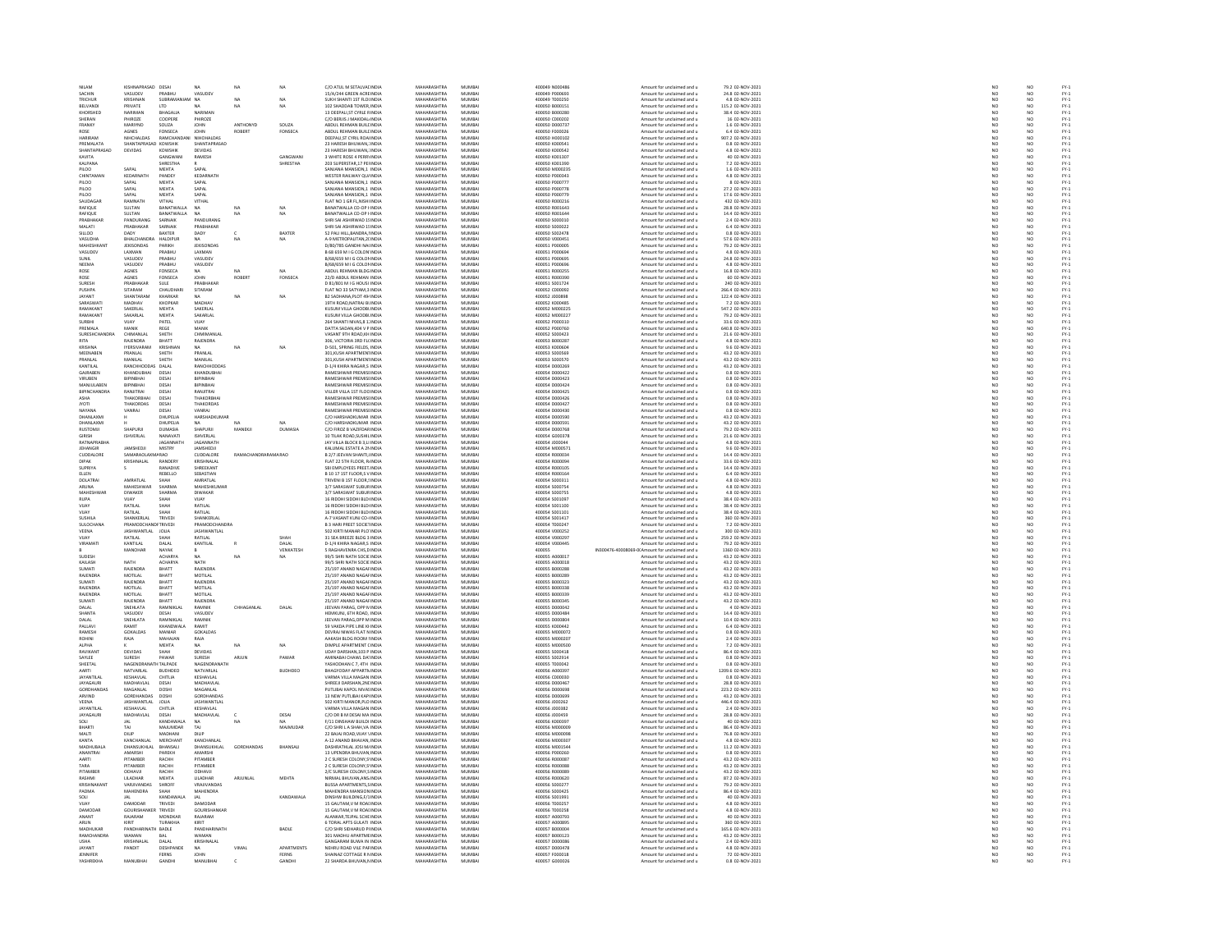| NILAM                                 | KISHNAPRASAD DESAI                     |                          | <b>NA</b>                    | NA                  | NA             | C/O ATUL M SETALVAL INDIA                                     | MAHARASHTRA                       | MUMBAI                    | 400049 N000486                   | Amount for unclaimed and u                               | 79.2 02-NOV-2021                       | NO <sub>1</sub>          | NO <sub></sub>                     |                                      |
|---------------------------------------|----------------------------------------|--------------------------|------------------------------|---------------------|----------------|---------------------------------------------------------------|-----------------------------------|---------------------------|----------------------------------|----------------------------------------------------------|----------------------------------------|--------------------------|------------------------------------|--------------------------------------|
|                                       | VASUDEV                                |                          | VASUDE                       |                     |                | 15/A/244 GREEN ACRE INDIA<br>SUKH SHANTI 1ST FLOUNDIA         | <b>MAHARASHTRA</b>                | MUMBA                     | 00049 P000693                    | Amount for unclaimed and u                               | 24.8 02-NOV-2021<br>4.8 02-NOV-2021    | $\frac{1}{N}$            |                                    | FY-3<br>FY-3                         |
| TRICHUR<br><b>REI VANDI</b>           | KRISHNAN<br>PRIVATE                    | SUBRAMAN<br>LTD.         | N <sub>A</sub><br>NA         | NA<br>NA            | NA<br>NA       | 102 SHADDAR TOWER INDIA                                       | MAHARASHTRA<br>MAHARASHTRA        | MUMBA<br>MUMRAI           | 400049 T000250<br>400050 8000151 | Amount for unclaimed and u<br>Amount for unclaimed and u | 115.2.02-NOV-2021                      | NO                       | NO                                 |                                      |
| KHORSHEI                              | NARIMAN                                | BHAGALIA                 | NARIMAN                      |                     |                | 13 DEEPALI, ST CYRLE RINDIA                                   | MAHARASHTRA                       | MUMBA                     | 400050 B000280                   | Amount for unclaimed and u                               | 38.4 02-NOV-2021                       |                          |                                    | FY-3<br>FY-3                         |
| SHERAN                                | PHIROZE                                | COOPERE                  | PHIROZE                      |                     |                | C/O BERJIS J MAKIDAL INDIA                                    | MAHARASHTRA                       | MUMBAI                    | 400050 C000202                   | Amount for unclaimed and u                               | 16 02-NOV-2021                         | NO <sub>1</sub>          | NO <sub></sub>                     |                                      |
| FRANKY                                | MARIYNE                                | SOUZA                    | <b>JOHN</b>                  | ANTHONYD            | SOUZA          | ABDUL REHMAN BUILDINDI                                        | <b>MAHARASHTRA</b>                | MUMBA                     | 400050 D00073                    | Amount for unclaimed and u                               | 1.6 02-NOV-2021                        | NO                       | NO                                 | PY-1<br>PY-1<br>PY-1<br>PY-1         |
| ROSE                                  | <b>AGNES</b>                           | FONSECA                  | <b>JOHN</b>                  | ROBERT              | FONSECA        | ABDUL REHMAN BUILDINDIA                                       | MAHARASHTRA                       | MUMBAI                    | 400050 F000026                   | Amount for unclaimed and u                               | 6.4 02-NOV-2021                        | NO <sub>1</sub>          | NO <sub></sub>                     |                                      |
| HARIRAM                               | <b>IHCHALDA</b>                        | RAMCHAN                  | <b>NIHOHALDAS</b>            |                     |                | DEEPALI,ST CYRIL ROA INDI                                     | MAHARASHTRA                       | MUMBA                     | 400050 H000102                   | Amount for unclaimed and u                               | 907.2 02-NOV-2021                      | $\overline{\mathbf{M}}$  | NO                                 |                                      |
| PREMALATA<br>SHANTAPRASAD             | SHANTAPRASAD KOWSHIK<br><b>DEVIDAS</b> | KOWSHIK                  | SHANTAPRASAD<br>DEVIDAS      |                     |                | 23 HARESH BHUWAN, INDIA<br>23 HARESH RHLIWAN : INDIA          | MAHARASHTRA<br>MAHARASHTRA        | MUMBAI<br><b>MI IMRAI</b> | 400050 K000541<br>400050 K000542 | Amount for unclaimed and u<br>Amount for unclaimed and u | 0.8 02-NOV-2021<br>4.8.02-NOV-2021     | NO<br>NO                 | NO<br>NO                           |                                      |
| KAVITA                                |                                        | GANGWAI                  | RAMESH                       |                     | GANGWAN        | 3 WHITE ROSE 4 PERRI INDIA                                    | <b>MAHARASHTRA</b>                | MUMBA                     | 400050 K00130                    | Amount for unclaimed and u                               | 40 02-NOV-2021                         | NO                       | NO                                 |                                      |
| KALPANA                               |                                        | SHRESTHA                 |                              |                     | SHRESTHA       | 203 SUPERSTAR 17 PEHNDIA                                      | MAHARASHTRA                       | MUMBAI                    | 400050 K001390                   | Amount for unclaimed and u                               | 7.2 02-NOV-2021                        | NO <sub>1</sub>          | NO <sub></sub>                     |                                      |
| PILOO                                 | SAPAL                                  | MEHTA                    | SAPAL                        |                     |                | SANJANA MANSION,1 INDL                                        | <b>MAHARASHTRA</b>                | MUMBA                     | 400050 M00023                    | Amount for unclaimed and u                               | 1.6 02-NOV-2021                        | $\overline{\mathsf{NC}}$ | NO                                 |                                      |
| CHINTAMAN                             | KEDARNATH                              | PANDEY                   | KEDARNATH                    |                     |                | WESTER RAILWAY QU/ INDIA                                      | MAHARASHTRA                       | MUMBAI                    | 400050 P000343                   | Amount for unclaimed and u                               | 4.8 02-NOV-2021                        | NO <sub>1</sub>          | NO <sub></sub>                     |                                      |
| <b>PILOO</b>                          | <b>SAPAI</b>                           | MEHTA                    | SAPAL                        |                     |                | SANJANA MANSION.1 INDI                                        | <b>MAHARASHTRA</b>                | MUMBA                     | 400050 P000777                   | Amount for unclaimed and u                               | 8 02-NOV-2021                          | NO                       | NO                                 |                                      |
| PILOO                                 | SAPAL                                  | MEHTA                    | SAPAL                        |                     |                | SANJANA MANSION,1 INDIA                                       | MAHARASHTRA                       | MUMBAI                    | 400050 P000778                   | Amount for unclaimed and u                               | 27.2 02-NOV-2021                       | NO                       | NO                                 |                                      |
| PILOO<br>SAUDAGA                      | SAPAI                                  | MEHTA                    | SAPAL<br>VITHAL              |                     |                | SANJANA MANSION,1 INDIA<br>FLAT NO 1 GR FL,NISHI INDIA        | <b>MAHARASHTRA</b><br>MAHARASHTRA | <b>MUMRAL</b><br>MUMBAI   | 400050 P00077<br>400050 R000216  | Amount for unclaimed and                                 | 17.6 02-NOV-2021<br>432 02-NOV-2021    | NO<br>NO                 | NO<br>NO                           |                                      |
| RAFIQUE                               | SULTAN                                 | VITHAL<br>BANATWALLA     | <b>NA</b>                    | NA                  | NA             | BANATWALLA CO-OP HINDIA                                       | MAHARASHTRA                       | MUMBAI                    | 400050 R001643                   | Amount for unclaimed and u<br>Amount for unclaimed and u | 28.8 02-NOV-2021                       | NO                       | NO <sub></sub>                     |                                      |
| RAFIQUE                               | SULTAN                                 | <b>BANATWALLA</b>        |                              |                     |                | BANATWALLA CO-OP HNDI                                         | <b>MAHARASHTRA</b>                | MUMBA                     | 400050 R00164                    | Amount for unclaimed and u                               | 14.4 02-NOV-2021                       | NO                       | NO                                 |                                      |
| PRABHAKAR                             | PANDURANO                              | SARNAIK                  | PANDURANO                    |                     |                | SHRI SAI ASHIRWAD 15 INDIA                                    | MAHARASHTRA                       | MUMBAI                    | 400050 S000010                   | Amount for unclaimed and u                               | 2.4 02-NOV-2021                        | NO <sub>1</sub>          | NO                                 |                                      |
| MALATI                                | PRABHAKAR                              | CARNAIL                  | PRABHAKAR                    |                     |                | SHRI SAI ASHIRWAD 15 INDI                                     | <b>MAHARASHTRA</b>                | MUMBAI                    | 400050 S00002                    | Amount for unclaimed and u                               | 6.4 02-NOV-2021                        | NO                       | $\frac{N}{N}$                      |                                      |
| SILLOO                                | DADY                                   | <b>BAXTER</b>            | DADY                         |                     | BAXTER         | 52 PALI HILL, BANDRA, INDIA                                   | MAHARASHTRA                       | MUMBAI                    | 400050 S002478                   | Amount for unclaimed and u                               | 0.8 02-NOV-2021                        | NO                       |                                    |                                      |
| VASUDHA                               | <b>BHAI CHANDRA</b>                    | HALDIPLIR                | <b>NA</b>                    | NA                  |                | A-9 METROPALITAN.2(INDIA                                      | MAHARASHTRA                       | MUMRAL                    | 400050 V000451                   | Amount for unclaimed and u                               | 57.6 02-NOV-2021                       | NO                       | NO<br>NO                           | FY-3<br>FY-3                         |
| <b>MAHESHKAN</b><br>VASUDEV           | JEKISONDAS<br><b>AXMAN</b>             | PARIKH<br>PRARHIJ        | JEKISONDAS<br><b>LAXMAN</b>  |                     |                | D/80/785 GANDHI NAI INDIA<br>B 68 659 M LG COLON INDIA        | MAHARASHTRA<br>MAHARASHTRA        | MUMBA<br>MUMRAL           | 400051 P000005<br>400051 P000694 | Amount for unclaimed and u<br>Amount for unclaimed and u | 79.2 02-NOV-2021<br>4.8.02-NOV-2021    | NO                       |                                    |                                      |
|                                       | ASUDEV                                 |                          | VASUDE                       |                     |                |                                                               | <b>MAHARASHTRA</b>                | MUMBA                     | 400051 P000695                   | Amount for unclaimed and u                               | 24.8 02-NOV-2021                       | NO<br>NO                 | NO<br>NO                           |                                      |
| NEEMA                                 | VASUDEV                                | PRABHU                   | VASUDEV                      |                     |                | B/68/659 M I G COLONINDIA                                     | MAHARASHTRA                       | MUMBAI                    | 400051 P000696                   | Amount for unclaimed and u                               | 4.8 02-NOV-2021                        | NO <sub>1</sub>          | NO                                 |                                      |
| ROSE                                  | AGNES                                  | FONSECA                  |                              |                     |                | ABDUL REHMAN BLDG INDI                                        | <b>MAUARACUTRA</b>                | MUMBA                     | 400051 R000255                   | Amount for unclaimed and                                 | 16.8 02-NOV-2021                       | NO                       | NO                                 |                                      |
| ROSE                                  | AGNES                                  | FONSECA                  | <b>JOHN</b>                  | ROBERT              | FONSECA        | 22/D ABDUL REHMAN INDIA                                       | MAHARASHTRA                       | MUMBAI                    | 400051 R000390                   | Amount for unclaimed and u                               | 60 02-NOV-2021                         | NO                       | NO                                 |                                      |
| <b>SURFS</b>                          | PRABHAKAR                              | <b>STILE</b>             | PRARHAKAR                    |                     |                | D 81/801 M I G HOUSI INDIA                                    | MAHARASHTRA                       | MUMRAL                    | 400051 S001724                   | Amount for unclaimed and u                               | 240 02-NOV-2021                        | NO                       | NO<br>NO                           | PY-1<br>PY-1<br>PY-1<br>PY-1         |
| PUSHPA<br><b>JAYANT</b>               | SITARAM<br>SHANTARAM                   | CHAUDHAR<br>KHARKAR      | SITARAM                      |                     | NA             | FLAT NO 33 SATYAM, 3 INDIA<br><b>R2 SADHANA PLOT 49/INDIA</b> | MAHARASHTRA<br>MAHARASHTRA        | MUMBAI<br>MUMRAL          | 400052 C000092<br>400052 1000898 | Amount for unclaimed and u                               | 266.4 02-NOV-2021<br>122.4 02-NOV-2021 | NO                       | NO <sub>1</sub>                    |                                      |
| SARASWAT                              | <b>MADHAV</b>                          | KHOPKAR                  |                              | NA                  |                | 19TH ROAD, NATRAJ BI INDIA                                    | <b>MAHARASHTRA</b>                | MUMBA                     |                                  | Amount for unclaimed and u                               | 7.2 02-NOV-2021                        | NO<br>NO                 |                                    |                                      |
| RAMAKANT                              | SAKERLAL                               | MEHTA                    | MADHAY<br>SAKERLAL           |                     |                | KUSUM VILLA GHODBI INDIA                                      | MAHARASHTRA                       | MUMBAI                    | 400052 K00048<br>400052 M000225  | Amount for unclaimed and u<br>Amount for unclaimed and u | 547.2 02-NOV-2021                      | NO                       | $\frac{N}{N}$                      |                                      |
| RAMAKANT                              | SAKARLAL                               | MEHTA                    | SAKARLAL                     |                     |                | KUSUM VILLA GHODBI INDIA                                      | MAHARASHTRA                       | MUMRAL                    | 400052 M000227                   | Amount for unclaimed and                                 | 79.2 02-NOV-2021                       | NO                       | NO<br>NO                           | FY-1<br>FY-1<br>FY-1<br>FY-1         |
| SURBHI                                | VUAY                                   | PATEL                    | VIJAY                        |                     |                | 264 SHANTI NIVAS, 8 1: INDIA                                  | MAHARASHTRA                       | MUMBAI                    | 400052 P000310                   | Amount for unclaimed and u                               | 33.6 02-NOV-2021                       | NO                       |                                    |                                      |
| PREMALA                               | MANIK                                  | REGE                     | MANIK                        |                     |                | DATTA SADAN.404 V P INDIA                                     | MAHARASHTRA                       | <b>MUMBAL</b>             | 400052.P000760                   | Amount for unclaimed and u                               | 640.8 02-NOV-2021                      | NO                       | NO<br>NO                           | FY-3<br>FY-3                         |
| SURESHCHAN                            | CHIMANLA                               | SHETH                    | CHMIMANLA                    |                     |                | VASANT 9TH ROAD, KH INDIA                                     | MAHARASHTRA                       | MUMBA                     | 400052 S000423                   | Amount for unclaimed and u                               | 21.6 02-NOV-2021                       | NO                       |                                    |                                      |
| <b>RITA</b>                           | RAIFNDRA                               | RHATT                    | <b>RAIFNDRA</b>              |                     |                | 306 VICTORIA 3RD FLUNDIA                                      | MAHARASHTRA                       | MUMRAL<br>MUMBA           | 400053 8000287                   | Amount for unclaimed and u                               | 4.8.02-NOV-2021                        | NO <sub>1</sub>          | NO <sub>1</sub><br>$\overline{NQ}$ | FY-)<br>FY-)                         |
| KRISHNA<br>MEENABEN                   | <b>IYERSIVARAM</b><br>PRANLAL          | <b>KRISHNAI</b><br>SHETH | NA<br>PRANLAL                | NA                  | NA             | D-501, SPRING FIELDS, INDIA<br>301.KUSH APARTMEN' INDIA       | MAHARASHTRA<br>MAHARASHTRA        | MUMBAI                    | 400053 K000604<br>400053 S000569 | Amount for unclaimed and u<br>Amount for unclaimed and u | 9.6 02-NOV-2021<br>43.2 02-NOV-2021    | NO                       |                                    |                                      |
| PRANLAL                               | MANILAL                                | SHETH                    | MANILAI                      |                     |                | 301, KUSH APARTMEN' INDI                                      | <b>MAHARASHTRA</b>                | MUMRAL                    | 400053 S000570                   | Amount for unclaimed and u                               | 43.2 02-NOV-2021                       | NO<br>NO                 | NO<br>NO<br>NO                     | FY-3<br>FY-3<br>FY-3                 |
| KANTILAL                              | RANCHHODDAS DALAL                      |                          | RANCHHODDAS                  |                     |                | D-1/4 KHIRA NAGAR,S INDIA                                     | MAHARASHTRA                       | MUMBAI                    | 400054 D000269                   | Amount for unclaimed and u                               | 43.2 02-NOV-2021                       | NO                       |                                    |                                      |
| <b>GAIRAREN</b>                       | KHANDURHAL                             | DESAL                    | KHANDLIRHAL                  |                     |                | <b>RAMESHWAR PREMISLINDIA</b>                                 | MAHARASHTRA                       | MUMRAL                    | 400054 DO00422                   | Amount for unclaimed and u                               | 0.8 02-NOV-2021                        | NO                       | NO <sub>1</sub>                    | FY-)<br>FY-)                         |
| VIRUBEN                               | BIPINBHAI                              | DESA                     | BIPINBHAI                    |                     |                | RAMESHWAR PREMISI INDIA                                       | MAHARASHTRA                       | MUMBAI                    | 400054 D000423                   | Amount for unclaimed and u                               | 0.8 02-NOV-2021                        | NO                       | $\overline{NQ}$                    |                                      |
| MANILILAREN                           | RIPINRHAL                              | DESAL                    | RIPINRHAI                    |                     |                | RAMESHWAR PREMISHNING                                         | MAHARASHTRA                       | MUMRAI                    | 400054 DO00424                   | Amount for unclaimed and u                               | 0.8.02-NOV-2021                        | NO                       | NO                                 | FY-3<br>FY-3                         |
| BIPINCHANDR                           | RANJITRAI                              | DESA                     | RANJITRAJ                    |                     |                | VILLER VILLA 1ST FLOC INDIA                                   | MAHARASHTRA                       | MUMBA                     | 400054 D000425                   | Amount for unclaimed and u                               | 0.8 02-NOV-2021                        | NO                       | NO                                 |                                      |
| ASHA<br><b>IYOTI</b>                  | THAKORBHAI                             | DESAI<br>DESA            | THAKORBHA<br>THAKORDAS       |                     |                | RAMESHWAR PREMISHNDIA<br>RAMESHWAR PREMISI INDIA              | MAHARASHTRA<br><b>MAHARASHTRA</b> | MUMBAI<br>MUMBA           | 400054 D000426<br>400054 D000427 | Amount for unclaimed and u<br>Amount for unclaimed and u | 0.8 02-NOV-2021<br>0.8 02-NOV-2021     | NO <sub>1</sub><br>NO    | NO.<br>NO                          |                                      |
| NAYANA                                | VANRAJ                                 | DESAI                    | VANRAJ                       |                     |                | RAMESHWAR PREMISHNDIA                                         | MAHARASHTRA                       | MUMBAI                    | 400054 D000430                   | Amount for unclaimed and u                               | 0.8 02-NOV-2021                        |                          |                                    |                                      |
| DHANI AXMI                            |                                        | <b>DHUPFLIA</b>          | HARSHADKUMAF                 |                     |                | C/O HARSHADKLIMAR INDIA                                       | MAHARASHTRA                       | MUMRAL                    | 400054 DODD590                   | Amount for unclaimed and u                               | 43.2 02-NOV-2021                       | NO<br>NO                 | NO<br>NO                           |                                      |
| DHANLAXM                              |                                        | DHUPELIA                 | <b>NA</b>                    |                     |                | C/O HARSHADKUMAR INDIA                                        | MAHARASHTRA                       | MUMBA                     | 400054 D000591                   | Amount for unclaimed and u                               | 43.2 02-NOV-2021                       | NO                       | NO                                 | FY-1<br>FY-1<br>FY-1<br>FY-1         |
| <b>RUSTOMIL</b>                       | SHAPLIRE                               | <b>DUMASIA</b>           | SHAPLIRIL                    | MANEKIL             | DUMASIA        | C/O FIROZ B VAZIEDAR INDIA                                    | MAHARASHTRA                       | MUMRAI                    | 400054 DOD0768                   | Amount for unclaimed and u                               | 79.2.02-NOV-2021                       | NO                       | NO                                 |                                      |
| GIRISH                                | ISHVERLAL                              | NANAVAT                  | ISHVERLAL                    |                     |                | 10 TILAK ROAD, SUSHIL INDIA                                   | MAHARASHTRA                       | MUMBA                     | 400054 G000378                   | Amount for unclaimed and u                               | 21.6 02-NOV-2021                       | NO                       | NO                                 | PY-1<br>PY-1<br>PY-1<br>PY-1         |
| RATNAPRABHA                           | <b>AMSHEDJ</b>                         | JAGANNATH                | JAGANNATH                    |                     |                | JAY VILLA BLOCK B 3.LI INDIA                                  | MAHARASHTRA                       | MUMBAI                    | 400054 J000044                   | Amount for unclaimed and u                               | 4.8 02-NOV-2021                        | NO <sub>1</sub>          | NO <sub></sub>                     |                                      |
| <b>JEHANGIR</b><br>CUDDALORE          | SAMARAOLAXMARAO                        | MISTRY                   | <b>AMSHEDJI</b><br>CUDDALORE | RAMACHANDRARAMA RAO |                | KALUMAL ESTATE A 29 INDI<br>B 2/7 JEEVAN SHANTI, INDIA        | <b>MAHARASHTRA</b><br>MAHARASHTRA | MUMBA<br>MUMBAI           | 400054 M00057<br>400054 R000034  | Amount for unclaimed and u<br>Amount for unclaimed and u | 9.6 02-NOV-2021<br>14.4 02-NOV-2021    | NO<br>NO <sub>1</sub>    | NO<br>NO <sub></sub>               |                                      |
| DIPAK                                 |                                        |                          | KRISHNALA                    |                     |                |                                                               | <b>MAHARASHTRA</b>                | <b>MUMRA</b>              |                                  | Amount for unclaimed and u                               |                                        |                          |                                    |                                      |
| SUPRIYA                               |                                        | RANDERY<br>RANADIVE      | SHREEKANT                    |                     |                | FLAT 22 STH FLOOR, R. INDIA<br>SBI EMPLOYEES PREET INDIA      | MAHARASHTRA                       | MUMBA                     | 400054 R000094                   | Amount for unclaimed and u                               | 33.6 02-NOV-2021<br>14.4 02-NOV-2021   | NO <sub>NO</sub>         | $\frac{N}{N}$                      |                                      |
| ELLEN                                 |                                        | REBELLO                  | SEBASTIAN                    |                     |                | B 10 17 1ST FLOOR S V INDIA                                   | MAHARASHTRA                       | MUMBAI                    | 400054 R000164                   | Amount for unclaimed and u                               | 6.4 02-NOV-2021                        | NO <sub>1</sub>          | NO <sub></sub>                     |                                      |
| DOLATRAL                              | AMRATLAL                               | SHAH                     | AMRATLAL                     |                     |                | TRIVENI B 1ST FLOOR, INDIA                                    | <b>MAHARASHTRA</b>                | MUMBA                     | 400054 S00031                    | Amount for unclaimed and u                               | 4.8 02-NOV-2021                        | NO                       | NO                                 |                                      |
| ARUNA                                 | <b>MAHESHWAR</b>                       | <b>SHARMA</b>            | MAHESHKUMAF                  |                     |                | 3/7 SARASWAT SUBURINDIA                                       | MAHARASHTRA                       | MUMBAI                    | 400054 S000754                   | Amount for unclaimed and u                               | 4.8 02-NOV-2021                        | NO <sub>1</sub>          | NO <sub></sub>                     |                                      |
| MAHESHV                               | DIWAKER                                | <b>SHARMA</b>            | DIWAKAR                      |                     |                | 3/7 SARASWAT SUBURINDI                                        | <b>MAHARASHTRA</b>                | MUMBA                     | 400054 S00075                    | Amount for unclaimed and u                               | 4.8 02-NOV-2021                        |                          | NO                                 |                                      |
| <b>RUPA</b>                           | <b>VIIAY</b><br><b>LA IITAS</b>        | SHAH                     | <b>YALIV</b>                 |                     |                | 16 RIDDHI SIDDHI BLDI INDIA                                   | MAHARASHTRA<br><b>MAHARASHTRA</b> | MUMBAI                    | 400054 S001097                   | Amount for unclaimed and u                               | 38.4 02-NOV-2021                       | NO <sub>1</sub>          | NO                                 |                                      |
| VIJAY                                 | RATILAL                                | SHAH                     | RATILAL<br>RATILAL           |                     |                | 16 RIDDHI SIDDHI BLDI INDI<br>16 RIDDHI SIDDHI BLDI INDIA     | MAHARASHTRA                       | MUMBA<br>MUMBAI           | 400054 S00110<br>400054 S00110   | Amount for unclaimed and u<br>Amount for unclaimed and u | 38.4 02-NOV-2021<br>38.4 02-NOV-2021   | NO                       | NO                                 |                                      |
| SUSHILA                               | SHANKERLAL                             | TRIVEDI                  | SHANKERLAI                   |                     |                | A-7 VASANT KUNJ CO-INDIA                                      | MAHARASHTRA                       | MUMBAI                    | 400054 S001417                   | Amount for unclaimed and u                               | 360 02-NOV-2021                        | NO<br>NO                 | NO<br>NO                           |                                      |
| SULOCHAN                              | PRAMODCHANDFTRIVED                     |                          | PRAMODCHANDRA                |                     |                | <b>B 3 HARI PREET SOCIETINDI</b>                              | <b>MAHARASHTRA</b>                | MUMBA                     | 400054 T00024                    | Amount for unclaimed and u                               | 7.2 02-NOV-2021                        | NO                       | NO                                 |                                      |
| VEENA                                 | JASHWANTLAL JOLIA                      |                          | <b>JASHWANTLAL</b>           |                     |                | 502 KIRTI MANAR PLO' INDIA                                    | MAHARASHTRA                       | MUMBAI                    | 400054 V000252                   | Amount for unclaimed and u                               | 300 02-NOV-2021                        | NO <sub>1</sub>          | NO <sub></sub>                     |                                      |
|                                       | RATILAL                                |                          | RATILAI                      |                     |                | 31 SEA BREEZE BLDG 3 INDI                                     | MAHARASHTRA                       | MUMBA                     | 400054 V00029                    | Amount for unclaimed and u                               | 259.2 02-NOV-2021                      | NO                       | NO                                 |                                      |
| VIRAMATI                              | KANTILAL                               | DALAL                    | KANTILAL                     |                     | DALAL          | D-1/4 KHIRA NAGAR.S INDIA                                     | MAHARASHTRA                       | MUMBAI                    | 400054 V000445                   | Amount for unclaimed and u                               | 79.2 02-NOV-2021                       | NO <sub>1</sub>          | NO <sub></sub>                     |                                      |
|                                       | MANOHAR                                | NAYAK                    |                              |                     | VENKATESH      | 5 RAGHAVENRA CHS, D INDIA                                     | MAHARASHTRA                       | MUMBAL                    | 400055                           | IN300476-40008069-0(Amount for unclaimed and             | 1360 02-NOV-2021                       | NO                       | NO                                 |                                      |
| SUDESH<br>KAILASH                     | <b>NATH</b>                            | ACHARYA<br>ACHARYA       | <b>NA</b><br>NATH            | NA                  | NA             | 99/5 SHRI NATH SOCIE INDIA<br>99/S SHRI NATH SOCIE INDIA      | MAHARASHTRA<br>MAHARASHTRA        | MUMBAI<br><b>MUMBAL</b>   | 400055 A000017<br>400055 A000018 | Amount for unclaimed and u<br>Amount for unclaimed and u | 43.2 02-NOV-2021<br>43.2 02-NOV-2021   | NO<br>NO                 | NO<br>NO <sub>1</sub>              |                                      |
| SUMATI                                | RAJENDRA                               | BHATT                    | RAJENDRA                     |                     |                | 25/197 ANAND NAGAHNDIA                                        | MAHARASHTRA                       | MUMBA                     | 400055 B000288                   | Amount for unclaimed and u                               | 43.2 02-NOV-2021                       | NO                       |                                    |                                      |
| RAJENDRA                              | <b>MOTILAL</b>                         | BHATT                    | MOTILAL                      |                     |                | 25/197 ANAND NAGAI INDIA                                      | MAHARASHTRA                       | MUMBAI                    | 400055 B000289                   | Amount for unclaimed and u                               | 43.2 02-NOV-2021                       | NO <sub>1</sub>          | NO<br>NO                           |                                      |
| SUMATI                                | RAJENDRA                               | BHATT                    | RAJENDRA                     |                     |                | 25/197 ANAND NAGAI INDI                                       | <b>MAHARASHTRA</b>                | MUMBA                     | 400055 B00032                    | Amount for unclaimed and u                               | 43.2 02-NOV-2021                       | $_{NC}$                  | NO                                 |                                      |
| RAJENDRA                              | MOTILAL                                | BHATT                    | MOTILAL                      |                     |                | 25/197 ANAND NAGAI INDIA                                      | MAHARASHTRA                       | MUMBAI                    | 400055 B000338                   | Amount for unclaimed and u                               | 43.2 02-NOV-2021                       | NO                       | NO                                 |                                      |
| <b>RAIFNDRA</b>                       | MOTILAL                                | BHATT                    | MOTILAI                      |                     |                | 25/197 ANAND NAGAI INDIA                                      | MAHARASHTRA                       | <b>MUMBAL</b>             | 400055 B000335                   | Amount for unclaimed and u                               | 43.2 02-NOV-2021                       | NO                       | NO                                 |                                      |
| SUMATI<br>DAI AL                      | RAJENDRA<br>SNEHLATA                   | BHATT<br>RAMNIKLA        | RAJENDRA<br>RAMNIK           | CHHAGANIAL          | DALAL          | 25/197 ANAND NAGAI INDIA<br>JEEVAN PARAG, OPP N INDIA         | MAHARASHTRA<br>MAHARASHTRA        | MUMBAI<br>MUMRAL          | 400055 B000345<br>400055.0000043 | Amount for unclaimed and u<br>Amount for unclaimed and u | 43.2 02-NOV-2021<br>4 02-NOV-2021      | NO                       | NO                                 |                                      |
| SHANTA                                | <b>VASUDEV</b>                         | DESAI                    | VASUDEV                      |                     |                | HEMKUNJ, 6TH ROAD, INDIA                                      | MAHARASHTRA                       | MUMBAI                    | 400055 D000484                   | Amount for unclaimed and u                               | 14.4 02-NOV-2021                       | NO<br>NO                 | NO<br>NO                           |                                      |
| DALAI                                 | SNEHLATA                               | RAMNIKI AI               | RAMNIK                       |                     |                | <b>IFFVAN PARAG OPP MINDIA</b>                                | MAHARASHTRA                       | MUMRAL                    | 400055 DODGROV                   | Amount for unclaimed and u                               | 10.4.02-NOV-2021                       |                          |                                    |                                      |
| PALLAV                                | <b>SAMIT</b>                           |                          | RAMIT                        |                     |                | 59 VAKDA PIPE LINE KHND                                       | MAHARASHTRA                       | MUMBA                     | 400055 K000442                   | Amount for unclaimed and u                               | 6.4 02-NOV-2021                        | NO<br>NO                 | NO<br>NO                           |                                      |
| RAMESH                                | GOKALDAS                               | MANIAR                   | GOKALDAS                     |                     |                | DEVRAJ NIWAS FLAT NINDIA                                      | MAHARASHTRA<br><b>MAHARASHTRA</b> | MUMBAI                    | 400055 M000072                   | Amount for unclaimed and u                               | 0.8 02-NOV-2021                        | NO                       | NO                                 | FY-1<br>FY-1<br>FY-1<br>FY-1         |
| ROHINI<br>ALPHA                       | RAJA                                   | MAHAIAN<br>MEHTA         | RAJA<br><b>NA</b>            | NA                  | NA             | AAKASH BLDG ROOM I INDIA<br>DIMPLE APARTMENT (INDIA           | MAHARASHTRA                       | MUMBAL<br>MUMBAI          | 400055 MO0020<br>400055 M000500  | Amount for unclaimed and<br>Amount for unclaimed and u   | 2.4 02-NOV-2021<br>7.2 02-NOV-2021     | NO<br>NO                 | NO<br>NO                           |                                      |
| RAVIKANT                              | <b>DEVIDAS</b>                         | <b>SHAH</b>              | <b>DEVIDAS</b>               |                     |                | <b>UDAY DARSHAN 103 P INDIA</b>                               | MAHARASHTRA                       | MUMRAL                    | 400055 S000418                   | Amount for unclaimed and u                               | 86.4 02-NOV-2021                       |                          | NO <sub>1</sub>                    |                                      |
| SAYLEE                                | <b>SURESH</b>                          | PAWAP                    | SURESH                       | ARJUN               | PAWAR          | AMINABAI CHAWL DA' INDIA                                      | MAHARASHTRA                       | MUMBA                     | 400055 S00291                    | Amount for unclaimed and u                               | 0.8 02-NOV-2021                        | NO<br>NO                 | $\overline{NQ}$                    |                                      |
| SHEETAL                               | NAGENDRANATH TAI PADE                  |                          | NAGENDRANATH                 |                     |                | YASHODHAN C 7 4TH INDIA                                       | MAHARASHTRA                       | MUMRAI                    | 400055 T000042                   | Amount for unclaimed and u                               | 0.8.02-NOV-2021                        | NO                       | NO                                 |                                      |
| AARTI                                 | NATVARLAI                              | <b>BUDHDEO</b>           | NATVARLAL                    |                     | <b>BUDHDEO</b> | BHAGYODAY APPARTN INDIA                                       | MAHARASHTRA                       | MUMBA                     | 400056 A000397                   | Amount for unclaimed and u                               | 1209.6 02-NOV-2021                     | NO                       | $\frac{N}{N}$                      | FY-1<br>FY-1<br>FY-1<br>FY-1<br>FY-1 |
| <b>JAYANTILAL</b>                     | KESHAVLAL<br>MADHAVI AI                | CHITLIA                  | KESHAVLAL<br>MADHAVI AI      |                     |                | VARMA VILLA MAGAN INDIA                                       | MAHARASHTRA<br><b>MAHARASHTRA</b> | MUMBAI<br><b>MUMBAL</b>   | 400056 C000030<br>400056 DODG463 | Amount for unclaimed and u                               | 0.8 02-NOV-2021                        | NO                       |                                    |                                      |
| <b>IAYAGALIRI</b><br><b>GORDHANDA</b> | MAGANLAL                               | DESAL<br>DOSHI           | MAGANLAL                     |                     |                | SHREEJI DARSHAN.2NLINDIA<br>PUTLIBAI KAPOL NIVASINDIA         | MAHARASHTRA                       | MUMBA                     | 400056 D000698                   | Amount for unclaimed and u<br>Amount for unclaimed and u | 28.8 02-NOV-2021<br>223.2 02-NOV-2021  | NO<br>NO                 | NO<br>NO                           | FY-1<br>FY-1<br>FY-1<br>FY-1         |
| ARVIND                                | <b>GORDHANDAS</b>                      | DOSHI                    | <b>GORDHANDAS</b>            |                     |                | 13 NEW PUTLIBALKAPUNDIA                                       | MAHARASHTRA                       | MUMRAL                    | 400056 DODGRS                    | Amount for unclaimed and u                               | 43.2.02-NOV-2021                       | NO                       | NO <sub>1</sub>                    |                                      |
| <b>VEENA</b>                          | JASHWANTLAL JOLIA                      |                          | <b>JASHWANTLAI</b>           |                     |                | 502 KIRTI MANOR, PLO INDIA                                    | MAHARASHTRA                       | MUMBAL                    | 400056 J000262                   | Amount for unclaimed and u                               | 446.4 02-NOV-2021                      | NO                       | NO                                 |                                      |
| ΙΔΥΔΝΤΙΙ ΔΙ                           | KESHAVLAL                              | CHITI IA                 | KESHAVLAL                    |                     |                | VARMA VII LA MAGAN INDIA                                      | MAHARASHTRA                       | MUMRAI                    | 400056 1000382                   | Amount for unclaimed and u                               | 2.4.02-NOV-2021                        | NO                       | NO                                 |                                      |
| <b>JAYAGAURI</b>                      | MADHAVLAL                              | DESAI                    | MADHAVLAI                    |                     | DESAL          | C/O DR B M DESAI MA INDIA                                     | <b>MAHARASHTRA</b>                | MUMBA                     | 400056 J000459                   | Amount for unclaimed and u                               | 28.8 02-NOV-2021                       | NO                       | NO                                 |                                      |
| SOLI                                  | JAL                                    | KANDAWALA                | <b>NA</b>                    | NA                  | NA.            | F/11 DINSHAW BUILDI INDIA                                     | MAHARASHTRA                       | MUMBAI                    | 400056 K000397                   | Amount for unclaimed and u                               | 40 02-NOV-2021                         | NO <sub>1</sub>          | NO.                                |                                      |
|                                       |                                        | MAJUMDAR                 |                              |                     | MAJMUDA        | C/O SHRI L A SHAH, VA INDI                                    | MAHARASHTRA                       | MUMBA                     | 400056 M00000                    | Amount for unclaimed and u                               | 6.4 02-NOV-2021                        | $\frac{1}{N}$            | $\frac{N}{N}$                      | FY-1<br>FY-1<br>FY-1<br>FY-1         |
| MALTI<br>KANTA                        | DILIP<br>KANCHANLAL                    | MADHANI<br>MERCHANT      | DILIF<br>KANCHANLAL          |                     |                | 22 BAJAJ ROAD, VIJAY \ INDIA<br>4-12 ANAND RHAVAN INDIA       | MAHARASHTRA<br>MAHARASHTRA        | MUMBAI<br>MUMRAL          | 400056 M000098<br>400056 MODDROZ | Amount for unclaimed and u<br>Amount for unclaimed and u | 76.8 02-NOV-2021<br>4.8.02-NOV-2021    | NO                       | NO <sub>1</sub>                    |                                      |
| MADHUBALA                             | DHANSUKHLAL                            | BHANSALI                 | DHANSUKHLAL                  | <b>GORDHANDAS</b>   | BHANSAL        | DASHRATHLAL JOSI M/ INDIA                                     | <b>MAHARASHTRA</b>                | <b>MUMBAI</b>             | 400056 M00154                    | Amount for unclaimed and u                               | 11.2 02-NOV-2021                       | $\overline{NQ}$          | $\overline{NQ}$                    | FY-)<br>FY-)                         |
| ANANTRAI                              | AMARSHI                                | PAREKH                   | AMARSHI                      |                     |                | 13 UPENDRA BHUVAN INDIA                                       | MAHARASHTRA                       | MUMBAI                    | 400056 P000260                   | Amount for unclaimed and u                               | 0.8 02-NOV-2021                        | NO <sub>1</sub>          | NO <sub></sub>                     |                                      |
|                                       | PITAMBER                               | RACHH                    | PITAMBER                     |                     |                | 2 C SURESH COLONY, S INDIA                                    | MAHARASHTRA                       | MUMBA                     | 400056 R000087                   | Amount for unclaimed and u                               | 43.2 02-NOV-2021                       | NO                       | NO                                 |                                      |
| TARA                                  | PITAMBER                               | RACHH                    | PITAMBER                     |                     |                | 2 C SURESH COLONY.S INDIA                                     | MAHARASHTRA                       | MUMBAI                    | 400056 R000088                   | Amount for unclaimed and u                               | 43.2 02-NOV-2021                       | NO                       | NO <sub></sub>                     | PY-1<br>PY-1<br>PY-1<br>PY-1         |
| PITAMBER                              | ODHAVJI                                | RACHH                    | <b>ILVAHOO</b>               |                     |                | 2/C SURESH COLONY, SINDI                                      | <b>MAHARASHTRA</b>                | MUMBA                     | 400056 R00008                    | Amount for unclaimed and u                               | 43.2 02-NOV-2021                       | NO                       | NO                                 |                                      |
| RASHMI                                | LILADHAR                               | MEHTA                    | <b>LILADHAR</b>              | ARJUNLAL            | MEHTA          | NIRMAL BHUVAN ANS INDIA                                       | MAHARASHTRA                       | MUMBAI                    | 400056 R000620                   | Amount for unclaimed and u                               | 87.2 02-NOV-2021                       | NO <sub>NO</sub>         | NO<br>NO                           |                                      |
| <b>KRISHNAKANT</b><br>PADMA           | VARIIVANDAS                            | SHROFF                   | VRAIIVANDAS                  |                     |                | <b>RUSSA APARTMENTS SINDIA</b>                                | MAHARASHTRA                       | MUMRAL<br>MUMBA           | 400056 5000277                   | Amount for unclaimed and u                               | 79.2.02-NOV-2021                       |                          |                                    |                                      |
| SOLI                                  | MAHENDRA                               | SHAH<br>KANDAWALA        | MAHENDRA<br><b>IAI</b>       |                     | KANDAWALA      | MAHENDRA MANSION INDIA<br>DINSHW BUILDING.F/1INDIA            | MAHARASHTRA<br>MAHARASHTRA        | MUMBAI                    | 400056 S00042<br>400056 S001991  | Amount for unclaimed and u<br>Amount for unclaimed and u | 86.4 02-NOV-2021<br>40 02-NOV-2021     | NO<br>NO <sub>1</sub>    | NO<br>NO <sub></sub>               |                                      |
| VUAY                                  | DAMODAR                                | TRIVEDI                  | DAMODAR                      |                     |                | 15 GAUTAM, V M ROALINDI                                       | <b>MAHARASHTRA</b>                | MUMBA                     | 400056 T00025                    | Amount for unclaimed and u                               | 4.8 02-NOV-2021                        | NO                       | NO                                 |                                      |
| DAMODAR                               | <b>GOURISHANKER TRIVEDI</b>            |                          | GOURISHANKAR                 |                     |                | 15 GAUTAM.V M ROALINDIA                                       | MAHARASHTRA                       | MUMBAI                    | 400056 T000258                   | Amount for unclaimed and u                               | 4.8 02-NOV-2021                        | NO <sub>1</sub>          | NO <sub></sub>                     |                                      |
| ANANT                                 | RAJARAM                                | MONDKAR                  | RAJARAM                      |                     |                | LANKAR, TEJPAL SCHE INDL                                      | <b>MAHARASHTRA</b>                | MUMBA                     | 400057 A000793                   | Amount for unclaimed and u                               | 40 02-NOV-2021                         |                          |                                    |                                      |
| ARUN                                  | KIRIT                                  | TURAKHIA                 | KIRIT                        |                     |                | 6 TORAL APTS GULATI INDIA                                     | MAHARASHTRA                       | MUMBAI                    | 400057 A000899                   | Amount for unclaimed and u                               | 360 02-NOV-2021                        | NO <sub></sub>           | NO                                 | PY-1<br>PY-1<br>PY-1<br>PY-1         |
| MADULIKAR                             | ANDHARINATH BADLE                      |                          | <b>DANDUARINATL</b>          |                     | BADLE          | C/O SHRI SIDHARUD PI INDIA<br>301 MADHU APARTMEINDIA          | <b>MAUARACUTRA</b>                | MUMBA                     | 400057 800000                    | Amount for unclaimed and                                 | 165.6 02-NOV-2021<br>43.2 02-NOV-2021  | NO<br>NO                 |                                    |                                      |
| RAMCHANDR<br><b>USHA</b>              | WAMAN<br><b>KRISHNALAL</b>             | <b>BAL</b><br>DALAL      | <b>WAMAN</b><br>KRISHNALAL   |                     |                | GANGARAM BUWA IN INDIA                                        | <b>MAHARASHTRA</b><br>MAHARASHTRA | MUMBAI<br>MUMBAI          | 400057 8000123<br>400057 D000086 | Amount for unclaimed and u<br>Amount for unclaimed and u | 2.4 02-NOV-2021                        | NO <sub></sub>           | NO                                 |                                      |
| <b>JAYANT</b>                         | PANDIT                                 | DESHPANDE                |                              | VIMAI               | APARTMENTS     | NEHRU ROAD VILE PAFINDIA                                      | <b>MAHARASHTRA</b>                | MUMBA                     | 400057 D000478                   | Amount for unclaimed and u                               | 4.8 02-NOV-2021                        |                          |                                    | FY-3<br>FY-3                         |
| <b>JENNIFER</b>                       |                                        | <b>FERNS</b>             | <b>JOHN</b>                  |                     | FERNS          | SHAINAZ COTTAGE R N INDIA                                     | MAHARASHTRA                       | MUMBAI                    | 400057 F000018                   | Amount for unclaimed and u                               | 72 02-NOV-2021                         | NO <sub>1</sub>          | NO                                 | FY-3                                 |
|                                       | MANUBHA                                | GANDHI                   |                              |                     |                | 22 SHARDA BHUVAN.N INDI                                       | <b>MAHARASHTRA</b>                |                           | 400057 G00002                    | Amount for unclaimed and u                               | 0.8 02-NOV-2021                        |                          |                                    |                                      |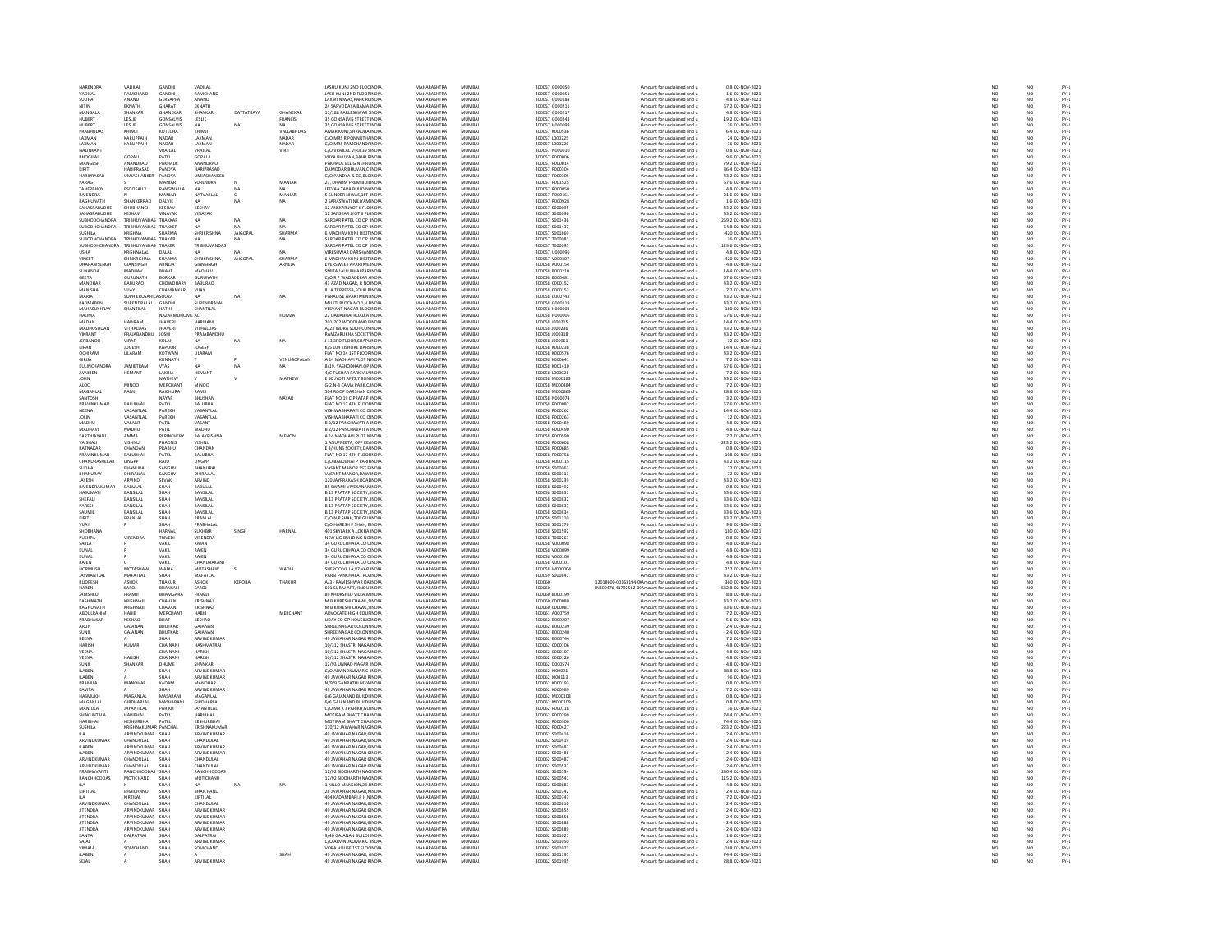| NARENDRA                           | VADILAL                                  | GANDH                     | VADILAL                            |                 |               | JASHU KUNJ 2ND FLOC INDIA                                    | MAHARASHTRA                | MUMBA            | 400057 G000050                   | Amount for unclaimed and u                               | 0.8 02-NOV-2021                      |                 | NO                    |                              |
|------------------------------------|------------------------------------------|---------------------------|------------------------------------|-----------------|---------------|--------------------------------------------------------------|----------------------------|------------------|----------------------------------|----------------------------------------------------------|--------------------------------------|-----------------|-----------------------|------------------------------|
| VADILAL                            | <b>RAMCHANE</b>                          | GANDH                     | RAMCHAND                           |                 |               |                                                              | <b>MAHARASHTRA</b>         | <b>MUMRAL</b>    |                                  |                                                          |                                      |                 | NO<br>NO              |                              |
| SUDHA                              | ANAND                                    | <b>GERSAPPA</b>           | ANAND                              |                 |               | JASU KUNJ 2ND FLOOF INDIA<br>LAXMI NIWAS, PARK R( INDIA      | MAHARASHTRA                | MUMBAI           | 400057 G000051<br>400057 G000184 | Amount for unclaimed and u<br>Amount for unclaimed and u | 1.6 02-NOV-2021<br>4.8 02-NOV-2021   | NC<br>NC        |                       | FY-1<br>FY-1                 |
| NITIN                              | EKNATH                                   | GHARAT                    | EKNATH                             |                 |               | 24 SARVODAYA BAMA INDIA                                      | MAHARASHTRA                | MUMBAI           | 400057 G000211                   | Amount for unclaimed and u                               | 67.2 02-NOV-2021                     | NO <sub>1</sub> | NO <sub>1</sub>       |                              |
| MANGAL                             |                                          | GHANEKAP                  | <b>SHANKAF</b>                     | DATTATRAYA      | GHANEKAR      | 11/188 PARLESHWAR : INDI                                     | <b>AAHARASHTR</b>          | MUMBA            | 400057 G00021                    | Amount for unclaimed and u                               | 4.8 02-NOV-2023                      | NO              |                       |                              |
| HUBERT                             | LESLIE                                   | GONSALVIS                 | LESLIE                             |                 | FRANCIS       | 35 GONSALVIS STREET INDIA                                    | MAHARASHTRA                | MUMBAI           | 400057 G000243                   | Amount for unclaimed and u                               | 19.2 02-NOV-2021                     | NO              | NO <sub>1</sub>       | FY-1<br>FY-1<br>FY-1<br>FY-1 |
| HUBERT                             | LESLIE                                   | GONSALVI:                 | <b>MA</b>                          | NA              |               | 35 GONSALVIS STREET INDIA                                    | <b>MAUADACUTRA</b>         | MUMBA            | 400057 H00009                    | Amount for unclaimed and u                               | 36 02-NOV-2023                       | NO              | NO                    |                              |
| PRABHUDAS                          | KHIMJI                                   | KOTECHA                   | KHIMJI                             |                 | VALLABHDAS    | AMAR KUNJ, SHRADHA INDIA                                     | MAHARASHTRA                | MUMBAI           | 400057 K000536                   | Amount for unclaimed and u                               | 6.4 02-NOV-2021                      | NO              | NO                    |                              |
| <b>LAXMAN</b>                      | KARLIPPAIR                               | <b>NADAR</b>              | <b>LAXMAN</b>                      |                 | NADAR         | C/O MRS R PONNUTH INDIA                                      | MAHARASHTRA                | MUMRAL           | 400057 1000225                   | Amount for unclaimed and u                               | 24 02-NOV-2021                       | NO              | NO                    |                              |
| LAXMAN                             | KARUPPAIH                                | NADAR                     | LAXMAN                             |                 | NADAR         | C/O MRS RAMCHANDFINDIA                                       | MAHARASHTRA                | MUMBA            | 400057 L000226                   | Amount for unclaimed and u                               | 16 02-NOV-2021                       |                 |                       | PY-1<br>PY-1<br>PY-1<br>PY-1 |
| NALINKANT                          |                                          | VRAJLAL                   | VRAJLAL                            |                 | VIRJI         | C/O VRAILAL VIRIL39 5 INDIA                                  | MAHARASHTRA                | MUMBAI           | 400057 N000010                   | Amount for unclaimed and u                               | 0.8 02-NOV-2021                      | NO<br>NO        | NO<br>NO              |                              |
| <b>BHOGILAL</b>                    | GOPALII                                  | PATEL                     | GOPALJI                            |                 |               | <b>TA BHUVAN BAJAJ FINDIA</b>                                | <b>MAHARASHTRA</b>         | MUMBAL           | 400057 P000006                   | Amount for unclaimed and u                               | 9.6 02-NOV-2021                      | NO              | NO                    |                              |
| MANGESH                            | ANANDRAD                                 | PAKHADE                   | ANANDRAO                           |                 |               | PAKHADE BLDG, NEHRI INDIA                                    | MAHARASHTRA                | MUMBAI           | 400057 P000014                   | Amount for unclaimed and u                               | 79.2 02-NOV-2021                     | NO              | NO                    |                              |
| KIRIT                              | HARIPRASAD                               |                           | HARIPRASAE                         |                 |               | DAMODAR RHLIVAN C INDIA                                      | MAHARASHTRA                | MUMRAL           | 400057 P000304                   |                                                          | 86.4 02-NOV-2021                     |                 |                       |                              |
|                                    |                                          | PANDYA                    |                                    |                 |               |                                                              |                            |                  |                                  | Amount for unclaimed and u                               |                                      | NO              | NO<br>NO              |                              |
| HARIPRASAD                         | UMIASHANKER                              | PANDYA                    | UMIASHANKER                        |                 |               | C/O PANDYA & CO,BLC INDIA                                    | MAHARASHTRA                | MUMBA            | 400057 P000305                   | Amount for unclaimed and u                               | 43.2 02-NOV-2021                     | NO              |                       |                              |
| PARAG                              |                                          | MANIAR                    | SURENDRA                           |                 | MANIAR        | 23 DHARM PREM RUILINDIA                                      | MAHARASHTRA                | MUMRAL           | 400057 P001525                   | Amount for unclaimed and u                               | 57.6.02-NOV-2021                     | NO              | NO <sub>1</sub>       | FY-)<br>FY-)                 |
| TAHERBHOY                          | ESOOFALLY                                | RANGWALLA                 |                                    |                 |               | JEEVAA TARA BUILDIN INDIA                                    | MAHARASHTRA                | MUMBA            | 400057 R000050                   | Amount for unclaimed and u                               | 4.8 02-NOV-2021                      | NO              | NQ                    |                              |
| <b>RAJENDRA</b>                    |                                          | MANIAR                    | NATVARLAL                          |                 | MANIAR        | 5 SUNDER NIWAS 1ST INDIA                                     | MAHARASHTRA                | MUMBAI           | 400057 R000461                   | Amount for unclaimed and u                               | 21.6 02-NOV-2021                     |                 |                       |                              |
| <b>PACHIMATL</b>                   | CHANKERDAO                               | DALVIE                    |                                    |                 |               | 2 SARASMATI NILIYAM IND                                      | <b>MAUADACUTRA</b>         | <b>MUMBAL</b>    | roonsz poonazi                   | Amount for unclaimed and u                               | 1.6 02-NOV-2023                      | NC<br>NC        | NO<br>NO              | FY-3<br>FY-3<br>FY-3         |
| SAHASRABUDHE                       | SHUBHANGI                                | KESHAV                    | KESHAV                             |                 |               | 12 ANSKAR JYOT II FLO INDIA                                  | MAHARASHTRA                | MUMBAI           | 400057 S000095                   | Amount for unclaimed and u                               | 43.2 02-NOV-2021                     | NO              | NO                    |                              |
| SAHASRARLIDHE                      | KESHAV                                   | VINAVAK                   | VINAYAK                            |                 |               | 12 SANSKAR IVOT II FL INDIA                                  | MAHARASHTRA                | MUMRAL           | 400057 S000096                   | Amount for unclaimed and u                               | 43.2.02-NOV-2021                     | NO              | NO <sub>1</sub>       |                              |
| <b>SUBHODCHANDRA</b>               | TRIBHUVANDAS THAKKAR                     |                           |                                    | NA              | NA            |                                                              | MAHARASHTRA                | MUMBA            | 400057 S001436                   |                                                          | 259.2 02-NOV-2021                    | NO              | NQ                    | FY-3<br>FY-3                 |
| <b>SURODHCHANDRA</b>               | TRIBHLIVANDAS THAKKER                    |                           | <b>MA</b>                          | NA              | MA.           | SARDAR PATEL CO OP INDIA<br>SARDAR PATEL CO OP INDIA         | MAHARASHTRA                | MUMRAL           | 400057.5001437                   | Amount for unclaimed and u<br>Amount for unclaimed and u | 64.8.02-NOV-2021                     |                 | NQ                    |                              |
|                                    |                                          |                           |                                    |                 |               |                                                              |                            |                  |                                  |                                                          |                                      | NO <sub>1</sub> |                       | FY-3<br>FY-3                 |
| SUSHILA                            | KRISHNA                                  | SHARMA                    | SHRIKRISHNA                        | <b>JAIGOPA</b>  | SHARMA        | 6 MADHAV KUNJ DIXITINDI                                      | MAHARASHTRA                | MUMBAI           | 400057 S001669                   | Amount for unclaimed and u                               | 420 02-NOV-2021                      | $\overline{NC}$ | NO                    |                              |
| SUBODHCHANDRA                      | TRIBHOVANDAS THAKAR                      |                           | NA.                                | NA              | NA            | SARDAR PATEL CO OP INDIA                                     | MAHARASHTRA                | MUMBAI           | 400057 T000081                   | Amount for unclaimed and u                               | 36 02-NOV-2021                       | NO              | NO <sub>1</sub>       |                              |
|                                    | TRIBHUVANDAS THAKER                      |                           |                                    |                 |               | SARDAR PATEL CO OP INDL                                      | MAHARASHTRA                | MUMBA            | 400057 T000095                   | Amount for unclaimed and u                               | 129.6 02-NOV-202:                    | NO              | NO                    | FY-3<br>FY-3                 |
| <b>USHA</b>                        | KRISHNALAL                               | DALAL                     |                                    | NA              | NA            | VIRESHWAR DARSHAN INDIA                                      | MAHARASHTRA                | MUMBAI           | 400057 U000096                   | Amount for unclaimed and u                               | 4.8 02-NOV-2021                      | $\frac{NO}{NO}$ | NO<br>NO              |                              |
| <b>VINEET</b>                      | SHRIKRISHNA                              | SHARMA                    | SHRIKRISHNA                        | <b>IAIGOPAL</b> | SHARMA        | 6 MADHAV KUNI DIXITINDIA                                     | MAHARASHTRA                | MUMRAL           | 400057 V000307                   | Amount for unclaimed and u                               | 420.02-NOV-2021                      |                 |                       |                              |
| DHARAMSENGH                        | GIANSINGH                                | ARNEJA                    | GIANSINGH                          |                 | ARNEJA        | EVERSWEET APARTME INDIA                                      | MAHARASHTRA                | MUMBAI           | 400058 A00015                    | Amount for unclaimed and u                               | 4.8 02-NOV-2021                      | NO              | NQ                    | FY-:<br>FY-:<br>FY-:         |
| SUNANDA                            | MADHAV                                   | BHAVE                     | <b>MADHAV</b>                      |                 |               | SMITA LALLUBHAI PAR INDIA                                    | MAHARASHTRA                | MUMBAI           | 400058 8000210                   | Amount for unclaimed and u                               | 14.4 02-NOV-2021                     | NO              | NO <sub>1</sub>       |                              |
| GEETA                              | SURUNATH                                 | BORKAR                    | GURUNATH                           |                 |               | C/O R P WADADEKAR / INDIA                                    | MAHARASHTRA                | MUMBA            | 400058 B00048                    | Amount for unclaimed and u                               | 57.6 02-NOV-2021                     | NO              | NQ                    | FY-3<br>FY-3                 |
| MANOHAR                            | <b>BABURAO</b>                           | CHOWDHARY                 | BABURAO                            |                 |               | 43 AZAD NAGAR, R NO INDIA                                    | MAHARASHTRA                | MUMBAI           | 400058 C000152                   | Amount for unclaimed and u                               | 43.2 02-NOV-2021                     | NO <sub>1</sub> | NO <sub>1</sub>       |                              |
| MANISHA                            | <b>JUAY</b>                              | CHAMANKA                  | VIJAY                              |                 |               | 8 LA TERRESSA, FOUR EINDI                                    | <b>MAHARASHTRA</b>         | MUMBA            | 00058 C00015                     | Amount for unclaimed and u                               | 7.2 02-NOV-202:                      | NO              | NO                    |                              |
| MARIA                              | SOPHIEROSARICASOUZA                      |                           | NA                                 | NA              | NA            | PARADISE APARTMEN' INDIA                                     | MAHARASHTRA                | MUMBAI           | 400058 D000743                   | Amount for unclaimed and u                               | 43.2 02-NOV-2021                     | NO              | NO                    |                              |
| <b>PADALARES</b>                   | SURENDRALAL                              |                           | SURENDRALAL                        |                 |               |                                                              | <b>MAUADACUTRA</b>         | MUMBA            | 400058 G000119                   | Amount for unclaimed and u                               |                                      |                 |                       |                              |
|                                    | SHANTILAL                                | <b>GANDHI</b><br>HATHI    | SHANTILAL                          |                 |               | MUKTI BLOCK NO 1,V I INDIA<br>YESVANT NAGAR BLOC INDIA       | MAHARASHTRA                | MUMBAI           | 400058 H000003                   | Amount for unclaimed and u                               | 43.2 02-NOV-2021<br>180 02-NOV-2021  | NC<br>NC        | NO<br>NO              | FY-1<br>FY-1<br>FY-1<br>FY-1 |
| HALIMA                             |                                          | NAZARMOHOME ALI           |                                    |                 | HUMZA         | 22 DADABHAI ROAD, A INDIA                                    | MAHARASHTRA                | MUMBAI           | 400058 H000006                   | Amount for unclaimed and u                               | 57.6 02-NOV-2021                     |                 | NO <sub>1</sub>       |                              |
| MADAN                              | HARIRAM                                  | JHAVER                    | HARIRAN                            |                 |               | 201-202 WOODLAND FIND                                        | <b>MAHARASHTRA</b>         | MUMBA            | 100058 J00021                    | Amount for unclaimed and u                               | 14.4 02-NOV-202:                     | $\frac{NO}{NO}$ | NO                    |                              |
| MADHUSUDAN                         | VITHALDAS                                | <b>JHAVERI</b>            | VITHALDAS                          |                 |               | A/23 INDRA SUKH.CON INDIA                                    | MAHARASHTRA                | MUMBAI           | 400058 J000236                   | Amount for unclaimed and u                               | 43.2 02-NOV-2021                     | NO <sub>1</sub> | NO <sub>1</sub>       |                              |
| VIKRANT                            | PRAIABANDL                               |                           |                                    |                 |               |                                                              | MAHARASHTRA                | MUMBAL           |                                  |                                                          |                                      |                 |                       |                              |
|                                    |                                          |                           | PRAJABANDH                         |                 |               | RAMZARUKHA SOCIET INDIA                                      |                            |                  | 100058 J000318                   | Amount for unclaimed and u                               | 43.2 02-NOV-2021                     | NO              | NO                    | FY-1<br>FY-1<br>FY-1<br>FY-1 |
| <b>JERBANOO</b>                    | VIRAF                                    | KOLAH                     | NA.                                | NA              | NA            | J 13 3RD FLOOR, SHAPLINDIA                                   | MAHARASHTRA                | MUMBAI           | 400058 J000961                   | Amount for unclaimed and u                               | 72 02-NOV-2021                       | NO              | NO                    |                              |
| KIRAN                              | <b>ILIGESH</b>                           | KAPOOR                    | <b>ILIGESH</b>                     |                 |               | K/S 104 KISHORE DARSINDM                                     | MAHARASHTRA                | MUMRAL           | 400058 K000238                   | Amount for unclaimed and u                               | 14.4 02-NOV-2021                     | NO              | NO <sub>1</sub>       | FY-1<br>FY-1<br>FY-1<br>FY-1 |
| OCHIRAM                            | LILARAM                                  | KOTWAN                    | LILARAM                            |                 |               | FLAT NO 14 1ST FLOOF INDIA                                   | MAHARASHTRA                | MUMBA            | 400058 K000576                   | Amount for unclaimed and u                               | 43.2 02-NOV-2021                     | NO              | NO                    |                              |
| <b>GIRILA</b>                      |                                          | KUNNATH                   |                                    |                 | VENUGOPALAN   | A 14 MADHAVI PLOT N INDIA                                    | MAHARASHTRA                | MUMBAI           | 400058 K000641                   | Amount for unclaimed and u                               | 7.2 02-NOV-2021                      | NO <sub>1</sub> | NO <sub></sub>        |                              |
| KULINCHAND                         | <b>IAMIFTRAL</b>                         | <b>IYAS</b>               |                                    |                 |               | 8/19, YASHODHAN, OP INDL                                     | <br>MAHARASHTRJ            | MUMBA            | 100058 K001410                   | Amount for unclaimed and u                               | 57.6 02-NOV-2021                     | $_{NC}$         | NO                    |                              |
| AVNIBEN                            | <b>HEMANT</b>                            | LAKHIA                    | <b>HEMAN1</b>                      |                 |               | 4/C TUSHAR PARK, VIJA INDIA                                  | MAHARASHTRA                | MUMBAI           | 400058 L000021                   | Amount for unclaimed and u                               | 7.2 02-NOV-2021                      | NO              | NO                    |                              |
| <b>JOHN</b>                        |                                          | MATHEW                    |                                    |                 | MATHEW        | E 50 JYOTI APTS.7 BUN INDIA                                  | MAHARASHTRA                | MUMRAL           | 400058.M000183                   | Amount for unclaimed and u                               | 43.2 02-NOV-2021                     | NO              | NO                    | FY-3<br>FY-3                 |
| ALOO                               | MINOO                                    | MERCHANT                  | MINOO                              |                 |               | G-2 N-3 CAMA PARK,C INDIA                                    | MAHARASHTRA                | MUMBA            | 400058 M000484                   | Amount for unclaimed and u                               | 7.2 02-NOV-2021                      | NO              | NO                    |                              |
| MAGANIAL                           | RAMJI                                    | RAICHLIRA                 | RAMIL                              |                 |               | 504 ROOP DARSHAN C INDIA                                     | MAHARASHTRA                | MUMRAL           | 400058 MODORES                   | Amount for unclaimed and u                               | 28.8 02-NOV-2021                     |                 | NO <sub>1</sub>       |                              |
| SANTOSH                            |                                          | NAYAR                     | BHUSHAN                            |                 | NAYAR         | FLAT NO 19 C, PRATAP INDIA                                   | MAHARASHTRA                | MUMBA            | 400058 N000074                   | Amount for unclaimed and u                               | 3.2 02-NOV-2021                      | NC<br>NC        | NQ                    | FY-3<br>FY-3                 |
| PRAVINKLIMAS                       | RAILIRHAL                                | PATEL                     | RAILIRHAL                          |                 |               | FLAT NO 17 4TH FLOOLINDIA                                    | MAHARASHTRA                | MUMRAL           | 400058 P000082                   | Amount for unclaimed and u                               | 57.6.02-NOV-2021                     | NO              | NQ                    |                              |
|                                    |                                          |                           |                                    |                 |               |                                                              | <b>MAHARASHTR</b>          |                  |                                  |                                                          |                                      | NO              |                       | FY-1<br>FY-1<br>FY-1         |
| NEENA                              | VASANTLA                                 | PAREKH                    | VASANTLA                           |                 |               | VISHWABHARATI CO CINDI                                       |                            | MUMBA            | 400058 P000262                   | Amount for unclaimed and u                               | 14.4 02-NOV-2021                     |                 | NO<br>NO              |                              |
| JOLIN<br><b>MADHL</b>              | VASANTLAL<br>VASANT                      | PAREKH<br>PATIL           | VASANTLAL<br>VASANT                |                 |               | VISHWABHARATI CO C INDIA<br><b>B 2/12 PANCHAVATI A INDIA</b> | MAHARASHTRA<br>MAHARASHTRA | MUMBA<br>MUMRAL  | 400058 P000263<br>400058 P000485 | Amount for unclaimed and u<br>Amount for unclaimed and u | 12 02-NOV-2021<br>4.8.02-NOV-2021    | NO              | NO <sub>1</sub>       |                              |
|                                    |                                          |                           |                                    |                 |               |                                                              |                            |                  |                                  |                                                          |                                      | NC<br>NC        |                       | FY:<br>FY:                   |
| MADHAVI                            | MADHU                                    | PATIL                     | MADHU                              |                 |               | B 2/12 PANCHAVATI A INDIA                                    | MAHARASHTRA                | MUMBA            | 400058 P000490                   | Amount for unclaimed and u                               | 4.8 02-NOV-2021                      |                 | NO                    |                              |
| KARTHIAYANI                        | <b>AMMA</b>                              | PERINCHERY                | <b>BALAKRISHNA</b>                 |                 | MENON         | A 14 MADHAVI PLOT N INDIA                                    | MAHARASHTRA                | MUMRAL           | 400058 P000590                   | Amount for unclaimed and u                               | 7.2.02-NOV-2021                      | NO <sub>1</sub> | $\mathbf{M}$          | FY-)<br>FY-)                 |
| VAISHALI                           | VISHNU                                   | PHADNIS                   | VISHNU                             |                 |               | 1 ANUPREETA, OFF CE INDIA                                    | MAHARASHTRA                | MUMBAI           | 400058 P000601                   | Amount for unclaimed and u                               | 223.2 02-NOV-2021                    | $\overline{NC}$ | NO                    |                              |
| RATNAKAR                           | CHANDAN                                  | PRABHU                    | CHANDAN                            |                 |               | E 3/HUNS SOCIETY.DA/ INDIA                                   | MAHARASHTRA                | MUMBAI           | 400058 P000685                   | Amount for unclaimed and u                               | 0.8 02-NOV-2021                      | NO <sub>1</sub> | NO <sub>1</sub>       | FY-3<br>FY-3                 |
| PRAVINKUMA                         | BALUBHAI                                 | PATEL                     | BALUBHAI                           |                 |               | FLAT NO 17 4TH FLOOHNDM                                      | MAHARASHTRA                | MUMBA            | 400058 P000758                   | Amount for unclaimed and u                               | 108 02-NOV-2021                      | NO              | NQ                    |                              |
| CHANDRASHEKAR                      | LINGPP                                   | <b>RAJU</b>               | LINGPP                             |                 |               | C/O BABUBHAI P PARILINDIA                                    | MAHARASHTRA                | MUMBAI           | 400058 R000115                   | Amount for unclaimed and u                               | 43.2 02-NOV-2021                     |                 |                       |                              |
| SUDHA                              | <b>RHANI IRA</b>                         | SANGHVI                   | <b>RHANLIRAL</b>                   |                 |               | VASANT MANOR 1ST FINDIA                                      | MAHARASHTRA                | MUMRAL           | 400058.5000063                   | Amount for unclaimed and u                               | 72.02-NOV-2021                       | NO<br>NO        | NO<br>NO              |                              |
| BHANURAY                           | DHIRAJLAL                                | SANGHVI                   | DHIRAJLAL                          |                 |               | VASANT MANOR DAW INDI                                        | MAHARASHTRA                | MUMBAI           | 400058 S000111                   | Amount for unclaimed and u                               | 72 02-NOV-2021                       | $\overline{NC}$ | NQ                    | FY-1<br>FY-1<br>FY-1         |
| JAYESH                             | ARVIND                                   | SEVAK                     | ARVIND                             |                 |               | 120 JAYPRAKASH ROALINDIA                                     | MAHARASHTRA                | MUMBAI           | 400058 S000239                   | Amount for unclaimed and u                               | 43.2 02-NOV-2021                     | NO              | NO <sub>1</sub>       |                              |
| RAJENDRAKUMA                       | BABULAI                                  | SHAH                      | BABULAI                            |                 |               | 85 SWAMI VIVEKANAN INDIA                                     | MAHARASHTRA                | MUMBA            | 400058 S000492                   | Amount for unclaimed and u                               | 0.8 02-NOV-2021                      | NO              | NO                    | FY-3<br>FY-3                 |
| HASUMATI                           | BANSILAL                                 | SHAH                      | BANSILAL                           |                 |               | <b>B 13 PRATAP SOCIETY, INDIA</b>                            | MAHARASHTRA                | MUMBAI           | 400058 S000831                   | Amount for unclaimed and u                               | 33.6 02-NOV-2021                     | NO              | NO <sub>1</sub>       |                              |
| SHEFALL                            | BANSILA                                  | SHAH                      | BANSILA                            |                 |               | <b>B 13 PRATAP SOCIETY, INDI</b>                             | <b>MAHARASHTRA</b>         | MUMBA            | 400058 S00083                    | Amount for unclaimed and u                               | 33.6 02-NOV-202:                     | NO              | NO                    | FY-1<br>FY-1<br>FY-1<br>FY-1 |
| PARESH                             | BANSILAL                                 | SHAH                      | BANSILAL                           |                 |               | <b>B 13 PRATAP SOCIETY, INDIA</b>                            | MAHARASHTRA                | MUMBAI           | 400058 S000833                   | Amount for unclaimed and u                               | 33.6 02-NOV-2021                     | NO              | NO <sub>1</sub>       |                              |
|                                    | A IIJNA                                  |                           |                                    |                 |               |                                                              | <b>MAHARASHTRA</b>         | MUMBA            |                                  |                                                          |                                      |                 |                       |                              |
| SAUMI                              |                                          | SHAH<br>SHAH              | BANSILAI                           |                 |               | B 13 PRATAP SOCIETY, INDIA<br>C/O N P SHAH, 206 GUI INDIA    |                            |                  | 400058 5000834<br>400058 5001110 | Amount for unclaimed and u                               | 33.6 02-NOV-2021<br>43.2 02-NOV-2021 | NC<br>NC        | NO<br>NO              |                              |
| KIRIT                              | PRANLAI                                  |                           | PRANLAL                            |                 |               |                                                              | MAHARASHTRA                | MUMBAI           |                                  | Amount for unclaimed and u                               |                                      |                 |                       |                              |
| VUAY                               |                                          | SHAH                      | PRABHALAL                          |                 |               | C/O HARESH P SHAH, EINDIA                                    | MAHARASHTRA                | MUMBAI           | 400058 S001176                   | Amount for unclaimed and u                               | 9.6 02-NOV-2021                      | NO              | NO <sub>1</sub>       |                              |
| <b>SHOBHAN</b>                     |                                          | HARNA                     | SUKHBIR                            |                 | <b>HARNAL</b> | 401 SKYLARK A, LOKHA IND                                     | <b>MAHARASHTRA</b>         | MUMBA            | 400058 S00159                    | Amount for unclaimed and u                               | 180 02-NOV-2021                      | NO              | NQ                    |                              |
| PUSHPA                             | VIRENDRA                                 | TRIVED                    | VIRENDRA                           |                 |               | NEW LIG BUILDING NC INDIA                                    | MAHARASHTRA                | MUMBAI           | 400058 T000263                   | Amount for unclaimed and u                               | 0.8 02-NOV-2021                      | NO <sub>1</sub> | NO <sub>1</sub>       |                              |
| SARLA                              |                                          | VAKIL                     | RAJAN                              |                 |               | 34 GURUCHHAYA CO CINDIA                                      | <b>MAHARASHTRA</b>         | MUMRAL           | 400058 V00009                    | Amount for unclaimed and u                               | 4.8 02-NOV-2021                      | NO              | NO                    |                              |
| KUNAL                              |                                          | VAKIL                     | RAJEN                              |                 |               | 34 GURUCHHAYA CO ( INDIA                                     | MAHARASHTRA                | MUMBAI           | 400058 V000099                   | Amount for unclaimed and u                               | 4.8 02-NOV-2021                      | NO              | NO                    | FY-1<br>FY-1<br>FY-1<br>FY-1 |
| KUNAI                              |                                          | VAKIL                     | RAJEN                              |                 |               | 34 GURUCHHAYA CO CINDIA                                      | MAHARASHTRA                | MUMRAL           | 400058 V000100                   | Amount for unclaimed and u                               | 4.8 02-NOV-2021                      | NO              |                       |                              |
| RAJEN                              |                                          | VAKIL                     | CHANDRAKANT                        |                 |               | 34 GURUCHHAYA CO ( INDIA                                     | MAHARASHTRA                | MUMBA            | 400058 V000101                   | Amount for unclaimed and u                               | 4.8 02-NOV-2021                      | NO              | NO<br>NO              | FY:<br>FY:                   |
| HORMUSI                            | MOTASHA!                                 | WADIA                     | MOTASHAW                           | $\sim$          | WADIA         | SHEROO VILLA 87 VAR INDIA                                    | MAHARASHTRA                | MUMRAL           | 400058 woongoo                   | Amount for unclaimed and u                               | 252.02-NOV-2021                      |                 | NO <sub>1</sub>       |                              |
| <b>JASWANTLA</b>                   | MAFATLAI                                 | SHAH                      | <b>MAFATLAL</b>                    |                 |               | PARSI PANCHAYAT ROJIND                                       | <b>MAHARASHTR</b>          | MUMBA            | 00059 S000841                    | Amount for unclaimed and u                               | 43.2 02-NOV-2021                     | NC<br>NC        | $\overline{NQ}$       |                              |
| RUDRESH                            | ASHOK                                    | THAKUR                    | ASHOK                              | KEROBA          | THAKUR        | A/3 - RAMESHWAR DA INDIA                                     | MAHARASHTRA                | MUMBAI           | 400060                           | 12018600-00163194-0IAmount for unclaimed and u           | 360 02-NOV-2021                      | NO              | NO                    |                              |
| HAREN                              | SAROJ                                    | RHANSAL                   | SAROJ                              |                 |               | 601 SURAJ APT, HINDU INDI                                    | MAHARASHTRA                | MUMBAI           | 400060                           | N300476-41792562-0(Amount for unclaimed and u            | 532.8 02-NOV-2021                    | NO              |                       | FY-1<br>FY-1<br>FY-1<br>FY-1 |
|                                    | FRAMJI                                   |                           |                                    |                 |               |                                                              |                            | MUMBA            |                                  |                                                          |                                      |                 | NO<br>NO              |                              |
| JAMSHED<br>KASHINATH               | KRISHNAIL                                | BHAMGARA<br>CHAVAN        | FRAMJI<br>KRISHNAI                 |                 |               | 89 KHORSHED VILLA, N INDIA<br>M R KURESHI CHAWL SINDIA       | MAHARASHTRA<br>MAHARASHTRA | MUMRAL           | 400060 B000199<br>400060 connosc | Amount for unclaimed and u<br>Amount for unclaimed and u | 8.8 02-NOV-2021<br>43.2.02-NOV-2021  | NO<br>NO        | NO <sub>1</sub>       |                              |
|                                    |                                          |                           |                                    |                 |               |                                                              |                            |                  |                                  |                                                          |                                      |                 |                       | FY-3<br>FY-3                 |
| RAGHUNATH                          | KRISHNAJI                                | CHAVAN                    | KRISHNAJI                          |                 |               | M B KURESHI CHAWL, INDIA                                     | MAHARASHTRA                | MUMBA            | 400060 C000081                   | Amount for unclaimed and u                               | 33.6 02-NOV-2021                     | NO              | NO                    |                              |
| <b>ARDUIRAHIM</b>                  | <b>HARIR</b>                             | MERCHANT                  | <b>HARIR</b>                       |                 | MERCHANT      | ADVOCATE HIGH COULINDIA                                      | MAHARASHTRA                | MUMRAL           | 400061-4000755                   | Amount for unclaimed and u                               | 7.2.02-NOV-2021                      | NO              | NQ                    | FY-3<br>FY-3<br>FY-3         |
| PRABHAKAE                          | KESHAC                                   | BHAT                      | KESHAO                             |                 |               | UDAY CO OP HOUSING IND                                       | <b>MAHARASHTR</b>          | MUMBA            | 400062 B00020                    | Amount for unclaimed and u                               | 5.6 02-NOV-2021                      | NO              | NO<br>NO              |                              |
| ARUN                               | GAJANAM                                  | <b>BHUTKAR</b>            | GAJANAN                            |                 |               | SHREE NAGAR COLON' INDIA                                     | MAHARASHTRA                | MUMBAI           | 400062 B000239                   | Amount for unclaimed and u                               | 2.4 02-NOV-2021                      | NO              |                       |                              |
| SUNIT                              | GAJANAM                                  | BHUTKAR                   | GAIANAN                            |                 |               | SHREE NAGAR COLON' INDIA                                     | MAHARASHTRA                | MUMRAL           | 400062.B000240                   | Amount for unclaimed and u                               | 2.4 02-NOV-2021                      | NO              | NO                    | FY:<br>FY:                   |
| BEENA                              |                                          | SHAH                      | ARVINDKUMAF                        |                 |               | 49 JAWAHAR NAGAR FINDIA                                      | MAHARASHTRA                | MUMBA            | 400062 B000744                   | Amount for unclaimed and u                               | 7.2 02-NOV-2021                      | NO              | NO                    |                              |
| HARISH                             | KUMAR                                    | CHAINANI                  | HASHMATRAL                         |                 |               | 10/312 SHASTRI NAGA INDIA                                    | MAHARASHTRA                | MUMRAL           | 400062 C000106                   | Amount for unclaimed and u                               | 4.8.02-NOV-2021                      | NO <sub>1</sub> | $\mathbf{M}$          |                              |
| VEENA                              |                                          | CHAINANI                  | HARISH                             |                 |               | 10/312 SHASTRI NAGA INDIA                                    | MAHARASHTRA                | MUMBAI           | 400062 C00010                    | Amount for unclaimed and u                               | 4.8 02-NOV-2021                      | $\overline{NC}$ | NQ                    | FY-)<br>FY-)                 |
| VEENA                              | <b>HARISH</b>                            | CHAINANI                  | HARISH                             |                 |               | 10/312 SHASTRI NAGA INDIA                                    | MAHARASHTRA                | MUMBAI           | 400062 C000126                   | Amount for unclaimed and u                               | 4.8 02-NOV-2021                      | NO              | NO <sub>1</sub>       |                              |
|                                    | SHANKAP                                  | DHUME                     | SHANKAR                            |                 |               | 12/93 UNNAD NAGAR INDIA                                      | MAHARASHTRA                | MUMBA            | 400062 D00057                    | Amount for unclaimed and u                               | 4.8 02-NOV-2023                      | NO              | NQ                    | FY-3<br>FY-3                 |
| <b>ILABEN</b>                      |                                          | SHAH                      | ARVINDKUMAR                        |                 |               | C/O ARVINDKUMAR C INDIA                                      | MAHARASHTRA                | MUMBAI           | 400062 1000091                   | Amount for unclaimed and u                               | 88.8 02-NOV-2021                     |                 |                       |                              |
| <b>II AREN</b>                     |                                          | <b><i><u>SHAH</u></i></b> | <b>ARVINDKLIMAR</b>                |                 |               | 49 IAWAHAR NAGAR FINDIA                                      | MAHARASHTRA                | MUMRAL           | 400062 1000113                   | Amount for unclaimed and u                               | 96.02-NOV-2021                       | $\frac{NO}{NO}$ | NO<br>NO              |                              |
| PRAMILA                            | MANOHAR                                  | KADAM                     | MANOHAR                            |                 |               | N/9/9 GANPATHI NIVA INDIA                                    | MAHARASHTRA                | MUMBA            | 400062 K000193                   | Amount for unclaimed and u                               | 0.8 02-NOV-2021                      | NO              | NQ                    | FY-1<br>FY-1<br>FY-1         |
| KAVITA                             |                                          | SHAH                      | ARVINDKUMAR                        |                 |               | 49 JAWAHAR NAGAR FINDIA                                      | MAHARASHTRA                | MUMBA            | 400062 K000989                   | Amount for unclaimed and u                               | 7.2 02-NOV-2021                      | NO              | NO <sub>1</sub>       |                              |
| HASMUKK                            | MAGANLA                                  | MASARAN                   | MAGANLAL                           |                 |               | 6/6 GAJANAND BUILDI INDIA                                    | MAHARASHTRA                | MUMBA            | 400062 M000108                   | Amount for unclaimed and u                               | 0.8 02-NOV-2021                      | NO              | NQ                    | FY-3<br>FY-3                 |
| MAGANLAL                           | GIRDHARLAL                               | MASHARANI                 | GIRDHARLAL                         |                 |               | 6/6 GAJANAND BUILDI INDIA                                    | MAHARASHTRA                | MUMBAI           | 400062 M000109                   | Amount for unclaimed and u                               | 0.8 02-NOV-2021                      | NO <sub>1</sub> | NO <sub>1</sub>       |                              |
| MANJULA                            | <b>JAYANTILAL</b>                        |                           | <b>AYANTILAL</b>                   |                 |               | C/O MR K J PARIKH, GC IND                                    | <b>MAHARASHTRA</b>         | WUMBA            | 00062 P000118                    | Amount for unclaimed and u                               | 36 02-NOV-2023                       | NO              | NO                    |                              |
| <b>SHAKUNTALA</b>                  | <b>HARIBHAI</b>                          | PATEL                     | HARIBHAI                           |                 |               | MOTIRAM BHATT CHA INDIA                                      | MAHARASHTRA                | MUMBAI           | 400062 P000299                   | Amount for unclaimed and u                               | 74.4 02-NOV-2021                     | NO              | NO <sub>1</sub>       |                              |
| <b>UADIDUA</b>                     | KESHURRHAL                               |                           |                                    |                 |               | MOTIRAM BHATT CHA INDIA                                      | <b>MAHARASHTRA</b>         | MUMRAL           | 400062 PO00306                   |                                                          |                                      | NO              |                       |                              |
|                                    |                                          | PATEL                     | KESHURBHA                          |                 |               |                                                              |                            |                  |                                  | Amount for unclaimed and u                               | 74.4 02-NOV-2021                     |                 | NO                    |                              |
| SUSHILA                            | KRISHNAKUMAR PANCHAL<br>ARVINDKUMAR SHAH |                           | KRISHNAKUMAI<br>ARVINDKUMAR        |                 |               | 170/12 JAWAHAR NACINDIA<br>49 JAWAHAR NAGAR 6 INDIA          | MAHARASHTRA<br>MAHARASHTRA | MUMBAI<br>MUMBAI | 400062 P000427<br>400062 S000416 | Amount for unclaimed and u<br>Amount for unclaimed and u | 223.2 02-NOV-2021<br>2.4 02-NOV-2021 | NO<br>NO        | NO<br>NO <sub>1</sub> |                              |
|                                    |                                          |                           |                                    |                 |               |                                                              |                            |                  |                                  |                                                          |                                      |                 |                       |                              |
| ARVINDKUMA                         | CHANDULAL                                |                           | CHANDULAL                          |                 |               | 49 JAWAHAR NAGAR, EINDL                                      | <b>MAHARASHTR</b>          | MUMBA            | 400062 S00041                    | Amount for unclaimed and u                               | 2.4 02-NOV-2023                      | NO              | NO                    |                              |
| <b>ILABEN</b>                      | ARVINDKUMAR                              | SHAH                      | ARVINDKUMAF                        |                 |               | 49 JAWAHAR NAGAR.EINDIA                                      | MAHARASHTRA                | MUMBAI           | 400062 S000482                   | Amount for unclaimed and u                               | 2.4 02-NOV-2021                      | NO <sub>1</sub> | NO <sub>1</sub>       |                              |
| ILABEN                             | ARVINDKUMAR SHAR                         |                           | ARVINDKUMAR                        |                 |               | 49 JAWAHAR NAGAR É INDIA                                     | <b>MAHARASHTRA</b>         | MUMBA            | 100062 S00048                    | Amount for unclaimed and u                               | 2.4 02-NOV-2021                      | $_{NC}$         | NO                    |                              |
| ARVINDKUMAR                        | CHANDULAL                                | SHAH                      | CHANDULAL                          |                 |               | 49 JAWAHAR NAGAR É INDIA                                     | MAHARASHTRA                | MUMBAI           | 400062 S000487                   | Amount for unclaimed and u                               | 2.4 02-NOV-2021                      | NO              | NO                    |                              |
| <b>ARVINDKUMAR</b>                 | CHANDLILAI                               |                           | CHANDULAL                          |                 |               | 49 IAWAHAR NAGAR ÉINDIA                                      | MAHARASHTRA                | MUMRAL           | crannes sonness                  | Amount for unclaimed and u                               | 2.4 02-NOV-2021                      | NO              | NO                    |                              |
| PRABHAVANTI                        | <b>RANCHHODDAS</b>                       | SHAH                      | <b>RANCHHODDAS</b>                 |                 |               | 12/92 SIDDHARTH NACINDIA                                     | MAHARASHTRA                | MUMBA            | 400062 S000534                   | Amount for unclaimed and u                               | 230.4 02-NOV-2021                    | NO              | NO                    |                              |
| RANCHHODDAS                        | MOTICHAND                                | SHAH                      | MOTICHAND                          |                 |               | 12/92 SIDDHARTH NACINDIA                                     | MAHARASHTRA                | MUMRAL           | 400062.5000541                   | Amount for unclaimed and u                               | 115.2 02-NOV-2021                    |                 |                       |                              |
|                                    |                                          |                           |                                    | NA              | NA            | 1 NILLO MANSION, 28 JINDIA                                   | <b>MAHARASHTR</b>          | MUMBA            | 00062 S000683                    | Amount for unclaimed and u                               | 4.8 02-NOV-2021                      | NC<br>NC        | NO<br>NO              |                              |
| KIRTILAL                           | BHAICHAND                                | SHAH                      | BHAICHAND                          |                 |               | 28 JAWAHAR NAGAR. INDIA                                      | MAHARASHTRA                | MUMBAI           | 400062 S000742                   | Amount for unclaimed and u                               | 2.4 02-NOV-2021                      | NO              | NO <sub>1</sub>       |                              |
|                                    | KIRTILAL                                 | SHAH                      | KIRTILAL                           |                 |               | 404 KADAMBARI.P H N INDIA                                    | <b>MAUARACUTRA</b>         | <b>MUAGA</b>     | sonnez sonnza:                   | Amount for unclaimed and u                               | 7.2 02-NOV-2021                      | NO              | NO                    |                              |
| ARVINDKUMAR                        | CHANDULAL                                | SHAH                      | CHANDULAL                          |                 |               | 49 JAWAHAR NAGAR, EINDIA                                     | MAHARASHTRA                | MUMBAI           | 400062 S000810                   | Amount for unclaimed and u                               | 2.4 02-NOV-2021                      | NO              | NO                    |                              |
| <b>IITENDRA</b>                    | ARVINDKLIMAR                             | SHAH                      | <b>ARVINDKLIMAR</b>                |                 |               | 49 IAWAHAR NAGAR ÉINDIA                                      | MAHARASHTRA                | MUMRAL           | sonnez sonness                   | Amount for unclaimed and u                               | 2.4.02-NOV-2021                      | NO              | NO <sub>1</sub>       |                              |
|                                    |                                          |                           |                                    |                 |               |                                                              |                            | MUMBA            |                                  |                                                          | 2.4 02-NOV-2021                      |                 | NO                    | PY-1<br>PY-1<br>PY-1<br>PY-1 |
| <b>JITENDRA</b><br><b>IITENDRA</b> | ARVINDKUMAR SHAH<br>ARVINDKLIMAR SHAH    |                           | ARVINDKUMAF<br><b>ARVINDKLIMAR</b> |                 |               | 49 JAWAHAR NAGAR É INDIA<br>49 IAWAHAR NAGAR FINDIA          | MAHARASHTRA<br>MAHARASHTRA | MUMRAL           | 400062 S000856<br>400062 S000888 | Amount for unclaimed and u                               | 2.4.02-NOV-2021                      | NO<br>NO        | $\mathbf{M}$          |                              |
|                                    |                                          |                           |                                    |                 |               |                                                              |                            |                  |                                  | Amount for unclaimed and u                               |                                      |                 |                       | FY-1<br>FY-1<br>FY-1         |
| <b>JITENDRA</b>                    | ARVINDKUMAR                              |                           | ARVINDKUMAP                        |                 |               | 49 JAWAHAR NAGAR, EINDL                                      | <b>MAHARASHTRA</b>         | MUMBA            | 400062 S00088                    | Amount for unclaimed and u                               | 2.4 02-NOV-2021                      |                 |                       |                              |
| KANTA                              | DALPATRAI                                | SHAH                      | DALPATRAI                          |                 |               | 9/40 GAJANAN BUILDI INDIA                                    | MAHARASHTRA                | MUMBA            | 400062 S001021                   | Amount for unclaimed and u                               | 1.6 02-NOV-2021                      | NO              | NO                    |                              |
| SAIAI                              |                                          | SHAH                      | <b>ARVINDKLIMAR</b>                |                 |               | C/O ARVINDKLIMAR C. INDIA                                    | MAHARASHTRA                | MUMRAL           | 400062.5001050                   | Amount for unclaimed and u                               | 2.4 02-NOV-2021                      | NO              | NO                    | FY-3<br>FY-3                 |
| VIMALA                             | SOMCHAND                                 | SHAH                      | SOMCHAND                           |                 |               | VORA HOUSE 1ST FLOUNDIA                                      | MAHARASHTRA                | MUMBAI           | 400062 S001071                   | Amount for unclaimed and u                               | 168 02-NOV-2021                      | N <sub>C</sub>  |                       |                              |
| <b>II AREN</b>                     |                                          | SHAH                      |                                    |                 | SHAH          | 49 IAWAHAR NAGAR LINDIA                                      | MAHARASHTRA                | MUMRAL           | 400062.5001195                   | Amount for unclaimed and u                               | 74.4 02-NOV-2021                     | NO              | NO                    | .<br>د ۲۰                    |
|                                    |                                          | SHAH                      |                                    |                 |               | 49 IAWAHAR NAGAR FINDIA                                      | MAHARASHTRA                | MUMRAI           | 400062.5001995                   | Amount for unclaimed and u                               | 28.8.02-NOV-2021                     |                 |                       |                              |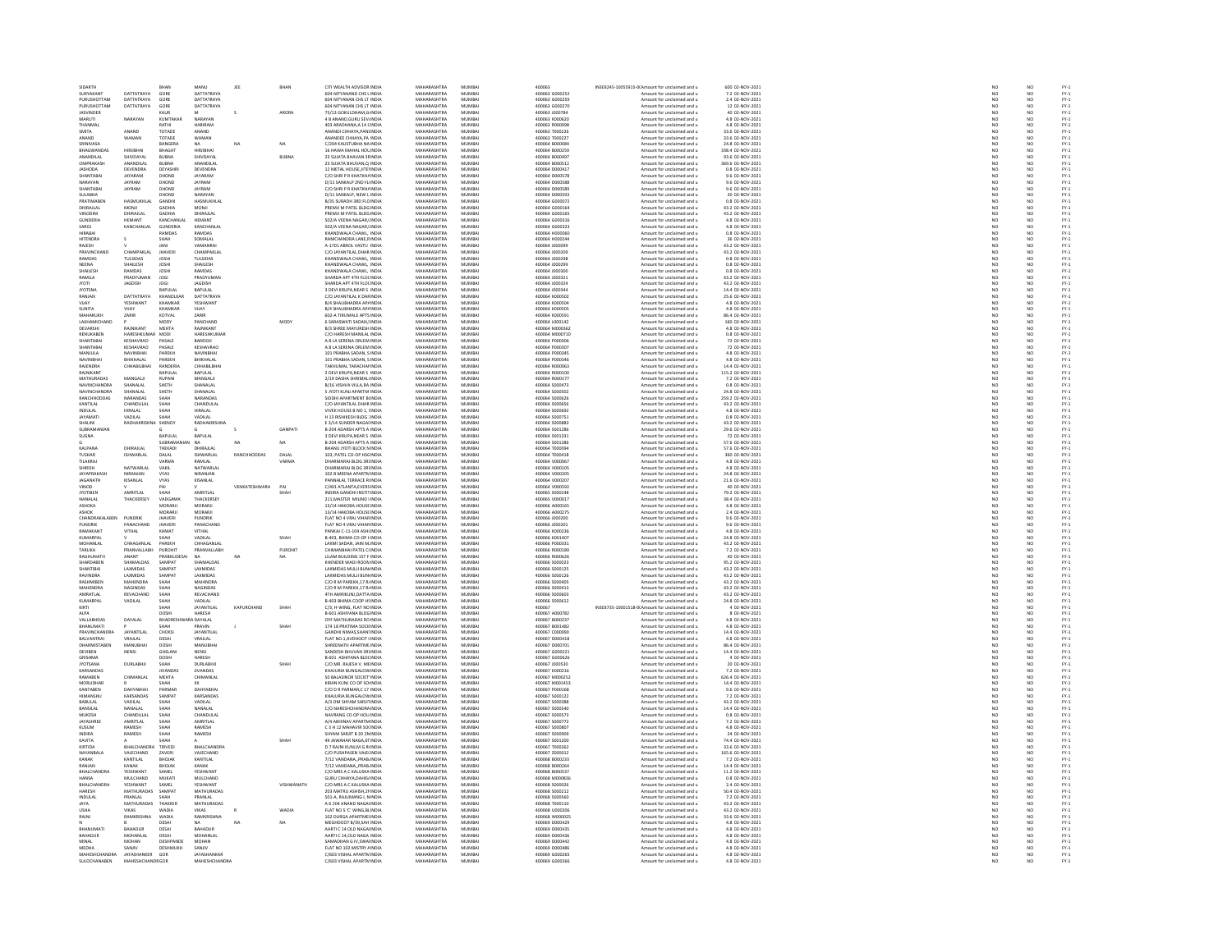| SIDARTH                                   |                              | RHAN                           | MANU                         | JEE           | BHAN                 | CITI WEALTH ADVISOR INDIA                                   | MAHARASHTRA                       | MUMBAI                     | 400063                           | IN303245-10055915-0(Amount for unclaimed and u           | 600 02-NOV-2021                       | NO <sub>1</sub>       | NO                    |                              |
|-------------------------------------------|------------------------------|--------------------------------|------------------------------|---------------|----------------------|-------------------------------------------------------------|-----------------------------------|----------------------------|----------------------------------|----------------------------------------------------------|---------------------------------------|-----------------------|-----------------------|------------------------------|
| SURYAKANT<br>PURUSHOTTAM                  | DATTATRAYA<br>DATTATRAYA     | GORE<br>GORE                   | DATTATRAYA<br>DATTATRAYA     |               |                      | 604 NITYANAND CHS L INDIA<br>604 NITYANAN CHS LT INDIA      | <b>AAHARASHTRA</b>                | MUMBAI<br>MUMBAI           | 400063 G00025                    | Amount for unclaimed and u                               | 7.2 02-NOV-2021<br>2.4 02-NOV-2021    | $\frac{N}{N}$         |                       | FY-3<br>FY-3                 |
| PURLISHOTTAM                              | DATTATRAYA                   | GORE                           | DATTATRAYA                   |               |                      | 604 NITYANAN CHS IT INDIA                                   | MAHARASHTRA<br>MAHARASHTRA        | MUMRAL                     | 400063 G000259<br>400063 G000270 | Amount for unclaimed and u<br>Amount for unclaimed and u | 12.02-NOV-2021                        | NO                    | NQ                    |                              |
| <b>JASVINDER</b>                          |                              |                                |                              |               | ARORA                | 75/13 GOKULDHAM,G INDIA                                     | MAHARASHTRA                       | MUMBA                      | 400063 J000784                   | Amount for unclaimed and u                               | 40 02-NOV-2021                        |                       |                       | FY-3<br>FY-3                 |
| MARUTI                                    | NARAYAN                      | KUMTAKAR                       | NARAYAN                      |               |                      | 4 B ANAND GURU SEV INDIA                                    | MAHARASHTRA                       | MUMBAI                     | 400063 K000620                   | Amount for unclaimed and u                               | 4.8 02-NOV-2021                       | NO <sub>1</sub>       | NO <sub>1</sub>       |                              |
|                                           |                              | RATHI                          | <b>ARIRAN</b>                |               |                      | 403 ARADHANA, A 14 CINDL                                    | <b>MAHARASHTR</b>                 | <b>VIUMBA</b>              | 100063 R00009                    | Amount for unclaimed and u                               | 4.8 02-NOV-2023                       | NO                    |                       | FY-3<br>FY-3                 |
| SMITA                                     | ANAND                        | TOTADE                         | ANAND                        |               |                      | ANANDI CHHAYA.PANI INDIA                                    | MAHARASHTRA                       | MUMBAI                     | 400063 T000226                   | Amount for unclaimed and u                               | 33.6 02-NOV-2021                      | NO <sub>1</sub>       | NO <sub>1</sub>       | FY-1<br>FY-1                 |
| ANAND<br>SRINIVASA                        | <b>WAMAN</b>                 | TOTADE<br>BANGERA              | <b>WAMAN</b><br><b>NA</b>    | NA            | NA                   | ANANDEE CHHAYA, PA INDI<br>C/204 KAUSTUBHA NA INDIA         | <b>MAHARASHTRA</b><br>MAHARASHTRA | MUMBA<br>MUMBAI            | 00063 T00022<br>400064 B000084   | Amount for unclaimed and u<br>Amount for unclaimed and u | 33.6 02-NOV-2021<br>24.8 02-NOV-2021  |                       | NO                    |                              |
| <b>RHAGWANDAS</b>                         | <b>HIRIIRHA</b>              | RHAGAT                         | HIRIIRHAI                    |               |                      | 16 HAWA MAHAL HOL INDIA                                     | MAHARASHTRA                       | MUMRAL                     | 400064 8000259                   | Amount for unclaimed and u                               | 338.4.02-NOV-2021                     | NC<br>NC              | NO                    | FY-1<br>FY-1<br>FY-1         |
| ANANDILAL                                 | <b>SHIVDAYA</b>              | BUBNA                          | <b>SHIVDAYA</b>              |               | <b>BUBNA</b>         | 23 SUJATA BHAVAN 3F INDL                                    | MAHARASHTRA                       | MUMBA                      | 400064 B00049                    | Amount for unclaimed and u                               | 93.6 02-NOV-2021                      | NO                    | NO                    |                              |
| <b>OMPRAKASE</b>                          | ANANDILAL                    | <b>BUBNA</b>                   | ANANDILAL                    |               |                      | 23 SUJATA BHUVAN.O INDIA                                    | MAHARASHTRA                       | MUMBAI                     | 400064 B000512                   | Amount for unclaimed and u                               | 369.6 02-NOV-2021                     | NO <sub>1</sub>       | NO <sub>1</sub>       |                              |
| JASHODA                                   | <b>DEVENDRA</b>              | DEYASHE                        | <b>DEVENDRA</b>              |               |                      | 12 METAL HOUSE, JITELINDL                                   | <b>MAHARASHTR</b>                 | MUMBA                      | 100064 D00041                    | Amount for unclaimed and u                               | 0.8 02-NOV-2023                       |                       |                       |                              |
| SHANTABAL<br>NARAYAN                      | JAYARAM<br><b>AYRAM</b>      | DHOND                          | JAYARAM                      |               |                      | C/O SHRI P R KHATKHA INDIA                                  | MAHARASHTRA<br><b>MAHARASHTRA</b> | MUMBAI                     | 400064 D000578                   | Amount for unclaimed and u                               | 9.6 02-NOV-2021                       | NO                    | NO <sub>1</sub>       |                              |
|                                           |                              | DHOND                          | <b>AYRAM</b>                 |               |                      | D/11 SANKALP 2ND FL INDL                                    |                                   | MUMBA                      | 100064 D000588                   | Amount for unclaimed and u                               | 9.6 02-NOV-2021                       | NO                    | NO                    |                              |
| SHANTABAI<br><b>SUI ARHA</b>              | JAYRAM                       | DHOND<br><b>HOND</b>           | JAYRAM<br>NARAYAN            |               |                      | C/O SHRI P R KHATKHA INDIA                                  | MAHARASHTRA<br>MAHARASHTRA        | MUMBAI<br>MUMBA            | 400064 D000589<br>400064 DODD593 | Amount for unclaimed and u                               | 9.6 02-NOV-2021                       | NO                    | NO                    |                              |
| PRATIMABEN                                | HASMUKHLAL                   | GANDH                          | HASMUKHLAI                   |               |                      | D/11 SANKALP, NEW L INDIA<br>B/35 SURADH 3RD FLC INDIA      | MAHARASHTRA                       | MUMBAI                     | 100064 G000072                   | Amount for unclaimed and u<br>Amount for unclaimed and u | 20 02-NOV-2021<br>0.8 02-NOV-2021     |                       | NO<br>NO              |                              |
| DHIRAJLAL                                 | MONJI                        | GADHIA                         | MONJI                        |               |                      | PREMJI M PATEL BLDG INDIA                                   | MAHARASHTRA                       | MUMBAI                     | 400064 G000164                   | Amount for unclaimed and u                               | 43.2 02-NOV-2021                      | NO <sub>1</sub>       | NO <sub>1</sub>       |                              |
| VINODINI                                  | <b>DHIRAJLAL</b>             | <b>GADHIA</b>                  | DHIRAJLAL                    |               |                      | PREMJI M PATEL BLDG INDI                                    | <b>MAHARASHTRA</b>                | MUMBA                      | 00064 G00016                     | Amount for unclaimed and u                               | 43.2 02-NOV-2021                      |                       | NO                    |                              |
| GUNDERIA                                  | <b>HEMANT</b>                | KANCHANLAI                     | HEMANT                       |               |                      | 502/A VEENA NAGAR.(INDIA                                    | MAHARASHTRA                       | MUMBAI                     | 400064 G000316                   | Amount for unclaimed and u                               | 4.8 02-NOV-2021                       | NO                    | NO <sub>1</sub>       |                              |
| SAROJ                                     | CANCHANLAL                   | GUNDERIA                       | KANCHANLA                    |               |                      | 502/A VEENA NAGAR, INDIA                                    | <b>MAHARASHTRA</b>                | MUMRAL                     | 400064 G000323                   | Amount for unclaimed and u                               | 4.8 02-NOV-2021                       | NO                    | NO                    |                              |
| HIRABAI<br><b>HITENDRA</b>                |                              | RAMDAS<br>SHAH                 | RAMDAS<br><b>SOMALAL</b>     |               |                      | KHANDWALA CHAWL, INDIA<br><b>RAMCHANDRA LANE RINDIA</b>     | MAHARASHTRA<br>MAHARASHTRA        | MUMBAI<br>MUMRAL           | 400064 H000060<br>400064 HODD244 | Amount for unclaimed and u                               | 0.8 02-NOV-2021<br>36 02-NOV-2021     | NO<br>NO              | NO                    |                              |
| RAJESH                                    |                              | JANI                           | VAMANRA                      |               |                      | A-1701 ABROL VASTU INDIA                                    | MAHARASHTRA                       | MUMBA                      | 400064 J000099                   | Amount for unclaimed and u<br>Amount for unclaimed and u | 43.2 02-NOV-2021                      | NO                    | NO<br>NO              | FY:<br>FY:                   |
| PRAVINCHAN                                | CHAMPAKLAL                   | <b>IHAVER</b>                  | <b>СНАМРАКІ АІ</b>           |               |                      | C/O IAYANTILAL DHAR INDIA                                   | MAHARASHTRA                       | MUMRAL                     | 400064_000209                    | Amount for unclaimed and u                               | 43.2.02-NOV-2021                      |                       | NO <sub>1</sub>       |                              |
| RAMDAS                                    | .<br>FULSIDAS                |                                | <b>TULSIDAS</b>              |               |                      | ANDWALA CHAWL, INDI                                         | <b>MAHARASHTR</b>                 | MUMBA                      | 00064 J000298                    | Amount for unclaimed and u                               | 0.8 02-NOV-2021                       | NC<br>NC              | $\overline{NQ}$       | FY-1<br>FY-1<br>FY-1<br>FY-1 |
| NEENA                                     | SHAILESH                     | <b>JOSHI</b>                   | SHAILESH                     |               |                      | KHANDWALA CHAWL. INDIA                                      | MAHARASHTRA                       | MUMBAI                     | 400064 J000299                   | Amount for unclaimed and u                               | 0.8 02-NOV-2021                       | NO                    | NO <sub>1</sub>       |                              |
| SHAILESH                                  | <b>CARADAS</b>               |                                | RAMDAS                       |               |                      | KHANDWALA CHAWL, INDI                                       | <b>MAUARACUTRA</b>                | MUMBA                      | 400064 J00030                    | Amount for unclaimed and u                               | 0.8 02-NOV-2021                       | NO                    | NO                    |                              |
| RAMILA<br><b>IYOTI</b>                    | PRADYUMAN<br><b>IAGDISH</b>  | JOG!<br>IOGI                   | PRADYUMAN<br><b>IAGDISH</b>  |               |                      | SHARDA APT 4TH FLOLINDIA<br>SHARDA APT 4TH FLOUNDM          | MAHARASHTRA<br>MAHARASHTRA        | MUMBAI<br>MUMRAL           | 400064 J000321<br>400064 1000324 | Amount for unclaimed and u<br>Amount for unclaimed and u | 43.2 02-NOV-2021<br>43.2 02-NOV-2021  | NO<br>NO              | NO<br>NO <sub>1</sub> |                              |
| <b>JYOTSNA</b>                            |                              | <b>BAPULAL</b>                 | BAPULAL                      |               |                      | 3 DEVI KRUPA, NEAR S INDIA                                  | MAHARASHTRA                       | MUMBAI                     | 400064 J000344                   | Amount for unclaimed and u                               | 14.4 02-NOV-2021                      | NO                    | NO                    | FY:<br>FY:                   |
| RANJAN                                    | DATTATRAYA                   | KHANOLKAR                      | DATTATRAYA                   |               |                      | C/O IAYANTILAL K DARINDIA                                   | MAHARASHTRA                       | MUMRAL                     | 400064 K000502                   | Amount for unclaimed and u                               | 25.6.02-NOV-2021                      | NO                    | $\mathbf{M}$          |                              |
| VUAY                                      | YESHWANT                     | KHAMKAR                        | YESHWANT                     |               |                      | B/4 SHALIBHADRA AP/ INDI                                    | MAHARASHTRA                       | MUMBAI                     | 400064 K00050+                   | Amount for unclaimed and u                               | 4.8 02-NOV-2021                       | $\overline{NC}$       | NO                    |                              |
| SUNITA                                    | VIJAY                        | KHAMKAR                        | VIJAY                        |               |                      | B/4 SHALIBHADRA AP/ INDIA                                   | MAHARASHTRA                       | MUMBAI                     | 400064 K000505                   | Amount for unclaimed and u                               | 4.8 02-NOV-2021                       | NO                    | NO                    | FY-1<br>FY-1<br>FY-1         |
| <b>MAHARLIKE</b>                          | ZARIR                        | KOTVAL                         | ZARIR                        |               |                      | 602-A TIRUMALE APTS INDIA                                   | MAHARASHTRA                       | MUMBAI                     | 100064 K00059                    | Amount for unclaimed and u                               | 86.4 02-NOV-2021                      | NO                    | NO                    | FY-3<br>FY-3                 |
| LAKHAMICHAND<br><b>DEVARSH</b>            | RAINKANT                     | MODY<br><b>MEHTA</b>           | PANCHAND<br><b>RAINIKANT</b> |               | MODY                 | 6 SARASWATI SADAN, INDIA<br><b>B/3 SHREE MAYURESH INDIA</b> | MAHARASHTRA<br>MAHARASHTRA        | MUMBAI<br>MUMRAL           | 400064 L000142<br>400064 MODDREZ | Amount for unclaimed and u<br>Amount for unclaimed and u | 160 02-NOV-2021<br>4.8 02-NOV-2021    | NO<br>NO              | NO<br>NO              |                              |
| RENUKABEN                                 | HARESHKUMA                   | MODI                           | HARESHKUMAR                  |               |                      | C/O HARESH MANILAL INDIA                                    | MAHARASHTRA                       | MUMBA                      | 400064 M000710                   | Amount for unclaimed and u                               | 0.8 02-NOV-2021                       | NO                    | NO                    | FY:<br>FY:                   |
| SHANTARAL                                 | KESHAVRAO                    | PASALE                         | RANDOIL                      |               |                      | A 81 A SERENA ORIEM INDIA                                   | MAHARASHTRA                       | MUMRAL                     | 400064 P000306                   | Amount for unclaimed and u                               | 72.02-NOV-2021                        | NO <sub>1</sub>       | $\mathbf{M}$          |                              |
| SHANTABA                                  | KESHAVRAO                    | PASALE                         | KESHAVRAO                    |               |                      | A 8 LA SERENA ORLEM INDIA                                   | MAHARASHTRA                       | MUMBA                      | 400064 P00030                    | Amount for unclaimed and u                               | 72 02-NOV-2021                        | $\overline{NC}$       | NO                    | FY-)<br>FY-)                 |
| MANJULA                                   | NAVINBHAI                    | PAREKH                         | NAVINBHAI                    |               |                      | 101 PRABHA SADAN, S INDIA                                   | MAHARASHTRA                       | MUMBAI                     | 400064 P000345                   | Amount for unclaimed and u                               | 4.8 02-NOV-2021                       | NO<br>NO              | NO <sub>1</sub>       | FY-1<br>FY-1<br>FY-1         |
| NAVINRHA                                  | <b>BHIKHALAI</b>             | PAREKH                         | <b>RHIKHALAI</b>             |               |                      | 101 PRABHA SADAN, SINDIA                                    | MAHARASHTRA                       | MUMRAL                     | 400064 P000346                   | Amount for unclaimed and u                               | 4.8 02-NOV-2021                       |                       | NO                    |                              |
| RAJENDRA<br><b>RAINIKANT</b>              | CHHABILBHAI                  | RANDERIA<br>RAPHI AI           | CHHABILBHA<br>RAPLILAL       |               |                      | TAKHUMAL TARACHAI INDIA<br>2 DEVI KRUPA, NEAR S INDIA       | MAHARASHTRA<br>MAHARASHTRA        | MUMBAI<br>MUMRAL           | 400064 R000063<br>400064 B000100 | Amount for unclaimed and u<br>Amount for unclaimed and u | 14.4 02-NOV-2021<br>115.2 02-NOV-2021 | NO                    | NO<br>NO <sub>1</sub> |                              |
| MATHURADAS                                | MANGALI                      | RUPANI                         | MANGALI                      |               |                      | 2/19 DASHA SHRIMALI INDIA                                   | MAHARASHTRA                       | MUMBA                      | 400064 R000177                   | Amount for unclaimed and u                               | 7.2 02-NOV-2021                       | NC<br>NC              | NO                    | FY-)<br>FY-)                 |
| <b>NAVINCHANDRA</b>                       | SHANALAI                     | SHETH                          | SHANALAI                     |               |                      | B/16 VISHVA VILLA RA INDIA                                  | MAHARASHTRA                       | MUMRAL                     | 400064 S000473                   | Amount for unclaimed and u                               | 0.8.02-NOV-2021                       | NO                    | NQ                    |                              |
| <b>NAVINCHANDRA</b>                       | SHANALAL                     | SHETH                          | SHANALAL                     |               |                      | 5 JYOTI KUNJ APARTM INDI                                    | MAHARASHTRA                       | MUMBAI                     | 400064 S000502                   | Amount for unclaimed and u                               | 24.8 02-NOV-2021                      | NO                    | NO                    | FY-3<br>FY-3                 |
| RANCHHODDAS                               | NARANDAS                     | SHAH                           | NARANDAS                     |               |                      | SIDDHI APARTMENT BI INDIA                                   | MAHARASHTRA                       | MUMBAI                     | 400064 S000626                   | Amount for unclaimed and u                               | 259.2 02-NOV-2021                     | NO <sub>1</sub>       | NO <sub>1</sub>       | FY-3<br>FY-3                 |
| KANTILAL                                  |                              |                                | CHANDULAL                    |               |                      | C/O JAYANTILAL DHAR INDI                                    | MAHARASHTRA                       | MUMBA                      | 100064 S000656                   | Amount for unclaimed and u                               | 43.2 02-NOV-202:                      |                       |                       |                              |
| <b>INDULAL</b><br><b>JAYAMATI</b>         | HIRALAL<br>LA III AL         | SHAH<br>SHAH                   | <b>HIRALAL</b><br>VADILAI    |               |                      | VIVEK HOUSE B NO 1. INDIA<br>H 13 RISHIKESH BLDG : INDIA    | MAHARASHTRA<br>MAHARASHTRA        | MUMBAI<br>MUMRAL           | 400064 S000692<br>400064 5000751 | Amount for unclaimed and u<br>Amount for unclaimed and u | 4.8 02-NOV-2021<br>0.8 02-NOV-2021    | NO<br>NO              | NO<br>NO              |                              |
| SHALINI                                   | <b>RADHAKRISH</b>            | SHENO                          | <b>RADHAKRISHNA</b>          |               |                      | E 3/14 SUNDER NAGAI INDI                                    | MAHARASHTRA                       | MUMBA                      | 400064 S000883                   | Amount for unclaimed and u                               | 43.2 02-NOV-2021                      | NO                    | NO                    | FY-1<br>FY-1<br>FY-1         |
| SURRAMANI                                 |                              |                                |                              | $\sim$        | GANPATI              | B-204 ADARSH APTS A INDIA                                   | MAHARASHTRA                       | MUMRAL                     | 400064 5001286                   | Amount for unclaimed and u                               | 29.6.02-NOV-2021                      | NO                    | NQ                    |                              |
| SUGNA                                     |                              | BAPULAL                        | BAPULAL                      |               |                      | 3 DEVI KRUPA, NEAR \$ INDIA                                 | MAHARASHTRA                       | MUMBA                      | 400064 S001331                   | Amount for unclaimed and u                               | 72 02-NOV-2021                        | NO                    | NO                    | FY-3<br>FY-3                 |
|                                           |                              | <b>SUBRAMANIA</b>              | <b>NA</b>                    | <b>NA</b>     | NA                   | B-204 ADARSH APTS A INDIA                                   | MAHARASHTRA                       | MUMBAI                     | 400064 S001386                   | Amount for unclaimed and u                               | 57.6 02-NOV-2021                      | NO                    | NO <sub>1</sub>       |                              |
| KALPANA                                   | <b>DHIRAJLAI</b>             | THEKAD                         | DHIRAJLA                     |               |                      | BHANU JYOTI BLOCK N IND                                     | <b>MAHARASHTR</b>                 | MUMBA                      | 00064 T00009                     | Amount for unclaimed and u                               | 57.6 02-NOV-2021                      | NO                    | NO                    | FY-1<br>FY-1<br>FY-1<br>FY-1 |
| <b>TUSHAR</b><br>TILAKRA                  | <b>ISHWARLAL</b>             | DALAL<br><b>ARM</b>            | <b>ISHWARLAL</b><br>RAMLAL   | RANCHHODDAS   | DALAL<br><b>ARMA</b> | 103. PATEL CO-OP HSC INDIA                                  | MAHARASHTRA                       | MUMBAI                     | 400064 T000418                   | Amount for unclaimed and u                               | 360 02-NOV-2021                       | NO <sub>1</sub>       | NO <sub>1</sub>       |                              |
| SHIRISH                                   | NATWARLAI                    | VAKIL                          | NATWARLAI                    |               |                      | DHARMARAJ BLDG 3RJ INDIA<br>DHARMARAJ BLDG 3RJ INDIA        | MAHARASHTRA<br>MAHARASHTRA        | MUMBAI<br>MUMBAI<br>MUMBAI | 400064 V000067<br>400064 V000105 | Amount for unclaimed and u<br>Amount for unclaimed and u | 4.8 02-NOV-2021<br>4.8 02-NOV-2021    | $\frac{N}{N}$         | NO<br>NO              |                              |
| JAYAPRAKASH                               | NIRANJAN                     | VYAS                           | NIRANJAN                     |               |                      | 102 B MEENA APARTN INDIA                                    | MAHARASHTRA                       | MUMBAI                     | 400064 V000205                   | Amount for unclaimed and u                               | 24.8 02-NOV-2021                      | NO                    | NO <sub>1</sub>       |                              |
| JAGANATH                                  | KISANLAL                     | VYAS                           | KISANLAL                     |               |                      | PANNALAL TERRACE R INDI                                     | MAHARASHTRA                       | MUMBA                      | 400064 V00020                    | Amount for unclaimed and u                               | 21.6 02-NOV-2021                      | NO                    | NO                    | FY-3<br>FY-3                 |
| VINOD                                     |                              | PAI                            |                              | VENKATESHWARA | PAI                  | C/401 ATLANTA, EVERS INDIA                                  | MAHARASHTRA                       | MUMBAI                     | 400064 V000592                   | Amount for unclaimed and u                               | 40 02-NOV-2021                        | NO <sub>1</sub>       | NO <sub>1</sub>       |                              |
| JYOTIBEN                                  | <b>MRITLAL</b>               |                                | <b>MRITLAL</b>               |               |                      | NDIRA GANDHI INSTITINDI                                     | <b>MAHARASHTR</b>                 | MUMBA                      | 100065 S000248                   | Amount for unclaimed and u                               | 79.2 02-NOV-2021                      |                       |                       |                              |
| NANALAL                                   | THACKERSEY                   | VADGAMA<br><b>MORARI</b>       | THACKERSEY                   |               |                      | 211.MASTER MILIND I INDIA                                   | MAHARASHTRA<br><b>MAHARASHTRA</b> | MUMBAI<br>MUMRAL           | 400065 V000017                   | Amount for unclaimed and u                               | 38.4 02-NOV-2021                      | NO                    | NO <sub>1</sub>       |                              |
| ASHOKA                                    |                              |                                | MORARIL                      |               |                      | 13/14 HAKOBA HOUSE INDI                                     |                                   |                            | 100006-000165                    | Amount for unclaimed and u                               | 4.8 02-NOV-2021                       | NO                    | NO                    |                              |
| ASHOK<br>CHANDRAKALABEN                   | PUNDRIK                      | MORARJI<br><b>JHAVERI</b>      | MORARJI<br>PUNDRIK           |               |                      | 13/14 HAKOBA HOUSE INDIA<br>FLAT NO 4 VRAJ VIHAR INDIA      | MAHARASHTRA<br>MAHARASHTRA        | MUMBAI<br>MUMBAI           | 400066 A000275<br>400066 J000200 | Amount for unclaimed and u<br>Amount for unclaimed and u | 2.4 02-NOV-2021<br>9.6 02-NOV-2021    | NO<br>NO              | $\frac{NO}{NO}$       |                              |
| PUNDRIK                                   |                              | <b>JHAVER</b>                  | PANACHAND                    |               |                      | FLAT NO 4 VRAJ VIHAR INDI                                   | MAHARASHTRA                       | MUMBA                      | 400066 J00020:                   | Amount for unclaimed and u                               | 9.6 02-NOV-2021                       | NO                    | NO                    |                              |
| RAMAKANT                                  | <b>VITHAL</b>                | KAMAT                          | <b>VITHAL</b>                |               |                      | PANKAJ C-11-104 ASHI INDIA                                  | MAHARASHTRA                       | MUMBAI                     | 400066 K000236                   | Amount for unclaimed and u                               | 4.8 02-NOV-2021                       | NO <sub>1</sub>       | NO <sub>1</sub>       |                              |
| KUMARPA                                   |                              |                                | VADILAL                      |               |                      | B-403, BHIMA CO-OP HNDL                                     | <b>MAHARASHTRA</b>                | MUMBA                      | 00066 K00140                     | Amount for unclaimed and u                               | 24.8 02-NOV-2021                      |                       | NO                    |                              |
| MOHANLAL                                  | CHHAGANLAL                   | PAREKH                         | CHHAGANLAI                   |               |                      | LAXMI SADAN, JAIN M INDIA                                   | MAHARASHTRA<br>MAUARASUTRA        | MUMBAI                     | 400066 P000331                   | Amount for unclaimed and u                               | 43.2 02-NOV-2021                      | NO                    | NO <sub>1</sub>       |                              |
| TARLIKA                                   | PRANVALLABI<br>ANANT         | PUROHIT                        | PRANVALLABH<br>NA            | <b>NA</b>     | PUROHIT              | CHIMANBHAI PATEL CHNDIA                                     |                                   | MUMBAI                     | 400066 R000189                   | Amount for unclaimed and u                               | 7.2 02-NOV-2021                       | NO                    | NO                    |                              |
| <b>RAGHUNATH</b><br><b>SHARDARE</b>       | SHAMALDAS                    | PRABHUDESAI<br>SAMPAT          | SHAMALDAS                    |               | NA                   | LILAM BUILDING 1ST F INDIA<br>KHENDER WADI ROOM INDIA       | MAHARASHTRA<br>MAHARASHTRA        | MUMBAI<br>MUMRAL           | 400066 R000626<br>ESOODE AAOOD   | Amount for unclaimed and u<br>Amount for unclaimed and u | 40 02-NOV-2021                        | NO<br>NO              | NO<br>NO              |                              |
| SHANTIBAI                                 | LAXMIDAS                     | SAMPA'                         | LAXMIDAS                     |               |                      | LAXMIDAS MULJI BUN INDIA                                    | MAHARASHTRA                       | MUMBA                      | 400066 S000125                   | Amount for unclaimed and u                               | 95.2 02-NOV-2021<br>43.2 02-NOV-2021  | NO                    | NO                    |                              |
| <b>RAVINDRA</b>                           | LAXMIDAS                     | SAMPAT                         | LAXMIDAS                     |               |                      | LAXMIDAS MULJI BUN INDIA                                    | MAHARASHTRA                       | MUMBAI                     | 400066 S000126                   | Amount for unclaimed and u                               | 43.2 02-NOV-2021                      | NO                    | NO <sub>1</sub>       |                              |
| <b>PASUARIDER</b>                         | <b>MAHENDRA</b>              |                                | <b>MAHINDRA</b>              |               |                      | C/O R M PAREKH, 17 R INDIA                                  | <b>MAHARASHTRA</b>                | MUMBA                      | 100066 S00040                    | Amount for unclaimed and u                               | 43.2 02-NOV-2021                      |                       |                       |                              |
| MAHENDRA<br>AMRATI AL                     | NAGINDAS                     | SHAH                           | NAGINDAS                     |               |                      | C/O R M PAREKH, 17 R INDIA                                  | MAHARASHTRA<br>MAHARASHTRA        | MUMBAI<br>MUMRAL           | 400066 S000413                   | Amount for unclaimed and u                               | 43.2 02-NOV-2021                      | NO                    | NO                    | PY-1<br>PY-1<br>PY-1<br>PY-1 |
| KUMARPAL                                  | REVACHAND<br>VADILAL         | SHAH<br>SHAH                   | REVACHAND<br>VADILAL         |               |                      | 4TH AMRIKUNJ.DATTA INDIA<br>B-403 BHIMA COOP HSINDIA        | MAHARASHTRA                       | MUMBAI                     | 000066 \$00060<br>400066 S000612 | Amount for unclaimed and u<br>Amount for unclaimed and u | 43.2 02-NOV-2021<br>24.8 02-NOV-2021  | NO<br>NO              | NO<br>NO              |                              |
| KIRTI                                     |                              | SHAH                           | <b>JAYANTILAI</b>            | KAPURCHAND    | SHAH                 | C/3. H-WING, FLAT NO INDIA                                  | MAHARASHTRA                       | MUMRAL                     | 400067                           | IN303735-10001518-0(Amount for unclaimed and u           | 4 02-NOV-2021                         | NO                    | NO <sub>1</sub>       |                              |
| <b>ALPA</b>                               |                              | DOSH                           | HARESH                       |               |                      | B-601 ASHIYANA BLDG INDIA                                   | MAHARASHTRA                       | MUMBAI                     | 400067 A000782                   | Amount for unclaimed and u                               | 8 02-NOV-2021                         | NO                    | NO <sub>1</sub>       | FY-3<br>FY-3                 |
| VALLARHDAS                                | DAVALAL                      | <b>RHADRES</b>                 | IA DAYALAI                   |               |                      | OFF MATHLIRADAS ROINDIA                                     | MAHARASHTRA                       | MUMRAL                     | 400067 8000237                   | Amount for unclaimed and u                               | 4.8.02-NOV-2021                       | NC<br>NC              | NO<br>NO              |                              |
| HANLIMATI                                 |                              |                                | PRAVII                       |               |                      | 174 18 PRATIMA SOCII INDIA                                  | <b>MAHARASHTP</b>                 | MUMRAL                     | 100067 B00148                    | Amount for unclaimed and u                               | 4.8 02-NOV-2021                       |                       |                       | FY-1<br>FY-1<br>FY-1         |
| <b>PRAVINCHANDRA</b><br><b>BALVANTRAL</b> | <b>JAYANTILAL</b><br>VRAJLAL | CHOKSI<br>DESAI                | JAYANTILAL<br>VRAILAL        |               |                      | GANDHI NIWAS, SHAN' INDIA<br>FLAT NO.1, AVDHOOT (INDIA      | MAHARASHTRA<br>MAHARASHTRA        | MUMBAI<br>MUMBAI           | 400067 C000090<br>400067 D000418 | Amount for unclaimed and u                               | 14.4 02-NOV-2021                      | NO<br>NO              | NO                    |                              |
| DHARMISTABEN                              | MANUBHAI                     | DOSHI                          | MANUBHAI                     |               |                      | SHREENATH APARTME INDIA                                     | MAHARASHTRA                       | MUMBAI                     | 400067 D000701                   | Amount for unclaimed and u<br>Amount for unclaimed and u | 4.8 02-NOV-2021<br>86.4 02-NOV-2021   | NO                    | NO<br>NO              | FY-3<br>FY-3                 |
| <b>DEVIREN</b>                            | NENSI                        | GHFLAN                         | NENSI                        |               |                      | SANDESH RHLIVAN 3RLINDIA                                    | MAHARASHTRA                       | MUMRAL                     | 400067 6000221                   | Amount for unclaimed and u                               | 14.4.02-NOV-2021                      | NO                    | $\mathbf{M}$          |                              |
| GRISHMA                                   |                              | DOSHI                          | HARESH                       |               |                      | B-601 ASHIYANA BLD( INDIA                                   | MAHARASHTRA                       | MUMBA                      | 400067 G000626                   | Amount for unclaimed and u                               | 4 02-NOV-2021                         | NO                    | NO                    | FY-3<br>FY-3                 |
| <b>IVOTSANA</b>                           | <b>DURLARHI</b>              | SHAH                           | DURLARHI                     |               | SHAH                 | C/O MR RAIFSH V MF INDIA                                    | MAHARASHTRA                       | MUMRAL                     | 400067 1000530                   | Amount for unclaimed and u                               | 20.02-NOV-2021                        | NO                    | NQ                    |                              |
| KARSANDA<br>RAMABEN                       | CHIMANLAL                    | MEHTA                          | <b>JIVANDAS</b><br>CHIMANLAL |               |                      | KHAJURIA BUNGALOW INDI<br>50 BALASINOR SOCIET INDIA         | MAHARASHTRA<br>MAHARASHTRA        | MUMBA<br>MUMBAI            | 400067 K000216<br>400067 M000252 | Amount for unclaimed and u<br>Amount for unclaimed and u | 7.2 02-NOV-2021<br>626.4 02-NOV-2021  | NO                    | NO<br>NO              | FY-1<br>FY-1<br>FY-1         |
| <b>MORLIDHAL</b>                          |                              | <b>CUAU</b>                    |                              |               |                      | KIRAN KUNI CO OP SO INDIA                                   | MAHARASHTRA                       | MUMRAL                     | 400067 M001453                   | Amount for unclaimed and u                               | 14.4 02-NOV-2021                      | NO                    | NO <sub>1</sub>       |                              |
| KANTABEN                                  | <b>DAHYABH</b>               | PARMAR                         | DAHYABHA                     |               |                      | C/O D R PARMAR, C 17 INDIA                                  | MAHARASHTRA                       | MUMBAI                     | 400067 P000168                   | Amount for unclaimed and u                               | 9.6 02-NOV-2021                       | NO                    | NO                    | FY-3<br>FY-3                 |
| <b>HIMANSHI</b>                           | KARSANDAS                    | SAMPAT                         | KARSANDAS                    |               |                      | KHAJURIA BUNGALOW INDIA                                     | MAHARASHTRA                       | MUMRAL                     | 400067 5000122                   | Amount for unclaimed and u                               | 7.2.02-NOV-2021                       | NO                    | $\mathbf{M}$          | FY-)<br>FY-)                 |
| BABULAL                                   | VADILAL                      | SHAH                           | VADILAL                      |               |                      | A/3 OM SHYAM SARJITINDIA                                    | MAHARASHTRA                       | MUMBA                      | 400067 S000388                   | Amount for unclaimed and u                               | 43.2 02-NOV-2021                      | NO                    | NO                    |                              |
| RANSI AL                                  | NANAL AL                     | SHAH                           | NANALAI                      |               |                      | C/O NARESHCHANDRAINDIA                                      | MAHARASHTRA                       | MUMRAL                     | 400067 S000540                   | Amount for unclaimed and u                               | 14.4.02-NOV-2021                      | NO                    | NQ                    |                              |
| MUKESH<br>JAYASHREE                       | CHANDULA<br><b>AMRITLAL</b>  | SHAH<br>SHAH                   | CHANDULAL<br>AMRITLAL        |               |                      | NAVRANG CO OP HOU INDIA<br>A/4 ABHINAV APARTM INDIA         | MAHARASHTRA<br>MAHARASHTRA        | MUMBAI<br>MUMBAI           | 400067 S000573<br>400067 S000772 | Amount for unclaimed and u<br>Amount for unclaimed and u | 0.8 02-NOV-2021<br>7.2 02-NOV-2021    | NO<br>NO <sub>1</sub> | NO<br>NO <sub>1</sub> |                              |
| KUSUM                                     | <b>AMESH</b>                 |                                | RAMESH                       |               |                      | C 3 H 12 MAHAVIR SOLINDI                                    | <b>MAHARASHTR</b>                 | MUMBA                      | 00067 S00080                     | Amount for unclaimed and u                               | 4.8 02-NOV-2021                       |                       |                       | FY-1<br>FY-1<br>FY-1<br>FY-1 |
| <b>INDIRA</b>                             | RAMESH                       | SHAH                           | RAMESH                       |               |                      | SHYAM SARJIT B 20 2N INDIA                                  | MAHARASHTRA                       | MUMBAI                     | 400067 S000909                   | Amount for unclaimed and u                               | 24 02-NOV-2021                        | NO                    | NO<br>NO              |                              |
| KAVITA                                    |                              | SHAH                           |                              |               | SHAH                 | 49 IAWAHAR NAGA 61 INDIA                                    | MAHARASHTRA                       | MUMRAL                     | 400067 5001200                   | Amount for unclaimed and u                               | 74 4 02-NOV-2021                      | NO                    | $\mathbf{M}$          | FY-)<br>FY-)                 |
| KIRTIDA                                   | <b>BHALCHANDRA</b>           | TRIVED                         | BHALCHANDRA                  |               |                      | D 7 RAINI KUNJ,M G RHNDIA                                   | MAHARASHTRA                       | MUMBAI                     | 400067 T000262                   | Amount for unclaimed and u                               | 33.6 02-NOV-2021                      | NO                    | NO                    |                              |
| NAYANBALA<br>KANAK                        | VAJECHAND<br>KANTILAL        | ZAVERI                         | VAJECHAND<br>KANTILAL        |               |                      | C/O PUSHPASEN VAJE( INDIA<br>7/12 VANDANA, PRAB INDIA       | MAHARASHTRA<br>MAHARASHTRA        | MUMBAI<br>MUMBA            | 400067 2000012<br>400068 B000233 | Amount for unclaimed and u                               | 165.6 02-NOV-2021<br>7.2 02-NOV-2021  | NO <sub>1</sub>       | NO <sub>1</sub>       |                              |
| RANJAN                                    | KANAK                        | <b>BHOJAI</b><br><b>BHOJAK</b> | KANAK                        |               |                      | 7/12 VANDANA, PRAB INDIA                                    | MAHARASHTRA                       | MUMBAI                     | 400068 B000264                   | Amount for unclaimed and u<br>Amount for unclaimed and u | 14.4 02-NOV-2021                      | NO <sub>1</sub>       | NO <sub>1</sub>       | PY-1<br>PY-1<br>PY-1<br>PY-1 |
| <b>BHALCHANDR</b>                         | <b>YESHWAN</b>               | SAME                           | ESHWANT                      |               |                      | C/O MRS A C KALUSKA INDI                                    | <b>MAHARASHTRA</b>                | MUMBA                      | 100068 B000537                   | Amount for unclaimed and u                               | 11.2 02-NOV-2021                      |                       | NO                    |                              |
| <b>HANSA</b>                              | MULCHAND                     | MUKAT                          | MULCHAND                     |               |                      | GURU CHHAYA DAHISJ INDIA                                    | MAHARASHTRA                       | MUMBAI                     | 400068 M000836                   | Amount for unclaimed and u                               | 0.8 02-NOV-2021                       |                       |                       |                              |
| <b>RHALCHANDRA</b>                        | <b>YESHWANT</b>              | SAMEL                          | <b>YESHWANT</b>              |               | <b>VISHWANATH</b>    | C/O MRS A C KALLISKA INDIA                                  | MAHARASHTRA                       | MUMRAL                     | 400068 S000026                   | Amount for unclaimed and u                               | 2.4.02-NOV-2021                       | NO<br>NO              | NO<br>NO              |                              |
| HARESH                                    | MATHURADAS                   | SAMPA <sup>®</sup>             | MATHURADAS                   |               |                      | 203 MATRU ASHISH, 21 INDIA                                  | MAHARASHTRA                       | MUMBA                      | 400068 S000212                   | Amount for unclaimed and u                               | 50.4 02-NOV-2021                      | NO                    | NO                    |                              |
| <b>INDULAL</b><br>JAYA                    | PRANLAL<br>MATHURADAS        | SHAH<br>THAKKER                | PRANLAL<br>MATHURADAS        |               |                      | 501-A. RAJUMANG I. N INDIA<br>A 6 204 ANAND NAGA INDI       | MAHARASHTRA<br>MAHARASHTRA        | MUMBAI<br>MUMBA            | 400068 S000560<br>00068 T000110  | Amount for unclaimed and u<br>Amount for unclaimed and u | 7.2 02-NOV-2021<br>43.2 02-NOV-2021   | NO <sub>1</sub><br>NO | NO <sub>1</sub><br>NO |                              |
| USHA                                      | <b>VIKAS</b>                 | WADIA                          | <b>VIKAS</b>                 |               | WADIA                | FLAT NO 5 'C' WING BLINDIA                                  | MAHARASHTRA                       | MUMBAI                     | 400068 U000206                   | Amount for unclaimed and u                               | 43.2 02-NOV-2021                      | NO <sub>1</sub>       | NO <sub>1</sub>       |                              |
| RAJNI                                     | RAMKRIS                      | WADIA                          | RAMKRISHNA                   |               |                      | 102 DURGA APARTME INDI                                      | <b>MAHARASHTRA</b>                | MUMBA                      | 00068 W000025                    | Amount for unclaimed and u                               | 33.6 02-NOV-2021                      |                       |                       |                              |
|                                           |                              | DESAL                          | NA.                          | NA            | <b>NA</b>            | MEGHDOOT B/39.SAH INDIA                                     | MAHARASHTRA                       | MUMBAI                     | 400069 D000429                   | Amount for unclaimed and u                               | 4.8 02-NOV-2021                       | N <sub>C</sub>        | NO                    | FY-1<br>FY-1<br>FY-1<br>FY-1 |
| <b>QUANIIMATI</b>                         | <b>BAHADLIP</b>              | DESAI<br>DESAI                 | <b>BAHADUR</b>               |               |                      | AARTI C 14 OLD NAGAI INDIA<br>AARTI C 14,0LD NAGA INDIA     | <b>MAHARASHTRA</b>                | MUMBA                      | tonnen nonnat                    | Amount for unclaimed and u<br>Amount for unclaimed and u | 4.8 02-NOV-2021<br>4.8 02-NOV-2021    |                       |                       | FY-1<br>FY-1                 |
| <b>BAHADUR</b><br>MINAL                   | MOHANLAL<br><b>MOHAN</b>     | DESHPANDE                      | MOHANLAL<br><b>MOHAN</b>     |               |                      | SAMADHAN G IV SWALINDIA                                     | MAHARASHTRA<br>MAHARASHTRA        | MUMBA<br>MUMBAI            | 400069 DO0043<br>400069 D000442  | Amount for unclaimed and u                               | 4.8 02-NOV-2021                       | NO <sub>1</sub>       | NO                    |                              |
|                                           |                              | DESHMUKH                       |                              |               |                      | <b>FLAT NO 102 MISTRY A INDIA</b>                           | MAHARASHTRA                       | MUMBA                      | 400069 D00048                    | Amount for unclaimed and u                               | 4.8 02-NOV-2023                       |                       |                       | FY-3<br>FY-3                 |
| MAHESHCHANDRA                             | JAYASHANKER GOR              |                                | JAYASHANKAR                  |               |                      | C/603 VISHAL APARTN INDIA                                   | MAHARASHTRA                       | MUMBAI                     | 400069 G000265                   | Amount for unclaimed and u                               | 4.8 02-NOV-2021                       | NO                    |                       | EY-2                         |
| SULOCHANABEN                              | MAHESHCH                     |                                | MAHESHCHAND                  |               |                      | C/603 VISHAL APARTIV INDIA                                  | <b>MAHARASHTRA</b>                | <b>MUMBA</b>               | 100069 G00026                    | Amount for unclaimed and u                               | 4.8 02-NOV-2023                       |                       |                       |                              |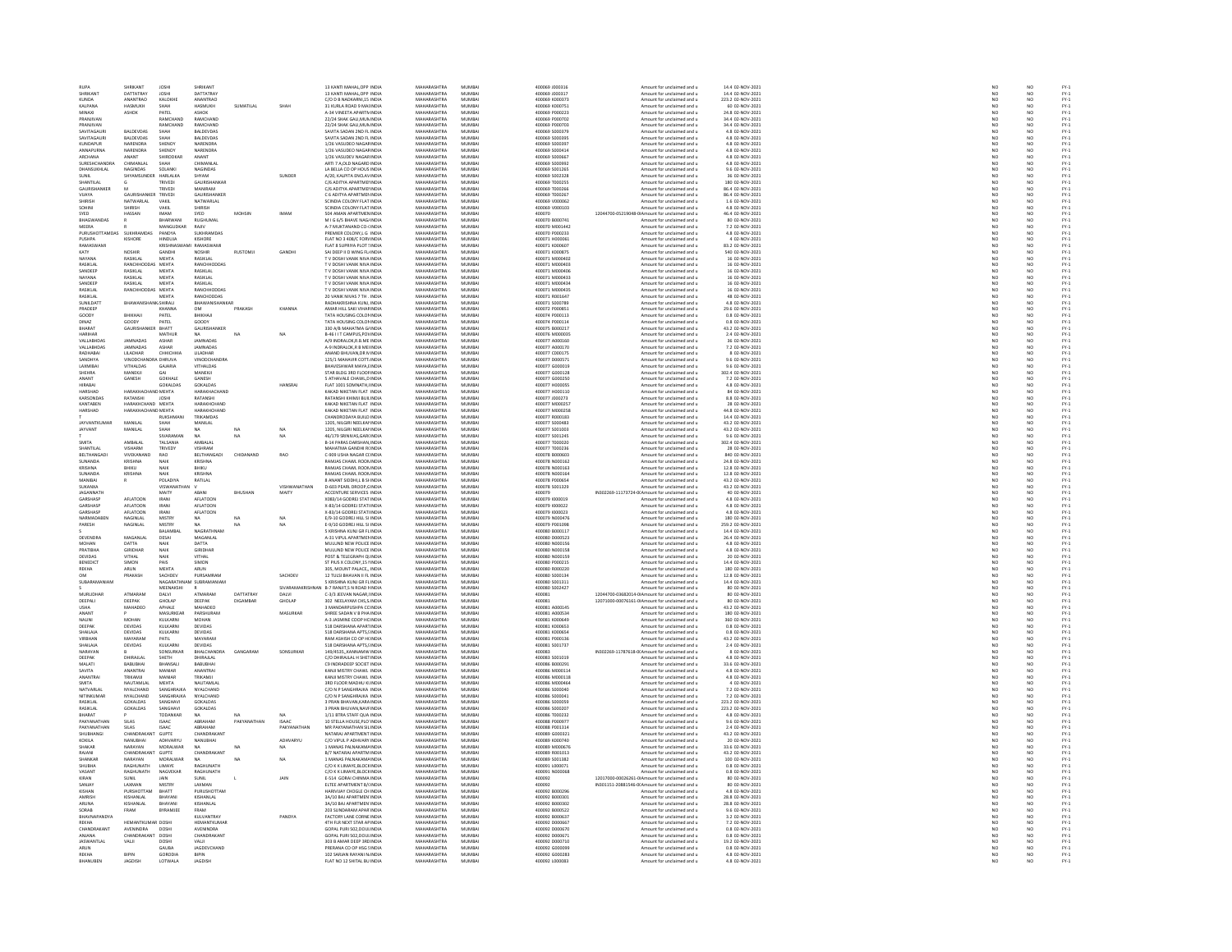| <b>RUPA</b>                        | HRIKANT                               | JOSH                               |                                 |                 |                 | 13 KANTI MAHAL, OPP INDU                                   | MAHARASHTRA                               | MUMBA                      | 400069 J000316                   | Amount for unclaimed and u                                                   | 14.4 02-NOV-2021                                      | NO                                          |                                  |                                                                                                                                                                                                            |
|------------------------------------|---------------------------------------|------------------------------------|---------------------------------|-----------------|-----------------|------------------------------------------------------------|-------------------------------------------|----------------------------|----------------------------------|------------------------------------------------------------------------------|-------------------------------------------------------|---------------------------------------------|----------------------------------|------------------------------------------------------------------------------------------------------------------------------------------------------------------------------------------------------------|
| SHRIKANT<br>KUNDA                  | DATTATRAY<br>ANANTRAO                 | <b>JOSHI</b><br>KALOKHE            | DATTATRAY<br>ANANTRAC           |                 |                 | 13 KANTI MAHAL.OPP INDIA<br>C/O D B NADKARNI 15 INDIA      | MAHARASHTRA<br>MAHARASHTRA                | MUMBAI<br>MUMRAL           | 400069 J000317<br>400069 K00037  | Amount for unclaimed and u<br>Amount for unclaimed and u                     | 14.4 02-NOV-2021<br>223.2 02-NOV-2021                 |                                             | NO <sub></sub><br>$\overline{M}$ |                                                                                                                                                                                                            |
| KALPANA                            | HASMUKH                               | SHAH                               | HASMUKH                         | SUMATILAL       | SHAH            | 31 KURLA ROAD 9 MAI INDIA                                  | MAHARASHTRA                               | MUMBAI                     | 400069 K000753                   | Amount for unclaimed and u                                                   | 60 02-NOV-2021                                        | NC<br>NC<br>NC                              | NO <sub></sub>                   | FY-3<br>FY-3<br>FY-3                                                                                                                                                                                       |
| MINAXI                             | ASHOK                                 | PATEL                              | <b>ASHOK</b>                    |                 |                 | 4-34 VINEETA APARTM INDIA                                  | MAHARASHTRA                               | MUMRAL                     | 400069 P000223                   | Amount for unclaimed and u                                                   | 24.8.02-NOV-2021                                      | N <sub>0</sub>                              | N <sub>0</sub>                   | FY-)<br>FY-)                                                                                                                                                                                               |
| PRANJIVAN<br>PRANJIVAN             |                                       | RAMCHAND<br>RAMCHAND               | RAMCHAND<br>RAMCHAND            |                 |                 | 22/24 SHAK GALI, MUN INDIA<br>22/24 SHAK GALLMUN INDIA     | <b>MAHARASHTRA</b><br>MAHARASHTRA         | MUMBA<br>MUMBAI            | 400069 P000702<br>400069 P000703 | Amount for unclaimed and u<br>Amount for unclaimed and u                     | 34.4 02-NOV-2021<br>34.4 02-NOV-2021                  | NO<br>NO <sub>1</sub>                       | NO<br>NO <sub></sub>             |                                                                                                                                                                                                            |
| SAVITAGAU                          | <b>BALDEVDA</b>                       | SHAH                               | BALDEVDAS                       |                 |                 | SAVITA SADAN 2ND FL INDU                                   | <b>MAHARASHTRA</b>                        | MUMBA                      | 400069 S000379                   | Amount for unclaimed and u                                                   | 4.8 02-NOV-2021                                       | NO                                          | NO                               | FY-3<br>FY-3                                                                                                                                                                                               |
| SAVITAGAURI                        | <b>BALDEVDAS</b>                      | SHAH                               | <b>BALDEVDAS</b>                |                 |                 | SAVITA SADAN 2ND FL INDIA                                  | MAHARASHTRA                               | MUMBAI                     | 400069 S000395                   | Amount for unclaimed and u                                                   | 4.8 02-NOV-2021                                       | NO                                          | NO <sub></sub>                   |                                                                                                                                                                                                            |
| KUNDAPUR<br>ANNAPURNA              | <b>ARENDRA</b><br>NARENDRA            | SHENOY<br>SHENOY                   | <b>JARENDR</b><br>NARENDRA      |                 |                 | 1/26 VASUDEO NAGAFINDI<br>1/26 VASUDEO NAGAF INDIA         | MAHARASHTRA<br>MAHARASHTRA                | MUMBA<br>MUMBAI            | 400069 S00039<br>400069 S000414  | mount for unclaimed and u<br>Amount for unclaimed and u                      | 4.8 02-NOV-2021<br>4.8 02-NOV-2021                    | $\frac{N}{N}$                               | $\frac{N}{N}$                    | FY-1<br>FY-1<br>FY-1                                                                                                                                                                                       |
| <b>ARCHANA</b>                     | <b>ANANT</b>                          | SHIRODKAR                          | ANANT                           |                 |                 | 1/26 VASHIDEV NAGAR INDIA                                  | MAHARASHTRA                               | MUMRAL                     | 400069 S000667                   | Amount for unclaimed and u                                                   | 4.8.02-NOV-2021                                       | NO <sub>1</sub>                             | N <sub>0</sub>                   |                                                                                                                                                                                                            |
| SURESHCHANDR                       | CHIMANLAI                             | SHAH                               | CHIMANLAI                       |                 |                 | ARTI 7 A, OLD NAGARD INDU                                  | MAHARASHTRA                               | MUMBAI                     | 400069 S00099:                   | Amount for unclaimed and u                                                   | 4.8 02-NOV-2021                                       | $\overline{NC}$                             | NO                               | FY-)<br>FY-)                                                                                                                                                                                               |
| DHANSUKHLAL                        | NAGINDAS                              | SOLANKI                            | <b>NAGINDAS</b>                 |                 |                 | LA BELLA CO OP HOUS INDIA                                  | MAHARASHTRA                               | MUMBAI                     | 400069 S001265                   | Amount for unclaimed and u                                                   | 9.6 02-NOV-2021                                       | NO                                          | NO <sub></sub>                   | FY-3<br>FY-3                                                                                                                                                                                               |
| SUNIL<br>SHANTILAL                 | HYAMSUNDER                            | HARLALKA<br>TRIVEDI                | SHYAM<br><b>GAURISHANKAF</b>    |                 | SUNDER          | A/20, KALPITA ENCLAVINDIA<br>C/6 ADITYA APARTMEI INDIA     | MAHARASHTRA<br>MAHARASHTRA                | MUMBA<br>MUMBAI            | 400069 S002328<br>400069 T000255 | Amount for unclaimed and u<br>Amount for unclaimed and u                     | 36 02-NOV-2021<br>180 02-NOV-2021                     | NO<br>NO <sub>1</sub>                       | NO<br>NO <sub></sub>             |                                                                                                                                                                                                            |
| GAURISH                            |                                       | TRIVEDI                            | <b>MANIRAM</b>                  |                 |                 | C/6 ADITYA APARTMEI IND                                    | <b>MAHARASHTRA</b>                        | MUMBA                      | 00069 T00026                     | Amount for unclaimed and u                                                   | 86.4 02-NOV-2021                                      | NO                                          | NO                               | FY-3<br>FY-3                                                                                                                                                                                               |
| VUAYA<br>SHIRISH                   | GAURISHANKER TRIVEDI<br>NATWARLAL     | VAKIL                              | GAURISHANKER<br>NATWARIAI       |                 |                 | C 6 ADITYA APARTMEN INDIA<br>SCINDIA COLONY FLAT INDIA     | MAHARASHTRA<br>MAHARASHTRA                | MUMBAI<br>MUMRAL           | 400069 T000267<br>400069 V000063 | Amount for unclaimed and u<br>Amount for unclaimed and                       | 86.4 02-NOV-2021<br>1.6.02-NOV-2021                   | NO<br>NO                                    | NO<br>NO                         | FY-:<br>FY-:<br>FY-:                                                                                                                                                                                       |
| SOHINI                             | SHIRISH                               | VAKIL                              | SHIRISH                         |                 |                 | SCINDIA COLONY FLAT INDIA                                  | MAHARASHTRA                               | MUMBAI                     | 400069 V000103                   | Amount for unclaimed and u                                                   | 4.8 02-NOV-2021                                       | $\overline{NC}$                             | $\overline{NQ}$                  |                                                                                                                                                                                                            |
| SYED                               | HASSAN                                | <b>IMAM</b>                        | SYED                            | <b>MOHSIN</b>   | <b>IMAM</b>     | 504 AMAN APARTMEN INDIA                                    | MAHARASHTRA                               | MUMBAI                     | 400070                           | 12044700-05219048-0 Amount for unclaimed and u                               | 46.4 02-NOV-2021                                      | $\frac{NO}{NO}$                             | NO <sub></sub>                   |                                                                                                                                                                                                            |
|                                    |                                       | <b>BHARWAM</b>                     | RUGHUMAL                        |                 |                 | M I G 6/5 BHAVE NAG/INDL                                   | <b>MAHARASHTRA</b>                        | MUMBA                      | 400070 B00074                    | Amount for unclaimed and u                                                   | 80 02-NOV-2021                                        |                                             | NO                               | 기 기 기 기 기 기 기 기<br>기 시 시 시 시 시                                                                                                                                                                             |
| MEERA<br>PURUSHOT                  |                                       | MANGUDKAR<br>PANDYA                | RAJIV<br><b>SUKHRAMDA</b>       |                 |                 | A-7 MUKTANAND CO-(INDIA<br>PREMIER COLONY,L G INDU         | MAHARASHTRA<br><b>MAHARASHTRA</b>         | MUMBAI<br>MUMBA            | 400070 M001442<br>400070 P00023  | Amount for unclaimed and u<br>Amount for unclaimed and u                     | 7.2 02-NOV-2021<br>4.8 02-NOV-2021                    | NO <sub>1</sub><br>$\overline{\mathsf{NC}}$ | NO <sub></sub><br>NO             |                                                                                                                                                                                                            |
| PUSHPA                             | KISHORE                               | HINDUJA                            | KISHORE                         |                 |                 | FLAT NO 3 408/C FORVINDIA                                  | MAHARASHTRA                               | MUMBAI                     | 400071 H000061                   | Amount for unclaimed and u                                                   | 4 02-NOV-2021                                         | NO <sub>1</sub>                             | NO <sub></sub>                   |                                                                                                                                                                                                            |
| RAMASWAM                           |                                       | KRISHNASI                          | <b>PARACUIAR</b>                |                 |                 | FLAT 8 SUPRIYA PLOT ! INDI                                 | <b>MAUARASUTRA</b>                        | MUMBAI                     | 400071 K00060                    | Amount for unclaimed and u                                                   | 83.2 02-NOV-2021                                      | NO                                          | NO                               |                                                                                                                                                                                                            |
| KATY<br>NAYANA                     | NOSHIR<br>RASIKLAL                    | GANDHI<br><b>MEHTA</b>             | NOSHIR<br>RASIKLAL              | RUSTOMJI        | GANDHI          | SAI DEEP II D WING FL INDIA<br>T V DOSHI VANIK NIVA INDIA  | MAHARASHTRA<br>MAHARASHTRA                | MUMBAI<br>MUMBAI           | 400071 K000875<br>400071 M000402 | Amount for unclaimed and u<br>Amount for unclaimed and u                     | 540 02-NOV-2021<br>16 02-NOV-2021                     | NO<br>NO                                    | NO<br>NO                         |                                                                                                                                                                                                            |
| RASIKLAL                           | RANCHHODDAS                           | MEHTA                              | RANCHHODDA                      |                 |                 | T V DOSHI VANIK NIVA INDU                                  | MAHARASHTRA                               | MUMBAI                     | 400071 M000403                   | Amount for unclaimed and u                                                   | 16 02-NOV-2021                                        | NO                                          | NO                               |                                                                                                                                                                                                            |
| SANDEEP                            | RASIKLAL                              | MEHTA                              | RASIKLAL                        |                 |                 | T V DOSHI VANIK NIVA INDIA                                 | MAHARASHTRA                               | MUMBAI                     | 400071 M000406                   | Amount for unclaimed and u                                                   | 16 02-NOV-2021                                        | NO                                          | NO <sub></sub>                   |                                                                                                                                                                                                            |
| NAYANA<br>SANDEEP                  | RASIKLAL<br>RASIKLAL                  | MEHTA<br>MEHTA                     | RASIKLAI<br>RASIKLAL            |                 |                 | TV DOSHI VANIK NIVA IND<br>T V DOSHI VANIK NIVA INDIA      | <b>MAHARASHTRA</b><br>MAHARASHTRA         | MUMBA<br>MUMBAI            | 400071 M000433<br>400071 M000434 | Amount for unclaimed and u<br>Amount for unclaimed and u                     | 16 02-NOV-2021<br>16 02-NOV-2021                      | NO<br>NO <sub>1</sub>                       | NO<br>NO.                        |                                                                                                                                                                                                            |
| RASIKLAI                           | <b>ANCHHODDAS</b>                     | MEHTA                              | RANCHHODDA                      |                 |                 | T V DOSHI VANIK NIVA INDU                                  | MAHARASHTRA                               | MUMBAI                     | 400071 M000439                   | Amount for unclaimed and u                                                   | 16 02-NOV-2021                                        | NO                                          | NO                               | PY-1<br>PY-1<br>PY-1<br>PY-1                                                                                                                                                                               |
| RASIKLAL                           |                                       | MEHTA                              | <b>RANCHODDAS</b>               |                 |                 | 20 VANIK NIVAS 7 TH . INDIA                                | MAHARASHTRA                               | MUMBAI                     | 400071 R001647                   | Amount for unclaimed and u                                                   | 48 02-NOV-2021                                        | NO                                          | NO                               |                                                                                                                                                                                                            |
| <b>SUNIFOAT</b><br>PRADEER         | <b>RHAWANIS</b>                       | <b>ANKISHIRALI</b><br><b>KHANN</b> | BHAWANISHANKAI<br>OM            |                 |                 | RADHAKRISHNA KUNI INDIA<br>AMAR HILL SAKI VIHAF IND        | MAHARASHTRA<br><b>MAHARASHTRA</b>         | MUMRAL<br>MUMBAL           | 400071 5000785<br>400072 P00085  | Amount for unclaimed and<br>Amount for unclaimed and u                       | 4.8 02-NOV-2021<br>29.6 02-NOV-2021                   | NC<br>NC                                    | NO<br>NO                         |                                                                                                                                                                                                            |
| GOODY                              | BHIKHAII                              | PATEL                              | BHIKHAII                        |                 |                 | TATA HOUSING COLON INDIA                                   | MAHARASHTRA                               | MUMBAI                     | 400074 P000113                   | Amount for unclaimed and u                                                   | 0.8 02-NOV-2021                                       | NO <sub>1</sub>                             | NO.                              |                                                                                                                                                                                                            |
|                                    | GOODY                                 | PATEL                              | GOODY                           |                 |                 | TATA HOUSING COLOR INDU                                    | <b>MAHARASHTRA</b>                        | MUMBA                      | 400074 P000114                   | Amount for unclaimed and u                                                   | 0.8 02-NOV-2021                                       | NO                                          | NO                               |                                                                                                                                                                                                            |
| BHARAT<br>HARIHA                   | GAURISHANKER BHATT                    | MATHUR                             | <b>GAURISHANKER</b><br>NA.      |                 | NA              | 330 A/B MAHATMA GJ INDIA                                   | MAHARASHTRA<br>MAHARASHTRA                | MUMBAI<br>MUMBAI           | 400075 B000217<br>400076 M00003  | Amount for unclaimed and u                                                   | 43.2 02-NOV-2021<br>2.4 02-NOV-2021                   | NO<br>NO                                    | NO <sub></sub>                   | 1920 - 1920 - 1920 - 1920 - 1920 - 1920<br>1920 - 1920 - 1920 - 1920 - 1920 - 1920 - 1920<br>1920 - 1920 - 1920 - 1920 - 1920 - 1920 - 1920 - 1920 - 1920 - 1920 - 1920 - 1920 - 1920 - 1920 - 1920 - 1920 |
| VALLABHDAS                         | JAMNADAS                              | ASHAR                              | <b>JAMNADAS</b>                 |                 |                 | B-46 I I T CAMPUS, PO\ INDL<br>A/9 INDRALOK,R.B.ME INDIA   | MAHARASHTRA                               | MUMBAI                     | 400077 A000160                   | Amount for unclaimed and u<br>Amount for unclaimed and u                     | 36 02-NOV-2021                                        | NO                                          | NO<br>NO                         |                                                                                                                                                                                                            |
| VALLABHDAS                         | <b>AMNADAS</b>                        | ASHAR                              | <b>IAMNADAS</b>                 |                 |                 | A-9 INDRALOK,R B MEHNDU                                    | MAHARASHTRA                               | MUMBAL                     | 400077 A000170                   | Amount for unclaimed and                                                     | 7.2 02-NOV-2021                                       | NO                                          | NO<br>NO                         |                                                                                                                                                                                                            |
| RADHABAI                           | <b>LILADHAR</b>                       | СННІСННІА                          | LILADHAR                        |                 |                 | ANAND BHUVAN, DR N INDIA                                   | MAHARASHTRA                               | MUMBAI                     | 400077 C000175                   | Amount for unclaimed and u                                                   | 8 02-NOV-2021                                         | NO                                          |                                  |                                                                                                                                                                                                            |
| SANDHYA<br>LAXMIBA                 | VINODCHANDRA DHRUVA<br>VITHALDAS      | GAJARIA                            | VINODCHANDRA<br>VITHALDAS       |                 |                 | 125/1 MAHAVIR COTT INDIA<br>BHAVESHWAR MAYA, EIND          | MAHARASHTRA<br><b>MAHARASHTRA</b>         | MUMBAI<br>MUMBA            | 400077 D000571<br>400077 G00001  | Amount for unclaimed and u<br>Amount for unclaimed and u                     | 9.6 02-NOV-2021<br>9.6 02-NOV-2021                    | NO<br>NO                                    | NO <sub></sub><br>NO             |                                                                                                                                                                                                            |
| SHEHRA                             | MANEKJI                               | GAI                                | MANEKJI                         |                 |                 | STAR BLDG 3RD FLOOF INDIA                                  | MAHARASHTRA                               | MUMBAI                     | 400077 G000128                   | Amount for unclaimed and u                                                   | 302.4 02-NOV-2021                                     | NO <sub>1</sub>                             | NO <sub></sub>                   |                                                                                                                                                                                                            |
| ANANT                              | GANESH                                | GOKHALE                            | GANESH                          |                 |                 | S ATHAVALE CHAWL,D INDU                                    | MAHARASHTRA                               | MUMBAL                     | 400077 G00025                    | Amount for unclaimed and u                                                   | 7.2 02-NOV-2021                                       | NO                                          | NO                               |                                                                                                                                                                                                            |
| HIRABAI                            | HARAKHACHAND MEHTA                    | GOKALDAS                           | GOKALDAS                        |                 | HANSRAJ         | FLAT 1001 SOMNATH, INDIA                                   | MAHARASHTRA<br>MAHARASHTRA                | MUMBAI                     | 400077 H000055                   | Amount for unclaimed and u                                                   | 4.8 02-NOV-2021                                       | NO                                          | NO                               |                                                                                                                                                                                                            |
| HARSHAD<br>KARSONDAS               | RATANSHI                              | JOSHI                              | <b>JARAKHACHAND</b><br>RATANSHI |                 |                 | KAKAD NIKETAN FLAT INDU<br>RATANSHI KHIMJI BUILINDIA       | MAHARASHTRA                               | MUMBAL<br>MUMBAI           | 400077 H000110<br>400077 J000273 | Amount for unclaimed and<br>Amount for unclaimed and u                       | 84 02-NOV-2021<br>8.8 02-NOV-2021                     | NO<br>NO                                    | NO<br>NO                         | 기 구 구 구 구 구 구 구 구<br>- 기 조 조 조 조 조 조                                                                                                                                                                       |
| KANTAREN                           | HARAKHCHAND MEHTA                     |                                    | HARAKHCHAND                     |                 |                 | KAKAD NIKETAN FLAT INDIA                                   | MAHARASHTRA                               | MUMRAL                     | 400077.M000253                   | Amount for unclaimed and u                                                   | 28 02-NOV-2021                                        | NO                                          | NO <sub>1</sub>                  |                                                                                                                                                                                                            |
| HARSHAD                            | HARAKHACHAND MEHTA                    |                                    | HARAKHCHAND                     |                 |                 | KAKAD NIKETAN FLAT INDIA                                   | MAHARASHTRA                               | MUMBAI                     | 400077 M000258                   | Amount for unclaimed and u                                                   | 44.8 02-NOV-2021                                      | NO                                          | NO                               |                                                                                                                                                                                                            |
| <b>IAYVANTKUMAR</b>                | MANI AI                               | RUKSHMANI<br>SHAH                  | TRIKAMDAS<br><b>MANILAL</b>     |                 |                 | CHANDRODAYA BUILD INDIA<br>1205, NILGIRI NEELKAI IND       | MAHARASHTRA<br><b>MAHARASHTRA</b>         | MUMBAI<br>MUMBAI           | 400077 R000183<br>400077 S000483 | Amount for unclaimed and u<br>Amount for unclaimed and u                     | 14.4 02-NOV-2021<br>43.2 02-NOV-2021                  | NO <sub>1</sub><br>NO                       | NO.<br>NO                        |                                                                                                                                                                                                            |
| JAYVANT                            | MANILAL                               | SHAH                               | NA                              |                 |                 | 1205, NILGIRI NEELKAI INDIA                                | MAHARASHTRA                               | MUMBAI                     | 400077 S001003                   | Amount for unclaimed and u                                                   | 43.2 02-NOV-2021                                      | NO                                          | NO                               |                                                                                                                                                                                                            |
|                                    |                                       | SIVARAMAN                          | NA                              | NA              | NA              | 46/179 SRINIVAS.GAR INDIA                                  | MAHARASHTRA                               | MUMRAL                     | 400077 S001245                   | Amount for unclaimed and                                                     | 9.6 02-NOV-2021                                       | NO                                          | NO                               |                                                                                                                                                                                                            |
| SMITA                              | AMBALAL                               | TALSANIA                           | AMBALAL                         |                 |                 | B-14 PARAS DARSHAN, INDIA                                  | MAHARASHTRA                               | MUMBAI                     | 400077 T000020                   | Amount for unclaimed and u                                                   | 302.4 02-NOV-2021                                     | NO                                          | NO                               |                                                                                                                                                                                                            |
| <b>SHANTILAL</b><br>BELTHANGAD     | VISHARM<br>VIVEKANANI                 | TRIVEDY<br>RAO                     | VISHRAM<br>BELTHANGAD           | CHIDANAND       | <b>RAO</b>      | MAHATMA GANDHI RI INDIA<br>C-909 USHA NAGAR CLINDIA        | MAHARASHTRA<br>MAHARASHTRA                | MUMRAL<br>MUMBAI           | 400077 T000236<br>400078 B000603 | Amount for unclaimed and u<br>Amount for unclaimed and u                     | 28 02-NOV-2021<br>840 02-NOV-2021                     | NO<br>NO                                    | NO<br>NO                         | FY:<br>FY:                                                                                                                                                                                                 |
| SUNANDA                            | KRISHNA                               | NAIK                               | KRISHNA                         |                 |                 | RAMIAS CHAWL ROOMINDIA                                     | MAHARASHTRA                               | MUMRAL                     | 400078. NO00162                  | Amount for unclaimed and u                                                   | 24 8 02-NOV-2021                                      |                                             |                                  |                                                                                                                                                                                                            |
|                                    |                                       |                                    | <b>HIKL</b>                     |                 |                 | <b>RAMJAS CHAWL ROOMINDL</b>                               | MAHARASHTRA                               | MUMBA                      | 00078 N00016                     | mount for unclaimed and u                                                    | 12.8 02-NOV-2021                                      | NC<br>NC                                    | NO<br>NO                         |                                                                                                                                                                                                            |
| SUNANDA<br>MANIRA                  | <b>KRISHNA</b>                        | NAIK                               | KRISHNA                         |                 |                 | RAMJAS CHAWL ROOMINDIA                                     | MAHARASHTRA<br>MAHARASHTRA                | MUMBAI<br>MUMRAL           | 400078 N000164<br>400078 P000654 | Amount for unclaimed and u                                                   | 12.8 02-NOV-2021                                      | $\frac{NO}{NO}$                             | NO                               | FY-1<br>FY-1<br>FY-1<br>FY-1                                                                                                                                                                               |
| SUKANXA                            |                                       | POLADIYA<br>VISWANATHAN            | RATILAL                         |                 | VISHWANATHAN    | 8 ANANT SIDDHI,L B SHNDL<br>D-603 PEARL DROOP, CINDIA      | MAHARASHTRA                               | MUMBAI                     | 400078 S001329                   | Amount for unclaimed and<br>Amount for unclaimed and u                       | 43.2 02-NOV-2021<br>43.2 02-NOV-2021                  | NO                                          | NO<br>NO                         |                                                                                                                                                                                                            |
|                                    |                                       | MAITY                              | ARANI                           | <b>BHITSHAN</b> | MAITY           | ACCENTURE SERVICES INDIA                                   | MAHARASHTRA                               | MUMRAL                     | 400079                           |                                                                              | 40 02-NOV-2021                                        | NO                                          |                                  |                                                                                                                                                                                                            |
| <b>IAGANNATI</b>                   |                                       |                                    |                                 |                 |                 |                                                            |                                           |                            |                                  | IN302269-11173724-0(Amount for unclaimed and u                               |                                                       |                                             |                                  |                                                                                                                                                                                                            |
| GARSHASP                           | AFLATOON                              | <b>IRANI</b>                       | AFLATOON                        |                 |                 | X083/14 GODREJ STAT INDIA                                  | MAHARASHTRA                               | MUMBAI                     | 400079 1000019                   | Amount for unclaimed and u                                                   | 4.8 02-NOV-2021                                       | NO                                          | NO<br>NO                         | FY-3<br>FY-3                                                                                                                                                                                               |
| <b>GARSHASP</b>                    | AFLATOON                              | <b>IRANI</b>                       | <b>AFI ATOON</b>                |                 |                 | X-83/14 GODRELSTATUNDIA                                    | MAHARASHTRA                               | MUMRAL                     | 400079 1000022                   | Amount for unclaimed and u                                                   | 4.8.02-NOV-2021                                       |                                             | N <sub>0</sub>                   |                                                                                                                                                                                                            |
| GARSHASP                           | AFLATOON                              | IRANI                              | AFLATOON<br>NA.                 |                 |                 | X-83/14 GODREJ STATI INDU                                  | MAHARASHTRA                               | MUMBAI                     | 400079 1000023                   | Amount for unclaimed and u                                                   | 4.8 02-NOV-2021                                       | NC<br>NC                                    |                                  |                                                                                                                                                                                                            |
| NARMADABEN<br>PARESH               | NAGINLAL<br>NAGINLAL                  | <b>MISTRY</b><br><b>MISTRY</b>     | NΔ.                             |                 | NA<br>NA        | E/9-10 GODREJ HILL SI INDIA<br>E-9/10 GODREJ HILL SI INDIA | MAHARASHTRA<br>MAHARASHTRA                | MUMBAI<br>MUMBAL           | 400079 N000476<br>400079 P00109  | Amount for unclaimed and u<br>Amount for unclaimed and                       | 180 02-NOV-2021                                       | NO                                          | $\frac{N}{N}$                    | FY-1<br>FY-1<br>FY-1                                                                                                                                                                                       |
|                                    |                                       | BALAMBAL                           | NAGRATHNAM                      |                 |                 | 5 KRISHNA KUNJ GR FLINDIA                                  | MAHARASHTRA                               | MUMBAI                     | 400080 B000117                   | Amount for unclaimed and u                                                   | 259.2 02-NOV-2021<br>14.4 02-NOV-2021                 | NO<br>NO                                    | NO<br>NO                         | FY:<br>FY:                                                                                                                                                                                                 |
| DEVENDRA                           | MAGANI AI                             | DESAL                              | MAGANI AL                       |                 |                 | 4-31 VIPUL APARTMENINDIA                                   | MAHARASHTRA                               | MUMRAL                     | 400080 DO00523                   | Amount for unclaimed and u                                                   | 26.4 02-NOV-2021                                      | NO                                          | NO <sub>1</sub>                  |                                                                                                                                                                                                            |
| MOHAN<br>PRATIBHA                  | <b>DATTA</b><br>GIRIDHAR              | NAIK<br>NAIK                       | DATTA<br>GIRIDHAR               |                 |                 | MULUND NEW POLICE INDIA<br>MULLIND NEW POLICE INDIA        | MAHARASHTRA<br>MAHARASHTRA                | MUMBAI<br>MUMRAL           | 400080 N000156<br>400080 N000158 | Amount for unclaimed and u<br>Amount for unclaimed and u                     | 4.8 02-NOV-2021<br>4.8.02-NOV-2021                    | NO<br>NO <sub>1</sub>                       | NO<br>NO <sub>1</sub>            | FY:<br>FY:                                                                                                                                                                                                 |
| DEVIDAS                            | VITHAL                                | NAIK                               | VITHAL                          |                 |                 | POST & TELEGRAPH QUINDIA                                   | MAHARASHTRA                               | MUMBAI                     | 400080 N00015                    | Amount for unclaimed and u                                                   | 20 02-NOV-2021                                        | $\overline{NC}$                             | NO                               |                                                                                                                                                                                                            |
| <b>BENEDICT</b>                    | SIMON                                 | PAIS                               | SIMON                           |                 |                 | ST PIUS X COLONY.15 I INDIA                                | MAHARASHTRA                               | MUMBAI                     | 400080 P000215                   | Amount for unclaimed and u                                                   | 14.4 02-NOV-2021                                      | NO                                          | NO <sub></sub>                   | FY-)<br>FY-)                                                                                                                                                                                               |
| REKHA<br><b>OM</b>                 | ARUN                                  | MEHT                               | ARUN                            |                 |                 | 305, MOUNT PALACE,, INDIA                                  | <b>MAHARASHTRA</b>                        | MUMBAI                     | 400080 R00022                    | Amount for unclaimed and u                                                   | 180 02-NOV-2021                                       |                                             |                                  |                                                                                                                                                                                                            |
| SURARAMANIAN                       | PRAKASH                               | SACHDEV<br>NAGARATHI               | PURSAMRAM<br>SUBRAMANIAM        |                 | SACHDEV         | 12 TULSI BHAVAN II FL INDIA<br>S KRISHNA KUNI GR FLINDIA   | MAHARASHTRA<br>MAHARASHTRA                | MUMBAI<br>MUMRAL           | 400080 S000134<br>400080 S001311 | Amount for unclaimed and u<br>Amount for unclaimed and u                     | 12.8 02-NOV-2021<br>14.4 02-NOV-2021                  | $\frac{NO}{NO}$                             | NO<br>NO                         | FY-3<br>FY-3<br>FY-3                                                                                                                                                                                       |
|                                    |                                       | MEENAKSHI                          |                                 |                 | <b>SIVARAMA</b> | N B-7 RANJIT, SN ROAD FINDIA                               | MAHARASHTRA                               | MUMBAI                     | 400080 S002427                   | Amount for unclaimed and u                                                   | 80 02-NOV-2021                                        | NC<br>NC                                    | NO<br>NO                         | FY-3<br>FY-3                                                                                                                                                                                               |
| MURUDHAE                           | ATMARAM                               | DAI VI                             | ATMARAM                         | DATTATRAY       | <b>DAIVI</b>    | C-3/3 IFFVAN NAGAR INDIA                                   | MAHARASHTRA                               | MUMRAL                     | 400081                           | 12044700-03682014-0IAmount for unclaimed and u                               | 80.02-NOV-2021                                        | NO <sub>1</sub>                             | NO <sub>1</sub>                  |                                                                                                                                                                                                            |
| DEEPALI<br><b>USHA</b>             | DEEPAK<br>MAHADEO                     | GHOLAR<br>APHALE                   | DEEPAK<br>MAHADEO               | DIGAMBAR        | GHOLAP          | 302 NEELAYAM CHS, S INDIA<br>3 MANDARPUSHPA CC INDIA       | MAHARASHTRA<br>MAHARASHTRA                | MUMBAI<br>MUMBAI           | 400081<br>400081 A000145         | 12071000-00076161-0IAmount for unclaimed and u<br>Amount for unclaimed and u | 80 02-NOV-2021<br>43.2 02-NOV-2021                    | $\overline{NC}$<br>NO                       | NO<br>NO <sub></sub>             | FY-)<br>FY-)                                                                                                                                                                                               |
| ANAN1                              |                                       | MASURKEAR                          | PARSHURAM                       |                 | MASURKAP        | SHREE SADAN V B PHA INDIA                                  | MAHARASHTRA                               | MUMBA                      | 400081 A00053                    | Amount for unclaimed and u                                                   | 180 02-NOV-2021                                       | NO                                          | NO                               | FY-3<br>FY-3                                                                                                                                                                                               |
| NALINI<br>DEEPAK                   | MOHAN<br><b>DEVIDAS</b>               | KULKARNI<br>KULKARNI               | MOHAN<br><b>DEVIDAS</b>         |                 |                 | A-3 JASMINE COOP HC INDIA<br>518 DARSHANA APARTINDIA       | MAHARASHTRA<br>MAHARASHTRA                | MUMBAI<br>MUMRAL           | 400081 K000649<br>400081 KODDES: | Amount for unclaimed and u                                                   | 360 02-NOV-2021<br>0.8 02-NOV-2021                    |                                             |                                  |                                                                                                                                                                                                            |
| SHAILAJA                           | DEVIDAS                               | KULKARNI                           | DEVIDAS                         |                 |                 | 518 DARSHANA APTS, INDU                                    | MAHARASHTRA                               | MUMBAI                     | 400081 K000654                   | Amount for unclaimed and u<br>Amount for unclaimed and u                     | 0.8 02-NOV-2021                                       | $\frac{NO}{NO}$<br>NO                       | NO<br>NO<br>NO                   | FY-3<br>FY-3<br>FY-3                                                                                                                                                                                       |
| VIRRHAM                            | MAYARAM                               | PATIL                              | MAYARAM                         |                 |                 | RAM ASHISH CO OP HONDIA                                    | MAHARASHTRA                               | MUMRAL                     | 400081 P000136                   | Amount for unclaimed and u                                                   | 43.2.02-NOV-2021                                      | NO                                          | NO <sub>1</sub>                  |                                                                                                                                                                                                            |
| SHAILAJA                           | DEVIDAS                               | KULKARN                            | DEVIDAS                         |                 |                 | 518 DARSHANA APTS.5 INDIA                                  | MAHARASHTRA                               | MUMBAL                     | 400081 S001737                   | Amount for unclaimed and u                                                   | 2.4 02-NOV-2021                                       | $\overline{NC}$                             | $\overline{NQ}$                  | FY-)<br>FY-)                                                                                                                                                                                               |
| NARAYAN<br>DEEPAK                  | DHIRAJLA                              | SONSURKAR                          | BHALCHANDRA<br>DHIRAJLAL        | GANGARAM        | SONSURKAR       | 149/4535KANNAMW INDIA                                      | MAHARASHTRA<br>MAHARASHTRA                | MUMBAI                     | 400083<br>400083 S001019         | IN302269-11787618-0(Amount for unclaimed and u                               | 8 02-NOV-2021                                         | NO                                          | NO <sub></sub>                   |                                                                                                                                                                                                            |
| MALATI                             | <b>BABUBHAI</b>                       | SHETH<br>BHANSAL                   | BABUBHAI                        |                 |                 | C/O DHIRAJLAL H SHE'INDU<br>C9 INDRADEEP SOCIET INDIA      | MAHARASHTRA                               | MUMBAI<br>MUMBAI           | 400086 8000291                   | Amount for unclaimed and u<br>Amount for unclaimed and u                     | 4.8 02-NOV-2021<br>33.6 02-NOV-2021                   | NO<br>NO <sub>1</sub>                       | NO<br>NO <sub></sub>             |                                                                                                                                                                                                            |
| <b>SAVITA</b>                      | <b>WANTRAL</b>                        | MANIAR                             | ANANTRA                         |                 |                 | KANJI MISTRY CHAWL INDU                                    |                                           | MUMBA                      | 400086 M00011                    | Amount for unclaimed and u                                                   | 4.8 02-NOV-2021                                       |                                             |                                  |                                                                                                                                                                                                            |
| ANANTRAI<br>SMITA                  | TRIKAMJI<br>NAI ITAMI AI              | MANIAR<br><b>MEHTA</b>             | TRIKAMJI<br>NALITAMI AI         |                 |                 | KANJI MISTRY CHAWL INDIA<br>3RD FLOOR MADHLLKLINDIA        | MAHARASHTRA<br>MAHARASHTRA<br>MAHARASHTRA | MUMBAI<br>MUMRAL           | 400086 M000118<br>400086 MODDAGA | Amount for unclaimed and u<br>Amount for unclaimed and u                     | 4.8 02-NOV-2021<br>4.02-NOV-2021                      | $\frac{N}{N}$                               | $\frac{N}{N}$<br>NO <sub>1</sub> | FY-1<br>FY-1<br>FY-1<br>FY-1                                                                                                                                                                               |
| NATVARLA                           | NYALCHAND                             | SANGHRAJK                          | NYALCHAND                       |                 |                 | C/O N P SANGHRAJKA INDU                                    | MAHARASHTRA                               | MUMBAI                     | 400086 S000040                   | Amount for unclaimed and u                                                   | 7.2 02-NOV-2021                                       | NO<br>NO                                    | $\overline{NQ}$                  | FY-)<br>FY-)                                                                                                                                                                                               |
| NITINKUMAR                         | NYALCHAND                             | SANGHRAJKA                         | NYALCHAND                       |                 |                 | C/O N P SANGHRAJKA INDIA                                   | MAHARASHTRA                               | MUMBAI                     | 400086 S000041                   | Amount for unclaimed and u                                                   | 7.2 02-NOV-2021                                       | NO <sub>1</sub>                             | NO <sub></sub>                   |                                                                                                                                                                                                            |
| RASIKLAL                           | GOKALDAS                              | SANGHAV                            | GOKALDAS                        |                 |                 | 3 PRAN BHAVAN, KARA INDIA                                  | MAHARASHTRA                               | MUMBAI                     | 400086 S00005                    | Amount for unclaimed and u                                                   | 223.2 02-NOV-2021                                     | NO                                          | NO                               | FY-3<br>FY-3                                                                                                                                                                                               |
| RASIKLAL<br><b>BHARAT</b>          | GOKALDAS                              | SANGHAVI<br>TODANKAR               | <b>GOKALDAS</b>                 |                 |                 | 3 PRAN BHUVAN NAVI INDIA<br>1/11 BTRA STAFF QUA IND        | MAHARASHTRA<br><b>MAHARASHTRA</b>         | MUMBAI<br>MUMBA            | 400086 S000207<br>00086 T00023   | Amount for unclaimed and u<br>Amount for unclaimed and u                     | 223.2 02-NOV-2021<br>4.8 02-NOV-2021                  | NO<br>NO                                    | NO <sub></sub><br>NO             |                                                                                                                                                                                                            |
| PAKYANATHAM                        | SILAS                                 | <b>ISAAC</b>                       | ABRAHAM                         | PAKYANATHAN     | <b>ISAAC</b>    | 10 STELLA HOUSE, PLO INDIA                                 | MAHARASHTRA                               | MUMBAI                     | 400088 P000977                   | Amount for unclaimed and u                                                   | 9.6 02-NOV-2021                                       | NO <sub>1</sub>                             | NO.                              |                                                                                                                                                                                                            |
| PAKYANATHA                         | SILAS                                 | <b>ISAAC</b>                       | <b>ABRAHAM</b>                  |                 | PAKYANATHAI     | MR PAKYANATHAN SILINDI                                     | <b>MAHARASHTRA</b>                        |                            | 400088 P00131                    | Amount for unclaimed and u                                                   |                                                       |                                             |                                  |                                                                                                                                                                                                            |
| SHUBHANG<br>KOKILA                 | CHANDRAKANT<br>NANUBHAI               | <b>GUPTE</b><br>ADHVARYU           | CHANDRAKANT<br>NANUBHAI         |                 | ADHVARYU        | NATARAJ APARTMENT INDIA<br>C/O VIPUL P ADHVARY INDIA       | <b>MAHARASHTRA</b><br>MAHARASHTRA         | MUMBAI<br>MUMBAI<br>MUMBAI | 400089 G000321<br>400089 K000740 | Amount for unclaimed and u<br>Amount for unclaimed and u                     | 2.4 02-NOV-2021<br>43.2 02-NOV-2021<br>20 02-NOV-2021 | $\frac{N}{N}$                               | $\frac{N}{N}$<br>NO <sub></sub>  | FY-1<br>FY-1<br>FY-1<br>FY-1                                                                                                                                                                               |
| SHAKAR                             | NARAYAN                               | MORALWAR                           |                                 |                 | NA              | 1 MANAS PALNAKAM/ INDI                                     | <b>MAHARASHTRA</b>                        | MUMBA                      | 400089 M000676                   | Amount for unclaimed and u                                                   | 33.6 02-NOV-2021                                      | NO<br>NO                                    | NO                               |                                                                                                                                                                                                            |
| RAJANI                             | CHANDRAKANT GUPTE                     |                                    | CHANDRAKANT                     |                 |                 | B/7 NATARAJ APARTM INDIA                                   | MAHARASHTRA                               | MUMBAI                     | 400089 R001013                   | Amount for unclaimed and u                                                   | 43.2 02-NOV-2021                                      | NO <sub>1</sub>                             | NO.                              | FY-3<br>FY-3                                                                                                                                                                                               |
| SHANKAR                            | <b>ARAYAN</b>                         | MORALWAR                           |                                 |                 | NA              | 1 MANAS PALNAKAM/ INDU                                     | <b>MAHARASHTRA</b>                        | MUMBA                      | 400089 \$001382                  | Amount for unclaimed and u                                                   | 100 02-NOV-2021                                       | NO                                          | NO                               |                                                                                                                                                                                                            |
| <b>SHUBHA</b><br>VASANT            | RAGHUNATH<br>RAGHUNATH                | LIMAYE                             | RAGHUNATH                       |                 |                 | C/O K K LIMAYE BLOCKINDIA                                  | MAHARASHTRA<br>MAHARASHTRA                | MUMBAI                     | 400091 L000071                   | Amount for unclaimed and u                                                   | 0.8 02-NOV-2021                                       | NO                                          | NO <sub></sub>                   |                                                                                                                                                                                                            |
| KIRAN                              | SHNIL                                 | NAGVEKAR<br><b>IAIN</b>            | RAGHUNATH<br>SUNIL              |                 | <b>JAIN</b>     | C/O K K LIMAYE, BLOCHINDU<br>E-514 GORAI CHINMA INDIA      | MAHARASHTRA                               | MUMBAI<br>MUMBAI           | 400091 N00006<br>400092          | Amount for unclaimed and u<br>12017000-00026261-0IAmount for unclaimed and u | 0.8 02-NOV-2021<br>80 02-NOV-2021                     | NO                                          | NO                               |                                                                                                                                                                                                            |
| SANJAY                             | LAXMAN                                | MISTRY                             | LAXMAN                          |                 |                 | ELTEE APARTMENT 8/(INDIA                                   | MAHARASHTRA                               | MUMBAI                     | 400092                           | IN301151-20881546-0(Amount for unclaimed and u                               | 80 02-NOV-2021                                        | NC<br>NC                                    | NO<br>NO                         |                                                                                                                                                                                                            |
| <b>KISHAM</b>                      | PURSHOTTAM                            | BHATT                              | PURUSHOTTAM                     |                 |                 | HARIVUAY CHOGLE CH INDIA                                   | MAHARASHTRA                               | MUMBAI                     | 400092 800029                    | Amount for unclaimed and u                                                   | 4.8 02-NOV-2021                                       | NO                                          | NO                               | PY-1<br>PY-1<br>PY-1<br>PY-1                                                                                                                                                                               |
| AMRISH<br>ARUNA                    | KISHANLAL<br>KISHANLAL                | BHAYANI                            | KISHANLAL<br>KISHANLAL          |                 |                 | 3A/10 BAJ APARTMEN INDIA<br>3A/10 BAJ APARTMEN IND         | MAHARASHTRA<br><b>MAHARASHTRA</b>         | MUMBAI<br>MUMBA            | 400092 8000301<br>100092 800030  | Amount for unclaimed and u<br>Amount for unclaimed and u                     | 28.8 02-NOV-2021<br>28.8 02-NOV-2021                  | NO <sub>1</sub><br>NO                       | NO <sub></sub>                   |                                                                                                                                                                                                            |
| SORAB                              | FRAM                                  | BYRAMJEE                           | FRAM                            |                 |                 | 203 SUNDARAM APAR INDIA                                    | MAHARASHTRA                               | MUMBAI                     | 400092 B000522                   | Amount for unclaimed and u                                                   | 9.6 02-NOV-2021                                       | NO <sub></sub>                              | NO<br>NO <sub></sub>             |                                                                                                                                                                                                            |
| RHAVNAPANDY                        |                                       |                                    | KULVANTRAY                      |                 | PANDYA          | FACTORY LANE CORNEINDL                                     | MAHARASHTRA                               | MUMBAL                     | 400092 B00063                    | Amount for unclaimed and u                                                   | 3.2 02-NOV-2021                                       |                                             | NO                               |                                                                                                                                                                                                            |
| <b>REKHA</b><br><b>CHANDRAKANT</b> | HEMANTKUMAR DOSHI<br><b>AVENINDRA</b> | DOSH                               | <b>HEMANTKUMAR</b>              |                 |                 | 4TH FLR NEXT STAR AP INDIA                                 | MAHARASHTRA<br>MAHARASHTRA                | MUMBAI                     | 400092 D000667<br>mone2 nonn67   | Amount for unclaimed and u                                                   | 7.2 02-NOV-2021                                       | NO                                          | NO                               | FY-1<br>FY-1<br>FY-1<br>FY-1                                                                                                                                                                               |
| ANJANA                             |                                       | DOSH                               | WENINDRA<br>CHANDRAKAN'         |                 |                 | GOPAL PURI 502,DOULINDI                                    | <b>MAHARASHTRA</b>                        | MUMBAI<br>MUMBAL           | 400092 D00067                    | Amount for unclaimed and u<br>Amount for unclaimed and u                     | 0.8 02-NOV-2021                                       |                                             |                                  |                                                                                                                                                                                                            |
| <b>JASWANTLAL</b>                  | VALII                                 | DOSHI                              | VALII                           |                 |                 | 303 B AMAR DEEP 3RD INDIA                                  | MAHARASHTRA                               | MUMBAI                     | 400092 D000710                   | Amount for unclaimed and u                                                   | 19.2 02-NOV-2021                                      | NO <sub></sub>                              | NO                               | FY-1<br>FY-1                                                                                                                                                                                               |
| REKHA                              | BIPIN                                 | <b>GAUBA</b><br>GORODIA            | <b>JAGDEVCHAND</b><br>BIPIN     |                 |                 | PRERANA CO OP HSG ! INDIA<br>102 SARJAN RAYANI N INDIA     | <b>MAHARASHTRA</b><br>MAHARASHTRA         | MUMBA<br>MUMBAI            | 400092 G00009<br>400092 G000283  | Amount for unclaimed and u<br>Amount for unclaimed and u                     | 0.8 02-NOV-2021<br>4.8 02-NOV-2021                    | NO <sub>1</sub>                             |                                  | FY-3<br>FY-3<br>$\mathbf{Y}$                                                                                                                                                                               |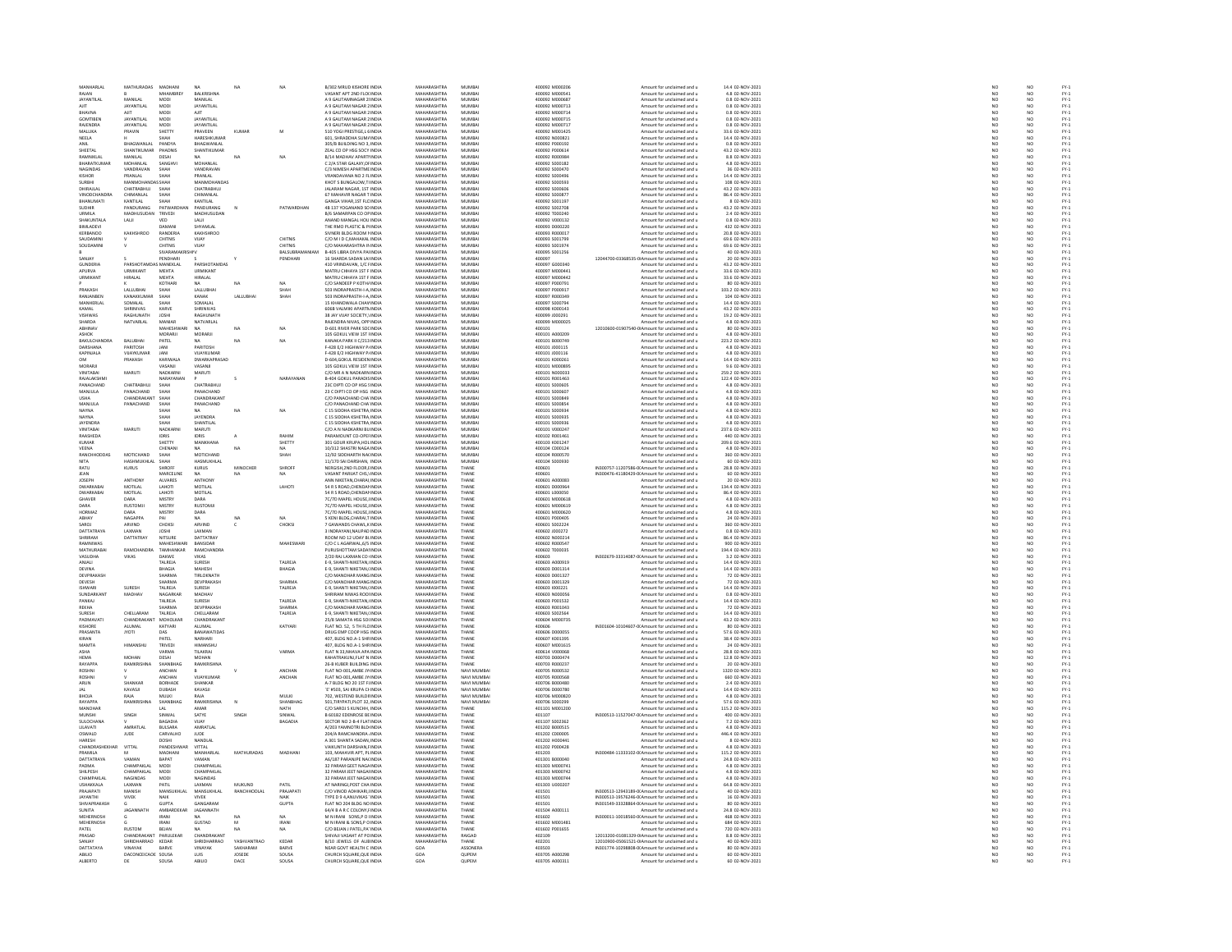| MANHARLAL                 | MATHURADAS MADHANI        |                           | NA                           | <b>NA</b>             | NA                       | <b>B/302 MRLID KISHORE INDIA</b>                             | MAHARASHTRA                       | MUMRAL                   | 400092.M000206                   | Amount for unclaimed and u                                                                       | 14.4.02-NOV-2021                     | NO                       | NO                    |                                      |
|---------------------------|---------------------------|---------------------------|------------------------------|-----------------------|--------------------------|--------------------------------------------------------------|-----------------------------------|--------------------------|----------------------------------|--------------------------------------------------------------------------------------------------|--------------------------------------|--------------------------|-----------------------|--------------------------------------|
| RAJAN                     |                           | MHAMBREY                  | BALKRISHNA                   |                       |                          | VASANT APT 2ND FLOUNDL                                       | MAHARASHTRA                       | MUMBAI                   | 400092 M000541                   | Amount for unclaimed and u                                                                       | 4.8 02-NOV-2021                      |                          |                       | FY-1<br>FY-1<br>FY-1                 |
| <b>JAYANTILAL</b>         | MANILAI                   | MODI                      | MANILAL                      |                       |                          | A 9 GAUTAMNAGAR 2 INDIA                                      | MAHARASHTRA                       | MUMBAI                   | 400092 M000687                   | Amount for unclaimed and u                                                                       | 0.8 02-NOV-2021                      | $\frac{N}{N}$            | NO                    |                                      |
| ALC:                      | <b>JAYANTILAL</b>         | MODI                      | JAYANTILAL                   |                       |                          | A 9 CALITAM NACAR 3 INDIA                                    | MAUARASUTRA                       | <b>MUMBAL</b>            | 400092.MODDZ12                   | Amount for unclaimed and                                                                         | 0.8 02-NOV-2021                      | NO                       | NO                    |                                      |
| <b>BHAVNA</b>             | AJIT                      | <b>MODI</b>               | AJIT                         |                       |                          | A 9 GAUTAM NAGAR 2 INDIA                                     | MAHARASHTRA                       | MUMBAI                   | 400092 M000714                   | Amount for unclaimed and u                                                                       | 0.8 02-NOV-2021                      | NO                       | NO                    | FY:<br>FY:                           |
| <b>GOMTIRES</b>           | <b>JAYANTILAI</b>         | <b>MODI</b>               | <b>JAYANTILAI</b>            |                       |                          | A 9 GALITAM NAGAR 2 INDIA                                    | MAHARASHTRA                       | MUMRAL                   | 400092.M000715                   | Amount for unclaimed and u                                                                       | 0.8 02-NOV-2021                      | NO                       | NO                    | FY-3<br>FY-3                         |
| RAJENDRA                  | <b>JAYANTILAL</b>         | MODI                      | <b>JAYANTILAL</b>            |                       |                          | A 9 GAUTAM NAGAR 2 INDIA                                     | MAHARASHTRA                       | MUMBAI                   | 400092 M000717                   | Amount for unclaimed and u                                                                       | 0.8 02-NOV-2021                      | NO                       | NO                    |                                      |
| MALLIKA                   | PRAVIN                    | SHETTY                    | <b>PRAVEEN</b>               | KUMAR                 | M                        | 510 YOGI PRESTIGE LEINDIA                                    | MAHARASHTRA                       | MUMBAL                   | 400092.M001425                   | Amount for unclaimed and u                                                                       | 33.6.02-NOV-2021                     | NO <sub>1</sub>          | NO                    | FY-3<br>FY-3                         |
| NEELA<br>ANIL             | BHAGWANLAL                | PANDYA                    | HARESHKUMAR<br>BHAGWANLAL    |                       |                          | 601, SHRADDHA SUM/ INDIA<br>305/B BUILDING NO 3, INDIA       | MAHARASHTRA<br>MAHARASHTRA        | MUMBAI<br>MUMBAI         | 400092 N000821<br>400092 P000192 | Amount for unclaimed and u<br>Amount for unclaimed and u                                         | 14.4 02-NOV-2021<br>0.8 02-NOV-2021  | $\overline{NC}$          | NO                    |                                      |
| SHEETAL                   | <b>SHANTIKUMAR</b>        | <b>PHADNIS</b>            | SHANTIKUMAF                  |                       |                          | ZEAL CO OP HSG SOCY INDU                                     | MAHARASHTRA                       | MUMRAL                   | 400092.8000614                   | Amount for unclaimed and u                                                                       | 43.2 02-NOV-2021                     | NC<br>NC                 | NO<br>NO<br>NO        | FY-1<br>FY-1<br>FY-1                 |
| RAMNIKLA                  | MANILAL                   | DESAI                     |                              | NA                    |                          | B/14 MADHAV APARTI INDIA                                     | MAHARASHTRA                       | MUMBAI                   | 400092 R00098                    | Amount for unclaimed and u                                                                       | 8.8 02-NOV-2021                      | NO                       |                       |                                      |
| <b>BHARATKLIMAR</b>       | MOHANLAL                  | SANGHV                    | MOHANLAL                     |                       |                          | C 2/4 STAR GALAXY OF INDIA                                   | MAHARASHTRA                       | MUMRAL                   | 400092.5000182                   | Amount for unclaimed and u                                                                       | 4.8.02-NOV-2021                      | NO <sub>1</sub>          | NO <sub>1</sub>       |                                      |
| NAGINDAS                  | VANDRAVAN                 | SHAH                      | VANDRAVAN                    |                       |                          | C/3 NIMESH APARTME INDU                                      | MAHARASHTRA                       | MUMBAI                   | 400092 S000470                   | Amount for unclaimed and u                                                                       | 36 02-NOV-2021                       | $\overline{NC}$          | NO                    | FY-)<br>FY-)                         |
| KISHOR                    | PRANLAL                   | SHAH                      | PRANLAL                      |                       |                          | VRANDAVANA NO 2 FLINDIA                                      | MAHARASHTRA                       | MUMBAI                   | 400092 S000496                   | Amount for unclaimed and u                                                                       | 14.4 02-NOV-2021                     | NO <sub>1</sub>          | NO <sub></sub>        |                                      |
| SURBH                     |                           |                           | <b>MANMOH</b>                |                       |                          | KHOT S BUNGALOW, THND                                        | <b>MAHARASHTRA</b>                | MUMBA                    | 400092 S00059                    | Amount for unclaimed and u                                                                       | 108 02-NOV-2021                      | NO                       | NO                    | FY-3<br>FY-3                         |
| DHIRAJLAL                 | CHATRABHUJ                | SHAH                      | CHATRABHUJ                   |                       |                          | JALARAM NAGAR, 1ST INDIA                                     | MAHARASHTRA                       | MUMBAI                   | 400092 S000606                   | Amount for unclaimed and u                                                                       | 43.2 02-NOV-2021                     | NO                       | NO <sub></sub>        | FY-1<br>FY-1<br>FY-1                 |
| <b>VINODCHAM</b>          | HIMANLAL                  |                           | HIMANLAL                     |                       |                          | 67 MAHAVIR NAGAR TINDI                                       | MAHARASHTRA                       | MUMBAI<br>MUMBAI         | 100092 S00087                    |                                                                                                  | 86.4 02-NOV-2021<br>8 02-NOV-2021    | $\frac{N}{N}$            | $\frac{N}{N}$         |                                      |
| BHANUMATI                 | KANTILAL                  |                           | KANTILAL                     |                       |                          | GANGA VIHAR, 1ST FLC INDU                                    | <b>MAHARASHTRA</b>                |                          | 400092 S00119)                   | Amount for unclaimed and u                                                                       |                                      |                          |                       |                                      |
| SUDHIR                    | <b>PANDURANG</b>          | PATWARDHAI                | <b>PANDURANG</b>             |                       | PATWARDHAN               | 4B 137 YOGANAND SO INDIA                                     | MAHARASHTRA<br>MAHARASHTRA        | MUMRAI                   | 400092.5002708<br>400092 T000240 | Amount for unclaimed and u                                                                       | 43.2.02-NOV-2021                     | NO<br>NO                 | NO                    |                                      |
| URMILA<br>SHAKUNTALA      | MADHUSUDAN<br>LAUI        | TRIVEDI<br>VFD            | MADHUSUDAN<br>LALI           |                       |                          | B/6 SAMARPAN CO OF INDIA<br>ANAND MANGAL HOU INDIA           | MAHARASHTRA                       | MUMBAI<br>MUMBAI         | 400092 V000132                   | Amount for unclaimed and u<br>Amount for unclaimed and u                                         | 2.4 02-NOV-2021<br>0.8 02-NOV-2021   | NO                       | NO<br>NO <sub></sub>  |                                      |
| BIMLADEV                  |                           |                           | <b>HYAMLA</b>                |                       |                          | THE RMO PLASTIC & PLINDM                                     | <b>MAHARASHTRA</b>                | MUMBA                    | 400093 D00022                    | Amount for unclaimed and u                                                                       | 432 02-NOV-2021                      | NO                       | NO                    |                                      |
| KERBANOO                  | KAKHSHROO                 | RANDERIA                  | KAKHSHROO                    |                       |                          | SIVNERI BLDG ROOM I INDIA                                    | MAHARASHTRA                       | MUMBAI                   | 400093 R000017                   | Amount for unclaimed and u                                                                       | 20.8 02-NOV-2021                     | NO                       | NO <sub></sub>        |                                      |
| SALIDAMIN                 |                           | CHITNIS                   | VIJAY                        |                       | CHITNIS                  | C/O M I D C, MAHAKAL INDI                                    | <br>MAHARASHTRA                   | MUMBAI                   | 400093 S00179                    | Amount for unclaimed and u                                                                       | 69.6 02-NOV-2021                     | NO                       |                       |                                      |
| SOUDAMIN                  |                           | CHITNIS                   | VIJAY                        |                       | CHITNIS                  | C/O MAHARASHTRA IN INDIA                                     | MAHARASHTRA                       | MUMBAI                   | 400093 S001974                   | Amount for unclaimed and u                                                                       | 69.6 02-NOV-2021                     | NO                       | $\frac{N}{N}$         |                                      |
|                           |                           | SIVARAMAK                 |                              |                       | BALSUBRAMANIAM           | B-405 LIBRA DIVYA PAUNDIA                                    | MAHARASHTRA                       | MUMRAL                   | 400095 S001256                   | Amount for unclaimed and u                                                                       | 40 02-NOV-2021<br>20 02-NOV-2021     |                          |                       |                                      |
| SANJAY                    |                           | PENDHAR                   |                              |                       | PENDHARI                 | 16 SHARDA SADAN LAJINDIA                                     | MAHARASHTRA                       | MUMBAI                   |                                  | 12044700-03368535-0IAmount for unclaimed and u                                                   |                                      | NC<br>NC                 | NO<br>NO              |                                      |
| <b>GUNDERIA</b>           | PARSHOTAMDAS MANEKLAL     |                           | PARSHOTAMDAS                 |                       |                          | 410 VRINDAVAN, 1/C FINDIA                                    | MAHARASHTRA                       | MUMBAI                   | 400097 G000340                   | Amount for unclaimed and u                                                                       | 43.2 02-NOV-2021                     | NO                       | NO <sub></sub>        |                                      |
| APURVA                    | <b>JRMIKANT</b>           | MEHTA                     | <b>JRMIKANT</b>              |                       |                          | MATRU CHHAYA 1ST F IND                                       | <b>MAHARASHTRA</b>                | MUMBA                    | 400097 M000441                   | Amount for unclaimed and u                                                                       | 33.6 02-NOV-2021                     | NO                       | NO                    |                                      |
| <b>URMIKANT</b>           | HIRALAL                   | MEHTA                     | HIRALAL                      |                       |                          | MATRU CHHAYA 1ST F INDIA                                     | MAHARASHTRA                       | MUMBAI                   | 400097 M000442                   | Amount for unclaimed and u                                                                       | 33.6 02-NOV-2021                     | NO                       | NO                    |                                      |
|                           |                           | KOTHAR                    | NΔ.                          | NA                    | NA                       | C/O SANDEEP P KOTH/ INDIA                                    | MAHARASHTRA                       | MUMRAL                   | 400097 P000791                   | Amount for unclaimed and                                                                         | 80 02-NOV-2021                       | NO                       | NO                    |                                      |
| PRAKASH<br>RANJANREN      | LALLUBHAI<br>KANAKKI IMAR | SHAH<br><b>SHAH</b>       | LALLUBHAI<br>KANAK           | LALLUBHA              | SHAH<br>SHAH             | 503 INDRAPRASTH-I-A INDIA<br>503 INDRAPRASTH-I-A INDIA       | MAHARASHTRA<br>MAHARASHTRA        | MUMBAI<br>MUMRAL         | 400097 P00091<br>400097 R00034   | Amount for unclaimed and u                                                                       | 103.2 02-NOV-2021<br>104.02-NOV-2021 | NO                       | NO<br>NO <sub>1</sub> |                                      |
|                           |                           |                           |                              |                       |                          |                                                              |                                   |                          |                                  | Amount for unclaimed and u                                                                       |                                      | NC<br>NC                 |                       |                                      |
| MANHERLAL<br>KAMAL        | SOMALAL<br>SHRINIVAS      | SHAF<br>KARVE             | SOMALAI<br>SHRINIVAS         |                       |                          | 15 KHANDWALA CHAV INDU<br>606B VALMIKI APARTN INDIA          | MAHARASHTRA<br>MAHARASHTRA        | MUMBAI<br>MUMBAI         | 400097 S00079<br>400098 K000143  | Amount for unclaimed and u<br>Amount for unclaimed and u                                         | 14.4 02-NOV-2021<br>43.2 02-NOV-2021 | NO                       | $\frac{10}{10}$       | PY-1<br>PY-1<br>PY-1<br>PY-1         |
| VISHWAS                   | AGHUNATH                  | <b>JOSHI</b>              | <b>PAGUI INATI</b>           |                       |                          | 38 JAY VUAY SOCIETY, INDU                                    | <b>MAHARASHTRA</b>                | MUMBAL                   | 400099 J000291                   | Amount for unclaimed and                                                                         | 19.2 02-NOV-2021                     | NO                       |                       |                                      |
| SHARDA                    | NATVARLAL                 | MANIAR                    | NATVARLAL                    |                       |                          | RAJENDRA NIVAS, OPP INDIA                                    | MAHARASHTRA                       | MUMBAI                   | 400099 M000025                   | Amount for unclaimed and u                                                                       | 4.8 02-NOV-2021                      | NO                       | NO<br>NO              |                                      |
| ARHINAV                   |                           | <b>MAHESHWAR</b>          | N/A                          | NA                    | NA                       | D-601 RIVER PARK SOCINDIA                                    | MAHARASHTRA                       | MUMRAL                   | 400101                           | 12010600-01907540-0IAmount for unclaimed and u                                                   | 80 02-NOV-2021                       |                          |                       |                                      |
| ASHOK                     |                           | MORARJI                   | MORARJI                      |                       |                          | 105 GOKUL VIEW 1ST HNDIA                                     | MAHARASHTRA                       | MUMBAI                   | 400101 A00020                    | Amount for unclaimed and u                                                                       | 4.8 02-NOV-2021                      | NO<br>NO                 | NO<br>NO              |                                      |
| RAKULCHANDRA              | RAILIRHAL                 | PATEL                     | NA.                          | $N\Delta$             | NA                       | KANAKA PARK II C/213 INDIA                                   | MAHARASHTRA                       | MUMRAL                   | 400101 8000749                   | Amount for unclaimed and u                                                                       | 223.2.02-NOV-2021                    | NO <sub>1</sub>          | NO <sub>1</sub>       |                                      |
| DARSHANA                  | PARITOSH                  | JANI                      | PARITOSH                     |                       |                          | F-428 E/2 HIGHWAY P/ INDIA                                   | MAHARASHTRA                       | MUMBAI                   | 400101 J000119                   | Amount for unclaimed and u                                                                       | 4.8 02-NOV-2021                      | $\overline{NC}$          | $\overline{NQ}$       | FY-)<br>FY-)                         |
| KAPINJALA                 | VUAYKUMAR                 | JANI                      | VIJAYKUMAR                   |                       |                          | F-428 E/2 HIGHWAY P/INDIA                                    | MAHARASHTRA                       | MUMBAI                   | 400101 J000116                   | Amount for unclaimed and u                                                                       | 4.8 02-NOV-2021                      |                          |                       |                                      |
| OM                        | PRAKASH                   | KARIWALA                  | <b>DWARKAPRASAD</b>          |                       |                          | <b>D-604 GOKUL RESIDEN INDU</b>                              | MAHARASHTRA                       | MUMRAL                   | 400101 K000261                   | Amount for unclaimed and u                                                                       | 14.4 02-NOV-2021                     | NO<br>NO                 | NO<br>NO<br>NO        | FY-3<br>FY-3<br>FY-3                 |
| MORARI                    |                           | VASANJI                   | VASANJI                      |                       |                          | 105 GOKUL VIEW 1ST HNDIA                                     | MAHARASHTRA                       | MUMBAI                   | 400101 M000899                   | Amount for unclaimed and u                                                                       | 9.6 02-NOV-2021                      | NO                       |                       |                                      |
| VINITARAL                 | MARLITI                   | NADKARN                   | <b>MARUTI</b>                |                       |                          | C/O MR A N NADKARN INDIA                                     | MAHARASHTRA                       | MUMRAL                   | 400101 N000033                   | Amount for unclaimed and u                                                                       | 259.2.02-NOV-2021                    | NC<br>NC                 | NO <sub>1</sub>       | FY-)<br>FY-)                         |
| RAJALAKSHM                |                           | NARAYANAN                 |                              |                       | NARAYANAM                | B-404 GOKUL PARADIS INDIA                                    | MAHARASHTRA                       | MUMBAL                   | 400101 R001463                   | Amount for unclaimed and u                                                                       | 122.4 02-NOV-2021                    |                          | $\overline{NQ}$       |                                      |
| PANACHAND                 | CHATRABHUJ                | SHAH                      | CHATRABHUJ                   |                       |                          | 23C DIPTI CO OP HSG 5 INDIA                                  | MAHARASHTRA                       | MUMBAI                   | 400101 S000605                   | Amount for unclaimed and u                                                                       | 4.8 02-NOV-2021                      | NO                       | NO <sub></sub>        |                                      |
| MANJULA                   | PANACHAND                 | SHAF                      | PANACHAND                    |                       |                          | 23 C DIPTI CO OP HSG INDIA                                   | <b>MAHARASHTRA</b>                | MUMBAI                   | 400101 S00060                    | Amount for unclaimed and u                                                                       | 4.8 02-NOV-2021                      | NO                       | NO                    |                                      |
| <b>USHA</b>               | CHANDRAKANT               | SHAH                      | CHANDRAKANT                  |                       |                          | C/O PANACHAND CHA INDIA                                      | MAHARASHTRA                       | MUMBAI                   | 400101 S000849                   | Amount for unclaimed and u                                                                       | 4.8 02-NOV-2021                      | NO                       | NO <sub></sub>        |                                      |
| MANJULA                   | ANACHAND                  | <b>SHAF</b>               | ANACHAND                     |                       |                          | C/O PANACHAND CHA INDU                                       | <b>MAHARASHTRA</b>                | MUMBA                    | 400101 S00085                    | Amount for unclaimed and u                                                                       | 4.8 02-NOV-2021                      | $\overline{\mathsf{NC}}$ | NO                    |                                      |
| <b>NAYNA</b><br>NAVNA     |                           | SHAH<br>SHAH              | <b>NA</b><br><b>IAYENDRA</b> | <b>NA</b>             | NA                       | C 15 SIDDHA KSHETRA INDIA<br>C 15 SIDDHA KSHETRA INDIA       | MAHARASHTRA<br>MAHARASHTRA        | MUMBAI<br>MUMRAI         | 400101 S000934<br>400101 S000935 | Amount for unclaimed and u<br>Amount for unclaimed and u                                         | 4.8 02-NOV-2021<br>4.8.02-NOV-2021   | NO<br>NO                 | NO<br>NO              |                                      |
| <b>JAYENDRA</b>           |                           | SHAF                      | HANTILAL                     |                       |                          | C 15 SIDDHA KSHETRA INDU                                     | MAHARASHTRA                       | MUMBAI                   | 400101 S00093                    | Amount for unclaimed and u                                                                       | 4.8 02-NOV-2021                      | NO                       | NO                    |                                      |
| VINITABA                  | MARUTI                    | NADKARN                   | MARUTI                       |                       |                          | C/O A N NADKARNI BU INDIA                                    | MAHARASHTRA                       | MUMBAI                   | 400101 V000247                   | Amount for unclaimed and u                                                                       | 237.6 02-NOV-2021                    | NO                       | NO <sub></sub>        |                                      |
| RAASHEDA                  |                           | IDRIS                     | IDRIS                        |                       | RAHIN                    | PARAMOUNT CO-OPEHNDU                                         | <b>MAHARASHTRA</b>                | MUMBA                    | 400102 R00146                    | Amount for unclaimed and u                                                                       | 440 02-NOV-2021                      | NO                       | NO                    |                                      |
| KUMAR                     |                           | SHETTY                    | MANKHANA                     |                       | SHETTY                   | 301 GOUR KRUPA.HOL INDIA                                     | MAHARASHTRA                       | MUMBAI                   | 400103 K001247                   | Amount for unclaimed and u                                                                       | 209.6 02-NOV-2021                    | NO                       | NO <sub></sub>        |                                      |
| VEENA                     |                           | CHENAN                    | $\mathbf{M}$                 | M.                    |                          | 10/312 SHASTRI NAGA INDI                                     | MAUARASUTRA                       | MUMBAI                   | 400104 C000124                   | Amount for unclaimed and u                                                                       | 4.8 02-NOV-2021                      | NO                       | NO                    |                                      |
| RANCHHODDAS               | MOTICHAND                 | SHAH                      | MOTICHAND                    |                       | SHAH                     | 12/92 SIDDHARTH NACINDIA                                     | MAHARASHTRA                       | MUMBAI                   | 400104 R000570                   | Amount for unclaimed and u                                                                       | 360 02-NOV-2021                      | NO                       | NO                    |                                      |
| NITA                      | <b>JASHMUKHLA</b>         | <b>ЧАН2</b>               | HASMUKHLAI                   |                       |                          | 11/170 SAI DARSHAN, INDIA<br>NERGISH, 2ND FLOOR, EINDIA      | MAHARASHTRA                       | MUMRAL                   | 400104 S000930                   | Amount for unclaimed and                                                                         | 60 02-NOV-2021<br>28.8 02-NOV-2021   | NC<br>NC                 | NO<br>NO              |                                      |
| RATU                      | <b>KURUS</b>              | SHROFI                    | KURUS                        | MINOCHE               | SHROF                    |                                                              | <b>MAHARASHTRA</b>                | THANE                    |                                  | IN300757-11207586-0(Amount for unclaimed and u                                                   |                                      |                          |                       |                                      |
| <b>IFAN</b>               |                           | MARCELINE                 | NA.                          |                       | NA                       | VASANT PARUAT CHS. INDIA                                     | MAHARASHTRA                       | THANE                    | 400601                           | IN300476-41180429-0(Amount for unclaimed and u                                                   | 60 02-NOV-2021                       | $\frac{NO}{NO}$          | NO <sub></sub>        | PY-1<br>PY-1<br>PY-1<br>PY-1         |
| JOSEPH                    | ANTHON                    | ALVARES                   | ANTHONY                      |                       |                          | ANN NIKETAN, CHARAL IND                                      | MAHARASHTRA                       | THANE                    | 400601 A000083                   | Amount for unclaimed and u                                                                       | 20 02-NOV-2021                       |                          | NO                    |                                      |
| <b>DWARKABA</b>           | MOTILAL                   | LAHOTI                    | MOTILAL                      |                       | LAHOTI                   | 54 R S ROAD, CHENDAN INDIA                                   | MAHARASHTRA                       | THANE                    | 400601 D000964                   | Amount for unclaimed and u                                                                       | 134.4 02-NOV-2021                    | NO                       | NO                    |                                      |
| <b>DWARKABA</b>           | MOTILAL                   | LAHOT                     | MOTILAL                      |                       |                          | 54 R S ROAD, CHENDAN INDU                                    | MAHARASHTRA                       | THANE                    | 400601 L000050                   | Amount for unclaimed and                                                                         | 86.4 02-NOV-2021                     | NO                       | NO<br>NO              |                                      |
| GHAVER<br>DARA            | DARA<br><b>RUSTOMIL</b>   | <b>MISTRY</b><br>MISTRY   | DARA<br>RUSTOMIL             |                       |                          | 7C/7D MAPEL HOUSE, IINDIA<br><b>20/2D MAPEL HOUSE UNDIA</b>  | MAHARASHTRA<br>MAHARASHTRA        | THANE<br>THANE           | 400601 M000618<br>400601 M000619 | Amount for unclaimed and u<br>Amount for unclaimed and u                                         | 4.8 02-NOV-2021<br>4.8 02-NOV-2021   | NO                       | NO <sub>1</sub>       |                                      |
|                           |                           |                           |                              |                       |                          |                                                              |                                   |                          |                                  |                                                                                                  | 4.8 02-NOV-2021                      | NC<br>NC                 |                       | FY-1<br>FY-1<br>FY-1<br>FY-1         |
| <b>HORMAZ</b><br>ABHAY    | DARA<br>NAGAPPA           | MISTRY<br>PAI             | DARA<br><b>NA</b>            | NA                    |                          | 7C/7D MAPEL HOUSE, INDIA<br>5 KENI BLDG.CHARAI.T INDIA       | MAHARASHTRA<br>MAHARASHTRA        | THANE<br>THANE           | 400601 M000620<br>400601 P000405 | Amount for unclaimed and u<br>Amount for unclaimed and u                                         | 24 02-NOV-2021                       | NO                       | NO<br>NO              |                                      |
| CAROL                     | ARVIND                    | CHOKS                     | ARVIND                       |                       | CHOKSI                   | <b>GAWANDS CHAWL,KINDU</b>                                   | MAHARASHTRA                       | THANE                    | 400601 S00222                    | Amount for unclaimed and                                                                         | 360 02-NOV-2021                      | NO                       |                       |                                      |
| DATTATRAYA                | LAXMAN                    | <b>JOSHI</b>              | LAXMAN                       |                       |                          | 3 INDRAYANI, NAUPAD INDIA                                    | MAHARASHTRA                       | THANE                    | 400602 J000272                   | Amount for unclaimed and u                                                                       | 0.8 02-NOV-2021                      | NO                       | NO<br>NO              |                                      |
| SHRIRAM                   | DATTATRAY                 | <b>NITSLIRE</b>           | DATTATRAY                    |                       |                          | ROOM NO 12 UDAY BLINDIA                                      | MAHARASHTRA                       | THANE                    | 400602.N000214                   | Amount for unclaimed and u                                                                       | 86.4 02-NOV-2021                     | NO                       |                       |                                      |
| RAMNIWAS                  |                           | MAHESHWA                  | BANSIDAR                     |                       | MAHESWARI                | C/O C L AGARWAL, 6/5 INDIA                                   | MAHARASHTRA                       | THANE                    | 400602 R00054                    | Amount for unclaimed and u                                                                       | 900 02-NOV-2021                      | NO                       | NO<br>NO              | FY-3<br>FY-3                         |
| <b>MATHLIRARA</b>         | <b>RAMCHANDRA</b>         | TAMHANKAR                 | RAMCHANDRA                   |                       |                          | PURUSHOTTAM SADALINDIA                                       | MAHARASHTRA                       | THANE                    | 400602 T000035                   | Amount for unclaimed and u                                                                       | 194.4.02-NOV-2021                    |                          | NO <sub>1</sub>       |                                      |
| VASUDHA                   | VIKAS                     | DAKWE                     | VIKAS                        |                       |                          | 2/20 RAJ LAXMAN CO INDIA                                     | MAHARASHTRA                       | THANE                    | 400603                           | IN302679-33314087-0(Amount for unclaimed and u                                                   | 3.2 02-NOV-2021                      | NC<br>NC                 | $\overline{NQ}$       | FY-)<br>FY-)                         |
| ANJALI                    |                           | TALREJA                   | SURESH                       |                       | TALREJA                  | E-9. SHANTI-NIKETAN./ INDIA                                  | MAHARASHTRA                       | THANE                    | 400603 A000919                   | Amount for unclaimed and u                                                                       | 14.4 02-NOV-2021                     | NO                       | NO <sub></sub>        |                                      |
| DEVINA                    |                           | BHAGIA                    | AAHESH                       |                       | <b>BHAGIA</b>            | E-9, SHANTI NIKETAN, INDI                                    | MAHARASHTR                        | THANE                    | 400603 D001314                   | Amount for unclaimed and u                                                                       | 14.4 02-NOV-2021                     | $\frac{N}{N}$            | NO<br>NO              | FY-1<br>FY-1<br>FY-1                 |
| <b>DEVPRAKASH</b>         |                           | SHARMA                    | <b>TIRLOKNATH</b>            |                       |                          | C/O MANOHAR MANG INDIA                                       | MAHARASHTRA                       | THANE                    | 400603 D001327                   | Amount for unclaimed and u                                                                       | 72 02-NOV-2021                       |                          |                       |                                      |
| <b>DEVESH</b>             |                           | SHARMA                    | DEVPRAKASH                   |                       | SHARMA                   | C/O MANOHAR MANG INDIA                                       | MAHARASHTRA                       | THANE                    | 400603-0001325                   | Amount for unclaimed and u                                                                       | 72.02-NOV-2021                       | NC<br>NC                 | NO <sub>1</sub>       | FY-)<br>FY-)                         |
| <b>ISHWARI</b>            | SURESH                    | TALREJA                   | SURESH                       |                       | TALREJA                  | E-9, SHANTI NIKETAN, INDIA                                   | MAHARASHTRA                       | THANE                    | 400603 1000221                   | Amount for unclaimed and u                                                                       | 14.4 02-NOV-2021                     |                          | $\overline{NQ}$       |                                      |
| <b>SUNDARKANT</b>         | MADHAV                    | NAGARKAR                  | MADHAV                       |                       |                          | SHRIRAM NIWAS ROOLINDIA                                      | MAHARASHTRA                       | THANF                    | 400603 N000056                   | Amount for unclaimed and u                                                                       | 0.8.02-NOV-2021                      | NO                       | NO                    |                                      |
| PANKAJ                    |                           | TALREJA                   | <b>SURESH</b>                |                       | TALREJA                  | E-9, SHANTI-NIKETAN, INDU                                    | <b>MAHARASHTRA</b>                | THANE                    | 400603 P001532                   | Amount for unclaimed and u                                                                       | 14.4 02-NOV-2021                     | NO                       | NO                    | FY-1<br>FY-1<br>FY-1<br>FY-1<br>FY-1 |
| REKHA<br>SURESH           | <b>CHELLARAN</b>          | SHARMA<br>TALREJA         | DEVPRAKASH<br>CHELLARAM      |                       | <b>SHARMA</b><br>TALREJA | C/O MANOHAR MANG INDIA<br>E-9, SHANTI NIKETAN, INDU          | MAHARASHTRA<br><b>MAHARASHTRA</b> | THANE<br>THANE           | 400603 R001043<br>400603 S00256  | Amount for unclaimed and u<br>Amount for unclaimed and u                                         | 72 02-NOV-2021<br>14.4 02-NOV-2021   | NO <sub>1</sub><br>NO    | NO <sub></sub><br>NO  |                                      |
| PADMAVATI                 | CHANDRAKANT               | MOHOLKAR                  | CHANDRAKANT                  |                       |                          | 25/8 SAMATA HSG SOUNDIA                                      | MAHARASHTRA                       | THANE                    | 400604 M000735                   | Amount for unclaimed and u                                                                       | 43.2 02-NOV-2021                     |                          |                       |                                      |
| KISHORE                   | <b>ALLIMAL</b>            | KATYARI                   | ALLIMAL                      |                       | KATYARI                  | FLAT NO. 52 5 TH FLO INDIA                                   | MAHARASHTRA                       | THANE                    | 400606                           | IN301604-10104607-0(Amount for unclaimed and u                                                   | 80.02-NOV-2021                       | NC<br>NC                 | NO<br>NO              |                                      |
| PRASANTA                  | <b>JYOTI</b>              | DAS                       | <b>BANAWATIDA</b>            |                       |                          | DRUG EMP COOP HSG INDI                                       | MAHARASHTRA                       | THANE                    | 400606 D00005                    | Amount for unclaimed and u                                                                       | 57.6 02-NOV-2021                     | $\overline{NC}$          | $\overline{NQ}$       |                                      |
| KIRAN                     |                           | PATEL                     | NARHARI                      |                       |                          | 407. BLDG NO.A-1 SHR INDIA                                   | MAHARASHTRA                       | THANE                    | 400607 K001395                   | Amount for unclaimed and u                                                                       | 38.4 02-NOV-2021                     | NO <sub>1</sub>          | NO <sub></sub>        |                                      |
| MAMTA                     |                           | TRIVED                    | HIMANSHL                     |                       |                          | 407, BLDG NO.A-1 SHRINDM                                     | MAHARASHTRA                       | THANE                    | 400607 M001619                   | Amount for unclaimed and u                                                                       | 24 02-NOV-2021                       | NO                       | NO                    |                                      |
| ASHA                      |                           | VARMA                     | TILAKRAJ                     |                       | VARMA                    | FLAT N 33.NHAVA APA INDIA                                    | MAHARASHTRA                       | THANE                    | 400614 V000068                   | Amount for unclaimed and u                                                                       | 28.8 02-NOV-2021                     | NO<br>NO                 | NO <sub></sub>        |                                      |
| HEMA                      | MOHAN                     | DESAI                     | <b>AOHAN</b>                 |                       |                          | KAHATRAKUNJ.FLAT N INDU                                      | <b>MAUARASUTRA</b>                | <b>THANE</b>             | 400703 0000474                   | Amount for unclaimed and u                                                                       | 12.8 02-NOV-2021                     |                          | NO                    |                                      |
| RAYAPPA                   | RAMKRISHNA                | SHANBHAG                  | RAMKRISHNA                   |                       |                          | 26-B KUBER BUILDING INDIA                                    | MAHARASHTRA                       | THANE                    | 400703 R000237                   | Amount for unclaimed and u                                                                       | 20 02-NOV-2021                       | NO                       | NO                    |                                      |
| <b>ROSHN</b>              |                           | <b>ANCHAN</b>             |                              |                       | <b>ANCHAI</b>            | FLAT NO-001 AMBE JY INDU                                     | MAHARASHTRA                       | NAVI MUMBA<br>NAVI MUMBA | 400705 R000532                   | Amount for unclaimed and                                                                         | 1320 02-NOV-2021<br>660 02-NOV-2021  | NC<br>NC                 | NO<br>NO              |                                      |
| ROSHN<br>ARUN             | SHANKAR                   | ANCHAN<br>BORHADE         | <b>VIJAYKUMA</b><br>SHANKAR  |                       | ANCHAN                   | FLAT NO-001, AMBE JY INDIA<br>A-7 BLDG NO 20 1ST FLINDIA     | <b>MAHARASHTRA</b><br>MAHARASHTRA | NAVI MUMBA               | 400705 R000568<br>400706 B000480 | Amount for unclaimed and u<br>Amount for unclaimed and u                                         | 2.4 02-NOV-2021                      |                          | NO <sub></sub>        |                                      |
|                           | KAVASJI                   | <b>DUBASE</b>             | KAVASJI                      |                       |                          | 'E' #503, SAI KRUPA CHINDI                                   | <b>MAHARASHTRA</b>                | NAVI MUMBA               | 400706 D00078                    | Amount for unclaimed and u                                                                       | 14.4 02-NOV-2021                     | NO<br>NO                 |                       |                                      |
| BHOJA                     |                           | MULKI                     | RAJA                         |                       | MULKI                    | 702. WESTEND BUILDI INDIA                                    | MAHARASHTRA                       | NAVI MUMBA               | 400706 M000820                   | Amount for unclaimed and u                                                                       | 4.8 02-NOV-2021                      | NO                       | NO<br>NO              |                                      |
| RAYAPPA                   |                           |                           | <b>DAMAPPICUMA</b>           |                       | SHANBHAG                 | 501, TIRYPATI, PLOT 32, INDIA                                | MAHARASHTRA                       | NAVI MUMBA               | 400706 S00029                    | Amount for unclaimed and                                                                         | 57.6 02-NOV-2021                     | NO                       |                       |                                      |
| MANOHAR                   | RAJA                      |                           |                              |                       | NATH                     |                                                              |                                   | THANE                    | 401101 M001200                   | Amount for unclaimed and u                                                                       | 115.2 02-NOV-2021                    | NO                       | NO<br>NO              |                                      |
| <b>MUNSHI</b>             | RAMKRI                    |                           |                              |                       |                          |                                                              |                                   |                          |                                  |                                                                                                  |                                      |                          |                       | FY:<br>FY:                           |
| SULOCHAN                  | SINGH                     | LAL<br>SINWAL             | AMAR<br>SATYE                | SINGE                 | <b>SINWAL</b>            | C/O SAROJ S KUNCHH, INDIA<br><b>B 601B2 EDENROSE BEINDIA</b> | MAHARASHTRA<br>MAHARASHTRA        | THANE                    | 401107                           |                                                                                                  |                                      |                          |                       |                                      |
| <b>III AVATI</b>          |                           |                           |                              |                       |                          |                                                              |                                   |                          | 401107 S00236                    | IN300513-11527047-0(Amount for unclaimed and u                                                   | 400 02-NOV-2021                      |                          |                       |                                      |
|                           | <b>AMRATIAL</b>           | BAGADIA<br><b>RULSARA</b> | VIJAY<br>AMRATIAL            |                       | BAGADIA                  | SECTOR NO 2-B-4 FLAT INDU<br>4/203 YAMNOTRI BLD INDIA        | MAHARASHTRA<br>MAHARASHTRA        | THANE<br>THANE           | 401202 8000515                   | Amount for unclaimed and u<br>Amount for unclaimed and u                                         | 7.2 02-NOV-2021<br>4.8.02-NOV-2021   | NO<br>NO                 | NO<br>NO              |                                      |
| OSWALD                    |                           | CARVALHO                  | JUDE                         |                       |                          | 4/A RAMCHANDRA, INDI                                         | MAHARASHTRA                       |                          | 401202 CODOO                     | Amount for unclaimed and                                                                         |                                      |                          |                       |                                      |
| HARESH                    |                           | DOSHI                     | NANDLAL                      |                       |                          | A 301 SHANTA SADAN, INDIA                                    | MAHARASHTRA                       | THANE<br>THANE           | 401202 H000441                   | Amount for unclaimed and u                                                                       | 446.4 02-NOV-2021<br>8 02-NOV-2021   | NC<br>NC<br>NO           |                       |                                      |
| CHANDRASHEKHAR            | VITTAL                    | PANDESHWAR                | VITTAL                       |                       |                          | VAIKUNTH DARSHAN FINDIA                                      | MAHARASHTRA                       | THANE                    | 401202 P000428                   | Amount for unclaimed and u                                                                       | 4.8 02-NOV-2021                      |                          | NO<br>NO<br>NO        | FY-3<br>FY-3<br>FY-3                 |
| PRAMILA                   |                           | MADHANI                   | MANHARLA                     | MATHURADAS            | MADHANI                  | 103, MAHAVIR APT, PLINDIA                                    | MAHARASHTRA                       | THANE                    | 401203                           | IN300484-11333102-0(Amount for unclaimed and u                                                   | 115.2 02-NOV-2021                    | NO<br>NO                 | NO<br>NO              |                                      |
| DATTATRAYA                | VAMAN                     | RAPAT                     | VAMAN                        |                       |                          | 46/187 PARANIPE NACINDIA                                     | MAHARASHTRA                       | THANE                    | 401301 B000040                   | Amount for unclaimed and u                                                                       | 24.8.02-NOV-2021                     | NO                       | NO <sub>1</sub>       |                                      |
| PADMA                     | CHAMPAKLAL                | <b>MODI</b>               | CHAMPAKLA                    |                       |                          | 32 PARAM GEET NAGA INDIA                                     | MAHARASHTRA                       | THANE                    | 401303 M000741                   | Amount for unclaimed and u                                                                       | 4.8 02-NOV-2021                      | $\overline{NC}$          | NO                    | FY-1<br>FY-1<br>FY-1<br>FY-1         |
| SHILPESH                  | CHAMPAKLAL                | MODI                      | CHAMPAKLAL                   |                       |                          | 32 PARAM JEET NAGAI INDIA                                    | MAHARASHTRA                       | THANE                    | 401303 M000742                   | Amount for unclaimed and u                                                                       | 4.8 02-NOV-2021                      | NO                       | NO <sub></sub>        |                                      |
| CHAMPAKL                  |                           | MODI                      |                              |                       |                          | 32 PARAM JEET NAGAI IND                                      | MAHARASHTR                        | THANE                    | 401303 M00074                    | Amount for unclaimed and u                                                                       | 4.8 02-NOV-2021                      |                          |                       |                                      |
| USHAKKALA                 | LAXMAN                    | PATIL                     | LAXMAN                       | MUKUND                | PATIL                    | AT NARINGI, POST CHA INDIA                                   | MAHARASHTRA                       | THANE                    | 401303 U000207                   | Amount for unclaimed and u                                                                       | 64.8 02-NOV-2021                     | $\frac{N}{N}$            | NO<br>NO              | FY-1<br>FY-1<br>FY-1                 |
| PRAIAPATI                 | <b>MANISH</b>             | MANSUKHLAL                | MANSUKHLAL                   | RANCHHODLAL           | PRAIAPATI                | C/O VINOD ADHIKARI UNDIA                                     | MAHARASHTRA                       | THANE                    | 401501                           | IN300513-12943189-0(Amount for unclaimed and u                                                   | 40.02-NOV-2021                       | NO                       | NO <sub>1</sub>       |                                      |
| JAYANTHI                  | VIVEK                     | NAIK                      | VIVEK                        |                       | NAIK                     | TYPE D 9 4, ANUVIKAS 'INDIA                                  | MAHARASHTRA                       | THANE                    | 401501                           | IN300513-19576246-0( Amount for unclaimed and u                                                  | 16 02-NOV-2021                       | NO                       | NO                    | FY-)<br>FY-)                         |
| SHIVAPRAKASH              |                           | GUPTA                     | GANGARAM                     |                       | <b>GUPTA</b>             | FLAT NO 204 BLDG NO INDIA                                    | MAHARASHTRA                       | THANF                    | 401501                           | IN301549-33328864-0(Amount for unclaimed and u                                                   | 80.02-NOV-2021                       | NO <sub>1</sub>          | NO                    |                                      |
| SUNITA                    |                           | AMBARDEKAP                | JAGANNATH                    |                       |                          | 64/4 B A R C COLONY, FINDL                                   | <b>MAHARASHTRA</b>                | THANE                    | 401504 A000111                   | Amount for unclaimed and u                                                                       | 24.8 02-NOV-2021                     | NO                       | NO                    | FY-3<br>FY-3                         |
| MEHERNOSH                 |                           | <b>IRANI</b>              | NA.                          |                       | NA                       | M N IRANI SONS.P O INDIA                                     | MAHARASHTRA                       | THANE                    | 401602                           | IN300011-10018560-0(Amount for unclaimed and u                                                   | 468 02-NOV-2021                      | NO <sub>1</sub>          | NO <sub></sub>        |                                      |
| <b>MEHERNOSH</b><br>PATEL | <b>RUSTOM</b>             | BEJAN                     | GUSTAD                       | NA <sub>1</sub>       | <b>IRAN</b><br>NA        | M N IRANI & SONS, P O INDU<br>C/O BEJAN J PATEL.PA' INDIA    | <b>MAHARASHTRA</b><br>MAHARASHTRA | THANE<br>THANE           | 401602 M001481<br>401602 P001655 | Amount for unclaimed and u<br>Amount for unclaimed and u                                         | 684 02-NOV-2021<br>720 02-NOV-2021   |                          | NO <sub></sub>        | FY-3<br>FY-3                         |
| PRASAD                    | CHANDRAKANT PARULEKAR     |                           | CHANDRAKANT                  |                       |                          | <b>MAILVASAHT AT POINDIA</b>                                 | MAHARASHTRA                       | RAIGAE                   | 402109                           | 12013200-01081329-0LAmount for unclaimed and u                                                   | 8.8.02-NOV-2021                      | NO<br>NO                 | $\overline{M}$        |                                      |
| SANJAY                    | HRIDHARRAO KEDAR          |                           | SHRIDHARRAO                  |                       | KEDAR                    | B/10 JEWELS OF ALIBINDU                                      | MAHARASHTRA                       | THANE                    | 402201                           |                                                                                                  |                                      |                          |                       |                                      |
| DATTATAYA                 | VINAYAK                   | BARVE                     | VINAYAK                      | SAKHARAM              | BARVE                    | NEAR GOVT HEALTH C INDIA                                     | GOA                               | <b>ASSONERA</b>          | 403503                           | 12010900-05061521-0IAmount for unclaimed and u<br>IN301774-10298808-0(Amount for unclaimed and u | 40 02-NOV-2021<br>80 02-NOV-2021     | NO <sub>1</sub>          | NO                    | FY-1<br>FY-1<br>FY-1                 |
| ABILIO<br>ALBERTO         | ACONCEICADE SOUSA         | SOUSA                     | LUIS<br>ABILIO               | <b>JOSEDE</b><br>DACE | sous<br>SOUSA            | CHURCH SQUARE, QUE INDIA<br>CHURCH SQUARE.QUE INDIA          | GOA                               | QUPEM<br><b>QUPEM</b>    | 403705 A000298<br>403705 A000311 | Amount for unclaimed and u<br>Amount for unclaimed and u                                         | 60 02-NOV-2021<br>60 02-NOV-2021     |                          |                       | FY-3<br>FY-3                         |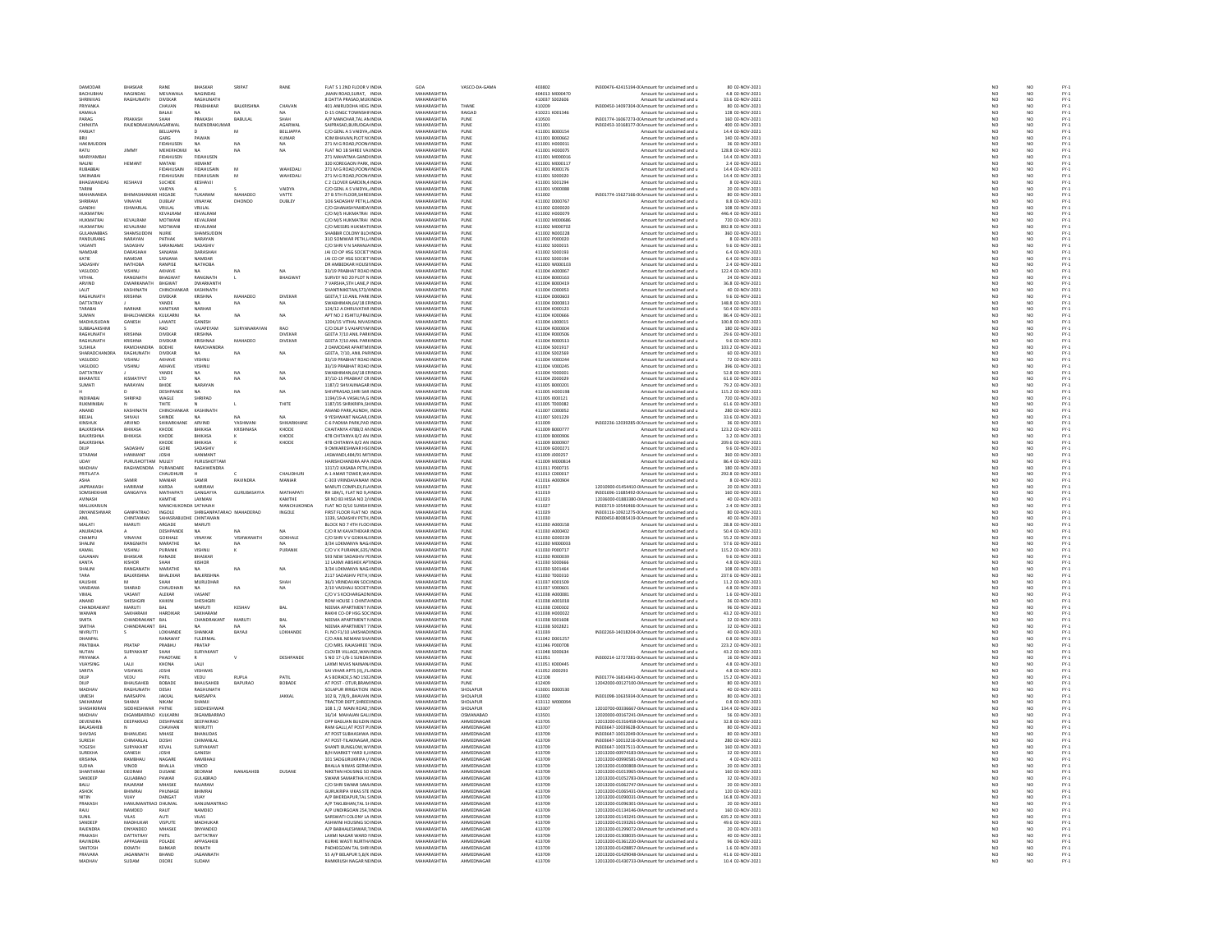| DAMODAR                          | BHASKAR                            | RANE                                 | BHASKAR                         | SRIPAT               | RANE                | FLAT \$ 1 2ND FLOOR V INDIA                                    | GOA                               | VASCO-DA-GAMA                 | 403802                           | IN300476-42415194-0(Amount for unclaimed and u                                                   | 80 02-NOV-2021                        | NO <sub>1</sub>                             |                       | NO <sub></sub>                   |                                                |
|----------------------------------|------------------------------------|--------------------------------------|---------------------------------|----------------------|---------------------|----------------------------------------------------------------|-----------------------------------|-------------------------------|----------------------------------|--------------------------------------------------------------------------------------------------|---------------------------------------|---------------------------------------------|-----------------------|----------------------------------|------------------------------------------------|
| <b>BACHUBHA</b><br>SHRINIVAS     | <b>JAGINDAS</b><br>RAGHUNATH       | MEVAWALA<br><b>DIVEKAR</b>           | NAGINDAS<br>RAGHUNATH           |                      |                     | MAIN ROAD, SURAT, INDIA<br>8 DATTA PRASAD, MUKINDIA            | MAHARASHTRA<br>MAHARASHTRA        |                               | 404013 M000470<br>410037 S002606 | Amount for unclaimed and u<br>Amount for unclaimed and u                                         | 4.8 02-NOV-2021<br>33.6 02-NOV-2021   | $\frac{N}{N}$                               |                       | NO<br>NO                         | FY-3<br>FY-3                                   |
| PRIVANKA                         |                                    | CHAVAN                               | PRARHAKAR                       | <b>BALKRISHNA</b>    | CHAVAN              | 401 ANIRUDOHA HEIG INDIA                                       | MAHARASHTRA                       | THANF                         | 410209                           | IN300450-14097304-0(Amount for unclaimed and u                                                   | 80.02-NOV-2021                        |                                             | NO                    | NO                               | FY-3<br>FY-3                                   |
| KAMALA                           |                                    | BALAJI                               |                                 |                      |                     | D-15 ONGC TOWNSHIF INDIA                                       | MAHARASHTRA                       | RAIGAD                        | 410221 K001346                   | Amount for unclaimed and u                                                                       | 128 02-NOV-2021                       |                                             |                       |                                  |                                                |
| PARAG<br><b>CHINKIT/</b>         | PRAKASH<br>RAJENDRA                | SHAH                                 | PRAKASH<br>RAJENDRAKU           | BABULAL              | SHAH<br>AGARWA      | A/P MANCHAR.TAL AN INDIA<br>SAIPRASAD, BURUDGA IND             | MAHARASHTRA<br><b>MAHARASHTRA</b> | PUNE<br>PUNE                  | 410503<br>411001                 | IN301774-16067273-0(Amount for unclaimed and u<br>IN302453-10168177-0(Amount for unclaimed and u | 160 02-NOV-2021<br>400 02-NOV-2021    | NO <sub>1</sub><br>NO                       |                       | NO <sub></sub><br>NO             | PY-1<br>PY-1<br>PY-1<br>PY-1                   |
| PARUAT                           |                                    | BELLIAPPA                            |                                 | M                    | BELLIAPPA           | C/O GENL A S VAIDYA, INDIA                                     | MAHARASHTRA                       | PUNE                          | 411001 B000154                   | Amount for unclaimed and u                                                                       | 14.4 02-NOV-2021                      |                                             | NO <sub>1</sub>       | NO <sub></sub>                   |                                                |
|                                  |                                    | GARG                                 |                                 |                      | KUMAR               | CIM BHAVAN, PLOT NONDI                                         | MAHARASHTRA                       | PUNE                          | 411001 B000662                   | Amount for unclaimed and                                                                         | 140 02-NOV-2021                       | NO                                          |                       | NO                               |                                                |
| HAKIMUDDIN<br>RATU               | JIMMY                              | <b>FIDAHUSEN</b><br><b>MEHERHOMJ</b> | NA<br><b>NA</b>                 |                      | NA<br>NA            | 271 M G ROAD, POON/ INDIA<br>FLAT NO 1B SHREE VALINDIA         | MAHARASHTRA<br>MAHARASHTRA        | PUNE<br>PUNE                  | 411001 H000011<br>411001 H000075 | Amount for unclaimed and u<br>Amount for unclaimed and u                                         | 36 02-NOV-2021<br>128.8 02-NOV-2021   | NC<br>NC<br>NC                              |                       | NO<br>NO                         |                                                |
|                                  |                                    | FIDAHUSEN                            | FIDAHUSE                        |                      |                     | 271 MAHATMA GANDI INI                                          | <b>MAHARASHTRA</b>                | PUNE                          | 411001 M00001                    | Amount for unclaimed and u                                                                       | 14.4 02-NOV-2021                      |                                             |                       | NO                               |                                                |
| NALINI<br>RUBABBA                | HEMANT                             | MATANI<br>FIDAHUSAI                  | HEMANT<br>FIDAHUSAI             |                      | WAHEDAL             | 320 KOREGAON PARK, INDIA<br>271 M G ROAD, POON/ INDU           | MAHARASHTRA<br><b>MAHARASHTRA</b> | PUNE                          | 411001 M000117<br>411001 R00017  | Amount for unclaimed and u<br>Amount for unclaimed and u                                         | 2.4 02-NOV-2021<br>14.4 02-NOV-2021   | NO <sub>1</sub><br>$_{NC}$                  |                       | NO.<br>NO                        | FY-1<br>FY-1<br>FY-1<br>FY-1                   |
| SAKINABAI                        |                                    | <b>FIDAHUSAIN</b>                    | FIDAHUSAIN                      | M                    | WAHEDALI            | 271 M G ROAD, POON/ INDIA                                      | MAHARASHTRA                       | PUNE<br>PUNE                  | 411001 S000020                   | Amount for unclaimed and u                                                                       | 14.4 02-NOV-2021                      | NO                                          |                       | NO                               |                                                |
| <b>BUACWANDAS</b>                | KESHAVJ                            | SUCHDE                               | KESHAVJI                        |                      |                     | C 2 CLOVER GARDEN, 4 INDU                                      | <b>MAUARASUTRA</b>                | PUNE                          | 411001 S001294                   | Amount for unclaimed and                                                                         | 8 02-NOV-2021                         | NO                                          |                       | NO                               |                                                |
| TARINI<br>MAHANANDA              | <b>QUIMAC</b>                      | VAIDYA<br>HEGADE                     | TUKARAM                         | MAHADEO              | VAIDYA              | C/O GENL A S VAIDYA, INDIA<br>27 B STH FLOOR SHRELINDIA        | MAHARASHTRA<br>MAHARASHTRA        | PUNE                          | 411001 V000088<br>411002         | Amount for unclaimed and u<br>IN301774-15627166-0(Amount for unclaimed and u                     | 20 02-NOV-2021<br>80 02-NOV-2021      |                                             | NO                    | NO                               |                                                |
|                                  |                                    | DUBLAY                               | VINAYAK                         | DHONDO               | VATTE<br>DUBLEY     | 106 SADASHIV PETH,L INDU                                       | <b>TAHARASHTRA</b>                | PUNE<br>PUNE                  | 411002 D000767                   | Amount for unclaimed and u                                                                       | 8.8 02-NOV-2021                       | NC<br>NC                                    |                       | NO<br>NO                         | PY-1<br>PY-1<br>PY-1<br>PY-1                   |
| GANDHI                           | <b>ISHWARLAL</b>                   | VRULAL                               | VRULAL                          |                      |                     | C/O GHANASHYAMDA INDIA                                         | MAHARASHTRA                       | PUNE                          | 411002 G000020                   | Amount for unclaimed and u                                                                       | 108 02-NOV-2021                       | NO <sub>1</sub>                             |                       | NO <sub></sub>                   |                                                |
| <b>HUKMATRA</b>                  |                                    | KEVALRAN                             | KEVALRAN                        |                      |                     | C/O M/S HUKMATRAI INDU                                         | <b>MAUARASUTRA</b>                | PUNE                          | 411002 H00007                    | Amount for unclaimed and                                                                         | 446.4 02-NOV-2021                     | NO                                          |                       | NO                               |                                                |
| <b>HUKMATRA</b><br>HUKMATRA      | KEVALRAM<br>KEVALRAM               | MOTWANI<br>MOTWAN                    | KEVALRAM<br>KEVALRAM            |                      |                     | C/O M/S HUKMATRAI INDIA<br>C/O MESSRS HUKMATHNDIA              | MAHARASHTRA<br>MAHARASHTRA        | PUNE                          | 411002 M000686<br>411002 M000702 | Amount for unclaimed and u<br>Amount for unclaimed and                                           | 720 02-NOV-2021<br>892.8 02-NOV-2021  | NO<br>NO                                    |                       | NO                               |                                                |
| GULAMABBA!                       | SHAMSUDDIN                         | NURIE                                | SHAMSUDDIN                      |                      |                     | SHABBIR COLONY BLO INDIA                                       | MAHARASHTRA                       | PUNE<br>PUNE                  | 411002 N000228                   | Amount for unclaimed and u                                                                       | 360 02-NOV-2021                       | NO                                          |                       | NO<br>NO                         |                                                |
| PANDURANG                        | NARAYAN                            | PATHAK                               | NARAYAN<br>SADASHIV             |                      |                     | 310 SOMWAR PETH LUNDIA                                         | MAHARASHTRA<br>MAHARASHTRA        | PUNE<br>PUNE                  | 411002 P000020<br>411002 S000019 | Amount for unclaimed and u                                                                       | 8.02-NOV-2021<br>9.6 02-NOV-2021      | NO<br>NO                                    |                       | NO <sub>1</sub><br>NO            | FY-)<br>FY-)                                   |
| VASANTI<br>NAMDAR                | SADASHIV<br><b>DARASHAF</b>        | SARANJAMI<br>SANJANA                 | DARASHAH                        |                      |                     | C/O SHRIV N SARANJA INDU<br>JAI CO OP HSG SOCIET INDIA         | MAHARASHTRA                       | PUNE                          | 411002 S000193                   | Amount for unclaimed and u<br>Amount for unclaimed and u                                         | 6.4 02-NOV-2021                       |                                             |                       |                                  |                                                |
| KATIE                            | <b>CAREDAS</b>                     | CANIANA                              | NAMBAR                          |                      |                     | <b>JAI CO OP HSG SOCIET INDU</b>                               | <b>MAUADASUTRA</b>                | PUNE<br>PUNE                  | 411002 S00019                    | Amount for unclaimed and                                                                         | 6.4 02-NOV-2021                       |                                             | NO<br>NO              | NO<br>NO<br>NO                   | FY-3<br>FY-3<br>FY-3                           |
| SADASHIV<br>VASUDEO              | <b>NATHOBA</b><br><b>LINH2IV</b>   | <b>RANPISE</b><br><b>AKHAVE</b>      | NATHOBA                         |                      |                     | DR AMBEDKAR HOUSILINDIA<br>33/19 PRABHAT ROAD INDIA            | MAHARASHTRA<br>MAHARASHTRA        |                               | 411003 W000103<br>411004-4000057 | Amount for unclaimed and u<br>Amount for unclaimed and u                                         | 2.4 02-NOV-2021<br>122.4 02-NOV-2021  | NO                                          | NO                    | NO                               |                                                |
| VITHAL                           | RANGNATH                           | <b>BHAGWA</b>                        | RANGNATH                        | $\mathbf{L}$         | <b>BHAGWA</b>       | SURVEY NO 20 PLOT N INDIA                                      | MAHARASHTRA                       | PUNE<br>PUNE                  | 411004 B000163                   | Amount for unclaimed and u                                                                       | 24 02-NOV-2021                        | NO                                          |                       | NO                               | FY-3<br>FY-3                                   |
| ARVIND                           | DWARKANATH                         | RHGWAT                               | <b>DWARKANTH</b>                |                      |                     | 7 VARSHA STH LANE P INDIA                                      | MAHARASHTRA                       | PUNE                          | 411004 8000419                   | Amount for unclaimed and u                                                                       | 36.8.02-NOV-2021                      |                                             | NO <sub>1</sub>       | N <sub>0</sub>                   | FY-)<br>FY-)                                   |
| LALIT<br>RAGHUNATH               | <b>KASHINATH</b><br>KRISHNA        | CHINCHANK<br><b>DIVEKAR</b>          | KASHINATH<br>KRISHNA            | MAHADEO              | DIVEKAR             | ANTINIKETAN, 573/4 INDIA<br>GEETA.T 10 ANIL PARK INDIA         | MAHARASHTRA<br>MAHARASHTRA        | PUNE<br>PUNE                  | 411004 C000053<br>411004 D000603 | Amount for unclaimed and u<br>Amount for unclaimed and u                                         | 40 02-NOV-2021<br>9.6 02-NOV-2021     | NO<br>NO                                    |                       | NO<br>NO <sub></sub>             |                                                |
| DATTATRAY                        |                                    | YANDE                                |                                 | NA                   |                     | AN, 64/18 EF IN                                                | MAHARASHTR                        | PUNE<br>PUNE                  | 411004 D00081                    | mount for unclaimed and u                                                                        | 148.8 02-NOV-2021                     | $\frac{N}{N}$                               |                       | $\frac{N}{N}$                    | FY-1<br>FY-1<br>FY-1                           |
| TARABAI                          | NARHAF                             | KANITKAR                             | NARHAR                          |                      |                     | 124/12 A DHRUVATAR INDIA                                       | MAHARASHTRA                       |                               | 411004 КООО123                   | Amount for unclaimed and u                                                                       | 50.4 02-NOV-2021                      |                                             |                       |                                  |                                                |
| SHMAN<br>MADHUSUDAN              | <b>RHAI CHANDRA</b>                | KULKARN<br>LAWATE                    | <b>MA</b><br>GANESH             | $N\Delta$            | NA                  | APT NO 2 KSHITIL PRAFINDIA<br>1204/15 VITHAL NIVAS INDIA       | MAHARASHTRA<br>MAHARASHTRA        | PUNE<br>PUNE                  | 411004 KODOSSE<br>411004 L000019 | Amount for unclaimed and u                                                                       | 86.4.02-NOV-2021<br>100.8 02-NOV-2021 | NO<br>NO                                    |                       | NO <sub>1</sub><br>NO            | FY-)<br>FY-)                                   |
| SUBBALAKSHM                      | GANESH                             | RAO                                  | VAJAPEYAM                       | SURYANARAYAN         | <b>RAO</b>          | C/O DILIP S VAJAPEYA! INDIA                                    | MAHARASHTRA                       | PUNE                          | 411004 R000004                   | Amount for unclaimed and u<br>Amount for unclaimed and u                                         | 180 02-NOV-2021                       |                                             | NO                    | NO <sub></sub>                   |                                                |
| RAGHUNATH                        | KRISHNA                            | DIVEKA                               | KRISHNA                         |                      | DIVEKA              | GEETA 7/10 ANIL PAR8 IND                                       | <b>MAHARASHTRA</b>                | PUNE                          | 411004 R00050                    | Amount for unclaimed and u                                                                       | 29.6 02-NOV-2021                      | NO                                          |                       | NO                               | FY-3<br>FY-3                                   |
| RAGHUNATH<br><b>SUSHILA</b>      | KRISHNA<br><b>AMCHAI</b>           | <b>DIVEKAR</b><br><b>BODHE</b>       | KRISHNAJI<br>RAMCHANDR          | MAHADEO              | DIVEKAR             | GEETA 7/10 ANIL PAR8 INDIA<br>2 DAMODAR APARTMI INDI           | MAHARASHTRA<br><b>MAHARASHTRA</b> | PUNE<br>PUNE                  | 411004 R000513<br>411004 S00191  | Amount for unclaimed and u<br>Amount for unclaimed and u                                         | 9.6 02-NOV-2021<br>103.2 02-NOV-2021  | NO <sub>1</sub><br>$\overline{\mathsf{NC}}$ |                       | NO.<br>NO                        | FY-1<br>FY-1<br>FY-1<br>FY-1                   |
| <b>SHARADCHANDRA</b>             | RAGHUNATH                          | DIVEKAR                              | <b>NA</b>                       | NA                   | NA                  | GEETA, 7/10, ANIL PARINDIA                                     | MAHARASHTRA                       | PUNE                          | 411004 S002569                   | Amount for unclaimed and u                                                                       | 60 02-NOV-2021                        |                                             |                       | NO<br>NO                         |                                                |
| VASUDED                          | VISHNIT                            | AKHAVE                               | VISHNIT                         |                      |                     | 33/19 PRARHAT ROAD INDIA                                       | MAHARASHTRA                       | PUNE                          | 411004 V000244                   | Amount for unclaimed and u                                                                       | 72.02-NOV-2021                        |                                             | NO<br>NO              |                                  |                                                |
| VASUDEO<br>DATTATRAY             | VISHNU                             | AKHAVE<br>YANDE                      | VISHNU<br><b>NA</b>             | NA                   | NA                  | 33/19 PRABHAT ROAD INDU<br>SWABHIMAN.64/18 EFINDIA             | MAHARASHTRA<br>MAHARASHTRA        | PUNE<br>PUNE                  | 411004 V00024<br>411004 Y00000:  | Amount for unclaimed and u<br>Amount for unclaimed and u                                         | 396 02-NOV-2021<br>52.8 02-NOV-2021   | $\overline{NC}$<br>NO <sub>1</sub>          |                       | NO<br>NO <sub></sub>             |                                                |
| BHARATEI                         | KISMATPV                           | LTD                                  |                                 |                      | NA                  | 37/10-15 PRABHAT CR INDU                                       | <b>MAHARASHTRA</b>                | PUNE                          | 411004 Z000029                   | Amount for unclaimed and u                                                                       | 61.6 02-NOV-2021                      | NO                                          |                       | NO                               |                                                |
| SUMATI                           | NARAYAN                            | BHIDE                                | NARAYAN                         |                      |                     | 1187/2 SHIVAJINAGAR INDIA                                      | MAHARASHTRA                       | PUNE                          | 411005 B000201                   | Amount for unclaimed and u                                                                       | 79.2 02-NOV-2021                      | NO <sub>1</sub>                             |                       | NO <sub></sub>                   |                                                |
| <b>INDIRABA</b>                  | SHRIPAD                            | DESHPAND<br>WAGLE                    | SHRIPAD                         | NA                   | NA                  | SHIVPRASAD.SHRI SAR IND<br>1194/19-A VASALYA, GINDIA           | <b>MAHARASHTRA</b><br>MAHARASHTRA | PUNE<br>PUNE                  | 411005 H00019<br>411005 1000121  | Amount for unclaimed and u<br>Amount for unclaimed and u                                         | 115.2 02-NOV-2021<br>720 02-NOV-2021  | NO                                          | NO                    | NO<br>NO                         |                                                |
| <b>RUKMINIRA</b>                 |                                    | THITE                                |                                 |                      | THITE               | 1187/35 SHRIKRIPA, SHINDI                                      | MAHARASHTRA                       |                               | 411005 T00008                    | Amount for unclaimed and                                                                         | 61.6 02-NOV-2021                      | NO                                          |                       |                                  |                                                |
| ANAND                            | KASHINATI                          | CHINCHANKAR                          | KASHINATH                       |                      |                     | ANAND PARK, AUNDH, INDIA                                       | MAHARASHTRA                       | PUNE<br>PUNE                  | 411007 C000052                   | Amount for unclaimed and u                                                                       | 280 02-NOV-2021                       | NO                                          |                       | NO<br>NO                         |                                                |
| BEEJAL<br>KINSHUI                | SHIVAJI<br>ARVIND                  | SHINDE<br>SHIKARKHANI                | ARVIND                          | <b>NA</b><br>YASHWAN | NA<br>SHIKARKHAM    | 9 YESHWANT NAGAR CINDIA<br>C-6 PADMA PARK, PAD IND             | MAHARASHTRA<br><b>MAHARASHTRA</b> | PUNE<br>PUNE                  | 411007 S001229<br>411009         | Amount for unclaimed and u<br>IN302236-12039285-0(Amount for unclaimed and u                     | 33.6 02-NOV-2021<br>36 02-NOV-2021    | NO <sub>1</sub><br>NO                       |                       | NO <sub></sub><br>NO             |                                                |
| <b>BALKRISHNA</b>                | <b>BHIKASA</b>                     | KHODE                                | BHIKASA                         | KRISHNASA            | KHODE               | CHAITANYA 478B/2 AN INDIA                                      | MAHARASHTRA                       | PUNE                          | 411009 B00077                    | Amount for unclaimed and u                                                                       | 123.2 02-NOV-2021                     | NO <sub>1</sub>                             |                       | NO <sub></sub>                   |                                                |
| <b>BALKBICUM</b>                 | BHIKASA                            | KHODE                                | <b>BHIKASA</b>                  |                      | KHOD                | 478 CHITANYA B/2 AN INDIA                                      | MAHARASHTRA                       | PUNE                          | 411009 8000906                   | Amount for unclaimed and                                                                         | 3.2 02-NOV-2021                       | NO                                          |                       | NO                               |                                                |
| BALKRISHNA<br>Dil iP             | SADASHIV                           | KHODE<br>GORE                        | BHIKASA<br>SADASHIV             |                      | KHODE               | 478 CHITANYA B/2 AN INDIA<br>9 OMKARESHWAR HSCINDU             | MAHARASHTRA<br>MAHARASHTRA        | PUNE                          | 411009 B00090<br>411009 600027   | Amount for unclaimed and u<br>Amount for unclaimed and u                                         | 209.6 02-NOV-2021<br>9.6 02-NOV-2021  | NO<br>NO                                    |                       | NO                               |                                                |
| SITARAM                          | HANMANT                            | <b>JOSHI</b>                         | <b>HANMAN</b>                   |                      |                     | JASWANDI,484/91 MI1INDI                                        | MAHARASHTRA                       | PUNE<br>PUNE                  | 411009 J000257                   | Amount for unclaimed and u                                                                       | 360 02-NOV-2021                       | NO                                          |                       | NO<br>NO                         | FY-3<br>FY-3                                   |
| LIDAY                            | PURUSHOTTAM MULEY                  |                                      | PURUSHOTTAM                     |                      |                     | HARISHCHANDRA APA INDIA                                        | MAHARASHTRA                       | PUNE<br>PUNE                  | 411009 M000814                   | Amount for unclaimed and u                                                                       | 86.4.02-NOV-2021                      | NC<br>NC                                    |                       | NO<br>NO                         |                                                |
| PRITILATA                        | AGHWENDRA                          | CHAUDHURI                            |                                 |                      | CHAUDHURI           | 1317/2 KASABA PETHJIND<br>A-1 AMAR TOWER, WA INDIA             | MAHARASHTRA<br>MAHARASHTRA        | PUNE                          | 411011 P000715<br>411013 C00001  | Amount for unclaimed and u                                                                       | 180 02-NOV-2021<br>292.8 02-NOV-2021  | NO                                          |                       | NO                               |                                                |
| ASHA                             | SAMIR                              | MANIAR                               | SAMIR                           | RAVINDRA             | MANIAR              | C-303 VRINDAVANAM INDL                                         | MAHARASHTRA                       |                               | 411016 A00090                    | Amount for unclaimed and                                                                         | 8 02-NOV-2021                         | NO                                          |                       |                                  | FY-1<br>FY-1<br>FY-1<br>FY-1                   |
| <b>JAIPRAKASH</b>                | HARIRAM                            | KARDA                                | <b>HARIRAM</b>                  |                      |                     | MARUTI COMPLEX, FLA INDIA                                      | MAHARASHTRA                       | PUNE<br>PUNE                  | 411017                           | 12010900-01454410-0IAmount for unclaimed and u                                                   | 20 02-NOV-2021                        | NO                                          |                       | NO<br>NO                         |                                                |
| SOMSHEKHAR                       | GANGAYYA                           | MATHAPATI                            | GANGAYYA<br>LAXMAN              | GURURASAYYA          | MATHAPATI<br>KAMTHE | RH 184/1, FLAT NO 9.4 INDM                                     | MAHARASHTRA<br>MAHARASHTRA        | PUNE<br>PUNE                  | 411019                           | IN301696-11685492-0(Amount for unclaimed and u<br>12036000-01883380-0IAmount for unclaimed and u | 160 02-NOV-2021<br>40 02-NOV-2021     | NO<br>NO                                    |                       | NO <sub>1</sub><br>NO            | FY-)<br>FY-)                                   |
| AVINASH<br>MALLIKARILIN          |                                    | KAMTHE<br>MANCHLIKONDA SATHAIAH      |                                 |                      | MANCHLIKONDA        | SR NO 83 HISSA NO 2/ INDIA<br>FLAT NO D/10 SUNSHI INDIA        | MAHARASHTRA                       | PUNE                          | 411023<br>411027                 | IN303719-10546466-00 Amount for unclaimed and u                                                  | 2.4.02-NOV-2021                       | NO                                          |                       | NO                               |                                                |
| DNYANESHWAP                      | GANPATRAC                          | INGOLE                               |                                 | MAHADERAC            | INGOLE              | FIRST FLOOR FLAT NO INDU                                       | <b>MAHARASHTRA</b>                | PUNE<br>PUNE                  | 411029                           | IN303116-10921275-0(Amount for unclaimed and u                                                   | 80 02-NOV-2021                        | NO                                          |                       | NO<br>NO                         | FY-3<br>FY-3<br>FY-3                           |
| ANIL<br>MALATI                   | CHINTAMAN<br><b>ITURAN</b>         | SAHASRABUDHE CHINTAMAN<br>ARGADE     | <b>MARUTI</b>                   |                      |                     | 1339, SADASHIV PETH, INDIA<br>BLOCK NO 7 4TH FLOO INDIA        | MAHARASHTRA<br>MAHARASHTRA        |                               | 411030<br>411030 A000158         | IN300450-80085419-0(Amount for unclaimed and u<br>Amount for unclaimed and u                     | 40 02-NOV-2021<br>28.8 02-NOV-2021    | NO                                          | NO                    |                                  |                                                |
| ANURADHA                         |                                    | DESHPANDE                            | <b>NA</b>                       | NA                   | NA                  | C/O R M KAVATHEKAR INDIA                                       | MAHARASHTRA                       | PUNE<br>PUNE                  | 411030 A000402                   | Amount for unclaimed and u                                                                       | 50.4 02-NOV-2021                      | NO                                          |                       | NO<br>NO                         | FY-3<br>FY-3                                   |
| CHAMPLE                          | VINAVAK                            | <b>GOKHALE</b>                       | VINAYAK                         | VISHWANATH           | GOKHALE             | C/O SHRIV V GOKHALLINDIA                                       | MAHARASHTRA                       | PUNE                          | 411030 6000235                   | Amount for unclaimed and u                                                                       | 55.2.02-NOV-2021                      | NO                                          |                       | N <sub>0</sub>                   | FY-)<br>FY-)                                   |
| SHALINI<br>KAMAL                 | RANGNATH<br>VISHNU                 | MARATHE<br>PURANIK                   | NA<br>VISHNU                    | NA                   | PURANIK             | 3/34 LOKMANYA NAGI INDU<br>C/O V K PURANIK.635/ INDIA          | MAHARASHTRA<br>MAHARASHTRA        | PUNE<br>PUNE                  | 411030 M000033<br>411030 P000717 | Amount for unclaimed and u<br>Amount for unclaimed and u                                         | 57.6 02-NOV-2021<br>115.2 02-NOV-2021 | $\overline{NC}$                             |                       | NO<br>NO <sub></sub>             |                                                |
|                                  | BHASKAR                            | RANADE                               | BHASKAP                         |                      |                     | 593 NEW SADASHIV PEINDU                                        | MAHARASHTRA                       | PUNE                          | 411030 R00003                    | Amount for unclaimed and u                                                                       | 9.6 02-NOV-2021                       | NO                                          | NO                    | NO                               | FY - :<br>FY - :<br>FY - :<br>FY - :<br>FY - : |
| KANTA                            | KISHOR                             | SHAH                                 | KISHOR                          |                      |                     | 12 LAXMI ABISHEK AP1INDIA                                      | MAHARASHTRA                       | PUNE                          | 411030 S000666                   | Amount for unclaimed and u                                                                       | 4.8 02-NOV-2021                       | NO <sub>1</sub>                             |                       | NO <sub></sub>                   |                                                |
| SHALINI<br>TARA                  | <b>ANGANAT</b>                     | MARATHE<br>BHALEKAR                  |                                 | NA                   | NA                  | 3/34 LOKMANYA NAGLINDIA<br>2117 SADASHIV PETH, INDIA           | <b>MAHARASHTRA</b>                | PUNE<br>PUNE                  | 411030 S001464                   | Amount for unclaimed and u                                                                       | 108 02-NOV-2021<br>237.6 02-NOV-2021  | $\frac{N}{N}$                               |                       | $\frac{N}{N}$                    |                                                |
| KALISHIN                         | BALKRISHNA                         | SHAH                                 | <b>BALKRISHN</b><br>MURLIDHAR   |                      | SHAH                | 36/3 VRINDAVAN SOCIINDIA                                       | MAHARASHTRA<br>MAHARASHTRA        | PLINE                         | 411030 T000310<br>411037 K001509 | Amount for unclaimed and u<br>Amount for unclaimed and u                                         | 11.2.02-NOV-2021                      |                                             | NO                    | NO                               |                                                |
| VANDANA                          | SHARAD                             | CHAUDHAR                             |                                 | NA                   | NA                  | 2/10 VAISHALI SOCIET INDIA                                     | MAHARASHTRA                       | PUNE                          | 411037 V00060:                   | Amount for unclaimed and u                                                                       | 4.8 02-NOV-2021                       | NO                                          |                       | NO                               | FY-3<br>FY-3                                   |
| VIMAL                            | VASANT                             | ALEKAR                               | VASANT                          |                      |                     | C/O V S KOCHARGAON INDIA                                       | MAHARASHTRA                       | PUNE                          | 411038 A000081                   | Amount for unclaimed and u                                                                       | 1.6 02-NOV-2021                       | NO <sub>1</sub>                             |                       | NO <sub></sub>                   |                                                |
| CHANDRAKAN'                      | SHESHGIR<br>MARUTI                 | KAIKIN<br>BAL                        | <b>HESHGIR</b><br><b>MARUTI</b> | <b>KESHAV</b>        | BAL                 | ROW HOUSE 1 CHINTA IND<br>NEEMA APARTMENT NINDIA               | <b>MAHARASHTRA</b><br>MAHARASHTRA | PUNE<br>PUNE                  | 411038 A00101<br>411038 C000302  | Amount for unclaimed and u<br>Amount for unclaimed and u                                         | 36 02-NOV-2021<br>96 02-NOV-2021      | NO<br>NO <sub>1</sub>                       |                       | NO<br>NO <sub></sub>             |                                                |
| <b>WAMAN</b>                     | SAKHARAN                           | HARDIKAR                             | SAKHARAM                        |                      |                     | RAKHI CO-OP HSG SOC INDU                                       | MAHARASHTRA                       | PUNE                          | 411038 H00002                    | Amount for unclaimed and                                                                         | 43.2 02-NOV-2021                      | NO                                          |                       | NO                               |                                                |
| SMITA<br><b>SMITHA</b>           | CHANDRAKANT BAL<br>CHANDRAKANT BAL |                                      | CHANDRAKANT                     | MARUTI               | BAL                 | NEEMA APARTMENT NINDIA<br>NEEMA APARTMENT 7 INDIA              | MAHARASHTRA<br>MAHARASHTRA        | PUNE<br>PUNE                  | 411038 S00160<br>411038 S002821  | Amount for unclaimed and u<br>Amount for unclaimed and u                                         | 32 02-NOV-2021<br>32 02-NOV-2021      | NC<br>NC                                    |                       | NO<br>NO                         |                                                |
| NIVRUTT                          |                                    | LOKHAND                              | SHANKAP                         | BAYAJI               | LOKHANDE            | FL NO F1/10 LAKSHADI IND                                       | <b>MAHARASHTRA</b>                | PUNE                          | 411039                           | IN302269-14018204-0(Amount for unclaimed and u                                                   | 40 02-NOV-2021                        | NO                                          |                       | NO                               |                                                |
| DHANPAL                          |                                    | RANAWAT                              | <b>FULERMAL</b>                 |                      |                     | C/O ANIL NEMANI SHA INDIA                                      | MAHARASHTRA                       | PUNE                          | 411042 D001257                   | Amount for unclaimed and u                                                                       | 0.8 02-NOV-2021                       | NO <sub>1</sub>                             |                       | NO <sub></sub>                   |                                                |
| PRATIBHA                         | PRATAP                             |                                      | PRATAP                          |                      |                     | C/O MRS. RAJASHREE 'INDU                                       | <b>MAHARASHTRA</b>                | PUNE                          | 411046 P00070                    | Amount for unclaimed and u                                                                       | 223.2 02-NOV-2021                     | $_{NC}$                                     |                       | NO                               |                                                |
| <b>NUTAN</b><br><b>DOIVANIEA</b> | SURYAKANT                          | SHAH<br><b>QUADTARI</b>              | SURYAKANT                       |                      | DESHPANDE           | CLOVER VILLAGE. WAN INDIA<br>S NO 17-1/B-1 SUNDAHNDL           | MAHARASHTRA<br>MAUARASUTRA        | PUNE                          | 411048 S000634<br>411051         | Amount for unclaimed and u<br>IN300214-12727281-0(Amount for unclaimed and u                     | 43.2 02-NOV-2021<br>16 02-NOV-2021    | N <sub>C</sub><br>NO                        |                       | NO<br>NO                         |                                                |
| VUAYSING                         | LAUI                               | KHONA                                | LALI                            |                      |                     | LAXMI NIVAS NAINAN INDIA                                       | MAHARASHTRA                       | PUNE<br>PUNE                  | 411051 K00044                    | Amount for unclaimed and u                                                                       | 4.8 02-NOV-2021                       |                                             | NO                    | NO                               |                                                |
| SARITA                           | VISHWAS<br>VEDU                    | <b>IOSHI</b><br>PATI                 | VISHWAS<br>VEDU                 | RUPLA                | PATIL               | SALVIHAR APTS (II) FL INDIA<br>A S BORADE, S NO 150 INDU       | MAHARASHTRA<br><b>TAHARASHTRA</b> | PUNE<br>PUNE                  | 411052 J000293<br>412108         | Amount for unclaimed and<br>IN301774-16814341-0(Amount for unclaimed and u                       | 4.8 02-NOV-2021<br>15.2 02-NOV-2021   | NC<br>NC                                    |                       | NO<br>NO                         |                                                |
| DIL IP                           | <b>BHAUSAHEB</b>                   | BOBADE                               | BHAUSAHEB                       | BAPURAO              | BOBADE              | AT POST - OTUR.BRAM INDIA                                      | MAHARASHTRA                       | PUNE                          | 412409                           | 12042000-00127100-0 Amount for unclaimed and u                                                   | 80 02-NOV-2021                        | NO                                          |                       | NO <sub></sub>                   |                                                |
| <b>MADHAY</b>                    | RAGHLINATH                         | DESAI                                | RAGHUNATI                       |                      |                     | SOLAPUR IRRIGATION INDU                                        | MAUARASUTRA                       | SHOLAPUR                      | 413001 D000530                   |                                                                                                  | 40 02-NOV-2021                        | NO                                          |                       | NO                               |                                                |
| UMESH<br>SAKHARAN                | NARSAPPA<br><b>SHAMJI</b>          | <b>JAKKAL</b><br>NIKAM               | NARSAPPA<br><b>ILMAH</b>        |                      | JAKKAL              | 102 B, 7/8/9, BHAVAN INDIA<br><b>TRACTOR DEPT.SHREE INDIA</b>  | MAHARASHTRA<br>MAHARASHTRA        | SHOLAPUR<br>SHOLAPUR          | 413002<br>413112 W000094         | IN301098-10635934-0(Amount for unclaimed and u                                                   | 80 02-NOV-2021                        | NO                                          |                       | NO                               |                                                |
| SHASHIKIRAN                      | SIDDHESHWAR PATNE                  |                                      | SIDDHESHWAR                     |                      |                     | 108 1 /2 MAIN ROAD, INDIA                                      | MAHARASHTRA                       | SHOLAPUR                      | 413307                           | Amount for unclaimed and u<br>12010700-00336667-0IAmount for unclaimed and u                     | 0.8 02-NOV-2021<br>134.4 02-NOV-2021  | NO<br>NO                                    |                       | NO<br>NO                         | PY-1<br>PY-1<br>PY-1<br>PY-1                   |
| MADHAV                           | <b>DIGAMRARRAO KULKARNI</b>        |                                      | DIGAMRARRAO                     |                      |                     | 16/14 MAHAIAN GALLINDIA                                        | MAHARASHTRA                       | OSMANARAD                     | 413501                           | 12020000-00167241-0IAmount for unclaimed and u                                                   | 56.02-NOV-2021                        | NO                                          |                       | NO <sub>1</sub>                  | FY-)<br>FY-)                                   |
| DEVENDRA<br><b>RALASAHER</b>     | DEEPAKRAO                          | DESHPANDI<br>CHAMHAN                 | DEEPAKRAO<br><b>NIVRUTTI</b>    |                      |                     | OPP BAGUAN BUILDIN INDU<br><b>RAM GALLI AT POST PLINDIA</b>    | MAHARASHTRA<br>MAHARASHTRA        | AHMEDNAGAR<br>AHMEDNAGAR      | 413705<br>413707                 | 12013200-01316458-0IAmount for unclaimed and u<br>IN303647-10039628-00Amount for unclaimed and u | 32.8 02-NOV-2021<br>80.02-NOV-2021    | NO                                          |                       | NO                               |                                                |
| SHIVDA:                          | <b>NAMILIAS</b>                    | MHASE                                | <b>HANLIDAS</b>                 |                      |                     | AT POST SUBHASHWA INDU                                         | MAUARASUTRA                       | <b>AUMERNAGAS</b>             | 413709                           | in 303647-10012049-0(Amount for unclaimed and u                                                  | 80 02-NOV-2021                        | NC<br>NC                                    |                       | NO<br>NO<br>NO                   | FY-3<br>FY-3<br>FY-3                           |
| SURESH                           | CHIMANLAL                          | DOSHI                                | CHIMANLAL                       |                      |                     | AT POST-TILAKNAGAR, INDIA                                      | MAHARASHTRA                       | AHMEDNAGAR                    | 413709                           | IN303647-10013216-0(Amount for unclaimed and u                                                   | 280 02-NOV-2021                       |                                             | NO                    |                                  |                                                |
| <b>YOGESH</b>                    | SHRYAKANT                          | KEVAL                                | SURYAKANT                       |                      |                     | SHANTI BLINGLOW W/INDIA                                        | MAHARASHTRA                       | AHMEDNAGAR                    | 413709                           | IN303647-10037511-0(Amount for unclaimed and u                                                   | 160 02-NOV-2021                       | NO                                          |                       | NO <sub>1</sub><br>NO            | FY-1<br>FY-1<br>FY-1<br>FY-1                   |
| <b>SUREKHA</b><br>KRISHNA        | GANESH<br>RAMRHALL                 | <b>JOSHI</b><br>NAGARE               | GANESH<br>RAMBHALL              |                      |                     | B/H MARKET YARD II,JI INDIA<br>101 SADGURUKRIPA I/ INDIA       | MAHARASHTRA<br>MAHARASHTRA        | AHMEDNAGAE<br>AHMEDNAGAR      | 413709<br>413709                 | 12013200-00974183-0IAmount for unclaimed and u<br>12013200-00990581-0(Amount for unclaimed and u | 32 02-NOV-2021<br>4.02-NOV-2021       |                                             | NO<br>NO <sub>1</sub> | N <sub>0</sub>                   |                                                |
| SUDHA                            | <b>CONIV</b>                       | <b>BHALLA</b>                        | VINOD                           |                      |                     | BHALLA NIWAS GERM INDIA                                        | MAHARASHTRA                       | AHMEDNAGA                     | 413709                           | 12013200-01000808-0IAmount for unclaimed and u                                                   | 20 02-NOV-2021                        | NO                                          |                       | NO                               |                                                |
| SHANTARAM                        | DEORAM                             | DUSANE                               | DEORAM                          | NANASAHEB            | DUSANE              | NIKETAN HOUSING SO INDIA                                       | MAHARASHTRA                       | AHMEDNAGAR                    | 413709                           | 12013200-01013965-0 Amount for unclaimed and u                                                   | 160 02-NOV-2021                       | NO <sub>1</sub>                             |                       | NO <sub></sub>                   |                                                |
| SANDEEP<br>BALU                  | GULABRAD<br>RAJARAM                | PAWAR<br>MHASKE                      | GULABRAC<br>RAJARAM             |                      |                     | SWAMI SAMARTHA H <mark>(IND</mark><br>C/O SHRI SWAMI SAM INDIA | <b>MAHARASHTR</b><br>MAHARASHTRA  | <b>HMEDNAGA</b><br>AHMEDNAGAR | 413709<br>413709                 | 12013200-01052783-0IAmount for unclaimed and u<br>12013200-01062747-0IAmount for unclaimed and u | 32 02-NOV-2021<br>20 02-NOV-2021      | NO<br>NO                                    |                       | NO<br>NO                         | FY-1<br>FY-1<br>FY-1                           |
| ASHOK                            | RHIMRAI                            | PHILINAGE                            | BHIMRAJ                         |                      |                     | GURUKRIPA VIKAS STE INDIA                                      | MAHARASHTRA                       | AHMEDNAGAR                    | 413709                           | 12013200-01065431-0(Amount for unclaimed and u                                                   | 120.02-NOV-2021                       | NO                                          |                       | NO <sub>1</sub>                  | FY-3<br>FY-3                                   |
| NITIN<br>PRAKASH                 | VUAY<br>HANUMANTRAO DHUMAL         | DANGA <sup>®</sup>                   | VIJAY<br>HANUMANTRAO            |                      |                     | A/P BHERDAPUR, TAL S INDIA<br>A/P TAKLIBHAN.TAL SHINDIA        | MAHARASHTRA<br>MAHARASHTRA        | AHMEDNAGAR<br>AHMEDNAGAR      | 413709<br>413709                 | 12013200-01090031-0IAmount for unclaimed and u<br>12013200-01096301-0(Amount for unclaimed and u | 16.8 02-NOV-2021<br>20 02-NOV-2021    | NO<br>NO                                    |                       | NO<br>NO <sub></sub>             |                                                |
| RAJU                             | NAMDEO                             | <b>RAUT</b>                          | <b>JAMDEO</b>                   |                      |                     | A/P UNDIRGOAN 254,1 INDI                                       | <b>MAHARASHTRA</b>                | AHMEDNAGA                     | 413709                           | 12013200-01134146-0IAmount for unclaimed and u                                                   | 160 02-NOV-2021                       | NO                                          |                       | NO                               | FY-3<br>FY-3                                   |
| <b>SUNIL</b>                     | VILAS                              | <b>AUTI</b>                          | VILAS                           |                      |                     | SARSWATI COLONY LA INDIA                                       | MAHARASHTRA                       | AHMEDNAGAR                    | 413709                           | 12013200-01143241-0 Amount for unclaimed and u                                                   | 635.2 02-NOV-2021                     |                                             | NO <sub>1</sub>       | NO <sub></sub>                   |                                                |
| SANDEER                          | MADHUKAR                           | VISPUTE                              | AADHUKAR                        |                      |                     | HWINI HOUSING SO INDU                                          | <b>MAHARASHTRA</b>                | <b>HMEDNAGA</b>               | 413709                           | 12013200-01193261-0IAmount for unclaimed and u                                                   | 49.6 02-NOV-2021                      |                                             |                       |                                  | FY-3<br>FY-3                                   |
| RAJENDRA<br>PRAKASH              | DNYANDEO<br>DATTATRAY              | MHASKE<br>PATIL                      | DNYANDEO<br>DATTATRAY           |                      |                     | A/P BABHALESHWAR.1INDIA<br>LAXMI NAGAR WARD LINDIA             | MAHARASHTRA<br>MAHARASHTRA        | AHMEDNAGAR<br>AHMEDNAGAR      | 413709<br>413709                 | 12013200-01299072-0(Amount for unclaimed and u<br>12013200-01308035-0LAmount for unclaimed and u | 20 02-NOV-2021<br>40.02-NOV-2021      | NO<br>NO                                    |                       | NO <sub></sub><br>$\overline{M}$ | FY-1<br>FY-1<br>FY-1                           |
| RAVINDRA                         | APPASAHEB                          | POLAD                                | APPASAHEB                       |                      |                     | KURHE WASTI NURTH/ INDIA                                       | MAHARASHTRA                       | AHMEDNAGA                     | 413709                           | 12013200-01361220-0IAmount for unclaimed and u                                                   | 96 02-NOV-2021                        | NO                                          |                       |                                  |                                                |
| SANTOSH<br>PRAVARA               | EKNATH<br><b>JAGANNATH</b>         | BANKAR<br>BHAND                      | EKNATH<br><b>JAGANNATH</b>      |                      |                     | PADHEGOAN TAL SHRI INDIA<br>55 A/P BELAPUR 5,B/K INDIA         | MAHARASHTRA<br><b>MAHARASHTRA</b> | AHMEDNAGAR<br>AHMEDNAGA       | 413709<br>413709                 | 12013200-01428857-0IAmount for unclaimed and u<br>12013200-01429048-0IAmount for unclaimed and u | 1.6 02-NOV-2021<br>41.6 02-NOV-2021   |                                             | NO <sub>1</sub>       | NO                               | FY-3<br>FY-3                                   |
| MADHAV                           | SUDAM                              | DEORE                                | SUDAM                           |                      |                     | <b>RAMKRUSH NAGAR NEINDIA</b>                                  | MAHARASHTRA                       | AHMEDNAGAR                    | 413709                           | 12013200-01430733-0 Amount for unclaimed and u                                                   | 10.4 02-NOV-2021                      |                                             |                       |                                  |                                                |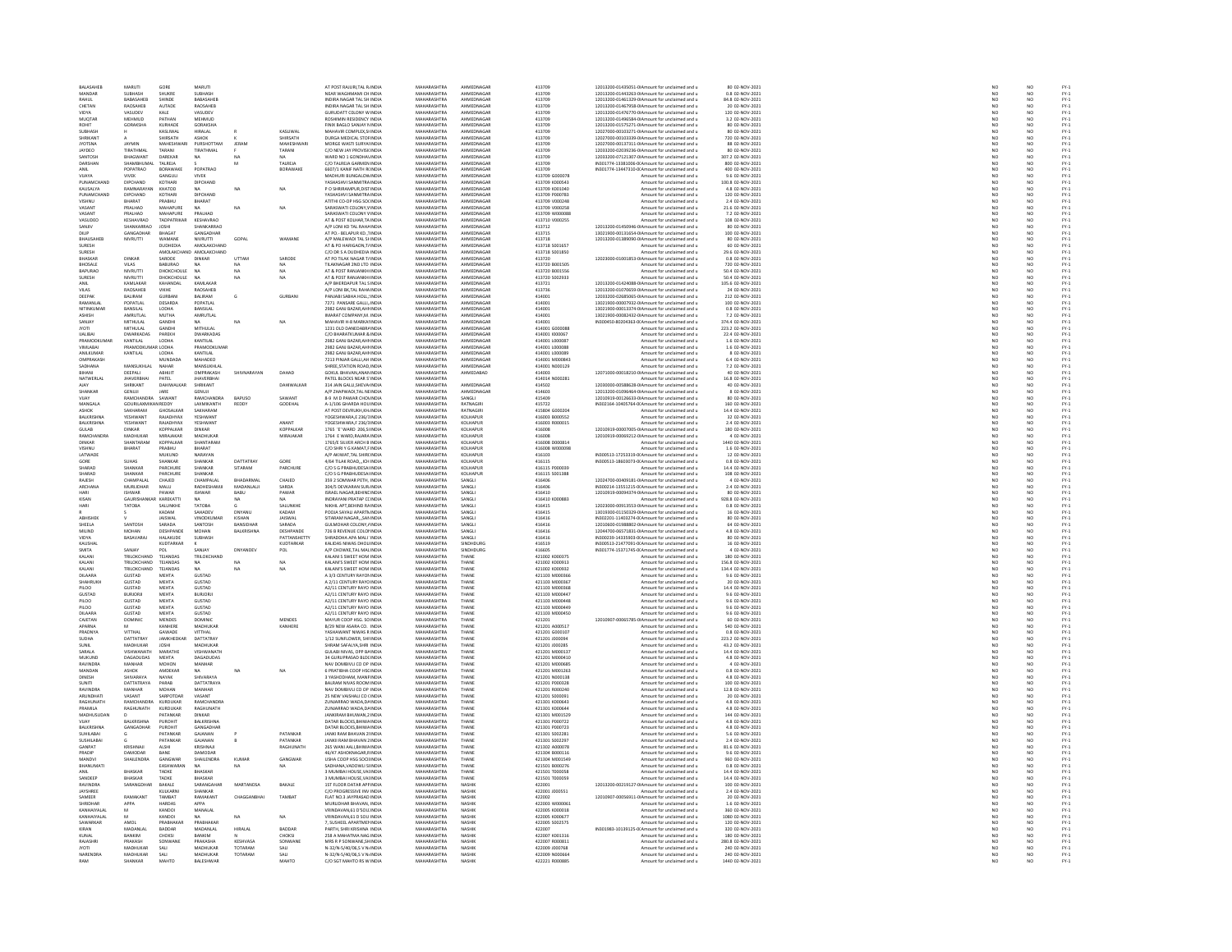| BALASAHEB                                                                                                                                                                                                                                     | MARUTI                            | GORE                   | <b>MARUTI</b>                   |                   |                   | AT POST RAJURI.TAL R INDIA                              | MAHARASHTRA                       | AHMEDNAGAR               | 413709                           | 12013200-01435051-0(Amount for unclaimed and u                                                   | 80 02-NOV-2021                        | NO <sub>1</sub>          |
|-----------------------------------------------------------------------------------------------------------------------------------------------------------------------------------------------------------------------------------------------|-----------------------------------|------------------------|---------------------------------|-------------------|-------------------|---------------------------------------------------------|-----------------------------------|--------------------------|----------------------------------|--------------------------------------------------------------------------------------------------|---------------------------------------|--------------------------|
| MANDAR                                                                                                                                                                                                                                        |                                   | SHUKRE<br>SHINDE       | SUBHASH<br>BABASAHEB            |                   |                   | NEAR WAGHMAMI CH INDIA<br>INDIRA NAGAR TAL SH INDIA     | MAHARASHTRA<br>MAHARASHTRA        | <b>HMEDNAGA</b>          | 413709                           | 12013200-01443263-0IAmount for unclaimed and u<br>12013200-01461329-0IAmount for unclaimed and u | 0.8 02-NOV-2021                       | NO<br>NO                 |
| RAHUL                                                                                                                                                                                                                                         | BABASAHEB                         |                        |                                 |                   |                   |                                                         |                                   | AHMEDNAGAE               | 413709                           |                                                                                                  |                                       |                          |
| CHETAN                                                                                                                                                                                                                                        | RAOSAHER                          | AUTADE                 | RAOSAHER                        |                   |                   | INDIRA NAGAR TAL SH INDIA                               | MAHARASHTRA                       | AHMEDNAGAR               | 413709                           | 12013200-01467958-0LAmount for unclaimed and u                                                   | 20.02-NOV-2021                        | NO                       |
| VIDYA                                                                                                                                                                                                                                         | VASUDEV                           | KALE                   | VASUDEV                         |                   |                   | GURUDATT COLONY W INDIA                                 | <b>MAHARASHTRA</b>                | AHMEDNAGA                | 413709                           | 12013200-01476770-0IAmount for unclaimed and u                                                   | 120 02-NOV-2021                       |                          |
| MUQTAR                                                                                                                                                                                                                                        | MEHMUD                            | PATHAN                 | MEHMUD                          |                   |                   | ROSHIMIN RESIDENCY INDIA                                | MAHARASHTRA                       | AHMEDNAGAR               | 413709                           | 12013200-01496584-0IAmount for unclaimed and u                                                   | 3.2 02-NOV-2021                       | NO <sub>1</sub>          |
| ROHIT                                                                                                                                                                                                                                         | GORAKSHA                          | KURHADI                | <b>GORAKSHA</b>                 |                   |                   | FINIX BAGLO SANJAY N INDI                               | <b>MAHARASHTRA</b>                | AHMEDNAGA                | 413709                           | 12013200-01575271-0IAmount for unclaimed and u                                                   | 80 02-NOV-202                         | NO                       |
| SUBHASH                                                                                                                                                                                                                                       |                                   | KASLIWAL               | <b>HIRALAL</b>                  |                   | KASLIWAL          | MAHAVIR COMPLEX SHNDIA                                  | MAHARASHTRA                       | AHMEDNAGAE               | 413709                           | 12027000-00103271-0(Amount for unclaimed and u                                                   | 80 02-NOV-2021                        | NO <sub>1</sub>          |
| <b>SHRIKAN</b>                                                                                                                                                                                                                                |                                   | <b>HIRSATH</b>         | ASHOK                           |                   | <b>HIRSATH</b>    | DURGA MEDICAL STOF INDI                                 | <b>MAHARASHTRA</b>                | AHMEDNAGAL               | 413709                           | 12027000-00103339-0IAmount for unclaimed and u                                                   | 720 02-NOV-2021                       |                          |
| <b>JYOTSNA</b>                                                                                                                                                                                                                                | JAYMIN                            | MAHESHWARI             | PURSHOTTAM                      | JERAM             | MAHESHWAR         | MORGE WASTI SURYALINDIA                                 | MAHARASHTRA                       | AHMEDNAGAE               | 413709                           | 12027000-00137311-0IAmount for unclaimed and u                                                   | 88 02-NOV-2021                        | NO                       |
| <b>JAYDEO</b>                                                                                                                                                                                                                                 | TIRATHMAL                         | TARANI                 | TIRATHMAL                       |                   | TARANI            | C/O NEW JAY PROVISIONDIA                                | MAHARASHTRA                       | AHMEDNAGAR               | 413709                           | 12033200-02039236-0LAmount for unclaimed and u                                                   | 80.02-NOV-2021                        | NO                       |
| SANTOS                                                                                                                                                                                                                                        | <b>BHAGWANT</b>                   | DAREKAR                | NA                              |                   |                   | WARD NO 1 GONDHAVINDL                                   | MAHARASHTRA                       | AHMEDNAGA                | 413709                           | 12033200-07121307-0IAmount for unclaimed and u                                                   | 307.2 02-NOV-2021                     | NO                       |
| DARSHAN                                                                                                                                                                                                                                       | SHAMBHUMAL                        | TALREJA                |                                 | M                 | TALREJA           | C/O TALREJA GARMEN INDIA                                | MAHARASHTRA                       | AHMEDNAGAE               | 413709                           | IN301774-13381006-0(Amount for unclaimed and u                                                   | 800 02-NOV-2021                       | NO <sub>1</sub>          |
|                                                                                                                                                                                                                                               | POPATRAO                          | BORAWAKI               | POPATRAO                        |                   | BORAWAKE          | 6607/1 KANIF NATH RUNDL                                 | <b>MAHARASHTRA</b>                | AHMEDNAGA                | 413709                           | IN301774-13447310-0(Amount for unclaimed and u                                                   | 400 02-NOV-2021                       |                          |
| VUAYA                                                                                                                                                                                                                                         | <b>VIVEK</b>                      | GANGULI                | <b>VIVEK</b>                    |                   |                   | MADHURI BUNGALOW INDIA                                  | MAHARASHTRA                       | AHMEDNAGAE               | 413709 G000078                   | Amount for unclaimed and u                                                                       | 9.6 02-NOV-2021                       | NO <sub>1</sub>          |
| PUNAMCHAND                                                                                                                                                                                                                                    | DIPCHAND                          | KOTHAR                 | DIPCHAND                        |                   |                   | ASHASHVI SANMITRA INDL                                  | MAHARASHTRA                       | AHMEDNAGAL               | 413709 K000543                   | Amount for unclaimed and u                                                                       | 100.8 02-NOV-2021                     |                          |
| KAUSALYA                                                                                                                                                                                                                                      | RAMNARAYAN                        | KHATOD                 | <b>NA</b>                       | NA                | NA                | P O SHRIRAMPUR, DISTINDIA                               | MAHARASHTRA                       | AHMEDNAGAE               | 413709 K001040                   | Amount for unclaimed and u                                                                       | 4.8 02-NOV-2021                       | NO                       |
| PLINAMCHAND                                                                                                                                                                                                                                   | DIPCHAND                          | KOTHAR                 | DIPCHAND                        |                   |                   | YASHASHVI SANMITRA INDIA                                | MAHARASHTRA                       | AHMEDNAGAR               | 413709 P000783                   | Amount for unclaimed and u                                                                       | 120 02-NOV-2021<br>2.4 02-NOV-2021    |                          |
|                                                                                                                                                                                                                                               | HARAT                             | PRABHU                 | BHARAT                          |                   |                   | ATITHI CO-OP HSG SOLINDI                                | <b>MAHARASHTRA</b>                | AHMEDNAGAI               | 413709 V000248                   | Amount for unclaimed and u                                                                       |                                       | NO<br>NO                 |
| VASANT                                                                                                                                                                                                                                        | PRALHAD                           | MAHAPURE               | <b>NA</b>                       | NA                | NA                | SARASWATI COLONY.V INDIA                                | MAHARASHTRA                       | AHMEDNAGAE               | 413709 V000258                   | Amount for unclaimed and u                                                                       | 21.6 02-NOV-2021                      | NO <sub>1</sub>          |
| VASANT                                                                                                                                                                                                                                        | RALHAD                            | MAHAPUR                | PRALHAD                         |                   |                   | SARASWATI COLONY V INDI                                 | <b>MAHARASHTRA</b>                | AHMEDNAGAL               | 413709 W00008                    | Amount for unclaimed and u                                                                       | 7.2 02-NOV-202                        |                          |
| VASUDEO                                                                                                                                                                                                                                       | <b>KESHAVRAO</b>                  | TADPATRIKAR            | KESHAVRAO                       |                   |                   | AT & POST KOLHAR.TA INDIA                               | MAHARASHTRA                       | AHMEDNAGAE               | 413710 V000255                   | Amount for unclaimed and u                                                                       | 108 02-NOV-2021                       | NO <sub>1</sub>          |
| SANJIV                                                                                                                                                                                                                                        | <b>LUANKADDAC</b>                 |                        | <b>SUANKADDAC</b>               |                   |                   | VP LONI KD TAL RAHA INDIA                               | <b>MAUARASUTRA</b>                | <b>AUMERNAGAS</b>        | 413712                           | 12013200-01450946-0IAmount for unclaimed and u                                                   | 80 02-NOV-2021                        | $\overline{\mathsf{NC}}$ |
| DILIP                                                                                                                                                                                                                                         | GANGADHAR                         | BHAGAT                 | GANGADHAR                       |                   |                   | AT PO.- BELAPUR KD., 1INDIA                             | MAHARASHTRA                       | AHMEDNAGAE               | 413715                           | 13021900-00131654-0IAmount for unclaimed and u                                                   | 100 02-NOV-2021                       | NO                       |
| <b>RHALISAHER</b>                                                                                                                                                                                                                             | NIVRUTTI                          | WAMANE                 | NIVRLITTI                       | GOPAL             | WAMANE            | VP MALEWADI TAL SHINDIA                                 | MAHARASHTRA                       | AHMEDNAGAR               | 413718                           | 12013200-01389090-0IAmount for unclaimed and u                                                   | 80 02-NOV-2021                        | NO                       |
| SURESH                                                                                                                                                                                                                                        |                                   | DUDHEDIA               | AMOLAKCHANI                     |                   |                   | AT & PO HARIGAON, T/ INDIA                              | MAHARASHTRA                       | AHMEDNAGAE               | 413718 S001657                   | Amount for unclaimed and u                                                                       | 60 02-NOV-2021                        | NO                       |
| <b>SURFSH</b>                                                                                                                                                                                                                                 |                                   | <b>AMOLAKCHAND</b>     | AMOLAKCHAND                     |                   |                   | C/O DR S A DUDHEDIA INDIA                               | MAHARASHTRA                       | AHMEDNAGAR               | 413718 S001850                   | Amount for unclaimed and u                                                                       | 29.6.02-NOV-2021                      | NO                       |
| <b>BHASKA</b>                                                                                                                                                                                                                                 | <b>DINKAF</b>                     |                        |                                 | <b>UTTAN</b>      | SARODE            |                                                         | <b>MAHARASHTRA</b>                | <b>HMFDNAGA</b>          | 13720                            | 12023000-01001853-0IAmount for unclaimed and u                                                   | 0.8 02-NOV-2021                       |                          |
| <b>BHOSALE</b>                                                                                                                                                                                                                                | <b>24 IIV</b>                     | <b>BABURAO</b>         | <b>NA</b>                       | NA.               | NA <sup>1</sup>   | TILAKNAGAR 2ND LTD INDIA                                | MAHARASHTRA                       | AHMEDNAGAE               | 413720 B001505                   | Amount for unclaimed and u                                                                       | 720 02-NOV-2021                       | NO <sub></sub>           |
| BAPURAC                                                                                                                                                                                                                                       | <b>NIVRUTTI</b>                   | DHOKCHOULE             |                                 | NA                |                   | AT & POST RANJANKH INDI                                 | <b>MAUADACUTRA</b>                | <b>AUMERNAGAS</b>        | 413720 B00155                    | Amount for unclaimed and u                                                                       | 50.4 02-NOV-2021                      | NO                       |
|                                                                                                                                                                                                                                               |                                   |                        |                                 |                   |                   |                                                         |                                   |                          |                                  |                                                                                                  |                                       |                          |
| SURESH<br>ANIL                                                                                                                                                                                                                                | NIVRUTTI<br>KAMI AKAR             | DHOKCHOULE<br>KAHANDAL | <b>NA</b><br>KAMI AKAR          | NA                | NA                | AT & POST RANJANKH INDIA<br>A/P RHERDAPLIR TAL SINDIA   | MAHARASHTRA<br>MAHARASHTRA        | AHMEDNAGAE<br>AHMEDNAGAR | 413720 S002933<br>413721         | Amount for unclaimed and u<br>12013200-01424088-0IAmount for unclaimed and u                     | 50.4 02-NOV-2021<br>105.6 02-NOV-2021 | NO<br>NO                 |
| <b>VILAS</b>                                                                                                                                                                                                                                  |                                   |                        |                                 |                   |                   |                                                         |                                   |                          |                                  |                                                                                                  |                                       |                          |
| DEEPAK                                                                                                                                                                                                                                        | RAOSAHEB<br>RAILRAM               | VIKHE<br>GURRANI       | RAOSAHEB<br>RAHRAM              | G.                | GURRANI           | A/P LONI BK, TAL RAHA INDIA<br>PANJARI SARHA HOLL INDIA | MAHARASHTRA<br>MAHARASHTRA        | AHMEDNAGAE<br>AHMEDNAGAR | 413736<br>414001                 | 12013200-01070659-0IAmount for unclaimed and u<br>12033200-02685065-0(Amount for unclaimed and u | 24 02-NOV-2021<br>212 02-NOV-2021     | NO<br>NO                 |
|                                                                                                                                                                                                                                               |                                   |                        |                                 |                   |                   |                                                         |                                   |                          |                                  |                                                                                                  |                                       |                          |
| RAMANLA                                                                                                                                                                                                                                       | POPATLA                           | DESARDA                | POPATLAL                        |                   |                   | 7271 PANSARE GALLI, INDIA                               | MAHARASHTRA                       | AHMEDNAGA                | 414001                           | 13021900-00007932-0IAmount for unclaimed and u                                                   | 100 02-NOV-2021                       | NO                       |
| NITINKUMAR                                                                                                                                                                                                                                    | BANSILAL<br>AMRLITI AL            | LODHA<br><b>MUTHA</b>  | BANSILAL                        |                   |                   | 2982 GANJ BAZAR, AHI INDIA                              | MAHARASHTRA<br>MAHARASHTRA        | AHMEDNAGAE<br>AHMEDNAGAR | 414001                           | 13021900-00013374-0IAmount for unclaimed and u                                                   | 0.8 02-NOV-2021                       | NO                       |
| ASHISH                                                                                                                                                                                                                                        |                                   |                        | AMRUTLAL                        |                   |                   | IMARAT COMPANY.M. INDIA                                 |                                   |                          | 414001                           | 13021900-00082432-0IAmount for unclaimed and u                                                   | 7.2 02-NOV-2021                       | NO                       |
| SANJAY                                                                                                                                                                                                                                        | MITHULAL                          | GANDHI                 |                                 | NA                | NA                | MAHAVIR H-8 MARKAI INDIA                                | MAHARASHTRA                       | AHMEDNAGAE               | 414001                           | IN300450-80204363-0(Amount for unclaimed and u                                                   | 374.4 02-NOV-2021                     | NO                       |
| <b>IYOTI</b>                                                                                                                                                                                                                                  | MITHULAL                          | <b>GANDH</b>           | MITHI II AI                     |                   |                   | 1231 OLD DANEDARR/ INDIA                                | MAHARASHTRA                       | AHMEDNAGAR               | 414001 GOODS                     | Amount for unclaimed and u                                                                       | 223.2 02-NOV-2021                     | NO                       |
| <b>IJALIBAI</b>                                                                                                                                                                                                                               | <b>DWARKADAS</b>                  | PAREKH                 | <b>DWARKADAS</b>                |                   |                   | C/O BHARATKUMAR & INDIA                                 | MAHARASHTRA                       | AHMEDNAGAE               | 414001 1000067                   | Amount for unclaimed and u                                                                       | 22.4 02-NOV-2021                      | NO                       |
| PRAMODICI IMAI                                                                                                                                                                                                                                | KANTILAI                          | <b>LODHA</b>           | KANTILAI                        |                   |                   | 2982 GANI BAZAR AHLINDIA                                | MAHARASHTRA                       | AHMEDNAGAR               | 414001 1000087                   | Amount for unclaimed and u                                                                       | 1.6.02-NOV-2021                       | N <sub>0</sub>           |
| VIMLABA                                                                                                                                                                                                                                       | PRAMODKUMAR LODHA                 |                        | PRAMODKUMAF                     |                   |                   | 2982 GANJ BAZAR, AHI INDIA                              | MAHARASHTRA                       | AHMEDNAGAI               | 414001 L000088                   | Amount for unclaimed and u                                                                       | 1.6 02-NOV-2021                       | NO                       |
| ANILKUMAR                                                                                                                                                                                                                                     | KANTILAL                          | LODHA                  | KANTILAL                        |                   |                   | 2982 GANJ BAZAR AHI INDIA                               | MAHARASHTRA                       | AHMEDNAGAE               | 414001 L000089                   | Amount for unclaimed and u                                                                       | 8 02-NOV-2021                         | NO<br>NO                 |
| OMPRAKAS                                                                                                                                                                                                                                      |                                   | <b>MUNDADA</b>         | MAHADEC                         |                   |                   | 7213 PINJAR GALLI, AH INDI                              | MAHARASHTRA                       | <b>AHMEDNAGAI</b>        | 414001 M00084                    | Amount for unclaimed and u                                                                       | 6.4 02-NOV-2021                       |                          |
| SADHANA                                                                                                                                                                                                                                       | MANSUKHLAL                        | NAHAR                  | MANSUKHLAI                      |                   |                   | SHREE, STATION ROAD, INDIA                              | MAHARASHTRA                       | AHMEDNAGAE               | 414001 N000129                   | Amount for unclaimed and u                                                                       | 7.2 02-NOV-2021                       | NO                       |
| RIHANI                                                                                                                                                                                                                                        | DEEPALL                           | <b>ARHIIT</b>          | OMPRAKASH                       | SHIVNARAYAN       | DAHAD             | GOKUL BHAVAN ANAN INDIA                                 | MAHARASHTRA                       | AHMEDARAD                | 414003                           | 12071000-00018210-0(Amount for unclaimed and u                                                   | 40.02-NOV-2021                        | NO                       |
| NATWERLAL                                                                                                                                                                                                                                     | <b>JHAVERBHAI</b>                 | PATEL                  | <b>JHAVERBHA</b>                |                   |                   | PATEL BLOCKS NEAR S'INDIA                               | MAHARASHTRA                       |                          | 414014 N000281                   | Amount for unclaimed and u                                                                       | 16.8 02-NOV-2021                      | NO                       |
|                                                                                                                                                                                                                                               | SHRIKANT                          | DAHIWAIKAR             | SHRIKANT                        |                   | <b>DAHIWAIKAR</b> | 314 JAIN GALLI SHEVALINDIA                              | MAHARASHTRA                       | AHMEDNAGAR               | 414502                           | 12030000-00588628-0LAmount for unclaimed and u                                                   | 40.02-NOV-2021                        | NO                       |
| SHANKAR                                                                                                                                                                                                                                       | GENUJI                            | JARE                   | GENUJI                          |                   |                   | A/P ZHAPWADI, TAL NE INDI                               | MAHARASHTRA                       | AHMEDNAGAE               | 414603                           | 12013200-01096464-0IAmount for unclaimed and u                                                   | 8 02-NOV-202                          | NO                       |
| VUAY                                                                                                                                                                                                                                          | RAMCHANDRA SAWANT                 |                        | RAMCHANDRA                      | <b>BAPUSO</b>     | SAWANT            | 8-9 M D PAWAR CHOVINDIA                                 | MAHARASHTRA                       | SANGLI                   | 415409                           | 12010919-00126633-0(Amount for unclaimed and u                                                   | 80 02-NOV-2021                        | NO <sub>1</sub>          |
| MANGALA                                                                                                                                                                                                                                       | GOURILAXMIKAN REDDY               |                        | LAXMIKANTH                      | REDDY             | GODEHAL           | A-1/106 GHARDA HOU INDL                                 | <b>MAHARASHTRA</b>                | RATNAGIRI                | 415722                           | IN302164-10405764-0(Amount for unclaimed and u                                                   | 160 02-NOV-2021                       |                          |
| ASHOK                                                                                                                                                                                                                                         | SAKHARAM                          | GHOSALKAR              | SAKHARAM                        |                   |                   | AT POST DEVRUKH.KH INDIA                                | MAHARASHTRA                       | RATNAGIRI                | 415804 G000204                   | Amount for unclaimed and u                                                                       | 14.4 02-NOV-2021                      |                          |
| <b>BALKRISHNA</b>                                                                                                                                                                                                                             | <b><i>VESHWANT</i></b>            | RAIADHYAX              | <b>YESHWANT</b>                 |                   |                   | <b>IOGESHWARA E 236/1INDIA</b>                          | MAHARASHTRA                       | KOLHAPLIR                | 416003 8000552                   | Amount for unclaimed and u                                                                       | 32 02-NOV-2021                        | NO<br>NO                 |
| BALKRISHNA                                                                                                                                                                                                                                    | <b>YESHWAN</b>                    | RAJADHYAX              | <b>YESHWANT</b>                 |                   | ANANT             | YOGESHWARA,F 236/3INDM                                  | MAHARASHTRA                       | KOLHAPUR                 | 416003 R000019                   | Amount for unclaimed and u                                                                       | 2.4 02-NOV-2021                       | NO                       |
| GLILAR.                                                                                                                                                                                                                                       | <b>DINKAR</b>                     | KOPPALKAR              | DINKAR                          |                   | KOPPALKAR         | 1765 'F' WARD 206 SUNDIA                                | MAHARASHTRA                       | KOLHAPLIR                | 416008                           | 12010919-00007005-0LAmount for unclaimed and u                                                   | 180.02-NOV-2021                       | NO                       |
| RAMCHANDR                                                                                                                                                                                                                                     | MADHUKAR                          | MIRAJAKAR              | MADHUKAR                        |                   | MIRAJAKAR         | 1764 E WARD, RAJARA INDIA                               | MAHARASHTRA                       | KOLHAPUR                 | 416008                           | 12010919-00069212-0IAmount for unclaimed and u                                                   | 4 02-NOV-2021                         | NO                       |
| <b>DINKAR</b>                                                                                                                                                                                                                                 | SHANTARAM                         | KOPPALKAR              | SHANTARAM                       |                   |                   | 1765/E SILVER ARCH B INDIA                              | MAHARASHTRA                       | KOLHAPUR                 | 416008 D000814                   | Amount for unclaimed and u                                                                       | 1440 02-NOV-2021                      | NO <sub></sub>           |
| VISHNU                                                                                                                                                                                                                                        | <b>BHARAT</b>                     | PRABHU                 | HARAT                           |                   |                   | C/O SHRI Y G KAMAT,F INDL                               | <b>MAHARASHTRA</b>                | KOLHAPUI                 | 416008 W00009                    | Amount for unclaimed and u                                                                       | 1.6 02-NOV-202                        |                          |
| LATWADE                                                                                                                                                                                                                                       |                                   | MUKUND                 | NARAYAN                         |                   |                   | A/P AKIWAT.TAL SHIRCINDIA                               | MAHARASHTRA                       | KOLHAPUR                 | 416103                           | IN300513-17253319-0(Amount for unclaimed and u                                                   | 12 02-NOV-2021                        | NO <sub>1</sub>          |
|                                                                                                                                                                                                                                               | SUHAS<br>SHANKAR                  | HANKAP                 | <b>UANKAI</b>                   | <b>DATTATRAY</b>  |                   | 1/64 TILAK ROAD, ICH INDL                               | MAHARASHTRA                       | KOLHAPUI                 | 416115                           | 4300513-18603073-0(Amount for unclaimed and u                                                    | 0.8 02-NOV-2021<br>14.4 02-NOV-2021   |                          |
| SHARAD                                                                                                                                                                                                                                        |                                   | PARCHURE               | SHANKAR                         | SITARAM           | PARCHURE          | C/O S G PRABHUDESAI INDIA                               | MAHARASHTRA                       | KOLHAPUR                 | 416115 P000039                   | Amount for unclaimed and u                                                                       |                                       | NO<br>NO                 |
| SHARAD                                                                                                                                                                                                                                        | SHANKAR                           | PARCHURE               | SHANKAR                         |                   |                   | C/O S G PRABHUDESAI INDIA                               | MAHARASHTRA                       | KOLHAPUR                 | 416115 S001388                   | Amount for unclaimed and u                                                                       | 108 02-NOV-2021                       | NO <sub></sub>           |
| RAJESH                                                                                                                                                                                                                                        | CHAMPALA                          | CHAJED                 | CHAMPALA                        | <b>BHADARMA</b>   | CHAJED            | 359 2 SOMWAR PETH, INDI                                 | <b>MAHARASHTRA</b>                | SANGLI                   | 416406                           | 12024700-00409181-0IAmount for unclaimed and u                                                   | 4 02-NOV-202                          | NO                       |
| ARCHANA                                                                                                                                                                                                                                       | <b>MURLIDHAR</b>                  | MALU                   | RADHESHAMJI                     | MADANLAUI         | SARDA             | 304/5 DEVKARAN SUR INDIA                                | MAHARASHTRA                       | SANGLI                   | 416406                           | IN300214-13551215-0(Amount for unclaimed and u                                                   | 2.4 02-NOV-2021                       | NO <sub>1</sub>          |
|                                                                                                                                                                                                                                               | SHWAR                             | PAWA                   | <b>ISHWAR</b>                   |                   | PAWAR             | ISRAEL NAGAR, BEHINC INDI                               | <b>MAHARASHTRA</b>                | SANGL                    | 416410                           | 12010919-00094374-0IAmount for unclaimed and u                                                   | 80 02-NOV-2021                        |                          |
| KISAN                                                                                                                                                                                                                                         | GAURISHANKAR KAREKATTI            |                        | <b>NA</b>                       | <b>NA</b>         | NA.               | INDRAYANI PRATAP CCINDIA                                | MAHARASHTRA                       | SANGLI                   | 416410 K000883                   | Amount for unclaimed and u                                                                       | 928.8 02-NOV-2021                     | NO <sub></sub>           |
|                                                                                                                                                                                                                                               | TATOBA                            | SALUNKH                | TATORA                          |                   | SALUNKHE          | NIKHIL APT, BEHIND RAINDIA                              | <b>MAUARASUTRA</b>                | SANGLE                   | 416415                           | 12023000-00913553-0IAmount for unclaimed and u                                                   | 0.8 02-NOV-2021                       | NO                       |
| HARI                                                                                                                                                                                                                                          |                                   | KADAM                  | SAHADEV                         | DNYANU            | KADAM             | POOJA SAYALI APARTNINDIA                                | MAHARASHTRA                       | SANGLI                   | 416415                           | 13019300-01150329-0IAmount for unclaimed and u                                                   | 16 02-NOV-2021                        | NO                       |
| <b>ABHISHER</b>                                                                                                                                                                                                                               |                                   | <b>JAISWAL</b>         | VINODKUMAR                      | KISHAN            | <b>AISWAL</b>     | SITARAM NAGAR SAN INDIA                                 | MAHARASHTRA                       | SANGLI                   | 416416                           | IN302201-11403274-0(Amount for unclaimed and u                                                   | 80 02-NOV-2021                        | NO <sub></sub>           |
| SHEELA                                                                                                                                                                                                                                        | SANTOS                            | SARADA                 | SANTOSH                         |                   | SARADA            | <b>GULMOHAR COLONY, / INDI</b>                          | <b>MAHARASHTRA</b>                | SANGL                    | 416416                           | 12010600-01988802-0IAmount for unclaimed and u                                                   | 64 02-NOV-2021                        |                          |
| <b>MILIND</b>                                                                                                                                                                                                                                 | MOHAN                             | DESHPANDE              | MOHAN                           | <b>BALKRISHNA</b> | DESHPANDE         | 726 B REVENUE COLONINDIA                                | MAHARASHTRA                       | SANGLI                   | 416416                           | 12044700-06571831-0(Amount for unclaimed and u                                                   | 4.8 02-NOV-2021                       | NO <sub></sub>           |
| VIDYA                                                                                                                                                                                                                                         | BASAVARA                          | HALAKUDE               | <b>SUBHASH</b>                  |                   | PATTANSHETT       | <b>SHRADDHA APA MALI INDI</b>                           | MAHARASHTRA                       | SANGLI                   | 416416                           | N300239-14335903-0(Amount for unclaimed and u                                                    | 80 02-NOV-2021                        |                          |
| KAUSHAI                                                                                                                                                                                                                                       |                                   | KUDTARKAF              |                                 |                   | KUDTARKAR         | KALIDAS NIWAS DHOL INDIA                                | MAHARASHTRA                       | SINDHDURG                | 416519                           | IN300513-21477091-0(Amount for unclaimed and u                                                   | 16 02-NOV-2021                        | NO <sub>1</sub>          |
| SMITA                                                                                                                                                                                                                                         | SANJAY                            |                        | CANIAY                          | DNYANDEY          | POL               | VP CHOWKE, TAL MAL INDIA                                | <b>MAHARASHTRA</b>                | SINDHDURG                | 416605                           | N301774-15371745-0LAmount for unclaimed and u                                                    | 4 02-NOV-2021                         |                          |
|                                                                                                                                                                                                                                               |                                   |                        |                                 |                   |                   |                                                         |                                   |                          |                                  |                                                                                                  |                                       |                          |
| KALANI<br>KALANI                                                                                                                                                                                                                              | TRILOKCHAND<br><b>TRILOKCHAND</b> | TEJANDAS<br>TEIANDAS   | TRILOKCHAND<br>NΔ.              | $\mathbf{M}$      | NA                | KALANI S SWEET HOM INDIA<br>KALANI'S SWEET HOM INDIA    | MAHARASHTRA<br>MAHARASHTRA        | THANE<br>THANF           | 421002 K000375<br>421002 K000913 | Amount for unclaimed and u                                                                       | 180 02-NOV-2021<br>156.8 02-NOV-2021  | NO<br>NO                 |
|                                                                                                                                                                                                                                               |                                   |                        |                                 |                   |                   |                                                         |                                   |                          |                                  | Amount for unclaimed and u                                                                       |                                       |                          |
| KALANI<br>DILAARA                                                                                                                                                                                                                             | TRILOKCHAND<br><b>GUSTAD</b>      | TEJANDAS<br>MEHTA      | NA.<br><b>GUSTAD</b>            | NA                | NA                | KALANI'S SWEET HOM INDIA<br>A 3/3 CENTURY RAYON INDIA   | MAHARASHTRA<br>MAHARASHTRA        | THANE<br>THANE           | 421002 K000932<br>421103 M000366 | Amount for unclaimed and u<br>Amount for unclaimed and u                                         | 134.4 02-NOV-2021<br>9.6 02-NOV-2021  | NO<br>NO <sub>1</sub>    |
|                                                                                                                                                                                                                                               | <b>SUSTAD</b>                     | MEHT/                  | <b>GUSTAD</b>                   |                   |                   |                                                         | <b>MAHARASHTRA</b>                |                          | 421103 M000367                   |                                                                                                  |                                       |                          |
| SHAHRUKH                                                                                                                                                                                                                                      |                                   |                        |                                 |                   |                   | A 2/11 CENTURY RAYO INDI                                |                                   | THANE                    |                                  | Amount for unclaimed and u                                                                       | 20 02-NOV-202                         |                          |
| PILOO                                                                                                                                                                                                                                         | GUSTAD<br><b>BURIORI</b>          | MEHTA<br>MEHTA         | <b>GUSTAD</b><br><b>BURIORI</b> |                   |                   | A2/11 CENTURY RAYO INDIA                                | MAHARASHTRA<br>MAHARASHTRA        | THANE<br>THANE           | 421103 M000368<br>421103 MODD443 | Amount for unclaimed and u                                                                       | 14.4 02-NOV-2021<br>9.6 02-NOV-2021   | NO                       |
| GUSTAD                                                                                                                                                                                                                                        |                                   |                        |                                 |                   |                   | A2/11 CENTURY RAYO INDIA                                |                                   |                          |                                  | Amount for unclaimed and u                                                                       |                                       | NO                       |
| PILOO<br>PILOO                                                                                                                                                                                                                                | GUSTAD<br>GUSTAD                  | MEHTA<br><b>MEHTA</b>  | <b>GUSTAD</b><br>GUSTAD         |                   |                   | A2/11 CENTURY RAYO INDIA                                | MAHARASHTRA<br>MAHARASHTRA        | THANE                    | 421103 M000448<br>421103 MODD44  | Amount for unclaimed and u                                                                       | 9.6 02-NOV-2021                       | NO                       |
|                                                                                                                                                                                                                                               |                                   |                        |                                 |                   |                   | A2/11 CENTURY RAYO INDIA                                |                                   | THANK                    |                                  | Amount for unclaimed and u                                                                       | 9.6 02-NOV-2021                       | NO                       |
| DILAARA<br>CAIFTAN                                                                                                                                                                                                                            | <b>GUSTAD</b><br><b>DOMINIC</b>   | MEHTA<br>MENDES        | <b>GUSTAD</b><br>DOMINIO        |                   | <b>MENDES</b>     | A2/11 CENTURY RAYO INDIA<br>MAYUR COOP HSG SOINDIA      | MAHARASHTRA<br>MAHARASHTRA        | THANE<br>THANK           | 421103 M000450<br>421201         | Amount for unclaimed and u<br>12010907-00065785-0LAmount for unclaimed and u                     | 9.6 02-NOV-2021<br>60.02-NOV-2021     | NO                       |
| APARNA                                                                                                                                                                                                                                        |                                   | CANHER                 | MADHUKAR                        |                   |                   | 8/29 NEW ASARA CO. INDI                                 | MAHARASHTRA                       | THANE                    | 421201 A000517                   | Amount for unclaimed and u                                                                       | 540 02-NOV-2021                       | NO<br>NO                 |
| PRADNYA                                                                                                                                                                                                                                       | VITTHAL                           | GAWADE                 | <b>VITTHAL</b>                  |                   |                   | YASHAWANT NIWAS R INDIA                                 | MAHARASHTRA                       | THANE                    | 421201 G000107                   | Amount for unclaimed and u                                                                       | 0.8 02-NOV-2021                       | NO                       |
| <b>SUDHA</b>                                                                                                                                                                                                                                  | DATTATRAY                         | JAMKHEDKA              | DATTATRAY                       |                   |                   | 1/12 SUNFLOWER, SHI INDIA                               | MAHARASHTRA                       | THANE                    | 421201 J000094                   | Amount for unclaimed and                                                                         | 223.2 02-NOV-2021                     | NO                       |
|                                                                                                                                                                                                                                               |                                   | <b>JOSHI</b>           |                                 |                   |                   |                                                         | MAHARASHTRA                       |                          | 421201 J000285                   |                                                                                                  |                                       |                          |
| SARALA                                                                                                                                                                                                                                        | MADHUKAR<br>VISHWANATH            | MARATHE                | MADHUKAR<br>VISHWANATH          |                   |                   | SHRAM SAFALYA, SHRI INDIA<br>GUIARI NIVAS OPP RAINDIA   | MAHARASHTRA                       | THANE<br>THANE           | 421201 MODD137                   | Amount for unclaimed and u<br>Amount for unclaimed and u                                         | 43.2 02-NOV-2021<br>14.4.02-NOV-2021  | NO<br>NO                 |
|                                                                                                                                                                                                                                               |                                   |                        |                                 |                   |                   |                                                         |                                   |                          |                                  |                                                                                                  |                                       |                          |
| MUKUND                                                                                                                                                                                                                                        | DAGADUDAS                         | MEHTA                  | DAGADUDAS                       |                   |                   | 34 GURUPRASAD BLD( INDIA                                | MAHARASHTRA                       | THANE                    | 421201 M000410                   | Amount for unclaimed and u                                                                       | 4.8 02-NOV-2021                       | NO                       |
| RAVINDRA                                                                                                                                                                                                                                      | MANHAR                            | MOHON                  | MANHAR                          |                   |                   | NAV DOMRIVI LCO OP INDIA                                | MAHARASHTRA                       | THANK                    | 421201 MODDERS                   | Amount for unclaimed and u                                                                       | 4.02-NOV-2021                         | NO                       |
| MANDAN                                                                                                                                                                                                                                        | ASHOK                             | AMDEKAP                |                                 | NA                | NA                | 6 PRATIBHA COOP HSC INDL                                | <b>MAHARASHTRA</b>                | THAN                     | 421201 M001263                   | Amount for unclaimed and u                                                                       | 0.8 02-NOV-2021                       |                          |
| DINESH<br>SUNITI                                                                                                                                                                                                                              | SHIVARAYA<br>DATTATRAYA           | NAYAK                  | SHIVARAYA<br>DATTATRAYA         |                   |                   | 3 YASHODHAM, MANFINDIA                                  | MAHARASHTRA<br>MAHARASHTRA        | THANE<br>THANE           | 421201 N000138<br>421201 P000328 | Amount for unclaimed and u                                                                       | 4.8 02-NOV-2021                       | NO                       |
|                                                                                                                                                                                                                                               |                                   | PARAR                  |                                 |                   |                   | <b>BALRAM NIVAS ROOM INDIA</b>                          |                                   |                          |                                  | Amount for unclaimed and u                                                                       | 100 02-NOV-2021                       | NO                       |
| <b>RAVINDRA</b><br><b>ARLINDHAT</b>                                                                                                                                                                                                           | MANHAR                            | MOHAN                  | <b>MANHAR</b>                   |                   |                   | NAV DOMBIVLI CO OP INDIA                                | MAHARASHTRA                       | THANE                    | 421201 R000240                   | Amount for unclaimed and u                                                                       | 12.8 02-NOV-2021                      | NO                       |
|                                                                                                                                                                                                                                               | VASANT                            | SARPOTOA               | VASANT                          |                   |                   | 25 NEW VAISHALL CO CINDIA                               | MAHARASHTRA                       | THANK                    | 421201 5000091                   | Amount for unclaimed and u                                                                       | 20.02-NOV-2021                        | NO                       |
|                                                                                                                                                                                                                                               | RAMCHANDRA                        | KURDUKAR               | RAMCHANDRA                      |                   |                   | ZUNJARRAO WADA.DAINDIA                                  | MAHARASHTRA                       | THANE                    | 421301 K000643                   | Amount for unclaimed and u                                                                       | 4.8 02-NOV-2021                       | NO                       |
|                                                                                                                                                                                                                                               |                                   | KURDUKAR               | RAGHLINATH                      |                   |                   | ZUNIARRAO WADA DAINDIA                                  | MAHARASHTRA                       | THANE                    | 421301 K000644                   | Amount for unclaimed and u                                                                       | 4.8.02-NOV-2021                       | NO                       |
|                                                                                                                                                                                                                                               | RAGHLINATH                        |                        | <b>DINKAR</b>                   |                   |                   | JANKIRAM BHUWAN,2 INDL                                  | MAHARASHTRA                       | THANE                    | 421301 M001529                   | Amount for unclaimed and u                                                                       | 144 02-NOV-2021                       | NO                       |
|                                                                                                                                                                                                                                               |                                   | PATANKAR               |                                 |                   |                   | DATAR BLOCKS.BHIWA INDIA                                | MAHARASHTRA                       | THANE                    | 421301 P000722                   | Amount for unclaimed and u                                                                       | 4.8 02-NOV-2021                       | NO <sub>1</sub>          |
|                                                                                                                                                                                                                                               | BALKRISHNA                        | PUROHIT                | <b>BALKRISHNA</b>               |                   |                   |                                                         |                                   |                          |                                  |                                                                                                  | 4.8 02-NOV-202                        | $\frac{1}{N}$            |
|                                                                                                                                                                                                                                               | SANGADHAI                         |                        |                                 |                   |                   | DATAR BLOCKS, BHIWA INDI                                |                                   | <b>THANI</b>             | 421301 P00072                    |                                                                                                  |                                       |                          |
|                                                                                                                                                                                                                                               |                                   | PATANKAR               | GAJANAN                         |                   | PATANKAR          | JANKI RAM BHAVAN 2 INDIA                                | MAHARASHTRA<br>MAHARASHTRA        | THANE                    | 421301 S002281                   | Amount for unclaimed and u<br>Amount for unclaimed and u                                         | 5.6 02-NOV-2021                       |                          |
|                                                                                                                                                                                                                                               |                                   | PATANKAR               | GAIANAN                         |                   | PATANKAR          | <b>JANKII RAM RHAVAN 2 INDIA</b>                        | MAHARASHTRA                       | THANE                    | 421301 5002297                   | Amount for unclaimed and u                                                                       | 2.4.02-NOV-2021                       | N <sub>0</sub>           |
|                                                                                                                                                                                                                                               | KRISHNAJ                          | ALSHI                  | KRISHNAJI                       |                   | RAGHUNATH         | 265 WANI AALI, BHIWA INDIA                              | MAHARASHTRA                       | THANE                    | 421302 A000078                   | Amount for unclaimed and u                                                                       | 81.6 02-NOV-2021                      | NO                       |
|                                                                                                                                                                                                                                               | DAMODAR                           | BANE                   | DAMODAR                         |                   |                   | 46/47 ASHOKNAGAR.RINDIA                                 | MAHARASHTRA                       | THANE                    | 421304 B000116                   | Amount for unclaimed and u                                                                       | 9.6 02-NOV-2021                       | NO <sub></sub>           |
|                                                                                                                                                                                                                                               | <b>SHAILENDR</b>                  | GANGWAR                | SHAILENDRA                      | KUMA              | GANGWAP           | USHA COOP HSG SOCII INDI                                | MAHARASHTRA                       | THANE                    | 421304 M001549                   | Amount for unclaimed and u                                                                       | 960 02-NOV-2021                       |                          |
|                                                                                                                                                                                                                                               |                                   | EASHWARAN              | <b>NA</b>                       | <b>NA</b>         | NA                | SADHANA.VADOWLI SHNDIA                                  | MAHARASHTRA                       | THANE                    | 421501 B000276                   | Amount for unclaimed and u                                                                       | 0.8 02-NOV-2021                       | NO <sub></sub>           |
|                                                                                                                                                                                                                                               | <b>BHASKAR</b>                    | <b>TADKI</b>           | BHASKAR                         |                   |                   |                                                         | <b>MAHARASHTRA</b>                | THANE                    | 421501 T00005                    | Amount for unclaimed and u                                                                       | 14.4 02-NOV-202                       |                          |
|                                                                                                                                                                                                                                               | <b>BHASKAR</b>                    | TADKE                  | <b>BHASKAR</b>                  |                   |                   | 3 MUMBAI HOUSE VALINDIA                                 | MAHARASHTRA                       | THANE                    | 421501 T000059                   | Amount for unclaimed and u                                                                       | 14.4 02-NOV-2021                      | NO <sub></sub>           |
|                                                                                                                                                                                                                                               | SARANGDHAI                        | RAKALE                 | SARANGAHAR                      | MARTANDSA         | <b>BAKALE</b>     | 1ST FLOOR DATAR APFINDIA                                | MAHARASHTRA                       | <b>NASHIK</b>            | 422001                           | 12013200-00219127-0 Amount for unclaimed and u                                                   | 100.02-NOV-2021                       | $\overline{M}$           |
|                                                                                                                                                                                                                                               |                                   | KULKARN                | SHANKAR                         |                   |                   | C/O PROGRESSIVE INV INDIA                               | MAHARASHTRA                       | NASHIK                   | 422001 J000551                   | Amount for unclaimed and u                                                                       | 2.4 02-NOV-2021                       |                          |
|                                                                                                                                                                                                                                               | RAMAKANT                          | TAMBAT                 | RAMAKANT                        | CHAGGANBHAI       | TAMBAT            | FLAT NO.3 JAYPRASAD INDIA                               | MAHARASHTRA                       | NASHIK                   | 422002                           | 12010907-00056911-0 Amount for unclaimed and u                                                   | 20 02-NOV-2021                        | NO <sub></sub>           |
|                                                                                                                                                                                                                                               | APPA                              | HARDA!                 | APPA                            |                   |                   | MURLIDHAR BHAVAN, INDI                                  | <b>MAHARASHTRA</b>                | NASHIK                   | 422003 W00006                    | Amount for unclaimed and u                                                                       | 1.6 02-NOV-202                        | NO                       |
|                                                                                                                                                                                                                                               | M                                 | KANDOI                 | MANALAL                         |                   |                   | VRINDAVAN.61 D'SOU INDIA                                | MAHARASHTRA                       | NASHIK                   | 422005 K000018                   | Amount for unclaimed and u                                                                       | 360 02-NOV-2021                       | NO <sub></sub>           |
|                                                                                                                                                                                                                                               |                                   | CANDO                  |                                 |                   |                   |                                                         | <b>MAHARASHTRA</b>                |                          |                                  |                                                                                                  |                                       |                          |
| <b>RAGHUNATH</b><br>PRAMILA<br>MADHUSUDAM<br>VUAY<br>BALKRISHN<br>SUHILABAI<br><b>SLISHILARAI</b><br>GANPAT<br>PRADIP<br>MANDV<br>BHANUMATI<br>SANDEEP<br>RAVINDRA<br>JAYSHREE<br>SAMEER<br>SHRIDHAI<br>KANHAIYALAI<br>KANHAIYALA<br>SAWARKAR | <b>AMOL</b>                       | PRABHAKAF              | PRABHAKAR                       | NA                | NA                | RINDAVAN, 61 D SOU INDI<br>7. SUSHEEL APARTMEI INDIA    | MAHARASHTRA                       | NASHIK<br>NASHIK         | 422005 K00067<br>422005 S002575  | Amount for unclaimed and u<br>Amount for unclaimed and u                                         | 080 02-NOV-202<br>120 02-NOV-2021     | NO <sub></sub>           |
| KIRAN                                                                                                                                                                                                                                         | MADANIAI                          |                        |                                 |                   |                   |                                                         | <b>MAHARACHTRA</b>                |                          | COOCCA                           |                                                                                                  |                                       |                          |
|                                                                                                                                                                                                                                               |                                   |                        | MADANLAI                        | HIRALAI           | BADDAR            | ARTH, SHRI KRISHNA INDI                                 |                                   |                          |                                  |                                                                                                  |                                       |                          |
|                                                                                                                                                                                                                                               | BANKIM                            | BADDAR<br>CHOKSI       | BANKIM                          |                   | CHOKSI            | 258 A MAHATMA NAG INDIA                                 | MAHARASHTRA                       | <b>NASHIK</b><br>NASHIK  | 422007 K001316                   | IN301983-10139125-0(Amount for unclaimed and u<br>Amount for unclaimed and u                     | 320 02-NOV-2021<br>180 02-NOV-2021    |                          |
| KUNAL<br>RAJASHRI<br><b>TOYL</b>                                                                                                                                                                                                              | PRAKASH                           | SONWANE                | PRAKASHA                        | KESHVASA          | SONWANE           | MRS R P SONWANE.SH INDIA                                | MAHARASHTRA                       | NASHIK                   | 422007 R000811                   | Amount for unclaimed and u                                                                       | 280.8 02-NOV-2021                     | NO <sub></sub>           |
| NARENDRA                                                                                                                                                                                                                                      | MADHUKAR                          | SALI                   | MADHUKAR                        | TOTARAM           |                   | N-32/N-5/40/06,SV N/INDM                                | MAHARASHTRA                       |                          | 422009 J000768                   | Amount for unclaimed and u                                                                       | 240 02-NOV-202                        |                          |
|                                                                                                                                                                                                                                               | MADHUKAR                          | SALI                   | MADHUKAR<br>BALESHWA            | TOTARAM           | SALI              | N-32/N-5/40/06.S V N/INDIA                              | MAHARASHTRA<br><b>MAHARASHTRA</b> | NASHIK                   | 422009 N000664<br>422221 R00088  | Amount for unclaimed and u<br>Amount for unclaimed and u                                         | 240 02-NOV-2021<br>1440 02-NOV-202    | NO <sub>1</sub>          |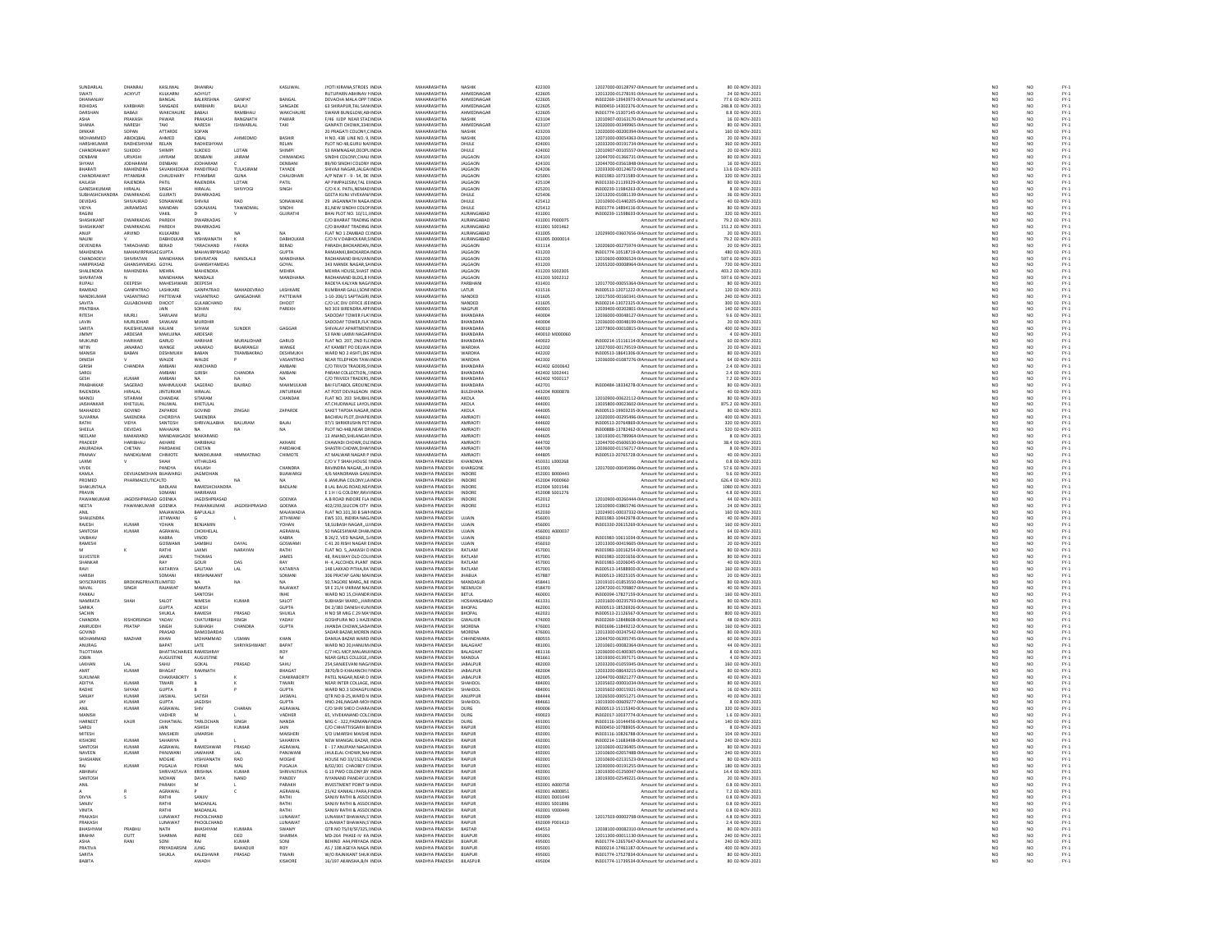| SWATI<br><b>DHANANIAY</b>                                                                                                                                                                                                                                                                                                                                                                                                                                                                        |                                    | KASLIWAL                       | DHANRA                             |                          | KASLIWAL                    | <b>IYOTI KIRANA, STROES INDIA</b>                                 | MAHARASHTRA                             | NASHIK                           | 422303                   | 12027000-00128797-0IAmount for unclaimed and u                                                   | 80 02-NOV-2021                       |                                             |                                                                                                                                                                                                                                                        |
|--------------------------------------------------------------------------------------------------------------------------------------------------------------------------------------------------------------------------------------------------------------------------------------------------------------------------------------------------------------------------------------------------------------------------------------------------------------------------------------------------|------------------------------------|--------------------------------|------------------------------------|--------------------------|-----------------------------|-------------------------------------------------------------------|-----------------------------------------|----------------------------------|--------------------------|--------------------------------------------------------------------------------------------------|--------------------------------------|---------------------------------------------|--------------------------------------------------------------------------------------------------------------------------------------------------------------------------------------------------------------------------------------------------------|
|                                                                                                                                                                                                                                                                                                                                                                                                                                                                                                  | <b>ACHYUT</b>                      | KULKARNI<br>RANGAL             | <b>ACHYUT</b><br><b>RAIKRISHNA</b> | GANPAT                   | RANGAL                      | <b>RUTUPARN ABHINAV I INDIA</b><br><b>DEVACHA MALA OPP TINDIA</b> | MAHARASHTRA<br>MAHARASHTRA              | AHMEDNAGAR<br>AHMEDNAGAR         | 422605<br>422605         | 12013200-01278191-0 Amount for unclaimed and u<br>IN302269-13943973-0(Amount for unclaimed and u | 24 02-NOV-2021<br>77.6 02-NOV-2021   | NO<br>NO                                    | NO<br>$\overline{M}$                                                                                                                                                                                                                                   |
| ROHIDAS                                                                                                                                                                                                                                                                                                                                                                                                                                                                                          | KARBHAR                            | SANGADE                        | KARBHARI                           | BALAJI                   | SANGADE                     | 63 SHIRAPUR, TAL SAN INDIA                                        | MAHARASHTRA                             | AHMEDNAGAI                       | 422605                   | IN300450-14302376-0(Amount for unclaimed and u                                                   | 248.8 02-NOV-2021                    | NO                                          | NO <sub></sub>                                                                                                                                                                                                                                         |
| <b>DARSHAN</b>                                                                                                                                                                                                                                                                                                                                                                                                                                                                                   | RARAIL                             | <b>WAKCHALIRE</b>              | RARAIL                             | RAMBHAL                  | <b>WAKCHAURE</b>            | SWAMI RUNGLOW AR INDIA                                            | MAHARASHTRA                             | AHMEDNAGAR                       | 422605                   | IN301774-15307145-00 Amount for unclaimed and u                                                  | 8.8.02-NOV-2021                      | NO                                          | NO                                                                                                                                                                                                                                                     |
| ASHA<br>SHANIA                                                                                                                                                                                                                                                                                                                                                                                                                                                                                   | PRAKASH<br>NARESH                  | PAWAR                          | PRAKASH<br>NARESH                  | RANGNATH                 | PAWAR<br>TAKI               | F/46 IUDP NEAR STALINDIA<br>GANPATI CHOWK.3348 INDIA              | MAHARASHTRA<br>MAHARASHTRA              | NASHIK<br>AHMEDNAGAR             | 423104<br>423107         | 12010907-00163170-0IAmount for unclaimed and u<br>12020000-00349965-0IAmount for unclaimed and u | 16 02-NOV-2021<br>80 02-NOV-2021     | NO <sub>1</sub>                             | NO <sub></sub>                                                                                                                                                                                                                                         |
| DINKAR                                                                                                                                                                                                                                                                                                                                                                                                                                                                                           | SOPAN                              | TAKI<br>ATTARDE                | SOPAN                              | ISHWARLAL                |                             | 20 PRAGATI COLONY,C INDI                                          | <b>MAHARASHTRA</b>                      | NASHIK                           | 423203                   | 12020000-00200394-0IAmount for unclaimed and u                                                   | 160 02-NOV-2021                      | NO                                          | NO                                                                                                                                                                                                                                                     |
| MOHAMMED                                                                                                                                                                                                                                                                                                                                                                                                                                                                                         | ABIDIOBAL                          | AHMED                          | <b>IOBAL</b>                       | AHMEDMO                  | BASHIR                      | H NO. 438 LINE NO. 9, INDIA                                       | MAHARASHTRA                             | NASHIK                           | 423203                   | 12071000-00054363-0IAmount for unclaimed and u                                                   | 20 02-NOV-2021                       | NO                                          | NO <sub></sub>                                                                                                                                                                                                                                         |
| HARSHKUMA                                                                                                                                                                                                                                                                                                                                                                                                                                                                                        |                                    | RELAN                          | <b>ADHESHYAN</b>                   |                          | RELAN                       |                                                                   | MAHARASHTRA                             | DHULE                            | 424001<br>424002         | 12033200-00191734-0IAmount for unclaimed and u                                                   | 360 02-NOV-2021                      | $\frac{1}{N}$                               | $\frac{N}{N}$                                                                                                                                                                                                                                          |
| CHANDRAKAN                                                                                                                                                                                                                                                                                                                                                                                                                                                                                       | SUKDEO                             | SHIMP                          | SUKDEO                             | LOTAN                    | <b>SHIMPI</b>               | 53 RAMNAGAR, DEOPL INDIA                                          | MAHARASHTRA                             | DHULE                            |                          | 12010907-00105557-0IAmount for unclaimed and u                                                   | 20 02-NOV-2021                       |                                             |                                                                                                                                                                                                                                                        |
| DENRANI                                                                                                                                                                                                                                                                                                                                                                                                                                                                                          | <b>LIRVASHI</b><br><b>JODHARAM</b> | <b>IAVRAM</b>                  | DENRANI<br>JODHARAN                | <b>IAIRAM</b>            | CHIMANDAS<br>DENBANI        | SINDHI COLONY CHALLINDIA                                          | MAHARASHTRA<br>MAHARASHTRA              | <b>IALGAON</b>                   | 424101                   | 12044700-01366731-0LAmount for unclaimed and u                                                   | 80.02-NOV-2021                       | NO<br>NO                                    | NO<br>NO                                                                                                                                                                                                                                               |
| SHYAM<br>BHARATI                                                                                                                                                                                                                                                                                                                                                                                                                                                                                 | <b>MAHENDRA</b>                    | DENBAN<br>SAVAKHEDKAR          | PANDITRAO                          | TULASIRAM                | TAYADE                      | 89/90 SINDHI COLONY INDU<br>SHIVAJI NAGAR JALGA INDIA             | MAHARASHTRA                             | <b>JALGAON</b><br><b>JALGAON</b> | 424101<br>424206         | 12044700-03561848-0IAmount for unclaimed and u<br>12033300-00124672-0 Amount for unclaimed and u | 16 02-NOV-2021<br>13.6 02-NOV-2021   | NO                                          | NO <sub></sub>                                                                                                                                                                                                                                         |
| CHANDRAKAN                                                                                                                                                                                                                                                                                                                                                                                                                                                                                       | PITAMBAR                           |                                | PITAMBA                            | GUNA                     | CHAUDHAR                    | A/P NEW F - 9 - 54, DE INDU                                       | <b>MAHARASHTRA</b>                      | <b>JALGAON</b>                   | 42500                    | IN301983-10731589-0(Amount for unclaimed and u                                                   | 320 02-NOV-2021                      | $\overline{\mathsf{NC}}$                    | NO                                                                                                                                                                                                                                                     |
| KAILASH                                                                                                                                                                                                                                                                                                                                                                                                                                                                                          | RAJENDRA                           | PATIL                          | RAJENDRA                           | LOTAN                    | PATIL                       | AP PIMPALESIM.TAL EI INDIA                                        | MAHARASHTRA                             | <b>JALGAON</b>                   | 425104                   | IN301330-21139329-0(Amount for unclaimed and u                                                   | 80 02-NOV-2021                       | NO                                          | NO <sub></sub>                                                                                                                                                                                                                                         |
| GANESHKUMA                                                                                                                                                                                                                                                                                                                                                                                                                                                                                       | HIRALAL                            |                                | <b>IRALAI</b>                      | SHIVYOG                  | SINGH                       | C/O K.K. PATIL, NEMAD IND                                         | <b>MAHARASHTRA</b>                      | <b>IALGAON</b>                   | 425201                   | IN300239-11984263-0(Amount for unclaimed and u                                                   | 8 02-NOV-2021                        | NO                                          | NO                                                                                                                                                                                                                                                     |
| SUBHASHCHANDRA                                                                                                                                                                                                                                                                                                                                                                                                                                                                                   | DWARKADAS                          | <b>GUJRATI</b>                 | <b>DWARKADAS</b>                   |                          |                             | GEETA KUNJ VIVEKAN/ INDIA                                         | MAHARASHTRA                             | DHULE                            | 425406                   | 12013200-01081139-0IAmount for unclaimed and u                                                   | 36 02-NOV-2021                       | NO<br>NO                                    | NO<br>NO                                                                                                                                                                                                                                               |
| DEVIDAS                                                                                                                                                                                                                                                                                                                                                                                                                                                                                          | SHIVAJIRAO<br><b>JAIRAMDAS</b>     | SONAWANE<br>MANDAN             | SHIVAJI<br>GOKALMAI                | <b>RAO</b><br>TAWADMA    | SONAWANE<br>SINDHI          | 29 JAGANNATH NAGA INDIA<br>81,NEW SINDHI COLORINDI                | MAHARASHTRA<br>MAHARASHTRA              | DHULE<br>DHULE                   | 425412<br>425412         | 12010900-01440205-0IAmount for unclaimed and u<br>IN301774-14894116-0(Amount for unclaimed and u | 40 02-NOV-2021<br>80 02-NOV-2021     | NO                                          | NO                                                                                                                                                                                                                                                     |
| VIDYA<br>RAGINI                                                                                                                                                                                                                                                                                                                                                                                                                                                                                  |                                    | VAKIL                          |                                    |                          | <b>GUJRATHI</b>             | BHAI PLOT NO. 10/11. INDIA                                        | MAHARASHTRA                             | AURANGABAD                       | 431001                   | IN300239-11598633-0(Amount for unclaimed and u                                                   | 320 02-NOV-2021                      | NO <sub>1</sub>                             | NO <sub></sub>                                                                                                                                                                                                                                         |
| SHASHIKAN                                                                                                                                                                                                                                                                                                                                                                                                                                                                                        | <b>DWARKADA</b>                    | PAREKI                         | DWARKADA <sup>4</sup>              |                          |                             | C/O BHARAT TRADING IND                                            | <b>MAHARASHTRA</b>                      | AURANGABAD                       | 431001 P00007            | Amount for unclaimed and u                                                                       | 79.2 02-NOV-2021                     | NO                                          | NO                                                                                                                                                                                                                                                     |
| SHASHIKANT                                                                                                                                                                                                                                                                                                                                                                                                                                                                                       | DWARKADAS                          | PAREKH                         | DWARKADAS                          |                          |                             | C/O BHARAT TRADING INDIA                                          | MAHARASHTRA                             | AURANGABAD                       | 431001 S001462           | Amount for unclaimed and u                                                                       | 151.2 02-NOV-2021                    | NO <sub></sub>                              | NO <sub></sub>                                                                                                                                                                                                                                         |
|                                                                                                                                                                                                                                                                                                                                                                                                                                                                                                  | ARVIND                             | KULKARN                        |                                    | NA                       |                             | FLAT NO 1 ZAMBAD CCINDU                                           | <b>MAHARASHTRA</b>                      | AURANGABAD                       | 431005                   | 12029900-03607656-0IAmount for unclaimed and u                                                   | 20 02-NOV-2021                       | $\overline{\mathsf{NC}}$                    | NO                                                                                                                                                                                                                                                     |
| NALINI                                                                                                                                                                                                                                                                                                                                                                                                                                                                                           |                                    | DABHOLKAR                      | VISHWANATH                         |                          | DABHOLKAR                   | C/O N V DABHOLKAR, SINDIA                                         | MAHARASHTRA                             | AURANGABAD                       | 431005 D000014           | Amount for unclaimed and u                                                                       | 79.2 02-NOV-2021                     | NO                                          | NO                                                                                                                                                                                                                                                     |
| <b>DEVENDRA</b>                                                                                                                                                                                                                                                                                                                                                                                                                                                                                  | TARACHAND                          | BERAD                          | TARACHAND                          | FAKIRA                   | BERAD                       | PARADH RHOKARDAN INDIA                                            | MAHARASHTRA                             | <b>JALGAON</b>                   | 431114                   | 12020600-00275974-0IAmount for unclaimed and u                                                   | 20 02-NOV-2021                       | NO                                          | NO<br>NO<br>NO                                                                                                                                                                                                                                         |
| MAHENDRA<br>CHANDADEV                                                                                                                                                                                                                                                                                                                                                                                                                                                                            | MAHAVIRPRASADGUPTA<br>SHIVRATAN    | <b>MANDHANA</b>                | MAHAVIRPRASAD<br>SHIVRATAN         | NANDLALI                 | <b>GUPTA</b><br>MANDHANA    | RAMJANKI, BHOKARDA INDIA<br>RADHANAND BHUVAN INDIA                | MAHARASHTRA<br>MAHARASHTRA              | <b>JALGAON</b><br><b>JALGAON</b> | 431203<br>431203         | IN301774-10518719-0(Amount for unclaimed and u<br>12010600-00006524-0IAmount for unclaimed and u | 480 02-NOV-2021<br>597.6 02-NOV-2021 | NO<br>NO                                    |                                                                                                                                                                                                                                                        |
| HARIPRASAD                                                                                                                                                                                                                                                                                                                                                                                                                                                                                       | HANSHYMDAS GOYAL                   |                                | <b>IANSHYAMDAS</b>                 |                          | GOYAL                       | 343 MANEK NAGAR, SA INDI                                          | <b>MAHARASHTRA</b>                      | <b>JALGAON</b>                   | 431203                   | 12055200-00008964-0IAmount for unclaimed and u                                                   | 720 02-NOV-2021                      |                                             | NO                                                                                                                                                                                                                                                     |
| SHALENDRA                                                                                                                                                                                                                                                                                                                                                                                                                                                                                        | <b>MAHENDRA</b>                    | <b>MEHRA</b>                   | <b>MAHENDRA</b>                    |                          | MEHRA                       | MEHRA HOUSE SHAST INDIA                                           | MAHARASHTRA                             | <b>JALGAON</b>                   | 431203 S002305           | Amount for unclaimed and u                                                                       | 403.2 02-NOV-2021                    | NO <sub>1</sub>                             | NO <sub></sub>                                                                                                                                                                                                                                         |
| HIVRATAN                                                                                                                                                                                                                                                                                                                                                                                                                                                                                         |                                    | <b>MANDUANA</b>                | NANDALI                            |                          | MANDHANA                    | RADHANAND BLDG,8 FINDL                                            | <b>MAUARACUTRA</b>                      | <b>ALGAON</b>                    | 431203 S002312           | Amount for unclaimed and u                                                                       | 597.6 02-NOV-2021                    | NO                                          | NO                                                                                                                                                                                                                                                     |
| RUPALI                                                                                                                                                                                                                                                                                                                                                                                                                                                                                           | DEEPESH                            | <b>MAHESHWARI</b>              | DEEPESH                            |                          |                             | RADEYA KALYAN NAGAINDIA                                           | MAHARASHTRA                             | PARBHANI                         | 431401                   | 12017700-00055364-0IAmount for unclaimed and u                                                   | 80 02-NOV-2021                       | NO                                          | NO                                                                                                                                                                                                                                                     |
| RAMRAO                                                                                                                                                                                                                                                                                                                                                                                                                                                                                           | GANPATRAO                          | <b>LASHKARE</b>                | GANPATRAO                          | MAHADEVRAD               | <b>LASHKARE</b>             | KUMBHAR GALLI SONEINDIA                                           | MAHARASHTRA                             | LATUR                            | 431516                   | IN300513-12071222-0(Amount for unclaimed and u                                                   | 120 02-NOV-2021                      | NO                                          | NO<br>NO                                                                                                                                                                                                                                               |
| NANDKUMAR<br>SAVITA                                                                                                                                                                                                                                                                                                                                                                                                                                                                              | VASANTRAO<br><b>GULARCHAND</b>     | PATTEWAR<br>DHOOT              | VASANTRAO<br><b>GULARCHAND</b>     | GANGADHAR                | PATTEWAR<br><b>DHOOT</b>    | 1-10-206/1 SAPTAGIRI INDIA<br>C/O LIC DIV OFFICE IFF INDIA        | MAHARASHTRA<br>MAHARASHTRA              | NANDED<br>NANDED                 | 431605<br>431605         | 12017500-00160341-0IAmount for unclaimed and u<br>IN300214-13072325-0(Amount for unclaimed and u | 240 02-NOV-2021<br>300.02-NOV-2021   | NO                                          |                                                                                                                                                                                                                                                        |
| PRATIBHA                                                                                                                                                                                                                                                                                                                                                                                                                                                                                         |                                    |                                |                                    | RAJ                      | PAREKH                      | VO 303 BIRENDRA APFINI                                            | <b>AAHARASHTR</b>                       | VAGPUF                           | 440001                   | 12039400-00202801-0IAmount for unclaimed and u                                                   | 140 02-NOV-2021                      | NO<br>NO                                    | NO<br>NO                                                                                                                                                                                                                                               |
| <b>RITESH</b>                                                                                                                                                                                                                                                                                                                                                                                                                                                                                    | MURLI                              | SAWLANI                        | MURLI                              |                          |                             | SADODAY TOWER FLA' INDIA                                          | MAHARASHTRA                             | BHANDARA                         | 440004                   | 12036000-00048127-0IAmount for unclaimed and u                                                   | 9.6 02-NOV-2021                      | NO                                          | NO                                                                                                                                                                                                                                                     |
|                                                                                                                                                                                                                                                                                                                                                                                                                                                                                                  | MURLIDHAR                          | SAWLANI                        | <b>MURDHIP</b>                     |                          |                             | SADODAY TOWER, FLA' INDU                                          | <b>MAUARACUTRA</b>                      | BHANDARA                         | 440004                   | 12036000-00048199-0IAmount for unclaimed and u                                                   | 20 02-NOV-2021                       | NO                                          | NO                                                                                                                                                                                                                                                     |
| SARITA                                                                                                                                                                                                                                                                                                                                                                                                                                                                                           | RAJESHKUMAR                        | KALANI                         | SHYAM                              | SUNDER                   | GAGGAR                      | SHIVALAY APARTMENTINDIA                                           | MAHARASHTRA                             | BHANDARA                         | 440010                   | 12077800-00010815-0IAmount for unclaimed and u                                                   | 400 02-NOV-2021                      | NO                                          | NO                                                                                                                                                                                                                                                     |
| <b>HMMV</b>                                                                                                                                                                                                                                                                                                                                                                                                                                                                                      | <b>ARDESAR</b>                     | <b>MAKLING</b>                 | ARDESAR                            |                          |                             | 53 RANI LAXMI NAGAS INDU                                          | MAHARASHTRA                             | RHANDARA                         | 440010 M000060           | Amount for unclaimed and u                                                                       | 4.02-NOV-2021                        | NO                                          | NO <sub>1</sub>                                                                                                                                                                                                                                        |
| MUKUND                                                                                                                                                                                                                                                                                                                                                                                                                                                                                           | <b>HARIHAR</b><br><b>IANARAO</b>   | GARUD<br>WANGE                 | HARIHAR<br><b>JANARAO</b>          | MURALIDHAR<br>RAIARANGIL | GARUD<br><b>WANGE</b>       | FLAT NO. 207, 2ND FL(INDIA<br>AT KAMBIT PO DEI WA INDIA           | MAHARASHTRA<br>MAHARASHTRA              | BHANDARA<br><b>WARDHA</b>        | 440022<br>442202         | IN300214-15116114-0(Amount for unclaimed and u<br>12027000-00179519-0LAmount for unclaimed and u | 60 02-NOV-2021<br>20 02-NOV-2021     | NO<br>NO                                    | NO<br>NO <sub>1</sub>                                                                                                                                                                                                                                  |
| MANISH                                                                                                                                                                                                                                                                                                                                                                                                                                                                                           | BABAN                              |                                |                                    | TRAMBAKRAO               | DESHMUKH                    |                                                                   | MAHARASHTRA                             | WARDHA                           |                          | IN300513-18641306-0(Amount for unclaimed and u                                                   | 80 02-NOV-2021                       | $\overline{NQ}$                             | $\frac{1}{NQ}$                                                                                                                                                                                                                                         |
| DINESH                                                                                                                                                                                                                                                                                                                                                                                                                                                                                           |                                    | DESHMUKH<br>WALDE              | BABAN<br>WALDE                     |                          | VASANTRAO                   | WARD NO 2 ASHTI, DIS INDIA<br>NEAR TELEPHON TAW INDIA             | MAHARASHTRA                             | WARDHA                           | 442202<br>442302         | 12036000-01087276-0IAmount for unclaimed and u                                                   | 64 02-NOV-2021                       | NO                                          | NO                                                                                                                                                                                                                                                     |
| <b>GIRISH</b>                                                                                                                                                                                                                                                                                                                                                                                                                                                                                    | CHANDRA                            | AMRANI                         | <b>AMICHANE</b>                    |                          | <b>AMRANI</b>               | C/O TRIVDI TRADERS.9 INDM                                         | MAHARASHTRA                             | <b>BHANDARA</b>                  | 442402 GOOD643           | Amount for unclaimed and u                                                                       | 2.4 02-NOV-2021                      | NO                                          | NO                                                                                                                                                                                                                                                     |
| SAROJ                                                                                                                                                                                                                                                                                                                                                                                                                                                                                            |                                    | AMBANI                         | GIRISH                             | CHANDRA                  | AMBANI                      | PARAM COLLECTION, SINDIA                                          | MAHARASHTRA                             | BHANDARA                         | 442402 S002441           | Amount for unclaimed and u                                                                       | 2.4 02-NOV-2021                      | NO                                          | NO                                                                                                                                                                                                                                                     |
|                                                                                                                                                                                                                                                                                                                                                                                                                                                                                                  | KUMAR                              | AMRANI                         |                                    |                          | <b>NA</b>                   | <b>C/O TRIVEDI TRADERS, INDIA</b>                                 | MAHARASHTRA                             | RHANDARA                         | 442402 Y00011            | Amount for unclaimed and u                                                                       | 7.2 02-NOV-2021                      | NO<br>NO                                    | NO<br>NO                                                                                                                                                                                                                                               |
| PRABHAKAF                                                                                                                                                                                                                                                                                                                                                                                                                                                                                        | SAGERAO                            | MAHMULKAR                      | SAGERAO                            | BAJIRAO                  | MAHMULKAF                   | <b>BAI FUTABOL GROUNE INDIA</b>                                   | MAHARASHTRA                             | BHANDARA                         | 442701                   | IN300484-18334278-0(Amount for unclaimed and u                                                   | 80 02-NOV-2021                       |                                             |                                                                                                                                                                                                                                                        |
| <b>RAIFNDRA</b>                                                                                                                                                                                                                                                                                                                                                                                                                                                                                  | <b>HIRALAI</b><br>SITARAN          | <b>IINTURKAR</b>               | HIRAI AI<br>SITARAM                |                          | <b>INTURKAR</b>             | AT POST DEVALGAON INDIA                                           | MAHARASHTRA<br>MAHARASHTRA              | <b>BLILDHANA</b>                 | 443204 R000878           | Amount for unclaimed and u                                                                       | 40.02-NOV-2021                       | NO <sub></sub><br>$\overline{NQ}$           | NO                                                                                                                                                                                                                                                     |
| LOWAM<br><b>JAISHANKAI</b>                                                                                                                                                                                                                                                                                                                                                                                                                                                                       | KHETULAL                           | CHANDAK<br>PALIWAL             | KHETULAI                           |                          | CHANDAK                     | FLAT NO. 203 SHUBHLINDU<br>AT CHUDIWALE LAYOL INDIA               | MAHARASHTRA                             | AKOLA<br>AKOLA                   | 444001<br>444001         | 12010900-00622112-0IAmount for unclaimed and u<br>13035800-00023602-0IAmount for unclaimed and u | 80 02-NOV-2021<br>875.2 02-NOV-2021  | NO                                          | NO<br>NO <sub></sub>                                                                                                                                                                                                                                   |
| MAHADEC                                                                                                                                                                                                                                                                                                                                                                                                                                                                                          |                                    | ZAPARDI                        | SOVINE                             | ZINGAJ                   | ZAPARDE                     | SAKET TAPDIA NAGAR, INDI                                          | MAHARASHTRA                             | AKOLA                            | 444005                   | N300513-19903235-01 Amount for unclaimed and u                                                   | 80 02-NOV-2021                       |                                             |                                                                                                                                                                                                                                                        |
| SUVARNA                                                                                                                                                                                                                                                                                                                                                                                                                                                                                          | SAKENDRA                           | CHORDIYA                       | SAKENDRA                           |                          |                             | BACHRAJ PLOT, DHAPIE INDIA                                        | MAHARASHTRA                             | AMRAOT                           | 444601                   | 12020000-00295496-0IAmount for unclaimed and u                                                   | 400 02-NOV-2021                      | $\frac{1}{N}$                               | $\frac{N}{N}$                                                                                                                                                                                                                                          |
| RATHI                                                                                                                                                                                                                                                                                                                                                                                                                                                                                            | VIDYA                              | SANTOSH                        | <b>SHRIVALLARHA</b>                | <b>BALLIRAM</b>          | RAIAL                       | 97/1 SHRIKRLISHN PFT INDIA                                        | MAHARASHTRA                             | AMRAOTI                          | 444602                   | IN300513-20764869-00 Amount for unclaimed and u                                                  | 320 02-NOV-2021                      | NO<br>NO                                    | NO <sub>1</sub>                                                                                                                                                                                                                                        |
| SHEELA                                                                                                                                                                                                                                                                                                                                                                                                                                                                                           | DEVIDAS                            | MAHAJAN                        | <b>NA</b>                          | NA                       | NA                          | PLOT NO 44B, NEAR DR INDIA                                        | MAHARASHTRA                             | AMRAOT                           | 444603                   | IN300888-13782462-0(Amount for unclaimed and u                                                   | 520 02-NOV-2021                      |                                             | NO                                                                                                                                                                                                                                                     |
| NEELAM                                                                                                                                                                                                                                                                                                                                                                                                                                                                                           | MAKARAND                           | MANDAWGAD                      | MAKARAND                           |                          |                             | 13 ANAND SHILANGAN INDIA                                          | MAHARASHTRA                             | AMRAOTI                          | 444605                   | 13019300-01789964-0LAmount for unclaimed and u                                                   | 8.02-NOV-2021                        | NO                                          | NO                                                                                                                                                                                                                                                     |
| PRADEER<br>ANURADHA                                                                                                                                                                                                                                                                                                                                                                                                                                                                              | HARIBHAU<br>CHETAN                 | AKHARE<br>PARDAKHE             | HARIBHAU<br>CHETAN                 |                          | AKHARE<br>PARDAKHI          | CHAWADI CHOWK, OLI INDU<br>SHASTRI CHOWK.DHAI INDIA               | MAHARASHTRA<br>MAHARASHTRA              | AMRAOT<br>AMRAOTI                | 444702<br>444709         | 12044700-05606530-0IAmount for unclaimed and u<br>12036000-01156717-0 Amount for unclaimed and u | 38.4 02-NOV-2021<br>8 02-NOV-2021    | NO<br>NO <sub>1</sub>                       | NO<br>NO <sub></sub>                                                                                                                                                                                                                                   |
| PRANAV                                                                                                                                                                                                                                                                                                                                                                                                                                                                                           | NANDKUN                            | CHIMOTE                        | NANDKUMA                           | <b>HIMMATRAC</b>         | CHIMOTE                     | AT MALWAR NAGAR P INDL                                            | <b>MAHARASHTRA</b>                      | AMRAOT                           | 444805                   | IN300513-20765728-0(Amount for unclaimed and u                                                   | 40 02-NOV-2021                       | NO                                          | NO                                                                                                                                                                                                                                                     |
| LAXMI                                                                                                                                                                                                                                                                                                                                                                                                                                                                                            |                                    | SHAH                           | VITHALDAS                          |                          |                             | C/O V T SHAH.HOUSE I INDIA                                        | MADHYA PRADESH                          | KHANDWA                          | 450331 L000268           | Amount for unclaimed and u                                                                       | 0.8 02-NOV-2021                      |                                             |                                                                                                                                                                                                                                                        |
|                                                                                                                                                                                                                                                                                                                                                                                                                                                                                                  |                                    | PANDYA                         | KAILASH                            |                          | CHANDRA                     | VINDRA NAGAR KHINDIA                                              | MADHYA PRADESH                          | KHARGONE                         | 451001                   | 12017000-00045996-0(Amount for unclaimed and u                                                   | 57.6.02-NOV-2021                     | NO<br>NO                                    | NO<br>NO                                                                                                                                                                                                                                               |
| KAMLA                                                                                                                                                                                                                                                                                                                                                                                                                                                                                            | DEVIJAGMOHAN BUAWARG               |                                | JAGMOHAN                           |                          | BIJAWARGI                   | 4/6 MANORAMA GAN. INDIA                                           | MADHYA PRADESH                          | INDORE                           | 452001 B000443           | Amount for unclaimed and u                                                                       | 9.6 02-NOV-2021                      | $\overline{NQ}$                             | NO                                                                                                                                                                                                                                                     |
| PROMED                                                                                                                                                                                                                                                                                                                                                                                                                                                                                           | PHARMACEUTICALTD                   |                                |                                    | NA                       |                             | 6 JAMUNA COLONY.LA INDIA                                          | MADHYA PRADESH                          | INDORE                           | 452004 P000960           | Amount for unclaimed and u                                                                       | 626.4 02-NOV-2021                    | NO                                          | NO <sub></sub>                                                                                                                                                                                                                                         |
| SHAKUNTALA                                                                                                                                                                                                                                                                                                                                                                                                                                                                                       |                                    | BADLAN                         | RAMESHCHANDRA                      |                          | BADLANI                     | 8 LAL BAUG ROAD, NEA INDI                                         | MADHYA PRADESH                          | <b>INDORE</b>                    | 452004 S00154            | Amount for unclaimed and u                                                                       | 1080 02-NOV-2021                     | NO                                          | NO                                                                                                                                                                                                                                                     |
| PRAVIN<br>PAWANKUI                                                                                                                                                                                                                                                                                                                                                                                                                                                                               | JAGDISHPRASAD GOENKA               | SOMANI                         | HARIRAMI<br>JAGDISHPRASAD          |                          | GOENKA                      | E 1 H I G COLONY.RAVI INDIA<br>A B ROAD INDORE FLA INDI           | MADHYA PRADESH<br>MADHYA PRADESH        | INDORE<br>INDOR                  | 452008 S001276<br>452012 | Amount for unclaimed and u<br>12010900-00260444-0IAmount for unclaimed and u                     | 4.8 02-NOV-2021<br>44 02-NOV-2021    | NO <sub>1</sub><br>$\overline{\mathsf{NC}}$ | NO <sub></sub><br>NO                                                                                                                                                                                                                                   |
| <b>NEETA</b>                                                                                                                                                                                                                                                                                                                                                                                                                                                                                     | PAWANKUMAR GOENKA                  |                                | PAWANKUMAR                         | JAGDISHPRASAD            | <b>GOENKA</b>               | 402/293.SILICON CITY INDIA                                        | MADHYA PRADESH                          | INDORE                           | 452012                   | 12010900-03865746-0(Amount for unclaimed and u                                                   | 24 02-NOV-2021                       | NO <sub>1</sub>                             | NO <sub></sub>                                                                                                                                                                                                                                         |
|                                                                                                                                                                                                                                                                                                                                                                                                                                                                                                  |                                    | MAIAWADI                       | BAPULALJI                          |                          | <b>MAIAWADI</b>             | <b>FLAT NO.101,30 B SAIN INDU</b>                                 |                                         |                                  | 452030                   | 12024901-00037332-0IAmount for unclaimed and u<br>IN301983-10442978-0IAmount for unclaimed and u |                                      |                                             | $\frac{N}{N}$                                                                                                                                                                                                                                          |
| anil<br>Shailendra                                                                                                                                                                                                                                                                                                                                                                                                                                                                               |                                    | JETHWANI                       |                                    |                          | JETHWANI                    | EWS 101, INDIRA NAG. INDIA                                        | MADHYA PRADESH<br>MADHYA PRADESH        |                                  | 456001                   |                                                                                                  | 160 02-NOV-2021<br>40 02-NOV-2021    | NO<br>NO                                    |                                                                                                                                                                                                                                                        |
| RAJESH                                                                                                                                                                                                                                                                                                                                                                                                                                                                                           | <b>KUMAR</b>                       | YOHAN                          | BENJAMIN                           |                          | YOHAN                       | 58. SUBASH NAGAR UJ INDIA                                         | MADHYA PRADESH                          | <b>UJJAIN</b>                    | 456001                   | IN301330-20615269-0(Amount for unclaimed and u                                                   | 160 02-NOV-2021                      | NO <sub>1</sub>                             | NO <sub></sub>                                                                                                                                                                                                                                         |
| SANTOS                                                                                                                                                                                                                                                                                                                                                                                                                                                                                           | KUMAR                              | AGRAWAL                        | CHOKHELAL                          |                          | AGRAWAL                     | 50 NAGESHWAR DHAMINDU                                             | MADHYA PRADESH                          | UJJAIN                           | 456001 A00003            | Amount for unclaimed and u                                                                       | 64 02-NOV-2021                       | NO                                          | NO                                                                                                                                                                                                                                                     |
| VAIBHAV<br>RAMESH                                                                                                                                                                                                                                                                                                                                                                                                                                                                                |                                    | KABRA                          | <b>OONIV</b><br>SAMBHU             |                          |                             | B 26/2, VED NAGAR, S INDIA                                        |                                         |                                  |                          |                                                                                                  |                                      | NO<br>$\overline{\mathsf{NC}}$              | NO <sub></sub>                                                                                                                                                                                                                                         |
|                                                                                                                                                                                                                                                                                                                                                                                                                                                                                                  |                                    |                                |                                    |                          | KABRA                       |                                                                   | MADHYA PRADESH                          | <b>UJJAIN</b>                    | 456010                   | IN301983-10611034-0(Amount for unclaimed and u                                                   | 80 02-NOV-2021                       |                                             |                                                                                                                                                                                                                                                        |
|                                                                                                                                                                                                                                                                                                                                                                                                                                                                                                  |                                    | GOSWAM                         |                                    | DAYAL                    | GOSWAM                      | C 41 20 RISHI NAGAR EIND                                          | <b>MADHYA PRADESH</b>                   |                                  | 45601                    | 12013300-00419605-0IAmount for unclaimed and u                                                   | 20 02-NOV-2021                       |                                             |                                                                                                                                                                                                                                                        |
|                                                                                                                                                                                                                                                                                                                                                                                                                                                                                                  |                                    | RATHI                          | LAXMI                              | NARAYAN                  | RATHI                       | FLAT NO. 5. AAKASH D INDIA                                        | MADHYA PRADESH                          | RATLAM                           | 457001                   | IN301983-10016254-0(Amount for unclaimed and u                                                   | 80 02-NOV-2021                       | NO <sub>1</sub>                             |                                                                                                                                                                                                                                                        |
|                                                                                                                                                                                                                                                                                                                                                                                                                                                                                                  |                                    | JAMES<br>RAY                   | THOMAS<br>GOUR                     | DAS                      | JAMES<br>RAY                | 48, RAILWAY OLD COL INDIA<br>H- 4, ALCOHOL PLANT INDIA            | MADHYA PRADESH<br>MADHYA PRADESH        | RATLAM<br>RATLAM                 | 457001<br>457001         | IN301983-10201656-0(Amount for unclaimed and u<br>IN301983-10206045-0(Amount for unclaimed and u | 80 02-NOV-2021<br>40 02-NOV-2021     | NC<br>NO                                    |                                                                                                                                                                                                                                                        |
|                                                                                                                                                                                                                                                                                                                                                                                                                                                                                                  |                                    | KATARIYA                       | <b>GALITAM</b>                     |                          | KATARIYA                    |                                                                   | MADHYA PRADESH                          | <b>RATIAM</b>                    | 457001                   | IN300513-14588900-00 Amount for unclaimed and u                                                  |                                      |                                             |                                                                                                                                                                                                                                                        |
|                                                                                                                                                                                                                                                                                                                                                                                                                                                                                                  |                                    | SOMANI                         | KRISHNAKAN                         |                          | SOMAN                       | 148 LAKKAD PITHA,RA' INDIA<br>306 PRATAP GANJ MAI INDIA           | <b>MADHYA PRADESH</b>                   | <b>HABUA</b>                     | 457887                   | IN300513-19025105-00 Amount for unclaimed and u                                                  | 160 02-NOV-2021<br>20 02-NOV-2021    | NO<br>NO                                    |                                                                                                                                                                                                                                                        |
|                                                                                                                                                                                                                                                                                                                                                                                                                                                                                                  | <b>BROKINGP</b>                    | <b>ATELIMITED</b>              | <b>NA</b>                          | NA                       | NA                          | 50.TAGORE MARGNE INDIA                                            | MADHYA PRADESH                          | MANDASUR                         | 458441                   | 12019101-01853550-0 Amount for unclaimed and u                                                   | 80 02-NOV-2021                       | NO <sub>1</sub>                             |                                                                                                                                                                                                                                                        |
|                                                                                                                                                                                                                                                                                                                                                                                                                                                                                                  |                                    | RAJAWAT                        | MAMTA                              |                          | RAJAWAT<br><b>INHE</b>      | SR E 21/4 VIKRAM NACINDL                                          | <b>MADHYA PRADESH</b>                   | NEEMUCH                          | 45847                    | 12047200-01709807-0IAmount for unclaimed and u                                                   | 0 02-NOV-2021                        |                                             |                                                                                                                                                                                                                                                        |
|                                                                                                                                                                                                                                                                                                                                                                                                                                                                                                  | CHAL                               | SALOT                          | SANTOSH<br>NIMESH                  | KUMAR                    | SALOT                       | WARD NO 15, CHANDR INDIA<br><b>CIBUACU WARD, UARINDI</b>          | MADHYA PRADESH<br>MADHYA PRADESH        | BETUL<br>HOSHANGARAD             | 460001<br>461331         | IN300394-17827159-0(Amount for unclaimed and u<br>12031600-00235793-0IAmount for unclaimed and u | 160 02-NOV-2021<br>80 02-NOV-2021    | NO                                          |                                                                                                                                                                                                                                                        |
|                                                                                                                                                                                                                                                                                                                                                                                                                                                                                                  |                                    | GUPTA                          | ADESH                              |                          | <b>GUPTA</b>                | DK 2/383 DANISH KUN INDIA                                         | MADHYA PRADESH                          | BHOPAL                           | 462001                   | IN300513-18526926-0(Amount for unclaimed and u                                                   | 80 02-NOV-2021                       | NO<br>NO                                    |                                                                                                                                                                                                                                                        |
|                                                                                                                                                                                                                                                                                                                                                                                                                                                                                                  |                                    | SHUKLA                         | RAMESH                             | PRASAD                   | SHUKLA                      | H NO SR MIG C 29 MA' INDIA                                        | MADHYA PRADESH                          | BHOPAL                           | 462021                   | IN300513-21126567-0(Amount for unclaimed and u                                                   | 800 02-NOV-2021                      | NO                                          |                                                                                                                                                                                                                                                        |
|                                                                                                                                                                                                                                                                                                                                                                                                                                                                                                  | <b>KISHORSIP</b>                   | YADAV                          | CHATURBHUI                         | SINGH                    | YADAV                       | GOSHPURA NO 1 HAZEINDIA                                           | MADHYA PRADESH                          | <b>GWALIOR</b>                   | 474003                   | IN302269-12848608-0(Amount for unclaimed and u                                                   | 48 02-NOV-2021                       | NO                                          |                                                                                                                                                                                                                                                        |
|                                                                                                                                                                                                                                                                                                                                                                                                                                                                                                  | PRATAP                             | SINGH                          | SUBHASH<br>DAMODARDA               | CHANDRA                  | <b>GUPTA</b>                | <b>IHANDA CHOWK SADA INDIA</b>                                    | MADHYA PRADESH                          | MORENA                           | 476001                   | IN301696-11849212-0(Amount for unclaimed and u                                                   | 160 02-NOV-2021                      | NO                                          |                                                                                                                                                                                                                                                        |
|                                                                                                                                                                                                                                                                                                                                                                                                                                                                                                  | MAZHAR                             | PRASAD<br>KHAN                 | MOHAMMAD                           | <b>USMAN</b>             | KHAN                        | SADAR BAZAR MOREN INDI<br>DAMUA BAZAR WARD INDIA                  | MADHYA PRADESH<br>MADHYA PRADESH        | MORENA<br>CHHINDWARA             | 476001<br>480555         | 12013300-00247542-0IAmount for unclaimed and u<br>12044700-06395745-0IAmount for unclaimed and u | 80 02-NOV-2021<br>60 02-NOV-2021     | $\overline{\mathsf{NC}}$<br>NO              | NO<br>NO<br>NO<br>NO<br>NO<br>NO<br>NO <sub></sub><br>NO<br>NO<br>NO<br>NO<br>NO<br>NO<br>NO<br>NO<br>NO                                                                                                                                               |
|                                                                                                                                                                                                                                                                                                                                                                                                                                                                                                  |                                    | RAPAT                          | LATE                               | SHRIYASHWANT             | BAPAT                       | WARD NO 20.HANUM INDU                                             | MADHYA PRADESH                          | <b>BALAGHAT</b>                  | 481001                   | 12010601-00082364-0IAmount for unclaimed and u                                                   | 44 02-NOV-2021                       | NO                                          |                                                                                                                                                                                                                                                        |
|                                                                                                                                                                                                                                                                                                                                                                                                                                                                                                  |                                    | <b>BHATTACHARJEE RAMESHRAY</b> |                                    |                          | ROY                         | C/7 HCL MCP, MALANJ INDIA                                         | MADHYA PRADESH                          | BALAGHAT                         | 481116                   | 12036000-01400305-0IAmount for unclaimed and u                                                   | 8 02-NOV-2021                        | NO                                          | NO<br>NO                                                                                                                                                                                                                                               |
|                                                                                                                                                                                                                                                                                                                                                                                                                                                                                                  |                                    | <b>AUGUSTINE</b>               | AUGUSTINE                          |                          | M                           | NEAR GIRLS COLLEGE LINDIA                                         | MADHYA PRADESH                          | MANDI A                          | 481661                   | 13019300-01397171-0(Amount for unclaimed and u                                                   | 4.02-NOV-2021                        | NO                                          |                                                                                                                                                                                                                                                        |
|                                                                                                                                                                                                                                                                                                                                                                                                                                                                                                  |                                    | SAHU                           | GOKAL                              | PRASAD                   | SAHU                        | 254, SANJEEVANI NAGJ INDIA                                        | MADHYA PRADESH                          | <b>JABALPUR</b>                  | 482003                   | 12033200-01055945-0IAmount for unclaimed and u                                                   | 160 02-NOV-2021                      | NO                                          |                                                                                                                                                                                                                                                        |
|                                                                                                                                                                                                                                                                                                                                                                                                                                                                                                  | KUMAR                              | RHAGAT<br>HAKRARORTY           | RAMNATH                            |                          | <b>BHAGAT</b>               | 3870/B D KHAIANCHI UNDIA                                          | MADHYA PRADESH                          | <b>IARAI PLIR</b>                | 482004                   | 12033200-08643215-0LAmount for unclaimed and u                                                   | 80.02-NOV-2021                       |                                             |                                                                                                                                                                                                                                                        |
|                                                                                                                                                                                                                                                                                                                                                                                                                                                                                                  | KUMAR                              | TIWARI                         |                                    |                          | <b>CHAKRABORT</b><br>TIWARI | PATEL NAGAR, NEAR D INDL<br>NEAR INTER COLLAGE, INDIA             | MADHYA PRADESH<br>MADHYA PRADESH        | <b>JABALPUI</b><br>SHAHDOL       | 482005<br>484001         | 12044700-00821277-0IAmount for unclaimed and u<br>12035602-00001034-0IAmount for unclaimed and u | 40 02-NOV-2021<br>80 02-NOV-2021     | NO<br>NO<br>NO                              |                                                                                                                                                                                                                                                        |
|                                                                                                                                                                                                                                                                                                                                                                                                                                                                                                  | SHYAM                              | <b>GUPTA</b>                   |                                    |                          | <b>GUPTA</b>                | WARD NO 3 SOHAGPLUNDIA                                            | MADHYA PRADESH                          | SHAHDO                           | 484001                   | 12035602-00015921-0 Amount for unclaimed and u                                                   | 16 02-NOV-2021                       | NO                                          |                                                                                                                                                                                                                                                        |
|                                                                                                                                                                                                                                                                                                                                                                                                                                                                                                  | KUMAR                              | <b>JAISWAL</b>                 | SATISH                             |                          | <b>JAISWAL</b>              | QTR NO B-25, WARD N INDIA                                         | MADHYA PRADESH                          | ANUPPUP                          | 484444                   | 12026500-00051271-0IAmount for unclaimed and u                                                   | 40 02-NOV-2021                       | NO                                          |                                                                                                                                                                                                                                                        |
|                                                                                                                                                                                                                                                                                                                                                                                                                                                                                                  | KUMAR                              | <b>GUPTA</b>                   | <b>IAGNS</b>                       |                          | <b>GUPTA</b>                | HNO 246 NAGAR-MOLINDIA                                            | MADHYA PRADESH                          | SHAHDOL                          | 484661                   | 13019300-00609277-0LAmount for unclaimed and u                                                   | 8 02-NOV-2021                        | NO                                          |                                                                                                                                                                                                                                                        |
|                                                                                                                                                                                                                                                                                                                                                                                                                                                                                                  | <b>KUMAR</b>                       | AGRAWAI<br>VADHER              | SHIV                               | CHARAN                   | AGRAWAL<br>VADHER           | C/O SHRI SHEO CHARA INDIA<br>65 VIVEKANAND COLCINDIA              | MADHYA PRADESH<br>MADHYA PRADESH        | DURG<br><b>DURG</b>              | 490006<br>490023         | IN300513-15115340-0(Amount for unclaimed and u<br>IN302017-10037774-00Amount for unclaimed and u | 320 02-NOV-2021<br>1.6.02-NOV-2021   | $\overline{NQ}$                             |                                                                                                                                                                                                                                                        |
|                                                                                                                                                                                                                                                                                                                                                                                                                                                                                                  |                                    |                                |                                    |                          |                             |                                                                   |                                         |                                  |                          |                                                                                                  |                                      | NO                                          |                                                                                                                                                                                                                                                        |
|                                                                                                                                                                                                                                                                                                                                                                                                                                                                                                  | KAUR                               | CHHATWA<br>JAIN                | TARLOCHAN<br><b>ASHISH</b>         | SINGE<br>KUMAR           | NANDA<br>JAIN               | MIG C - 322, PADMAN/ INDL<br>C/O CHHATTISGARH BI INDIA            | MADHYA PRADESH<br>MADHYA PRADESH        | DURG<br>RAIPUR                   | 491001<br>492001         | IN303116-10144456-0(Amount for unclaimed and u<br>IN300450-10788905-0(Amount for unclaimed and u | 140 02-NOV-2021<br>8 02-NOV-2021     | NO                                          |                                                                                                                                                                                                                                                        |
|                                                                                                                                                                                                                                                                                                                                                                                                                                                                                                  |                                    | <b>MAISHERI</b>                | UMARSHI                            |                          | <b>MAISHERI</b>             | <b>VO UMARSHI MAISHE INDU</b>                                     | MADHYA PRADESH                          | RAIPUL                           | 492001                   | IN303116-10826788-0(Amount for unclaimed and u                                                   | 104 02-NOV-2021                      | NO<br>NO                                    |                                                                                                                                                                                                                                                        |
|                                                                                                                                                                                                                                                                                                                                                                                                                                                                                                  | KUMAR                              | SAHARIYA                       |                                    |                          | SAHARIYA                    | NEW MANGAL BAZAR, INDIA                                           | MADHYA PRADESH                          | RAIPUR                           | 492001                   | IN300214-11683498-0(Amount for unclaimed and u                                                   | 240 02-NOV-2021                      | NO                                          |                                                                                                                                                                                                                                                        |
|                                                                                                                                                                                                                                                                                                                                                                                                                                                                                                  | KUMAR                              | AGRAWAL                        | RAMESHWAR                          | PRASAD                   | AGRAWAL                     | F - 17 ANUPAM NAGAUNDIA                                           | MADHYA PRADESH                          | <b>RAIPLIR</b>                   | 492001                   | 12010600-00236405-0LAmount for unclaimed and u                                                   | 80.02-NOV-2021                       | NO                                          |                                                                                                                                                                                                                                                        |
|                                                                                                                                                                                                                                                                                                                                                                                                                                                                                                  | KUMAR                              | PANJWAN                        | JAWAHAR                            | LAL                      | PANJWAN                     | <b>IHULELAL CHOWK, NAHINDI</b>                                    | MADHYA PRADESH                          | RAIPUR                           | 492001                   | 12010600-02057488-0IAmount for unclaimed and u                                                   | 240 02-NOV-2021                      | $\overline{NQ}$                             |                                                                                                                                                                                                                                                        |
|                                                                                                                                                                                                                                                                                                                                                                                                                                                                                                  |                                    | MOGHE                          | VISHVANATH                         | <b>RAO</b>               | MOGHE                       | HOUSE NO 33/152.NE/INDIA                                          | MADHYA PRADESH                          | RAIPUR                           | 492001                   | 12010600-02131523-0 Amount for unclaimed and u                                                   | 80 02-NOV-2021                       | NO <sub></sub>                              |                                                                                                                                                                                                                                                        |
|                                                                                                                                                                                                                                                                                                                                                                                                                                                                                                  | KUMAF                              | PUGALIA<br>SHRIVASTAVA         | POKAR<br>KRISHNA                   | MAL<br>KUMAR             | PUGALIA<br>SHRIVASTAVA      | B/02/301 CHAOBEY CHNDIA<br>G 13 PWD COLONY.BY INDIA               | MADHYA PRADESH<br>MADHYA PRADESH        | RAIPUR<br>RAIPUR                 | 492001<br>492001         | 12030000-00191255-0IAmount for unclaimed and u<br>13019300-01250047-0IAmount for unclaimed and u | 180 02-NOV-2021<br>14.4 02-NOV-2021  | NO<br>NO <sub></sub>                        |                                                                                                                                                                                                                                                        |
|                                                                                                                                                                                                                                                                                                                                                                                                                                                                                                  |                                    |                                |                                    | NAND                     |                             |                                                                   |                                         |                                  |                          | 13019300-02549221-0IAmount for unclaimed and u                                                   |                                      |                                             |                                                                                                                                                                                                                                                        |
|                                                                                                                                                                                                                                                                                                                                                                                                                                                                                                  |                                    | MOHAN<br>PARAKH                |                                    |                          | PANDEY<br>PARAKH            | INVESTMENT POINT SI INDIA                                         | MADHYA PRADESH<br>MADHYA PRADESH        | RAIPUR<br>RAIPUR                 | 492001 A00075            | Amount for unclaimed and u                                                                       | 20 02-NOV-2021<br>0.8 02-NOV-2021    | $\frac{1}{N}$                               |                                                                                                                                                                                                                                                        |
|                                                                                                                                                                                                                                                                                                                                                                                                                                                                                                  |                                    | AGRAWAL                        |                                    |                          | AGRAWAL                     | 25/42 KANKALLPARA FINDIA                                          | MADHYA PRADESH                          | RAIPLIR                          | 492001 4000851           | Amount for unclaimed and u                                                                       | 7.2.02-NOV-2021                      | NO                                          |                                                                                                                                                                                                                                                        |
|                                                                                                                                                                                                                                                                                                                                                                                                                                                                                                  |                                    | RATHI                          | SANJIV                             |                          | RATHI                       | SANJIV RATHI & ASSOCINDIA                                         | MADHYA PRADESH                          | RAIPUR                           | 492001 D00104            | Amount for unclaimed and u                                                                       | 0.8 02-NOV-2021                      | NO                                          |                                                                                                                                                                                                                                                        |
|                                                                                                                                                                                                                                                                                                                                                                                                                                                                                                  |                                    | RATHI                          | MADANLAI                           |                          | RATHI                       | SANJIV RATHI & ASSOCINDIA                                         | MADHYA PRADESH                          | RAIPUR                           | 492001 S001896           | Amount for unclaimed and u                                                                       | 0.8 02-NOV-2021                      | NO <sub></sub>                              |                                                                                                                                                                                                                                                        |
|                                                                                                                                                                                                                                                                                                                                                                                                                                                                                                  |                                    | RATHI                          | MADANLA                            |                          | RATHI                       | SANJIV RATHI & ASSOCINDI                                          | MADHYA PRADESH                          | RAIPUI                           | 492001 V00044            | Amount for unclaimed and u                                                                       | 0.8 02-NOV-2021                      | NO                                          | NO <sub>1</sub><br>NO<br>NO<br>NO<br>NO<br>NO<br>NO<br>NO <sub>1</sub><br>$\overline{NQ}$<br>NO<br>NO<br>NO<br>NO<br>NO<br>NO <sub>1</sub><br>NO<br>NO <sub></sub><br>NO<br>NO <sub></sub><br>NO<br>NO<br>N <sub>0</sub><br>NO<br>NO <sub></sub><br>NO |
|                                                                                                                                                                                                                                                                                                                                                                                                                                                                                                  |                                    | LUNAWAT                        | PHOOLCHAND                         |                          | LUNAWAT                     | LUNAWAT BHAWAN.S INDIA                                            | MADHYA PRADESH                          | RAIPUR                           | 492009                   | 12017503-00002798-0IAmount for unclaimed and u                                                   | 4.8 02-NOV-2021                      | NO <sub></sub>                              | NO <sub></sub>                                                                                                                                                                                                                                         |
|                                                                                                                                                                                                                                                                                                                                                                                                                                                                                                  | PRABHL                             | LUNAWAT<br>NATH                | PHOOLCHAND<br>BHASHYAM             | <b>KUMARA</b>            | LUNAWAT<br>SWAMY            | <b>LUNAWAT BHAWAN,S INDI</b><br>OTR NO TS/III/SF/325. INDIA       | <b>MADHYA PRADESH</b><br>MADHYA PRADESH | RAIPUI<br>BASTAR                 | 492009 P001410<br>494553 | Amount for unclaimed and u<br>12038100-00082310-0(Amount for unclaimed and u                     | 2.4 02-NOV-2021<br>80 02-NOV-2021    |                                             |                                                                                                                                                                                                                                                        |
|                                                                                                                                                                                                                                                                                                                                                                                                                                                                                                  | <b>DUTT</b>                        | SHARMA                         | INDRE                              | DEO.                     | SHARMA                      | MD-264 PHASE-IV KA INDIA                                          | MADHYA PRADESH                          | <b>RUAPUR</b>                    | 495001                   | 12011300-00011130-0(Amount for unclaimed and u                                                   | 240.02-NOV-2021                      | NO <sub>NO</sub>                            |                                                                                                                                                                                                                                                        |
|                                                                                                                                                                                                                                                                                                                                                                                                                                                                                                  | RANI                               | SONI                           | RAJ                                | KUMAF                    | SONI                        | BEHIND A44, PRIYADA INDU                                          | MADHYA PRADESH                          | BIJAPUR                          | 495001                   | IN301774-12657647-0(Amount for unclaimed and u                                                   | 240 02-NOV-2021                      |                                             |                                                                                                                                                                                                                                                        |
|                                                                                                                                                                                                                                                                                                                                                                                                                                                                                                  |                                    | PRIYADARSINI                   | <b>JUNG</b>                        | BAHADUR                  | ROY                         | AS / 108 AGEYA NAGA INDIA                                         | MADHYA PRADESH                          | BUAPUR                           | 495001                   | IN300214-17461187-0(Amount for unclaimed and u                                                   | 400 02-NOV-2021                      | NO <sub></sub>                              | NO<br>NO<br>NO                                                                                                                                                                                                                                         |
| SILVESTER<br>SHANKAR<br><b>HARIS</b><br><b>SKYSCRAPERS</b><br>NAVAL<br>PANKAJ<br><b>NAMPATA</b><br>SARIKA<br>SACHIN<br>CHANDRA<br>ANIRUDDH<br>GOVIND<br>MOHAMMAD<br><b>ANLIRAG</b><br>TILOTTAMA<br><b>IORIN</b><br>LAKHAN<br>SUKUMAR<br>ADITYA<br>RADHE<br>SANJAY<br>MANISH<br>HARNEE <sup>®</sup><br>SAROJ<br><b>MITESH</b><br>KISHORE<br>SANTOSH<br>NAVEEN<br>SHASHANI<br>ABHINAV<br>SANTOS<br>DIVYA<br>SANJIV<br>VINITA<br>PRAKASH<br>RAKASH<br><b>BHASHYAM</b><br>RRAHM<br>PRATIVA<br>RARITA |                                    | SHUKLA                         | KALESHWAR<br>AWADH                 | PRASAD                   | KISHORE                     | W/O RAJNIKANT SHUK INDIA<br>16/197 AKANSHA.B/H INDIA              | MADHYA PRADESH<br>MADHYA PRADESH        | BUAPUR<br>BILASPUR               | 495001<br>495004         | IN301774-17527834-0(Amount for unclaimed and u<br>IN301774-11739534-0(Amount for unclaimed and u | 80 02-NOV-2021<br>80 02-NOV-2021     |                                             |                                                                                                                                                                                                                                                        |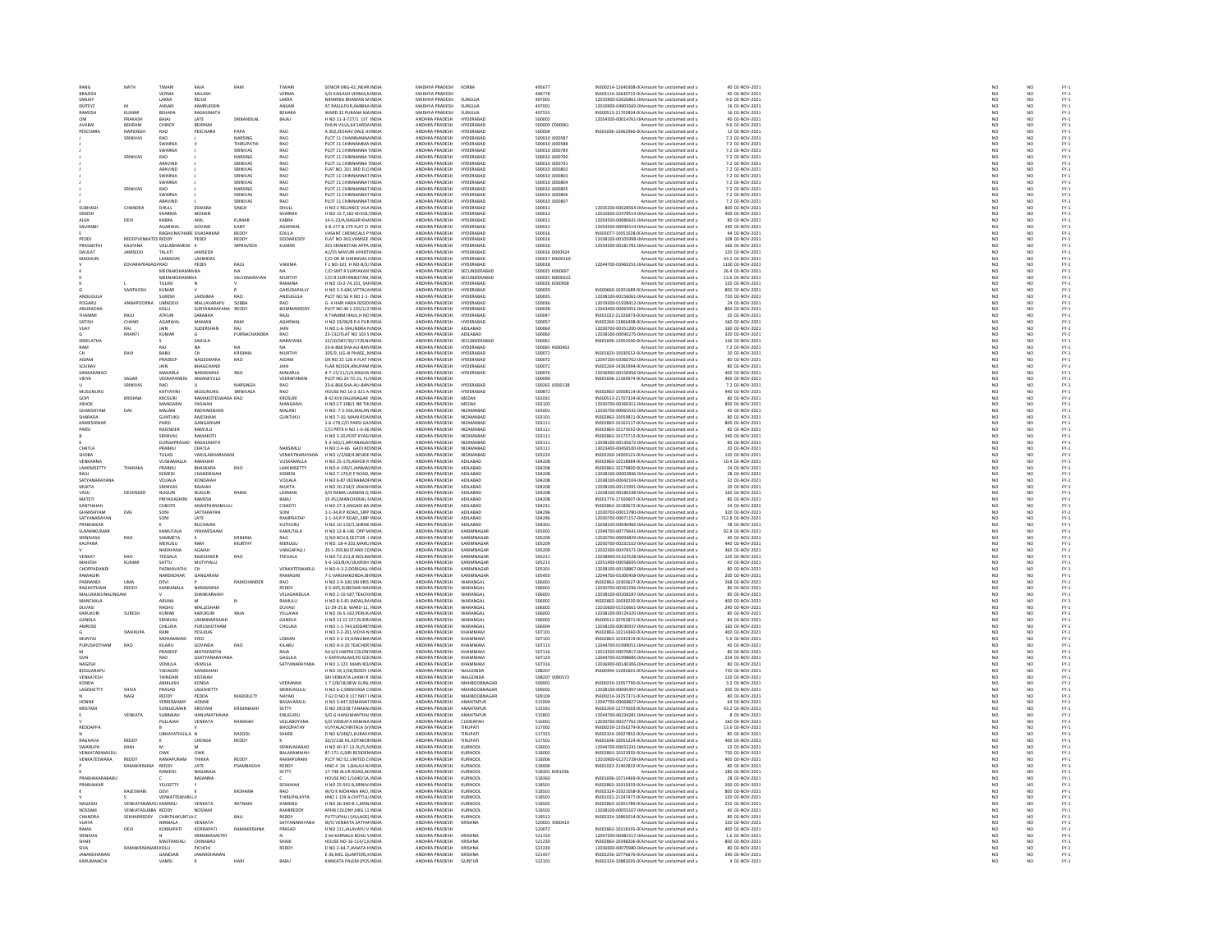| RANG                      | NATH                             | TIWARI                  | RAJA                   | RAM                           | TIWARI                      | SENIOR MIG-42NEHR INDIA                                                              | MADHYA PRADESH                   | KORBA                         | 495677                           | IN300214-12640308-0(Amount for unclaimed and u                                                                                                       | 40 02-NOV-2021                     | NO                    | NO                                                                       |                              |
|---------------------------|----------------------------------|-------------------------|------------------------|-------------------------------|-----------------------------|--------------------------------------------------------------------------------------|----------------------------------|-------------------------------|----------------------------------|------------------------------------------------------------------------------------------------------------------------------------------------------|------------------------------------|-----------------------|--------------------------------------------------------------------------|------------------------------|
| <b>BRAJES</b>             |                                  | VERMA                   | KAILASH                |                               | VERMA                       | S/O KAILASH VERMA, NINDIA                                                            | MADHYA PRADES                    |                               | 496778                           | N303116-10630722-0(Amount for unclaimed and u                                                                                                        | 0 02-NOV-2021                      | $\frac{NC}{NC}$       | NO<br>NO                                                                 | FY-3<br>FY-3                 |
| SANJAY                    |                                  | LAKRA                   | REJUK                  |                               | LAKRA                       | <b>VIHARIKA BHAWAN M INDIA</b>                                                       | MADHYA PRADESH                   | <b>SURGUJA</b>                | 497001                           | 12010900-02626861-0IAmount for unclaimed and u                                                                                                       | 9.6 02-NOV-2021                    |                       |                                                                          |                              |
| <b>EMTEVZ</b>             | A4                               | <b>ANSARI</b>           | KAMRLIDDIR             |                               | <b>ANSARI</b>               | AT RASULPUR AMBIKA INDIA                                                             | MADHYA PRADESH                   | <b>SURGUIA</b>                | 497001                           | 12010900-04903569-0LAmount for unclaimed and u                                                                                                       | 16.02-NOV-2021                     | NO                    | NQ                                                                       |                              |
| RAMESH                    | KUMAR                            | BEHARA                  | RAGHUNATH              |                               | BEHARA                      | WARD 32 PURANA MAINDIA                                                               | MADHYA PRADESH                   | <b>SURGUJA</b>                | 497555                           | IN300513-21702834-0(Amount for unclaimed and u                                                                                                       | 16 02-NOV-2021                     | NO                    | NO                                                                       | FY-3<br>FY-3                 |
| <b>OM</b>                 | PRAKASH                          | BAJAJ                   | LATE                   | SRIBANSILAL                   | BAJAJ                       | H NO 21-3-727/1 1ST INDIA                                                            | ANDHRA PRADESH                   | HYDERABAD                     | 500002                           | 12054500-00014761-0(Amount for unclaimed and u                                                                                                       | 40 02-NOV-2021                     | NO                    | NO <sub>1</sub>                                                          | FY-3<br>FY-3                 |
| AVABA                     | BEHRAM                           | CHINO                   | BEHRAM                 |                               |                             | DHUN VILLA, 64 SARDA INDI                                                            | ANDHRA PRADES                    | HYDERABA                      | 500003 C000061                   | Amount for unclaimed and u                                                                                                                           | 9.6 02-NOV-2021                    | NO                    | NO                                                                       |                              |
| PEECHARA                  | NARSINGH                         | RAO                     | PEECHARA               | PAPA                          | <b>RAO</b>                  | A 302 KESHAV DALE ALINDIA                                                            | ANDHRA PRADESH                   | HYDERABAD<br><b>TYDERABAL</b> | 500004                           | IN301696-10462966-0(Amount for unclaimed and u                                                                                                       | 12 02-NOV-2021                     | NO                    | NO <sub>1</sub>                                                          | FY-1<br>FY-1                 |
|                           | SRINIVAS                         | RAO                     |                        | NARSING                       | RAO                         | PLOT 11 CHAINNANNA INDL                                                              | ANDHRA PRADES                    |                               | 500010 J000587                   | Amount for unclaimed and u                                                                                                                           | 7.2 02-NOV-2021                    | NO                    | NO                                                                       |                              |
|                           |                                  | SWARNA<br>SWARNA        |                        | THIRUPATHI<br><b>PAVIMIRE</b> | RAO<br><b>RAO</b>           | PLOT 11 CHINNAMMA INDIA<br>PLOT 11 CHINNANNA 1 INDIA                                 | ANDHRA PRADESH<br>ANDHRA PRADESH | HYDERABAD<br>HYDERARAD        | 500010 J000588<br>500010 1000789 | Amount for unclaimed and u<br>Amount for unclaimed and u                                                                                             | 7.2 02-NOV-2021<br>7.2.02-NOV-2021 | NO<br>NO              | NO<br>NO                                                                 | FY-1<br>FY-1<br>FY-1         |
|                           | SRINIVAS                         | RAO                     |                        | NARSING                       | RAO                         | PLOT 11 CHINNANNA 1 INDI                                                             | ANDHRA PRADESH                   | HYDERABAD                     | 600010 J00079                    | Amount for unclaimed and u                                                                                                                           | 7.2 02-NOV-2021                    | NO                    | NQ                                                                       |                              |
|                           |                                  | ARAVIND                 |                        | SRINIVAS                      | <b>RAO</b>                  | PLOT 11 CHINNANNA 1 INDIA                                                            | ANDHRA PRADESH                   | HYDERABAD                     | 500010 J000791                   | Amount for unclaimed and u                                                                                                                           | 7.2 02-NOV-2021                    | NO                    | NO <sub>1</sub>                                                          |                              |
|                           |                                  | ARAVINE                 |                        | SRINIVAS                      | RAO                         | FLAT NO. 201 3RD FLO INDI                                                            | ANDHRA PRADESH                   | HYDERABAD                     | 000010 J00080                    | Amount for unclaimed and u                                                                                                                           | 7.2 02-NOV-2021                    | NO                    | NO                                                                       | PY-1<br>PY-1<br>PY-1<br>PY-1 |
|                           |                                  | SWARNA                  |                        | SRINIVAS                      | RAO                         | PLOT 11 CHINNANNAT INDIA                                                             | ANDHRA PRADESH                   | HYDERABAD                     | 500010 J000803                   | Amount for unclaimed and u                                                                                                                           | 7.2 02-NOV-2021                    | NO <sub>1</sub>       | NO <sub>1</sub>                                                          |                              |
|                           |                                  | SWARNA                  |                        | SRINIVAS                      | RAO                         | PLOT 11 CHINNANNAT INDI                                                              | ANDHRA PRADESE                   | <b>TYDERABAL</b>              | 500010 J000804                   | Amount for unclaimed and                                                                                                                             | 7.2 02-NOV-2021                    | $_{NC}$               | NO                                                                       |                              |
|                           | SRINIVAS                         | RAO                     |                        | NARSING                       | RAO                         | PLOT 11 CHINNANNAT INDIA                                                             | ANDHRA PRADESH                   | HYDERABAD                     | 500010 J000805                   | Amount for unclaimed and u                                                                                                                           | 7.2 02-NOV-2021                    | NO                    | NO                                                                       |                              |
|                           |                                  | <b>SWARNA</b>           |                        | SRINIVAS                      | RAO<br>RAO                  | PLOT 11 CHINNANNAT INDIA<br>PLOT 11 CHINNANNAT INDIA                                 | ANDHRA PRADES                    | HYDERARAD                     | 500010 100080                    | Amount for unclaimed and                                                                                                                             | 7.2.02-NOV-2021                    | NC<br>NC              | NO<br>NO                                                                 |                              |
|                           |                                  | ARAVIND                 |                        | SRINIVAS                      |                             |                                                                                      | ANDHRA PRADESH                   | HYDERABAD                     | 500010 J00080                    | Amount for unclaimed and u                                                                                                                           | 7.2 02-NOV-2021                    |                       |                                                                          |                              |
| <b>SURHASE</b>            | CHANDRA                          | DHULL                   | ESWARA                 | SINGH                         | DHULL                       | H NO:2 RELIANCE VILA INDIA                                                           | ANDHRA PRADESH                   | HYDERABAD                     | 500011                           | 12035200-00028564-0(Amount for unclaimed and u                                                                                                       | 800 02-NOV-2021                    | NO <sub>1</sub>       | NO <sub>1</sub>                                                          |                              |
| DINESH                    |                                  | <b>SHARMA</b>           | <b>MOHAN</b>           |                               | <b>SHARM</b>                | H NO 15 7,160 40 KOL: INDI                                                           | ANDHRA PRADES                    | <b>IYDERABAI</b>              | 500012                           | 12010600-02478514-0IAmount for unclaimed and u                                                                                                       | 400 02-NOV-2021                    | NO                    | NO                                                                       | 52<br>52<br>52<br>52         |
| ALKA                      | DEVI                             | KABRA                   | ANIL                   | KUMAR                         | KABRA                       | 14-5-23/A.NAGAR KHAINDIA                                                             | ANDHRA PRADESH                   | <b>HYDERABAD</b>              | 500012                           | 12054500-00080641-0IAmount for unclaimed and u                                                                                                       | 80 02-NOV-2021                     | NO <sub>1</sub>       | NO <sub>1</sub>                                                          |                              |
| SALIRAR                   |                                  | AGARWAI                 | GOVIND                 | KANT                          | <br>AGARWAL                 | 5-8-277 & 279 FLAT O INDIA                                                           | ANDHRA PRADES                    | UVDERARAD                     | snoot2                           | 12054500-00096514-0IAmount for unclaimed and u                                                                                                       | 240 02-NOV-2021                    | NO                    | NO                                                                       |                              |
|                           |                                  | RAGHUNATHARE SIVASANKAR |                        | REDDY                         | EDULA                       | VASANT CHEMICALS P' INDIA                                                            | ANDHRA PRADESH                   | HYDERABAD                     | 500016                           | IN303077-10051028-0(Amount for unclaimed and u                                                                                                       | 44 02-NOV-2021                     | NO                    | NO                                                                       |                              |
| PEDDI                     | REDDYVENKATES REDDY              |                         | PEDDI                  | REDDY                         | <b>SIDDAREDO</b>            | FLAT NO-303.VAMSEE INDIA                                                             | ANDHRA PRADESH                   | HYDERARAD                     | 310025                           | 12038100-00105998-0IAmount for unclaimed and u                                                                                                       | 108 02-NOV-2021                    | NO                    | NO<br>NO                                                                 |                              |
| PRASANTHI<br>DAULAT       | KALPANA<br><b>IAMSED II</b>      | VALLABHANENI<br>TAIATI  | <b>JAMSED</b>          | MPRAVEEN                      | KUMAR                       | 201 SRINIKETAN APPA INDIA<br>42/55 MAYLIRI APARTLINDIA                               | ANDHRA PRADESH<br>ANDHRA PRADESH | HYDERABAD<br>HYDERARAD        | 500016<br>500016.0000924         | 12054500-00181781-0IAmount for unclaimed and u<br>Amount for unclaimed and u                                                                         | 160 02-NOV-2021<br>120.02-NOV-2021 | NO                    |                                                                          |                              |
|                           |                                  | LAXMIDAS                | <b>LAXMIDA</b>         |                               |                             | C/O DR M SHRINIVAS EINDI                                                             | NDHRA PRADESH                    | <b>TYDERABAL</b>              | 500017 M00016                    | Amount for unclaimed and u                                                                                                                           | 43.2 02-NOV-2021                   | NO<br>NO              | NO<br>NO                                                                 | FY-1<br>FY-1<br>FY-1<br>FY-1 |
|                           | EDVARAPRASADARAO                 |                         | PEDDI                  | RAJU                          | VANIMA                      | FLNO-101 HNO-8/3/ INDIA                                                              | ANDHRA PRADESH                   | <b>HYDERABAD</b>              | 500018                           | 12044700-03969251-0(Amount for unclaimed and u                                                                                                       | 1100 02-NOV-2021                   | NO <sub>1</sub>       | NO <sub>1</sub>                                                          |                              |
|                           |                                  | <b>MEENAVCUAMMANA</b>   |                        |                               |                             | C/O SMT R SURYAKAN INDIA                                                             | ANDURA RRADES                    | SECUNDERABAD                  | 500025 K000697                   | Amount for unclaimed and                                                                                                                             | 26.4 02-NOV-2021                   | NO                    | NO                                                                       |                              |
|                           |                                  | MEENAKSHAMM/K           |                        | SALYANARAYAN                  | <b>MURTH</b>                | C/O R SURYANIKETAN, INDIA                                                            | ANDHRA PRADESH                   | SECUNDERABAD                  | 500025 M000322                   | Amount for unclaimed and u                                                                                                                           | 13.6 02-NOV-2021                   | NO                    | NO                                                                       |                              |
|                           |                                  | TULASI                  |                        |                               | RAMANA                      | H NO 10-2-74,101, SAFINDIA                                                           | ANDHRA PRADESH                   | HYDERARAD                     | 500026 K000958                   | Amount for unclaimed and u                                                                                                                           | 120 02-NOV-2021                    | NO                    |                                                                          |                              |
|                           | SANTHOSH                         | KUMAF                   |                        |                               | GARUDAPALLY                 | H NO 3-5-696, VITTALV INDIA                                                          | ANDHRA PRADESH                   | HYDERABAD                     | 500029                           | IN300669-10201689-0(Amount for unclaimed and u                                                                                                       | 800 02-NOV-2021                    | NO                    | NO<br>NO                                                                 | FY:<br>FY:                   |
| <b>ANDUGULA</b>           |                                  | <b>SLIRE SH</b>         | <b>LAKSHMA</b>         | RAO                           | ANDUGULA                    | PLOT NO S6 H NO 1-1- INDIA                                                           | ANDHRA PRADESH                   | HYDERARAD                     | snonas                           | 12038100-00156061-0 Amount for unclaimed and u                                                                                                       | 720.02-NOV-2021                    | NO <sub>1</sub>       | NO <sub>1</sub>                                                          |                              |
| POGARU                    | ANNAPOO                          | UMADEVI                 | MALLAVARAPL            | <b>SUBBA</b>                  | RAO                         | <b>G-4 HARI HARA RESIDI INDI</b>                                                     | ANDHRA PRADESH                   | HYDERABAD                     | 500036                           | 13019300-01928412-0IAmount for unclaimed and u                                                                                                       | 24 02-NOV-2021                     | $\overline{NQ}$       | $\frac{10}{10}$                                                          | FY-1<br>FY-1<br>FY-1         |
| ANURADHA                  |                                  | KOLLI                   | SURYANARAYANA          | REDDY                         | BOMMAREDDY                  | PLOT NO 40 1 235/1/2 INDIA                                                           | ANDHRA PRADESH                   | HYDERABAD                     | 500038                           | 12043400-00065951-0IAmount for unclaimed and u                                                                                                       | 800 02-NOV-2021                    | NO                    |                                                                          |                              |
| THAMM                     | RAJU                             | <b>ATKLIR</b>           | SARARHA                |                               | RAILL                       | <b>THAMMIRAILLH NO INDIA</b>                                                         | ANDHRA PRADES                    | HYDERARAD                     | snonaz                           | N301022-21326973-0(Amount for unclaimed and                                                                                                          | 20 02-NOV-2021                     | NO                    | NO<br>NO                                                                 | FY:<br>FY:                   |
| SATISH                    | CHAND                            | AGARWAL                 | MAMAN                  | RAM                           | AGARWAL                     | H NO 33/96/B R K PUR INDIA                                                           | ANDHRA PRADESH<br>ANDHRA PRADESH | HYDERABAD                     | 500057                           | IN302269-13866408-0(Amount for unclaimed and u                                                                                                       | 160 02-NOV-2021<br>160.02-NOV-2021 | NO                    |                                                                          |                              |
| VUAY                      |                                  | <b>IAIN</b>             | SUDERSHAN              | RAI                           | RAO                         | H NO:1-6-594 INDRA N INDIA                                                           |                                  | ADILARAD                      | snonso                           | 12030700-00351200-0IAmount for unclaimed and u                                                                                                       | 320 02-NOV-2021                    | NO<br>NO              | NO<br>NO                                                                 | FY:<br>FY:                   |
| SREELATHA                 | KRANTI                           | KUMAR                   | SADULA                 | PURNACHANDRA                  | NARAYANA                    | 23-132/FLAT NO 103 S INDIA<br>12/10/587/50/17/R NUNDIA                               | ANDHRA PRADESH<br>ANDHRA PRADESH | ADILABAD<br>SECUNDERARAD      | 500060<br>500061                 | 12038100-00090275-0IAmount for unclaimed and u<br>IN301696-12001030-0(Amount for unclaimed and u                                                     | 136.02-NOV-2021                    | NO <sub>1</sub>       | NO <sub>1</sub>                                                          |                              |
|                           |                                  |                         |                        |                               |                             |                                                                                      |                                  |                               | 500065 H000463                   |                                                                                                                                                      | 7.2 02-NOV-2021                    |                       |                                                                          | FY-3<br>FY-3                 |
| RAM<br>CН                 | RAVI                             | RAJ<br>BABU             | CH                     | NA<br>KRISHNA                 | NA<br>MURTHY                | 23-6-868 SHA-ALI-BAN INDIA<br>105/9, LIG-III PHASEN INDIA                            | ANDHRA PRADESH<br>ANDHRA PRADESH | HYDERABAD<br>HYDERABAD        | 500072                           | Amount for unclaimed and u<br>IN301820-10030552-0(Amount for unclaimed and u                                                                         | 20 02-NOV-2021                     | NO                    | NO                                                                       |                              |
| <b>AIDAM</b>              |                                  | PRADEEP                 | <b>NAGESWARA</b>       | RAO                           | AIDAM                       | DR NO 22 128 A FLAT I INDIA                                                          | ANDHRA PRADES                    | HYDERARAD                     | snonza                           | 12047200-03360762-0IAmount for unclaimed and                                                                                                         | 80 02-NOV-2021                     | NO<br>NO              | $\begin{array}{c} \tt NO \\ \tt NO \\ \tt NO \\ \tt NO \end{array}$      | FY-3<br>FY-3<br>FY-3         |
| SOURAV                    |                                  | JAIN                    | BHAGCHAND              |                               | JAIN                        | FLAR NO504, ANUPAM INDIA                                                             | ANDHRA PRADESH                   | HYDERABAD                     | 500072                           | IN302269-14365994-0(Amount for unclaimed and u                                                                                                       | 80 02-NOV-2021                     | NO                    |                                                                          |                              |
| SANKARARAC                |                                  | MAKARI A                | NARASIMHA              | <b>RAO</b>                    | MAKARI A                    | 4-7-15/11/1/4 RAGHA INDIA                                                            | ANDHRA PRADESH                   | HYDERARAD                     | 500076                           | 12036900-00156956-0LAmount for unclaimed and u                                                                                                       | 400.02-NOV-2021                    | NO <sub>1</sub>       | NO <sub>1</sub>                                                          |                              |
| VIDYA                     | SAGAR                            | VEERAPANEN              | ANJANEYULU             |                               | VEERAPANEN                  | PLOT NO.20 TO 21, FL/ INDIA                                                          | ANDHRA PRADESE                   |                               | 500090                           | IN301696-11569974-0(Amount for unclaimed and u                                                                                                       | 400 02-NOV-2021                    | NO                    | $\overline{NQ}$                                                          | FY-)<br>FY-)                 |
|                           | SRINIVAS                         | RAO                     |                        | NARSINGH                      | RAO                         | 23-6-868 SHA-ALL-RAN INDIA                                                           | ANDHRA PRADESH                   | HYDERARAD                     | 500265 (1000138)                 | Amount for unclaimed and                                                                                                                             | 7.2.02-NOV-2021                    | NO                    | N <sub>0</sub>                                                           |                              |
| MUSUNURL                  |                                  | KATYAYIN                | MUSUNURU               | SRINIVASA                     | RAO                         | HOUSE NO 16-2-321 A INDIA                                                            | ANDHRA PRADESH                   | HYDERABAD                     | 500872                           | IN302863-10008114-0(Amount for unclaimed and u                                                                                                       | 440 02-NOV-2021                    | NO                    | NQ                                                                       | FY-3<br>FY-3                 |
| <b>GOPI</b>               | KRISHNA                          | <b>KROSURI</b>          | RAMAKOTESWARA RAO      |                               | <b>KROSURI</b>              | 8 42 KVK RAJUNAGAR INDIA                                                             | ANDHRA PRADESH                   | MEDAK                         | 502032                           | IN300513-21707324-0(Amount for unclaimed and u                                                                                                       | 80 02-NOV-2021                     | NO                    | NO <sub>1</sub>                                                          |                              |
| ASHOK                     |                                  |                         | <b>YADAIAH</b>         |                               | MANGARA                     | H.NO:17-108/1 NR THUNDL                                                              | ANDHRA PRADESH                   |                               | 502103                           | 12030700-00260311-0IAmount for unclaimed and u                                                                                                       | 800 02-NOV-2021                    | NO                    | NO                                                                       | FY-3<br>FY-3                 |
| GHANSHYAM                 | DAS                              | MALANI                  | RADHAKISHAN            |                               | MALANI                      | H NO: 7-3-356.MALAN INDIA                                                            | ANDHRA PRADESH                   | NIZAMABAD                     | 503001                           | 12030700-00065531-0(Amount for unclaimed and u                                                                                                       | 40 02-NOV-2021                     | NO<br>NO              | NO<br>NO                                                                 | FY-1<br>FY-1<br>FY-1         |
| SHARADA                   |                                  | <b>GUNTURU</b>          | <b>RAIFSHAM</b>        |                               | <b>GUNTUKL</b>              | H NO 7-10 MAIN ROALINDIA                                                             | ANDHRA PRADESH                   | NIZAMARAD                     | 503101                           | IN302863-10059811-00Amount for unclaimed and u                                                                                                       | 80.02-NOV-2021                     |                       |                                                                          |                              |
| KAMESHWA                  |                                  | PARSI                   | GANGADHAR              |                               |                             | 1-6-179, C/O PARSI GAINDIA                                                           | ANDHRA PRADESH                   | NIZAMABAD                     | 503111                           | IN302863-10163117-0(Amount for unclaimed and u                                                                                                       | 800 02-NOV-2021                    | NO                    | $\overline{NQ}$                                                          |                              |
| PARSI                     |                                  | RAIFNDER                | RAMILLI                |                               |                             | C/O PRTK H NO 1-6-36 INDIA                                                           | ANDHRA PRADESH                   | NIZAMARAD                     | 503111                           | IN302863-10173032-00 Amount for unclaimed and u                                                                                                      | 80.02-NOV-2021                     | NO                    | NQ                                                                       | FY-3<br>FY-3                 |
|                           |                                  | SRINIVAS<br>DURGAPRASAD | RAMAKOT<br>RAGHUNATH   |                               |                             | H NO 3-20, POST KYAS/ INDIA<br>5-3-565/1.ARYANAGAHNDIA                               | ANDHRA PRADESH<br>ANDHRA PRADESH | NIZAMABAD<br><b>NIZAMABAD</b> | 503111<br>503111                 | IN302863-10175712-0(Amount for unclaimed and u<br>12038100-00135672-0IAmount for unclaimed and u                                                     | 240 02-NOV-2021<br>80 02-NOV-2021  | NO                    | NO<br>NO <sub>1</sub>                                                    |                              |
| CHATLA                    |                                  | PRABHU                  | CHATLA                 |                               | NARSIMLU                    | H.NO:2-4-66 GADI RC INDI                                                             | ANDHRA PRADES                    | NIZAMABAI                     | 503111                           | 13023400-00458100-0IAmount for unclaimed and u                                                                                                       | 20 02-NOV-2021                     | $\frac{NO}{NO}$       | NO                                                                       |                              |
| <b>SHOBA</b>              |                                  | TULASI                  | VAKULABHARANAN         |                               | VENKATNARAYANA              | H NO 1/2/68/4 BESIDE INDIA                                                           | ANDHRA PRADESH                   | NIZAMABAD                     | 503224                           | IN302269-14009121-0(Amount for unclaimed and u                                                                                                       | 120 02-NOV-2021                    | NO <sub>1</sub>       | NO <sub>1</sub>                                                          | FY-1<br>FY-1<br>FY-1<br>FY-1 |
| VENKANI                   |                                  | VUSKAMALL               |                        |                               | <b>ISKAMALL</b>             |                                                                                      |                                  | <b>ADILARAF</b>               | 504208                           | N302863-10218984-0(Amount for unclaimed and u                                                                                                        | 10.4 02-NOV-2021                   |                       |                                                                          |                              |
| LAKKIMSETTY               | THARAKA                          | PRABHU                  | BHASKARA               | RAO                           | LAKKIMSETTY                 | H NO 25-170, ASHOK R INDIA<br>H NO-4-199/1, JANMAI INDIA                             | ANDHRA PRADESH<br>ANDHRA PRADESH | ADILABAD                      | 504208                           | IN302863-10279800-0(Amount for unclaimed and u                                                                                                       | 24 02-NOV-2021                     | $\frac{N}{N}$         | $\frac{1}{N}$                                                            |                              |
| RAJU                      |                                  | KEMEDI                  | CHANDRAIAH             |                               | <b>KEMEDI</b>               | H NO 7-170.R P ROAD, INDIA                                                           | ANDHRA PRADESH                   | ADILABAD                      | 504208                           | 12038100-00002846-0(Amount for unclaimed and u                                                                                                       | 28 02-NOV-2021                     | NO                    | NO <sub>1</sub>                                                          |                              |
| SATYANA                   |                                  | VOJJALA                 | KONDAIAH               |                               | VOJJALA                     | H NO 6-87 VEERABADF INDL                                                             | ANDHRA PRADESH                   | ADILABA                       | 504208                           | 12038100-00042104-0IAmount for unclaimed and u                                                                                                       | 32 02-NOV-2021                     | NO                    | NO                                                                       | FY-3<br>FY-3                 |
| <b>MUKTA</b>              |                                  | SRINIVAS                | RAJAJAH                |                               | MUKTA                       | H NO 20-234/2 JAWAH INDIA                                                            | ANDHRA PRADESH                   | ADILABAD                      | 504208                           | 12038100-00115991-0 Amount for unclaimed and u                                                                                                       | 20 02-NOV-2021                     | NO <sub>1</sub>       | NO <sub>1</sub>                                                          |                              |
|                           | DEVENDE                          | NUGURI                  | NUGURI                 |                               | LAXMAN                      | <b>S/O RAMA LAXMAN Q INDI</b>                                                        | ANDHRA PRADESH                   | ADILABAD                      | 504208                           | 12038100-00186198-0IAmount for unclaimed and u                                                                                                       | 160 02-NOV-2021                    |                       | NO                                                                       |                              |
| MATETI                    |                                  | PRIYADASH               | RAMESH                 |                               | BABU                        | 19 452 MANCHERIAL NINDIA                                                             | ANDHRA PRADESH                   | ADILABAD                      | 504208                           | IN301774-17500607-0(Amount for unclaimed and u                                                                                                       | 80 02-NOV-2021                     | NO <sub>1</sub>       | NO <sub>1</sub>                                                          | PY-1<br>PY-1<br>PY-1<br>PY-1 |
| KANTHAIA                  |                                  | СНІКОТІ                 | MANTHARAMI III         |                               | CHIKOTI                     | INO 27-3, ANGADI BA INDIA                                                            | ANDHRA PRADESH                   | ADILABAD                      | 504231                           | N302863-10189672-0(Amount for unclaimed and                                                                                                          | 24 02-NOV-2021                     | $_{NC}$               | NO                                                                       |                              |
| GHANSHYAM                 | DAS                              | SONI                    | SATYARAYAN             |                               | SONI                        | 1-1-34, R.P ROAD, SIRP INDIA                                                         | ANDHRA PRADESH                   | ADILABAD                      | 504296                           | 12030700-00013780-0IAmount for unclaimed and u                                                                                                       | 320 02-NOV-2021                    | NO<br>NO              | NO<br>NO                                                                 |                              |
| SATYANARAYAM              |                                  | SONI                    | LATE                   |                               | RAMPRATA                    | 1-1-34.R P ROAD, SIRP INDIA                                                          | ANDHRA PRADESH                   | ADILABAD                      | 504296                           | 12030700-00071157-0 Amount for unclaimed and u                                                                                                       | 712.8 02-NOV-2021                  |                       |                                                                          |                              |
| RABHAKAR                  |                                  |                         | <b>BUCHAIAH</b>        |                               | KUTHURL                     | H NO 10-110/1, SHRINI INDI                                                           | ANDHRA PRADESH                   | ADILABAD                      | 504301                           | 12038100-00040466-0IAmount for unclaimed and u                                                                                                       | 28 02-NOV-2021                     | NO                    | NO                                                                       |                              |
| SUMANKUMAR                |                                  | KAMUTALA                | VISHWESHAM             |                               | KAMUTALA                    | H NO 12-8-146 OPP MINDIA                                                             | ANDHRA PRADESH                   | KARIMNAGAE                    | 505002                           | 12044700-00779641-0(Amount for unclaimed and u                                                                                                       | 92.8 02-NOV-2021                   | NO <sub>1</sub>       | NO <sub>1</sub>                                                          |                              |
| SRINIVASA                 | RAO                              | SAMMETA                 |                        | KRISHN                        |                             | Q NO BCH 8, SECTOR -1 INDM                                                           | ANDHRA PRADESH                   | KARIMNAGAI                    | 505209                           | 12030700-00094829-0IAmount for unclaimed and u                                                                                                       | 40 02-NOV-2021                     | NO                    | NO                                                                       | FY-1<br>FY-1<br>FY-1<br>FY-1 |
| <b>KALPANA</b>            |                                  | <b>MERUGU</b>           | RAM<br><b>AGAIAU</b>   | MURTHY                        | MERUGU                      | H NO: 18-4-202.MARU INDIA                                                            | ANDHRA PRADESH<br>ANDURA DRADECU | KARIMNAGAR                    | 505209                           | 12030700-00232102-0IAmount for unclaimed and u                                                                                                       | 440 02-NOV-2021                    | NO <sub>1</sub>       | NO <sub>1</sub>                                                          |                              |
|                           |                                  | NARAYANA                |                        |                               | VANGAPALLI                  | 20-1-359, BUSTAND CC INDIA                                                           |                                  | KARIMMAGAR                    | 505209                           | 12032300-00476571-0IAmount for unclaimed and                                                                                                         | 360 02-NOV-2021                    | NO                    | NO                                                                       |                              |
| VENKAT<br>MAHESH          | <b>RAO</b><br>KUMAR              | TEEGALA<br>SATTU        | RAJESHWER<br>MUTHYALU  | RAO                           | TEEGALA                     | H NO-T2-221,8 INCLIN INDIA<br>5-6-163/8/A/18.KRISH INDIA                             | ANDHRA PRADESH<br>ANDHRA PRADESH | KARIMNAGAR<br>KARIMNAGAE      | 505211<br>505215                 | 12038400-01323528-0IAmount for unclaimed and u<br>12051400-00058695-0IAmount for unclaimed and u                                                     | 120 02-NOV-2021<br>40 02-NOV-2021  | NO                    | NO                                                                       |                              |
| CHOPPADANDI               |                                  |                         |                        |                               | VENKATESWARLU               |                                                                                      | ANDHRA PRADESH                   |                               |                                  |                                                                                                                                                      | 80 02-NOV-2021                     | NO<br>NO              | $\begin{array}{c} \mathsf{NO} \\ \mathsf{NO} \\ \mathsf{NO} \end{array}$ |                              |
| <b>RAMAGIRI</b>           |                                  | PADMAVATH<br>NARENDHAR  | CH<br>GANGARAM         |                               | RAMAGIRI                    | H NO-4-3-2, DOBIGALL' INDIA<br>7-1 VARSHAKONDA.IBI INDIA                             | ANDHRA PRADESH                   | KARIMNAGAF<br>KARIMNAGAR      | 505301<br>505450                 | 12038100-00158867-0IAmount for unclaimed and u<br>12044700-05300458-0(Amount for unclaimed and u                                                     | 200 02-NOV-2021                    | NO <sub>1</sub>       |                                                                          |                              |
| PARNAND                   | UMA                              | DEVI                    |                        | RAMCHANDER                    | RAO                         | NO 2-9-100, SRI KRIS INDIA                                                           | ANDHRA PRADESH                   | WARANGAL                      | 506001                           | N302863-10303627-0LAmount for unclaimed and u                                                                                                        | 268 02-NOV-2021                    | NO                    | NO                                                                       |                              |
| RAGHOTHAM                 | <b>REDDY</b>                     | KANKANALA               | NARASIMHA              |                               | REDDY                       | 2-5-695, SUBEDARI NAI INDIA                                                          | ANDHRA PRADESH                   | WARANGAL                      | 506001                           | 12030700-00262296-0IAmount for unclaimed and u                                                                                                       | 80 02-NOV-2021                     | NO                    | NO                                                                       | PY-1<br>PY-1<br>PY-1<br>PY-1 |
| MALLIKAR ILINALINGAM      |                                  |                         | SHANKARAIAH            |                               | VELAGANDULA                 | H NO 2-10-587.TEACH INDIA                                                            | ANDHRA PRADESH                   | WARANGAL                      | 506001                           | 12038100-00208187-0IAmount for unclaimed and u                                                                                                       | 80 02-NOV-2021                     | NO                    |                                                                          |                              |
| MANCHALA                  |                                  | ARUNA                   | M                      |                               | RAMULU                      | H NO 8-5-81 (NEW), RAINDIA                                                           | ANDHRA PRADESH                   | WARANGAI                      | 506002                           | IN302863-10039230-0(Amount for unclaimed and u                                                                                                       | 400 02-NOV-2021                    | NO                    | NO<br>NO                                                                 |                              |
| DUVASI                    |                                  | RAGHLI                  | MALLESHAM              |                               | <b>DUVASI</b>               | 11-29-25.B. WARD-11, INDIA                                                           | ANDHRA PRADESH                   | <b>WARANGAL</b>               | 506002                           | 12010600-01516661-0IAmount for unclaimed and u                                                                                                       | 240 02-NOV-2021                    | NO<br>NO              | NO<br>NO                                                                 | FY-3<br>FY-3                 |
| <b>KARUKUR</b>            | SURESH                           | KUMAR                   | KARUKURI               | RAM                           | YELLAIAH                    | H NO 16-5-162, PERUK INDIA                                                           | ANDHRA PRADESH                   | WARANGAL                      | 506002                           | 12038100-00129320-0IAmount for unclaimed and u                                                                                                       | 80 02-NOV-2021                     |                       |                                                                          |                              |
| GANDLA                    |                                  | SRINIVAS                | <b>LAXMINARSAIAH</b>   |                               | GANDLA                      | H NO 11 22 227 BUDB INDIA                                                            | ANDHRA PRADESH                   | WARANGAL                      | 506002                           | IN300513-20762871-0(Amount for unclaimed and u                                                                                                       | 84 02-NOV-2021                     | NO<br>NO              | NO<br>NO                                                                 |                              |
|                           |                                  | CHILUKA                 | PURUSHO                |                               | CHILUKA                     | H NO 1-1-744 SIDDAR1INDI                                                             | ANDHRA PRADES                    | MARANGA                       | so6004                           | 12038100-00030937-0IAmount for unclaimed and                                                                                                         | 160 02-NOV-2021                    |                       |                                                                          |                              |
| MUNTAI                    | <b>SWARUPA</b>                   | RANI<br>MOHAMMA         | YESUDAS<br><b>SYED</b> |                               | <b>LISMAN</b>               | H NO 3-2-201, VIDYA N INDIA<br>H NO 3-2-19, HANUMA INDIA                             | ANDHRA PRADESH<br>ANDHRA PRADESH | KHAMMAN<br>KHAMMAN            | 507101<br>507101                 | IN302863-10214360-0(Amount for unclaimed and u<br>N302863-10330319-0(Amount for unclaimed and                                                        | 400 02-NOV-2021<br>5.6 02-NOV-2021 | NO<br>$\sim$          | NO                                                                       |                              |
| PURUSHOTHAM               | <b>RAO</b>                       | KILARU                  | GOVINDA                | <b>RAO</b>                    | KILARU                      | H.NO.9-3-20 TEACHER INDIA                                                            | ANDHRA PRADESH                   | KHAMMAM                       | 507115                           | 12044700-01999051-0IAmount for unclaimed and u                                                                                                       | 40 02-NOV-2021                     | NO                    | NO<br>NO                                                                 | FY-1<br>FY-1<br>FY-1<br>FY-1 |
|                           |                                  | PRADEEP                 | MOTAPARTHI             |                               | RAIA                        | A4 6/3 HWPM COLON' INDIA                                                             | ANDHRA PRADESH                   | KHAMMAM                       | 507116                           | 12013500-00070817-0IAmount for unclaimed and u                                                                                                       | 80.02-NOV-2021                     |                       |                                                                          |                              |
| GVN                       |                                  | RAO                     | <b>GSATYANARAYANA</b>  |                               | GAGULA                      | V KAPAVALAM, PO GOLINDIA                                                             | ANDHRA PRADESH                   | KHAMMAN                       | 507129                           |                                                                                                                                                      | 224 02-NOV-2021                    | NO<br>NO              | NO<br>NO                                                                 | FY-3<br>FY-3                 |
| <b>NAGESH</b>             |                                  | <b>VEMII A</b>          | <b>VEMULA</b>          |                               | SATYANARAYANA               | H NO 1-123 MAIN ROJINDIA                                                             | ANDHRA PRADESH                   | KHAMMAM                       | 507316                           |                                                                                                                                                      |                                    | NO                    | NQ                                                                       |                              |
| <b>BOGGARAPU</b>          |                                  |                         |                        |                               |                             |                                                                                      |                                  |                               |                                  | 12044700-01998685-0IAmount for unclaimed and u<br>12036900-00140306-0LAmount for unclaimed and u                                                     | 80.02-NOV-2021                     |                       |                                                                          | FY-1<br>FY-1<br>FY-1         |
|                           |                                  |                         |                        |                               |                             |                                                                                      |                                  |                               |                                  |                                                                                                                                                      |                                    |                       | $\frac{NO}{NO}$                                                          |                              |
| VENKATESH                 |                                  | YADAGIR<br>THINDARI     | KANAKAIA<br>KISTAIAH   |                               |                             | H NO 19-1/38,REDDY CINDIA<br>SRI VENKATA LAXMI R INDIA                               | ANDHRA PRADESH<br>ANDHRA PRADESH | NALGONDA<br>NALGONDA          | 508207<br>508207 V000573         | IN300394-11092601-0(Amount for unclaimed and u<br>Amount for unclaimed and u                                                                         | 720 02-NOV-2021<br>120 02-NOV-2021 | NO<br>NO              |                                                                          | FY-3<br>FY-3                 |
| KONDA                     |                                  | <b>ARHILASH</b>         | KONDA                  |                               | VEERANNA                    | 1 7 2/8/18, NEW GUNJ, INDIA                                                          | ANDHRA PRADESH                   | MAHROORNAGAL                  | snennt                           | IN300239-13957790-0(Amount for unclaimed and                                                                                                         | 3.2 02-NOV-2021                    | NO                    |                                                                          |                              |
| LAGISHETTY                | SHIVA                            | PRASAD                  | LAGISHETTY             |                               | SRINIVASULU                 | H NO 6-2, SRINIVASA C INDIA                                                          | ANDHRA PRADESH                   | MAHBOOBNAGAR                  | 509002                           | 12038100-00095497-0IAmount for unclaimed and u                                                                                                       | 200 02-NOV-2021                    | NO                    | NO<br>NO                                                                 |                              |
|                           | NAGI                             | REDDY                   | PEDDA                  | MADDILETY                     | NAVAKI                      | 7 62 D NO 8 117 NH 7 LINDIA                                                          | ANDHRA PRADESH                   | MAHROORNAGAR                  | 509104                           | IN300214-14257371-0(Amount for unclaimed and u                                                                                                       | 80.02-NOV-2021                     | NO <sub>1</sub>       | NO <sub>1</sub>                                                          |                              |
| <b>HONNE</b>              |                                  | YERRISWAM               | <b>HONNE</b>           |                               | BASAVARAJU                  | H NO 3-647, SOMANAT INDIA                                                            | ANDHRA PRADESH                   | ANANTAPUR                     | 515004                           | 12047700-00068827-0IAmount for unclaimed and u                                                                                                       | 64 02-NOV-2021                     | NO                    | $\overline{NQ}$                                                          | FY-)<br>FY-)                 |
| KRISTAM                   |                                  | SLINILKLIMAR            | KRISTAM                | KRISHNAIAH                    | SETTY                       | D NO 29/238 TANAKALINDIA                                                             | ANDHRA PRADESH                   | <b>ANANTAPLIR</b>             | 515591                           | IN302269-12775003-00 Amount for unclaimed and u                                                                                                      | 43.2.02-NOV-2021                   | NO                    | N <sub>0</sub>                                                           |                              |
|                           | VENKATA                          | SUBBAIAH                | HANUMA                 |                               | ENUGURL                     | S/O G HANUMANTHAI INDI                                                               | ANDHRA PRADESH                   | ANANTAPUR                     | 515801                           | 12044700-06234281-0IAmount for unclaimed and u                                                                                                       | 8 02-NOV-2021                      | NO                    | NO                                                                       | FY-3<br>FY-3                 |
|                           |                                  | PULLAIAH                | VENKATA                | RAMAIAH                       | VELLABOYANA                 | S/O VENKATA RAMAIA INDIA                                                             | ANDHRA PRADESH                   | CUDDAPAH                      | 516001                           | 12030700-00377761-0(Amount for unclaimed and u                                                                                                       | 160 02-NOV-2021                    | NO                    | NO <sub>1</sub>                                                          |                              |
| REDDAPP                   |                                  |                         |                        |                               | HOOPATHY                    | .<br>/UYYALACHINTALA (V) INDI                                                        | NDHRA PRADES                     | <b>IRUPATI</b>                |                                  | N300239-13356279-0(Amount for unclaimed and u                                                                                                        | 13.6 02-NOV-202                    |                       |                                                                          |                              |
| RAGHAVA                   | REDDY                            | UBHAYATHULLA P          | CHENGA                 | RASOOL<br>REDDY               | SAHEB                       | D NO II/248/1, KURAV/ INDIA<br>10/2/138 H1 KOTAKOLINDIA                              | ANDHRA PRADESH<br>ANDHRA PRADESH | TIRUPATI<br>TIRLIPATI         | 517325<br>517501                 | IN302324-10027852-0(Amount for unclaimed and u<br>IN301696-10055224-00Amount for unclaimed and u                                                     | 80 02-NOV-2021<br>400.02-NOV-2021  | NQ                    | $\frac{1}{N}$                                                            | FY-3<br>FY-3<br>FY-3         |
|                           |                                  |                         |                        |                               |                             |                                                                                      |                                  |                               |                                  |                                                                                                                                                      |                                    | NO <sub>1</sub>       | NO <sub>1</sub>                                                          |                              |
| SWARUPA<br>VENKATARAMUDU  | RANI                             | OWK                     | OWB                    |                               | SRINIVASARAO<br>BALARAMAIAH | H NO 40-37-13-3U/S, NINDIA<br>87-171-G.SIRI RESIDEN INDIA                            | ANDHRA PRADESH<br>ANDHRA PRADESH | KURNOO<br>KURNOOL             | 518001<br>518002                 | 12044700-00655241-0IAmount for unclaimed and u<br>IN302863-10323935-0(Amount for unclaimed and u                                                     | 32 02-NOV-2021<br>720 02-NOV-2021  | NO<br>NO <sub>1</sub> | $\overline{NQ}$<br>NO <sub>1</sub>                                       | FY-)<br>FY-)                 |
|                           |                                  |                         |                        |                               |                             |                                                                                      |                                  |                               |                                  |                                                                                                                                                      |                                    |                       |                                                                          |                              |
| VENKATESWARA              | <b>REDD</b><br><b>RAMAKRISHM</b> | RAMAPURAM<br>REDDY      | THIKKA<br>LATE         | <b>REDDY</b><br>PSAMBASIVA    | RAMAPURAM<br>REDDY          | PLOT NO 52, UNITED CHNDL<br>HNO 4 24 1.BALAJI NJ INDIA                               | ANDHRA PRADESH<br>ANDHRA PRADESH | KURNOO<br>KURNOOL             | 518006<br>518006                 | 12010900-01271728-0IAmount for unclaimed and u<br>IN301022-21402822-0(Amount for unclaimed and u                                                     | 400 02-NOV-2021<br>80 02-NOV-2021  | NO<br>NO              | NO<br>NO <sub>1</sub>                                                    | FY-3<br>FY-3                 |
|                           |                                  | RAMESH                  | NAGARAJ                |                               | SETTY                       | 17-748 ALUR ROAD, AL INDI                                                            | ANDHRA PRADES                    | KURNOO                        | 518301 K001036                   | Amount for unclaimed and u                                                                                                                           | 180 02-NOV-2021                    | NO                    | NO                                                                       |                              |
| PRABHAKARABABL            |                                  |                         | BASANNA                |                               |                             | HOUSE NO 1/1640/1A INDIA                                                             | ANDHRA PRADESH                   | <b>KURNOO</b>                 | 518360                           | IN301696-10714469-0(Amount for unclaimed and u                                                                                                       | 28 02-NOV-2021                     |                       |                                                                          | FY-3<br>FY-3                 |
| PRARHAKAR                 |                                  | <b>YELISETTY</b>        |                        |                               | SESHAIAH                    | H NO 25-591 B SRINIV INDIA                                                           | ANDHRA PRADESH                   | KURNOOL                       | 518501                           | IN302863-10319333-0(Amount for unclaimed and u                                                                                                       | 200.02-NOV-2021                    | NO<br>NO              | NO<br>NO                                                                 |                              |
|                           | RAJESWAR                         | DEVI                    |                        | MOHANA                        | RAO                         | W/O K MOHANA RAO, INDIA                                                              | ANDHRA PRADESH                   | KURNOOL                       | 518501                           | IN302324-10321058-0(Amount for unclaimed and u                                                                                                       | 800 02-NOV-2021                    | NO                    | NO                                                                       | FY-1<br>FY-1<br>FY-1         |
|                           |                                  | VENKATESWARLLV          |                        |                               | THIRUPALAYYA                | HNO 1 129 A CHITTULI INDIA                                                           | ANDHRA PRADESH                   | KURNOOL                       | 518501                           | IN301022-21347477-0(Amount for unclaimed and u                                                                                                       | 120 02-NOV-2021                    | NO                    | NO <sub>1</sub>                                                          |                              |
|                           | VENKATANARASI KAMMILI            |                         | VENKATA                | RATNAM                        | KAMMIL                      | NO 26-340-B-1, MSN INDI                                                              | ANDHRA PRADESH                   | KURNOO                        | 518502                           | IN302863-10301789-0(Amount for unclaimed and u                                                                                                       | 232 02-NOV-2021                    | NO                    | NO                                                                       | FY-3<br>FY-3                 |
| NOSSAM                    | VENKATASUBBA REDDY               |                         | NOSSAM                 |                               | RAMIREDDY                   | APHB COLONY MIG 11 INDIA                                                             | ANDHRA PRADESH                   | KURNOOL                       | 518502                           | 12038100-00055107-0IAmount for unclaimed and u                                                                                                       | 40 02-NOV-2021                     | NO                    | NO <sub>1</sub>                                                          |                              |
| CHANDRA                   |                                  |                         |                        | BALI                          | EDDY                        | UTTUPALLI (VILLAGE) INDI                                                             | ANDHRA PRADESH                   | <b>CURNODI</b>                | 518512                           | IN302324-10865014-0(Amount for unclaimed and u                                                                                                       | 80 02-NOV-2021                     |                       |                                                                          |                              |
| VUAYA                     |                                  | NIRMALA                 | VENKATA<br>KORRAPAT    | RAMAKRISHN                    | SATYANARAYANA               | W/O VENKATA SATYAI INDIA                                                             | ANDHRA PRADESH<br>ANDURA BRADES  | KRISHNA                       | 520001 V000419<br>520072         | Amount for unclaimed and u                                                                                                                           | 120 02-NOV-2021                    | NO <sub>1</sub>       | NO                                                                       | FY-1<br>FY-1<br>FY-1         |
|                           |                                  | KORRAPATI               | SRIRAMASASTR           |                               | PRASAD                      |                                                                                      | ANDHRA PRADESH                   | KRISHNA                       | 521150                           |                                                                                                                                                      | 100 02-NOV-2021<br>1.6 02-NOV-2021 |                       | NO<br>NO                                                                 |                              |
| RAMA<br>SRINIVAS<br>SHAIK |                                  | MASTANVALI              | CHINABAJI              |                               | SHAIK                       | H NO 211, JALAVAYU V INDIA<br>2 64 KARNALA ROAD V INDIA<br>HOUSE NO-16-114/1.N INDIA | ANDHRA PRADESH                   | KRISHNA                       | 521230                           | IN302863-10318195-00 Amount for unclaimed and u<br>12047200-00481517-01 Amount for unclaimed and u<br>IN302863-10348206-0(Amount for unclaimed and u | 800 02-NOV-2021                    | NO <sub>1</sub>       | NO                                                                       | FY-1<br>FY-1                 |
| <b>SIVA</b>               |                                  | REKOLL                  | PICHCHI                |                               | REDDY                       | NO 2-64-7, JANATA HINDI                                                              | ANDHRA PRADESH                   |                               | 521230                           | 12036900-00070980-0IAmount for unclaimed and u                                                                                                       | 80 02-NOV-2021                     |                       |                                                                          |                              |
| JANARDHANAN               |                                  | GANESAN                 | <b>JANARDHANAM</b>     |                               |                             | E-36.MCL QUARTERS & INDIA                                                            | ANDHRA PRADESH<br>ANDHRA PRADESH | <b>KRISHNA</b>                | 521457<br>522101                 | IN302236-10776676-0(Amount for unclaimed and u<br>IN302324-10882035-0(Amount for unclaimed and u                                                     | 240 02-NOV-2021<br>4 02-NOV-2021   | NO <sub>1</sub>       | NO                                                                       | FY-3<br>FY-3<br>FY-3         |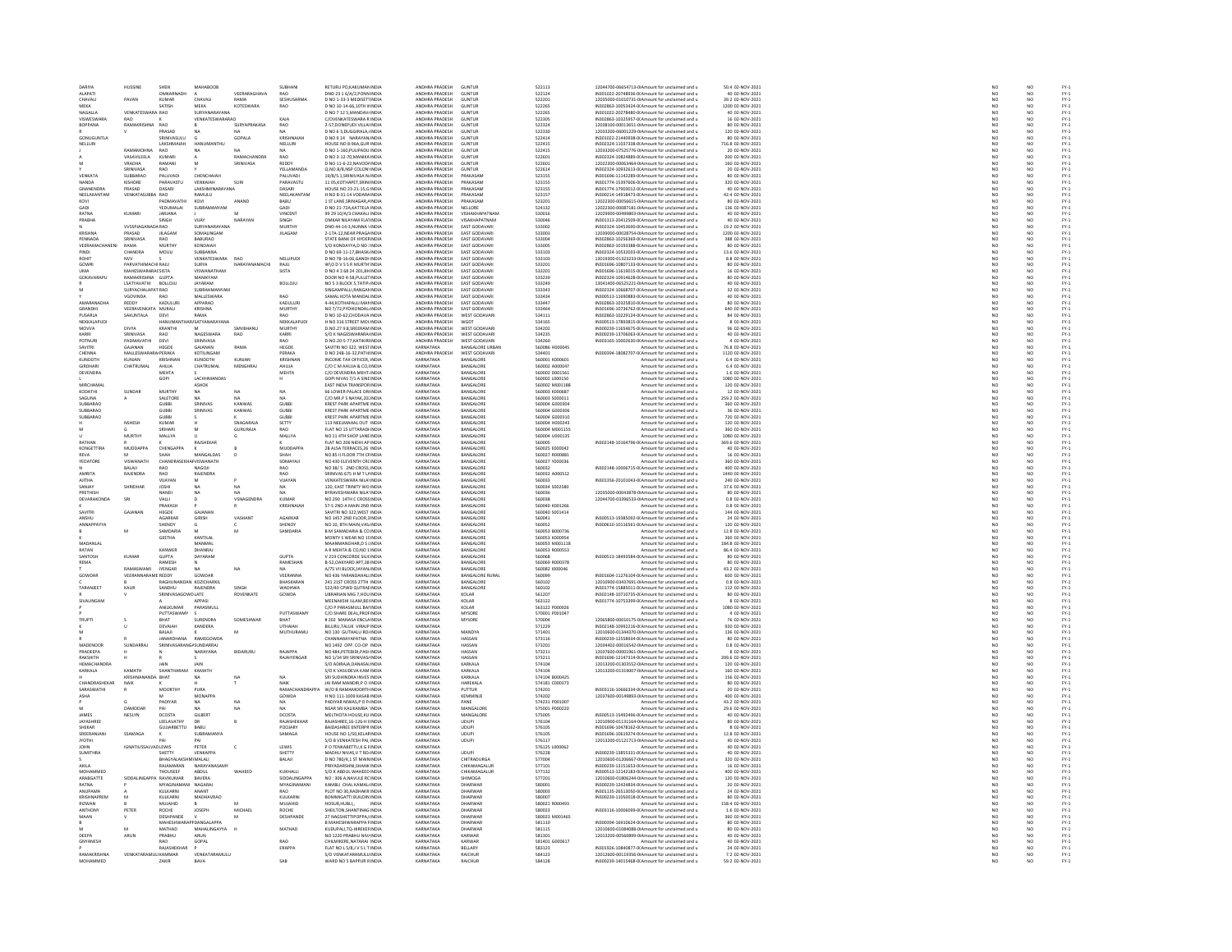|                                             | HUSSINE                                | SHEIK                           | MAHABOOE                      |                      | SUBHANI                     | RETURU PO, KAKUMAN INDIA                                       | ANDHRA PRADESH                   | GUNTUR                                     | 522113                           | 12044700-06654713-0IAmount for unclaimed and                                                      | 50.4 02-NOV-2021                    |                                                                     |                                                                          |                                         |
|---------------------------------------------|----------------------------------------|---------------------------------|-------------------------------|----------------------|-----------------------------|----------------------------------------------------------------|----------------------------------|--------------------------------------------|----------------------------------|---------------------------------------------------------------------------------------------------|-------------------------------------|---------------------------------------------------------------------|--------------------------------------------------------------------------|-----------------------------------------|
| ALAPATI<br>CHAVALL                          | PAVAN                                  | OMKARNADH<br>KUMAR              | CHAVALL                       | VEERARAGHAVA<br>RAMA | <b>RAO</b><br>SESHLISARMA   | DNO 23 1 6/A/2.PONN INDIA<br>D NO 1-33-3 MEDISETUNDIA          | ANDHRA PRADESH<br>ANDHRA PRADES- | <b>GUNTUR</b><br><b>GUNTUR</b>             | 522124<br>522201                 | IN301022-20748936-0(Amount for unclaimed and (<br>12035000-01010731-0LAmount for unclaimed and    | 40 02-NOV-2021<br>39.2.02-NOV-2021  | NO<br>NO                                                            | NO<br>$\overline{M}$                                                     | FY-1<br>FY-1<br>FY-1                    |
| MEKA                                        |                                        | SATISH                          | MEKA                          | <b>KOTESWARA</b>     | RAO                         | D NO 10-14-66, 10TH V INDIA                                    | ANDHRA PRADESH                   | <b>GUNTUR</b>                              | 522265                           | IN302863-10053424-0(Amount for unclaimed and u                                                    | 1200 02-NOV-2021                    | $\overline{NQ}$                                                     | NO                                                                       |                                         |
| NAGALLA                                     | VENKATESWARA RAO                       |                                 | SURYANARAYANA                 |                      |                             | D NO 7 12 5. MANDAV/ INDIA                                     | ANDHRA PRADESH                   | <b>GUNTUR</b>                              | 522265                           | IN301022-20278480-0(Amount for unclaimed and                                                      | 40 02-NOV-2021                      | NO <sub>1</sub>                                                     | NO <sub>1</sub>                                                          | FY-3<br>FY-3                            |
| VISWESWARA<br><b>BOPPANA</b>                | RAMAKRISHNA RAO                        |                                 | VENKATESWARARA                | SURYAPRAKASA         | KAJA<br><b>RAO</b>          | C/OVENKATESWARA R INDIA<br>2-57.DONEPUDI VILLAI INDIA          | ANDHRA PRADES<br>ANDHRA PRADESH  | GUNTUR<br><b>GUNTUR</b>                    | 522305<br>522324                 | IN302863-10325957-0(Amount for unclaimed and<br>12038100-00013651-0 Amount for unclaimed and u    | 16 02-NOV-2021<br>80 02-NOV-2021    | NO <sub>1</sub>                                                     | NO<br>NO <sub>1</sub>                                                    |                                         |
|                                             |                                        | PRASAD                          |                               |                      |                             | D NO 6 3, DUGGIRALA, INDU                                      | ANDHRA PRADES                    | GUNTUI                                     | 522330                           | 12033200-06001229-0IAmount for unclaimed and                                                      | 120 02-NOV-2021                     | NO                                                                  | NO                                                                       | FY-1<br>FY-1<br>FY-1                    |
| GONUGUNTLA                                  |                                        | SRINIVASULU                     | G                             | GOPALA               | KRISHNAIAH                  | D NO 9 14 NARAYAN INDIA                                        | ANDHRA PRADESH                   | <b>GUNTUR</b>                              | 522414                           | IN301022-21440938-0(Amount for unclaimed and u                                                    | 80 02-NOV-2021                      | NO <sub>1</sub>                                                     | NO <sub>1</sub>                                                          |                                         |
| NELLUR                                      |                                        | LAKSHMAIAH<br>RAO               |                               | NA                   | NELLURI                     | HOUSE NO 8-96A.GUR INDIA<br>D NO 1-160, PULIPADU INDIA         | ANDURA RRADEC<br>ANDHRA PRADES   | <b>GUNTUR</b><br>GUNTUR                    | 522415<br>522415                 | IN302324-11037338-0(Amount for unclaimed and u<br>12033200-07525776-0(Amount for unclaimed and u  | 716.8 02-NOV-2021<br>20 02-NOV-2021 | NC<br>NC                                                            | NO<br>NO                                                                 | FY-1<br>FY-1                            |
|                                             | VASAVILEELA                            | <b>KUMARI</b>                   |                               | RAMACHANDRA          | <b>RAO</b>                  | D NO 3-12-70 MANIKA INDIA                                      | ANDHRA PRADESH                   | <b>GUNTUR</b>                              | 522601                           | IN302324-10824889-0(Amount for unclaimed and u                                                    | 200 02-NOV-2021                     |                                                                     | NO <sub>1</sub>                                                          |                                         |
|                                             | <b>VRADHA</b>                          |                                 |                               |                      |                             | D NO 11-6-22, NAVOD/ INDU                                      | ANDHRA PRADES                    | GUNTUI                                     | 522601                           | 12022300-00063464-0IAmount for unclaimed and                                                      | 160 02-NOV-2021                     | NO<br>NO                                                            | NO                                                                       | FY-1<br>FY-1<br>FY-1<br>FY-1            |
|                                             | SRINIVASA                              | RAO                             |                               |                      | YELLAMANDA                  | O.NO.B/8.NSP COLON' INDIA                                      | ANDHRA PRADESH                   | <b>GUNTUR</b><br>DRAVASAN                  | 522614                           | IN302324-10932613-0(Amount for unclaimed and u                                                    | 20 02-NOV-2021                      | NO <sub>1</sub>                                                     | NO <sub>1</sub>                                                          |                                         |
| VENKATA<br>NANDA                            | SUBBARAO<br>KISHORE                    | PALUVAD<br>PARAVASTU            | CHENCHAIAH<br>VENKAIAH        | <b>SURI</b>          | PALUVADI<br>PARAVASTU       | 19/8/5.1, SRINIVASA N. INDIA<br>11 05, KOTHAPET, SRIN INDIA    | ANDHRA PRADES<br>ANDHRA PRADESH  | PRAKASAM                                   | 523155<br>523155                 | N301696-11142289-0(Amount for unclaimed and<br>IN301774-15397606-0(Amount for unclaimed and u     | 80 02-NOV-2023<br>320 02-NOV-2021   | NO<br>NO                                                            | NO<br>NO                                                                 |                                         |
| GNANENDRA                                   | PRASAD                                 | DASARI                          | <b>I AKSHMINARAYANA</b>       |                      | <b>DASARI</b>               | IDUSE NO 23-21-15 GINDIA                                       | ANDHRA PRADES-                   | PRAKASAM                                   | 523155                           | IN301774-17903012-0 Amount for unclaimed and                                                      | 40.02-NOV-2021                      | NO <sub>1</sub>                                                     |                                                                          |                                         |
| NEELAKANTAM                                 | VENKATASUBBA RAO                       |                                 | RAMULU                        |                      | NEELAKANTAM                 | H NO 8-31-14 VODAR4 INDIA                                      | ANDHRA PRADESI                   | PRAKASAN                                   | 523157                           | IN300214-14918473-0(Amount for unclaimed and r                                                    | 42.4 02-NOV-2021                    | NO                                                                  | $\begin{array}{c} \mathsf{NO} \\ \mathsf{NO} \\ \mathsf{NO} \end{array}$ | FY-1<br>FY-1<br>FY-1<br>FY-1            |
| KOVI                                        |                                        | PADMAVATHI                      | KOVI                          | ANAND                | BABU                        | 1 ST LANE.SRINAGAR.A INDIA                                     | ANDHRA PRADESH                   | PRAKASAM                                   | 523201                           | 12022300-00056615-0(Amount for unclaimed and u                                                    | 80 02-NOV-2021                      | NO                                                                  |                                                                          |                                         |
| RATNA                                       | KUMARI                                 | YEDUMALAI<br>JARJANA            |                               |                      | GADI<br>VINCENT             | D NO 21-72A,KATTELA INDIA<br>99 29 10/A/3 CHAKALI INDIA        | ANDHRA PRADES<br>ANDHRA PRADESH  | NELLORE<br>VISHAKHAPATNAN                  | 524132<br>530016                 | 12022300-00087181-0IAmount for unclaimed and<br>12029900-00499803-0IAmount for unclaimed and u    | 136 02-NOV-2023<br>40 02-NOV-2021   | NO<br>NO                                                            | $\frac{1}{N}$                                                            |                                         |
| PRABHA                                      |                                        | SINGH                           | VIIAY                         | NARAYAN              | SINGH                       | OMKAR NILAYAM FLATINDIA                                        | ANDHRA PRADES                    | <b>USAKHAPATNAM</b>                        | sannas                           | IN301313-20412509-0(Amount for unclaimed and                                                      | 40 02-NOV-2021                      | NO                                                                  |                                                                          |                                         |
|                                             | <b>VVSSPJAGA</b>                       | DARAO                           | SURYANARAYANA                 |                      | <b>MURTH</b>                | DNO 44-14-3, NUNNA 1 INDIA                                     | ANDHRA PRADESH                   | <b>EAST GODAVARI</b>                       | 533002                           | IN302324-10453690-0(Amount for unclaimed and r                                                    | 19.2 02-NOV-2021                    | NO                                                                  | NO<br>NO                                                                 | FY:<br>FY:                              |
| KRISHNA                                     | PRASAD                                 | III AGAM                        | SOMALINGAM                    |                      | <b>III AGAM</b>             | 2-174-12 NEAR PRAGAINDIA                                       | ANDHRA PRADES-                   | <b>FAST GODAVARI</b>                       | saanna                           | 12039000-00028754-0LAmount for unclaimed and                                                      | 1200.02-NOV-2021                    | NO <sub>1</sub>                                                     | NO <sub>1</sub>                                                          | FY-)<br>FY-)                            |
| PENNADA<br>VEERAMACHANENI                   | SRINIVASA<br>RAMA                      | RAO<br><b>MURTHY</b>            | BABURAO<br>KONDAIAH           |                      |                             | STATE BANK OF HYDEF INDIA<br>S/O KONDAYYA.D NO : INDIA         | ANDHRA PRADESH<br>ANDHRA PRADESH | <b>EAST GODAVAR</b><br>EAST GODAVARI       | 533004<br>533005                 | IN302863-10256369-0( Amount for unclaimed and u<br>IN302863-10193388-0(Amount for unclaimed and ( | 388 02-NOV-2021<br>80 02-NOV-2021   | $\overline{NQ}$                                                     | $\overline{NQ}$<br>NO                                                    |                                         |
| PIND                                        | CHANDRA                                | MOULI                           |                               |                      |                             | D NO 69-11-17, BHASK IND                                       | ANDHRA PRADES                    | EAST GODAVA                                | 533103                           | IN302324-10532033-0(Amount for unclaimed and                                                      | 13.6 02-NOV-202:                    | $\begin{array}{c} \tt NO \\ \tt NO \\ \tt NO \\ \tt NO \end{array}$ | $\frac{10}{10}$                                                          | FY-1<br>FY-1<br>FY-1                    |
| ROHIT                                       | NVV                                    |                                 | VENKATESWARA                  | <b>RAO</b>           | NELLIPUDI                   | D NO 78-16-06.GANDH INDIA                                      | ANDHRA PRADESH                   | <b>EAST GODAVAR</b>                        | 533103                           | 13019300-01323233-0IAmount for unclaimed and r                                                    | 8.8 02-NOV-2021                     |                                                                     |                                                                          |                                         |
| GOWR                                        | PARVATHIMACHI RAILI                    |                                 | <b>AYRID</b><br>VISWANATHAM   | NARAYANAMACHI        | RAILL                       | WIO D V S S R MURTH INDIA                                      | ANDHRA PRADESH<br>ANDHRA PRADESH | <b>FAST GODAVAR</b><br><b>EAST GODAVAR</b> | 533201<br>533201                 | IN301696-10807133-0(Amount for unclaimed and                                                      | 80.02-NOV-2021<br>16 02-NOV-2021    | NO <sub>1</sub><br>$\overline{NQ}$                                  | NO<br>NO                                                                 | FY-)<br>FY-)                            |
| <b>UMA</b><br>GOKAVARAPU                    | MAHESWARARACSISTA<br>RAMAKRISHNA GUPTA |                                 | MANIKYAM                      |                      | <b>SISTA</b>                | D NO 4 2 68 24 201, BH INDIA<br>DOOR NO 4-58 PULLETINDIA       | ANDHRA PRADESH                   | EAST GODAVARI                              | 533239                           | IN301696-11619015-0(Amount for unclaimed and u<br>IN302324-10914628-0(Amount for unclaimed and    | 80 02-NOV-2021                      |                                                                     | NO <sub>1</sub>                                                          |                                         |
|                                             | LSATYAVATHI                            | <b>BOLLOJL</b>                  | <b>JAYARAM</b>                |                      | <b>BOLLOJL</b>              | NO 5 3 BLOCK 5, TATIP INDIA                                    | ANDHRA PRADES                    | EAST GODAVAR                               | 533249                           | 13041400-06525221-0IAmount for unclaimed and                                                      | 40 02-NOV-2021                      | NO<br>NO                                                            | NO                                                                       | FY-3<br>FY-3                            |
|                                             | SURYACHALAPAT RAO                      |                                 | <b>SUBRAHMANYAM</b>           |                      |                             | SINGAMPALLI.RANGAI INDIA                                       | ANDHRA PRADESH                   | EAST GODAVARI                              | 533343                           | IN302324-10668707-0(Amount for unclaimed and u                                                    | 32 02-NOV-2021                      | NO                                                                  | NO <sub>1</sub>                                                          |                                         |
| AMARANADHA                                  | <b>GOVINDA</b><br>REDDY                | KADULURI                        | MALLESWARA<br>APPARAO         |                      | RAO<br>KADULUR              | AMAL KOTA MANDALINDIA<br>4-44, KOTHAPALLI MAN INDIA            | ANDHRA PRADES<br>ANDHRA PRADESH  | EAST GODAVAR<br><b>EAST GODAVARI</b>       | 533434<br>533447                 | N300513-11690883-0(Amount for unclaimed and<br>IN302863-10325810-0(Amount for unclaimed and r     | 0 02-NOV-2023<br>80 02-NOV-2021     | NO                                                                  | $\begin{array}{c} 0.01 \\ 0.01 \\ 0.01 \\ 0.01 \end{array}$              |                                         |
| GRANDHI                                     | VEERAVENKATA MURALI                    |                                 | KRISHNA                       |                      | MURTHY                      | NO 7/72.PYDIKONDAL INDIA                                       | ANDHRA PRADESH                   | EAST GODAVARI                              | 533464                           | IN301696-10736762-0(Amount for unclaimed and (                                                    | 640 02-NOV-2021                     | NO<br>NO                                                            |                                                                          |                                         |
| PUSARLA                                     | SAKUNTALA                              | DEVI                            | RAMA                          |                      | RAO                         | D NO 10-62, CHODAVA INDIA                                      | ANDHRA PRADES                    | WEST GODAVAR                               | 534111                           | IN302863-10229124-0(Amount for unclaimed and                                                      | 84 02-NOV-2021                      | NO                                                                  | NO                                                                       | 기 구 구 구 구 구 구 구 구 구<br>아이들은 그 구 구 구 구 구 |
| NEKKALAPUDI<br>MOVVA                        | DIVYA                                  | HANUMA<br>KRANTH                | AR/SATYANARAYANA              |                      | NEKKALAPUDI<br><b>MURTH</b> | H NO 316 STREET MOLINDIA<br>.<br>NO.27.9.8, SREERAM INDIA      | ANDHRA PRADESH<br>ANDHRA PRADES  | <b>WGDT</b><br><b>WEST GODAVAR</b>         | 534165<br>534202                 | IN300513-17893815-0(Amount for unclaimed and (<br>N300239-11654675-0(Amount for unclaimed and     | 8 02-NOV-2021<br>6 02-NOV-2023      | NO<br>NO                                                            | NO <sub>1</sub><br>NO                                                    |                                         |
| KARRI                                       | SRINIVASA                              | RAO                             | <b>NAGESWARA</b>              | <b>RAO</b>           | KARRI                       | S/O K NAGESWARARAI INDIA                                       | ANDHRA PRADESH                   | <b>WEST GODAVARI</b>                       | 534235                           | IN300239-13706063-0(Amount for unclaimed and u                                                    | 40 02-NOV-2021                      | NO                                                                  | NO <sub>1</sub>                                                          |                                         |
| POTNUR                                      | <b><i><u>RADMANATUL</u></i></b>        | DEVI                            | SRINIVASA                     |                      | RAO                         | D.NO.20-5-77, KATIKIRI INDIA                                   | ANDHRA PRADES                    | WEST GODAVAR                               | 534260                           | IN303165-10002630-0(Amount for unclaimed and                                                      | 4 02-NOV-2021                       | NO                                                                  |                                                                          |                                         |
| SAVITRI                                     | GAJANAN                                | HEGDE                           | GAJANAN                       | RAMA                 | HEGDE                       | SAVITRI NO 322, WEST INDIA                                     | KARNATAKA                        | <b>BANGALORE URBAN</b>                     | 560086 H000045                   | Amount for unclaimed and u                                                                        | 76.8 02-NOV-2021                    | NO                                                                  | NO<br>NO                                                                 |                                         |
| CHENNA<br>KUNDOTH                           | MALLESWARARAIPERAKA                    | <b>KRISHNA</b>                  | KOTILINGAM                    | KUNJAM               | PERAKA<br>KRISHNAM          | D NO 248-16-32 PATH INDIA<br>NCOME TAX OFFICER, INDIA          | ANDHRA PRADES<br><b>RNATAKA</b>  | WEST GODAVARI<br><b>GALORE</b>             | 534401<br>560001 K000601         | IN300394-18082707-00 Amount for unclaimed and<br>Amount for unclaimed and                         | 1120.02-NOV-2021<br>6.4 02-NOV-2021 | NO<br>NO                                                            | NO<br>NO                                                                 | FY-1<br>FY-1<br>FY-1<br>FY-1            |
| <b>GIRDHAR</b>                              | CHATRUMAL                              | AHUJA                           | CHATRUMAL                     | MENGHRA              | AHUJA                       | C/O C M AHUJA & CO.I INDIA                                     | KARNATAKA                        | BANGALORE                                  | 560002 A000047                   | Amount for unclaimed and u                                                                        | 6.4 02-NOV-2021                     | NO <sub>1</sub>                                                     | NO <sub>1</sub>                                                          |                                         |
| DEVENDRA                                    |                                        | MEHTA                           |                               |                      | MEHTA                       | C/O DEVENDRA MEHT. INDIA                                       | <b>KARNATAKA</b>                 | <b>BANGALORE</b>                           | 560002 D001561                   | Amount for unclaimed and                                                                          | 1.6 02-NOV-2021                     | NO                                                                  | NO<br>NO                                                                 |                                         |
|                                             |                                        | GOPI                            | LACHHMANDA:                   |                      | H                           | GOPI NIVAS 7/1 A SINI INDIA                                    | KARNATAKA                        | BANGALORE                                  | 560002 L000150                   | Amount for unclaimed and u                                                                        | 1080 02-NOV-2021                    | NO                                                                  |                                                                          |                                         |
| <b>MIRCHAMA</b><br>KODATHI                  | SUNDAF                                 | <b>MURTHY</b>                   | ASHOK                         | NA                   | NA                          | <b>FAST INDIA TRANSPOR INDIA</b><br>66 LOWER PALACE OR INDIA   | KARNATAKA<br>KARNATAKA           | <b>RANGALORE</b><br>BANGALORE              | 560002 M001188                   | Amount for unclaimed and                                                                          | 120 02-NOV-2021                     | NO<br>NO                                                            | NO<br>NO                                                                 | FY:<br>FY:                              |
| SAGUNA                                      |                                        | SALETORS                        | NA<br>NA                      | NA.                  | NA.                         | C/O MR P S NAYAK 201 INDIA                                     | KARNATAKA                        | <b>BANGALORE</b>                           | 560003 K000687<br>560003 5000011 | Amount for unclaimed and u<br>Amount for unclaimed and                                            | 12 02-NOV-2021<br>259.2.02-NOV-2021 | NO <sub>1</sub>                                                     | NO <sub>1</sub>                                                          |                                         |
| SUBBARAC                                    |                                        | GUBBI                           | SRINIVAS                      | <b>KANWA</b>         | <b>GUBB</b>                 | <b>KREST PARK APARTME INDIA</b>                                | KARNATAKA                        | BANGALORE                                  | 560004 G000304                   | Amount for unclaimed and                                                                          | 360 02-NOV-2021                     | $\overline{NQ}$                                                     | $\frac{1}{NQ}$                                                           | FY-)<br>FY-)                            |
| SUBBARAO<br>SURRARAO                        |                                        | <b>GUBBI</b><br>GURRI           | SRINIVAS                      | KANWAS               | <b>GUBB</b>                 | KREST PARK APARTME INDIA<br><b>KREST PARK APARTME INDIA</b>    | KARNATAKA<br>KARNATAKA           | BANGALORE<br><b>BANGALOR</b>               | 560004 G000306                   | Amount for unclaimed and                                                                          | 36 02-NOV-2021<br>720.02-NOV-2021   |                                                                     |                                                                          |                                         |
|                                             | <b>NSHESH</b>                          | KUMAR                           |                               | SNAGARAJA            | <b>GUBB</b><br>SETTY        | 113 NEELMAHAL OUT INDIA                                        | KARNATAKA                        | BANGALORE                                  | 560004 6000310<br>560004 H000243 | Amount for unclaimed and<br>Amount for unclaimed and u                                            | 120 02-NOV-2021                     | $\begin{array}{c} \tt NO \\ \tt NO \\ \tt NO \\ \tt NO \end{array}$ | $\begin{array}{c} \tt NO \\ \tt NO \\ \tt NO \\ \tt NO \end{array}$      | FY-3<br>FY-3<br>FY-3                    |
|                                             |                                        | SRIHARI                         |                               | <b>GURURAIA</b>      | RAO                         | FLAT NO 15 LITTARADH INDIA                                     | KARNATAKA                        | <b>BANGALORE</b>                           | 560004 M001151                   | Amount for unclaimed and                                                                          | 360.02-NOV-2021                     |                                                                     |                                                                          |                                         |
|                                             | <b>MURTHY</b>                          | MALLYA                          |                               |                      | MALLYA                      | NO 11 4TH SHOP LANE INDIA                                      | KARNATAKA                        | BANGALORE                                  | 560004 U000135                   | Amount for unclaimed and                                                                          | 1080 02-NOV-2021                    | NO<br>NO                                                            | NO<br>NO                                                                 | FY-)<br>FY-)                            |
| RATHAN                                      |                                        |                                 | RAJSHEKAP                     |                      |                             | FLAT NO 206 NIDHI AP INDIA                                     | KARNATAKA                        | BANGALORE                                  | 560005                           | IN302148-10164796-0(Amount for unclaimed and                                                      | 369.6 02-NOV-2021                   | NO                                                                  | NO <sub>1</sub>                                                          | FY-1<br>FY-1<br>FY-1<br>FY-1            |
| KONGETTIRA<br><b>REVA</b>                   | MUDDA                                  | CHENGAR<br><b>SHAH</b>          | MANGALDAS                     |                      | MUDDAPP.<br>SHAH            | 2B ALSA TERRACES, 26 INDIA<br>NO 85 II FLOOR 7TH CFINDIA       | KARNATAKA<br>KARNATAKA           | BANGALORE<br>BANGALORE                     | 560025 E000042<br>560027 R000881 | Amount for unclaimed and<br>Amount for unclaimed and u                                            | 40 02-NOV-2021<br>16 02-NOV-2021    | NO<br>NO                                                            | NO<br>NO <sub>1</sub>                                                    |                                         |
| EDATOR                                      | <b>ISWANATH</b>                        | CHANDE                          | VISWANATH                     |                      | SOMAYAJ                     | <b>VO 430 ELEVENTH CRC INDU</b>                                | <b>VARNATAVA</b>                 | <b>RANGALOR</b>                            | 560027 Y000036                   | Amount for unclaimed and                                                                          | 360 02-NOV-2021<br>400 02-NOV-2021  |                                                                     | $\frac{1}{N}$                                                            |                                         |
|                                             | BALAJI                                 | RAO                             | NAGOJI                        |                      | RAO                         | NO 38/ 5 2ND CROSS, INDIA                                      | KARNATAKA                        | BANGALORE                                  | 560032                           | IN302148-10006715-0 Amount for unclaimed and u                                                    |                                     | $N$ O<br>$N$ O                                                      |                                                                          |                                         |
| AMRITA<br><b>AJITHA</b>                     | RAJENDRA                               | RAO                             | RAJENDRA                      |                      | <b>RAO</b><br>VUAYAN        | SRINIVAS 675 H M T L4 INDIA<br><b>VENKATESWARA NILA' INDIA</b> | KARNATAKA<br>KARNATAKA           | BANGALORE<br>BANGALORE                     | 560032 A000512<br>560033         | Amount for unclaimed and                                                                          | 1440 02-NOV-2021<br>240 02-NOV-2021 | NO<br>NO                                                            | NO<br>NO                                                                 | FY-3<br>FY-3                            |
|                                             |                                        | VIJAYAN<br><b>JOSHI</b>         | <b>NA</b>                     | NA                   | NA.                         | 120. EAST TRINITY WO INDIA                                     | KARNATAKA                        | BANGALORE                                  | 560034 S002580                   | IN301356-20101043-0(Amount for unclaimed and u<br>Amount for unclaimed and u                      | 37.6 02-NOV-2021                    | NO                                                                  | NO <sub>1</sub>                                                          |                                         |
|                                             |                                        |                                 |                               |                      |                             |                                                                |                                  |                                            |                                  |                                                                                                   |                                     |                                                                     |                                                                          |                                         |
| SANJAY<br>RETHIS                            | SHRIDHAR                               | NAND                            |                               |                      |                             | <b>YRAVESHWARA NILA' INDIA</b>                                 | KARNATAKA                        | BANGALOR                                   | 560036                           |                                                                                                   | 80 02-NOV-2023                      |                                                                     |                                                                          |                                         |
| DEVARAKONDA                                 | SRI                                    | VALLI                           |                               | <b>VSNAGENDRA</b>    | KUMAR                       | NO.290 14TH C CROSSINDIA                                       | KARNATAKA                        | BANGALORE                                  | 560038                           | 12035000-00043878-0IAmount for unclaimed and<br>12044700-03396533-0IAmount for unclaimed and u    | 0.8 02-NOV-2021                     | NO<br>NO                                                            | $\frac{10}{10}$                                                          |                                         |
|                                             |                                        | PRAKASH                         |                               |                      | <b>KRISHNAJA</b>            | 57-S 2ND A MAIN 2ND INDIA                                      | KARNATAKA                        | <b>RANGALORE</b>                           | S60040 K001266                   | Amount for unclaimed and                                                                          | 0.8 02-NOV-2021                     | NO                                                                  |                                                                          |                                         |
| SAVITRI                                     | GAJANAN                                | HEGDE                           | <b>GAJANAM</b>                |                      |                             | SAVITRI NO 322, WEST INDIA                                     | KARNATAKA                        | BANGALORE                                  | 560040 S001414                   | Amount for unclaimed and u                                                                        | 144 02-NOV-2021                     | NO                                                                  | NO<br>NO                                                                 |                                         |
| ANSHU<br><b>ANNAPPA</b>                     |                                        | AGARKAR<br>SHENOY               | <b>GIRISH</b>                 | VASHANT              | AGARKAR<br>SHENOY           | NO 1457 2ND FLOOR 3 INDIA<br>NO 10, 8TH MAIN, VAS INDU         | KARNATAKA<br>KARNATAKA           | BANGALORE<br>BANGALOR                      | 560041<br>560052                 | IN300513-19385092-0(Amount for unclaimed and u<br>IN300610-10116561-0(Amount for unclaimed and    | 24 02-NOV-2021<br>120 02-NOV-2021   | NO<br>NO                                                            | NO <sub>1</sub>                                                          |                                         |
|                                             |                                        | SAMDARIA                        | M                             |                      | SAMDARIA                    | B M SAMADARIA & CO INDIA                                       | KARNATAKA                        | BANGALORE                                  | 560053 B000736                   | Amount for unclaimed and u                                                                        | 12.8 02-NOV-2021                    | NO <sub>1</sub>                                                     | $\frac{10}{10}$                                                          |                                         |
|                                             |                                        | <b>GEETHA</b>                   | KANTILAL                      |                      |                             | MONTY S WEAR NO 15 INDIA                                       | <b>VARNATAVA</b>                 | BANGALORE                                  | 560053 K000954                   | Amount for unclaimed and                                                                          | 360 02-NOV-2021                     | NO                                                                  |                                                                          |                                         |
| MADANLAL<br>RATAN                           |                                        | KANWER                          | MANMAL<br><b>DHANRAI</b>      |                      |                             | MAANMANOHAR, D S I INDIA<br>A R MEHTA & CO NO 1 INDIA          | KARNATAKA<br>KARNATAKA           | BANGALORE<br><b>RANGALORE</b>              | 560053 M001118                   | Amount for unclaimed and u                                                                        | 184.8 02-NOV-2021                   | NO                                                                  | NO<br>NO                                                                 | 기 것 것 것 것 것 것 것 것<br>- 2                |
| SANTOSH                                     | KUMAF                                  | <b>GUPTA</b>                    | DAYARAM                       |                      | <b>GUPTA</b>                | V 219 CONCORDE SILICINDIA                                      | KARNATAKA                        | BANGALORE                                  | 560053 R000553<br>560068         | Amount for unclaimed and<br>IN300513-18493584-0(Amount for unclaimed and u                        | 86.4 02-NOV-2021<br>80 02-NOV-2021  |                                                                     |                                                                          |                                         |
| REMA                                        |                                        | RAMESH                          |                               |                      | RAMESHAN                    | B-52 OAKYARD APT 38 INDIA                                      | KARNATAKA                        | <b>BANGALORE</b>                           | 560069 R000378                   | Amount for unclaimed and                                                                          | 80.02-NOV-2021                      | NO<br>NO<br>NO                                                      | NO<br>NO<br>NO                                                           | FY-3<br>FY-3                            |
|                                             |                                        | <b>IYENGAR</b>                  |                               | NA                   |                             | A/75 VII BLOCK, JAYAN INDIA                                    | KARNATAKA                        | BANGALORE                                  | 560082 1000046                   | Amount for unclaimed and                                                                          | 43.2 02-NOV-2021                    | NO                                                                  |                                                                          |                                         |
| GOWDAR                                      | VEERANNARAME REDDY                     | RAGHLINANDAN KOZICHARKII        | GOWDAR                        |                      | VEERANNA<br>RHASKARAN       | NO 436 YARANDAHALI INDIA<br>241 21ST CROSS 27TH INDIA          | KARNATAKA<br>KARNATAKA           | <b>BANGALORE RURAL</b><br><b>BANGALORE</b> | 560099<br>560102                 | IN301604-11276104-0(Amount for unclaimed and u                                                    | 600 02-NOV-2021<br>0.8.02-NOV-2021  | NO<br>NO <sub>1</sub>                                               | $\begin{array}{c} 0 \\ 0 \\ 0 \\ 0 \end{array}$                          | FY-1<br>FY-1<br>FY-1                    |
| <b>TARANJEET</b>                            | KAUR                                   | SANDHU                          | RAJENDRA                      | SINGH                | WADHWA                      | 522/40 CPWD QUTRAEINDIA                                        | KARNATAKA                        | BANGALORE                                  | 560102                           | 12010900-03437691-0IAmount for unclaimed and<br>IN301774-15885011-0(Amount for unclaimed and u    | 112 02-NOV-2021                     | NO                                                                  | NO<br>NO                                                                 | FY:<br>FY:                              |
|                                             |                                        | SRINIVASAGOV                    | DIATE                         | ROVENKATE            | GOWDA                       | <b>LIBRARIAN MIG 7 HOLLINDIA</b>                               | KARNATAKA                        | KOLAR                                      | 561207                           | IN302148-10710735-0(Amount for unclaimed and                                                      | 80.02-NOV-2021                      | NO <sub>1</sub>                                                     | NO <sub>1</sub>                                                          |                                         |
| SIVALINGA                                   |                                        |                                 | APPASI                        |                      |                             | MEENAKSHI ILLAM,BEI INDIA                                      | KARNATAKA                        | KOLAR                                      | 563122                           | IN301774-10753399-0(Amount for unclaimed and u                                                    | 8 02-NOV-2021                       | $\overline{N}$                                                      | $\frac{1}{NQ}$                                                           | FY-)<br>FY-)                            |
|                                             |                                        | ANILKUMAR<br>PUTTASWAM*         | PARASMULL                     |                      | <b>PUTTASWAM</b>            | C/O P PARASMULL BAI INDIA<br>C/O SHARE DEAL, PROFINDM          | KARNATAKA<br>KARNATAKA           | KOLAR<br>MYSOR                             | 563122 P000926<br>570001 P00104  | Amount for unclaimed and u<br>Amount for unclaimed and                                            | 1080 02-NOV-2021<br>4 02-NOV-2021   | NO<br>NO                                                            | NO <sub>1</sub><br>NO                                                    |                                         |
| <b>TRUPTI</b>                               |                                        | BHAT                            | <b>SURENDRA</b>               | SOMESHWAR            | BHAT                        | # 202 MANASA ENCLAINDIA                                        | KARNATAKA                        | MYSORE                                     | 570004                           | 12065800-00010175-0 Amount for unclaimed and u                                                    | 76 02-NOV-2021                      |                                                                     |                                                                          | FY-3<br>FY-3                            |
|                                             |                                        | DEVAIAH                         | KANDERA                       |                      | <b>ITHAIAH</b>              | <b>BULIRU TALLIK VIRAIP INDIA</b>                              | KARNATAKA                        |                                            | 571229                           | IN302148-10992216-00 Amount for unclaimed and                                                     | 920.02-NOV-2021                     | NO<br>NO                                                            | $\frac{NO}{NO}$                                                          |                                         |
|                                             |                                        | BALAJI<br>JANARDHANA            | RAMEGOWDA                     | м                    | MUTHURAMU                   | NO 130 GUTHALU RO INDIA<br>CHANNARAYAPATNA INDIA               | KARNATAKA<br>KARNATAKA           | MANDYA<br>HASSAN                           | 571401<br>573116                 | 12010600-01344370-0IAmount for unclaimed and u<br>IN300239-12558934-0(Amount for unclaimed and    | 136 02-NOV-2021<br>80 02-NOV-2021   | $\overline{NQ}$                                                     | $\overline{NQ}$<br>NO                                                    | FY-1<br>FY-1<br>FY-1                    |
|                                             |                                        |                                 |                               |                      |                             | NO 1492 OPP. CO-OP INDM                                        | KARNATAKA                        | HASSAI                                     | 573201                           | 12034402-00016542-0IAmount for unclaimed and                                                      | 0.8 02-NOV-2021                     | NO<br>NO                                                            | NO                                                                       |                                         |
| PRADEEPA                                    |                                        |                                 | NARAYANA                      | <b>BIDARURU</b>      | RAJAPPA                     | NO 484. PETEBIDI, PASH INDIA                                   | KARNATAKA                        | HASSAN                                     | 573211                           | 12037600-00001961-0(Amount for unclaimed and u                                                    | 8 02-NOV-2021                       | NO                                                                  | NO <sub>1</sub>                                                          |                                         |
| <b>AKSHITH</b>                              |                                        |                                 |                               |                      | RAJAIYENGAR                 | NO 1/34 SRI SRINIVAS INDIA                                     | KARNATAKA                        | HASSAN                                     | 573211                           | N301696-12147314-0(Amount for unclaimed and                                                       | 209.6 02-NOV-202:                   | NO                                                                  |                                                                          |                                         |
| <b>HEMACHANDRA</b><br>KARKALA               | KAMATH                                 | JAIN<br>SHANTHAL                | IAIN<br>KAMATH                |                      |                             | S/O ADIRAJA, DANASAI INDIA<br>S/O K VASUDEVA KAM INDIA         | KARNATAKA<br>KARNATAKA           | KARKALA<br>KARKALA                         | 574104<br>574104                 | 12013200-01303552-0IAmount for unclaimed and u<br>12013200-01319007-0IAmount for unclaimed and    | 120 02-NOV-2021<br>160.02-NOV-2021  | NO                                                                  | $\frac{10}{10}$                                                          | FY-1<br>FY-1<br>FY-1<br>FY-1            |
|                                             | CRISH                                  | BHAT                            |                               |                      |                             | RI SUDHINDRA INVES INDU                                        | KARNATAKA                        | KARKALA                                    | 574104 B000429                   | Amount for unclaimed and                                                                          | 156 02-NOV-2021                     | NC<br>NC                                                            | NO<br>NO                                                                 | FY-1<br>FY-1                            |
| CHANDRASHEKAR                               | NAIK                                   |                                 |                               |                      | NAIK                        | JAI RAM MANDIR P O HNDIA                                       | KARNATAKA                        | HAREKALA                                   | 574181 C000373                   | Amount for unclaimed and u                                                                        | 80 02-NOV-2021                      | NO                                                                  | NO <sub>1</sub>                                                          |                                         |
| SARASWATH<br>ASHA                           |                                        | MOORTH                          | PURA<br>MONAPPA               |                      | RAMACHANDRA<br>GOWDA        | W/O B RAMAMOORTH INDU<br>H NO 111-1009 KASAB INDIA             | CARNATAKA<br>KARNATAKA           | PUTTUR<br>KEMMINJE                         | 574201<br>574202                 | 1303116-10666334-0(Amount for unclaimed and<br>12037600-00149893-0IAmount for unclaimed and u     | 20 02-NOV-2023<br>400 02-NOV-2021   | NO<br>NO                                                            | NO<br>NO                                                                 |                                         |
|                                             |                                        | PADIYAR                         | ŅΔ                            | NA                   |                             | PADIVAR NIMAS P O P. INDIA                                     | KARNATAKA                        | PANE                                       | 574231 P001007                   | Amount for unclaimed and                                                                          | 43.2 02-NOV-2021                    | NO                                                                  |                                                                          |                                         |
|                                             | DAMODA                                 | PAI                             |                               | NA                   |                             | NEAR SRI KALIKAMBA ' INDIA                                     | KARNATAKA                        | MANGALOR                                   | 575001 P000220                   | Amount for unclaimed and u                                                                        | 29.6 02-NOV-2021                    | NO                                                                  | NO<br>NO                                                                 | FY-1<br>FY-1<br>FY-1<br>FY-1            |
| <b>JAMES</b>                                | <b>NESI YN</b>                         | <b>DCOSTA</b>                   | GURERT                        |                      | <b>DCOSTA</b>               | MELTHOTA HOUSE.KU INDIA                                        | KARNATAKA                        | MANGALORE                                  | 575005                           | IN300513-15492496-0(Amount for unclaimed and                                                      | 40.02-NOV-2021                      | NO <sub>1</sub>                                                     |                                                                          |                                         |
| <b>JAYASHREE</b><br>SHEKAR                  |                                        | LEELAVATH<br><b>GUILARRETTU</b> | DR<br>RABIL                   |                      | RAJASHEKHAR<br>POOLARY      | RAJASHREE, 16-126-H & INDIA<br><b>RAIDASHREE ENTERPR INDIA</b> | KARNATAKA<br>KARNATAKA           | <b>UDUPI</b><br><b>HOUPI</b>               | 576104<br>576105                 | 12010900-01131164-0IAmount for unclaimed and u<br>IN301696-10478162-00Amount for unclaimed and r  | 80 02-NOV-2021<br>8.02-NOV-2021     | NO                                                                  | NO<br>NO                                                                 | FY-3<br>FY-3                            |
| SREERANJA                                   | CCARAGO                                |                                 | SUBRAMANY.                    |                      | SAMAGA                      | <b>IQUSE NO 1/SO.KELAF INDIA</b>                               | <b>FARMATAFI</b>                 | .<br>UDUPI                                 | 576105                           | N301000-10470000 CIT. COMMODIATE REPORT OF UNCLEANING AND                                         | 12.8 02-NOV-2023                    | NO<br>NO                                                            |                                                                          |                                         |
| <b>JYOTHI</b>                               |                                        | PAI                             | PAI                           |                      |                             | S/O B VENKATESH PAI, INDIA                                     | KARNATAKA                        | <b>UDUPI</b>                               | 576117                           | 12013200-01121713-0IAmount for unclaimed and u                                                    | 40 02-NOV-2021                      | NO                                                                  | $\begin{array}{c} \tt NO \\ \tt NO \\ \tt NO \\ \tt NO \end{array}$      | FY-3<br>FY-3<br>FY-3                    |
| <b>IOHN</b><br>SUMITHRA                     | <b>IGNATIUSSALVADLEWIS</b>             | SHETTY                          | PETER<br><b>VENKAPPA</b>      |                      | <b>LEWIS</b><br>SHETTY      | P.O. TENKARETTLI K.G. FINDIA<br>MADHU NIVAS.V T ROJINDIA       | KARNATAKA<br>KARNATAKA           | UDUPI                                      | 576125 L000062                   | Amount for unclaimed and                                                                          | 40.02-NOV-2021                      | NO <sub>1</sub>                                                     |                                                                          |                                         |
|                                             |                                        | <b>RHAGYALAKSHMIMALALL</b>      |                               |                      | <b>BALAIL</b>               | D NO 780/4 1 ST MAIN INDIA                                     | KARNATAKA                        | CHITRADURGA                                | 576228<br>577004                 | IN300239-13855331-0(Amount for unclaimed and u<br>12010600-01206667-0LAmount for unclaimed and r  | 40 02-NOV-2021<br>320 02-NOV-2021   | NO<br>NO                                                            | NO<br>NO<br>N <sub>0</sub>                                               | FY-)<br>FY-)                            |
| AKILA                                       |                                        | RAJAMARAN                       | NARAYAN                       |                      |                             | RIYADARSHNI, SHANK INDIA                                       | KARNATAKA                        | CHIKAMAGALUR                               | 577101                           | IN300239-13151653-0(Amount for unclaimed and                                                      | 16 02-NOV-2021                      | NO                                                                  | NQ                                                                       | FY-3<br>FY-3                            |
| MOHAMMED                                    |                                        | THOUSEEF                        | <b>ABDUL</b>                  | WAHEED               | KUKHALLI                    | S/O K ABDUL WAHEED INDIA                                       | KARNATAKA                        | CHIKAMAGALUF                               | 577132                           | IN300513-12142183-0(Amount for unclaimed and u                                                    | 400 02-NOV-2021                     | NO                                                                  | NO <sub>1</sub>                                                          |                                         |
| RABGATTE<br>RATNA                           |                                        | RAVIKUMAF<br>MYAGINAMANI        | NAGARAL                       |                      | SIDDALINGAPP                | NO: 306 A, NAVULE RC INDI<br>KAMBLI CHAL KAMALINDIA            | ARNATAK<br>KARNATAKA             | IMOGA<br>DHARWAR                           | 577201<br>580001                 | 10600-01806244-0IAmount for unclaimed and<br>IN300239-12424834-0(Amount for unclaimed and u       | 120 02-NOV-202:<br>20 02-NOV-2021   |                                                                     |                                                                          |                                         |
| <b>ANLIPAMA</b>                             |                                        | KULKARNI                        | ANANT                         |                      | MYAGINAMAN<br>RAO           | PLOT NO 30 RADHAKR INDIA                                       | KARNATAKA                        | DHARWAR                                    | sannaz                           | IN301135-26513050-0(Amount for unclaimed and                                                      | 24.02-NOV-2021                      | NQ<br>NO <sub>1</sub>                                               | $\frac{1}{N}$<br>NO <sub>1</sub>                                         | FY-3<br>FY-3<br>FY-3                    |
| <b>KRISHNAPREM</b>                          |                                        | KULKARNI                        | MADHAVRAC                     |                      | KULKARN                     | BOMMIGATTI BUILDIN INDIA                                       | KARNATAKA                        | DHARWAP                                    | 580007                           | IN300239-11050018-0(Amount for unclaimed and                                                      | 80 02-NOV-2021                      | $\overline{NQ}$                                                     | $\frac{1}{NQ}$                                                           | FY-)<br>FY-)                            |
| <b>RIZWAN</b>                               |                                        | MUJAHID                         |                               |                      | MUJAHID                     | HOSUR.HUBLI<br>INDIA                                           | KARNATAKA                        | DHARWAR                                    | 580021 R000493                   | Amount for unclaimed and                                                                          | 158.4 02-NOV-2021                   | NO                                                                  | NO <sub>1</sub>                                                          |                                         |
| MAAN                                        | PETER                                  | ROCHE<br>DESHPANDE              | <b>JOSEPH</b>                 |                      | ROCHE<br>DESHPANDE          | SHEILTON, SHANTINAG INDIA<br>27 NAGSHETTIPOPPA.I INDIA         | KARNATAKA<br>KARNATAKA           | DHARWAP<br>DHARWAR                         | 580023<br>580023 M001465         | IN303116-10006099-0(Amount for unclaimed and<br>Amount for unclaimed and u                        | 1.6 02-NOV-2021<br>360 02-NOV-2021  | NO <sub>1</sub>                                                     | NO<br>NO <sub>1</sub>                                                    | FY-3<br>FY-3                            |
|                                             |                                        | MAUCCUN                         | DANGALARRA                    |                      |                             | MAHESHWARAPPA FINDIA                                           | <b>FARMATAFI</b>                 | DHARWAP                                    | 581110                           | IN300394-16910624-0(Amount for unclaimed and                                                      | 80 02-NOV-2021                      |                                                                     | NO                                                                       |                                         |
|                                             |                                        | MATHAD                          | MAHALINGAYYA                  |                      | MATHAD                      | KUDUPALI, TQ-HIREKEF INDIA                                     | KARNATAKA                        | DHARWAR                                    | 581115                           | 12010600-01084088-0IAmount for unclaimed and u                                                    | 80 02-NOV-2021                      | NO                                                                  | NO                                                                       |                                         |
| DEEPA                                       | ARUN                                   | PRABHU                          | ARUN                          |                      |                             | NO 1220 PRABHU NIV/INDIA                                       | KARNATAKA                        | KARWAR                                     | 581301                           | 12013200-00560899-0IAmount for unclaimed and                                                      | 40 02-NOV-2021                      | NO <sub></sub>                                                      | NO                                                                       |                                         |
| GNYANESH                                    |                                        | RAO<br>RAJASHEKHAR              | GOPAL                         |                      | ERAPPA                      | CHILMIKERE, NATARAJ INDIA<br>FLAT NO L 5/8J V S L T INDIA      | KARNATAKA<br>KARNATAKA           | KARWAP<br>BELLARY                          | 581401 G000617<br>583123         | Amount for unclaimed and<br>IN301926-10840877-0(Amount for unclaimed and u                        | 40 02-NOV-2021<br>24 02-NOV-2021    | NO <sub>1</sub>                                                     | NO<br>NO                                                                 |                                         |
| <b><i><u>PARAMPICUM</u></i></b><br>MOHAMMED | VENKATARA                              | KAMMAR<br>ZAKIR                 | <b>VENKATARAMIIII</b><br>BAVA |                      | SAB                         | <b>S/O VENKATARAMULU INDIA</b><br>WARD NO 5 BAPPUR RINDIA      | KARNATAKA<br>KARNATAKA           | RAICHUR<br>RAICHUR                         | 584123<br>584128                 | 12012600-00119356-0IAmount for unclaimed and<br>IN300239-14015468-0(Amount for unclaimed and u    | 7.2 02-NOV-2023<br>59.2 02-NOV-2021 |                                                                     | NO                                                                       | FY-1<br>FY-1<br>FY-1<br>FY-1            |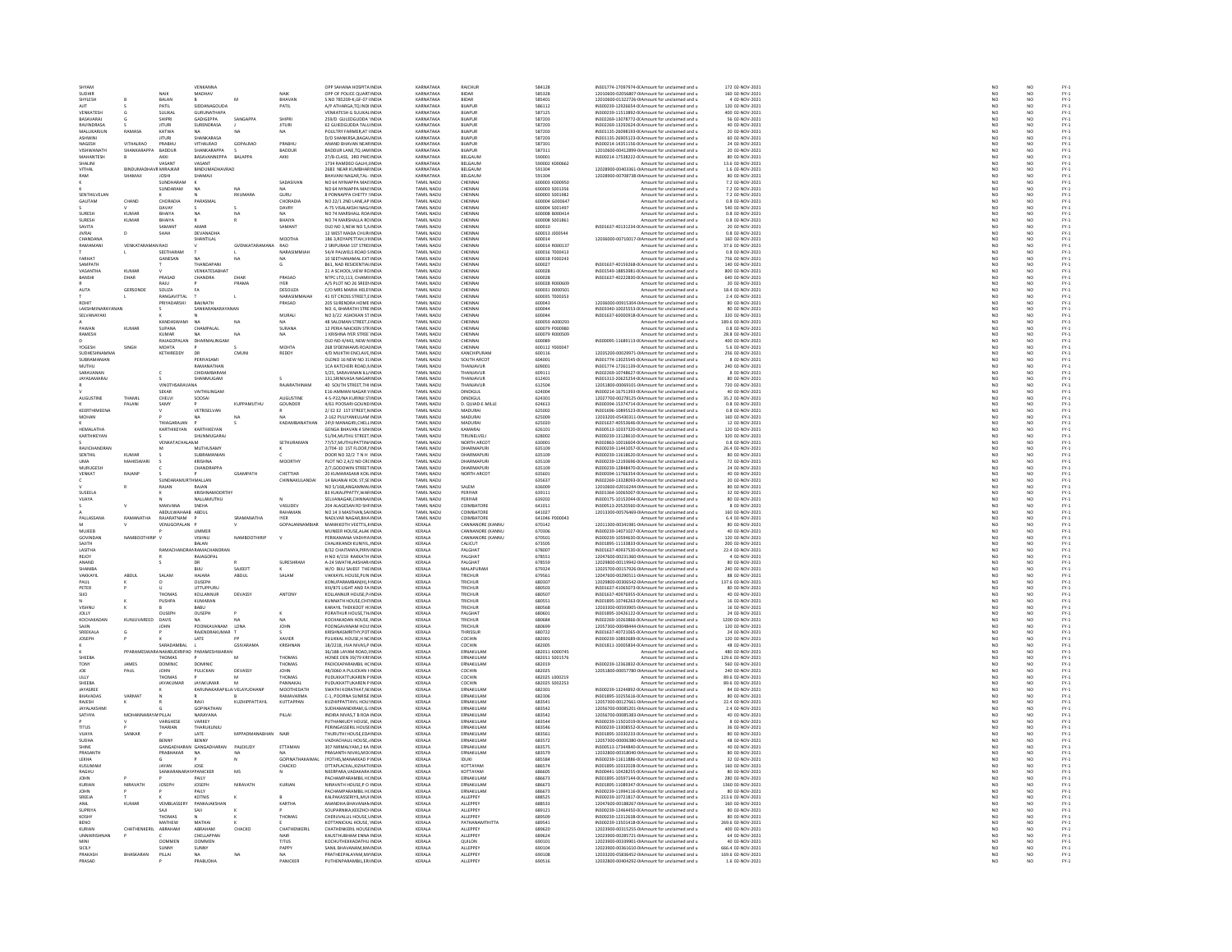| SHYAM                           |                          |                           | VENKANNA                                         |                    |                            | OPP SAHANA HOSPITA INDIA                                      | KARNATAKA                        | RAICHUR                               | 584128                           | IN301774-17097974-0(Amount for unclaimed and u                                                   | 172 02-NOV-2021                      | NO                                                                         | NO                                |                              |
|---------------------------------|--------------------------|---------------------------|--------------------------------------------------|--------------------|----------------------------|---------------------------------------------------------------|----------------------------------|---------------------------------------|----------------------------------|--------------------------------------------------------------------------------------------------|--------------------------------------|----------------------------------------------------------------------------|-----------------------------------|------------------------------|
| SUDHIR                          |                          | NAIK                      | MADHAV                                           |                    | NAIK                       | OPP OF POLICE OUARTINDL                                       | KARNATAKA                        | <b>RIDAR</b>                          | 585328                           | 12010600-02056807-0LAmount for unclaimed and u                                                   | 160.02-NOV-2021                      | NO<br>NO                                                                   | N <sub>0</sub><br>$\overline{NQ}$ | FY-1<br>FY-1<br>FY-1<br>FY-1 |
| SHYLESH<br>AIIT.                |                          | BALAN<br>PATIL            | SIDDANAGOUDA                                     |                    | BHAVAN<br>PATIL            | S.NO 785209-K, GF-07 IINDL<br>A/P ATHARGA.TO INDI INDIA       | KARNATAKA<br>KARNATAKA           | BIDAR<br>BUAPUR                       | 585401<br>586112                 | 12010600-01322726-0IAmount for unclaimed and u<br>IN300239-12926654-0(Amount for unclaimed and u | 4 02-NOV-2021<br>120 02-NOV-2021     | NO                                                                         | NO                                |                              |
| VENKATES                        |                          | SULIKA                    | GURUNATHAPA                                      |                    |                            | <b>/ENKATESH G SULIKAL INDI</b>                               | <b>KARNATAKA</b>                 | BIJAPU                                | 587129                           | IN300239-11513892-0(Amount for unclaimed and u                                                   | 400 02-NOV-202:                      | NO                                                                         | NO                                |                              |
| BASAVARAJ                       |                          | SHIPRI                    | <b>GADIGEPPA</b>                                 | SANGAPPA           | SHIPRI                     | 259/D GULEDGUDDA INDIA                                        | KARNATAKA<br>KARNATAKA           | BUAPUR                                | 587203                           | IN302269-13078772-0(Amount for unclaimed and u                                                   | 56 02-NOV-2021                       | NO                                                                         | NO                                |                              |
| RAVINDRASA<br>MALLIKARJUN       | <b>RAMASA</b>            | <b>JITURI</b><br>KATWA    | SURENDRASA                                       | N <sub>A</sub>     | <b>JITURI</b><br>NA.       | <b>62 GUIEDGUDDA TALL INDIA</b><br>POULTRY FARMER, AT I INDIA | KARNATAKA                        | BUAPUR<br>BIJAPUF                     | 587203<br>587203                 | IN302269-13292624-0(Amount for unclaimed and u<br>IN301135-26098193-0(Amount for unclaimed and u | 40 02-NOV-2021<br>20 02-NOV-2021     | NO<br>NO                                                                   | NO<br>NO                          |                              |
| <b>ASHWINI</b>                  |                          | ITT IRI                   | SHANKARASA                                       |                    |                            | <b>D/O SHANKRSA RAGAVINDIA</b>                                | KARNATAKA                        | <b>BUAPUR</b>                         | 587203                           | IN301135-26905123-00 Amount for unclaimed and u                                                  | 60 02-NOV-2021                       |                                                                            |                                   |                              |
| NAGESH                          | VITHALRAD                | PRABHU                    | VITHALRAD                                        | <b>GOPALRAO</b>    | PRABHU                     | ANAND BHAVAN NEAF INDIA                                       | KARNATAKA                        | BIJAPUF                               | 587301                           | IN300214-14351156-0(Amount for unclaimed and u                                                   | 24 02-NOV-2021                       | NO<br>NO<br>NO<br>NO                                                       | NO<br>NO<br>NO                    |                              |
| VISHWANATH<br><b>MAHANTESH</b>  | SHANKARAPPA              | <b>BADDUR</b><br>AKKI     | SHANKARAPPA<br>RASAVANNEPPA                      |                    | BADDUR<br>AKKI             | BADDUR LANE.TO JAM INDIA                                      | KARNATAKA<br>KARNATAKA           | BUAPUR<br>BELGAUN                     | 587311                           | 12010600-00412899-0IAmount for unclaimed and u                                                   | 20 02-NOV-2021                       |                                                                            |                                   |                              |
| SHALINI                         |                          | VASANT                    | VASANT                                           | <b>BALAPPA</b>     |                            | 27/B-CLASS, 3RD PWC INDI<br>1734 RAMDEO GALHI, INDIA          | KARNATAKA                        | BELGAUM                               | 590001<br>590002 K000662         | IN300214-17538222-0(Amount for unclaimed and u<br>Amount for unclaimed and u                     | 80 02-NOV-2021<br>13.6 02-NOV-2021   | NO                                                                         | NO<br>NO                          |                              |
| VITHAL                          | <b>RINDUMADI</b>         | R MIRAJKAR                | <b>RINDUMADHAVRAC</b>                            |                    |                            | <b>2683 NEAR KUMBHABINDIA</b>                                 | KARNATAKA                        | <b>RELGAUN</b>                        | 591304                           | 12028900-00403361-0IAmount for unclaimed and u                                                   | 1.6 02-NOV-2021                      |                                                                            |                                   |                              |
| RAM                             | SHAMAJI                  | <b>JOSHI</b>              | SHAMAJI                                          |                    |                            | BHAVANI NAGAR, TAL-INDIA                                      | KARNATAKA                        | BELGAUM                               | 591304                           | 12028900-00708738-0IAmount for unclaimed and u                                                   | 80 02-NOV-2021                       | NO<br>NO                                                                   | NO<br>NO                          |                              |
|                                 |                          | SUNDHARAM                 |                                                  |                    | SADASIVAN                  | NO 64 NYNIAPPA MAIS INDIA                                     | TAMIL NADLI                      | CHENNAL                               | 600003 KODDASO                   | Amount for unclaimed and u                                                                       | 7.2 02-NOV-2021                      | NO<br>NO                                                                   | NO<br>NO                          |                              |
| SENTHILVELAN                    |                          | SUNDARAM                  | NA                                               | RKUMARA            | NA.<br>GURU                | NO 64 NYNIAPPA MAI! INDI<br><b>8 PONNAPPA CHETTY UNDIA</b>    | TAMIL NADU<br><b>TAMIL NADLI</b> | CHENNAL<br>CHENNAL                    | 600003 S001356<br>600003 5001982 | Amount for unclaimed and u<br>Amount for unclaimed and u                                         | 7.2 02-NOV-2021<br>7.2.02-NOV-2021   |                                                                            |                                   |                              |
| GAUTAN                          | CHAND                    | CHORADIA                  | <b>DARACHA</b>                                   |                    | CHORADIA                   | 10 22/1 2ND LANE, AP INDI                                     | <b>TAMIL NADL</b>                | CHENNA                                | soona conner                     | Amount for unclaimed and u                                                                       | 0.8 02-NOV-2021                      | $\frac{NO}{NO}$                                                            | NO<br>NO<br>NO                    |                              |
|                                 |                          | DAVAY                     |                                                  |                    | DAVRY                      | A-75 VISALAKSHI NAGJ INDIA                                    | TAMIL NADU                       | CHENNAL                               | 600004 S001497                   | Amount for unclaimed and u                                                                       | 540 02-NOV-2021                      | NO                                                                         |                                   |                              |
| <b>SLIRESH</b>                  | KUMAR                    | BHAIYA                    |                                                  |                    | NA                         | NO 74 MARSHALL ROA INDL                                       | <b>TAMIL NADLI</b>               | CHENNAL                               | 600008 B00041                    | Amount for unclaimed and u                                                                       | 0.8 02-NOV-2021                      | NO<br>NO                                                                   | NO<br>NO                          |                              |
| SURESH<br>SAVITA                | KUMAR                    | BHAIYA<br>SAMANT          | AMAR                                             |                    | BHAIYA<br>SAMANT           | NO 74 MARSHALLA RC INDIA<br>CLD NO 3 NEW NO 5 N INDIA         | TAMIL NADU<br>TAMIL NADLI        | CHENNAL<br>CHENNAL                    | 600008 S001861<br>600010         | Amount for unclaimed and u<br>IN301637-40131234-0(Amount for unclaimed and u                     | 0.8 02-NOV-2021<br>20.02-NOV-2021    |                                                                            |                                   |                              |
| <b>JIVRAJ</b>                   | D                        | SHAH                      | DEVANADHA                                        |                    |                            | 12 WEST MADA CHURHNDIA                                        | TAMIL NADU                       | CHENNAL                               | 600013 J000544                   | Amount for unclaimed and u                                                                       | 0.8 02-NOV-2021                      | NO<br>NO                                                                   | NO<br>NO                          |                              |
| CHANDANA                        |                          |                           | SHANTILAI                                        |                    | MOOTHA                     | 1863 ROYAPETTAH VI INDIA                                      | <b>TAMIL NADLL</b>               | CHENNAL                               | 600014                           | 12036000-00710017-0LAmount for unclaimed and u                                                   | 160.02-NOV-2021                      | NO<br>NO                                                                   | NO                                |                              |
| RAMAMAM                         | VENKAT                   | RAC                       |                                                  | <b>GVENK</b>       | RAO                        | 2 SRIPURAM 1ST STREI INDL                                     | TAMIL NADL                       | CHENNA                                | 600014 R00013                    | Amount for unclaimed and u                                                                       | 37.6 02-NOV-2021                     |                                                                            | NO                                |                              |
| FARHAT                          |                          | SEETHARAN<br>GANESAN      | NA                                               | NA                 | NARASIMMIAH<br>NA.         | 54/4 PALWELS ROAD SINDIA<br><b>10 SEETHANAMAL EXT INDIA</b>   | TAMIL NADU<br><b>TAMIL NADLI</b> | CHENNAL<br>CHENNAL                    | 600016 T000413<br>600018 F000243 | Amount for unclaimed and u<br>Amount for unclaimed and u                                         | 0.8 02-NOV-2021<br>756 02-NOV-2021   | $\begin{array}{c} \tt NO \\ \tt NO \\ \tt NO \\ \tt NO \end{array}$        | NO<br>NO<br>NO                    |                              |
| SAMPATH                         |                          |                           | THANDAPAN                                        |                    | G                          | B61, NAD RESIDENTIALINDIA                                     | TAMIL NADU                       | CHENNAL                               | 600027                           | IN301637-40159268-0(Amount for unclaimed and u                                                   | 140 02-NOV-2021                      |                                                                            |                                   |                              |
| VASANTHA                        | KUMAR                    |                           | VENKATESARHAT                                    |                    |                            | 21 A SCHOOL VIEW ROINDIA                                      | TAMIL NADLI                      | CHENNAL                               | snonas                           | IN301549-18853981-0(Amount for unclaimed and u                                                   | 800.02-NOV-2021                      | NO<br>NO                                                                   | NO<br>NO                          |                              |
| BANSHI                          | DHAR                     | PRASAD                    | CHANDRA                                          | DHAR               | PRASAD                     | NTPC LTD,113, CHAMILINDI                                      | TAMIL NADL                       | CHENNA                                | 600028                           | IN301637-40222830-0(Amount for unclaimed and u                                                   | 640 02-NOV-2021                      |                                                                            |                                   |                              |
| AUTA                            | GERSOND                  | RAJU<br>SOUZA             |                                                  | PRAMA              | <b>IYER</b><br>DESOUZA     | A/S PLOT NO 26 SREEP INDIA<br>C/O MRS MARIA HELEHNDIA         | TAMIL NADU<br>TAMIL NADU         | CHENNAL<br>CHENNA                     | 600028 R000609<br>600031 000050  | Amount for unclaimed and u<br>Amount for unclaimed and u                                         | 20 02-NOV-2021<br>18.4 02-NOV-2021   | NO<br>NO                                                                   | NO<br>NO                          |                              |
|                                 |                          | RANGAVITTAL               |                                                  |                    | NARASIMMAIAH               | 41 IST CROSS STREET.E INDIA                                   | TAMIL NADU                       | CHENNAL                               | 600035 T000353                   | Amount for unclaimed and u                                                                       | 2.4 02-NOV-2021                      |                                                                            | NO <sub></sub>                    |                              |
|                                 |                          | RIYADARSH                 | <b>RAIMATL</b>                                   |                    | PRASAD                     |                                                               | <b>FAMIL NAD</b>                 | CHENNAI                               |                                  | 12036000-00915304-0IAmount for unclaimed and u                                                   | 80 02-NOV-202:                       | NO<br>NO<br>NO                                                             | $\frac{N}{N}$                     |                              |
| LAKSHMINARAYANA<br>SEI VANAYAKI |                          |                           | SANKARANARAYANAM                                 |                    |                            | NO. 6, BHARATHI STRE INDIA                                    | <b>TAMIL NADU</b><br>TAMIL NADLI | CHENNA<br>CHENNAL                     | 600044<br>600044                 | IN303340-10025553-0(Amount for unclaimed and u                                                   | 80 02-NOV-2021                       |                                                                            |                                   |                              |
|                                 |                          | KANDASWAMI                |                                                  | NA                 | MURALI                     | NO 3/22 ASHOKAN ST INDIA<br>48 SALOMAN STREET, I INDIA        | TAMIL NADU                       | CHENNAL                               | 600059 A00029                    | IN301637-60000918-0(Amount for unclaimed and u                                                   | 320 02-NOV-2021<br>189.6 02-NOV-2021 | NO<br>NO                                                                   | NO<br>NO                          |                              |
| PAWAN                           | KUMAR                    | SUPANA                    | CHAMPALAL                                        |                    | SURANA                     | 12 PERIA NAICKEN STRINDIA                                     | TAMIL NADU                       | CHENNAL                               | 600079 P000980                   | Amount for unclaimed and u<br>Amount for unclaimed and u                                         | 0.8 02-NOV-2021                      |                                                                            | NO <sub></sub>                    |                              |
| RAMESH                          |                          | KUMAR                     |                                                  |                    |                            | 1 KRISHNA IYER STREE INDI                                     | TAMIL NADL                       | CHENNA                                | 600079 R000509                   | Amount for unclaimed and u                                                                       | 28.8 02-NOV-2021                     | NO<br>NO                                                                   | NO                                |                              |
|                                 |                          | RAJAGOPALAN               | DHARMALINGAM                                     |                    |                            | OLD NO 4/443. NEW N INDIA                                     | TAMIL NADU                       | CHENNAL                               | 600089                           | IN300095-11689113-0(Amount for unclaimed and u                                                   | 400 02-NOV-2021                      | NO                                                                         | NO                                |                              |
| YOGESH<br>SUDHESHNAMMA          |                          | MOHTA<br>KETHIREDDY       | DR                                               | CMUN               | MOHTA<br>REDDY             | 268 SYDENHAMS ROALINDL<br>4/D MUKTHI ENCLAVE INDIA            | TAMIL NADL<br>TAMIL NADU         | CHENNAL<br>KANCHIPURAM                | 600112 Y000047<br>600116         | Amount for unclaimed and u<br>12035200-00029971-0(Amount for unclaimed and u                     | 5.6 02-NOV-2021<br>256 02-NOV-2021   | $\overline{\mathsf{NC}}$                                                   | NO                                |                              |
| SURRAMANIAN                     |                          |                           | PERIVASAMI                                       |                    |                            | OLDNO 16 NEW NO 31 INDIA                                      | <b>TAMIL NADLI</b>               | SOUTH ARCOT                           | 604001                           | IN301774-13025545-00 Amount for unclaimed and u                                                  | 8.02-NOV-2021                        | $\begin{array}{c} \tt NO \\ \tt NO \\ \tt NO \\ \tt NO \end{array}$        | NO<br>NO                          |                              |
| MUTHU                           |                          |                           | RAMANATHAM                                       |                    |                            | 1CA KATCHERI ROAD, NINDI                                      | TAMIL NADU                       | THANJAVUR                             | 609001                           | IN301774-17261139-0(Amount for unclaimed and u                                                   | 240 02-NOV-2021                      |                                                                            | $\overline{NQ}$                   |                              |
| SARAVANAN                       |                          |                           | CHIDAMBARAM                                      |                    |                            | 5/25. SARAVANAN ILL/ INDIA                                    | TAMIL NADU                       | THANJAVUR                             | 609111                           | IN302269-10748627-0(Amount for unclaimed and u                                                   | 8 02-NOV-2021                        | NO                                                                         | NO                                |                              |
| <b>JAYASAMARA</b>               |                          |                           | SHANMUGAM                                        |                    |                            | 131, SRINIVASA NAGAF INDI                                     | TAMIL NADU                       | <b>THANJAVUR</b>                      | 612401                           | IN301313-20625254-0( Amount for unclaimed and u                                                  | 80 02-NOV-2021                       | NO                                                                         | NO                                |                              |
|                                 |                          | VINOTHSARAVANA<br>SEKAF   | VAITHILINGAN                                     |                    | RAJARATHINAM               | 40 SOUTH STREET. THI INDIA                                    | TAMIL NADU<br><b>FAMIL NADL</b>  | THANJAVUR<br>DINDIGUL                 | 612504<br>624004                 | 12051800-00069101-0(Amount for unclaimed and u<br>IN300214-16751393-0(Amount for unclaimed and u | 720 02-NOV-2021<br>40 02-NOV-2023    | $\frac{NO}{NO}$                                                            | NO <sub>1</sub>                   |                              |
| AUGUSTINE                       | THAMIL                   | CHELVI                    | SOOSAL                                           |                    | AUGUSTINE                  | 4-5-P22/NA KURINJI S1INDIA                                    | TAMIL NADU                       | <b>DINDIGUL</b>                       | 624301                           | 12027700-00278125-0IAmount for unclaimed and u                                                   | 35.2 02-NOV-2021                     | NO                                                                         | $\frac{10}{10}$                   |                              |
|                                 | PALAN                    | SAMY                      |                                                  |                    | GOUNDER                    | 1/61 POOSARI GOUND INDI                                       | TAMIL NADL                       | . QUIAD-E-MILL                        | 624613                           | IN300394-15374714-0(Amount for unclaimed and u                                                   | 0.8 02-NOV-2021                      | NO                                                                         | $N$<br>$N$<br>$N$<br>$N$<br>$N$   |                              |
| KEERTHIMEENA                    |                          |                           | VETRISELVAN                                      |                    |                            | 2/ E2 E2 1ST STREET, NINDIA                                   | TAMIL NADU                       | MADURAI                               | 625002                           | IN301696-10895523-0(Amount for unclaimed and u                                                   | 0.8 02-NOV-2021                      | NO<br>NO                                                                   |                                   |                              |
| MOHAN                           |                          |                           |                                                  | NA                 | KADAMB                     | 2-162 PULIYANKULAM INDIA<br>24\9 MANAGIRI, CHELL INDI         | TAMIL NADU<br>TAMIL NADL         | MADURAI<br>MADURA                     | 625009<br>625020                 | 12033200-05430311-0(Amount for unclaimed and u<br>IN301637-40553646-0(Amount for unclaimed and u | 160 02-NOV-2021<br>12 02-NOV-2021    | NO                                                                         | NO                                |                              |
| HEMALATHA                       |                          | KARTHIKEYAN               | KARTHIKEYAN                                      |                    |                            | <b>GENGA BHAVAN 4 SIN INDIA</b>                               | TAMIL NADU                       | KAMARAJ                               | 626101                           | IN300513-10337320-0(Amount for unclaimed and u                                                   | 120 02-NOV-2021                      |                                                                            | NO <sub>1</sub>                   |                              |
| ARTHIKEYAN                      |                          |                           | HUNMUGARA                                        |                    |                            | 51/94, MUTHU STREET INDI                                      | <b>FAMIL NADL</b>                | TIRUNELVEL                            | 628002                           | IN300239-13128610-0(Amount for unclaimed and u                                                   | 320 02-NOV-2021                      | $\frac{NO}{NO}$                                                            | $\frac{N}{N}$                     |                              |
|                                 |                          | <b>VENKATACHALAMM</b>     |                                                  |                    | SETHURAMAN                 | 77/S7.MUTHUPATTIN/INDIA                                       | TAMIL NADU                       | NORTH ARCOT                           | 630001                           | IN302863-10016604-0(Amount for unclaimed and u                                                   | 0.8 02-NOV-2021                      | NO                                                                         |                                   |                              |
| AMCHAMBRA                       |                          |                           | MUTHUSAMY                                        |                    |                            | 2/704-10 1ST FLOOR, INDL                                      | TAMIL NADI                       | <b>DHARMAPLIF</b>                     | 635109                           | IN300239-11441057-0(Amount for unclaimed and u                                                   | 26.4 02-NOV-2021                     | NO                                                                         | NO<br>NO                          |                              |
| <b>SENTHIL</b><br><b>IMA</b>    | <b>KUMAR</b><br>MAHESWAR |                           | SUBRAMANIAN<br>KRISHNA                           |                    | MOORTHY                    | DOOR NO 32/2 TN H INDIA                                       | TAMIL NADU<br>TAMIL NADLI        | <b>DHARMAPUR</b><br><b>DHARMAPLIR</b> | 635109                           | IN300239-11618620-0(Amount for unclaimed and u<br>IN300239-12193696-0(Amount for unclaimed and u | 80 02-NOV-2021                       | NO                                                                         |                                   |                              |
| .<br>MURUGESI                   |                          |                           | CHANDRAPP                                        |                    |                            | PLOT NO 2,4/2 ND CR( INDIA<br>2/7,GODOWIN STREET INDIA        | <b>TAMIL NADU</b>                |                                       | 635109<br>635109                 | IN300239-12848470-00 Amount for unclaimed and u                                                  | 72 02-NOV-2021<br>24 02-NOV-2021     | NO<br>NO                                                                   | NO<br>NO                          |                              |
| VENKAT                          | RAJANP                   |                           |                                                  | <b>GSAMPATH</b>    | CHETTIAR                   | 20 KUMARASAMI KOIL INDIA                                      | TAMIL NADU                       | NORTH ARCOT                           | 635601                           | IN300394-11766354-0(Amount for unclaimed and u                                                   | 40 02-NOV-2021                       | NO                                                                         | NO <sub></sub>                    |                              |
|                                 |                          | RAJAN                     | MALLAN<br>RAJAN                                  |                    | CHINNAKULANDA              | 14 BAJANAI KOIL ST, SE INDI<br>NO 5/168.ANGAMMALINDIA         | <b>FAMIL NADL</b><br>TAMIL NADU  | SALEM                                 | 635637<br>636009                 | IN302269-13328093-0(Amount for unclaimed and u<br>12010600-02016244-0IAmount for unclaimed and u | 20 02-NOV-2021<br>80 02-NOV-2021     | NO                                                                         | $\frac{N}{N}$                     |                              |
| SUSEELA                         |                          |                           | <b>VOISUMAMAOOPTU</b>                            |                    |                            | <b>83 KUKALPPATTY, WAR INDIA</b>                              | <b>TAMIL NADU</b>                | PERIYAR                               | 639111                           | IN301364-10065007-0(Amount for unclaimed and u                                                   | 32 02-NOV-2021                       | NO<br>NO                                                                   |                                   |                              |
| VIJAYA                          |                          |                           | NALLAMUTHU                                       |                    |                            | SELVANAGAR, CHINNA INDIA                                      | TAMIL NADU                       | PERIYAR                               | 639202                           | IN300175-10152044-0(Amount for unclaimed and u                                                   | 80 02-NOV-2021                       | NO                                                                         | NO<br>NO                          |                              |
|                                 |                          | MAKVANA                   | SNEHA                                            |                    | VASHIDEV                   | 204 ALAGESAN RD SHEINDIA                                      | TAMIL NADLI                      | COIMBATORE                            | 641011                           | IN300513-20520560-0(Amount for unclaimed and u                                                   | 8 02-NOV-2021                        | NO<br>NO<br>NO<br>NO                                                       | NO<br>NO<br>NO                    |                              |
| PALLASSANA                      | RAMANATHA                | ABDULWAHAAE<br>RAJARATNAM | ABDUL                                            | SRAMANATHA         | RAHAMAN<br><b>IYER</b>     | NO 14 3 MASTHAN, SAI INDIA<br>NAOLVAR NAGAR BHA INDIA         | <b>TAMIL NADU</b><br>TAMIL NADU  | COIMBATORE<br>COIMBATORE              | 641027<br>641046 P000043         | 12013300-00576469-0IAmount for unclaimed and u<br>Amount for unclaimed and u                     | 160 02-NOV-2021<br>6.4 02-NOV-2021   |                                                                            |                                   |                              |
|                                 |                          | VENUGOPALAM               |                                                  |                    | GOPALANNAMBIA              | MANIKKOTH VEETTIL, HNDL                                       | KERALA                           | <b>ANNANORE (KAN</b>                  | 670142                           | 12011300-00341981-0IAmount for unclaimed and u                                                   | 80 02-NOV-2023                       |                                                                            |                                   |                              |
| MUJEEB                          |                          |                           | UMMER                                            |                    |                            | MUNEER HOUSE, ALAK INDIA                                      | KERALA                           | CANNANORE (KANNL                      | 670306                           | IN300239-14071027-0(Amount for unclaimed and u                                                   | 40 02-NOV-2021                       | NO                                                                         | $\frac{N}{N}$                     |                              |
| <b>GOVINDAN</b>                 | NAMBOOTHIRIP             |                           | <b>ISHNU</b>                                     | <b>NAMBOOTHIRD</b> |                            | ERIKAMANA VADHYA INDI                                         | KERALA                           | CANNANORE (KANN                       | 670501                           | IN300239-10594630-0(Amount for unclaimed and u                                                   | 120 02-NOV-2021                      | NO                                                                         | NO<br>NO                          |                              |
| SAJITH<br><b>ASITHA</b>         |                          | PAMACH                    | BALAN<br><b>NRAMACHANDRA</b>                     |                    |                            | CHALIKKANDI KUNIYIL, INDIA<br>8/32 CHAITANYA PIRIVINDIA       | KERALA<br>KERALA                 | CALICUT<br>PALGHAT                    | 673505                           | IN301895-11133833-0(Amount for unclaimed and u                                                   |                                      | NO                                                                         |                                   |                              |
| REJOY                           |                          |                           | RAJAGOPAL                                        |                    |                            |                                                               |                                  |                                       |                                  |                                                                                                  | 200 02-NOV-2021                      |                                                                            | NO<br>NO                          |                              |
| ANAND                           |                          |                           | DR                                               |                    |                            |                                                               |                                  |                                       | 678007                           | IN301637-40937530-0(Amount for unclaimed and u                                                   | 22.4 02-NOV-2021                     |                                                                            |                                   |                              |
| SHANIBA                         |                          |                           |                                                  |                    | SURFSHRAM                  | H NO 4/159 RAKKATH INDIA<br>4-24 SWATHLAKSHAR INDIA           | KERALA<br>KERALA                 | PALGHAT<br><b>PALGHAT</b>             | 678551<br>678559                 | 12047600-00231360-0IAmount for unclaimed and u<br>12029800-00119942-0LAmount for unclaimed and u | 4 02-NOV-2021<br>80 02-NOV-2021      | NO<br>NO                                                                   | NO <sub>1</sub>                   |                              |
| VAKKAYIL<br>PAUL                | <b>ARDUI</b>             |                           | BIJU                                             | SAJEEFT            |                            | W/O BUU SAJEEF THE INDI                                       | KERALA                           | MALAPURAM                             | 679324                           | 12025700-00157926-0IAmount for unclaimed and u                                                   | 240 02-NOV-2021                      |                                                                            |                                   |                              |
| PETER                           |                          | SALAM                     | HAJARA                                           | ABDUL              | SALAM                      | VAKKAYIL HOUSE, PUN INDIA                                     | KERALA                           | TRICHUR                               | 679561                           | 12047600-00290511-0IAmount for unclaimed and u                                                   | 88 02-NOV-2021                       | NO<br>NO<br>NO                                                             | $\frac{10}{10}$                   |                              |
| suo                             |                          |                           | OUSSEN                                           |                    |                            | KONUPARAMBAN(H). INDIA                                        | KERALA                           | TRICHUR                               | 680307                           | 12029800-00306542-0IAmount for unclaimed and u                                                   | 137.6 02-NOV-2021                    | NO                                                                         |                                   |                              |
|                                 |                          | THOMAS                    | UTTUPPURU<br>KOLLANNUR                           | DEVASSY            | ANTONY                     | XIII/875 LIGHT AND FA INDIA<br><b>COLLANNIJR HOUSE PUNDL</b>  | KERALA<br><b>KERALA</b>          | TRICHUR<br>TRICHUR                    | 680503<br>680507                 | IN301637-41065073-0(Amount for unclaimed and u<br>IN301637-40976955-0(Amount for unclaimed and u | 80 02-NOV-2021<br>40 02-NOV-2021     | NO                                                                         | NO<br>NO                          |                              |
|                                 |                          | PUSHPA                    | KUMARAN                                          |                    |                            | KUNNATH HOUSE, CHITINDIA                                      | KERALA                           | TRICHUR                               | 680551                           | IN301895-10746263-0(Amount for unclaimed and u                                                   | 16 02-NOV-2021                       | NO<br>NO                                                                   | NO<br>NO                          |                              |
| VISHNU                          |                          |                           | RABII                                            |                    |                            | KARAYIL THEKKOOT HONDIA                                       | KERALA                           | TRICHLIR                              | 680568                           | 12033300-00593905-0LAmount for unclaimed and u                                                   | 16.02-NOV-2021                       |                                                                            |                                   |                              |
| JOLLY                           |                          | OUSEPH                    | OUSEPH                                           |                    |                            | PORATHUR HOUSE, TH. INDIA                                     | KERALA                           | PALGHAT                               | 680601                           | IN301895-10426122-0(Amount for unclaimed and u                                                   | 24 02-NOV-2021                       | NO<br>NO                                                                   | NO<br>NO                          |                              |
| <b>KOCHAKADAM</b>               | KUNJUVAREED              | DAVIS                     | POONKAVANAM                                      | NA<br>LONA         | JOHN                       | KOCHAKADAN HOUSE, INDIA<br>POONGAVANAM HOU INDI               | KERALA<br>KERALA                 | TRICHUR<br>TRICHUR                    | 680684<br>680699                 | IN302269-10263866-0(Amount for unclaimed and u<br>12057300-00048444-0IAmount for unclaimed and u | 1200 02-NOV-2021<br>120 02-NOV-2021  |                                                                            |                                   |                              |
| SREEKALA                        |                          |                           | RAJENDRAKUMAR                                    |                    |                            | KRISHNASMRITHY, POT INDIA                                     | KERALA                           | THRISSUR                              | 680722                           | IN301637-40721065-0(Amount for unclaimed and u                                                   | 24 02-NOV-2021                       | $\frac{NO}{NO}$<br>NO                                                      | NO<br>NO<br>NO                    |                              |
| <b>JOSEPH</b>                   |                          |                           | LATE                                             |                    | <b>XAVIER</b>              | PULIKKAL HOUSE.H NC INDIA                                     | KERALA                           | COCHIN                                | 682001                           | IN300239-10892689-0(Amount for unclaimed and u                                                   | 120 02-NOV-2021                      |                                                                            |                                   |                              |
|                                 |                          | SARADAMBAL                |                                                  | <b>GSIVARAMA</b>   | <b>KRISHNAN</b>            | 18/2218, JIVA NIVAS, PINDIA                                   | KERALA                           | COCHIN                                | 682005                           | IN301811-10005834-0(Amount for unclaimed and u                                                   | 48 02-NOV-2021                       | NO<br>NO                                                                   | NO<br>NO                          |                              |
| SHEEBA                          | PPARAME                  |                           | <b>SRANAMRI IDIRIPAD PARAMESHWARAN</b>           | M                  | THOMAS                     | 6/1881 AYAM ROAD UNDIA<br>HONEE DEN 39/79 KRI INDI            | KERALA                           | FRNAKLIJ AN<br>ERNAKULAN              | 682011 K000745<br>682011 S001576 | Amount for unclaimed and u                                                                       | 480.02-NOV-2021<br>129.6 02-NOV-2021 |                                                                            | NO <sub>1</sub>                   |                              |
| TONY                            | JAMES                    | THOMAS<br><b>DOMINIC</b>  | <b>DOMINIC</b>                                   |                    | THOMAS                     | PADICKAPARAMBIL HC INDIA                                      | KERALA<br>KERALA                 | ERNAKULAM                             | 682019                           | Amount for unclaimed and u<br>IN300239-12363832-0(Amount for unclaimed and u                     | 560 02-NOV-2021                      | NO<br>NO<br>NO                                                             | $\overline{NQ}$<br>NO             |                              |
| JOE                             | PAUL                     | JOHN                      | PULICKAN                                         | DEVASSY            | JOHN                       | 48/3060 A PULICKAN FINDM                                      | KERALA                           | COCHIN                                | 682025                           | 12051800-00057780-0IAmount for unclaimed and u                                                   | 240 02-NOV-2021                      |                                                                            |                                   |                              |
| LILLY                           |                          | THOMAS                    |                                                  |                    | THOMAS                     | PUDUKKATTUKAREN PINDIA                                        | KERALA                           | COCHIN                                | 682025 L000219                   | Amount for unclaimed and u                                                                       | 89.6 02-NOV-2021                     | $\frac{NO}{NO}$                                                            | $\frac{N}{N}$                     |                              |
| SHEERA<br>JAYASREI              |                          | <b>JAYAKLIMAR</b>         | <b>JAYAKUMAR</b><br>KARUNAKARAPILLAI VELAYUDHANF | M                  | PANNAKAI<br>MOOTHEDATI     | <b>IN IKKATTI KAREN PINDIA</b><br>SWATHI KORATHAT, N( INDIA   | KERALA<br>KERALA                 | COCHIN<br>ERNAKULAN                   | 682025 5002253<br>682301         | Amount for unclaimed and u<br>IN300239-13244892-0(Amount for unclaimed and u                     | 89.6 02-NOV-2021<br>84 02-NOV-2021   |                                                                            |                                   |                              |
| <b>RHAVADAS</b>                 | VARMAT                   |                           |                                                  |                    | RAMAVARMA                  | C-1 POORNA SUNRISE INDIA                                      | KERALA                           | FRNAKLIJ AM                           | 682306                           | IN301895-10255616-00 Amount for unclaimed and u                                                  | 80.02-NOV-2021                       | NO<br>NO                                                                   | NO<br>NO<br>NO <sub>1</sub>       |                              |
| RAJESH                          |                          |                           | RAVI                                             | KUZHIPPATTAYIL     | KUTTAPPAN                  | KUZHIPPATTAYIL HOU: INDIA                                     | KERALA                           | ERNAKULAN                             | 683541                           | 12057300-00127661-0IAmount for unclaimed and u                                                   | 22.4 02-NOV-2021                     | NO<br>NO                                                                   | $\overline{NQ}$                   |                              |
| <b>JAYALAKSHMI</b>              |                          |                           | <b>GOPINATHAM</b>                                |                    |                            | SUDHAMANDIRAM.G.(INDIA                                        | KERALA                           | ERNAKULAM                             | 683542                           | 12056700-00085201-0(Amount for unclaimed and u                                                   | 2.4 02-NOV-2021                      | NO                                                                         | NO <sub></sub>                    |                              |
| SATHYA                          |                          | PILLA<br>VARGHESE         | NARAYANA<br>VARKEY                               |                    | PILLAI                     | NDIRA NIVAS,T B ROA INDI<br>PUTHANKUDY HOUSE, INDIA           | KERALA<br>KERALA                 | ERNAKULAN<br>ERNAKULAM                | 683542<br>683544                 | 12056700-00085383-0IAmount for unclaimed and u<br>IN300239-11501019-0(Amount for unclaimed and u | 40 02-NOV-2021<br>8 02-NOV-2021      | NO                                                                         | NO                                |                              |
|                                 |                          |                           | ARUKUNJI                                         |                    |                            | <b>ERINGASSERIL HOUSI INDI</b>                                |                                  | RNAKULAN                              |                                  |                                                                                                  |                                      | NO                                                                         | NO                                |                              |
| TITUS<br>VIJAYA                 | SANKAR                   |                           | LATE                                             | <b>MPPADMA</b>     | NAIR                       | THURUTHI HOUSE,EDA INDIA                                      | KERALA<br>KERALA                 | ERNAKULAN                             | 683546<br>683546                 | IN300239-13308552-0(Amount for unclaimed and u<br>IN301895-10330233-0(Amount for unclaimed and u | 6 02-NOV-202<br>80 02-NOV-2021       | $\frac{1}{N}$                                                              | $\frac{N}{N}$                     |                              |
| SUDHA                           |                          | RENNY                     | <b>RENNY</b>                                     |                    |                            | VAZHACHALIL HOUSE UNDIA                                       | <b>KERALA</b>                    | FRNAKLIJ AN                           | 683572                           | 12057300-00006380-0LAmount for unclaimed and u                                                   | 48.02-NOV-2021                       |                                                                            | NO <sub></sub>                    |                              |
| SHINE                           |                          | GANGADHA                  | GANGADHARAN                                      | PALEKUD            | ETTAMAN<br>NA <sup>1</sup> | 307 NIRMALYAM,2 KA INDIA                                      | KERALA                           | ERNAKULAN                             | 683575                           | IN300513-17344840-0(Amount for unclaimed and u                                                   | 40 02-NOV-2021                       | NO<br>NO                                                                   | $\overline{NQ}$                   |                              |
| PRASANTH<br>LEKHA               |                          | PRABHAKAR                 | <b>NA</b>                                        | <b>NA</b>          |                            | PRASANTH NIVAS MOUNDIA<br>JYOTHIS, MANAKKAD P INDL            | KERALA<br>KERALA                 | ERNAKULAM<br>IDUKI                    | 683579<br>685584                 | 12032800-00318040-0(Amount for unclaimed and u<br>IN300239-11611886-0(Amount for unclaimed and u | 80 02-NOV-2021<br>32 02-NOV-2021     |                                                                            | NO                                |                              |
| <b>KUSUMAM</b>                  |                          | JAYAN                     | JOSE                                             |                    | CHACKO                     | OTTAPLACKAL.KIZHATI INDIA                                     | KERALA                           | KOTTAYAM                              | 686574                           | IN301895-10332028-0(Amount for unclaimed and u                                                   | 160 02-NOV-2021                      | $\frac{NO}{NO}$<br>NO                                                      | NO<br>NO <sub></sub>              |                              |
| RAGHU                           |                          | SANKAR                    | <b>PANICKER</b>                                  | M\$                |                            | .<br>NEERPARA, VADAKARA INDI                                  | KERALA                           | KOTTAYAM                              | 686605                           | IN300441-10428255-0(Amount for unclaimed and u                                                   | 80 02-NOV-2023                       | NO                                                                         | NO                                |                              |
| <b>JOHN</b>                     |                          |                           | PAILY                                            |                    |                            | PACHAMPARAMBIL HOINDIA                                        | KERALA                           | ERNAKULAN                             | 686673                           | IN301895-10597144-0(Amount for unclaimed and u                                                   | 280 02-NOV-2021                      |                                                                            |                                   |                              |
| KURIAN                          | <b>NIRAVATH</b>          | <b>IOSEPH</b>             | <b>ICKEPH</b>                                    | <b>NIRAVATE</b>    | KURIAN                     | <b>NIRAVATH HOUSE P.O. INDIA</b>                              | <b>KERALA</b>                    | FRNAKLIJ AN                           | 686673                           | IN301895-11089347-00 Amount for unclaimed and u                                                  | 1360.02-NOV-2021                     |                                                                            | NO<br>NO                          |                              |
| JOHN<br>SREEJA                  |                          |                           | PAILY<br>KOTNIS                                  |                    |                            | PACHAMPARAMBIL HCINDI<br>KALPAKASSERIYIL.MUHINDIA             | KERALA<br>KERALA                 | ERNAKULAN<br>ALLEPPEY                 | 686673<br>688525                 | IN300239-11994116-0(Amount for unclaimed and u<br>IN300239-10721817-0(Amount for unclaimed and u | 80 02-NOV-2021<br>213.6 02-NOV-2021  | $\begin{array}{c} \n 0 \\  0 \\  0 \\  0\n \end{array}$<br>NO <sub>1</sub> | NO<br>NO <sub></sub>              |                              |
| ANIL                            |                          | VEMBLASSER                | PANKAJAKSHAN                                     |                    | KARTHA                     | <b>ANANDHA BHAVANAN INDI</b>                                  | KERALA                           | ALLEPPEY                              | 688533                           | 12047600-00188267-0IAmount for unclaimed and u                                                   | 160 02-NOV-2021                      | NO                                                                         | NO                                |                              |
| SUPRIYA                         |                          | ŚΔIΙ                      | SAIL                                             |                    |                            | SOUPARNIKA.KEEZHCI-INDIA                                      | KERALA                           | ALLEPPEY                              | 689121                           | IN300239-12464450-0(Amount for unclaimed and u                                                   | 80 02-NOV-2021                       | NO                                                                         | NO <sub></sub>                    |                              |
| KOSH                            |                          | THOMA                     |                                                  |                    | THOMAS                     | HERUVALLIL HOUSE, VINDI                                       | KERALA                           | <b>ALLEPPEY</b>                       | 689509                           | IN300239-12312638-0(Amount for unclaimed and u                                                   | 80 02-NOV-2023                       | $_{NC}$                                                                    | NO                                |                              |
| <b>BENO</b>                     | CHATHENKERIL             | MATHEW<br>ABRAHAM         | MATHAI<br>ABRAHAN                                |                    | CHATHENKERI                | KOTTANICKAL HOUSE, INDIA                                      | KERALA                           | PATHANAMTHITTA                        | 689541                           | IN300239-13501418-0(Amount for unclaimed and u                                                   | 269.6 02-NOV-2021                    | NO                                                                         | NO                                |                              |
| KURIAN<br>UNNIKRISHI            |                          |                           | CHELLAPPAN                                       |                    | NAIR                       | CHATHENKERIL HOUSE INDI<br>KAUSTHUBHAM ENNA INDI              |                                  |                                       |                                  | 12023900-00315255-0IAmount for unclaimed and u<br>12023900-00285721-0IAmount for unclaimed and u | 400 02-NOV-2021<br>64 02-NOV-2021    | NO<br>NO                                                                   | NO<br>NO                          |                              |
| MINI                            |                          | <b>OOMMEN</b>             | <b>ODMMEN</b>                                    |                    | <b>TITUS</b>               | KOCHUTHEKKADATHU INDIA                                        | KERALA<br>KERALA<br>KERALA       | ALLEPPEY<br>ALLEPPEY<br>QUILON        | 689620<br>689624<br>690101       | 12023900-00339901-0 Amount for unclaimed and u                                                   | 40 02-NOV-2021                       | NO <sub></sub>                                                             | NO <sub></sub>                    |                              |
| SICILY                          |                          |                           |                                                  |                    |                            | <b>ANIL BHAVANAM, MA INDI</b>                                 | KERALA                           | <b>ALLEPPEY</b>                       | 690104                           | 12023900-00361610-0IAmount for unclaimed and u                                                   | 666.4 02-NOV-2021                    |                                                                            |                                   |                              |
| PRAKASH<br>PRASAD               | BHASKARAN                | PILLAI                    | NA                                               | NA                 | NA                         | PRATHEEPALAYAM.M/ INDIA<br>UTHENPARAMBIL.ERI INDI             | KERALA<br>KERALA                 | ALLEPPEY<br>ALLEPPE'                  | 690108<br>690516                 | 12033200-05836452-0 Amount for unclaimed and u<br>12032800-00404292-0IAmount for unclaimed and u | 169.6 02-NOV-2021<br>1.6 02-NOV-2023 | NO                                                                         | NO                                |                              |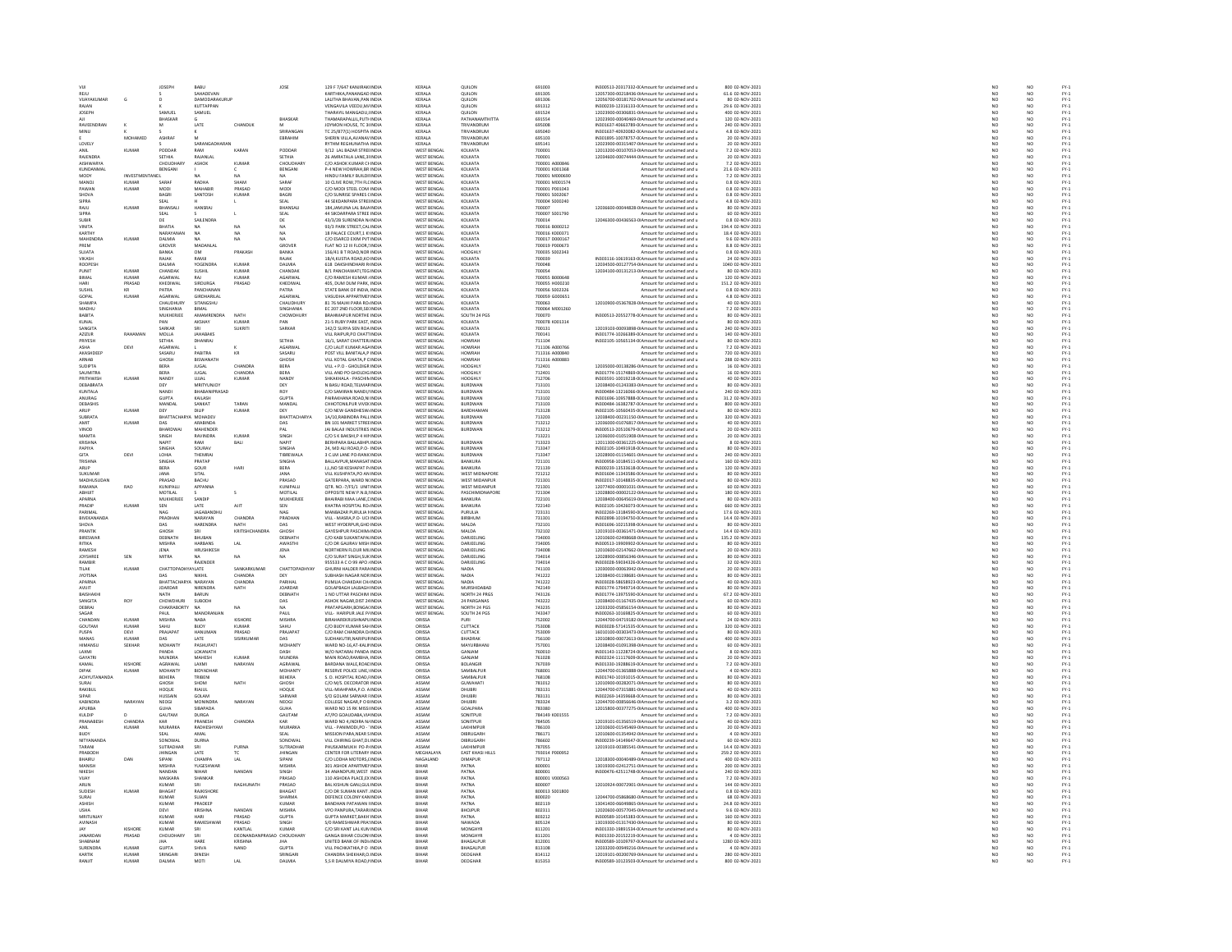| vui                           |                         | JOSEPH                      | BABU                                |                        | JOSE                               | 129 F 7/647 KANJIRAK INDU                                                        | KERALA                                   | QUILON                           | 691003                          | IN300513-20317332-0(Amount for unclaimed and u                                                                                                     | 800 02-NOV-2021                                     | NO                                                                  |                                                                     |                                |
|-------------------------------|-------------------------|-----------------------------|-------------------------------------|------------------------|------------------------------------|----------------------------------------------------------------------------------|------------------------------------------|----------------------------------|---------------------------------|----------------------------------------------------------------------------------------------------------------------------------------------------|-----------------------------------------------------|---------------------------------------------------------------------|---------------------------------------------------------------------|--------------------------------|
| REJU<br><b>VIIAYAKLIMAR</b>   | $\epsilon$              |                             | SAHADEVAN<br><b>DAMODARAKURUF</b>   |                        |                                    | KARTHIKA.PANANGAD INDIA<br><b>JAUTHA RHAVAN PAN INDU</b>                         | KERALA<br>KERALA                         | QUILON<br>QUIIION                | 691305<br>691306                | 12057300-00218436-0IAmount for unclaimed and u<br>12056700-00181702-0IAmount for unclaimed and u                                                   | 61.6 02-NOV-2021<br>80.02-NOV-2021                  | $\begin{array}{c} \tt NO \\ \tt NO \\ \tt NO \\ \tt NO \end{array}$ | NO <sub>1</sub><br>$\overline{M}$                                   | FY-3<br>FY-3<br>FY-3           |
| RAJAN                         |                         |                             | KUTTAPPAN                           |                        |                                    | VENGAVILA VEEDU, M/ INDIA                                                        | KERALA                                   | QUILON                           | 691312                          | IN300239-12316133-0(Amount for unclaimed and u                                                                                                     | 29.6 02-NOV-2021                                    |                                                                     | NO                                                                  |                                |
| <b>IOSEPH</b>                 |                         | SAMUEL                      | SAMUEL                              |                        | BHASKAR                            | THARAYII MANGADI LINDIA<br>THAMARAPALLIL, PUTHINDIA                              | KERALA<br>KERALA                         | <b>OUILON</b><br>PATHANAMTHITTA  | 691524<br>691554                | 12023900-00306831-0LAmount for unclaimed and u<br>12023900-00040469-0IAmount for unclaimed and u                                                   | 400.02-NOV-2021<br>120 02-NOV-2021                  | NO <sub>1</sub><br>NO                                               | $\mathbf{M}$<br>NO                                                  | FY-)<br>FY-)                   |
| RAVEENDRAN                    |                         | <b>BHASKAR</b>              | LATE                                | CHANDUK                |                                    | JOYMON HOUSE, TC 3(INDIA                                                         | KERALA                                   | TRIVANDRUM                       | 695008                          | IN301637-40663789-0(Amount for unclaimed and u                                                                                                     | 240 02-NOV-2021                                     | NO                                                                  | NO <sub>1</sub>                                                     |                                |
| MINU                          |                         |                             |                                     |                        |                                    | TC 25/877(1) HOSPITA INDU                                                        | KERALA                                   | TRIVANDRUM                       | 695040                          | IN301637-40920082-0(Amount for unclaimed and u                                                                                                     | 4.8 02-NOV-2021                                     | NO                                                                  | NO                                                                  | FY-3<br>FY-3                   |
| LOVELY                        | MOHAMED                 | ASHRAF                      |                                     |                        | EBRAHIM                            | SHERIN VILLA AVANAV INDIA<br>THM REGHUNATHA IND                                  | KERALA<br>KERALA                         | TRIVANDRUM<br>RIVANDRUM          | 695103<br>695141                | IN301895-10078757-0(Amount for unclaimed and u<br>12023900-00315407-0IAmount for unclaimed and u                                                   | 20 02-NOV-2021<br>0 02-NOV-2023                     | NO                                                                  | NO <sub>1</sub>                                                     |                                |
|                               | KUMAF                   | PODDAR                      | RAM                                 | KARAN                  | PODDAR                             | 9/12 LAL BAZAR STREHNDIA                                                         | <b>WEST BENGAL</b>                       | KOLKATA                          | 700001                          | 12013200-00107053-0IAmount for unclaimed and u                                                                                                     | 7.2 02-NOV-2021                                     | $\frac{NC}{NC}$                                                     | $\frac{10}{10}$                                                     | FY-3<br>FY-3<br>FY-3           |
| RAIFNDRA                      |                         | SETHIA                      | RAIANI AI                           |                        | SETHIA                             | 26 AMRATALA LANE 3LINDIA                                                         | WEST RENGAL                              | KOLKATA                          | 700001                          | 12034600-00074444-0LAmount for unclaimed and u                                                                                                     | 20.02-NOV-2021                                      | NO<br>NO                                                            | NO <sub>1</sub>                                                     | FY-)<br>FY-)                   |
| AISHWARYA<br>KUNDANMAI        |                         | CHOUDHAR<br>BENGANI         | <b>ASHOK</b>                        | KUMAF                  | CHOUDHAR<br>BENGANI                | C/O ASHOK KUMAR CHINDI<br>P-4 NEW HOWRAH.BR INDIA                                | <b>WEST BENGAL</b><br><b>WEST BENGAL</b> | KOLKATA<br>KOLKATA               | 700001 A00084<br>700001 K001368 | Amount for unclaimed and u<br>Amount for unclaimed and u                                                                                           | 7.2 02-NOV-2021<br>21.6 02-NOV-2021                 | NO                                                                  | $\overline{NQ}$<br>NO <sub>1</sub>                                  |                                |
| MODY                          | INVESTMENTANDL          |                             |                                     |                        |                                    | HINDU FAMILY BUILDI INDU                                                         | WEST BENGAL                              | KOLKATA                          | 700001 M00069                   | Amount for unclaimed and u                                                                                                                         | 7.2 02-NOV-2021                                     | NO                                                                  | NQ                                                                  | FY-3<br>FY-3                   |
| MANOJ                         | KUMAR                   | SARAF                       | RADHA                               | SHAM                   | SARAF                              | 10 CLIVE ROW.7TH FLC INDIA                                                       | <b>WEST BENGAL</b>                       | KOLKATA                          | 700001 M001574                  | Amount for unclaimed and u                                                                                                                         | 0.8 02-NOV-2021                                     | $\frac{NO}{NO}$                                                     | NO <sub>1</sub>                                                     | FY-3<br>FY-3                   |
| PAWAM<br>SHOVA                | KUMAR                   | MODI<br>BAGRI               | MAHABII<br>SANTOSH                  | PRASAD<br><b>KUMAR</b> | MOD<br>BAGRI                       | C/O MODI STEEL COM IN<br>C/O SUNRISE SPARES CINDIA                               | WEST BENGA<br><b>WEST BENGAL</b>         | KOLKATA<br>KOLKATA               | 700001 P00104<br>700001 S002067 | Amount for unclaimed and u<br>Amount for unclaimed and u                                                                                           | 0.8 02-NOV-2023<br>0.8 02-NOV-2021                  |                                                                     | NO                                                                  |                                |
| SIPRA                         |                         | SFAL                        |                                     |                        | SEAL                               | 44 SEKDANPARA STRELINDIA                                                         | WEST RENGAL                              | KOLKATA                          | 700004 S000240                  | Amount for unclaimed and u                                                                                                                         | 4.8.02-NOV-2021                                     | NO<br>NO                                                            | NO<br>NO                                                            | FY-1<br>FY-1<br>FY-1           |
| RAJU                          | KUMAF                   | BHANSALI                    | HANSRA,                             |                        | BHANSAL                            | 184, JAMUNA LAL BAJA INDIA                                                       | WEST BENGAL                              | KOLKATA                          | 700007                          | 12036600-00044828-0IAmount for unclaimed and u                                                                                                     | 80 02-NOV-2021                                      | NO                                                                  | NQ                                                                  |                                |
| SIPRA<br><b>SUBIR</b>         |                         | SEAL<br>DE                  | <b>SAILENDR</b>                     |                        | SEAL<br>DE                         | 44 SIKDARPARA STREE INDIA<br>43/3/2B SURENDRA N/INDN                             | <b>WEST BENGAL</b><br>WEST BENGAL        | KOLKATA<br>KOLKATA               | 700007 S001790<br>700014        | Amount for unclaimed and u<br>12046300-00436563-0IAmount for unclaimed and u                                                                       | 60 02-NOV-2021<br>0.8 02-NOV-2021                   | $\frac{NO}{NO}$                                                     | NO <sub>1</sub><br>NQ                                               | FY-3<br>FY-3                   |
| VINITA                        |                         | BHATIA                      | NA                                  | NA                     | NA                                 | 93/3 PARK STREET.CAL INDIA                                                       | WEST BENGAL                              | KOLKATA                          | 700016 B000212                  | Amount for unclaimed and u                                                                                                                         | 194.4 02-NOV-2021                                   | NO <sub>1</sub>                                                     | NO <sub>1</sub>                                                     |                                |
| KARTH                         |                         | NARAYANA                    |                                     |                        |                                    | 18 PALACE COURT, 1 K' INDU                                                       | WEST BENGAL                              | KOLKATA                          | 700016 K000371                  | Amount for unclaimed and u                                                                                                                         | 18.4 02-NOV-2021                                    | NO                                                                  | NO                                                                  |                                |
| MAHENDRA<br>PREM              | KUMAF                   | <b>DALMIA</b><br>GROVER     | <b>NA</b><br>MADANLAI               | <b>NA</b>              | NA<br>GROVER                       | C/O ESARCO EXIM PVT INDIA<br>FLAT NO 12 III FLOOR, INDU                          | WEST BENGAL<br><b>VEST BENGAL</b>        | KOLKATA<br>KOLKATA               | 700017 D000167<br>700019 P00067 | Amount for unclaimed and u<br>Amount for unclaimed and u                                                                                           | 9.6 02-NOV-2021<br>8.8 02-NOV-2021                  | NO <sub>1</sub><br>NO                                               | NO <sub>1</sub><br>NO                                               |                                |
| SUJATA                        |                         | BANKA                       | OM                                  | PRAKASI                | BANKA                              | 156/41 B T ROAD, NOR INDIA                                                       | <b>WEST BENGAL</b>                       | HOOGHLY                          | 700035 S002343                  | Amount for unclaimed and u                                                                                                                         | 0.8 02-NOV-2021                                     |                                                                     |                                                                     |                                |
| VIKASH                        |                         | RAJAK                       | RAMJI                               |                        | RAJAK                              | 1B/4.KUSTIA ROAD.KO INDIA                                                        | <b>WEST BENGAL</b>                       | KOLKATA                          | 700039                          | IN303116-10619163-0(Amount for unclaimed and u                                                                                                     | 24 02-NOV-2021                                      | NO<br>NO                                                            | $\frac{NO}{NO}$                                                     | PY-1<br>PY-1<br>PY-1<br>PY-1   |
| <b>ROOPESH</b><br>PUNIT       | <b>KUMAR</b>            | DALMIA<br>CHANDAR           | YOGENDRA<br><b>SUSHIL</b>           | KUMAR<br><b>KUMAR</b>  | DALMIA<br>CHANDAK                  | 618 DAKSHINDHARI R INDU<br><b>B/1 PANCHAWATI.TEG INDIA</b>                       | WEST BENGAL<br>WEST BENGAL               | KOLKATA<br>KOLKATA               | 700048<br>700054                | 12034500-00127754-0IAmount for unclaimed and u<br>12034100-00131213-0 Amount for unclaimed and u                                                   | 1040 02-NOV-2021<br>80 02-NOV-2021                  | NO<br>NO <sub>1</sub>                                               | NQ<br>NO <sub>1</sub>                                               |                                |
| BIMAL                         | KUMAI                   | AGARWAI                     | RAJ                                 | KUMAR                  | AGARWA                             | C/O RAMESH KUMAR / INDL                                                          | WEST BENGAL                              | KOLKATA                          | 700055 B000648                  | Amount for unclaimed and u                                                                                                                         | 120 02-NOV-2021                                     | NO                                                                  | NO                                                                  |                                |
| HARI                          | PRASAD                  | KHEDIWAL                    | SIRDURGA                            | PRASAD                 | KHEDIWAL                           | 405. DUM DUM PARK. INDIA                                                         | WEST BENGAL                              | KOLKATA                          | 700055 H000210                  | Amount for unclaimed and u                                                                                                                         | 151.2 02-NOV-2021<br>0.8 02-NOV-2023                | NO <sub>1</sub>                                                     | NO <sub>1</sub>                                                     | PY-1<br>PY-1<br>PY-1<br>PY-1   |
| SUSHI<br>GOPAL                | KUMAR                   | PATRA<br>AGARWAL            | PANCHANAN<br>GIRDHARILAL            |                        | PATRA<br>AGARWAL                   | STATE BANK OF INDIA, INDIA<br>VASUDHA APPARTMEI INDIA                            | <b>WEST BENGAL</b><br><b>WEST BENGAL</b> | KOLKATA<br>KOLKATA               | 700056 S00232<br>700059 G000651 | Amount for unclaimed and u<br>Amount for unclaimed and u                                                                                           | 4.8 02-NOV-2021                                     | $_{NC}$<br>NO                                                       | NO<br>NO                                                            |                                |
| <b>SHAMP</b>                  |                         | CHAUDHURY                   | SITANGSHU                           |                        | <b>CHAUDHUR</b>                    | 81 76 MAJHI PARA ROJINDI                                                         | WEST BENGAL<br>WEST BENGAL               | KOLKATA                          | 700063                          | 12010900-05367828-0IAmount for unclaimed and u                                                                                                     | 40 02-NOV-2021                                      | NC<br>NC                                                            | NO<br>NO                                                            |                                |
| <b>MADHL</b><br>BABITA        |                         | MUKHERJEE                   | BIMAL<br>AMAMRENDRA                 | NATH                   | <b>SINGHANL</b><br>CHOWDHURY       | EC 207 2ND FLOOR, SEI INDU<br><b>BRAHMAPUR NORTHE INDIA</b>                      | WEST BENGAL                              | KOLKATA<br>SOUTH 24 PGS          | 700064 M001260<br>700070        | Amount for unclaimed and u<br>IN300513-20552778-0(Amount for unclaimed and u                                                                       | 80 02-NOV-2021                                      | NO <sub>1</sub>                                                     | NO <sub>1</sub>                                                     |                                |
| KUNAI                         |                         | PAN                         | AKSHAY                              | KUMA                   | PAN                                | 21-5 RUBY PARK EAST, INDU                                                        | WEST BENGAL                              | KOLKATA                          | 700078 K001314                  | Amount for unclaimed and u                                                                                                                         | 80 02-NOV-2021                                      | NO                                                                  | NO                                                                  |                                |
| SANGITA                       |                         | SARKAR                      | SRI                                 | <b>SUKRITI</b>         | SARKAR                             | 142/2 SURYA SEN ROA INDIA                                                        | WEST BENGAL                              | KOLKATA                          | 700131                          | 12019103-00093898-0(Amount for unclaimed and u                                                                                                     | 240 02-NOV-2021                                     | NO                                                                  | NO <sub>1</sub>                                                     | FY-1<br>FY-1<br>FY-1<br>FY-1   |
| AZIZUR<br>PRIYESH             | RAHAMAN                 | MOLLA<br>SETHIA             | .<br>JAHABAKS<br>DHANRAJ            |                        | SETHIA                             | VILL RAIPUR.PO CHATTINDL<br>16/1, SARAT CHATTER INDIA                            | <b>VEST BENGAL</b><br><b>WEST BENGAL</b> | KOLKATA<br>HOWRAH                | 700141<br>711104                | N301774-10266389-01 Amount for unclaimed and u<br>IN302105-10565134-0(Amount for unclaimed and u                                                   | 140 02-NOV-2021<br>80 02-NOV-2021                   | $_{NC}$<br>NO                                                       | NO<br>NO                                                            |                                |
| ASHA                          | DEVI                    | AGARWA                      |                                     |                        | AGARWA                             | C/O LALIT KUMAR AGAINDU                                                          | WEST BENGAL                              | HOWRAH                           | 711106 A000766                  | Amount for unclaimed and u                                                                                                                         | 7.2 02-NOV-2021                                     | NO                                                                  |                                                                     |                                |
| AKASHDEEF                     |                         | SASARU                      | PABITRA                             | $\mathsf{KR}\xspace$   | SASARU                             | POST VILL BANITALA, P INDIA                                                      | <b>WEST BENGAL</b>                       | <b>HOWRAH</b>                    | 711316 A000840                  | Amount for unclaimed and u                                                                                                                         | 720 02-NOV-2021                                     |                                                                     | NO<br>NO                                                            |                                |
| ARNAB<br>SUDIPTA              |                         | GHOSH<br>BERA               | BISWANATH<br><b>JUGAL</b>           | CHANDRA                | <b>GHOSH</b><br>BERA               | VILL KOTAL GHATA P C INDIA<br>VILL + P.O - GHOLDIGR IND                          | <b>WEST BENGAL</b><br>WEST BENGA         | HOWRAH<br>HOOGHLY                | 711316 A000883<br>712401        | Amount for unclaimed and u<br>12035000-00138286-0IAmount for unclaimed and u                                                                       | 288 02-NOV-2021<br>16 02-NOV-2021                   | $\begin{array}{c} \tt NO \\ \tt NO \\ \tt NO \\ \tt NO \end{array}$ | NO <sub>1</sub><br>NO                                               |                                |
| SAUMITRA                      |                         | <b>BERA</b>                 | <b>JUGAL</b>                        | CHANDRA                | BERA                               | VILL AND PO GHOLDIG INDIA                                                        | WEST BENGAL                              | HOOGHLY                          | 712401                          | IN301774-15174869-0(Amount for unclaimed and u                                                                                                     | 16 02-NOV-2021                                      | NO <sub>1</sub>                                                     | NO <sub>1</sub>                                                     |                                |
| PRITHWIS                      | KUMA                    | <b>NAND</b>                 | UJJAI                               | KUMAR                  | NAND'                              | KAKHALA - PASCHIN INDI                                                           | <b>WEST BENGAL</b>                       | HOOGHL'                          | 712706                          | N303591-10019218-0(Amount for unclaimed and u                                                                                                      | 40 02-NOV-2021                                      | NC                                                                  | $\frac{10}{10}$                                                     |                                |
| DEBABRATA<br>KUNTALA          |                         | DEY<br>NANDI                | MRITYUNJOY<br>RHARANIPRASAD         |                        | DEY                                | N BASU ROAD, TELMAF INDIA<br>C/O SAMIRAN NANDI, IINDI                            | <b>WEST BENGAL</b><br>WEST BENGAL        | BURDWAN<br><b>RURDWAN</b>        | 713101<br>713101                | 12038400-01243383-0IAmount for unclaimed and u<br>IN300484-13216066-0(Amount for unclaimed and u                                                   | 80 02-NOV-2021<br>240 02-NOV-2021                   | NO<br>NO                                                            |                                                                     |                                |
| ANURAG                        |                         | GUPTA                       | KAILASH                             |                        | <b>GUPTA</b>                       | PAIRAKHANA ROAD, NI INDIA                                                        | <b>WEST BENGAL</b>                       | BURDWAN                          | 713102                          | IN301696-10957888-0(Amount for unclaimed and u                                                                                                     | 31.2 02-NOV-2021                                    | NO                                                                  | NO<br>NO                                                            |                                |
| <b>DEBASHIS</b>               |                         | MANDAL                      | SANKAT                              | TARAN                  | MANDAL                             | CHHOTONILPUR VIVEK INDIA                                                         | WEST BENGAL                              | <b>RURDWAN</b>                   | 713103                          | IN300484-16382787-0(Amount for unclaimed and u                                                                                                     | 800.02-NOV-2021                                     | NO                                                                  | NO<br>NO                                                            |                                |
| ARUP<br>SUBRATA               | KUMAF                   | DEY<br>BHATTACHAR           | DILIP<br>YA MOHADEV                 | KUMAR                  | DEY<br><b>BHATTACHARYA</b>         | C/O NEW GANDHESW INDIA<br>1A/10.RABINDRA PALL INDIA                              | <b>WEST BENGAL</b><br><b>WEST BENGAL</b> | BARDHAMAM<br>BURDWAN             | 713128<br>713203                | IN302105-10560435-0(Amount for unclaimed and u<br>12038400-00231150-0 Amount for unclaimed and u                                                   | 80 02-NOV-2021<br>320 02-NOV-2021                   | NO<br>NO <sub>1</sub>                                               | NO <sub>1</sub>                                                     |                                |
| AMIT                          | KUMA                    | DAS                         | ARABIND/                            |                        |                                    | BN 101 MARKET STREE INDL                                                         | <b>WEST BENGAL</b>                       | <b>BURDWAN</b>                   | 713212                          | 12036000-01076817-0IAmount for unclaimed and u                                                                                                     | 40 02-NOV-2021                                      | NO                                                                  | NO                                                                  |                                |
| VINOD                         |                         | BHARDWA                     | MAHENDER                            |                        | PAL                                | JAI BALAJI INDUSTRIES INDIA                                                      | <b>WEST BENGAL</b>                       | BURDWAN                          | 713212                          | IN300513-20510679-0(Amount for unclaimed and u                                                                                                     | 20 02-NOV-2021                                      | NO                                                                  | NO                                                                  |                                |
| MAMTA<br>KRISHNA              |                         | SINGH<br>NAPIT              | RAVINDRA<br>RAM                     | <b>KUMAF</b><br>BALI   | SINGH<br>NAPIT                     | C/O S K BAKSHI,P 4 HIMDU<br>BERHPARA BALLABHPLINDIA                              | WEST RENGAL<br><b>WEST BENGAL</b>        | BURDWAN                          | 713221<br>713323                | 12036000-01051908-0IAmount for unclaimed and u<br>12011300-00361225-0IAmount for unclaimed and u                                                   | 20 02-NOV-2021<br>8 02-NOV-2021                     | NO<br>NO                                                            | NO<br>NO                                                            |                                |
| PAPIVA                        |                         | SINGHA                      | SOURAV                              |                        | SINGHA                             | 24, MD ALI ROAD, P.O. INDIA                                                      | WEST RENGAL                              | <b>RURDWAN</b>                   | 713347                          | IN302105-10491918-0(Amount for unclaimed and u                                                                                                     | 80 02-NOV-2021                                      | NO                                                                  |                                                                     |                                |
| GITA                          | DEVI                    | LOHIA                       | THEMRAJ                             |                        | TIBREWALA                          | 3 C.LM LANE PO-RANICINDIA                                                        | <b>WEST BENGAL</b>                       | <b>BURDWAN</b>                   | 713347                          | 12028900-01154601-0IAmount for unclaimed and u                                                                                                     | 240 02-NOV-2021                                     | NO                                                                  | NO<br>NO                                                            | FY-3<br>FY-3                   |
| TRISHNA<br>ARUP               |                         | SINGHA<br><b>BERA</b>       | PRATAP<br>GOUR                      | <b>HAR</b>             | <b>SINGHA</b><br>BERA              | <b>BALLAVPUR MANASATINDIA</b><br>J,L,NO 58 KESHAPAT P. IND                       | WEST RENGAL<br><b>VEST BENGAL</b>        | <b>BANKURA</b><br>BANKURA        | 721101<br>721139                | IN300958-10184511-00Amount for unclaimed and u<br>N300239-13533618-0( Amount for unclaimed and u                                                   | 160.02-NOV-2021<br>120 02-NOV-2021                  | NO<br>NO                                                            | NO<br>NO                                                            |                                |
| SUKUMAR                       |                         | JANA                        | SITAL                               |                        | JANA                               | VILL KUSHPATA, PO AN INDIA                                                       | <b>WEST BENGAL</b>                       | WEST MIDNAPORE                   | 721212                          | IN301604-11343586-0(Amount for unclaimed and u                                                                                                     | 80 02-NOV-2021                                      | NO                                                                  | NO                                                                  | FY-1<br>FY-1<br>FY-1<br>FY-1   |
| <b>MADHLISLIDA</b>            |                         | PRASAD                      | BACHU                               |                        | PRASAD                             | GATERPARA, WARD NUNDH                                                            | WEST BENGAL                              | WEST MIDANPUL                    | 721301                          | IN302017-10148835-0(Amount for unclaimed and u                                                                                                     | 80 02-NOV-2021                                      | NO                                                                  | NO<br>NO                                                            |                                |
| RAMANA<br>ARHIIT              | <b>RAO</b>              | KUNIPALLI<br>MOTILAL        | APPANNA                             | $\epsilon$             | KUNIPALLI<br>MOTILAL               | QTR. NO.-7/F5/1 UNITINDIA<br>OPPOSITE NEW P.N.B. UNDIA                           | <b>WEST BENGAL</b><br>WEST RENGAL        | WEST MIDANPUF<br>PASCHIMIDNAPORI | 721301<br>721304                | 12077400-00001031-0IAmount for unclaimed and u<br>12028800-00002122-0(Amount for unclaimed and u                                                   | 60 02-NOV-2021<br>180.02-NOV-2021                   | NO<br>NO                                                            |                                                                     |                                |
| APARNA                        |                         | MUKHERJEE                   | SANDIF                              |                        | MUKHERJEE                          | BHAIRABI MAA LANE, LINDIA                                                        | <b>WEST BENGAL</b>                       | BANKURA                          | 722101                          | 12038400-00645619-0IAmount for unclaimed and u                                                                                                     | 80 02-NOV-2021                                      | NO                                                                  | NO<br>NO                                                            | FY-3<br>FY-3                   |
| PRADIP                        | KUMAR                   | SEN                         | <b>LATE</b>                         | AIT                    | SEN                                | KHATRA HOSPITAL ROJINDIA                                                         | WEST RENGAL                              | <b>BANKLIRA</b>                  | 722140                          | IN302105-10426073-0(Amount for unclaimed and u                                                                                                     | 660.02-NOV-2021                                     | NO <sub>1</sub>                                                     | $\mathbf{M}$                                                        |                                |
| PARIMAL<br><b>BIVEKANANDA</b> |                         | NAG<br>PRADHAN              | JAGABANDHU<br>NARAYAN               | CHANDRA                | NAG<br>PRADHAN                     | MANBAZAR PURULIA I INDIA<br>VILL - MASRA, P.O - UCHNDIA                          | WEST BENGAL<br><b>WEST BENGAL</b>        | PURULIA<br>BIRBHUM               | 723131<br>731301                | IN302269-13184590-0(Amount for unclaimed and u<br>IN302898-10194750-0(Amount for unclaimed and u                                                   | 17.6 02-NOV-2021<br>14.4 02-NOV-2021                | $\overline{NQ}$<br>NO                                               | $\frac{10}{10}$                                                     | FY-1<br>FY-1<br>FY-1           |
| <b>SHOVA</b>                  |                         | DAS                         | HARENDRA                            | NATH.                  | DAS                                | WEST HYDERPUR, GHO INDU                                                          | <b>WEST BENGAL</b>                       | MALDA                            | 732101                          | N301696-10215398-0(Amount for unclaimed and u                                                                                                      | 80 02-NOV-2021                                      | NO                                                                  |                                                                     |                                |
| PRANTIK                       |                         | GHOSH                       |                                     | KRITISHCHANDRA         | GHOSH                              | GAYESHPUR PASCHIM INDIA                                                          | <b>WEST BENGAL</b>                       | MALDA                            | 732102                          | 12019103-00361471-0IAmount for unclaimed and u                                                                                                     | 14.4 02-NOV-2021                                    | NO                                                                  | NO<br>NO                                                            | FY:<br>FY:                     |
| <b>RIRESWAR</b>               |                         | DERNATH                     | <b>BHLIRAN</b>                      |                        | DERNATH                            | C/O KARI SUKANTAPALINDIA                                                         | WEST RENGAL                              | <b>DARIEFLING</b>                | 734003                          | 12010600-02498668-0IAmount for unclaimed and u                                                                                                     | 135.2 02-NOV-2021                                   | NO                                                                  | NO <sub>1</sub><br>NO                                               | FY:<br>FY:                     |
| RITIKA<br>RAMESH              |                         | MISHRA<br><b>IFNA</b>       | <b>HARBANS</b><br><b>HRUSHIKESH</b> | LAL                    | AWASTHI<br>IFNA                    | C/O DR GAURAV MISH INDIA<br>NORTHERN FLOUR MILINDIA                              | <b>WEST BENGAL</b><br>WEST RENGAL        | DARJEELING<br><b>DARIEFLING</b>  | 734005<br>734008                | IN300513-19909902-0(Amount for unclaimed and u<br>12010600-02147662-0LAmount for unclaimed and u                                                   | 80 02-NOV-2021<br>20.02-NOV-2021                    | NO<br>NO <sub>1</sub>                                               | NO <sub>1</sub>                                                     |                                |
| <b>JOYSHREI</b>               | SEN                     | MITRA                       |                                     | NA                     | NA                                 | C/O SURAT SINGH, SUK INDIA                                                       | WEST BENGAL                              | DARJEELING                       | 734014                          | 12028900-00856346-0IAmount for unclaimed and u                                                                                                     | 80 02-NOV-2021                                      | $\overline{N}$                                                      | $\overline{NQ}$                                                     | FY-)<br>FY-)                   |
| RAMBIR                        |                         |                             | RAJENDER                            |                        |                                    | 955533 A C O 99 APO / INDIA                                                      | <b>WEST BENGAL</b>                       | DARJEELING                       | 734014                          | IN303028-59034326-0(Amount for unclaimed and u                                                                                                     | 32 02-NOV-2021                                      | NO                                                                  | NO <sub>1</sub>                                                     | FY-1<br>FY-1<br>FY-1           |
| TILAK<br><b>JYOTSNA</b>       | KUMAI                   | CHATTOPAD<br>DAS            | AYLATE<br>NIKHIL                    | CHANDRA                | СНАТТОРАДНУА<br>DEY                | GHURNI HALDER PARA INDU<br>SUBHASH NAGAR NORINDIA                                | WEST BENGAL<br><b>WEST BENGAL</b>        | NADIA<br>NADIA                   | 741103<br>741222                | 12030000-00063942-0IAmount for unclaimed and u<br>12038400-01198681-0IAmount for unclaimed and u                                                   | 20 02-NOV-2021<br>80 02-NOV-2021                    | NO<br>NO                                                            | NO<br>NO                                                            |                                |
| APARNA                        |                         | <b>RHATTACHARYA NARAYAN</b> |                                     | CHANDRA                | PARIHAL                            | PUMUA CHAKDAH CHUNDIA                                                            | WEST RENGAL                              | NADIA                            | 741222                          | IN303028-58658923-0(Amount for unclaimed and u                                                                                                     | 40.02-NOV-2021                                      | NO<br>NO                                                            | NO<br>NO                                                            | FY:<br>FY:                     |
| AVUIT<br>RAISHAKH             |                         | <b>JOARDAR</b><br>NATH      | NIRENDRA<br><b>RARLIN</b>           | NATH                   | JOARDAR<br>DERNATH                 | <b>GOLAPBAGH LALBAGH INDIA</b><br>1 NO LITTAR PASCHIM INDIA                      | <b>WEST BENGAL</b><br>WEST RENGAL        | MURSHIDABAD<br>NORTH 24 PRGS     | 742149<br>743126                | IN301774-17949714-0(Amount for unclaimed and u<br>IN301774-13975590-00 Amount for unclaimed and u                                                  | 80 02-NOV-2021<br>67.2.02-NOV-2021                  | NO <sub>1</sub>                                                     | NO <sub>1</sub>                                                     |                                |
| SANGITA                       | ROY                     | CHOWDHUR                    | SUBODH                              |                        | DAS                                | ASHOK NAGAR, DIST 24 INDU                                                        | WEST BENGAL                              | 24 PARGANAS                      | 743222                          | 12038400-01167435-0IAmount for unclaimed and u                                                                                                     | 60 02-NOV-2021                                      | $\overline{N}$                                                      | $\overline{NQ}$                                                     | FY-)<br>FY-)                   |
| DEBRAJ                        |                         | CHAKRABORTY                 | <b>NA</b>                           | NA                     | NA                                 | PRATAPGARH.BONGA( INDIA                                                          | <b>WEST BENGAL</b>                       | NORTH 24 PGS                     | 743235                          | 12033200-05856154-0(Amount for unclaimed and u                                                                                                     | 80 02-NOV-2021                                      | NO <sub>1</sub>                                                     | NO <sub>1</sub>                                                     | FY-3<br>FY-3                   |
| SAGAR<br>CHANDAN              | <b>KUMAR</b>            | PAUL<br><b>MISHRA</b>       | MANORANJA<br><b>NABA</b>            | KISHORE                | PAUL<br>MISHRA                     | VILL- HARIPUR JALE P/ INDIA<br>BIRAHAREKRUSHNAPLINDIA                            | WEST BENGAL<br>ORISSA                    | SOUTH 24 PGS                     | 743347<br>752002                | IN300263-10169825-0(Amount for unclaimed and u<br>12044700-04719182-0 Amount for unclaimed and u                                                   | 60 02-NOV-2021<br>24 02-NOV-2021                    | NO                                                                  | NQ                                                                  |                                |
| <b>GOLITAM</b>                | KUMAR                   | SAHU                        | BUOY                                | <b>UMAR</b>            | SAHU                               | C/O BUOY KUMAR SAHINDI                                                           | ORISSA                                   | <b>CUTTACK</b>                   | 753008                          | N303028-57141535-0(Amount for unclaimed and u                                                                                                      | 320 02-NOV-2021                                     | NO<br>NO                                                            | $\begin{array}{c} \tt NO \\ \tt NO \\ \tt NO \\ \tt NO \end{array}$ | FY-3<br>FY-3<br>FY-3           |
| PUSPA                         | DEVI                    | PRAJAPAT                    | HANUMAN                             | PRASAD                 | PRAJAPAT                           | C/O RAM CHANDRA DJINDIA                                                          | ORISSA                                   | CUTTACK                          | 753009                          | 16010100-00303473-0IAmount for unclaimed and u                                                                                                     | 80 02-NOV-2021                                      | NO                                                                  |                                                                     |                                |
| MANAS<br><b>HIMANSL</b>       | KUMAR<br><b>SEKHAR</b>  | DAS.<br>MOHANTY             | <b>LATE</b><br>PASHUPATI            | SISIRKLIMAL            | nas<br>MOHANTY                     | SUDHAKUTIR NARIPUS INDIA<br>WARD NO-16, AT-KALII INDIA                           | ORISSA<br>ORISSA                         | <b>BHADRAK</b><br>MAYURBHAN.     | 756100<br>757001                | 12010800-00072613-0(Amount for unclaimed and u<br>12038400-01091398-0IAmount for unclaimed and u                                                   | 400.02-NOV-2021<br>60 02-NOV-2021                   | NO <sub>1</sub><br>NO                                               | NO <sub>1</sub><br>$\overline{NQ}$                                  | FY-)<br>FY-)                   |
| LAXMI                         |                         | PANDA                       | LOKANATH                            |                        | DASH                               | W/O NATARAJ PANDA INDIA                                                          | ORISSA                                   | GANJAM                           | 760010                          | IN301143-11228724-0(Amount for unclaimed and u                                                                                                     | 8 02-NOV-2021                                       | NO                                                                  | NO <sub>1</sub>                                                     |                                |
| GAYATR                        |                         | MUNDRA                      | MAHESH                              | KUMAR                  | MUNDRA                             | MAIN ROAD, RAMBHA, INDU                                                          | ORISSA                                   | GANJAM                           | 761028                          | IN302324-11117609-0(Amount for unclaimed and u                                                                                                     | 20 02-NOV-2021                                      | NO                                                                  | NQ                                                                  | FY-3<br>FY-3                   |
| KAMAL<br>DIPAK                | KISHORE<br>KUMAI        | AGRAWAL                     | LAXMI<br>BIDYADHAR                  | NARAYAN                | AGRAWAL<br>MOHANT                  | BARDANA WALE.ROAC INDIA<br>RESERVE POLICE LINE, INDU                             | ORISSA                                   | BOLANGIR<br>SAMBALPUR            | 767039<br>768001                | IN301330-19288619-0(Amount for unclaimed and u<br>12044700-01365888-0IAmount for unclaimed and u                                                   | 7.2 02-NOV-2021<br>4 02-NOV-2021                    | NO <sub>1</sub>                                                     | NO <sub>1</sub>                                                     | FY-3<br>FY-3<br>FY-3           |
| <b>ACHYUTANAND</b>            |                         | BEHERA                      | TRIBENI                             |                        | BEHERA                             | S. D. HOSPITAL ROAD, INDIA                                                       | ORISSA                                   | SAMBALPUP                        | 768108                          | IN301740-10191015-0(Amount for unclaimed and u                                                                                                     | 80 02-NOV-2021                                      | N <sub>C</sub>                                                      | $\frac{10}{10}$                                                     |                                |
| SURAL                         |                         | GHOSH                       | MOH                                 | NATH                   | GHOSH                              | C/O M/S. DECORATOR INDIA                                                         | ASSAM                                    | <b>GUWAHATI</b>                  | 781012                          | 12010900-00282071-0LAmount for unclaimed and u                                                                                                     | 80.02-NOV-2021                                      | NO <sub>1</sub>                                                     | NO <sub>1</sub>                                                     | FY-3<br>FY-3                   |
| RAKIBUL<br>SIPAR              |                         | HOQUE<br><b>HUSSAIN</b>     | RIAJUL<br>GOLAM                     |                        | HOQUE<br>SARWAR                    | VILL-MIAHPARA.P.O. AINDIA<br>S/O GOLAM SARWAR HNDIA                              | ASSAN<br>ASSAM                           | DHUBRI<br><b>DHUBRI</b>          | 783131<br>783131                | 12044700-07315881-0IAmount for unclaimed and u<br>IN302269-14359668-0(Amount for unclaimed and u                                                   | 40 02-NOV-2021<br>80 02-NOV-2021                    | $\overline{NQ}$<br>NO                                               | NQ<br>NO <sub>1</sub>                                               |                                |
| <b>KABINDRA</b>               | NARAYAM                 | NEOGI                       | <b>MONINDRA</b>                     | NARAYAN                | NEOGI                              | COLLEGE NAGAR,P O E INDU                                                         | ASSAN                                    | DHUBRI                           | 783324                          | 12044700-00856646-0IAmount for unclaimed and u                                                                                                     | 3.2 02-NOV-2021                                     | NO                                                                  | NQ                                                                  | FY-3<br>FY-3                   |
| APURBA                        |                         | <b>GUHA</b>                 | SIBAPADA                            |                        | <b>GUHA</b>                        | WARD NO 15 RK MISSI INDIA                                                        | ASSAM                                    | GOALPARA                         | 783380                          | 12015800-00377275-0 Amount for unclaimed and u                                                                                                     | 400 02-NOV-2021                                     | NO <sub>1</sub>                                                     | NO <sub>1</sub>                                                     |                                |
| KULDIR<br>PRANABESH           | CHANDRA                 | GAUTAM<br>KAR               | DURGA<br>PRANESH                    | CHANDRA                | GAUTAM<br>KAR                      | AT/PO GOAUDABA, VIA INDI<br>WARD NO 4.INDIRA N/ INDIA                            | ASSAN<br>ASSAM                           | SONITPUR<br>SONITPUR             | 784149 K001555<br>784505        | Amount for unclaimed and u<br>12019101-01356519-0 Amount for unclaimed and u                                                                       | 7.2 02-NOV-2021<br>40 02-NOV-2021                   | NO<br>NO <sub>1</sub>                                               | NO<br>NO <sub>1</sub>                                               |                                |
|                               | KUMAF                   | <b>MURARKA</b>              | RADHESHYAN                          |                        | MURARKA                            | VILL - PANIMODI,PO - 'INDI                                                       | ASSAN                                    |                                  | 786103                          |                                                                                                                                                    |                                                     |                                                                     |                                                                     | FY-1<br>FY-1<br>FY-1<br>FY-1   |
| BUOY                          |                         | SEAL                        | AMAL                                |                        | SEAL                               | MISSION PARA, NEAR S INDIA                                                       | ASSAM                                    | LAKHIMPUR<br>DIBRUGARH           | 786171                          | 12010600-01545469-01Amount for unclaimed and u<br>12010600-01354942-01Amount for unclaimed and u                                                   | 20 02-NOV-2021<br>4 02-NOV-2021                     | $\frac{N}{N}$                                                       | $\frac{10}{10}$                                                     |                                |
| NITYANANDA<br>TARANI          |                         | SONOWAL<br>SUTRADHAR        | DURNA<br>SRI                        | PURNA                  | SONOWAL<br>SUTRADHAP               | VILL CHIRING GHAT.DL INDIA<br>PHUSKARMUKH PO-P.INDU                              | ASSAM<br>ASSAM                           | DIBRUGARH<br>LAKHIMPUP           | 786602<br>787055                | IN300239-14149647-0(Amount for unclaimed and u<br>12019103-00385541-0IAmount for unclaimed and u                                                   | 60 02-NOV-2021<br>14.4 02-NOV-2021                  | NO<br>NO                                                            | NO <sub>1</sub><br>NQ                                               |                                |
| PRABODH                       |                         | <b>JHINGAN</b>              | LATE                                |                        | <b>JHINGAN</b>                     | CENTER FOR LITERARY INDIA                                                        | MEGHALAYA                                | <b>EAST KHASI HILLS</b>          | 793014 P000952                  | Amount for unclaimed and u                                                                                                                         | 259.2 02-NOV-2021                                   | NO <sub>1</sub>                                                     | NO <sub>1</sub>                                                     |                                |
| BHAIRU                        | DAN                     | SIPANI                      | CHAMPA                              | LAL                    | SIPANI                             | C/O LODHA MOTORS, CINDIA                                                         | NAGALAND                                 | <b>DIMAPUR</b>                   | 797112                          | 12018300-00040489-0IAmount for unclaimed and u                                                                                                     | 400 02-NOV-2021                                     | NO                                                                  | NO                                                                  |                                |
| MANISH<br>NIKESH              |                         | <b>MISHRA</b><br>NANDAN     | <b>YUGESHWAR</b><br>NIHAR           | <b>NANDAM</b>          | MISHRA<br>SINGH                    | 301 ASHOK APARTMEI INDIA<br>34 ANANDPURLWEST INDL                                | <b>BIHAR</b><br><b>BIHAR</b>             | PATNA<br>PATNA                   | 800001<br>800001                | 13019300-02412751-0 Amount for unclaimed and u<br>IN300476-42511748-0(Amount for unclaimed and u                                                   | 200 02-NOV-2021<br>240 02-NOV-2021                  | NO<br>NO                                                            | NO <sub>1</sub><br>NO                                               |                                |
| VUAY                          |                         |                             | SHANKAR                             |                        | PRASAD                             | 110 ASHOKA PLACE, EX INDIA                                                       | <b>BIHAF</b>                             | PATNA                            | 800001 V000563                  | Amount for unclaimed and u                                                                                                                         | 7.2 02-NOV-2021                                     |                                                                     |                                                                     | 기 기 기 기 기 기 기 기<br>기 시 시 시 시 시 |
|                               |                         | MASKARA                     |                                     | RAGHUNATH              | PRASAD                             | BAL KISHUN GANJ.GUL INDIA                                                        | <b>BIHAF</b>                             | PATNA                            | 800007<br>800013 S001800        | 12010924-00072901-0IAmount for unclaimed and u                                                                                                     | 144 02-NOV-2021                                     | NO<br>NO<br>NO                                                      | $\frac{NO}{NO}$                                                     |                                |
| ARUN                          |                         | KUMAR                       | CD1                                 |                        |                                    |                                                                                  |                                          |                                  |                                 | Amount for unclaimed and u                                                                                                                         | 0.8 02-NOV-2021                                     |                                                                     |                                                                     |                                |
| <b>SUDESH</b><br>SURAI        | KUMAI                   | BHAGAT<br>KUMAR             | RAJKISHORE<br>SUJAN                 |                        | BHAGAT<br><b>SHARMA</b>            | C/O DR SUMAN KANT. INDIA<br>DEFENCE COLONY KAN INDIA                             | <b>BIHAF</b><br><b>BIHAF</b>             | PATNA<br>PATNA                   | 800020                          | 12044700-05868680-0(Amount for unclaimed and u                                                                                                     | 68 02-NOV-2021                                      |                                                                     | NO<br>NO <sub>1</sub>                                               |                                |
| ASHISH                        |                         | KUMAR                       | PRADEEP                             |                        | KUMAR                              |                                                                                  | BIHAR                                    | PATNA                            | 802119                          | 13041400-06049865-0IAmount for unclaimed and u                                                                                                     | 24.8 02-NOV-2021                                    | NO<br>NO                                                            | NO                                                                  |                                |
| <b>USHA</b>                   |                         | DEVI                        | KRISHNA                             | NANDAN                 | MISHRA                             | VPO PANPURA.TARARI INDIA                                                         | <b>BIHAF</b>                             | BHOJPUR                          | 802311                          | 12020600-00577045-0(Amount for unclaimed and u                                                                                                     | 9.6 02-NOV-2021                                     | NO <sub>1</sub>                                                     | NO <sub>1</sub>                                                     | FY-3<br>FY-3                   |
| MRITUNJA                      |                         | KUMAF                       | HARI                                | PRASAD                 | GUPTA                              | UPTA MARKET, BAKH INDU                                                           | BIHAP                                    | PATNA                            | 803212                          | 4300589-10145383-0( Amount for unclaimed and u                                                                                                     | 160 02-NOV-202:                                     |                                                                     | NO                                                                  |                                |
| AVINASH                       | KISHOR                  | KUMAR<br>KUMAR              | RAMESHWAR                           | PRASAD<br>KANTI AI     | SINGH<br>KI IMAR                   | S/O RAMESHWAR PRA: INDIA                                                         | <b>BIHAF</b>                             | NAWADA<br>MONGHY                 | 805124                          | 13019300-01317430-0IAmount for unclaimed and u                                                                                                     | 80 02-NOV-2021<br>80 02-NOV-2021                    | NO                                                                  | NO                                                                  | FY-3<br>FY-3<br>FY-3           |
| JANARDA                       | PRASAD                  | CHOUDHAI                    | SRI                                 | DEONAN                 | CHOUDHAR                           | C/O SRI KANT LAL KUN INDIA<br>GANGA BIHAR COLON' INDIA                           | <b>BIHAR</b><br>BIHAR                    | MONGHYR                          | 811201<br>811201                | IN301330-19891534-0(Amount for unclaimed and u<br>IN301330-20152219-0(Amount for unclaimed and u                                                   | 4 02-NOV-2021                                       |                                                                     | NO<br>NO                                                            | FY-1<br>FY-1                   |
| SHABNAM                       |                         | <b>JHA</b>                  | HARE                                | KRISHNA                | <b>JHA</b>                         | UNITED BANK OF INDIANOIA                                                         | <b>BIHAF</b>                             | BHAGALPUF                        | 812001                          | IN300589-10109797-0(Amount for unclaimed and u                                                                                                     | 1280 02-NOV-2021                                    | NO <sub>1</sub>                                                     | NO                                                                  |                                |
| SURENDRA<br>KARTIK            | KUMAI<br>KUMAR<br>KUMAF | GUPTA<br>SRINGARI<br>DALMIA | SHIVA<br>DINESH<br><b>ITON</b>      | NAND                   | <b>GUPTA</b><br>SRINGARI<br>DALMIA | VILL PACHKATHIA,P O INDU<br>CHANDRA SHEKHAR.O INDIA<br>5.5 R DALMIYA ROAD, FINDL | <b>BIHAF</b>                             | BHAGALPUR<br>DEOGHAR<br>DEOGHAR  | 813108<br>814112                | 12033200-00949216-0IAmount for unclaimed and u<br>12019101-00200769-0(Amount for unclaimed and u<br>IN300589-10123503-0(Amount for unclaimed and u | 4 02-NOV-2023<br>280 02-NOV-2021<br>800 02-NOV-2023 | NO <sub>1</sub>                                                     | NO                                                                  | FY-3<br>FY-3<br>FY-3           |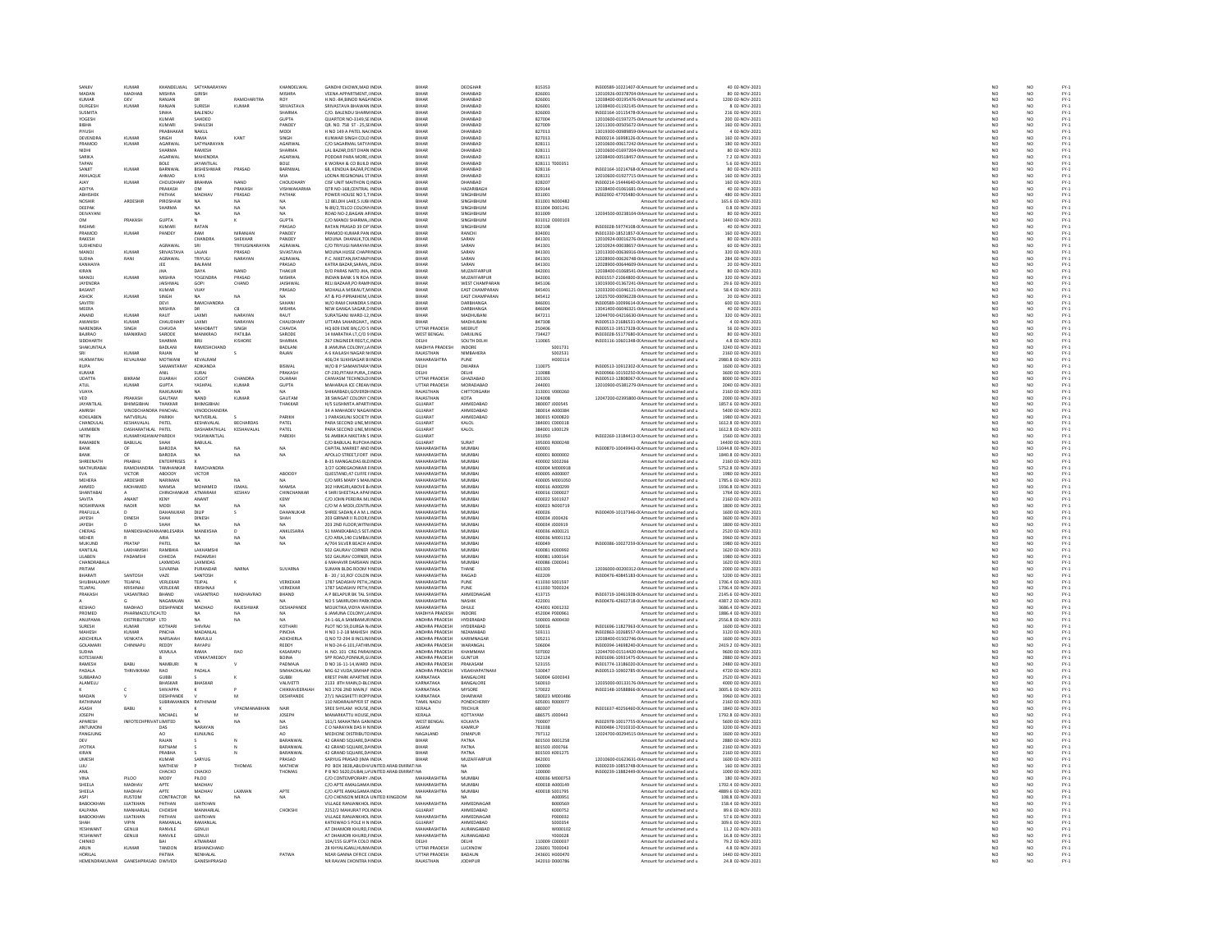| SANJIV                          | <b>KUMAR</b>                       | KHANDELWAL                      | SATYANARAYAN                           |                                   | KHANDELWAL                         | GANDHI CHOWK.MAD INDIA                                  | <b>RIHAR</b>                       | DEOGHAR                          | 815353                           | IN300589-10221407-0(Amount for unclaimed and u                                                   | 40 02-NOV-2021                            | NO <sub>1</sub>                   | NO                                                                  | FY-3<br>FY-3 |
|---------------------------------|------------------------------------|---------------------------------|----------------------------------------|-----------------------------------|------------------------------------|---------------------------------------------------------|------------------------------------|----------------------------------|----------------------------------|--------------------------------------------------------------------------------------------------|-------------------------------------------|-----------------------------------|---------------------------------------------------------------------|--------------|
| MADA<br>KUMAF                   | MADHA<br>DEV                       | MISHRA<br>RANJAN                | <b>GIRISH</b><br>DR                    | <b>RAMCHARITRA</b>                | <b>MISHRA</b><br>ROY               | VEENA APPARTMENT, INDIA<br>H.NO.-84, BINOD NAGA INDIA   | BIHA                               | DHANBAD<br>DHANBAD               | 826001<br>826001                 | 12010926-00378704-01Amount for unclaimed and u<br>12038400-00195476-01Amount for unclaimed and u | 80 02-NOV-2021<br>1200 02-NOV-2021        | $\frac{N}{N}$                     |                                                                     |              |
| <b>DURGESH</b>                  | <b>KUMAR</b>                       | RANJAN                          | SURESH                                 | <b>KUMAR</b>                      | SRIVASTAVA                         | SRIVASTAVA BHAWAN INDIA                                 | <b>BIHAF</b>                       | DHANBAD                          | 826001                           | 12038400-01192145-0 Amount for unclaimed and u                                                   | 8 02-NOV-2021                             | NO <sub>1</sub>                   | NO <sub>1</sub>                                                     |              |
| SUSMITA                         |                                    |                                 | BALENDU                                |                                   | HARMA                              | C/O. BALENDU SHARM INDU                                 |                                    | DHANBAD                          | 826003                           | IN302164-10115478-0(Amount for unclaimed and u                                                   | 216 02-NOV-202:                           |                                   |                                                                     |              |
| YOGESH<br><b>IBHA</b>           |                                    | <b>KUMAR</b><br>KUMAR           | SAHDEO<br>SHAILESH                     |                                   | <b>GUPTA</b><br>PANDEY             | QUARTOR NO-3149.SE INDIA<br>QR. NO. 758 ST - 25,51 INDU | <b>BIHAF</b><br>BIHAF              | DHANBAD<br><b>DUANDAR</b>        | 827004<br>827009                 | 12010600-01597275-0IAmount for unclaimed and u<br>12011300-00505672-0IAmount for unclaimed and u | 200 02-NOV-2021<br>160 02-NOV-2021        | NO <sub>1</sub><br>NO             | NO <sub>1</sub><br>NO                                               |              |
| PIYUSH                          |                                    | PRABHAKAR                       | NAKUL                                  |                                   | MODI                               | H NO 149 A PATEL NACINDIA                               | <b>BIHAF</b>                       | DHANBAD                          | 827013                           | 13019300-00989859-0IAmount for unclaimed and u                                                   | 4 02-NOV-2021                             | NO                                | NO                                                                  |              |
| DEVENDRA                        | KUMAI                              | SINGH                           | RAMA                                   | KANT                              | SINGH                              | KLINWAR SINGH COLO INDIA                                | RIHAR                              | DHANRAD                          | 827013                           | IN300214-16998126-0(Amount for unclaimed and u                                                   | 160.02-NOV-2021                           | NO                                | NO <sub>1</sub>                                                     |              |
| PRAMOD<br>NIDHI                 | KUMAF                              | AGARWAL<br>SHARMA               | SATYNARAYAN<br>RAMESH                  |                                   | AGARWA<br>SHARMA                   | C/O SAGARMAL SATYA INDIA<br>LAL BAZAR, DIST DHAN INDIA  | <b>BIHAF</b><br><b>BIHAF</b>       | DHANBAD<br>DHANBAD               | 828111<br>828111                 | 12010600-00617242-0IAmount for unclaimed and u<br>12010600-01697204-0IAmount for unclaimed and u | 180 02-NOV-2021<br>80 02-NOV-2021         | NO<br>NO                          | NQ<br>NO                                                            |              |
| SARIKA                          |                                    | AGARWAI                         | MAHENDRA                               |                                   | <b>AGARWAI</b>                     | PODDAR PARA MORE UNDU                                   | <b>BIHAF</b>                       | <b>DHANRAD</b>                   | 828111                           | 12038400-00518457-0IAmount for unclaimed and u                                                   | 7.2 02-NOV-2021                           | NO                                | NO<br>NO                                                            |              |
| TAPAN<br>SANIIT                 | KUMAR                              | BOLE<br>RARNWAL                 | <b>JAYANTILAL</b><br><b>RISHESHWAR</b> | PRASAD                            | BOLE<br>BARNWAL                    | K WORAH & CO BUILD INDIA<br>68 KENDUA BAZAR PEINDIA     | <b>BIHAF</b><br>RIHAR              | DHANBAD<br>DHANRAD               | 828111 T000351<br>828116         | Amount for unclaimed and u<br>IN302164-10214768-0(Amount for unclaimed and u                     | 5.6 02-NOV-2021<br>80.02-NOV-2021         | NO<br>NO <sub>1</sub>             | NO <sub>1</sub>                                                     |              |
| AKHLAQUE                        |                                    | AHMAD                           | <b>ILYAS</b>                           |                                   | MIA                                | LODNA REGINONAL STINDU                                  | BIHA                               | DHANBAD                          | 828131                           | 12010600-01927715-0IAmount for unclaimed and u                                                   | 160 02-NOV-2021                           | $\overline{N}$                    | $\overline{NQ}$                                                     |              |
| AJAY                            | <b>KUMAF</b>                       | CHOUDHARY                       | BRAHMA                                 | NAND                              | CHOUDHARY                          | CISE UNIT MAITHON Q INDIA                               | <b>BIHAF</b>                       | DHANBAD                          | 828207                           | IN300214-15444640-0(Amount for unclaimed and u                                                   | 160 02-NOV-2021                           | NO <sub>1</sub>                   | NO <sub>1</sub>                                                     |              |
| ADITYA                          |                                    | PRAKASH                         | OM                                     | PRAKAS                            | VISHWAKARMA                        | QTR NO-168, CENTRAL IND                                 | <b>BIHAF</b>                       | HAZARIBAG                        | 829144                           | 12038400-01061681-0IAmount for unclaimed and u                                                   | 40 02-NOV-2023                            | NO                                | NO                                                                  |              |
| ABHISHEK<br>NOSHIR              | ARDESHIR                           | PATHAK<br>PIROSHAW              | MADHA\<br><b>NA</b>                    | PRASAD<br>NA                      | PATHAK<br>MA.                      | POWER HOUSE NO 5,T INDIA<br>12 BELDIH LAKE 5 JUBI INDIA | <b>BIHAF</b><br><b>BIHAF</b>       | SINGHBHUM<br>SINGHBHUM           | 831001<br>831001 N000482         | IN302902-47705480-0(Amount for unclaimed and u<br>Amount for unclaimed and u                     | 480 02-NOV-2021<br>165.6 02-NOV-2021      | NO<br>NO                          | $\frac{NO}{NO}$                                                     |              |
| DEEPAR                          |                                    | <b>HARMA</b>                    |                                        |                                   |                                    | N-89/2,TELCO COLON\INDU                                 | BIHA                               | SINGHBHUN                        | 831004 D001241                   | Amount for unclaimed and u                                                                       | 0.8 02-NOV-2021                           | NO                                | NO                                                                  |              |
| DEIVAYANI                       |                                    | GUPTA                           | <b>NA</b>                              | NA                                |                                    | ROAD NO-2, BAGAN AF INDIA                               | <b>BIHAF</b>                       | SINGHBHUM                        | 831009                           | 12034500-00238104-0(Amount for unclaimed and u                                                   | 80 02-NOV-2021                            | NO <sub>1</sub>                   | NO <sub>1</sub>                                                     |              |
| RASHMI                          | PRAKASH                            | KUMARI                          | RATAN                                  |                                   | <b>GUPTA</b><br>PRASAD             | C/O MANOJ SHARMA, INDI<br>RATAN PRASAD 39 OP' INDIA     | BIHAP<br><b>BIHAF</b>              | SINGHBHUN<br>SINGHBHUM           | 831012 0000103<br>832108         | Amount for unclaimed and u<br>IN303028-59774108-0(Amount for unclaimed and u                     | 1440 02-NOV-2021<br>40 02-NOV-2021        | NO<br>NO                          | NO<br>NO                                                            |              |
| PRAMOD                          | KUMAF                              | PANDEY                          | RAM                                    | <b>NIRANIAN</b>                   | PANDEY                             | PRAMOD KUMAR PAN INDIA                                  | RIHAR                              | RANCHI                           | 834001                           | IN301330-18521857-0(Amount for unclaimed and u                                                   | 160.02-NOV-2021                           | NO                                | NO<br>NO                                                            |              |
| RAKESH                          |                                    |                                 | CHANDRA                                | SHEKHAR                           | PANDEY                             | MOUNA DHANUK, TOLINDIA                                  | <b>BIHAF</b>                       | SARAN                            | 841301                           | 12010924-00016276-0IAmount for unclaimed and u                                                   | 80 02-NOV-2021                            | NO                                |                                                                     |              |
| SUDHENDL<br>MANOJ               | KUMAI                              | AGRAWAL<br>SRIVASTAVA           | LALAN                                  | <b>TRIVUGINAR</b><br><b>RASAD</b> | AGRAWAL<br>SIVASTAVA               | C/O TRIVUGI NARAYAN INDIA                               | RIHAR<br>BIHAP                     | SARAN                            | 841301<br>841301                 | 12010924-00038657-0LAmount for unclaimed and u<br>12013300-00636916-0IAmount for unclaimed and u | 60.02-NOV-2021<br>320 02-NOV-2021         | NO<br>NO                          | $\mathbf{M}$                                                        |              |
| SUDHA                           | RANI                               | AGRAWAL                         | TRIYUGI                                | NARAYAN                           | AGRAWAL                            | P.C. NIKETAN.RATANPUNDIA                                | <b>BIHAF</b>                       | SARAN                            | 841301                           | 12028900-00626748-0IAmount for unclaimed and u                                                   | 284 02-NOV-2021                           | NO                                | NO<br>NO                                                            |              |
| KANHAIYA                        |                                    | IFF                             | RAIRAM                                 |                                   | PRASAD                             | KATRA BAZAR SARAN INDIA                                 | RIHAR                              | SARAN                            | 841301                           | 12028900-00644609-0LAmount for unclaimed and u                                                   | 20.02-NOV-2021                            | NO <sub>1</sub>                   | NO <sub>1</sub>                                                     |              |
| KIRAN<br>MANOJ                  | <b>KUMAF</b>                       | <b>MISHRA</b>                   | DAYA<br><b>YOGENDRA</b>                | NAND<br>PRASAD                    | THAKUR<br>MISHRA                   | D/O PARAS NATD JHA, INDIA<br>INDIAN BANK S N ROA INDIA  | BIHAF<br><b>BIHAF</b>              | MUZAFFARPUR<br>MUZAFFARPUR       | 842001<br>842001                 | 12038400-01068541-0IAmount for unclaimed and u<br>IN301557-21064800-0(Amount for unclaimed and u | 80 02-NOV-2021<br>320 02-NOV-2021         | NO<br>NO <sub>1</sub>             | NQ<br>NO <sub>1</sub>                                               |              |
| JAYENDR                         |                                    | JAISHWA                         | GOPI                                   | CHAND                             | JAISHWA                            | RELI BAZAAR, PO RAMI INDI                               | BIHA                               | WEST CHAMPARA                    | 845106                           | 13019300-01367241-0IAmount for unclaimed and u                                                   | 29.6 02-NOV-2021                          | NO                                | NQ                                                                  |              |
| BASANT                          |                                    | KUMAR                           | VIJAY                                  |                                   | PRASAD                             | MOHALLA MISKAUT.M INDIA                                 | <b>BIHAF</b>                       | EAST CHAMPARAN                   | 845401                           | 12033200-01046121-0 Amount for unclaimed and u                                                   | 58.4 02-NOV-2021                          | NO <sub>1</sub>                   | NO <sub>1</sub>                                                     |              |
| ASHOI                           | KUMAI                              | <b>SINGH</b>                    |                                        | NA                                |                                    | AT & PO-PIPRAKHEM, INDIA                                | <b>BIHAF</b>                       | <b>EAST CHAMPARAM</b>            | 845412                           | 12025700-00096228-0IAmount for unclaimed and u                                                   | 20 02-NOV-2023                            | $\overline{\mathsf{NC}}$          | $\frac{10}{10}$                                                     |              |
| SAVITRI<br>MEERA                |                                    | DEVI<br>MISHRA                  | RAMCHANDRA<br>DR.                      | CB                                | SAHANI<br>MISHRA                   | W/O RAM CHANDRA S INDIA<br>NEW GANGA SAGAR.D INDIA      | <b>BIHAF</b><br><b>BIHAR</b>       | DARBHANGA<br>DARBHANGA           | 846001<br>846004                 | IN300589-10099614-0(Amount for unclaimed and u<br>13041400-06046321-0 Amount for unclaimed and u | 600 02-NOV-2021<br>40 02-NOV-2021         | NO<br>NO <sub>1</sub>             | NO <sub>1</sub>                                                     |              |
| ANAND                           | KUMAF                              | RAUT                            | LAXMI                                  | <b>NARAYAM</b>                    | RAUT                               | SURATGANJ WARD-12 INDL                                  |                                    | MADHUBAN                         | 847211                           | 12044700-04216630-0IAmount for unclaimed and u                                                   | 320 02-NOV-2021                           | NO                                | NO                                                                  |              |
| <b>AWANISH</b>                  | <b>KUMAR</b>                       | <b>CHAUDHART</b>                | LAXMI                                  | NARAYAN                           | <b>CHAUDHARY</b>                   | UTTARA SAHARGHAT., INDIA                                | <b>BIHAF</b>                       | MADHUBANI                        | 847308                           | IN300513-21686531-0(Amount for unclaimed and u                                                   | 4 02-NOV-2021                             | NO <sub>1</sub>                   | NO <sub>1</sub>                                                     |              |
| NARENDRA                        | SINGH                              | CHAVDA                          | MAHORATI                               | SINGH                             | CHAVDA                             | HO 609 EME BN.C/O 5 INDIA                               | <b>UTTAR PRADES</b>                | MEERLIT                          | 250406                           | ---------<br>N300513-19517328-0(Amount for unclaimed and u                                       | 56 02-NOV-2021                            | NO                                | NO<br>NO                                                            |              |
| BAJIRAO<br>SIDDHARTH            | MANIKRAO                           | SARODE<br><b>SHARMA</b>         | MANIKRAO<br><b>BRIL</b>                | PATILBA<br>KISHORE                | SARODE<br>SHARMA                   | 14 MARATHA LT,C/O 9 INDIA<br>267 ENGINEER REGT C INDIA  | <b>WEST BENGAL</b><br><b>DELHI</b> | DARJILING<br>SOUTH DELHI         | 734427<br>110065                 | IN303028-55177680-0(Amount for unclaimed and u<br>IN303116-10601348-0(Amount for unclaimed and u | 80 02-NOV-2021<br>4.8.02-NOV-2021         | NO<br>NO <sub>1</sub>             | NO <sub>1</sub>                                                     |              |
| SHAKUNTAL                       |                                    | BADLANI                         | RAMESHCHANI                            |                                   | BADLANI                            | 8 JAMUNA COLONY, LA INDU                                | MADHYA PRADESH                     | INDORE                           | S001731                          | Amount for unclaimed and u                                                                       | 3240 02-NOV-2021                          | $\overline{NQ}$                   | $\overline{NQ}$                                                     |              |
|                                 | <b>KUMAR</b>                       | RAJAN                           |                                        | s                                 | RAJAN                              | A 6 KAILASH NAGAR N INDIA                               | RAJASTHAN                          | NIMBAHERA                        | S002531                          | Amount for unclaimed and u                                                                       | 2160 02-NOV-2021                          | NO<br>NO                          |                                                                     |              |
| .<br>HI IKMATRAI<br><b>RUPA</b> | <b>KEVALRAN</b>                    | MOTWANI<br>SAMANTARAY           | <b>KEVALBAN</b><br>ADIKANDA            |                                   | BISWAL                             | 406/24 SUKHSAGAR RUNDH<br>W/O B P SAMANTARA' INDIA      | MAHARASHTRA<br>DELHI               | PLINE<br><b>DWARKA</b>           | H000114<br>110075                | Amount for unclaimed and u<br>IN300513-10912302-0(Amount for unclaimed and u                     | 480 8 02-NOV-2021<br>1600 02-NOV-2021     | NO                                | $\begin{array}{c} \tt NO \\ \tt NO \\ \tt NO \\ \tt NO \end{array}$ |              |
| KUMAR                           |                                    | ANII                            | SURAL                                  |                                   | PRAKASH                            | CP-230 PITAM PURA TINDIA                                | <b>DELLI</b>                       | <b>DELHI</b>                     | 110088                           | IN300966-10150250-00Amount for unclaimed and u                                                   | 3600.02-NOV-2021                          | NO <sub>1</sub>                   | $\mathbf{M}$                                                        |              |
| UDATTA                          | BIKRAM                             | DUARAH                          | <b>JOGOT</b>                           | CHANDRA                           | DUARAH                             | CANVASM TECHNOLOUNDI                                    | UTTAR PRADESH                      | GHAZIABAD                        | 201301                           | IN300513-12808067-0(Amount for unclaimed and u                                                   | 8000 02-NOV-2021                          | $\overline{N}$                    | $\overline{NQ}$                                                     |              |
| ATUL                            | <b>KUMAR</b>                       | <b>GUPTA</b>                    | YASHPAL                                | <b>KUMAR</b>                      | <b>GUPTA</b>                       | MAHARAJA ICE CREAN INDIA                                | UTTAR PRADESH                      | MORADABAD                        | 244001                           | 12010900-05381279-0(Amount for unclaimed and u                                                   | 2040 02-NOV-2021                          | NO <sub>1</sub>                   | NO <sub>1</sub>                                                     |              |
| VUAYA<br>VED                    | PRAKASH                            | RAJKUMAR<br>GAUTAM              | NAND                                   | <b>KUMAR</b>                      | GAUTAM                             | IKARBADI, GOVERDI- INDI<br>38 SWAGAT COLONY CINDIA      | <b>AJASTHAN</b><br>RAJASTHAN       | CHITTORGARH<br>KOTA              | 313001 V000260<br>324008         | Amount for unclaimed and u<br>12047200-02395800-0 Amount for unclaimed and u                     | 2160 02-NOV-202:<br>2000 02-NOV-2021      | NO                                | NO<br>NO                                                            |              |
| <b>JAYANTILAI</b>               | RHIMGIRHA                          | THAKKAR                         | RHIMGIRHA                              |                                   | THAKKAR                            | H/S SUSHMITA APART INDIA                                | GUIARAT                            | AHMEDARAD                        | 280007 1000545                   | Amount for unclaimed and u                                                                       | 1857.6 02-NOV-2021                        | NO                                | NO                                                                  |              |
| AMRISH                          | VINODCHANDRA PANCHAL               |                                 | VINODCHANDRA                           |                                   |                                    | 34 A MAHADEV NAGAI INDIA                                | GUJARAT                            | AHMEDABAD                        | 380014 A000384                   | Amount for unclaimed and u                                                                       | 5400 02-NOV-2021                          | NO                                | NO<br>NO                                                            |              |
| KOKILABEN<br>CHANDULA           | NATVERLAL                          | PARIKH<br>PATEL                 | NATVERLAL                              | <b>RECHARDAS</b>                  | PARIKH                             | 1 PARASKUNJ SOCIETY INDIA                               | GUJARAT<br><b>SLUARAT</b>          | AHMEDABAD                        | 380015 K000820<br>sanni connais  | Amount for unclaimed and u                                                                       | 1980 02-NOV-2021<br>612.8 02-NOV-2023     | NO <sub>1</sub><br>N <sub>c</sub> |                                                                     |              |
| LAXMIBEN                        | KESHAVALAL<br>DASHARATHLAL PATEL   |                                 | KESHAVALAL<br>DASHARATHLAL             | KESHAVALAL                        | PATEL<br>PATEL                     | PARA SECOND LINE, MI INDL<br>PARA SECOND LINE, MI INDIA | GUJARAT                            | KALOL<br>KALOL                   | 384001 L000129                   | Amount for unclaimed and u<br>Amount for unclaimed and u                                         | 1612.8 02-NOV-2021                        | NO                                | $\frac{10}{10}$                                                     |              |
| NITIN                           | KLIMARYASHWANPAREKH                |                                 | <b>YASHWANTLAL</b>                     |                                   | PAREKH                             | <b>56 AMBIKA NIKETAN S INDIA</b>                        | GUIARAT                            |                                  | 0201050                          | IN302269-13184413-0(Amount for unclaimed and u                                                   | 1560.02-NOV-2021                          | NO                                | NO <sub>1</sub>                                                     |              |
| RAMABEI                         | BABULAL                            | SHAH                            | BABULAL                                |                                   |                                    | C/O BABULAL RUPCHA INDIA                                | GUJARAT                            | SURAT                            | 395003 R000248                   | Amount for unclaimed and u                                                                       | 14400 02-NOV-2021                         | NO                                | NQ                                                                  |              |
| RANK                            | $\alpha$                           | RARODA<br>BARODA                | NA<br><b>NA</b>                        | NA                                | <b>NA</b><br>NA                    | CAPITAL MARKET AND INDIA<br>APOLLO STREET, FORT INDU    | MAHARASHTRA<br>MAHARASHTRA         | MUMRAI<br>MUMBA                  | 400001<br>400001 B000002         | IN300870-10049943-00 Amount for unclaimed and u                                                  | 11044 8 02-NOV-2021<br>1840.8 02-NOV-2021 | NO<br>NO                          | NQ<br>NQ                                                            |              |
| BANK<br>SHREENATH               | PRABHU                             | <b>ENTERPRISES</b>              |                                        |                                   |                                    | <b>B-35 MANGALDAS BLD INDIA</b>                         | MAHARASHTRA                        | MUMBAI                           | 400002 S002266                   | Amount for unclaimed and u<br>Amount for unclaimed and u                                         | 2160 02-NOV-2021                          |                                   |                                                                     |              |
| <b>MATHURABA</b>                | <b>RAMCHANDRA</b>                  | TAMHANKAR                       | RAMCHANDRA                             |                                   |                                    | 3/27 GORFGAONKAR FINDL                                  | MAHARASHTRA                        | MUMRAL                           | 400004 MOD0918                   | Amount for unclaimed and u                                                                       | 5752.8.02-NOV-2021                        | NO<br>NO                          | NO<br>NO                                                            |              |
| <b>EVA</b>                      | VICTOR                             | ABOODY                          | VICTOR                                 |                                   | ABOODY                             | QUESTAND, 47 CUFFE FINDIA                               | MAHARASHTRA                        | MUMBA                            | 400005 A000007                   | Amount for unclaimed and u                                                                       | 1980 02-NOV-2021                          | NO                                | NQ                                                                  |              |
| MEHERA<br>AHMED                 | ARDESHIR<br>MOHAMED                | NARIMAN<br>MAMSA                | <b>NA</b><br>MOHAMED                   | NA                                | MAMSA                              | C/O MRS MARY S MAN INDIA<br>302 HIMGIRI, ABOVE B. INDU  | MAHARASHTRA<br>MAHARASHTRA         | MUMBAI<br>MUMBA                  | 400005 M001050<br>400016 A000299 | Amount for unclaimed and u<br>Amount for unclaimed and u                                         | 1785.6 02-NOV-2021<br>1936.8 02-NOV-2021  | NO <sub>1</sub><br>NO             | NO <sub>1</sub><br>NO                                               |              |
| SHANTABAL                       |                                    | CHINCHANKAR ATMARAM             |                                        | KESHAV                            | CHINCHANKAR                        | 4 SHRI SHEETALA APAFINDIA                               | MAHARASHTRA                        | MUMBAI                           | 400016 C000027                   | Amount for unclaimed and u                                                                       | 1764 02-NOV-2021                          | NO <sub>1</sub>                   | NO <sub>1</sub>                                                     |              |
| <b>SAVITA</b>                   | AMANT                              | KENY                            | ANANT                                  |                                   | KENY                               | C/O JOHN PEREIRA MILINDIA                               | <b>MAHARASHTRA</b>                 | <b>MUMRA</b>                     | 400022 S001927                   | Amount for unclaimed and u                                                                       | 2160 02-NOV-2021                          | NO                                | NO                                                                  |              |
| <b>NOSHIRWAN</b><br>PRAFILILA   | <b>NADIR</b>                       | MODI<br><b>DAHANLIKAR</b>       | NA<br><b>DILIP</b>                     | NA                                | NA.<br><b>DAHANLIKAS</b>           | C/O M A MODI, CENTR INDIA<br>SHREE SADAN.4 A M.L INDIA  | MAHARASHTRA<br>MAHARASHTRA         | MUMBAI<br>MUMRAL                 | 400023 N000719<br>30004          | Amount for unclaimed and u<br>IN300409-10137346-0(Amount for unclaimed and u                     | 1800 02-NOV-2021<br>1600.02-NOV-2021      | NO                                | NO                                                                  |              |
| <b>IAYESH</b>                   | DINESH                             |                                 | DINESH                                 |                                   |                                    | 203 GIRNAR II FLOOR, INDU                               | <b>MAHARASHTR</b>                  | MUMBA                            | 100034 J000426                   | Amount for unclaimed and u                                                                       | 00 02-NOV-2021                            | NC<br>NC                          | NO<br>NO                                                            |              |
| JAYESH                          |                                    | SHAH                            | <b>NA</b>                              | NA                                | NA.                                | 203 2ND FLOOR, WITN INDIA                               | MAHARASHTRA                        | MUMBAI                           | 400034 J000919                   | Amount for unclaimed and u                                                                       | 1800 02-NOV-2021                          | NO                                | NO                                                                  |              |
| CHERAG                          | <b>MANEK</b>                       | ANKI FSARIA                     | MANEKSHA                               | D                                 | ANKLESARIA                         | 51 MANEKARAD 5 SET INDU                                 | MAHARASHTRA                        | MUMRAL                           | 400036 4000121                   | Amount for unclaimed and u                                                                       | 2520 02-NOV-2021                          | NO                                | NO                                                                  |              |
| MEHER<br><b>MUKUND</b>          | PRATAP                             | ARIA<br>PATEL                   | <b>NA</b><br><b>MA</b>                 | NA                                | NA<br>NA                           | C/O ARIA, 140 CUMBALINDIA<br>A/704 SILVER REACH A INDIA | MAHARASHTRA<br>MAHARASHTRA         | MUMBA<br>MUMRAL                  | 400036 M001152<br>annnag         | Amount for unclaimed and u<br>IN300386-10027259-0(Amount for unclaimed and u                     | 3960 02-NOV-2021<br>1980 02-NOV-2021      | NO<br>NO                          | NO<br>NO <sub>1</sub>                                               |              |
| KANTILAL                        | LAKHAMSH                           | RAMBHIA                         | LAKHAMSH                               |                                   |                                    | 502 GAURAV CORNER INDIA                                 | MAHARASHTRA                        | MUMBA                            | 400081 K000992                   | Amount for unclaimed and u                                                                       | 1620 02-NOV-2021                          | NO                                | $\overline{NQ}$                                                     |              |
| LILABEN                         | PADAMSHI                           | CHHEDA                          | PADAMSHI                               |                                   |                                    | 502 GAURAV CORNER, INDIA                                | MAHARASHTRA                        | MUMBAI                           | 400081 L000164                   | Amount for unclaimed and u                                                                       | 1980 02-NOV-2021                          | NO <sub>1</sub>                   | NO <sub>1</sub>                                                     |              |
| CHANDRABAL<br>PRITAM            |                                    | LAXMIDA<br>SUVARNA              | LAXMIDAS<br>PURANDAR                   | NARNA                             | SUVARNA                            | 6 MAHAVIR DARSHAN INDL<br>SUMAN BLDG ROOM I INDIA       | <b>MAHARASHTRA</b><br>MAHARASHTRA  | MUMBA<br>THANE                   | 400086 C000341<br>401303         | Amount for unclaimed and u<br>12036000-00200312-0 Amount for unclaimed and u                     | 1620 02-NOV-2021<br>2000 02-NOV-2021      | NO                                | NO                                                                  |              |
| RHARATI                         | SANTOSH                            | VAZE                            | <b>SANTOSH</b>                         |                                   |                                    | B - 20 / 10 BCE COLON INDIA                             | MAHARASHTRA                        | RAIGAD                           | 402209                           | IN300476-40845183-0(Amount for unclaimed and u                                                   | 5200.02-NOV-2021                          | NO<br>NO                          | NO<br>NO                                                            |              |
| SHUBHALAXM                      | TEJAPAL                            | VERLEKAR                        | TEJPAL                                 | ĸ                                 | VERKEKAR                           | 1787 SADASHIV PETH, INDU                                | MAHARASHTRA                        | PUNE                             | 411030 S00159                    | Amount for unclaimed and u                                                                       | 1706.4 02-NOV-2021                        | NO                                | NO                                                                  |              |
| TEJAPAL<br>RAKASH               | KRISHNAJI<br>VASANTRAC             | VERLEKAR<br>BHAND               | KRISHNAJI<br>VASANTRAC                 | MADHAVRAC                         | VERKEKAR<br>BHAND                  | 1787 SADASHIV PETH.I INDIA<br>A P BELAPUR BK TAL SHNDL  | MAHARASHTRA<br><b>MAHARASHTRA</b>  | PUNE<br>AHMEDNAGAR               | 411030 T000324<br>413715         | Amount for unclaimed and u<br>IN303719-10461928-0(Amount for unclaimed and u                     | 1706.4 02-NOV-2021<br>2145.6 02-NOV-202:  | NO <sub>1</sub><br>N <sub>c</sub> | NO <sub>1</sub>                                                     |              |
|                                 |                                    | NAGARAJAN                       | NA                                     | NA.                               | NA.                                | NO 5 SAMRUDHI PARKINDIA                                 | MAHARASHTRA                        | NASHIK                           | 422001                           | IN300476-42602718-0(Amount for unclaimed and u                                                   | 4387.2 02-NOV-2021                        | NO                                | NO<br>NO                                                            |              |
| KESHAO                          | MADHAO                             | DESHPANDE                       | MADHAO                                 | RAIFSHWA                          | DESHAPANDI                         | MOUKTIKA.VIDYA WAI INDIA                                | MAHARASHTRA                        | DHULE                            | 424001 K001232                   | Amount for unclaimed and u                                                                       | 3686 4 02-NOV-2021                        | NO                                | NO<br>NO                                                            |              |
| PROMED                          | PHARMACEUTICALTD                   |                                 | <b>NA</b>                              | NA.                               | NA                                 | 6 JAMUNA COLONY, LA INDIA                               | MADHYA PRADESH                     | INDORE                           | 452004 P000961                   | Amount for unclaimed and u                                                                       | 1886.4 02-NOV-2021                        | NO                                |                                                                     |              |
| <b>ANLIPAMA</b><br>SURESH       | DISTRIBUTORSP ITD<br><b>KLIMAR</b> |                                 | <br>SHIVRAI                            | NA.                               | MA.<br><b>KOTHAR</b>               | 24-1-66 A SAMRAMURINDIA<br>PLOT NO 59,DURGA N/INDL      | ANDHRA PRADES-<br>ANDHRA PRADES    | HYDERARAD<br>HYDERARAD           | soona annoan                     | Amount for unclaimed and u<br>IN301696-11827963-0 Amount for unclaimed and u                     | 2556.8.02-NOV-2021<br>1600 02-NOV-2023    | NC<br>NC                          | NO<br>NO                                                            |              |
| MAHESH                          | KUMAR                              | PINCHA                          | MADANLAL                               |                                   | PINCHA                             | H NO 1-2-18 MAHESH INDIA                                | ANDHRA PRADESH                     | NIZAMABAD                        | 503111                           | IN302863-10268557-0(Amount for unclaimed and u                                                   | 3120 02-NOV-2021                          | NO                                | NO                                                                  |              |
| <b>ADICHERLA</b>                | VENKATA                            | <b>NARSAIAH</b>                 | RAMILLI                                |                                   | ADICHERLA                          | O NO T2-294 & INCLINI INDIA                             | ANDHRA PRADES-                     | KARIMNAGAL                       | 505211                           | 12038400-01502746-0(Amount for unclaimed and u                                                   | 1600.02-NOV-2021                          | NO                                | NO<br>NO                                                            |              |
| GOLAMARI<br>SUDHA               | CHINNAPU                           | <b>REDDY</b><br><b>VEMILA</b>   | RAYAPU<br>RAMA                         | <b>BAO</b>                        | REDDY<br>KASARAPU                  | H NO-24-6-101, FATHIN INDIA<br>H NO. 101 CRG PARAUNDIA  | ANDHRA PRADESH<br>ANDHRA PRADESH   | WARANGAL<br>KHAMMAM              | 506004<br>507002                 | IN300394-14698240-0(Amount for unclaimed and u<br>12044700-01514420-0LAmount for unclaimed and u | 2419.2 02-NOV-2021<br>9600.02-NOV-2021    | NO<br>NO <sub>1</sub>             | NQ                                                                  |              |
| KOTESWAR                        |                                    |                                 | VENKATAREDD                            |                                   | BOINA                              | SPP ROAD, PONNUR, GLINDL                                | ANDHRA PRADESH                     | GUNTUR                           | 522124                           | IN301696-10931475-0(Amount for unclaimed and u                                                   | 2880 02-NOV-2021                          | NO                                | NO                                                                  |              |
| RAMESH                          | <b>BABU</b>                        | NAMBURI                         |                                        |                                   | PADMAJA                            | D NO 16-11-14 WARD INDIA                                | ANDHRA PRADESH                     | PRAKASAM                         | 523155                           | IN301774-13186020-0(Amount for unclaimed and u                                                   | 2480 02-NOV-2021                          | NO <sub>1</sub>                   | NO <sub>1</sub>                                                     |              |
| PADALA<br>SUBBARAC              | <b>THRIVIKRAN</b>                  | RAO<br><b>GUBBI</b>             | <b>ADALA</b>                           |                                   | <b>SIMHACHALAM</b><br><b>GUBBI</b> | MIG 62 VUDA, SIMHAP INDU<br>KREST PARK APARTME INDU     | MDHRA PRADES<br>KARNATAKA          | <b>USAKHAPATNAI</b><br>BANGALORE | 560004 G000343                   | N300513-10902785-0(Amount for unclaimed and u<br>Amount for unclaimed and u                      | 4720 02-NOV-2021<br>2520 02-NOV-2021      | $\frac{N}{N}$                     | $\begin{array}{c} 10 \\ \text{NQ} \\ \text{NQ} \end{array}$         |              |
| ALAMELU                         |                                    | BHASKAR                         | BHASKAR                                |                                   | VALIVETTI                          | 2133 STH MAIN.D-BLC INDIA                               | KARNATAKA                          | BANGALORE                        | 560010                           | 12035000-00133176-0IAmount for unclaimed and u                                                   | 4000 02-NOV-2021                          | NO <sub>1</sub>                   | NO <sub>1</sub>                                                     |              |
|                                 |                                    | SHIVAPPA                        |                                        |                                   | CHIKKAVEERAIA                      | NO 1706 2ND MAIN,F INDU                                 | KARNATAKA                          | MYSORE                           | 570022                           | IN302148-10588866-0(Amount for unclaimed and u                                                   | 005.6 02-NOV-2021                         | NO                                | NO                                                                  |              |
| MADAN<br>RATHINAN               |                                    | DESHPANDE<br><b>I IDD ANAAN</b> |                                        | м                                 | DESHPANDE                          | 27/1 NAGSHETTI ROPP INDIA<br>110 NIDARAJAPYER ST INDU   | KARNATAKA<br>TAMIL NADL            | DHARWAR<br>PONDICHERRY           | 580023 M001486                   | Amount for unclaimed and u                                                                       | 3960 02-NOV-2021<br>2160 02-NOV-2021      | NO <sub>1</sub><br>NO             | NO <sub>1</sub><br>NO                                               |              |
| ASASH                           | <b>BABU</b>                        |                                 |                                        | VPAD                              | NAIR                               | SREE SHYLAM HOUSE, INDIA                                | KERALA                             | TRICHUR                          | 605001 R000977<br>680307         | Amount for unclaimed and u<br>IN301637-40256460-0(Amount for unclaimed and u                     | 1840 02-NOV-2021                          | NO                                | NO                                                                  |              |
| <b>IOSEPH</b>                   |                                    | MICHAEL                         | Á.                                     |                                   | <b>JOSEPH</b>                      | MANARKATTLI HOUSE INDIA                                 | KERALA                             | KOTTAYAM                         | 686575 1000443                   | Amount for unclaimed and u                                                                       | 1792.8 02-NOV-2021                        | NO                                | NO<br>NO                                                            |              |
| APARESH                         | INFOTECHPRIVAT LIMITED             |                                 |                                        | NA.                               | NA.                                | 161/1 MAHATMA GAN INDIA                                 | <b>WEST BENGAL</b>                 | KOLKATA                          | 700007                           | IN302978-10017755-0(Amount for unclaimed and u                                                   | 5600 02-NOV-2021                          | NO                                |                                                                     |              |
| <b>JINTUMON</b><br>PANGJUNO     |                                    | DAS                             | NARAYAN<br>KUNJUNG                     |                                   | DAS<br>ΔO                          | C O NARAYAN DAS H N INDIA<br>MEDICINE DISTRIBUTC INDU   | ASSAM<br><b>NAGALAND</b>           | KAMRUP<br><b>DIMAPLIE</b>        | 781038<br>797112                 | IN300484-17010310-0(Amount for unclaimed and u<br>12024700-00294515-0IAmount for unclaimed and u | 3200 02-NOV-2021<br>600.02-NOV-2021       | NO<br>NO                          | $\frac{NO}{NO}$                                                     |              |
| DEV                             |                                    | RAJAN                           |                                        |                                   | BARANWAI                           | 42 GRAND SQUARE, DA INDIA                               | <b>BIHAF</b>                       | PATNA                            | 801503 0001258                   | Amount for unclaimed and u                                                                       | 2880 02-NOV-2021                          | NO                                | NO                                                                  |              |
| <b>IVOTIKA</b>                  |                                    | RATNAM                          |                                        |                                   | RARANWAL                           | 42 GRAND SOLIARE DAINDIA                                | RIHAR                              | PATNA                            | 801503 1000766                   | Amount for unclaimed and u                                                                       | 2160.02-NOV-2021                          | NO <sub>1</sub>                   | NO <sub>1</sub>                                                     |              |
| KIRAN<br>UMESH                  |                                    | PRABHA<br>KUMAR                 | SARYUG                                 |                                   | BARANWAI<br>PRASAD                 | 42 GRAND SQUARE, DA INDIA<br>SARYUG PRASAD (IMA INDIA   | <b>BIHAF</b><br><b>BIHAF</b>       | PATNA<br>MUZAFFARPUF             | 801503 K001275<br>842001         | Amount for unclaimed and u<br>12010600-01623631-0 Amount for unclaimed and u                     | 2160 02-NOV-2021<br>1600 02-NOV-2021      | NO<br>NO <sub>1</sub>             | NQ<br>NO <sub>1</sub>                                               |              |
|                                 |                                    | MATHEW                          |                                        | THOMA                             | MATHEW                             | PO BOX 3838, ABUDH/ UNITED ARAB EMIRA'                  |                                    |                                  | 100000                           | N300239-10853748-0(Amount for unclaimed and u                                                    | 160 02-NOV-2021                           |                                   | NO                                                                  |              |
| ANIL                            |                                    | CHACKO                          | CHACKO                                 |                                   | THOMAS                             | P B NO 5620.DUBAI.U/ UNITED ARAB EMIRATINA              |                                    |                                  | 100000                           | IN300239-13882449-0(Amount for unclaimed and u                                                   | 1000 02-NOV-2021                          | NO <sub>1</sub>                   | NO <sub>1</sub>                                                     |              |
| VINA<br>SHEELA                  | PILOD                              | MODY<br>APTE                    | PILOO                                  |                                   |                                    | C/O CONTEMPORARY . INDIA<br>C/O APTE AMALGAMA INDIA     | MAUARACUTRA                        | MUMBAI<br>MUMBAI                 | 400036 M000753                   | Amount for unclaimed and u<br>Amount for unclaimed and u                                         | 180 02-NOV-2021<br>1702.4 02-NOV-2021     | NC<br>NC                          | NO<br>NO                                                            |              |
| SHEELA                          | MADHAV<br>MADHAV                   | APTE                            | <b>MADHA</b><br>MADHAV                 | LAXMAN                            | APTE                               | C/O APTE AMALGAMA INDIA                                 | <b>MAHARASHTRA</b><br>MAHARASHTRA  | MUMBAI                           | 400018 A000149<br>400018 S001795 | Amount for unclaimed and u                                                                       | 4889.6 02-NOV-2021                        | NO <sub>1</sub>                   | NO <sub>1</sub>                                                     |              |
|                                 | <b>RUSTON</b>                      | CONTRACTO                       |                                        |                                   |                                    | C/O CHENSON MERCA UNITED KINGDOM                        |                                    |                                  |                                  | Amount for unclaimed and u                                                                       | 108.8 02-NOV-2023                         |                                   | NO                                                                  |              |
| BABOOKHAN                       | ШАТКНАМ                            | PATHAN                          | <b>UJATKHAN</b>                        |                                   |                                    | VILLAGE RANJANKHOL INDIA                                | MAHARASHTRA                        | AHMEDNAGAR                       | B000569                          | Amount for unclaimed and u                                                                       | 158.4 02-NOV-2021                         | NO                                | NO                                                                  |              |
| KAI PANA                        | MANHARLI                           | CHOKSHI                         | MANHARI AL                             |                                   | CHOKSH                             | 2252/2 MAHURAT POLINDIA                                 | GUIARAT                            | AHMEDARAD                        | KODO752                          | Amount for unclaimed and u                                                                       | 89.6 02-NOV-2021                          | NO                                | NO<br>NO                                                            |              |
| BABOOKHAI<br>SHAH               | ШАТКНАМ<br>VIPIN                   | PATHAN<br>RAMANI AI             | <b>UJATKHAN</b><br>RAMANI AL           |                                   |                                    | VILLAGE RANJANKHOL INDIA<br>KATKIWAD S POLE HIN INDIA   | MAHARASHTRA<br>GUIARAT             | AHMEDNAGAR<br>AHMEDARAD          | P000032<br>sonossa               | Amount for unclaimed and u<br>Amount for unclaimed and u                                         | 57.6 02-NOV-2021<br>309 6.02-NOV-2021     | NO<br>NO <sub>1</sub>             | $\mathbf{M}$                                                        |              |
| <b>YESHWAN</b>                  | GENUJI                             | RANVILE                         | GENUJI                                 |                                   |                                    | AT DHAMORI KHURD, FINDIA                                | MAHARASHTRA                        | AURANGABAD                       | W000102                          | Amount for unclaimed and u                                                                       | 11.2 02-NOV-2021                          |                                   | NO                                                                  |              |
| YESHWANT                        |                                    | RANVILE                         | GENUJI                                 |                                   |                                    | AT DHAMORI KHURD, FINDIA                                | MAHARASHTRA                        | AURANGABAD                       | Y000028                          | Amount for unclaimed and u                                                                       | 16.8 02-NOV-2021                          | NO                                | NO                                                                  |              |
|                                 | GENUJI                             |                                 |                                        |                                   |                                    |                                                         |                                    |                                  |                                  |                                                                                                  |                                           |                                   | NO                                                                  |              |
| CHINKO                          |                                    | RAI                             | <b>ATMARAM</b>                         |                                   |                                    | 10A/155 GUPTA COLO INDIA                                | <b>DELHI</b>                       | <b>DELHI</b>                     | 110009 000037                    | Amount for unclaimed and u                                                                       | 79.2.02-NOV-2021                          |                                   |                                                                     |              |
| ARUN                            | KUMAF                              | TANDON                          | BISHANCHAND                            |                                   |                                    | 28 KHYALIGANJ,HUMA INDIA                                | UTTAR PRADESH                      | LUCKNOW                          | 226001 T000043                   | Amount for unclaimed and u                                                                       | 4.8 02-NOV-2021                           | NO <sub>1</sub>                   | NO                                                                  |              |
| HORILAL<br>HEMENDRAKUMAR        | GANESHPRASAD DWIVED!               | PATWA                           | NENHALAL<br>GANESHPRASAD               |                                   | PATWA                              | NEAR GANNA OFFICE (INDIA<br>NR RAVAN CHONTRA I INDIA    | UTTAR PRADESH<br>RAJASTHAN         | BADAUN<br><b>JODHPUR</b>         | 243601 H000470<br>342010 D000786 | Amount for unclaimed and u<br>Amount for unclaimed and u                                         | 1440 02-NOV-2021<br>24.8 02-NOV-2021      | NO <sub>1</sub>                   | NO<br>NO                                                            |              |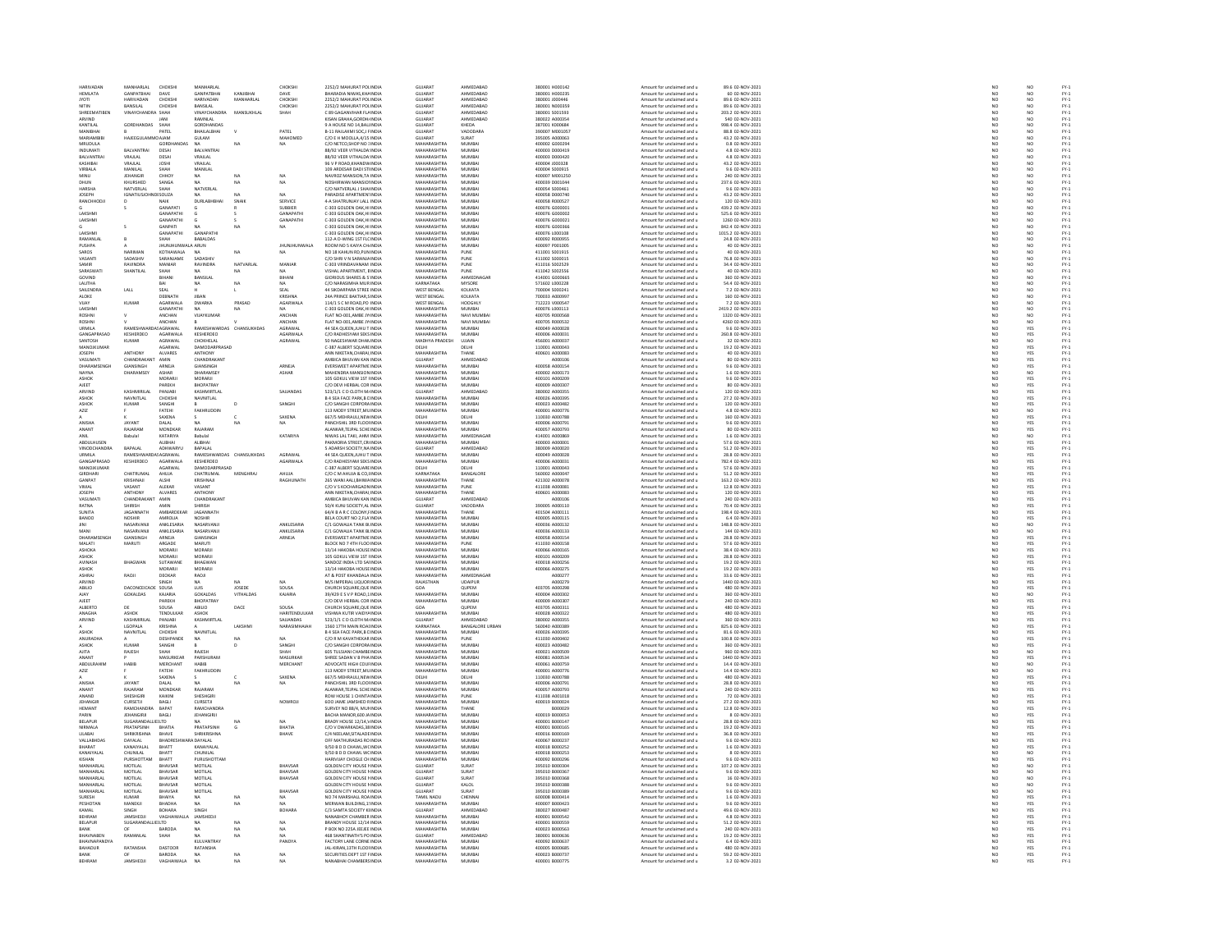| <b>HARIVADAN</b><br><b>HEMLATA</b> | MANHARLAL<br>GANPATBHAI        | CHOKSH                    | MANHARLAL                            | KANIIRHA        | CHOKSHI             | 2252/2 MAHURAT POLINDIA                                         | <b>GUJARAT</b><br>GUJARA'         | AHMEDABAD<br>HMEDABAD | 380001 H000142                   | Amount for unclaimed and u                               | 89.6 02-NOV-2021                     | NO <sub>1</sub>                                                     | NO                                                                  |                                      |
|------------------------------------|--------------------------------|---------------------------|--------------------------------------|-----------------|---------------------|-----------------------------------------------------------------|-----------------------------------|-----------------------|----------------------------------|----------------------------------------------------------|--------------------------------------|---------------------------------------------------------------------|---------------------------------------------------------------------|--------------------------------------|
| <b>JYOTI</b>                       | <b>HARIVADAN</b>               | DAVE<br>CHOKSH            | <b>GANPATBHA</b><br><b>HARIVADAM</b> | MANHARLAL       | DAVE<br>CHOKSHI     | ARADIA NIWAS, KHA INDI<br>2252/2 MAHURAT POLINDIA               | GUJARA'                           | AHMEDABAD             | 380001 H000235<br>380001 J000446 | Amount for unclaimed and u<br>Amount for unclaimed and u | 60 02-NOV-2021                       | N <sub>C</sub>                                                      |                                                                     | FY-3<br>FY-3                         |
| NITIN                              | <b>RANSILAI</b>                | сноккн                    | RANSILAI                             |                 | CHOKSHI             | 2252/2 MAHURAT POLINDIA                                         | GUIARAT                           | AHMEDARAD             | 380001 N000359                   | Amount for unclaimed and u                               | 89 6 02-NOV-2021                     | NO <sub>1</sub>                                                     | NQ                                                                  |                                      |
| <b>SHREEMATIBEN</b>                | VINAYCHANDRA SHAH              |                           | VINAYCHANDRA                         | MANSUKHLAL      | SHAH                | C 89 GAGANVIHAR FLAINDI                                         | GUJARA'                           | AHMEDABAD             | 380001 S001593                   | Amount for unclaimed and u                               | 203.2 02-NOV-2021                    | $\overline{N}$                                                      |                                                                     | FY-3<br>FY-3                         |
| ARVIND                             |                                |                           | RAMNLAL                              |                 |                     | KISAN GRAHA.GORDH/ INDIA                                        | <b>GUJARAT</b>                    | AHMEDABAD             | 380022 A000354                   | Amount for unclaimed and u                               | 540 02-NOV-2021                      | NO                                                                  | NO <sub>1</sub>                                                     |                                      |
| CANTILA                            | GORDHANDAS                     | SHAF                      | GORDHANDAS                           |                 |                     | 9 A HOUSE NO 14, BALLINDL                                       | GUJARA'                           | KHEDA                 | 387001 K000684                   | Amount for unclaimed and u                               | 998.4 02-NOV-202                     | NO                                                                  | NO                                                                  | FY-1<br>FY-1<br>FY-1<br>FY-1         |
| MANIBHAI                           |                                | PATEL                     | BHAILALBHAI                          | <b>N</b>        | PATEL               | B-11 RAILAXMI SOCJ FINDIA                                       | <b>GUJARAT</b>                    | VADODARA              | 390007 M001057                   | Amount for unclaimed and u                               | 88.8 02-NOV-2021                     | NO <sub>1</sub>                                                     | NO <sub>1</sub>                                                     |                                      |
| MARIAMB                            | HAJEEGULAM                     |                           | GULAM                                |                 | MAHOMED             | C/O E H MOOLLA,4/15 INDU                                        | GUJARAT                           | SURAT                 | 95005 A000063                    | Amount for unclaimed and u                               | 43.2 02-NOV-202                      |                                                                     | NO                                                                  |                                      |
| MRUDULA                            |                                | GORDHANDA                 | <b>NA</b>                            | NA              | NA                  | C/O NETCO.SHOP NO : INDIA                                       | MAHARASHTRA                       | MUMBAI                | 400002 G000294                   | Amount for unclaimed and u                               | 0.8 02-NOV-2021                      | NO<br>NO                                                            | $\frac{NO}{NO}$                                                     | FY-1<br>FY-1<br>FY-1                 |
| INDUMATI                           | <b>RAIVANTRAL</b>              | DESAL                     | <b>RAIVANTRAI</b>                    |                 |                     | 88/92 VEER VITHALDA INDIA                                       | MAHARASHTRA                       | MUMRAL                | 400003 DODD419                   | Amount for unclaimed and u                               | 4.8.02-NOV-2021                      |                                                                     |                                                                     |                                      |
| <b>BALVANTRA</b>                   | VRAJLAL                        | DESAI                     | VRAJLAL                              |                 |                     | 88/92 VEER VITHALDA INDU                                        | <b>MAHARASHTRA</b>                | MUMBA                 | 400003 D000420                   | Amount for unclaimed and u                               | 4.8 02-NOV-2021                      | NO                                                                  | NO                                                                  |                                      |
| KASHIBAI                           | VRAJLAL                        | <b>JOSHI</b>              | VRAJLAL                              |                 |                     | 96 V P ROAD KHANDWINDIA                                         | MAHARASHTRA                       | MUMBAI                | 400004 J000328                   | Amount for unclaimed and u                               | 43.2 02-NOV-2021                     | NO <sub>1</sub>                                                     | NO <sub>1</sub>                                                     | PY-1<br>PY-1<br>PY-1<br>PY-1         |
| VIRBALA                            | MANILAI                        | SHAH                      | MANILAL                              |                 |                     | 109 ARDESAR DADI STINDU                                         | <b>MAHARASHTRA</b>                | MUMBA                 | 400004 S000915                   | Amount for unclaimed and u                               | 9.6 02-NOV-202                       | NO                                                                  | NO                                                                  |                                      |
| MINU                               | JEHANGIE                       | CHHOY                     | <b>NA</b>                            | NA              | NA                  | NAVROZ MANSION. TA INDIA                                        | MAHARASHTRA                       | MUMBAI                | 400007 M001250                   | Amount for unclaimed and u                               | 240 02-NOV-2021                      | NO <sub>1</sub>                                                     | NO <sub>1</sub>                                                     |                                      |
|                                    | KHURSHED                       | SANGA                     |                                      |                 |                     |                                                                 | <b>MAHARASHTRA</b>                | MUMBA                 | 400039 0001044                   | Amount for unclaimed and u                               | 237.6 02-NOV-202                     | NÓ                                                                  | NO                                                                  |                                      |
| HARSHA                             | NATVERLAL                      | SHAH                      | NATVERLAL                            |                 |                     | C/O NATVERLAL J SHAI INDIA                                      | MAHARASHTRA<br><b>MAUARACUTRA</b> | MUMBAI                | 400054 S000461                   | Amount for unclaimed and u                               | 9.6 02-NOV-2021                      | NO <sub>1</sub>                                                     | NO <sub>1</sub>                                                     |                                      |
| <b>JOSEPH</b>                      | <b>IGNATIUS</b>                | SOUZA                     | DURLABHI                             |                 | SERVICE             | ARADISE APARTMEN' INDU<br>4-A SHATRUNJAY LALL INDU              | <b>MAHARASHTRA</b>                | MUMBAL<br>MUMBAI      | 400058 D000740<br>400058 R000527 | Amount for unclaimed and u<br>Amount for unclaimed and u | 43.2 02-NOV-2021<br>120 02-NOV-2021  | NC<br>NC                                                            | NO<br>NO                                                            |                                      |
| RANCHHOD                           |                                | NAIK<br>GANAPATI          |                                      | SNAI            | SUBBIER             | C-303 GOLDEN OAK.HI INDIA                                       | MAHARASHTRA                       | MUMBAI                | 400076 G000001                   | Amount for unclaimed and u                               | 439.2 02-NOV-2021                    | NO <sub>1</sub>                                                     | NO <sub>1</sub>                                                     |                                      |
| LAKSHM                             |                                | SANAPATH                  |                                      |                 | GANAPATH            | C-303 GOLDEN OAK, HI INDI                                       | <b>MAHARASHTRA</b>                | MUMBA                 | 400076 G000002                   | Amount for unclaimed and u                               | 525.6 02-NOV-2021                    | NO                                                                  | NO                                                                  | 52<br>52<br>52<br>52                 |
| LAKSHMI                            |                                | <b>GANAPATHI</b>          |                                      |                 | GANAPATHI           | C-303 GOLDEN OAK.HI INDIA                                       | MAHARASHTRA                       | MUMBAI                | 400076 G000021                   | Amount for unclaimed and u                               | 1260 02-NOV-2021                     | NO <sub>1</sub>                                                     | NO <sub>1</sub>                                                     |                                      |
|                                    |                                | GANPATI                   |                                      |                 |                     | C-303 GOLDEN OAK, HI INDU                                       | MAHARASHTRA                       | MUMBAI                | 400076 G00036                    | Amount for unclaimed and                                 | 842.4 02-NOV-2021                    | NO                                                                  | NO                                                                  |                                      |
| LAKSHMI                            |                                | <b>GANAPATHI</b>          | GANAPATH                             |                 |                     | C-303 GOLDEN OAK, HI INDIA                                      | MAHARASHTRA                       | MUMBAI                | 400076 L000108                   | Amount for unclaimed and u                               | 1015.2 02-NOV-2021                   | NO                                                                  | NO                                                                  |                                      |
| RAMANLA                            |                                | SHAH                      | <b>BABALDAS</b>                      |                 |                     | 112-A D-WING 1ST FLC INDU                                       | <b>MAHARACHTRA</b>                | <b>MUMBAI</b>         | 400092 R00095                    | Amount for unclaimed and                                 | 24.8 02-NOV-202                      | NC                                                                  |                                                                     |                                      |
| PUSHPA                             |                                | JHUNJHUNWALA ARUN         |                                      |                 | <b>JHUNJHUNWALA</b> | ROOM NO 5 KAIYA CH. INDIA                                       | MAHARASHTRA                       | MUMBAI                | 400097 P001005                   | Amount for unclaimed and u                               | 40 02-NOV-2021                       | NO                                                                  | NO<br>NO                                                            |                                      |
| <b>ZOROS</b>                       | <b>NARIMAN</b>                 | KOTHAWAI A                | $\overline{M}$                       | $N\Delta$       | NA                  | NO 18 KAHLIN RD PLIN INDIA                                      | MAHARASHTRA                       | PUNE                  | 411001 5001915                   | Amount for unclaimed and u                               | 40.02-NOV-2021                       | NC<br>NC                                                            | NO<br>NO                                                            |                                      |
|                                    | SADASHIV                       | SARANJAME                 | SADASHI                              |                 |                     | C/O SHRI V N SARANJA INDIA                                      | <b>MAHARASHTRA</b>                | PUNE                  |                                  | Amount for unclaimed and                                 | 76.8 02-NOV-2021                     |                                                                     |                                                                     |                                      |
| SAMIR                              | RAVINDRA                       | MANIAR                    | RAVINDRA                             | NATVARLAL       | MANIAR              | C-303 VRINDAVANAM INDIA                                         | MAHARASHTRA                       | PUNE                  | 411016 S002529                   | Amount for unclaimed and u                               | 34.4 02-NOV-2021                     |                                                                     | NO <sub>1</sub>                                                     |                                      |
| SARASWATI                          | SHANTILAL                      | SHAH                      |                                      |                 |                     | VISHAL APARTMENT, EINDL                                         | <b>MAHARASHTRA</b>                | PUNE                  | 411042 S002556                   | Amount for unclaimed and                                 | 40 02-NOV-2021                       | NO<br>NO                                                            | NO                                                                  |                                      |
| GOVIND                             |                                | BIHANI                    | BANSILAL                             |                 | BIHANI              | GIORIOUS SHARES & S INDIA                                       | MAHARASHTRA                       | AHMEDNAGAR            | 414001 G000665                   | Amount for unclaimed and u                               | 360 02-NOV-2021                      | NO                                                                  | NO                                                                  | PY-1<br>PY-1<br>PY-1<br>PY-1         |
| LALITHA                            |                                |                           |                                      |                 |                     | O NARASIMHA MURINDU                                             | KARNATAKA                         | MYSORE                | 571602 L000228                   | Amount for unclaimed and                                 | 54.4 02-NOV-2021                     | NC                                                                  | NO<br>NO                                                            |                                      |
| SAILENDRA<br><b>ALOKE</b>          | LALL                           | SEAL<br>DERNATH           | <b>IIRAN</b>                         |                 | SEAL<br>KRISHNA     | 44 SIKDARPARA STREE INDIA<br>24A PRINCE RAKTIAR SINDIA          | <b>WEST BENGAL</b><br>WEST RENGAL | KOLKATA<br>KOLKATA    | 700004 S000241<br>rennna ssnoot  | Amount for unclaimed and u<br>Amount for unclaimed and u | 7.2 02-NOV-2021<br>160 02-NOV-2021   | NO                                                                  | NO <sub>1</sub>                                                     |                                      |
| VIJAY                              | KUMAR                          | AGARWALA                  | <b>DWARKA</b>                        | PRASAD          | AGARWALA            | 114/1 S C M ROAD, PO INDU                                       | <b>WEST BENGAL</b>                | HOOGHLY               | 712223 V00054                    | Amount for unclaimed and u                               | 7.2 02-NOV-2021                      | NO<br>NO                                                            |                                                                     |                                      |
| LAKSHM                             |                                | <b>GANAPATHI</b>          | NA                                   | <b>NA</b>       | NA.                 | C-303 GOLDEN OAK.HI INDIA                                       | MAHARASHTRA                       | MUMBAI                | 400076 L000113                   | Amount for unclaimed and u                               | 2419.2 02-NOV-2021                   | NO <sub>1</sub>                                                     | $\frac{NO}{NO}$                                                     | 기 구 구 구 구 구 구 구 구<br>- 스 스 스 스 스 스 스 |
|                                    |                                | ANCHAN                    | VIJAYKUMAR                           |                 | ANCHAN              | LAT NO-001, AMBE JY INDU                                        | <b>MAHARASHTRA</b>                | NAVI MUMBA            | 400705 R000561                   | Amount for unclaimed and u                               | 1320 02-NOV-2021                     | NO                                                                  |                                                                     |                                      |
| ROSHN                              |                                | ANCHAN                    |                                      |                 | ANCHAN              | FLAT NO-001, AMBE JY INDIA                                      | MAHARASHTRA                       | NAVI MUMBAI           | 400705 R000532                   | Amount for unclaimed and u                               | 4260 02-NOV-2021                     | NO                                                                  | $\frac{10}{10}$                                                     |                                      |
| LIRMILA                            | <b>RAMESHM</b>                 | GGRAWA                    | RAMESHWARDAS                         | CHANSLIKHDA*    | AGRAWAL             | 44 SEA QUEEN, JUHU T INDIA                                      | MAHARASHTRA                       | MUMRAL                | sconnes eannos                   | Amount for unclaimed and u                               | 9.6 02-NOV-2021                      | NO                                                                  |                                                                     |                                      |
| GANGAPRASAD                        | KESHERDEO                      | AGARWALA                  | KESHERDEO                            |                 | AGARWALA            | C/O RADHESYAM SEKS INDIA                                        | MAHARASHTRA                       | MUMBAI                | 400006 A000031                   | Amount for unclaimed and u                               | 260.8 02-NOV-2021                    | NO                                                                  | YES<br>YES                                                          |                                      |
| SANTOSH                            | KUMAR                          | AGRAWAL                   | CHOKHELAL                            |                 | AGRAWAL             | <b>10 NAGESHWAR DHAN INDIA</b>                                  | MADHYA PRADESH                    | <b>HILAIN</b>         | 456001 4000037                   | Amount for unclaimed and u                               | 32.02-NOV-2021                       | NC<br>NC                                                            | NO<br>YES                                                           |                                      |
| MANOJKUMAR                         |                                | AGARWAL                   | DAMODARPRASAD                        |                 |                     | C-387 ALBERT SQUARE INDIA                                       | DELHI                             | DELHI                 | 110001 A000043                   | Amount for unclaimed and u                               | 19.2 02-NOV-2021                     |                                                                     |                                                                     |                                      |
| <b>IOSEPH</b>                      | ANTHONY                        | <b>ALVARES</b>            | <b>ANTHONY</b>                       |                 |                     | ANN NIKETAN CHARAI INDIA                                        | MAHARASHTRA                       | THANE                 | 400601 A000083                   | Amount for unclaimed and u                               | 40.02-NOV-2021                       | NC<br>NC                                                            | YES<br>YES<br>YES                                                   |                                      |
| ASUMAT                             |                                |                           | CHANDRAKAN                           |                 |                     | MBICA BHUVAN KAN IND                                            | -<br>SUJARAT                      | <br>HMEDABAD          |                                  | mount for unclaimed and u                                | 80 02-NOV-2021                       |                                                                     |                                                                     | PY-1<br>PY-1<br>PY-1<br>PY-1         |
| DHARAMSENGH<br>NAVNA               | GIANSINGH<br>DHARAMSEY         | ARNEJA<br>ASHAR           | GIANSINGH<br>DHARAMSEY               |                 | ARNEJA              | EVERSWEET APARTME INDIA<br>MAHENDRA MANSION INDU                | MAHARASHTRA<br>MAHARASHTRA        | MUMBAI<br>MUMRAL      | 400058 A000154<br>400002 A000173 | Amount for unclaimed and u                               | 9.6 02-NOV-2021<br>1.6 02-NOV-2021   | NO                                                                  |                                                                     |                                      |
|                                    |                                |                           |                                      |                 | <b>ASHAR</b>        |                                                                 |                                   |                       |                                  | Amount for unclaimed and u                               |                                      | NO                                                                  | NO<br>YES                                                           |                                      |
| ASHOK<br><b>AIFFT</b>              |                                | MORARI<br><b>AREKH</b>    | MORARJI<br>RHOPATRAY                 |                 |                     | 105 GOKUL VIEW 1ST HNDIA<br>C/O DEVI HERRAI COR INDIA           | MAHARASHTRA<br>MAHARASHTRA        | MUMBAI<br>MUMBAL      | 400101 A000209<br>400009 A000307 | Amount for unclaimed and u<br>Amount for unclaimed and u | 9.6 02-NOV-2021<br>80 02-NOV-2021    | NO                                                                  |                                                                     |                                      |
|                                    | KASHMIRILAI                    |                           | KASHMIRTLAL                          |                 | SAJJANDA!           | 523/1/1 C D CLOTH M/INDM                                        | GUJARAT                           | AHMEDABAD             | 380002 A000355                   | Amount for unclaimed and u                               | 120 02-NOV-2021                      | NC<br>NC                                                            | YES<br>YES                                                          |                                      |
| ARVIND<br>ASHOK                    | NAVNITI AL                     | PANJABI<br>сноккн         | NAVNITLAL                            |                 |                     | <b>BASEA FACE PARK B CINDIA</b>                                 | MAHARASHTRA                       | MUMRAL                | 2000004 4000395                  | Amount for unclaimed and u                               | 27.2.02-NOV-2021                     | NO <sub>1</sub>                                                     |                                                                     |                                      |
| ASHOK                              | KUMAR                          | SANGH                     |                                      | D               | SANGH               | C/O SANGHI CORPORA INDU                                         | MAHARASHTRA                       | MUMBAI                | 400023 A000482                   | Amount for unclaimed and u                               | 120 02-NOV-2021                      | $\overline{N}$                                                      | YES<br>YES                                                          | FY-3<br>FY-3                         |
| AZIZ                               |                                | FATEHI                    | FAKHRUDDIN                           |                 |                     | 113 MODY STREET.MU INDIA                                        | MAHARASHTRA                       | MUMBAI                | 400001 A000776                   | Amount for unclaimed and u                               | 4.8 02-NOV-2021                      |                                                                     |                                                                     |                                      |
|                                    |                                | SAXENA                    |                                      |                 | SAXENA              | 667/S MEHRAULI, NEW INDI                                        | <b>DELHI</b>                      | DELHI                 | 110030-4000788                   | Amount for unclaimed and u                               | 160 02-NOV-2021                      | NO<br>NO                                                            |                                                                     |                                      |
| ANISHA                             | JAYANT                         | DALAL                     |                                      | NA              | NA.                 | PANCHSHIL 3RD FLOOI INDU                                        | MAHARASHTRA                       | MUMBA                 | 400006 A000791                   | Amount for unclaimed and u                               | 9.6 02-NOV-2021                      | NO                                                                  | NO<br>YES<br>YES                                                    | FY-3<br>FY-3<br>FY-3                 |
| ANANT                              | RAIARAM                        | MONDKAR                   | RAIARAM                              |                 |                     | ALANKAR TEIPAL SCHEINDIA                                        | MAHARASHTRA                       | MUMBAL                | 400057-4000793                   | Amount for unclaimed and u                               | 80 02-NOV-2021                       | NO<br>NO                                                            | YES<br>NO                                                           | FY-3<br>FY-3                         |
| ANIL                               | Babulal                        | KATARIYA                  | Babulal                              |                 | KATARIYA            | NIWAS LAL TAKI, AHM INDU                                        | MAHARASHTRA                       | AHMEDNAGA             | 414001 A000869                   | Amount for unclaimed and u                               | 1.6 02-NOV-2021                      |                                                                     |                                                                     |                                      |
| <b>ARDUI HUSEN</b>                 |                                | <b>ALIBHAL</b>            | ALIBHAL                              |                 |                     | PAKMORIA STREET CRUNDIA                                         | MAHARASHTRA                       | MUMRAL                | 100003-000001                    | Amount for unclaimed and u                               | 57.6.02-NOV-2021                     | NO                                                                  | YES<br>YES                                                          |                                      |
| <b>VINODCHANDRA</b><br>URMILA      | BAPALAL<br>RAMESHWARDASAGRAWAL | ADHWARYU                  | BAPALAL<br>RAMESHWARDAS CHANSUKHDAS  |                 | AGRAWAL             | 5 ADARSH SOCIETY, NA INDU<br>44 SEA QUEENJUHU T INDIA           | GUJARAT<br>MAHARASHTRA            | AHMEDABAD<br>MUMBAI   | 380009 A000020<br>400049 A000028 | Amount for unclaimed and u<br>Amount for unclaimed and u | 51.2 02-NOV-2021<br>28.8 02-NOV-2021 | NO                                                                  |                                                                     |                                      |
| <b>GANGAPRASA</b>                  | KESHERDEO                      | AGARWAL                   | KESHERDEC                            |                 | AGARWALA            | C/O RADHESYAM SEKS INDL                                         | <b>MAHARASHTRA</b>                | MUMBAI                | 00006 A00003                     | Amount for unclaimed and u                               | 782.4 02-NOV-202                     | NO                                                                  | YES<br>YES<br>YES                                                   | FY-1<br>FY-1<br>FY-1<br>FY-1         |
| MANOJKUMAR                         |                                | AGARWAL                   | DAMODARPRASAD                        |                 |                     | C-387 ALBERT SQUARE INDIA                                       | DELHI                             | DELHI                 | 110001 A000043                   | Amount for unclaimed and u                               | 57.6 02-NOV-2021                     | NQ                                                                  |                                                                     |                                      |
| <b>GIRDHARI</b>                    | <b>CHATRUMAL</b>               | <b>AHLIM</b>              | CHATRUMAL                            | MENGHRAI        | <b>AHIIIA</b>       | C/O C M AHUJA & CO UNDIA                                        | KARNATAKA                         | <b>RANGALORE</b>      | 560002.4000047                   | Amount for unclaimed and u                               | 51.2.02-NOV-2021                     | NO<br>NO                                                            | YES<br>YES                                                          |                                      |
| GANPAT                             | KRISHNAJI                      | ALSHI                     | KRISHNAJI                            |                 | RAGHUNATH           | 265 WANI AALI, BHIWA INDU                                       | MAHARASHTRA                       | THANE                 | 421302 A000078                   | Amount for unclaimed and u                               | 163.2 02-NOV-2021                    |                                                                     |                                                                     |                                      |
| <b>LAMIV</b>                       | VASANT                         | <b>ALEKAR</b>             | VASANT                               |                 |                     | C/O V S KOCHARGAON INDIA                                        | MAHARASHTRA                       | PLINE                 | 411038 4000081                   | Amount for unclaimed and u                               | 12 8 02-NOV-2021                     | NO                                                                  | YES<br>YES                                                          |                                      |
| <b>JOSEPH</b>                      | ANTHONY                        | ALVARES                   | <b>ANTHON</b>                        |                 |                     | ANN NIKETAN, CHARAL INDU                                        | <b>MAHARASHTRA</b>                | THANE                 | 400601 A000083                   | Amount for unclaimed and u                               | 120 02-NOV-2021                      | NO                                                                  |                                                                     |                                      |
| VASUMAT                            | CHANDRAKANT                    | AMIN                      | CHANDRAKAN                           |                 |                     | AMBICA BHUVAN KAN INDIA                                         | GUJARAT                           | AHMEDABAD             | A000106                          | Amount for unclaimed and u                               | 240 02-NOV-2021                      | NO<br>NO                                                            | YES<br>YES                                                          |                                      |
| RATNA                              |                                |                           |                                      |                 |                     | 50/4 KUNJ SOCIETY, AL INDI                                      | GUJARAT                           | VADODARA              | 390005 A000110                   | Amount for unclaimed and u                               | 70.4 02-NOV-2021                     |                                                                     |                                                                     |                                      |
| SUNITA<br>BANOO                    | JAGANNATH<br>NOSHIR            | AMBARDEKAR<br>AMROLIA     | JAGANNATH<br>NOSHIR                  |                 |                     | 64/4 B A R C COLONY J INDIA<br><b>RELA COURT NO 2 FLA INDIA</b> | MAHARASHTRA<br>MAHARASHTRA        | THANE<br>MUMRAL       | 401504 A000111<br>400005 4000115 | Amount for unclaimed and u<br>Amount for unclaimed and u | 198.4 02-NOV-2021<br>6.4.02-NOV-2021 | $\begin{array}{c} \tt NO \\ \tt NO \\ \tt NO \\ \tt NO \end{array}$ | YES<br>YES<br>NO                                                    |                                      |
| IINI                               | NASARVANJI                     | ANKLESARIA                | NASARVANJ                            |                 | ANKLESARIA          | C/1 GOWALIA TANK BUNDI                                          | MAHARASHTRA                       | MUMBAI                | 400036 A000132                   | Amount for unclaimed and u                               | 148.8 02-NOV-2021                    |                                                                     |                                                                     |                                      |
| MANI                               | NASARVANJI                     | ANKLESARIA                | NASARVANJI                           |                 | ANKLESARIA          | C/1 GOWALIA TANK BLINDIA                                        | MAHARASHTRA                       | MUMBAI                | 400036 A000133                   | Amount for unclaimed and u                               | 144 02-NOV-2021                      |                                                                     | NO                                                                  |                                      |
| DHARAM                             |                                | ARNEJA                    | GIANSINGH                            |                 | ARNEJA              | EVERSWEET APARTME INDU                                          | <b>MAHARASHTRA</b>                | MUMBA                 | 400058 A000154                   | Amount for unclaimed and u                               | 28.8 02-NOV-2021                     | NO<br>NO                                                            | YES                                                                 |                                      |
| MALATI                             | MARUTI                         | ARGADE                    | MARUTI                               |                 |                     | BLOCK NO 7 4TH FLOO INDIA                                       | MAHARASHTRA                       | PUNE                  | 411030 A000158                   | Amount for unclaimed and u                               | 57.6 02-NOV-2021                     | NO                                                                  | YES                                                                 |                                      |
| ASHOKA                             |                                |                           | MORARJI                              |                 |                     | 13/14 HAKOBA HOUSE INDU                                         | <b>MAHARASHTRA</b>                | MUMBA                 | 00066 A000165                    | Amount for unclaimed and u                               | 38.4 02-NOV-202                      | NO                                                                  | YES                                                                 |                                      |
| <b>ASHOK</b>                       |                                | MORARJI                   | MORARJI                              |                 |                     | 105 GOKUL VIEW 1ST HNDIA                                        | MAHARASHTRA                       | MUMBAI                | 400101 A000209                   | Amount for unclaimed and u                               | 28.8 02-NOV-2021                     | NO                                                                  | YES                                                                 |                                      |
| AVINASH                            | <b>BHAGWAN</b>                 | SUTAWAN                   | <b>BHAGWAM</b>                       |                 |                     | SANDOZ INDIA LTD SAI INDIA                                      | <b>MAHARASHTRA</b>                | MUMBAL                | 400018 A000256                   | Amount for unclaimed and                                 | 19.2 02-NOV-2021                     | NO                                                                  | YES                                                                 |                                      |
| ASHOK                              |                                | MORARJI                   | MORARJI                              |                 |                     | 13/14 HAKOBA HOUSE INDIA                                        | MAHARASHTRA                       | MUMBAI                | 400066 A000275                   | Amount for unclaimed and u                               | 19.2 02-NOV-2021                     | NO<br>NO                                                            | YES<br>YES<br>YES                                                   |                                      |
| ASHRAJ                             | RAOJI                          | DEOKAR                    | RAQJI                                |                 |                     | AT & POST KHANDALA INDIA                                        | MAHARASHTRA                       | AHMEDNAGAL            | A000277                          | Amount for unclaimed and u                               | 33.6 02-NOV-2021                     |                                                                     |                                                                     |                                      |
| ARVINE                             |                                |                           |                                      |                 |                     | M/S IMPERIAL LIQUOR INDU                                        | RAJASTHAN                         | UDAIPUR               | A000279                          | Amount for unclaimed and u                               | 1440 02-NOV-2021                     | NO                                                                  |                                                                     |                                      |
| ABILIO                             | DACONCEICADE SOUSA             |                           | LUIS                                 | JOSEDE          | SOUSA               | CHURCH SQUARE.QUE INDIA                                         | GOA<br><b>MAHARASHTRA</b>         | <b>QUPEM</b>          | 403705 A000298                   | Amount for unclaimed and u                               | 480 02-NOV-2021                      | NO                                                                  | YES                                                                 |                                      |
| <b>NAY</b><br><b>AJEET</b>         | GOKALDAS                       | KAJARIA<br>PAREKH         | GOKALDAS<br>BHOPATRAY                | VITHALDAS       | KAJARIA             | 39/429 E S V P ROAD, 1 INDL<br>C/O DEVI HERBAL COR INDIA        | MAHARASHTRA                       | MUMBA<br>MUMBAI       | 400004 A00030<br>400009 A000307  | Amount for unclaimed and u<br>Amount for unclaimed and u | 360 02-NOV-2021<br>240 02-NOV-2021   | NO<br>NO <sub>1</sub>                                               | NO<br>YES                                                           |                                      |
| ALBERTO                            |                                | SOUSA                     | ABILIO                               | DACE            | SOUSA               | HURCH SQUARE, QUE INDU                                          | GOA                               | QUPEM                 | 403705 A000311                   | Amount for unclaimed and                                 | 480 02-NOV-2021                      | NO                                                                  |                                                                     |                                      |
| ANAGHA                             | ASHOK                          | TENDULKAR                 | ASHOK                                |                 | HARITENDULKAR       | VISHWA KUTIR VAIDYA INDIA                                       | MAHARASHTRA                       | MUMBAI                | 400028 A000322                   | Amount for unclaimed and u                               | 480 02-NOV-2021                      | NO                                                                  | YES<br>YES                                                          |                                      |
| ARVIND                             | KASHMIRILAI                    |                           | KASHMIRTLA                           |                 | SAILANDAS           |                                                                 | <b>GUIARAT</b>                    | <b>HMFDARAD</b>       | 380002 A000355                   |                                                          |                                      |                                                                     |                                                                     |                                      |
|                                    | LGOPALA                        | <b>PANJABI</b><br>KRISHNA |                                      | LAKSHIV         | NARASIMHAJAI        | 523/1/1 C D CLOTH M INDIA<br>1560 17TH MAIN ROALINDIA           | KARNATAKA                         | BANGALORE URBAN       | 560040 A000389                   | Amount for unclaimed and u<br>Amount for unclaimed and u | 360 02-NOV-2021<br>825.6 02-NOV-2021 | NC<br>NC                                                            | YES<br>YES                                                          |                                      |
| <b>ASHOK</b>                       | NAVNITLAL                      | CHOKSHI                   | NAVNITLAL                            |                 |                     | <b>B 4 SEA FACE PARK B DINDIA</b>                               | MAHARASHTRA                       | MUMBAI                | 400026 A000395                   | Amount for unclaimed and u                               | 81.6 02-NOV-2021                     | NO <sub>1</sub>                                                     | YES                                                                 |                                      |
| ANURADH                            |                                | DESHPANDE                 |                                      |                 |                     | C/O R M KAVATHEKAR INDL                                         | <b>MAHARASHTRA</b>                | PUNE                  | 411030 A00040                    | Amount for unclaimed and u                               | 100.8 02-NOV-202                     | NO                                                                  | YES                                                                 |                                      |
| ASHOK                              | <b>KUMAR</b>                   | SANGHI                    |                                      |                 | SANGHI              | C/O SANGHI CORPORA INDIA                                        | MAHARASHTRA                       | MUMBAI                | 400023 A000482                   | Amount for unclaimed and u                               | 360 02-NOV-2021                      | NO                                                                  | YES                                                                 |                                      |
| AJITA                              | RAJESH                         | SHAH                      | RAIFSH                               |                 |                     | <b>605 TULSIANI CHAMBEINDI</b>                                  | <b>MAUARACUTRA</b>                | MUMRAL                | 400021 A000509                   | Amount for unclaimed and                                 | 960 02-NOV-2021                      | NO                                                                  | NO<br>YES                                                           |                                      |
| ANANT                              |                                | MASURKEAR                 | PARSHURAM                            |                 | MASURKAR            | SHREE SADAN V B PHA INDIA                                       | MAHARASHTRA                       | MUMBAI                | 400081 A000534                   | Amount for unclaimed and u                               | 1440 02-NOV-2021                     | NO                                                                  |                                                                     |                                      |
| ABDULRAH                           | HABIB                          | MERCHANT                  | HABIB                                |                 | MERCHANT            | ADVOCATE HIGH COULINDIA                                         | MAHARASHTRA                       | MUMBAL                | 400061 A000759                   | Amount for unclaimed and                                 | 14.4 02-NOV-2021                     | NC                                                                  | NO<br>NO                                                            |                                      |
| AZIZ                               |                                | FATEHI<br>SAXENA          | FAKHRUDDIN                           | <b>C</b>        | SAXENA              | 113 MODY STREET, MUINDIA<br>667/S MEHRAULI NEW INDIA            | MAHARASHTRA<br>DELHI              | MUMBAI<br>DELHI       | 400001 A000776<br>110030 A000788 | Amount for unclaimed and u<br>Amount for unclaimed and u | 14.4 02-NOV-2021<br>480 02-NOV-2021  | $\frac{NO}{NO}$                                                     |                                                                     |                                      |
| <b>ANISH</b>                       | JAYANT                         | DALAL                     |                                      |                 |                     | PANCHSHIL 3RD FLOOI INDL                                        | <b>MAHARASHTRA</b>                | MUMBA                 | 00006 A00079                     | Amount for unclaimed and u                               | 28.8 02-NOV-202                      | NO                                                                  | YES<br>YES                                                          |                                      |
| ANANT                              | RAJARAM                        | MONDKAP                   | RAJARAM                              |                 |                     | ALANKAR.TEJPAL SCHEINDIA                                        | MAHARASHTRA                       | MUMBAI                | 400057 A000793                   | Amount for unclaimed and u                               | 240 02-NOV-2021                      | NO <sub>1</sub>                                                     | YES                                                                 |                                      |
| ANAND                              | SHESHGIR                       | KAIKIN                    | SHESHGIR                             |                 |                     | OW HOUSE 1 CHINTA INDU                                          | <b>MAUARACUTRA</b>                | PUNE                  | 411038 A001018                   | Amount for unclaimed and                                 | 72 02-NOV-202                        | NO                                                                  |                                                                     |                                      |
| JEHANGIP                           | CURSETJI                       | BAGLI                     | CURSETJI                             |                 | NOWROJI             | 600 JAME JAMSHED RINDIA                                         | MAHARASHTRA                       | MUMBAI                | 400019 B000024                   | Amount for unclaimed and u                               | 27.2 02-NOV-2021                     | NO                                                                  | YES<br>YES                                                          |                                      |
| HEMANT                             | <b>RAMCHANDRA</b>              | BAPAT                     | RAMCHANDRA                           |                 |                     | SURVEY NO 88/4, MUJ INDU                                        | MAHARASHTRA                       | THANE                 | B000025                          | Amount for unclaimed and u                               | 12.8 02-NOV-2021                     | NO                                                                  |                                                                     |                                      |
| PARIN                              | JEHANGIRJI                     | BAGLI                     | JEHANGIRJI                           |                 |                     | BACHA MANOR, 600 JA INDU                                        | MAHARASHTRA                       | MUMBA                 | 400019 8000053                   | Amount for unclaimed and u                               | 8 02-NOV-2021                        | NO                                                                  | YES<br>YES                                                          |                                      |
| <b>RELAPLIE</b>                    | SUGARANDALLIFTLTD              |                           |                                      |                 | NA                  | BRADY HOUSE 12/14.V INDIA                                       | MAHARASHTRA                       | MUMRAL                | 400001 8000147                   | Amount for unclaimed and u                               | 28.8.02-NOV-2021                     | NO                                                                  |                                                                     |                                      |
| VIRMALA                            | PRATAPSINH                     | BHATIA                    | PRATAPSINH                           | G               | BHATIA              | C/O V DWARKADAS,38 INDU                                         | MAHARASHTRA                       | MUMBAI                | 400001 B000165                   | Amount for unclaimed and u                               | 19.2 02-NOV-2021                     | NO                                                                  | YES<br>YES<br>YES                                                   |                                      |
| LILABAI                            | SHRIKRISHNA                    | BHAVE                     | SHRIKRISHNA                          |                 | BHAVE               | C/4 NEELAM.SITALADE INDIA                                       | MAHARASHTRA<br>MAHARASHTRA        | MUMBAI                | 400016 8000169                   | Amount for unclaimed and u                               | 36.8 02-NOV-2021                     | NO                                                                  |                                                                     |                                      |
| VALLABHDA <sup>.</sup>             | DAYALAL                        | HADR                      | DAYALAL                              |                 |                     | <b>DEE MATHLIRADAS ROINDIA</b>                                  |                                   | <b>MI IMRAI</b>       | 100067 8000237                   | Amount for unclaimed and                                 | 9.6 02-NOV-2021                      | NC                                                                  | YES<br>YES                                                          |                                      |
| BHARAT<br>KANAIYALAL               | KANAIYALAL<br>CHUNEAU          | BHATT<br>RHATT            | KANAIYALAL<br>CHUNILAI               |                 |                     | 9/50 B D D CHAWL, WC INDIA<br>9/50 B D D CHAWL WC INDIA         | MAHARASHTRA<br>MAHARASHTRA        | MUMBAI<br>MUMRAL      | 400018 B000252<br>400018 8000253 | Amount for unclaimed and u                               | 1.6 02-NOV-2021<br>8 02-NOV-2021     | NO<br>NO                                                            |                                                                     |                                      |
| KISHAN                             | PURSHOTTAM                     | BHATT                     | PURUSHOTTAM                          |                 |                     | HARIVIJAY CHOGLE CH INDIA                                       | MAHARASHTRA                       | MUMBAI                | 400092 B000296                   | Amount for unclaimed and u<br>Amount for unclaimed and u | 9.6 02-NOV-2021                      | NO                                                                  | NO<br>YES                                                           |                                      |
| MANHARI AI                         | MOTILAL                        | RHAVSAR                   | MOTILAI                              |                 | RHAVSAR             | GOLDEN CITY HOUSE LINDIA                                        | GUIARAT                           | SURAT                 | 395010 8000304                   | Amount for unclaimed and u                               | 107.2.02-NOV-2021                    |                                                                     | NO <sub>1</sub>                                                     |                                      |
| MANHARLAI                          | MOTILAL                        | BHAVSAR                   | MOTILAL                              |                 | BHAVSAR             | <b>GOLDEN CITY HOUSE IN INDU</b>                                | GUJARAT                           | <b>SURAT</b>          | 395010 B00036                    | Amount for unclaimed and u                               | 9.6 02-NOV-2021                      | NO<br>NO                                                            | $\overline{NQ}$                                                     |                                      |
| MANHARI AI                         | MOTILAL                        | RHAVSAR                   | MOTIL AL                             |                 | <b>RHAVSAR</b>      | GOLDEN CITY HOUSE LINDIA                                        | GUIARAT                           | SURAT                 | 395010 8000368                   | Amount for unclaimed and u                               | 16.02-NOV-2021                       |                                                                     |                                                                     |                                      |
| <b>LEANLIADIA</b>                  | MOTILA                         | <b>BHAVSA</b>             | MOTILAL                              |                 |                     | <b>OLDEN CITY HOUSE IN INDIA</b>                                | SUJARAT                           | KALOL                 | 95010 800038                     | Amount for unclaimed and                                 | 3.6 02-NOV-202                       | NO<br>NO                                                            | $\begin{array}{c} \tt NO \\ \tt NO \\ \tt NO \\ \tt NO \end{array}$ |                                      |
| MANHARLAL                          | MOTILAL                        | BHAVSAR                   | MOTILAL                              |                 | BHAVSAF             | <b>GOLDEN CITY HOUSE I INDIA</b>                                | GUJARAT                           | SURAT                 | 395010 B000389                   | Amount for unclaimed and u                               | 9.6 02-NOV-2021                      | NO                                                                  |                                                                     |                                      |
| SURFSH                             | KUMAR                          | RHAIYA                    | <b>NA</b>                            |                 | MA.                 | NO 74 MARSHALL ROAINDH                                          | TAMIL NADL                        | CHENNA                | 600008 8000414                   | Amount for unclaimed and u                               | 1.6 02-NOV-2021                      | NO                                                                  | YES<br>YES                                                          |                                      |
| PESHOTAN                           | MANEKJI                        | BHADHA                    | NA                                   | NA              |                     | MERWAN BUILDING, 1: INDIA                                       | MAHARASHTRA                       | MUMBAI                | 400007 8000423                   | Amount for unclaimed and u                               | 9.6 02-NOV-2021                      | NO                                                                  |                                                                     |                                      |
| KAMAL                              | SINGH                          | ROHARA                    | SINGH                                |                 | BOHARA              | C/3 SAMTA SOCIETY KUNDIA                                        | GUIARAT                           | AHMEDARAD             | 380027 B000487                   | Amount for unclaimed and u                               | 49.6.02-NOV-2021                     | NO                                                                  | YES<br>YES                                                          |                                      |
| BEHRAM                             | JAMSHEDJI                      | VAGHAIWALLA               | JAMSHEDJ<br><b>MA</b>                | MA <sub>1</sub> |                     | <b>JANABHOY CHAMBER INDU</b>                                    | <b>MAHARASHTRA</b>                | MUMBAI                | 400001 B000542                   | Amount for unclaimed and u                               | 4.8 02-NOV-2021                      |                                                                     |                                                                     |                                      |
| BELAPUR                            | SUGARANDALLIE(LTD              |                           |                                      |                 | NA                  | BRANDY HOUSE 12/14 INDIA                                        | MAHARASHTRA<br><b>MAHARASHTRA</b> | MUMBAI                | 400001 B000559                   | Amount for unclaimed and u                               | 51.2 02-NOV-2021                     | NO                                                                  | YES                                                                 |                                      |
| <b>BANK</b><br>BHAVNABEN           |                                | BARODA<br>SHAH            |                                      | NA              |                     | P BOX NO 225A JEEJEE INDI<br>468 SHANTINATH'S PO INDIA          | GUJARAT                           | MUMBA<br>AHMEDABAD    | 400023 B00056<br>380001 B000636  | Amount for unclaimed and u<br>Amount for unclaimed and u | 240 02-NOV-2021<br>19.2 02-NOV-2021  |                                                                     | YES<br>YES                                                          | FY-1<br>FY-1<br>FY-1                 |
|                                    |                                |                           |                                      |                 |                     |                                                                 |                                   |                       |                                  |                                                          |                                      |                                                                     |                                                                     |                                      |
| RHAVNAPANDYA                       | RAMANLAL                       |                           | <b>KULVANTRAY</b>                    |                 | PANDYA              | <b>FACTORY LANE CORNEINDIA</b>                                  | MAHARASHTRA                       | MUMRAL                | 400092.8000637                   | Amount for unclaimed and u                               | 6.4.02-NOV-2021                      |                                                                     |                                                                     |                                      |
| <b>BAHADUR</b>                     |                                | DASTOOR                   | RATANSHA                             |                 |                     | JAL-KIRAN.13TH FLOOHNDIA                                        | MAHARASHTRA                       | MUMBAI                | 400005 B000685                   | Amount for unclaimed and u                               | 480 02-NOV-2021                      |                                                                     | YES<br>YES                                                          |                                      |
| <b>RANK</b>                        | RATANSHA<br>$\alpha$           | RARODA                    |                                      | MA.             | NA                  | SECURITIES DEPT 1ST FINDIA                                      | MAHARASHTRA                       | MUMRAL                | 400023 8000737                   | Amount for unclaimed and u                               | 59.2 02-NOV-2021                     | NO                                                                  |                                                                     | FY-3<br>FY-3<br>.<br>د ۲۰            |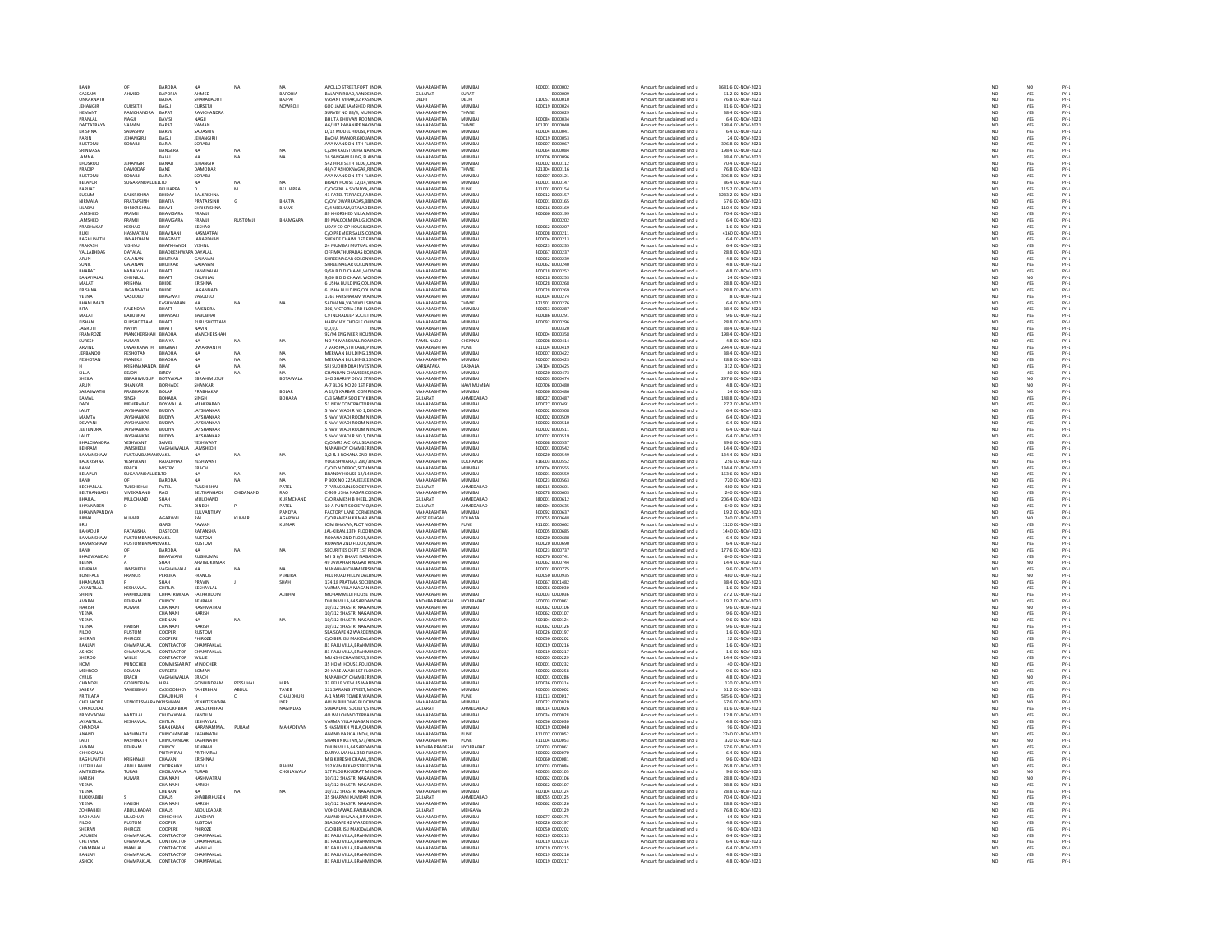|                                  |                                       | BARODA                              | <b>NA</b>                          |                | NA            | APOLLO STREET, FORT INDI                                                              | <b>MAHARASHTRA</b>                | MUMBA                      | 400001 800000                    | Amount for unclaimed and u                                    | 3681.6 02-NOV-2021                                   | NC                                                                        |                         |                                                    |
|----------------------------------|---------------------------------------|-------------------------------------|------------------------------------|----------------|---------------|---------------------------------------------------------------------------------------|-----------------------------------|----------------------------|----------------------------------|---------------------------------------------------------------|------------------------------------------------------|---------------------------------------------------------------------------|-------------------------|----------------------------------------------------|
| CASSAM                           | AHMED                                 | BAPORIA                             | AHMED                              |                | BAPORIA       | BALAPIR ROAD, RANDE INDIA                                                             | GUJARAT                           | SURAT                      | B000009                          | Amount for unclaimed and u                                    | 51.2 02-NOV-2021                                     | NO<br>NO                                                                  | YES                     |                                                    |
| ONKARNATH                        |                                       | RAIPAL                              | SHARADADUTT                        |                | <b>BAIPAL</b> | VASANT VIHAR 32 PAS INDIA                                                             | <b>DELHI</b>                      | <b>DELHI</b>               | 110057-8000010                   | Amount for unclaimed and u                                    | 76.8.02-NOV-2021                                     |                                                                           | <b>YES</b>              | FY-3<br>FY-3<br>FY-3                               |
| JEHANGIP                         | CURSETJI                              | BAGLI                               | CURSETJI                           |                | NOWROJI       | 600 JAME JAMSHED RINDL                                                                | MAHARASHTRA                       | MUMBA                      | 400019 8000024                   | Amount for unclaimed and u                                    | 81.6 02-NOV-2021                                     | NO                                                                        | YES                     |                                                    |
| HEMANT                           | RAMCHANDRA                            | BAPAT                               | RAMCHANDRA                         |                |               | SURVEY NO 88/4, MUI INDIA                                                             | MAHARASHTRA                       | THANE                      | B000029                          | Amount for unclaimed and u                                    | 38.4 02-NOV-2021                                     | NO <sub>1</sub>                                                           | YES                     | FY-1<br>FY-1<br>FY-1<br>FY-1                       |
|                                  |                                       | BAVIS                               | NAGJI                              |                |               | BHUTA BHUVAN ROOMIND                                                                  | <b>MAHARASHTRA</b>                | MUMBA                      | 400084 B000034                   | Amount for unclaimed and u                                    | 6.4 02-NOV-2023                                      | $\overline{\mathsf{NC}}$                                                  | YES                     |                                                    |
| DATTATRAYA                       | VAMAN                                 | BAPAT                               | VAMAN                              |                |               | A6/187 PARANJPE NACINDIA                                                              | MAHARASHTRA                       | THANE                      | 401301 B000040                   | Amount for unclaimed and u                                    | 198.4 02-NOV-2021                                    | NO <sub>1</sub>                                                           | YES                     |                                                    |
| KRISHNA                          | SADASHIV                              | BARVI                               | SADASHIV                           |                |               | D/12 MODEL HOUSE,P INDI                                                               | MAHARASHTRA                       | MUMBA                      | 400004 B00004                    | Amount for unclaimed and u                                    | 6.4 02-NOV-202:                                      | $_{NC}$                                                                   | YES                     |                                                    |
| PARIN                            | JEHANGIRJI                            | BAGLI                               | JEHANGIRJI                         |                |               | BACHA MANOR,600 JA INDIA                                                              | MAHARASHTRA                       | MUMBAI                     | 400019 B000053                   | Amount for unclaimed and u                                    | 24 02-NOV-2021                                       | NO                                                                        | YES                     |                                                    |
| RUSTOMIL                         | SORABJI                               | BARIA<br>BANGERA                    | SORABJI                            |                |               | AVA MANSION 4TH FLUNDL                                                                | MAHARASHTRA                       | <b>MUMBAL</b>              | 400007 B000063                   | Amount for unclaimed and u                                    | 396.8 02-NOV-2021                                    | NO<br>NO                                                                  | YES<br>YES              | 기 기 기 기 기 기 기 기 기 기 기 기 기<br>소 조 조 조 조 조 조 조 조 조 조 |
| SRINIVASA                        |                                       |                                     | <b>NA</b>                          |                |               | C/204 KAUSTUBHA NA INDI                                                               | MAHARASHTRA                       | MUMBAI                     | 400064 B00008                    | Amount for unclaimed and u                                    |                                                      |                                                                           |                         |                                                    |
| AMMAL                            |                                       | BAJAJ                               | <b>NA</b>                          | NA             | NA            | 16 SANGAM BLDG, FLAINDIA                                                              | MAHARASHTRA                       | MUMBAI                     | 400006 800009                    | Amount for unclaimed and u                                    | 38.4 02-NOV-2021                                     | NO <sub>1</sub>                                                           | YES                     |                                                    |
| KHUSROO                          | JEHANGIP                              | BANAJ                               | JEHANGIR                           |                |               | <b>542 HIRJI SETH BLDG,CINDI</b>                                                      | MAHARASHTRA                       | MUMBAI                     | 400002 B00011                    | Amount for unclaimed and u                                    | 70.4 02-NOV-2021                                     | $_{NC}$                                                                   | YES                     |                                                    |
| PRADIP                           | DAMODAR                               | BANE                                | DAMODAR                            |                |               | 46/47 ASHOKNAGAR,RINDIA                                                               | MAHARASHTRA                       | THANE                      | 421304 B000116                   | Amount for unclaimed and u                                    | 76.8 02-NOV-2021                                     | NO                                                                        | YES                     |                                                    |
| <b>RUSTOMJI</b>                  | SORARII                               | RARIA                               | SORABJI                            |                |               | AVA MANSION 4TH FLINDL                                                                | MAHARASHTRA                       | <b>MUMBAL</b>              | 400007 800012                    | Amount for unclaimed and u                                    | 396.8 02-NOV-2021                                    | NO                                                                        | YES<br>YES              |                                                    |
| BELAPUR                          | SUGARAND                              | <b>JELLTD</b>                       | NA                                 | NA             | NA            | BRADY HOUSE 12/14, VINDIA                                                             | MAHARASHTRA                       | MUMBAI                     | 400001 B00014                    | Amount for unclaimed and u                                    | 86.4 02-NOV-2021                                     | NO                                                                        |                         |                                                    |
| PARILAT                          |                                       | <b>BELLIAPPA</b>                    |                                    | м              | BELLIAPPA     | C/O GENL A S VAIDYA, INDIA                                                            | MAHARASHTRA                       | PUNE                       | 411001 800015                    | Amount for unclaimed and u                                    | 115.2 02-NOV-2021                                    |                                                                           |                         |                                                    |
| KUSUM                            | <b>BALKRISHNA</b>                     | BHIDAY                              | BALKRISHNA                         |                |               | 41 PATEL TERRACE, PAI INDIA                                                           | MAHARASHTRA                       | MUMBAI                     | 400012 B00015                    | Amount for unclaimed and u                                    | 3283.2 02-NOV-2021                                   | NO<br>NO<br>NO                                                            | YES<br>YES<br>YES       |                                                    |
| NIRMALA                          | PRATAPSINH                            | BHATIA                              | PRATAPSINH                         | $\mathsf{G}$   | BHATIA        | C/O V DWARKADAS.38 INDIA                                                              | MAHARASHTRA                       | MUMBAI                     | 400001 B000165                   | Amount for unclaimed and u                                    | 57.6 02-NOV-2021                                     |                                                                           |                         |                                                    |
| LILABAI                          | <b>SHRIKRISHN</b>                     | BHAVE                               | CUDIVDICUM                         |                | BHAVE         | C/4 NEELAM, SITALADE INDI                                                             | <b>MAHARASHTRA</b>                | MUMBAI                     | 400016 B00016                    | Amount for unclaimed and u                                    | 110.4 02-NOV-2021                                    | NO                                                                        |                         |                                                    |
| JAMSHED                          | FRAMJI                                | BHAMGARA                            | FRAMJI                             |                |               | 89 KHORSHED VILLA, N INDIA                                                            | MAHARASHTRA                       | MUMBAI                     | 400060 B00019                    | Amount for unclaimed and u                                    | 70.4 02-NOV-2021                                     | NO                                                                        | YES<br>YES              |                                                    |
| <b>IAMSHED</b>                   | FRAMJI                                | BHAMGARA                            | FRAMJI                             | <b>RUSTOMJ</b> | BHAMGARA      | <b>89 MALCOLM BAUG, IC INDIA</b>                                                      | MAHARASHTRA                       | <b>MUMBAL</b>              | B000203                          | Amount for unclaimed and u                                    | 6.4 02-NOV-2021                                      |                                                                           |                         |                                                    |
|                                  |                                       | BHAT                                |                                    |                |               |                                                                                       | MAHARASHTRA                       | MUMBAI                     | 400062 B000207                   |                                                               | 1.6 02-NOV-2021                                      | NO<br>NO                                                                  | YES<br>YES              |                                                    |
| PRABHAKAR<br>RUKU                | <b>KESHAO</b><br>HASMATRAL            | RHAVNANI                            | KESHAO<br>HASMATRAL                |                |               | UDAY CO OP HOUSING INDIA<br>C/O PREMIER SALES CUNDIA                                  | MAHARASHTRA                       | MUMRAL                     | 400008 8000211                   | Amount for unclaimed and u<br>Amount for unclaimed and u      | 4160 02-NOV-2021                                     |                                                                           |                         |                                                    |
|                                  |                                       |                                     |                                    |                |               |                                                                                       |                                   |                            |                                  |                                                               |                                                      | NO<br>NO                                                                  | YES<br>YES              |                                                    |
| RAGHUNATI                        | <b>JANARDHA</b>                       | BHAGWAT                             | JANARDHAN                          |                |               | SHENDE CHAWL 1ST FIINDI                                                               | MAHARASHTRA                       | MUMBA                      | 400004 800021                    | Amount for unclaimed and u                                    | 6.4 02-NOV-2021                                      |                                                                           |                         |                                                    |
| PRAKASH                          | VISHNU                                | BHATKHANDE                          | <b>VISHNU</b>                      |                |               | 24 MUMBAI MUTUAL INDIA                                                                | MAHARASHTRA                       | MUMBAI                     | 400023 B000235                   | Amount for unclaimed and u                                    | 6.4 02-NOV-2021                                      | NO                                                                        |                         |                                                    |
| <b>VALLABHDA</b>                 | DAYALAL                               | BHADRESHWARA DAYALA                 |                                    |                |               | OFF MATHURADAS RO INDI                                                                | MAHARASHTRA                       | MUMBA                      | 400067 B00023                    | Amount for unclaimed and u                                    | 28.8 02-NOV-2021                                     | $\frac{1}{N}$                                                             | YES<br>YES<br>YES       | FY-1<br>FY-1<br>FY-1<br>FY-1                       |
| ARUN                             | GAJANAN<br>GAIANAN                    | <b>BHUTKAR</b><br><b>RHITKAR</b>    | GAJANAN<br>GAIANAN                 |                |               | SHREE NAGAR COLON' INDIA<br>HELE NAGAR COLON INDIA                                    | MAHARASHTRA<br>MAHARASHTRA        | MUMBAI<br>MUMRAL           | 400062 B000239<br>400062.8000240 | Amount for unclaimed and u                                    | 4.8 02-NOV-2021                                      |                                                                           |                         |                                                    |
| SUNIT                            |                                       |                                     |                                    |                |               |                                                                                       |                                   |                            |                                  | Amount for unclaimed and u                                    | 4.8 02-NOV-2021                                      | NO<br>NO                                                                  | YES<br>YES              |                                                    |
| <b>BHARAT</b>                    | KANAIYALA                             | BHATT                               | KANAIYALAL                         |                |               | 9/50 B D D CHAWL, WC INDIA                                                            | MAHARASHTRA                       | MUMBAI                     | 400018 800025                    | Amount for unclaimed and u                                    | 4.8 02-NOV-2021                                      |                                                                           |                         |                                                    |
| KANAIYAI AI                      | CHUNEAU                               | <b>BHATT</b>                        | CHUNILAI                           |                |               | 9/50 B D D CHAWL WO INDIA                                                             | MAHARASHTRA                       | MUMBAL                     | 400018 8000253                   | Amount for unclaimed and u                                    | 24.02-NOV-2021                                       | NO <sub></sub>                                                            | NO.                     |                                                    |
| MALATI                           | KRISHNA                               | BHIDE                               | KRISHNA                            |                |               | 6 USHA BUILDING, COL INDIA                                                            | MAHARASHTRA                       | MUMBA                      | 400028 B00026                    | Amount for unclaimed and u                                    | 28.8 02-NOV-2021                                     | $\overline{NQ}$                                                           | YES                     |                                                    |
| <b>KRISHNA</b>                   | JAGANNATH                             | BHIDE                               | JAGANNATH                          |                |               | 6 USHA BUILDING.COL INDIA                                                             | MAHARASHTRA                       | MUMBAI                     | 400028 800026                    | Amount for unclaimed and u                                    | 28.8 02-NOV-2021                                     | NO                                                                        | YES                     |                                                    |
| VEENA                            | VASUDEO                               | <b>BHAGWAT</b>                      | VASUDEO                            |                |               | 176E PARSHARAM WAINDI                                                                 | <b>MAHARASHTRA</b>                | MUMBA                      | 400004 B00027                    | Amount for unclaimed and u                                    | 8 02-NOV-2021                                        | NO                                                                        | YES                     |                                                    |
| BHANUMATI                        |                                       | EASHWARAN                           | <b>NA</b>                          | NA             | NA            | SADHANA.VADOWLI SHNDIA                                                                | MAHARASHTRA                       | THANE                      | 421501 B000276                   | Amount for unclaimed and u                                    | 6.4 02-NOV-2021                                      |                                                                           |                         |                                                    |
| RITA                             | <b>RAIFNDRA</b>                       | <b>BHATT</b>                        | RAIFNDRA                           |                |               | 306 VICTORIA 3RD FILINDIA                                                             | MAHARASHTRA                       | MUMRAL                     | 400053 8000283                   | Amount for unclaimed and u                                    | 38.4.02-NOV-2021                                     | $\begin{array}{c} \tt NO \\ \tt NO \\ \tt NO \\ \tt NO \end{array}$       | YES<br>YES<br>YES       | 것 것 것 것 것 것 것 것<br>- 2 . 2 . 2 . 2 . 2 . 2         |
| MALATI                           | BABUBHA                               | BHANSALI                            | BABUBHAI                           |                |               | C9 INDRADEEP SOCIET INDIA                                                             | MAHARASHTRA                       | MUMBAL                     | 400086 800029                    | Amount for unclaimed and u                                    | 9.6 02-NOV-2021                                      |                                                                           |                         |                                                    |
| KISHAN                           | PURSHOTTAM                            | BHATT                               | PURUSHOTTAM                        |                |               | HARIVIJAY CHOGLE CH INDIA                                                             | MAHARASHTRA                       | MUMBAI                     | 400092 800029                    | Amount for unclaimed and u                                    | 28.8 02-NOV-2021                                     | NO                                                                        | YES                     |                                                    |
| JAGRUT                           | NAVIN                                 | BHATT                               | NAVIN                              |                |               | 0, 0, 0, 0                                                                            | <b>MAHARASHTRA</b>                | MUMBA                      | B000320                          | Amount for unclaimed and u                                    | 38.4 02-NOV-2021                                     | NO                                                                        | YES                     |                                                    |
| FRAMROZE                         | MANCHERSHAH BHADHA                    |                                     | MANCHERSHAH                        |                |               | 92/94 ENGINEER HOU: INDIA                                                             | MAHARASHTRA                       | MUMBAI                     | 400004 B000358                   | Amount for unclaimed and u                                    | 198.4 02-NOV-2021                                    | NO                                                                        | YES                     |                                                    |
| SURESH                           | KUMAR                                 | BHAIYA                              |                                    | NA             | NA            | NO 74 MARSHALL ROAINDL                                                                | TAMIL NADU                        | CHENNAL                    | 600008 B00041                    | Amount for unclaimed and u                                    | 4.8 02-NOV-2021                                      | $\overline{\mathsf{NC}}$                                                  | YES                     |                                                    |
| ARVIND                           | DWARKANATH BHGWAT                     |                                     | DWARKANTH                          |                |               | 7 VARSHA STH LANE P INDIA                                                             | MAHARASHTRA                       | PUNE                       | 411004 B000419                   | Amount for unclaimed and u                                    | 294.4 02-NOV-2021                                    | NO                                                                        | YES                     |                                                    |
| <b>IFRRANOC</b>                  | PESHOTAN                              |                                     |                                    | MA.            |               | MERWAN BUILDING, 1: INDL                                                              | MAHARASHTRA                       |                            | 400007 800042                    |                                                               |                                                      |                                                                           |                         |                                                    |
| PESHOTAN                         | MANEKJI                               | BHADHA<br>BHADHA                    |                                    | NA             |               | MERWAN BUILDING, 1: INDI                                                              | MAHARASHTRA                       | MUMBAI<br>MUMBAI           | 400007 B00042                    | Amount for unclaimed and u<br>Amount for unclaimed and u      | 38.4 02-NOV-2021<br>28.8 02-NOV-2021                 | NO<br>NO                                                                  | YES<br>YES              | 포 포 포 포 포 포 포 포 포 포 포 포<br>스 조 조 조 조 조 조 조 조 조     |
|                                  | KRISHNANANDA BHAT                     |                                     | NA                                 | NA             | NA            | SRI SUDHINDRA INVES INDIA                                                             | KARNATAKA                         | KARKALA                    | 574104 B000425                   | Amount for unclaimed and u                                    | 312 02-NOV-2021                                      | NO                                                                        | YES                     |                                                    |
|                                  | BEJON                                 |                                     |                                    | NA             |               | MOAN CHAMBERS INDL                                                                    | <b>MAHARASHTRA</b>                | MUMBA                      | 400020 B00047                    | Amount for unclaimed and u                                    | 80 02-NOV-2021                                       | $\overline{\mathsf{NC}}$                                                  | YES                     |                                                    |
| SHEILA                           | EBRAHIMUSUF BOTAWALA                  |                                     | EBRAHIMUSUF                        |                | BOTAWALA      | 140 SHARIFF DEVJI STHNDIA                                                             | MAHARASHTRA                       | MUMBAI                     | 400003 B000474                   | Amount for unclaimed and u                                    | 297.6 02-NOV-2021                                    |                                                                           | NO <sub></sub>          |                                                    |
| ARUN                             | HANKAR                                | BORHADE                             | SHANKAR                            |                |               | 4-7 BLDG NO 20 1ST FINDL                                                              | <b>MAHARASHTRA</b>                | NAVI MUMBA                 | 400706 B00048                    | Amount for unclaimed and u                                    | 4.8 02-NOV-2023                                      | $\frac{NO}{NO}$                                                           |                         |                                                    |
| SARASWATH                        | PRABHAKAR                             | BOLAR                               | PRABHAKAR                          |                | BOLAR         | A 19/3 KARBARI COMF INDIA                                                             | MAHARASHTRA                       | MUMBAI                     | 400060 B00048                    | Amount for unclaimed and u                                    | 24 02-NOV-2021                                       | NO                                                                        | $\frac{N}{N}$           |                                                    |
| KAMAL                            | SINGH                                 | BOHARA                              | SINGH                              |                | BOHARA        | <b>C/3 SAMTA SOCIETY KHNDIA</b>                                                       | GUJARAT                           | AHMEDABAD                  | 380027 800048                    | Amount for unclaimed and u                                    | 148.8 02-NOV-2021                                    |                                                                           |                         |                                                    |
| DADI                             | MEHERABAD                             |                                     | MEHERABAD                          |                |               |                                                                                       | MAHARASHTRA                       |                            |                                  |                                                               |                                                      | NO<br>NO                                                                  | YES<br>YES              |                                                    |
| <b>I ALIT</b>                    | <b>IAYSHANKAR</b>                     | BOYWALLA<br><b>BUDIYA</b>           | <b>IAYSHANKAR</b>                  |                |               | 51 NEW CONTRACTOR INDIA<br><b>NAVI WADI R NO 1 DINDIA</b>                             | MAHARASHTRA                       | MUMBAI<br><b>MUMBAL</b>    | 400027 B00049:<br>400002 B00050  | Amount for unclaimed and u<br>Amount for unclaimed and u      | 27.2 02-NOV-2021<br>6.4.02-NOV-2021                  |                                                                           |                         |                                                    |
| MAMT/                            |                                       | BUDIYA                              | JAYSHANKAR                         |                |               | S NAVI WADI ROOM N INE                                                                | <b>MAHARASHTR</b>                 | MUMBAI                     | 00002 B0005                      | Amount for unclaimed and u                                    | 6.4 02-NOV-2021                                      | NO<br>NO                                                                  | YES<br>YES              |                                                    |
| DEVYANI                          | JAYSHANKAR                            | <b>BUDIYA</b>                       | JAYSHANKAR                         |                |               | 5 NAVI WADI ROOM N INDIA                                                              | MAHARASHTRA                       | MUMBAI                     | 400002 B000510                   | Amount for unclaimed and u                                    | 6.4 02-NOV-2021                                      | NO <sub>1</sub>                                                           | YES                     |                                                    |
| <b>JEETENDRA</b>                 | AYSHANKAR                             | <b>BUDIYA</b>                       | JAYSHANKAF                         |                |               | S NAVI WADI ROOM N INDL                                                               | <b>MAHARASHTRA</b>                | MUMBAI                     | 400002 800051                    | Amount for unclaimed and u                                    | 6.4 02-NOV-2021                                      | NO                                                                        |                         | PY-1<br>PY-1<br>PY-1<br>PY-1                       |
| LALIT                            |                                       |                                     |                                    |                |               |                                                                                       |                                   |                            |                                  |                                                               |                                                      | NO                                                                        | YES<br>YES              |                                                    |
| <b>RHAI CHANDRA</b>              | JAYSHANKAR<br><b>YESHWANT</b>         | <b>BUDIYA</b><br>SAMEL              | JAYSHANKAR<br><b>YESHWANT</b>      |                |               | 5 NAVI WADI R NO 1,D INDIA<br>C/O MRS A C KALUSKA INDI                                | MAHARASHTRA<br>MAHARASHTRA        | MUMBAI<br>MUMRAL           | 400002 B000519<br>400068 B000533 | Amount for unclaimed and u<br>Amount for unclaimed and u      | 6.4 02-NOV-2021<br>89.6 02-NOV-2021                  |                                                                           |                         |                                                    |
|                                  |                                       |                                     |                                    |                |               |                                                                                       |                                   |                            |                                  |                                                               |                                                      | NO<br>NO                                                                  | YES<br>YES              |                                                    |
| BEHRAM<br>RAMANSHAW              | JAMSHEDJI<br><b>RUSTAMBAMANSVAKIL</b> | VAGHAIWALL                          | JAMSHEDJI                          |                |               | NANABHOY CHAMBER INDIA<br>1/2 & 3 ROXANA 2ND INDIA                                    | MAHARASHTRA<br>MAHARASHTRA        | MUMBAI<br>MUMRAL           | 400001 B000542<br>400020 B00054  | Amount for unclaimed and u                                    | 14.4 02-NOV-2021                                     |                                                                           |                         |                                                    |
|                                  |                                       |                                     |                                    | NA             | NA            |                                                                                       |                                   |                            |                                  | Amount for unclaimed and u                                    | 134.4 02-NOV-2021                                    | NO<br>NO<br>NO                                                            | YES<br>YES<br>YES       |                                                    |
| BALKRISHNA                       | YESHWANT                              | RAIADHYAX<br>MISTRY                 | <b>YESHWANT</b>                    |                |               | rOGESHWARA,E 236/3INDIA                                                               | <b>MAHARASHTRA</b>                | KOLHAPUR                   | 416003 B000552                   | Amount for unclaimed and u                                    | 256 02-NOV-2021                                      |                                                                           |                         |                                                    |
|                                  |                                       |                                     |                                    |                |               |                                                                                       | MAHARASHTRA                       | MUMBAI                     | 400004 B000555                   | Amount for unclaimed and u                                    |                                                      |                                                                           |                         |                                                    |
| BANA                             | ERACH                                 |                                     | ERACH                              |                |               | C/O D N DEBOO SETHI INDIA                                                             |                                   |                            |                                  |                                                               | 134.4 02-NOV-2021                                    |                                                                           |                         |                                                    |
| <b>BELAPUR</b>                   | SUGARANDALLIE(LTD                     |                                     |                                    | NA             | NA            | BRANDY HOUSE 12/14 INDL                                                               | MAHARASHTRA                       | <b>MUMBAL</b>              | 400001 8000555                   | Amount for unclaimed and u                                    | 153.6 02-NOV-2021                                    | NO                                                                        |                         |                                                    |
| <b>BANK</b>                      |                                       | BARODA                              | NA                                 | NA             | NA            | P BOX NO 225A JEEJEE INDIA                                                            | MAHARASHTRA                       | MUMBAI                     | 400023 B00056                    | Amount for unclaimed and u                                    | 720 02-NOV-2021                                      | NO                                                                        | YES<br>YES              |                                                    |
| <b>RECHARLAI</b>                 | <b>TUI SHIRHAI</b>                    | PATEL                               | TULSHIRHAI                         |                | PATEL         | 7 PARASKUNJ SOCIETY INDIA                                                             | GUIARAT                           | AHMEDARAD                  | 380015 8000601                   | Amount for unclaimed and u                                    |                                                      |                                                                           |                         |                                                    |
| BELTHANGAD                       | VIVEKANAND                            | <b>RAO</b>                          | BELTHANGADI                        | CHIDANANO      | RAO           | C-909 USHA NAGAR CLINDIA                                                              | MAHARASHTRA                       | MUMBAI                     | 400078 B000603                   | Amount for unclaimed and u                                    | 480 02-NOV-2021<br>240 02-NOV-2021                   | NO<br>NO                                                                  | YES<br>YES              | PY-1<br>PY-1<br>PY-1<br>PY-1                       |
| <b>RHAILAL</b>                   | MULCHAND                              | SHAH                                | MULCHAND                           |                | KURMCHAND     | C/O RAMESH B IHEEL : INDIA                                                            | GUIARAT                           | AHMEDARAD                  | 380001 8000612                   | Amount for unclaimed and u                                    | 206.4.02-NOV-2021                                    | NO                                                                        | YES                     |                                                    |
| <b>BHAVNABE!</b>                 | D                                     | PATEL                               | DINESH                             |                | PATEL         | 10 A PUNIT SOCIETY, O INDI                                                            | GUJARAT                           | AHMEDABAD                  | 380004 B00063                    | Amount for unclaimed and u                                    |                                                      | NO                                                                        |                         |                                                    |
| BHAVNAPANDYA                     |                                       |                                     | KULVANTRAY                         |                | PANDYA        | FACTORY LANE CORNEINDIA                                                               | MAHARASHTRA                       | MUMBAI                     | 400092 B000637                   | Amount for unclaimed and u                                    | 640 02-NOV-2021<br>19.2 02-NOV-2021                  |                                                                           | YES                     |                                                    |
| BIMAL                            | KUMAR                                 | AGARWAI                             | RAJ                                | KUMAR          | AGARWAI       | <b>CO RAMESH KUMAR UNDU</b>                                                           |                                   | KOLKATA                    | 200055-800064                    | Amount for unclaimed and u                                    | 240 02-NOV-2021                                      |                                                                           |                         |                                                    |
|                                  |                                       | GARG                                | PAWAN                              |                | KUMAR         | ICIM BHAVAN.PLOT NONDIA                                                               | WEST BENGAL<br>MAHARASHTRA        | PUNE                       | 411001 B00066                    | Amount for unclaimed and u                                    | 1120 02-NOV-2021                                     |                                                                           |                         | FY-1<br>FY-1<br>FY-1<br>FY-1                       |
| <b>BAHADUR</b>                   | RATANSHA                              | DASTOOR                             | RATANSHA                           |                |               | <b>IAL-KIRAN 13TH FLOOLINDIA</b>                                                      | MAHARASHTRA                       | MUMRAL                     | 400005 B000685                   | Amount for unclaimed and u                                    | 1440 02-NOV-2021                                     | $\begin{array}{c} \tt NO \\ \tt NO \\ \tt NO \\ \tt NO \end{array}$<br>NO | YES<br>NO<br>YES        |                                                    |
| BAMANSHAW                        |                                       |                                     |                                    |                |               |                                                                                       |                                   |                            |                                  |                                                               |                                                      |                                                                           |                         |                                                    |
| BAMANSHAW                        | RUSTOMBA<br><b>RUSTOMBAMANSVAKIL</b>  | NSVAKIL                             | RUSTOM                             |                |               | ROXANA 2ND FLOOR, NINDI<br>ROXANA 2ND FLOOR.N INDIA                                   | <b>MAHARASHTRA</b><br>MAHARASHTRA | MUMBAI<br>MUMBAI           | 400020 B00068<br>400020 8000690  | Amount for unclaimed and u<br>Amount for unclaimed and u      | 6.4 02-NOV-2021<br>6.4 02-NOV-2021                   | $\overline{NQ}$                                                           | YES<br>YES              |                                                    |
|                                  |                                       |                                     | <b>RUSTOM</b>                      |                |               |                                                                                       |                                   |                            |                                  |                                                               |                                                      | NO                                                                        |                         |                                                    |
| BANK                             |                                       | BARODA                              |                                    | NA             | NA            | SECURITIES DEPT 1ST FINDL                                                             | <b>MAHARASHTRA</b>                | MUMBA                      | 400023 B00073                    | Amount for unclaimed and u                                    | 177.6 02-NOV-2021                                    | NO                                                                        | YES<br>YES              |                                                    |
| <b>BHAGWANDAS</b><br>BEENA       |                                       | BHARWAN                             | <b>RUGHUMAL</b>                    |                |               | M I G 6/5 BHAVE NAG INDIA                                                             | MAHARASHTRA<br><b>MAHARASHTRA</b> | MUMBAI                     | 400070 B000741                   | Amount for unclaimed and u                                    | 640 02-NOV-2021                                      | NO <sub>1</sub>                                                           | YES                     |                                                    |
|                                  |                                       |                                     |                                    | NA             |               | <b>19 JAWAHAR NAGAR FINDI</b>                                                         |                                   | MUMBA                      | 400062 B00074                    | Amount for unclaimed and u                                    | 14.4 02-NOV-202:                                     | NO                                                                        |                         |                                                    |
| <b>BEHRAM</b><br><b>BONIFACE</b> | JAMSHEDJI<br>FRANCIS                  | VAGHAIWALA<br>PERFIRA               | <b>NA</b><br><b>FRANCIS</b>        |                | NA<br>PERFIRA | NANABHAI CHAMBERS INDIA<br>HILL ROAD HILL N DALLINDIA                                 | MAHARASHTRA<br>MAHARASHTRA        | MUMBAI<br>MUMBAL           | 400001 B00077<br>400050 800093   | Amount for unclaimed and u<br>Amount for unclaimed and u      | 9.6 02-NOV-2021<br>480.02-NOV-2021                   |                                                                           |                         |                                                    |
|                                  |                                       |                                     |                                    |                |               |                                                                                       |                                   |                            |                                  |                                                               |                                                      | NO<br>NO                                                                  | NO<br>YES<br>NO         |                                                    |
| BHANUMAT<br><b>JAYANTILAL</b>    | KESHAVLAL                             | CHITLIA                             | PRAVIN<br>KESHAVLAL                |                | SHAH          | 174 18 PRATIMA SOCIENDIA<br>VARMA VILLA MAGAN INDIA                                   | MAHARASHTRA<br>MAHARASHTRA        | MUMBA<br>MUMBAI            | 400067 B00148<br>400056 C000030  | Amount for unclaimed and u<br>Amount for unclaimed and u      | 38.4 02-NOV-2021<br>1.6 02-NOV-2021                  | NO<br>NO                                                                  | YES<br>YES              |                                                    |
|                                  |                                       |                                     |                                    |                |               |                                                                                       |                                   |                            |                                  |                                                               |                                                      |                                                                           |                         |                                                    |
|                                  | FAKHRUDI                              | CHHATRIWAL                          | FAKHRUDDIN                         |                | <b>ALIBHA</b> | MOHAMMEDI HOUSE INDI                                                                  | <b>MAHARASHTRA</b>                | MUMBA                      | 400003 C00003                    | Amount for unclaimed and u                                    | 27.2 02-NOV-2021                                     | NO                                                                        | YES                     |                                                    |
| AVABAI                           | BEHRAM                                | CHINOY                              | BEHRAM                             |                |               | DHUN VILLA 64 SARDA INDIA                                                             | ANDHRA PRADESH                    | HYDERABAD                  | 500003 C00006:                   | Amount for unclaimed and u                                    | 19.2 02-NOV-2021                                     | NO <sub>1</sub>                                                           | YES                     |                                                    |
| <b>HARISE</b>                    | KUMAR                                 | CHAINANI                            | HASHMATRA                          |                |               | 0/312 SHASTRI NAGA INDI                                                               | <b>MAHARASHTRA</b>                | MUMBAI                     | 400062 C00010                    | Amount for unclaimed and u                                    | 9.6 02-NOV-2021                                      | NO                                                                        | NO                      |                                                    |
| VEENA                            |                                       | CHAINANI                            | HARISH                             |                |               | 10/312 SHASTRI NAGA INDIA                                                             | MAHARASHTRA                       | MUMBAI                     | 400062 C00010                    | Amount for unclaimed and u                                    | 9.6 02-NOV-2021                                      | NO                                                                        | YES                     |                                                    |
|                                  |                                       |                                     |                                    | NA             | NA            |                                                                                       | MAHARASHTRA                       | MUMBAI                     | 400104 C000124                   |                                                               |                                                      |                                                                           |                         |                                                    |
| VEENA<br>VEENA                   | HARISH                                | CHENANI<br>CHENANI                  | HARISH                             |                |               | 10/312 SHASTRI NAGA INDIA<br>10/312 SHASTRI NAGA INDIA                                | <b>MAHARASHTRA</b>                | MUMBAI                     | 400062 C00012                    | .<br>Amount for unclaimed and u<br>Amount for unclaimed and u | 9.6 02-NOV-2021<br>9.6 02-NOV-2021                   | NO<br>NO                                                                  | YES<br>YES              |                                                    |
| PILOO                            | <b>RUSTOM</b>                         | COOPER                              | <b>RUSTOM</b>                      |                |               | SEA SCAPE 42 WARDELINDIA                                                              | MAHARASHTRA                       | MUMBAI                     | 400026 C00019)                   | Amount for unclaimed and u                                    | 1.6 02-NOV-2021                                      | NO <sub>1</sub>                                                           | YES                     |                                                    |
| <b>SHERAP</b>                    | PHIROZE                               | COOPER                              | PHIROZE                            |                |               | C/O BERJIS J MAKIDAL INDI                                                             | <b>MAHARASHTRA</b>                | MUMBAL                     | 400050 C00020                    | Amount for unclaimed and u                                    | 32 02-NOV-2021                                       | $_{NC}$                                                                   | YES                     |                                                    |
| RANJAN                           | CHAMPAKLAL                            | CONTRACTOR                          | CHAMPAKLAI                         |                |               | 81 RAJU VILLA, BRAHM INDIA                                                            | MAHARASHTRA                       | MUMBAI                     | 400019 C000216                   | Amount for unclaimed and u                                    | 1.6 02-NOV-2021                                      | NO                                                                        | YES                     |                                                    |
| ASHOK                            | CHAMPAKLA                             | CONTRACTOR                          | CHAMPAKLA                          |                |               | <b>81 RAJU VILLA, BRAHM INDI</b>                                                      | <b>MAUARACUTRA</b>                | MUMBAI                     | 400019 C00021                    | Amount for unclaimed and u                                    | 1.6 02-NOV-2021                                      | NO                                                                        |                         |                                                    |
| SHEROO                           | WILLIE                                | CONTRACTOR                          | WILLIE                             |                |               | MUNSHI CHAMBERS,3 INDIA                                                               | MAHARASHTRA                       | MUMBAI                     | 400005 C000229                   | Amount for unclaimed and u                                    | 14.4 02-NOV-2021                                     | NO                                                                        | YES<br>YES              |                                                    |
| HOMI                             | <b>MINOCHER</b>                       | COMMISSARIAT                        | MINOCHER                           |                |               | 35 HOMI HOUSE POLICINDIA                                                              | MAHARASHTRA                       | MUMRAL                     | 400001 C000232                   | Amount for unclaimed and u                                    |                                                      | NO                                                                        |                         |                                                    |
| <b>MEHROO</b>                    | BOMAN                                 | CURSETJI                            | BOMAN                              |                |               | 29 KARELWADI 1ST FL(INDIA                                                             | MAHARASHTRA                       | MUMBAI                     | 400002 C000258                   | Amount for unclaimed and u                                    | 40 02-NOV-2021<br>9.6 02-NOV-2021                    |                                                                           |                         |                                                    |
| CYRUS                            | ERACH                                 | VAGHAIWALLA ERACH                   |                                    |                |               | NANARHOY CHAMRER INDIA                                                                | MAHARASHTRA                       | MUMBAI                     | 400001 C000286                   | Amount for unclaimed and u                                    | 4.8 02-NOV-2021                                      | NO<br>NO                                                                  | YES<br>YES<br>NO        |                                                    |
| CHANDRL                          | GORINDRAM                             | HIRA                                | CONDINIONAL                        | PESSUHAI       |               | 33 BELLE VIEW 85 WAI INDI                                                             | <b>MAHARASHTRA</b>                | <b>MUMBAI</b>              | 400036 C000314                   | Amount for unclaimed and u                                    | 120 02-NOV-2021                                      | NO                                                                        |                         |                                                    |
| SABERA                           | TAHERBHAI                             | CASSOOBHOY                          | TAHERBHAI                          | ABDUL          | TAYEB         | 121 SARANG STREET, N INDIA                                                            | MAHARASHTRA                       | MUMBAI                     | 400003 C000002                   | Amount for unclaimed and u                                    | 51.2 02-NOV-2021                                     | NO                                                                        | YES<br>YES              |                                                    |
| PRITILATA                        |                                       | CHAUDHURI                           |                                    |                | CHAUDHUR      | A-1 AMAR TOWER, WA INDIA                                                              | MAHARASHTRA                       | PUNE                       | 411013 C00001                    | Amount for unclaimed and u                                    | 585.6 02-NOV-2021                                    | NO                                                                        |                         |                                                    |
| CHELAKODE                        | VENKITESW                             | LAIYKRISHNAN                        | VENKITESWARA                       |                | <b>IYER</b>   | ARUN BUILDING BLOC INDIA                                                              | MAHARASHTRA                       | MUMBAI                     | 400022 C000020                   | Amount for unclaimed and u                                    | 57.6 02-NOV-2021                                     | NO                                                                        | YES<br>NO               |                                                    |
| CHANDLIL AL                      |                                       | <b>DAI SUKHRHAI</b>                 | <b>DALSUKHRHAL</b>                 |                | NAGINDAS      | SURANDHU SOCIETY SUNDIA                                                               | GUIARAT                           | AHMEDARAD                  | 380014 C000026                   | Amount for unclaimed and u                                    | 81 6 02-NOV-2021                                     |                                                                           |                         |                                                    |
| PRIYAVADA                        | KANTILAI                              | CHUDAWALA                           | KANTILAL                           |                |               | 40 WALCHAND TERRA INDI                                                                | <b>MAHARASHTRA</b>                | MUMBAI                     | 400034 C000028                   | Amount for unclaimed and u                                    | 12.8 02-NOV-2021                                     | NO<br>NO                                                                  | YES<br>YES              |                                                    |
| <b>JAYANTILAL</b>                | KESHAVLAL                             | CHITLIA                             | KESHAVLAL                          |                |               | VARMA VILLA MAGAN INDIA                                                               | MAHARASHTRA                       | MUMBAI                     | 400056 C000030                   | Amount for unclaimed and u                                    | 4.8 02-NOV-2021                                      | NO                                                                        |                         |                                                    |
| CHANDRA                          |                                       | <b>HANKARAM</b>                     |                                    | PURAM          | MAHADEVAN     | 5 HASMUKH VILLA, CHJ INDI                                                             | MAHARASHTRA                       | MUMBAI                     | 400019 C000040                   | Amount for unclaimed and u                                    | 96 02-NOV-2021                                       |                                                                           |                         |                                                    |
| ANAND                            | KASHINATH                             | CHINCHANKAR                         | KASHINATH                          |                |               | ANAND PARK, AUNDH, INDIA                                                              | MAHARASHTRA                       | PUNE                       | 411007 C000052                   | Amount for unclaimed and u                                    | 2240 02-NOV-2021                                     | $\frac{1}{N}$                                                             | YES<br>YES<br>YES       |                                                    |
| <b>LALIT</b>                     | KASHINATH                             | CHINCHANKAR                         | KASHINATH                          |                |               | .<br>SHANTINIKETAN, 573/4 INDIA                                                       | MAHARASHTRA                       | PLINE                      | 411004 CODDIS                    | Amount for unclaimed and u                                    | 320 02-NOV-2021                                      |                                                                           | NO <sub>1</sub>         |                                                    |
| AVABAI                           | BEHRAM                                | CHINOY                              | BEHRAM                             |                |               | DHUN VILLA, 64 SARDA INDI                                                             | ANDHRA PRADESH                    | HYDERABAD                  | 500003 C00006:                   | Amount for unclaimed and u                                    | 57.6 02-NOV-2021                                     | NO<br>NO                                                                  | YES                     | FY-1<br>FY-1<br>FY-1<br>FY-1                       |
| CHHOGALAI                        |                                       | PRITHVIRAL                          | PRITHVIRAL                         |                |               | DARIYA MAHAL 3RD FLINDIA                                                              | MAHARASHTRA                       | MUMBAL                     | 400002 C000070                   | Amount for unclaimed and u                                    | 6.4 02-NOV-2021                                      | NO                                                                        |                         |                                                    |
| RAGHUNATH                        | KRISHNAJ                              | CHAVAN                              | KRISHNAJI                          |                |               | M B KURESHI CHAWL, INDIA                                                              | MAHARASHTRA                       | MUMBAI                     | 400060 C00008                    |                                                               | 9.6 02-NOV-2021                                      | $\overline{NQ}$                                                           |                         |                                                    |
| LUTFULLAH                        | ABDULRAHIM                            | CHORGHAY                            | ABDUL                              |                | RAHIM         | 192 KAMBEKAR STREE INDIA                                                              | MAHARASHTRA                       | MUMBAI                     | 400003 C000084                   | Amount for unclaimed and u<br>Amount for unclaimed and u      | 76.8 02-NOV-2021                                     | NO <sub>1</sub>                                                           | YES<br>YES<br>YES       |                                                    |
| AMTUZEHR                         | TURAB                                 | CHOILAWALA                          | TURAB                              |                | CHOILAWALA    | 1ST FLOOR KUDRAT M INDI                                                               | <b>MAHARASHTRA</b>                | MUMBA                      | 400003 C00010                    | Amount for unclaimed and u                                    | 9.6 02-NOV-2021                                      |                                                                           |                         |                                                    |
| <b>HARISH</b>                    | KUMAR                                 | CHAINANI                            | HASHMATRAI                         |                |               | 10/312 SHASTRI NAGA INDIA                                                             | MAHARASHTRA                       | MUMBAI                     | 400062 C000106                   | Amount for unclaimed and u                                    | 28.8 02-NOV-2021                                     | NO                                                                        | NO                      | FY-3<br>FY-3<br>FY-3<br>FY-3                       |
| VEENA                            |                                       | CHAINANI                            | HARISH                             |                |               | 10/312 SHASTRI NAGA INDIA                                                             | MAHARASHTRA                       | MUMRAL                     | 400062 C000103                   | Amount for unclaimed and u                                    | 28.8 02-NOV-2021                                     | NO<br>NO                                                                  |                         |                                                    |
| <b>VEENA</b>                     |                                       | CHENANI                             | NA                                 | NA             | NA            |                                                                                       |                                   |                            | 400104 C000124                   |                                                               |                                                      |                                                                           |                         |                                                    |
| <b>RUKKYABIBI</b>                |                                       | <b>CHAUS</b>                        | SHABBIRHUSEN                       |                |               | 10/312 SHASTRI NAGA INDIA<br>35 SHARANI KUMDAR INDIA                                  | MAHARASHTRA<br>GUJARAT            | MUMBAI<br>AHMEDABAD        | 380055 C000125                   | Amount for unclaimed and u<br>Amount for unclaimed and u      | 28.8 02-NOV-2021<br>70.4 02-NOV-2021                 | $\overline{NQ}$<br>NO <sub>1</sub>                                        | NO<br>YES<br>YES<br>YES | FY-1<br>FY-1<br>FY-1                               |
|                                  |                                       |                                     |                                    |                |               |                                                                                       |                                   |                            |                                  |                                                               |                                                      |                                                                           |                         |                                                    |
| VEENA<br><b>ZOHRABIBI</b>        | <b>HARISH</b><br>ABDULKADAR           | CHAINAN<br>CHAUS                    | HARISH<br>ABDULKADAR               |                |               | 10/312 SHASTRI NAGA INDI<br>VOHORAWAD.PANJRA INDIA                                    | <b>MAHARASHTRA</b><br>GUJARAT     | MUMBAI<br>MEHSANA          | 400062 C000126<br>C000129        | Amount for unclaimed and u<br>Amount for unclaimed and u      | 28.8 02-NOV-2021<br>76.8 02-NOV-2021                 | NO<br>NO <sub></sub>                                                      | YES<br>YES              |                                                    |
|                                  |                                       |                                     |                                    |                |               |                                                                                       |                                   |                            |                                  |                                                               |                                                      |                                                                           |                         |                                                    |
| RADHABAI                         | LILADHAR                              |                                     | LILADHAR                           |                |               | MAND BHUVAN, DR N INDI                                                                | <b>MAHARASHTRA</b>                | MUMBA                      | 400077 C000175                   | Amount for unclaimed and u                                    | 64 02-NOV-2023                                       |                                                                           | YES                     |                                                    |
| PILOO                            | <b>RUSTOM</b>                         | COOPER                              | <b>RUSTOM</b>                      |                |               | SEA SCAPE 42 WARDELINDIA                                                              | MAHARASHTRA<br><b>ANADACUTO</b>   | MUMBAI                     | 400026 C00019)                   | Amount for unclaimed and u                                    | 4.8 02-NOV-2021                                      | NO <sub></sub>                                                            | YES                     |                                                    |
| SHERAN                           |                                       |                                     |                                    |                |               |                                                                                       |                                   |                            | 400050 C00020                    | Amount for unclaimed and u                                    |                                                      |                                                                           |                         |                                                    |
| JASUBEN<br>CHETANA               | PHIROZE<br>CHAMPAKLA<br>CHAMPAKLAL    | COOPERE<br>CONTRACTOR<br>CONTRACTOR | PHIROZE<br>CHAMPAKLA<br>CHAMPAKLAI |                |               | C/O BERJIS J MAKIDAL INDIA<br>81 RAJU VILLA, BRAHM INDIA<br>81 RAJU VILLA BRAHM INDIA | MAHARASHTRA<br>MAHARASHTRA        | MUMBAI<br>MUMBAI<br>MUMBAI | 400019 C00021<br>400019 C000214  | Amount for unclaimed and u<br>Amount for unclaimed and u      | 96 02-NOV-2021<br>6.4 02-NOV-2021<br>6.4 02-NOV-2021 | NO <sub>NO</sub><br>NO <sub></sub>                                        | YES<br>YES<br>YES       | PY-1<br>PY-1<br>PY-1<br>PY-1                       |
|                                  |                                       |                                     |                                    |                |               |                                                                                       |                                   |                            |                                  |                                                               |                                                      |                                                                           |                         |                                                    |
| CHAMPAKLAL<br>RANJAN             | MANILAL<br>CHAMPAKLAL                 | CONTRACTOR<br>CONTRACTOR            | MANILAL<br>CHAMPAKLAI              |                |               | 81 RAJU VILLA, BRAHM INDIA<br>81 RAJU VILLA BRAHM INDIA                               | <b>MAHARASHTRA</b><br>MAHARASHTRA | MUMBA<br>MUMBAI            | 400019 C00021<br>400019 C000216  | Amount for unclaimed and u<br>Amount for unclaimed and u      | 6.4 02-NOV-2021<br>4.8 02-NOV-2021                   | NO <sub>1</sub>                                                           | <b>YES</b>              | FY-3<br>FY-3<br>EY-2                               |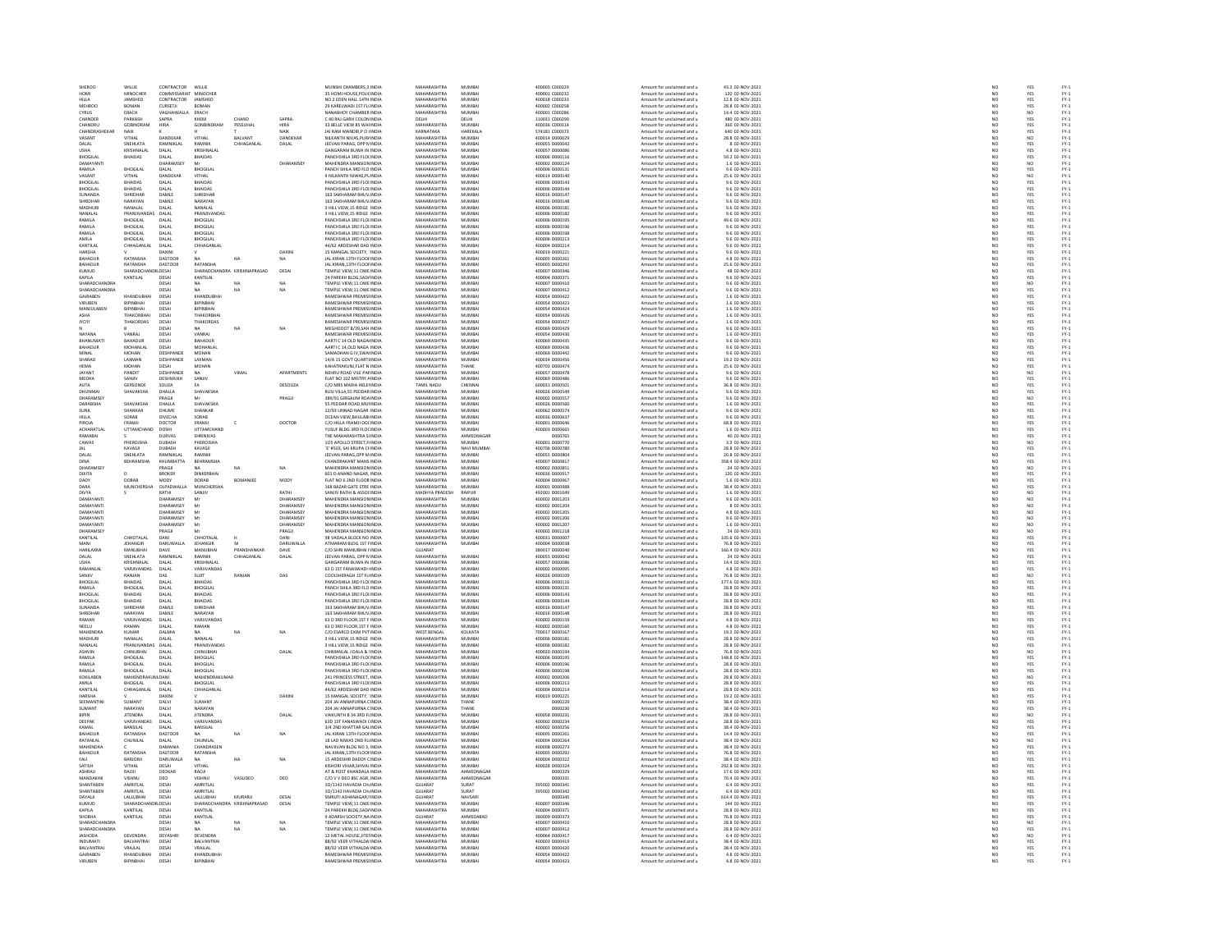| SHEROO                      |                           |                           |                          |               |                       |                                                            |                                   |                  |                                  |                                                          |                                       |                                                                     |                                                                     |                                    |
|-----------------------------|---------------------------|---------------------------|--------------------------|---------------|-----------------------|------------------------------------------------------------|-----------------------------------|------------------|----------------------------------|----------------------------------------------------------|---------------------------------------|---------------------------------------------------------------------|---------------------------------------------------------------------|------------------------------------|
|                             | WILLIE                    | CONTRACTOR                | WILLIE                   |               |                       | MUNSHI CHAMBERS 3 INDIA                                    | MAHARASHTRA                       | MUMRA            | 400005 C000229                   | Amount for unclaimed and u                               | 43.2.02-NOV-2021                      | NO                                                                  | <b>YES</b>                                                          | FY-1<br>FY-1<br>FY-1               |
| HOMI                        | MINOCHER                  | COMMISSARIAT              | MINOCHEI                 |               |                       | 35 HOMI HOUSE, POLICINDIA                                  | MAHARASHTRA                       | MUMBA            | 400001 C000232                   | Amount for unclaimed and u                               | 120 02-NOV-2021                       | NO                                                                  | YES                                                                 |                                    |
| HILLA                       | JAMSHED                   | CONTRACTOR                | JAMSHED                  |               |                       | NO 2 EDEN HALL 14TH INDIA                                  | MAHARASHTRA                       | MUMBAI           | 400018 C000233                   | Amount for unclaimed and u                               | 12.8 02-NOV-2021                      | NO <sub>1</sub>                                                     | YES                                                                 |                                    |
| MEHROO                      | BOMAN                     | CURSETJI                  | <b>BOASSN</b>            |               |                       | 29 KARELWADI 1ST FL(INDIA                                  | MAUARACUTRA                       | 5.4115.40.01     | 400002 C000258                   | Amount for unclaimed and                                 | 28.8 02-NOV-2021                      | NO                                                                  | YES                                                                 |                                    |
| CYRUS                       | ERACH                     | VAGHAIWALLA               | ERACH                    |               |                       | NANABHOY CHAMBER INDIA                                     | MAHARASHTRA                       | MUMBAI           | 400001 C000286                   | Amount for unclaimed and u                               | 14.4 02-NOV-2021                      | NO                                                                  | NO                                                                  | FY-3<br>FY-3                       |
| CHANDER                     | PARKASH                   | SAPRA                     | KHEM                     | CHAND         | SAPRA                 | C 40 RAI GARH COLON IN DIA                                 | <b>DELHI</b>                      | <b>DELHI</b>     | 110031 C000290                   | Amount for unclaimed and u                               | 480 02-NOV-2021                       | $\sim$                                                              | YES                                                                 | FY:<br>FY:                         |
| CHANDRU                     | GOBINDRAM                 | <b>HIRA</b>               | GONBINDRAN               | PESSUHAL      | HIRA                  | 33 BELLE VIEW 85 WAI INDU                                  | MAHARASHTRA                       | MUMBA            | 400036 C000314                   | Amount for unclaimed and u                               | 360 02-NOV-2021                       | NO                                                                  | YES                                                                 |                                    |
| CHANDRASHEKA                | <b>NAIK</b>               |                           |                          |               | NAIK                  | <b>IAI RAM MANDIR PO UNDIA</b>                             | KARNATAKA                         | HARFKALA         | 574181 0000373                   | Amount for unclaimed and u                               | 640.02-NOV-2021                       | NO <sub>1</sub>                                                     | YES<br>NO                                                           | FY-)<br>FY-)                       |
| VASANT                      | VITHAL                    | DANDEKAR                  | VITHAL                   | BALVANT       | DANDEKAR              | NILKANTH NIVAS, PURJ INDU                                  | <b>MAHARASHTRA</b>                | MUMBAI           | 400014 D000029                   | Amount for unclaimed and u                               | 28.8 02-NOV-2021                      | $\overline{N}$                                                      |                                                                     |                                    |
| DALAL                       | SNEHLATA                  | <b>RAMNIKLAL</b>          | <b>RAMNIK</b>            | CHHAGANLAL    | DALAL                 | JEEVAN PARAG, OPP N INDIA                                  | MAHARASHTRA                       | MUMBAI           | 400055 D000042                   | Amount for unclaimed and u                               | 8 02-NOV-2021                         |                                                                     |                                                                     |                                    |
|                             | KRISHNALA                 | DALAL                     | KRISHNALA                |               |                       | CANCARAM RUMA IN INDIA                                     | <b>MAUADACUTRA</b>                | 5.4115.40 61     | sonnez nonnner                   | Amount for unclaimed and u                               | 4.8 02-NOV-2021                       | NO<br>NO                                                            | YES<br>YES<br>YES                                                   | FY-1<br>FY-1<br>FY-1<br>FY-1       |
| BHOGILAI                    | <b>BHAIDAS</b>            | DALAL                     | <b>BHAIDAS</b>           |               |                       | PANCHSHILA 3RD FLOUNDIA                                    | MAHARASHTRA                       | MUMBAI           | 400006 D000116                   | Amount for unclaimed and u                               | 59.2 02-NOV-2021                      | NO                                                                  |                                                                     |                                    |
| DAMAYANTI                   |                           | DHARAMSE                  | Mr                       |               | DHARAMSEY             | MAHENDRA MANSION INDU                                      | MAHARASHTRA                       | MUMRAL           | 400002.0000124                   | Amount for unclaimed and u                               | 1.6 02-NOV-2021                       |                                                                     |                                                                     |                                    |
|                             |                           |                           |                          |               |                       |                                                            |                                   |                  |                                  |                                                          |                                       | NO<br>NO                                                            | NO<br>YES                                                           |                                    |
| RAMILA                      | <b>BHOGILAI</b>           | DALAL                     | <b>BHOGILAL</b>          |               |                       | PANCH SHILA 3RD FLO INDU                                   | MAHARASHTRA                       | MUMBAI           | 400006 D000131                   | Amount for unclaimed and u                               | 9.6 02-NOV-2021                       |                                                                     |                                                                     |                                    |
| VASANT                      | VITHAL                    | <b>DANDEKAR</b>           | <b>UTHAL</b>             |               |                       | 9 NILKANTH NIWAS PL INDIA                                  | MAHARASHTRA                       | MUMRAL           | 400014 0000140                   | Amount for unclaimed and u                               | 25.6.02-NOV-2021                      | NO <sub>1</sub>                                                     | NO <sub>1</sub>                                                     | FY-1<br>FY-1<br>FY-1<br>FY-1       |
| BHOGILA                     | <b>BHAIDAS</b>            | DALAL                     | <b>BHAIDAS</b>           |               |                       | PANCHSHILA 3RD FLOUNDI                                     | MAHARASHTRA                       | MUMBA            | 400006 D000143                   | Amount for unclaimed and u                               | 9.6 02-NOV-2021                       | $\overline{NQ}$                                                     | <b>YES</b>                                                          |                                    |
| BHOGILAL                    | <b>BHAIDAS</b>            | DALAL                     | <b>BHAIDAS</b>           |               |                       | PANCHSHILA 3RD FLOUNDIA                                    | MAHARASHTRA                       | MUMBAI           | 400006 D000144                   | Amount for unclaimed and u                               | 9.6 02-NOV-2021                       | NO                                                                  | YES<br>YES<br>YES                                                   |                                    |
|                             |                           | DAMLE                     | <b>HRIDHA</b>            |               |                       | 163 SAKHARAM BHUV INDU                                     | <b>MAHARASHTRA</b>                | MUMBA            | 400016 D00014                    | Amount for unclaimed and u                               | 9.6 02-NOV-202                        | NQ                                                                  |                                                                     |                                    |
| SHRIDHAR                    | NARAYAN                   | DAMLE                     | NARAYAN                  |               |                       | 163 SAKHARAM BHUV INDIA                                    | MAHARASHTRA                       | MUMBAI           | 400016 D000148                   | Amount for unclaimed and u                               | 9.6 02-NOV-2021                       |                                                                     |                                                                     |                                    |
| <b>MADHLIR</b>              | NANAI AI                  | DALAI                     | NANALAI                  |               |                       | 3 HILL VIEW, 15 RIDGE INDIA                                | MAHARASHTRA                       | MUMRAL           | 400006 DOD0181                   | Amount for unclaimed and u                               | 9.6 02-NOV-2021                       |                                                                     |                                                                     |                                    |
| NANALAL                     | <b>PRANJIVANDA</b>        | DALAL                     | PRANJIVANDA              |               |                       | 3 HILL VIEW, 15 RIDGE INDU                                 | MAHARASHTRA                       | MUMBA            | 400006 D000182                   | Amount for unclaimed and u                               | 9.6 02-NOV-2021                       | NO<br>NO                                                            | YES<br>YES                                                          |                                    |
| RAMILA                      | <b>BHOGLAL</b>            | DAI AL                    | <b>RHOGILAL</b>          |               |                       | PANCHSHILA 3RD FLOCINDIA                                   | MAHARASHTRA                       | MUMRAL           | 400006 DOD0195                   | Amount for unclaimed and u                               | 49.6.02-NOV-2021                      | NO <sub>1</sub>                                                     |                                                                     |                                    |
| RAMILA                      | BHOGILAL                  | DALAL                     | <b>BHOGILAI</b>          |               |                       | PANCHSHILA 3RD FLOUNDIA                                    | MAHARASHTRA                       | MUMBAI           | 400006 D000196                   |                                                          | 9.6 02-NOV-2021                       | $\overline{N}$                                                      | YES<br>YES                                                          |                                    |
| RAMILA                      | <b>BHOGILAL</b>           | DALAL                     | <b>BHOGILAL</b>          |               |                       | PANCHSHILA 3RD FLOUNDIA                                    | MAHARASHTRA                       | MUMBAI           | 400006 D000198                   | Amount for unclaimed and u<br>Amount for unclaimed and u | 9.6 02-NOV-2021                       |                                                                     |                                                                     |                                    |
|                             |                           |                           |                          |               |                       |                                                            |                                   |                  |                                  |                                                          |                                       | NO<br>NO                                                            | YES<br>YES<br>YES                                                   |                                    |
| <b>AMILA</b>                | <b>BHOGILAI</b>           | DALA                      | BHOGILAL                 |               |                       | PANCHSHILA 3RD FLOUNDL                                     | <b>MAHARASHTRA</b>                | MUMBA            | 400006 D000213                   | Amount for unclaimed and u                               | 9.6 02-NOV-2021                       |                                                                     |                                                                     |                                    |
| KANTILAL                    | CHHAGANLAL                | DALAL                     | CHHAGANLAI               |               |                       | 44/62 ARDESHAR DAD INDIA                                   | MAHARASHTRA                       | MUMBAI           | 400004 D000214                   | Amount for unclaimed and u                               | 9.6 02-NOV-2021                       | NO <sub>1</sub>                                                     |                                                                     |                                    |
| HARSHA                      |                           |                           |                          |               | DAXII                 | 15 MANGAL SOCIETY, INDIA<br>JAL KIRAN 13TH FLOOF INDIA     | MAHARASHTRA<br>MAHARASHTRA        | MUMBAI<br>MUMBAI | 00019 000022                     | Amount for unclaimed and u                               | 3.6 02-NOV-2021                       | $\frac{N}{N}$                                                       | YES<br>YES                                                          | 구 구 구 구 구 구 구 구<br>구 구 구 구 구 구 구 구 |
| BAHADUF                     | RATANSHA                  | DASTOOR                   |                          | NA            | NA.                   |                                                            |                                   |                  | 400005 D000261                   | Amount for unclaimed and u                               | 4.8 02-NOV-2021                       |                                                                     |                                                                     |                                    |
| <b>RAHADUR</b>              | RATANSHA                  | DASTOOR                   | RATANSHA                 |               |                       | <b>JALKIRAN 13TH FLOOLINDIA</b>                            | MAHARASHTRA                       | MUMRAL           | cesonons annona                  | Amount for unclaimed and u                               | 25.6.02-NOV-2021                      | NO<br>NO                                                            | YES<br>YES                                                          |                                    |
| KUMUD                       | SHARADCH                  | UDESAI                    | SHARADCHA                | RA KRISH      | DESA                  | TEMPLE VIEW,11 OWE INDU                                    | <b>MAHARASHTRA</b>                | MUMBA            | 400007 D000346                   | Amount for unclaimed and u                               | 48 02-NOV-2021                        |                                                                     |                                                                     |                                    |
| KAPILA                      | KANTILAL                  | DESAI                     | KANTILAL                 |               |                       | 24 PAREKH BLDG.SAD/ INDIA                                  | MAHARASHTRA                       | MUMBAI           | 400004 D000371                   | Amount for unclaimed and u                               | 9.6 02-NOV-2021                       | NO                                                                  | YES                                                                 |                                    |
| <b>HARADCHANDE</b>          |                           | DESA                      |                          |               |                       | TEMPLE VIEW, 11 OWE INDU                                   | <b>MAHARASHTRA</b>                | MUMBA            | 400007 D000410                   | Amount for unclaimed and u                               | 9.6 02-NOV-2021                       | NO                                                                  | NO                                                                  |                                    |
| SHARADCHANDRA               |                           | DESAI                     | <b>NA</b>                | NA            | NA                    | TEMPLE VIEW.11 OWE INDIA                                   | MAHARASHTRA                       | MUMBAI           | 400007 D000412                   | Amount for unclaimed and u                               | 9.6 02-NOV-2021                       | NO                                                                  | YES                                                                 |                                    |
| GAJRABEN                    | KHANDUBHA                 | DESAI                     | KHANDUBHA                |               |                       | RAMESHWAR PREMISHNDL                                       | MAHARASHTRA                       | MUMBAI           | 400054 D000422                   | Amount for unclaimed and u                               | 1.6 02-NOV-2021                       | NO                                                                  | YES                                                                 |                                    |
| VIRUBEN                     | BIPINBHAI                 | DESAI                     | BIPINBHAI                |               |                       | RAMESHWAR PREMISHNDIA                                      | MAHARASHTRA                       | MUMBAI           | 400054 D000423                   | Amount for unclaimed and u                               | 1.6 02-NOV-2021                       |                                                                     |                                                                     |                                    |
| MANJULABEN                  | BIPINBHAI                 | DESAI                     | <b>BIPINBHA</b>          |               |                       | RAMESHWAR PREMISHNDIA                                      | MAHARASHTRA                       | MUMBAI           | 400054 D000424                   | Amount for unclaimed and u                               | 1.6 02-NOV-2021                       | NO<br>NO                                                            | YES<br>YES<br>YES                                                   |                                    |
| ASHA                        |                           | DESAI                     | <b>THAKORBI</b>          |               |                       | RAMESHWAR PREMISHINDU                                      | <b>MAHARASHTRA</b>                | MUMBA            | 400054 D000426                   | Amount for unclaimed and u                               | 1.6 02-NOV-2021                       | NO                                                                  |                                                                     |                                    |
| <b>JYOTI</b>                | THAKORDAS                 | DESAI                     | THAKORDAS                |               |                       | <b>RAMESHWAR PREMISHNDIA</b>                               | MAHARASHTRA                       | MUMBAI           | 400054 D000427                   | Amount for unclaimed and u                               | 1.6 02-NOV-2021                       | NO                                                                  | YES                                                                 |                                    |
|                             |                           | DESA                      |                          |               | NA                    | MEGHDOOT B/39,SAH INDL                                     | <b>MAHARASHTRA</b>                | MUMBA            | 400069 D000429                   | Amount for unclaimed and u                               | 9.6 02-NOV-2021                       | NO                                                                  |                                                                     |                                    |
| NAYANA                      | VANRAJ                    | DESAI                     | VANRAJ                   |               |                       | <b>RAMESHWAR PREMISHNDIA</b>                               | MAHARASHTRA                       | MUMBAI           | 400054 D000430                   | Amount for unclaimed and u                               | 1.6 02-NOV-2021                       | NO <sub>1</sub>                                                     | YES<br>YES                                                          |                                    |
| RHANIIMAT                   | <b>RAHADLIF</b>           | DESAI                     | BAHADUR                  |               |                       | AARTI C 14 OLD NAGA INDU                                   | <b>MAHARASHTRA</b>                | MUMRAL           | 400069 D000435                   | Amount for unclaimed and                                 | 9.6 02-NOV-2021                       | NO                                                                  |                                                                     |                                    |
| <b>BAHADUR</b>              | MOHANLAI                  | DESAI                     | MOHANLAL                 |               |                       | AARTI C 14, OLD NAGA INDIA                                 | MAHARASHTRA                       | MUMBAI           | 400069 D000436                   | Amount for unclaimed and u                               | 9.6 02-NOV-2021                       | NO                                                                  | YES<br>YES                                                          |                                    |
| MINAI                       | MOHAN                     | DESHPANDI                 | MOHAN                    |               |                       | AMADHAN G IV SWALINDU                                      | MAHARASHTRA                       | MUMRAL           | 400069.0000442                   |                                                          |                                       |                                                                     |                                                                     |                                    |
|                             |                           |                           |                          |               |                       |                                                            |                                   |                  |                                  | Amount for unclaimed and u                               | 9.6 02-NOV-2021<br>19.2 02-NOV-2021   | NC<br>NC                                                            | YES<br>YES                                                          |                                    |
| ---------<br>SHARAD         | LAXMAN                    | DESHPANDE                 | LAXMAN                   |               |                       | 14/A 15 GOVT QUARTINDL                                     | <b>MAHARASHTRA</b>                | MUMBA            | 400034 D00045                    | Amount for unclaimed and u                               |                                       |                                                                     |                                                                     |                                    |
| <b>HEMA</b>                 | <b>MOHAN</b>              | DESAL                     | MOHAN                    |               |                       | KAHATRAKUNJ.FLAT N INDIA                                   | MAHARASHTRA                       | THANE            | 400703 D000474                   | Amount for unclaimed and u                               | 25.6 02-NOV-2021                      | NO <sub>1</sub>                                                     | YES                                                                 |                                    |
| <b>AYANT</b>                | PANDIT                    | DESHPANDE                 |                          | VIMA          | APARTMENTS            | NEHRU ROAD VILE PAFINDU                                    | <b>MAHARASHTRA</b>                | MUMBA            | 400057 D000478                   | Amount for unclaimed and u                               | 9.6 02-NOV-202                        | NO                                                                  | NO                                                                  |                                    |
| MEDHA                       | SANJIV                    | DESHMUKH                  | SANJIV                   |               |                       | FLAT NO 102 MISTRY AINDIA                                  | MAHARASHTRA                       | MUMBAI           | 400069 D000486                   | Amount for unclaimed and u                               | 9.6 02-NOV-2021                       | $\frac{NO}{NO}$                                                     | YES                                                                 |                                    |
| AUTA                        | GERSOND                   | SOUZA                     |                          |               | DESOUZA               | C/O MRS MARIA HELEHNDU                                     | TAMIL NADU                        | CHENNAL          | 600031 0000501                   | Amount for unclaimed and                                 | 36.8 02-NOV-2021                      |                                                                     |                                                                     |                                    |
| DHUNMAI                     | SHAVAKSHA                 | DHALLA                    | <b>SHAVAKSHA</b>         |               |                       | RUSI VILLA, 55 PEDDAR INDIA                                | MAHARASHTRA                       | MUMBAI           | 400026 D000549                   | Amount for unclaimed and u                               | 9.6 02-NOV-2021                       | NO                                                                  | YES<br>YES                                                          |                                    |
| DHARAMSEY                   |                           | PRAGIL                    |                          |               | PRAGJI                | 389/91 GIRGAUM ROA INDIA                                   | MAHARASHTRA                       | MUMRAL           | 400002.0000557                   | Amount for unclaimed and u                               | 9.6 02-NOV-2021                       |                                                                     |                                                                     |                                    |
| DARABSHA                    | SHAVAKSHA                 | DHALLA                    | <b>SHAVAKSHA</b>         |               |                       | 55 PEDDAR ROAD, MUI INDIA                                  | MAHARASHTRA                       | MUMBAI           | 400026 D000560                   | Amount for unclaimed and u                               | 1.6 02-NOV-2021                       | NO<br>NO                                                            | NO<br>YES                                                           |                                    |
| SHNIE                       | SHANKAR                   | <b>DHUME</b>              | SHANKAR                  |               |                       | 12/93 UNNAD NAGAR INDIA                                    | MAHARASHTRA                       | MUMRAL           | 400062.0000574                   | Amount for unclaimed and u                               | 96.02-NOV-2021                        | NO<br>NO                                                            | YES<br>YES                                                          |                                    |
| HILLA                       | SORAB                     | <b>DIVECHA</b>            | SORAB                    |               |                       | <b>OCEAN VIEW, BHULABI IND</b>                             | MAHARASHTRA                       | MUMBA            | 400036 D00063                    | Amount for unclaimed and u                               | 9.6 02-NOV-2021                       |                                                                     |                                                                     |                                    |
| PIROJA                      | FRAMJI                    | DOCTOR                    | FRAMJI                   | c             | DOCTOR                | C/O HILLA FRAMJI DO( INDIA                                 | MAHARASHTRA                       | MUMBAI           | 400001 D000646                   | Amount for unclaimed and u                               | 68.8 02-NOV-2021                      | NO                                                                  | YES                                                                 |                                    |
| ACHARATLA                   | UTTAMCHAN                 | DOSHI                     | UTTAMCHAND               |               |                       | USUF BLDG 3RD FLOCINDI                                     | <b>MAHARASHTRA</b>                | MUMBAL           | 400003 D000665                   | Amount for unclaimed and                                 | 1.6 02-NOV-202                        | NC                                                                  |                                                                     |                                    |
| RAMABAI                     |                           | <b>DURVAS</b>             | SHRINIVAS                |               |                       | THE MAHARASHTRA SI INDIA                                   | MAHARASHTRA                       | AHMEDNAGAI       | D000765                          | Amount for unclaimed and u                               | 40 02-NOV-2021                        | NO                                                                  | YES<br>YES                                                          | FY-1<br>FY-1<br>FY-1<br>FY-1       |
| CAWAS                       | PHEROISHA                 | DURASH                    | PHEROISHA                |               |                       | 105 APOLLO STREET.F INDIA                                  | MAHARASHTRA                       | MUMBAL           | 400001.0000770                   | Amount for unclaimed and u                               | 3.2 02-NOV-2021                       |                                                                     |                                                                     |                                    |
|                             | KAVASJI                   | DUBASH                    | KAVASJI                  |               |                       | 'E' #503, SAI KRUPA CHINDIA                                | MAHARASHTRA                       | NAVI MUMBA       | 400706 D000780                   | Amount for unclaimed and u                               | 28.8 02-NOV-2021                      | NO<br>NO                                                            | NO<br>YES                                                           | 것 것 것 것 것 것 것 것<br>- 2             |
| DALAL                       | SNEHLATA                  | RAMNIKI AI                | RAMNIK                   |               |                       | <b>IFFVAN PARAG OPP MINDIA</b>                             | MAHARASHTRA                       | MUMBAL           | 400055 DO00804                   | Amount for unclaimed and u                               | 20 8 02-NOV-2021                      | NO <sub>1</sub>                                                     |                                                                     |                                    |
| DINA                        | BEHRAMSHA                 | KHUMBATTA                 | <b>BEHRAMSHA</b>         |               |                       | CHANDRAKANT MANS INDU                                      | <b>MAHARASHTRA</b>                | MUMBAI           | 400007 D00081                    | Amount for unclaimed and u                               | 358.4 02-NOV-2021                     | $\overline{N}$                                                      | YES<br>YES<br>NO                                                    |                                    |
| DHARAMSEY                   |                           | PRAGJI                    | NA                       | NA            | NA                    | MAHENDRA MANSION INDIA                                     | MAHARASHTRA                       | MUMBAI           | 400002 D000851                   | Amount for unclaimed and u                               | 24 02-NOV-2021                        | NO                                                                  |                                                                     |                                    |
| DIXITA                      |                           | BROKER                    | <b>DINKERRHA</b>         |               |                       | 601 D ANAND NAGAR, INDU                                    | MAHARASHTRA                       | MUMRAL           | 400036 D000917                   | Amount for unclaimed and u                               | 120 02-NOV-2021                       | NO                                                                  |                                                                     |                                    |
| DADY                        | DORAB                     | MODY                      | DORAB                    | BOMANJEE      | MODY                  | FLAT NO 6 2ND FLOOR INDIA                                  | MAHARASHTRA                       | MUMBAI           | 400004 D000967                   | Amount for unclaimed and u                               | 1.6 02-NOV-2021                       | NO                                                                  | YES<br>YES                                                          |                                    |
| DARA                        | <b>MUNCHERSHA</b>         | OLPADWALLA                | <b>MUNCHERSHA</b>        |               |                       | 168 BAZAR GATE STRE INDIA                                  | MAHARASHTRA                       | MUMRAL           | 400001 DODD988                   | Amount for unclaimed and u                               | 38.4.02-NOV-2021                      | NO <sub>1</sub>                                                     |                                                                     |                                    |
| DIVYA                       |                           |                           |                          |               | RATHI                 |                                                            | MADHYA PRADESH                    |                  |                                  |                                                          |                                       | $\overline{NQ}$                                                     | YES<br>NO                                                           |                                    |
| DAMAYANTI                   |                           | RATHI<br><b>DHARAMSEY</b> | SANJIV                   |               | DHARAMSEY             | SANJIV RATHI & ASSOCINDIA<br>MAHENDRA MANSION INDIA        | MAHARASHTRA                       | RAIPUR<br>MUMBAL | 492001 D001049<br>100002.0001203 | Amount for unclaimed and u                               | 1.6 02-NOV-2021<br>9.6.02-NOV-2021    |                                                                     |                                                                     |                                    |
|                             |                           |                           | Mr                       |               |                       |                                                            |                                   |                  |                                  | Amount for unclaimed and u                               |                                       | NO <sub>1</sub>                                                     | NO <sub>1</sub>                                                     | FY-3<br>FY-3                       |
| DAMAYANT                    |                           | DHARAMSEY                 |                          |               | DHARAMSE <sup>®</sup> | MAHENDRA MANSION INDU                                      | MAHARASHTRA                       | MUMBA            | 400002 D001204                   | Amount for unclaimed and u                               | 8 02-NOV-2021                         | $\overline{NQ}$                                                     | $\overline{NQ}$                                                     |                                    |
| DAMAYANTI                   |                           | DHARAMSEY                 | M                        |               | DHARAMSEY             | MAHENDRA MANSION INDIA                                     | MAHARASHTRA                       | MUMBAI           | 400002 D001205                   | Amount for unclaimed and u                               | 4.8 02-NOV-2021                       | $\begin{array}{c} \tt NO \\ \tt NO \\ \tt NO \\ \tt NO \end{array}$ | $\begin{array}{c} \tt NO \\ \tt NO \\ \tt NO \\ \tt NO \end{array}$ |                                    |
| DAMAYANTI                   |                           | HARAMSEY                  | M                        |               | <b>HARAMSEY</b>       | MAHENDRA MANSION INDU                                      | MAHARASHTRA                       | MUMRAL           | snonna non1ane                   | Amount for unclaimed and u                               | 9.6 02-NOV-2021                       |                                                                     |                                                                     |                                    |
| DAMAYANTI                   |                           | DHARAMSEY                 | M                        |               | DHARAMSEY             | MAHENDRA MANSION INDIA                                     | MAHARASHTRA                       | MUMBAI           | 400002 D001207                   | Amount for unclaimed and u                               | 1.6 02-NOV-2021                       |                                                                     |                                                                     |                                    |
| DHARAMSEY                   |                           | PRAGIL                    | A6                       |               | PRAGIL                | MAHENDRA MANSION INDIA                                     | MAHARASHTRA                       | MUMRAL           | 400002.0001218                   | Amount for unclaimed and u                               | 24.02-NOV-2021                        |                                                                     | NO <sub>1</sub>                                                     |                                    |
| KANTILAL                    | CHHOTALAI                 | DANI                      | CHHOTALA                 |               | DANI                  | 98 VADALA BLOCK NO INDU                                    | MAHARASHTRA                       | MUMBA            | 400031 D000007                   | Amount for unclaimed and u                               | 105.6 02-NOV-2021                     | NO<br>NO                                                            | <b>YES</b>                                                          |                                    |
| MANI                        | <b>IFHANGIR</b>           | <b>DARIIWALLS</b>         | <b>IFHANGIR</b>          |               | <b>DARLIWALLA</b>     | ATMARAM RLDG 1ST FINDIA                                    | MAHARASHTRA                       | MUMRAL           | 400004 DODDR38                   | Amount for unclaimed and u                               | 76.8.02-NOV-2021                      | NO                                                                  | YES<br>YES                                                          |                                    |
| HARILAXM                    | MANUBHA                   | DAVE                      | MANUBHA                  | PRANSHANKAF   | DAVE                  | C/O SHRI MANUBHAI FINDI                                    | GUJARAT                           |                  | 380017 D000040                   | Amount for unclaimed and u                               | 166.4 02-NOV-2021                     | NO                                                                  |                                                                     |                                    |
| DALAL                       | SNEHLATA                  | <b>RAMNIKLAL</b>          | <b>RAMNIK</b>            | CHHAGANLAL    | DALAL                 | JEEVAN PARAG, OPP N INDIA                                  | MAHARASHTRA                       | MUMBAI           |                                  | Amount for unclaimed and u                               |                                       | NO                                                                  | YES                                                                 |                                    |
|                             |                           |                           |                          |               |                       |                                                            |                                   |                  |                                  |                                                          |                                       |                                                                     | YES                                                                 |                                    |
|                             |                           |                           |                          |               |                       |                                                            |                                   |                  | 400055 D000042                   |                                                          | 24 02-NOV-2021                        |                                                                     |                                                                     |                                    |
| USHA<br>RAMANLAI            | KRISHNALA<br>VARJIVANDAS  | DALAL<br>DALAL            | KRISHNALA<br>VARJIVANDAS |               |                       | 63 D 1ST FANASWADI INDIA                                   | <b>MAHARASHTRA</b><br>MAHARASHTRA | MUMBA<br>MUMBAI  | 400057 D000086<br>400002 D000095 | Amount for unclaimed and u<br>Amount for unclaimed and u | 14.4 02-NOV-2021<br>4.8 02-NOV-2021   | NO                                                                  |                                                                     |                                    |
| SANIIV                      | RANIAN                    | <b>DAS</b>                | SUIT                     | RANJAN        |                       | COOLSHERAGH 1ST FLUNDIA                                    | MAHARASHTRA                       | MUMRAL           | 400026.0000109                   |                                                          | 76.8.02-NOV-2021                      |                                                                     |                                                                     |                                    |
| BHOGILAL                    | <b>BHAIDAS</b>            | DALAL                     | <b>BHAIDAS</b>           |               | DAS                   | PANCHSHILA 3RD FLOUND                                      | <b>MAHARASHTRA</b>                | MUMBAL           | 400006 D000116                   | Amount for unclaimed and u                               | 177.6 02-NOV-2021                     | NO<br>NO                                                            |                                                                     |                                    |
|                             |                           |                           |                          |               |                       |                                                            |                                   |                  |                                  | Amount for unclaimed and u                               |                                       | $\overline{N}$                                                      | YES<br>NO<br>YES                                                    |                                    |
| RAMILA                      | <b>BHOGILAL</b>           | DALAL                     | <b>BHOGILAL</b>          |               |                       | PANCH SHILA 3RD FLO INDIA                                  | MAHARASHTRA                       | MUMBAI           | 400006 D000131                   | Amount for unclaimed and u                               | 28.8 02-NOV-2021                      |                                                                     |                                                                     |                                    |
| BHOGILA                     | <b>BHAIDAS</b>            | DALA                      | BHAIDAS                  |               |                       | PANCHSHILA 3RD FLOUNDIA                                    | <b>MAHARASHTRA</b>                | MUMBA            | 400006 D000143                   | Amount for unclaimed and u                               | 28.8 02-NOV-2021                      | NO<br>NO                                                            |                                                                     |                                    |
| BHOGILAL                    | <b>BHAIDAS</b>            | DALAL                     | <b>BHAIDAS</b>           |               |                       | PANCHSHILA 3RD FLOUNDIA                                    | MAHARASHTRA                       | MUMBAI           | 400006 D000144                   | Amount for unclaimed and u                               | 28.8 02-NOV-2021                      | NO <sub>1</sub>                                                     | YES<br>YES<br>YES                                                   |                                    |
| <b>SUNAND</b>               | <b>SHRIDHAI</b>           | DAML                      | SHRIDHAI                 |               |                       | 163 SAKHARAM BHUV INDU                                     | <b>MAHARASHTRA</b>                | MUMBA            | 00016 D00014                     | Amount for unclaimed and u                               | 28.8 02-NOV-2021                      | NO                                                                  |                                                                     |                                    |
| SHRIDHAR                    | NARAYAN                   | DAMLE                     | NARAYAN                  |               |                       | 163 SAKHARAM BHUV INDIA                                    | MAHARASHTRA                       | MUMBAI           | 400016 D000148                   | Amount for unclaimed and u                               | 28.8 02-NOV-2021                      | NO <sub>1</sub>                                                     | YES<br>YES                                                          |                                    |
| <b>AMAN</b>                 | VARIIVANDAS               | DALAL                     | VARIIVANDA <sup>1</sup>  |               |                       |                                                            | <b>MAUARACUTRA</b>                | <b>MUMBAL</b>    | 400002 D000159                   |                                                          |                                       |                                                                     |                                                                     |                                    |
| NEELU                       | RAMAN                     | DALAL                     | RAMAN                    |               |                       | 63 D 3RD FLOOR, 1ST F INDIA<br>63 D 3RD FLOOR, 1ST F INDIA | <b>MAHARASHTRA</b>                | MUMBA            | 400002 0000160                   | Amount for unclaimed and u<br>Amount for unclaimed and u | 4.8 02-NOV-2021<br>4.8 02-NOV-2021    | $\frac{N}{N}$                                                       | YES<br>YES                                                          |                                    |
| <b>MAHENDRA</b>             | KUMAR                     | <b>DALMIA</b>             | <b>NA</b>                | NA            | NA                    | C/O ESARCO EXIM PVT INDIA                                  | <b>WEST BENGAL</b>                | KOLKATA          | 700017 0000167                   | Amount for unclaimed and u                               | 19.2 02-NOV-2021                      | NO <sub>1</sub>                                                     | YES                                                                 |                                    |
| MADHURI                     | NANALAL                   | DALAL                     | NANALAL                  |               |                       | 3 HILL VIEW, 15 RIDGE INDU                                 | <b>MAHARASHTRA</b>                | MUMBA            | 400006 D000181                   | Amount for unclaimed and u                               | 28.8 02-NOV-2021                      | NO                                                                  | YES                                                                 |                                    |
| NANALAL                     | PRANJIVANDAS DALAL        |                           | PRANJIVANDAS             |               |                       | 3 HILL VIEW.15 RIDGE INDIA                                 | MAHARASHTRA                       | MUMBAI           | 400006 D000182                   | Amount for unclaimed and u                               | 28.8 02-NOV-2021                      |                                                                     | YES                                                                 |                                    |
|                             | CHINUBHA                  | DALA                      | CHINUBHA                 |               | DALAL                 | .<br>CHIMANLAL J DALA & : INDI                             | <b>MAHARASHTRA</b>                | MUMBA            | 400020 D000194                   | Amount for unclaimed and u                               | 76.8 02-NOV-2021                      | NO<br>NO                                                            | NO                                                                  |                                    |
| RAMILA                      | <b>BHOGILAL</b>           | DALAL                     | <b>BHOGILAL</b>          |               |                       | PANCHSHILA 3RD FLOUNDIA                                    | MAHARASHTRA                       | MUMBAI           | 400006 D000195                   | Amount for unclaimed and u                               | 148.8 02-NOV-2021                     | NO <sub>1</sub>                                                     | YES                                                                 |                                    |
| RAMILA                      | HOGILAL                   | DALA                      | <b>HOGILAI</b>           |               |                       | ANCHSHILA 3RD FLOUNDI                                      | MAHARASHTRA                       | MUMBAL           | 400006 D000196                   | Amount for unclaimed and                                 | 28.8 02-NOV-2021                      | NC                                                                  |                                                                     |                                    |
| RAMILA                      | <b>BHOGILAL</b>           | DALAL                     | BHOGILAL                 |               |                       | PANCHSHILA 3RD FLOUNDIA                                    | MAHARASHTRA                       | MUMBAI           | 400006 D000198                   | Amount for unclaimed and u                               | 28.8 02-NOV-2021                      |                                                                     |                                                                     |                                    |
| <b>KOKILABEN</b>            | MAHENDRAK                 | WDANI                     | MAHENDRAKUMAR            |               |                       | 241 PRINCESS STREET, INDIA                                 | MAHARASHTRA                       | MUMBAI           | 400002 D000206                   | Amount for unclaimed and u                               | 28.8 02-NOV-2021                      | NO<br>NO                                                            | YES<br>YES<br>NO                                                    |                                    |
| AMILA                       | BHOGILAL                  | DALA                      | BHOGILAL                 |               |                       | PANCHSHILA 3RD FLOUNDL                                     | <b>MAHARASHTRA</b>                | MUMBA            | 400006 D000213                   | Amount for unclaimed and u                               | 28.8 02-NOV-2021                      | NO                                                                  | YES                                                                 |                                    |
| KANTILAL                    | CHHAGANLAL                | DALAL                     | CHHAGANLAI               |               |                       | 44/62 ARDESHAR DAD INDIA                                   | MAHARASHTRA                       | MUMBAI           | 400004 D000214                   | Amount for unclaimed and u                               | 28.8 02-NOV-2021                      | NO <sub>1</sub>                                                     | YES                                                                 |                                    |
| HARSHA                      |                           |                           |                          |               | DAXIN                 | 15 MANGAL SOCIETY, INDU                                    | <b>MAHARASHTRA</b>                | MUMBAI           | 400019 D000221                   | Amount for unclaimed and u                               | 19.2 02-NOV-2021                      | NO                                                                  |                                                                     |                                    |
| SEEMANTIN                   | SUMANT                    | DALVI                     | SUMANT                   |               |                       | 204 JAI ANNAPURNA CINDIA                                   | MAHARASHTRA                       | THANE            | nonnaze                          | Amount for unclaimed and u                               | 38.4 02-NOV-2021                      | NO                                                                  | YES<br>YES                                                          |                                    |
| <b>SUMANT</b>               | NARAYAN                   | DALV                      | .<br>NARAYAN             |               |                       | 204 JAI ANNAPURNA CINDIA                                   | <b>MAUARACUTRA</b>                | THANE            | nonnaan                          | Amount for unclaimed and                                 | 38.4 02-NOV-2021                      |                                                                     |                                                                     |                                    |
| BIPIN                       | <b>JITENDRA</b>           | DALAL                     | <b>JITENDRA</b>          |               | DALAL                 | VAIKUNTH B 34 3RD FLINDIA                                  | MAHARASHTRA                       | MUMBA            | 400058 D000231                   | Amount for unclaimed and u                               | 28.8 02-NOV-2021                      | NO<br>NO                                                            |                                                                     |                                    |
| DEEPAK                      | VARIIVANDAS               | DALAL                     | VARIIVANDAS              |               |                       | 63D 1ST FANASWADI CINDIA                                   | MAHARASHTRA                       | MUMRAL           | Annona ponoara                   |                                                          | 28.8 02-NOV-2021                      | NO                                                                  | YES<br>NO                                                           |                                    |
|                             |                           |                           |                          |               |                       |                                                            |                                   |                  | 400002 D000256                   | Amount for unclaimed and u                               |                                       |                                                                     |                                                                     |                                    |
| KAMAL<br><b>BAHADUR</b>     | BANSILAL<br>RATANSHA      | DALAL<br>DASTOOR          | BANSILAL<br><b>NA</b>    | NA            | NA                    | 3/4 2ND KHATTAR GALINDIA<br>JAL KIRAN 13TH FLOOF INDIA     | MAHARASHTRA<br>MAHARASHTRA        | MUMBAI<br>MUMBAI | 400005 D000261                   | Amount for unclaimed and u<br>Amount for unclaimed and u | 38.4 02-NOV-2021<br>14.4 02-NOV-2021  | NO<br>NO                                                            | YES<br>YES<br>YES                                                   |                                    |
| RATANLA                     |                           |                           |                          |               |                       |                                                            | <b>MAHARASHTRA</b>                | MUMBA            | snoons noonze                    |                                                          |                                       |                                                                     |                                                                     |                                    |
|                             | CHUNILAI                  | DALAL                     | CHUNILAL                 |               |                       | 18 LAD NIWAS 2ND FU INDI                                   |                                   |                  |                                  | Amount for unclaimed and                                 | 38.4 02-NOV-2021                      | NO                                                                  |                                                                     |                                    |
| MAHENDRA                    | RATANSHA                  | DAMANIA                   | CHANDRASEN               |               |                       | NAVJIVAN BLDG NO 3, INDIA                                  | MAHARASHTRA<br>MAHARASHTRA        | MUMBAI<br>MUMRAL | 400008 D000273                   | Amount for unclaimed and u                               | 38.4 02-NOV-2021                      | NO                                                                  | NO<br>YES                                                           |                                    |
| <b>BAHADUR</b>              |                           | DASTOOR                   | RATANSHA                 |               |                       | JAL KIRAN, 13TH FLOOHNDL                                   |                                   |                  | 400005 D000292                   | Amount for unclaimed and u                               | 76.8 02-NOV-2021                      | NO                                                                  |                                                                     |                                    |
| FALL<br>SATISH              | BARJORJI<br><b>VITHAL</b> | DARUWALA<br>DESAL         | NA<br><b>IAHTIV</b>      | NA            | NA                    | 15 ARDESHIR DADDY CINDIA<br>KISHORI VIHAR SHIVAI INDU      | MAHARASHTRA<br>MAHARASHTRA        | MUMBAI<br>MUMRAL | 400004 D000322<br>400028.0000324 | Amount for unclaimed and u                               | 38.4 02-NOV-2021<br>292.8.02-NOV-2021 | NO                                                                  | YES<br>YES                                                          |                                    |
|                             |                           |                           |                          |               |                       |                                                            |                                   |                  |                                  | Amount for unclaimed and u                               |                                       |                                                                     |                                                                     |                                    |
| ASHRAJI                     | RAOJI                     | DEOKAR                    | RAOJI                    |               |                       | AT & POST KHANDALA INDU                                    | MAHARASHTRA                       | AHMEDNAGA        | D000329                          | Amount for unclaimed and u                               | 17.6 02-NOV-2021                      | NO<br>NO                                                            | YES<br>YES                                                          |                                    |
| MANDAKIN                    | VISHNU                    | DEO.                      | VISHNU                   | VASUDED       | DEO                   | C/O V V DEO BSC AGR INDIA                                  | MAHARASHTRA                       | AHMEDNAGAR       | noon331                          | Amount for unclaimed and u                               | 70.4.02-NOV-2021                      |                                                                     |                                                                     |                                    |
| SHANTARE                    | AMRITI AL                 | DESAL                     | <b>AMRITI A</b>          |               |                       |                                                            | <b>SLUARAT</b>                    | <br>SURAT        | 395002 DO0034                    | Amount for unclaimed and                                 | 6.4 02-NOV-202                        | NO<br>NO                                                            |                                                                     |                                    |
| SHANTABEN                   | AMRITLAL                  | DESAI                     | AMRITLAL                 |               |                       | 10/1142 HAVADIA CH INDIA                                   | GUJARAT                           | SURAT            | 395002 D000342                   | Amount for unclaimed and u                               | 6.4 02-NOV-2021                       | NO                                                                  | YES<br>YES<br>YES                                                   |                                    |
| DAVAL II                    | <b>JAULIBHAL</b>          | DESAL                     | <b>JAILURHAL</b>         | MURARI        | DESAL                 | MRUTI ASHANAGAR UNDU                                       | GUIARAT                           | <b>NAVSARI</b>   | nonnas                           | Amount for unclaimed and u                               | 614.4 02-NOV-2021                     | NO                                                                  |                                                                     |                                    |
| KUMUD                       | <b>SHARADCH</b>           | <b>RIDESAI</b>            | SHARADCHAI               | KRISHNAPRASAD | DESAI                 | TEMPLE VIEW, 11 OWE INDIA                                  | <b>MAHARASHTRA</b>                | MUMBAI           | 400007 D000346                   | Amount for unclaimed and u                               | 144 02-NOV-2021                       | NO                                                                  | YES<br>YES                                                          |                                    |
| KAPILA                      | KANTILAI                  | DESAI                     | KANTILAI                 |               |                       | 24 PAREKH BLDG SADJINDIA                                   | MAHARASHTRA                       | MUMRAL           | 400004 DO00371                   | Amount for unclaimed and u                               | 28.8.02-NOV-2021                      | NO                                                                  |                                                                     |                                    |
| SHOBHA                      | KANTILAL                  | DESAI                     | KANTILAL                 |               |                       | 9 ADARSH SOCIETY, NA INDIA                                 | GUJARAT                           | AHMEDABAD        | 380009 D000373                   | Amount for unclaimed and u                               | 76.8 02-NOV-2021                      |                                                                     | YES<br>YES                                                          |                                    |
| <b>SHARADCHANDRA</b>        |                           | DESAL                     | <b>NA</b>                | NA            | <b>NA</b>             | TEMPLE VIEW 11 OWE INDIA                                   | MAHARASHTRA                       | MUMRAL           | 400007 DOD0410                   | Amount for unclaimed and u                               | 28.8.02-NOV-2021                      | NO                                                                  | N <sub>0</sub>                                                      |                                    |
| SHARADCHANDRA               |                           | DESAI                     |                          |               |                       | TEMPLE VIEW,11 OWE INDU                                    | <b>MAHARASHTRA</b>                | MUMBA            | 400007 D000412                   | Amount for unclaimed and u                               | 28.8 02-NOV-2021                      |                                                                     | YES                                                                 |                                    |
| <b>JASHODA</b>              | DEVENDRA                  | DEYASHR                   | DEVENDRA                 |               |                       | 12 METAL HOUSE, JITELINDIA                                 | MAHARASHTRA                       | MUMBAI           | 400064 D000417                   | Amount for unclaimed and u                               | 6.4 02-NOV-2021                       |                                                                     | NO                                                                  | FY-1<br>FY-1<br>FY-1               |
| INDUMATI                    | BALVANTRAI                | DESAI                     | BALVANTRAI               |               |                       | 88/92 VEER VITHALDA INDIA                                  | MAHARASHTRA                       | MUMRAL           | 400003 DODD419                   | Amount for unclaimed and u                               | 38.4.02-NOV-2021                      |                                                                     | YES                                                                 |                                    |
| BALVANTRAI                  | VRAJLAL                   | DESAI                     | VRAJLAL                  |               |                       | 88/92 VEER VITHALDA INDIA                                  | MAHARASHTRA                       | MUMBAI           | 400003 D000420                   | Amount for unclaimed and u                               | 38.4 02-NOV-2021                      |                                                                     | YES                                                                 | FY-3<br>FY-3                       |
| <b>GAIRAREN</b><br>VIRLIBEN | KHANDURHAL                | DESAL<br>DESAI            | KHANDURHA<br>RIPINRHAI   |               |                       | <b>RAMESHWAR PREMISHNING</b><br>RAMESHWAR PREMISHINDU      | MAHARASHTRA<br>MAHARASHTRA        | MUMRAL<br>MUMRAI | 400054 DO00422<br>400054 DO00423 | Amount for unclaimed and u<br>Amount for unclaimed and u | 4.8 02-NOV-2021<br>4.8.02-NOV-202     | NO                                                                  | <b>YES</b>                                                          | .<br>د ۲۰                          |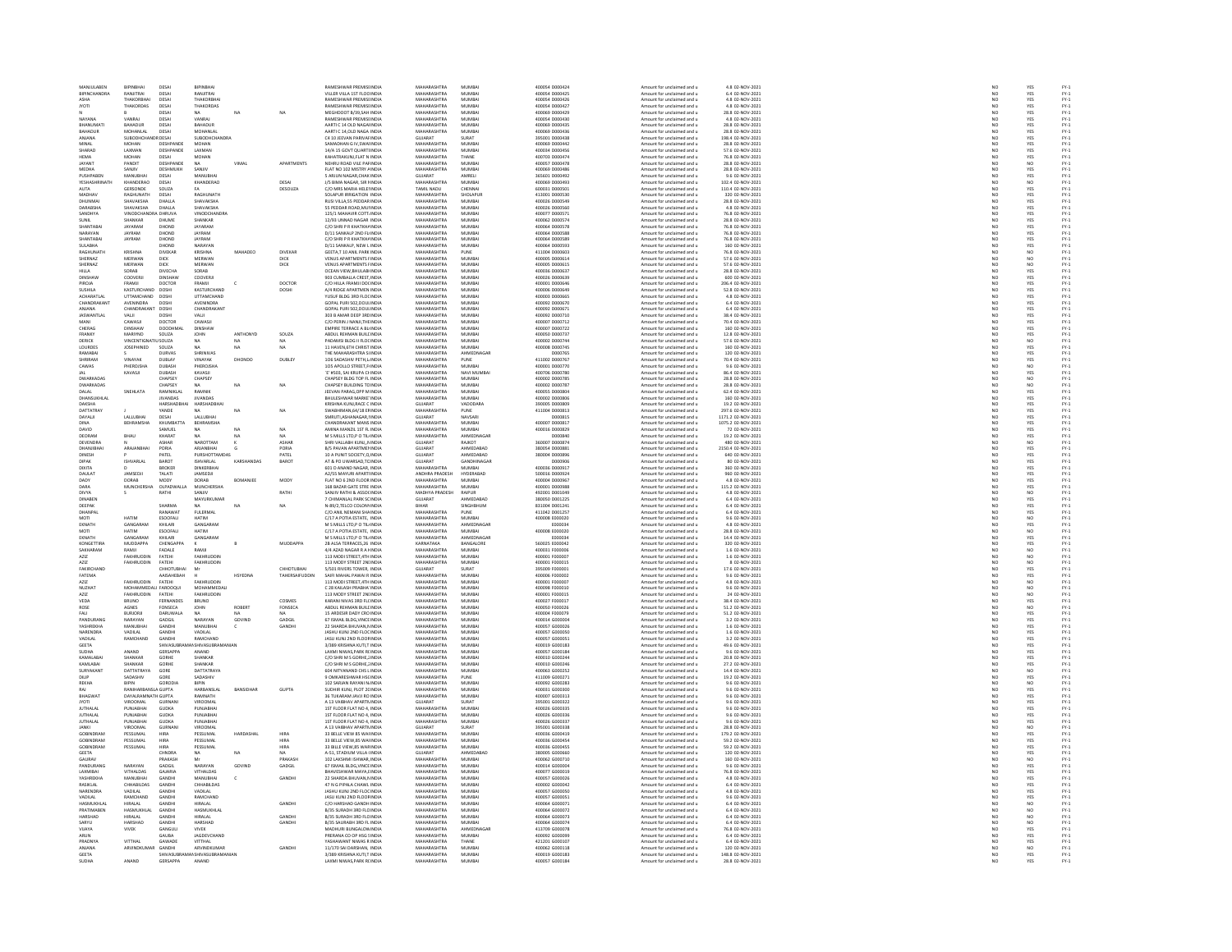| MANJULABEN                   | BIPINBHAI                                 | DESAI                         | BIPINBHA                                          |                  |                 | <b>RAMESHWAR PREMISHNDIA</b>                                | MAHARASHTRA                       | MUMBA                | 400054 D000424                   | Amount for unclaimed and u                               | 4.8 02-NOV-2021                       | NO <sub>1</sub>                                                           | YES                                 |                                      |
|------------------------------|-------------------------------------------|-------------------------------|---------------------------------------------------|------------------|-----------------|-------------------------------------------------------------|-----------------------------------|----------------------|----------------------------------|----------------------------------------------------------|---------------------------------------|---------------------------------------------------------------------------|-------------------------------------|--------------------------------------|
|                              | RANJITRAI                                 | DESAI                         | RANJITRAJ                                         |                  |                 | VILLER VILLA 1ST FLOC INDI                                  | MAHARASHTRA                       | <b>MUMBA</b>         | 400054 D000425                   | Amount for unclaimed and u                               | 6.4 02-NOV-2021<br>4.8 02-NOV-2021    | N <sub>C</sub>                                                            |                                     | FY-3<br>FY-3                         |
| ASHA                         | THAKORBHA                                 | DESAI                         | THAKORBHA                                         |                  |                 | RAMESHWAR PREMISI INDIA                                     | MAHARASHTRA                       | MUMBA                | 400054 D000426                   | Amount for unclaimed and u                               |                                       |                                                                           | YES<br>YES                          |                                      |
| <b>IVOTI</b>                 | <b>THAKORDAS</b>                          | DESAL                         | THAKORDAS                                         |                  |                 | <b>RAMESHWAR PREMISHNING</b>                                | MAHARASHTRA                       | MUMRAI               | 400054 0000427                   | Amount for unclaimed and u                               | 4.8.02-NOV-2021                       | NO                                                                        | YES                                 | FY-3<br>FY-3                         |
|                              |                                           | DESAI                         | NA                                                | NA               | NA              | MEGHDOOT B/39, SAH INDIA                                    | MAHARASHTRA                       | MUMBA                | 400069 D000429                   | Amount for unclaimed and u                               | 28.8 02-NOV-2021                      |                                                                           | YES                                 |                                      |
| NAYANA                       | VANRAJ                                    | DESAI                         | VANRAJ                                            |                  |                 | <b>RAMESHWAR PREMISHNDIA</b>                                | MAHARASHTRA                       | MUMBA                | 400054 D000430                   | Amount for unclaimed and u                               | 4.8 02-NOV-2021                       | NO <sub>1</sub>                                                           | YES                                 | PY-1<br>PY-1<br>PY-1<br>PY-1         |
| <b>HANUMAT</b>               | BAHADUR                                   | DESAI                         | BAHADUR                                           |                  |                 | AARTIC 14 OLD NAGA INDI                                     | MAHARASHTRA                       | MUMBA                | 400069 D000435                   | Amount for unclaimed and u                               | 28.8 02-NOV-2023                      | NO                                                                        | YES                                 |                                      |
| <b>BAHADUR</b><br>ANJANA     | MOHANLAL<br>SUBODH                        | DESAI<br>RDESAI               | MOHANLAL<br><b>UBODHCHANDR</b>                    |                  |                 | AARTIC 14.OLD NAGA INDIA<br>C4 10 JEEVAN PARIVAI INDI       | MAHARASHTRA<br>GUJARAT            | MUMBA<br>SURAT       | 400069 D000436<br>395001 D000438 | Amount for unclaimed and u<br>Amount for unclaimed and u | 28.8 02-NOV-2021<br>198.4 02-NOV-2021 | NO <sub>1</sub>                                                           | YES                                 |                                      |
| MINAL                        | <b>MOHAN</b>                              | DESHPANDE                     | MOHAN                                             |                  |                 | SAMADHAN G IV.SWALINDIA                                     | MAHARASHTRA                       | MUMBA                | 400069 D000442                   | Amount for unclaimed and u                               | 28.8 02-NOV-2021                      |                                                                           | YES                                 |                                      |
| SHARAD                       | <b>LAXMAN</b>                             | <b>DESHPANDE</b>              | <b>LAXMAN</b>                                     |                  |                 | 14/4 15 GOVT OUARTUNDIA                                     | MAHARASHTRA                       | MUMRAI               | snonsa nonnase                   | Amount for unclaimed and u                               | 57.6.02-NOV-2021                      | NO<br>NO                                                                  | YES<br>YES<br>YES                   |                                      |
| HEMA                         | MOHAN                                     | DESAI                         | MOHAN                                             |                  |                 | KAHATRAKUNJ,FLAT N INDI                                     | MAHARASHTRA                       | THANE                | 400703 D000474                   | Amount for unclaimed and u                               | 76.8 02-NOV-2021                      | NO                                                                        |                                     |                                      |
| JAYANT                       | PANDIT                                    | DESHPANDE                     | <b>NA</b>                                         | VIMAL            | APARTMENTS      | NEHRU ROAD VILE PAFINDIA                                    | MAHARASHTRA                       | MUMBA                | 400057 D000478                   | Amount for unclaimed and u                               | 28.8 02-NOV-2021                      | NO <sub>1</sub>                                                           | NO <sub>1</sub>                     |                                      |
| MEDHA                        | SANJIV                                    | DESHMUKH                      | SANJIV                                            |                  |                 | FLAT NO 102 MISTRY AINDL                                    | MAHARASHTRA                       | MUMBA                | 400069 D00048                    | Amount for unclaimed and u                               | 28.8 02-NOV-2023                      | NO                                                                        |                                     |                                      |
| PUSHPABEN                    | MANUBHA                                   | DESAI                         | MANUBHAI                                          |                  |                 | 5 ARJUN NAGAR.CHAK INDIA                                    | GUJARAT                           | AMRELI               | 365601 D000492                   | Amount for unclaimed and u                               | 9.6 02-NOV-2021                       | NO <sub>1</sub>                                                           | YES<br>YES                          |                                      |
| YESHASH                      | KHANDERAC                                 | DESAI                         | KHANDERAO                                         |                  | DESAL           | J/S BIMA NAGAR, SIR I INDL                                  | <b>MAHARASHTRA</b>                | MUMBA                | 100069 D000493                   | Amount for unclaimed and u                               | 102.4 02-NOV-202:                     | NÓ                                                                        | NO                                  |                                      |
| <b>AUTA</b>                  | GERSONDE                                  | SOUZA                         | FA.                                               |                  | DESOUZA         | C/O MRS MARIA HELEHNDIA                                     | TAMIL NADU                        | CHENNAL              | 600031 D000501                   | Amount for unclaimed and u                               | 110.4 02-NOV-2021                     | NO <sub>1</sub>                                                           | YES                                 |                                      |
| <b>MADUAY</b>                | <b>PACHIMATH</b>                          | DESAI                         | <b>PACULINATL</b>                                 |                  |                 | SOLAPUR IRRIGATION INDIA<br>RUSI VILLA,55 PEDDAR INDIA      | <b>MAHARACHTRA</b>                | SHOLAPUR<br>MUMBAI   | 413001 DO00530                   | Amount for unclaimed and u<br>Amount for unclaimed and u | 320 02-NOV-2021<br>28.8 02-NOV-2021   | NC<br>NC                                                                  | YES<br>YES                          |                                      |
| DHUNMA                       | SHAVAKSHA                                 | DHALLA                        | <b>SHAVAKSHA</b>                                  |                  |                 |                                                             | MAHARASHTRA                       |                      | 400026 D000549                   |                                                          |                                       |                                                                           |                                     |                                      |
| DARABSHA                     | SHAVAKSHA                                 | DHALLA                        | SHAVAKSHA                                         |                  |                 | 55 PEDDAR ROAD MULINDIA                                     | MAHARASHTRA                       | MUMBAI               | 400026 D000560                   | Amount for unclaimed and u                               | 4.8 02-NOV-2021                       | NO <sub>1</sub>                                                           | YES                                 |                                      |
| SANDHYA                      | VINODCH                                   | <b>DHRUVA</b>                 | VINODCHAND                                        |                  |                 | 125/1 MAHAVIR COTT. INDI                                    | MAHARASHTRA                       | MUMBA                | 400077 D00057                    | Amount for unclaimed and u                               | 76.8 02-NOV-2021                      | NO                                                                        | YES                                 |                                      |
| <b>SUNIL</b>                 | SHANKAR                                   | DHUME                         | SHANKAR                                           |                  |                 | 12/93 UNNAD NAGAR INDIA                                     | MAHARASHTRA                       | MUMBAI               | 400062 D000574                   | Amount for unclaimed and u                               | 28.8 02-NOV-2021                      | NO <sub>1</sub>                                                           | YES                                 |                                      |
| HANTARA                      | JAYARAM                                   | DHOND                         | JAYARAM                                           |                  |                 | C/O SHRI P R KHATKHA INDI                                   | MAHARASHTRA                       | MUMBA                | 100064 D000578                   | Amount for unclaimed and u                               | 76.8 02-NOV-2021                      | NO                                                                        | YES<br>YES                          |                                      |
| NARAYAN                      | JAYRAM                                    | DHOND                         | JAYRAM                                            |                  |                 | D/11 SANKALP 2ND FL INDIA                                   | MAHARASHTRA                       | MUMBAI               | 400064 D000588                   | Amount for unclaimed and u                               | 76.8 02-NOV-2021                      | NO                                                                        |                                     |                                      |
| <b>UANTARA</b>               | JAYRAM                                    | DHOND                         | <b>JAYRAM</b>                                     |                  |                 | C/O SHRI P R KHATKHA INDI                                   | <b>MAHARACHTRA</b>                | MUMBA                | 400064 D000585                   | Amount for unclaimed and                                 | 76.8 02-NOV-2021                      | NO                                                                        | YES<br>YES                          |                                      |
| SULABHA<br><b>RAGHLINATH</b> | KRISHNA                                   | DHOND<br>DIVEKAR              | NARAYAN<br>KRISHNA                                | MAHADEO          |                 | D/11 SANKALP, NEW L INDIA                                   | MAHARASHTRA<br><b>MAHARASHTRA</b> | MUMBA<br>PLINE       | 400064 D000593<br>411004 0000603 | Amount for unclaimed and u<br>Amount for unclaimed and u | 160 02-NOV-2021<br>76.8.02-NOV-2021   | NO                                                                        |                                     |                                      |
| SHERNAZ                      | <b>MERWAN</b>                             | DICK                          | <b>MERWAN</b>                                     |                  | DIVEKAR<br>DICK | GEETA,T 10 ANIL PARK INDIA<br>VENUS APARTMENTS I INDIA      | MAHARASHTRA                       | MUMBA                | 100005 D00061                    | Amount for unclaimed and u                               | 57.6 02-NOV-2021                      | NC<br>NC                                                                  | NO<br>NO                            |                                      |
| SHERNAZ                      | MERWAN                                    | <b>DICK</b>                   | MERWAN                                            |                  | DICK            | <b>VENUS APARTMENTS FINDIA</b>                              | MAHARASHTRA                       | MUMBAI               | 400005 D000615                   | Amount for unclaimed and u                               | 57.6 02-NOV-2021                      | NO                                                                        | NO <sub>1</sub>                     |                                      |
| HILLA                        | SORAB                                     | <b>INECHA</b>                 | SORAB                                             |                  |                 | OCEAN VIEW, BHULABI INDI                                    | MAHARASHTRA                       | MUMBA                | 100036 D000637                   | Amount for unclaimed and                                 | 28.8 02-NOV-202:                      | NO                                                                        | YES                                 |                                      |
| DINSHAW                      | COOVERJI                                  | DINSHAW                       | COOVERJI                                          |                  |                 | 903 CUMBALLA CREST INDIA                                    | MAHARASHTRA                       | MUMBA                | 400026 D000639                   | Amount for unclaimed and u                               | 600 02-NOV-2021                       | NO                                                                        | YES                                 |                                      |
| PIROJA                       | FRAMIL                                    | DOCTOR                        | <b>FRAMIL</b>                                     |                  | DOCTOR          | C/O HILLA FRAMJI DO( INDIA                                  | <b>MAHARASHTRA</b>                | MUMBA                | 400001 0000646                   | Amount for unclaimed and                                 | 206.4 02-NOV-2021                     | NO                                                                        |                                     |                                      |
| SUSHILA                      | KASTURCHAND DOSHI                         |                               | KASTURCHAND                                       |                  | DOSHI           | A/4 RIDGE APARTMEN INDIA                                    | MAHARASHTRA                       | MUMBAI               | 400006 D000649                   | Amount for unclaimed and u                               | 52.8 02-NOV-2021                      | NO                                                                        | YES<br>YES                          |                                      |
| ACHARATI AI                  | <b>LITTAMCHAND</b>                        | DOSH                          | <b>LITTAMCHAND</b>                                |                  |                 | YUSUE BLDG 3RD ELOCINDIA                                    | <b>MAHARASHTRA</b>                | MUMRAL               | PRODOR FOOD                      | Amount for unclaimed and u                               | 4.8 02-NOV-2021                       | NC<br>NC                                                                  | YES<br>YES<br>YES                   |                                      |
| CHANDRAKANT                  | AVENINDRA                                 | DOSH                          | AVENINDRA                                         |                  |                 | GOPAL PURI 502,DOULINDIA                                    | MAHARASHTRA                       | MUMBA                | 400092 D000670                   | Amount for unclaimed and u                               | 6.4 02-NOV-2021                       |                                                                           |                                     |                                      |
| ANJANA                       | CHANDRAKANT                               | DOSHI                         | <b>CHANDRAKAN</b>                                 |                  |                 | GOPAL PURI 502.DOULINDIA                                    | MAHARASHTRA                       | MUMBA                | 400092 D000671                   | Amount for unclaimed and u                               | 6.4 02-NOV-2021                       | NO <sub>1</sub>                                                           |                                     | いいいいい いいいい いいいいいいい いいいい いいこういい       |
| <b>JASWANTLAI</b>            |                                           | DOSH                          | /ALJI                                             |                  |                 | 03 B AMAR DEEP 3RC INDL                                     | <b>MAHARASHTRA</b>                | MUMBA                | 400092 D00071                    | Amount for unclaimed and u                               | 38.4 02-NOV-2021                      | NO                                                                        | YES<br>YES                          |                                      |
| MANI                         | CAWASJI<br><b>DINSHAW</b>                 | DOCTOR                        | CAWASJI                                           |                  |                 | C/O PERIN J NANJI, THE INDIA                                | MAHARASHTRA<br><b>MAHARASHTRA</b> | MUMBAI<br>MUMRAL     | 400007 D000712                   | Amount for unclaimed and u                               | 70.4 02-NOV-2021                      | NO                                                                        |                                     |                                      |
| CHERAG                       |                                           | DOODHM                        | DINSHAW                                           |                  |                 | EMPIRE TERRACE A BU INDIA                                   |                                   |                      | snoonz noonzza                   | Amount for unclaimed and u                               | 160 02-NOV-2021                       | NO                                                                        | YES<br>YES                          |                                      |
| FRANKY<br>DERICK             | MARIYND<br><b>VINCENTIGN</b>              | SOUZA<br>1501174              | JOHN<br>NA                                        | ANTHONYD<br>NA   | SOUZA<br>NA.    | ABDUL REHMAN BUILDINDIA<br>PADAMSI BLDG II FLOCINDIA        | MAHARASHTRA<br><b>MAHARASHTRA</b> | MUMBA<br>MUMRAL      | 400050 D000737<br>400002.DO00744 | Amount for unclaimed and u                               | 12.8 02-NOV-2021<br>57.6.02-NOV-2021  | NO                                                                        |                                     |                                      |
|                              |                                           |                               |                                                   | NA               | $\overline{NA}$ |                                                             | MAHARASHTRA                       | MUMBAI               |                                  | Amount for unclaimed and u                               | 160 02-NOV-2021                       | NC<br>NC                                                                  | NO<br>YES                           |                                      |
| <b>LOURDES</b><br>RAMARA     | <b>JOSEPHINED</b>                         | SOUZA<br>DURVAS               | NA<br>SHRINIVAS                                   |                  |                 | 11 HAVEN, 6TH CHRIST INDIA<br>HE MAHARASHTRA SHNDIA         | <b>MAHARASHTRA</b>                | AHMEDNAGAR           | 400008 D000745<br>DOD0765        | Amount for unclaimed and u<br>Amount for unclaimed and u | 120.02-NOV-2021                       |                                                                           |                                     |                                      |
| <b>HRIRAM</b>                | .<br>VINAVAK                              | DUBLAY                        | VINAYAK                                           | DHONDO           | DUBLEY          | 106 SADASHIV PETH,L IND                                     | <b>MAUADACUTRA</b>                | PUNE                 | 411002 D000767                   | Amount for unclaimed and                                 | 70.4 02-NOV-2021                      | NC<br>NC                                                                  | YES<br>YES                          | FY-1<br>FY-1<br>FY-1<br>FY-1         |
| CAWAS                        | PHEROJSHA                                 | DUBASH                        | PHEROJSHA                                         |                  |                 | 105 APOLLO STREET,F INDIA                                   | MAHARASHTRA                       | MUMBAI               | 400001 D000770                   | Amount for unclaimed and u                               | 9.6 02-NOV-2021                       | NO                                                                        | NO                                  |                                      |
|                              | KAVASJI                                   | DURASH                        | KAVASJI                                           |                  |                 | E' #503, SAI KRUPA CHINDIA                                  | <b>MAHARASHTRA</b>                | NAVI MUMBA           | 400706 D000780                   | Amount for unclaimed and                                 | 86.4 02-NOV-2023                      | NC                                                                        | YES<br>NO                           |                                      |
| <b>DWARKADAS</b>             |                                           | CHAPSEY                       | CHAPSEY                                           |                  |                 | CHAPSEY BLDG TOP FL INDIA                                   | MAHARASHTRA                       | MUMBAI               | 400002 D000785                   | Amount for unclaimed and u                               | 28.8 02-NOV-2021                      | NO                                                                        |                                     |                                      |
| <b>DWARKADAS</b>             |                                           | CHAPSEY                       |                                                   | NA               | NA              | CHAPSEY BUILDING TO INDIA                                   | <b>MAHARASHTRA</b>                | MUMRAL               | 400002.DO00787                   | Amount for unclaimed and u                               | 28.8.02-NOV-2021                      |                                                                           |                                     |                                      |
| DALAL                        | SNEHLATA                                  | RAMNIKLAL                     | RAMNIB                                            |                  |                 | JEEVAN PARAG, OPP MINDIA                                    | MAHARASHTRA                       | MUMBA                | 400055 0000804                   | Amount for unclaimed and u                               | 62.4 02-NOV-2021                      | NC<br>NC                                                                  | NO<br>YES                           |                                      |
| DHANSLIKHLAI                 |                                           | <b>IIVANDAS</b>               | IIVANDAS                                          |                  |                 | BHLII FSHWAR MARKE INDIA                                    | MAHARASHTRA                       | MUMRAL               | 400002.DO00806                   | Amount for unclaimed and u                               | 160.02-NOV-2021                       | NO <sub>1</sub>                                                           |                                     |                                      |
| DAKSHA                       |                                           | HARSHADB                      | HARSHADBH                                         |                  |                 | KRISHNA KUNJ, RACE C INDIA                                  | GUJARAT                           | VADODARA             | 390005 D00080                    | Amount for unclaimed and u                               | 19.2 02-NOV-2021                      | $\overline{N}$                                                            | YES<br>YES                          | FY-1<br>FY-1<br>FY-1<br>FY-1         |
| DATTATRAY                    |                                           | YANDE                         | NA                                                | NA               | NA              | SWABHIMAN.64/18 EFINDIA                                     | MAHARASHTRA                       | PUNE                 | 411004 D000813                   | Amount for unclaimed and u                               | 297.6 02-NOV-2021                     | NO<br>NO                                                                  | YES<br>YES<br>YES                   | FY-1<br>FY-1<br>FY-1                 |
| DAYALI                       | <b>ALLIBHA</b>                            | DESAI                         | <b>JAILURHA</b>                                   |                  |                 | SMRUTLASHANAGAR.IIND                                        | GUIARAT                           | <b>VAVSARI</b>       |                                  | Amount for unclaimed and u                               | 1171.2 02-NOV-202:                    |                                                                           |                                     |                                      |
| DINA<br><b>DAVID</b>         | BEHRAMSHA                                 | KHUMBATTA<br>SAMUEL           | BEHRAMSHA<br>NA                                   | NA               | NA.             | CHANDRAKANT MANS INDIA<br>AMINA MANZIL 1ST FL INDIA         | MAHARASHTRA<br>MAHARASHTRA        | MUMBA<br>MUMRAL      | 400007 D000817                   | Amount for unclaimed and u<br>Amount for unclaimed and u | 1075.2 02-NOV-2021<br>72.02-NOV-2021  | NO<br>NO                                                                  |                                     |                                      |
|                              |                                           |                               |                                                   |                  |                 |                                                             | MAHARASHTRA                       |                      | 400016 D000829                   |                                                          | 19.2 02-NOV-2021                      | NO                                                                        | YES<br>YES                          | FY-)<br>FY-)                         |
| DEORAM<br>DEVENDRA           | BHAU                                      | <b>KHARAT</b><br><b>ASHAR</b> | NA<br>NAROTTAM                                    | NA               | <b>ASHAR</b>    | M S MILLS LTD, P O TIL INDIA<br>SHRI VALLARH KLINT, NINDIA  | GUIARAT                           | AHMEDNAGAI<br>RAIKOT | D000840<br>360007 DO00874        | Amount for unclaimed and u<br>Amount for unclaimed and u | 480.02-NOV-2021                       |                                                                           | N <sub>0</sub>                      |                                      |
| DHANJIBH                     | ARAJAN                                    | PORIA                         | ARJANBHAI                                         |                  | PORIA           | B/S PAVAN APARTMENTNDM                                      | GUJARAT                           | AHMEDABAD            | 880054 D000881                   | Amount for unclaimed and u                               | 2150.4 02-NOV-2021                    | NO<br>NO                                                                  | YES                                 | FY-3<br>FY-3                         |
| DINESH                       |                                           | PATEL                         | PURSHOTTAMDAS                                     |                  | PATEL           | 10 A PUNIT SOCIETY.O INDIA                                  | GUJARAT                           | AHMEDABAD            | 380004 D000896                   | Amount for unclaimed and u                               | 640 02-NOV-2021                       | NO <sub>1</sub>                                                           | YES                                 |                                      |
|                              | ISHVARLAI                                 | BAROT                         | <b>ISHVARLAL</b>                                  | <b>KARSHANDA</b> | BAROT           | AT & PO UWARSAD, TC INDI                                    | GUJARAT                           | GANDHINAGA           |                                  | Amount for unclaimed and u                               | 80 02-NOV-2023                        | $\frac{NC}{NC}$                                                           | YES<br>YES                          | FY-1<br>FY-1<br>FY-1                 |
| DIXITA                       |                                           | BROKER<br>TALATI              | <b>DINKERBHA</b><br><b>IAMSED II</b>              |                  |                 | 601 D ANAND NAGAR, INDIA                                    | MAHARASHTRA                       | MUMBA                | 400036 D000917                   | Amount for unclaimed and u                               | 360 02-NOV-2021                       |                                                                           |                                     |                                      |
| <b>DALLAT</b>                | <b>IAMSED II</b>                          |                               |                                                   |                  |                 |                                                             |                                   |                      |                                  |                                                          |                                       |                                                                           |                                     |                                      |
|                              |                                           |                               |                                                   |                  |                 | A2/55 MAYURI APARTHNDIA                                     | ANDHRA PRADESH                    | HYDERARAD            | soonis nooneza                   | Amount for unclaimed and u                               | 960.02-NOV-2021                       |                                                                           |                                     |                                      |
| DADY                         | DORAB                                     | MODY                          | DORAB                                             | BOMANJEE         | <b>MODY</b>     | FLAT NO 6 2ND FLOOR INDIA                                   | MAHARASHTRA                       | MUMBAI               | 400004 D00096                    | Amount for unclaimed and u                               | 4.8 02-NOV-2021                       | NO<br>NO                                                                  | YES<br>YES                          | FY-3<br>FY-3                         |
| DARA                         | <b>MUNCHERSHA</b>                         | <b>OIPADWALLA</b>             | <b>MUNCHERSHA</b>                                 |                  |                 | 168 BAZAR GATE STRE INDIA                                   | MAHARASHTRA                       | MUMRAL               | 400001 DO00988                   | Amount for unclaimed and u                               | 115.2 02-NOV-2021                     | NO                                                                        |                                     |                                      |
| DIVYA                        |                                           | RATHI                         | SANJIV                                            |                  | RATHI           | SANJIV RATHI & ASSOCINDL                                    | MADHYA PRADESH                    | RAIPUR               | 492001 D001049                   | Amount for unclaimed and u                               | 4.8 02-NOV-2021                       | NO                                                                        | YES<br>NO                           |                                      |
| <b>DINABEN</b>               |                                           |                               | MAYURKUMAR                                        |                  |                 | 7 CHIMANLAL PARK SC INDIA                                   | GUJARAT                           | AHMEDABAD            | 380050 D001225                   | Amount for unclaimed and u                               | 6.4 02-NOV-2021                       | NO <sub>1</sub>                                                           | YES                                 |                                      |
| DEEPAI                       |                                           | <b>HARMA</b>                  |                                                   |                  |                 | N-89/2,TELCO COLON\INDI                                     | BIHAR                             | SINGHBHUM            | 831004 D00124                    | Amount for unclaimed and u                               | 6.4 02-NOV-2021                       | NO                                                                        | YES                                 |                                      |
| DHANPA<br>MOTI               | HATIM                                     | RANAWAT<br>ESODEAU            | <b>FULERMAL</b><br>HATIM                          |                  |                 | C/O ANIL NEMANI SHA INDIA<br>C/17 A POTIA ESTATE INDIA      | MAHARASHTRA<br><b>MAHARASHTRA</b> | PUNE<br>MUMRAL       | 411042 DO01257<br>400008 E000020 | Amount for unclaimed and u<br>Amount for unclaimed and u | 6.4 02-NOV-2021<br>9.6.02-NOV-2021    |                                                                           |                                     |                                      |
| EKNATH                       | GANGARAM                                  | KHILARI                       |                                                   |                  |                 | M S MILLS LTD, P O TIL INDIA                                |                                   | AHMEDNAGAL           | E000034                          | Amount for unclaimed and u                               | 4.8 02-NOV-2021                       |                                                                           |                                     |                                      |
| <b>MOTI</b>                  | HATIM                                     | ESODFAL                       | GANGARAM<br>HATIM                                 |                  |                 | C/17 A POTIA ESTATE. INDIA                                  | MAHARASHTRA<br>MAHARASHTRA        | MUMBAI               | 400008 E000020                   | Amount for unclaimed and u                               | 28.8 02-NOV-2021                      | $\begin{array}{c} \tt NO \\ \tt NO \\ \tt NO \\ \tt NO \end{array}$<br>NO | YES<br>NO<br>YES<br>NO <sub>1</sub> | FY-1<br>FY-1<br>FY-1<br>FY-1<br>FY-1 |
| EKNATH                       | GANGARA                                   | KHILARI                       | GANGARAN                                          |                  |                 | M S MILLS LTD, P O TIL INDIA                                | MAHARASHTRA                       | AHMEDNAGA            | E000034                          | Amount for unclaimed and u                               | 14.4 02-NOV-2021                      | NO                                                                        | YES                                 |                                      |
| <b>KONGETTIRA</b>            | <b>MUDDAPPA</b>                           | CHENGAPPA                     |                                                   |                  | MUDDAPPA        | 2B ALSA TERRACES.26 INDIA                                   | KARNATAKA                         | BANGALORE            | 560025 E000042                   | Amount for unclaimed and u                               | 320 02-NOV-2021                       | NO <sub>1</sub>                                                           | YES                                 |                                      |
| <b>AKHARAN</b>               |                                           | FADALE                        | RAMJI                                             |                  |                 | 4/4 AZAD NAGAR R A HNDL                                     | MAHARASHTRA                       | MUMBA                | 00031 F00000                     | Amount for unclaimed and u                               | 1.6 02-NOV-2023                       |                                                                           | NO                                  |                                      |
| AZIZ                         | <b>FAKHRUDDIN</b>                         | FATEHI                        | FAKHRUDDIN                                        |                  |                 | 113 MODI STREET.4TH INDIA                                   | MAHARASHTRA                       | MUMBAI               | 400001 F000007                   | Amount for unclaimed and u                               | 1.6 02-NOV-2021                       | NO                                                                        | NO <sub>1</sub>                     |                                      |
| AZIZ                         | FAKHRUDDIN                                | FATEHI                        | FAKHRUDDIN                                        |                  |                 | 113 MODY STREET 2NIINDL                                     | <b>MAHARASHTRA</b>                | MUMBA                | 400001 F00001                    | Amount for unclaimed and                                 | 8 02-NOV-2023                         | NO                                                                        | NO                                  |                                      |
| FAKIRCHAND                   |                                           | СННОТИВНА                     | Mr                                                |                  | CHHOTUBHAI      | 5/501 RIVERS TOWER, INDIA                                   | GUJARAT                           | SURAT                | 395009 F000001                   | Amount for unclaimed and u                               | 17.6 02-NOV-2021                      |                                                                           |                                     |                                      |
| FATEMA                       |                                           | AAISAHEBAH                    |                                                   | HSYEDNA          | TAHERSAIFUDDIN  | SAIFI MAHAL PAWAI R INDIA                                   | MAHARASHTRA                       | MUMBA                | 400006 F000002                   | Amount for unclaimed and u                               | 9.6 02-NOV-2021                       | NO<br>NO                                                                  | YES<br>YES                          |                                      |
| AZIZ<br>NUZHAT               | <b>FAKHRUDDIN</b><br>MOHAMMEDALI FAROOQUI | FATEHI                        | FAKHRUDDIN<br>MOHAMMEDALI                         |                  |                 | 113 MODI STREET, 4TH INDIA<br>C 28 KAILASH PRABHA' INDIA    | MAHARASHTRA<br>MAHARASHTRA        | MUMBA<br>MUMBAI      | 400001 F00000<br>400098 F000010  | Amount for unclaimed and u<br>Amount for unclaimed and u | 4.8 02-NOV-2021<br>9.6 02-NOV-2021    | NO                                                                        | NO<br>NO <sub>1</sub>               | 기 기 기 기 기 기 기 기<br>기 시 시 시 시 시       |
| AZIZ                         | FAKHRUDDIN                                | FATEHI                        | FAKHRUDDIN                                        |                  |                 | 113 MODY STREET 2NLINDI                                     | MAHARASHTRA                       | MUMBA                | 400001 F00001                    | Amount for unclaimed and u                               | 24 02-NOV-2023                        |                                                                           |                                     |                                      |
| VEDA                         | <b>BRUNO</b>                              | FERNANDES                     | <b>BRUNO</b>                                      |                  | COSMES          | KARANI NIVAS 3RD FL( INDIA                                  | MAHARASHTRA                       | MUMBA                | 400027 F000017                   | Amount for unclaimed and u                               | 38.4 02-NOV-2021                      | NO<br>NO<br>NO <sub>1</sub>                                               | NQ<br>YES                           |                                      |
| ROSE                         | AGNES                                     | ONSECA                        | <b>JOHN</b>                                       | ROBERT           | FONSECA         | ABDUL REHMAN BUILLINDI                                      | <b>MAHARASHTRA</b>                | MUMBA                | 100050 F00002                    | Amount for unclaimed and u                               | 51.2 02-NOV-2021                      | NO                                                                        |                                     |                                      |
| FALL                         | <b>BURJORJI</b>                           | DARUWALA                      | NA                                                | NA               | NA.             | 15 ARDESIR DADY CRO INDIA                                   | MAHARASHTRA                       | MUMBAI               | 400004 F000079                   | Amount for unclaimed and u                               | 51.2 02-NOV-2021                      | NO                                                                        | NO<br>YES                           |                                      |
| PANDURANG                    | NARAYAN                                   | GADGIL                        | NARAYAN                                           | GOVIND           | GADGIL          | <b>57 ISMAIL BLDG VINCE INDI</b>                            | <b>MAHARASHTRA</b>                | MUMRAL               | 400014 GODDO                     |                                                          |                                       |                                                                           |                                     |                                      |
| YASHREKHA                    |                                           | GANDH                         | MANUBHA                                           |                  |                 | 22 SHARDA BHUVAN, NINDI                                     | MAHARASHTRA                       | MUMBA                | 400057 G000026                   | Amount for unclaimed and u<br>Amount for unclaimed and u | 3.2 02-NOV-2021<br>1.6 02-NOV-2021    | NC<br>NC                                                                  | YES<br>YES                          | PY-1<br>PY-1<br>PY-1<br>PY-1         |
| NARENDRA                     | VADILAL                                   | GANDHI                        | VADILAL                                           |                  |                 | JASHU KUNJ 2ND FLOC INDIA                                   | MAHARASHTRA                       | MUMBAI               | 400057 G000050                   | Amount for unclaimed and u                               | 1.6 02-NOV-2021                       | NO <sub>1</sub>                                                           | YES                                 |                                      |
| VADILAL                      | RAMCHAND                                  |                               | RAMCHAND                                          |                  |                 | JASU KUNJ 2ND FLOOF INDI                                    | <b>MAHARASHTRA</b>                | MUMBA                | 400057 G00005                    | Amount for unclaimed and u                               | 3.2 02-NOV-2021                       |                                                                           |                                     |                                      |
| <b>GEETA</b>                 |                                           | SHIVASUBRA                    | <b>AANSHIVASUBRAMANIAN</b>                        |                  |                 | 3/389 KRISHNA KUTI.T INDIA                                  | MAHARASHTRA                       | MUMBAI               | 400019 G000183                   | Amount for unclaimed and u                               | 49.6 02-NOV-2021                      | NO <sub>1</sub>                                                           | YES<br>YES                          |                                      |
| SLIDHA                       | ANAND                                     | GERSAPPA                      | ANAND                                             |                  |                 | LAXMI NIWAS, PARK RCINDL                                    | MAHARASHTRA                       | MUMBA                | 400057 G000184                   | Amount for unclaimed and                                 | 9.6 02-NOV-2021                       | NO                                                                        |                                     |                                      |
| KAMALABAI<br>KAMI ARAI       | SHANKAR<br><b>SHANKAR</b>                 | GORHE<br>GORHE                | SHANKAR<br>SHANKAR                                |                  |                 | C/O SHRI M S GORHE, JINDIA                                  | MAHARASHTRA<br><b>MAHARASHTRA</b> | MUMBA<br>MUMRAL      | 400010 G000244<br>400010 G000246 | Amount for unclaimed and u                               | 20.8 02-NOV-2021<br>27.2 02-NOV-2021  | NO                                                                        | YES<br>YES                          |                                      |
| SURYAKANT                    | DATTATRAYA                                | GORE                          | DATTATRAYA                                        |                  |                 | C/O SHRI M S GORHE, INDIA<br>604 NITYANAND CHS L INDIA      | MAHARASHTRA                       | MUMBAI               | 400063 G000252                   | Amount for unclaimed and<br>Amount for unclaimed and u   | 14.4 02-NOV-2021                      | NC<br>NO                                                                  |                                     |                                      |
| DILIP                        | SADASHIV                                  | GORE                          | SADASHIV                                          |                  |                 | 9 OMKARESHWAR HSC INDIA                                     | MAHARASHTRA                       | PUNE                 | 411009 G000271                   | Amount for unclaimed and u                               | 19.2 02-NOV-2021                      | NO <sub>1</sub>                                                           | YES<br>NO<br>YES                    |                                      |
| REKHA                        | BIPIN                                     | GORODI                        | BIPIN                                             |                  |                 | 102 SARJAN RAYANI N INDI                                    | MAHARASHTRA                       | MUMBA                | 100092 G000283                   | Amount for unclaimed and u                               | 9.6 02-NOV-2021                       | NO                                                                        | NO                                  |                                      |
| RAI                          | RANIHARBANSLA GUPTA                       |                               | HARBANSLAL                                        | <b>BANSIDHAF</b> | <b>GUPTA</b>    | SUDHIR KUNJ, PLOT 2C INDIA                                  | MAHARASHTRA                       | MUMBAI               | 400031 G000300                   | Amount for unclaimed and u                               | 9.6 02-NOV-2021                       | NO <sub>1</sub>                                                           | YES                                 |                                      |
| RHAGWAT                      | DAYALRAMNATH GUPTA                        |                               | RAMNATH                                           |                  |                 | <b>36 TUKARAM JAVJI RO INDI</b>                             | <b>MAHARASHTRA</b>                | MUMRAL               | 400007 G000313                   | Amount for unclaimed and                                 | 9.6 02-NOV-2023                       | NO                                                                        |                                     |                                      |
| <b>JYOTI</b>                 | VIROOMAL                                  | GURNAN                        | <b>VIROOMAL</b>                                   |                  |                 | A 13 VAIBHAV APARTMINDIA                                    | GUJARAT                           | SURAT                | 395001 G000322                   | Amount for unclaimed and u                               | 9.6 02-NOV-2021                       | NO                                                                        | YES<br>YES                          |                                      |
| <b>ILITHALAI</b>             | PUNJABHA                                  | <b>GUDKA</b>                  | PUNJABHAI                                         |                  |                 | 1ST FLOOR FLAT NO 4, INDIA                                  | <b>MAHARASHTRA</b>                | MUMRAL               | 400026 G000335                   | Amount for unclaimed and                                 | 9.6 02-NOV-2021                       | NO                                                                        |                                     |                                      |
| <b>JUTHALAL</b>              | PUNJABHA                                  | <b>GUDKA</b>                  | PUNJABHAI                                         |                  |                 | 1ST FLOOR FLAT NO 4, INDIA                                  | MAHARASHTRA                       | MUMBA                | 400026 G000336                   | Amount for unclaimed and u                               | 9.6 02-NOV-2021                       | NO                                                                        | YES<br>YES                          |                                      |
| <b>JUTHALAL</b>              | PUNJARHAI                                 | GUDKA                         | PUNJARHAI                                         |                  |                 | 1ST FLOOR FLAT NO 4. INDIA                                  | MAHARASHTRA                       | MUMRAL               | 400026 GOOD337                   | Amount for unclaimed and u                               | 9.6 02-NOV-2021                       | NO                                                                        |                                     |                                      |
| <b>JANKI</b><br>GOBINDRAM    | VIROOMAL<br>PESSUMAL                      | GURNAN<br><b>HIRA</b>         | VIROOMAL<br>PESSUMAL                              | HARDASHAL        | <b>HIRA</b>     | A 13 VAIBHAV APARTNINDIA<br>33 BELLE VIEW 85 WAI INDIA      | GUJARAT<br>MAHARASHTRA            | SURAT<br>MUMBAI      | 395001 G000338<br>400036 G000419 | Amount for unclaimed and u<br>Amount for unclaimed and u | 28.8 02-NOV-2021<br>179.2 02-NOV-2021 | NO                                                                        | YES<br>NO<br>YES                    |                                      |
| GOBINDRAN                    | <b>PESSI IMAI</b>                         | HIRA                          | PESSUMAI                                          |                  |                 | 33 BELLE VIEW,85 WAI INDI                                   | <b>MAHARACHTRA</b>                | <b>MUMBAL</b>        | sonnas sonnass                   | Amount for unclaimed and                                 | 59.2 02-NOV-2021                      | NO                                                                        |                                     |                                      |
| GOBINDRAM                    | PESSUMAL                                  | <b>HIRA</b>                   | PESSUMAL                                          |                  | HIRA<br>HIRA    | 33 BILLE VIEW, 85 WAR INDIA                                 | MAHARASHTRA                       | MUMBAI               | 400036 G000455                   | Amount for unclaimed and u                               | 59.2 02-NOV-2021                      | NC<br>NO                                                                  |                                     |                                      |
| <b>GEETA</b>                 |                                           | CHNDRA                        |                                                   | NA               | NA.             | A-51, STADIUM VILLA (INDIA                                  | GUIARAT                           | AHMEDABAD            | 380005 GOOGGG                    | Amount for unclaimed and u                               | 120 02-NOV-2021                       | NO                                                                        | YES<br>YES                          | FY-1<br>FY-1<br>FY-1<br>FY-1         |
| GAURAV                       |                                           | PRAKASH                       |                                                   |                  | PRAKASH         | 102 LAKSHMI ISHWAR, INDIA                                   | MAHARASHTRA                       | MUMBAI               | 400062 G000710                   | Amount for unclaimed and u                               | 160 02-NOV-2021                       | NO                                                                        | YES<br>NO                           | FY-3<br>FY-3                         |
| PANDURANO                    | NARAYAN                                   | GADGIL                        | NARAYAN                                           | GOVIND           | GADGIL          | 67 ISMAIL BLDG VINCE INDIA                                  | <b>MAHARASHTRA</b>                | MUMRAL               | sonnia Gonnons                   | Amount for unclaimed and u                               | 9.6.02-NOV-2021                       | NO                                                                        |                                     |                                      |
| LAXMIBAI                     | VITHALDAS                                 | GAJARIA                       | VITHALDAS                                         |                  |                 | BHAVESHWAR MAYA, INDIA                                      | MAHARASHTRA                       | MUMBA                | 400077 G000019                   | Amount for unclaimed and u                               | 76.8 02-NOV-2021                      | NO                                                                        | YES<br>YES                          | FY-3<br>FY-3                         |
| <b>VASHREKHA</b>             | MANURHAL                                  | <b>GANDH</b>                  | <b>MANURHAL</b>                                   | c                | <b>GANDHI</b>   | 22 SHARDA RHI IVAN N INDIA                                  | MAHARASHTRA                       | MUMRAI               | 400057 G000026                   | Amount for unclaimed and u                               | 4.8.02-NOV-2021                       |                                                                           |                                     |                                      |
| <b>ASIKLAI</b>               | CHHABILDAS                                | GANDH                         | CHHABILDAS                                        |                  |                 | <b>47 N G PIPALA CHAWL INDI</b>                             | MAHARASHTRA                       | MUMBA                | 400002 G00004                    | Amount for unclaimed and                                 | 6.4 02-NOV-2023                       | NO<br>NO                                                                  |                                     |                                      |
| NARENDRA<br>LA IICAN         | VADILAL<br><b>RAMCHAND</b>                | GANDH<br><b>GANDH</b>         | VADILAL<br>RAMCHAND                               |                  |                 | JASHU KUNJ 2ND FLOC INDIA<br><b>JASU KUNT2ND FLOORINDIA</b> | MAHARASHTRA<br><b>MAHARASHTRA</b> | MUMBAI<br>MUMRAL     | 400057 G000050<br>400057 GOODST  | Amount for unclaimed and u                               | 4.8 02-NOV-2021                       | NO                                                                        | YES<br>YES<br>YES                   |                                      |
|                              |                                           |                               |                                                   |                  |                 |                                                             |                                   |                      |                                  | Amount for unclaimed and u                               | 9.6 02-NOV-2021                       | NO                                                                        |                                     |                                      |
| HASMUKHLA<br>PRATIMAREM      | HIRALAL<br>HASMUKHLAL                     | GANDH<br>GANDH                | HIRALAL<br>HASMUKHLAL                             |                  | GANDHI          | C/O HARSHAD GANDH INDIA<br><b>B/35 SURADH 3RD FLO INDIA</b> | MAHARASHTRA<br><b>MAHARASHTRA</b> | MUMBA<br>MUMRAL      | 400064 G000071<br>400064 G000072 | Amount for unclaimed and u<br>Amount for unclaimed and u | 6.4 02-NOV-2021<br>6.4.02-NOV-2021    | NO<br>NO                                                                  | YES<br>NO<br>NO <sub>1</sub>        | FY-1<br>FY-1<br>FY-1<br>FY-1         |
| HARSHAD                      | HIRALAL                                   | GANDH                         | <b>HIRALAL</b>                                    |                  | GANDHI          | B/35 SURADH 3RD FLC INDIA                                   | MAHARASHTRA                       | MUMBA                | 400064 G000073                   | Amount for unclaimed and u                               | 6.4 02-NOV-2021                       |                                                                           | NO                                  |                                      |
| SARYU                        | HARSHAD                                   | GANDH                         | HARSHAD                                           |                  | GANDHI          | B/35 SAURABH 3RD FL INDIA                                   | MAHARASHTRA                       | MUMBAI               | 400064 G000074                   | Amount for unclaimed and u                               | 6.4 02-NOV-2021                       | NO                                                                        | NO <sub>1</sub>                     | FY-)<br>FY-)                         |
| VUAYA                        | VIVEK                                     | GANGUL                        | VIVEK                                             |                  |                 | MADHURI BUNGALOWINDI                                        | <b>MAHARASHTR</b>                 | AHMEDNAGA            | 413709 G000078                   | Amount for unclaimed and u                               | 76.8 02-NOV-2021                      |                                                                           | YES                                 |                                      |
| ARUN                         |                                           | <b>GAUBA</b>                  | JAGDEVCHAND                                       |                  |                 | PRERANA CO OP HSG 1 INDIA                                   | MAHARASHTRA                       | MUMBAI               | 400092 G000099                   | Amount for unclaimed and u                               | 6.4 02-NOV-2021                       |                                                                           | YES                                 | FY-1<br>FY-1<br>FY-1                 |
| PRADNYA                      | VITTHAL                                   | GAWADE                        | <b>VITTHAL</b>                                    |                  |                 | YASHAWANT NIWAS RINDIA                                      | <b>MAHARASHTRA</b>                | THANE                | 421201 G000107                   | Amount for unclaimed and u                               | 6.4 02-NOV-2021                       |                                                                           | YES                                 |                                      |
| ANJANA<br>GEETA              | ARVINDKUMAR GANDHI                        |                               | ARVINDKUMAR<br>SHIVASI IRRAMAN SHIVASI IRRAMANIAN |                  | GANDHI          | 11/170 SAI DARSHAN, INDIA<br>3/389 KRISHNA KUTI,T INDIA     | MAHARASHTRA<br><b>MAHARASHTRA</b> | MUMBA<br>MUMRAL      | 400062 G000118<br>400019 6000183 | Amount for unclaimed and u<br>Amount for unclaimed and u | 120 02-NOV-2021<br>148.8 02-NOV-2021  | NO                                                                        | <b>YES</b>                          | FY-3<br>FY-3<br>.<br>د ۲۰            |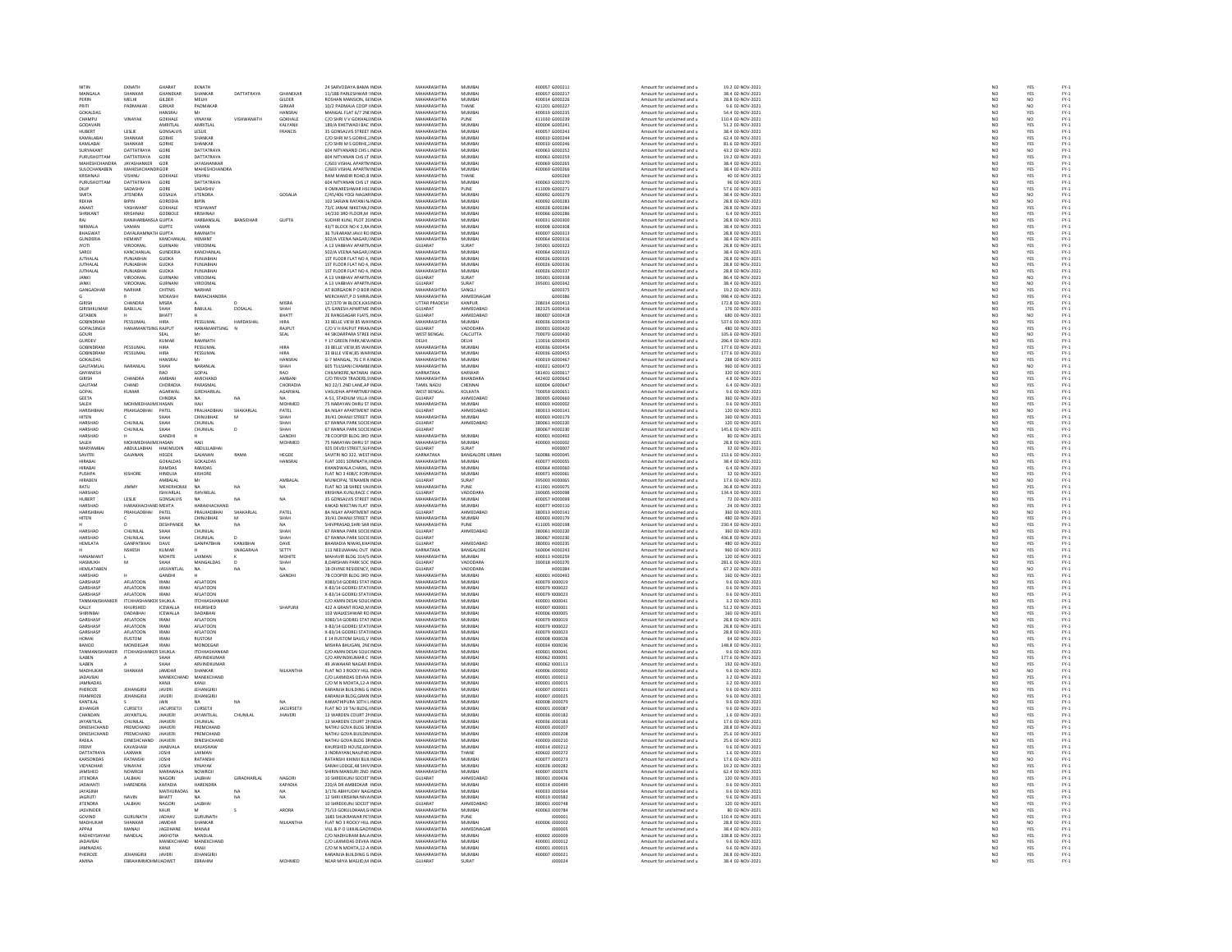| NITIN<br>MANGALA               | EKNATH<br>SHANKAR                | GHARAT<br>GHANEKAR         | EKNATH<br>SHANKAR              | DATTATRAYA       | <b>GHANFKAR</b>         | 24 SARVODAYA BAMA INDIA<br>11/188 PARLESHWAR : INDIA     | MAHARASHTRA<br><b>MAHARASHTRA</b> | MUMBA<br>MUMRAL        | 400057 G000211<br>400057 6000217 | Amount for unclaimed and u                               | 19.2 02-NOV-2021<br>38.4.02-NOV-2021  | NO                                                                  | YES                     |                                                  |
|--------------------------------|----------------------------------|----------------------------|--------------------------------|------------------|-------------------------|----------------------------------------------------------|-----------------------------------|------------------------|----------------------------------|----------------------------------------------------------|---------------------------------------|---------------------------------------------------------------------|-------------------------|--------------------------------------------------|
| PERIN                          | MELHI                            | <b>GILDER</b>              | MELHI                          |                  | .<br>GILDER             | OSHAN MANSION, 66 INDL                                   | <b>MAHARASHTRA</b>                | MUMBA                  | 400014 G000226                   | Amount for unclaimed and u<br>Amount for unclaimed and u | 28.8 02-NOV-2021                      | NC<br>NC                                                            | YES<br>NO               |                                                  |
|                                |                                  |                            |                                |                  |                         |                                                          |                                   |                        |                                  |                                                          |                                       |                                                                     |                         |                                                  |
| PRITI<br>GOKALDAS              | PADMAKAR                         | GIRKAR<br><b>ANSRAI</b>    | PADMAKAR                       |                  | <b>GIRKAR</b><br>HANSRA | 10/2 PADMAJA COOP I INDIA                                | MAHARASHTRA<br><b>MAUARACUTRA</b> | THANE<br>MUMBA         | 421201 G000227                   | Amount for unclaimed and u                               | 9.6 02-NOV-2021                       | NO <sub>1</sub>                                                     | NO <sub>1</sub>         |                                                  |
|                                |                                  |                            |                                |                  |                         | ANGAL FLAT 6/7 2NLINDIA                                  |                                   |                        | 400019 G000235                   | Amount for unclaimed and                                 | 54.4 02-NOV-202:                      | NO                                                                  |                         | FY-1<br>FY-1<br>FY-1<br>FY-1                     |
| CHAMPU                         | VINAYAK                          | GOKHALE                    | VINAYAK                        | VISHWANATH       | GOKHALE                 | C/O SHRIV V GOKHALLINDIA                                 | MAHARASHTRA<br><b>MAHARASHTRA</b> | PUNE<br>MUMRAL         | 411030 G000239<br>sonnos Gonnzar | Amount for unclaimed and u                               | 110.4 02-NOV-2021                     | NO                                                                  | NO <sub>1</sub>         |                                                  |
| GODAVAR                        |                                  | AMRITI AL                  | AMRITLAL                       |                  | KAIVANI                 | 189/A KHETWADI BAC INDIA                                 |                                   |                        |                                  | Amount for unclaimed and u                               | 51.2 02-NOV-2021                      | NO                                                                  | YES                     | FY-3<br>FY-3                                     |
| HUBERT                         | LESLIE                           | <b>GONSALVIS</b>           | LESLIE                         |                  | FRANCIS                 | 35 GONSALVIS STREET INDIA                                | MAHARASHTRA                       | MUMBA                  | 400057 G000243                   | Amount for unclaimed and u                               | 38.4 02-NOV-2021                      | NO                                                                  | YES                     |                                                  |
| KAMALARAI                      | SHANKAR                          | GORHE                      | SHANKAR                        |                  |                         | C/O SHRLM S GORHE 1 INDIA                                | <b>MAHARASHTRA</b>                | MUMRAL                 | 400010 G000244                   | Amount for unclaimed and u                               | 62.4.02-NOV-2021                      | NO                                                                  | YES<br>YES<br>NO        | FY-1<br>FY-1<br>FY-1<br>FY-1                     |
| KAMLABAI                       | SHANKAR                          | GORHE                      | SHANKAR                        |                  |                         | C/O SHRI M S GORHE, INDIA                                | MAHARASHTRA                       | MUMBA                  | 400010 G000246                   | Amount for unclaimed and u                               | 81.6 02-NOV-2021                      | NO                                                                  |                         |                                                  |
| SURYAKANT                      | DATTATRAYA                       | GORE                       | DATTATRAYA                     |                  |                         | 604 NITYANAND CHS LINDIA                                 | MAHARASHTRA                       | MUMBAI                 | 400063 G000252                   | Amount for unclaimed and u                               | 43.2 02-NOV-2021                      | NO<br>NO                                                            |                         |                                                  |
| PURUSHOTTAM                    | DATTATRAYA                       | GORE                       | DATTATRAYA                     |                  |                         | 604 NITYANAN CHS LT INDI                                 | MAHARASHTRA                       | MUMRA                  | 400063 G000259                   | Amount for unclaimed and                                 | 19.2 02-NOV-2021                      |                                                                     | YES<br>YES              |                                                  |
| MAHESHCHANDRA                  | JAYASHANKER                      | GOR                        | JAYASHANKAF                    |                  |                         | C/603 VISHAL APARTN INDIA                                | MAHARASHTRA                       | MUMBA                  | 400069 G000265                   | Amount for unclaimed and u                               | 38.4 02-NOV-2021                      | NO                                                                  |                         |                                                  |
| SULOCHANAREN                   | MAHESHCHANDRGOR                  |                            | MAHESHCHANDRA                  |                  |                         | C/603 VISHAL APARTM INDM                                 | <b>MAHARASHTRA</b>                | MUMRAL                 | 400069 G000266                   | Amount for unclaimed and u                               | 38.4 02-NOV-2021                      | NO                                                                  | YES<br>YES              | FY-3<br>FY-3                                     |
| KRISHNAJI                      | VISHNU                           | <b>GOKHALL</b>             | VISHNU                         |                  |                         | RAM MANDIR ROAD, B INDIA                                 | MAHARASHTRA                       | THANE                  | G000269                          | Amount for unclaimed and u                               | 40 02-NOV-2021                        | NO                                                                  |                         |                                                  |
| PURLISHOTTAM                   | DATTATRAYA                       | GORE                       | DATTATRAVA                     |                  |                         | 604 NITYANAN CHS IT INDIA                                | <b>MAHARASHTRA</b>                | MUMRAL                 | 400063.6000270                   | Amount for unclaimed and u                               | 96.02-NOV-2021                        |                                                                     |                         |                                                  |
| DILIP                          | SADASHIV                         | GORE                       | SADASHIV                       |                  |                         | 9 OMKARESHWAR HSCINDIA                                   | MAHARASHTRA                       | PUNE                   | 411009 G000271                   | Amount for unclaimed and u                               | 57.6 02-NOV-2021                      | NO<br>NO                                                            | YES<br>YES              | FY-3<br>FY-3                                     |
| SMITA                          | <b>IITENDRA</b>                  | GOSALIA                    | <b>JITENDRA</b>                |                  | GOSALIA                 | C/45/406 YOGI NAGARINDIA                                 | MAHARASHTRA                       | MUMRA                  | 400092.6000279                   | Amount for unclaimed and u                               | 38.4.02-NOV-2021                      |                                                                     |                         |                                                  |
|                                |                                  |                            |                                |                  |                         | .<br>102 SARJAN RAYANI N INDI                            | MAHARASHTRA                       | MUMBA                  | 100092 G000283                   | Amount for unclaimed and                                 | 28.8 02-NOV-2021                      | NO<br>NO                                                            | NO<br>NO<br>YES         |                                                  |
| ANANT                          | YASHWANT                         | GOKHALE                    | YESHWANT                       |                  |                         | 73/C JANAK NIKETAN, INDIA                                | MAHARASHTRA                       | MUMBAI                 | 400028 G000284                   | Amount for unclaimed and u                               | 28.8 02-NOV-2021                      | NO                                                                  |                         |                                                  |
| SHRIKANT                       | KRISHNAIL                        | GODBOLE                    | KRISHNAIL                      |                  |                         | 14/230 3RD FLOOR, M INDIA                                | <b>MAHARASHTRA</b>                | MUMRAL                 | <b>MECODOS ARODOS</b>            | Amount for unclaimed and u                               | 6.4 02-NOV-2021                       |                                                                     |                         |                                                  |
| RAI                            | RANIHARBA                        | LA GUPTA                   | HARBANSLAL                     | <b>BANSIDHAF</b> | <b>GUPTA</b>            | SUDHIR KUNJ, PLOT 2C INDIA                               | MAHARASHTRA                       | MUMBA                  | 400031 G000300                   | Amount for unclaimed and u                               | 28.8 02-NOV-2021                      | NO<br>NO                                                            | YES<br>YES              |                                                  |
| NIRMAL <sub>4</sub>            | VAMAN                            | GUPTE                      | VAMAN                          |                  |                         | 43/T BLOCK NO K 2.RA INDIA                               | <b>MAHARASHTRA</b>                | MUMRAL                 | 400008 GOOD308                   | Amount for unclaimed and u                               | 38.4.02-NOV-2021                      |                                                                     |                         |                                                  |
| <b>BHAGWAT</b>                 | <b>DAYALRAMNA</b>                | H GUPTA                    | RAMNATH                        |                  |                         |                                                          | MAHARASHTRA                       | MUMBA                  | 400007 G000313                   |                                                          | 28.8 02-NOV-2021                      | NO<br>NO                                                            | YES<br>YES              |                                                  |
| <b>GLINDERIA</b>               | <b>HEMANT</b>                    | KANCHANLA                  | HEMANT                         |                  |                         | 36 TUKARAM JAVJI RO INDIA<br>502/A VEENA NAGAR UNDIA     | MAHARASHTRA                       | MUMRAL                 | 400064 G000316                   | Amount for unclaimed and u<br>Amount for unclaimed and u | 38.4.02-NOV-2021                      |                                                                     |                         |                                                  |
|                                |                                  |                            |                                |                  |                         |                                                          |                                   |                        |                                  |                                                          |                                       | NO                                                                  | YES<br>YES              | FY-3<br>FY-3                                     |
| <b>JYOTI</b>                   | VIROOMA                          | GURNANI                    | VIROOMA                        |                  |                         | A 13 VAIBHAV APARTMINDIA                                 | GUJARAT                           | SURAT                  | 395001 G000322                   | Amount for unclaimed and u                               | 28.8 02-NOV-2021                      | NO                                                                  |                         |                                                  |
| SAROJ                          | KANCHANLAL                       | GUNDERIA                   | KANCHANLAL<br>PUNJARHAI        |                  |                         | 502/A VEENA NAGAR / INDIA                                | MAHARASHTRA<br><b>MAHARASHTRA</b> | MUMBA<br>MUMRAL        | 400064 G000323                   | Amount for unclaimed and u                               | 38.4 02-NOV-2021<br>28.8.02-NOV-2021  |                                                                     |                         |                                                  |
| <b>ILITHALA</b>                | PUNJARHA                         | <b>GUDKA</b>               |                                |                  |                         | 1ST FLOOR FLAT NO 4. INDIA                               |                                   |                        | sonnas Gonnaas                   | Amount for unclaimed and u                               |                                       | $\begin{array}{c} \tt NO \\ \tt NO \\ \tt NO \\ \tt NO \end{array}$ | YES<br>YES<br>YES       | FY-3<br>FY-3<br>FY-3                             |
| <b>JUTHALAL</b>                | PUNJABHAI                        | <b>GUDKA</b>               | PUNJABHAI                      |                  |                         | 1ST FLOOR FLAT NO 4, INDIA                               | MAHARASHTRA                       | MUMBA                  | 400026 G000336                   | Amount for unclaimed and u                               | 28.8 02-NOV-2021                      |                                                                     |                         |                                                  |
| <b>ILITHALAI</b>               | PUNJARHAI                        | GUDKA                      | PUNJARHAI                      |                  |                         | 1ST FLOOR FLAT NO 4 INDIA                                | <b>MAHARASHTRA</b>                | MUMRAL                 | 400026 GOOD337                   | Amount for unclaimed and u                               | 28.8.02-NOV-2021                      |                                                                     |                         |                                                  |
| <b>JANKI</b>                   | VIROOMAL                         | GURNAN                     | VIROOMAL                       |                  |                         | A 13 VAIBHAV APARTNINDIA                                 | GUJARAT                           | SURAT                  | 395001 G000338                   | Amount for unclaimed and u                               | 86.4 02-NOV-2021                      | NO<br>NO                                                            | YES<br>NO               |                                                  |
| <b>JANKI</b>                   | VIROOMAL                         | GURNANI                    | VIROOMAL                       |                  |                         | A 13 VAIBHAV APARTN INDIA                                | GUJARAT                           | SURAT                  | 395001 G000342                   | Amount for unclaimed and u                               | 38.4 02-NOV-2021                      | NO                                                                  | NO                      |                                                  |
| GANGADHA                       | NARHAR                           | CHITNIS                    | NARHAR                         |                  |                         | AT BORGAON P O BOR INDIA                                 | MAHARASHTRA                       | SANGLI                 | G000375                          | Amount for unclaimed and u                               | 19.2 02-NOV-2021                      | NO                                                                  | YES                     |                                                  |
|                                |                                  | MOKASHI                    | RAMACHANDRA                    |                  |                         | MERCHANT.P O SHRIR INDIA                                 | MAHARASHTRA                       | AHMEDNAGAR             | G000386                          | Amount for unclaimed and u                               | 998.4 02-NOV-2021                     | $\begin{array}{c} \tt NO \\ \tt NO \\ \tt NO \\ \tt NO \end{array}$ | YES                     | 무 구 구 구 주<br>구 주 구 구 주 주                         |
| <b>GIRISH</b>                  | ANDRA                            | MISRA                      |                                |                  | MISRA                   | 127/370 W BLOCK, KAS IND                                 | UTTAR PRADESH                     | KANPUR                 | 208014 G000413                   | Amount for unclaimed and u                               | 172.8 02-NOV-2021                     |                                                                     | YES<br>YES              |                                                  |
| GIRISHKUMAF                    | <b>BABULAL</b>                   | SHAH                       | BABULAL                        | DOSALA           | SHAH                    | I/S GANESH APARTME INDIA                                 | <b>GUJARAT</b>                    | AHMEDABAD              | 382325 G000416                   | Amount for unclaimed and u                               | 176 02-NOV-2021                       |                                                                     |                         |                                                  |
| <b>GITAREN</b>                 |                                  | <b>BHATT</b>               |                                |                  | RHATT                   | 2F RANGSAGAR FLATS INDIA                                 | GUIARAT                           | AHMEDARAD              | 380007 GOOD418                   | Amount for unclaimed and u                               | 680.02-NOV-2021                       | NO<br>NO                                                            | NO<br>YES               | FY-)<br>FY-)                                     |
| GOBINDRAN                      | PESSUMAL                         | HIRA                       | PESSUMAL                       | HARDASHA         | HIRA                    | 33 BELLE VIEW 85 WAI INDIA                               | MAHARASHTRA                       | MUMBAI                 | 400036 G000419                   | Amount for unclaimed and u                               | 537.6 02-NOV-2021                     |                                                                     |                         |                                                  |
| GOPALSINGH                     | HANAMANTSING RAJPUT              |                            | HANAMANTSING N                 |                  | RAJPUT                  | C/O V H RAJPUT PIRAN INDIA                               | GUJARAT                           | VADODARA               | 390001 G000420                   | Amount for unclaimed and u                               | 480 02-NOV-2021                       |                                                                     |                         |                                                  |
| GOURI                          |                                  | SEAL                       |                                |                  | SEAL                    | 44 SIKDARPARA STREE INDIA                                | WEST BENGAL                       | CALCUTTA               | 700070 G000430                   | Amount for unclaimed and u                               | 105.6 02-NOV-2021                     | NO<br>NO                                                            | YES<br>NO               |                                                  |
| GURDEV                         |                                  | KUMAR                      | RAMNATH                        |                  |                         | Y 17 GREEN PARK.NEW INDIA                                | DELHI                             | DELHI                  | 110016 G000435                   | Amount for unclaimed and u                               | 206.4 02-NOV-2021                     | NO <sub>1</sub>                                                     | YES                     |                                                  |
| GOBINDRAM                      | PESSUMA                          | HIRA                       | PESSUMA                        |                  | HIRA                    | 33 BELLE VIEW,85 WAI INDI                                | <b>MAHARASHTRA</b>                | MUMBA                  | 100036 G000454                   | Amount for unclaimed and u                               | 177.6 02-NOV-2021                     | NO                                                                  |                         |                                                  |
| GOBINDRAM                      | PESSUMAL                         | <b>HIRA</b>                | PESSUMAL                       |                  | <b>HIRA</b>             | 33 BILLE VIEW.85 WAR INDIA                               | MAHARASHTRA                       | MUMBAI                 | 400036 G000455                   | Amount for unclaimed and u                               | 177.6 02-NOV-2021                     |                                                                     |                         |                                                  |
| GOKALDAS                       |                                  | HANSRAI                    |                                |                  | HANSRA                  | G-7 MANGAL 76 C R AINDIA                                 | <b>MAHARASHTRA</b>                | MUMRAL                 | sonnie Gonnasz                   | Amount for unclaimed and u                               | 288.02-NOV-2021                       | $\begin{array}{c} \tt NO \\ \tt NO \\ \tt NO \\ \tt NO \end{array}$ | YES<br>YES<br>YES<br>NO | PY-1<br>PY-1<br>PY-1<br>PY-1                     |
| GAUTAMLA                       | NARANLAI                         | SHAH                       | NARANLAL                       |                  | SHAH                    | 605 TULSIANI CHAMBEINDI                                  | MAHARASHTRA                       | MUMBA                  | 400021 G000472                   | Amount for unclaimed and u                               | 960 02-NOV-2021                       |                                                                     |                         |                                                  |
| GNYANESH                       |                                  | RAO                        | GOPAL                          |                  | RAO                     | CHILMIKERE.NATARAJ INDIA                                 | KARNATAKA                         | KARWAR                 | 581401 G000617                   | Amount for unclaimed and u                               | 320 02-NOV-2021                       |                                                                     |                         |                                                  |
|                                |                                  |                            |                                |                  |                         |                                                          |                                   |                        |                                  |                                                          |                                       | NO<br>NO                                                            |                         |                                                  |
| <b>SIRISH</b><br>GAUTAM        | CHANDRA<br>CHAND                 | AMBAN<br>CHORADIA          | AMICHAND<br>PARASMAL           |                  | AMBANI<br>CHORADIA      | C/O TRIVDI TRADERS, 9 INDL<br>NO 22/1 2ND LANE.AP INDIA  | MAHARASHTRA<br>TAMIL NADU         | BHANDARA<br>CHENNAL    | 442402 G000642<br>600004 G000647 | Amount for unclaimed and u<br>Amount for unclaimed and u | 4.8 02-NOV-2021<br>6.4 02-NOV-2021    | NO                                                                  | YES<br>YES<br>YES       | 국 국 국 국 국 국 국 국 국 국 국 국 국<br>소 조 조 조 조 조 조 조 조 조 |
|                                |                                  |                            |                                |                  |                         |                                                          |                                   |                        |                                  |                                                          |                                       |                                                                     |                         |                                                  |
| GOPAL                          | KUMAR                            | AGARWA                     | GIRDHARILA                     |                  | AGARWAL                 | VASUDHA APPARTMEI INDI                                   | WEST BENGAL                       | KOLKATA                | 700059 G000651                   | Amount for unclaimed and u                               | 9.6 02-NOV-2021                       | NO                                                                  | YES<br>YES              |                                                  |
| GEETA                          |                                  | CHNDRA                     | <b>NA</b>                      | NA               | NA.                     | A-51, STADIUM VILLA (INDIA                               | GUJARAT<br><b>MAHARASHTRA</b>     | AHMEDABAD              | 380005 G000660                   | Amount for unclaimed and u                               | 360 02-NOV-2021                       | NO                                                                  |                         |                                                  |
| SALEH                          | <b>MOUMERS</b>                   | <b>JACAM</b>               | HAJI                           |                  | MOHMED                  | 5 NARAYAN DHRU ST INDL                                   |                                   | MUMRAL                 | 400003 H000002                   | Amount for unclaimed and                                 | 9.6 02-NOV-2023                       | NO                                                                  | YES<br>NO               |                                                  |
| HARISHBHA                      | PRAHLADBHAI                      | PATEL                      | PRALHADBHAI                    | SHAKARLAL        | PATEL                   | <b>8A NILAY APARTMENT INDIA</b>                          | GUJARAT                           | AHMEDABAD              | 380013 H000141                   | Amount for unclaimed and u                               | 120 02-NOV-2021                       | NO<br>NO                                                            |                         |                                                  |
| <b>HITEN</b>                   |                                  | SHAH                       | CHINUBHAE                      | M                | SHAH                    | 39/41 DHANJI STREET INDIA                                | MAHARASHTRA                       | MUMBAI                 | 400003 H000179                   | Amount for unclaimed and u                               | 160 02-NOV-2021                       |                                                                     | YES                     |                                                  |
| HARSHAI                        | CHUNILAI                         | SHAH                       | CHUNILAL                       |                  | SHAH                    | 67 RANNA PARK SOCIE INDI                                 | GUJARAT                           | AHMEDABAL              | 380061 H000220                   | Amount for unclaimed and u                               | 120 02-NOV-2021                       | NO                                                                  | YES                     |                                                  |
| HARSHAD                        | CHUNILAL                         | SHAH                       | CHUNILAL                       | $\overline{p}$   | SHAH                    | 67 RANNA PARK SOCIE INDIA                                | GUJARAT                           |                        | 380067 H000230                   | Amount for unclaimed and u                               | 145.6 02-NOV-2021                     | NO                                                                  | YES                     |                                                  |
| <b>IARSHAI</b>                 |                                  | GANDH                      |                                |                  | GANDH                   | 7B COOPER BLDG 3RD INDL                                  | <b>MAHARASHTRA</b>                | MUMBA                  | 00001 H000492                    | Amount for unclaimed and u                               | 80 02-NOV-2023                        | NO                                                                  | YES                     |                                                  |
| SALEH                          | MOHMEDHAJIMCHASAN                |                            | HAJI                           |                  | MOHMED                  | 75 NARAYAN DHRU ST INDIA                                 | MAHARASHTRA                       | MUMBAI                 | 400003 H000002                   | Amount for unclaimed and u                               | 28.8 02-NOV-2021                      | NO<br>NO                                                            | YES                     |                                                  |
| MARYAMRA                       | ABDULLABHAI                      | <b>HAKIMLIDIN</b>          | ABDULLABHA                     |                  |                         | 925 DEVDI STREET, SUFINDL                                | <b>GUJARAT</b>                    | <b>CLIDAT</b>          |                                  | Amount for unclaimed and                                 | 32 02-NOV-2021                        |                                                                     | YES<br>YES              |                                                  |
| SAVITRI                        | GAJANAN                          | HEGDE                      | GAJANAN                        | RAMA             | HEGDE                   | SAVITRI NO 322, WEST INDIA                               | KARNATAKA                         | <b>BANGALORE URBAN</b> | 560086 H000045                   | Amount for unclaimed and u                               | 153.6 02-NOV-2021                     | NO                                                                  |                         |                                                  |
| HIRARA                         |                                  | GOKALDAS                   | GOKALDAS                       |                  | <b>HANSRA</b>           | FLAT 1001 SOMNATH, INDIA<br>KHANDWALA CHAWL, INDIA       | <b>MAHARASHTRA</b>                | MUMRAL                 | 100077 HODDOSS                   | Amount for unclaimed and u                               | 38.4 02-NOV-2021                      | NC<br>NC                                                            | YES<br>YES              |                                                  |
|                                |                                  | RAMDAS                     | RAMDAS                         |                  |                         |                                                          | MAHARASHTRA                       |                        | 400064 H000060                   | Amount for unclaimed and u                               |                                       |                                                                     |                         |                                                  |
|                                |                                  |                            |                                |                  |                         |                                                          |                                   |                        |                                  |                                                          | 6.4 02-NOV-2021                       |                                                                     |                         |                                                  |
| PUSHPA                         | KISHORE                          | HINDUJA                    | KISHORE                        |                  |                         | FLAT NO 3 408/C FORVINDM                                 | MAHARASHTRA                       | MUMBAI                 | 400071 H000061                   | Amount for unclaimed and u                               | 32 02-NOV-2021                        |                                                                     | YES                     |                                                  |
| <b>IRABEN</b>                  |                                  | AMBALAL                    |                                |                  | AMBALA                  | MUNICIPAL TENAMEN INDI                                   | GUJARAT                           | URAT                   | 395003 H00006                    | Amount for unclaimed and                                 | 17.6 02-NOV-202:                      |                                                                     | NO                      |                                                  |
| RATU                           | JIMMY                            | <b>MEHERHOMJ</b>           | <b>NA</b>                      | NA               | NA.                     | FLAT NO 1B SHREE VALINDIA                                | MAHARASHTRA                       | PUNE                   | 411001 H000075                   | Amount for unclaimed and u                               | 36.8 02-NOV-2021                      | NO<br>NO<br>NO <sub>1</sub>                                         | YES                     |                                                  |
| <b>HARSHAD</b>                 |                                  | <b>ISHVARLAI</b>           | ISHVARLAL                      |                  |                         | RISHNA KUNJ,RACE C INDI                                  | GUJARAT                           | <b>ADODARA</b>         | 390005 H000098                   | Amount for unclaimed and                                 | 134.4 02-NOV-2021                     | NC                                                                  |                         |                                                  |
| HUBERT                         | LESLIE                           | GONSALVIS                  | <b>NA</b>                      | NA               | NA.                     | 35 GONSALVIS STREET INDIA                                | MAHARASHTRA                       | MUMBAI                 | 400057 H000099                   | Amount for unclaimed and u                               | 72 02-NOV-2021                        | NO                                                                  | YES<br>YES              |                                                  |
| HARSHAD                        | HARAKHACHA                       | <b>DIMEHTA</b>             | HARAKHACHAND                   |                  |                         | KAKAD NIKETAN FLAT INDIA                                 | MAHARASHTRA                       | MUMRAL                 | 100077 HODD110                   |                                                          | 24 02-NOV-2021                        | NO                                                                  |                         |                                                  |
| HARISHBHA                      | PRAHLADBHAI                      | PATEL                      | PRALHADBHAI                    | SHAKARLAL        | PATEL                   | <b>8A NILAY APARTMENT INDIA</b>                          | GUJARAT                           | AHMEDABAD              | 380013 H000141                   | Amount for unclaimed and u<br>Amount for unclaimed and u | 360 02-NOV-2021                       | NO                                                                  |                         |                                                  |
| <b>HITEN</b>                   |                                  | SHAH                       | CHINUBHAE                      |                  | SHAH                    | 39/41 DHANJI STREET INDIA                                | MAHARASHTRA                       | MUMBAI                 | 400003 H000179                   | Amount for unclaimed and u                               | 480 02-NOV-2021                       | NO <sub>1</sub>                                                     | YES<br>NO<br>YES        |                                                  |
|                                |                                  |                            |                                |                  |                         | IVPRASAD, SHRI SAR INDI                                  | MAHARASHTRA                       |                        | 411005 H00019                    | Amount for unclaimed and u                               | 230.4 02-NOV-202:                     |                                                                     |                         |                                                  |
| HARSHAD                        | CHUNILAL                         | SHAH                       | CHUNILAL                       |                  | SHAH                    | 67 RANNA PARK SOCIE INDIA                                | GUJARAT                           | AHMEDABAD              | 380061 H000220                   | Amount for unclaimed and u                               | 360 02-NOV-2021                       | NO<br>NO                                                            | YES<br>YES              |                                                  |
| UADCUAR                        | CHUNILAL                         |                            | CHUNILAL                       |                  | SHAF                    | 67 RANNA PARK SOCIE INDIA                                | <b>GUIARAT</b>                    |                        | 880067 H000230                   | Amount for unclaimed and u                               | 436.8 02-NOV-2021                     |                                                                     |                         |                                                  |
| HEMLATA                        | <b>GANPATBHAI</b>                | DAVE                       | <b>GANPATBHAI</b>              | KANJIBHA         | DAVE                    | BHARADIA NIWAS, KHA INDIA                                | <b>GUJARAT</b>                    | AHMEDABAD              | 380001 H000235                   | Amount for unclaimed and u                               | 480 02-NOV-2021                       | NO<br>NO                                                            |                         |                                                  |
|                                | NSHESH                           | KUMAR                      |                                | SNAGARAM         | <b>SETTY</b>            | 113 NEELMAHAL OUT INDIA                                  | KARNATAKA                         | BANGALORE              | S60004 HODD243                   | Amount for unclaimed and u                               | 960 02-NOV-2021                       |                                                                     | YES<br>YES              |                                                  |
| HANAMANT                       |                                  | MOHITE                     | LAXMAN                         |                  | MOHITE                  | MAHAVIR BLDG 314/5 INDIA                                 | MAHARASHTRA                       | MUMBAI                 | 400013 H000259                   | Amount for unclaimed and u                               | 120 02-NOV-2021                       | NO<br>NO                                                            | YES<br>YES              |                                                  |
| <b>HASMUKH</b>                 | M                                | <b>ЧАН2</b>                | <b>MANGAIDAS</b>               |                  | SHAH                    | <b>8 DARSHAN PARK SOC INDIA</b>                          | GUIARAT                           | VADODARA               | 390018 H000270                   | Amount for unclaimed and u                               | 281 6 02-NOV-2021                     |                                                                     |                         |                                                  |
| HEMLATABEN                     |                                  | <b>JASVANTLAI</b>          | NA                             |                  |                         | 18-DIVINE RESIDENCY, INDIA                               | GUJARAT                           | VADODARA               | H00028                           | Amount for unclaimed and u                               |                                       |                                                                     |                         |                                                  |
| HARSHAD                        |                                  | GANDHI                     |                                |                  | GANDH                   | 7B COOPER BLDG 3RD INDIA                                 | MAHARASHTRA                       | MUMBAI                 | 400001 H000492                   | Amount for unclaimed and u                               | 67.2 02-NOV-2021<br>160 02-NOV-2021   | NO<br>NO<br>NO                                                      |                         |                                                  |
| CARCUASE                       | ASLATOON                         | <b>IRANI</b>               | AFLATOON                       |                  |                         | X083/14 GODREJ STAT INDIA                                | <b>MAUARACUTRA</b>                | 5411549.51             | 400079 1000019                   | Amount for unclaimed and                                 | 9.6 02-NOV-2021                       |                                                                     | YES<br>NO<br>YES        |                                                  |
| GARSHASE                       | <b>AFLATOON</b>                  | IRANI                      | <b>AFLATOON</b>                |                  |                         | X-83/14 GODREJ STATI INDIA                               | MAHARASHTRA                       | MUMBAI                 | 400079 1000022                   | Amount for unclaimed and u                               | 9.6 02-NOV-2021                       | NO<br>NO                                                            |                         |                                                  |
| <b>GARSHASP</b>                | AFLATOON                         | <b>IRANI</b>               | AFLATOON                       |                  |                         | X-83/14 GODREJ STATLINDIA                                | <b>MAHARASHTRA</b>                | MUMRAL                 | connot expont                    |                                                          | 9.6 02-NOV-2021                       |                                                                     | YES<br>YES              | FY-1<br>FY-1<br>FY-1<br>FY-1                     |
| TANMANIS                       | <b>ITCHHASHA!</b>                | R SHUKLA                   | <b>ITCHHASHANKA</b>            |                  |                         | C/O AMIN DESAI SOLIC INDIA                               | MAHARASHTRA                       | MUMBA                  | 400001 100004                    | Amount for unclaimed and u<br>Amount for unclaimed and u | 3.2 02-NOV-2021                       |                                                                     |                         |                                                  |
| KALLY                          | KHLIRSHED                        | <b>ICEWALLA</b>            | KHURSHED                       |                  | SHAPIJRI                | 422 A GRANT ROAD M INDIA                                 | MAHARASHTRA                       | MUMRAL                 | 400007 (000001                   | Amount for unclaimed and u                               | 51.2.02-NOV-2021                      | NO<br>NO<br>NO <sub>1</sub>                                         | YES<br>YES              | FY-3<br>FY-3                                     |
|                                |                                  |                            |                                |                  |                         |                                                          |                                   |                        |                                  |                                                          |                                       |                                                                     |                         |                                                  |
| HIRINBA<br>GARSHASE            | DADABHA<br>AFLATOON              | ICEWALLA<br><b>IRANI</b>   | DADABHAI<br>AFLATOON           |                  |                         | 103 WALKESHWAR RO INDIA<br>X083/14 GODREJ STAT INDIA     | MAHARASHTRA<br>MAHARASHTRA        | MUMBA<br>MUMBA         | 400006 1000005<br>400079 1000019 | Amount for unclaimed and u<br>Amount for unclaimed and u | 160 02-NOV-2021<br>28.8 02-NOV-2021   | $\overline{N}$                                                      | YES<br>YES              | FY-)<br>FY-)                                     |
| GARSHAS                        | AFLATOON                         | <b>IRANI</b>               | AFLATOON                       |                  |                         |                                                          | MAHARASHTRA                       | MUMRA                  | 400079 100002                    |                                                          | 28.8 02-NOV-2023                      |                                                                     |                         |                                                  |
| GARSHASE                       | AFLATOON                         | IRANI                      | <b>AFLATOON</b>                |                  |                         | X-83/14 GODREJ STATI INDIA<br>X-83/14 GODREJ STATI INDIA | MAHARASHTRA                       | MUMBA                  | 400079 1000023                   | Amount for unclaimed and u<br>Amount for unclaimed and u | 28.8 02-NOV-2021                      | NO<br>NO<br>NO                                                      |                         |                                                  |
| HOMAL                          | <b>RUSTOM</b>                    | <b>IRANI</b>               | <b>RUSTOM</b>                  |                  |                         | E 14 RUSTOM BAUG V INDIA                                 | <b>MAHARASHTRA</b>                | MUMRAL                 | 400008 (000025                   |                                                          | 64 02-NOV-2021                        |                                                                     | YES<br>YES<br>YES       | FY-3<br>FY-3<br>FY-3                             |
| <b>BANOO</b>                   |                                  | <b>IRANI</b>               |                                |                  |                         | MISHRA BHUGAN, 2NI INDIA                                 | MAHARASHTRA                       | MUMBA                  | 400034 1000036                   | Amount for unclaimed and u<br>Amount for unclaimed and u | 148.8 02-NOV-2021                     |                                                                     |                         |                                                  |
| <b>TANMANISHANKER</b>          | MONDEGAR<br>ITCHHASHANKER SHUKLA |                            | MONDEGAR<br>ПСННАЯНАМКАЯ       |                  |                         | C/O AMIN DESALSOLICINDIA                                 | <b>MAHARASHTRA</b>                | MUMRAL                 | 400001 1000041                   | Amount for unclaimed and u                               | 9.6.02-NOV-2021                       | NO<br>NO                                                            | YES<br>YES              | FY-3<br>FY-3                                     |
|                                |                                  |                            |                                |                  |                         |                                                          |                                   |                        |                                  |                                                          |                                       |                                                                     |                         |                                                  |
| <b>ILABEN</b><br><b>ILABEN</b> |                                  | SHAH<br>SHAH               | ARVINDKUMA<br>ARVINDKUMAR      |                  |                         | C/O ARVINDKUMAR C INDIA<br>49 JAWAHAR NAGAR FINDIA       | MAHARASHTRA<br>MAHARASHTRA        | MUMBA<br>MUMBA         | 400062 100009<br>400062 1000113  | Amount for unclaimed and u<br>Amount for unclaimed and u | 177.6 02-NOV-2021<br>192 02-NOV-2021  | NO<br>NO                                                            | YES<br>YES              |                                                  |
|                                |                                  |                            |                                |                  |                         |                                                          |                                   |                        |                                  |                                                          |                                       |                                                                     |                         |                                                  |
| MADHUKAR<br><b>JADAVBAI</b>    | SHANKAR                          | <b>JAMDA</b><br>MANEKCHAND | SHANKAR<br>MANEKCHAND          |                  | NILKANTHA               | FLAT NO 3 ROCKY HILL INDIA<br>C/O LAXMIDAS DEVKA INDIA   | MAHARASHTRA<br>MAHARASHTRA        | MUMBA<br>MUMBA         | 400006 300000<br>400001 J000012  | Amount for unclaimed and u<br>Amount for unclaimed and u | 9.6 02-NOV-2023<br>3.2 02-NOV-2021    |                                                                     |                         |                                                  |
| <b>IAMMADAS</b>                |                                  | KANII                      | KANIE                          |                  |                         | C/O M N MOHTA 12-A INDIA                                 | <b>MAHARASHTRA</b>                | MUMRAL                 | 400001 1000015                   |                                                          | 3.2.02-NOV-2021                       | $\begin{array}{c} \tt NO \\ \tt NO \\ \tt NO \\ \tt NO \end{array}$ | YES<br>NO<br>YES        | FY-1<br>FY-1<br>FY-1<br>FY-1                     |
|                                | <b>JEHANGIRJ</b>                 |                            |                                |                  |                         |                                                          |                                   |                        | 400007 J000021                   | Amount for unclaimed and u                               |                                       |                                                                     |                         |                                                  |
| PHEROZE<br><b>FRAMROZE</b>     | <b>JEHANGIRJI</b>                | JAVERI<br><b>IAVERI</b>    | JEHANGIRJ<br><b>IFHANGIRIL</b> |                  |                         | KARANJIA BUILDING G INDIA<br>KARANJIA BI DG GRAN INDIA   | MAHARASHTRA<br><b>MAHARASHTRA</b> | MUMBA<br>MUMRAL        | 400007 1000025                   | Amount for unclaimed and u<br>Amount for unclaimed and u | 9.6 02-NOV-2021<br>9.6.02-NOV-2021    | NO<br>NO                                                            | YES<br>YES              |                                                  |
|                                |                                  |                            |                                |                  |                         |                                                          |                                   |                        |                                  |                                                          |                                       |                                                                     |                         |                                                  |
| KANTILAL<br>JEHANGIR           | CURSETJI                         | JAIN<br><b>JACURSETJI</b>  | CURSETJI                       | NA               | <b>JACURSETJI</b>       | KAMATHIPURA 10TH L INDIA<br>FLAT NO 19 TAJ BLDG. INDIA   | MAHARASHTRA<br>MAHARASHTRA        | MUMBA<br>MUMBAI        | 400008 J000079<br>400001 J000087 | Amount for unclaimed and u<br>Amount for unclaimed and u | 9.6 02-NOV-2021<br>9.6 02-NOV-2021    | NO<br>NO                                                            | YES<br>YES              | FY-1<br>FY-1<br>FY-1<br>FY-1                     |
|                                |                                  |                            |                                |                  |                         |                                                          |                                   |                        |                                  |                                                          |                                       | NO                                                                  | YES                     |                                                  |
| <b>CHANDAN</b>                 | <b>JAYANTILAL</b>                | <b>JHAVERI</b>             | <b>JAYANTILAL</b>              | CHUNILAL         | <b>JHAVERI</b>          | 13 WARDEN COURT 2/ INDL                                  | MAHARASHTRA                       | MUMBA                  | 400036 J000182                   | Amount for unclaimed and u                               | 1.6 02-NOV-2021                       | NO                                                                  |                         |                                                  |
| <b>JAYANTILAI</b>              | CHUNILAL                         | <b>JHAVERI</b>             | CHUNILAL                       |                  |                         | 13 WARDEN COURT 21 INDIA                                 | MAHARASHTRA                       | MUMBAI                 | 400036 J000183                   | Amount for unclaimed and u                               | 17.6 02-NOV-2021                      | NO                                                                  | YES<br>YES              |                                                  |
| <b>INESHCH</b>                 | PREMCHAND                        | JHAVER                     | REMCHAND                       |                  |                         | ATHU GOVA BLDG 3FINDL                                    |                                   | MUMBA                  | 000003 100020                    | Amount for unclaimed and u                               | 28.8 02-NOV-2021                      |                                                                     |                         |                                                  |
| DINESHCHAND                    | PREMCHAND                        | <b>JHAVERI</b>             | PREMCHAND                      |                  |                         | NATHU GOVA BUILDIN INDIA                                 | MAHARASHTRA<br>MAHARASHTRA        | MUMBA                  | 400003 J000208                   | Amount for unclaimed and u                               | 25.6 02-NOV-2021                      | N <sub>C</sub>                                                      | YES<br>YES              | FY-1<br>FY-1<br>FY-1<br>FY-1                     |
| RASI A                         | <b>DINESHCHAND</b>               | <b>IHAVERI</b>             | DINESHOHAND                    |                  |                         | NATHLI GOVA BLDG 3FINDIA                                 | MAHARASHTRA                       | MUMRAI                 | 400003-000210                    | Amount for unclaimed and u                               | 25.6.02-NOV-2021                      |                                                                     |                         |                                                  |
| FRENY                          | KAVASHAW                         | <b>JHABVALA</b>            | KAVASHAW                       |                  |                         | KHURSHED HOUSE, 604 INDL                                 | MAHARASHTRA                       | MUMBA                  | 400014 J000212                   | Amount for unclaimed and u                               | 9.6 02-NOV-2021                       | NO<br>NO                                                            | YES<br>YES              |                                                  |
| DATTATRAYA                     | LAXMAN                           | <b>JOSHI</b>               | LAXMAN                         |                  |                         | 3 INDRAYANI.NAUPAD INDIA                                 | MAHARASHTRA                       | THANE                  | 400602 J000272                   | Amount for unclaimed and u                               | 1.6 02-NOV-2021                       | NO <sub>1</sub>                                                     | YES                     |                                                  |
| KARSONDAS                      | RATANSH                          | <b>JOSHI</b>               | RATANSH                        |                  |                         | RATANSHI KHIMJI BUILINDI                                 | MAHARASHTRA                       | MUMBA                  | 400077 J000273                   | Amount for unclaimed and u                               | 17.6 02-NOV-2021                      | NO                                                                  | NQ                      |                                                  |
| VIDYADHAR                      | VINAYAK                          | <b>IOSHI</b>               | VINAYAK                        |                  |                         | SARAH LODGE.48 SHIV INDIA                                | MAHARASHTRA                       | MUMBAI                 | 400028 J000282                   | Amount for unclaimed and u                               | 19.2 02-NOV-2021                      |                                                                     | YES                     |                                                  |
| AMSHED                         | NOWROJI                          | MARAWAL                    | NOWROJ                         |                  |                         | SHIRIN MANSURI 2ND INDI                                  | <b>MAHARASHTRA</b>                | MUMBA                  | 100007 J00037                    | Amount for unclaimed and                                 | 62.4 02-NOV-202:                      | NO<br>NO                                                            | YES                     |                                                  |
| <b>JITENDRA</b>                | LALBHA                           | NAGORI                     | LALBHAI                        | GIRADHARLAI      | NAGOR                   | 10 SHREEKUNJ SOCIET INDIA                                | GUJARAT                           | AHMEDABAD              | 380001 J000436                   | Amount for unclaimed and u                               | 120 02-NOV-2021                       |                                                                     |                         |                                                  |
| <b>IASWANT</b>                 | HARFNDRA                         | KAPADIA                    | HARFNDRA                       |                  | KAPADIA                 | 220/A DR AMREDKAR INDIA                                  | MAHARASHTRA                       | MUMRAL                 | sonnia innoses                   | Amount for unclaimed and u                               | 9.6.02-NOV-2021                       | NO<br>NO                                                            |                         |                                                  |
| <b>JAYASINH</b>                |                                  | MATHURADAS                 | <b>NA</b>                      |                  |                         | 3/176 ABHYUDAY NAGINDIA                                  | MAHARASHTRA                       | MUMBA                  | 400033 J000564                   | Amount for unclaimed and u                               | 9.6 02-NOV-2021                       | NO                                                                  | YES<br>YES<br>YES       | 기 기 기 기 기 기 기 기<br>기 시 시 시 시 시                   |
| <b>JAGRUTI</b>                 | NAVIN                            | BHATT                      |                                | NA               | NA.                     | 12 SHRI KRISHNA NIVA INDIA                               | MAHARASHTRA                       | MUMBAI                 | 400019 J000582                   | Amount for unclaimed and u                               | 9.6 02-NOV-2021                       | NO                                                                  | YES                     |                                                  |
| <b>JITENDRA</b>                | LALBHA                           | NAGORI                     | LALBHA                         |                  |                         | 10 SHREEKUNJ SOCEIT INDI                                 | GUJARAT                           | AHMEDABAD              | 880001 J000748                   | Amount for unclaimed and u                               | 120 02-NOV-2023                       | NO                                                                  | YES                     |                                                  |
| JASVINDER                      |                                  | KAUR                       |                                | Ś                | ARORA                   | 75/13 GOKULDHAM.G INDIA                                  | MAHARASHTRA                       | MUMBAI                 | 400063 J000784                   | Amount for unclaimed and u                               | 80 02-NOV-2021                        | NO <sub>1</sub>                                                     | YES                     |                                                  |
| GOVIND                         | GURUNAT                          | <b>JADHAV</b>              | GURUNATH                       |                  |                         | <b>1685 SHUKRAWAR PETINDI</b>                            | MAHARASHTRA                       |                        |                                  | Amount for unclaimed and u                               | 110.4 02-NOV-202:                     |                                                                     | YES                     |                                                  |
| MADHUKAR                       | SHANKAR                          | JAMDAR                     | SHANKAR                        |                  | NILKANTHA               | FLAT NO 3 ROCKY HILL INDIA                               | MAHARASHTRA                       | MUMBAI                 | 400006 J000002                   | Amount for unclaimed and u                               | 28.8 02-NOV-2021                      | NO                                                                  | NO                      | FY-1<br>FY-1<br>FY-1<br>FY-1                     |
|                                | <b>MANAII</b>                    | <b>ACDUAN</b>              | MANAH                          |                  |                         | VILL & P O UKKALGAOI INDI                                | <b>MAHARASHTRA</b>                | <b>AUMERNAGAL</b>      | innon                            |                                                          |                                       |                                                                     |                         |                                                  |
| APPAJI<br>RADHEYSHYAN          | NANDLAL                          | JAKHOTIA                   | NANDLAI                        |                  |                         | C/O NADHURAM BALA INDI                                   | MAHARASHTRA                       | MUMBA                  | 100002 J000009                   | Amount for unclaimed and u<br>Amount for unclaimed and u | 38.4 02-NOV-2021<br>108.8 02-NOV-2021 |                                                                     | YES<br>YES              | FY-1<br>FY-1                                     |
| <b>JADAVBAI</b>                |                                  | MANEKCHAND                 | MANEKCHAND                     |                  |                         | C/O LAXMIDAS DEVKA INDIA                                 | MAHARASHTRA                       | MUMBAI                 | 400001 J000012                   | Amount for unclaimed and u                               | 9.6 02-NOV-2021                       | NO <sub>1</sub>                                                     | YES                     |                                                  |
| AMNADA!                        |                                  | KANJI                      | KANJI                          |                  |                         | C/O M N MOHTA, 12-A INDL                                 | MAHARASHTRA                       | MUMBA                  | 400001 J000019                   | Amount for unclaimed and u                               | 9.6 02-NOV-2021                       |                                                                     |                         | FY-3<br>FY-3                                     |
| PHEROZE<br><b>AINA</b>         | <b>JEHANGIRJI</b>                | JAVERI                     | JEHANGIRJI                     |                  |                         | KARANJIA BUILDING G INDIA<br>NEAR MIYA MASJID.M INDI     | MAHARASHTRA<br>GUJARAT            | MUMBAI                 | 400007 J000021<br><b>J0000</b>   | Amount for unclaimed and u<br>Amount for unclaimed and u | 28.8 02-NOV-2021<br>38.4 02-NOV-2021  | NO <sub>1</sub>                                                     | <b>YES</b><br>YES.      | FY                                               |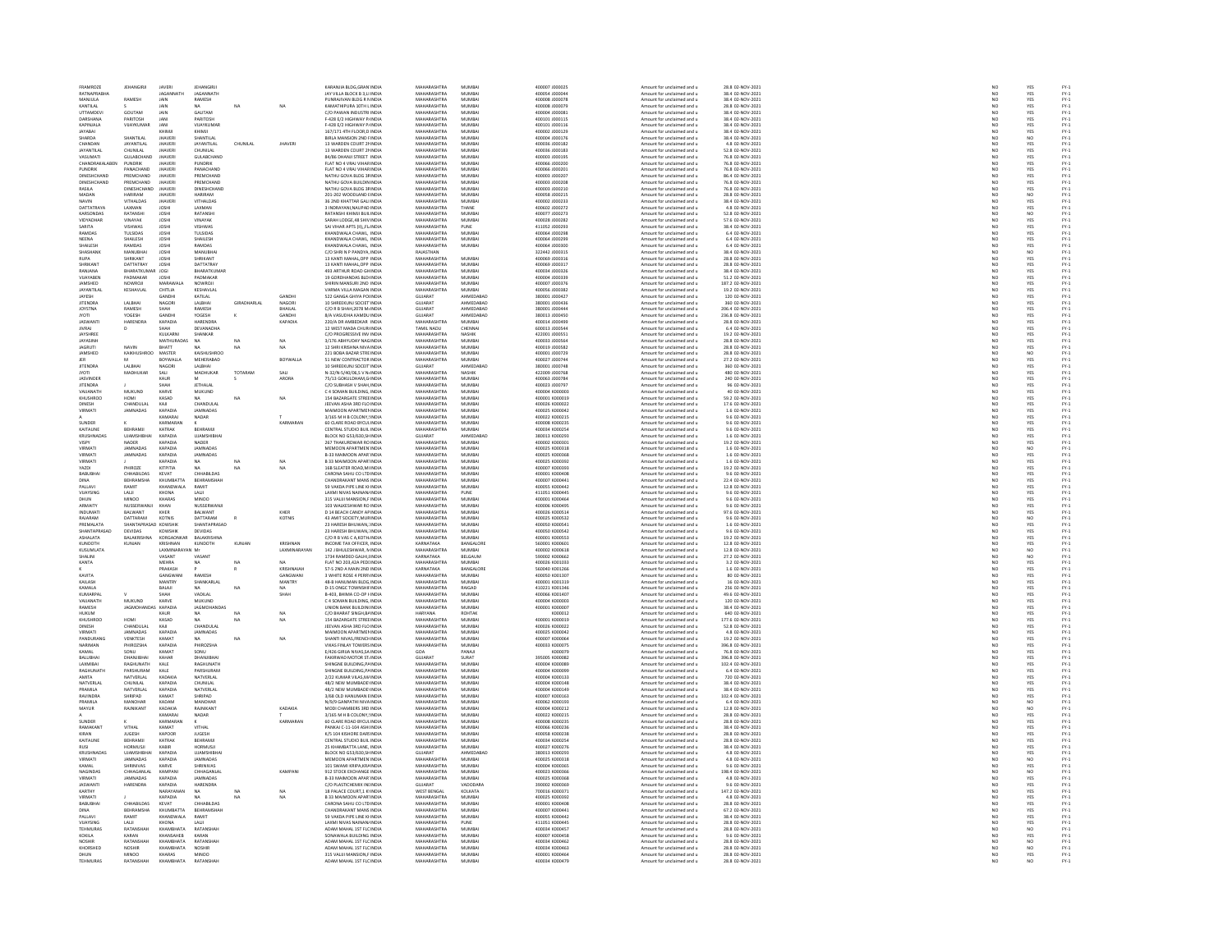| FRAMROZE                          | <b>JEHANGIRJI</b>              | <b>JAVERI</b>                  | <b>JEHANGIRJI</b>             |                   |                  | KARANJIA BLDG.GRAN INDIA                                 | MAHARASHTRA                       | MUMBAI                 | 400007 J000025                   | Amount for unclaimed and u                               | 28.8 02-NOV-2021                      | NO <sub>1</sub> | YES               |                                                  |
|-----------------------------------|--------------------------------|--------------------------------|-------------------------------|-------------------|------------------|----------------------------------------------------------|-----------------------------------|------------------------|----------------------------------|----------------------------------------------------------|---------------------------------------|-----------------|-------------------|--------------------------------------------------|
| RATNAPRA                          |                                | <b>AGANNAT</b>                 | <b>JAGANNATH</b>              |                   |                  | JAY VILLA BLOCK B 3,LI INDI                              | MAHARASHTRA                       | MUMBA                  | 100054 J00004                    | Amount for unclaimed and u                               |                                       |                 |                   |                                                  |
| MANJULA                           | RAMESH                         | JAIN                           | RAMESH                        |                   |                  | PUNRAJIVAN BLDG R N INDIA                                | <b>MAHARASHTRA</b>                | MUMBA                  | 400008 J000078                   | Amount for unclaimed and u                               | 38.4 02-NOV-2021<br>38.4 02-NOV-2021  | N <sub>C</sub>  | YES<br>YES        | FY-3<br>FY-3                                     |
| KANTILAI                          |                                | <b>JAIN</b>                    | MA.                           | NA <sup>1</sup>   | NA               | KAMATHIPURA 10TH LINDIA                                  | MAHARASHTRA                       | MUMBAL                 | 400008 1000079                   | Amount for unclaimed and u                               | 28.8.02-NOV-2021                      | NO              | YES               |                                                  |
| <b>UTTAMDEV</b>                   | GOUTAM                         | JAIN                           | GAUTAM                        |                   |                  | C/O PAWAN INDUSTRI INDIA                                 | MAHARASHTRA                       | MUMBA                  | 400004 J00008:                   | Amount for unclaimed and u                               | 38.4 02-NOV-2021                      | NO              | YES               | FY-3<br>FY-3                                     |
| DARSHANA                          | PARITOSH                       | JAN                            | PARITOSH                      |                   |                  | F-428 E/2 HIGHWAY P/ INDIA                               | MAHARASHTRA                       | MUMBAI                 | 400101 J000115                   | Amount for unclaimed and u                               | 38.4 02-NOV-2021                      | NO <sub>1</sub> | YES               |                                                  |
| KAPINJALA                         | VIJAYKUMA                      | JAN                            | VIJAYKUMA                     |                   |                  | F-428 E/2 HIGHWAY P/INDIA                                | <b>MAHARASHTRA</b>                | MUMBA                  | 400101 J000116                   | Amount for unclaimed and u                               | 38.4 02-NOV-2023                      | NO              | YES               | PY-1<br>PY-1<br>PY-1<br>PY-1                     |
| JAYABAI                           |                                | KHIMJI                         | KHIMJI                        |                   |                  | 167/171 4TH FLOOR.D INDIA                                | MAHARASHTRA                       | MUMBAI                 | 400002 J000129                   | Amount for unclaimed and u                               | 38.4 02-NOV-2021                      | NO <sub>1</sub> | YES               |                                                  |
| HARDA                             | SHANTILA                       | <b>JHAVER</b>                  | SHANTILAI                     |                   |                  | BIRLA MANSION 2ND FINDL                                  | <b>MAHARASHTRA</b>                | MUMBA                  | 400004 J000176                   | Amount for unclaimed and u                               | 38.4 02-NOV-2021                      | NÓ              | NO                |                                                  |
| CHANDAN                           | <b>JAYANTILAL</b>              | <b>JHAVERI</b>                 | <b>JAYANTILAL</b>             | CHUNILAL          | <b>JHAVERI</b>   | 13 WARDEN COURT 21 INDIA                                 | MAHARASHTRA                       | MUMBAI                 | 400036 J000182                   | Amount for unclaimed and u                               | 4.8 02-NOV-2021                       |                 |                   |                                                  |
| <b>JAYANTILAI</b>                 | CHUNEAL                        | <b>IHAVER</b>                  | CHUNILAI                      |                   |                  | 13 WARDEN COURT 21 INDIA                                 | MAHARASHTRA                       | MUMBAL                 | <b>FREDORI AFOODS</b>            | Amount for unclaimed and u                               | 52.8.02-NOV-2021                      | NO<br>NO        | YES<br>YES        |                                                  |
| VASUMAT                           | GULABCHAND                     | <b>JHAVER</b>                  | GULABCHAND                    |                   |                  | 84/86 DHANJI STREET INDU                                 | MAHARASHTRA                       | MUMBA                  | 400003 J000199                   | Amount for unclaimed and u                               | 76.8 02-NOV-2021                      | NO              | YES               |                                                  |
| CHANDRAKALABEN                    | <b>PUNDRIK</b>                 | <b>JHAVERI</b>                 | <b>PUNDRIK</b>                |                   |                  | FLAT NO 4 VRAJ VIHAR INDIA                               | MAHARASHTRA                       | MUMBAI                 | 400066 J000200                   | Amount for unclaimed and u                               | 76.8 02-NOV-2021                      | NO <sub>1</sub> | YES               |                                                  |
| <b>FUNDRIK</b>                    | PANACHAND                      | <b>JHAVER</b>                  | PANACHAND                     |                   |                  | FLAT NO 4 VRAJ VIHAR INDU                                | <b>MAHARASHTRA</b>                | MUMBA                  | 400066 J00020                    | Amount for unclaimed and u                               | 76.8 02-NOV-202:                      | NO              | YES               | 국 국 국 국 국 국 국 국 국 국 국 국 국<br>소 조 조 조 조 조 조 조 조 조 |
| DINESHCHAND                       | PREMCHAND                      | <b>JHAVERI</b>                 | PREMCHAND                     |                   |                  | NATHU GOVA BLDG 3F INDIA                                 | MAHARASHTRA                       | MUMBAI                 | 400003 J000207                   | Amount for unclaimed and u                               | 86.4 02-NOV-2021                      | NO <sub>1</sub> | YES               |                                                  |
| DINESHCHAND                       | PREMCHAND                      | <b>HAVER</b>                   | PREMCHAND                     |                   |                  | NATHU GOVA BUILDIN INDI                                  | <b>MAHARASHTRA</b>                | MUMBA                  | 400003 J000208                   | Amount for unclaimed and u                               | 76.8 02-NOV-2021                      | NO              | YES               |                                                  |
|                                   |                                |                                |                               |                   |                  |                                                          |                                   |                        |                                  |                                                          |                                       |                 | YES               |                                                  |
| RASILA<br>MADAN                   | DINESHCHAND<br>HARIRAM         | <b>JHAVERI</b><br><b>HAVER</b> | DINESHCHAND<br>HARIRAM        |                   |                  | NATHU GOVA BLDG 3FINDIA                                  | MAHARASHTRA<br>MAHARASHTRA        | MUMBAI<br>MUMBA        | 400003 J000210                   | Amount for unclaimed and u                               | 76.8 02-NOV-2021                      | NO              |                   |                                                  |
|                                   | VITHALDAS                      | <b>JHAVER</b>                  | VITHALDAS                     |                   |                  | 201-202 WOODLAND INDIA<br>36 2ND KHATTAR GALI INDIA      | MAHARASHTRA                       | MUMBAL                 | 400058 J000215<br>400002 J000233 | Amount for unclaimed and u<br>Amount for unclaimed and u | 28.8 02-NOV-2021                      | NC<br>NC        | NO<br>YES         |                                                  |
| <b>JAVIN</b><br>DATTATRAYA        | LAXMAN                         | <b>JOSHI</b>                   | LAXMAN                        |                   |                  | 3 INDRAYANI.NAUPAD INDIA                                 | MAHARASHTRA                       | THANE                  | 400602 J000272                   | Amount for unclaimed and u                               | 4.8 02-NOV-2021                       | NO              | YES               |                                                  |
| KARSONDA                          | RATANSH                        | <b>JOSHI</b>                   | RATANSH                       |                   |                  | RATANSHI KHIMJI BUILINDI                                 | <b>MAHARASHTRA</b>                | MUMBA                  | 400077 J00027                    | Amount for unclaimed and u                               | 52.8 02-NOV-2021                      | NO              | NO                |                                                  |
| VIDYADHAR                         | VINAYAK                        | <b>JOSHI</b>                   | VINAYAK                       |                   |                  | SARAH LODGE 48 SHIV INDIA                                | MAHARASHTRA                       | MUMBAI                 | 400028 J000282                   | Amount for unclaimed and u                               | 57.6 02-NOV-2021                      | NO <sub>1</sub> | YES               |                                                  |
| SARITA                            | VISHWAS                        |                                |                               |                   |                  |                                                          | <b>MAHARASHTRA</b>                |                        |                                  |                                                          | 38.4 02-NOV-2023                      |                 |                   |                                                  |
|                                   |                                | <b>JOSHI</b>                   | VISHWAS                       |                   |                  | SAI VIHAR APTS (II), FL INDU                             |                                   | PUNE                   | 411052 J000293                   | Amount for unclaimed and u                               |                                       | NO              | YES<br>YES        |                                                  |
| RAMDAS<br><b>NFFNA</b>            | TULSIDAS<br><b>SHAILESH</b>    | JOSHI                          | TULSIDAS<br>SHAILESH          |                   |                  | KHANDWALA CHAWL, INDIA<br>KHANDWALA CHAWL INDIA          | MAHARASHTRA<br>MAHARASHTRA        | MUMBAI<br>MUMBAL       | 400064 J000298<br>400064 1000295 | Amount for unclaimed and u                               | 6.4 02-NOV-2021<br>6.4 02-NOV-2021    | NO              |                   |                                                  |
|                                   |                                | <b>JOSHI</b>                   |                               |                   |                  |                                                          |                                   |                        |                                  | Amount for unclaimed and u                               |                                       | NO              | YES<br>YES        |                                                  |
| SHAILESH<br><b>SHASHANK</b>       | RAMDAS<br>MANURHA              | JOSHI<br><b>IOSHI</b>          | RAMDAS<br><b>MANURHAL</b>     |                   |                  | KHANDWALA CHAWL, INDIA<br>C/O SHRI N P PANDYA INDIA      | MAHARASHTRA<br>RAIASTHAN          | MUMBAI                 | 400064 J000300<br>322442 1000315 | Amount for unclaimed and u<br>Amount for unclaimed and u | 6.4 02-NOV-2021<br>38.4.02-NOV-2021   | NO              |                   |                                                  |
|                                   | RIKANT                         |                                | HRIKANT                       |                   |                  |                                                          | <b>MAHARASHTRA</b>                | MUMBA                  |                                  | mount for unclaimed and u                                | 28.8 02-NOV-2021                      | NC<br>NC        | NO<br>YES         |                                                  |
| SHRIKANT                          | DATTATRAY                      | <b>JOSHI</b>                   | DATTATRAY                     |                   |                  | 13 KANTI MAHAL.OPP INDIA                                 | MAHARASHTRA                       | MUMBAI                 | 400069 J000317                   | Amount for unclaimed and u                               | 28.8 02-NOV-2021                      |                 | YES               |                                                  |
| RANJANA                           | BHARATKUMA                     | <b>JOGI</b>                    | BHARATKUMA                    |                   |                  | 493 ARTHUR ROAD GH INDIA                                 | <b>MAUADACUTRA</b>                | MUMBA                  | 400034 J000326                   | Amount for unclaimed and u                               | 38.4 02-NOV-2021                      | NO<br>NO        |                   |                                                  |
| VUAYABEN                          | PADMAKAR                       | JOSHI                          | PADMAKAR                      |                   |                  | 19 GORDHANDAS BLD INDIA                                  | MAHARASHTRA                       | MUMBAI                 | 400004 J000339                   | Amount for unclaimed and u                               | 51.2 02-NOV-2021                      | NO              | YES<br>YES        |                                                  |
| <b>JAMSHED</b>                    | NOWROLL                        | MARAWAL                        | NOWROLL                       |                   |                  | SHIRIN MANSURI 2ND INDIA                                 | MAHARASHTRA                       | MUMRAL                 | 400007 1000376                   | Amount for unclaimed and u                               | 187.2 02-NOV-2021                     | NO              |                   |                                                  |
| <b>JAYANTILAI</b>                 | KESHAVLAL                      | CHITLIA                        | KESHAVLAL                     |                   |                  | VARMA VILLA MAGAN INDIA                                  | MAHARASHTRA                       | MUMBAI                 | 400056 J000382                   | Amount for unclaimed and u                               | 19.2 02-NOV-2021                      | NO              | YES<br>YES        | PY-1<br>PY-1<br>PY-1<br>PY-1                     |
| <b>IAVESH</b>                     |                                | <b>GANDHI</b>                  | KATILAI                       |                   | GANDH            | 522 GANGA GHIYA POLINDIA                                 | GUIARAT                           | AHMEDARAD              | 380001 1000427                   | Amount for unclaimed and u                               | 120.02-NOV-2021                       |                 |                   |                                                  |
|                                   | LALBHA                         |                                |                               | <b>GIRADHARLA</b> |                  |                                                          |                                   |                        |                                  |                                                          | 360 02-NOV-2021                       | NO<br>NO        |                   |                                                  |
| <b>JITENDRA</b><br><b>JOYSTNA</b> | RAMESH                         | NAGORI<br>SHAH                 | LALBHAI<br>RAMESH             |                   | NAGOR<br>BHAILAL | 10 SHREEKUNJ SOCIET INDU<br>C/O R B SHAH, 2078 M INDIA   | GUJARAT<br>GUJARAT                | AHMEDABAD<br>AHMEDABAD | 380001 J00043<br>380001 J000444  | Amount for unclaimed and u<br>Amount for unclaimed and u | 206.4 02-NOV-2021                     | NO              | YES<br>YES<br>YES | PY-1<br>PY-1<br>PY-1<br>PY-1                     |
| <b>TOVI</b>                       | YOGESH                         | <b>GANDH</b>                   | YOGESH                        |                   | <b>GANDH</b>     | 8/A VASUDHA KAMDU INDI                                   | GUJARAT                           | AHMEDABAD              | 880013 J000450                   | Amount for unclaimed and u                               | 236.8 02-NOV-2021                     | NO              |                   |                                                  |
| <b>JASWANT</b>                    | HARENDRA                       | KAPADIA                        | HARENDRA                      |                   | KAPADIA          | 220/A DR AMBEDKAR INDIA                                  | MAHARASHTRA                       | MUMBAI                 | 400014 J000499                   | Amount for unclaimed and u                               | 28.8 02-NOV-2021                      | NO              | YES<br>YES        |                                                  |
| <b>JIVRAJ</b>                     |                                | нан                            | DEVANADHA                     |                   |                  | 12 WEST MADA CHURUNDIA                                   | TAMIL NADLI                       | CHENNAL                | 600013 1000544                   | Amount for unclaimed and u                               | 6.4.02-NOV-2021                       |                 |                   |                                                  |
| JAYSHREE                          |                                | KULKARN                        | SHANKAR                       |                   |                  | C/O PROGRESSIVE INV INDIA                                | MAHARASHTRA                       | NASHIK                 | 422001 J000551                   | Amount for unclaimed and u                               | 19.2 02-NOV-2021                      | NO<br>NO        | YES<br>YES        |                                                  |
| <b>JAYASINH</b>                   |                                | <b>MATHURADAS</b>              | NA.                           | NA                | NA               | 3/176 ARHYLIDAY NAGINDIA                                 | MAHARASHTRA                       | MUMRAL                 | ADDDRESS                         | Amount for unclaimed and u                               | 28.8.02-NOV-2021                      | NO <sub>1</sub> |                   |                                                  |
| <b>JAGRUT</b>                     | NAVIN                          | BHATT                          |                               |                   | $\overline{NA}$  | 12 SHRI KRISHNA NIVA INDU                                | MAHARASHTRA                       | MUMBA                  | 400019 J000582                   |                                                          | 28.8 02-NOV-2021                      | $\overline{N}$  | YES<br>YES        | FY-)<br>FY-)                                     |
| JAMSHED                           | KAIKHUSHROO                    | MASTER                         | KAISHUSHROO                   |                   |                  | 221 BOBA BAZAR STREINDIA                                 | MAHARASHTRA                       | MUMBAI                 | 400001 J000729                   | Amount for unclaimed and u<br>Amount for unclaimed and u | 28.8 02-NOV-2021                      |                 | NO <sub>1</sub>   |                                                  |
|                                   |                                | BOYWALLA                       | MEHERARAD                     |                   | <b>BOYWALLA</b>  | 51 NEW CONTRACTOR INDU                                   | MAHARASHTRA                       | MUMRAL                 | 100027-000744                    | Amount for unclaimed and u                               | 27.2 02-NOV-2021                      | NO<br>NO        |                   | FY-1<br>FY-1<br>FY-1<br>FY-1                     |
| <b>JITENDRA</b>                   | LALBHA                         | NAGORI                         | LALBHAI                       |                   |                  | 10 SHREEKUNJ SOCEIT INDIA                                | GUJARAT                           | AHMEDABAD              | 380001 J000748                   | Amount for unclaimed and u                               | 360 02-NOV-2021                       | NO              | YES<br>YES        |                                                  |
| <b>IYOTI</b>                      | MADHUKAR                       | SALI                           | MADHUKAR                      | TOTARAN           | SALL             | N-32/N-5/40/06,S V N INDIA                               | MAHARASHTRA                       | <b>NASHIK</b>          | 422009 1000768                   | Amount for unclaimed and u                               | 480.02-NOV-2021                       |                 |                   |                                                  |
| JASVINDER                         |                                | KAUR                           |                               |                   | ARORA            | 75/13 GOKULDHAM,G INDIA                                  | MAHARASHTRA                       | MUMBAI                 | 400063 J000784                   |                                                          | 240 02-NOV-2021                       | NC<br>NC        | YES<br>YES        |                                                  |
| <b>IITENDRA</b>                   |                                | <b>ЧАН</b>                     | <b>IFTHALAL</b>               |                   |                  | C/O SURHASH V SHAH INDIA                                 | MAHARASHTRA                       | MUMBAL                 | 400023-000797                    | Amount for unclaimed and u<br>Amount for unclaimed and u | 96.02-NOV-2021                        | NO              |                   |                                                  |
|                                   | MUKUND                         |                                |                               |                   |                  | C 4 SOMAN BUILDING, INDU                                 | MAHARASHTRA                       |                        | 400004 K000003                   |                                                          |                                       | NO              | YES<br>YES        |                                                  |
| VAUANATI<br>KHUSHROO              | <b>IMOH</b>                    | KARVE<br>KASAD                 | MUKUND<br><b>NA</b>           | NA                | NA               | 154 BAZARGATE STREE INDIA                                | MAHARASHTRA                       | MUMBAI<br>MUMBAI       | 400001 K000019                   | Amount for unclaimed and u<br>Amount for unclaimed and u | 40 02-NOV-2021<br>59.2 02-NOV-2021    | NO              | YES               |                                                  |
| <b>DINESH</b>                     | CHANDULA                       | KAJI                           | CHANDULAI                     |                   |                  | JEEVAN ASHA 3RD FLO INDU                                 | MAHARASHTRA                       | MUMBA                  | 400026 K000022                   | Amount for unclaimed and u                               | 17.6 02-NOV-2021                      | NO              | YES               |                                                  |
| VIRMATI                           | JAMNADAS                       | KAPADIA                        | <b>JAMNADAS</b>               |                   |                  | MAIMOON APARTMEN INDIA                                   | MAHARASHTRA                       | MUMBAI                 | 400025 K000042                   | Amount for unclaimed and u                               | 1.6 02-NOV-2021                       |                 |                   |                                                  |
|                                   |                                | KAMARAI                        | <b>NADAR</b>                  |                   |                  | 3/165 M H B COLONY UNDIA                                 | MAHARASHTRA                       | MUMRAL                 | 400022 K000215                   | Amount for unclaimed and u                               | 9.6.02-NOV-2021                       | NO<br>NO        |                   |                                                  |
| SUNDER                            |                                | <b>KARMARAI</b>                |                               |                   | KARMARAN         |                                                          | MAHARASHTRA                       | MUMBA                  | 400008 K000235                   |                                                          | 9.6 02-NOV-2021                       | $\overline{N}$  | YES<br>YES<br>YES | PY-1<br>PY-1<br>PY-1<br>PY-1                     |
| KAITALINE                         | REHRAMIL                       | KATRAK                         | REHRAMIL                      |                   |                  | 60 CLARE ROAD BYCULINDIA<br>CENTRAL STUDIO BUIL INDIA    | MAHARASHTRA                       | MUMRAL                 | 400034 K000254                   | Amount for unclaimed and u<br>Amount for unclaimed and u | 9.6.02-NOV-2021                       | NO              |                   |                                                  |
| KRUSHNAD                          | <b>UJAMSHIBHA</b>              | KAPADIA                        | <b>UJAMSHIBHA</b>             |                   |                  |                                                          | GUJARAT                           | AHMEDABAD              | 380013 K000293                   |                                                          | 1.6 02-NOV-2021                       | NO              | YES<br>YES        | FY-3<br>FY-3                                     |
|                                   | <b>NADER</b>                   | KAPADIA                        | <b>NADER</b>                  |                   |                  | BLOCK NO G53/630,SH INDIA<br>267 THAKURDWAR RO INDIA     | MAHARASHTRA                       | MUMBAI                 | 400002 K000301                   | Amount for unclaimed and u<br>Amount for unclaimed and u | 19.2 02-NOV-2021                      |                 |                   |                                                  |
| VISPY<br>VIRMAT                   | <b>JAMNADA</b>                 | KAPADIA                        | <b>JAMNADAS</b>               |                   |                  | MEMOON APARTMEN IND                                      | <b>MAHARASHTRA</b>                | MUMBAI                 | 400025 K00031                    | Amount for unclaimed and u                               | 1.6 02-NOV-2023                       | NO<br>NO        | YES<br>NO         | FY-1<br>FY-1<br>FY-1<br>FY-1                     |
| VIRMATI                           | JAMNADAS                       | KAPADIA                        | <b>JAMNADAS</b>               |                   |                  | B-33 MAIMOON APAR INDIA                                  | MAHARASHTRA                       | MUMBAI                 | 400025 K000368                   | Amount for unclaimed and u                               | 1.6 02-NOV-2021                       | NO <sub>1</sub> | YES               |                                                  |
| <b>JIRMAT</b>                     |                                | KAPADIA                        |                               |                   |                  |                                                          | MAHARASHTRA                       |                        |                                  |                                                          |                                       |                 |                   |                                                  |
|                                   | -<br>PHIROZE                   |                                | NA<br>NA                      |                   | $\frac{N}{N}$    | B 33 MAIMOON APAR INDIA<br>16B SLEATER ROAD, MI INDIA    | <b>MAHARASHTRA</b>                | MUMBAI<br>MUMBAI       | 100025 K00039                    | Amount for unclaimed and u                               | 1.6 02-NOV-2021<br>19.2 02-NOV-2021   | $\frac{N}{N}$   | YES<br>YES        |                                                  |
| YAZDI<br><b>BABUBHA</b>           | CHHABILDAS                     | KITPITIA<br>KEVAT              | CHHABILDAS                    | NA                |                  | CARONA SAHU CO LTD INDIA                                 | MAHARASHTRA                       | MUMBAI                 | 400007 K000393<br>400001 K000408 | Amount for unclaimed and u<br>Amount for unclaimed and u | 9.6 02-NOV-2021                       |                 |                   |                                                  |
|                                   | BEHRAM                         | KHUMBATTA                      | <b>BEHRAMSHAH</b>             |                   |                  |                                                          | MAHARASHTRA                       | MUMBA                  | 400007 K00044                    |                                                          | 22.4 02-NOV-2021                      | NO<br>NO        | YES<br>YES        |                                                  |
| DINA                              |                                |                                |                               |                   |                  |                                                          |                                   |                        |                                  | Amount for unclaimed and u                               |                                       |                 |                   |                                                  |
| PALLAVI                           | RAMIT                          | KHANDWALA                      | RAMIT                         |                   |                  | 59 VAKDA PIPE LINE KHNDIA                                | MAHARASHTRA                       | MUMBAI                 | 400055 K000442                   | Amount for unclaimed and u                               | 12.8 02-NOV-2021                      | NO <sub>1</sub> | YES               |                                                  |
| VUAYSING                          | LALII                          | KHONA                          | LALI                          |                   |                  | LAXMI NIVAS NAINAN INDU                                  | <b>MAHARASHTRA</b>                | PUNE                   | 411051 K00044                    | Amount for unclaimed and u                               | 9.6 02-NOV-2021                       |                 | YES<br>YES        |                                                  |
| DHUN                              | <b>MINOO</b>                   | KHARAS                         | MINOO                         |                   |                  | 315 VALUI MANSION.F INDIA                                | MAHARASHTRA<br><b>MAHARASHTRA</b> | MUMBAI                 | 400001 K000464                   | Amount for unclaimed and u                               | 9.6 02-NOV-2021                       | NO <sub>1</sub> |                   |                                                  |
| <b>ARMAITY</b>                    | NUSSERWANJ                     | KHAN                           | NUSSERWANJI                   |                   |                  | 103 WALKESHWAR RO INDU                                   |                                   | MUMBAI                 | 400006 K000495                   | Amount for unclaimed and u                               | 9.6 02-NOV-2021                       | $_{NC}$         | YES               |                                                  |
| INDUMAT                           | BALWANT                        | KHER                           | BALWANT                       |                   | KHER             | D 14 BEACH CANDY AF INDIA                                | MAHARASHTRA                       | MUMBAI                 | 400026 K000514                   | Amount for unclaimed and u                               | 97.6 02-NOV-2021                      | NO<br>NO        | YES<br>NO         |                                                  |
| RAJARAM                           | DATTARAM                       | <b>KOTNIS</b>                  | DATTARAM                      |                   | KOTNIS           | 43 AMIT SOCIETY.MURINDIA                                 | MAHARASHTRA                       | MUMBAI                 | 400025 K000532                   | Amount for unclaimed and u                               | 9.6 02-NOV-2021                       |                 |                   |                                                  |
| PREMALATA                         | HANTAPRASAD KOWSHIB            |                                | SHANTAPRASAD                  |                   |                  | 23 HARESH BHUWAN, INDU                                   | MAHARASHTRA                       | MUMBA                  | 400050 K000541                   | Amount for unclaimed and u                               | 1.6 02-NOV-2023                       | NO              | YES<br>YES        |                                                  |
| SHANTAPRASAD                      | DEVIDAS<br>BALAKRISHNA         | KOWSHIB                        | DEVIDAS                       |                   |                  | 23 HARESH BHUWAN.: INDIA                                 | MAHARASHTRA<br><b>MAHARASHTRA</b> | MUMBAI                 | 400050 K000542                   | Amount for unclaimed and u                               | 9.6 02-NOV-2021                       | NO <sub>1</sub> |                   |                                                  |
| ASHALATA                          |                                | KORGAONK                       | BALAKRISHN                    |                   |                  | C/O R B VAS C A, KOTH INDI                               |                                   | MUMBA                  | 400001 K000553                   | Amount for unclaimed and u                               | 19.2 02-NOV-2021                      | $_{NC}$         | YES               |                                                  |
| KUNDOTH                           | KUNJAN                         | <b>KRISHNAN</b>                | KUNDOTH                       | KUNJAN            | KRISHNAN         | INCOME TAX OFFICER. INDIA                                | KARNATAKA                         | BANGALORE              | 560001 K000601                   | Amount for unclaimed and u                               | 12.8 02-NOV-2021                      | NO <sub>1</sub> | YES               |                                                  |
| KUSUMLATA                         |                                | LAYMINARA                      |                               |                   | LAXMINARAYAM     | 142 J BHULESHWAR, N INDIA                                | <b>MAUADACUTRA</b>                | 5411540.01             | 400002 K000618                   | Amount for unclaimed and u                               | 12.8 02-NOV-2021                      | NO              | NO                |                                                  |
| SHALINI                           |                                | VASANT                         | VASANT                        |                   |                  | 1734 RAMDEO GALHI, INDIA                                 | KARNATAKA                         | BELGAUM                | 590002 K000662                   | Amount for unclaimed and u                               | 27.2 02-NOV-2021                      | NO              | NO                |                                                  |
| KANTA                             |                                | <b>MEHRA</b>                   |                               | NA                | NA               | FLAT NO 203.42A PEDI INDIA                               | MAHARASHTRA                       | MUMRAL                 | storonza kontro                  | Amount for unclaimed and u                               | 3.2 02-NOV-2021                       | NO              | YES               |                                                  |
|                                   |                                | PRAKASH                        |                               |                   | KRISHNAIAI       | 57-S 2ND A MAIN 2ND INDU                                 | KARNATAKA                         | BANGALORE              | 560040 K001266                   | Amount for unclaimed and u                               | 1.6 02-NOV-2021                       | NO              | YES<br>YES        |                                                  |
| KAVITA                            |                                | GANGWAN                        | RAMESH                        |                   | GANGWANI         | 3 WHITE ROSE 4 PERRY INDIA                               | MAHARASHTRA                       | MUMBAI                 | 400050 K001307                   | Amount for unclaimed and u                               | 80 02-NOV-2021                        | NO              |                   |                                                  |
| KAILASH                           |                                | MANTRY                         | SHANKARLA                     |                   | MANTRY           | 8-B HANUMAN BLDG INDU                                    | <b>MAHARASHTRA</b>                | MUMBAL                 | 400001 K001319                   | Amount for unclaimed and u                               | 16 02-NOV-2021                        | NO              | YES               | PY-1<br>PY-1<br>PY-1<br>PY-1                     |
| KAMALA                            |                                | BALAJI                         | <b>NA</b>                     | NA                | NA <sup>1</sup>  | D-15 ONGC TOWNSHIF INDIA                                 | MAHARASHTRA                       | RAIGAD                 | 410221 K001346                   | Amount for unclaimed and u                               | 256 02-NOV-2021                       | NO              | YES               |                                                  |
| KUMARPA                           |                                | <b>HAH</b>                     | VADILAL                       |                   | SHAH             | B-403, BHIMA CO-OP I INDU                                | MAHARASHTRA                       | MUMBA                  | 400066 K001407                   | Amount for unclaimed and u                               | 49.6 02-NOV-2021                      | NO              | YES<br>YES        |                                                  |
| VAUANATH                          | MUKUND                         | KARVE                          | MUKUND                        |                   |                  | C 4 SOMAN BUILDING, INDIA                                | MAHARASHTRA                       | MUMBAI                 | 400004 K000003                   | Amount for unclaimed and u                               | 120 02-NOV-2021                       | NO              |                   |                                                  |
| RAMESH                            | <b>IAGMOHAND</b>               | KAPADIA                        | <b>IAGMOHANDA</b>             |                   |                  | UNION BANK BUILDIN INDIA                                 | MAHARASHTRA                       | MUMRAL                 | 400001 K000007                   | Amount for unclaimed and u                               | 38.4.02-NOV-2021                      | NO              | YES<br>YES        | FY:<br>FY:                                       |
| HUKUM                             |                                | KAUR                           | NA                            | NA                | NA               | C/O BHARAT SINGH, BAINDIA                                | HARYANA                           | ROHTAK                 | K000012                          | Amount for unclaimed and u                               | 640 02-NOV-2021                       | NO              |                   |                                                  |
| KHLISHROO<br><b>DINESH</b>        | HOMI<br>CHANDULAI              | KASAD                          | <b>MA</b><br><br>CHANDULAI    | NA                | $_{\text{NA}}$   | 154 BAZARGATE STREE IN DIA                               | MAHARASHTRA<br><b>MAHARASHTRA</b> | MUMRAL<br>MUMBA        | 400001 K000019                   | Amount for unclaimed and u                               | 177 6 02-NOV-2021                     | NC<br>NC        | YES<br>YES        |                                                  |
|                                   |                                | KAJI                           |                               |                   |                  | JEEVAN ASHA 3RD FLO IND                                  |                                   |                        | 100026 K00002                    | Amount for unclaimed and u                               | 52.8 02-NOV-2021                      |                 |                   | FY-1<br>FY-1<br>FY-1<br>FY-1                     |
| VIRMATI<br>PANDURANO              | JAMNADAS<br>VENKTESH           | KAPADIA<br>KAMAT               | <b>JAMNADAS</b>               | NA                | NA               | MAIMOON APARTMEN INDIA                                   | MAHARASHTRA<br>MAHARASHTRA        | MUMBAI<br>MUMBA        | 400025 K000042<br>400007 K000064 | Amount for unclaimed and u                               | 4.8 02-NOV-2021<br>19.2 02-NOV-2021   | NO              | YES               |                                                  |
|                                   |                                |                                |                               |                   |                  | SHANTI NIVAS, FRENCH INDU                                |                                   |                        |                                  | Amount for unclaimed and u                               |                                       | $_{\rm NO}$     | YES<br>YES        |                                                  |
| NARIMAN<br>KAMAL                  | PHIROZSHA<br>SONUL             | KAPADIA<br>KAMAT               | PHIROZSHA<br><b>LINO2</b>     |                   |                  | VIKAS FINLAY TOWERS INDIA<br>F/426 GIRILA NIVAS SA INDIA | MAHARASHTRA<br>GOA                | MUMBAI<br>PANAIL       | 400033 K000075<br>voncozo        | Amount for unclaimed and u<br>Amount for unclaimed and u | 396.8 02-NOV-2021<br>76.8.02-NOV-2021 | NO              |                   |                                                  |
|                                   |                                |                                | DHANJIBHA                     |                   |                  | FAKIRWAD MOTOR ST. INDIA                                 | GUJARAT                           | SURAT                  | 395005 K000082                   | Amount for unclaimed and u                               | 396.8 02-NOV-2021                     | NO<br>NO        | YES<br>YES        | FY-3<br>FY-3                                     |
| BALUBHA<br><b>LAXMIRAL</b>        | DHANJIBH<br><b>RAGHLINATH</b>  | KAHAR<br>KAIF                  | <b>RAGHLINATH</b>             |                   |                  | SHINGNE BLIII DING PAINDIA                               | MAHARASHTRA                       | MUMRAI                 | 400004 K000089                   | Amount for unclaimed and u                               | 102.4.02-NOV-2021                     | NO              |                   |                                                  |
|                                   |                                |                                | PARSHURAM                     |                   |                  |                                                          |                                   |                        |                                  |                                                          | 6.4 02-NOV-2023                       | NO              |                   |                                                  |
| RAGHUNATH                         | PARSHURAM                      | KALE                           |                               |                   |                  | GNE BUILDING, PAINDU                                     | MAHARASHTRA                       | MUMBAI                 | 400004 K00009                    | Amount for unclaimed and u                               |                                       | NO              | YES<br>YES<br>YES |                                                  |
| AMITA<br>NATVERLAL                | NATVERLAL<br>CHUNEAL           | KADAKIA<br>KAPADIA             | NATVERLAL<br>CHUNILAI         |                   |                  | 2/22 KUMAR VILAS, M/ INDIA<br>48/2 NEW MUMBADE INDU      | MAHARASHTRA<br>MAHARASHTRA        | MUMBAI<br>MUMRAL       | 400004 K000133<br>400004 K000148 | Amount for unclaimed and u<br>Amount for unclaimed and u | 720 02-NOV-2021<br>38.4 02-NOV-2021   | NO              |                   | PY 각 각 각 각<br>각 각 각 각 1                          |
|                                   | NATVERLAL                      |                                | NATVERLAL                     |                   |                  |                                                          | MAHARASHTRA                       | MUMBA                  |                                  |                                                          | 38.4 02-NOV-2021                      | NO              | YES<br>YES        |                                                  |
| PRAMILA<br>RAVINDRA               | SHRIPAD                        | KAPADIA<br>KAMAT               | SHRIPAD                       |                   |                  | 48/2 NEW MUMBADE INDIA<br>3/68 OLD HANLIMAN FINDIA       | MAHARASHTRA                       | MUMRAL                 | 400004 K000149<br>400007 KODD163 | Amount for unclaimed and u<br>Amount for unclaimed and u | 102.4.02-NOV-2021                     |                 |                   |                                                  |
| PRAMILA                           | MANOHAR                        | KADAM                          | MANOHAE                       |                   |                  | N/9/9 GANPATHI NIVA INDIA                                | MAHARASHTRA                       | MUMBA                  | 400062 K000193                   |                                                          | 6.4 02-NOV-2021                       | NO<br>NO        | YES<br>NO         |                                                  |
| MAYUR                             | RAINKANT                       | KADAKIA                        | RAINIKANT                     |                   | KADAKIA          | MODI CHAMBERS 3RD INDIA                                  | MAHARASHTRA                       | MUMBAL                 | 400004 K000212                   | Amount for unclaimed and u<br>Amount for unclaimed and u | 12 8 02-NOV-2021                      | NO              | N <sub>0</sub>    |                                                  |
|                                   |                                | KAMARA                         |                               |                   |                  |                                                          | MAHARASHTRA                       |                        | 400022 K000219                   |                                                          |                                       | NO              |                   |                                                  |
|                                   |                                |                                | NADAR                         |                   |                  | 3/165 M H B COLONY,: INDU                                |                                   | MUMBAI                 |                                  | Amount for unclaimed and u                               | 28.8 02-NOV-2021                      |                 | YES               |                                                  |
| SUNDER                            |                                | <b>KARMARAM</b>                |                               |                   | KARMARAN         | 60 CLARE ROAD BYCULINDIA                                 | MAHARASHTRA                       | MUMBAI                 | 400008 K000235                   | Amount for unclaimed and u                               | 28.8 02-NOV-2021                      | NO <sub>1</sub> | YES               |                                                  |
| AMAKAN'<br>KIRAN                  | VITHAL<br><b>JUGESH</b>        | KAMAT                          | VITHAL                        |                   |                  | PANKAJ C-11-104 ASHI INDI<br>K/S 104 KISHORE DAR! INDIA  | MAHARASHTR<br>MAHARASHTRA         | MUMBA                  | 00066 K00023<br>400058 K000238   | Amount for unclaimed and u                               | 38.4 02-NOV-202:                      | N <sub>C</sub>  | YES<br>YES        | FY-1<br>FY-1<br>FY-1<br>FY-1                     |
| KAITALINE                         | REHRAMI                        | KAPOOR<br>KATRAK               | <b>JUGESH</b><br>REHRAMI      |                   |                  | CENTRAL STUDIO BUIL INDIA                                | MAHARASHTRA                       | MUMBA<br>MUMRAL        | 400034 K000254                   | Amount for unclaimed and u<br>Amount for unclaimed and u | 28.8 02-NOV-2021<br>28.8.02-NOV-2021  | NO <sub>1</sub> |                   |                                                  |
|                                   |                                |                                |                               |                   |                  |                                                          |                                   |                        |                                  |                                                          |                                       | $\overline{N}$  | YES<br>YES        |                                                  |
| <b>RUSI</b>                       | <b>HORMUSJI</b>                | KABIR                          | HORMUSJ                       |                   |                  | 25 KHAMBATTA LANE, INDIA                                 | MAHARASHTRA                       | MUMBA                  | 400027 K000276                   | Amount for unclaimed and u                               | 38.4 02-NOV-2021                      |                 |                   |                                                  |
| <b>KRUSHNADA</b>                  | <b>UJAMSHIBHA</b>              | KAPADIA                        | <b>UJAMSHIBHAI</b>            |                   |                  | BLOCK NO G53/630.SH INDIA                                | GUJARAT                           | AHMEDABAD              | 380013 K000293                   | Amount for unclaimed and u                               | 4.8 02-NOV-2021                       | NO <sub>1</sub> | YES               |                                                  |
| VIRMATI                           |                                | KAPADIA<br>KARVE               | <b>JAMNADAS</b>               |                   |                  | MEMOON APARTMEN INDU                                     | MAHARASHTRA                       | MUMBAI                 | 400025 K000318                   | Amount for unclaimed and u                               | 4.8 02-NOV-2021                       | NO              | NQ                |                                                  |
| KAMAL                             | <b>JAMNADAS</b>                |                                | <b>SHRINIVAS</b><br>CHHAGANLA |                   |                  | 101 SWAMI KRIPA KRAINDIA                                 | MAHARASHTRA                       | MUMBAI                 | 400004 K000365                   | Amount for unclaimed and u                               | 9.6 02-NOV-2021                       | NO<br>NO        | YES               |                                                  |
| NAGINDA                           | SHRINIVAS                      |                                |                               |                   | KAMPAN           | 912 STOCK EXCHANGE IN                                    | <b>MAHARASHTRA</b>                | MUMBA                  | 400023 K00036                    | Amount for unclaimed and u                               | 198.4 02-NOV-202:                     |                 | NO                |                                                  |
| VIRMATI                           | CHHAGANLA                      | KAMPAN                         |                               |                   |                  |                                                          |                                   | MUMBAI                 | 400025 K000368                   | Amount for unclaimed and u                               | 4.8 02-NOV-2021                       |                 |                   |                                                  |
| <b>IASWANT</b>                    | <b>JAMNADAS</b>                | KAPADIA                        | <b>JAMNADAS</b>               |                   |                  | B-33 MAIMOON APAR INDIA                                  | MAHARASHTRA                       |                        |                                  |                                                          |                                       |                 |                   |                                                  |
|                                   | HARFNDRA                       | KAPADIA                        | HARENDRA                      |                   |                  | C/O PLASTICHEMIX INFINING                                | GUIARAT                           | VADODARA               | anno konnas                      | Amount for unclaimed and u                               | 9.6.02-NOV-2021                       | NO<br>NO        |                   |                                                  |
| KARTHY                            |                                | NARAYANAM                      | NA                            | NA                |                  | 18 PALACE COURT, 1 K' INDIA                              | WEST BENGAL                       | KOLKATA                | 700016 K000371                   | Amount for unclaimed and u                               | 147.2 02-NOV-2021                     | NO              | YES<br>YES<br>YES | 것 것 것 것 것 것 것 것<br>- 2 . 2 . 2 . 2 . 2 . 2       |
| VIRMATI                           |                                | KAPADIA                        | NA                            | NA                | NA               | <b>B 33 MAIMOON APAR' INDIA</b>                          | MAHARASHTRA                       | MUMBAI                 | 400025 K000392                   | Amount for unclaimed and u                               | 4.8 02-NOV-2021                       | NO              | YES               |                                                  |
| BABUBHA                           | CHHABILDAS                     | KEVAT                          | CHHABILDAS                    |                   |                  | CARONA SAHU CO LTD INDU                                  | MAHARASHTRA                       | MUMBA                  | 400001 K00040                    | Amount for unclaimed and u                               | 28.8 02-NOV-2021                      | NO              | YES               |                                                  |
| <b>DINA</b>                       | <b>BEHRAMSHA</b>               | KHUMBATTA                      | BEHRAMSHAH                    |                   |                  | CHANDRAKANT MANS INDIA                                   | MAHARASHTRA                       | MUMBAI                 | 400007 K000441                   | Amount for unclaimed and u                               | 67.2 02-NOV-2021                      | NO <sub>1</sub> | YES               |                                                  |
| PALLAV                            | RAMIT                          | <b>HANDWALA</b>                | RAMIT                         |                   |                  | 59 VAKDA PIPE LINE KHNDL                                 | <b>MAHARASHTRA</b>                | MUMBA                  | 100055 K00044                    | Amount for unclaimed and u                               | 38.4 02-NOV-202:                      |                 | YES               |                                                  |
| VUAYSING                          | <b>LATIT</b>                   | KHONA                          | LALI                          |                   |                  | LAXMI NIVAS NAINAN INDIA                                 | MAHARASHTRA                       | PUNE                   | 411051 K000445                   | Amount for unclaimed and u                               | 28.8 02-NOV-2021                      | N <sub>C</sub>  | YES               |                                                  |
| TEHMURAS                          | <b><i><u>PATANCUAL</u></i></b> | <b>VUAMBUATA</b>               | <b>PATANCUAL</b>              |                   |                  |                                                          | <b>MAUADACUTRA</b>                | MUMBA                  | 400034 K000457                   |                                                          |                                       |                 |                   |                                                  |
| KOKILA                            | KARAN                          | KHANSAHEB                      | KARAN                         |                   |                  | ADAM MAHAL 1ST FLC INDIA<br>SONAWALA BUILDING INDIA      | MAHARASHTRA                       | MUMBAI                 | 400007 K00045                    | Amount for unclaimed and u<br>Amount for unclaimed and u | 28.8 02-NOV-2021<br>9.6 02-NOV-2021   |                 | NO<br>YES         | PY-1<br>PY-1<br>PY-1<br>PY-1                     |
| NOSHIR                            | RATANSHAH                      | КНАМВНАТА                      | RATANSHAH                     |                   |                  | ADAM MAHAL 1ST FLC INDIA                                 | MAHARASHTRA                       | MUMBAI                 | 400034 K000462                   | Amount for unclaimed and u                               | 28.8 02-NOV-2021                      | NO <sub>1</sub> | NO                |                                                  |
| KHORSHED                          | NOSHIP                         | КНАМВНАТА                      | NOSHIE                        |                   |                  | ADAM MAHAL 1ST FLC INDU                                  | <b>MAHARASHTRA</b>                | MUMBA                  | 400034 K000463                   | Amount for unclaimed and u                               | 28.8 02-NOV-202:                      |                 |                   | FY-3<br>FY-3                                     |
| DHUN<br>TEHMURA                   | <b>MINOO</b>                   | KHARAS                         | MINO <sub>O</sub><br>RATANS   |                   |                  | 315 VALUI MANSION.F INDIA<br>ADAM MAHAL 1ST FLC INDU     | MAHARASHTRA<br><b>MAHARASHTRA</b> | MUMBAI<br><b>NUMBA</b> | 400001 K000464<br>400034 K00047  | Amount for unclaimed and u<br>Amount for unclaimed and u | 28.8 02-NOV-2021<br>28.8 02-NOV-2023  | NO <sub>1</sub> | <b>YES</b>        | EY-2                                             |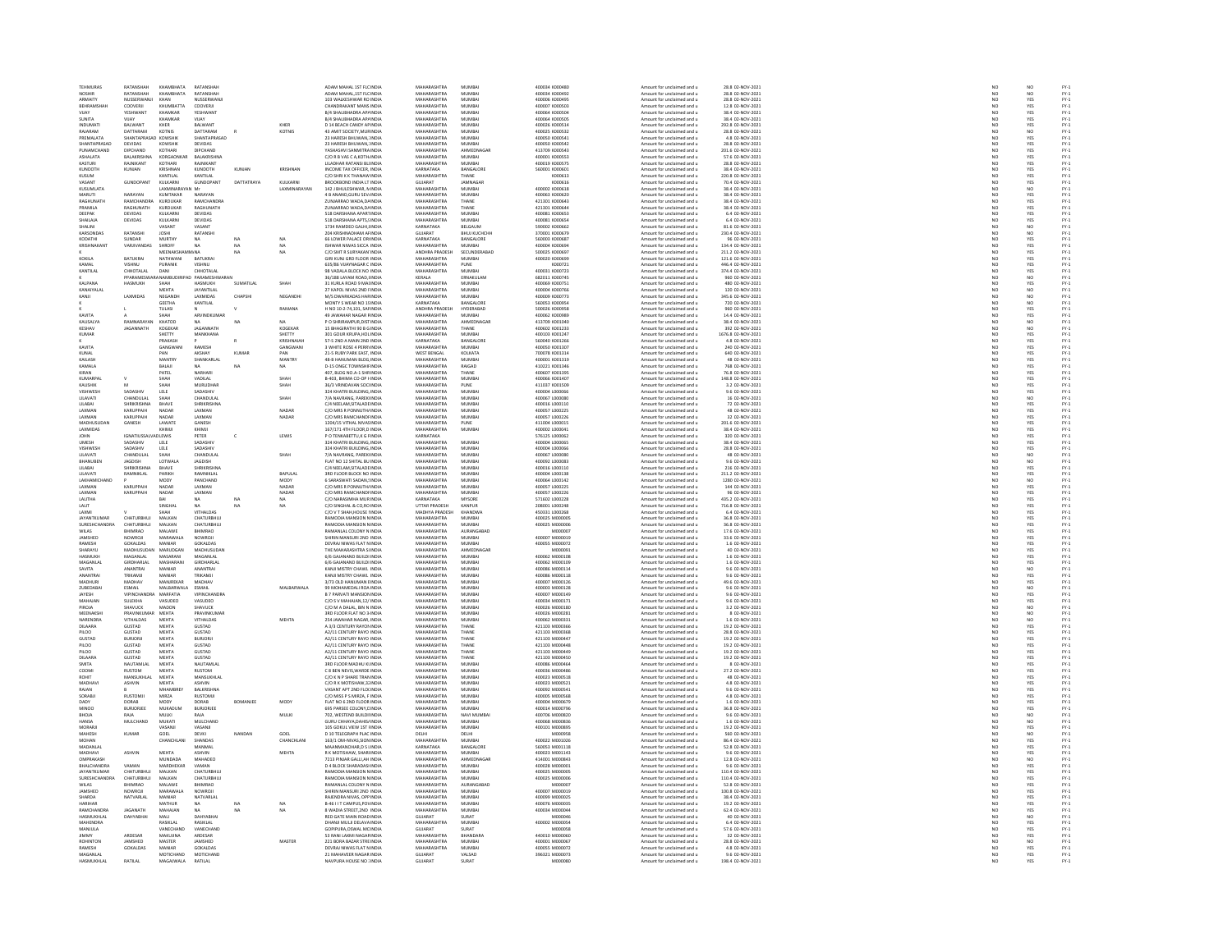| <b>TEHMURAS</b>                        | RATANSHAH                       | КНАМВНАТА                                              | RATANSHAH                             |                 |                       | ADAM MAHAL 1ST FLC INDIA                                     | MAHARASHTRA                       | MUMBAI                          | 400034 K000480                   | Amount for unclaimed and u                               | 28.8 02-NOV-2021                       | NO <sub>1</sub>                                                     | NO <sub></sub>                                  |                              |
|----------------------------------------|---------------------------------|--------------------------------------------------------|---------------------------------------|-----------------|-----------------------|--------------------------------------------------------------|-----------------------------------|---------------------------------|----------------------------------|----------------------------------------------------------|----------------------------------------|---------------------------------------------------------------------|-------------------------------------------------|------------------------------|
|                                        | RATANSHA                        | <b>КНАМВНАТА</b>                                       | RATANSHAI                             |                 |                       | ADAM MAHAL, 1ST FLC INDI                                     | MAHARASHTRA                       | MUMBAI<br>MUMBAI                | 00034 K000492                    | Amount for unclaimed and u                               | 28.8 02-NOV-2021<br>28.8 02-NOV-2021   | $\frac{N}{N}$                                                       | NO<br>YES                                       | FY-3<br>FY-3                 |
| ARMAIT<br>REHRAMSHAR                   | NUSSERWANJ<br>COOVERIL          | KHAN<br>KHIIMRATTA                                     | NUSSERWANJ<br>COOVERIL                |                 |                       | 103 WALKESHWAR RO INDU<br>CHANDRAKANT MANS INDIA             | <b>MAHARASHTRA</b><br>MAHARASHTRA | MUMBAL                          | 400006 K00049!<br>400007 K000503 | Amount for unclaimed and u<br>Amount for unclaimed and u | 12 8 02-NOV-2021                       | NO                                                                  | YES                                             |                              |
| VIJAY                                  | YESHWANT                        | KHAMKAR                                                | YESHWANT                              |                 |                       | B/4 SHALIBHADRA AP/ INDIA                                    | MAHARASHTRA                       | MUMBA                           | 400064 K000504                   | Amount for unclaimed and u                               | 38.4 02-NOV-2021                       | NO                                                                  | YES                                             | FY-3<br>FY-3                 |
| SUNITA                                 | VUAY                            | KHAMKAR                                                | VIJAY                                 |                 |                       | B/4 SHALIBHADRA AP/ INDIA                                    | MAHARASHTRA                       | MUMBAI                          | 400064 K000505                   | Amount for unclaimed and u                               | 38.4 02-NOV-2021                       | NO                                                                  | YES                                             |                              |
| INDUMAT<br>RAJARAM                     | BALWANT<br>DATTARAM             | KHER<br>KOTNIS                                         | <b>BALWANT</b><br>DATTARAM            |                 | KHER<br><b>KOTNIS</b> | D 14 BEACH CANDY AP IND<br>43 AMIT SOCIETY.MURINDIA          | MAHARASHTR<br>MAHARASHTRA         | MUMBA<br>MUMBAI                 | 400026 K00051<br>400025 K000532  | Amount for unclaimed and u<br>Amount for unclaimed and u | 292.8 02-NOV-2021<br>28.8 02-NOV-2021  | NO<br>NO <sub>1</sub>                                               | YES<br>NO.                                      |                              |
| PREMALATA                              | HANTAPRAS                       | KOWSHIN                                                | SHANTAPRASAD                          |                 |                       | 23 HARESH BHUWAN, INDU                                       | <b>MAHARASHTRA</b>                | MUMBAI                          | 400050 K00054                    | Amount for unclaimed and u                               | 4.8 02-NOV-2021                        | $_{NC}$                                                             | YES                                             |                              |
| SHANTAPRASAD<br>PUNAMCHAND             | DEVIDAS<br><b>DIPCHAND</b>      | KOWSHIK<br>KOTHARI                                     | DEVIDAS<br><b>DIPCHAND</b>            |                 |                       | 23 HARESH BHUWAN, INDIA<br>VASUASUM SAMMITRA INDIA           | MAHARASHTRA<br>MAHARASHTRA        | MUMBAI<br>AHMEDNAGAR            | 400050 K000542<br>413709 K000543 | Amount for unclaimed and u<br>Amount for unclaimed and u | 28.8 02-NOV-2021<br>201 6 02-NOV-2021  |                                                                     | YES                                             |                              |
| ASHALATA                               | BALAKRISHNA                     | KORGAON                                                | <b>BALAKRISHN</b>                     |                 |                       | C/O R B VAS C A, KOTH INDI                                   | <b>MAHARASHTRA</b>                | MUMBAI                          | 400001 K000553                   | Amount for unclaimed and u                               | 57.6 02-NOV-2021                       | NC<br>NC<br>NC                                                      | YES<br>YES                                      |                              |
| KASTURI                                | RAJNIKANT                       | KOTHARI                                                | RAJNIKANT                             |                 |                       | LILADHAR RATANSI BLI INDIA                                   | MAHARASHTRA                       | MUMBAI                          | 400019 K000575                   | Amount for unclaimed and u                               | 28.8 02-NOV-2021                       | NO                                                                  | YES                                             |                              |
| KUNDOTH                                | KUNJAN                          |                                                        | KUNDOTH                               | KUNJAM          | KRISHNAI              | INCOME TAX OFFICER, INDU                                     | KARNATAKA                         | BANGALORE                       | 560001 K00060                    | Amount for unclaimed and u                               | 38.4 02-NOV-2021                       | NO                                                                  | YES                                             |                              |
| KUSUM<br>VASANT                        | GUNDOPAN                        | KANTILAL<br>KULKARN                                    | KANTILAL<br>GUNDOPANT                 | DATTATRAYA      | KULKARNI              | C/O SHRI K K THANAW INDIA<br><b>BROOKBOND INDIA LT INDIA</b> | MAHARASHTRA<br>GUIARAT            | THANE<br><b>AMNAGAR</b>         | K000613<br>K000616               | Amount for unclaimed and u<br>Amount for unclaimed and u | 220.8 02-NOV-2021<br>70.4 02-NOV-2021  | $\frac{NO}{NO}$                                                     | YES<br>YES                                      |                              |
| KUSUMLATA                              |                                 | LAXMINARAYAN Mr                                        |                                       |                 | LAXMINARAYAN          | 142 J BHULESHWAR, N INDIA                                    | MAHARASHTRA                       | MUMBAI                          | 400002 K000618                   | Amount for unclaimed and u                               | 38.4 02-NOV-2021                       | NO                                                                  | NO                                              |                              |
| MARUTI                                 | NARAYAN                         | KUMTAKAP                                               | NARAYAN                               |                 |                       | <b>4 B ANAND.GURU SEV. INDU</b>                              | MAHARASHTRA                       | MUMBAI                          | 400063 K000620<br>421301 K000643 | Amount for unclaimed and                                 | 38.4 02-NOV-2021<br>38.4 02-NOV-2021   | NC<br>NC                                                            | YES<br>YES                                      |                              |
| RAGHUNATH<br>PRAMILA                   | RAMCHANDRA<br>RAGHUNATH         | KURDUKAR<br>KURDUKAR                                   | RAMCHANDRA<br>RAGHUNATH               |                 |                       | ZUNJARRAO WADA, DA INDIA<br>ZUNJARRAO WADA.DA INDIA          | MAHARASHTRA<br>MAHARASHTRA        | THANE<br>THANE                  | 421301 K000644                   | Amount for unclaimed and u<br>Amount for unclaimed and u | 38.4 02-NOV-2021                       |                                                                     | YES                                             |                              |
| DEEPAK                                 | DEVIDAS                         | KULKARN                                                | DEVIDAS                               |                 |                       | 518 DARSHANA APARTIND                                        | <b>MAHARASHTRA</b>                | MUMBA                           | 400081 K000653                   | Amount for unclaimed and u                               | 6.4 02-NOV-2021                        | $\frac{NO}{NO}$                                                     | YES                                             |                              |
| SHAILAJA                               | DEVIDAS                         | KULKARNI                                               | DEVIDAS                               |                 |                       | 518 DARSHANA APTS.5 INDIA                                    | MAHARASHTRA                       | MUMBAI                          | 400081 K000654                   | Amount for unclaimed and u                               | 6.4 02-NOV-2021                        | NO                                                                  | YES                                             |                              |
| SHALINI<br>KARSONDAS                   | RATANSHI                        | VASANT<br><b>JOSHI</b>                                 | VASANT<br>RATANSHI                    |                 |                       | 1734 RAMDEO GALHI, INDI<br>204 KRISHNADHAM AFINDIA           | KARNATAKA<br>GUJARAT              | BELGAUM<br><b>ВНUJ KUCHCHI-</b> | 590002 K000662<br>370001 K000679 | Amount for unclaimed and u<br>Amount for unclaimed and u | 81.6 02-NOV-2021<br>230.4 02-NOV-2021  | NO<br>NO                                                            | $\begin{array}{c} 0 \\ 0 \\ 0 \\ 0 \end{array}$ |                              |
| KODATHI                                | SUNDAR                          | MURTHY                                                 | NA                                    | NA              | NA                    | 66 LOWER PALACE OR INDIA                                     | KARNATAKA                         | BANGALORE                       | seggers kongers                  | Amount for unclaimed and u                               | 96 02-NOV-2021                         | NO                                                                  |                                                 |                              |
| KRISHNAKAN                             | VARJIVANDAS                     | SHROFF                                                 | <b>NA</b>                             | NA              | NA                    | ISHWAR NIWAS SICCA INDIA                                     | MAHARASHTRA                       | MUMBAI                          | 400004 K000694                   | Amount for unclaimed and u                               | 134.4 02-NOV-2021                      | NO                                                                  | YES<br>YES                                      |                              |
| KOKILA                                 | BATUKRA                         | <b>MEENAKSH</b>                                        | 4.NA<br>BATUKRA                       | NA              | NA                    | C/O SMT R SURYAKAN INDIA<br>KUNJ GRD FLOOR INDL              | ANDHRA PRADES-<br>MAHARASHTRA     | SECUNDERARAD                    | snonzs konneg:<br>00020 K00069   | Amount for unclaimed and u<br>mount for unclaimed and u  | 211.2.02-NOV-2021<br>121.6 02-NOV-2021 | NC<br>NC                                                            | YES<br>YES                                      |                              |
| KAMAL                                  | VISHNU                          | <b>PURANIK</b>                                         | <b>VISHNII</b>                        |                 |                       | 635/86 VIJAYNAGAR C INDIA                                    | MAHARASHTRA                       | PUNE                            | K000721                          | Amount for unclaimed and u                               | 446.4 02-NOV-2021                      | NO                                                                  | YES                                             |                              |
| KANTILAI                               | CHHOTALAL                       | DAN                                                    | CHHOTALAI                             |                 |                       | 98 VADALA BLOCK NO INDIA                                     | MAHARASHTRA                       | MUMBAL                          | 400031 K000723                   | Amount for unclaimed and                                 | 374.4 02-NOV-2021                      | NO                                                                  | YES                                             |                              |
| KAI PANA                               | PPARAMESWARA NAMBUDI<br>HASMUKH | <b>SHAF</b>                                            | D PARAMESHWARAN<br><b>HASMLIKE</b>    | SUMATILAL       | SHAH                  | 36/188 LAYAM ROAD, IINDIA<br>31 KURLA ROAD 9 MAUNDIA         | KERALA<br>MAHARASHTRA             | ERNAKULAN<br>MUMRAL             | 682011 K000745<br>400069 K000751 | Amount for unclaimed and u<br>Amount for unclaimed and u | 960 02-NOV-2021<br>480 02-NOV-2021     | NO                                                                  | NO                                              |                              |
| KANAIYALAI                             |                                 | <b>MEHTA</b>                                           | JAYANTILAL                            |                 |                       | 27 KAPOL NIVAS 2ND FINDIA                                    | MAHARASHTRA                       | MUMBAI                          | 400004 K000766                   | Amount for unclaimed and u                               | 120 02-NOV-2021                        | NC<br>NC                                                            | YES<br>NO                                       |                              |
| KANIL                                  | <b>LAXMIDAS</b>                 | <b>NEGANDE</b>                                         | <b>LAXMIDAS</b>                       | CHAPSHI         | NEGANDHI              | M/S DWARKADAS HARINDIA                                       | MAHARASHTRA                       | MUMRAL                          | 400009 K000773                   | Amount for unclaimed and u                               | 345.6.02-NOV-2021                      |                                                                     | NO <sub>1</sub>                                 |                              |
|                                        |                                 | GEETHA<br>TULASI                                       | KANTILAL                              |                 | RAMANA                | MONTY'S WEAR NO 15 INDU<br>H NO 10-2-74,101, SAFINDIA        | KARNATAKA<br>ANDHRA PRADESH       | BANGALOR<br>HYDERABAD           | 560053 K000954<br>500026 K000958 | Amount for unclaimed and u<br>Amount for unclaimed and u | 720 02-NOV-2021<br>960 02-NOV-2021     | NO<br>NO<br>NO                                                      | NO<br>YES                                       | FY-1<br>FY-1<br>FY-1<br>FY-1 |
| KAVITA                                 |                                 | SHAH                                                   | ARVINDKUMAF                           |                 |                       | 49 IAWAHAR NAGAR FINDIA                                      | MAHARASHTRA                       | MUMRAL                          | 400062 K000989                   | Amount for unclaimed and                                 | 14.4 02-NOV-2021                       | NO                                                                  |                                                 |                              |
| KAUSALYA                               | RAMNARAYAN                      | KHATOD                                                 | <b>NA</b>                             | <b>NA</b>       |                       | P O SHRIRAMPUR, DISTINDIA                                    | MAHARASHTRA                       | AHMEDNAGAE                      | 413709 K001040                   | Amount for unclaimed and u                               | 38.4 02-NOV-2021                       | NO                                                                  | YES<br>NO                                       |                              |
| KESHAV                                 | <b>IAGANNATH</b>                | KOGEKAR                                                | <b>IAGANNATH</b>                      |                 | KOGEKAR               | <b>15 BHAGIRATHI 90 B G INDIA</b>                            | MAHARASHTRA                       | THANF                           | 400602 K001233<br>400103 K00124  | Amount for unclaimed and u                               | 392 02-NOV-2021<br>1676.8 02-NOV-2021  | NC<br>NC                                                            | NO<br>YES                                       |                              |
| KUMAR                                  |                                 | SHETTY<br>PRAKASH                                      | MANKHANA                              |                 | SHETTY<br>KRISHNAIAH  | 301 GOUR KRUPA, HOL INDIA<br>57-52ND A MAIN 2ND INDIA        | MAHARASHTRA<br>KARNATAKA          | MUMBAI<br><b>BANGALORE</b>      | 560040 K001266                   | Amount for unclaimed and u<br>Amount for unclaimed and u | 4.8.02-NOV-2021                        | NO <sub>1</sub>                                                     |                                                 |                              |
| KAVITA                                 |                                 | GANGWAN                                                | RAMESH                                |                 | GANGWAN               | 3 WHITE ROSE 4 PERRI INDIA                                   | MAHARASHTRA                       | MUMBAI                          | 400050 K00130                    | Amount for unclaimed and u                               | 240 02-NOV-2021                        | $\overline{NC}$                                                     | YES<br>YES                                      | FY-1<br>FY-1<br>FY-1<br>FY-1 |
| KUNAL<br>KAILASE                       |                                 | PAN<br>MANTRY                                          | AKSHAY<br>SHANKARLA                   | KUMAF           | PAN<br>MANTRY         | 21-5 RUBY PARK EAST, INDIA<br>48-B HANUMAN BLDG INDL         | <b>WEST BENGAL</b><br>MAHARASHTRA | KOLKATA<br>MUMBA                | 700078 K001314<br>100001 K001319 | Amount for unclaimed and u                               | 640 02-NOV-2021                        |                                                                     |                                                 |                              |
| KAMALA                                 |                                 | BALAJI                                                 | NA                                    |                 | NA                    | D-15 ONGC TOWNSHIF INDIA                                     | MAHARASHTRA                       | RAIGAD                          | 410221 K001346                   | Amount for unclaimed and u<br>Amount for unclaimed and u | 48 02-NOV-2021<br>768 02-NOV-2021      | NC<br>NC<br>NC                                                      | YES<br>YES<br>YES                               | FY-3<br>FY-3<br>FY-3         |
| KIRAN                                  |                                 | PATEL                                                  | NARHAR                                |                 |                       | 407. BLDG NO.A-1 SHRINDM                                     | MAHARASHTRA                       | THANE                           | 400607 K001391                   | Amount for unclaimed and u                               | 76.8.02-NOV-2021                       | NC<br>NC                                                            | YES<br>YES                                      | FY-3<br>FY-3                 |
| KUMARPAL                               |                                 | SHAH                                                   | VADILAL                               |                 | SHAH                  | B-403, BHIMA CO-OP I INDIA                                   | MAHARASHTRA                       | MUMBAI                          | 400066 K00140)                   | Amount for unclaimed and u                               | 148.8 02-NOV-2021                      |                                                                     |                                                 |                              |
| KALISHIK<br>VISHWESH                   | SADASHI                         | SHAH<br>$\begin{array}{lll} \texttt{LELE} \end{array}$ | MURLIDHAR<br>SADASHIV                 |                 | SHAH                  | 36/3 VRINDAVAN SOCIINDIA<br>324 KHATRI BUILDING, INDU        | MAHARASHTRA<br>MAHARASHTRA        | PLINE<br>MUMBAI                 | 411037 K001509<br>400004 L000066 | Amount for unclaimed and u<br>Amount for unclaimed and u | 3.2.02-NOV-2021<br>9.6 02-NOV-2021     | $\frac{NO}{NO}$                                                     | YES<br>YES                                      | FY-3<br>FY-3                 |
| LILAVATI                               | CHANDULAL                       | SHAH                                                   | CHANDULAL                             |                 | SHAH                  | 7/A NAVRANG, PAREK INDIA                                     | MAHARASHTRA                       | MUMBAI                          | 400067 L000080                   | Amount for unclaimed and u                               | 16 02-NOV-2021                         | NO                                                                  | NO                                              |                              |
| LILABA                                 |                                 | BHAVE                                                  | <b>HRIKRISHNA</b>                     |                 |                       | C/4 NEELAM, SITALADE INDU                                    | <b>MAHARASHTRA</b>                | MUMBA                           | 400016 L000110                   | Amount for unclaimed and u                               | 72 02-NOV-2021                         | NO                                                                  | YES                                             | FY-1<br>FY-1<br>FY-1<br>FY-1 |
| LAXMAN<br><b>LAXMAN</b>                | KARUPPAIH<br>KARLIPPAIL         | NADAR<br>NADAR                                         | LAXMAN<br><b>LAXMAN</b>               |                 | NADAR<br>NADAR        | C/O MRS R PONNUTH/ INDIA<br>C/O MRS RAMCHANDEINDIA           | MAHARASHTRA<br>MAHARASHTRA        | MUMBAI<br>MUMRAL                | 400057 L000225<br>400057 1000226 | Amount for unclaimed and u<br>Amount for unclaimed and u | 48 02-NOV-2021<br>32 02-NOV-2021       |                                                                     |                                                 |                              |
| MADHUSUDA                              | GANESH                          | LAWATE                                                 | GANESH                                |                 |                       | 1204/15 VITHAL NIVAS INDU                                    | MAHARASHTRA                       | PUNE                            | 411004 L00001                    | Amount for unclaimed and u                               | 201.6 02-NOV-2021                      | $\begin{array}{c} \tt NO \\ \tt NO \\ \tt NO \\ \tt NO \end{array}$ | YES<br>YES<br>YES                               |                              |
| <b>LAXMIDAS</b>                        |                                 | KHIMIL                                                 | KHIMIL                                |                 |                       | 167/171 4TH FLOOR D INDIA                                    | MAHARASHTRA                       | MUMBAL                          | 4000021000041                    | Amount for unclaimed and u                               | 38.4.02-NOV-2021                       | NO<br>NO                                                            | YES<br>YES                                      |                              |
| <b>JOHN</b>                            | <b>GNATIUSSAL</b>               | <b>IDLEWIS</b>                                         | PETER                                 |                 | LEWIS                 | P O TENKABETTU, K G FINDIA                                   | KARNATAKA                         |                                 | 576125 L000062                   | Amount for unclaimed and u                               | 320 02-NOV-2021                        |                                                                     |                                                 | PY-1<br>PY-1<br>PY-1<br>PY-1 |
| UMESH<br>VISHWESH                      | SADASHIV<br>SADASHIV            | LELE<br>LELE                                           | SADASHIV<br>SADASHIT                  |                 |                       | 324 KHATRI BUILDING, INDIA<br>324 KHATRI BUILDING, IND       | MAHARASHTRA<br><b>MAHARASHTRA</b> | MUMBAI<br>MUMBAI                | 400004 L000065<br>400004 L000066 | Amount for unclaimed and u<br>Amount for unclaimed and u | 38.4 02-NOV-2021<br>28.8 02-NOV-2021   | $\frac{NO}{NO}$                                                     | YES<br>YES                                      |                              |
| LILAVATI                               | CHANDULAL                       | <b>SHAF</b>                                            | CHANDULAL                             |                 | SHAH                  | 7/A NAVRANG, PAREK INDIA                                     | MAHARASHTRA                       | MUMBAI                          | 400067 L000080                   | Amount for unclaimed and u                               | 48 02-NOV-2021                         | NO                                                                  | NO.                                             |                              |
| BHANUBEN                               | AGDISH                          | LOTWALA                                                | -----------<br>JAGDISH<br>SHRIKRISHNA |                 |                       | FLAT NO 12 SHITAL BU INDIA<br>C/4 NEELAM, SITALADE INDIA     | MAHARASHTRA                       | MUMBAI<br>MUMBAI                | 400092 L000083<br>400016 L000110 | Amount for unclaimed and                                 | 9.6 02-NOV-2021<br>216 02-NOV-2021     | $\frac{N}{N}$                                                       | NO<br>YES                                       |                              |
| LILABAI<br>LILAVATI                    | <b>HRIKRISHNA</b><br>RAMNIKLAL  | BHAVE<br>PARIKH                                        | RAMNIKLAL                             |                 | BAPULAL               | 3RD FLOOR BLOCK NO INDIA                                     | MAHARASHTRA<br>MAHARASHTRA        | MUMBAI                          | 400004 L000138                   | Amount for unclaimed and u<br>Amount for unclaimed and u | 211.2 02-NOV-2021                      | NO                                                                  | YES                                             |                              |
| LAKHAMICH                              |                                 | MODY                                                   | PANCHAND                              |                 | MODY                  | 6 SARASWATI SADAN,5 INDU                                     | MAHARASHTRA                       | MUMBA                           | 400064 L000142                   | Amount for unclaimed and u                               | 1280 02-NOV-2021                       | NO                                                                  | NO                                              |                              |
| LAXMAN                                 | KARUPPAIH                       | NADAR                                                  | LAXMAN                                |                 | NADAR                 | C/O MRS R PONNUTH/ INDIA                                     | MAHARASHTRA                       | MUMBAI                          | 400057 L000225                   | Amount for unclaimed and u                               | 144 02-NOV-2021                        | NO                                                                  | YES                                             |                              |
| LAXMAN                                 | KARUPPAI                        | NADAF                                                  | LAXMAN                                |                 | NADAR                 | C/O MRS RAMCHANDFINDL                                        | MAHARASHTRA                       | MUMBA                           | 400057 L000226                   | Amount for unclaimed and u                               | 96 02-NOV-2021                         | $\overline{\mathsf{NC}}$                                            | YES<br>YES                                      |                              |
| LALITHA<br><b>I ALIT</b>               |                                 | BAI<br>SINGHA                                          | NA.<br>$\mathbf{M}$                   | NA <sub>1</sub> | NA<br>NA              | C/O NARASIMHA MURINDIA<br>C/O SINGHAL & CO,RO INDI           | KARNATAKA<br>UTTAR PRADESH        | MYSORE<br>KANPUR                | 571602 L000228<br>208001 L000248 | Amount for unclaimed and u<br>Amount for unclaimed and u | 435.2 02-NOV-2021<br>716.8 02-NOV-2021 | $\frac{NO}{NO}$                                                     | YES                                             |                              |
| LAXMI                                  |                                 | SHAH                                                   | VITHALDAS                             |                 |                       | C/O V T SHAH, HOUSE I INDIA                                  | MADHYA PRADESH                    | KHANDWA                         | 450331 L000268                   | Amount for unclaimed and u                               | 6.4 02-NOV-2021                        | NC<br>NC                                                            |                                                 |                              |
| JAYANTKUMAF                            | CHATURBHUJ                      | MALKAN                                                 | CHATURBHUJ                            |                 |                       | RAMODIA MANSION N INDIA                                      | MAHARASHTRA                       | MUMBAI                          | 400025 M000005                   | Amount for unclaimed and u                               | 36.8 02-NOV-2021                       |                                                                     | YES<br>YES                                      |                              |
| SURESHCHANDI<br>WILAS                  | CHATURBHUJ<br>BHIMRAO           | MALKAN<br>MALAWE                                       | CHATURBHUJ<br>BHIMRAO                 |                 |                       | RAMODIA MANSION N INDU<br>RAMANLAL COLONY N INDIA            | MAHARASHTRA<br>MAHARASHTRA        | MUMBAI<br>AURANGABAD            | 400025 M00000<br>M000007         | Amount for unclaimed and u<br>Amount for unclaimed and u | 36.8 02-NOV-2021<br>17.6 02-NOV-2021   | NO                                                                  | YES<br>YES                                      |                              |
| JAMSHED                                | <b>OWROJ</b>                    | MARAWA                                                 | VOWROJ                                |                 |                       | SHIRIN MANSURI 2ND INDL                                      | <b>MAHARASHTRA</b>                | MUMBAI                          | 400007 M000019                   | Amount for unclaimed and u                               | 33.6 02-NOV-2021                       | $\frac{NO}{NO}$                                                     |                                                 |                              |
| <b>RAMESH</b>                          | GOKALDAS                        | MANIAR                                                 | GOKALDAS                              |                 |                       | DEVRAJ NIWAS FLAT NINDIA                                     | MAHARASHTRA                       | MUMBAI                          | 400055 M000072                   | Amount for unclaimed and u                               | 1.6 02-NOV-2021                        | NO <sub>1</sub>                                                     | YES<br>YES                                      |                              |
| SHARAYU                                | <b>AADULISUDA</b>               | MARUDGAL                                               | <b>MADHUSUDAM</b>                     |                 |                       | THE MAHARASHTRA SI INDIA                                     | MAHARASHTRA                       | AHMEDNAGAL                      | M000091<br>400062 M000108        | Amount for unclaimed and                                 | 40 02-NOV-2021                         | NO                                                                  | YES<br>YES                                      |                              |
| HASMUKH<br>MAGANI AI                   | MAGANLAL<br>GIRDHARLAL          | MASARANI<br>MASHARAN                                   | MAGANLAL<br><b>GIRDHARLAI</b>         |                 |                       | 6/6 GAJANAND BUILDI INDIA<br>6/6 GAIANAND BUILDI INDU        | MAHARASHTRA<br>MAHARASHTRA        | MUMBAI<br>MUMRAL                | 400062.M000109                   | Amount for unclaimed and u<br>Amount for unclaimed and u | 1.6 02-NOV-2021<br>1.6 02-NOV-2021     | NC<br>NC                                                            | YES                                             |                              |
| SAVITA                                 | ANANTRAI                        | MANIAR                                                 | ANANTRAI                              |                 |                       | KANJI MISTRY CHAWL INDIA                                     | MAHARASHTRA                       | MUMBAI                          | 400086 M000114                   | Amount for unclaimed and u                               | 9.6 02-NOV-2021                        | NO                                                                  | NO<br>YES                                       |                              |
| ANANTRAI<br>MADHUR                     | TRIKAMJI<br><b>AADHAV</b>       | MANIAR<br>MANJREKAP                                    | TRIKAMJI<br><b>MADHAV</b>             |                 |                       | KANJI MISTRY CHAWL INDIA<br>3/73 OLD HANUMAN EINDU           | MAHARASHTRA<br><b>MAHARASHTRA</b> | MUMBAI<br>MUMBAI                | 400086 M000118<br>400007 M000126 | Amount for unclaimed and u<br>Amount for unclaimed and u | 9.6 02-NOV-2021<br>49.6 02-NOV-2021    | NO <sub>1</sub><br>NO                                               |                                                 |                              |
| ZUBEDABAI                              | ESMAIL                          | MALBARWALA                                             | ESMAIL                                |                 | MALBARWALA            | 99 MOHAMEDALI ROA INDIA                                      | MAHARASHTRA                       | MUMBAI                          | 400003 M000128                   | Amount for unclaimed and u                               | 9.6 02-NOV-2021                        |                                                                     | YES<br>NO                                       |                              |
| JAYESH                                 | <b>VIPINCHANDRA</b>             | MARFATIA                                               | <b>VIPINCHANDRA</b>                   |                 |                       | <b>B 7 PARVATI MANSION INDU</b>                              | MAHARASHTRA                       | MUMRAL                          | 400007 M000149                   | Amount for unclaimed and u                               | 9.6 02-NOV-2021                        | $\frac{NO}{NO}$                                                     | YES<br>YES                                      |                              |
| MAHAJAN<br>PIROIA                      | SULEKHA<br>SHAVUCK              | VASUDEO<br>MADON                                       | VASUDEO<br>SHAVUCK                    |                 |                       | C/O S V MAHAJAN, 12/ INDIA<br>C/O M A DAI AL RIN N INDIA     | MAHARASHTRA<br>MAHARASHTRA        | MUMBAI<br>MUMRAL                | 400034 M000171<br>400026 M000180 | Amount for unclaimed and u<br>Amount for unclaimed and u | 9.6 02-NOV-2021<br>3.2 02-NOV-2021     | NO                                                                  |                                                 |                              |
| MEENAKSH                               | PRAVINKUMAR                     | MEHTA                                                  | PRAVINKUMAR                           |                 |                       | 3RD FLOOR FLAT NO 3 INDIA                                    | MAHARASHTRA                       | MUMBAI                          | 400026 M000281                   | Amount for unclaimed and u                               | 8 02-NOV-2021                          | NC<br>NC                                                            | NO<br>NO                                        |                              |
| NARENDRA                               | <b>VITHALDAS</b>                | <b>MEHTA</b>                                           | <b>PARTHAL</b>                        |                 | MEHTA                 | 254 JAWAHAR NAGAR INDIA                                      | MAHARASHTRA                       | MUMRAL                          | CECOON SADDRA                    | Amount for unclaimed and u                               | 1.6.02-NOV-2021                        | NC<br>NC                                                            | NO<br>YES                                       |                              |
| DILAARA                                | GUSTAD                          | MEHTA                                                  | <b>GUSTAD</b>                         |                 |                       | A 3/3 CENTURY RAYON INDI                                     | MAHARASHTPA                       | <b>THANE</b>                    | 421103 M00036                    | Amount for unclaimed and                                 | 19.2 02-NOV-2021                       |                                                                     |                                                 | FY-1<br>FY-1<br>FY-1<br>FY-1 |
| PILOO<br>GUSTAD                        | GUSTAD<br>RURIORI               | MEHTA<br>MEHTA                                         | GUSTAD<br><b>BURJORJI</b>             |                 |                       | A2/11 CENTURY RAYO INDIA<br>A2/11 CENTURY RAYO INDIA         | MAHARASHTRA<br>MAHARASHTRA        | THANE<br>THANE                  | 421103 M000368<br>421103 MODD447 | Amount for unclaimed and u<br>Amount for unclaimed and   | 28.8 02-NOV-2021<br>19.2 02-NOV-2021   | NO                                                                  | YES                                             |                              |
| PILOO                                  | <b>GUSTAD</b>                   | MEHTA                                                  | <b>GUSTAD</b>                         |                 |                       | A2/11 CENTURY RAYO INDIA                                     | MAHARASHTRA                       | THANE                           | 421103 M000448                   | Amount for unclaimed and u                               | 19.2 02-NOV-2021                       | NC<br>NC                                                            | YES<br>YES                                      |                              |
| PH OO                                  | GUSTAD                          | <b>MEHTA</b>                                           | GUSTAD                                |                 |                       | 42/11 CENTURY RAYO INDIA                                     | MAHARASHTRA                       | THANE                           | 421103 MOD0449                   | Amount for unclaimed and u                               | 19.2 02-NOV-2021                       | NO<br>NO                                                            | YES<br>YES                                      |                              |
| <b>DILAARA</b><br>SMITA                | GUSTAD<br>NALITAMI AL           | MEHTA<br><b>MEHTA</b>                                  | <b>GUSTAD</b><br>NALITAMI AI          |                 |                       | A2/11 CENTURY RAYO INDIA<br>3RD FLOOR MADHLLKLINDIA          | MAHARASHTRA<br>MAHARASHTRA        | THANE<br>MUMRA                  | 421103 M000450<br>400086 MODDAGA | Amount for unclaimed and u<br>Amount for unclaimed and u | 19.2 02-NOV-2021<br>8.02-NOV-2021      | NO                                                                  |                                                 | FY-1<br>FY-1<br>FY-1<br>FY-1 |
| COOM                                   | RUSTOM                          | MEHTA                                                  | RUSTOM                                |                 |                       | C 8 BEN NEVIS, WARDE INDIA                                   | <b>MAHARASHTRA</b>                | MUMBAI                          | 400036 M00048                    | Amount for unclaimed and u                               | 27.2 02-NOV-2021                       | $\frac{N}{N}$                                                       | YES<br>YES<br>YES                               |                              |
| ROHIT<br>MADHAV                        | MANSUKHLAL<br>ASHVIN            | MEHTA<br><b>MEHTA</b>                                  | MANSUKHLAL<br>ASHVIN                  |                 |                       | C/O K N P SHARE TRAN INDIA<br>C/O R K MOTISHAW.3; INDIA      | MAHARASHTRA<br>MAHARASHTRA        | MUMBAI<br>MUMRAL                | 400023 M000518<br>400023 M000521 | Amount for unclaimed and u                               | 48 02-NOV-2021<br>4.8 02-NOV-2021      |                                                                     |                                                 |                              |
| RAJAN                                  |                                 | MHAMBREY                                               | BALKRISHNA                            |                 |                       | VASANT APT 2ND FLOUNDIA                                      | MAHARASHTRA                       | MUMBAI                          | 400092 M000541                   | Amount for unclaimed and u<br>Amount for unclaimed and u | 9.6 02-NOV-2021                        | NC<br>NC                                                            | YES<br>YES                                      |                              |
| SORARI                                 | <b>RUSTOMIL</b>                 | MIRZA                                                  | RUSTOMIL                              |                 |                       | C/O MISS P S MIRZA E INDIA                                   | MAHARASHTRA                       | MUMRAL                          | 400005 MODOSAS                   | Amount for unclaimed and u                               | 4.8.02-NOV-2021                        | NC<br>NC                                                            | YES<br>YES                                      | FY-1<br>FY-1<br>FY-1<br>FY-1 |
| DADY                                   | DORAB                           | MODY                                                   | DORAB                                 | BOMANJE         | MODY                  | FLAT NO 6 2ND FLOOR INDIA                                    | MAHARASHTRA                       | MUMBAL                          | 400004 M000679                   | Amount for unclaimed and u                               | 1.6 02-NOV-2021                        |                                                                     |                                                 |                              |
| MINOO<br>BHOJA                         | <b>BURIORIEE</b><br>RAJA        | <b>MUKADUM</b><br>MULKI                                | <b>BURIORIEE</b><br>AlA               |                 | MULKI                 | 695 PARSEE COLONY FINDIA<br>702, WESTEND BUILDI INDI         | MAHARASHTRA<br><b>MAHARASHTRA</b> | MUMRAL<br>NAVI MUMBA            | 400014 M000796<br>400706 M000820 | Amount for unclaimed and u<br>Amount for unclaimed and u | 36.8.02-NOV-2021<br>9.6 02-NOV-2021    | $\frac{NO}{NO}$                                                     | YES<br>NO                                       | FY-1<br>FY-1<br>FY-1<br>FY-1 |
| HANSA                                  | MULCHAND                        | MUKATI                                                 | MULCHAND                              |                 |                       | GURU CHHAYA DAHISJ INDIA                                     | MAHARASHTRA                       | MUMBAI                          | 400068 M000836                   | Amount for unclaimed and u                               | 1.6 02-NOV-2021                        | NO                                                                  | NO.                                             |                              |
| MORAR.                                 |                                 | VASANJ                                                 | VASANJI                               |                 |                       | 105 GOKUL VIEW 1ST HNDM                                      | <b>MAHARASHTRA</b>                | MUMBAI                          | 400101 M00089                    | Amount for unclaimed and u                               | 19.2 02-NOV-2021                       | $\frac{N}{N}$                                                       | YES<br>NO                                       |                              |
| MAHESH<br>MOHAN                        | KUMAR                           | GOEL<br><b>CHANCHLAN</b>                               | DEVKI<br>SHANDAS                      | NANDAN          | GOEL<br>CHANCHLAND    | D 10 TELEGRAPH PLAC INDIA<br>163/1 OM-NIVAS SION INDIA       | DELHI<br>MAHARASHTRA              | DELHI<br>MUMRAL                 | M000958<br>400022.M001026        | Amount for unclaimed and u<br>Amount for unclaimed and u | 560 02-NOV-2021<br>86.4.02-NOV-2021    |                                                                     |                                                 |                              |
| MADANLA                                |                                 |                                                        | .<br>MANMAL                           |                 |                       | MAANMANOHAR, D S I INDIA                                     | KARNATAKA                         | BANGALORE                       | 560053 M001118                   | Amount for unclaimed and u                               | 52.8 02-NOV-2021                       | NC<br>NC                                                            | YES<br>YES                                      | FY-)<br>FY-)                 |
| MADHAVI                                | ASHVIN                          | MEHTA                                                  | ASHVIN                                |                 | MEHTA                 | R K MOTISHAW, SHARLINDIA                                     | MAHARASHTRA                       | MUMBAI                          | 400023 M001143                   | Amount for unclaimed and u                               | 9.6 02-NOV-2021                        | NO                                                                  | YES                                             |                              |
| <b>OMPRAKASE</b><br><b>BHALCHANDRA</b> | VAMAN                           | MUNDADA<br>MARDHEKAR                                   | MAHADEO<br>VAMAN                      |                 |                       | 7213 PINJAR GALLI, AH INDIA<br>D 4 BLOCK SHARADASHNDIA       | MAHARASHTRA<br>MAHARASHTRA        | AHMEDNAGA<br>MUMBAI             | 414001 M000843<br>400028 M000001 | Amount for unclaimed and u<br>Amount for unclaimed and u | 12.8 02-NOV-2021<br>9.6 02-NOV-2021    | NO                                                                  | NO<br>YES                                       | PY-1<br>PY-1<br>PY-1<br>PY-1 |
| <b>JAYANTKUMAR</b>                     | CHATURBHL                       | MALKAN                                                 | CHATURBHU.                            |                 |                       | RAMODIA MANSION N IND                                        | <b>MAHARASHTRA</b>                | MUMBAI                          | 400025 M00000                    | Amount for unclaimed and u                               | 110.4 02-NOV-2021                      | $\frac{NO}{NO}$                                                     | YES                                             |                              |
| SURESHCHANDR                           | CHATURBHUJ                      | MALKAN                                                 | CHATURBHUJ                            |                 |                       | RAMODIA MANSION N INDIA                                      | MAHARASHTRA                       | MUMBAI                          | 400025 M000006                   | Amount for unclaimed and u                               | 110.4 02-NOV-2021                      | NC<br>NC                                                            |                                                 |                              |
| WILAS                                  | <b>OARMIHR</b>                  | MAI AWE                                                | <b>DARMIHR</b>                        |                 |                       | <b>RAMANIAI COLONY N INDIA</b>                               | MAHARASHTRA<br>MAHARASHTRA        | <b>ALIRANGARAD</b><br>MUMBAI    | MODDOOZ<br>400007 M000019        | Amount for unclaimed and                                 | 52.8.02-NOV-2021                       | $\overline{NC}$                                                     | YES<br>YES<br>YES                               |                              |
| JAMSHED<br>SHARDA                      | NOWROJI<br>NATVARLAL            | MARAWALA<br>MANIAR                                     | NOWROJ<br>NATVARLAL                   |                 |                       | SHIRIN MANSURI 2ND INDIA<br>RAJENDRA NIVAS, OPP INDIA        | MAHARASHTRA                       | MUMBAI                          | 400099 M000025                   | Amount for unclaimed and u<br>Amount for unclaimed and u | 100.8 02-NOV-2021<br>38.4 02-NOV-2021  | NO <sub>1</sub>                                                     | YES                                             |                              |
| HARIHA                                 |                                 | MATHUR                                                 |                                       |                 |                       | B-46 I I T CAMPUS, POVINDL                                   | MAHARASHTR                        | MUMBA                           | 400076 M000039                   | Amount for unclaimed and u                               | 19.2 02-NOV-2021                       | NO                                                                  | YES                                             |                              |
| RAMCHANDRA                             | JAGANATH                        | MAHAJAN                                                | NA                                    | <b>NA</b>       | NA                    | 8 WADIA STREET, 2ND INDIA                                    | MAHARASHTRA                       | MUMBAI                          | 400034 M000044                   | Amount for unclaimed and u                               | 62.4 02-NOV-2021                       | NO <sub>1</sub>                                                     | YES                                             |                              |
| HASMUKHLA<br>MAHENDRA                  | DAHYABHA                        | RASIKLAL                                               | <b>AHYABHA</b><br>RASIKLAL            |                 |                       | <b>RED GATE MAIN ROAD INDI</b><br>DHANJI MULJI DELAVA INDIA  | GUJARAT<br>MAHARASHTRA            | SURAT<br>MUMBAI                 | M000046<br>400002 M000054        | Amount for unclaimed and u<br>Amount for unclaimed and u | 40 02-NOV-2021<br>6.4 02-NOV-2021      | N <sub>C</sub>                                                      | NO<br>YES                                       | PY-1<br>PY-1<br>PY-1<br>PY-1 |
| MANJULA                                |                                 | VANECHAND                                              |                                       |                 |                       | GOPIPURA.OSWAL MC INDI                                       | GUJARAT                           | SURAT                           | MODOCE                           | Amount for unclaimed and u                               |                                        |                                                                     |                                                 |                              |
| JIMMY                                  | ARDESAR                         | MAKUJINA                                               | VANECHAND<br>ARDESAR                  |                 |                       | 53 RANI LAXMI NAGAF INDU                                     | MAHARASHTR                        | <b>BHANDAR</b>                  | 440010 M000060                   | Amount for unclaimed and u                               | 57.6 02-NOV-2021<br>32 02-NOV-2021     | NC<br>NC                                                            | YES<br>YES                                      |                              |
| ROHINTON<br>RAMESH                     | JAMSHED<br>GOKALDAS             | MASTER                                                 | JAMSHED                               |                 | MASTER                | 221 BORA BAZAR STREINDIA<br>DEVRAJ NIWAS FLAT NINDIA         | MAHARASHTRA<br>MAHARASHTRA        | MUMBAI                          | 400001 M000067<br>400055 M000072 | Amount for unclaimed and u<br>Amount for unclaimed and u | 28.8 02-NOV-2021<br>4.8 02-NOV-2021    | NO                                                                  | NO                                              | FY-3<br>FY-3                 |
| MAGANLAL                               |                                 | MOTICHAND                                              | MOTICHAND                             |                 |                       | 21 MAHAVEER NAGAR INDIA                                      | GUJARAT                           | VALSAD                          | 396321 M000073                   | Amount for unclaimed and u                               | 9.6 02-NOV-2021                        | NO <sub>1</sub>                                                     |                                                 | EY-2                         |
|                                        | RATILA                          |                                                        | ATILAL                                |                 |                       | AVPURA HOUSE NO : INDI                                       | GUJARAT                           | <b>SURAT</b>                    |                                  | Amount for unclaimed and u                               | 198.4 02-NOV-2021                      |                                                                     | <b>YES</b>                                      |                              |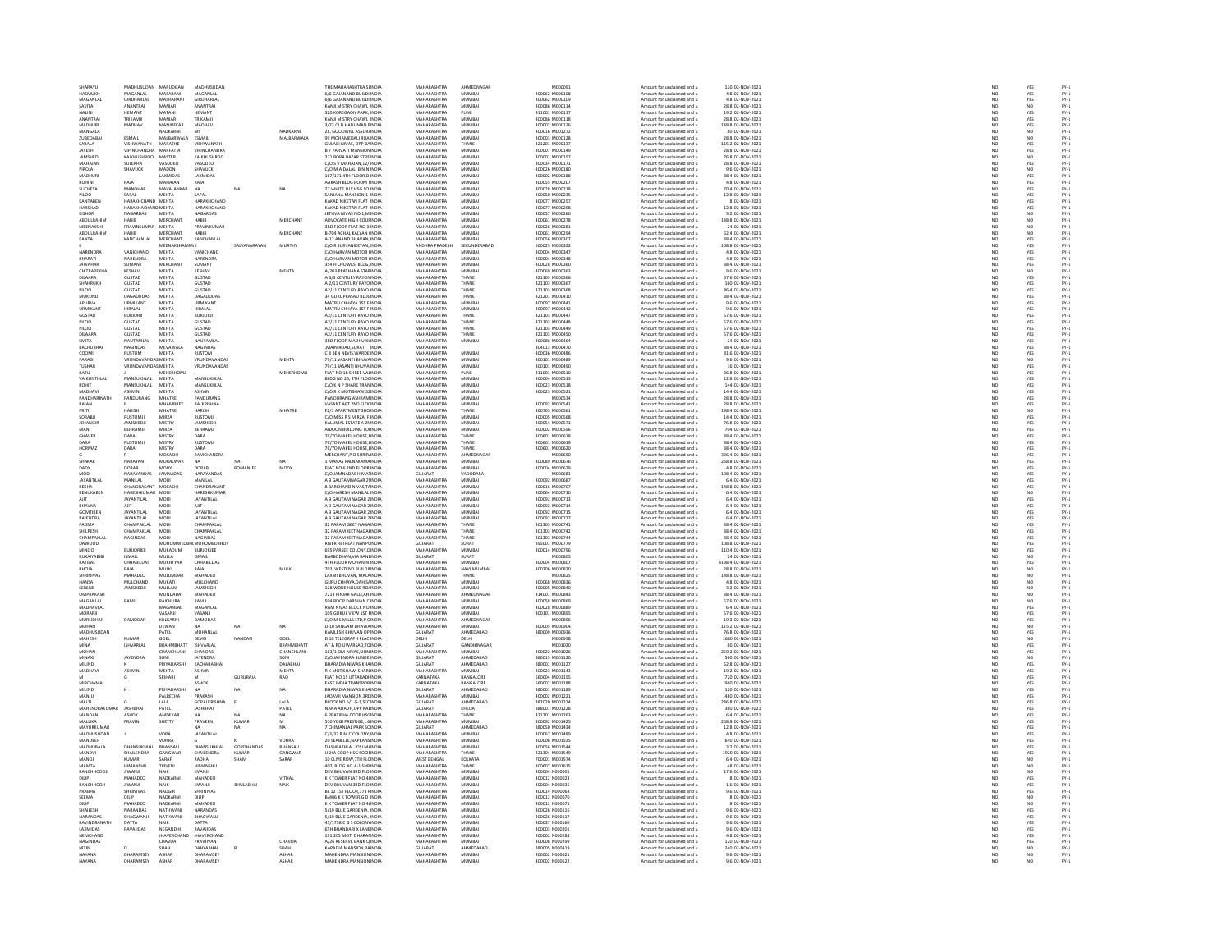| SHARAYU<br>HASMUKH       | MADHUSUDAN<br>MAGANLAL           | MARUDGAN<br>MASARANI        | MADHUSUDAN<br>MAGANI AL    |                  |                          | THE MAHARASHTRA SI INDIA<br><b>6/6 GAIANAND RUILDI INDIA</b> | MAHARASHTRA<br>MAHARASHTRA               | AHMEDNAGAR<br>MUMRAL    | M000091<br>400062.M000108        | Amount for unclaimed and u                               | 120 02-NOV-2021<br>4.8.02-NOV-2021                    | NO                                                                  | YES                                  |                                |
|--------------------------|----------------------------------|-----------------------------|----------------------------|------------------|--------------------------|--------------------------------------------------------------|------------------------------------------|-------------------------|----------------------------------|----------------------------------------------------------|-------------------------------------------------------|---------------------------------------------------------------------|--------------------------------------|--------------------------------|
| MAGANLA                  | <b>GIRDHARLA</b>                 |                             |                            |                  |                          | 6/6 GAJANAND BUILDI INDU                                     | MAHARASHTRA                              | MUMBA                   | 400062 M000109                   | Amount for unclaimed and u<br>Amount for unclaimed and u | 4.8 02-NOV-2021                                       | NC<br>NC                                                            | YES<br>YES                           |                                |
| SAVITA                   | ANANTRAL                         | MANIAR                      | ANANTRAI                   |                  |                          | KANJI MISTRY CHAWL INDIA                                     | MAHARASHTRA                              | MUMBAI                  | 400086 M000114                   | Amount for unclaimed and u                               | 28.8 02-NOV-2021                                      | NO <sub>1</sub>                                                     | NO <sub>1</sub>                      |                                |
| MALINI                   | HEMANT                           | MATANI                      | <b>HEMANT</b>              |                  |                          | 320 KOREGAON PARK, INDIA                                     | MAUARASUTRA                              |                         | 411001 M000113                   | Amount for unclaimed and                                 | 19.2 02-NOV-202:                                      | NO                                                                  | YES                                  | FY-1<br>FY-1<br>FY-1<br>FY-1   |
| ANANTRA                  | TRIKAMJI                         | MANIAR                      | TRIKAMJI                   |                  |                          | KANJI MISTRY CHAWL INDIA                                     | MAHARASHTRA                              | MUMBAI                  | 400086 M000118                   | Amount for unclaimed and u                               | 28.8 02-NOV-2021                                      | NO                                                                  | YES                                  |                                |
| <b>MADHLIRI</b>          | MADHAV                           | MANIREKAL                   | MADHAV                     |                  |                          | 3/73 OLD HANUMAN EINDIA                                      | MAHARASHTRA                              | <b>MI IMRAI</b>         | 400007 M000126                   | Amount for unclaimed and                                 | 148.8 02-NOV-2021                                     | NO                                                                  | YES                                  |                                |
| MANGALA                  |                                  | NADKARNI                    | Mr                         |                  | NADKARN                  | 28, GOODWILL ASSURINDIA                                      | MAHARASHTRA                              | MUMBA                   | 400016 M001272                   | Amount for unclaimed and u                               | 80 02-NOV-202:                                        | NO                                                                  | NO                                   | FY:<br>FY:                     |
| <b>ZUREDARA</b>          | ESMAIL                           | MAI RARWALA                 | FSMAIL                     |                  | MALBARWALA               | 99 MOHAMEDALL ROA INDIA                                      | MAHARASHTRA                              | MUMRAL                  | 400003 MOD0128                   | Amount for unclaimed and u                               | 28.8 02-NOV-2021                                      | NO                                                                  | NO <sub>1</sub>                      |                                |
| SARALA                   | VISHWANATH                       | MARATHE                     | VISHWANATH                 |                  |                          | GULABI NIVAS, OPP BAINDIA                                    | MAHARASHTRA                              | THANE                   | 421201 M000137                   | Amount for unclaimed and u                               | 115.2 02-NOV-2021                                     | NO                                                                  | <b>YES</b>                           | FY-1<br>FY-1<br>FY-1<br>FY-1   |
| JAYESH                   | VIPINCHANDRA MARFATIA            |                             | VIPINCHANDRA               |                  |                          | <b>B 7 PARVATI MANSION INDIA</b>                             | MAHARASHTRA<br>MAUARACUTRA               | MUMBAI                  | 400007 M000149                   | Amount for unclaimed and u                               | 28.8 02-NOV-2021                                      | NO                                                                  | YES                                  |                                |
| <b>IAMSHEE</b>           | KAIKHUSHROO                      | MASTER                      | CAIKHLISHROC               |                  |                          | 221 BORA BAZAR STREINDU                                      |                                          | <b>MUMBAL</b>           | 400001 M000153                   | Amount for unclaimed and                                 | 76.8 02-NOV-202:                                      | NC                                                                  | NO<br>YES                            |                                |
| MAHAJAN<br>PIROIA        | SULEKHA                          | VASUDEO                     | VASUDEO                    |                  |                          | C/O S V MAHAJAN, 12/ INDIA                                   | MAHARASHTRA<br>MAHARASHTRA               | MUMBAI<br><b>MUMBAL</b> | 400034 M000171<br>400026 M000180 | Amount for unclaimed and u                               | 28.8 02-NOV-2021<br>9.6 02-NOV-2021                   | NO                                                                  |                                      |                                |
| <b>MADHUR</b>            | SHAVUCK                          | MADON                       | SHAVUCK                    |                  |                          | .<br>C/O M A DALAL, BIN N INDIA                              | MAHARASHTRA                              |                         | 400002 M000188                   | Amount for unclaimed and                                 |                                                       | NC<br>NO                                                            | NO<br>YES                            | FY:<br>FY:                     |
| ROHIN                    | RAIA                             | LAXMIDAS<br>MAHAIAN         | LAXMIDAS<br>RAIA           |                  |                          | 167/171 4TH FLOOR,D INDIA<br>AAKASH BI DG ROOM UNDIA         | MAHARASHTRA                              | MUMBAI<br>MUMRAL        | 400055 MOD0203                   | Amount for unclaimed and u<br>Amount for unclaimed and   | 38.4 02-NOV-2021<br>4.8.02-NOV-2021                   | NO <sub>1</sub>                                                     |                                      |                                |
| SUCHETA                  | MANOHAR                          | MAVALANK                    | NA                         | NA               |                          | 27 WHITE LILY HSG SO INDIA                                   | MAHARASHTRA                              | MUMBA                   | 400028 M000218                   | Amount for unclaimed and u                               | 70.4 02-NOV-2021                                      | $\overline{NQ}$                                                     | YES<br>YES                           | FY-3<br>FY-3                   |
| PILOO                    | SAPAL                            | <b>MEHTA</b>                | SAPAL                      |                  |                          | SANIANA MANSION 1 INDIA                                      | MAHARASHTRA                              | MUMRAI                  | 400050 M000235                   | Amount for unclaimed and                                 | 12.8.02-NOV-2021                                      |                                                                     |                                      |                                |
| KANTABEN                 | <b>JARAKUCUAND</b>               | MEHTA                       | <b>UARAYUCUANE</b>         |                  |                          | KAKAD NIKETAN FLAT INDIA                                     | <b>MAHARASHTRA</b>                       | MUMBA                   | 100027-M000251                   | imount for unclaimed and                                 | 8 02-NOV-202                                          | NO<br>NO                                                            |                                      |                                |
| HARSHAD                  | HARAKHACHAND MEHTA               |                             | HARAKHCHAND                |                  |                          | KAKAD NIKETAN FLAT INDIA                                     | MAHARASHTRA                              | MUMBAI                  | 400077 M000258                   | Amount for unclaimed and u                               | 12.8 02-NOV-2021                                      | NO                                                                  | YES<br>YES<br>YES                    | FY-3<br>FY-3<br>FY-3           |
| KISHOR                   | NAGARDAS                         | <b>MEHTA</b>                | NAGARDAS                   |                  |                          | JETHVA NIVAS NO 1.M INDIA                                    | MAHARASHTRA                              | <b>MUMBAL</b>           | 400057 M000260                   | Amount for unclaimed and                                 | 3.2 02-NOV-2021                                       | NO                                                                  | NO<br>NO                             | FY-1<br>FY-1<br>FY-1<br>FY-1   |
| ABDULRAHIM               | HABIB                            | <b>MERCHANT</b>             | HABIB                      |                  | MERCHANT                 | ADVOCATE HIGH COUHNDIA                                       | MAHARASHTRA                              | MUMBAI                  | 400061 M000278                   | Amount for unclaimed and u                               | 148.8 02-NOV-2021                                     | NO                                                                  |                                      |                                |
| MEENAKSH                 | PRAVINKLIMAR                     | <b>MEHTA</b>                | <b>PRAVINKLIMAR</b>        |                  |                          | 3RD FLOOR FLAT NO 3 INDIA                                    | MAHARASHTRA                              | MUMRAL                  | SCODON ACODA                     | Amount for unclaimed and                                 | 24.02-NOV-2021                                        | NO<br>NO                                                            | NO<br>NO                             |                                |
| ABDULRAHIM<br>KANTA      | HABIB<br>KANCHANLAL              | MERCHANT<br><b>MERCHANT</b> | HABIB<br>KANCHANLAL        |                  | MERCHANT                 | B-704 ACHAL KALYAN INDIA<br>4-12 ANAND RHAVAN INDIA          | MAHARASHTRA<br>MAHARASHTRA               | MUMBAL<br>MUMRAI        | 400061 M000294<br>400056 M000307 | Amount for unclaimed and u                               | 62.4 02-NOV-2021<br>38.4.02-NOV-2021                  |                                                                     |                                      |                                |
|                          |                                  | MEENAKS                     |                            |                  | <b>MURTH</b>             | C/O R SURYANIKETAN, INDIA                                    | ANDHRA PRADES                            | SECUNDERABAL            | 500025 M000322                   | Amount for unclaimed and<br>Amount for unclaimed and u   | 108.8 02-NOV-2023                                     | NO<br>NO                                                            | YES<br>YES                           | FY-3<br>FY-3                   |
| NARENDRA                 | VANICHAND                        | MEHTA                       | VANICHAND                  |                  |                          | C/O HARVAN MOTOR I INDIA                                     | MAHARASHTRA                              | MUMBAI                  | 400004 M000347                   | Amount for unclaimed and                                 | 4.8 02-NOV-2021                                       |                                                                     |                                      |                                |
| RHARATI                  | NARFNDRA                         | <b>MEHTA</b>                | NARENDRA                   |                  |                          | <b>CO HARVAN MOTOR INDIA</b>                                 | MAHARASHTRA                              | MUMRAL                  | 400004 MO00345                   | Amount for unclaimed and u                               | 4.8.02-NOV-2021                                       | $\begin{array}{c} \tt NO \\ \tt NO \\ \tt NO \\ \tt NO \end{array}$ | YES<br>YES<br>YES                    | FY-3<br>FY-3<br>FY-3           |
| JAWAHAR                  | SUMANT                           | <b>MERCHANT</b>             | SUMANT                     |                  |                          | 354 H CHOWKSI BLDG, INDIA                                    | MAHARASHTRA                              | MUMBAI                  | 400028 M000360                   | Amount for unclaimed and u                               | 38.4 02-NOV-2021                                      |                                                                     |                                      |                                |
| CHITRAREKHA              | KESHAV                           | <b>MEHTA</b>                | KESHAV                     |                  | <b>MEHTA</b>             | 4/203 PRATHANA STAFINDIA                                     | MAHARASHTRA                              | MUMRAL                  | Earnonia Pannasa                 | Amount for unclaimed and                                 | 9.6.02-NOV-2021                                       | NO<br>NO                                                            | NO<br>YES                            | FY-3<br>FY-3                   |
| DILAARA                  | GUSTAD                           | MEHTA                       | GUSTAD                     |                  |                          | A 3/3 CENTURY RAYON INDIA                                    | <b>MAHARASHTRA</b>                       | THANE                   | 421103 M000366                   | Amount for unclaimed and u                               | 57.6 02-NOV-2021                                      |                                                                     |                                      |                                |
| SHAHRUKH                 | <b>GUSTAD</b><br>GUSTAD          | MEHTA                       | <b>GUSTAD</b><br>GUSTAD    |                  |                          | A 2/11 CENTURY RAYO INDIA<br>A2/11 CENTURY RAYO INDIA        | MAHARASHTRA<br><b>MAHARASHTRA</b>        | THANE<br>THANE          | 421103 M000367<br>421103 M000368 | Amount for unclaimed and u                               | 160 02-NOV-2021<br>86.4 02-NOV-2023                   | NO<br>NO                                                            | YES<br>YES                           |                                |
| PILOO<br>MUKUND          | DAGADUDAS                        | MEHTA<br><b>MEHTA</b>       | DAGADUDAS                  |                  |                          | 34 GURUPRASAD BLDC INDIA                                     | MAHARASHTRA                              | THANE                   | 421201 M000410                   | Amount for unclaimed and u<br>Amount for unclaimed and u | 38.4 02-NOV-2021                                      | NO                                                                  | YES                                  | FY-1<br>FY-1<br>FY-1<br>FY-1   |
| APURVA                   | <b>URMIKAN</b>                   | MEHTA                       | URMIKANT                   |                  |                          | MATRU CHHAYA 1ST F IND                                       | MAHARASHTRA                              | MUMBA                   | 400097 M00044                    | Amount for unclaimed and u                               | 9.6 02-NOV-2021                                       |                                                                     |                                      |                                |
| URMIKAN                  | HIRALAL                          | MEHTA                       | HIRALAL                    |                  |                          | MATRU CHHAYA 1ST F INDIA                                     | MAHARASHTRA                              | MUMBAI                  | 400097 M000442                   | Amount for unclaimed and u                               | 9.6 02-NOV-2021                                       | $\frac{1}{N}$                                                       | YES<br>YES                           |                                |
| GUSTAD                   | <b>BURIORI</b>                   | <b>MEHTA</b>                | <b>BURIORI</b>             |                  |                          | 42/11 CENTURY RAYO INDIA                                     | MAHARASHTRA                              | THANE                   | 421103 MODD443                   | Amount for unclaimed and                                 | 57.6.02-NOV-2021                                      | NO<br>NO                                                            | YES<br>YES                           | FY-)<br>FY-)                   |
| PILOO                    | <b>GUSTAD</b>                    | MEHTA                       | GUSTAD                     |                  |                          | <br>A2/11 CENTURY RAYO INDIA                                 | <b>MAHARASHTRA</b>                       | THANE                   | 421103 M000448                   | Amount for unclaimed and u                               | 57.6 02-NOV-2021                                      |                                                                     |                                      |                                |
| PILOO                    | <b>GUSTAD</b>                    | <b>MEHTA</b>                | <b>GUSTAD</b>              |                  |                          | A2/11 CENTURY RAYO INDIA                                     | MAHARASHTRA                              | THANE                   | 421103 M000449                   | Amount for unclaimed and u                               | 57.6 02-NOV-2021                                      | NO<br>NO                                                            | YES<br>YES<br>YES                    |                                |
| <b>DILAARA</b>           | GUSTAD                           | MEHTA                       | GUSTAD                     |                  |                          | A2/11 CENTURY RAYO INDU                                      | MAHARASHTRA                              | THANE                   | 421103 M000450                   | Amount for unclaimed and                                 | 57.6 02-NOV-2023                                      |                                                                     |                                      |                                |
| SMITA<br><b>BACHUBHA</b> | NAUTAMLAL<br>NAGINDAS            | MEHTA<br>MEVAWAL            | NAUTAMLAL<br>NAGINDAS      |                  |                          | 3RD FLOOR MADHU KI INDIA<br>MAIN ROAD, SURAT, INDIA          | MAHARASHTRA<br><b>MAHARASHTR</b>         | MUMBAI                  | 400086 M000464<br>404013 M000470 | Amount for unclaimed and u<br>Amount for unclaimed and   | 24 02-NOV-2021<br>38.4 02-NOV-2023                    | NO <sub>1</sub><br>NO                                               |                                      |                                |
| COOMI                    | <b>RUSTOM</b>                    | MEHTA                       | <b>RUSTOM</b>              |                  |                          | C 8 BEN NEVIS. WARDE INDIA                                   | MAHARASHTRA                              | MUMBAI                  | 400036 M000486                   | Amount for unclaimed and u                               | 81.6 02-NOV-2021                                      |                                                                     | YES                                  |                                |
| PARAG                    | <b>VRI INDAVANDAS MEHTA</b>      |                             | VRUNDAVANDAS               |                  | <b>MEHTA</b>             | <b>79/11 VASANTI RHI IVA INDIA</b>                           | MAHARASHTRA                              | MUMRAL                  | 400101 MODDARS                   | Amount for unclaimed and                                 | 9.6.02-NOV-2021                                       |                                                                     | YES<br>NO                            |                                |
| <b>TUSHAR</b>            | <b>VRUNDAVANDAS MEHTA</b>        |                             | VRUNDAVANDAS               |                  |                          | 79/11 JASANTI BHUVA INDIA                                    | MAHARASHTRA                              | MUMBAI                  | 400101 M000490                   | Amount for unclaimed and u                               | 16 02-NOV-2021                                        | $\begin{array}{c} \tt NO \\ \tt NO \\ \tt NO \\ \tt NO \end{array}$ | <b>YES</b>                           |                                |
| RATU                     |                                  | <b>MEHERHOMJ</b>            |                            |                  | MEHERHOMJI               | FLAT NO 1B SHREE VALINDIA                                    | MAHARASHTRA                              | PUNE                    | 411001 M000510                   | Amount for unclaimed and u                               | 36.8 02-NOV-2021                                      | NO                                                                  |                                      |                                |
| VAIKUNTHLA               | MANSUKHLAI                       | MEHTA                       | MANSUKHLAI                 |                  |                          | BLDG NO 25, 4TH FLO( INDIA                                   | MAHARASHTRA                              | MUMBA                   | 400004 M000513                   | Amount for unclaimed and u                               | 12.8 02-NOV-2023                                      | NO                                                                  | YES<br>YES                           |                                |
| ROHIT                    | MANSUKHLAL                       | MEHTA                       | MANSUKHLAL                 |                  |                          | C/O K N P SHARE TRAN INDIA                                   | MAHARASHTRA                              | MUMBAI                  | 400023 M000518                   | Amount for unclaimed and u                               | 144 02-NOV-2021                                       | NO                                                                  |                                      |                                |
| MADHAV                   | SHVIN                            | <b>MEHTA</b>                | ASHVIN                     |                  |                          | C/O R K MOTISHAW, 3. INDL                                    | <b>MAHARASHTRA</b>                       | MUMBA                   | 400023 M000521                   | Amount for unclaimed and                                 | 14.4 02-NOV-202:                                      | NO                                                                  | YES<br>YES<br>YES                    |                                |
| PANDHARINATH             | PANDURANO                        | MHATRE                      | PANDURANO                  |                  |                          | PANDURANG ASHRAM INDIA                                       | MAHARASHTRA<br>MAHARASHTRA               | MUMBAI                  | M000534                          | Amount for unclaimed and u                               | 28.8 02-NOV-2021                                      | NO <sub>1</sub>                                                     |                                      |                                |
| RAIAN                    |                                  | <b>ALIANADDI</b>            | BALKRISHNA                 |                  |                          | VASANT APT 2ND FLOUNDIA                                      |                                          | MUMBAI                  | 400092 M000541                   | Amount for unclaimed and                                 | 28.8 02-NOV-2021                                      | NO                                                                  | YES<br>NO                            |                                |
| PRITI<br>SORABJI         | <b>HARISH</b><br><b>RUSTOMJI</b> | MHATRE<br>MIRZA             | HARISH<br><b>RUSTOMII</b>  |                  | MHATRE                   | F2/1 APARTMENT SHOINDIA<br>C/O MISS P S MIRZA. F INDIA       | MAHARASHTRA<br>MAHARASHTRA               | THANE<br>MUMBAI         | 400703 M000561<br>400005 M000568 | Amount for unclaimed and u<br>Amount for unclaimed and u | 198.4 02-NOV-2021<br>14.4 02-NOV-2021                 | NO<br>NO                                                            | YES                                  |                                |
| JEHANGIP                 | <b>JAMSHEDJ</b>                  | MISTRY                      | JAMSHEDJ                   |                  |                          | KALUMAL ESTATE A 21 INDU                                     | MAHARASHTRA                              | MUMBA                   | 400054 M00057:                   | Amount for unclaimed and u                               | 76.8 02-NOV-2023                                      | NO                                                                  | YES                                  |                                |
| MANI                     | BEHRAMJI                         | MIRZA                       | BEHRAMJI                   |                  |                          | AIDOON BUILDING TO INDIA                                     | MAHARASHTRA                              | MUMBAI                  | 400002 M000596                   | Amount for unclaimed and u                               | 704 02-NOV-2021                                       | NO                                                                  |                                      |                                |
| GHAVER                   | DARA                             | <b>MISTR</b>                | DARA                       |                  |                          | 7C/7D MAPEL HOUSE, INDI                                      | <b>MAHARASHTRA</b>                       | THANE                   | 100601 M000618                   | Amount for unclaimed and                                 | 38.4 02-NOV-2023                                      | NO                                                                  | YES<br>YES<br>YES                    |                                |
| DARA                     | <b>RUSTOMJI</b>                  | MISTRY                      | <b>RUSTOMII</b>            |                  |                          | 7C/7D MAPEL HOUSE.IINDIA                                     | MAHARASHTRA                              | THANE                   | 400601 M000619                   | Amount for unclaimed and u                               | 38.4 02-NOV-2021                                      |                                                                     |                                      |                                |
| <b>HORMAZ</b>            | DARA                             | MISTRY                      | DARA                       |                  |                          | 7C/7D MAPEL HOUSE, INDU                                      | MAHARASHTRA                              | THANE                   | 400601 M000620                   | Amount for unclaimed and                                 | 38.4 02-NOV-202:                                      | NO<br>NO                                                            | YES<br>YES                           |                                |
|                          |                                  | MOKASHI                     | <b>RAMCHANDRA</b>          |                  |                          | MERCHANT, PO SHRIR INDIA                                     | MAHARASHTRA                              | AHMEDNAGAE              | M000650                          | Amount for unclaimed and u                               | 326.4 02-NOV-2021                                     | NO                                                                  |                                      |                                |
| SHAKAR                   | NARAYAN<br>DORAB                 | MORALWAL                    | NΔ.<br>DORAB               |                  | <b>MODY</b>              | 1 MANAS PAI NAKAMA INDIA<br>FLAT NO 6 2ND FLOOR INDIA        | MAHARASHTRA<br><b>MAHARASHTRA</b>        | MUMRAL<br>MUMBA         | 400089 M000676<br>100004 M000679 | Amount for unclaimed and<br>Amount for unclaimed and u   | 268.8 02-NOV-2023<br>4.8 02-NOV-2021                  | NC<br>NC                                                            | YES<br>YES                           |                                |
| <b>MODI</b>              | NARAYANDAS                       | MOD)<br>JAMNADAS            | NARAYANDAS                 | BOMANJE          |                          | C/O JAMNADAS HIMA' INDIA                                     | GUJARAT                                  | VADODARA                | M000681                          | Amount for unclaimed and u                               | 198.4 02-NOV-2021                                     |                                                                     |                                      |                                |
| <b>JAYANTILA</b>         | MANILAL                          |                             | <b>MANILAL</b>             |                  |                          | A 9 GAUTAMNAGAR 2 INDI                                       | MAHARASHTRA                              | MUMBAL                  | 400092 M000687                   | Amount for unclaimed and                                 | 6.4 02-NOV-2023                                       | NO<br>NO                                                            | YES<br>YES<br>YES                    |                                |
| REKHA                    | CHANDRAKANT                      | MOKASHI                     | CHANDRAKANT                |                  |                          | 8 BARKHAND NIVAS.T/ INDIA                                    | MAHARASHTRA                              | MUMBAI                  | 400016 M000707                   | Amount for unclaimed and u                               | 148.8 02-NOV-2021                                     | NO <sub>1</sub>                                                     |                                      |                                |
| RENUKABE                 | HARESHKUMAR                      | MOD                         | HARESHKUMAF                |                  |                          | C/O HARESH MANILAL INDU                                      | <b>MAHARASHTRA</b>                       | MUMBAI                  | 400064 M000710                   | Amount for unclaimed and                                 | 6.4 02-NOV-2021                                       | NC                                                                  |                                      |                                |
| AIT                      | <b>JAYANTILAL</b>                | <b>MODI</b>                 | <b>JAYANTILAL</b>          |                  |                          | A 9 GAUTAM NAGAR 2 INDIA                                     | MAHARASHTRA                              | MUMBAI                  | 400092 M000713                   | Amount for unclaimed and u                               | 6.4 02-NOV-2021                                       | NO                                                                  | NO<br>YES                            |                                |
| RHAVNA                   | <b>AILT</b>                      | MOD                         | <b>AIIT</b>                |                  |                          | A 9 GAUTAM NAGAR 2 INDIA                                     | MAHARASHTRA                              | MUMRAL                  | 400092.M000714                   | Amount for unclaimed and                                 | 6.4 02-NOV-2021                                       | NO                                                                  | YES<br>YES<br>YES                    |                                |
| <b>GOMTIBEN</b>          | <b>JAYANTILAL</b>                | <b>MODI</b>                 | JAYANTILA                  |                  |                          | A 9 GAUTAM NAGAR 2 INDIA                                     | MAHARASHTRA                              | MUMBAI                  | 400092 M000715                   | Amount for unclaimed and u                               | 6.4 02-NOV-2021                                       | NO                                                                  |                                      |                                |
| RAJENDRA                 | <b>JAYANTILAL</b>                | MODI                        | <b>JAYANTILAL</b>          |                  |                          | A 9 GAUTAM NAGAR 2 INDIA                                     | MAHARASHTRA                              | MUMBAI                  | 400092 M000717                   | Amount for unclaimed and                                 | 6.4 02-NOV-2021                                       | NO <sub>1</sub>                                                     |                                      |                                |
| PADMA                    | <b>HAMPAKLA</b>                  | MOD                         | <b>CHAMPAKLA</b>           |                  |                          | 32 PARAM GEET NAGA INDU                                      | <b>MAHARASHTR</b>                        | THANE                   | 401303 M00074                    | Amount for unclaimed and                                 | 38.4 02-NOV-2021                                      | NC                                                                  | YES<br>YES                           |                                |
| SHILPESH<br>CHAMPAKLA    | CHAMPAKLAL                       | <b>MODI</b>                 | CHAMPAKLAL<br>MAGINDAS     |                  |                          | 32 PARAM JEET NAGAI INDIA                                    | MAHARASHTRA<br>MAHARASHTRA               | THANE                   | 401303 M000742                   | Amount for unclaimed and u                               | 38.4 02-NOV-2021                                      | NO                                                                  |                                      |                                |
| <b>DAWOOD!</b>           | NAGINDAS                         | MOD<br>MOHOMM               | <b>ICMOHOMEDBHOY</b>       |                  |                          | 32 PARAM JEET NAGAI INDIA<br>RIVER RETREAT, NANPLINDIA       | GUJARAT                                  | THANE<br>SURAT          | 401303 M000744<br>395001 M000779 | Amount for unclaimed and<br>Amount for unclaimed and u   | 38.4 02-NOV-202:<br>108.8 02-NOV-2021                 | NC<br>NO                                                            | YES<br>YES                           |                                |
| MINOO                    | <b>BURJORJEE</b>                 | MUKADUM                     | BURJORJEE                  |                  |                          | 695 PARSEE COLONY, CINDIA                                    | MAHARASHTRA                              | MUMRAL                  | 400014 M000796                   | Amount for unclaimed and                                 | 110.4 02-NOV-202:                                     |                                                                     |                                      |                                |
| RUKAIYABIB               | <b>ISMAIL</b>                    | MULLA                       | <b>ISMAIL</b>              |                  |                          | BARBODHAN, VIA RANI INDIA                                    | GUJARAT                                  | SURAT                   | M000805                          | Amount for unclaimed and u                               | 24 02-NOV-2021                                        | NO<br>NO                                                            | YES<br>NO                            |                                |
| RATILAL                  | CHHARILDAS                       | MUKHTYAR                    | CHHARILDAS                 |                  |                          | 4TH FLOOR MOHAN N INDIA                                      | MAHARASHTRA                              | MUMRAL                  | 400004 MODORD7                   | Amount for unclaimed and                                 | 4198.4.02-NOV-2021                                    |                                                                     |                                      |                                |
| BHOJA                    | RAJA                             | MULKI                       | RAJA                       |                  | MULKI                    | 702, WESTEND BUILDI INDIA                                    | MAHARASHTRA                              | NAVI MUMBA              | 400706 M000820                   | Amount for unclaimed and i                               | 28.8 02-NOV-202:                                      | NO<br>NO                                                            | YES<br>NO<br>NO                      |                                |
| SHRINIVAS                | MAHADEO                          | MUJUMDAR                    | MAHADEO                    |                  |                          | LAXMI BHUVAN, MAL/ INDIA                                     | MAHARASHTRA                              | THANE                   | M000825                          | Amount for unclaimed and u                               | 148.8 02-NOV-2021                                     | NO                                                                  |                                      |                                |
| HANSA                    | MULCHAND                         | MUKATI                      | MULCHAND                   |                  |                          | GURU CHHAYA DAHISJ INDIA                                     | MAUARACUTRA                              | <b>MI IMBAI</b>         | connect sanners                  | Amount for unclaimed and                                 | 4.8 02-NOV-2021                                       | NC                                                                  | NO<br>NO                             |                                |
| SERENE<br>OMPRAKASH      | JAMSHEDJI                        | MULLAN<br>MUNDADA           | <b>JAMSHEDJ</b><br>MAHADEO |                  |                          | 128 WODE HOUSE ROJ INDIA<br>7213 PINJAR GALLI, AH INDIA      | MAHARASHTRA<br>MAHARASHTRA               | MUMBAI<br>AHMEDNAGAR    | 400005 M000840<br>414001 M000843 | Amount for unclaimed and u                               | 3.2 02-NOV-2021<br>38.4 02-NOV-2021                   | NO                                                                  |                                      | PY-1<br>PY-1<br>PY-1<br>PY-1   |
|                          |                                  |                             |                            |                  |                          |                                                              | MAHARASHTRA                              |                         |                                  | Amount for unclaimed and u                               | 57.6 02-NOV-2021                                      | NO                                                                  | NO<br>NO                             |                                |
| MAGANLAL<br>MADHAVIAL    | RAMJI                            | RAICHURA<br>MAGANI AL       | RAMJI<br>MAGANI AL         |                  |                          | 504 ROOP DARSHAN CINDIA<br><b>RAM NIVAS BLOCK NO INDIA</b>   | MAHARASHTRA                              | MUMBAI<br>MUMRAL        | 400058 M000869<br>400028 MODRES  | Amount for unclaimed and u<br>Amount for unclaimed and   | 6.4.02-NOV-2021                                       | NO<br>NO <sub>1</sub>                                               |                                      |                                |
| MORARJI                  |                                  | VASANJI                     | VASANJI                    |                  |                          | 105 GOKUL VIEW 1ST HNDIA                                     | <b>MAHARASHTRA</b>                       | MUMBAI                  | 400101 M000895                   | Amount for unclaimed and u                               | 57.6 02-NOV-2021                                      | $\overline{N}$                                                      | YES<br>YES                           | FY-)<br>FY-)                   |
| <b>MURLIDHAR</b>         | DAMODAR                          | KULKARN                     | DAMODAR                    |                  |                          | C/O M S MILLS LTD.P C INDIA                                  | <b>MAHARASHTRA</b>                       | AHMEDNAGAR              | M000896                          | Amount for unclaimed and                                 | 19.2 02-NOV-2021                                      |                                                                     |                                      |                                |
| MOHAN                    |                                  | DEWAN                       | NΔ                         | NA               | NA                       | D-10 SANGAM RHAWZINDI                                        | <b>MAHARASHTRA</b>                       | MUMRAL                  | 400005 MODOSO4                   | Amount for unclaimed and                                 | 115.2 02-NOV-202:                                     | NO<br>NO                                                            | YES<br>NO<br>YES                     |                                |
| MADHUSUDAN               |                                  | PATEL                       | MOHANLAI                   |                  |                          | KAMLESH BHUVAN OP INDIA                                      | GUJARAT                                  | AHMEDABAD               | 380009 M000936                   | Amount for unclaimed and u                               | 76.8 02-NOV-2021                                      | NO                                                                  |                                      |                                |
| MAHESH                   | KUMAR                            | GOEL                        | DEVKI                      | NANDAN           | GOEL                     | D 10 TELEGRAPH PLAC INDIA                                    | <b>DELHI</b>                             | <b>DELHI</b>            | MODOSS                           | Amount for unclaimed and                                 | 1680 02-NOV-2023                                      | NO<br>NO                                                            | NO<br>YES                            | FY-1<br>FY-1<br>FY-1<br>FY-1   |
| MINA<br>MOHAN            | <b>ISHVARLAL</b>                 | BRAHMBHAT<br>CHANCHLANI     | ISHVARLAL<br>SHANDAS       |                  | BRAHMBHATT<br>CHANCHLAND | AT & PO UWARSAD, TC INDIA<br>163/1 OM-NIVAS SION INDIA       | GUJARAT<br>MAHARASHTRA                   | GANDHINAGAI<br>MUMRAL   | M001020<br>400022.M001026        | Amount for unclaimed and u<br>Amount for unclaimed and   | 80 02-NOV-2021<br>259.2.02-NOV-2021                   |                                                                     |                                      |                                |
| MINAXI                   | <b>JAYENDRA</b>                  | SONI                        | JAYENDRA                   |                  | SONI                     | C/O JAYENDRA SUNDE INDIA                                     | GUJARAT                                  | AHMEDABA                | 380015 M001120                   | Amount for unclaimed and u                               | 560 02-NOV-2021                                       | NO<br>NO                                                            | YES<br>NO                            | FY-1<br>FY-1<br>FY-1<br>FY-1   |
| MILIND                   |                                  | PRIYADARSHI                 | KACHARABHA                 |                  | <b>DALABHAI</b>          | BHARADIA NIWAS.KHA INDIA                                     | GUJARAT                                  | AHMEDABAD               | 380001 M001127                   | Amount for unclaimed and u                               | 52.8 02-NOV-2021                                      | NO <sub>1</sub>                                                     |                                      |                                |
| MADHAV                   | <b>ASHVIP</b>                    | MEHTA                       | ASHVIN                     |                  | MEHTA                    |                                                              | <b>MAHARASHTRA</b>                       |                         | 400023 M001143                   | Amount for unclaimed and                                 | 19.2 02-NOV-202:                                      |                                                                     | YES<br>YES<br>YES                    |                                |
|                          |                                  | SRIHARI                     | M                          | GURURAJA         | RAO                      | FLAT NO 15 UTTARADI INDIA                                    | KARNATAKA                                | BANGALORE               | 560004 M001155                   | Amount for unclaimed and u                               | 720 02-NOV-2021                                       | NQ                                                                  |                                      |                                |
| <b>MIRCHAMA</b>          |                                  |                             | <b>ASHOK</b>               |                  |                          | <b>FAST INDIA TRANSPOR INDIA</b>                             | KARNATAKA                                | <b>RANGALORE</b>        | 560002 M001188                   | Amount for unclaimed and                                 | 960 02-NOV-2021                                       | NO<br>NO                                                            | YES<br>YES                           | FY-3<br>FY-3                   |
| MILIND                   |                                  | PRIYADARSH                  | NA                         | NA               | NA                       | BHARADIA NIWAS.KHA INDIA                                     | GUJARAT                                  | AHMEDABAL               | 380001 M001189                   | Amount for unclaimed and u                               | 120 02-NOV-2021                                       |                                                                     |                                      |                                |
| MANILL                   |                                  | PAIRFCHA                    | PRAKASH                    |                  |                          | <b>IADAVII MANSION 3REINDIA</b>                              | MAHARASHTRA                              | MUMBAL                  | 400002 M001221                   | Amount for unclaimed and                                 | 480.02-NOV-2021                                       | NO <sub>1</sub><br>$\overline{N}$                                   | YES<br>YES                           |                                |
| MALTI<br>MAHENDRAKUMAR   |                                  | LALA                        | GOPALKRISHN                |                  | LALA<br>PATEL            | BLOCK NO 6/1 G-1, SEC INDIA<br>NANA ADADH.OPP KALINDIA       | GUJARAT<br>GUJARAT                       | AHMEDABAD<br>KHEDA      | 382020 M001224<br>388001 M001228 | Amount for unclaimed and u<br>Amount for unclaimed and u | 236.8 02-NOV-2021<br>360 02-NOV-2021                  | NO                                                                  |                                      |                                |
| MANDAN                   |                                  |                             |                            |                  |                          |                                                              |                                          |                         |                                  |                                                          |                                                       |                                                                     | YES<br>YES                           |                                |
|                          | <b>JASHBHAI</b>                  | PATEL                       | <b>JASHBHAI</b>            |                  |                          |                                                              |                                          |                         |                                  |                                                          |                                                       |                                                                     | YES                                  |                                |
| MALLIKA                  | ASHOK<br>PRAVIN                  | AMDEKAR<br>SHETTY           | NA.<br>PRAVEEN             | KUMAR            | M                        | 6 PRATIBHA COOP HSC INDU<br>510 YOGI PRESTIGE.L 6 INDIA      | <b>MAHARASHTR</b><br>MAHARASHTRA         | THANE<br>MUMBAI         | 421201 M001263<br>400092 M001425 | Amount for unclaimed and<br>Amount for unclaimed and u   | 6.4 02-NOV-2023<br>268.8 02-NOV-2021                  | NO                                                                  |                                      |                                |
|                          |                                  |                             |                            |                  |                          | MANLAL PARK SCINDL                                           | UJARAT                                   | HMFDARA                 |                                  |                                                          | 12.8 02-NOV-202                                       | NO                                                                  |                                      |                                |
| MADHUSUDAN               |                                  | VORA                        | <b>JAYANTILAI</b>          |                  |                          | C/3/32 B M C COLONY INDIA                                    | <b>MAHARASHTRA</b>                       | MUMBAI                  | 380050 M001434                   | Amount for unclaimed and u<br>Amount for unclaimed and u | 4.8 02-NOV-2021                                       | N <sub>C</sub>                                                      |                                      | PY-1<br>PY-1<br>PY-1<br>PY-1   |
| MANDEEP                  |                                  | VOHRA                       |                            |                  | <b>VOHRA</b>             | 20 SEARELLE NAPEANS INDIA                                    | MAHARASHTRA                              | MUMRAI                  | 400006 M001535                   | Amount for unclaimed and u                               | 640.02-NOV-2021                                       | NO <sub>1</sub>                                                     | YES<br>YES                           |                                |
| MADHUBALA                | DHANSUKHLA                       | BHANSAL                     | DHANSUKHLA                 | <b>GORDHANDA</b> | BHANSAL                  | DASHRATHLAL JOSI M/ INDIA                                    | MAHARASHTRA                              | MUMBA                   | 400056 M001544                   | Amount for unclaimed and u                               | 3.2 02-NOV-2021                                       | $\overline{NQ}$                                                     | YES<br>YES                           |                                |
| MANDVI                   | SHAILENDRA                       | GANGWAR                     | SHAILENDRA                 | KUMAR            | GANGWAR                  | USHA COOP HSG SOCII INDIA                                    | MAHARASHTRA                              | THANE                   | 421304 M001549                   | Amount for unclaimed and                                 | 1920 02-NOV-2021                                      | NO                                                                  |                                      |                                |
|                          | KUMAR                            | SARAF                       | RADHA                      | SHAM             | SARAF                    | 10 CLIVE ROW, 7TH FLC INDIA                                  | WEST BENGAL                              | KOLKATA                 | 700001 M001574                   | Amount for unclaimed and                                 | 6.4 02-NOV-2023                                       |                                                                     | YES<br>NO                            |                                |
| MAMTA                    | HIMANSHU                         | TRIVEDI                     | HIMANSHU                   |                  |                          | 407. BLDG NO.A-1 SHR INDIA                                   | MAHARASHTRA                              | THANE                   | 400607 M001615                   | Amount for unclaimed and u                               | 48 02-NOV-2021                                        | NO                                                                  | NO <sub>1</sub>                      |                                |
| RANCHHODD                | <b>JIWANJ</b>                    |                             | <b>IIVANJI</b>             |                  |                          | DEV BHUVAN 3RD FLO INDL                                      | <b>MAHARASHTRA</b>                       | MUMBA                   | 400004 N000001                   | Amount for unclaimed and                                 | 17.6 02-NOV-2023                                      | NO                                                                  | NO                                   |                                |
| DILIP<br>RANCHHOOL       | MAHADEO<br><b>IIWANII</b>        | NADKARN<br>NAIK             | MAHADEO<br><b>IIWANII</b>  | RHIJLARHA        | VITHAL<br>NAIK           | K K TOWER FLAT NO 4 INDIA<br>DEV RHI IVAN 3RD ELO INDIA      | <b>MAHARASHTRA</b><br>MAHARASHTRA        | MUMBAI<br>MUMRAI        | 400012 N000023<br>400004 N000035 | Amount for unclaimed and<br>Amount for unclaimed and     | 8 02-NOV-2021<br>1.6.02-NOV-2021                      | NO<br>NO                                                            |                                      |                                |
| PRABHA                   | SHRINIVAS                        | NADGIR                      | SHRINIVAS                  |                  |                          | BL 12 1ST FLOOR, 173 FINDIA                                  | MAHARASHTRA                              | MUMBA                   | 400014 N000064                   | Amount for unclaimed and u                               | 9.6 02-NOV-2021                                       | NO                                                                  |                                      |                                |
| SEEMA                    | DILIP                            | NADKARN                     | DILIP                      |                  |                          | <b>B/406 K K TOWER.G D INDIA</b>                             | MAHARASHTRA                              | MUMBAI                  | 400012 N000070                   | Amount for unclaimed and u                               | 8 02-NOV-2021                                         | NO                                                                  | YES<br>YES<br>YES<br>NO <sub>1</sub> | 기 기 기 기 기 기 기 기<br>기 시 시 시 시 시 |
| DILIP                    | MAHADEC                          | NADKARN                     | MAHADEO                    |                  |                          | K K TOWER FLAT NO 4 INDL                                     | <b>MAHARASHTR</b>                        | MUMBA                   | 400012 N000071                   | Amount for unclaimed and                                 | 8 02-NOV-2023                                         | NÓ                                                                  | NO                                   |                                |
| SHAILESH                 | NARANDAS                         | NATHWANI                    | NARANDAS                   |                  |                          | 5/19 BLUE GARDENIA, INDIA                                    | MAHARASHTRA                              | MUMBAI                  | 400026 N000116                   | Amount for unclaimed and u                               | 9.6 02-NOV-2021                                       | NO <sub>1</sub>                                                     | YES                                  |                                |
| ARANDAS                  | HAGWANJI                         |                             | BHAGWANJ                   |                  |                          | .<br>5/19 BLUE GARDENIA, INDU                                | MAHARASHTR                               | MUMBAI                  | 400026 N000117                   | Amount for unclaimed and                                 | 9.6 02-NOV-2023                                       |                                                                     | YES                                  |                                |
| RAVINDRANATH             | DATTA                            | NAIK                        | <b>DATTA</b>               |                  |                          | 45/1758 C G S COLON\INDIA                                    | MAHARASHTRA                              | MUMBAI                  | 400037 N000160                   | Amount for unclaimed and u                               | 9.6 02-NOV-2021                                       | NO                                                                  | YES                                  |                                |
| LAYMUDAS                 | RAVAJIDAS                        | <b>NEGANDE</b>              |                            |                  |                          | <b>CTU BUANDARI Y LANEINDIA</b>                              | MAUARASUTRA                              | <b>MILAGAL</b>          | snonna snonnan                   |                                                          | 3.6 02-NOV-2021                                       |                                                                     |                                      |                                |
| NEMCHAND                 |                                  | <b>JHAVERCH</b>             | RAVAJIDAS<br>JHAVERCHANI   |                  |                          | 191 205 MOTI DHARAI INDU                                     | <b>MAHARASHTR</b>                        | MUMBA                   | 400002 N000288                   | Amount for unclaimed and u<br>Amount for unclaimed and u | 4.8 02-NOV-2021                                       |                                                                     | YES<br>YES                           | PY-1<br>PY-1<br>PY-1<br>PY-1   |
| <b>NAGINDAS</b>          |                                  | CHAVDA                      | PRAVJIVAN<br>AHYABHA       |                  | CHAVDA                   | A/26 RESERVE BANK O INDIA                                    | MAHARASHTRA                              | MUMBAI<br>HMEDABAD      | 400008 N000299                   | Amount for unclaimed and u                               | 120 02-NOV-2021                                       | NO                                                                  | YES                                  |                                |
| NITIN<br>NAYANA          | DHARAMSEY                        | ASHAR                       | DHARAMSEY                  |                  | ASHAR                    | .<br>KAPADIA MANSION, RA INDIA<br>MAHENDRA MANSION INDIA     | <b>GUJARAT</b><br>MAHARASHTRA<br>MAHARAS | MUMBAI<br><b>JUMBA</b>  | 880005 N000419<br>400002 N000621 | Amount for unclaimed and<br>Amount for unclaimed and u   | 240 02-NOV-202:<br>9.6 02-NOV-2021<br>9.6 02-NOV-2023 |                                                                     |                                      | FY-3<br>FY-3<br>EY-2           |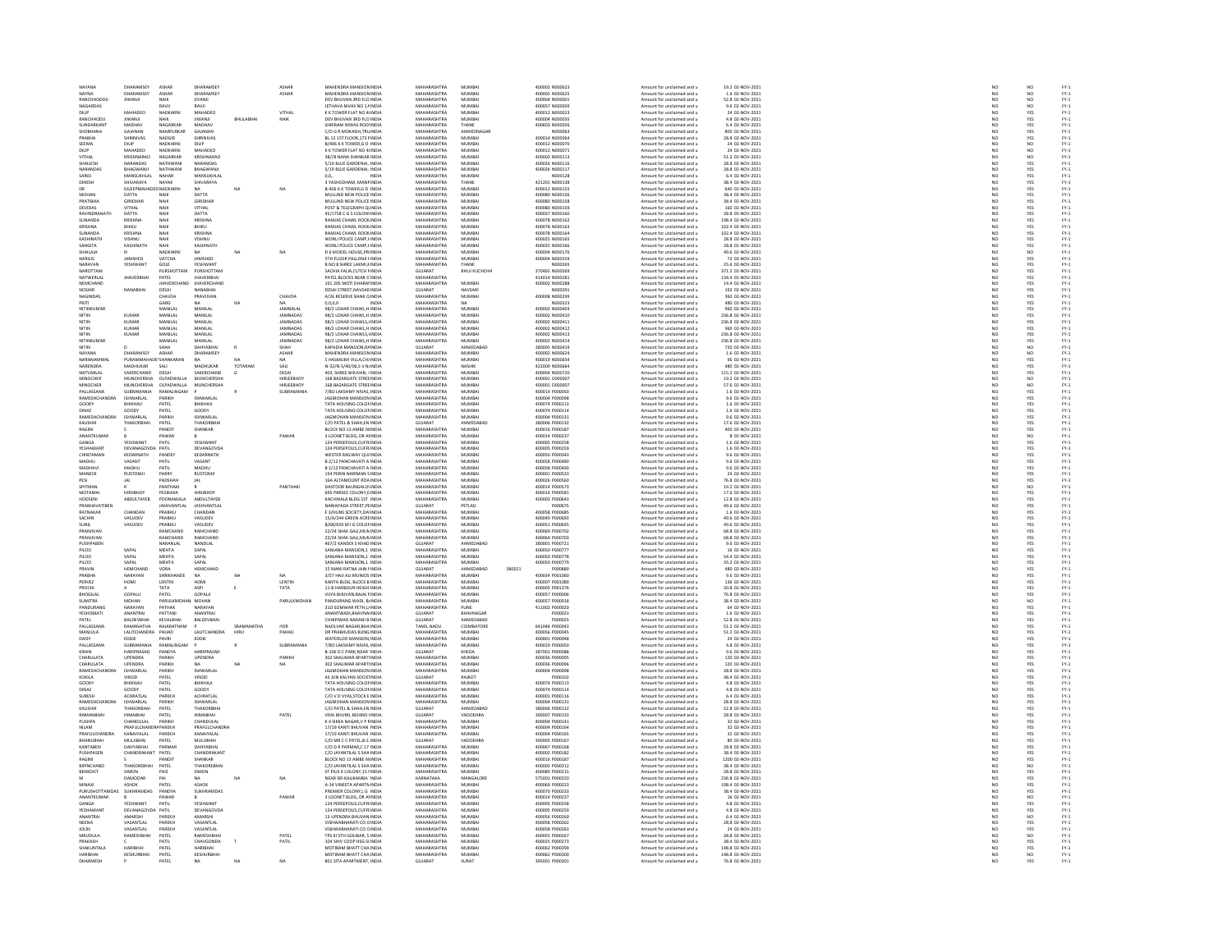| NAYANA               | DHARAMSEY                      | ASHAR               | DHARAMSEY             |             | ASHAR           | MAHENDRA MANSION INDIA                                       | MAHARASHTRA                       | MUMBAI                 |        | 400002 N000623                   | Amount for unclaimed and u                               | 19.2 02-NOV-2021                       | NO <sub>1</sub>                                                     | NO                |                              |
|----------------------|--------------------------------|---------------------|-----------------------|-------------|-----------------|--------------------------------------------------------------|-----------------------------------|------------------------|--------|----------------------------------|----------------------------------------------------------|----------------------------------------|---------------------------------------------------------------------|-------------------|------------------------------|
| <b>JAYNA</b>         | <b>JARAMSEY</b>                | ASHAR               | DHARAMSEY             |             | ASHAR           | HENDRA MANSION IN                                            | <b>AAHARASHTRA</b>                | <b>MUMBA</b>           |        | 100002 N000625                   | Amount for unclaimed and u                               |                                        |                                                                     |                   |                              |
| RANCHHODDJ           | JIWANJI                        | NAIK                | JIVANJI               |             |                 | DEV BHUVAN 3RD FLO INDIA                                     | MAHARASHTRA                       | MUMBA                  |        | 400004 N000001                   | Amount for unclaimed and u                               | 1.6 02-NOV-2021<br>52.8 02-NOV-2021    | N <sub>C</sub>                                                      | NO<br>NO          | FY-3<br>FY-3                 |
| NAGARDAS             |                                | RAVIL               | RAVIL                 |             |                 | IFTHAVA NIVAS NO 1 HNDM                                      | MAHARASHTRA                       | MUMRAI                 |        | 400057.N00009                    | Amount for unclaimed and u                               | 9.6.02-NOV-2021                        | NO                                                                  | NQ                |                              |
| DILIP                | MAHADEO                        | NADKARN             | MAHADEO               |             | VITHAL          | K K TOWER FLAT NO 4 INDM                                     | MAHARASHTRA                       | MUMBA                  |        | 400012 N000023                   | Amount for unclaimed and u                               | 24 02-NOV-2021                         | NO                                                                  | YES               | FY-3<br>FY-3                 |
| RANCHHODJI           | JIWANJI                        | <b>NAIK</b>         | <b>IIWANJI</b>        | BHULABHA    | NAIK            | DEV BHUVAN 3RD FLO INDIA                                     | MAHARASHTRA                       | MUMBAI                 |        | 400004 N000035                   | Amount for unclaimed and u                               | 4.8 02-NOV-2021                        | NO                                                                  | YES               |                              |
| <b>SUNDARKAN</b>     | <b>MADHA</b>                   | NAGARKA             | <b>MADHA</b>          |             |                 | SHRIRAM NIWAS ROOLINDI                                       | MAHARASHTRA                       | THANE                  |        | 400603 N00005                    | Amount for unclaimed and u                               | 6.4 02-NOV-2023                        | NO                                                                  | YES               | PY-1<br>PY-1<br>PY-1<br>PY-1 |
| SHOBHANA             | GAJANAN                        | NAMPURKAR           | GAJANAN               |             |                 | C/O G R MOKASHI.TRU INDIA                                    | MAHARASHTRA                       | AHMEDNAGAE             |        | N000063                          | Amount for unclaimed and u                               | 800 02-NOV-2021                        | NO <sub>1</sub>                                                     | YES               |                              |
|                      | <b>HRINIVAS</b>                | NADGIF              | <b>HRINIVAS</b>       |             |                 | <b>BL 12 1ST FLOOR, 173 FINDL</b>                            | <b>MAHARASHTRA</b>                | MUMBAI                 |        |                                  | Amount for unclaimed and u                               |                                        |                                                                     |                   |                              |
|                      |                                |                     |                       |             |                 |                                                              |                                   |                        |        | 400014 N000064                   |                                                          | 28.8 02-NOV-2021                       | NC                                                                  | YES               |                              |
| SEEMA                | DILIP<br>MAHADEO               | NADKARN<br>NADKARNI | DILIP<br>MAHADEO      |             |                 | B/406 K K TOWER, G D INDIA<br>K K TOWER FLAT NO 4 INDIA      | MAHARASHTRA<br>MAHARASHTRA        | MUMBAI<br>MUMRAL       |        | 400012 N000070<br>400012.N000071 | Amount for unclaimed and u<br>Amount for unclaimed and u | 24 02-NOV-2021<br>24.02-NOV-2021       | $\begin{array}{c} \tt NO \\ \tt NO \\ \tt NO \\ \tt NO \end{array}$ | $\frac{NO}{NO}$   |                              |
| DIL IP               |                                |                     |                       |             |                 |                                                              |                                   |                        |        |                                  |                                                          |                                        |                                                                     |                   |                              |
| VITHA                | KRISHNARAC                     | NAGARKA             | KRISHNARAC            |             |                 | 38//B NANA SHANKAR INDL                                      | MAHARASHTRA                       | MUMBA                  |        | 400002 N000113                   | Amount for unclaimed and u                               | 51.2 02-NOV-2021                       |                                                                     | NQ                |                              |
| SHAILESH             | NARANDAS                       | NATHWAN             | NARANDAS              |             |                 | 5/19 BLUE GARDENIA, INDIA                                    | MAHARASHTRA                       | MUMBAI                 |        | 400026 N000116                   | Amount for unclaimed and u                               | 28.8 02-NOV-2021                       | NO <sub>1</sub>                                                     | YES               |                              |
| ARANDA               | BHAGWANJ                       | <b>NATHWAM</b>      | BHAGWAN               |             |                 | 5/19 BLUE GARDENIA, INDIA                                    | MAHARASHTRA                       | MUMBA                  |        | 400026 N000117                   | Amount for unclaimed and u                               | 28.8 02-NOV-2023                       | NO                                                                  |                   |                              |
| SAROJ                | MANSUKHLAL                     | NAHAR               | MANSUKHLAI            |             |                 | 00<br>INDIA                                                  | MAHARASHTRA                       | MUMBAI                 |        | N000128                          | Amount for unclaimed and u                               | 6.4 02-NOV-2021                        | NO                                                                  | YES<br>YES        |                              |
| DINESH               | SHIVARAYA                      | NAYAK               | <b>SHIVARAYA</b>      |             |                 | 3 YASHODHAM, MANFINDIA                                       | <b>MAHARASHTRA</b>                | THANE                  |        | 421201 N000138                   | Amount for unclaimed and                                 | 38.4 02-NOV-2021                       | NO                                                                  | YES<br>YES        |                              |
| DR                   | DILEEPMAHAI                    | ONADKARN            | NA                    | NA          |                 | B-406 K K TOWER, G D INDIA                                   | MAHARASHTRA                       | MUMBA                  |        | 400012 N000155                   | Amount for unclaimed and u                               | 640 02-NOV-2021                        | NO                                                                  |                   |                              |
| MOHAN                |                                |                     | DATTA                 |             |                 |                                                              | MAHARASHTRA                       | MUMRAL                 |        |                                  |                                                          | 38.4 02-NOV-2023                       |                                                                     |                   |                              |
| PRATIBH              | DATTA<br>GIRIDHAR              | NAIR                | GIRIDHAR              |             |                 | MULUND NEW POLICE INDIA<br>MULUND NEW POLICE INDIA           | MAHARASHTRA                       | MUMBA                  |        | 400080 N000156                   | Amount for unclaimed and u<br>Amount for unclaimed and u | 38.4 02-NOV-2021                       | NC<br>NC                                                            | YES<br>YES        |                              |
| DEVIDAS              | VITHAL                         | NAIK                | VITHAL                |             |                 | POST & TELEGRAPH OI INDIA                                    | MAHARASHTRA                       | MUMBAI                 |        | 400080 N000159                   | Amount for unclaimed and u                               | 160 02-NOV-2021                        | NO                                                                  | YES               |                              |
| RAVINDRA             | DATTA                          |                     | DATTA                 |             |                 | 45/1758 C G S COLON\INDI                                     | <b>MAHARASHTRA</b>                | MUMBA                  |        | 400037 N000160                   | Amount for unclaimed and u                               | 28.8 02-NOV-2021                       | NO                                                                  |                   |                              |
|                      |                                | NAIK                |                       |             |                 |                                                              |                                   |                        |        |                                  |                                                          |                                        |                                                                     | YES<br>YES        |                              |
| SUNANDA              | KRISHNA                        | NAIK                | KRISHNA               |             |                 | RAMJAS CHAWL ROON INDIA                                      | MAHARASHTRA<br><b>MAUARASUTRA</b> | MUMBAI<br>MUMRAL       |        | 400078 N000162                   | Amount for unclaimed and u                               | 198.4 02-NOV-2021                      | NO                                                                  |                   |                              |
| KRISHNA              | BHIKU                          | NAIK                | BHIKU                 |             |                 | RAMJAS CHAWL ROOMINDL                                        |                                   |                        |        | 400078 N000163                   | Amount for unclaimed and                                 | 102.4 02-NOV-2021                      | NO                                                                  | YES<br>YES        |                              |
| SUNANDA              | KRISHNA                        | NAIK                | KRISHNA               |             |                 | RAMJAS CHAWL ROOMINDIA                                       | MAHARASHTRA                       | MUMBAI                 |        | 400078 N000164                   | Amount for unclaimed and u                               | 102.4 02-NOV-2021                      | NO                                                                  |                   |                              |
| KASHINATI            | VISHNU                         | NAIK                | VISHNU                |             |                 | WORLI POLICE CAMP.I INDI                                     | <b>MAHARASHTRA</b>                | MUMRAL                 |        | 400025 N000165                   | Amount for unclaimed and u                               | 28.8 02-NOV-2021                       | NO                                                                  |                   |                              |
| SANGITA              | KASHINATI                      | NAIK                | KASHINATH             |             |                 | WORLI POLICE CAMP, HNDIA                                     | MAHARASHTRA                       | MUMBA                  |        | 400025 N000166                   | Amount for unclaimed and u                               | 28.8 02-NOV-2021                       | NO                                                                  | YES<br>YES        |                              |
| <b>SHAILAIA</b>      |                                | NADKARNI            | NA                    | NA          | NA              | D 6 MODEL HOUSE PRINDIA                                      | <b>MAHARASHTRA</b>                | MUMRAL                 |        | 400004 N000176                   | Amount for unclaimed and u                               | 49.6.02-NOV-2021                       |                                                                     |                   |                              |
| <b>ARGIS</b>         | JAMSHED                        | VATCHA              | <b>JAMSHED</b>        |             |                 | TH FLOOR PALLONJI HNDI                                       | <b>MAHARASHTR</b>                 | MUMBA                  |        |                                  | Amount for unclaimed and                                 | 72 02-NOV-2021                         | NC<br>NC                                                            |                   |                              |
| NARAYAN              | YESHWANT                       | GOLE                | YESHWANT              |             |                 | B NO 8 SHREE LAXMI.K INDIA                                   | MAHARASHTRA                       | THANF                  |        | NOODSS                           | Amount for unclaimed and u                               | 25.6 02-NOV-2021                       | NO<br>NO                                                            | NO<br>YES<br>YES  |                              |
| NAROTTAN             |                                | URSHOTTAM           | PURSHOTTAM            |             |                 | <b>SACHIA FALIA,CUTCH FINDI</b>                              | <b>GUJARAT</b>                    | ВНИЈ КИСНСН            |        | 370465 N000269                   | Amount for unclaimed and                                 | 371.2 02-NOV-2021                      |                                                                     |                   |                              |
| NATWERLAI            | <b>JHAVERBHAI</b>              | PATEL               | <b>JHAVERBHAI</b>     |             |                 | PATEL BLOCKS NEAR S'INDIA                                    | MAHARASHTRA                       |                        |        | 414014 N000281                   | Amount for unclaimed and u                               | 134.4 02-NOV-2021                      | NO                                                                  | YES<br>YES        | FY-1<br>FY-1<br>FY-1<br>FY-1 |
| NEMCHAND             |                                | <b>IHAVERCHAI</b>   | <b>IHAVERCHAND</b>    |             |                 | 191 205 MOTI DHARAI INDIA                                    | MAHARASHTRA                       | MUMRAL                 |        | 400002 N000288                   | Amount for unclaimed and u                               | 14.4 02-NOV-2021                       | NC<br>NC                                                            | YES<br>YES        | FY:<br>FY:                   |
| <b>NOSHIR</b>        | NANABHA                        | DESAI               | NANABHAI              |             |                 | DESAI STREET, NAVSAR INDIA                                   | GUJARAT                           | NAVSARI                |        | N000291                          | Amount for unclaimed and u                               | 192 02-NOV-2021                        |                                                                     |                   |                              |
| NAGINDAS             |                                | CHAVDA              | PRAVIIVAN             |             | CHAVDA          | A/26 RESERVE BANK O INDIA                                    | MAHARASHTRA                       | MUMRAL                 |        | 400008 N000299                   | Amount for unclaimed and u                               | 360.02-NOV-2021                        |                                                                     |                   |                              |
| PRITI                |                                | GARG                |                       | NA          |                 | 0, 0, 0, 0                                                   | MAHARASHTRA                       | NA                     |        | N000323                          | Amount for unclaimed and u                               | 480 02-NOV-2021                        | NO<br>NO                                                            |                   |                              |
| NITINKUMAR           |                                | MANILAL             | NA<br>MANILAL         |             | JAMNALA         | 98/2 LOHAR CHAWL, H INDIA                                    | MAHARASHTRA                       | MUMBA                  |        | 400002 N000403                   | Amount for unclaimed and u                               | 960 02-NOV-2021                        | NO                                                                  | YES<br>YES<br>YES | FY-1<br>FY-1<br>FY-1<br>FY-1 |
| NITIN                | KUMA                           | MANILAL             | MANILAL               |             | <b>JAMNADAS</b> | 98/2 LOHAR CHAWL, HINDIA                                     | <b>MAHARASHTRA</b>                | MUMBAI                 |        | 400002 N000410                   | Amount for unclaimed and                                 | 236.8 02-NOV-202:                      |                                                                     |                   |                              |
| NITIN                | KUMAR                          | MANILAL             | MANILAL               |             | <b>JAMNADAS</b> | 98/2 LOHAR CHAWLS, IINDIA                                    | MAHARASHTRA                       | MUMBAI                 |        | 400002 N000411                   | Amount for unclaimed and u                               | 236.8 02-NOV-2021                      | NO<br>NO                                                            | YES<br>YES        |                              |
| NITIN                | KUMAR                          | MANILAI             | MANILAI               |             | <b>IAMNADAS</b> | 98/2 LOHAR CHAWL H INDIA                                     | <b>MAHARASHTRA</b>                | MUMRAL                 |        | 400002 NO00412                   | Amount for unclaimed and u                               | 960.02-NOV-2021                        |                                                                     |                   |                              |
|                      | <b>KUMAR</b>                   |                     | MANILAL               |             | <b>JAMNADAS</b> | 98/2 LOHAR CHAWLS, INDIA                                     | MAHARASHTRA                       | MUMBA                  |        | 400002 N000413                   |                                                          | 236.8 02-NOV-2021                      | NO<br>NO                                                            | YES<br>YES        |                              |
| NITIN<br>NITINKLIMAR |                                | MANILAL<br>MANILAI  | MANILAI               |             | <b>IAMNADAS</b> | 98/2 LOHAR CHAWL H INDIA                                     | MAHARASHTRA                       | MUMRAL                 |        | 400002.NO00414                   | Amount for unclaimed and u<br>Amount for unclaimed and u | 236.8.02-NOV-2021                      | NO <sub>1</sub>                                                     |                   |                              |
|                      |                                |                     |                       |             |                 |                                                              |                                   |                        |        |                                  |                                                          |                                        | $\overline{N}$                                                      | YES<br>NO         | FY-1<br>FY-1<br>FY-1<br>FY-1 |
| NITIN                |                                | SHAH                | DAHYABHA              | $\mathbf R$ | SHAH            | KAPADIA MANSION, RAINDIA                                     | GUJARAT                           | AHMEDABAD              |        | 380005 N000419                   | Amount for unclaimed and u                               | 720 02-NOV-2021                        |                                                                     |                   |                              |
| NAYANA               | DHARAMSEY                      | ASHAR               | DHARAMSEY             |             | ASHAR           | MAHENDRA MANSION INDIA                                       | MAHARASHTRA                       | MUMBAI                 |        | 400002 N000624                   | Amount for unclaimed and u                               | 1.6 02-NOV-2021                        | NO<br>NO                                                            | NO<br>YES<br>YES  | FY-1<br>FY-1<br>FY-1<br>FY-1 |
| NARANAMMA            | PURAMM                         |                     |                       | MA.         |                 | 5 HASMUKH VILLA CHUNDL                                       | MAHARASHTRA                       | MUMBA                  |        | 100019 N000654                   | Amount for unclaimed and                                 | 96 02-NOV-2021                         |                                                                     |                   |                              |
| NARENDRA             | MADHUKAR                       | SALI                | MADHUKAR              | TOTARAM     | SALI            | N-32/N-5/40/06,SV N. INDIA                                   | MAHARASHTRA                       | NASHIK                 |        | 422009 N000664                   | Amount for unclaimed and u                               | 480 02-NOV-2021                        | NO                                                                  |                   |                              |
| NATVARI AI           | SAKERCHAND                     | DESAL               | SAKERCHAND            |             | DESAL           | 403 SHREE BHLIVAN JINDIA                                     | MAHARASHTRA                       | MUMRAL                 |        | sonna Nonozzo                    | Amount for unclaimed and u                               | 115.2.02-NOV-2021                      |                                                                     |                   |                              |
| MINOCHER             | <b>MUNCHERSHA</b>              | OLPADWALLA          | MUNCHERSHA            |             | HIRJEEBHOY      | 168 BAZARGATE STREE INDIA                                    | MAHARASHTRA                       | MUMBA                  |        | 400001 0000007                   | Amount for unclaimed and u                               | 19.2 02-NOV-2021                       | NO<br>NO                                                            | YES<br>NO         |                              |
| MINOCHER             | MUNCHERSHA                     | OI PADWALLA         | <b>MUNCHERSHA</b>     |             | HIRIFFRHOY      | 168 BAZARGATE STREEINDIA                                     | MAHARASHTRA                       | MUMRAL                 |        | 400001_000002                    | Amount for unclaimed and u                               | 57.6.02-NOV-2021                       |                                                                     | NO                |                              |
| PALLASSANA           | SUBRAMANIA                     | RAMALINGAN          |                       |             | SUBRAMANIA      | 7/80 LAKSHMY NIVAS, INDIA                                    | MAHARASHTRA                       | MUMBA                  |        | 400019 P000050                   | Amount for unclaimed and u                               | 1.6 02-NOV-2021                        | NO<br>NO                                                            | YES               | FY-3<br>FY-3                 |
| RAMESHCHANDRA        | <b>ISHWARLAL</b>               | PARIKH              | ISHWARLAL             |             |                 | <b>JAGMOHAN MANSION INDIA</b>                                | MAHARASHTRA                       | MUMBAI                 |        | 400004 P000098                   | Amount for unclaimed and u                               | 9.6 02-NOV-2021                        | NO <sub>1</sub>                                                     | YES               |                              |
| GOODY                | IIKHAJ                         | PATE                | BHIKHAJI              |             |                 | TATA HOUSING COLON INDI                                      | MAHARASHTRA                       | MUMBA                  |        | 400074 P000113                   | Amount for unclaimed and u                               | 1.6 02-NOV-2021                        | NO                                                                  | YES               |                              |
| DINAZ                | GOODY                          | PATEL               | GOODY                 |             |                 | TATA HOUSING COLOR INDIA                                     | MAHARASHTRA                       | MUMBAI                 |        | 400074 P000114                   | Amount for unclaimed and u                               | 1.6 02-NOV-2021                        |                                                                     |                   |                              |
| RAMESHCHANDRA        | ISHWARI AL                     | PARIKH              | <b>ISHWARI AI</b>     |             |                 | <b>AGMOHAN MANSION INDI</b>                                  | <b>MAHARASHTRA</b>                | MUMRAL                 |        | 400004 P000131                   | Amount for unclaimed and u                               | 9.6.02-NOV-2021                        |                                                                     |                   |                              |
| KAUSHIK              | <b>THAKORBHA</b>               | PATEL               | THAKORBHA             |             |                 | C/O PATEL & SHAH, EN INDIA                                   | GUJARAT                           | AHMEDABAD              |        | 380006 P000132                   | Amount for unclaimed and u                               | 17.6 02-NOV-2021                       | $\begin{array}{c} \tt NO \\ \tt NO \\ \tt NO \\ \tt NO \end{array}$ | YES<br>YES<br>YES | FY-1<br>FY-1<br>FY-1<br>FY-1 |
| RAGINI               |                                | PANDIT              | SHANKAR               |             |                 | BLOCK NO 13 AMBE N INDIA                                     | MAHARASHTRA                       | MUMRAL                 |        | 400016 P000187                   | Amount for unclaimed and u                               | 400.02-NOV-2021                        |                                                                     |                   |                              |
| ANANTKUMAI           |                                | PAWAR               |                       |             | PAWAP           | 3 LOONET BLDG, DR AI INDIA                                   | MAHARASHTRA                       | MUMBA                  |        | 400014 P00023                    | Amount for unclaimed and u                               | 8 02-NOV-2021                          | NO<br>NO                                                            | YES<br>NO         | PY-1<br>PY-1<br>PY-1<br>PY-1 |
| GANGA                | YESHWANT                       | PATIL               | YESHWANT              |             |                 | 124 PERSEPOLIS.CUFFI INDIA                                   | MAHARASHTRA                       | MUMBAI                 |        | 400005 P000258                   | Amount for unclaimed and u                               | 1.6 02-NOV-2021                        |                                                                     | YES               |                              |
| YESHAWAN             | DEVANAGO                       | PATIL               | DEVANGOVD.            |             |                 | 124 PERSEPOLIS, CUFFI INDI                                   | MAHARASHTRA                       | MUMBA                  |        | 400005 P00025                    | Amount for unclaimed and u                               | 1.6 02-NOV-2021                        | NO<br>NO                                                            |                   |                              |
| CHINTAMAN            | KEDARNATH                      | PANDEY              | KEDARNATH             |             |                 | WESTER RAILWAY OU/ INDIA                                     | MAHARASHTRA                       | MUMBAI                 |        | 400050 P000343                   | Amount for unclaimed and u                               | 9.6 02-NOV-2021                        | NO                                                                  | YES<br>YES        |                              |
|                      | VASANT                         | PATIL               | <b>ASANT</b>          |             |                 | B 2/12 PANCHAVATI A INDIA<br>B 2/12 PANCHAVATI A INDIA       | <b>MAHARASHTRA</b>                | MUMRA                  |        | 100058 P00048                    | Amount for unclaimed and u                               | 9.6 02-NOV-2021<br>9.6 02-NOV-2021     |                                                                     |                   |                              |
| MADHAV               | MADHU                          | PATIL               | MADHU                 |             |                 |                                                              | MAHARASHTRA                       | MUMBA                  |        | 400058 P000490                   | Amount for unclaimed and u                               |                                        | $\frac{N}{N}$                                                       | YES<br>YES        |                              |
| MANECK               | <b>RUSTOMII</b>                | PARRY               | <b>RUSTOMII</b>       |             |                 | 154 PERIN NARIMAN S INDIA                                    | MAHARASHTRA                       | MUMBAI                 |        | 400001 P000533                   | Amount for unclaimed and u                               | 24 02-NOV-2021                         | NO                                                                  |                   |                              |
|                      |                                |                     |                       |             |                 | 16A ALTAMOUNT ROA INDI                                       | MAHARASHTRA                       | MUMBA                  |        | 400026 P00056                    |                                                          |                                        | NO                                                                  |                   |                              |
| PESI                 | JAL                            | PADSHAI             | <b>JAL</b>            |             |                 |                                                              |                                   |                        |        |                                  | Amount for unclaimed and u                               | 76.8 02-NOV-2021                       |                                                                     | YES<br>YES<br>NO  |                              |
| SPITMAN              |                                | PANTHAKI            |                       |             | PANTHAKI        | DASTOOR BAUNGALO! INDIA                                      | MAHARASHTRA                       | MUMBA                  |        | 400014 P000573                   | Amount for unclaimed and u                               | 19.2 02-NOV-2021                       | NO                                                                  |                   |                              |
| <b>MOTAMA</b>        |                                | PESIKAKA            | <b>HIRJIBHO</b>       |             |                 | 695 PARSEE COLONY, LINDL                                     | <b>MAHARASHTRA</b>                | MUMBA                  |        | 400014 P00058                    | Amount for unclaimed and u                               | 17.6 02-NOV-2021                       | NO                                                                  | YES<br>YES        |                              |
| HOOSENI              | ABDULTAYEB                     | POONAWALA           | ABDULTAYEB            |             |                 | KACHWALA BLDG 1ST INDIA                                      | MAHARASHTRA                       | MUMBAI                 |        | 400003 P000643                   | Amount for unclaimed and u                               | 12.8 02-NOV-2021                       | NO                                                                  |                   |                              |
| RARHAVATIRE          |                                | ASHVANTLAI          | <b>IASHVANTI A</b>    |             |                 | NARIAPADA STREET, PEINDI                                     | <b>GUIARAT</b>                    | PETLAD                 |        |                                  | Amount for unclaimed and                                 | 49.6 02-NOV-2021                       | NO                                                                  | YES<br>YES<br>YES |                              |
| RATNAKAR             | CHANDAN                        | PRABHU              | CHANDAN               |             |                 | E 3/HUNS SOCIETY, DA' INDIA                                  | MAHARASHTRA                       | MUMBA                  |        | 400058 P000685                   | Amount for unclaimed and u                               | 1.6 02-NOV-2021                        | NO<br>NO                                                            |                   |                              |
| SACHIN               | VASUDEV                        | PRABHU              | VASUDEV               |             |                 | 15/A/244 GREEN ACRE INDIA                                    | MAHARASHTRA                       | MUMBAI                 |        | 400049 P000693                   | Amount for unclaimed and u                               | 49.6 02-NOV-2021                       |                                                                     |                   |                              |
| <b>SUNIL</b>         | VASUDEV                        | PRABHU              | VASUDEV               |             |                 | B/68/659 M I G COLON INDL                                    | MAHARASHTRA                       | MUMBA                  |        | 400051 P00069                    | Amount for unclaimed and u                               | 49.6 02-NOV-2021                       | NO                                                                  | YES               |                              |
| PRANJIVAN            |                                | RAMCHAND            | RAMCHAND              |             |                 | 22/24 SHAK GALLMUN INDIA                                     | MAHARASHTRA                       | MUMBAI                 |        | 400069 P000702                   | Amount for unclaimed and u                               | 68.8 02-NOV-2021                       |                                                                     | YES               |                              |
| RANJIVA              |                                | RAMCHAN             | RAMCHAND              |             |                 | 22/24 SHAK GALI, MUN INDI                                    | MAHARASHTRA                       | MUMBA                  |        | 100069 P00070                    | Amount for unclaimed and u                               | 68.8 02-NOV-2021                       | NO<br>NO                                                            |                   |                              |
| PUSHPABEN            |                                | NARANLAL            | NANDLAL               |             |                 | 467/2 KANDOI S KHAD INDIA                                    | GUJARAT                           | AHMEDABAD              |        | 380001 P000721                   | Amount for unclaimed and u                               | 9.6 02-NOV-2021                        | NO <sub>1</sub>                                                     | YES<br>YES        |                              |
| PILOO                | SAPAL                          | MEHTA               | SAPAL                 |             |                 | SANJANA MANSION,1 INDI                                       | MAHARASHTRA                       | MUMBAI                 |        | 400050 P00077                    | Amount for unclaimed and                                 | 16 02-NOV-202:                         | NC                                                                  |                   |                              |
| PILOO                | SAPAL                          | MEHTA               | SAPAL                 |             |                 | SANJANA MANSION,1 INDIA                                      | MAHARASHTRA                       | MUMBAI                 |        | 400050 P000778                   | Amount for unclaimed and u                               | 54.4 02-NOV-2021                       | NO                                                                  | YES<br>YES        |                              |
| PH OO                | SAPAL                          | <b>MEHTA</b>        | SAPAL                 |             |                 | SANJANA MANSION 1 INDIA                                      | <b>MAHARASHTRA</b>                | MUMRAL                 |        | 400050 P000779                   | Amount for unclaimed and u                               | 35.2 02-NOV-2021                       | NO                                                                  |                   |                              |
| PRAVIN               | HEMCHAND                       | VORA                | HEMCHAND              |             |                 | 15 MANI RATNA JAIN I INDIA                                   | GUJARAT                           | AHMEDABAD              | 380021 | P000880                          | Amount for unclaimed and u                               | 480 02-NOV-2021                        | NO                                                                  | YES<br>YES<br>YES |                              |
| PRABHA               | NARAYAN                        | SHRIKHANDE          | NA                    | NA          | NA              | 3/57 HAJI ALI MUNIOS INDIA                                   | MAHARASHTRA                       | MUMBAI                 |        | 400034 P001060                   | Amount for unclaimed and u                               | 9.6 02-NOV-2021                        | NO <sub>1</sub>                                                     |                   |                              |
| PERVEZ               | HOMI                           | LENTIN              | HOM                   |             | LENTIN          | .<br>CANTA BLDG, BLOCK B INDI                                | <b>MAHARASHTRA</b>                | MUMBAL                 |        | 100007 P001089                   | Amount for unclaimed and u                               | 136 02-NOV-2021                        | NO                                                                  |                   |                              |
|                      |                                |                     |                       |             |                 |                                                              |                                   |                        |        |                                  |                                                          |                                        |                                                                     | YES<br>YES        |                              |
| PROCH<br>BHOGILAI    | GOPALI                         | TATA<br>PATE        | ASPI<br>GOPALI        | $\mathsf E$ | TATA            | 11-B HARBOUR HEIGH INDIA<br><b>IIYA BHUVAN, BAJAJ FINDIA</b> | MAHARASHTRA<br><b>MAHARASHTRA</b> | MUMBAI<br>MUMRAL       |        | 400005 P001376<br>400057 P000006 | Amount for unclaimed and u                               | 20.8 02-NOV-2021<br>76.8 02-NOV-2021   | NO                                                                  |                   |                              |
|                      |                                |                     |                       |             |                 |                                                              |                                   |                        |        |                                  | Amount for unclaimed and u                               |                                        | NO                                                                  | YES<br>NO         |                              |
| SUMITRA<br>PANDURANO | MOHAN<br>NARAYAN               | PARULKMO<br>PATHAR  | MOHAN<br>NARAYAN      |             | PARULKMOHAN     | PANDURANG WADI, B. INDIA<br>310 SOMWAR PETH.L INDIA          | MAHARASHTRA<br>MAHARASHTRA        | MUMBAI<br>PLINE        |        | 400057 P000018                   | Amount for unclaimed and u<br>Amount for unclaimed and u | 38.4 02-NOV-2021<br>64.02-NOV-2021     | NO                                                                  |                   |                              |
|                      |                                |                     |                       |             |                 |                                                              |                                   |                        |        | 411002 P000020                   |                                                          |                                        | NC<br>NC                                                            | YES<br>YES        |                              |
| YESHOMATI            | ANANTRAI<br><b>RAI DEVRHAL</b> | PATTANI<br>KEVALBHA | ANANTRAI<br>RAIDEVRHA |             |                 | ANANTWADI, BHAVNA INDIA<br>CHHIPIWAD NARANI R INDIA          | GUJARAT<br>GUIARAT                | BHAVNAGAR<br>AHMEDARAD |        | P000023                          | Amount for unclaimed and u                               | 1.6 02-NOV-2021<br>52.8.02-NOV-2021    |                                                                     |                   |                              |
| PATFI                |                                |                     |                       | SRAMANATHA  |                 |                                                              |                                   |                        |        | P000025                          | Amount for unclaimed and u<br>Amount for unclaimed and u |                                        | NC<br>NC                                                            |                   |                              |
| PALLASSANA           |                                | <b>AJARATNA</b>     |                       |             | <b>IYER</b>     | NAOLVAR NAGAR BHA IND                                        | TAMIL NADU                        | COIMBATOR              |        | 641046 P00004                    |                                                          | 51.2 02-NOV-2021                       |                                                                     | YES<br>YES<br>YES |                              |
| MANJULA              | LALITCHANDRA                   | PAHAD               | <b>LALITCHANDRA</b>   | HIRJI       | PAHAD           | DR PRABHUDAS BUNG INDIA                                      | MAHARASHTRA                       | MUMBAI                 |        | 400056 P00004                    | Amount for unclaimed and u                               | 51.2 02-NOV-2021                       | NO                                                                  |                   |                              |
| DAISY                | <b>EDDIE</b>                   | PAVRI               | EDDIE                 |             |                 | WATERLOO MANSION INDIA                                       | <b>MAHARASHTRA</b>                | MUMRAL                 |        | 400001 P000048                   | Amount for unclaimed and u                               | 24 02-NOV-2021                         | NO                                                                  | YES<br>YES        | FY-1<br>FY-1<br>FY-1<br>FY-1 |
| PALLASSANA           | SUBRAMANIA                     | RAMALINGAN          |                       |             | SUBRAMANIA      | 7/80 LAKSHMY NIVAS, INDIA                                    | MAHARASHTRA                       | MUMBAI                 |        | 400019 P000050                   | Amount for unclaimed and u                               | 4.8 02-NOV-2021                        | NO                                                                  |                   |                              |
| KIRAN                | HARIPRASAD                     | PANDYA              | HARIPRASAD            |             |                 | <b>B-106 D C PARK NEAR INDIA</b>                             | GUIARAT                           | KHEDA                  |        | 387001 P000088                   | Amount for unclaimed and u                               | 9.6 02-NOV-2021                        |                                                                     |                   |                              |
| CHARULATA            | UPENDRA                        | PARIKH              | <b>UPENDRA</b>        |             | PARIKH          | 302 SHALIMAR APARTHNDIA                                      | MAHARASHTRA                       | MUMBA                  |        | 400036 P00009                    | Amount for unclaimed and u                               | 120 02-NOV-2021                        | NO<br>NO                                                            | YES<br>YES        | FY-3<br>FY-3                 |
| CHARLILATA           | LIPENDRA                       | PARIKH              | <b>NA</b>             | NA          | MA.             | 302 SHALIMAR APARTLINDIA                                     | MAHARASHTRA                       | MUMRAL                 |        | 400036 P000096                   | Amount for unclaimed and u                               | 120.02-NOV-2021                        | NO                                                                  | YES<br>YES<br>YES |                              |
| RAMESHCHAND          | <b>ISHWARLAL</b>               | PARIKH              | ISHWARLAL             |             |                 | AGMOHAN MANSION INDI                                         | MAHARASHTRA                       | MUMBA                  |        | 400004 P00009                    | Amount for unclaimed and u                               | 28.8 02-NOV-2021                       | NO                                                                  |                   |                              |
| KOKILA               | VINOD                          | PATEL               | VINOD                 |             |                 | 43 JUN KALYAN SOCIETINDIA                                    | GUJARAT                           | RAJKOT                 |        | P000102                          | Amount for unclaimed and u                               | 38.4 02-NOV-2021                       | NO                                                                  |                   | FY-1<br>FY-1<br>FY-1<br>FY-1 |
| soom                 | RHIKHAI                        | PATEL               | RHIKHAI               |             |                 | TATA HOUSING COLONINDIA                                      | <b>MAHARASHTRA</b>                | MUMRAL                 |        | 400074 P000113                   | Amount for unclaimed and u                               | 4.8 02-NOV-2021                        | NO                                                                  | YES<br>YES        |                              |
| DINAZ                | GOODY                          | PATEL               | GOODY                 |             |                 | TATA HOUSING COLOR INDIA                                     | MAHARASHTRA                       | MUMBA                  |        | 400074 P000114                   | Amount for unclaimed and u                               | 4.8 02-NOV-2021                        | NO                                                                  |                   |                              |
| SURFSH               | ACHRATIAL                      | PAREKH              | ACHRATIAL             |             |                 | C/O V D VYAS STOCK E INDIA                                   | <b>MAHARASHTRA</b>                | MUMRAL                 |        | 400001 P000116                   | Amount for unclaimed and u                               | 6.4.02-NOV-2021                        | NO<br>NO                                                            | YES<br>YES        | FY-3<br>FY-3                 |
| RAMESHCHAN           | <b>ISHWARLAL</b>               | PARIKH              | ISHWARLAL             |             |                 | AGMOHAN MANSION INDIA                                        | MAHARASHTRA                       | MUMBA                  |        | 400004 P000131                   | Amount for unclaimed and u                               | 28.8 02-NOV-2021                       |                                                                     |                   |                              |
| KALISHIK             | THAKORRHAL                     | PATEL               | THAKORRHAL            |             |                 | C/O PATEL & SHAH EN INDIA                                    | GUIARAT                           | AHMEDARAD              |        | \$80006 P000132                  | Amount for unclaimed and u                               | 52.8.02-NOV-2021                       | NO                                                                  |                   |                              |
| RAMANB               | HIMABHAI                       | PATEL               | HIMABHAI              |             | PATE            | VRAJ BHUMI, BEHIND I INDI                                    | GUJARAT                           | VADODARA               |        | 390007 P000133                   | Amount for unclaimed and u                               | 28.8 02-NOV-2021                       | NO                                                                  | YES<br>YES        |                              |
| PUSHPA               | CHANDULAL                      | PARIKH              | CHANDULAI             |             |                 | K 4 SIKKA NAGAR V P FINDIA                                   | MAHARASHTRA                       | MUMBAI                 |        | 400004 P000141                   | Amount for unclaimed and u                               | 32 02-NOV-2021                         | NO                                                                  |                   |                              |
|                      |                                |                     | RAFULCHANDR           |             |                 | 17/19 KANTI BHUVAN IND                                       | <b>MAHARASHTRA</b>                | <b>VIUMBA</b>          |        | 00004 P00016                     | Amount for unclaimed and u                               | 32 02-NOV-2021                         |                                                                     |                   |                              |
| PRAFULCHANDRA        | KANAIYALAL                     | PAREKH              | KANAIYALAL            |             |                 | 17/19 KANTI BHUVAN INDIA                                     | MAHARASHTRA                       | MUMBA                  |        | 400004 P000165                   | Amount for unclaimed and u                               | 32 02-NOV-2021                         | N <sub>C</sub>                                                      | YES<br>YES<br>YES | FY-1<br>FY-1<br>FY-1<br>FY-1 |
| RHANIJRHA            | MUI IIRHAI                     | PATEL               | MUI IIRHAI            |             |                 | C/O MR CC PATEL B-1 INDIA                                    | GUIARAT                           | VADODARA               |        | 390005 P000167                   | Amount for unclaimed and u                               | 80.02-NOV-2021                         |                                                                     |                   |                              |
| KANTABEN             | DAHYABHA                       | PARMAR              | DAHYABHA              |             |                 | C/O D R PARMAR,C 17 INDIA                                    | <b>MAHARASHTRA</b>                | MUMBAI                 |        | 400067 P00016                    | Amount for unclaimed and u                               | 28.8 02-NOV-2021                       | NO<br>NO                                                            | YES<br>YES        | FY-1<br>FY-1<br>FY-1<br>FY-1 |
| PUSHPASEN            | CHANDRAKANT                    | PATEL               | CHANDRAKANT           |             |                 | C/O JAYANTILAL S SHA INDIA                                   | MAHARASHTRA                       | MUMBAI                 |        | 400002 P000182                   | Amount for unclaimed and u                               | 38.4 02-NOV-2021                       | NO                                                                  |                   |                              |
| RAGINI               |                                | PANDI'              | SHANKAR               |             |                 | BLOCK NO 13 AMBE N INDL                                      | MAHARASHTRA                       | MUMBA                  |        | 400016 P00018                    | Amount for unclaimed and u                               | 1200 02-NOV-2021                       | NO                                                                  | YES<br>YES        |                              |
| BIPINCHAND           | THAKOREBHAI                    | PATEL               | THAKOREBHAI           |             |                 | C/O JAYANTILAL S SHA INDIA                                   | MAHARASHTRA                       | MUMBAI                 |        | 400002 P000212                   | Amount for unclaimed and u                               | 38.4 02-NOV-2021                       |                                                                     | NO <sub>1</sub>   |                              |
| BENEDICT             | SIMON                          |                     |                       |             |                 | ST PIUS X COLONY, 15 I INDI                                  | <b>MAHARASHTRA</b>                | MUMBA                  |        | 00080 P00021                     | Amount for unclaimed and u                               | 28.8 02-NOV-2023                       | NO<br>NO                                                            |                   | FY-1<br>FY-1<br>FY-1<br>FY-1 |
|                      |                                |                     | SIMON                 |             |                 |                                                              |                                   |                        |        |                                  |                                                          |                                        |                                                                     | YES               |                              |
| MINAXI               | <b>DAMODAR</b><br>ASHOK        | PAI<br>PATEL        | <b>NA</b><br>ASHOK    | NA          | NA              | NEAR SRI KALIKAMBA 'INDIA<br>4-34 VINEETA APARTM INDIA       | KARNATAKA<br><b>MAHARASHTRA</b>   | MANGALORI<br>MUMRAL    |        | 575001 P000220<br>CCCOOOS PROCES | Amount for unclaimed and u<br>Amount for unclaimed and u | 236.8 02-NOV-2021<br>198.4.02-NOV-2021 | NO<br>NO                                                            | YES<br>YES<br>YES |                              |
|                      |                                |                     |                       |             |                 |                                                              |                                   |                        |        |                                  |                                                          |                                        | $\overline{N}$                                                      |                   |                              |
| PURUSHOTTAMDAS       | SUKHRAMDAS                     | PANDYA              | SUKHRAMDAS            |             |                 | PREMIER COLONY,L G INDIA                                     | MAHARASHTRA                       | MUMBAI                 |        | 400070 P000233                   | Amount for unclaimed and u                               | 38.4 02-NOV-2021                       |                                                                     |                   |                              |
| ANANTKUMAR           |                                | PAWAR               |                       |             | PAWAR           | 3 LOONET BLDG, DR ALINDIA                                    | MAHARASHTRA                       | MUMBAI                 |        | 400014 P000237                   | Amount for unclaimed and u                               | 16 02-NOV-2021                         | NO                                                                  | NO <sub>1</sub>   |                              |
| GANGA                | YESHWANT                       | PATIL               | YESHWANT              |             |                 | 124 PERSEPOLIS, CUFFI INDI                                   | MAHARASHTRA                       | MUMBA                  |        | 100005 P000251                   | Amount for unclaimed and u                               | 4.8 02-NOV-2021                        | NO                                                                  | YES               |                              |
| YESHAWANT            | DEVANAGOVDA PATIL              |                     | DEVANGOVDA            |             |                 | 124 PERSEPOLIS.CUFFI INDIA                                   | MAHARASHTRA                       | MUMBAI                 |        | 400005 P000259                   | Amount for unclaimed and u                               | 4.8 02-NOV-2021                        | NO <sub>1</sub>                                                     | YES               |                              |
| <b>WANTRA</b>        | AMARSH                         |                     | AMARSHI               |             |                 | 13 UPENDRA BHUVAN INDI                                       | <b>AHARASHTRA</b>                 | MUMBA                  |        | 100056 P00026                    | Amount for unclaimed and u                               | 6.4 02-NOV-2021                        |                                                                     |                   |                              |
| NEENA                | VASANTLAL                      | PAREKH              | VASANTLAL             |             |                 | VISHWABHARATI CO CINDIA                                      | MAHARASHTRA                       | MUMBAI                 |        | 400058 P000262                   | Amount for unclaimed and u                               | 28.8 02-NOV-2021                       | N <sub>C</sub>                                                      | YES               |                              |
| JOLIN<br>MRUDULA     | <b>VACANTLAI</b>               | PAREKH              | VASANTLA              |             |                 | <b>UMABUARATI CO CINDI</b>                                   | <b>MAHARACHTRA</b>                | 1411140.0              |        | 100058 P00026                    | Amount for unclaimed and u                               | 24 02-NOV-2021<br>28.8 02-NOV-2021     |                                                                     |                   | PY-1<br>PY-1<br>PY-1<br>PY-1 |
|                      | RAMESHBHA                      | PATEL               | RAMESHBHA             |             | PATE            | TPS III STH GOLIBAR, S INDL                                  | MAHARASHTRA                       | MUMBA                  |        | 400055 P00026                    | Amount for unclaimed and u                               |                                        |                                                                     |                   |                              |
| PRAKASH              |                                | PATIL               | CHAVGONDA             |             | PATIL           | 104 SHIV COOP HSG SCINDIA                                    | MAHARASHTRA                       | MUMBA                  |        | 400025 P000273                   | Amount for unclaimed and u                               | 38.4 02-NOV-2021                       | NO <sub>1</sub>                                                     | YES               | FY-3<br>FY-3                 |
| SHAKUNTALA           |                                | PATE                |                       |             |                 | MOTIRAM BHATT CHA INDI                                       | <b>MAHARASHTRA</b>                | MUMBA                  |        | 400062 P00029                    | Amount for unclaimed and u                               | 148.8 02-NOV-2021                      |                                                                     |                   |                              |
|                      | HARIBHAI                       |                     |                       |             |                 |                                                              |                                   |                        |        |                                  | Amount for unclaimed and u                               | 148.8 02-NOV-2021                      |                                                                     |                   | EY-2                         |
| HARIBHAI             | KESHURBHAI                     | PATEL               | KESHURBHAI            |             |                 | MOTIRAM BHATT CHA INDIA<br>801 SITA APARTMENT, INDI          | MAHARASHTRA<br>GUJARAT            | MUMBAI                 |        | 400062 P000300<br>395001 P00030  | Amount for unclaimed and u                               | 76.8 02-NOV-2023                       | NO <sub>1</sub>                                                     | <b>YES</b>        |                              |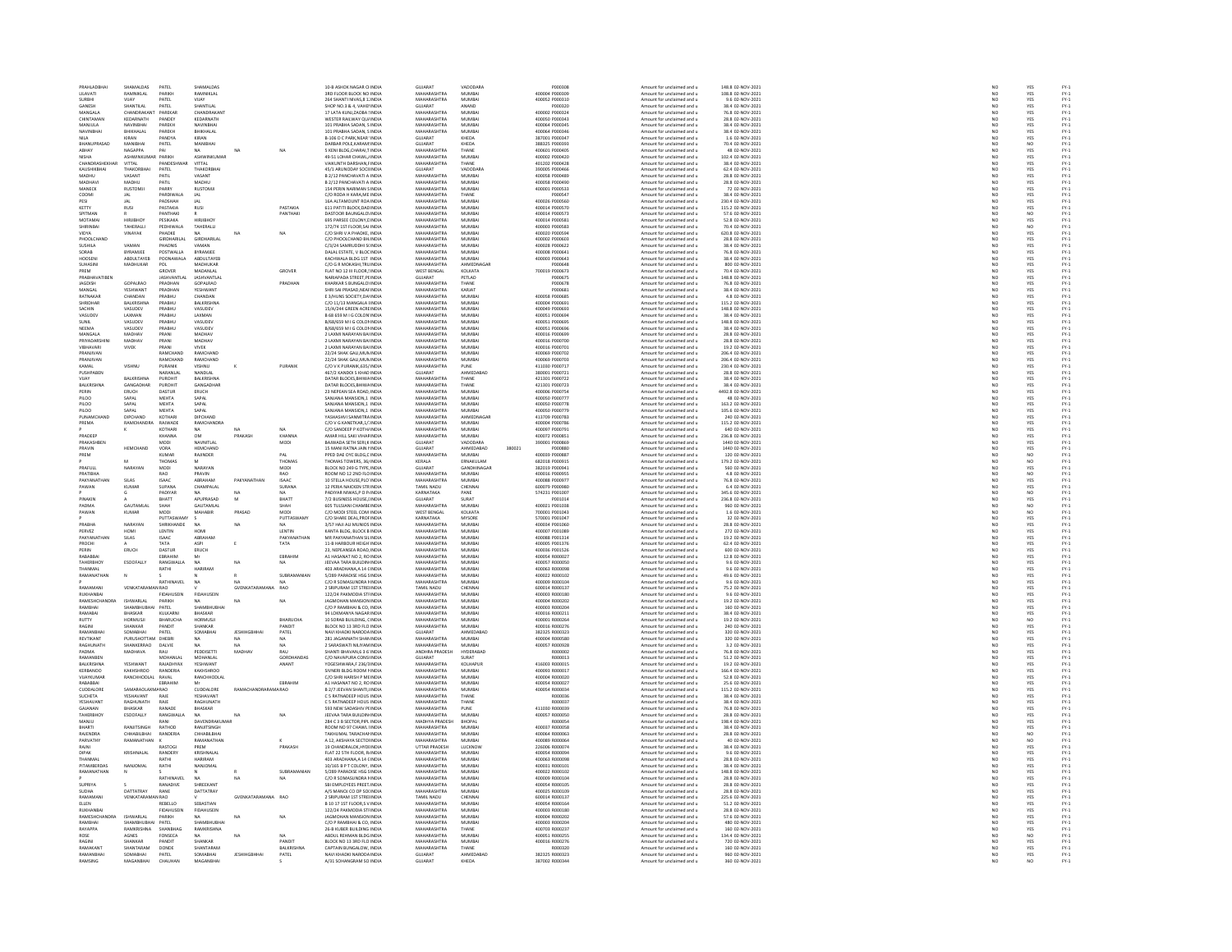|              | PRAHLADBHA                   | SHAMALDAS                        | PATEL                        | SHAMALDAS                      |                     |                | 10-B ASHOK NAGAR CHNDIA                                        | GUJARAT                           | VADODARA                  |        | P000308                          | Amount for unclaimed and u                               | 148.8 02-NOV-2021                     |                          | YES                     |                                                                    |
|--------------|------------------------------|----------------------------------|------------------------------|--------------------------------|---------------------|----------------|----------------------------------------------------------------|-----------------------------------|---------------------------|--------|----------------------------------|----------------------------------------------------------|---------------------------------------|--------------------------|-------------------------|--------------------------------------------------------------------|
|              | <b>IT AVATI</b>              | RAMNIKLAL                        | PARIKH                       | RAMNIKI AL                     |                     |                | 3RD FLOOR BLOCK NO INDIA                                       | MAHARASHTRA                       | MUMRAL                    |        | 400004 P000305                   | Amount for unclaimed and u<br>Amount for unclaimed and u | 108.8.02-NOV-2021                     |                          |                         |                                                                    |
|              |                              |                                  | ATEL                         |                                |                     |                | 264 SHANTI NIVAS,8 1. INDIA                                    | MAHARAS                           | MUMBA                     |        | 400052 P000310                   |                                                          | 9.6 02-NOV-2021                       | NC<br>NC                 | YES<br>YES              |                                                                    |
|              | GANESH                       | SHANTILAL                        | PATEL                        | SHANTILAL                      |                     |                | SHOP NO.3 & 4, VAHEI INDIA                                     | GUJARAT                           | ANAND                     |        | P000320                          | Amount for unclaimed and u                               | 38.4 02-NOV-2021                      | NO                       | YES                     |                                                                    |
|              | MANGALA                      | CHANDRAKANT                      | PAREKAL                      | CHANDRAKANT                    |                     |                | 17 LATA KUNJ ZAOBA : INDIA                                     | <b>MAHARASHTRA</b>                | MUMRA                     |        | 400002 P000324                   | Amount for unclaimed and                                 | 76.8 02-NOV-2021                      | $\overline{\mathbf{M}}$  | YES<br>YES              | FY-1<br>FY-1<br>FY-1<br>FY-1                                       |
|              | CHINTAMAN<br>MANILIA.        | KEDARNATH<br><b>MAMMBUAL</b>     | PANDEY<br>PAREKH             | KEDARNATH<br><b>NAVINRHA</b>   |                     |                | WESTER RAILWAY QU/ INDIA<br>101 PRARHA SADAN SINDIA            | MAHARASHTRA<br>MAHARASHTRA        | MUMBA<br>MUMRAL           |        | 400050 P000343<br>400064 P000345 | Amount for unclaimed and u<br>Amount for unclaimed and u | 28.8 02-NOV-2021<br>38.4.02-NOV-2021  | NO<br>NO                 |                         |                                                                    |
|              | NAVINBHA                     | BHIKHALAI                        | PAREKH                       | BHIKHALAI                      |                     |                | 101 PRABHA SADAN, SINDIA                                       | MAHARASHTRA                       | MUMBA                     |        | 400064 P000346                   |                                                          | 38.4 02-NOV-2023                      | $\frac{1}{N}$            | YES<br>YES              | FY-3<br>FY-3                                                       |
| <b>NILA</b>  |                              | KIRAN                            | PANDYA                       | KIRAN                          |                     |                | <b>B-106 D C PARK NEAR INDIA</b>                               | GUJARAT                           | KHEDA                     |        | 387001 P000347                   | Amount for unclaimed and u<br>Amount for unclaimed and u | 1.6 02-NOV-2021                       | NO                       | YES                     |                                                                    |
|              |                              |                                  | PATEL                        |                                |                     |                | DARBAR POLE, KARAM! INDIA                                      | SUJARAT                           | KHEDA                     |        | 888325 P000393                   | Amount for unclaimed and u                               | 70.4 02-NOV-2021                      |                          |                         | FY-3<br>FY-3<br>FY-3                                               |
|              | ABHAY                        | NAGAPPA                          | PAI                          | <b>NA</b>                      | <b>NA</b>           | NA             | 5 KENI BLDG, CHARAI, TINDIA                                    | MAHARASHTRA                       | THANE                     |        | 400601 P000405                   | Amount for unclaimed and u                               | 48 02-NOV-2021                        | $\frac{N}{N}$            | NO<br>YES               |                                                                    |
|              | <b>VISHA</b>                 | <b>ASHWINKI</b>                  | PARIKH                       | <b>ASHWINKLIMAR</b>            |                     |                | 49-51 LOHAR CHAWL JINDIA                                       | MAHARASHTRA                       | MUMRAL                    |        | 400002 P000420                   | Amount for unclaimed and u                               | 102.4.02-NOV-2021                     | NO <sub>1</sub>          | YES<br>YES              | FY-3<br>FY-3                                                       |
|              | CHANDRASHE                   | VITTAL                           | PANDESHWAR                   | <b>VITTAL</b>                  |                     |                | VAIKUNTH DARSHAN, FINDIA                                       | MAHARASHTRA                       | THANE                     |        | 401202 P000428                   | Amount for unclaimed and u                               | 38.4 02-NOV-202:                      | $\frac{1}{N}$            |                         |                                                                    |
|              | KAUSHIKBHA                   | THAKORBHA                        | PATEL                        | THAKORBHA                      |                     |                | 45/1 ARUNODAY SOCI INDIA                                       | GUJARAT                           | VADODARA                  |        | 390005 P000466                   | Amount for unclaimed and u                               | 62.4 02-NOV-2021                      | NO <sub>1</sub>          | YES                     |                                                                    |
|              | MADHU                        | VASAN <sup>1</sup>               | PATI                         | VASANT                         |                     |                | B 2/12 PANCHAVATI A INDIA                                      | <b>MAHARASHTR</b>                 | MUMBA                     |        | 00058 P000489                    | Amount for unclaimed and u                               | 28.8 02-NOV-2023                      |                          | YES                     | 기 구 구 구 구 구 구 구 구 구<br>- 이 스 스 스 스 스 스                             |
|              | MADHAV                       | MADHU                            | PATIL                        | MADHU                          |                     |                | B 2/12 PANCHAVATI A INDIA                                      | MAHARASHTRA                       | MUMBAI                    |        | 400058 P000490                   | Amount for unclaimed and u                               | 28.8 02-NOV-2021                      | NO                       | YES<br>YES              |                                                                    |
|              | MANECH                       | <b>RUSTOM</b>                    | PARRY                        | <b>RUSTOMJ</b>                 |                     |                | 154 PERIN NARIMAN SINDIA                                       | <b>MAHARASHTRA</b>                | MUMBA                     |        | 400001 P00053                    | Amount for unclaimed and                                 | 72 02-NOV-2021                        | $\overline{\mathsf{NC}}$ |                         |                                                                    |
| ESI          | COOMI                        | <b>JAL</b><br><b>IAI</b>         | PARDIWALA<br>PADSHAH         | <b>JAL</b><br>JAL              |                     |                | C/O RODA H KARA, ME INDIA<br>16A ALTAMOUNT ROA INDIA           | MAHARASHTRA<br>MAHARASHTRA        | THANE<br>MUMBA            |        | P000547<br>400026 P000560        | Amount for unclaimed and u<br>Amount for unclaimed and u | 38.4 02-NOV-2021<br>230.4 02-NOV-2021 | NO<br>NO                 | YES<br>YES<br>YES       |                                                                    |
| <b>CETTY</b> |                              | RUSI                             | PASTAKIA                     | RUSI                           |                     | PASTAKIA       | 611 PATITI BLOCK, DAC INDI                                     | <b>MAHARASHTR</b>                 | MUMBA                     |        | 400014 P000570                   | Amount for unclaimed and                                 | 115.2 02-NOV-202:                     |                          |                         |                                                                    |
|              | SPITMAN                      |                                  | PANTHAKI                     |                                |                     | PANTHAK        | DASTOOR BAUNGALO! INDIA                                        | MAHARASHTRA                       | MUMBA                     |        | 400014 P000573                   | Amount for unclaimed and u                               | 57.6 02-NOV-2021                      | NO <sub>1</sub>          | NO <sub></sub>          |                                                                    |
|              | MOTAMA                       |                                  | PESIKAKA                     | HIRIIRHO                       |                     |                | 695 PARSEE COLONY, C INDIA                                     | MAUARASUTRA                       | MUMRA                     |        | 400014 P00058:                   | Amount for unclaimed and                                 | 52.8 02-NOV-202:                      |                          | YES                     |                                                                    |
|              | SHIRINBA                     | TAHERALL                         | PEDHIWALA                    | TAHERALLI                      |                     |                | 172/74 1ST FLOOR, SAI INDIA                                    | MAHARASHTRA                       | MUMBA                     |        | 400003 P000583                   | Amount for unclaimed and u                               | 70.4 02-NOV-2021                      | $N$ O<br>$N$ O           | NO                      |                                                                    |
|              | VIDYA                        | VINAYAK                          | PHADKE                       |                                | NA                  | NA             | C/O SHRIV A PHADKE, INDIA                                      | MAHARASHTRA                       | MUMRAL                    |        | 400020 P000594                   | Amount for unclaimed and u                               | 620.8 02-NOV-2021                     | NO                       | YES<br>YES              | FY:<br>FY:                                                         |
|              | PHOOLCHANI                   |                                  | GIRDHARILAL                  | GIRDHARILAL                    |                     |                | C/O PHOOLCHAND BH INDIA                                        | MAHARASHTRA                       | MUMBA                     |        | 400002 P000603                   | Amount for unclaimed and u                               | 28.8 02-NOV-2021                      | $\overline{N}$           |                         |                                                                    |
|              | SLISHILA                     | VAMAN                            | PHADNIS                      | VAMAN                          |                     |                | C/3/24 SAMRUDDHLSUNDIA                                         | MAHARASHTRA                       | MUMRAL                    |        | 400028 P000622                   | Amount for unclaimed and u                               | 38.4.02-NOV-2021                      | NO <sub>1</sub>          |                         |                                                                    |
|              | SORAB                        | BYRAMJEE                         | POSTWALL                     | <b>BYRAMJEE</b>                |                     |                | DALAL ESTATE, V BLOC INDIA                                     | MAHARASHTRA                       | MUMBA                     |        | 400008 P00064:                   | Amount for unclaimed and u                               | 76.8 02-NOV-202:                      | $N$ C<br>$N$ C           | YES<br>YES<br>YES       | FY-1<br>FY-1<br>FY-1<br>FY-1                                       |
|              | HOOSEN<br><b>HHASIN</b>      | ABDULTAYEB<br>MADHUKAR           | POONAWALA<br>POL             | ABDULTAYEE<br><b>MADHLIKAR</b> |                     |                | KACHWALA BLDG 1ST INDIA<br>C/O G R MOKASHI TRI INDIA           | MAHARASHTRA<br>MAHARASHTRA        | MUMBA<br>AHMEDNAGAR       |        | 400003 P000643<br>P000641        | Amount for unclaimed and u<br>Amount for unclaimed and u | 38.4 02-NOV-2021<br>800.02-NOV-2021   | NO                       |                         |                                                                    |
| PREM         |                              |                                  | GROVER                       | MADANLAL                       |                     | GROVER         | FLAT NO 12 III FLOOR,! INDIA                                   | WEST BENGAL                       | KOLKATA                   |        | 700019 P000673                   | Amount for unclaimed and u                               | 70.4 02-NOV-2021                      | $\overline{N}$           | YES<br>YES              |                                                                    |
|              | PRARHAVATIREM                |                                  | <b>ASHVANTI AI</b>           | <b>IASHVANTI AI</b>            |                     |                | NARIAPADA STREET PEINDIA                                       | GUIARAT                           | PETI AD                   |        | P000675                          | Amount for unclaimed and u                               | 148.8.02-NOV-2021                     | NO                       |                         |                                                                    |
|              | <b>JAGDISH</b>               | GOPALRAD                         | PRADHAN                      | GOPALRAO                       |                     | PRADHAI        | KHARKAR S BUNGALOI INDIA                                       | MAHARASHTR                        | THANE                     |        | P000678                          | Amount for unclaimed and u                               | 76.8 02-NOV-2023                      |                          | YES<br>YES              | FY-3<br>FY-3                                                       |
|              | MANGAL                       | YESHWANT                         | PRADHAN                      | YESHWANT                       |                     |                | SHRI SAI PRASAD.NEAFINDIA                                      | MAHARASHTRA                       | KARJAT                    |        | P000681                          | Amount for unclaimed and u                               | 38.4 02-NOV-2021                      | NO <sub>1</sub>          |                         |                                                                    |
|              | RATNAKA                      |                                  | <b>PRABHL</b>                | CHANDAN                        |                     |                | E 3/HUNS SOCIETY, DA' INDIA                                    | MAHARASHTR                        | MUMBA                     |        | 400058 P00068                    | mount for unclaimed and                                  | 4.8 02-NOV-2023                       |                          | YES<br>YES              |                                                                    |
|              | SHRIDHAR                     | <b>BALKRISHNA</b>                | PRABHU                       | BALKRISHNA                     |                     |                | C/O 11/13 MANGALA I INDIA                                      | MAHARASHTRA                       | MUMBA                     |        | 400004 P000691                   | Amount for unclaimed and u                               | 115.2 02-NOV-2021                     |                          |                         | 기 것 것 것 것 것 것 것 것 것 것 것<br>- 2 . 2 . 2 . 2 . 2 . 2 . 2 . 2 . 2 . 2 |
|              | SACHIN                       | VASUDEV                          | PRARHIJ                      | VASUDEV                        |                     |                | 15/4/244 GREEN ACREINDIA                                       | MAHARASHTRA                       | MUMRAL                    |        | 400049 P000693                   | Amount for unclaimed and u                               | 148.8.02-NOV-2021                     | NO<br>NO                 | YES<br>YES<br>YES       |                                                                    |
|              | VASUDEV                      | LAXMAN                           | PRABHU                       | LAXMAN                         |                     |                | B 68 659 M I G COLON INDIA                                     | MAHARASHTRA                       | MUMBA                     |        | 400051 P000694                   | Amount for unclaimed and u                               | 38.4 02-NOV-2021                      | NO                       |                         |                                                                    |
| <b>SUNIL</b> |                              | VASUDEV                          | PRABHU                       | VASUDEV                        |                     |                | B/68/659 M I G COLON INDIA                                     | MAHARASHTRA                       | MUMBA                     |        | 400051 P000695                   | Amount for unclaimed and u                               | 148.8 02-NOV-2021                     | NO <sub>1</sub>          | YES                     |                                                                    |
|              | VEEMA                        | VASUDEY                          | PRABHU                       | VASUDEY                        |                     |                | B/68/659 M I G COLON INDIA                                     | <b>MAHARASHTRA</b>                | MUMBA                     |        | 400051 P00069                    | Amount for unclaimed and u                               | 38.4 02-NOV-2023                      |                          | YES                     |                                                                    |
|              | MANGALA<br>PRIYADARS         | MADHAV<br>MADHAV                 | PRANI<br>PRANI               | MADHAV<br>MADHAY               |                     |                | 2 LAXMI NARAYAN BALINDIA<br>2 LAXMI NARAYAN BALINDIA           | MAHARASHTRA<br>MAUARACUTRA        | MUMBA<br><b>MUAGA</b>     |        | 400016 P000699<br>400016 P000700 | Amount for unclaimed and u                               | 28.8 02-NOV-2021<br>28.8 02-NOV-2021  | NO                       | YES<br>YES<br>YES       |                                                                    |
|              |                              |                                  |                              |                                |                     |                |                                                                | MAHARASHTRA                       |                           |        |                                  | Amount for unclaimed and                                 |                                       | NO<br>NO                 |                         |                                                                    |
|              | VIBHAVARI<br><b>RANIIVAN</b> | VIVEK                            | PRANI<br>RAMCHAN             | <b>VIVEK</b><br>RAMCHAND       |                     |                | 2 LAXMI NARAYAN BAHNDIA<br>22/24 SHAK GALLMUN INDIA            | MAHARASHTRA                       | MUMBA<br>MUMRAL           |        | 400016 P000701<br>400069 P000702 | Amount for unclaimed and u<br>Amount for unclaimed and   | 19.2 02-NOV-2021<br>206.4.02-NOV-2021 |                          |                         |                                                                    |
|              | RANJIVA                      |                                  |                              |                                |                     |                | 22/24 SHAK GALI, MUN INDIA                                     | MAHARASHTR                        | MUMBA                     |        | 00069 P00070                     | mount for unclaimed and u                                | 206.4 02-NOV-2021                     | NC<br>NC                 | YES<br>YES              |                                                                    |
|              | KAMAL                        | VISHNU                           | PURANIK                      | VISHNU                         |                     | PURANIK        | C/O V K PURANIK.635/ INDIA                                     | MAHARASHTRA                       | PUNE                      |        | 411030 P000717                   | Amount for unclaimed and u                               | 230.4 02-NOV-2021                     | NO                       | YES                     |                                                                    |
|              | <b>PUSHPABEN</b>             |                                  | CARANI AL                    | NANDLA                         |                     |                | 467/2 KANDOI S KHAD INDIA                                      | <b>GUJARAT</b>                    | <b>HMEDABA</b>            |        | 380001 P00072:                   | Amount for unclaimed and                                 | 28.8 02-NOV-2023                      |                          |                         |                                                                    |
| VIJAY        |                              | <b>BALKRISHN</b>                 | PUROHIT                      | BALKRISHNA                     |                     |                | DATAR BLOCKS, BHIWA INDIA                                      | MAHARASHTRA                       | THANE                     |        | 421301 P000722                   | Amount for unclaimed and u                               | 38.4 02-NOV-2021                      | NC<br>NC                 | YES<br>YES              |                                                                    |
|              | <b>RAI KRISHN</b>            | GANGADHA                         | PUROHIT                      | GANGADHAR                      |                     |                | DATAR BLOCKS BHIW4 INDIA                                       | MAHARASHTRA                       | THANE                     |        | 421301 P000723                   | Amount for unclaimed and u                               | 38.4.02-NOV-2021                      | NO <sub>1</sub>          | YES<br>YES              | FY-3<br>FY-3                                                       |
| PERIN        |                              | ERUCH                            | DASTUR                       | ERUCH                          |                     |                | 23 NEPEAN SEA ROAD, INDIA                                      | MAHARASHTRA                       | MUMBA                     |        | 400006 P000754                   | Amount for unclaimed and u                               | 4492.8 02-NOV-2021                    | $\overline{N}$           |                         |                                                                    |
|              | 1100                         | SAPAL                            | <b>MEHTA</b>                 | SAPAL                          |                     |                | SANJANA MANSION.1 INDIA                                        | MAHARASHTRA                       | MUMBA                     |        | 400050 P000777                   | Amount for unclaimed and u                               | 48 02-NOV-2021                        | NO                       | YES<br>YES              | FY-3<br>FY-3                                                       |
|              | PILOO                        | SAPAL                            | MEHTA                        | SAPAL                          |                     |                | SANJANA MANSION,1 INDIA                                        | <b>MAHARASHTRA</b>                | MUMBA                     |        | 400050 P000778                   | Amount for unclaimed and u                               | 163.2 02-NOV-202:                     | NO                       |                         |                                                                    |
| PILOO        | <b>HINAMO</b>                | SAPAL<br><b>DIPCHAND</b>         | MEHTA<br>KOTHAR              | SAPAL<br><b>DIPCHAND</b>       |                     |                | SANJANA MANSION.1 INDIA<br><b>CASHASHVI SANMITRA INDIA</b>     | MAHARASHTRA<br><b>MAHARASHTRA</b> | MUMBA<br>AHMEDNAGAR       |        | 400050 P000779<br>413709 P000783 | Amount for unclaimed and u<br>Amount for unclaimed and u | 105.6 02-NOV-2021<br>240.02-NOV-2021  | NO<br>NO                 |                         |                                                                    |
|              | PREMA                        | RAMCHANDRA                       | RAJWADE                      | <b>RAMCHANDRA</b>              |                     |                | C/O V G KANETKAR, 1/ INDIA                                     | MAHARASHTRA                       | MUMBA                     |        | 400004 P000786                   | Amount for unclaimed and u                               | 115.2 02-NOV-2021                     | $\overline{N}$           | YES<br>YES<br>YES       | FY-1<br>FY-1<br>FY-1                                               |
|              |                              |                                  | KOTHARI                      | <b>NA</b>                      |                     | NA             | C/O SANDEEP P KOTH/ INDIA                                      | MAHARASHTRA                       | MUMBA                     |        | 400097 P000791                   | Amount for unclaimed and u                               | 640 02-NOV-2021                       |                          |                         |                                                                    |
|              | PRADEE                       |                                  | CHANNA                       | <b>OM</b>                      | PRAKASH             | KHANNA         | .<br>AMAR HILL SAKI VIHAF INDIA                                | MAHARASHTRA                       | MUMBA                     |        | 400072 P00085:                   | Amount for unclaimed and u                               | 236.8 02-NOV-202:                     | NO<br>NO                 | YES<br>YES              | FY-1<br>FY-1<br>FY-1<br>FY-1                                       |
|              | PRAKASHBEN                   |                                  | MODI                         | NAVNITLAL                      |                     | MODI           | BAJWADA SETH SERI.K INDIA                                      | GUJARAT                           | VADODARA                  |        | 390001 P000869                   | Amount for unclaimed and u                               | 1440 02-NOV-2021                      | NO <sub>1</sub>          | YES                     |                                                                    |
|              | RAVIN                        | HEMCHAN                          | VORA                         | HEMCHAN                        |                     |                | 15 MANI RATNA JAIN I INDI                                      | <b>GUJARAT</b>                    | HMEDABAD                  | 380021 | P000880                          | mount for unclaimed and                                  | 1440 02-NOV-2021                      |                          | YES                     |                                                                    |
| PREM         |                              |                                  | KUMAR                        | RAJINDER                       |                     | PAL            | PPED DAE OYC BLDG, C INDIA                                     | MAHARASHTRA                       | MUMBAI                    |        | 400039 P000887                   | Amount for unclaimed and u                               | 120 02-NOV-2021                       | NO                       | NO                      |                                                                    |
|              |                              |                                  | <b>FHOMA</b>                 |                                |                     | THOMAS<br>MODI | THOMAS TOWERS, 36/ INDIA<br>BLOCK NO 249 G TYPE, INDIA         | KERALA<br>GUJARAT                 | FRNAKLIJ AN               |        | 682018 P000915<br>382019 P000941 | Amount for unclaimed and u<br>Amount for unclaimed and u | 179.2 02-NOV-2021                     | NC<br>NC                 | NO<br>YES               | FY-1<br>FY-1                                                       |
|              | RAFUL                        | NARAYA                           | $\frac{10001}{2}$            | NARAYAI                        |                     |                |                                                                |                                   | SANDHII                   |        |                                  |                                                          |                                       |                          |                         |                                                                    |
|              | PRATIBHA                     |                                  | <b>RAO</b>                   | PRAVIN                         |                     | <b>RAO</b>     | ROOM NO 12 2ND FLO INDIA                                       | MAHARASHTRA                       | MUMBAI                    |        | 400016 P000955                   | Amount for unclaimed and u                               | 4.8 02-NOV-2021                       | NO <sub>1</sub>          | NO <sub></sub>          |                                                                    |
|              | <b>PAKYANAT</b>              | SILAS                            | ISAAC                        | ARRAHAM                        | PAKYANA             | <b>ISAAC</b>   | 10 STELLA HOUSE, PLO INDIA                                     | <b>MAHARASHTRA</b>                | MUMBA                     |        | 400088 P00097                    | Amount for unclaimed and                                 | 76.8 02-NOV-202:                      |                          | YES<br>YES<br>NO<br>YES |                                                                    |
|              | PAWAN                        | KUMAR                            | SUPANA<br>PADIYAR            | CHAMPALAL                      |                     | SURANA<br>NA.  | 12 PERIA NAICKEN STRINDIA<br><b>PADIYAR NIWAS,P O P. INDIA</b> | TAMIL NADU<br>KARNATAKA           | CHENNA<br>PANE            |        | 600079 P000980                   | Amount for unclaimed and u                               | 6.4 02-NOV-2021                       | NO<br>NO                 |                         |                                                                    |
|              |                              |                                  |                              |                                |                     |                |                                                                |                                   |                           |        | 574231 P001007                   | Amount for unclaimed and u                               | 345.6 02-NOV-2021                     | NO                       |                         |                                                                    |
|              | PINAKIT<br>PADMA             | <b>GALITAMI AI</b>               | BHATT<br>SHAH                | APUPRASAD<br>GALITAMI AL       | M                   | BHATT<br>SHAH  | 7/2 BUSINESS HOUSE, I INDIA<br>605 THI SIAN CHAMBEINDIA        | GUJARAT<br>MAHARASHTRA            | SURAT<br>MUMRA            |        | P001014<br>400021 P001038        | Amount for unclaimed and u<br>Amount for unclaimed and u | 236.8 02-NOV-2021<br>960.02-NOV-2021  | NO <sub>1</sub>          | NO <sub>1</sub>         |                                                                    |
|              | PAWAN                        | KUMAR                            | MODI                         | MAHABIR                        | PRASAD              | MODI           | C/O MODI STEEL COM INDIA                                       | WEST BENGAL                       | KOLKATA                   |        | 700001 P001043                   | Amount for unclaimed and u                               | 1.6 02-NOV-2021                       |                          |                         | 기 것 것 것 것 것 것 것 것<br>- 2                                           |
|              |                              |                                  | <b>PUTTASWAMY</b>            |                                |                     | PUTTASWAM'     | C/O SHARE DEAL, PROFINDIA                                      | KARNATAKA                         | MYSORE                    |        | 570001 P001047                   | Amount for unclaimed and u                               | 32 02-NOV-2021                        | $\frac{1}{N}$            | NO<br>NO<br>YES         |                                                                    |
|              | RARHA                        | NARAYAN                          | SHRIKHANDE                   | NΔ                             | NA                  |                | <b>157 HAILALLMUNICS INDIA</b>                                 | <b>MAHARASHTRA</b>                | MUMRA                     |        | 400034 P001060                   | Amount for unclaimed and                                 | 28.8 02-NOV-2021                      | NC<br>NC                 | YES<br>YES              |                                                                    |
|              | PERVEZ                       | HOMI                             | LENTIN                       | HOM                            |                     | LENTIN         | KANTA BLDG, BLOCK B INDIA                                      | MAHARASHTRA                       | MUMBA                     |        | 400007 P001089                   | Amount for unclaimed and u                               | 272 02-NOV-2021                       |                          |                         |                                                                    |
|              | PAKYANATHA                   | SILAS                            | ISAAC                        | ARRAHAM                        |                     | ΡΑΚΥΔΝΑΤΗΑΜ    | MR PAKYANATHAN SILINDIA                                        | MAHARASHTRA                       | MUMRAL                    |        | 400088 P001314                   | Amount for unclaimed and u                               | 19.2.02-NOV-2021                      | NO <sub>1</sub>          |                         |                                                                    |
|              | PROCHI                       |                                  | TATA                         | ASPI                           |                     | TATA           | 11-B HARBOUR HEIGH INDIA                                       | MAHARASHTRA                       | MUMBA                     |        | 400005 P001376                   | Amount for unclaimed and u                               | 62.4 02-NOV-2021                      | $\frac{1}{N}$            | YES<br>YES              | FY-3<br>FY-3                                                       |
| PERIN        |                              | ERUCH                            | DASTUR                       | ERUCH                          |                     |                | 23. NEPEANSEA ROAD, INDIA                                      | MAHARASHTRA                       | MUMBA                     |        | 400036 P001526                   | Amount for unclaimed and u                               | 600 02-NOV-2021                       | NO <sub>1</sub>          | YES<br>YES              | FY-1<br>FY-1<br>FY-1<br>FY-1                                       |
|              | ABABBA                       |                                  | EBRAHIM                      |                                |                     | EBRAHIM        | A1 HASANAT NO 2, RO INDIA                                      | <b>MAHARASHTRA</b>                | MUMBA                     |        | 400054 R00002                    | Amount for unclaimed and u                               | 12.8 02-NOV-2023                      |                          |                         |                                                                    |
|              | TAHERBHOY<br><b>CUANNA</b>   | ESOOFALLY                        | RANGWALLA                    | <b>NA</b>                      | NA                  | NA             | JEEVAA TARA BUILDIN INDIA                                      | MAHARASHTRA<br><b>MAUARACUTRA</b> | MUMBA<br><b>MUMRA</b>     |        | 400057 R000050                   | Amount for unclaimed and u                               | 9.6 02-NOV-2021                       | NO <sub>1</sub>          | YES                     |                                                                    |
|              | RAMANATHAI                   |                                  | RATHI                        |                                |                     |                | 03 ARADHANA, A 14 CINDL<br>5/289 PARADISE HSG SINDM            | MAHARASHTRA                       | MUMBA                     |        | 400063 R00009<br>400022 R00010   | mount for unclaimed and u                                | 9.6 02-NOV-2021<br>49.6 02-NOV-2021   | NC<br>NC                 | YES<br>YES              |                                                                    |
|              |                              |                                  | <b>RATHINAVEL</b>            | <b>NA</b>                      | NA                  |                | C/O R SOMASUNDRA I INDIA                                       | MAHARASHTRA                       | MUMBA                     |        | 400009 R000104                   | Amount for unclaimed and u<br>Amount for unclaimed and u | 9.6 02-NOV-2021                       | NO                       |                         |                                                                    |
|              | RAMAMA                       | <b>ENKATAR</b>                   | N RAO                        |                                | GVENKATARA          | RAO            | 2 SRIPURAM 1ST STREI INDIA                                     | TAMIL NADU                        | CHENNA                    |        | 600014 R00013                    | Amount for unclaimed and                                 | 75.2 02-NOV-202:                      |                          | YES<br>YES              |                                                                    |
|              | RUKHANBAI                    |                                  | <b>FIDAHUSEIN</b>            | <b>FIDAHUSEIN</b>              |                     |                | 122/24 PAKMODIA STHNDIA                                        | MAHARASHTRA                       | MUMBA                     |        | 400003 R000180                   | Amount for unclaimed and u                               | 9.6 02-NOV-2021                       | NO <sub>1</sub>          | YES                     | FY-1<br>FY-1<br>FY-1<br>FY-1                                       |
|              | <b>RAMESHCH</b>              | SHWARI AI                        | PARIKH                       |                                | NA                  | NA             | <b>GMOHAN MANSION INDI</b>                                     | MAUARASUTRA                       | MUMRA                     |        | 400004 R000202                   | Amount for unclaimed and                                 | 19.2 02-NOV-2021                      |                          |                         |                                                                    |
|              | RAMBHAI                      | SHAMBHUBHAI                      | PATEL                        | SHAMBHUBHA                     |                     |                | C/O P RAMBHAI & CO, INDIA                                      | MAHARASHTRA                       | MUMBA                     |        | 400003 R000204                   | Amount for unclaimed and u                               | 160 02-NOV-2021                       | $\frac{N}{N}$            | YES<br>YES              |                                                                    |
|              | RAMARA                       | RHASKAR                          | KULKARN                      | RHASKAR                        |                     |                | 44 LOKMANYA NAGAR INDIA                                        | MAHARASHTRA                       | MUMRAL                    |        | 400016 8000211                   | Amount for unclaimed and u                               | 38.4 02-NOV-2021                      | NC<br>NC<br>NC           | YES<br>NO<br>YES        |                                                                    |
|              | RUTTY                        | HORMUSJI                         | BHARUCHA                     | HORMUSJI                       |                     | BHARUCHA       | 10 SORAB BUILDING, CINDIA                                      | MAHARASHTRA                       | MUMBA                     |        | 400001 R00026                    | Amount for unclaimed and u                               | 19.2 02-NOV-202:                      |                          |                         |                                                                    |
|              | RAGINI                       | SHANKAR                          | PANDIT                       | SHANKAR                        |                     | PANDIT         | BLOCK NO 13 3RD FLO INDIA                                      | MAHARASHTRA                       | MUMBA                     |        | 400016 R000276                   | Amount for unclaimed and u                               | 240 02-NOV-2021                       |                          |                         |                                                                    |
|              | <b>AMANRH</b>                | SOMABHA                          | PATE                         | SOMABHA                        | JESHIHO             | PATEL          | NAVI KHADKI NARODA INDIA                                       | GUJARAT                           | <b>HMFDARA</b>            |        | 382325 R00032                    | mount for unclaimed and                                  | 320 02-NOV-2021                       | NC<br>NO                 | YES<br>YES              | PY-1<br>PY-1<br>PY-1<br>PY-1                                       |
|              | REVTIKANT<br>RAGHLINATH      | PURUSHOTTAM DHEBRI<br>SHANKERRAO | DALVIE                       | NA<br>NA                       | NA                  | NA<br>NA       | 281 JAGANNATH SHAMINDIA<br>2 SARASWATI NJI IYAM INDIA          | MAHARASHTRA<br>MAHARASHTRA        | MUMBAI<br>MUMRAL          |        | 400004 R000580<br>400057 R000928 | Amount for unclaimed and u<br>Amount for unclaimed and u | 320 02-NOV-2021<br>3.2 02-NOV-2021    | NO                       |                         |                                                                    |
|              | PADMA                        | MADHAVA                          | RAU                          | PEDDISETT                      | MADHAV              | RAU            | SHANTI BHAVAN,6 3 6 INDIA                                      | ANDHRA PRADESH                    | <b>HYDERABAD</b>          |        | R000002                          | Amount for unclaimed and u                               | 76.8 02-NOV-2021                      | $\frac{1}{N}$            | YES<br>YES              |                                                                    |
|              | RAMANREN                     |                                  | MOHANI AI                    | MOHANLAL                       |                     | GORDHANDAS     | C/O NAVAPURA CONSUNDIA                                         | GUIARAT                           | SURAT                     |        | R000013                          | Amount for unclaimed and u                               | 51.2.02-NOV-2021                      | NO <sub>1</sub>          |                         |                                                                    |
|              | <b>BALKRISHNA</b>            | YESHWANT                         | RAJADHYAX                    | <b>YESHWAN</b>                 |                     | <b>ANANT</b>   | YOGESHWARA,F 236/3INDM                                         | MAHARASHTRA                       | KOLHAPUI                  |        | 416003 R000015                   | Amount for unclaimed and u                               | 19.2 02-NOV-2021                      | $\frac{1}{N}$            | YES<br>YES              | FY-3<br>FY-3                                                       |
|              | KERBANOO                     | KAKHSHROO                        | RANDERIA                     | KAKHSHROO                      |                     |                | SIVNERI BLDG ROOM I INDIA                                      | MAHARASHTRA                       | MUMBA                     |        | 400093 R000017                   | Amount for unclaimed and u                               | 166.4 02-NOV-2021                     |                          |                         |                                                                    |
|              | <b>JUANKLIMA</b>             | RANCHHODLAL                      | RAVAL                        | RANCHHODLA                     |                     |                | C/O SHRI HARISH P MEINDIA                                      | <b>MAHARASHTRA</b>                | MUMRAL                    |        | 400004 B00002                    | Amount for unclaimed and                                 | 52.8 02-NOV-2023                      | NC<br>NC<br>NC           | YES<br>YES<br>YES       | FY-1<br>FY-1<br>FY-1                                               |
|              | RABABBAI                     |                                  | EBRAHIM                      | Mr                             |                     | EBRAHIM        | A1 HASANAT NO 2, RO INDIA                                      | MAHARASHTRA                       | MUMBA                     |        | 400054 R00002                    | Amount for unclaimed and u                               | 25.6 02-NOV-2021                      |                          |                         |                                                                    |
|              | CUDDALORE                    | SAMARAOLAXMARAO                  |                              | CUDDALORE                      | RAMACHANDRARAMA RAO |                | <b>R2/7 IFFVAN SHANTLUNDIA</b>                                 | MAHARASHTRA                       | MUMRAL                    |        | 400054 R000034                   | Amount for unclaimed and                                 | 115.2.02-NOV-2021                     | NO                       | YES<br>YES              | FY-3<br>FY-3                                                       |
|              | SUCHETA                      | YESHAVANT                        | RAJE                         | YESHAVANT                      |                     |                | C 5 RATNADEEP HOUS INDIA                                       | MAHARASHTRA                       | THANE                     |        | R000036                          | Amount for unclaimed and u                               | 38.4 02-NOV-2021                      |                          |                         |                                                                    |
|              | <b>YESHAVAN</b>              | RAGHUNATH                        | RAJE                         | RAGHUNATH                      |                     |                | C 5 RATNADEEP HOUS INDIA                                       | MAHARASHTRA<br><b>MAHARASHTRA</b> | THANE                     |        | R000037                          | Amount for unclaimed and u                               | 38.4 02-NOV-2021                      | NO <sub>1</sub>          | YES                     |                                                                    |
|              | SAJANAN<br>TAHERBHO          | HASKAR<br>ESOOFALLY              | RANADE<br>RANGWALLA          | BHASKAR<br><b>NA</b>           |                     | NA             | 593 NEW SADASHIV PEINDL<br>JEEVAA TARA BUILDIN INDIA           | MAHARASHTRA                       | PUNE<br>MUMBA             |        | 411030 R00003<br>400057 R000050  | Amount for unclaimed and u<br>Amount for unclaimed and u | 76.8 02-NOV-2023<br>28.8 02-NOV-2021  | NO                       | YES<br>YES              |                                                                    |
|              | MANJU                        |                                  | RAN                          | DAVENDRAKLIMAR                 |                     |                | 284 C 3 B SECTOR, PIPL INDIA                                   | MADHYA PRADES                     | BHOPAL                    |        | R000054                          | Amount for unclaimed and                                 | 198.4 02-NOV-2021                     | NC                       |                         |                                                                    |
|              | <b>BHARTI</b>                | RANJITSINGH                      | RATHOD                       | RANJITSINGH                    |                     |                | ROOM NO 97 CHAWL I INDIA                                       | MAHARASHTRA                       | MUMBA                     |        | 400037 R000058                   | Amount for unclaimed and u                               | 38.4 02-NOV-2021                      |                          | YES                     |                                                                    |
|              | RAJENDRA                     | CHHABILBHAI                      | RANDERIA                     | CHHABILBHAI                    |                     |                | TAKHUMAL TARACHAI INDIA                                        | MAHARASHTRA                       | MUMBA                     |        | 400064 R000063                   | Amount for unclaimed and u                               | 28.8 02-NOV-2021                      | NO<br>NO                 | YES<br>NO               | 기 것 것 것 것 것 것 것 것<br>- 2                                           |
|              | MRVATH                       |                                  |                              |                                |                     |                | A 12, AKSHAYA SECTOHNDL                                        | <b>MAHARASHTRA</b>                | MUMBA                     |        | 400089 R00006                    | mount for unclaimed and                                  | 40 02-NOV-2023                        | NÓ                       | NO                      |                                                                    |
| RAJNI        |                              |                                  | <b>RASTOGI</b>               | PREM                           |                     | PRAKASH        | 19 CHANDRALOK.HYDHNDIA                                         | UTTAR PRADESH                     | LUCKNOW                   |        | 226006 R000074                   | Amount for unclaimed and u                               | 38.4 02-NOV-2021                      | NO <sub>1</sub>          | YES                     |                                                                    |
| DIPAK        |                              | KRISHNALAL                       | <b>RANDERY</b>               | KRISHNALAI                     |                     |                | FLAT 22 STH FLOOR, R. INDIA                                    | <b>MAUARACUTRA</b>                | MUMBA                     |        | 400054 R00009                    | Amount for unclaimed and                                 | 9.6 02-NOV-2021                       | NC<br>NC                 | YES<br>YES              |                                                                    |
|              | THANMA                       |                                  | RATHI                        | HARIRAM                        |                     |                | 403 ARADHANA, A 14 CINDIA                                      | MAHARASHTRA                       | MUMBA                     |        | 400063 R000098                   | Amount for unclaimed and u                               | 28.8 02-NOV-2021                      |                          |                         |                                                                    |
|              | PITAMRERDAS                  | NANIOMAL                         | RATHI                        | NANJOMA.                       |                     |                | 10/165 B P T COLONY. INDIA                                     | MAHARASHTRA                       | MUMRAL                    |        | 400031 8000101                   | Amount for unclaimed and u                               | 38.4.02-NOV-2021                      | NO<br>NO                 | YES<br>YES              | FY-3<br>FY-3                                                       |
|              |                              |                                  |                              |                                |                     | SUBRA          | 5/289 PARADISE HSG 5 INDIA                                     | MAHARASHTRA                       | MUMBA                     |        | 400022 R000102                   | Amount for unclaimed and u                               | 148.8 02-NOV-2023                     |                          |                         |                                                                    |
|              | RAMANATHAI                   |                                  |                              | <b>NA</b>                      | NA                  | NA             | C/O R SOMASUNDRA I INDIA                                       | MAHARASHTRA                       | MUMBA<br>MUMRA            |        | 400009 R000104<br>400054 R00010  | Amount for unclaimed and u                               | 28.8 02-NOV-2021                      | $\frac{NO}{NO}$          |                         |                                                                    |
|              |                              |                                  | RATHINAVEL                   |                                |                     |                |                                                                |                                   |                           |        |                                  | mount for unclaimed and                                  |                                       |                          |                         |                                                                    |
|              | .<br>SUPRIYA                 |                                  | <b>ANADIV</b>                | SHREEKAN                       |                     |                | SBI EMPLOYEES PREET INDI                                       | MAHARASHTRA                       |                           |        |                                  |                                                          | 28.8 02-NOV-2023                      |                          |                         |                                                                    |
|              | SUDHA                        | DATTATRAY                        | RANE                         | DATTATRAY                      |                     |                | A/S MANOJ CO OP SOI INDIA                                      | MAHARASHTRA                       | MUMBA                     |        | 400025 R000109                   | Amount for unclaimed and u                               | 28.8 02-NOV-2021                      | NO                       | YES<br>YES<br>YES       | FY-3<br>FY-3<br>FY-3                                               |
|              | RAMAMAN                      | VENKATARAMAN RAO                 |                              |                                | GVENKATARAMANA RAO  |                | 2 SRIPLIRAM 1ST STRELINDIA                                     | TAMIL NADLI                       | CHENNA                    |        | 600014 8000137                   | Amount for unclaimed and u                               | 225.6 02-NOV-2021                     | N <sub>0</sub>           |                         |                                                                    |
| ELLEN        | RUKHANBA                     |                                  | REBELLC<br><b>FIDAHUSEIN</b> | SEBASTIA<br><b>FIDAHUSEIN</b>  |                     |                | B 10 17 1ST FLOOR S V INDIA<br>122/24 PAKMODIA STHNDIA         | MAHARASHTRA<br>MAHARASHTRA        | MUMBA<br>MUMBA            |        | 400054 R00016<br>400003 R000180  | Amount for unclaimed and u<br>Amount for unclaimed and u | 51.2 02-NOV-2021<br>28.8 02-NOV-2021  | NO<br>NO <sub>1</sub>    | YES<br>YES              | FY-3<br>FY-3                                                       |
|              |                              |                                  |                              |                                |                     |                |                                                                |                                   |                           |        |                                  |                                                          |                                       |                          | YES                     |                                                                    |
|              | RAMESHCHA<br>RAMBHA          | <b>ISHWARLAL</b><br>SHAMBHUBHAI  | PATEL                        | <b>SHAMRHIJRHA</b>             |                     | NA             | AGMOHAN MANSION INDI<br>C/O P RAMBHAI & CO. INDIA              | <b>MAHARASHTRA</b><br>MAHARASHTRA | MUMBA<br>MUMBA            |        | 400004 R00020<br>400003 R000204  | Amount for unclaimed and u<br>Amount for unclaimed and u | 57.6 02-NOV-202:<br>480 02-NOV-2021   | NO                       | YES<br>YES              | FY-3<br>FY-3                                                       |
|              | RAYAPPA                      | <b>AMAYDIS</b>                   |                              | RAMKRISHNA                     |                     |                | <b>6-B KUBER BUILDING INDI</b>                                 | <b>MAUADACUTO</b>                 |                           |        | 400703 R00023                    |                                                          |                                       |                          |                         |                                                                    |
| ROSE         |                              | AGNES                            | SHANBHA<br>FONSECA           |                                |                     |                | ABDUL REHMAN BLDG INDIA                                        | MAHARASHTRA                       | THANE<br>MUMBA            |        | 400051 R00025                    | Amount for unclaimed and u                               | 160 02-NOV-2021<br>134.4 02-NOV-2021  |                          | YES<br>NO               | FY-1<br>FY-1<br>FY-1                                               |
|              | RAGINI                       | SHANKAR                          | PANDIT                       | SHANKAR                        |                     | PANDIT         | BLOCK NO 13 3RD FLO INDIA                                      | MAHARASHTRA                       | MUMBA                     |        | 400016 R000276                   | Amount for unclaimed and u                               | 720 02-NOV-2021                       | NO                       | YES                     |                                                                    |
|              | RAMAKANT                     | SHANTARAM                        | DONDE                        | SHANTARAM                      |                     | BALKRISHN      | CAPTAIN BUNGALOW, INDIA                                        | MAHARASHTRA                       | THANE                     |        | R000320                          | Amount for unclaimed and u                               | 160 02-NOV-2021                       |                          | YES                     | FY-3<br>FY-3                                                       |
|              | RAMANBHA<br>RAMSING          | SOMABHAI                         | PATEL                        | SOMABHAI                       | <b>JESHIHGBHHAI</b> | PATEL          | NAVI KHADKI NARODA INDIA<br>A/31 SOHANGRAM SO INDIA            | GUJARAT<br><b>GUJARAT</b>         | AHMEDARAD<br><b>CHEDA</b> |        | 382325 R000323<br>7002 R0003     | Amount for unclaimed and u<br>Amount for unclaimed and   | 960 02-NOV-2021<br>360 02-NOV-2023    |                          | YES                     | PV <sub>2</sub>                                                    |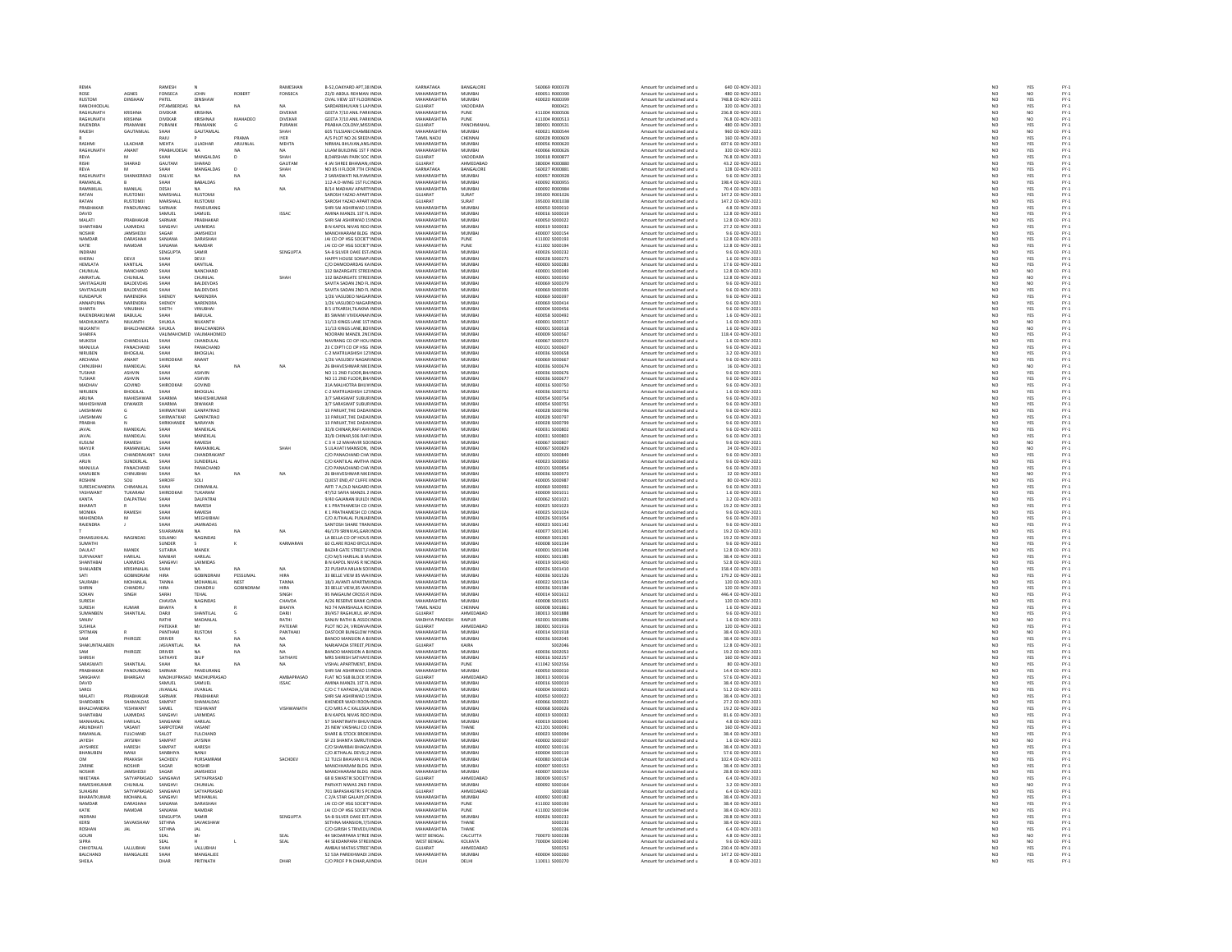| REMA                        |                                 | RAMESH                           |                              |              | RAMESHAN             | B-52.OAKYARD APT.38 INDU                                        | KARNATAKA                         | BANGALORE        | 560069 R000378                   | Amount for unclaimed and u                               | 640 02-NOV-2021                      | NO                                          | YES               |                                                                                                                                                                                                            |
|-----------------------------|---------------------------------|----------------------------------|------------------------------|--------------|----------------------|-----------------------------------------------------------------|-----------------------------------|------------------|----------------------------------|----------------------------------------------------------|--------------------------------------|---------------------------------------------|-------------------|------------------------------------------------------------------------------------------------------------------------------------------------------------------------------------------------------------|
| ROSE                        | AGNES                           | FONSECA                          | <b>JOHN</b>                  | ROBERT       | FONSECA              | 22/D ABDUL REHMAN INDIA                                         | MAHARASHTRA                       | MUMBAI           | 400051 R000390                   | Amount for unclaimed and u                               | 480 02-NOV-2021                      |                                             | NO                |                                                                                                                                                                                                            |
| <b>RUSTOM</b>               | DINSHAW                         | PATEL                            | DINSHAW                      |              |                      | OVAL VIEW 1ST FLOOF INDIA                                       | MAHARASHTRA                       | MUMBAI           | 400020 R000399                   | Amount for unclaimed and u                               | 748.8 02-NOV-2021                    | NO<br>NO                                    | YES               |                                                                                                                                                                                                            |
| RANCHHODLAI                 |                                 | PITAMBERDAS                      | NA                           | NA           |                      | SARDARBHUVAN S LAI INDU                                         | GUJARAT                           | VADODARA         | R000421                          | Amount for unclaimed and u                               | 320 02-NOV-2021                      | NO                                          | YES               | FY-3<br>FY-3<br>FY-3                                                                                                                                                                                       |
| RAGHUNATH                   | <b>KRISHNA</b>                  | <b>DIVEKAR</b>                   | KRISHNA                      |              | DIVEKAR              | GEETA 7/10 ANIL PARKINDIA                                       | MAHARASHTRA                       | PUNE             | 411004 R000506                   | Amount for unclaimed and u                               | 236.8 02-NOV-2021                    | NO <sub>1</sub>                             | NO <sub>1</sub>   |                                                                                                                                                                                                            |
| RAGHUNATH                   | CRISHNA                         | DIVEKAR                          | <b>RISHNA</b>                |              | DIVEKAR              | GEETA 7/10 ANIL PARKINDI                                        | <b>MAHARASHTRA</b>                | PUNE             | 411004 R000513                   | Amount for unclaimed and u                               | 76.8 02-NOV-2023                     | NO                                          | NO                | FY-1<br>FY-1<br>FY-1<br>FY-1                                                                                                                                                                               |
| RAJENDRA                    | PRAMANIK                        | PURANIK                          | PRAMANIK                     | G            | PURANIK              | PRABHA COLONY, MISS INDIA                                       | GUJARAT                           | PANCHMAHAI       | 389001 R000531                   | Amount for unclaimed and u                               | 480 02-NOV-2021                      | NO                                          | YES               |                                                                                                                                                                                                            |
| RAJESH                      | GAUTAMLA                        | SHAH                             | GAUTAMLA                     |              | <b>SHAH</b>          | 605 TULSIANI CHAMBEINDI                                         | <b>MAUARACUTRA</b>                | MUMBAI           | 400021 R000544                   | Amount for unclaimed and u                               | 960 02-NOV-202:                      | NC                                          | NO                |                                                                                                                                                                                                            |
|                             |                                 | RAJU                             |                              | PRAMA        | <b>IYER</b>          | A/S PLOT NO 26 SREEMINDIA                                       | TAMIL NADU                        | CHENNAI          | 600028 R000609                   | Amount for unclaimed and u                               | 160 02-NOV-2021                      | NO                                          | YES               |                                                                                                                                                                                                            |
| RASHMI<br>RAGHUNATI         | <b>III ADHAR</b><br>ANANT       | <b>MEHTA</b><br><b>PRABHUDES</b> | <b>IIIADHAR</b>              | ARILINI AL   | MEHTA                | NIRMAI RHIIVAN ANS INDU<br>LILAM BUILDING 1ST F INDU            | MAHARASHTRA<br><b>MAHARASHTRA</b> | MUMRAL<br>MUMBA  | 1000056 8000620                  | Amount for unclaimed and u<br>Amount for unclaimed and u | 697 6 02-NOV-2021<br>320 02-NOV-2021 | NC<br>NC                                    | YES<br>YES        | FY-1<br>FY-1<br>FY-1<br>FY-1                                                                                                                                                                               |
| REVA                        | M                               | SHAH                             | MANGALDAS                    | $\mathbf{D}$ | SHAH                 | 8.DARSHAN PARK SOC INDIA                                        | GUJARAT                           | VADODARA         | 390018 R000877                   | Amount for unclaimed and u                               | 76.8 02-NOV-2021                     | NO <sub>1</sub>                             | YES               |                                                                                                                                                                                                            |
|                             | SHARAD                          | GAUTAM                           | SHARAD                       |              | GAUTAM               | 4 JAI SHREE BHAWAN, INDU                                        | <b>GUIARAT</b>                    | <b>AUMERABAR</b> | <b>REPORT BOOTBON</b>            | Amount for unclaimed and u                               | 43.2 02-NOV-2023                     | NO                                          |                   |                                                                                                                                                                                                            |
| REVA                        |                                 | SHAH                             | MANGALDAS                    | D            | SHAH                 | NO 85 II FLOOR 7TH CFINDIA                                      | KARNATAKA                         | BANGALORE        | 560027 R000881                   | Amount for unclaimed and u                               | 128 02-NOV-2021                      | NO                                          | YES<br>YES        |                                                                                                                                                                                                            |
| RAGHLINATH                  | SHANKERRAO                      | DALVIE                           |                              | NA           | NA                   | 2 SARASWATI NJI IYAM INDU                                       | MAHARASHTRA                       | MUMRAL           | 100057 8000928                   | Amount for unclaimed and u                               | 9.6.02-NOV-2021                      | NO                                          |                   |                                                                                                                                                                                                            |
| RAMANLAL                    |                                 | SHAH                             | BABALDAS                     |              |                      | 112-A D-WING 1ST FLC INDIA                                      | MAHARASHTRA                       | MUMBA            | 400092 R000955                   | Amount for unclaimed and u                               | 198.4 02-NOV-2021                    | NO                                          | YES<br>YES        | FY:<br>FY:                                                                                                                                                                                                 |
| RAMNIKI AI                  | MANILAI                         | DESAL                            | NA                           | NA.          | $_{\text{NA}}$       | R/14 MADHAV APARTHNDIA                                          | MAHARASHTRA                       | MUMRAL           | 400092 8000984                   | Amount for unclaimed and u                               | 70.4.02-NOV-2021                     | NO <sub>1</sub>                             |                   |                                                                                                                                                                                                            |
| RATAN                       | <b>RUSTOMJI</b>                 | MARSHALL                         | <b>RUSTOMJ</b>               |              |                      | SAROSH YAZAD APART INDU                                         | GUJARAT                           | SURAT            | 395003 R001026                   | Amount for unclaimed and u                               | 147.2 02-NOV-2021                    | $\overline{N}$                              | YES<br>YES<br>YES | FY-1<br>FY-1<br>FY-1<br>FY-1                                                                                                                                                                               |
| RATAN                       | <b>RUSTOMJI</b>                 | MARSHALL                         | <b>RUSTOMJI</b>              |              |                      | SAROSH YAZAD APART INDIA                                        | GUJARAT                           | SURAT            | 395003 R001038                   | Amount for unclaimed and u                               | 147.2 02-NOV-2021                    | NO                                          |                   |                                                                                                                                                                                                            |
| PRARHAKAR                   | PANDURANG                       | SARNAIK                          | PANDURANG                    |              |                      | SHRI SAI ASHIRWAD 15 INDIA                                      | MAHARASHTRA                       | MUMRAL           | 400050 S000010                   | Amount for unclaimed and u                               | 4.8 02-NOV-2021                      | NC<br>NC                                    | YES<br>YES        |                                                                                                                                                                                                            |
| DAVID                       |                                 | SAMUEL                           | SAMUEL                       |              | <b>ISSAC</b>         | AMINA MANZIL 1ST FL INDIA                                       | MAHARASHTRA                       | MUMBA            | 400016 S000019                   | Amount for unclaimed and u                               | 12.8 02-NOV-2021                     |                                             |                   |                                                                                                                                                                                                            |
| MALATI                      | PRABHAKAR                       | SARNAIK                          | PRARHAKAR                    |              |                      | SHRI SALASHIRWAD 15 INDIA                                       | MAHARASHTRA                       | MUMRAL           | 400050 S000022                   | Amount for unclaimed and u                               | 12.8.02-NOV-2021                     | NO <sub>1</sub>                             | YES<br>YES        | FY-)<br>FY-)                                                                                                                                                                                               |
| SHANTABA                    | LAXMIDAS                        | SANGHV                           | LAXMIDAS                     |              |                      | B N KAPOL NIVAS ROO INDIA                                       | MAHARASHTRA                       | MUMBA            | 400019 S000032                   | Amount for unclaimed and u                               | 27.2 02-NOV-2021                     | $\overline{N}$                              |                   |                                                                                                                                                                                                            |
| <b>NOSHIR</b>               | JAMSHEDJI                       | SAGAR                            | <b>JAMSHEDJI</b>             |              |                      | MANCHHARAM BLDG INDIA                                           | MAHARASHTRA                       | MUMBAI           | 400007 S000154                   | Amount for unclaimed and u                               | 9.6 02-NOV-2021                      | NO<br>NO                                    | YES<br>YES        |                                                                                                                                                                                                            |
| NAMDAR                      | DARASHA                         | SANJANA                          | DARASHA                      |              |                      | JAI CO OP HSG SOCIET INDU                                       | MAHARASHTRA                       | PUNE             | 411002 S00019                    | Amount for unclaimed and u                               | 12.8 02-NOV-2021                     |                                             |                   |                                                                                                                                                                                                            |
| KATIE<br>uno Ak             | <b>NAMDAR</b>                   | SANJANA<br>SENGUPTA              | NAMDAR                       |              | SENGUPTA             | JAI CO OP HSG SOCIET INDIA                                      | MAHARASHTRA<br>MAHARASHTRA        | PUNE             | 411002 S000194                   | Amount for unclaimed and u                               | 12.8 02-NOV-2021                     | NO <sub>1</sub>                             | YES               |                                                                                                                                                                                                            |
| KHERAJ                      | DEVJI                           |                                  | SAMIR<br>DEVJI               |              |                      | SA-B SILVER OAKE EST. INDIA<br>HAPPY HOUSE SONAPLINDIA          | <b>MAHARASHTRA</b>                | MUMBAI<br>MUMBAI | 400026 S000232<br>400028 S000275 | Amount for unclaimed and u                               | 9.6 02-NOV-2021<br>1.6 02-NOV-2021   | $\frac{N}{N}$                               | YES<br>YES        | FY-1<br>FY-1<br>FY-1<br>FY-1                                                                                                                                                                               |
| HEMLATA                     | KANTILAL                        | <b>БНАН</b><br>SHAH              | KANTILAL                     |              |                      | C/O DAMODARDAS KA INDIA                                         | MAHARASHTRA                       | MUMBAI           | 400003 S000283                   | Amount for unclaimed and u<br>Amount for unclaimed and u | 17.6 02-NOV-2021                     | NO                                          | YES               |                                                                                                                                                                                                            |
| CHUNILA                     | NANCHAN                         | SHAH                             | NANCHAND                     |              |                      | 132 BAZARGATE STREE INDU                                        | MAHARASHTRA                       | MUMBA            | 400001 S00034                    | Amount for unclaimed and u                               | 12.8 02-NOV-2021                     | NO                                          | NQ                |                                                                                                                                                                                                            |
| AMRATLAL                    | CHUNILAL                        | SHAH                             | CHUNILAL                     |              | SHAH                 | 132 BAZARGATE STREE INDIA                                       | MAHARASHTRA                       | MUMBAI           | 400001 S000350                   | Amount for unclaimed and u                               | 12.8 02-NOV-2021                     | NO <sub>1</sub>                             | NO <sub>1</sub>   |                                                                                                                                                                                                            |
| SAVITAGAL                   | BALDEVDAS                       | SHAH                             | BALDEVDA:                    |              |                      | SAVITA SADAN 2ND FL INDIA                                       | <b>MAHARASHTRA</b>                | MUMBA            | 400069 S00037                    | Amount for unclaimed and u                               | 9.6 02-NOV-2021                      | NO                                          | $_{\rm NO}$       |                                                                                                                                                                                                            |
| SAVITAGAUR                  | BALDEVDAS                       | SHAH                             | BALDEVDAS                    |              |                      | SAVITA SADAN 2ND FL INDIA                                       | MAHARASHTRA                       | MUMBAI           | 400069 S000395                   | Amount for unclaimed and u                               | 9.6 02-NOV-2021                      | NO                                          | YES               |                                                                                                                                                                                                            |
| KUNDAPUR                    | NARENDRA                        | SHENOY                           | NARENDRA                     |              |                      | 1/26 VASUDEO NAGAF INDU                                         | MAHARASHTRA                       | MUMBA            | 400069 S000397                   | Amount for unclaimed and u                               | 9.6 02-NOV-2021                      | NO                                          | YES               |                                                                                                                                                                                                            |
| ANNAPURNA                   | NARENDRA                        | SHENOY                           | NARENDRA                     |              |                      | 1/26 VASUDEO NAGAF INDIA                                        | MAHARASHTRA                       | MUMBA            | 400069 S000414                   | Amount for unclaimed and u                               | 9.6 02-NOV-2021                      | NO<br>NO                                    | YES<br>YES        |                                                                                                                                                                                                            |
| SHANTA                      | VINUBHAI                        | SHETH                            | VINUBHAI                     |              |                      | B 5 UTKARSH.TILAKNA INDIA                                       | MAHARASHTRA                       | MUMBAI           | 400004 S000456                   | Amount for unclaimed and u                               | 9.6 02-NOV-2021                      |                                             |                   | 1920 - 1920 - 1920 - 1920 - 1920 - 1920<br>1920 - 1920 - 1920 - 1920 - 1920 - 1920 - 1920<br>1920 - 1920 - 1920 - 1920 - 1920 - 1920 - 1920 - 1920 - 1920 - 1920 - 1920 - 1920 - 1920 - 1920 - 1920 - 1920 |
| AJENDRAKUM                  | BABULAL                         |                                  | BABULAL                      |              |                      | 85 SWAMI VIVEKANAN INDI                                         | <b>MAHARASHTRA</b>                | MUMBA            | 400058 S00049                    | Amount for unclaimed and u                               | 1.6 02-NOV-2021                      | NC                                          | YES               |                                                                                                                                                                                                            |
| MADHUKANTA<br>NILKANTH      | NILKANTH                        | SHUKLA                           | NILKANTH                     |              |                      | 11/13 KINGS LANE 1ST INDIA                                      | MAHARASHTRA<br><b>MAUARACUTRA</b> | MUMBAI<br>MUMBA  | 400001 S000517                   | Amount for unclaimed and u                               | 1.6 02-NOV-2021                      | NO                                          | NO                |                                                                                                                                                                                                            |
| SHARIFA                     | BHALCHANDR                      | SHUKLA<br>VALIMAHO               | BHALCHANDRA<br>D VALIMAHOMED |              |                      | 11/13 KINGS LANE, BOHNDL<br>NOORANI MANZIL 2NI INDIA            | MAHARASHTRA                       | MUMBA            | 400001 S00051<br>400009 S000567  | Amount for unclaimed and u<br>Amount for unclaimed and u | 1.6 02-NOV-2021<br>118.4 02-NOV-2021 | NO<br>NO                                    | NO<br>YES         |                                                                                                                                                                                                            |
| <b>MUKESH</b>               | CHANDLILAI                      | SHAH                             | CHANDULAL                    |              |                      | NAVRANG CO OP HOLLINDIA                                         | MAHARASHTRA                       | MUMRAL           | 400067 5000573                   | Amount for unclaimed and u                               | 1.6.02-NOV-2021                      |                                             |                   |                                                                                                                                                                                                            |
| MANJULA                     | PANACHAND                       | SHAH                             | PANACHAND                    |              |                      | 23 C DIPTI CO OP HSG INDIA                                      | MAHARASHTRA                       | MUMBA            | 400101 S00060                    | Amount for unclaimed and u                               | 9.6 02-NOV-2021                      | NO<br>NO                                    | YES<br>YES        | FY-3<br>FY-3                                                                                                                                                                                               |
| NIRLIREN                    | <b>BHOGLAL</b>                  | SHAH                             | <b>BHOGILAL</b>              |              |                      | C-2 MATRUASHISH 121 INDIA                                       | MAHARASHTRA                       | MUMBAL           | 400036 S000658                   | Amount for unclaimed and u                               | 3.2.02-NOV-2021                      |                                             |                   |                                                                                                                                                                                                            |
| ARCHANA                     | ANANT                           | HIRODKAP                         | ANANT                        |              |                      | 1/26 VASUDEV NAGAR IND                                          | <b>MAUADACUTRA</b>                | MUMBA            | 400069 S00066                    | Amount for unclaimed and u                               | 9.6 02-NOV-2021                      | NO<br>NO                                    |                   |                                                                                                                                                                                                            |
| CHINUBHA                    | MANEKLAL                        | SHAH                             | NA.                          | NA           | NA                   | 26 BHAVESHWAR NIKE INDIA                                        | MAHARASHTRA                       | MUMBAI           | 400036 S000674                   | Amount for unclaimed and u                               | 16 02-NOV-2021                       | NO                                          | YES<br>YES<br>NO  | FY-3<br>FY-3<br>FY-3                                                                                                                                                                                       |
| TUSHAR                      | <b>ASHVIN</b>                   | SHAH                             | ASHVIN                       |              |                      | NO 11 2ND FLOOR, BHJ INDIA                                      | MAHARASHTRA                       | MUMRAL           | 400036 S000676                   | Amount for unclaimed and u                               | 9.6 02-NOV-2021                      | NC<br>NC                                    | YES<br>YES        | FY:<br>FY:                                                                                                                                                                                                 |
| TUSHAR                      | ASHVIN                          | SHAH                             | <b>ASHVIN</b>                |              |                      | NO 11 2ND FLOOR, BH/ INDIA                                      | MAHARASHTRA                       | MUMBA            | 400036 S00067                    | Amount for unclaimed and u                               | 9.6 02-NOV-2021                      |                                             |                   |                                                                                                                                                                                                            |
| MADHAV                      | GOVIND                          | SHIRODKAR                        | GOVIND                       |              |                      | 314 MAI HOTRA BHLIV INDIA                                       | MAHARASHTRA                       | MUMRAL           | 400016 5000750                   | Amount for unclaimed and u                               | 9.6.02-NOV-2021                      | NO <sub>1</sub>                             |                   |                                                                                                                                                                                                            |
| NIRUBEN                     | BHOGILAL                        | SHAH                             | BHOGILAL                     |              |                      | C-2 MATRUASHISH 121 INDU                                        | MAHARASHTRA                       | MUMBAI           | 400036 S00075                    | Amount for unclaimed and u                               | 1.6 02-NOV-2021                      | $\overline{N}$                              | YES<br>YES        | FY-)<br>FY-)                                                                                                                                                                                               |
| ARUNA                       | MAHESHWAR                       | SHARMA                           | MAHESHKUMAR                  |              |                      | 3/7 SARASWAT SUBUR INDIA                                        | MAHARASHTRA                       | MUMBAI           | 400054 S000754                   | Amount for unclaimed and u                               | 9.6 02-NOV-2021                      | NO                                          | YES<br>YES        |                                                                                                                                                                                                            |
| MAHESHWA                    | DIWAKER                         | SHARMA                           | DIWAKAR                      |              |                      | 3/7 SARASWAT SUBURINDU                                          | <b>MAHARASHTRA</b>                | MUMBA            | 400054 S00075                    | Amount for unclaimed and u                               | 9.6 02-NOV-2021                      | NO                                          |                   |                                                                                                                                                                                                            |
| LAKSHMAN<br><b>LAKSHMAN</b> |                                 | SHIRWATKAP<br>.<br>SHIRWATKAR    | GANPATRAO<br>GANPATRAC       |              |                      | 13 PARUAT. THE DADAI INDIA<br>13 PARILAT THE DADALINDU          | MAHARASHTRA<br>MAHARASHTRA        | MUMBAI<br>MUMRAL | 400028 S000796<br>400028 5000797 | Amount for unclaimed and u<br>Amount for unclaimed and u | 9.6 02-NOV-2021<br>9.6.02-NOV-2021   | $\frac{NO}{NO}$                             |                   |                                                                                                                                                                                                            |
| PRABHA                      |                                 | SHRIKHANDE                       | NARAYAN                      |              |                      | 13 PARUAT, THE DADAI INDIA                                      | MAHARASHTRA                       | MUMBAI           | 400028 S000799                   |                                                          | 9.6 02-NOV-2021                      | $\overline{N}$                              | YES<br>YES<br>YES |                                                                                                                                                                                                            |
| JAVAL                       | MANEKLAL                        | SHAH                             | MANEKLAL                     |              |                      | 32/8 CHINAR RAFI AHI INDIA                                      | MAHARASHTRA                       | MUMBAI           | 400031 S000802                   | Amount for unclaimed and u<br>Amount for unclaimed and u | 9.6 02-NOV-2021                      | NO                                          |                   |                                                                                                                                                                                                            |
|                             | MANEKLAL                        |                                  | MANEKLAL                     |              |                      | 32/B CHINAR, 506 RAFI INDU                                      | MAHARASHTRA                       | MUMBA            | 400031 S00080                    | Amount for unclaimed and u                               | 9.6 02-NOV-2021                      | NO                                          | YES<br>YES        |                                                                                                                                                                                                            |
| KUSUM                       | RAMESH                          | SHAH                             | RAMESH                       |              |                      | C 3 H 12 MAHAVIR SOUNDIA                                        | MAHARASHTRA                       | MUMBAI           | 400067 S000807                   | Amount for unclaimed and u                               | 9.6 02-NOV-2021                      |                                             | NO <sub>1</sub>   |                                                                                                                                                                                                            |
| MAYUR                       | PASSANIKI AL                    | SHAH                             | RAMANIKLAI                   |              |                      | 5 LILAVATI MANSION, IND                                         | <b>MAHARASHTRA</b>                | <b>MUMBAI</b>    | 400067 S00082                    | Amount for unclaimed and u                               | 24 02-NOV-202:                       | $\frac{NO}{NO}$                             | NO<br>YES         |                                                                                                                                                                                                            |
| USHA                        | CHANDRAKANT                     | SHAH                             | CHANDRAKANT                  |              |                      | C/O PANACHAND CHA INDIA                                         | MAHARASHTRA                       | MUMBAI           | 400101 S000849                   | Amount for unclaimed and u                               | 9.6 02-NOV-2021                      | NO                                          |                   |                                                                                                                                                                                                            |
| <b>ARLIN</b>                | SUNDERLAL                       | SHAH                             | <b>SUNDERLAL</b>             |              |                      | C/O KANTILAL AMTHA INDIA<br>C/O PANACHAND CHA INDIA             | MAHARASHTRA                       | MUMBA            | 400023 S00085                    | Amount for unclaimed and u                               | 9.6 02-NOV-2021                      | NC<br>NC                                    | YES<br>YES        |                                                                                                                                                                                                            |
|                             |                                 | <b>SHAH</b>                      | PANACHAND                    |              |                      |                                                                 | MAHARASHTRA                       | MUMBAI           | 400101 S00085                    | Amount for unclaimed and u                               | 9.6 02-NOV-2021                      |                                             |                   |                                                                                                                                                                                                            |
| KAMUBEN                     | CHINUBHAI                       | SHAH                             | <b>NA</b>                    | <b>NA</b>    | NA                   | 26 BHAVESHWAR NIKE INDIA                                        | MAHARASHTRA                       | MUMBAI           | 400036 S000973                   | Amount for unclaimed and u                               | 32 02-NOV-2021                       | $\frac{NO}{NO}$                             | NO <sub>1</sub>   | FY-1<br>FY-1<br>FY-1<br>FY-1                                                                                                                                                                               |
|                             |                                 | HROFI                            | sou                          |              |                      | QUEST END, 47 CUFFE INDI                                        | <b>MAHARASHTRA</b>                | MUMBA            | 400005 S00098                    | Amount for unclaimed and u                               | 80 02-NOV-2023                       |                                             | YES               |                                                                                                                                                                                                            |
| SURESHCHANDRA               | CHIMANLAL<br>TUKARAM            | SHAH                             | CHIMANLAL                    |              |                      | ARTI 7 A,OLD NAGARD INDIA                                       | MAHARASHTRA<br>MAHARASHTRA        | MUMBAI           | 400069 S000992                   | Amount for unclaimed and u                               | 9.6 02-NOV-2021                      | NO                                          | YES               |                                                                                                                                                                                                            |
| YASHWANT                    |                                 | SHIRODKA                         | TUKARAM                      |              |                      | 47/52 SAFIA MANZIL 2 INDIA                                      |                                   | MUMBA            | 400009 S00101                    | Amount for unclaimed and u                               | 1.6 02-NOV-2021                      | NO                                          | YES<br>YES        |                                                                                                                                                                                                            |
| KANTA<br>RHARATI            | DALPATRAI                       | SHAH<br><b>ЧАН</b>               | DALPATRAI<br>RAMESH          |              |                      | 9/40 GAJANAN BUILDI INDIA<br>K 1 PRATHAMESH CO CINDIA           | MAHARASHTRA<br>MAHARASHTRA        | MUMBAI<br>MUMRAL | 400062 S001021<br>donnes son1023 | Amount for unclaimed and u                               | 3.2 02-NOV-2021<br>19.2.02-NOV-2021  | NO                                          |                   |                                                                                                                                                                                                            |
|                             | RAMESH                          |                                  |                              |              |                      |                                                                 | MAHARASHTRA                       | MUMBA            |                                  | Amount for unclaimed and u                               | 9.6 02-NOV-2021                      | NO<br>NO                                    |                   |                                                                                                                                                                                                            |
| MONIKA<br>MAHENDRA          | M                               | SHAH<br>SHAH                     | RAMESH<br><b>МЕGHJIBHA</b>   |              |                      | K 1 PRATHAMESH CO (INDI<br>C/O JUTHALAL PUNJAE INDIA            | MAHARASHTRA                       | MUMBAI           | 400025 S00102<br>400026 S001054  | Amount for unclaimed and u<br>Amount for unclaimed and u | 9.6 02-NOV-2021                      | NO                                          | YES<br>YES<br>YES | FY-1<br>FY-1<br>FY-1<br>FY-1                                                                                                                                                                               |
| RAJENDRA                    |                                 | <b>CLIALI</b>                    | <b>JAMNADAS</b>              |              |                      | SANTOSH SHARE TRAN INDU                                         | MAHARASHTRA                       | MUMBA            | 400023 S001142                   | Amount for unclaimed and u                               | 9.6 02-NOV-2023                      | NC                                          |                   |                                                                                                                                                                                                            |
|                             |                                 | SIVARAMAN                        | NA                           | NA           | NA                   | 46/179 SRINIVAS, GAR( INDIA                                     | MAHARASHTRA                       | MUMBAI           | 400077 S001245                   | Amount for unclaimed and u                               | 19.2 02-NOV-2021                     | NO                                          | YES<br>YES        |                                                                                                                                                                                                            |
| DHANSLIKHLA                 | NAGINDA <sup>®</sup>            | SOLANKL                          | <b>NAGINDAS</b>              |              |                      | LA BELLA CO OP HOUS INDIA                                       | MAHARASHTRA                       | MUMRAL           | 400069.5001265                   | Amount for unclaimed and u                               | 19.2.02-NOV-2021                     |                                             |                   |                                                                                                                                                                                                            |
| SUMATHI                     |                                 | SUNDER                           |                              |              | KARMARAN             | 60 CLARE ROAD BYCULINDIA                                        | MAHARASHTRA                       | MUMBA            | 400008 S001334                   | Amount for unclaimed and u                               | 9.6 02-NOV-2021                      | NO<br>NO                                    | YES<br>YES        | FY-1<br>FY-1<br>FY-1<br>FY-1                                                                                                                                                                               |
| <b>DAULAT</b>               | MANER                           | <b>SLITARIA</b>                  | MANFK                        |              |                      | <b>BAZAR GATE STREET FUNDIA</b>                                 | MAHARASHTRA                       | MUMBAL           | 400001 5001348                   | Amount for unclaimed and u                               | 12 8 02-NOV-2021                     | NO                                          |                   |                                                                                                                                                                                                            |
| <b>SURYAKAN</b>             | HARILAL                         | MANIAR                           | HARILAL                      |              |                      | C/O M/S HARILAL B M. INDIA                                      | MAHARASHTRA                       | MUMBA            | 400001 S001385                   | Amount for unclaimed and u                               | 38.4 02-NOV-2021                     | NO                                          | YES<br>YES        |                                                                                                                                                                                                            |
| SHANTABAI                   | LAXMIDAS                        | SANGHVI                          | LAXMIDAS                     |              |                      | B N KAPOL NIVAS R NC INDIA                                      | MAHARASHTRA                       | MUMBAI           | 400019 S001400                   | Amount for unclaimed and u                               | 52.8 02-NOV-2021                     | NO                                          | YES               |                                                                                                                                                                                                            |
| SHAILABEN                   | KRISHNALAL<br>GOBINDRAM         | SHAH<br>HIRA                     |                              |              |                      | 22 PUSHPA MILAN SOFINDIA<br>33 BELLE VIEW 85 WAI INDIA          | MAHARASHTRA<br>MAHARASHTRA        | MUMBA            | 400026 S00141                    | Amount for unclaimed and u                               | 158.4 02-NOV-2021                    | N <sub>C</sub>                              | YES<br>YES        | FY-1<br>FY-1<br>FY-1                                                                                                                                                                                       |
| SATI                        |                                 |                                  | NA<br>GOBINDRAM              | PESSUMAL     | HIRA                 |                                                                 |                                   | MUMBA            | 400036 S001526                   | Amount for unclaimed and u                               |                                      |                                             |                   |                                                                                                                                                                                                            |
| SAURARH                     | MOHANI AI                       | TANNA                            | MOHANI AL                    | <b>NEST</b>  | TANNA                | 18/3 AVANTI APARTM INDIA                                        | MAHARASHTRA                       | MUMRAL           | 400022.5001534                   | Amount for unclaimed and u                               | 120.02-NOV-2021                      | NO <sub>1</sub>                             | YES<br>YES        | FY-3<br>FY-3                                                                                                                                                                                               |
| SHIRIN<br>SOHAN             | CHANDRU<br>SINGH                | HIRA<br>SARAI                    | CHANDRU<br><b>TEHAL</b>      | GOBINDRAN    | <b>HIRA</b><br>SINGH | 33 BELLE VIEW,85 WAI INDU<br>95 NAIGAUM CROSS R INDIA           | MAHARASHTRA<br>MAHARASHTRA        | MUMBA<br>MUMBAI  | 400036 S00158<br>400014 S001612  | Amount for unclaimed and u<br>Amount for unclaimed and u | 120 02-NOV-2021<br>446.4 02-NOV-2021 | $\overline{N}$                              |                   |                                                                                                                                                                                                            |
| <b>SURESH</b>               |                                 | CHAVDA                           | <b>NAGINDA</b>               |              | <b>CHAVD</b>         | A/26 RESERVE BANK Q INDI                                        | <b>MAHARASHTRA</b>                | MUMBA            | 400008 S00165                    |                                                          | 120 02-NOV-2021                      | $\frac{NO}{NO}$                             | YES<br>YES        |                                                                                                                                                                                                            |
| SURESH                      | <b>KUMAR</b>                    | BHAIYA                           |                              |              | BHAIYA               | NO 74 MARSHALLA RC INDIA                                        | TAMIL NADU                        | CHENNAL          | 600008 \$001861                  | Amount for unclaimed and u<br>Amount for unclaimed and u | 1.6 02-NOV-2021                      | NO <sub>1</sub>                             | YES               |                                                                                                                                                                                                            |
| <b>SLIMANRE</b>             | SHANTILA                        | DARJ                             | <b>SHANTILAI</b>             |              | DARJI                | 39/457 RAGHUKUL AP. INDIA                                       | SUJARAT                           | HMEDABAD         | 880013 S00188                    | Amount for unclaimed and u                               | 9.6 02-NOV-2021                      | NO                                          | YES               |                                                                                                                                                                                                            |
| SANJIV                      |                                 | RATHI                            | MADANLAL                     |              | RATHI                | SANJIV RATHI & ASSOCINDIA                                       | MADHYA PRADESH                    | RAIPUR           | 492001 S00189                    | Amount for unclaimed and u                               | 1.6 02-NOV-2021                      |                                             | NO                |                                                                                                                                                                                                            |
| SUSHILA                     |                                 | PATEKAR                          | Mr                           |              | PATEKAR              | PLOT NO 24, VRIDAVA INDIA                                       | GUJARAT                           | AHMEDABAD        | 380001 S001916                   | Amount for unclaimed and u                               | 120 02-NOV-2021                      | NO<br>NO                                    | YES               |                                                                                                                                                                                                            |
| SPITMAN                     |                                 | PANTHAK                          | <b>RUSTOM</b>                |              | PANTHAK              | DASTOOR BUNGLOW I INDI                                          | <b>MAHARASHTRA</b>                | MUMBAI           | 400014 S00191                    | Amount for unclaimed and u                               | 38.4 02-NOV-2021                     | NO                                          | NO                |                                                                                                                                                                                                            |
| SAM                         | PHIROZE                         | <b>DRIVER</b>                    |                              | NA           | NA                   | BANOO MANSION A BLINDIA                                         | MAHARASHTRA                       | MUMBAI           | 400036 S002045                   | Amount for unclaimed and u                               | 38.4 02-NOV-2021                     | NO <sub>1</sub>                             | YES               |                                                                                                                                                                                                            |
| SHAKUNTALABE                |                                 | ASVANTLAL                        | <b>NA</b>                    |              |                      | NARIAPADA STREET, PEINDL                                        | GUJARAT                           | KAIRA            | snozna                           | Amount for unclaimed and u                               | 12.8 02-NOV-2021                     | NO                                          | YES<br>YES        |                                                                                                                                                                                                            |
| SAM                         | PHIROZE                         | DRIVER                           | <b>NA</b>                    | NA           | NA.                  | <b>BANOO MANSION A BI INDIA</b>                                 | MAHARASHTRA                       | MUMBAI           | 400036 S002053                   | Amount for unclaimed and u                               | 19.2 02-NOV-2021                     | NO                                          |                   | 2222222222                                                                                                                                                                                                 |
| SHIRISH                     |                                 | SATHAYE                          | DILIP                        |              | SATHAYE              | MRS SHIRISH SATHAYE INDU                                        | MAHARASHTRA                       | MUMBAL           | sonnis sonzzsz                   | Amount for unclaimed and u                               | 160 02-NOV-2021                      | NO                                          | YES<br>YES        |                                                                                                                                                                                                            |
| SARASWAT<br>PRARHAKAR       | SHANTILA<br>PANDURANG           | SHAH<br>SARNAIK                  | <b>NA</b><br>PANDURANG       | NA           | NA                   | VISHAL APARTMENT, EINDIA<br>SHRI SALASHIRWAD 15 INDIA           | MAHARASHTRA<br>MAHARASHTRA        | PUNE<br>MUMRAL   | 411042 S002556<br>400050 S000010 | Amount for unclaimed and u<br>Amount for unclaimed and u | 80 02-NOV-2021<br>14.4.02-NOV-2021   | NO                                          |                   |                                                                                                                                                                                                            |
| SANGHAV                     |                                 | <b>MADHLIP</b>                   | <b>MADHUPRASA</b>            |              | AMBAPRASAD           | FLAT NO 568 BLOCK 95 INDL                                       | <b>GUJARAT</b>                    | <b>HMEDABAL</b>  | 880013 S00001                    | Amount for unclaimed and u                               | 57.6 02-NOV-2021                     | NC<br>NC                                    |                   |                                                                                                                                                                                                            |
| DAVID                       |                                 | SAMUEL                           | SAMUEL                       |              | <b>ISSAC</b>         | AMINA MANZIL 1ST FL INDIA                                       | MAHARASHTRA                       | MUMBAI           | 400016 S000019                   | Amount for unclaimed and u                               | 38.4 02-NOV-2021                     | NO                                          | YES<br>YES<br>YES |                                                                                                                                                                                                            |
| SAROJ                       |                                 | <b>VANLAL</b>                    | <b>JIVANLAI</b>              |              |                      | C/O C T KAPADIA, 5/38 INDU                                      | MAHARASHTRA                       | MUMBAI           | 400004 S00002                    | Amount for unclaimed and u                               | 51.2 02-NOV-2021                     | NO                                          |                   |                                                                                                                                                                                                            |
| MALATI                      | PRABHAKAP                       | SARNAIK                          | PRABHAKAF                    |              |                      | SHRI SAI ASHIRWAD 15 INDIA                                      | MAHARASHTRA                       | MUMBAI           | 400050 S000022                   | Amount for unclaimed and u                               | 38.4 02-NOV-2021                     | NO                                          | YES<br>YES        | FY-1<br>FY-1<br>FY-1<br>FY-1                                                                                                                                                                               |
| SHARDAREN                   | SHAMALDAS                       | SAMPAT                           | SHAMALDAS                    |              |                      | KHENDER WADI ROOM INDIA                                         | MAHARASHTRA                       | MUMRAL           | FS00002 aannas                   | Amount for unclaimed and u                               | 27.2.02-NOV-2021                     | NO                                          |                   |                                                                                                                                                                                                            |
| <b>BHALCHANDRA</b>          | YESHWANT                        | SAMEL                            | YESHWANT                     |              | VISHWANATH           | C/O MRS A C KALUSKA INDIA                                       | MAHARASHTRA                       | MUMBA            | 400068 S000026                   | Amount for unclaimed and u                               | 19.2 02-NOV-2021                     | NO                                          | YES<br>YES        | FY-3<br>FY-3                                                                                                                                                                                               |
| SHANTABAI                   | LAXMIDAS                        | SANGHVI                          | LAXMIDAS                     |              |                      | B N KAPOL NIVAS ROO INDIA                                       | MAHARASHTRA                       | MUMBAI           | 400019 S000032                   | Amount for unclaimed and u                               | 81.6 02-NOV-2021                     | NO<br>NO                                    | YES<br>YES        | FY-3<br>FY-3                                                                                                                                                                                               |
| MANHARLA                    | HARILAL                         | SANGHAN                          | HARILAL                      |              |                      | 57 SHANTINATH BHUV INDU                                         | MAHARASHTRA                       | MUMBA            | 400019 S00004                    | Amount for unclaimed and u                               | 4.8 02-NOV-2021                      |                                             |                   |                                                                                                                                                                                                            |
| ARUNDHATI<br>RAMANI AI      | VASANT<br><b>FULCHAND</b>       | SARPOTDAR<br>SALOT               | VASANT<br><b>FULCHAND</b>    |              |                      | 25 NEW VAISHALI CO (INDIA                                       | MAHARASHTRA<br>MAHARASHTRA        | THANE<br>MUMRAL  | 421201 S000091<br>ennna sonnna   | Amount for unclaimed and u                               | 160 02-NOV-2021<br>38.4.02-NOV-2021  | NO<br>NO                                    |                   |                                                                                                                                                                                                            |
|                             |                                 |                                  |                              |              |                      | SHARE & STOCK BROKHNDM                                          |                                   |                  |                                  | Amount for unclaimed and u                               |                                      | $\overline{N}$                              | YES<br>YES<br>NO  | FY-1<br>FY-1<br>FY-1                                                                                                                                                                                       |
| JAYESH<br><b>IAYSHREE</b>   | <b>JAYSINH</b><br><b>HARFSH</b> | SAMPAT<br>SAMPAT                 | JAYSINH<br>HARESH            |              |                      | SF 23 SHANTA SMRUTI INDIA<br>C/O SHAMIRAL RHAGWINDIA            | MAHARASHTRA<br>MAHARASHTRA        | MUMBAI<br>MUMBAL | 400002 S00010<br>400002.5000116  | Amount for unclaimed and u<br>Amount for unclaimed and u | 1.6 02-NOV-2021<br>38.4.02-NOV-2021  | NO                                          |                   |                                                                                                                                                                                                            |
| <b>BHANUBEN</b>             | NANJI                           | SANBHIY                          | NANJI                        |              |                      | C/O JETHALAL DEVSI,2 INDIA                                      | MAHARASHTRA                       | MUMBA            | 400004 S000119                   | Amount for unclaimed and u                               | 57.6 02-NOV-2021                     | NO                                          | YES<br>YES        | FY-3<br>FY-3                                                                                                                                                                                               |
| OM                          | PRAKASH                         | SACHDEV                          | PURSAMRAM                    |              | SACHDEV              | 12 TULSI BHAVAN II FL INDIA                                     | MAHARASHTRA                       | MUMBAI           | 400080 S000134                   | Amount for unclaimed and u                               | 102.4 02-NOV-2021                    | NO <sub>1</sub>                             | YES               |                                                                                                                                                                                                            |
| ZARINE                      | NOSHIR                          |                                  | NOSHIP                       |              |                      | MANCHHARAM BLDG INDU                                            | <b>MAHARASHTRA</b>                | MUMBA            | 400007 S00015                    | Amount for unclaimed and u                               | 38.4 02-NOV-2021                     |                                             |                   |                                                                                                                                                                                                            |
| <b>NOSHIR</b>               | JAMSHEDJI                       | SAGAR                            | <b>JAMSHEDJI</b>             |              |                      | MANCHHARAM BLDG INDIA                                           | MAHARASHTRA                       | MUMBAI           | 400007 S000154                   | Amount for unclaimed and u                               | 28.8 02-NOV-2021                     | NO <sub>1</sub>                             | YES<br>YES        |                                                                                                                                                                                                            |
| NIKETANA                    | SATYAPRASAD                     | <b>SANGHAY</b>                   | SATYAPRASAD                  |              |                      | 68 B SWASTIK SOCIETY INDU                                       | GUIARAT                           | AHMEDABAD        | snone sono is:                   | Amount for unclaimed and u<br>Amount for unclaimed and u | 6.4 02-NOV-2021<br>3.2 02-NOV-2021   | $\frac{N}{N}$                               |                   | FY-1<br>FY-1<br>FY-1<br>FY-1                                                                                                                                                                               |
| RAMESHKUMAR                 | CHUNILAL                        | SANGHVI                          | CHUNILAL                     |              |                      | PARVATI NIWAS 2ND FINDIA                                        | MAHARASHTRA                       |                  | 400092 S00016                    |                                                          |                                      |                                             | YES<br>NO         |                                                                                                                                                                                                            |
| SUHASIN                     | SATYAPRASAD                     | SANGHAV                          | SATYAPRASAD                  |              |                      | 701 BAPASHASTRI S PC INDIA                                      | GUJARAT                           | AHMEDABAD        | \$000168                         | Amount for unclaimed and u                               | 6.4 02-NOV-2021                      | NO <sub>1</sub>                             | YES               |                                                                                                                                                                                                            |
| <b>BHARATKUM</b>            | MOHANLAL                        |                                  | MOHANLAL                     |              |                      | C 2/A STAR GALAXY, OF INDU                                      | <b>MAHARASHTRA</b>                | MUMBAI           | 400092 S00018                    | Amount for unclaimed and u                               | 38.4 02-NOV-2023                     |                                             | YES               |                                                                                                                                                                                                            |
| NAMDAR                      | DARASHAH                        | SANJANA                          | DARASHAH                     |              |                      | JAI CO OP HSG SOCIET INDIA                                      | MAHARASHTRA<br><b>MAHARASHTRA</b> | PUNE             | 411002 S000193                   | Amount for unclaimed and u                               | 38.4 02-NOV-2021                     | NO <sub>1</sub><br>$\overline{\mathsf{NC}}$ | YES               |                                                                                                                                                                                                            |
| KATIE<br>INDRAN             | NAMDAR                          | SANJANA<br>SENGUPTA              | NAMDAR<br>SAMIR              |              | SENGUPTA             | JAI CO OP HSG SOCIET INDI<br><b>5A-B SILVER OAKE EST. INDIA</b> | MAHARASHTRA                       | MUMBAI           | 411002 S00019<br>400026 S000232  | Amount for unclaimed and u<br>Amount for unclaimed and u | 38.4 02-NOV-202:<br>28.8 02-NOV-2021 | NO                                          | YES<br>YES        |                                                                                                                                                                                                            |
| KERSI                       | SAVAKSHAV                       | SETHNA                           | SAVAKSHAW                    |              |                      | SETHNA MANSION.7/S INDIA                                        | MAHARASHTRA                       | THANF            | S000233                          | Amount for unclaimed and u                               | 38.4 02-NOV-2021                     | NO                                          | YES               |                                                                                                                                                                                                            |
| <b>ROSHAN</b>               | JAL                             | SETHNA                           | <b>JAL</b>                   |              |                      | C/O GIRISH S TRIVEDI, INDIA                                     | MAHARASHTRA                       | THANE            | S000236                          | Amount for unclaimed and u                               | 6.4 02-NOV-2021                      | NO                                          | YES               | 52<br>52<br>52<br>52                                                                                                                                                                                       |
| GOURI                       |                                 | SEAL                             | Mr                           |              | SEAL                 | 44 SIKDARPARA STREE INDIA                                       | <b>WEST BENGAL</b>                | CALCUTTA         | 700070 S000238                   | Amount for unclaimed and u                               | 4.8 02-NOV-2021                      | NO                                          | NO                |                                                                                                                                                                                                            |
| <b>SIPRA</b>                |                                 |                                  |                              |              | SEAL                 | 44 SEKDANPARA STREI INDI                                        | <b>WEST BENGAL</b>                | KOLKATA          | 700004 S00024                    | Amount for unclaimed and u                               | 9.6 02-NOV-2023                      |                                             |                   | FY-1<br>FY-1<br>FY-1                                                                                                                                                                                       |
| CHHOTALAL                   | LALLUBHAI                       | SHAH                             | LALLUBHAI                    |              |                      | AMBAJI MATAS STREE' INDIA                                       | GUJARAT                           | AHMEDABAD        | S000253                          | Amount for unclaimed and u                               | 230.4 02-NOV-2021                    | NO                                          | YES               |                                                                                                                                                                                                            |
| BALCHAND                    | MANGALIEE                       | SHAH                             | <b>MANGALIFE</b>             |              |                      | 52 53A PAREKHWADI 1 INDIA                                       | MAHARASHTRA                       | MUMBAI           | 400004 S000260                   | Amount for unclaimed and u                               | 147.2 02-NOV-2021                    |                                             | YES               |                                                                                                                                                                                                            |
| SHEILA                      |                                 | DHAR                             | PRITINATH                    |              | DHAR                 | C/O PROF P N DHAR, A INDIA                                      | DELHI                             | DELHI            | 110011 S000270                   | Amount for unclaimed and u                               | 8 02-NOV-2021                        |                                             |                   |                                                                                                                                                                                                            |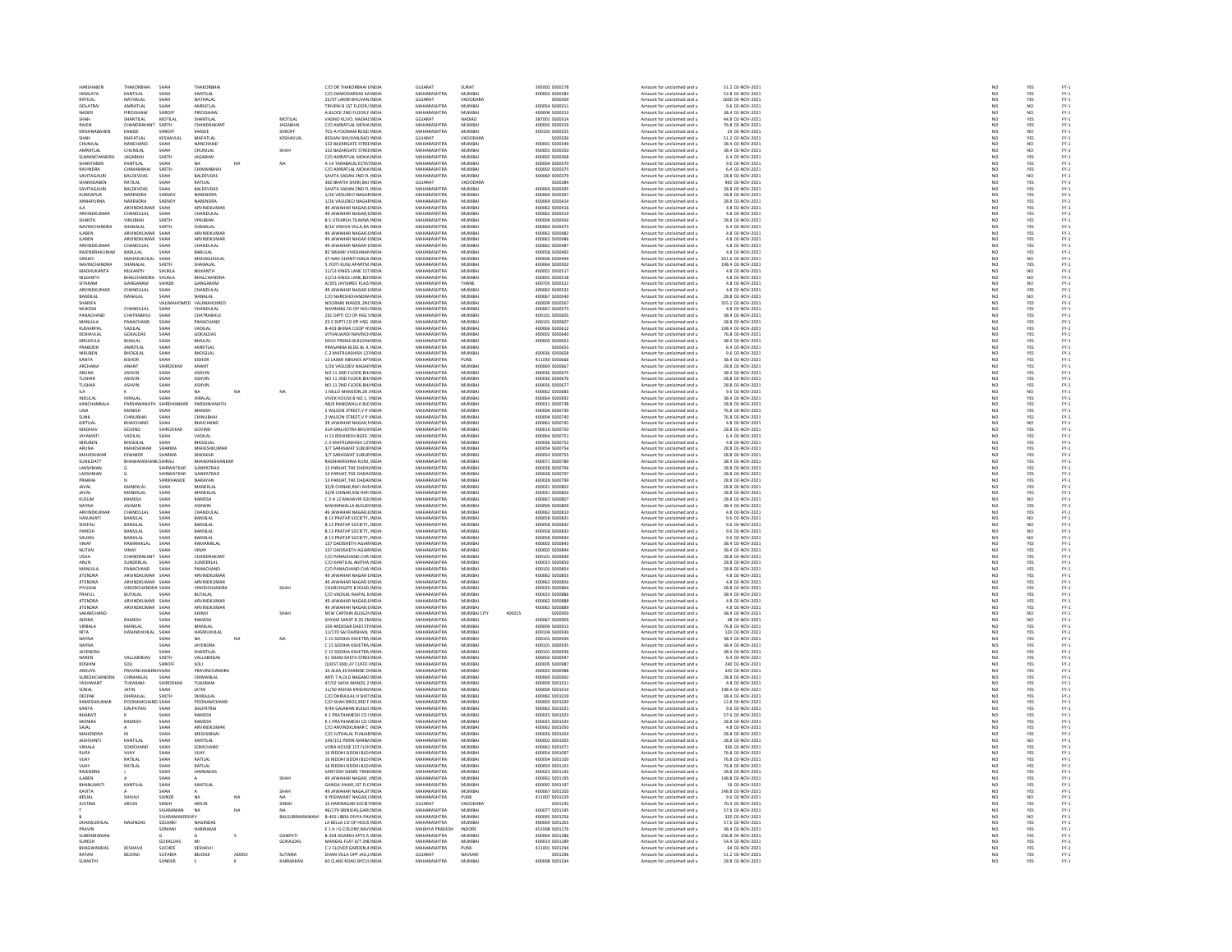| <b>UA DELLA DEN</b>       | THAKORRHAI                          | SHAF               | THAKORRH                             |        |                 | C/O DR THAKORBHAI EINDU                                   | GUIARAT                       | SURAT            |        | 395002 S000278                   | Amount for unclaimed and u                               | 51.2 02-NOV-2021                      |                 | YES               |                                                                           |
|---------------------------|-------------------------------------|--------------------|--------------------------------------|--------|-----------------|-----------------------------------------------------------|-------------------------------|------------------|--------|----------------------------------|----------------------------------------------------------|---------------------------------------|-----------------|-------------------|---------------------------------------------------------------------------|
| HEMLATA                   | KANTILAL                            | SHAH               | KANTILAL                             |        |                 | C/O DAMODARDAS KA INDIA                                   | MAHARASHTRA                   | MUMBAI           |        | 400003 S000283                   | Amount for unclaimed and u                               | 52.8 02-NOV-2021                      | NO              | YES               |                                                                           |
| RATILAL                   | NATHALAL                            | SHAH               | NATHALAL                             |        |                 | 25/37 LAXMI BHUVAN INDIA                                  | GUJARAT                       | VADODARA         |        | \$000309                         | Amount for unclaimed and u                               | 1600 02-NOV-2021                      | NO <sub>1</sub> | YES               |                                                                           |
| DOLATRA                   | AMRATLAL                            |                    | AMRATLAI                             |        |                 | TRIVENI B 1ST FLOOR, INDI                                 | <b>MAHARACHTRA</b>            | MUMBAI           |        | 400054 S00031                    | Amount for unclaimed and                                 | 9.6 02-NOV-202                        | NÓ              |                   |                                                                           |
| NADER                     | PIROJSHAW                           | SHROFF             | PIROJSHAW                            |        |                 | A BLOCK 2ND FLOOR,F INDIA                                 | MAHARASHTRA                   | MUMBAI           |        | 400004 S000313                   | Amount for unclaimed and u                               | 38.4 02-NOV-2021                      | NO              | NO                |                                                                           |
|                           | <b>SHANTILAL</b>                    | MOTILAL            | SHANTILAI                            |        | MOTILAL         | VADNO KUVO, NADIAI INDIA                                  | GUIARAT                       | NADIAD           |        | 387001 S000314                   | Amount for unclaimed and u                               | 44.8 02-NOV-2021                      | NO              | YES               |                                                                           |
| RAJEN                     | CHANDRAKANT                         | SHETH              | CHANDRAKAN                           |        | <b>JAGABHAI</b> | C/O AMRATLAL MOHA INDIA                                   | MAHARASHTRA                   | MUMBAI           |        | 400002 S000319                   | Amount for unclaimed and u                               | 76.8 02-NOV-2021                      | NO              | YES               |                                                                           |
| KRISHNARAHEM              | KANIFF                              | SHROEP             | KANIEF                               |        | SHROFF          | 201-A POONAM RESID INDIA                                  | MAHARASHTRA                   | MUMRAL           |        | 400103 S000325                   | Amount for unclaimed and u                               | 24.02-NOV-2021                        | NO              | $\mathbf{M}$      |                                                                           |
| SHAH                      | MAFATLAL                            | KESHAVLA           | MAFATLAI                             |        | KESHAVLAL       | KESHAV BHUVAN, RAO INDU                                   | GUJARAT                       | VADODARA         |        | \$000326                         | Amount for unclaimed and u                               | 51.2 02-NOV-2021                      | NO              | YES               | FY-3<br>FY-3                                                              |
| CHUNILAI                  | NANCHAND                            | SHAH               | NANCHAND                             |        |                 | 132 BAZARGATE STREE INDIA                                 | MAHARASHTRA                   | MUMBAI           |        | 400001 S000349                   | Amount for unclaimed and u                               | 38.4 02-NOV-2021                      |                 |                   |                                                                           |
| MRATI A                   | CHUNILAI                            |                    | CHUNILAI                             |        | SHAH            | 32 BAZARGATE STREE INDU                                   | MAHARASHTRA                   | MUMBAI           |        | 400001 S000350                   | Amount for unclaimed and                                 | 38.4 02-NOV-202                       | NO<br>NO        | NO<br>NO<br>YES   | FY-3<br>FY-3<br>FY-3                                                      |
| SUMANCHANDR               | <b>JAGABHAI</b>                     | SHETH              | <b>JAGABHAI</b>                      |        |                 | C/O AMRATLAL MOHA INDIA                                   | MAHARASHTRA                   | MUMBAI           |        | 400002 S000368                   | Amount for unclaimed and u                               | 6.4 02-NOV-2021                       | NO              |                   |                                                                           |
| SHANTAREN                 | KANTILAI                            | SHAH               | <b>NA</b>                            | NA     | NA.             | A 14 TARABALIG ESTATINDIA                                 | MAHARASHTRA                   | MUMRAL           |        | 400004 S000370                   | Amount for unclaimed and u                               | 9.6.02-NOV-2021                       | NO <sub>1</sub> |                   |                                                                           |
|                           |                                     | SHETH              |                                      |        |                 |                                                           | MAHARASHTRA                   |                  |        |                                  |                                                          | 6.4 02-NOV-2021                       |                 | YES<br>YES        | FY-3<br>FY-3                                                              |
| RAVINDRA<br>SAVITAGALIR   | CHIMANBHA<br><b>RAIDEVRAS</b>       | SHAH               | CHIMANBHA<br><b>RAI DEVDAS</b>       |        |                 | C/O AMRATLAL MOHA INDU<br>SAVITA SADAN 2ND FL INDIA       | MAHARASHTRA                   | MUMBAI<br>MUMRAL |        | 400002 S000375                   | Amount for unclaimed and u<br>Amount for unclaimed and u | 28.8.02-NOV-2021                      | NO<br>NO        | N <sub>0</sub>    |                                                                           |
|                           |                                     |                    |                                      |        |                 |                                                           |                               |                  |        | 400069 S000379                   |                                                          |                                       |                 |                   | FY-3<br>FY-3                                                              |
| <b>HARADABEN</b>          | RATILAL                             |                    | RATILAL                              |        |                 | 360 BHATIA SHERI, BAJ INDIA                               | GUJARAT                       | VADODARA         |        | \$000384                         | Amount for unclaimed and u                               | 960 02-NOV-2021                       | NO              | YES               |                                                                           |
| SAVITAGAURI               | <b>BALDEVDAS</b>                    | SHAH               | <b>BALDEVDAS</b>                     |        |                 | SAVITA SADAN 2ND FL INDIA                                 | MAHARASHTRA                   | MUMBAI           |        | 400069 S000395                   | Amount for unclaimed and u                               | 28.8 02-NOV-2021                      | NO <sub>1</sub> | YES               | FY-1<br>FY-1<br>FY-1                                                      |
| CUNDAPUR                  | NARENDRA                            | SHENO              | NARENDRA                             |        |                 | 1/26 VASUDEO NAGAF INDI                                   | <b>MAHARASHTRA</b>            | MUMBAI           |        | 400069 S00039                    | Amount for unclaimed and u                               | 28.8 02-NOV-2021                      | N <sub>C</sub>  | YES<br>YES        |                                                                           |
| ANNAPURNA                 | NARENDRA                            | SHENO <sup>®</sup> | NARENDRA                             |        |                 | 1/26 VASUDEO NAGAFINDI                                    | MAHARASHTRA                   | MUMBA            |        | 400069 S000414                   | Amount for unclaimed and u                               | 28.8 02-NOV-2021                      |                 |                   |                                                                           |
| <b>HA</b>                 | ARVINDKLIMAS                        | SHAH               | <b>ARVINDKLIMAR</b>                  |        |                 | 49 IAWAHAR NAGAR FINDIA                                   | MAHARASHTRA                   | MUMRAL           |        | 400062.5000416                   | Amount for unclaimed and u                               | 4.8.02-NOV-2021                       | NO              | YES<br>YES        | FY-3<br>FY-3                                                              |
| ARVINDKUMAR               | CHANDULAL                           | SHAH               | CHANDULAL                            |        |                 | 49 JAWAHAR NAGAR, EINDU                                   | <b>MAHARASHTRA</b>            | MUMBA            |        | 400062 S000419                   | Amount for unclaimed and u                               | 4.8 02-NOV-2021                       | NO              |                   |                                                                           |
| SHANTA                    | VINUBHAI                            | SHETH              | <b>VINUBHAI</b>                      |        |                 | <b>B 5 UTKARSH.TILAKNA INDIA</b>                          | MAHARASHTRA                   | MUMBAI           |        | 400004 S000456                   | Amount for unclaimed and u                               | 28.8 02-NOV-2021                      | NO<br>NO        | YES               | FY-1<br>FY-1<br>FY-1<br>FY-1                                              |
| NAVINCHANDR               | SHANALAL                            | SHETH              | SHANALAI                             |        |                 | B/16 VISHVA VILLA,RA INDI                                 | <b>MAHARASHTRA</b>            | MUMBA            |        | 400064 S00047                    | Amount for unclaimed and u                               | 6.4 02-NOV-202                        |                 | YES<br>YES        |                                                                           |
| <b>ILABEN</b>             | ARVINDKUMAR SHAH                    |                    | ARVINDKUMA                           |        |                 | 49 JAWAHAR NAGAR ( INDIA                                  | MAHARASHTRA                   | MUMBAI           |        | 400062 S000482                   | Amount for unclaimed and u                               | 4.8 02-NOV-2021                       | NO <sub>1</sub> |                   |                                                                           |
| ILABEN                    | ARVINDKUMAR                         | SHAH               | ARVINDKUMAF                          |        |                 | 49 JAWAHAR NAGAR É INDI                                   | <b>MAHARASHTRA</b>            | MUMBAL           |        | 400062 S000486                   | Amount for unclaimed and                                 | 4.8 02-NOV-2021                       | NC              |                   |                                                                           |
| ARVINDKUMAR               | CHANDULAL                           | SHAH               | CHANDULAL                            |        |                 | 49 JAWAHAR NAGAR ÉINDIA                                   | MAHARASHTRA                   | MUMBAI           |        | 400062 S000487                   | Amount for unclaimed and u                               | 4.8 02-NOV-2021                       | NO              | YES<br>YES        |                                                                           |
| RAIFNDRAKLIMAR            | RARIHAL                             | SHAH               | RABULAL                              |        |                 | 85 SWAMI VIVEKANAN INDIA                                  | MAHARASHTRA                   | MUMRAL           |        | 400058 S000492                   |                                                          | 4.8.02-NOV-2021                       |                 |                   |                                                                           |
|                           |                                     |                    |                                      |        |                 | 37-NAV-SHANTI NAGA INI                                    | <b>MAHARASHTRA</b>            | MUMBA            |        |                                  | Amount for unclaimed and u<br>Amount for unclaimed and u | 201.6 02-NOV-2021                     | NC<br>NC        | YES<br>NO         | FY-1<br>FY-1<br>FY-1<br>FY-1                                              |
| NAVINCHANDRA              | SHANALAL                            | SHETH              | SHANALAL                             |        |                 | 5 JYOTI KUNJ APARTM INDIA                                 | MAHARASHTRA                   | MUMBAI           |        | 400064 S000502                   | Amount for unclaimed and u                               | 198.4 02-NOV-2021                     | NO <sub>1</sub> | YES               |                                                                           |
| MADHUKANTA                | NILKANTH                            | SHUKLA             | <b>VILKANTH</b>                      |        |                 | 11/13 KINGS LANE 1ST INDU                                 | <b>MAHARASHTRA</b>            | MUMBAL           |        | 400001 S000517                   | Amount for unclaimed and                                 | 4.8 02-NOV-202                        | NC              | NO<br>NO          |                                                                           |
| NILKANTH                  | BHALCHANDRA SHUKLA                  |                    | BHALCHANDRA                          |        |                 | 11/13 KINGS LANE, BOI INDIA                               | MAHARASHTRA                   | MUMBAI           |        | 400001 S000518                   | Amount for unclaimed and u                               | 4.8 02-NOV-2021                       | NO              |                   |                                                                           |
| SITARAM                   | GANGARAM                            | SHINDE             | GANGARAM                             |        |                 | A/201 JAYSHREE PLAZ/ INDIA                                | MAHARASHTRA                   | THANE            |        | 400705 5000522                   | Amount for unclaimed and u                               | 4.8 02-NOV-2021                       | NO              |                   |                                                                           |
| ARVINDKUMAR               | CHANDULAL                           | SHAH               | CHANDULAL                            |        |                 | 49 JAWAHAR NAGAR 6 INDN                                   | MAHARASHTRA                   | MUMBA            |        | 400062 S000532                   | Amount for unclaimed and u                               | 4.8 02-NOV-2021                       | NO              | NO<br>YES         |                                                                           |
| RANSILAI                  | NANAL AL                            | .<br>Чидн          | NANALAI                              |        |                 | C/O NARESHCHANDRA INDIA                                   | MAHARASHTRA                   | MUMBAL           |        | 400067 SODOS40                   | Amount for unclaimed and u                               | 28.8.02-NOV-2021                      | NO <sub>1</sub> | NO <sub>1</sub>   |                                                                           |
| HARIFA                    |                                     | /ALIM              | VALIMAHOMED                          |        |                 | NOORANI MANZIL 2NI INDI                                   | <b>MAHARASHTRA</b>            | MUMBAI           |        | 400009 S00056                    | Amount for unclaimed and u                               | 355.2 02-NOV-2021                     | $\overline{N}$  |                   | FY-1<br>FY-1<br>FY-1<br>FY-1                                              |
| MUKESH                    | CHANDULAL                           | SHAH               | CHANDULAL                            |        |                 | NAVRANG CO OP HOU INDIA                                   | MAHARASHTRA                   | MUMBAI           |        | 400067 S000573                   | Amount for unclaimed and u                               | 4.8 02-NOV-2021                       | NO              | YES<br>YES        |                                                                           |
| PANACHAND                 | CHATRABHUJ                          | SHAH               | CHATRARHILL                          |        |                 | 23C DIPTI CO OP HSG 5 INDIA                               | MAHARASHTRA                   | MUMRAL           |        | 400101 5000605                   | Amount for unclaimed and u                               | 38.4 02-NOV-2021                      | NO              |                   |                                                                           |
| MANJULA                   | PANACHAND                           | SHAH               | PANACHAND                            |        |                 | 23 C DIPTI CO OP HSG INDIA                                | MAHARASHTRA                   | MUMBAI           |        | 400101 S00060                    | Amount for unclaimed and u                               | 28.8 02-NOV-2021                      | NO              | YES<br>YES        |                                                                           |
| KUMARPAI                  | VADILAL                             | .<br>Чидн          | VADILAL                              |        |                 | B-403 BHIMA COOP H! INDIA                                 | MAHARASHTRA                   | MUMRAL           |        | \$120002.330005                  | Amount for unclaimed and u                               | 198.4.02-NOV-2021                     | NO <sub>1</sub> |                   |                                                                           |
| KESHAVLAI                 |                                     | SHAH               | GOKALDAS                             |        |                 | VITHALWADI NAVINCH INDU                                   |                               | MUMBAI           |        | 400002 S000640                   |                                                          | 76.8 02-NOV-2021                      | $\overline{N}$  | YES<br>YES        |                                                                           |
| MRUDULA                   | GOKALDAS<br><b>BHAILAL</b>          | SHAH               | <b>BHAILAL</b>                       |        |                 | DEVJI PREMJI BUILDIN INDIA                                | MAHARASHTRA<br>MAHARASHTRA    | MUMBAI           |        | 400003 S000653                   | Amount for unclaimed and u<br>Amount for unclaimed and u | 38.4 02-NOV-2021                      |                 |                   |                                                                           |
|                           |                                     |                    |                                      |        |                 |                                                           |                               |                  |        |                                  |                                                          |                                       | NO              | YES<br>YES        |                                                                           |
| RABODH                    | AMRITLAI                            | SHAH               | AMRITLA                              |        |                 | PRASANNA BLDG BL 4, INDN                                  | <b>MAHARASHTRA</b>            | MUMBA            |        |                                  | Amount for unclaimed and u                               | 6.4 02-NOV-2021                       | NO              |                   |                                                                           |
| NIRUBEN<br>KANTA          | <b>BHOGILAL</b><br>KISHOR           | SHAH<br>.<br>SHAH  | <b>BHOGILAL</b><br>KISHOR            |        |                 | C-2 MATRUASHISH 121 INDIA<br>12 LAXMI ARISHEK APTINDIA    | MAHARASHTRA<br>MAHARASHTRA    | MUMBAI<br>PLINE  |        | 400036 S000658<br>411030 S000666 | Amount for unclaimed and u<br>Amount for unclaimed and u | 9.6 02-NOV-2021<br>38.4.02-NOV-2021   | $\frac{NO}{NO}$ |                   |                                                                           |
|                           |                                     |                    |                                      |        |                 |                                                           |                               |                  |        |                                  |                                                          |                                       | $\overline{N}$  | YES<br>YES<br>YES | 국 국 국 국 국 국 국 국 국 국 국 국 국<br>소 소 조 소 조 조 조 소 조 조 조                        |
| ARCHANA                   | ANANT                               | SHIRODKA           | ANANT                                |        |                 | 1/26 VASUDEV NAGAR INDU                                   | MAHARASHTRA                   | MUMBA            |        | 400069 S00066                    | Amount for unclaimed and u                               | 28.8 02-NOV-2021                      |                 |                   |                                                                           |
| <b>ARUNA</b>              | <b>ASHVIN</b>                       | SHAH               | ASHVIN                               |        |                 | NO 11 2ND FLOOR BH/ INDIA                                 | MAHARASHTRA                   | MUMBAI           |        | 400036 S000675                   | Amount for unclaimed and u                               | 38.4 02-NOV-2021                      | NO              | YES               |                                                                           |
| <b>TUSHAR</b>             | ASHVIN                              | SHAH               | ASHVIN                               |        |                 | NO 11 2ND FLOOR, BHJ INDU                                 | <b>MAHARASHTRA</b>            | MUMBA            |        | 400036 S00067                    | Amount for unclaimed and u                               | 28.8 02-NOV-2021                      | NO              | YES               |                                                                           |
| <b>TUSHAR</b>             | <b>ASHVIN</b>                       | SHAH               | ASHVIN                               |        |                 | NO 11 2ND FLOOR BH/ INDIA                                 | MAHARASHTRA                   | MUMBAI           |        | 400036 S000677                   | Amount for unclaimed and u                               | 28.8 02-NOV-2021                      | NO <sub>1</sub> | YES               |                                                                           |
|                           |                                     | .<br>Чан           |                                      |        | NA              | 1 NILLO MANSION, 28 J INDU                                | <b>MAHARASHTRA</b>            | MUMRAL           |        | 400062 S000683                   | Amount for unclaimed and                                 | 9.6 02-NOV-2021                       | NO              | NO<br>YES         |                                                                           |
| INDULAL                   | HIRALAL                             | SHAH               | HIRALAL                              |        |                 | VIVEK HOUSE B NO 1, INDIA                                 | MAHARASHTRA                   | MUMBAI           |        | 400064 S000692                   | Amount for unclaimed and u                               | 38.4 02-NOV-2021                      | NO              |                   |                                                                           |
| KANCHANBAL                | PARSHWANA                           | SHIRDH             | PARSHWANATH                          |        |                 | AB/9 RANGWALLA BLC INDIA                                  | MAHARASHTRA                   | MUMRAL           |        | 400011 S000738                   | Amount for unclaimed and u                               | 28.8 02-NOV-2021                      | NO              | YES               |                                                                           |
| LINA                      | MANISH                              | SHAH               | MANISH                               |        |                 | 2 WILSON STREET, V P INDU                                 | MAHARASHTRA                   | MUMBAI           |        | 400004 S000739                   | Amount for unclaimed and u                               | 76.8 02-NOV-2021                      | NO<br>NO        | YES<br>YES        |                                                                           |
| <b>SUNIL</b>              | CHINUBHAI                           | SHAH               | CHINUBHA                             |        |                 | 2 WILSON STREET V P INDIA                                 | MAHARASHTRA                   | MUMBAI           |        | 400004 S000740                   | Amount for unclaimed and u                               | 76.8 02-NOV-2021                      |                 |                   |                                                                           |
| KIRTILAL                  | HAICHAND                            | SHAH               | HAICHAND                             |        |                 | <b>28 JAWAHAR NAGAR. INDU</b>                             | MAHARASHTRA                   | MUMBAL           |        | 400062 S000742                   | Amount for unclaimed and                                 | 4.8 02-NOV-2021                       | NO              | NO                |                                                                           |
| MADHAV                    | GOVIND                              | SHIRODKAR          | GOVIND                               |        |                 | 31A MALHOTRA BHUV INDIA                                   | MAHARASHTRA                   | MUMBAI           |        | 400016 S000750                   | Amount for unclaimed and u                               | 28.8 02-NOV-2021                      | NO              | YES               |                                                                           |
| ΙΔΥΔΜΑΤΙ                  | VADILAI                             | SHAH               | VADILAL                              |        |                 | H 13 RISHIKESH BLDG : INDU                                | MAHARASHTRA                   | MUMRAL           |        | 400064 S000751                   | Amount for unclaimed and u                               | 6.4 02-NOV-2021                       | NO              | YES<br>YES        | PY-1<br>PY-1<br>PY-1<br>PY-1                                              |
| NIRUBEN                   | <b>BHOGILAL</b>                     | SHAH               | BHOGILAL                             |        |                 | C-2 MATRUASHISH 121 INDIA                                 | MAHARASHTRA                   | MUMBAI           |        | 400036 S000752                   | Amount for unclaimed and u                               | 4.8 02-NOV-2021                       | NO              |                   |                                                                           |
| <b>ARLINA</b>             | <b>MAHESHWAR</b>                    | SHARMA             | MAHESHKUMAR                          |        |                 | 3/7 SARASWAT SHRHRINDIA                                   | MAHARASHTRA                   | MUMRAL           |        | 400054 S000754                   | Amount for unclaimed and u                               | 28.8.02-NOV-2021                      | NO <sub>1</sub> | YES<br>YES        | FY-)<br>FY-)                                                              |
| MAHESHWAF                 | DIWAKER                             | SHARMA             | DIWAKAR                              |        |                 | 3/7 SARASWAT SUBURINDIA                                   | MAHARASHTRA                   | MUMBAI           |        | 400054 S000755                   | Amount for unclaimed and u                               | 28.8 02-NOV-2021                      | NO              |                   |                                                                           |
| SUNILDATT                 | <b>RHAWANIS</b>                     | KISHIRALI          | BHAWANISHANKAR                       |        |                 | RADHAKRISHNA KUNJ. INDIA                                  | MAHARASHTRA                   | MUMBAI           |        | 400071 S000789                   | Amount for unclaimed and u                               | 38.4 02-NOV-2021                      |                 |                   |                                                                           |
| <b>LAKSHMAN</b>           |                                     | SHIRWATKAR         | GANPATRAO                            |        |                 | 13 PARUAT. THE DADAI INDU                                 | MAHARASHTRA                   | MUMRAL           |        | ernnes sonnze                    | Amount for unclaimed and u                               | 28.8 02-NOV-2021                      | NO<br>NO        |                   |                                                                           |
| LAKSHMAN                  |                                     | SHIRWATKAR         | <b>GANPATRAO</b>                     |        |                 | 13 PARUAT, THE DADAI INDIA                                | MAHARASHTRA                   | MUMBAI           |        | 400028 S000797                   | Amount for unclaimed and u                               | 28.8 02-NOV-2021                      | NO              | YES<br>YES<br>YES | FY-3<br>FY-3<br>FY-3                                                      |
| PRARHA                    |                                     | SHRIKHANDE         | NARAYAN                              |        |                 | 13 PARILAT THE DADALINDIA                                 | MAHARASHTRA                   | MUMRAL           |        | 400028 S000799                   | Amount for unclaimed and u                               | 28.8.02-NOV-2021                      | NO <sub>1</sub> |                   |                                                                           |
| <b>JAVAL</b>              | MANEKLAI                            | SHAH               | MANEKLAL                             |        |                 | 32/8 CHINAR, RAFI AHI INDU                                | <b>MAHARASHTRA</b>            | MUMBAI           |        | 400031 S000802                   | Amount for unclaimed and u                               | 28.8 02-NOV-2021                      | $\overline{N}$  | YES<br>YES        | FY-3<br>FY-3                                                              |
| JAVAL                     | MANEKLAL                            | SHAH               | MANEKLAL                             |        |                 | 32/B CHINAR.506 RAFI INDIA                                | MAHARASHTRA                   | MUMBAI           |        | 400031 S000803                   | Amount for unclaimed and u                               | 28.8 02-NOV-2021                      | NO              | YES               |                                                                           |
| KUSUM                     | RAMESH                              | SHAH               | RAMESH                               |        |                 | C 3 H 12 MAHAVIR SOLINDIA                                 | <b>MAHARASHTRA</b>            | MUMBA            |        | 400067 S00080                    | Amount for unclaimed and u                               | 28.8 02-NOV-2021                      | NO              | NQ                |                                                                           |
| NAYNA                     | <b>ASHWIN</b>                       | SHAH               | <b>ASHWIN</b>                        |        |                 | MAHIMWALLA BUILDI INDIA                                   | MAHARASHTRA                   | MUMBAI           |        | 400004 S000809                   | Amount for unclaimed and u                               | 38.4 02-NOV-2021                      | NO <sub>1</sub> | YES               | FY-1<br>FY-1<br>FY-1<br>FY-1                                              |
| ARVINDE                   | CHANDLILA                           | SHAH<br>SHAH       | CHANDULA                             |        |                 | 49 JAWAHAR NAGAR, EINDIA<br>B 13 PRATAP SOCIETY, INDIA    | MAHARASHTRA<br>MAHARASHTRA    | MUMBAI<br>MUMBAI |        | 400062 S000810                   | Amount for unclaimed and u                               | 4.8 02-NOV-2021<br>9.6 02-NOV-2021    | $\frac{N}{N}$   | YES<br>NO         |                                                                           |
| HASUMATI                  | BANSILAL                            |                    | BANSILAL                             |        |                 |                                                           |                               |                  |        | 400058 S000831                   | Amount for unclaimed and u                               |                                       |                 |                   |                                                                           |
| SHEFALL                   | BANSILAL                            | SHAH               | BANSILAL                             |        |                 | <b>B 13 PRATAP SOCIETY, INDIA</b>                         | MAHARASHTRA                   | MUMBAI           |        | 400058 S000832                   | Amount for unclaimed and u                               | 9.6 02-NOV-2021                       | NO              | NO <sub>1</sub>   |                                                                           |
| PARESH                    | BANSILAL                            | SHAH               | BANSILAL                             |        |                 | <b>B 13 PRATAP SOCIETY, INDIA</b>                         | <b>MAHARASHTRA</b>            | MUMBA            |        | 400058 \$000833                  | Amount for unclaimed and u                               | 9.6 02-NOV-2021                       | NO              | NQ                |                                                                           |
| SAUMIL                    | BANSILAL                            | SHAH               | BANSILAL                             |        |                 | <b>B 13 PRATAP SOCIETY, INDIA</b>                         | MAHARASHTRA                   | MUMBAI           |        | 400058 S000834                   | Amount for unclaimed and u                               | 9.6 02-NOV-2021                       | NO <sub>1</sub> | NO <sub>1</sub>   |                                                                           |
| /INA)                     | RAMANIKLAL                          | SHAH               | RAMANIKLA                            |        |                 | 137 DADISHETH AGIAR INDU                                  | <b>MAHARASHTRA</b>            | MUMBAL           |        | 400002 S000843                   | Amount for unclaimed and u                               | 38.4 02-NOV-2021                      | NO              | YES               |                                                                           |
| NUTAN                     | VINAY                               | SHAH               | VINAY                                |        |                 | 137 DADISHETH AGIAR INDIA                                 | MAHARASHTRA                   | MUMBAI           |        | 400002 S000844                   | Amount for unclaimed and u                               | 38.4 02-NOV-2021                      | NO              | YES               |                                                                           |
| <b>JSHA</b>               | CHANDRAKANT                         | SHAH               | CHANDRAKANT                          |        |                 | C/O PANACHAND CHA INDU                                    | MAHARASHTRA                   | <b>MUMBAL</b>    |        | 400101 S000849                   | Amount for unclaimed and u                               | 28.8 02-NOV-2021                      | NC              |                   |                                                                           |
| ARUN                      | SUNDERLAL                           | SHAH               | SUNDERLAL                            |        |                 | C/O KANTILAL AMTHA INDIA                                  | MAHARASHTRA                   | MUMBAI           |        | 400023 S000850                   | Amount for unclaimed and u                               | 28.8 02-NOV-2021                      | NO              | YES<br>YES        | 52<br>52<br>52<br>52                                                      |
| MANILLA                   | PANACHAND                           | SHAH               | PANACHAND                            |        |                 | C/O PANACHAND CHA INDIA                                   | MAHARASHTRA                   | MUMRAL           |        | 400101 S000854                   | Amount for unclaimed and u                               | 28.8.02-NOV-2021                      |                 |                   |                                                                           |
| <b>JITENDRA</b>           | ARVINDKUMAR                         |                    | ARVINDKUMA                           |        |                 | 49 JAWAHAR NAGAR É INDU                                   | <b>MAHARASHTRA</b>            | MUMBA            |        | 00062 \$000855                   | Amount for unclaimed and                                 | 4.8 02-NOV-2021                       | NC<br>NC        | YES<br>YES        |                                                                           |
| <b>JITENDRA</b>           | ARVINDKUMAR SHAH                    |                    | ARVINDKUMAR                          |        |                 | 49 JAWAHAR NAGAR É INDIA                                  | MAHARASHTRA                   | MUMBAI           |        | 400062 S000856                   | Amount for unclaimed and u                               | 4.8 02-NOV-2021                       | NO <sub>1</sub> | YES               |                                                                           |
| <b>BIVITCUA</b>           | VINODCHANDRA SHAH                   |                    | <b>VINODCHANDRA</b>                  |        | CHAN            |                                                           | MAUARASUTRA                   | 5.4115.40.01     |        | sonnan sonnes                    |                                                          | 28.8 02-NOV-2021                      | NO              |                   | PY-1<br>PY-1<br>PY-1<br>PY-1                                              |
|                           |                                     |                    |                                      |        |                 | CHURCHGATE B ROAD, INDU                                   |                               |                  |        |                                  | Amount for unclaimed and u                               |                                       |                 | YES<br>YES        |                                                                           |
| PRAFUL<br><b>IITENDRA</b> | <b>BUTALAL</b><br>ARVINDKLIMAR SHAH | SHAF               | <b>BUTALAL</b><br><b>ARVINDKLIMA</b> |        |                 | C/O VADILAL RAJPAL N INDIA<br>49 IAWAHAR NAGAR FINDIA     | MAHARASHTRA<br>MAHARASHTRA    | MUMBAI<br>MUMRAL |        | 400023 S000886<br>400062 S000888 | Amount for unclaimed and u                               | 38.4 02-NOV-2021<br>4.8.02-NOV-2021   | NO              |                   |                                                                           |
|                           |                                     |                    |                                      |        |                 |                                                           |                               |                  |        |                                  | Amount for unclaimed and u                               |                                       | NC<br>NC        | YES<br>YES        |                                                                           |
| <b>JITENDRA</b>           | ARVINDKUMAR SHAH                    |                    | ARVINDKUMAR                          |        |                 | 49 JAWAHAR NAGAR ( INDIA                                  | MAHARASHTRA                   | MUMBAI           |        | 400062 S000889                   | Amount for unclaimed and u                               | 4.8 02-NOV-2021                       |                 |                   |                                                                           |
| SAKARCHAND                |                                     | SHAH               | KHIMIL                               |        | SHAH            | NEW CAPTAIN BLDG2NINDIA                                   | MAHARASHTRA                   | MUMRAL CITY      | 400015 | songeng                          | Amount for unclaimed and u                               | 38.4.02-NOV-2021                      | NO              | N <sub>0</sub>    | FY-1<br>FY-1<br>FY-1<br>FY-1                                              |
| <b>NDIRA</b>              |                                     | SHAF               | RAMESH                               |        |                 | SHYAM SARJIT B 20 2N INDU                                 | <b>MAHARASHTRA</b>            | MUMBAI           |        | 400067 S00090                    | Amount for unclaimed and u                               | 48 02-NOV-2021                        | NO              | NO<br>YES         |                                                                           |
| VIRBALA                   | MANILAL                             | SHAH<br>SHAH       | MANILAL                              |        |                 | 109 ARDESAR DADI STINDIA                                  | MAHARASHTRA<br>MAHARASHTRA    | MUMBAI<br>MUMRAL |        | 400004 S000915<br>400104 S000930 | Amount for unclaimed and u                               | 76.8 02-NOV-2021<br>120.02-NOV-2021   | NO              |                   |                                                                           |
| NITA                      | HASHMUKHLAL                         |                    | <b>HASMUKHLAL</b>                    |        |                 | 11/170 SALDARSHAN INDIA                                   |                               |                  |        |                                  | Amount for unclaimed and u                               |                                       | NO<br>NO        | YES<br>YES        |                                                                           |
| <b>NAYNA</b>              |                                     | SHAH               | <b>NA</b>                            | NA     | NA              | C 15 SIDDHA KSHETRA INDIA                                 | MAHARASHTRA                   | MUMBAI           |        | 400101 S000934                   | Amount for unclaimed and u                               | 38.4 02-NOV-2021                      |                 |                   |                                                                           |
| NAVNA                     |                                     | SHAH               | <b>JAYENDRA</b>                      |        |                 | C 15 SIDDHA KSHETRA INDIA                                 | MAHARASHTRA                   | MUMRAL           |        | 400101 5000935                   | Amount for unclaimed and u                               | 38.4.02-NOV-2021                      | NO              | YES<br>YES        |                                                                           |
| <b>JAYENDRA</b>           |                                     |                    | SHANTILAL                            |        |                 | C 15 SIDDHA KSHETRA INDU                                  | <b>MAHARASHTRA</b>            | MUMBA            |        | 400101 S000936                   | Amount for unclaimed and u                               | 38.4 02-NOV-2021                      | NO              |                   |                                                                           |
| NAREN                     | VALLABHDAS                          | SHETH              | VALLABHDAS                           |        |                 | 51 SHAM SHETH STREE INDIA                                 | MAHARASHTRA                   | MUMBAI           |        | 400002 S000947                   | Amount for unclaimed and u                               | 6.4 02-NOV-2021                       | NO <sub>1</sub> | YES               |                                                                           |
| ROSHIN                    | SOLI                                | SHROFI             | sou                                  |        |                 | QUEST END, 47 CUFFE INDU                                  | <b>MAHARASHTRA</b>            | MUMBA            |        | 400005 S00098                    | Amount for unclaimed and u                               | 240 02-NOV-2021                       | NO              | YES               |                                                                           |
| ANSUYA                    | PRAVINCHANDRASHAH                   |                    | PRAVINCHANDRA                        |        |                 | 10 ALKA 40 MARINE DI INDIA                                | MAHARASHTRA                   | MUMBAI           |        | 400020 S000988                   | Amount for unclaimed and u                               | 320 02-NOV-2021                       | $\frac{NO}{NO}$ |                   |                                                                           |
| <b>SURFSHCHANDRA</b>      | CHIMANI AL                          | SHAH               | CHIMANI AI                           |        |                 | ARTI 7 A OLD NAGARD INDIA                                 | MAHARASHTRA                   | MUMRAL           |        | 400069 S000992                   | Amount for unclaimed and u                               | 28.8.02-NOV-2021                      |                 | YES<br>YES<br>YES |                                                                           |
| YASHWANT                  | TUKARAM                             | SHIRODKA           | TUKARAM                              |        |                 | 47/52 SAFIA MANZIL 2 INDIA                                | <b>MAHARASHTRA</b>            | MUMBA            |        | 400009 S001011                   | Amount for unclaimed and u                               | 4.8 02-NOV-2021                       | $\overline{N}$  |                   |                                                                           |
| SONAL                     | <b>JATIN</b>                        | SHAH               | JATIN                                |        |                 | 11/30 RADHA KRISHN/ INDIA                                 | MAHARASHTRA                   | MUMBAI           |        | 400004 S001014                   | Amount for unclaimed and u                               | 198.4 02-NOV-2021                     | NO <sub>1</sub> | YES               |                                                                           |
| DEEPAR                    | DHIRAJLAI                           | SHETH              | DHIRAJLAI                            |        |                 | C/O DHIRAJLAL H SHETINDU                                  | <b>MAHARASHTRA</b>            | MUMBA            |        | 400083 S001019                   | Amount for unclaimed and u                               | 38.4 02-NOV-2021                      | NO              | YES               |                                                                           |
| RAMESHKUMAR               | POONAMCHAND SHAH                    |                    | POONAMCHAND                          |        |                 | C/O SHAH BROS.3RD F INDIA                                 | MAHARASHTRA                   | MUMBAI           |        | 400003 S001020                   | Amount for unclaimed and u                               | 12.8 02-NOV-2021                      | NO              | YES               |                                                                           |
| KANTA                     | DALPATRAI                           | SHAH               | DALPATRAI                            |        |                 | 9/40 GAJANAN BUILDI INDI                                  | <b>MAUARASUTRA</b>            | MUMRAL           |        | 100002.5001021                   | Amount for unclaimed and u                               | 9.6 02-NOV-2021                       | NO              | YES<br>YES        |                                                                           |
| BHARATI                   |                                     | SHAH               | RAMESH                               |        |                 | K 1 PRATHAMESH CO (INDIA                                  | MAHARASHTRA                   | MUMBAI           |        | 400025 S001023                   | Amount for unclaimed and u                               | 57.6 02-NOV-2021                      | NO              |                   |                                                                           |
| MONIKA                    | RAMESH                              | .<br>Чидн          | RAMESH                               |        |                 | K 1 PRATHAMESH CO CINDIA                                  | MAHARASHTRA                   | MUMRAL           |        | 400025 S001024                   | Amount for unclaimed and u                               | 28.8 02-NOV-2021                      | NC              |                   |                                                                           |
| SAIAL                     |                                     | SHAH               | ARVINDKUMA                           |        |                 | C/O ARVINDKUMAR C INDIA                                   | MAHARASHTRA                   | MUMBAI           |        | 400062 S001050                   | Amount for unclaimed and u                               | 4.8 02-NOV-2021                       | NO              |                   |                                                                           |
| <b>MAHENDRA</b>           |                                     | SHAH               | MEGHJIBHAI                           |        |                 | C/O JUTHALAL PUNJAE INDIA                                 | MAHARASHTRA                   | MUMBAI           |        | 400026 S001054                   | Amount for unclaimed and u                               | 28.8 02-NOV-2021                      | NO <sub>1</sub> | YES<br>YES<br>YES | 기 기 기 기 기 기 기 기 기 기 기 기 기 기 기 기 기<br>2. 그 그 그 그 그 그 그 그 그 그 그 그 그 그 그 그 그 |
| JASHVANT                  | KANTILAL                            | SHAH               | KANTILAL                             |        |                 | 149/151 PERIN NARIM INDI                                  | <b>MAHARASHTRA</b>            | MUMBAI           |        | 400001 S001055                   | Amount for unclaimed and                                 | 28.8 02-NOV-2021                      | NO              | NO                |                                                                           |
| VIMALA                    | SOMCHAND                            | SHAH               | SOMCHAND                             |        |                 | VORA HOUSE 1ST FLOUNDIA                                   | MAHARASHTRA                   | MUMBAI           |        | 400062 S001071                   | Amount for unclaimed and u                               | 336 02-NOV-2021                       | NO              | YES               |                                                                           |
| <b>RUPA</b>               | VIIAY                               | .<br>Чан           | VIIAV                                |        |                 | 16 RIDDHI SIDDHI BLDHNDIA                                 | MAHARASHTRA                   | MUMRAL           |        | 400054 S001097                   | Amount for unclaimed and u                               | 76.8.02-NOV-2021                      | NO              |                   |                                                                           |
| VUAY                      | RATILAL                             | SHAH               | RATILAL                              |        |                 | 16 RIDDHI SIDDHI BLDI INDIA                               | MAHARASHTRA                   | MUMBAI           |        | 400054 S001100                   | Amount for unclaimed and u                               | 76.8 02-NOV-2021                      | NO              | YES<br>YES        |                                                                           |
| VIIAY                     | RATILAL                             | .<br>Чидн          | RATILAL                              |        |                 | 16 RIDDHI SIDDHI RI DUNDIA                                | MAHARASHTRA                   | MUMRAL           |        | 400054 5001101                   | Amount for unclaimed and u                               | 76.8.02-NOV-2021                      | NO <sub>1</sub> |                   |                                                                           |
| RAJENDRA                  |                                     | SHAH               | <b>JAMNADAS</b>                      |        |                 | SANTOSH SHARE TRAN INDU                                   | <b>MAHARASHTRA</b>            | MUMBA            |        | 400023 S001142                   | Amount for unclaimed and u                               | 28.8 02-NOV-2021                      | $\overline{N}$  | YES<br>YES        | FY-)<br>FY-)                                                              |
| <b>ILABEN</b>             |                                     | SHAH               |                                      |        | SHAH            | 49 JAWAHAR NAGAR. INDIA                                   | MAHARASHTRA                   | MUMBAI           |        | 400062 S001195                   | Amount for unclaimed and u                               | 148.8 02-NOV-2021                     |                 |                   |                                                                           |
| RHANIIMAT                 | KANTILAL                            | <b>SHAH</b>        | KANTILAL                             |        |                 | GANGA VIHAR.1ST FLC INDU                                  | MAHARASHTRA                   | MUMRAL           |        | 100092.5001197                   | Amount for unclaimed and u                               | 16.02-NOV-2021                        | NO<br>NO        | YES<br>YES<br>YES | FY-3<br>FY-3<br>FY-3                                                      |
| KAVITA                    |                                     | SHAH               |                                      |        | SHAH            | 49 JAWAHAR NAGA, 61 INDIA                                 | MAHARASHTRA                   | MUMBAI           |        | 400067 S001200                   | Amount for unclaimed and u                               | 148.8 02-NOV-2021                     | NO              |                   |                                                                           |
| REFIAL                    | SHIVAIL                             | SHINDE             | <b>NA</b>                            | NA     | <b>NA</b>       | 9 YESHWANT NAGAR (INDIA                                   | MAHARASHTRA                   | PLINE            |        | 411007 S001229                   | Amount for unclaimed and u                               | 9.6.02-NOV-2021                       | NO <sub>1</sub> | N <sub>0</sub>    |                                                                           |
| <b>JUSTINA</b>            | ARJUN                               | SINGH              |                                      |        | SINGH           | 15 HARINAGAR SOCIETINDI                                   | GUJARAT                       | VADODARA         |        |                                  |                                                          | 70.4 02-NOV-2021                      | $\overline{N}$  | <b>YES</b>        | FY-3<br>FY-3                                                              |
|                           |                                     | SIVARAMAN          | ARJUN<br><b>NA</b>                   | NA     |                 | 46/179 SRINIVAS.GAR(INDIA                                 | MAHARASHTRA                   | MUMBAI           |        | S001243<br>400077 S001245        | Amount for unclaimed and u<br>Amount for unclaimed and u | 57.6 02-NOV-2021                      | NO <sub>1</sub> | YES               |                                                                           |
|                           |                                     | <b>SIVARAN</b>     |                                      |        |                 | B-405 LIBRA DIVYA PALINDIA                                | <b>MAHARASHTRA</b>            | MUMBA            |        | 400095 S001256                   |                                                          | 320 02-NOV-2021                       |                 | NO                |                                                                           |
|                           |                                     |                    |                                      |        | <b>BALSUBR</b>  |                                                           |                               |                  |        |                                  | Amount for unclaimed and u                               |                                       |                 |                   |                                                                           |
| DHANSUKHLAL               | NAGINDAS                            | SOLANKI            | <b>NAGINDAS</b>                      |        |                 | LA BELLA CO OP HOUS INDIA                                 | MAHARASHTRA                   | MUMBAI           |        | 400069 S001265                   | Amount for unclaimed and u                               | 57.6 02-NOV-2021                      | NO <sub>1</sub> | YES               |                                                                           |
| RAVIN                     |                                     | SOMANI             |                                      |        |                 | E 1 H I G COLONY, RAVI INDIA<br>B-204 ADARSH APTS A INDIA | MADHYA PRADES                 | INDORE<br>MUMBA  |        | 452008 S00127                    | Amount for unclaimed and u                               | 38.4 02-NOV-2021<br>236.8 02-NOV-2021 |                 | YES<br>YES        | FY-1<br>FY-1<br>FY-1<br>FY-1                                              |
| <b>SUBRAM</b>             |                                     |                    |                                      |        | GANPAT          |                                                           | MAHARASHTRA                   |                  |        | 400064 S00128                    | Amount for unclaimed and u                               |                                       |                 |                   |                                                                           |
| SURESH                    |                                     | <b>GOKALDAS</b>    | M                                    |        | <b>GOKALDAS</b> | MANGAL FLAT 6/7 2NI INDIA                                 | MAHARASHTRA                   | MUMBAI           |        | 400019 S001289                   | Amount for unclaimed and u                               | 54.4 02-NOV-2021                      | NO <sub>1</sub> | YES               | FY-3<br>FY-3                                                              |
|                           | KESHAVJI                            | SUCHDE             | KESHAVJI                             |        |                 | C 2 CLOVER GARDEN, 4 INDU                                 | MAHARASHTRA                   | PUNE             |        | 411001 S001294                   | Amount for unclaimed and u                               | 64 02-NOV-2021                        |                 |                   |                                                                           |
| RATAN                     | BEJONJI                             | SUTARIA            | BEJONJI                              | ADERJI | <b>SUTARIA</b>  | DHAN VILLA OPP JAIL INDIA                                 | GUJARAT<br><b>MAHARASHTRA</b> | NAVSARI          |        | S001296<br>S00133                | Amount for unclaimed and u                               | 51.2 02-NOV-2021<br>28.8 02-NOV-2021  | NO <sub>1</sub> |                   | PV <sub>2</sub>                                                           |
|                           |                                     |                    |                                      |        |                 | 60 CLARE ROAD BYCULIN                                     |                               |                  |        |                                  | Amount for unclaimed and u                               |                                       |                 | YES.              |                                                                           |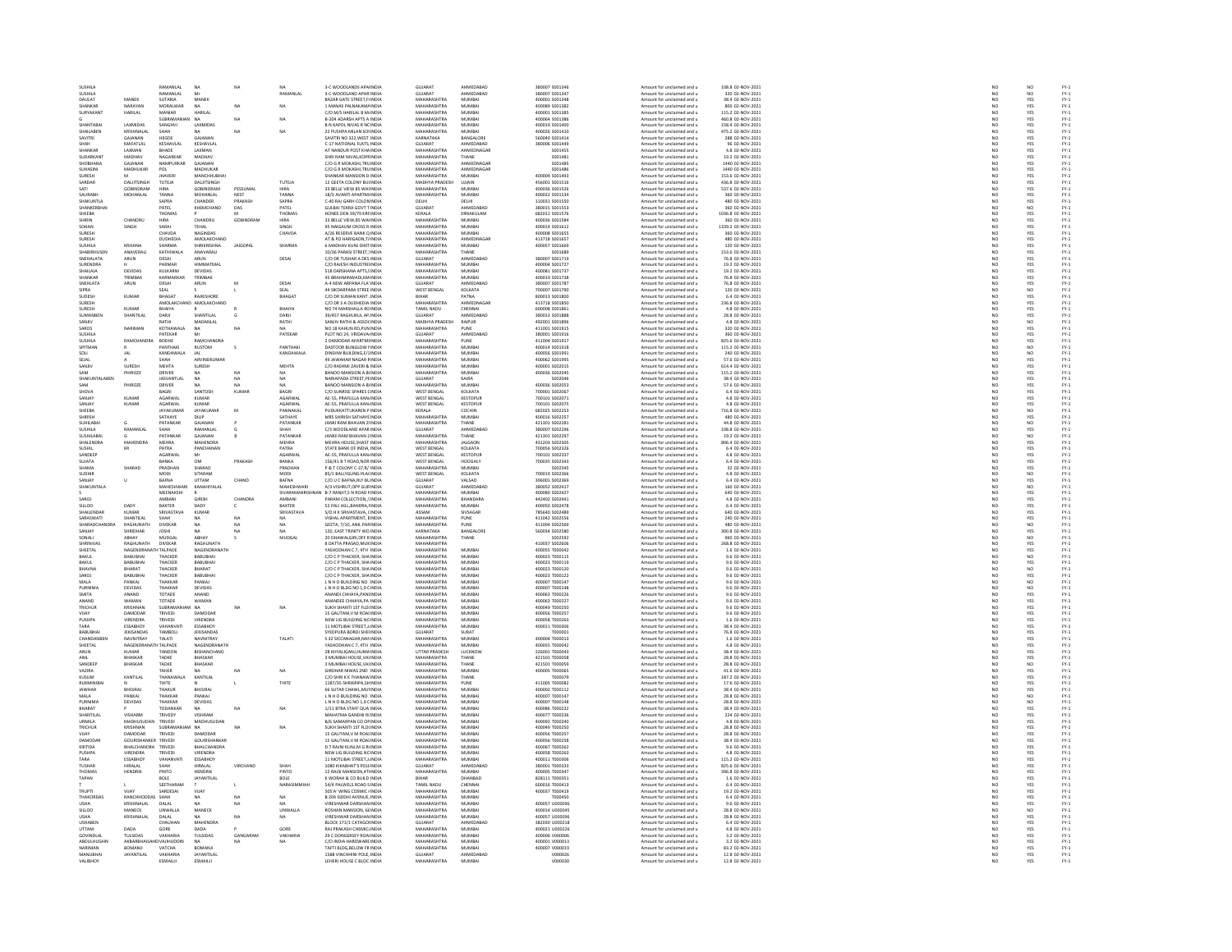| SUSHIL                      |                              | RAMANLA              | NA                           |                 |                      | 3-C WOODLANDS APA INDI                                         | GUJARA'                           | AHMEDABAI                   | 380007 S00134                    | Amount for unclaimed and u                               | 108.8 02-NOV-2021                    |                          |                   |                                                                          |
|-----------------------------|------------------------------|----------------------|------------------------------|-----------------|----------------------|----------------------------------------------------------------|-----------------------------------|-----------------------------|----------------------------------|----------------------------------------------------------|--------------------------------------|--------------------------|-------------------|--------------------------------------------------------------------------|
| SUSHILA                     |                              | RAMANLAL             | Mr                           |                 | RAMANLAI             | 3-C WOODLAND APAR INDIA                                        | GUJARAT                           | AHMEDABAD                   | 380007 S001347                   | Amount for unclaimed and u                               | 320 02-NOV-2021                      |                          | NO <sub></sub>    |                                                                          |
| DAULAT                      | MANEK                        | <b>SUTARIA</b>       |                              |                 |                      | BAZAR GATE STREET,FINDL                                        | <b>MAUARASUTRA</b>                | MUMBAL                      | 400001 S001348                   | Amount for unclaimed and u                               | 38.4 02-NOV-202                      | NO<br>NO                 |                   | FY-3<br>FY-3<br>FY-3                                                     |
| SHANKAR                     | NARAYAN                      | MORALWAR             | <b>NA</b>                    | NA              | NA                   | 1 MANAS PALNAKAM/ INDIA                                        | MAHARASHTRA                       | MUMBAI                      | 400089 S001382                   | Amount for unclaimed and u                               | 800 02-NOV-2021                      | NO                       | YES               |                                                                          |
| SURYAKANT                   | HARILAL                      | MANIAR               | HARILAI                      |                 |                      | C/O M/S HARILAL B.M. INDIA                                     | MAHARASHTRA                       | MUMRAL                      | 400001 5001385                   | Amount for unclaimed and u                               | 115.2 02-NOV-2021                    | NO                       | YES               | FY:<br>FY:                                                               |
|                             |                              | SUBRAMANIAN          | NA                           | NA              | NA                   | B-204 ADARSH APTS A INDIA                                      | MAHARASHTRA                       | MUMBAI                      | 400064 S001386                   | Amount for unclaimed and u                               | 460.8 02-NOV-2021                    | NO                       | YES               |                                                                          |
| SHANTARA                    | LAXMIDAS                     | SANGHVI              | LAXMIDA*                     |                 |                      | B N KAPOL NIVAS B NC INDIA                                     | MAHARASHTRA                       | MUMRAL                      | 400019.5001400                   | Amount for unclaimed and u                               | 158.4.02-NOV-2021                    | NO                       | YES<br>YES        | FY-)<br>FY-)                                                             |
| SHAILABEN                   | KRISHNALA                    |                      |                              | NA              | NA                   | 22 PUSHPA MILAN SOFINDIA                                       | MAHARASHTRA                       | MUMBA                       | 400026 S001410                   | Amount for unclaimed and u                               | 475.2 02-NOV-2021                    | $\overline{NQ}$          |                   |                                                                          |
| SAVITRI                     | GAJANAN<br>MAFATLA           | HEGDE                | GAJANAN<br>KESHAVLA          |                 |                      | SAVITRI NO 322.WEST INDIA                                      | <b>KARNATAKA</b>                  | BANGALORE<br>HMEDABA        | 560040 S001414                   | Amount for unclaimed and u                               | 288 02-NOV-2021                      | NO                       | YES               |                                                                          |
| SHANKAR                     | LAXMAN                       | KESHAVLAL<br>BHADE   | LAXMAN                       |                 |                      | AT NANDUR POST KHAINDIA                                        | SUJARAT<br>MAHARASHTRA            | AHMEDNAGAR                  | 380006 S00144<br>S001455         | Amount for unclaimed and u<br>Amount for unclaimed and u | 96 02-NOV-2021<br>4.8 02-NOV-2021    | $\frac{NO}{NO}$          | YES<br>YES        | FY-3<br>FY-3<br>FY-3                                                     |
| SUDARKANT                   | MADHAV                       | NAGARKAR             | MADHAV                       |                 |                      | SHRI RAM NIVAS KOPRINDIA                                       | MAHARASHTRA                       | THANE                       | \$001481                         | Amount for unclaimed and u                               | 19.2 02-NOV-2021                     |                          |                   |                                                                          |
| SHOBHANA                    | GAJANAN                      | NAMPURKAE            | GAJANAN                      |                 |                      | C/O G R MOKASHI, TRU INDIA                                     | MAHARASHTRA                       | AHMEDNAGA                   | S001485                          | Amount for unclaimed and u                               | 1440 02-NOV-2021                     | NO<br>NO                 | YES<br>YES        | FY-)<br>FY-)                                                             |
| SUHASINI                    | MADHUKAR                     | POL                  | MADHUKAR                     |                 |                      | C/O G R MOKASHI.TRU INDIA                                      | MAHARASHTRA                       | AHMEDNAGAR                  | S001486                          | Amount for unclaimed and u                               | 1440 02-NOV-2021                     | NO                       | YES               |                                                                          |
| SURESH                      |                              | <b>JHAVER</b>        | <b>MANCHHUBH</b>             |                 |                      | <b>SHANKAR MANSION D INDI</b>                                  | MAHARASHTRA                       | MUMBAI                      | 400004 S001493                   | Amount for unclaimed and u                               | 153.6 02-NOV-2021                    | NO                       | YES               | 기 기 기 기 기 기 기 기 기 기 기 기 기 기 기 기 기 기<br>이 시 기 기 시 시 기 기 기 시 시 시 시 시 시 시 시 |
| SARDAR                      | DALITSINGH                   | TUTEJA               | DALITSINGH                   |                 | TUTEJA               | 12 GEETA COLONY BUI INDIA                                      | MADHYA PRADESH                    | <b>UJJAIN</b>               | 456001 S001516                   | Amount for unclaimed and u                               | 436.8 02-NOV-2021                    | NO                       | YES               |                                                                          |
|                             | GOBINDRAM                    |                      | GOBINDRAM                    | PESSUMAL        |                      | 33 BELLE VIEW 85 WAI INDI                                      | <b>MAHARASHTRA</b>                | MUMBA                       | 400036 S00152                    | Amount for unclaimed and u                               | 537.6 02-NOV-2021                    | $\overline{\mathsf{NC}}$ | YES               |                                                                          |
| SAURABH                     | MOHANLAL                     | TANNA                | MOHANLAL                     | NEST            | TANNA                | 18/3 AVANTI APARTM INDIA                                       | MAHARASHTRA                       | MUMBAI                      | 400022 S001534                   | Amount for unclaimed and u                               | 360 02-NOV-2021                      | NO<br>NO                 | YES               |                                                                          |
| <b>SHAKLINTLA</b>           |                              | SAPRA                | CHANDER                      | PRAKASH         | SAPRA                | C-40 RAI GARH COLON INDIA                                      | <b>DELHI</b>                      | <b>DELHI</b>                | 110031-5001550                   | Amount for unclaimed and u                               | 480.02-NOV-2021                      |                          | YES               |                                                                          |
| SHANKERBHA                  |                              | PATEL                | KHEMCHAND                    | DAS             | PATEL                | <b>GULBAI TEKRA GOVT TINDI</b>                                 | <b>GUJARAT</b>                    | AHMEDABA                    | 380015 S001553                   | Amount for unclaimed and u                               | 360 02-NOV-2021                      | $\overline{NQ}$          | NQ                |                                                                          |
| SHEEBA                      |                              | THOMAS               |                              | M               | THOMAS               | HONEE DEN 39/79 KRI INDIA                                      | KERALA                            | ERNAKULAM                   | 682011 S001576                   | Amount for unclaimed and u                               | 1036.8 02-NOV-2021                   | NO                       | YES               |                                                                          |
| SHIRIN                      | CHANDRL                      | HIRA                 | CHANDRU                      | GOBI            | HIRA                 | 33 BELLE VIEW, 85 WAI INDI                                     | <b>MAHARASHTRA</b>                | MUMBAI                      | 400036 S00158                    | Amount for unclaimed and u                               | 360 02-NOV-2021                      | $\overline{\mathsf{NC}}$ | YES               |                                                                          |
| SOHAN                       | SINGH                        | SARAI                | TEHAL<br>NAGINDAS            |                 | SINGH                | 95 NAIGAUM CROSS R INDIA                                       | MAHARASHTRA<br><b>MAHARASHTRA</b> | MUMBAI<br>MUMBAI            | 400014 S001612                   | Amount for unclaimed and u                               | 1339.2 02-NOV-2021                   | NO <sub>1</sub>          | YES               |                                                                          |
| SURESH<br>SURESH            |                              | CHAVDA<br>DUDHEDIA   | AMOLAKCHAND                  |                 | CHAVDA               | A/26 RESERVE BANK Q INDI<br>AT & PO HARIGAON, T/ INDIA         | MAHARASHTRA                       | AHMEDNAGAR                  | 400008 S00165<br>413718 S001657  | Amount for unclaimed and u<br>Amount for unclaimed and u | 360 02-NOV-2021<br>480 02-NOV-2021   | NO<br>NO                 | YES<br>YES        |                                                                          |
| SUSHILA                     | KRISHNA                      | <b>SHARMA</b>        | SHRIKRISHNA                  | <b>JAIGOPAL</b> | SHARMA               | <b>6 MADHAV KUNJ DIXIT INDIA</b>                               | MAHARASHTRA                       | MUMBAL                      | 400057 S001669                   | Amount for unclaimed and u                               | 120 02-NOV-2021                      | NO                       | YES               |                                                                          |
| SHABIRHUSEN                 | ANAVERALI                    | KATHIWALA            | ANAVARALI                    |                 |                      | 10/36 PARASI STREET, INDIA                                     | MAHARASHTRA                       | THANE                       | S001689                          | Amount for unclaimed and u                               | 153.6 02-NOV-2021                    |                          | YES               |                                                                          |
| SNEHALATA                   | ARUN                         | DESAI                | ARUN                         |                 | DESAI                | C/O DR TUSHAR A DES INDIA                                      | GUJARAT                           | AHMEDABAD                   | 380007 S001719                   | Amount for unclaimed and u                               | 76.8 02-NOV-2021                     | NO<br>NO                 | YES               |                                                                          |
| SURENDRA                    |                              | PARMAR               | HIMMATMAL                    |                 |                      | .<br>C/O RAJESH INDUSTRII IND                                  | <b>MAHARASHTRA</b>                | MUMBAI                      | 400004 S00172                    | Amount for unclaimed and u                               | 19.2 02-NOV-2021                     | $\overline{\mathsf{NC}}$ | YES               |                                                                          |
| SHAILAJA                    | DEVIDAS                      | KULKARNI             | <b>DEVIDAS</b>               |                 |                      | 518 DARSHANA APTS.5 INDIA                                      | MAHARASHTRA                       | MUMBAI                      | 400081 S001737                   | Amount for unclaimed and u                               | 19.2 02-NOV-2021                     | NO <sub>1</sub>          | YES               |                                                                          |
| CUANKAD                     | TRIMPAK                      | KARMARKA             | TRIMRAK                      |                 |                      | IS BRAHMINWADI MAINDI                                          | MAHARASHTRA                       | MUMBAL                      | 400019 S001738                   | Amount for unclaimed and u                               | 76.8 02-NOV-2021                     | NO                       | YES               |                                                                          |
| SNEHLATA                    | ARUN                         | DESAI                | ARUN                         | M               | DESAI                | A-4 NEW ARPANA FLA' INDIA                                      | GUJARAT                           | AHMEDABAD                   | 380007 S001787                   | Amount for unclaimed and u                               | 76.8 02-NOV-2021                     | NO                       | YES               |                                                                          |
| <b>SIPRA</b>                |                              | SEAL                 |                              |                 | SEAL                 | 44 SIKDARPARA STREE INDL                                       | WEST BENGAL                       | KOLKATA                     | 700007 5001790                   | Amount for unclaimed and u                               | 120 02-NOV-2021                      | NO                       | NO<br>YES         |                                                                          |
| SUDESH                      | KUMAR                        | <b>BHAGAT</b>        | RAJKISHORE                   |                 | BHAGAT               | C/O DR SUMAN KANT. INDIA                                       | <b>BIHAR</b>                      | PATNA                       | 800013 S001800                   | Amount for unclaimed and u                               | 6.4 02-NOV-2021                      | NO                       |                   |                                                                          |
| SURFSH<br>SURESH            | KUMAR                        |                      | AMOLAKCHAND, AMOLAKCHAND     |                 | BHAIYA               | C/O DR S A DUDHEDIA INDIA<br>VO 74 MARSHALLA RC INDI           | MAHARASHTRA                       | AHMEDNAGAR<br>CHENNAL       | 413718 5001850                   | Amount for unclaimed and u                               | 236.8.02-NOV-2021                    | NO<br>NO                 | YES<br>YES        |                                                                          |
|                             |                              |                      |                              |                 |                      |                                                                | <b>CAMIL NADU</b>                 |                             | 00008 S001861                    | Amount for unclaimed and u                               | 4.8 02-NOV-2021                      |                          |                   |                                                                          |
| SUMANBER<br>SANJIV          | SHANTILAL                    | DARJI<br>RATHI       | SHANTILAL<br>MADANLAL        |                 | DARJI<br>RATHI       | 39/457 RAGHUKUL AP. INDIA<br>SANJIV RATHI & ASSOCINDI          | GUJARAT<br>MADHYA PRADESH         | AHMEDABAD<br>RAIPUR         | 380013 S001888<br>492001 S00189  | Amount for unclaimed and u<br>Amount for unclaimed and u | 28.8 02-NOV-2021<br>4.8 02-NOV-2021  | $\frac{NO}{NO}$          | YES               | FY-1<br>FY-1<br>FY-1<br>FY-1                                             |
| SAROS                       | NARIMAN                      | KOTHAWALA            | NA                           | NA              | NA.                  | NO 18 KAHUN RD, PUN INDIA                                      | MAHARASHTRA                       | PUNE                        | 411001 S001919                   | Amount for unclaimed and u                               | 320 02-NOV-2021                      | NO                       | NO<br>YES         |                                                                          |
| SLISHILA                    |                              | PATFKAR              | Mr                           |                 | PATEKAR              | PLOT NO 24, VRIDAVA INDIA                                      | GUIARAT                           | AHMEDARAD                   | 380001 5001916                   | Amount for unclaimed and u                               | 360 02-NOV-2021                      |                          |                   |                                                                          |
| SUSHILA                     | RAMCHAND                     | BODHE                | RAMCHANDRA                   |                 |                      | 2 DAMODAR APARTMI INDIA                                        | MAHARASHTRA                       | PUNE                        | 411004 S001917                   | Amount for unclaimed and u                               | 825.6 02-NOV-2021                    | NO<br>NO                 | YES<br>YES        | FY-)<br>FY-)                                                             |
| SPITMAN                     |                              | PANTHAKI             | <b>RUSTOM</b>                |                 | PANTHAKI             | DASTOOR BUNGLOW UNDIA                                          | MAHARASHTRA                       | MUMBAL                      | 400014 5001918                   | Amount for unclaimed and u                               | 115.2.02-NOV-2021                    | NO                       | NO                |                                                                          |
|                             |                              | KANDAWALA            | <b>JAL</b>                   |                 | KANDAWALA            | DINSHW BUILDING, F/1INDI                                       | MAHARASHTRA                       | MUMBA                       | 400056 S001991                   | Amount for unclaimed and u                               | 240 02-NOV-2021                      | $\frac{NO}{NO}$          |                   | FY-3<br>FY-3<br>FY-3                                                     |
| SEJAL                       |                              | SHAH                 | ARVINDKUMAF                  |                 |                      | 49 JAWAHAR NAGAR FINDIA                                        | MAHARASHTRA                       | MUMBAI                      | 400062 S001995                   | Amount for unclaimed and u                               | 57.6 02-NOV-2021                     |                          | NO<br>YES         |                                                                          |
| SANITY                      | SURFSH                       | <b>MEHTA</b>         | SURESH                       |                 | MEHTA                | C/O RASHMI ZAVERI & INDIA                                      | MAHARASHTRA                       | MUMRAL                      | 400001 5002015                   | Amount for unclaimed and u                               | 614.4 02-NOV-2021                    | NO<br>NO                 | YES<br>YES        | FY-3<br>FY-3                                                             |
| SAM                         | PHIROZ                       | DRIVER               | <b>NA</b>                    | NA              | <b>NA</b>            | BANOO MANSION A BHNDIA                                         | MAHARASHTRA                       | MUMBAI                      | 400036 S002049                   | Amount for unclaimed and u                               | 115.2 02-NOV-2021                    |                          |                   |                                                                          |
| <b>SHAKLINTALAREN</b>       |                              | <b>IASVANTI AI</b>   | NA                           | NA              | NA                   | NARIAPADA STREET PEINDIA                                       | GUIARAT                           | KAIRA                       | sonzoar                          | Amount for unclaimed and u                               | 38.4.02-NOV-2021                     | NO<br>NO                 | YES<br>YES        | FY-)<br>FY-)                                                             |
| SAM                         | PHIROZ                       | DRIVER               |                              |                 | NA                   | BANOO MANSION A BI INDI                                        | <b>MAHARASHTRA</b>                | MUMBA                       | 400036 S002053                   | Amount for unclaimed and u                               | 57.6 02-NOV-2021                     |                          |                   |                                                                          |
| <b>SHOVA</b><br>SANJA)      |                              | BAGRI                | SANTOSH<br>KUMAR             | KUMAR           | BAGRI<br>AGARWA      | C/O SUNRISE SPARES CINDIA                                      | <b>WEST BENGAL</b><br>WEST BENGAL | KOLKATA                     | 700001 S002067<br>700101 S002071 | Amount for unclaimed and u                               | 6.4 02-NOV-2021<br>4.8 02-NOV-2021   | NO<br>NO                 | YES               |                                                                          |
| SANJAY                      | KUMAI<br>KUMAR               | AGARWAL<br>AGARWAL   | KUMAR                        |                 | AGARWAL              | 4E-55, PRAFULLA KAN INDIA<br>AE-55, PRAFULLA KAN INDIA         | <b>WEST BENGAL</b>                | KESTOPUR<br><b>KESTOPUR</b> | 700101 S002075                   | Amount for unclaimed and u<br>Amount for unclaimed and u | 4.8 02-NOV-2021                      | NO <sub>1</sub>          | YES<br>YES        |                                                                          |
| SHEEBA                      |                              |                      | <b>JAYAKUMAR</b>             | M               |                      | PUDUKKATTUKAREN P INDI                                         |                                   |                             | 682025 S00225                    | Amount for unclaimed and u                               | 716.8 02-NOV-2021                    |                          |                   | FY - :<br>FY - :<br>FY - :<br>FY - :<br>FY - :                           |
| SHIRISH                     |                              | JAYAKUMAI<br>SATHAYE | DILIP                        |                 | PANNAKA              | MRS SHIRISH SATHAYE INDIA                                      | KERALA<br>MAHARASHTRA             | COCHIN<br>MUMBAI            | 400016 S002257                   | Amount for unclaimed and u                               | 480 02-NOV-2021                      | $\frac{1}{N}$            | NO<br>YES         |                                                                          |
| <b>SUHILARAL</b>            |                              | PATANKAR             | GAIANAN                      |                 | PATANKAR             | <b>JANKI RAM RHAVAN 2LINDIA</b>                                | MAHARASHTRA                       | THANE                       | 421301 5002281                   | Amount for unclaimed and u                               | 44 8 02-NOV-2021                     | NO                       | NO                |                                                                          |
| SUSHILA                     | RAMANLA                      |                      | RAMANLAL                     |                 |                      | C/3 WOODLAND APAR INDI                                         | GUJARAT                           | AHMEDABAD                   | 380007 S00229                    | Amount for unclaimed and u                               | 108.8 02-NOV-2021                    | NO                       | YES               |                                                                          |
| SUSHILABAI                  |                              | PATANKAR             | GAJANAN                      |                 | PATANKAR             | JANKII RAM BHAVAN 2 INDIA                                      | MAHARASHTRA                       | THANE                       | 421301 S002297                   | Amount for unclaimed and u                               | 19.2 02-NOV-2021                     | NO <sub>1</sub>          | NO <sub></sub>    |                                                                          |
| SHALENDRA                   |                              | MEHRA                | <b>MAHENDR</b>               |                 | MEHRA                | MEHRA HOUSE, SHAST INDI                                        | <b>MAHARASHTRA</b>                | <b>JALGAON</b>              | 431203 S00230                    | Amount for unclaimed and u                               | 806.4 02-NOV-2021                    | NO                       | YES               |                                                                          |
| <b>SUSHIL</b><br>SANDEER    | KR                           | PATRA<br>AGARWAI     | PANCHANAN<br>Mr              |                 | PATRA<br>AGARWA      | STATE BANK OF INDIA, INDIA<br>E-55, PRAFULLA KAN INDI          | WEST BENGAL<br>WEST BENGAL        | KOLKATA<br><b>KESTOPUR</b>  | 700056 S002326<br>700101 S00233  | Amount for unclaimed and u<br>Amount for unclaimed and u | 6.4 02-NOV-2021<br>4.8 02-NOV-2021   | NO<br>NO                 | YES<br>YES        |                                                                          |
| SUJATA                      |                              | BANKA                | OM                           | PRAKASH         | BANKA                | 156/41 B T ROAD, NOR INDIA                                     | <b>WEST BENGAL</b>                | HOOGHLY                     | 700035 S002343                   | Amount for unclaimed and u                               | 6.4 02-NOV-2021                      |                          | YES               |                                                                          |
| SHAMA                       | SHARAD                       | PRADHAN              | SHARAD                       |                 | PRADHAN              | P & T COLONY C-37.R/ INDIA                                     | <b>MAHARASHTRA</b>                | MUMBAI                      | S002345                          | Amount for unclaimed and u                               | 32 02-NOV-2021                       | NO<br>NO                 | YES               |                                                                          |
| SUDHIR                      |                              | MODI                 | SITARAM                      |                 | MODI                 | 85/1 BALLYGUNG PLACINDI                                        | WEST BENGAL                       | KOLKATA                     | 700019 S00236                    | Amount for unclaimed and u                               | 4.8 02-NOV-2021                      | NO                       | NO                |                                                                          |
| SANJAY                      | n.                           | BAFNA                | UTTAM                        | CHAND           | <b>BAFNA</b>         | C/O U C BAFNA.RLY BL INDIA                                     | GUJARAT                           | VALSAD                      | 396001 S002369                   | Amount for unclaimed and u                               | 6.4 02-NOV-2021                      | NO                       | YES               |                                                                          |
| SHAKUNTALA                  |                              | MAHESHWAR            |                              |                 | MAHESHWAR            |                                                                | <b>GUJARAT</b>                    | HMEDABA                     | 880052 S00241                    | Amount for unclaimed and u                               | 160 02-NOV-2021                      | $_{NC}$                  | NO                |                                                                          |
|                             |                              | MEENAKSHI            |                              |                 |                      | SIVARAMAKRISHNAN B-7 RANJIT.S N ROAD I INDIA                   | MAHARASHTRA                       | MUMBAI                      | 400080 S002427                   | Amount for unclaimed and u                               | 640 02-NOV-2021                      | NO <sub>1</sub>          | YES               |                                                                          |
| CAROL                       |                              | AMBAN                | <b>GIRICL</b>                | <b>CHANDRA</b>  | <b>ABARANI</b>       | PARAM COLLECTION  INDI                                         | MAHARASHTRA                       | BHANDARA                    | 442402 S00244                    | Amount for unclaimed and u                               | 4.8 02-NOV-2021                      | NO                       | YES               |                                                                          |
| SILLOO<br><b>SHAILENDAR</b> | DAD)<br>KUMAR                | BAXTER<br>SRIVASTAVA | DADY<br>KUMAR                |                 | BAXTER<br>SRIVASTAVA | 52 PALI HILL, BANDRA, IINDIA<br>S/O H K SRIVASTAVA, CINDIA     | MAHARASHTRA<br>MA22A              | MUMBAI<br>SIVSAGAR          | 400050 S002478<br>785640 S002489 | Amount for unclaimed and u<br>Amount for unclaimed and u | 6.4 02-NOV-2021                      | NO                       | YES               | 기 기 기 기 기 기 기 기 기 기 기 기 기 기 기 기 기<br>이 시 기 기 시 시 기 기 기 시 시 시 시 시 시 시 시   |
|                             | <b>HANTILA</b>               |                      |                              | NA              |                      | HAL APARTMENT, EINDL                                           | <b>MAHARASHTRA</b>                | PUNE                        | 411042 S00255                    | Amount for unclaimed and u                               | 640 02-NOV-2021<br>240 02-NOV-2021   | NO<br>NO                 | YES<br>YES        |                                                                          |
| SHARADCHANDRA               | RAGHUNATH                    | <b>DIVEKAR</b>       | <b>NA</b>                    | NA              | NA                   | GEETA, 7/10, ANIL PARINDIA                                     | MAHARASHTRA                       | PUNE                        | 411004 S002569                   | Amount for unclaimed and u                               | 480 02-NOV-2021                      | NO                       | NO <sub></sub>    |                                                                          |
| SANJAY                      | HRIDHAP                      | <b>JOSHI</b>         |                              |                 |                      | 120, EAST TRINITY WO INDI                                      | KARNATAKA                         | ANGALORE                    | 560034 S00258                    | Amount for unclaimed and u                               | 300.8 02-NOV-2021                    | NO                       | YES               |                                                                          |
| SONALI                      | ABHAY                        | MUDGAL               | ABHAY                        | s               | MUDGAL               | 20 DHAWALGIRI, OFF RINDIA                                      | <b>MAHARASHTRA</b>                | THANE                       | S002592                          | Amount for unclaimed and u                               | 960 02-NOV-2021                      | NO                       | NO                |                                                                          |
| SHRINIVAS                   | RAGHUNATH                    | DIVEKAR              | <b>RAGHLINATH</b>            |                 |                      | 8 DATTA PRASAD, MUKINDIA                                       | MAHARASHTRA                       |                             | 410037 S002606                   | Amount for unclaimed and u                               | 268.8 02-NOV-2021                    | NO                       | YES<br>YES        |                                                                          |
| SHEETAL                     | NAGENDRANATH TALPADE         |                      | NAGENDRANATH                 |                 |                      | YASHODHAN C 7, 4TH INDIA                                       | MAHARASHTRA                       | MUMBAI                      | 400055 T000042                   | Amount for unclaimed and u                               | 1.6 02-NOV-2021                      | NO                       |                   |                                                                          |
| RAKIII                      | RABURHA                      | THACKER              | RABURHAL                     |                 |                      | C/O C P THACKER SHAINDIA                                       | MAHARASHTRA                       | MUMRAL                      | 400023 T000115                   | Amount for unclaimed and u                               | 9.6 02-NOV-2021                      | NO<br>NO                 | NO <sub>1</sub>   | FY-)<br>FY-)                                                             |
| BAKUL                       | BABUBHA                      | THACKER              | BABUBHA                      |                 |                      | C/O C P THACKER, SHA INDI                                      | MAHARASHTRA                       | MUMBAI                      | 400023 T000119                   | Amount for unclaimed and u                               | 9.6 02-NOV-2021                      |                          | YES               |                                                                          |
| RHAVNA<br>SAROJ             | RHARAT<br>0.0011014          | THACKER<br>THACKER   | RHARAT<br>BABUBHA            |                 |                      | C/O C P THACKER SHAINDIA<br><b>C/O C P THACKER, SHAINDL</b>    | MAHARASHTRA<br><b>MAUADACUTRA</b> | MUMBAL<br><b>MUMBAL</b>     | 400023 T000120<br>400023 T00012  | Amount for unclaimed and u                               | 9.6.02-NOV-2021<br>9.6 02-NOV-2023   | NO<br>NO                 | NO                | FY-3<br>FY-3<br>FY-3                                                     |
| MALA                        | PANKAJ                       | THAKKAR              | PANKAJ                       |                 |                      | L N H O BUILDING NO INDIA                                      | MAHARASHTRA                       | MUMBAI                      | 400007 T000147                   | Amount for unclaimed and u<br>Amount for unclaimed and u | 9.6 02-NOV-2021                      | NO                       | YES<br>NO         |                                                                          |
| PURNIMA                     | <b>DEVIDAS</b>               | THAKKAR              | DEVIDAS                      |                 |                      | L N H O BLDG NO 1.9 CINDI                                      | MAHARASHTRA                       | MUMRAL                      | 400007 T000148                   | Amount for unclaimed and u                               | 9.6 02-NOV-2021                      |                          |                   |                                                                          |
| SMITA                       | ANAND                        | TOTADE               | ANAND                        |                 |                      | ANANDI CHHAYA, PANI INDI                                       | MAHARASHTRA                       | MUMBAI                      | 400063 T000226                   | Amount for unclaimed and u                               | 9.6 02-NOV-2021                      | NO<br>NO                 | NO<br>YES         | FY-3<br>FY-3                                                             |
| ANAND                       | WAMAN                        | TOTADE               | WAMAN                        |                 |                      | ANANDEE CHHAYA PA INDIA                                        | MAHARASHTRA                       | MUMRAL                      | 400063 T000223                   | Amount for unclaimed and u                               | 9.6.02-NOV-2021                      | NO                       |                   |                                                                          |
| TRICHUR                     | <b>KRISHNAI</b>              | SUBRAMA              | NA                           | NA              | NA                   | SUKH SHANTI 1ST FLOUNDIA                                       | MAHARASHTRA                       | MUMBA                       | 400049 T000250                   | Amount for unclaimed and u                               | 9.6 02-NOV-2021                      | $\overline{NQ}$          | YES<br>YES        |                                                                          |
| VUAY                        | DAMODAR                      | TRIVEDI              | DAMODAR                      |                 |                      | 15 GAUTAM.V M ROALINDIA                                        | MAHARASHTRA                       | MUMBAI                      | 400056 T000257                   | Amount for unclaimed and u                               | 9.6 02-NOV-2021                      | NO                       | YES               | FY-1<br>FY-1<br>FY-1<br>FY-1                                             |
| <b>PUSHPA</b>               |                              | TRIVEDI              | VIRENDRA                     |                 |                      | NEW LIG BUILDING NC IND                                        | <b>MAHARASHTRA</b>                | MUMBA                       |                                  | Amount for unclaimed and u                               | 1.6 02-NOV-2021                      | $\frac{1}{N}$            | YES<br>YES        |                                                                          |
| TARA                        | <b>ESSABHOY</b>              | VAHANVATI            | <b>ESSABHOY</b>              |                 |                      | 11 MOTLIBAI STREET, INDIA                                      | MAHARASHTRA                       | MUMBAI                      | 400011 T000306                   | Amount for unclaimed and u                               | 38.4 02-NOV-2021                     |                          |                   |                                                                          |
| RABURHAL                    | <b>IFKISANDAS</b>            | TAMBOLI              | <b>IFKISANDAS</b>            |                 |                      | SYEDPLIRA RORDI SHELINDIA                                      | GUIARAT                           | SURAT                       | T000001                          | Amount for unclaimed and u                               | 76.8 02-NOV-2021                     | NO<br>NO                 | YES<br>YES        | FY-)<br>FY-)                                                             |
| CHANDANBEI                  | NAVNITRAY                    | TALATI               | NAVNITRAY                    |                 | TALATI               | S 32 SICCANAGAR, NAMINDIA                                      | MAHARASHTRA                       | MUMBAI                      | 400004 T000013                   | Amount for unclaimed and u                               | 1.6 02-NOV-2021                      |                          |                   |                                                                          |
| SHEETAL                     | NAGENDRA                     | <b>TH TALPADE</b>    | NAGENDRANATH                 |                 |                      | YASHODHAN C 7, 4TH INDIA                                       | MAHARASHTRA                       | MUMBAI                      | 400055 T000042                   | Amount for unclaimed and u                               | 4.8 02-NOV-2021                      | NO                       | YES               | FY-3<br>FY-3                                                             |
| ARUN<br>ANIL                | KUMAR<br><b>BHASKAR</b>      | TANDON<br>TADKE      | BISHANCHAND<br>BHASKAR       |                 |                      | 28 KHYALIGANJ, HUMA INDI<br>3 MUMBAI HOUSE.VALINDIA            | UTTAR PRADESH<br>MAHARASHTRA      | LUCKNOW<br>THANE            | 226001 T00004<br>421501 T000058  | Amount for unclaimed and u<br>Amount for unclaimed and u | 38.4 02-NOV-2021<br>28.8 02-NOV-2021 | NO<br>NO <sub>1</sub>    | YES<br>YES        |                                                                          |
| SANDEER                     | BHASKAR                      |                      | BHASKAR                      |                 |                      | 3 MUMBAI HOUSE, VALINDL                                        | <b>MAHARASHTRA</b>                | THANE                       | 421501 T00005                    | Amount for unclaimed and u                               | 28.8 02-NOV-2021                     | $\overline{\mathsf{NC}}$ |                   |                                                                          |
| VAZIRA                      |                              | TADKE<br>TAHER       |                              | NA              | NA                   | GIRDHAR NIWAS 2ND INDIA                                        | MAHARASHTRA                       | MUMBAI                      | 400005 T000065                   | Amount for unclaimed and u                               | 41.6 02-NOV-2021                     |                          | NO                | FY-1<br>FY-1<br>FY-1<br>FY-1                                             |
| KLISLIM                     | KANTILAI                     | <b>THANAWAL</b>      | KANTILAI                     |                 |                      | C/O SHRI K K THANAW INDI                                       | MAHARASHTRA                       | THANF                       | TOOOOZS                          | Amount for unclaimed and u                               | 187.2.02-NOV-2021                    | NO<br>NO                 | YES<br>YES<br>YES |                                                                          |
| <b>RUKMINIB</b>             |                              | THITE                |                              |                 | THITE                | 1187/35 SHRIKRIPA, SHINDL                                      | MAHARASHTRA                       | PUNE                        | 411005 T000082                   | Amount for unclaimed and u                               | 17.6 02-NOV-2021                     | $\overline{NQ}$          |                   |                                                                          |
| JAWHAR                      | <b>BHOJRAJ</b>               | THAKUR               | BHOJRAJ                      |                 |                      | 66 SUTAR CHAWL MUINDIA                                         | MAHARASHTRA                       | MUMBAI                      | 400002 T000112                   | Amount for unclaimed and u                               | 38.4 02-NOV-2021                     | NO                       | YES               |                                                                          |
| MALA                        | PANKAJ                       | <b>ТНАККА</b> Р      | PANKAJ                       |                 |                      | L N H O BUILDING NO INDI                                       | <b>MAHARASHTRA</b>                | MUMBA                       | 400007 T00014                    | Amount for unclaimed and u                               | 28.8 02-NOV-2021                     | NO                       | NO                |                                                                          |
| PURNIMA                     | DEVIDAS                      | THAKKAR              | DEVIDAS                      |                 |                      | L N H O BLDG NO 1.9 C INDIA                                    | MAHARASHTRA                       | MUMBAI                      | 400007 T000148                   | Amount for unclaimed and u                               | 28.8 02-NOV-2021                     | NO                       | NO <sub></sub>    |                                                                          |
| BHARAT                      |                              | TODANKAR             |                              | NA              | NA                   | 1/11 BTRA STAFF QUA INDI                                       | MAHARASHTRA                       | MUMBAL                      | 400086 T00023                    | Amount for unclaimed and u                               | 38.4 02-NOV-2021                     | NO                       | YES               |                                                                          |
| SHANTILAL<br>URMILA         | VISHARM<br>MADHUSUDAN        | TRIVEDY<br>TRIVEDI   | VISHRAM                      |                 |                      | MAHATMA GANDHI R(INDIA                                         | MAHARASHTRA<br><b>MAHARASHTRA</b> | MUMBAI<br>MUMBAL            | 400077 T000236<br>400092 T00024  | Amount for unclaimed and u                               | 224 02-NOV-2021                      | NO                       | YES               |                                                                          |
| TRICHUR                     | KRISHNAN                     | SUBRAMANIAM          | <b>MADHUSUDAM</b><br>NA      | NA              | NA                   | B/6 SAMARPAN CO OF INDL<br>SUKH SHANTI 1ST FLOUNDIA            | MAHARASHTRA                       | MUMBAI                      | 400049 T000250                   | Amount for unclaimed and u<br>Amount for unclaimed and u | 4.8 02-NOV-2021<br>28.8 02-NOV-2021  | NO                       | YES<br>YES        |                                                                          |
| VIIAY                       | <b>DAMODAR</b>               | TRIVEDI              | DAMODAR                      |                 |                      | 15 GAUTAM.V M ROALINDIA                                        | MAHARASHTRA                       | MUMBAI                      | 400056 T000257                   | Amount for unclaimed and u                               | 28.8 02-NOV-2021                     | NO<br>NO                 | YES               |                                                                          |
| DAMODA                      | GOURISHANKE                  | TRIVED               | GOURISHANKAR                 |                 |                      | 15 GAUTAM, V M ROALINDI                                        | <b>MAHARASHTRA</b>                | MUMBA                       | 400056 T00025                    | Amount for unclaimed and u                               | 38.4 02-NOV-2023                     | $\overline{\mathsf{NC}}$ | YES               |                                                                          |
| KIRTIDA                     | BHALCHANDRA TRIVEDI          |                      | BHALCHANDRA                  |                 |                      | D 7 RAINI KUNJ M G RHNDIA                                      | MAHARASHTRA                       | MUMBAI                      | 400067 T000262                   | Amount for unclaimed and u                               | 9.6 02-NOV-2021                      | NO <sub>1</sub>          | YES               |                                                                          |
| <b>PUSHPA</b>               | <b>IRENDRA</b>               | TRIVED               | VIRENDRA                     |                 |                      | VEW LIG BUILDING NC INDI                                       | <b>MAHARASHTRA</b>                | MUMRAL                      | 400058 T000263                   | Amount for unclaimed and u                               | 4.8 02-NOV-2021                      | $_{NC}$                  | YES<br>YES        |                                                                          |
| TARA                        | ESSABHOY                     | VAHANVATI            | ESSABHOY                     |                 |                      | 11 MOTLIBAI STREET, INDIA                                      | MAHARASHTRA                       | MUMBAI                      | 400011 T000306                   | Amount for unclaimed and u                               | 115.2 02-NOV-2021                    | NO                       |                   |                                                                          |
| <b>TLISHAR</b>              | HIRAI AI                     | SHAH                 | HIRAI AI                     | VIRCHAND        | SHAH                 | <b>1080 KIKABHAT'S POLEINDI</b>                                | GUIARAT                           | AHMEDARAD                   | 380001 T000333                   | Amount for unclaimed and u                               | 825.6 02-NOV-2021                    | NO                       | YES<br>YES        |                                                                          |
| THOMAS                      | <b>HENDRIK</b>               | PINTO<br>ROLF        | HENDRIK<br><b>JAYANTILAI</b> |                 | PINTO<br>ROIF        | 12 RAJSI MANSION, 4THNDIA<br><b>WORAH &amp; CO BUILD INDIA</b> | MAHARASHTRA                       | MUMBAI<br><b>DHANRAD</b>    | 400005 T000347<br>828111 T000351 | Amount for unclaimed and u                               | 396.8 02-NOV-2021<br>1.6.02-NOV-2021 | NO                       |                   |                                                                          |
| TAPAN                       |                              |                      |                              |                 |                      | 54/4 PALWELS ROAD SINDL                                        | <b>RIHAR</b><br>TAMIL NADU        | <b>HENNA</b>                | 00016 T00041                     | Amount for unclaimed and u<br>Amount for unclaimed and u | 6.4 02-NOV-2023                      | NO<br>NO                 | YES<br>YES        |                                                                          |
| TRUPTI                      | VUAY                         | SARDESAI             | VIJAY                        |                 |                      | 505'A' WING COSMIC HNDIA                                       | MAHARASHTRA                       | MUMBAI                      | 400037 T000419                   | Amount for unclaimed and u                               | 19.2 02-NOV-2021                     | NO                       | YES               |                                                                          |
| THAKORDAS                   | RANCHHODDAS                  | SHAH                 |                              | NA              | NA                   | <b>B 204 SIDDHI AVENUE, INDI</b>                               | MAHARASHTRA                       | <b>MI IMRAI</b>             | TOODASC                          | Amount for unclaimed and u                               | 6.4 02-NOV-2021                      | NO                       | YES               |                                                                          |
| <b>USHA</b>                 | KRISHNALAL                   | DALAL                | NA                           | NA              | NA                   | VIRESHWAR DARSHAN INDIA                                        | MAHARASHTRA                       | MUMBAI                      | 400057 U00009                    | Amount for unclaimed and u                               | 9.6 02-NOV-2021                      | NO                       | YES               |                                                                          |
| 50110                       | MANECK                       | UNWALLA              | MANECK                       |                 | <b>UNWALLS</b>       | ROSHAN MANSION 64 INDIA                                        | MAHARASHTRA                       | MUMRAL                      | 400014 U000045                   | Amount for unclaimed and u                               | 28.8 02-NOV-2021                     | NO                       | N <sub>0</sub>    |                                                                          |
| <b>USHA</b>                 | KRISHNALAL                   | DALAL                |                              | NA.             | NA.                  | VIRESHWAR DARSHAN INDIA                                        | MAHARASHTRA                       | MUMBAI                      | 400057 U000096                   | Amount for unclaimed and u                               | 28.8 02-NOV-2021                     | NO                       | YES               |                                                                          |
| <b>LISHAREN</b>             |                              | CHALIHAN             | MAHENDRA                     |                 |                      | BLOCK 171/1 CATAGOLINDIA                                       | GUIARAT                           | AHMEDARAD                   | 382030 U000218                   | Amount for unclaimed and u                               | 6.4.02-NOV-2021                      | NO                       | YES               |                                                                          |
| UTTAM                       |                              | GORE                 | DADA                         |                 | GORE                 | RAJ PRAKASH CHEMIC INDI                                        | <b>MAHARASHTR</b>                 | MUMBAI                      | 400021 U000226                   | Amount for unclaimed and u<br>Amount for unclaimed and u | 4.8 02-NOV-2021                      |                          | YES<br>YES        | FY-1<br>FY-1<br>FY-1                                                     |
|                             |                              |                      |                              |                 |                      |                                                                |                                   |                             |                                  |                                                          |                                      |                          |                   |                                                                          |
| GOVINDLAI                   | TULSIDAS                     | VAKHARIA             | TULSIDAS                     | GANGARAM        | VAKHARIA             | 29 C DONGERSEY ROA INDIA                                       | MAHARASHTRA                       | MUMBAI                      | 400006 V000006                   |                                                          | 3.2 02-NOV-2021                      | NO                       |                   |                                                                          |
| <b>ARDULHUSAIN</b>          | <b>AKRARRHAIS</b>            | <b>VAIIHI IDDIN</b>  |                              |                 | NA                   | <b>CO INDIA HARDWARE INDIA</b>                                 | MAHARASHTRA                       | MUMRAL                      | 400001 V000013                   | Amount for unclaimed and u                               | 3.2 02-NOV-2021                      |                          | YES               |                                                                          |
| NARIMAN<br>MANURHA          | BOMANJI<br><b>JAYANTILAI</b> | VATCHA<br>VAKHARIA   | BOMANJI<br><b>JAYANTILAI</b> |                 |                      | TAFTI BLDG, BELOW FRINDIA<br>1588 VINCHHINLPOLE INDIA          | MAHARASHTRA<br>GUIARAT            | MUMBAI<br>AHMEDARAD         | 400007 V000019<br>vnoon26        | Amount for unclaimed and u<br>Amount for unclaimed and u | 83.2 02-NOV-2021<br>12.8 02-NOV-2021 | NO <sub></sub><br>NO     | YES<br>YES        | FY-3<br>FY-3                                                             |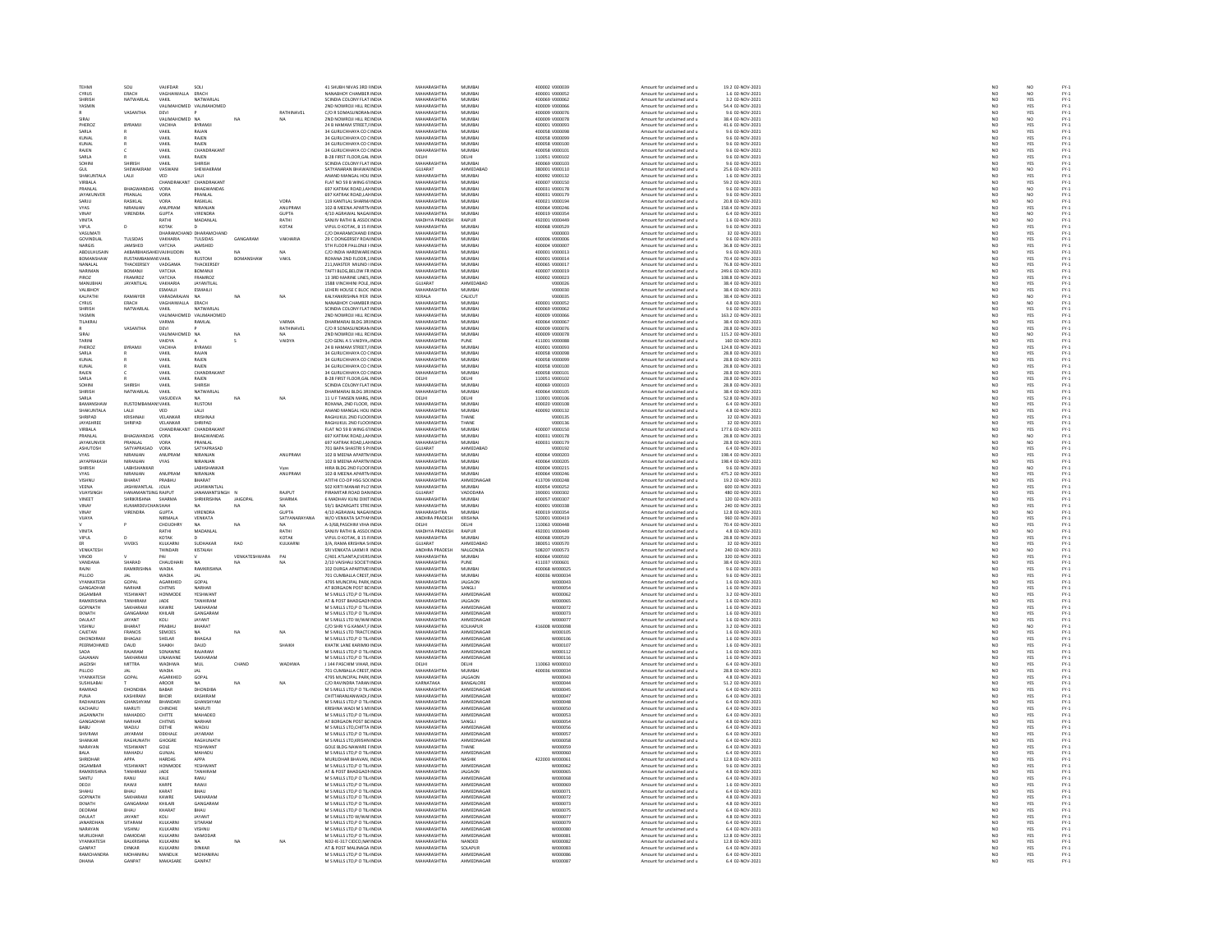| TEHMI                       | sou                    | VAIIFDAR               | sou                                  |                  |                 | 41 SHIJRH NIVAS 3RD UNDIA                                  | MAHARASHTRA                       | MUMRAL                  | ernono vonnose                   | Amount for unclaimed and u                               | 19.2.02-NOV-2021                    |                 | NO                              |                                            |
|-----------------------------|------------------------|------------------------|--------------------------------------|------------------|-----------------|------------------------------------------------------------|-----------------------------------|-------------------------|----------------------------------|----------------------------------------------------------|-------------------------------------|-----------------|---------------------------------|--------------------------------------------|
|                             |                        |                        |                                      |                  |                 |                                                            |                                   |                         |                                  |                                                          |                                     | NO<br>NO        |                                 | FY-1<br>FY-1<br>FY-1                       |
| CYRUS                       | ERACH                  | VAGHAIWALLA            | ERACH                                |                  |                 | NANABHOY CHAMBER INDU                                      | <b>MAHARASHTRA</b>                | MUMBA                   | 400001 V000052                   | Amount for unclaimed and u                               | 1.6 02-NOV-2021                     | NO              | NO                              |                                            |
| SHIRISH<br>YASMIN           | NATWARLAL              | VAKIL                  | NATWARLAL<br>VALIMAHOMED VALIMAHOMED |                  |                 | SCINDIA COLONY FLAT INDIA<br>2ND NOWROJI HILL RC INDIA     | MAHARASHTRA<br>MAUARASUTRA        | MUMBAI<br>5.4115.40.01  | 400069 V000062<br>snoong voorgee | Amount for unclaimed and u                               | 3.2 02-NOV-2021<br>54.4 02-NOV-2021 |                 | YES                             |                                            |
|                             |                        |                        |                                      |                  |                 |                                                            |                                   |                         |                                  | Amount for unclaimed and                                 |                                     | NO              | YES                             | FY:<br>FY:                                 |
|                             | VASANTHA               | DEVI<br>VALIMAHOMED NA |                                      |                  | RATHINAVEL      | C/O R SOMASUNDRAN INDIA<br><b>2ND NOWROTHELL BC INDIA</b>  | MAHARASHTRA<br>MAHARASHTRA        | MUMBAI<br>MUMRAL        | 400009 V000076                   | Amount for unclaimed and u                               | 9.6 02-NOV-2021<br>38.4.02-NOV-2021 | NO              | YES<br>$\overline{M}$           |                                            |
| SIRAI                       |                        |                        |                                      |                  | NA              |                                                            |                                   |                         | 400009 V000078                   | Amount for unclaimed and u                               |                                     | NO              |                                 | FY-3<br>FY-3                               |
| PHEROZ                      | BYRAMJI                | VACHHA                 | <b>BYRAMJ</b>                        |                  |                 | 24 B HAMAM STREET. I INDU                                  | MAHARASHTRA                       | MUMBA                   | 400001 V000093                   | Amount for unclaimed and u                               | 41.6 02-NOV-2021                    | $\overline{NQ}$ | YES                             |                                            |
| SARIA                       |                        | VAKIL                  | RAIAN                                |                  |                 | 34 GURUCHHAYA CO CINDIA                                    | MAHARASHTRA                       | MUMBAL                  | 400058 V000098                   | Amount for unclaimed and u                               | 9.6.02-NOV-2021                     | NO <sub>1</sub> | YES<br>YES                      | FY-3<br>FY-3                               |
| KUNAL                       |                        | VAKIL                  | RAJEN                                |                  |                 | 34 GURUCHHAYA CO (INDI                                     | <b>MAHARASHTRA</b>                | MUMBA                   | 400058 V000099                   | Amount for unclaimed and u                               | 9.6 02-NOV-2021                     | $\overline{N}$  |                                 |                                            |
| KUNAL                       |                        | VAKIL                  | RAJEN                                |                  |                 | 34 GURUCHHAYA CO CINDIA                                    | MAHARASHTRA                       | MUMBAI                  | 400058 V000100                   | Amount for unclaimed and u                               | 9.6 02-NOV-2021                     | NO<br>NO        | YES<br>YES<br>YES               | FY-3<br>FY-3<br>FY-3                       |
| RAIFN                       |                        | VAKIL                  | CHANDRAKAN                           |                  |                 | 34 GURUCHHAYA CO CINDIA                                    | MAHARASHTRA                       | MUMRAL                  | 400058 V000101                   | Amount for unclaimed and u                               | 9.6 02-NOV-2021                     |                 |                                 |                                            |
| SARLA                       |                        | VAKIL                  | RAJEN                                |                  |                 | <b>B-28 FIRST FLOOR, GAL INDIA</b>                         | DELHI                             | DELHI                   | 110051 V000102                   | Amount for unclaimed and u                               | 9.6 02-NOV-2021                     | NO              |                                 |                                            |
| SOHINI                      | SHIRISH                | VAKIL                  | SHIRISH                              |                  |                 | SCINDIA COLONY FLAT INDIA                                  | MAHARASHTRA                       | MUMRAL                  | Enronke voortos                  | Amount for unclaimed and u                               | 9.6.02-NOV-2021                     | NO <sub>1</sub> | YES<br>NO                       | FY-)<br>FY-)                               |
| GUL                         | SHEWAKRAN              | VASWAN                 | SHEWAKRAN                            |                  |                 | .<br>SATYANARAN BHAWAI INDU                                | GUJARAT                           | AHMEDABAD               | 380001 V000110                   | Amount for unclaimed and u                               | 25.6 02-NOV-2021                    | $\overline{N}$  |                                 |                                            |
| SHAKUNTALA                  | LALI                   | VED                    | LALI                                 |                  |                 | ANAND MANGAL HOU INDIA                                     | MAHARASHTRA                       | MUMBAI                  | 400092 V000132                   | Amount for unclaimed and u                               | 1.6 02-NOV-2021                     | NO <sub>1</sub> | YES<br>YES<br>NO                |                                            |
| VIRBALA                     |                        | CHANDR                 | CHANDRAKAN                           |                  |                 | FLAT NO 59 B WING 61 INDU                                  | <b>MAHARASHTRA</b>                | MUMBA                   | 400007 V000150                   | Amount for unclaimed and u                               | 59.2 02-NOV-2021                    | NO              |                                 |                                            |
| PRANLAL                     | BHAGWANDAS             | VORA                   | BHAGWANDAS                           |                  |                 | 697 KATRAK ROAD.LA) INDIA                                  | MAHARASHTRA                       | MUMBAI                  | 400031 V000178                   | Amount for unclaimed and u                               | 9.6 02-NOV-2021                     | NO <sub>1</sub> |                                 | FY-1<br>FY-1<br>FY-1<br>FY-1               |
| <b>AYAKUNVE</b>             |                        | VORA                   | <b>RANLAI</b>                        |                  |                 | 97 KATRAK ROAD, LAJ INDI                                   | MAHARASHTRA                       |                         | 00031 V000179                    | Amount for unclaimed and                                 | 3.6 02-NOV-2021                     |                 |                                 |                                            |
| SARJU                       | PRANLAL<br>RASIKLAL    | VORA                   | RASIKLAL                             |                  | VORA            | 119 KANTILAL SHARM/ INDIA                                  | MAHARASHTRA                       | MUMBAI<br>MUMBAI        | 400021 V000194                   | Amount for unclaimed and u                               | 20.8 02-NOV-2021                    | N <sub>C</sub>  | $\frac{10}{10}$                 |                                            |
| <b>VYAS</b>                 | NIRANIAN               | <b>ANLIPRAM</b>        | <b>NIRANIAN</b>                      |                  | <b>ANLIPRAM</b> | 102-B MEENA APARTMINDIA                                    | MAHARASHTRA                       | MUMRAL                  | 400064 V000246                   | Amount for unclaimed and u                               | 158.4.02-NOV-2021                   | NO              |                                 |                                            |
| <b>VINA</b>                 | VIRENDRA               | GUPTA                  | VIRENDRA                             |                  | <b>GUPTA</b>    | 4/10 AGRAWAL NAGAI INDU                                    | MAHARASHTRA                       | MUMBA                   | 400019 V000354                   | Amount for unclaimed and u                               | 6.4 02-NOV-2021                     | NO              | YES<br>NO                       |                                            |
| VINITA                      |                        | RATHI                  | MADANLAL                             |                  | RATHI           | SANJIV RATHI & ASSOCINDIA                                  | MADHYA PRADESH                    | RAIPUR                  | 492001 V000449                   | Amount for unclaimed and u                               | 1.6 02-NOV-2021                     | NO <sub>1</sub> | NO <sub>1</sub>                 |                                            |
| VIPUL                       |                        | KOTAK                  |                                      |                  | КОТАК           | VIPUL D KOTAK, B 15 RINDU                                  | <b>MAHARASHTRA</b>                | MUMBA                   | 400068 V000529                   | Amount for unclaimed and u                               | 9.6 02-NOV-2021                     | NO              | YES                             |                                            |
|                             |                        |                        |                                      |                  |                 |                                                            |                                   |                         |                                  |                                                          |                                     |                 |                                 |                                            |
| VASUMATI                    | THE SIDAS              | DHARAMCH               | ND DHARAMCHAND                       |                  |                 | C/O DHARAMCHAND EINDIA                                     | MAHARASHTRA<br><b>MAUARACUTRA</b> | MUMBAI<br>MUMRAL        | V000003<br>400006 v000006        | Amount for unclaimed and u                               | 32 02-NOV-2021                      | NO<br>NO        | YES                             |                                            |
| GOVINDI AI                  |                        | VAKHARIA               | TULSIDAS                             | GANGARAN         | VAKHARIA        | 29 C DONGERSEY ROA INDU                                    |                                   |                         |                                  | Amount for unclaimed and                                 | 9.6 02-NOV-2021                     |                 | YES<br>YES                      |                                            |
| NARGIS                      | JAMSHED                | VATCHA                 | JAMSHED                              |                  |                 | <b>STH FLOOR PALLONJI I INDIA</b>                          | MAHARASHTRA                       | MUMBAI                  | 400004 V000007                   | Amount for unclaimed and u                               | 36.8 02-NOV-2021                    | NO              |                                 |                                            |
| <b>ARDITI HITSAT</b>        | <b>AKRARRHAIS</b>      | VAJIHUDDI              |                                      |                  | NA              | C/O INDIA HARDWARE INDIA                                   | MAHARASHTRA                       | MUMRAL                  | 400001 V000013                   | Amount for unclaimed and u                               | 9.6 02-NOV-2021<br>70.4 02-NOV-2021 | NC<br>NC        | YES<br>YES                      |                                            |
| BOMANSH                     |                        | NSVAKIL                | RUSTOM                               | <b>BOMANSHAV</b> | VAKIL           | OXANA 2ND FLOOR,1 INDIA                                    | <b>MAHARASHTRA</b>                | MUMBAI                  | 400001 V00001                    | Amount for unclaimed and u                               |                                     |                 |                                 |                                            |
| NANALAL                     | THACKERSEY             | VADGAMA                | THACKERSEY                           |                  |                 | 211.MASTER MILIND I INDIA                                  | MAHARASHTRA                       | MUMBAI                  | 400065 V000017                   | Amount for unclaimed and u                               | 76.8 02-NOV-2021                    | NO              | YES                             |                                            |
| <b>NARIMAN</b>              | BOMANJI                | VATCHA                 | BOMANJI                              |                  |                 | TAFTI BLDG, BELOW FRINDL                                   | MAHARASHTRA                       | MUMBAL                  | 400007 V000019                   | Amount for unclaimed and                                 | 249.6 02-NOV-2021                   | NO              | YES<br>YES                      |                                            |
| PIROZ                       | FRAMROZ                | VATCHA                 | <b>FRAMROZ</b>                       |                  |                 | 13 3RD MARINE LINES, INDIA                                 | MAHARASHTRA                       | MUMBAI                  | 400002 V000023                   | Amount for unclaimed and u                               | 108.8 02-NOV-2021                   | NO              |                                 |                                            |
| MANURHA                     | JAYANTILAL             | VAKHARIA               | JAYANTILAL                           |                  |                 | <b>1588 VINCHHINI POLE, INDU</b>                           | <b>GUIARAT</b>                    | AHMEDABAD               | vnoonze                          | Amount for unclaimed and                                 | 38.4 02-NOV-202:                    | NC              | YES<br>YES                      |                                            |
| VALIBHOY                    |                        | ESMAILJI               | ESMAILII                             |                  |                 | LEHERI HOUSE C BLOC INDIA                                  | MAHARASHTRA                       | MUMBAI                  | V000030                          | Amount for unclaimed and u                               | 38.4 02-NOV-2021                    | NO              |                                 |                                            |
| KAI PATH                    | RAMANER                | VARADARAIAN            |                                      | NA               | NA              | KAI YANKRISHNA IYER INDIA                                  | KERALA                            | CALCUT                  | vnoonas                          | Amount for unclaimed and u                               | 38.4.02-NOV-2021                    | NO <sub>1</sub> |                                 |                                            |
| CYRUS                       | ERACH                  | <b>/AGHAIWALLA</b>     | ERACH                                |                  |                 | NANABHOY CHAMBER INDIA                                     | MAHARASHTRA                       | MUMBA                   | 400001 V000052                   | Amount for unclaimed and u                               | 4.8 02-NOV-2021                     | $\overline{NQ}$ | NO<br>NO<br>YES                 | FY-1<br>FY-1<br>FY-1<br>FY-1               |
| SHIRISH                     | NATWARLAL              | VAKIL                  | NATWARLAL                            |                  |                 | SCINDIA COLONY FLAT INDIA                                  | MAHARASHTRA                       | MUMBAI                  | 400069 V000062                   | Amount for unclaimed and u                               | 9.6 02-NOV-2021                     | NO <sub>1</sub> |                                 |                                            |
| VACLAIR                     |                        | VALIMAHOMED            | VALIMAHOMED                          |                  |                 | 2ND NOWROJI HILL RC INDU                                   | MAUARASUTRA                       | 5.4115.40.01            | sonne vonner                     | Amount for unclaimed and                                 | 163.2 02-NOV-202                    | NO              |                                 |                                            |
| <b>TILAKRA</b>              |                        | VARMA                  | RAMLAL                               |                  | VARMA           | DHARMARAJ BLDG 3RI INDIA                                   | MAHARASHTRA                       | MUMBAI                  | 400064 V000067                   | Amount for unclaimed and u                               | 38.4 02-NOV-2021                    | NO              | YES<br>YES                      |                                            |
|                             | VASANTHA               | DEVI                   |                                      |                  | RATHINAVE       | C/O R SOMASHNDRAN INDU                                     | MAHARASHTRA                       | MUMRAL                  | 400009 V000076                   | Amount for unclaimed and u                               | 28.8 02-NOV-2021                    |                 |                                 |                                            |
| SIRAJ                       |                        | VALIMA                 | ED NA                                |                  | NA.             | 2ND NOWROJI HILL RC INDIA                                  | MAHARASHTRA                       | MUMBAI                  | 400009 V000078                   | Amount for unclaimed and u                               | 115.2 02-NOV-2021                   | NO<br>NO        | YES<br>NO                       |                                            |
| TARINI                      |                        | VAIDVA                 |                                      |                  | VAIDVA          | C/O GENI A S VAIDYA (INDIA                                 | MAHARASHTRA                       | PLINE                   | 411001 V000088                   | Amount for unclaimed and u                               | 160.02-NOV-2021                     | NO <sub>1</sub> |                                 |                                            |
| PHEROZ                      | BYRAMJ                 | VACHHA                 | <b>BYRAMJ</b>                        |                  |                 | 24 B HAMAM STREET, I INDU                                  | MAHARASHTRA                       | MUMBA                   | 400001 V000093                   | Amount for unclaimed and u                               | 124.8 02-NOV-2021                   | $\overline{N}$  | YES<br>YES                      | FY-1<br>FY-1<br>FY-1<br>FY-1               |
| SARLA                       |                        | VAKIL                  | RAJAN                                |                  |                 | 34 GURUCHHAYA CO CINDIA                                    | MAHARASHTRA                       | MUMBAI                  | 400058 V000098                   | Amount for unclaimed and u                               | 28.8 02-NOV-2021                    |                 |                                 |                                            |
| .<br>KUNAI                  |                        | VAKIL                  | RAJEN                                |                  |                 | 34 GURUCHHAYA CO CINDIA                                    | MAHARASHTRA                       | MUMRAL                  | sonnss vonnner                   | Amount for unclaimed and u                               | 28.8 02-NOV-2021                    | NO<br>NO        | YES<br>YES<br>YES               | FY-3<br>FY-3<br>FY-3                       |
| KUNAL                       |                        | VAKIL                  | RAJEN                                |                  |                 | 34 GURUCHHAYA CO ( INDIA                                   | MAHARASHTRA                       | MUMBAI                  | 400058 V000100                   | Amount for unclaimed and u                               | 28.8 02-NOV-2021                    | NO              |                                 |                                            |
| RAIFN                       |                        | VAKIL                  | CHANDRAKAN                           |                  |                 | 34 GURLICHHAYA CO CINDIA                                   | MAHARASHTRA                       | MUMBAL                  | 400058 V000101                   | Amount for unclaimed and u                               | 28.8.02-NOV-2021                    | NO <sub>1</sub> |                                 |                                            |
|                             |                        |                        |                                      |                  |                 |                                                            | DELHI                             |                         | 110051 V000102                   |                                                          | 28.8 02-NOV-2021                    | $\overline{N}$  | YES<br>YES                      | FY-)<br>FY-)                               |
| SARLA<br>SOHINI             | CUIDICL                | VAKIL<br>VAKIL         | RAJEN<br>SHIRISH                     |                  |                 | B-28 FIRST FLOOR, GAL INDU<br>SCINDIA COLONY FLAT INDIA    | MAHARASHTRA                       | DELHI<br>MUMBAI         | 400069 V000103                   | Amount for unclaimed and u<br>Amount for unclaimed and u | 28.8 02-NOV-2021                    | NO              |                                 |                                            |
| <b>SHIRISH</b>              | NATWARLAL              |                        | NATWARLAI                            |                  |                 | DHARMARAJ BLDG 3RI INDU                                    | MAHARASHTRA                       | MUMBA                   | 400064 V000105                   |                                                          | 38.4 02-NOV-2021                    | NO              | YES<br>YES                      |                                            |
|                             |                        | VAKIL                  |                                      |                  |                 |                                                            |                                   |                         |                                  | Amount for unclaimed and u                               |                                     |                 |                                 |                                            |
| SARLA                       |                        | VASUDEVA               | <b>NA</b>                            | NA               | NA              | 11 U F TANSEN MARG, INDIA                                  | DELHI<br><b>MAHARASHTRA</b>       | DELHI                   | 110001 V000106                   | Amount for unclaimed and u                               | 52.8 02-NOV-2021                    | NO <sub>1</sub> |                                 |                                            |
|                             | <b>RUSTO</b>           | <b>ISVAKIL</b>         | <b>RUSTOM</b>                        |                  |                 | OXANA, 2ND FLOOR, INDI                                     |                                   | MUMBA                   | 00020 V00010                     | Amount for unclaimed and u                               | 6.4 02-NOV-202                      | NO              |                                 |                                            |
| SHAKUNTALA<br>SHRIPAD       | LAUI<br>KRISHNAIL      | VED<br>VELANKAR        | LALI<br>KRISHNAIL                    |                  |                 | ANAND MANGAL HOU INDIA<br><b>RAGHLIKLIL 2ND FLOOLINDIA</b> | MAHARASHTRA<br>MAHARASHTRA        | MUMBAI<br>THANE         | 400092 V000132<br>vnoot as       | Amount for unclaimed and u<br>Amount for unclaimed and u | 4.8 02-NOV-2021<br>32.02-NOV-2021   | NO<br>NO        |                                 |                                            |
|                             |                        |                        |                                      |                  |                 |                                                            | <b>MAHARASHTRA</b>                |                         |                                  |                                                          |                                     | NO              | YES<br>YES<br>YES<br>YES<br>YES |                                            |
| JAYASHREI                   | SHRIPAD                | VELANKAR               | SHRIPAD                              |                  |                 | RAGHUKUL 2ND FLOO INDU                                     |                                   | THANE                   | V000136                          | Amount for unclaimed and u                               | 32 02-NOV-2021                      |                 |                                 | 국국 국 국 국 국 국 국 국 국 국 국 국<br>조건 조건 조건 조건 조건 |
| VIRBALA                     |                        | CHANDRAKANT            | CHANDRAKAN                           |                  |                 | FLAT NO 59 B WING 61 INDIA                                 | MAHARASHTRA                       | MUMBA                   | 400007 V000150                   | Amount for unclaimed and u                               | 177.6 02-NOV-2021                   | NO <sub>1</sub> | YES<br>NO                       |                                            |
|                             | BHAGWANDAS             | <b>VORA</b>            | <b>BHAGWANDA</b>                     |                  |                 | 697 KATRAK ROAD, LAJ INDI                                  | <b>MAHARASHTRA</b>                | MUMBAI                  | 400031 V000178                   | Amount for unclaimed and u                               | 28.8 02-NOV-202                     | NO              |                                 |                                            |
| JAYAKUNVER                  | PRANLAL<br>SATYAPRASAD | VORA                   | PRANLAL                              |                  |                 | 697 KATRAK ROAD.LA) INDIA                                  | MAHARASHTRA                       | MUMBAI                  | 400031 V000179                   | Amount for unclaimed and u                               | 28.8 02-NOV-2021                    | NO              | NO <sub>1</sub>                 |                                            |
| <b>ASHUTOSH</b>             |                        | VORA                   | SATYAPRASAD                          |                  |                 | 701 BAPA SHASTRI S PHNDL                                   | <b>GUJARAT</b>                    | <b>HMEDABAR</b>         |                                  | Amount for unclaimed and                                 | 6.4 02-NOV-2021                     | NO              | YES<br>YES                      |                                            |
| VYAS                        | NIRANJAN               | ANUPRAM                | NIRANJAN                             |                  | ANUPRAM         | 102 B MEENA APARTN INDIA                                   | MAHARASHTRA                       | MUMBAI                  | 400064 V000203                   | Amount for unclaimed and u                               | 198.4 02-NOV-2021                   | NO              |                                 |                                            |
| <b>IAVAPRAKAS</b>           | NIRANIAN               | VYAS                   | NIRANIAN                             |                  |                 | 102 B MEENA APARTM INDU                                    | MAHARASHTRA                       | MUMRAL                  | 400064 V000205                   | Amount for unclaimed and u                               | 198.4 02-NOV-2021                   | NC<br>NC        | YES<br>NO                       |                                            |
|                             | LABHSHANKAF            |                        |                                      |                  |                 | HIRA BLDG 2ND FLOOF INDU                                   | <b>MAHARASHTRA</b>                | MUMBA                   | 400004 V000215                   | Amount for unclaimed and u                               | 9.6 02-NOV-2021                     |                 |                                 |                                            |
| <b>VYAS</b>                 | NIRANJAN               | ANUPRAM                | NIRANJAN                             |                  | ANUPRAM         | 102-B MEENA APARTN INDIA                                   | MAHARASHTRA                       | MUMBAI                  | 400064 V000246                   | Amount for unclaimed and u                               | 475.2 02-NOV-2021                   | NO<br>NO        | YES                             |                                            |
|                             | BHARAT                 | PRABHU                 | BHARAT                               |                  |                 | TITHI CO-OP HSG SOCINDL                                    | <b>MAHARASHTRA</b>                | <b><i>NHMEDNAGA</i></b> | 413709 V000248                   | Amount for unclaimed and                                 | 19.2 02-NOV-2021                    |                 | YES<br>YES                      |                                            |
| VEENA                       | <b>JASHWANTLAL</b>     | JOLIA                  | <b>JASHWANTLAL</b>                   |                  |                 | 502 KIRTI MANAR PLO INDIA                                  | MAHARASHTRA                       | MUMBAI                  | 400054 V000252                   | Amount for unclaimed and u                               | 600 02-NOV-2021                     | NO              |                                 |                                            |
| VUAYSING                    | HANAMANTSING RAJPUT    |                        | ANAMANTSINGH P                       |                  | RAJPUT          | <b>IRAMITAR ROAD DAN INDU</b>                              | GUJARAT                           | VADODARA                | 390001 V000302                   | Amount for unclaimed and                                 | 480 02-NOV-202                      | NC              | YES<br>YES                      | FY-1<br>FY-1<br>FY-1<br>FY-1               |
| VINEET                      | SHRIKRISHNA            | SHARMA                 | SHRIKRISHNA                          | <b>JAIGOPA</b>   | <b>SHARMA</b>   | 6 MADHAV KUNJ DIXITINDIA                                   | MAHARASHTRA                       | MUMBAI                  | 400057 V000307                   | Amount for unclaimed and u                               | 120 02-NOV-2021                     | NO              |                                 |                                            |
| VINAY                       | KUMARDEVC              |                        |                                      |                  | <b>NA</b>       | 59/1 RAZARGATE STREINDIA                                   | MAHARASHTRA                       | MUMRAL                  | 400001 V000338                   | Amount for unclaimed and u                               | 240 02-NOV-2021                     | NO <sub>1</sub> | YES<br>NO<br>YES                | FY-1<br>FY-1<br>FY-1<br>FY-1               |
| <b>VINAY</b>                | VIRENDRA               | <b>GUPTA</b>           | <b>VIRENDR</b>                       |                  | <b>GUPTA</b>    | 4/10 AGRAWAL NAGAI INDIA                                   | MAHARASHTRA                       | MUMBAI                  | 400019 V000354                   | Amount for unclaimed and u                               | 12.8 02-NOV-2021                    | NO              |                                 |                                            |
| VUAYA                       |                        | NIRMALA                | VENKATA                              |                  | SATYANARAYANA   | W/O VENKATA SATYAI INDIA                                   | ANDHRA PRADESH                    | KRISHNA                 | 520001 V000419                   | Amount for unclaimed and u                               | 960 02-NOV-2021                     | NO <sub>1</sub> |                                 |                                            |
|                             |                        | сноирн                 |                                      |                  |                 | 4-3/68, PASCHIM VIHA INDU                                  |                                   |                         | 110063 V000448                   | Amount for unclaimed and                                 | 70.4 02-NOV-202                     | NC              | YES<br>NO                       |                                            |
| VINITA                      |                        | RATHI                  | MADANLAL                             |                  | RATHI           | SANJIV RATHI & ASSOCINDIA                                  | MADHYA PRADESH                    | RAIPUR                  | 492001 V000449                   | Amount for unclaimed and u                               | 4.8 02-NOV-2021                     | NO              |                                 |                                            |
| VIPUL                       | $\mathbf{D}$           | KOTAK                  |                                      |                  | KOTAK           | VIPUL D KOTAK, B 15 RINDIA                                 | MAHARASHTRA                       | MUMRAL                  | 400068 V000529                   | Amount for unclaimed and u                               | 28.8 02-NOV-2021                    | NO              | YES<br>YES<br>NO                | FY-1<br>FY-1<br>FY-1<br>FY-1               |
| ER                          | VIVEKS                 | KULKARNI               | SUDHAKAR                             | <b>RAO</b>       | KULKARNI        | 3/A, RAMA KRISHNA S INDU                                   | GUJARAT                           | AHMEDABAD               | 380051 V000570                   | Amount for unclaimed and u                               | 32 02-NOV-2021                      | NO              |                                 |                                            |
| VENKATESH                   |                        | THINDARI               | KISTAIAH                             |                  |                 | <b>SRI VENKATA LAXMLR INDIA</b>                            | ANDHRA PRADESH                    | NALGONDA                | <b>SOR207 VOODS73</b>            | Amount for unclaimed and u                               | 240.02-NOV-2021                     | NO <sub>1</sub> |                                 |                                            |
| VINOD                       |                        | PAI                    |                                      | VENKATESHWARA    | PAI             | C/401 ATLANTA, EVERS INDU                                  | MAHARASHTRA                       | MUMBAI                  | 400064 V000592                   | Amount for unclaimed and u                               | 320 02-NOV-2021                     | $\overline{N}$  | <b>YES</b>                      |                                            |
| VANDANA                     | SHARAD                 | CHAUDHARI              | <b>NA</b>                            | NA               | NA              | 2/10 VAISHALI SOCIET' INDIA                                | MAHARASHTRA                       | PUNE                    | 411037 V000601                   | Amount for unclaimed and u                               | 38.4 02-NOV-2021                    | NO              |                                 |                                            |
| RAJNI                       | <b>RAMKRIS</b>         | WADIA                  | RAMKRISHI                            |                  |                 | 102 DURGA APARTME IN                                       | <b>MAHARASHTRA</b>                | MUMBA                   | 400068 W00002                    | Amount for unclaimed and u                               | 9.6 02-NOV-2021                     | NQ              | YES<br>YES<br>YES               | FY-3<br>FY-3<br>FY-3                       |
| PILLOO                      |                        | WADIA                  | <b>JAL</b>                           |                  |                 | 701 CUMBALLA CREST INDIA                                   | MAHARASHTRA                       | MUMBAI                  | 400036 W000034                   | Amount for unclaimed and u                               | 9.6 02-NOV-2021                     |                 |                                 |                                            |
| <b>VYANKATESH</b>           | GOPAL                  | AGARKHED               | GOPAL                                |                  |                 | 4795 MUNCIPAL PARK INDIA                                   | MAHARASHTRA                       | <b>IALGAON</b>          | wonnos:                          | Amount for unclaimed and u                               | 1.6.02-NOV-2021                     | NO <sub>1</sub> |                                 |                                            |
| GANGADHA                    | NARHAR                 | CHITNIS                | NARHAR                               |                  |                 | AT BORGAON POST BC INDIA                                   | MAHARASHTRA                       | SANGLI                  | W000054                          | Amount for unclaimed and u                               | 1.6 02-NOV-2021                     | $\overline{N}$  | YES<br>YES                      | FY-3<br>FY-3                               |
| DIGAMRAR                    | <b>YESHWANT</b>        | HONMODE                | <b>YESHWANT</b>                      |                  |                 | M S MILLS LTD P O TIL INDIA                                | MAHARASHTRA                       | AHMEDNAGAR              | woonnes                          | Amount for unclaimed and u                               | 3.2.02-NOV-2021                     | NO              |                                 |                                            |
| RAMKRISHI                   | TANHIRAM               | JADE                   | TANHIRAM                             |                  |                 | AT & POST BHADGAON INDU                                    | <b>MAHARASHTRA</b>                | <b>JALGAON</b>          | W000065                          | Amount for unclaimed and u                               | 1.6 02-NOV-2021                     | NO              | YES<br>YES                      |                                            |
| <b>GOPINATH</b>             | SAKHARAM               | KAWRE                  | SAKHARAM                             |                  |                 | M S MILLS LTD.P O TIL INDIA                                | MAHARASHTRA                       | AHMEDNAGAL              | W000072                          | Amount for unclaimed and u                               | 1.6 02-NOV-2021                     | NO <sub>1</sub> | YES                             |                                            |
|                             | GANGARAN               | KHILAR                 | GANGARAN                             |                  |                 | M S MILLS LTD, P O TIL INDU                                | <b>MAHARASHTRA</b>                | AHMEDNAGA               | W000073                          | Amount for unclaimed and u                               | 1.6 02-NOV-202                      | NO              |                                 |                                            |
| DAULAT                      | JAYANT                 | KOLI                   | JAYANT                               |                  |                 | M S MILLS LTD W/WAI INDIA                                  | MAHARASHTRA                       | AHMEDNAGAR              | W000077                          | Amount for unclaimed and u                               | 1.6 02-NOV-2021                     |                 |                                 |                                            |
| VISHNU                      | RHARAT                 | PRARHILL               | RHARAT                               |                  |                 | C/O SHRI Y G KAMAT FINDIA                                  | MAHARASHTRA                       | KOLHAPUR                | 416008 W000095                   | Amount for unclaimed and u                               | 3.2.02-NOV-2021                     | NO<br>NO        | YES<br>YES<br>NO                | PY-1<br>PY-1<br>PY-1<br>PY-1               |
| CAJETAN                     | FRANCIS                | SEMOES                 | NA                                   | NA               | NA              | M S MILLS LTD TRACTC INDU                                  | <b>MAHARASHTRA</b>                | AHMEDNAGA               | W000105                          | Amount for unclaimed and u                               | 1.6 02-NOV-2021                     | $\overline{N}$  | <b>YES</b>                      |                                            |
| DHONDIRAM                   | BHAGAJI                | SHELAR                 | BHAGAJI                              |                  |                 | M S MILLS LTD.P O TIL INDIA                                | MAHARASHTRA                       | AHMEDNAGAR              | W000106                          | Amount for unclaimed and u                               | 1.6 02-NOV-2021                     | NO              |                                 |                                            |
| PEERMOHME                   | DAUD                   | <b>БНАІКН</b>          | DAUD                                 |                  | SHAIKH          | KHATIK LANE KARIMKI INDI                                   | <b>MAHARASHTRA</b>                | AHMEDNAGA               | W00010                           | Amount for unclaimed and u                               | 1.6 02-NOV-2021                     | NO              |                                 |                                            |
| SADA                        | RAJARAM                | SONAWNE                | RAJARAM                              |                  |                 | M S MILLS LTD.P O TIL INDIA                                | MAHARASHTRA                       | AHMEDNAGAR              | W000112                          | Amount for unclaimed and u                               | 1.6 02-NOV-2021                     | NO              | YES<br>YES<br>YES               |                                            |
| GAIANAI                     | SAKHARA                | UNAWAN                 | SAKHARAM                             |                  |                 | M S MILLS LTD, P O TIL INDU                                | <b>MAHARASHTRA</b>                | AHMEDNAGAI              | W000116                          | Amount for unclaimed and                                 | 1.6 02-NOV-2021                     | NO              |                                 |                                            |
| JAGDISH                     | MITTRA                 | <b>WADHWA</b>          | MUL                                  | CHAND            | <b>WADHWA</b>   | J 144 PASCHIM VIHAR, INDIA                                 | DELHI                             | DELHI                   | 110063 W000010                   | Amount for unclaimed and u                               | 6.4 02-NOV-2021                     | NO              | YES<br>YES                      |                                            |
| PILLOD                      |                        | WADIA                  |                                      |                  |                 | 701 CUMBALLA CREST INDU                                    | MAHARASHTRA                       | MUMRAL                  | sconny arong                     | Amount for unclaimed and                                 | 28.8 02-NOV-2021                    |                 |                                 |                                            |
| VYANKATESH                  | GOPAL                  | AGARKHED               | GOPAL                                |                  |                 | 4795 MUNCIPAL PARK INDI                                    | MAHARASHTRA                       | <b>JALGAON</b>          | W000043                          | Amount for unclaimed and u                               | 4.8 02-NOV-2021                     | NC<br>NC        | YES<br>YES                      |                                            |
| SUSHILABAI                  |                        | AROOR                  | <b>NA</b>                            | NA               | NA              | C/O RAVINDRA TARAN INDIA                                   | KARNATAKA                         | BANGALORE               | W000044                          | Amount for unclaimed and u                               | 51.2 02-NOV-2021                    | NO              | YES                             |                                            |
| RAMRAO                      |                        | BABAR                  | DHONDIB/                             |                  |                 | M S MILLS LTD, P O TIL INDL                                | <b>MAHARASHTRA</b>                | AHMEDNAGA               | W000045                          |                                                          |                                     | NO              |                                 |                                            |
|                             |                        |                        |                                      |                  |                 |                                                            |                                   |                         |                                  |                                                          |                                     |                 | YES<br>YES                      |                                            |
| PUNA<br><b>PADUAVICAN</b>   | DHONDIB                |                        |                                      |                  |                 |                                                            |                                   |                         |                                  | Amount for unclaimed and u                               | 6.4 02-NOV-202                      |                 |                                 |                                            |
|                             | KASHIRAM               | <b>BHOIR</b>           | KASHIRAM                             |                  |                 | CHITTARANJANWADI.FINDIA                                    | MAHARASHTRA                       | AHMEDNAGAR              | W000047                          | Amount for unclaimed and u                               | 6.4 02-NOV-2021                     | NO <sub>1</sub> |                                 |                                            |
| KACHARU<br><b>IAGANNATH</b> | <b>GUANGUVAM</b>       | <b>QUANDAD</b>         | GHANSHYAM                            |                  |                 | M S MILLS LTD,P O TIL INDU                                 | MAUARACUTRA                       | AHMEDNAGA               | W000048                          | Amount for unclaimed and                                 | 6.4 02-NOV-2021                     | NO              |                                 |                                            |
|                             | MARUTI                 | CHINDHI                | MARUTI                               |                  |                 | KRISHNA WADI M S M INDIA                                   | MAHARASHTRA                       | AHMEDNAGAR              | <b>woooosc</b>                   | Amount for unclaimed and u                               | 6.4 02-NOV-2021                     | NO              | YES<br>YES                      |                                            |
| GANGADHA                    | MAHADED                | CHITTE                 | MAHADEO                              |                  |                 | M S MILLS LTD P O TIL INDIA                                | MAHARASHTRA                       | AHMEDNAGAR              | wonnos:                          | Amount for unclaimed and u                               | 6.4 02-NOV-2021                     |                 |                                 |                                            |
|                             | NARHAR                 | CHITNIS                | NARHAR                               |                  |                 | AT BORGAON POST BC INDIA                                   | MAHARASHTRA                       | SANGLI                  | W000054                          | Amount for unclaimed and u                               | 4.8 02-NOV-2021                     | NO<br>NO        | YES<br>YES                      |                                            |
| RARII                       | <b>WADILL</b>          | DETHE                  | <b>WADILI</b>                        |                  |                 | M S MILLS LTD CHITTA INDIA                                 | MAHARASHTRA                       | AHMEDNAGAL              | woonnse                          | Amount for unclaimed and u                               | 6.4.02-NOV-2021                     |                 |                                 |                                            |
| HIVRAN                      | AYARAM                 | DEKHAL                 | AYARAM                               |                  |                 | A S MILLS LTD, P O TIL INDI                                | <b>MAHARASHTRA</b>                | AHMEDNAGA               | <b>NO00057</b>                   | Amount for unclaimed and                                 | 5.4 02-NOV-2021                     | NO<br>NO        |                                 |                                            |
| SHANKAR                     | RAGHUNATH              | GHOGRE                 | RAGHUNATH                            |                  |                 | M S MILLS LTD, KRISHN INDIA                                | MAHARASHTRA                       | AHMEDNAGAR              | <b>W000058</b>                   | Amount for unclaimed and u                               | 6.4 02-NOV-2021                     | NO              | YES<br>YES<br>YES               |                                            |
| NARAYAN                     | <b>YESHWANT</b>        | GOLE                   | <b>YESHMANT</b>                      |                  |                 | GOLE BLDG NAWARE FINDIA                                    | MAHARASHTRA                       | THANE                   | woonnss                          | Amount for unclaimed and u                               | 6.4 02-NOV-2021                     | NO              |                                 |                                            |
| BALA                        | MAHADU                 | GUNJAL                 | MAHADU                               |                  |                 | M S MILLS LTD, P O TIL INDIA                               | MAHARASHTRA                       | AHMEDNAGAI              | W000060                          | Amount for unclaimed and u                               | 6.4 02-NOV-2021                     | NO              | YES<br>YES                      |                                            |
| SHRIDHAR                    | APPA                   | HARDAS                 | <b>APPA</b>                          |                  |                 | MURUDHAR RHAVAN INDIA                                      | MAHARASHTRA                       | <b>NASHIK</b>           | 422003 W000051                   | Amount for unclaimed and u                               | 12.8 02-NOV-2021                    | NO <sub>1</sub> |                                 |                                            |
| DIGAMBA                     | YESHWANT               | <b>HONMODI</b>         | YESHWANT                             |                  |                 | M S MILLS LTD.P O TIL INDU                                 | MAHARASHTRA                       | AHMEDNAGAL              | W000062                          | Amount for unclaimed and u                               | 9.6 02-NOV-2021                     | $\overline{N}$  |                                 | PY-1<br>PY-1<br>PY-1<br>PY-1               |
| <b>RAMKRISHN</b>            | TANHIRAM               | JADE                   | TANHIRAM                             |                  |                 | AT & POST BHADGAON INDIA                                   | MAHARASHTRA                       | <b>JALGAON</b>          | W000065                          | Amount for unclaimed and u                               | 4.8 02-NOV-2021                     | NO              | YES<br>YES<br>YES               |                                            |
| SANTU                       | RANU                   | KALE                   | RANU                                 |                  |                 | M S MILLS LTD,P O TIL INDL                                 |                                   |                         | W000068                          | Amount for unclaimed and u                               |                                     | NO              |                                 |                                            |
| DEOJI                       | RAWJI                  | KARPE                  | RAWJI                                |                  |                 | M S MILLS LTD, P O TIL INDIA                               | MAHARASHTRA<br>MAHARASHTRA        | AHMEDNAGA<br>AHMEDNAGAR | W000069                          | Amount for unclaimed and u                               | 6.4 02-NOV-2021<br>1.6 02-NOV-2021  | NO              | YES<br>YES                      |                                            |
| SHAHLI                      | RHALL                  | KARAT                  | RHAIL                                |                  |                 | M S MILLS LTD.P O TIL INDIA                                | MAHARASHTRA                       | AHMEDNAGAR              | wooooz                           | Amount for unclaimed and u                               | 6.4.02-NOV-2021                     | NO              |                                 |                                            |
| GOPINATH                    | SAKHARAM               | KAWRE                  | SAKHARAM                             |                  |                 | M S MILLS LTD.P O TIL INDIA                                | MAHARASHTRA                       | AHMEDNAGAR              | W000072                          | Amount for unclaimed and u                               | 4.8 02-NOV-2021                     | NO              |                                 | FY-1<br>FY-1<br>FY-1<br>FY-1               |
| <b>FKNATH</b>               | GANGARAM               | KHILARI                | GANGARAM                             |                  |                 | M S MILLS LTD P O TIL INDIA                                | MAHARASHTRA                       | AHMEDNAGAR              | woonoza                          | Amount for unclaimed and u                               | 4.8.02-NOV-2021                     | NO              | YES<br>YES                      |                                            |
| DEORAN                      |                        |                        |                                      |                  |                 | M S MILLS LTD, P O TIL INDU                                | <b>MAHARASHTRA</b>                | AHMEDNAGAI              | W000075                          |                                                          |                                     | NO              |                                 |                                            |
| DAULAT                      | BHAU<br>JAYANT         | KHARAT<br>KOLI         | BHAU<br>JAYANT                       |                  |                 | M S MILLS LTD W/WAI INDIA                                  | MAHARASHTRA                       | AHMEDNAGAR              | W000077                          | Amount for unclaimed and u<br>Amount for unclaimed and u | 6.4 02-NOV-2021<br>4.8 02-NOV-2021  | NO <sub>1</sub> | YES<br>YES<br>YES               | FY-3<br>FY-3                               |
| ANARDHAI                    | SITARAN                | KULKARN                | SITARAM                              |                  |                 | M S MILLS LTD,P O TIL INDU                                 | <b>MAHARASHTRA</b>                | HMEDNAGA                | W000079                          | Amount for unclaimed and u                               | 6.4 02-NOV-202                      |                 |                                 |                                            |
| NARAYAN                     | VISHNU                 | KULKARNI               | VISHNU                               |                  |                 | M S MILLS LTD.P O TIL INDIA                                | MAHARASHTRA                       | AHMEDNAGAR              | wooooso                          | Amount for unclaimed and u                               | 6.4 02-NOV-2021                     |                 | YES                             | FY-3<br>FY-3                               |
| MURLIDHAR                   | <b>DAMODAS</b>         | KLII KARNI             | DAMODAR                              |                  |                 | M S MILLS LTD P O TIL INDIA                                | MAHARASHTRA                       | <b>AHMEDNAGAI</b>       | woonger                          | Amount for unclaimed and                                 | 12.8.02-NOV-2021                    | NC<br>NC        |                                 |                                            |
|                             |                        |                        |                                      |                  |                 |                                                            |                                   |                         |                                  |                                                          |                                     |                 | YES<br>YES                      |                                            |
| VYANKATESH<br>GANPAT        | BALKRISHNA<br>DINKAR   | KULKARNI<br>KULKARNI   | <b>NA</b><br><b>DINKAR</b>           | NA               |                 | ND2-IE-317 CIDCO, NAI INDIA<br>AT & POST MALINAGA INDIA    | <b>MAHARASHTRA</b><br>MAHARASHTRA | NANDED<br>SOLAPUR       | w000082<br>W000083               | Amount for unclaimed and u<br>Amount for unclaimed and u | 12.8 02-NOV-2021<br>6.4 02-NOV-2021 | NO <sub>1</sub> | YES<br>YES                      | FY-1<br>FY-1<br>FY-1                       |
| RAMCHANDRA                  | MOHANIRAJ              | MANDLIK                | MOHANIRAL                            |                  |                 | M S MILLS LTD,P O TIL INDIA                                | <b>MAHARASHTRA</b>                | AHMEDNAGA               | <b>woooose</b>                   |                                                          | 6.4 02-NOV-2021                     |                 |                                 |                                            |
| DHANA                       | GANPAT                 | MAKASARE               | GANPAT                               |                  |                 | M S MILLS LTD.P O TIL INDIA                                | MAHARASHTRA                       | AHMEDNAGA               | W000087                          | Amount for unclaimed and u<br>Amount for unclaimed and u | 6.4 02-NOV-2021                     |                 |                                 | FY-3<br>FY-3                               |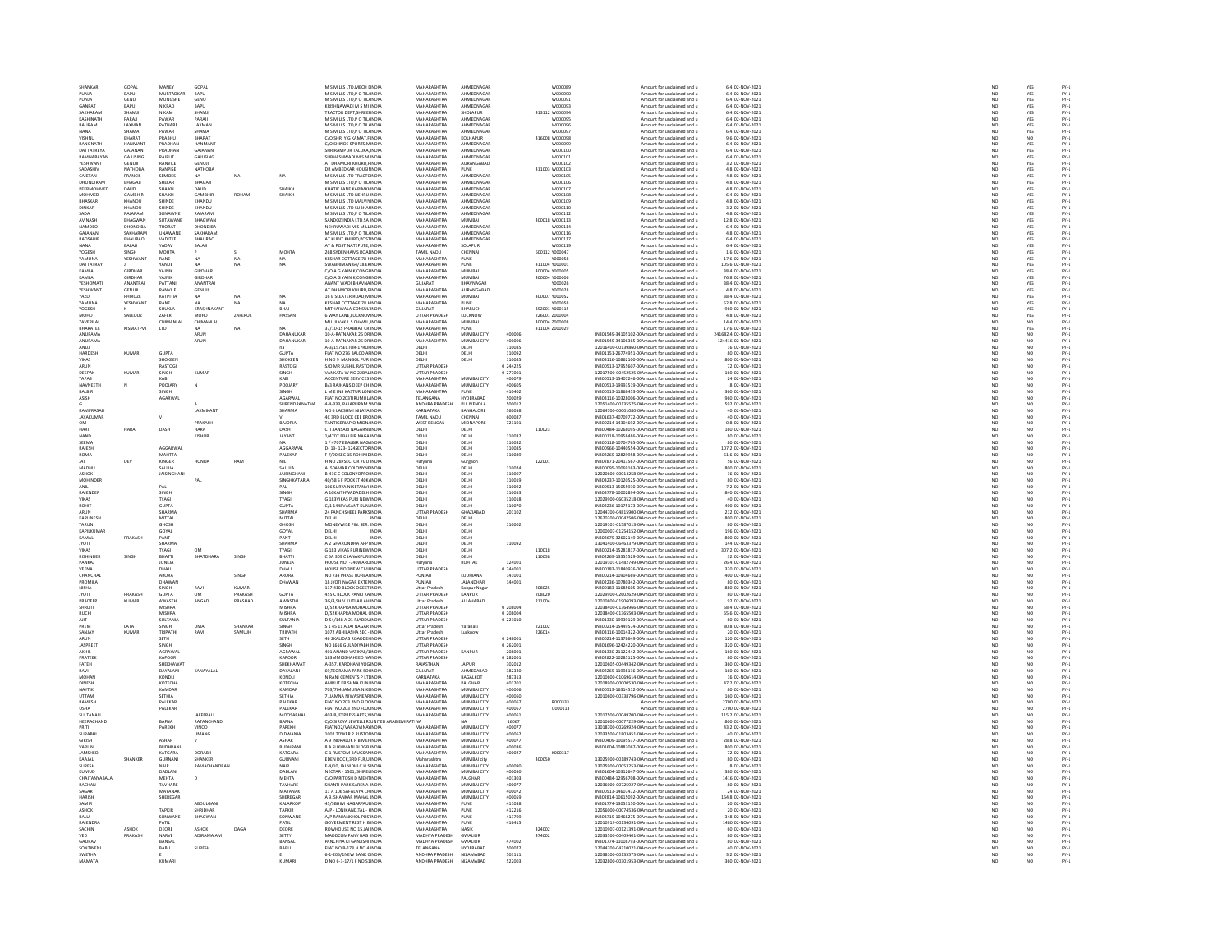|                                                                           | GOPA                      |                                    |                     |          |                                | M S MILLS LTD, MECH LINDL                                  |                                   |                              |                                                   | w000089                   | Amount for unclaimed and u                                                                       | 6.4 02-NOV-2021                            |
|---------------------------------------------------------------------------|---------------------------|------------------------------------|---------------------|----------|--------------------------------|------------------------------------------------------------|-----------------------------------|------------------------------|---------------------------------------------------|---------------------------|--------------------------------------------------------------------------------------------------|--------------------------------------------|
| <b>PUNJA</b><br>PUNIA                                                     | <b>BAPU</b><br>GENIL      | <b>MURTADKAR</b><br><b>MUNGSHE</b> | BAPU<br>GENLI       |          |                                | M S MILLS LTD.P O TIL INDIA<br>M S MILLS LTD.P O TIL INDIA | MAHARASHTRA<br>MAHARASHTRA        | AHMEDNAGAR<br>AHMEDNAGAR     |                                                   | W000090<br>wooppat        | Amount for unclaimed and u<br>Amount for unclaimed and u                                         | 6.4 02-NOV-2021<br>6.4 02-NOV-2021         |
| <b>GANPAT</b>                                                             | <b>BAPU</b>               | NIKRAD                             | BAPU                |          |                                |                                                            | <b>MAHARASHTRA</b>                | AHMEDNAGAI                   |                                                   |                           |                                                                                                  | 6.4 02-NOV-2021                            |
| SAKHARAN                                                                  | SHAMJI                    | NIKAM                              | SHAMJI              |          |                                | KRISHNAWADI M S MI INDI<br>TRACTOR DEPT.SHREE INDIA        | MAHARASHTRA                       | SHOLAPUR                     |                                                   | W000093<br>413112 W000094 | Amount for unclaimed and u<br>Amount for unclaimed and u                                         | 6.4 02-NOV-2021                            |
| KASHINATI                                                                 | PARAJI                    | PAWAP                              | PARAJI              |          |                                | M S MILLS LTD, P O TIL INDIA                               | <b>MAHARASHTRA</b>                | AHMEDNAGA                    |                                                   | W00009!                   | Amount for unclaimed and u                                                                       | 6.4 02-NOV-2021                            |
| BALIRAM                                                                   | LAXMAN                    | PATHARE                            | LAXMAN              |          |                                | M S MILLS LTD.P O TIL INDIA                                | MAHARASHTRA                       | AHMEDNAGAR                   |                                                   | W000096                   | Amount for unclaimed and u                                                                       | 6.4 02-NOV-2021                            |
| NANA                                                                      | SHAMA                     | PAWAP                              | SHAMA               |          |                                | M S MILLS LTD, P O TIL INDL                                | <b>MAHARASHTRA</b>                | <b>AHMEDNAGAI</b>            |                                                   |                           | Amount for unclaimed and u                                                                       | 6.4 02-NOV-2023                            |
| VISHNU                                                                    | BHARAT                    | PRABHU                             | BHARAT              |          |                                | C/O SHRIY G KAMAT,F INDIA                                  | MAHARASHTRA                       | KOLHAPUR                     |                                                   | 416008 W000098            | Amount for unclaimed and u                                                                       | 9.6 02-NOV-2021                            |
| RANGNATH                                                                  | <b>IANMAN</b>             | <b>PRADHAI</b>                     | HANMAN              |          |                                | C/O SHINDE SPORTS, N INDIA<br>SHRIRAMPUR TALUKA, INDIA     | MAHARASHTRA                       | AHMEDNAGA                    |                                                   | wonnow                    | .<br>Amount for unclaimed and u<br>Amount for unclaimed and u                                    | 6.4 02-NOV-2021                            |
| DATTATREYA                                                                | GAJANAN                   | PRADHAI                            | GAIANAN             |          |                                |                                                            | MAHARASHTRA                       | AHMEDNAGAR                   |                                                   | W000100                   |                                                                                                  |                                            |
| <b>RAMNARAYAN</b>                                                         | GAJUSING                  | RAIPUT                             | GAJUSING            |          |                                | SUBHASHWADI M S M INDIA                                    | MAHARASHTRA<br>MAHARASHTRA        | AHMEDNAGAR<br>AURANGABAD     |                                                   | W000101                   | Amount for unclaimed and u                                                                       | 6.4 02-NOV-2021                            |
| YESHWAN'                                                                  | GENUJI                    | RANVILE                            | GENUJI              |          |                                | AT DHAMORI KHURD,FINDI                                     |                                   |                              |                                                   |                           | Amount for unclaimed and u                                                                       | 3.2 02-NOV-202:                            |
| SADASHIV<br>CAJETAN                                                       | <b>NATHOBA</b><br>FRANCIS | RANPISE<br>SEMOES                  | NATHOBA             | NA       | NA                             | DR AMBEDKAR HOUSILINDIA<br>M S MILLS LTD TRACTC INDL       | MAHARASHTRA<br>MAHARASHTRA        | PUNE<br>AHMEDNAGAL           |                                                   | 411003 W000103<br>woonne  | Amount for unclaimed and u<br>Amount for unclaimed and u                                         | 4.8 02-NOV-2021<br>4.8 02-NOV-2021         |
| DHONDIRAM                                                                 | BHAGAJI                   | SHELAR                             | BHAGAJI             |          |                                | M S MILLS LTD, P O TIL INDIA                               | MAHARASHTRA                       | AHMEDNAGAR                   |                                                   | W000106                   | Amount for unclaimed and u                                                                       | 4.8 02-NOV-2021                            |
| PEERMOHMED                                                                | <b>DALID</b>              | .<br>ЧАІКН                         | <b>DALID</b>        |          | SHAIKH                         | KHATIK LANE KARIMKHINDIA                                   | MAHARASHTRA                       | AHMEDNAGAR                   |                                                   | <b>W000107</b>            | Amount for unclaimed and u                                                                       | 4.8.02-NOV-2021                            |
| MOHMED                                                                    | GAMBHI                    | .<br>SHAIKH                        | <b>GAMBHI</b>       | ROHAM    | SHAIKH                         | M S MILLS LTD NEHRU INDI                                   | MAHARASHTRA                       | AHMEDNAGA                    |                                                   | W00010I                   | Amount for unclaimed and u                                                                       | 6.4 02-NOV-2021                            |
| BHASKAR                                                                   | KHANDU                    | SHINDE                             | KHANDU              |          |                                | M S MILLS LTD MALVINNDIA                                   | MAHARASHTRA                       | AHMEDNAGAR                   |                                                   | W000109                   | Amount for unclaimed and u                                                                       | 4.8 02-NOV-2021                            |
| DINKAR                                                                    | KHANDL                    | SHINDE                             | KHANDL              |          |                                | M S MILLS LTD SUBHA' INDL                                  | MAHARASHTRA                       | AHMEDNAGAL                   |                                                   | wonn110                   | Amount for unclaimed and u                                                                       | 3.2 02-NOV-2021                            |
| SADA                                                                      | RAJARAM                   | SONAWNE                            | RAJARAM             |          |                                | M S MILLS LTD, P O TIL INDIA                               | MAHARASHTRA                       | AHMEDNAGAR                   |                                                   | W000112                   | Amount for unclaimed and u                                                                       | 4.8 02-NOV-2021                            |
| <b>AVINASH</b>                                                            | <b>RHAGWAN</b>            | <b>SLITAWAN</b>                    | RHAGWAN             |          |                                | SANDOZ INDIA I TD SA INDIA                                 | MAHARASHTRA                       | MUMRAL                       |                                                   | 400018 W000113            | Amount for unclaimed and u                                                                       | 12.8 02-NOV-2021                           |
| NAMDEC                                                                    | <b>DHONDIBA</b>           | THORAT                             | DHONDIBA            |          |                                | NEHRUWADI M S MILL INDIA                                   | MAHARASHTRA                       | AHMEDNAGA                    |                                                   | W000114                   | Amount for unclaimed and u                                                                       | 6.4 02-NOV-2021                            |
| GAJANAN<br>RAOSAHIE                                                       | SAKHARAN<br>BHAURAC       | UNAWANE<br>VADITKE                 | SAKHARAM<br>BHAURAO |          |                                | M S MILLS LTD.P O TIL INDIA<br>AT KUDIT KHURD, POSTINDI    | MAHARASHTRA<br>MAHARASHTRA        | AHMEDNAGAR<br>AHMEDNAGA      |                                                   | W000116                   | Amount for unclaimed and u<br>Amount for unclaimed and u                                         | 4.8 02-NOV-2021<br>6.4 02-NOV-2021         |
| NANA                                                                      | BALAJI                    | YADAV                              | BALAJI              |          |                                | AT & POST NATEPUTE. INDIA                                  | MAHARASHTRA                       | SOLAPUR                      |                                                   | W000119                   | Amount for unclaimed and u                                                                       | 6.4 02-NOV-2021                            |
| YOGESH                                                                    | SINGH                     |                                    |                     |          | MOHT.                          |                                                            |                                   | <b>HENNAI</b>                |                                                   | 600112 Y00004             | Amount for unclaimed and u                                                                       |                                            |
| YAMUNA                                                                    | YESHWAN'                  | MOHTA<br>RANE                      |                     |          |                                | 268 SYDENHAMS ROALINDIA<br>KESHAR COTTAGE 78 H INDIA       | TAMIL NADU<br>MAHARASHTRA         | PUNE                         |                                                   | Y000058                   | Amount for unclaimed and u                                                                       | 1.6 02-NOV-2021<br>17.6 02-NOV-2021        |
| DATTATRAY                                                                 |                           | YANDE                              | <b>NA</b>           | NA       | NA                             | SWABHIMAN.64/18 EFINDIA                                    | MAHARASHTRA                       | PUNE                         |                                                   | 411004 Y000001            | Amount for unclaimed and u                                                                       | 105.6 02-NOV-2021                          |
| KAMLA                                                                     | GIRDHAF                   | YAJNIK                             | GIRDHAR             |          |                                | C/O A G YAINIK, CONGHNDL                                   | MAHARASHTRA                       | MUMBA                        |                                                   | 400004 Y000005            | Amount for unclaimed and u                                                                       | 38.4 02-NOV-2021                           |
| KAMLA                                                                     | <b>GIRDHAR</b><br>ANANTRA | YAJNIK                             | <b>GIRDHAR</b>      |          |                                | C/O A G YAJNIK.CONGLINDIA                                  | MAHARASHTRA<br><b>GUJARAT</b>     | MUMBAI                       |                                                   | 400004 Y000006            | Amount for unclaimed and u                                                                       | 76.8 02-NOV-2021                           |
| YESHOMAT<br>YESHWANT                                                      | GENUJI                    | PATTAN<br>RANVILE                  | ANANTRA<br>GENUJI   |          |                                | .<br>MANT WADI, BHAVNA IND<br>AT DHAMORI KHURD, FINDIA     | <b>MAHARASHTRA</b>                | <b>HAVNAGA</b><br>AURANGABAD |                                                   | Y00002<br>Y000028         | Amount for unclaimed and u<br>Amount for unclaimed and u                                         | 38.4 02-NOV-202:<br>4.8 02-NOV-2021        |
| YAZDI                                                                     | PHIROZE                   | KATPITIA                           | <b>NA</b>           |          | NA                             | 16 B SLEATER ROAD.M INDIA                                  | MAHARASHTRA                       | MUMBAI                       |                                                   | 400007 Y000052            | Amount for unclaimed and u                                                                       | 38.4 02-NOV-2021                           |
| YAMUNA                                                                    | YESHWANT                  | RANE                               |                     | NA<br>NA | NA                             | KESHAR COTTAGE 78 HINDIA                                   | MAHARASHTRA                       | PUNE                         |                                                   | Y000058                   | Amount for unclaimed and u                                                                       | 52.8 02-NOV-2021                           |
| YOGESH                                                                    |                           | SHUKLA                             | KRASHNAKANT         |          | BHAI                           | MITHAIWALA CONSUL INDIA                                    | GUJARAT                           | BHARUCH                      |                                                   | 392001 Y000115            | Amount for unclaimed and u                                                                       | 960 02-NOV-2021                            |
| MOHD                                                                      | SAEEDUZ                   | ZAFER                              | MOHD                | ZAFERU   | HASSAN                         | 6 WAY LANE,LUCKNOV INDI                                    | UTTAR PRADESH                     | LUCKNOW                      |                                                   | 226001 200000             | Amount for unclaimed and u                                                                       | 4.8 02-NOV-2023                            |
| ZAVERILAL                                                                 |                           | CHIMANLAL                          | CHIMANLAL           |          |                                | MULII VAKIL S CHAWL, INDIA                                 | MAHARASHTRA                       | MUMBAI                       |                                                   | 400004 Z000008            | Amount for unclaimed and u                                                                       | 14.4 02-NOV-2021                           |
| BHARATEE                                                                  | <b>KISMATPVT</b>          | LTD                                |                     | NA       | NA                             | 37/10-15 PRABHAT CR INDIA                                  | MAHARASHTRA                       | PUNE                         |                                                   | 411004 2000029            | Amount for unclaimed and u                                                                       | 17.6 02-NOV-2021                           |
| ANUPAMA<br><b>ANLIPAMA</b>                                                |                           |                                    | ARUN                |          | DAHANUKAF<br><b>DAHANLIKAR</b> | 10-A-RATNAKAR 26 DR INDIA<br>10-A-RATNAKAR 26 DR INDIA     | MAHARASHTRA<br>MAHARASHTRA        | MUMBAI CITY                  | 400006<br>sonnos                                  |                           | IN301549-34105102-0(Amount for unclaimed and u                                                   | 241682.4 02-NOV-2021<br>124416-02-NOV-2021 |
|                                                                           |                           |                                    | ARUN                |          |                                |                                                            |                                   | MUMBAI CITY                  |                                                   |                           | IN301549-34106365-0(Amount for unclaimed and u                                                   |                                            |
| ANUJ<br>HARDESH                                                           | KUMAR                     | <b>GUPTA</b>                       |                     |          | <b>GUPTA</b>                   | A-3/157SECTOR-17ROHNDL<br>FLAT NO 276 BALCO ALINDIA        | DELHI<br>DELHI                    | DELHI<br>DELHI               | 110085<br>110092                                  |                           | 12016400-00139860-0IAmount for unclaimed and u<br>IN301151-26774951-0(Amount for unclaimed and u | 16 02-NOV-2021<br>80 02-NOV-2021           |
| VIKAS                                                                     |                           | SHOKEEN                            |                     |          | <b>SHOKEEP</b>                 | NO 9 MANGOL PUR INDI                                       | <b>DELH</b>                       | DELHI                        | 110089                                            |                           | IN303116-10862100-0(Amount for unclaimed and u                                                   | 800 02-NOV-2021                            |
| ARUN                                                                      |                           | RASTOGI                            |                     |          | RASTOGI                        | S/O MR SUSHIL RASTO INDIA                                  | UTTAR PRADESH                     |                              | 0 244225                                          |                           | IN300513-17955607-0(Amount for unclaimed and u                                                   | 72 02-NOV-2021                             |
| DEEPAR                                                                    | KUMAR                     | SINGH                              | KUMAR               |          | SINGH                          | VANKATA W NO 22RALINDI                                     | <b>ITTAR PRADES</b>               |                              | 0.277001                                          |                           | 12017500-00452525-0LAmount for unclaimed and u                                                   | 160 02-NOV-2021                            |
| TAPAS                                                                     |                           | KABI                               |                     |          | KABI                           | ACCENTURE SERVICES INDI                                    | MAHARASHTRA                       | MUMBAI CITY                  | 400079                                            |                           | IN300513-15407246-0(Amount for unclaimed and u                                                   | 24 02-NOV-2021                             |
| NAVNEETH                                                                  |                           | POOJARY                            | $\mathbb{N}$        |          | POOJARY                        | B/3 RAJHANS DEEP CH INDIA                                  | MAHARASHTRA                       | MUMBAI CITY                  | 400605                                            |                           | IN300513-19993519-0(Amount for unclaimed and u                                                   | 8 02-NOV-2021                              |
| BALBIR                                                                    |                           |                                    |                     |          | SINGH                          | L M E INS KASTURILON INDI                                  | MAHARASHTRA                       | PUNE                         | 410402                                            |                           | IN300513-11868453-0(Amount for unclaimed and u                                                   | 360 02-NOV-2021                            |
| ASISH                                                                     |                           | AGARWAL                            |                     |          | AGARWAL                        | FLAT NO 203TIRUMUL INDIA                                   | TELANGANA                         | HYDERABAD                    | 500029                                            |                           | IN303116-10328006-0(Amount for unclaimed and u                                                   | 960 02-NOV-2021                            |
|                                                                           |                           |                                    |                     |          | SURENDRAN                      | 4-4-333, RAJAPURAM : INDI                                  | MDHRA PRADESH                     | PULIVENDLA                   | 500012                                            |                           | 12051400-00135575-0IAmount for unclaimed and u                                                   | 592 02-NOV-2021                            |
| RAMPRASAD<br>JAYAKUMAR                                                    |                           |                                    | <b>LAXMIKAN</b>     |          | SHARMA                         | NO 6 LAKSHMI NILAYA INDIA<br>4C 3RD BLOCK CEE BR( INDIA    | KARNATAKA<br>TAMIL NADU           | BANGALORE<br>CHENNAL         | 560058<br>600087                                  |                           | 12064700-00001080-0IAmount for unclaimed and u<br>IN301637-40709772-0(Amount for unclaimed and u | 40 02-NOV-2021<br>40 02-NOV-2021           |
| <b>OM</b>                                                                 |                           |                                    | PRAKASH             |          | BAJORIA                        | <b>TANTIGERIAP O MIDNI INDI</b>                            | WEST BENGAL                       | MIDNAPORE                    | 721101                                            |                           | IN300214-14304692-0(Amount for unclaimed and u                                                   | 0.8 02-NOV-2021                            |
| HARI                                                                      | HARA                      | DASH                               | HARA                |          | DASH                           | C II 3ANSARI NAGARNI INDIA                                 | DELHI                             | DELHI                        |                                                   | 110023                    | IN300484-10268095-0(Amount for unclaimed and u                                                   | 160 02-NOV-2021                            |
| NAND                                                                      |                           |                                    | KISHOP              |          | JAYANT                         | 1/4707 EBALBIR NAGA INDI                                   | DELH                              | DELHI                        | 110032                                            |                           | IN300118-10958486-0(Amount for unclaimed and u                                                   | 80 02-NOV-202:                             |
| SEEMA                                                                     |                           |                                    |                     |          | NA                             | 1 / 4707 EBALBIR NAG. INDIA                                | DELH                              | DELHI                        | 110032                                            |                           | IN300118-10704765-0(Amount for unclaimed and u                                                   | 80 02-NOV-2021                             |
| RAJESH                                                                    |                           | AGGARWA                            |                     |          | AGGARWA                        | -<br>13-123-124SECTOFIND                                   | DELHI                             | DELHI                        | 110089                                            |                           | IN300966-10440554-0(Amount for unclaimed and u                                                   | 107.2 02-NOV-2021                          |
| ROMA                                                                      |                           | MAHTTA                             |                     |          | PALEKAR                        | F 7/90 SEC 15 ROHINIC INDIA                                | DELHI                             | DELHI                        | 110089                                            |                           | IN302269-12829958-0(Amount for unclaimed and u                                                   | 61.6 02-NOV-2021                           |
| JAI<br>MADHU                                                              | DEV                       | KINGER                             | HONDA               | RAM      |                                | H NO 287SECTOR 7GU INDIA                                   |                                   |                              |                                                   | 122001                    | IN302871-20413567-00 Amount for unclaimed and u                                                  | 56.02-NOV-2021                             |
|                                                                           |                           |                                    |                     |          | SALUJA                         |                                                            | Haryan<br>DELHI                   | Gurgad<br>DELHI              | 110024                                            |                           | N300095-10069163-0(Amount for unclaimed and u                                                    | 800 02-NOV-2021                            |
| ASHOK                                                                     |                           | JAISINGHAN                         |                     |          | JAISINGHAN                     | B-41C C COLONYOPPO INDIA                                   | DELHI                             | DELHI                        | 110007                                            |                           | 12020600-00014258-0IAmount for unclaimed and u                                                   | 16 02-NOV-2021                             |
| MOHINDER                                                                  |                           |                                    | PAL                 |          | <b>SINGHKATARIA</b>            | 40/58 S F POCKET 40K. INDM                                 | DELHI                             | DELHI                        | 110019                                            |                           | IN303237-10120525-0(Amount for unclaimed and u                                                   | 80 02-NOV-2021                             |
| ANIL                                                                      |                           | PAL                                |                     |          | PAL                            | 106 SURYA NIKETANVI INDIA                                  | DELH                              | DELHI                        | 110092                                            |                           | IN300513-15055930-0(Amount for unclaimed and u                                                   | 7.2 02-NOV-2021                            |
| <b>RAIFNDER</b>                                                           |                           | SINGH                              |                     |          | SINGH                          | A 16KAITHWADADELH INDIA                                    | DELH                              | <b>DELHI</b>                 | 110053                                            |                           | IN303778-10002894-00Amount for unclaimed and u                                                   | 840 02-NOV-2021                            |
| VIKAS<br>ROHIT                                                            |                           | TYAGI<br><b>GUPTA</b>              |                     |          | TYAGI<br><b>GUPTA</b>          | G 183VIKAS PURI NEW INDI<br>C/1 1448VASANT KUN INDIA       | DELH<br>DELHI                     | DELHI<br>DELHI               | 110018<br>110070                                  |                           | 12029900-06035218-0IAmount for unclaimed and u<br>IN302236-10175173-0(Amount for unclaimed and u | 40 02-NOV-2021<br>400 02-NOV-2021          |
| ARUN                                                                      |                           |                                    |                     |          |                                | 24 PANCHSHEEL PARKS INDIA                                  | <b>UTTAR PRADES</b>               | GHAZIABAD                    | 201102                                            |                           | 12044700-04815900-0IAmount for unclaimed and u                                                   | 212 02-NOV-2021                            |
| KARUNESH                                                                  |                           | SHARMA<br>MITTAL                   |                     |          | SHARMA<br>MITTAL               | DELHI                                                      | DELHI                             | DELHI                        |                                                   |                           | 12620200-00042506-0IAmount for unclaimed and u                                                   | 800 02-NOV-2021                            |
| TARLIN                                                                    |                           | GHOSH                              |                     |          | GHOSH                          | MONEYWISE FIN, SER. INDIA                                  | DELHI                             | <b>DELHI</b>                 | 110002                                            |                           | 12019101-01587013-0IAmount for unclaimed and u                                                   | 80 02-NOV-2021                             |
| KAPILKUMA                                                                 |                           | GOYAL                              |                     |          | GOYAL                          | DELHI<br>INDIA                                             | DELH                              | DELHI                        |                                                   |                           | 12000007-01254152-0IAmount for unclaimed and u                                                   | 196 02-NOV-2021                            |
| KAMAL                                                                     | PRAKASH                   | PANT                               |                     |          | PANT                           | DELHI<br>INDIA                                             | DELHI                             | DELHI                        |                                                   |                           | IN302679-32602149-0(Amount for unclaimed and u                                                   | 800 02-NOV-2021                            |
| <b>JYOTI</b>                                                              |                           | SHARMA                             |                     |          | SHARMA                         | A 2 GHARONDHA APPTINDM                                     | DELHI                             | DELHI                        | 110092                                            |                           | 13041400-06463379-0IAmount for unclaimed and u                                                   | 144 02-NOV-2021                            |
| VIKAS                                                                     |                           | TYAGI                              | <b>OM</b>           |          | TYAGI                          | G 183 VIKAS PURINEW INDIA                                  | DELHI                             | DELHI                        |                                                   | 110018                    | IN300214-15281817-0(Amount for unclaimed and u                                                   | 307.2 02-NOV-2021                          |
| RISHINDER                                                                 | SINGH                     | BHATTI                             | BHATDHARA           | SINGH    | BHATTI                         | C 5A 309 C JANAKPURI INDI                                  | DELH                              |                              |                                                   | 110058                    | IN302269-13355529-0(Amount for unclaimed and u                                                   | 32 02-NOV-2021                             |
| PANKAJ                                                                    |                           | JUNEJA                             |                     |          | JUNEJA                         | HOUSE NO. - 740 WARD IN DIA                                | Haryana                           | ROHTAK                       | 124001                                            |                           | 12019101-01482749-0IAmount for unclaimed and u                                                   | 26.4 02-NOV-2021                           |
| VEENA<br>CHANCHA                                                          |                           | DHALL<br>ARORA                     |                     |          | DHALL<br>ARORA                 | HOUSE NO 3NEW CIVILINDIA<br>NO 734 PHASE IIURBAI INDIA     | UTTAR PRADESH<br>PUNJAB           | LUDHIANA                     | $\begin{array}{r} 0.244001 \\ 141001 \end{array}$ |                           | IN300183-11840926-0(Amount for unclaimed and u<br>IN300214-10904669-0(Amount for unclaimed and u | 320 02-NOV-2021<br>400 02-NOV-2021         |
| PROMILA                                                                   |                           | DHAWAN                             |                     | SINGH    | DHAWAN                         | 18 JYOTI NAGAR EXTERINDIA                                  | PUNJAB                            | <b>JALANDHAR</b>             | 144001                                            |                           | IN302236-10780342-0(Amount for unclaimed and u                                                   | 80 02-NOV-2021                             |
| NISHA                                                                     |                           | SINGH                              | RAVI                | KUMAR    |                                | 117 410 BLOCK OGEET INDI                                   | <b>Uttar Prades</b>               | Kanpur Nagar                 |                                                   | 208025                    | IN300183-11685605-0(Amount for unclaimed and u                                                   | 880 02-NOV-2021                            |
| <b>JYOTI</b>                                                              | PRAKASH                   | <b>GUPTA</b>                       | OM                  | PRAKASH  | <b>GUPTA</b>                   | 455 C BLOCK PANKI KA INDIA                                 | UTTAR PRADESH                     | KANPUR                       |                                                   | 208020                    | 12029900-02602629-0IAmount for unclaimed and u                                                   | 80 02-NOV-2021                             |
| PRADEER                                                                   | KUMAR                     | AWASTH                             | ANGAD               | PRASHAD  | AWASTH                         | 3G/4,SHIV KUTI ALLAH INDI                                  | <b>Uttar Pradesh</b>              | ALLAHABAD                    |                                                   | 211004                    | 12010600-01906093-0IAmount for unclaimed and u                                                   | 92 02-NOV-2021                             |
| <b>SHRUTI</b>                                                             |                           | MISHRA                             |                     |          | MISHRA                         | D/52KHAPRA MOHALC INDIA                                    | UTTAR PRADESH                     |                              | 0 208004                                          |                           | 12038400-01364966-0IAmount for unclaimed and u                                                   | 58.4 02-NOV-2021                           |
| <b>RUCH</b>                                                               |                           | <b>MISHRA</b>                      |                     |          | MISHRA                         | D/52KHAPRA MOHAL UNDIA                                     | <b>ITTAR PRADES</b>               |                              | n 208004                                          |                           | 12038400-01365503-0LAmount for unclaimed and u                                                   | 65.6 02-NOV-2021                           |
| AIIT                                                                      |                           | SULTANIA                           |                     |          | SULTANIA                       | D 54/148 A 21 RJADDL INDI                                  | <b>UTTAR PRADESH</b>              |                              | 0 221010                                          |                           | IN301330-19939129-0(Amount for unclaimed and u                                                   | 80 02-NOV-2021                             |
| PREM                                                                      | LATA                      | SINGH                              | UMA                 | SHANKAR  | SINGH                          | S 1 45 11 A JAI NAGAR INDIA                                | Uttar Pradesh                     | Varanasi                     |                                                   | 221002                    | IN300214-15449574-0(Amount for unclaimed and u                                                   | 80.8 02-NOV-2021                           |
| SANJAY                                                                    | KUMAR                     | TRIPATHI                           | RAM                 | SAMUJH   | TRIPATHI                       | 1072 ABHILASHA SEC - INDIA                                 | <b>Uttar Pradesh</b>              |                              |                                                   | 226014                    | IN303116-10014322-0(Amount for unclaimed and u                                                   | 20 02-NOV-2021                             |
| ARUN                                                                      |                           | SETH                               |                     |          | SETH                           | 46 2KALIDAS ROADDEHNDIA                                    | <b>UTTAR PRADESH</b>              |                              | 0 248001                                          |                           | IN300214-11378649-0(Amount for unclaimed and u                                                   | 120 02-NOV-2021                            |
| <b>IASPREET</b>                                                           |                           | SINGH                              |                     |          | SINGH                          | NO 1616 GULADIYARH INDIA                                   | <b>UTTAR PRADES</b>               |                              | 0 262001                                          |                           | IN301696-12424220-00 Amount for unclaimed and u                                                  | 320 02-NOV-2021                            |
| AKHIL                                                                     |                           | AGRAWAL                            |                     |          | AGRAWAL                        | 401 ANAND VATIKA8/1INDI                                    | UTTAR PRADESH                     | KANPUR                       | 20800                                             |                           | IN301330-21122442-0(Amount for unclaimed and u                                                   | 160 02-NOV-2021                            |
| PRATEEK                                                                   |                           | KAPOOR<br>SHEKHAWA                 |                     |          | KAPOOR<br>SHEKHAWA             | 183MMIGSHAHEED N/ INDIA<br>A-357, KARDHANI YOG INDI        | UTTAR PRADESH<br><b>RAJASTHAN</b> |                              | 0 282001<br>302012                                |                           | IN302822-10285125-0(Amount for unclaimed and u<br>12010605-00449342-0IAmount for unclaimed and u | 80 02-NOV-2021                             |
| FATEH<br>RAVI                                                             |                           | DAYALANI                           | KANAYALAL           |          | DAYALANI                       | 69.TEORAMA PARK SO INDIA                                   | GUJARAT                           | JAIPUR<br>AHMEDABAD          | 382340                                            |                           | IN302269-11998116-0(Amount for unclaimed and u                                                   | 360 02-NOV-2021<br>160 02-NOV-2021         |
| MOHAN                                                                     |                           | KONDLI                             |                     |          | KONDLI                         | <b>NIRANI CEMENTS PITIINDI</b>                             | KARNATAKA                         | BAGALKOT                     | 587313                                            |                           | 12010600-01069614-0LAmount for unclaimed and u                                                   | 16 02-NOV-2021                             |
| DINESH                                                                    |                           | КОТЕСНА                            |                     |          | КОТЕСНА                        | AMRUT KRISHNA KUN, INDI                                    | MAHARASHTRA                       | PALGHAR                      | 401201                                            |                           | 12018900-00000530-0IAmount for unclaimed and u                                                   | 47.2 02-NOV-2021                           |
| NAYTIK                                                                    |                           | KAMDAR                             |                     |          | KAMDAR                         | 703/704 JAMUNA NIKEINDIA                                   | MAHARASHTRA                       | MUMBAI CITY                  | 400006                                            |                           | IN300513-16314512-0(Amount for unclaimed and u                                                   | 80 02-NOV-2021                             |
| UTTAM                                                                     |                           | SETHIA                             |                     |          | SETHIA                         | , JAMNA NIWASNEAR INDL                                     | <b>MAHARASHTRA</b>                | MUMBAI CITY                  | 400060                                            |                           | 12010600-00338796-0IAmount for unclaimed and u                                                   | 160 02-NOV-2021                            |
| RAMESH                                                                    |                           | PALEKAR                            |                     |          | PALEKAR                        | FLAT NO 203 2ND FLOUNDIA                                   | MAHARASHTRA                       | MUMBAI CITY                  | 400067                                            | R000333                   | Amount for unclaimed and u                                                                       | 2700 02-NOV-2021                           |
|                                                                           |                           | PALEKAR                            |                     |          | PALEKAR                        | FLAT NO 203 2ND FLOUNDL                                    | MAHARASHTRA                       | MUMBAI CIT                   | 400067                                            | U000113                   | Amount for unclaimed and u                                                                       | 2700 02-NOV-202:                           |
| SULTANALI                                                                 |                           |                                    | <b>JAFFERALI</b>    |          | MOOSABHA                       | 403-B, EXPRESS APTS, INDIA                                 | MAHARASHTRA                       | MUMBAI CITY                  | 400061                                            |                           | 12017500-00049700-0IAmount for unclaimed and u                                                   | 115.2 02-NOV-2021                          |
| HEERACHAND                                                                |                           | BAFNA                              | RATANCHAND          |          | BAFNA                          | C/O SIROYA JEWELLER: UNITED ARAB EMIR                      | TINA                              |                              | 16067                                             |                           | 12010600-00077229-0IAmount for unclaimed and u                                                   | 800 02-NOV-2021                            |
| PRITI                                                                     |                           | PAREKH                             | VINOD               |          | PAREKH                         | FLATNO2/VARADVINA/ INDIA                                   | MAHARASHTRA                       | MUMBAI CITY                  | 400077                                            |                           | 13018700-00269924-0IAmount for unclaimed and u                                                   | 43.2 02-NOV-2021                           |
| <b>SURABHI</b>                                                            |                           |                                    | <b>UMANG</b>        |          | DIDWANIA                       | 1002 TOWER 2 RUSTO INDIA                                   | MAHARASHTRA<br><b>MAHARASHTRA</b> | MUMBAI CITY<br>MUMBAI CIT    | 400062<br>400077                                  |                           | 12033500-01803451-0(Amount for unclaimed and u                                                   | 40 02-NOV-2021                             |
| <b>GIRISH</b>                                                             |                           | ASHAR                              |                     |          | ASHAR                          | <b>9 INDRALOK R B MEHNDI</b>                               |                                   |                              |                                                   |                           | N300409-10095537-0(Amount for unclaimed and u                                                    | 28.8 02-NOV-202:                           |
| VARUN<br>JAMSHED                                                          |                           | BUDHRANI                           | DORABJI             |          | BUDHRAN<br>KATGARA             | 8 A SUKHMANI BLDGB INDIA                                   | MAHARASHTRA<br>MAHARASHTRA        | MUMBAI CITY                  | 400036                                            |                           | IN301604-10883067-0(Amount for unclaimed and u                                                   | 800 02-NOV-2021                            |
|                                                                           | SHANKER                   | KATGARA                            | SHANKER             |          |                                | C-1 RUSTOM BAUGSAI INDI                                    |                                   | MUMBAI CITY                  | 400027                                            | K000317                   | Amount for unclaimed and u<br>13025900-00189743-0IAmount for unclaimed and u                     | 72 02-NOV-2021                             |
| KAAJAL<br>SURFSH                                                          |                           | GURNANI<br>NAIR                    | RAMACHANDRAN        |          | GURNANI<br>NAIR                | EDEN ROCK, 3RD FLR, U INDIA<br>F-4/10 IAINIDHI CH SINDIA   | Maharashtra<br>MAHARASHTRA        | MUMBAI city<br>MUMRALCITY    | 400090                                            | 400050                    | 13025900-00053253-0LAmount for unclaimed and u                                                   | 80 02-NOV-2021<br>8.02-NOV-2021            |
|                                                                           |                           |                                    |                     |          | DADLAN                         |                                                            | <b>MAHARASHTRA</b>                | MUMBAI CITY                  |                                                   |                           |                                                                                                  | 380 02-NOV-2021                            |
| KUMUD<br>CHAITANYABALA                                                    |                           | DADLANI<br>MEHTA                   | D.                  |          | <b>MEHTA</b>                   | NECTAR - 1501, SHIRELINDI<br>C/O PARITOSH D MEH1INDIA      | MAHARASHTRA                       | PALGHAR                      | 400050<br>401303                                  |                           | IN301604-10312647-0(Amount for unclaimed and u<br>IN300484-12956708-0(Amount for unclaimed and u | 1416 02-NOV-2021                           |
| RACHAN                                                                    |                           | TAVHARE                            |                     |          | TAVHARI                        | <b>HANTI PARK SARENA INDI</b>                              | MAHARASHTRA                       | MUMBAI CITY                  | 400077                                            |                           | 12036000-00725927-0IAmount for unclaimed and u                                                   | 80 02-NOV-202:                             |
| SAGAR                                                                     |                           | MAYANAK                            |                     |          | MAYANAK                        | 11 A 106 SAFALAYA CHINDIA                                  | MAHARASHTRA                       | MUMBAI CITY                  | 400072                                            |                           | IN300513-14607472-0(Amount for unclaimed and u                                                   | 24 02-NOV-2021                             |
| HARISH                                                                    |                           | SHEREGAR                           |                     |          | SHEREGAR                       | 49 SHANKAR MAHAL INDIA                                     | MAHARASHTRA                       | MUMBAI CITY                  | 400059                                            |                           | IN302814-10615092-00Amount for unclaimed and u                                                   | 164.8 02-NOV-2021                          |
|                                                                           |                           |                                    | ABDULGAN            |          | KALARKOF                       | 45/5BHIM NAGARPAULINDL                                     | MAHARASHTRA                       | PUNE                         | 411038                                            |                           | IN301774-13053150-0(Amount for unclaimed and u                                                   | 20 02-NOV-2021                             |
|                                                                           |                           |                                    |                     |          | TAPKIR                         |                                                            | MAHARASHTRA                       | PUNE                         | 412216                                            |                           | 12056000-00074536-0IAmount for unclaimed and u                                                   | 20 02-NOV-2021                             |
|                                                                           |                           | TAPKIR                             | SHRIDHAR            |          |                                | A/P - LONIKAND.TAL - HNDIA                                 |                                   |                              |                                                   |                           |                                                                                                  |                                            |
|                                                                           |                           | SONWANE                            | BHAGWAN             |          | SONWANE                        | A/P RANJANKHOL POS INDI                                    | <b>MAHARASHTRA</b>                | PUNE                         | 413709                                            |                           | IN303719-10468275-0(Amount for unclaimed and u                                                   | 348 02-NOV-2021                            |
|                                                                           |                           | PATIL                              |                     |          | PATIL                          | <b>GOVERMENT REST H B INDIA</b>                            | MAHARASHTRA                       | PUNE                         | 416415                                            |                           | 12010919-00134091-0(Amount for unclaimed and u                                                   | 1480 02-NOV-2021                           |
|                                                                           |                           |                                    |                     |          |                                | OWHOUSE NO 15, JAI INDI                                    | <b>ANARASHTRA</b>                 |                              |                                                   |                           | 12010907-00121391-0IAmount for unclaimed and u                                                   |                                            |
|                                                                           | ASHOK<br>PRAKASH          | DEORE<br>NARVE                     | ADIRAMAIAN          |          | DEORE<br>SETTY                 | MADDCOMPANY BAG INDIA                                      | MADHYA PRADESH                    | NASIK<br>GWALIOR             |                                                   | 474002                    | 12033500-00409401-0IAmount for unclaimed and u                                                   | 60 02-NOV-2021<br>80 02-NOV-2021           |
|                                                                           |                           | BANSA                              |                     |          | BANSAL                         | PANCHIYA KI GANJISHI INDIA                                 | MADHYA PRADESH                    | GWALIOR                      | 474002                                            |                           | IN301774-11008793-0(Amount for unclaimed and u                                                   | 80 02-NOV-2021                             |
| SAMIR<br>ASHOK<br>BALU<br>RAJENDRA<br>SACHIN<br>VED<br>GAURAV<br>SONTINEN |                           | BABU                               | SURESH              |          | BABU                           | <b>FLAT NO B-178 H NO 4 INDM</b>                           | TELANGANA                         | HYDERABAD                    | 500072                                            |                           | 12044700-04310021-0IAmount for unclaimed and u                                                   | 40 02-NOV-2021                             |
| SWETHA<br>MAMATA                                                          |                           |                                    |                     |          |                                | 6-1-205/1NEW BANK CINDIA<br>D NO 6-3-17/1 F NO S1 IND      | ANDHRA PRADESH<br>ANDHRA PRADESH  | NIZAMABAD                    | 503111<br>522003                                  |                           | 12038100-00135575-0(Amount for unclaimed and u<br>12032800-00301953-0(Amount for unclaimed and u | 3.2 02-NOV-2021<br>360 02-NOV-2023         |